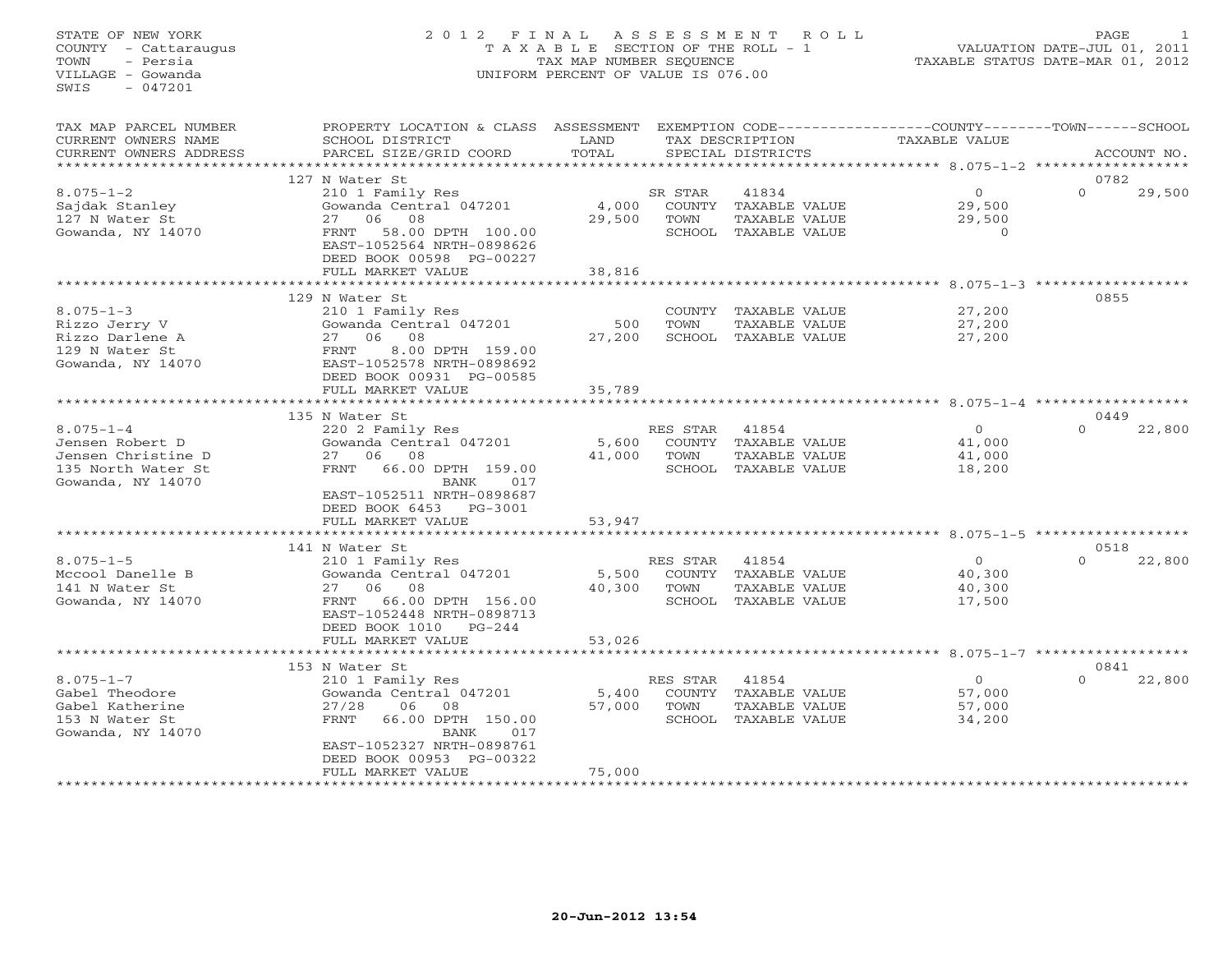#### STATE OF NEW YORK 2 0 1 2 F I N A L A S S E S S M E N T R O L L PAGE 1 COUNTY - Cattaraugus T A X A B L E SECTION OF THE ROLL - 1 VALUATION DATE-JUL 01, 2011 TOWN - Persia TAX MAP NUMBER SEQUENCE TAXABLE STATUS DATE-MAR 01, 2012 VILLAGE - Gowanda UNIFORM PERCENT OF VALUE IS 076.00UNIFORM PERCENT OF VALUE IS 076.00

| TAX MAP PARCEL NUMBER  | PROPERTY LOCATION & CLASS ASSESSMENT     |        |          |                      | EXEMPTION CODE-----------------COUNTY-------TOWN------SCHOOL |          |             |
|------------------------|------------------------------------------|--------|----------|----------------------|--------------------------------------------------------------|----------|-------------|
| CURRENT OWNERS NAME    | SCHOOL DISTRICT                          | LAND   |          | TAX DESCRIPTION      | TAXABLE VALUE                                                |          |             |
| CURRENT OWNERS ADDRESS | PARCEL SIZE/GRID COORD                   | TOTAL  |          | SPECIAL DISTRICTS    |                                                              |          | ACCOUNT NO. |
| ********************   |                                          |        |          |                      |                                                              |          |             |
|                        | 127 N Water St                           |        |          |                      |                                                              | 0782     |             |
| $8.075 - 1 - 2$        | 210 1 Family Res                         |        | SR STAR  | 41834                | $\circ$                                                      | $\Omega$ | 29,500      |
| Sajdak Stanley         | Gowanda Central 047201                   | 4,000  |          | COUNTY TAXABLE VALUE | 29,500                                                       |          |             |
| 127 N Water St         | 08<br>06<br>27                           | 29,500 | TOWN     | TAXABLE VALUE        | 29,500                                                       |          |             |
| Gowanda, NY 14070      | 58.00 DPTH 100.00<br>FRNT                |        |          | SCHOOL TAXABLE VALUE | $\Omega$                                                     |          |             |
|                        | EAST-1052564 NRTH-0898626                |        |          |                      |                                                              |          |             |
|                        | DEED BOOK 00598 PG-00227                 |        |          |                      |                                                              |          |             |
|                        | FULL MARKET VALUE                        | 38,816 |          |                      |                                                              |          |             |
|                        |                                          |        |          |                      |                                                              |          |             |
|                        | 129 N Water St                           |        |          |                      |                                                              | 0855     |             |
| $8.075 - 1 - 3$        | 210 1 Family Res                         |        |          | COUNTY TAXABLE VALUE | 27,200                                                       |          |             |
| Rizzo Jerry V          | Gowanda Central 047201                   | 500    | TOWN     | TAXABLE VALUE        | 27,200                                                       |          |             |
| Rizzo Darlene A        | 27 06 08                                 | 27,200 |          | SCHOOL TAXABLE VALUE | 27,200                                                       |          |             |
| 129 N Water St         | 8.00 DPTH 159.00<br>FRNT                 |        |          |                      |                                                              |          |             |
| Gowanda, NY 14070      | EAST-1052578 NRTH-0898692                |        |          |                      |                                                              |          |             |
|                        | DEED BOOK 00931 PG-00585                 |        |          |                      |                                                              |          |             |
|                        | FULL MARKET VALUE                        | 35,789 |          |                      |                                                              |          |             |
|                        |                                          |        |          |                      |                                                              |          |             |
|                        | 135 N Water St                           |        |          |                      |                                                              | 0449     |             |
| $8.075 - 1 - 4$        | 220 2 Family Res                         |        | RES STAR | 41854                | $\overline{O}$                                               | $\Omega$ | 22,800      |
| Jensen Robert D        | Gowanda Central 047201<br>08             | 5,600  |          | COUNTY TAXABLE VALUE | 41,000                                                       |          |             |
| Jensen Christine D     | 27<br>06                                 | 41,000 | TOWN     | TAXABLE VALUE        | 41,000                                                       |          |             |
| 135 North Water St     | 66.00 DPTH 159.00<br>FRNT<br>BANK<br>017 |        |          | SCHOOL TAXABLE VALUE | 18,200                                                       |          |             |
| Gowanda, NY 14070      | EAST-1052511 NRTH-0898687                |        |          |                      |                                                              |          |             |
|                        | DEED BOOK 6453 PG-3001                   |        |          |                      |                                                              |          |             |
|                        | FULL MARKET VALUE                        | 53,947 |          |                      |                                                              |          |             |
|                        |                                          |        |          |                      |                                                              |          |             |
|                        | 141 N Water St                           |        |          |                      |                                                              | 0518     |             |
| $8.075 - 1 - 5$        | 210 1 Family Res                         |        | RES STAR | 41854                | $\Omega$                                                     | $\Omega$ | 22,800      |
| Mccool Danelle B       | Gowanda Central 047201                   | 5,500  |          | COUNTY TAXABLE VALUE | 40,300                                                       |          |             |
| 141 N Water St         | 27 06 08                                 | 40,300 | TOWN     | TAXABLE VALUE        | 40,300                                                       |          |             |
| Gowanda, NY 14070      | 66.00 DPTH 156.00<br>FRNT                |        |          | SCHOOL TAXABLE VALUE | 17,500                                                       |          |             |
|                        | EAST-1052448 NRTH-0898713                |        |          |                      |                                                              |          |             |
|                        | DEED BOOK 1010<br>$PG-244$               |        |          |                      |                                                              |          |             |
|                        | FULL MARKET VALUE                        | 53,026 |          |                      |                                                              |          |             |
|                        |                                          |        |          |                      |                                                              |          |             |
|                        | 153 N Water St                           |        |          |                      |                                                              | 0841     |             |
| $8.075 - 1 - 7$        | 210 1 Family Res                         |        | RES STAR | 41854                | $\Omega$                                                     | $\Omega$ | 22,800      |
| Gabel Theodore         | Gowanda Central 047201                   | 5,400  |          | COUNTY TAXABLE VALUE | 57,000                                                       |          |             |
| Gabel Katherine        | 27/28<br>06<br>08                        | 57,000 | TOWN     | TAXABLE VALUE        | 57,000                                                       |          |             |
| 153 N Water St         | <b>FRNT</b><br>66.00 DPTH 150.00         |        |          | SCHOOL TAXABLE VALUE | 34,200                                                       |          |             |
| Gowanda, NY 14070      | BANK<br>017                              |        |          |                      |                                                              |          |             |
|                        | EAST-1052327 NRTH-0898761                |        |          |                      |                                                              |          |             |
|                        | DEED BOOK 00953 PG-00322                 |        |          |                      |                                                              |          |             |
|                        | FULL MARKET VALUE                        | 75,000 |          |                      |                                                              |          |             |
|                        |                                          |        |          |                      |                                                              |          |             |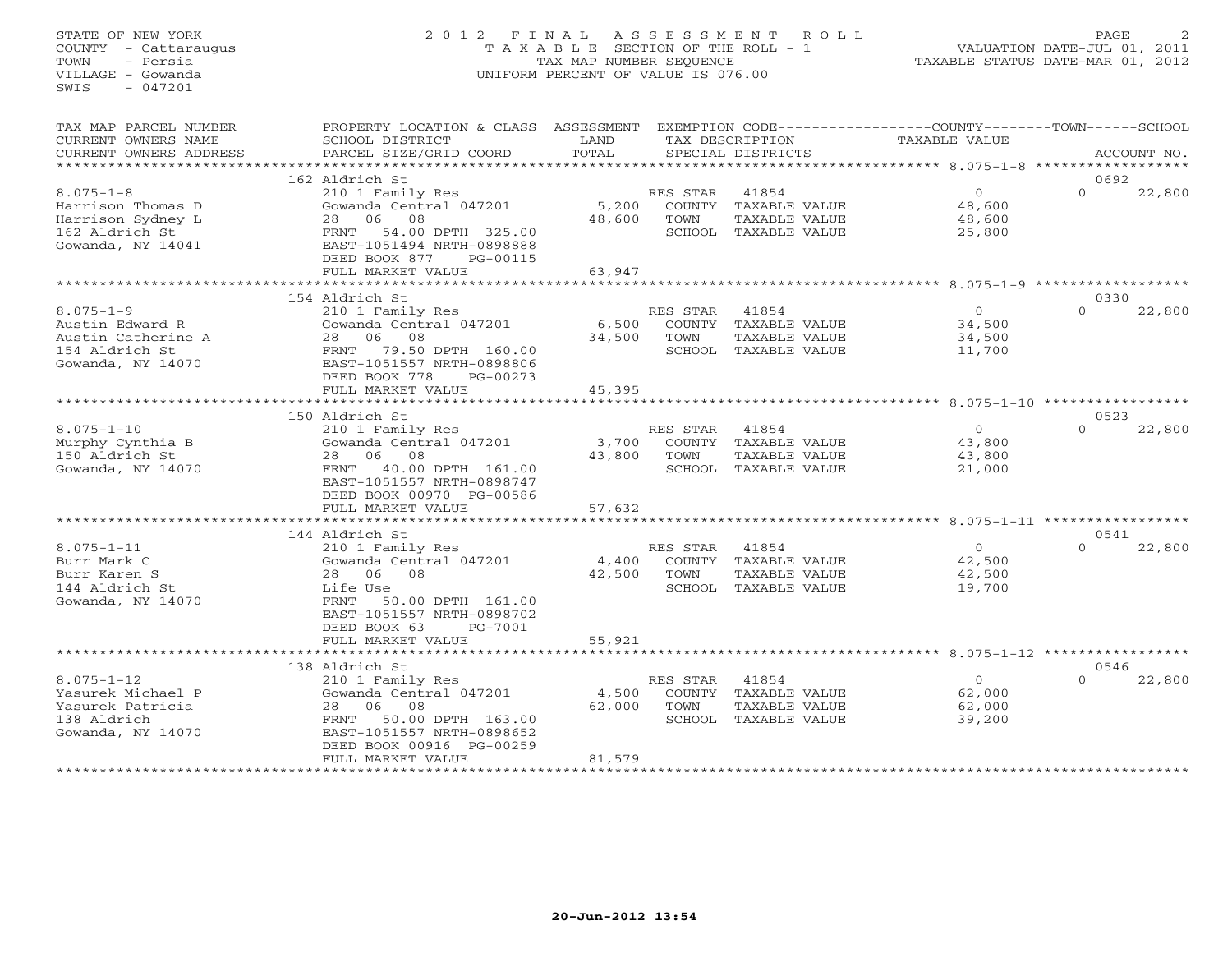# STATE OF NEW YORK 2 0 1 2 F I N A L A S S E S S M E N T R O L L PAGE 2 COUNTY - Cattaraugus T A X A B L E SECTION OF THE ROLL - 1 VALUATION DATE-JUL 01, 2011 TOWN - Persia TAX MAP NUMBER SEQUENCE TAXABLE STATUS DATE-MAR 01, 2012 VILLAGE - Gowanda UNIFORM PERCENT OF VALUE IS 076.00UNIFORM PERCENT OF VALUE IS 076.00

| SCHOOL DISTRICT                                                                                                                                                          | LAND<br>TOTAL                                                                                                                                                                                                                               |                                                               |                                                          | TAXABLE VALUE                                                                                                                              |                  | ACCOUNT NO.                                                                                                                                     |
|--------------------------------------------------------------------------------------------------------------------------------------------------------------------------|---------------------------------------------------------------------------------------------------------------------------------------------------------------------------------------------------------------------------------------------|---------------------------------------------------------------|----------------------------------------------------------|--------------------------------------------------------------------------------------------------------------------------------------------|------------------|-------------------------------------------------------------------------------------------------------------------------------------------------|
|                                                                                                                                                                          |                                                                                                                                                                                                                                             |                                                               |                                                          |                                                                                                                                            |                  |                                                                                                                                                 |
| 210 1 Family Res<br>Gowanda Central 047201<br>06<br>08<br>28<br>54.00 DPTH 325.00<br>FRNT<br>EAST-1051494 NRTH-0898888<br>DEED BOOK 877<br>PG-00115                      | 5,200<br>48,600                                                                                                                                                                                                                             | RES STAR<br>TOWN                                              | 41854<br>TAXABLE VALUE<br>TAXABLE VALUE                  | $\circ$<br>48,600<br>48,600<br>25,800                                                                                                      | 0692<br>$\Omega$ | 22,800                                                                                                                                          |
|                                                                                                                                                                          |                                                                                                                                                                                                                                             |                                                               |                                                          |                                                                                                                                            |                  |                                                                                                                                                 |
| 210 1 Family Res<br>Gowanda Central 047201<br>06<br>08<br>28<br>79.50 DPTH 160.00<br>FRNT<br>EAST-1051557 NRTH-0898806<br>DEED BOOK 778<br>PG-00273<br>FULL MARKET VALUE | 6,500<br>34,500<br>45,395                                                                                                                                                                                                                   | RES STAR<br>TOWN<br>SCHOOL                                    | 41854<br>TAXABLE VALUE<br>TAXABLE VALUE<br>TAXABLE VALUE | $\Omega$<br>34,500<br>34,500<br>11,700                                                                                                     | 0330<br>$\Omega$ | 22,800                                                                                                                                          |
|                                                                                                                                                                          |                                                                                                                                                                                                                                             |                                                               |                                                          |                                                                                                                                            | 0523             |                                                                                                                                                 |
| 210 1 Family Res<br>Gowanda Central 047201<br>06<br>08<br>28<br>40.00 DPTH 161.00<br>FRNT<br>EAST-1051557 NRTH-0898747<br>DEED BOOK 00970 PG-00586<br>FULL MARKET VALUE  | 3,700<br>43,800<br>57,632                                                                                                                                                                                                                   | RES STAR<br>TOWN                                              | 41854<br>TAXABLE VALUE                                   | $\Omega$<br>43,800<br>43,800<br>21,000                                                                                                     | $\Omega$         | 22,800                                                                                                                                          |
|                                                                                                                                                                          |                                                                                                                                                                                                                                             |                                                               |                                                          |                                                                                                                                            |                  |                                                                                                                                                 |
| 210 1 Family Res<br>Gowanda Central 047201<br>28 06<br>08<br>Life Use<br>FRNT<br>50.00 DPTH 161.00<br>EAST-1051557 NRTH-0898702<br>DEED BOOK 63<br>PG-7001               | 4,400<br>42,500                                                                                                                                                                                                                             | RES STAR<br>TOWN<br>SCHOOL                                    | 41854<br>TAXABLE VALUE<br>TAXABLE VALUE<br>TAXABLE VALUE | $\Omega$<br>42,500<br>42,500<br>19,700                                                                                                     | $\Omega$         | 22,800                                                                                                                                          |
| FULL MARKET VALUE                                                                                                                                                        | 55,921                                                                                                                                                                                                                                      |                                                               |                                                          |                                                                                                                                            |                  |                                                                                                                                                 |
|                                                                                                                                                                          |                                                                                                                                                                                                                                             |                                                               |                                                          |                                                                                                                                            |                  |                                                                                                                                                 |
| 210 1 Family Res<br>Gowanda Central 047201<br>06<br>08<br>28<br>50.00 DPTH 163.00<br>FRNT<br>EAST-1051557 NRTH-0898652<br>DEED BOOK 00916 PG-00259<br>FULL MARKET VALUE  | 4,500<br>62,000<br>81,579                                                                                                                                                                                                                   | RES STAR<br>COUNTY<br>TOWN<br>SCHOOL                          | 41854<br>TAXABLE VALUE<br>TAXABLE VALUE<br>TAXABLE VALUE | $\circ$<br>62,000<br>62,000<br>39,200                                                                                                      | $\Omega$         | 22,800                                                                                                                                          |
|                                                                                                                                                                          | PARCEL SIZE/GRID COORD<br>162 Aldrich St<br>FULL MARKET VALUE<br>****************************<br>154 Aldrich St<br>150 Aldrich St<br>******************<br>144 Aldrich St<br>**********************<br>138 Aldrich St<br>****************** | PROPERTY LOCATION & CLASS ASSESSMENT<br>63,947<br>*********** |                                                          | TAX DESCRIPTION<br>SPECIAL DISTRICTS<br>COUNTY<br>SCHOOL TAXABLE VALUE<br>COUNTY<br>COUNTY TAXABLE VALUE<br>SCHOOL TAXABLE VALUE<br>COUNTY |                  | EXEMPTION CODE-----------------COUNTY-------TOWN------SCHOOL<br>*********** 8.075-1-10 **********<br>$8.075 - 1 - 11$ *********<br>0541<br>0546 |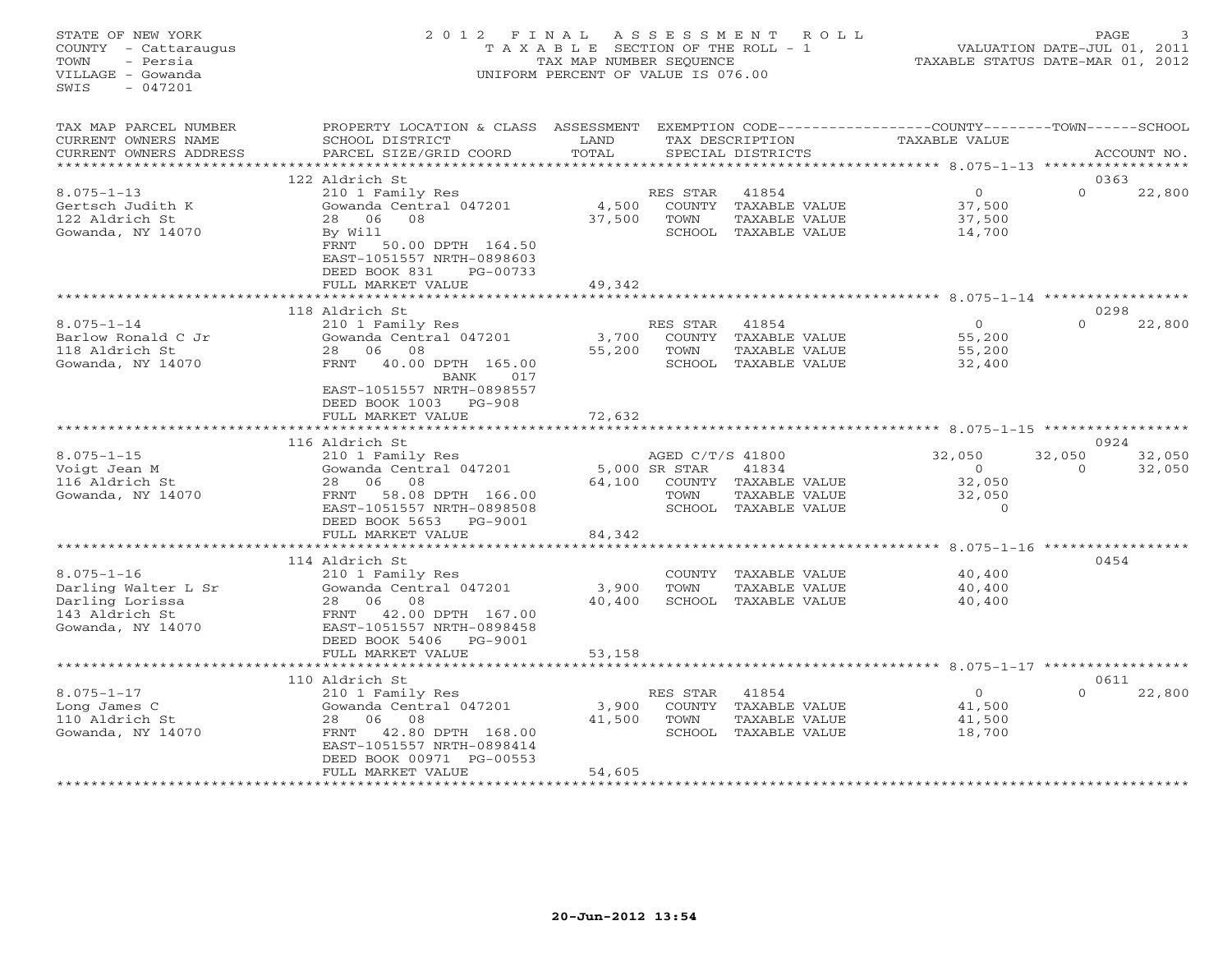# STATE OF NEW YORK 2 0 1 2 F I N A L A S S E S S M E N T R O L L PAGE 3 COUNTY - Cattaraugus T A X A B L E SECTION OF THE ROLL - 1 VALUATION DATE-JUL 01, 2011 TOWN - Persia TAX MAP NUMBER SEQUENCE TAXABLE STATUS DATE-MAR 01, 2012 VILLAGE - Gowanda UNIFORM PERCENT OF VALUE IS 076.00

TAX MAP PARCEL NUMBER PROPERTY LOCATION & CLASS ASSESSMENT EXEMPTION CODE----------------COUNTY-------TOWN------SCHOOL

| CURRENT OWNERS NAME<br>CURRENT OWNERS ADDRESS | SCHOOL DISTRICT<br>PARCEL SIZE/GRID COORD     | LAND<br>TOTAL |                                   | TAX DESCRIPTION<br>SPECIAL DISTRICTS | <b>TAXABLE VALUE</b>                                   |                    | ACCOUNT NO       |
|-----------------------------------------------|-----------------------------------------------|---------------|-----------------------------------|--------------------------------------|--------------------------------------------------------|--------------------|------------------|
|                                               |                                               |               |                                   |                                      | ***** 8.075-1-13                                       |                    |                  |
|                                               | 122 Aldrich St                                |               |                                   |                                      |                                                        |                    | 0363             |
| $8.075 - 1 - 13$                              | 210 1 Family Res                              |               | RES STAR                          | 41854                                | $\circ$                                                | $\Omega$           | 22,800           |
| Gertsch Judith K                              | Gowanda Central 047201                        | 4,500         | COUNTY                            | <b>TAXABLE VALUE</b>                 | 37,500                                                 |                    |                  |
| 122 Aldrich St                                | 06<br>08<br>28                                | 37,500        | TOWN                              | TAXABLE VALUE                        | 37,500                                                 |                    |                  |
| Gowanda, NY 14070                             | By Will                                       |               | SCHOOL                            | TAXABLE VALUE                        | 14,700                                                 |                    |                  |
|                                               | FRNT<br>50.00 DPTH 164.50                     |               |                                   |                                      |                                                        |                    |                  |
|                                               | EAST-1051557 NRTH-0898603                     |               |                                   |                                      |                                                        |                    |                  |
|                                               | DEED BOOK 831<br>PG-00733                     |               |                                   |                                      |                                                        |                    |                  |
|                                               | FULL MARKET VALUE                             | 49,342        |                                   |                                      |                                                        |                    |                  |
|                                               |                                               |               |                                   |                                      | ******** 8.075-1-14                                    |                    |                  |
|                                               | 118 Aldrich St                                |               |                                   |                                      |                                                        |                    | 0298             |
| $8.075 - 1 - 14$                              | 210 1 Family Res                              |               | RES STAR                          | 41854                                | $\Omega$                                               | $\Omega$           | 22,800           |
| Barlow Ronald C Jr                            | Gowanda Central 047201                        | 3,700         | COUNTY                            | TAXABLE VALUE                        | 55,200                                                 |                    |                  |
| 118 Aldrich St                                | 06<br>08<br>28                                | 55,200        | TOWN                              | TAXABLE VALUE                        | 55,200                                                 |                    |                  |
| Gowanda, NY 14070                             | 40.00 DPTH 165.00<br>FRNT                     |               | SCHOOL                            | TAXABLE VALUE                        | 32,400                                                 |                    |                  |
|                                               | <b>BANK</b><br>017                            |               |                                   |                                      |                                                        |                    |                  |
|                                               | EAST-1051557 NRTH-0898557                     |               |                                   |                                      |                                                        |                    |                  |
|                                               | DEED BOOK 1003<br>$PG-908$                    |               |                                   |                                      |                                                        |                    |                  |
|                                               | FULL MARKET VALUE                             | 72,632        |                                   |                                      |                                                        |                    |                  |
|                                               |                                               |               |                                   |                                      | ************** 8.075-1-15 *****************            |                    |                  |
|                                               | 116 Aldrich St                                |               |                                   |                                      |                                                        |                    | 0924             |
| $8.075 - 1 - 15$<br>Voigt Jean M              | 210 1 Family Res<br>Gowanda Central 047201    |               | AGED C/T/S 41800<br>5,000 SR STAR | 41834                                | 32,050<br>$\circ$                                      | 32,050<br>$\Omega$ | 32,050<br>32,050 |
| 116 Aldrich St                                | 08<br>06<br>28                                | 64,100        |                                   | COUNTY TAXABLE VALUE                 | 32,050                                                 |                    |                  |
| Gowanda, NY 14070                             | 58.08 DPTH 166.00<br>FRNT                     |               | TOWN                              | TAXABLE VALUE                        | 32,050                                                 |                    |                  |
|                                               | EAST-1051557 NRTH-0898508                     |               |                                   | SCHOOL TAXABLE VALUE                 | $\Omega$                                               |                    |                  |
|                                               | DEED BOOK 5653<br>PG-9001                     |               |                                   |                                      |                                                        |                    |                  |
|                                               | FULL MARKET VALUE                             | 84,342        |                                   |                                      |                                                        |                    |                  |
|                                               | * * * * * * * * * * * * * * * *               |               |                                   |                                      | $8.075 - 1 - 16$ ***********                           |                    |                  |
|                                               | 114 Aldrich St                                |               |                                   |                                      |                                                        |                    | 0454             |
| $8.075 - 1 - 16$                              | 210 1 Family Res                              |               | COUNTY                            | TAXABLE VALUE                        | 40,400                                                 |                    |                  |
| Darling Walter L Sr                           | Gowanda Central 047201                        | 3,900         | TOWN                              | TAXABLE VALUE                        | 40,400                                                 |                    |                  |
| Darling Lorissa                               | 06<br>08<br>28                                | 40,400        | SCHOOL                            | TAXABLE VALUE                        | 40,400                                                 |                    |                  |
| 143 Aldrich St                                | 42.00 DPTH 167.00<br>FRNT                     |               |                                   |                                      |                                                        |                    |                  |
| Gowanda, NY 14070                             | EAST-1051557 NRTH-0898458                     |               |                                   |                                      |                                                        |                    |                  |
|                                               | DEED BOOK 5406<br>PG-9001                     |               |                                   |                                      |                                                        |                    |                  |
|                                               | FULL MARKET VALUE                             | 53,158        |                                   |                                      |                                                        |                    |                  |
|                                               |                                               |               |                                   |                                      | ******************************** 8.075-1-17 ********** |                    |                  |
|                                               | 110 Aldrich St                                |               |                                   |                                      |                                                        |                    | 0611             |
| $8.075 - 1 - 17$                              | 210 1 Family Res                              |               | RES STAR                          | 41854                                | $\circ$                                                | $\Omega$           | 22,800           |
| Long James C                                  | Gowanda Central 047201                        | 3,900         | COUNTY                            | TAXABLE VALUE                        | 41,500                                                 |                    |                  |
| 110 Aldrich St                                | 08<br>06<br>28                                | 41,500        | TOWN                              | TAXABLE VALUE                        | 41,500                                                 |                    |                  |
| Gowanda, NY 14070                             | 42.80 DPTH 168.00<br>FRNT                     |               | SCHOOL                            | TAXABLE VALUE                        | 18,700                                                 |                    |                  |
|                                               | EAST-1051557 NRTH-0898414                     |               |                                   |                                      |                                                        |                    |                  |
|                                               | DEED BOOK 00971 PG-00553<br>FULL MARKET VALUE | 54,605        |                                   |                                      |                                                        |                    |                  |
|                                               |                                               |               |                                   |                                      |                                                        |                    |                  |
|                                               |                                               |               |                                   |                                      |                                                        |                    |                  |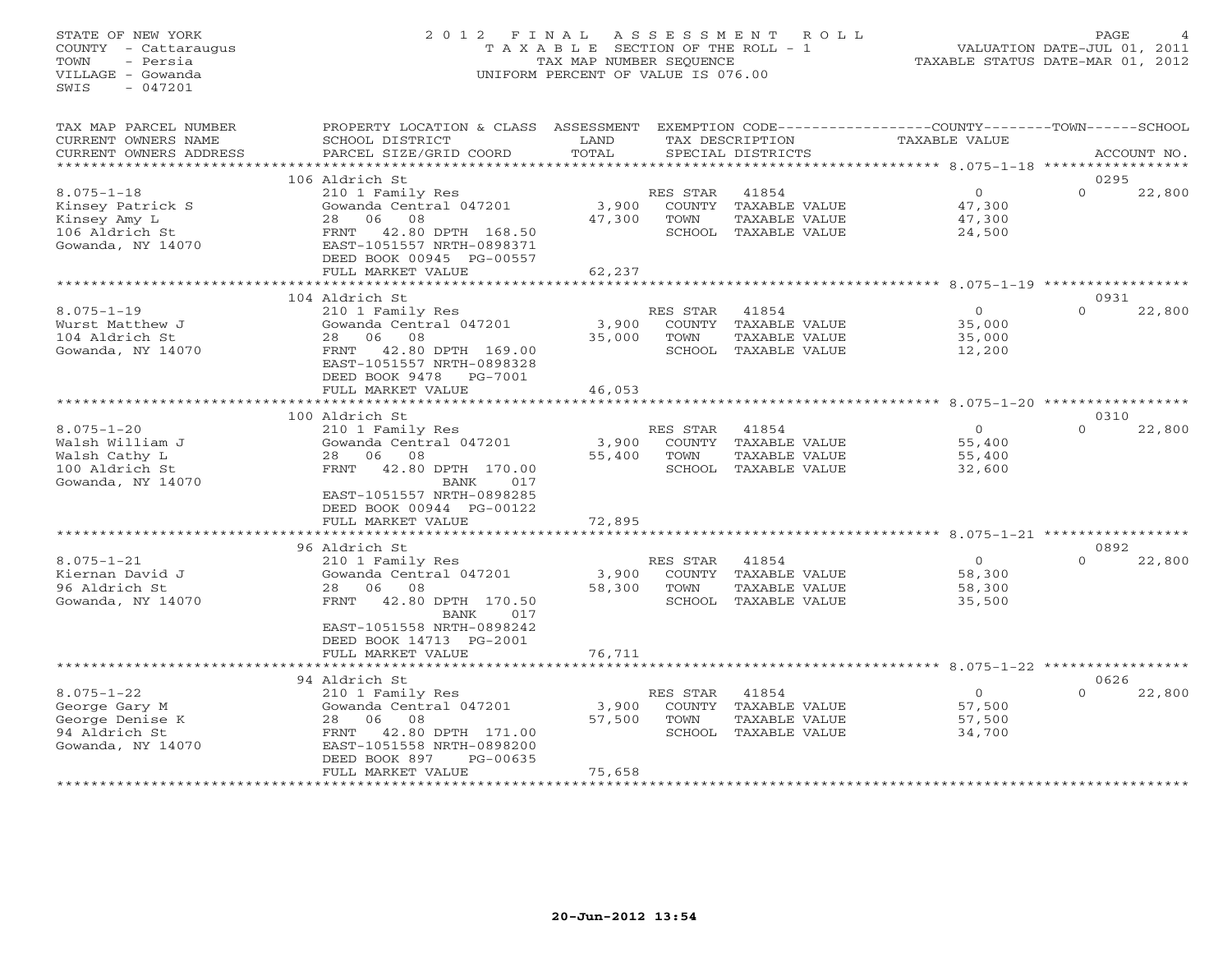# STATE OF NEW YORK 2 0 1 2 F I N A L A S S E S S M E N T R O L L PAGE 4 COUNTY - Cattaraugus T A X A B L E SECTION OF THE ROLL - 1 VALUATION DATE-JUL 01, 2011 TOWN - Persia TAX MAP NUMBER SEQUENCE TAXABLE STATUS DATE-MAR 01, 2012 VILLAGE - Gowanda UNIFORM PERCENT OF VALUE IS 076.00UNIFORM PERCENT OF VALUE IS 076.00

| CURRENT OWNERS NAME<br>TAX DESCRIPTION<br>TAXABLE VALUE<br>SCHOOL DISTRICT<br>LAND<br>TOTAL<br>CURRENT OWNERS ADDRESS<br>PARCEL SIZE/GRID COORD<br>SPECIAL DISTRICTS<br>ACCOUNT NO.<br>**********************<br>106 Aldrich St<br>0295<br>$\Omega$<br>$8.075 - 1 - 18$<br>210 1 Family Res<br>$\Omega$<br>22,800<br>RES STAR<br>41854<br>Gowanda Central 047201<br>3,900<br>COUNTY TAXABLE VALUE<br>47,300<br>Kinsey Patrick S<br>Kinsey Amy L<br>06 08<br>TAXABLE VALUE<br>28<br>47,300<br>TOWN<br>47,300<br>106 Aldrich St<br>42.80 DPTH 168.50<br>FRNT<br>SCHOOL TAXABLE VALUE<br>24,500<br>Gowanda, NY 14070<br>EAST-1051557 NRTH-0898371<br>DEED BOOK 00945 PG-00557<br>FULL MARKET VALUE<br>62,237<br>104 Aldrich St<br>0931<br>$8.075 - 1 - 19$<br>$\circ$<br>$\Omega$<br>22,800<br>210 1 Family Res<br>RES STAR<br>41854<br>Gowanda Central 047201<br>3,900<br>COUNTY TAXABLE VALUE<br>Wurst Matthew J<br>35,000<br>104 Aldrich St<br>28 06 08<br>35,000<br>TOWN<br>TAXABLE VALUE<br>35,000<br>FRNT<br>42.80 DPTH 169.00<br>SCHOOL TAXABLE VALUE<br>Gowanda, NY 14070<br>12,200<br>EAST-1051557 NRTH-0898328<br>DEED BOOK 9478 PG-7001<br>FULL MARKET VALUE<br>46,053<br>***************************<br>100 Aldrich St<br>0310<br>$8.075 - 1 - 20$<br>41854<br>$\Omega$<br>$\Omega$<br>22,800<br>210 1 Family Res<br>RES STAR<br>Walsh William J<br>Gowanda Central 047201<br>3,900<br>COUNTY TAXABLE VALUE<br>55,400<br>08<br>55,400<br>TAXABLE VALUE<br>Walsh Cathy L<br>28<br>06<br>TOWN<br>55,400<br>100 Aldrich St<br>SCHOOL TAXABLE VALUE<br>FRNT<br>42.80 DPTH 170.00<br>32,600<br>Gowanda, NY 14070<br>BANK<br>017<br>EAST-1051557 NRTH-0898285<br>DEED BOOK 00944 PG-00122<br>FULL MARKET VALUE<br>72,895<br>96 Aldrich St<br>0892<br>$8.075 - 1 - 21$<br>$\circ$<br>$\Omega$<br>22,800<br>210 1 Family Res<br>RES STAR<br>41854<br>COUNTY TAXABLE VALUE<br>Kiernan David J<br>Gowanda Central 047201<br>3,900<br>58,300<br>96 Aldrich St<br>58,300<br>28<br>06 08<br>TOWN<br><b>TAXABLE VALUE</b><br>58,300<br>Gowanda, NY 14070<br>42.80 DPTH 170.50<br>SCHOOL TAXABLE VALUE<br>FRNT<br>35,500<br>BANK<br>017<br>EAST-1051558 NRTH-0898242<br>DEED BOOK 14713 PG-2001<br>76,711<br>FULL MARKET VALUE<br>* * * * * * * * * * *<br>**************************** 8.075-1-22 *****************<br><b>+++++++++++++++++++</b><br>94 Aldrich St<br>0626<br>$8.075 - 1 - 22$<br>$\overline{0}$<br>22,800<br>210 1 Family Res<br>RES STAR<br>41854<br>$\Omega$<br>Gowanda Central 047201<br>3,900<br>57,500<br>George Gary M<br>COUNTY TAXABLE VALUE<br>George Denise K<br>28 06<br>08<br>57,500<br>TOWN<br>TAXABLE VALUE<br>57,500<br>94 Aldrich St<br>42.80 DPTH 171.00<br>SCHOOL TAXABLE VALUE<br>34,700<br>FRNT<br>Gowanda, NY 14070<br>EAST-1051558 NRTH-0898200<br>DEED BOOK 897<br>PG-00635<br>FULL MARKET VALUE<br>75,658 | TAX MAP PARCEL NUMBER | PROPERTY LOCATION & CLASS ASSESSMENT |  | EXEMPTION CODE-----------------COUNTY-------TOWN------SCHOOL |  |
|-----------------------------------------------------------------------------------------------------------------------------------------------------------------------------------------------------------------------------------------------------------------------------------------------------------------------------------------------------------------------------------------------------------------------------------------------------------------------------------------------------------------------------------------------------------------------------------------------------------------------------------------------------------------------------------------------------------------------------------------------------------------------------------------------------------------------------------------------------------------------------------------------------------------------------------------------------------------------------------------------------------------------------------------------------------------------------------------------------------------------------------------------------------------------------------------------------------------------------------------------------------------------------------------------------------------------------------------------------------------------------------------------------------------------------------------------------------------------------------------------------------------------------------------------------------------------------------------------------------------------------------------------------------------------------------------------------------------------------------------------------------------------------------------------------------------------------------------------------------------------------------------------------------------------------------------------------------------------------------------------------------------------------------------------------------------------------------------------------------------------------------------------------------------------------------------------------------------------------------------------------------------------------------------------------------------------------------------------------------------------------------------------------------------------------------------------------------------------------------------------------------------------------------------------------------------------------------------------------------------------------------------------------------------------------------------------------------------------------------------------------------------------------------------------------------------------------------------------|-----------------------|--------------------------------------|--|--------------------------------------------------------------|--|
|                                                                                                                                                                                                                                                                                                                                                                                                                                                                                                                                                                                                                                                                                                                                                                                                                                                                                                                                                                                                                                                                                                                                                                                                                                                                                                                                                                                                                                                                                                                                                                                                                                                                                                                                                                                                                                                                                                                                                                                                                                                                                                                                                                                                                                                                                                                                                                                                                                                                                                                                                                                                                                                                                                                                                                                                                                               |                       |                                      |  |                                                              |  |
|                                                                                                                                                                                                                                                                                                                                                                                                                                                                                                                                                                                                                                                                                                                                                                                                                                                                                                                                                                                                                                                                                                                                                                                                                                                                                                                                                                                                                                                                                                                                                                                                                                                                                                                                                                                                                                                                                                                                                                                                                                                                                                                                                                                                                                                                                                                                                                                                                                                                                                                                                                                                                                                                                                                                                                                                                                               |                       |                                      |  |                                                              |  |
|                                                                                                                                                                                                                                                                                                                                                                                                                                                                                                                                                                                                                                                                                                                                                                                                                                                                                                                                                                                                                                                                                                                                                                                                                                                                                                                                                                                                                                                                                                                                                                                                                                                                                                                                                                                                                                                                                                                                                                                                                                                                                                                                                                                                                                                                                                                                                                                                                                                                                                                                                                                                                                                                                                                                                                                                                                               |                       |                                      |  |                                                              |  |
|                                                                                                                                                                                                                                                                                                                                                                                                                                                                                                                                                                                                                                                                                                                                                                                                                                                                                                                                                                                                                                                                                                                                                                                                                                                                                                                                                                                                                                                                                                                                                                                                                                                                                                                                                                                                                                                                                                                                                                                                                                                                                                                                                                                                                                                                                                                                                                                                                                                                                                                                                                                                                                                                                                                                                                                                                                               |                       |                                      |  |                                                              |  |
|                                                                                                                                                                                                                                                                                                                                                                                                                                                                                                                                                                                                                                                                                                                                                                                                                                                                                                                                                                                                                                                                                                                                                                                                                                                                                                                                                                                                                                                                                                                                                                                                                                                                                                                                                                                                                                                                                                                                                                                                                                                                                                                                                                                                                                                                                                                                                                                                                                                                                                                                                                                                                                                                                                                                                                                                                                               |                       |                                      |  |                                                              |  |
|                                                                                                                                                                                                                                                                                                                                                                                                                                                                                                                                                                                                                                                                                                                                                                                                                                                                                                                                                                                                                                                                                                                                                                                                                                                                                                                                                                                                                                                                                                                                                                                                                                                                                                                                                                                                                                                                                                                                                                                                                                                                                                                                                                                                                                                                                                                                                                                                                                                                                                                                                                                                                                                                                                                                                                                                                                               |                       |                                      |  |                                                              |  |
|                                                                                                                                                                                                                                                                                                                                                                                                                                                                                                                                                                                                                                                                                                                                                                                                                                                                                                                                                                                                                                                                                                                                                                                                                                                                                                                                                                                                                                                                                                                                                                                                                                                                                                                                                                                                                                                                                                                                                                                                                                                                                                                                                                                                                                                                                                                                                                                                                                                                                                                                                                                                                                                                                                                                                                                                                                               |                       |                                      |  |                                                              |  |
|                                                                                                                                                                                                                                                                                                                                                                                                                                                                                                                                                                                                                                                                                                                                                                                                                                                                                                                                                                                                                                                                                                                                                                                                                                                                                                                                                                                                                                                                                                                                                                                                                                                                                                                                                                                                                                                                                                                                                                                                                                                                                                                                                                                                                                                                                                                                                                                                                                                                                                                                                                                                                                                                                                                                                                                                                                               |                       |                                      |  |                                                              |  |
|                                                                                                                                                                                                                                                                                                                                                                                                                                                                                                                                                                                                                                                                                                                                                                                                                                                                                                                                                                                                                                                                                                                                                                                                                                                                                                                                                                                                                                                                                                                                                                                                                                                                                                                                                                                                                                                                                                                                                                                                                                                                                                                                                                                                                                                                                                                                                                                                                                                                                                                                                                                                                                                                                                                                                                                                                                               |                       |                                      |  |                                                              |  |
|                                                                                                                                                                                                                                                                                                                                                                                                                                                                                                                                                                                                                                                                                                                                                                                                                                                                                                                                                                                                                                                                                                                                                                                                                                                                                                                                                                                                                                                                                                                                                                                                                                                                                                                                                                                                                                                                                                                                                                                                                                                                                                                                                                                                                                                                                                                                                                                                                                                                                                                                                                                                                                                                                                                                                                                                                                               |                       |                                      |  |                                                              |  |
|                                                                                                                                                                                                                                                                                                                                                                                                                                                                                                                                                                                                                                                                                                                                                                                                                                                                                                                                                                                                                                                                                                                                                                                                                                                                                                                                                                                                                                                                                                                                                                                                                                                                                                                                                                                                                                                                                                                                                                                                                                                                                                                                                                                                                                                                                                                                                                                                                                                                                                                                                                                                                                                                                                                                                                                                                                               |                       |                                      |  |                                                              |  |
|                                                                                                                                                                                                                                                                                                                                                                                                                                                                                                                                                                                                                                                                                                                                                                                                                                                                                                                                                                                                                                                                                                                                                                                                                                                                                                                                                                                                                                                                                                                                                                                                                                                                                                                                                                                                                                                                                                                                                                                                                                                                                                                                                                                                                                                                                                                                                                                                                                                                                                                                                                                                                                                                                                                                                                                                                                               |                       |                                      |  |                                                              |  |
|                                                                                                                                                                                                                                                                                                                                                                                                                                                                                                                                                                                                                                                                                                                                                                                                                                                                                                                                                                                                                                                                                                                                                                                                                                                                                                                                                                                                                                                                                                                                                                                                                                                                                                                                                                                                                                                                                                                                                                                                                                                                                                                                                                                                                                                                                                                                                                                                                                                                                                                                                                                                                                                                                                                                                                                                                                               |                       |                                      |  |                                                              |  |
|                                                                                                                                                                                                                                                                                                                                                                                                                                                                                                                                                                                                                                                                                                                                                                                                                                                                                                                                                                                                                                                                                                                                                                                                                                                                                                                                                                                                                                                                                                                                                                                                                                                                                                                                                                                                                                                                                                                                                                                                                                                                                                                                                                                                                                                                                                                                                                                                                                                                                                                                                                                                                                                                                                                                                                                                                                               |                       |                                      |  |                                                              |  |
|                                                                                                                                                                                                                                                                                                                                                                                                                                                                                                                                                                                                                                                                                                                                                                                                                                                                                                                                                                                                                                                                                                                                                                                                                                                                                                                                                                                                                                                                                                                                                                                                                                                                                                                                                                                                                                                                                                                                                                                                                                                                                                                                                                                                                                                                                                                                                                                                                                                                                                                                                                                                                                                                                                                                                                                                                                               |                       |                                      |  |                                                              |  |
|                                                                                                                                                                                                                                                                                                                                                                                                                                                                                                                                                                                                                                                                                                                                                                                                                                                                                                                                                                                                                                                                                                                                                                                                                                                                                                                                                                                                                                                                                                                                                                                                                                                                                                                                                                                                                                                                                                                                                                                                                                                                                                                                                                                                                                                                                                                                                                                                                                                                                                                                                                                                                                                                                                                                                                                                                                               |                       |                                      |  |                                                              |  |
|                                                                                                                                                                                                                                                                                                                                                                                                                                                                                                                                                                                                                                                                                                                                                                                                                                                                                                                                                                                                                                                                                                                                                                                                                                                                                                                                                                                                                                                                                                                                                                                                                                                                                                                                                                                                                                                                                                                                                                                                                                                                                                                                                                                                                                                                                                                                                                                                                                                                                                                                                                                                                                                                                                                                                                                                                                               |                       |                                      |  |                                                              |  |
|                                                                                                                                                                                                                                                                                                                                                                                                                                                                                                                                                                                                                                                                                                                                                                                                                                                                                                                                                                                                                                                                                                                                                                                                                                                                                                                                                                                                                                                                                                                                                                                                                                                                                                                                                                                                                                                                                                                                                                                                                                                                                                                                                                                                                                                                                                                                                                                                                                                                                                                                                                                                                                                                                                                                                                                                                                               |                       |                                      |  |                                                              |  |
|                                                                                                                                                                                                                                                                                                                                                                                                                                                                                                                                                                                                                                                                                                                                                                                                                                                                                                                                                                                                                                                                                                                                                                                                                                                                                                                                                                                                                                                                                                                                                                                                                                                                                                                                                                                                                                                                                                                                                                                                                                                                                                                                                                                                                                                                                                                                                                                                                                                                                                                                                                                                                                                                                                                                                                                                                                               |                       |                                      |  |                                                              |  |
|                                                                                                                                                                                                                                                                                                                                                                                                                                                                                                                                                                                                                                                                                                                                                                                                                                                                                                                                                                                                                                                                                                                                                                                                                                                                                                                                                                                                                                                                                                                                                                                                                                                                                                                                                                                                                                                                                                                                                                                                                                                                                                                                                                                                                                                                                                                                                                                                                                                                                                                                                                                                                                                                                                                                                                                                                                               |                       |                                      |  |                                                              |  |
|                                                                                                                                                                                                                                                                                                                                                                                                                                                                                                                                                                                                                                                                                                                                                                                                                                                                                                                                                                                                                                                                                                                                                                                                                                                                                                                                                                                                                                                                                                                                                                                                                                                                                                                                                                                                                                                                                                                                                                                                                                                                                                                                                                                                                                                                                                                                                                                                                                                                                                                                                                                                                                                                                                                                                                                                                                               |                       |                                      |  |                                                              |  |
|                                                                                                                                                                                                                                                                                                                                                                                                                                                                                                                                                                                                                                                                                                                                                                                                                                                                                                                                                                                                                                                                                                                                                                                                                                                                                                                                                                                                                                                                                                                                                                                                                                                                                                                                                                                                                                                                                                                                                                                                                                                                                                                                                                                                                                                                                                                                                                                                                                                                                                                                                                                                                                                                                                                                                                                                                                               |                       |                                      |  |                                                              |  |
|                                                                                                                                                                                                                                                                                                                                                                                                                                                                                                                                                                                                                                                                                                                                                                                                                                                                                                                                                                                                                                                                                                                                                                                                                                                                                                                                                                                                                                                                                                                                                                                                                                                                                                                                                                                                                                                                                                                                                                                                                                                                                                                                                                                                                                                                                                                                                                                                                                                                                                                                                                                                                                                                                                                                                                                                                                               |                       |                                      |  |                                                              |  |
|                                                                                                                                                                                                                                                                                                                                                                                                                                                                                                                                                                                                                                                                                                                                                                                                                                                                                                                                                                                                                                                                                                                                                                                                                                                                                                                                                                                                                                                                                                                                                                                                                                                                                                                                                                                                                                                                                                                                                                                                                                                                                                                                                                                                                                                                                                                                                                                                                                                                                                                                                                                                                                                                                                                                                                                                                                               |                       |                                      |  |                                                              |  |
|                                                                                                                                                                                                                                                                                                                                                                                                                                                                                                                                                                                                                                                                                                                                                                                                                                                                                                                                                                                                                                                                                                                                                                                                                                                                                                                                                                                                                                                                                                                                                                                                                                                                                                                                                                                                                                                                                                                                                                                                                                                                                                                                                                                                                                                                                                                                                                                                                                                                                                                                                                                                                                                                                                                                                                                                                                               |                       |                                      |  |                                                              |  |
|                                                                                                                                                                                                                                                                                                                                                                                                                                                                                                                                                                                                                                                                                                                                                                                                                                                                                                                                                                                                                                                                                                                                                                                                                                                                                                                                                                                                                                                                                                                                                                                                                                                                                                                                                                                                                                                                                                                                                                                                                                                                                                                                                                                                                                                                                                                                                                                                                                                                                                                                                                                                                                                                                                                                                                                                                                               |                       |                                      |  |                                                              |  |
|                                                                                                                                                                                                                                                                                                                                                                                                                                                                                                                                                                                                                                                                                                                                                                                                                                                                                                                                                                                                                                                                                                                                                                                                                                                                                                                                                                                                                                                                                                                                                                                                                                                                                                                                                                                                                                                                                                                                                                                                                                                                                                                                                                                                                                                                                                                                                                                                                                                                                                                                                                                                                                                                                                                                                                                                                                               |                       |                                      |  |                                                              |  |
|                                                                                                                                                                                                                                                                                                                                                                                                                                                                                                                                                                                                                                                                                                                                                                                                                                                                                                                                                                                                                                                                                                                                                                                                                                                                                                                                                                                                                                                                                                                                                                                                                                                                                                                                                                                                                                                                                                                                                                                                                                                                                                                                                                                                                                                                                                                                                                                                                                                                                                                                                                                                                                                                                                                                                                                                                                               |                       |                                      |  |                                                              |  |
|                                                                                                                                                                                                                                                                                                                                                                                                                                                                                                                                                                                                                                                                                                                                                                                                                                                                                                                                                                                                                                                                                                                                                                                                                                                                                                                                                                                                                                                                                                                                                                                                                                                                                                                                                                                                                                                                                                                                                                                                                                                                                                                                                                                                                                                                                                                                                                                                                                                                                                                                                                                                                                                                                                                                                                                                                                               |                       |                                      |  |                                                              |  |
|                                                                                                                                                                                                                                                                                                                                                                                                                                                                                                                                                                                                                                                                                                                                                                                                                                                                                                                                                                                                                                                                                                                                                                                                                                                                                                                                                                                                                                                                                                                                                                                                                                                                                                                                                                                                                                                                                                                                                                                                                                                                                                                                                                                                                                                                                                                                                                                                                                                                                                                                                                                                                                                                                                                                                                                                                                               |                       |                                      |  |                                                              |  |
|                                                                                                                                                                                                                                                                                                                                                                                                                                                                                                                                                                                                                                                                                                                                                                                                                                                                                                                                                                                                                                                                                                                                                                                                                                                                                                                                                                                                                                                                                                                                                                                                                                                                                                                                                                                                                                                                                                                                                                                                                                                                                                                                                                                                                                                                                                                                                                                                                                                                                                                                                                                                                                                                                                                                                                                                                                               |                       |                                      |  |                                                              |  |
|                                                                                                                                                                                                                                                                                                                                                                                                                                                                                                                                                                                                                                                                                                                                                                                                                                                                                                                                                                                                                                                                                                                                                                                                                                                                                                                                                                                                                                                                                                                                                                                                                                                                                                                                                                                                                                                                                                                                                                                                                                                                                                                                                                                                                                                                                                                                                                                                                                                                                                                                                                                                                                                                                                                                                                                                                                               |                       |                                      |  |                                                              |  |
|                                                                                                                                                                                                                                                                                                                                                                                                                                                                                                                                                                                                                                                                                                                                                                                                                                                                                                                                                                                                                                                                                                                                                                                                                                                                                                                                                                                                                                                                                                                                                                                                                                                                                                                                                                                                                                                                                                                                                                                                                                                                                                                                                                                                                                                                                                                                                                                                                                                                                                                                                                                                                                                                                                                                                                                                                                               |                       |                                      |  |                                                              |  |
|                                                                                                                                                                                                                                                                                                                                                                                                                                                                                                                                                                                                                                                                                                                                                                                                                                                                                                                                                                                                                                                                                                                                                                                                                                                                                                                                                                                                                                                                                                                                                                                                                                                                                                                                                                                                                                                                                                                                                                                                                                                                                                                                                                                                                                                                                                                                                                                                                                                                                                                                                                                                                                                                                                                                                                                                                                               |                       |                                      |  |                                                              |  |
|                                                                                                                                                                                                                                                                                                                                                                                                                                                                                                                                                                                                                                                                                                                                                                                                                                                                                                                                                                                                                                                                                                                                                                                                                                                                                                                                                                                                                                                                                                                                                                                                                                                                                                                                                                                                                                                                                                                                                                                                                                                                                                                                                                                                                                                                                                                                                                                                                                                                                                                                                                                                                                                                                                                                                                                                                                               |                       |                                      |  |                                                              |  |
|                                                                                                                                                                                                                                                                                                                                                                                                                                                                                                                                                                                                                                                                                                                                                                                                                                                                                                                                                                                                                                                                                                                                                                                                                                                                                                                                                                                                                                                                                                                                                                                                                                                                                                                                                                                                                                                                                                                                                                                                                                                                                                                                                                                                                                                                                                                                                                                                                                                                                                                                                                                                                                                                                                                                                                                                                                               |                       |                                      |  |                                                              |  |
|                                                                                                                                                                                                                                                                                                                                                                                                                                                                                                                                                                                                                                                                                                                                                                                                                                                                                                                                                                                                                                                                                                                                                                                                                                                                                                                                                                                                                                                                                                                                                                                                                                                                                                                                                                                                                                                                                                                                                                                                                                                                                                                                                                                                                                                                                                                                                                                                                                                                                                                                                                                                                                                                                                                                                                                                                                               |                       |                                      |  |                                                              |  |
|                                                                                                                                                                                                                                                                                                                                                                                                                                                                                                                                                                                                                                                                                                                                                                                                                                                                                                                                                                                                                                                                                                                                                                                                                                                                                                                                                                                                                                                                                                                                                                                                                                                                                                                                                                                                                                                                                                                                                                                                                                                                                                                                                                                                                                                                                                                                                                                                                                                                                                                                                                                                                                                                                                                                                                                                                                               |                       |                                      |  |                                                              |  |
|                                                                                                                                                                                                                                                                                                                                                                                                                                                                                                                                                                                                                                                                                                                                                                                                                                                                                                                                                                                                                                                                                                                                                                                                                                                                                                                                                                                                                                                                                                                                                                                                                                                                                                                                                                                                                                                                                                                                                                                                                                                                                                                                                                                                                                                                                                                                                                                                                                                                                                                                                                                                                                                                                                                                                                                                                                               |                       |                                      |  |                                                              |  |
|                                                                                                                                                                                                                                                                                                                                                                                                                                                                                                                                                                                                                                                                                                                                                                                                                                                                                                                                                                                                                                                                                                                                                                                                                                                                                                                                                                                                                                                                                                                                                                                                                                                                                                                                                                                                                                                                                                                                                                                                                                                                                                                                                                                                                                                                                                                                                                                                                                                                                                                                                                                                                                                                                                                                                                                                                                               |                       |                                      |  |                                                              |  |
|                                                                                                                                                                                                                                                                                                                                                                                                                                                                                                                                                                                                                                                                                                                                                                                                                                                                                                                                                                                                                                                                                                                                                                                                                                                                                                                                                                                                                                                                                                                                                                                                                                                                                                                                                                                                                                                                                                                                                                                                                                                                                                                                                                                                                                                                                                                                                                                                                                                                                                                                                                                                                                                                                                                                                                                                                                               |                       |                                      |  |                                                              |  |
|                                                                                                                                                                                                                                                                                                                                                                                                                                                                                                                                                                                                                                                                                                                                                                                                                                                                                                                                                                                                                                                                                                                                                                                                                                                                                                                                                                                                                                                                                                                                                                                                                                                                                                                                                                                                                                                                                                                                                                                                                                                                                                                                                                                                                                                                                                                                                                                                                                                                                                                                                                                                                                                                                                                                                                                                                                               |                       |                                      |  |                                                              |  |
|                                                                                                                                                                                                                                                                                                                                                                                                                                                                                                                                                                                                                                                                                                                                                                                                                                                                                                                                                                                                                                                                                                                                                                                                                                                                                                                                                                                                                                                                                                                                                                                                                                                                                                                                                                                                                                                                                                                                                                                                                                                                                                                                                                                                                                                                                                                                                                                                                                                                                                                                                                                                                                                                                                                                                                                                                                               |                       |                                      |  |                                                              |  |
|                                                                                                                                                                                                                                                                                                                                                                                                                                                                                                                                                                                                                                                                                                                                                                                                                                                                                                                                                                                                                                                                                                                                                                                                                                                                                                                                                                                                                                                                                                                                                                                                                                                                                                                                                                                                                                                                                                                                                                                                                                                                                                                                                                                                                                                                                                                                                                                                                                                                                                                                                                                                                                                                                                                                                                                                                                               |                       |                                      |  |                                                              |  |
|                                                                                                                                                                                                                                                                                                                                                                                                                                                                                                                                                                                                                                                                                                                                                                                                                                                                                                                                                                                                                                                                                                                                                                                                                                                                                                                                                                                                                                                                                                                                                                                                                                                                                                                                                                                                                                                                                                                                                                                                                                                                                                                                                                                                                                                                                                                                                                                                                                                                                                                                                                                                                                                                                                                                                                                                                                               |                       |                                      |  |                                                              |  |
|                                                                                                                                                                                                                                                                                                                                                                                                                                                                                                                                                                                                                                                                                                                                                                                                                                                                                                                                                                                                                                                                                                                                                                                                                                                                                                                                                                                                                                                                                                                                                                                                                                                                                                                                                                                                                                                                                                                                                                                                                                                                                                                                                                                                                                                                                                                                                                                                                                                                                                                                                                                                                                                                                                                                                                                                                                               |                       |                                      |  |                                                              |  |
|                                                                                                                                                                                                                                                                                                                                                                                                                                                                                                                                                                                                                                                                                                                                                                                                                                                                                                                                                                                                                                                                                                                                                                                                                                                                                                                                                                                                                                                                                                                                                                                                                                                                                                                                                                                                                                                                                                                                                                                                                                                                                                                                                                                                                                                                                                                                                                                                                                                                                                                                                                                                                                                                                                                                                                                                                                               |                       |                                      |  |                                                              |  |
|                                                                                                                                                                                                                                                                                                                                                                                                                                                                                                                                                                                                                                                                                                                                                                                                                                                                                                                                                                                                                                                                                                                                                                                                                                                                                                                                                                                                                                                                                                                                                                                                                                                                                                                                                                                                                                                                                                                                                                                                                                                                                                                                                                                                                                                                                                                                                                                                                                                                                                                                                                                                                                                                                                                                                                                                                                               |                       |                                      |  |                                                              |  |
|                                                                                                                                                                                                                                                                                                                                                                                                                                                                                                                                                                                                                                                                                                                                                                                                                                                                                                                                                                                                                                                                                                                                                                                                                                                                                                                                                                                                                                                                                                                                                                                                                                                                                                                                                                                                                                                                                                                                                                                                                                                                                                                                                                                                                                                                                                                                                                                                                                                                                                                                                                                                                                                                                                                                                                                                                                               |                       |                                      |  |                                                              |  |
|                                                                                                                                                                                                                                                                                                                                                                                                                                                                                                                                                                                                                                                                                                                                                                                                                                                                                                                                                                                                                                                                                                                                                                                                                                                                                                                                                                                                                                                                                                                                                                                                                                                                                                                                                                                                                                                                                                                                                                                                                                                                                                                                                                                                                                                                                                                                                                                                                                                                                                                                                                                                                                                                                                                                                                                                                                               |                       |                                      |  |                                                              |  |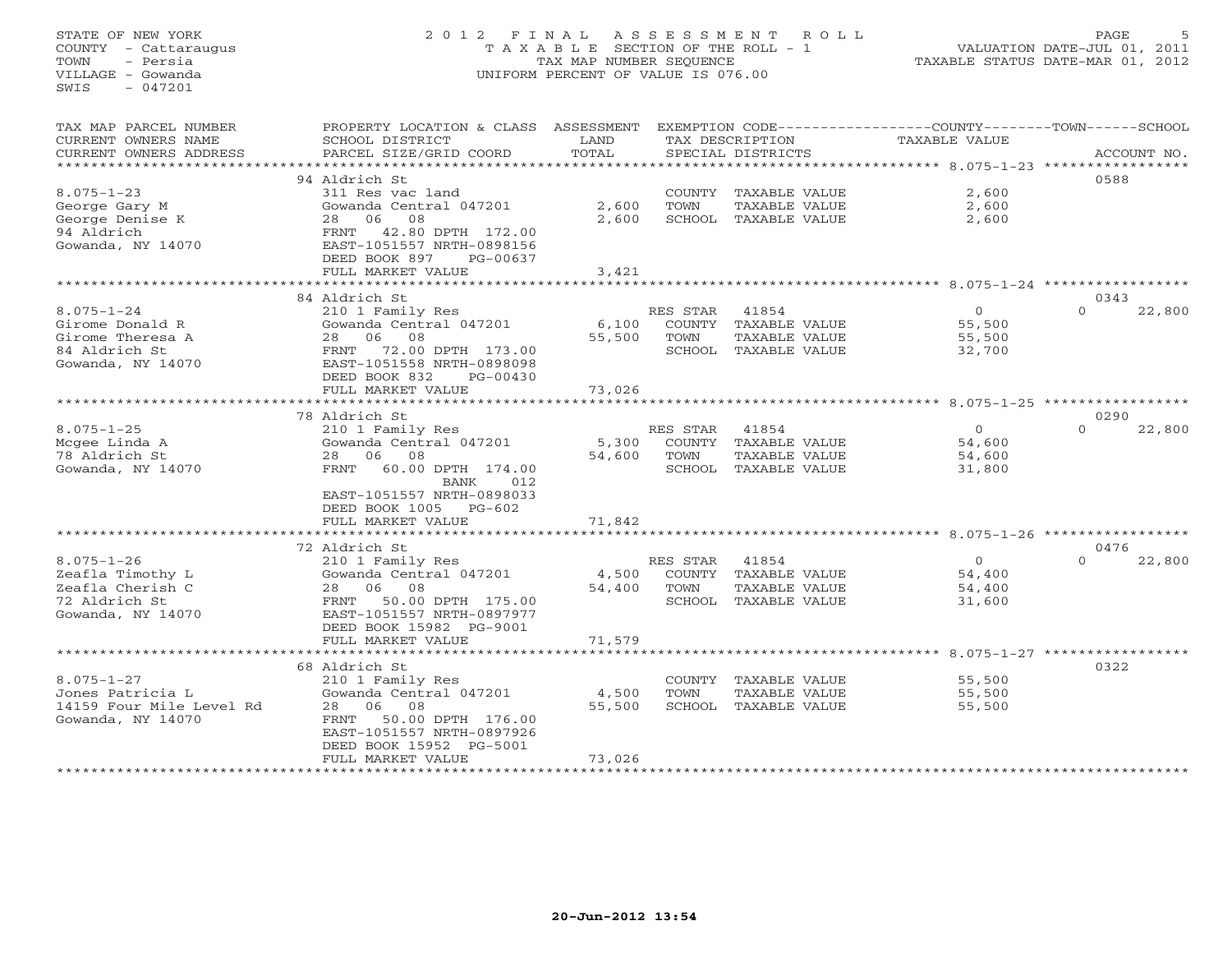# STATE OF NEW YORK 2 0 1 2 F I N A L A S S E S S M E N T R O L L PAGE 5 COUNTY - Cattaraugus T A X A B L E SECTION OF THE ROLL - 1 VALUATION DATE-JUL 01, 2011 TOWN - Persia TAX MAP NUMBER SEQUENCE TAXABLE STATUS DATE-MAR 01, 2012 VILLAGE - Gowanda UNIFORM PERCENT OF VALUE IS 076.00

| TAX MAP PARCEL NUMBER                         | PROPERTY LOCATION & CLASS                              | ASSESSMENT    |          |                                       | EXEMPTION CODE----------------COUNTY-------TOWN-----SCHOOL           |          |             |
|-----------------------------------------------|--------------------------------------------------------|---------------|----------|---------------------------------------|----------------------------------------------------------------------|----------|-------------|
| CURRENT OWNERS NAME<br>CURRENT OWNERS ADDRESS | SCHOOL DISTRICT<br>PARCEL SIZE/GRID COORD              | LAND<br>TOTAL |          | TAX DESCRIPTION                       | TAXABLE VALUE                                                        |          | ACCOUNT NO. |
|                                               |                                                        | ************  |          | SPECIAL DISTRICTS                     | ************************************** 8.075-1-23 ****************** |          |             |
|                                               | 94 Aldrich St                                          |               |          |                                       |                                                                      | 0588     |             |
| $8.075 - 1 - 23$                              | 311 Res vac land                                       |               | COUNTY   | TAXABLE VALUE                         | 2,600                                                                |          |             |
| George Gary M                                 | Gowanda Central 047201                                 | 2,600         | TOWN     | TAXABLE VALUE                         | 2,600                                                                |          |             |
| George Denise K                               | 06<br>08<br>28                                         | 2,600         |          | SCHOOL TAXABLE VALUE                  | 2,600                                                                |          |             |
| 94 Aldrich                                    | 42.80 DPTH 172.00<br>FRNT                              |               |          |                                       |                                                                      |          |             |
| Gowanda, NY 14070                             | EAST-1051557 NRTH-0898156                              |               |          |                                       |                                                                      |          |             |
|                                               | DEED BOOK 897<br>PG-00637                              |               |          |                                       |                                                                      |          |             |
|                                               | FULL MARKET VALUE                                      | 3,421         |          |                                       |                                                                      |          |             |
|                                               | 84 Aldrich St                                          |               |          |                                       | ****************** 8.075-1-24 ************                           | 0343     |             |
| $8.075 - 1 - 24$                              | 210 1 Family Res                                       |               | RES STAR | 41854                                 | $\Omega$                                                             | $\Omega$ | 22,800      |
| Girome Donald R                               | Gowanda Central 047201                                 | 6,100         | COUNTY   | TAXABLE VALUE                         | 55,500                                                               |          |             |
| Girome Theresa A                              | 28<br>06<br>08                                         | 55,500        | TOWN     | TAXABLE VALUE                         | 55,500                                                               |          |             |
| 84 Aldrich St                                 | 72.00 DPTH 173.00<br>FRNT                              |               |          | SCHOOL TAXABLE VALUE                  | 32,700                                                               |          |             |
| Gowanda, NY 14070                             | EAST-1051558 NRTH-0898098                              |               |          |                                       |                                                                      |          |             |
|                                               | DEED BOOK 832<br>PG-00430                              |               |          |                                       |                                                                      |          |             |
|                                               | FULL MARKET VALUE                                      | 73,026        |          |                                       |                                                                      |          |             |
|                                               |                                                        | *********     |          |                                       | ****************** 8.075-1-25 **********                             |          |             |
|                                               | 78 Aldrich St                                          |               |          |                                       |                                                                      | 0290     |             |
| $8.075 - 1 - 25$                              | 210 1 Family Res                                       |               | RES STAR | 41854                                 | $\circ$                                                              | $\Omega$ | 22,800      |
| Mcgee Linda A                                 | Gowanda Central 047201                                 | 5,300         | COUNTY   | TAXABLE VALUE                         | 54,600                                                               |          |             |
| 78 Aldrich St<br>Gowanda, NY 14070            | 06<br>08<br>28<br>60.00 DPTH 174.00<br>FRNT            | 54,600        | TOWN     | TAXABLE VALUE<br>SCHOOL TAXABLE VALUE | 54,600<br>31,800                                                     |          |             |
|                                               | 012<br>BANK                                            |               |          |                                       |                                                                      |          |             |
|                                               | EAST-1051557 NRTH-0898033                              |               |          |                                       |                                                                      |          |             |
|                                               | DEED BOOK 1005 PG-602                                  |               |          |                                       |                                                                      |          |             |
|                                               | FULL MARKET VALUE                                      | 71,842        |          |                                       |                                                                      |          |             |
|                                               |                                                        |               |          |                                       |                                                                      |          |             |
|                                               | 72 Aldrich St                                          |               |          |                                       |                                                                      | 0476     |             |
| $8.075 - 1 - 26$                              | 210 1 Family Res                                       |               | RES STAR | 41854                                 | $\circ$                                                              | $\Omega$ | 22,800      |
| Zeafla Timothy L                              | Gowanda Central 047201                                 | 4,500         |          | COUNTY TAXABLE VALUE                  | 54,400                                                               |          |             |
| Zeafla Cherish C                              | 06<br>08<br>28                                         | 54,400        | TOWN     | TAXABLE VALUE                         | 54,400                                                               |          |             |
| 72 Aldrich St<br>Gowanda, NY 14070            | 50.00 DPTH 175.00<br>FRNT<br>EAST-1051557 NRTH-0897977 |               | SCHOOL   | TAXABLE VALUE                         | 31,600                                                               |          |             |
|                                               | DEED BOOK 15982 PG-9001                                |               |          |                                       |                                                                      |          |             |
|                                               | FULL MARKET VALUE                                      | 71,579        |          |                                       |                                                                      |          |             |
|                                               |                                                        |               |          |                                       |                                                                      |          |             |
|                                               | 68 Aldrich St                                          |               |          |                                       |                                                                      | 0322     |             |
| $8.075 - 1 - 27$                              | 210 1 Family Res                                       |               | COUNTY   | TAXABLE VALUE                         | 55,500                                                               |          |             |
| Jones Patricia L                              | Gowanda Central 047201                                 | 4,500         | TOWN     | TAXABLE VALUE                         | 55,500                                                               |          |             |
| 14159 Four Mile Level Rd                      | 06<br>08<br>28                                         | 55,500        |          | SCHOOL TAXABLE VALUE                  | 55,500                                                               |          |             |
| Gowanda, NY 14070                             | 50.00 DPTH 176.00<br>FRNT                              |               |          |                                       |                                                                      |          |             |
|                                               | EAST-1051557 NRTH-0897926<br>DEED BOOK 15952 PG-5001   |               |          |                                       |                                                                      |          |             |
|                                               | FULL MARKET VALUE                                      | 73,026        |          |                                       |                                                                      |          |             |
|                                               |                                                        |               |          |                                       |                                                                      |          |             |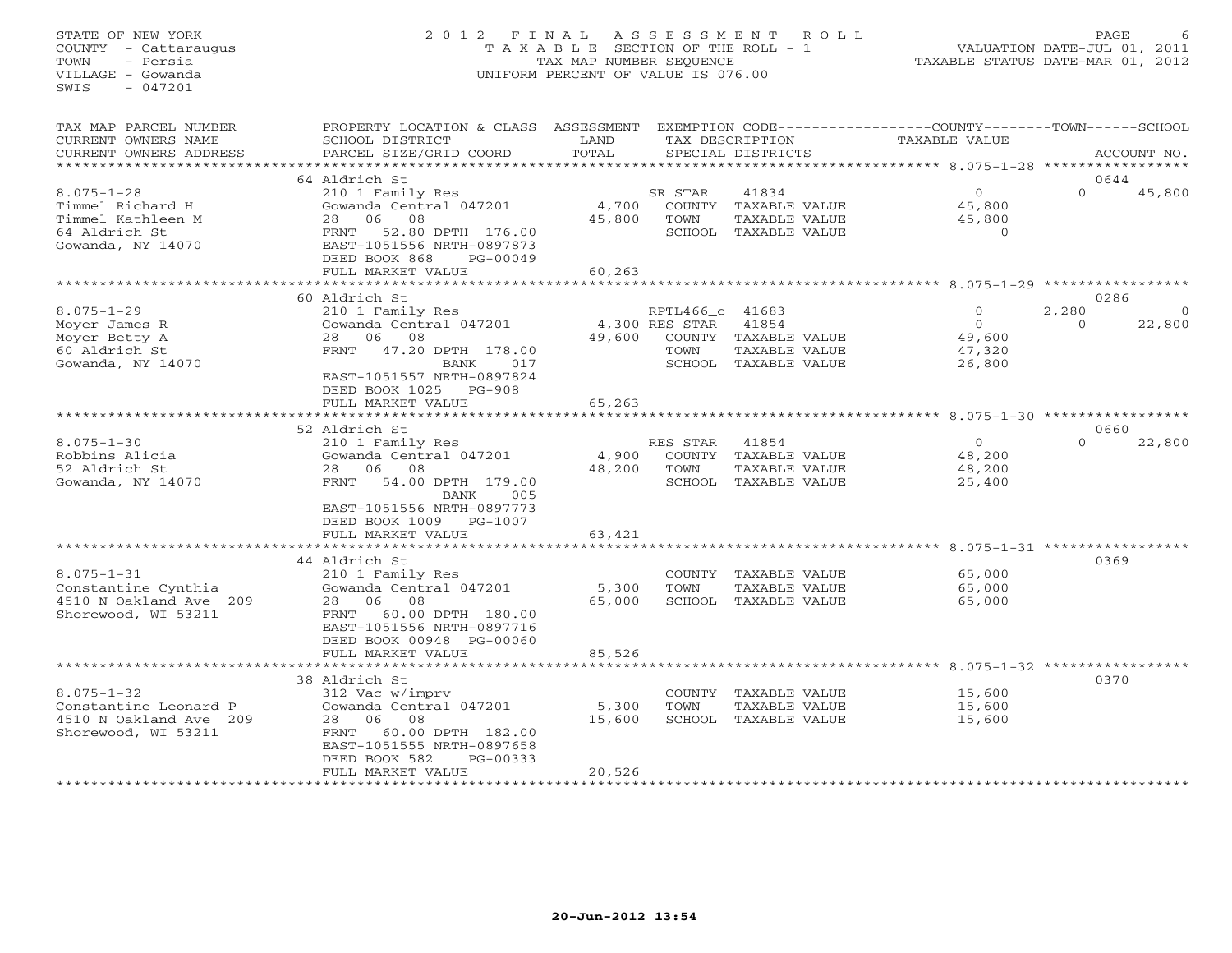# STATE OF NEW YORK 2 0 1 2 F I N A L A S S E S S M E N T R O L L PAGE 6 COUNTY - Cattaraugus T A X A B L E SECTION OF THE ROLL - 1 VALUATION DATE-JUL 01, 2011 TOWN - Persia TAX MAP NUMBER SEQUENCE TAXABLE STATUS DATE-MAR 01, 2012 VILLAGE - Gowanda UNIFORM PERCENT OF VALUE IS 076.00UNIFORM PERCENT OF VALUE IS 076.00

| TAX MAP PARCEL NUMBER<br>CURRENT OWNERS NAME<br>CURRENT OWNERS ADDRESS                          | PROPERTY LOCATION & CLASS<br>SCHOOL DISTRICT<br>PARCEL SIZE/GRID COORD                                                                                                                      | ASSESSMENT<br>LAND<br>TOTAL |                                           | TAX DESCRIPTION<br>SPECIAL DISTRICTS                                   | EXEMPTION CODE----------------COUNTY-------TOWN-----SCHOOL<br>TAXABLE VALUE | ACCOUNT NO.                                     |
|-------------------------------------------------------------------------------------------------|---------------------------------------------------------------------------------------------------------------------------------------------------------------------------------------------|-----------------------------|-------------------------------------------|------------------------------------------------------------------------|-----------------------------------------------------------------------------|-------------------------------------------------|
| **********************                                                                          |                                                                                                                                                                                             |                             |                                           |                                                                        |                                                                             |                                                 |
| $8.075 - 1 - 28$<br>Timmel Richard H<br>Timmel Kathleen M<br>64 Aldrich St<br>Gowanda, NY 14070 | 64 Aldrich St<br>210 1 Family Res<br>Gowanda Central 047201<br>06<br>08<br>28<br>52.80 DPTH 176.00<br>FRNT<br>EAST-1051556 NRTH-0897873<br>DEED BOOK 868<br>$PG-00049$<br>FULL MARKET VALUE | 4,700<br>45,800<br>60,263   | SR STAR<br>TOWN                           | 41834<br>COUNTY TAXABLE VALUE<br>TAXABLE VALUE<br>SCHOOL TAXABLE VALUE | $\circ$<br>45,800<br>45,800<br>$\overline{O}$                               | 0644<br>$\Omega$<br>45,800                      |
|                                                                                                 |                                                                                                                                                                                             |                             |                                           |                                                                        |                                                                             |                                                 |
| $8.075 - 1 - 29$<br>Moyer James R<br>Moyer Betty A<br>60 Aldrich St<br>Gowanda, NY 14070        | 60 Aldrich St<br>210 1 Family Res<br>Gowanda Central 047201<br>06<br>08<br>28<br>FRNT<br>47.20 DPTH 178.00<br>BANK<br>017<br>EAST-1051557 NRTH-0897824                                      | 49,600                      | RPTL466 c 41683<br>4,300 RES STAR<br>TOWN | 41854<br>COUNTY TAXABLE VALUE<br>TAXABLE VALUE<br>SCHOOL TAXABLE VALUE | $\Omega$<br>$\circ$<br>49,600<br>47,320<br>26,800                           | 0286<br>2,280<br>$\Omega$<br>22,800<br>$\Omega$ |
|                                                                                                 | DEED BOOK 1025<br>$PG-908$<br>FULL MARKET VALUE                                                                                                                                             | 65,263                      |                                           |                                                                        |                                                                             |                                                 |
|                                                                                                 | *****************************                                                                                                                                                               |                             |                                           |                                                                        |                                                                             |                                                 |
|                                                                                                 | 52 Aldrich St                                                                                                                                                                               |                             |                                           |                                                                        |                                                                             | 0660                                            |
| $8.075 - 1 - 30$<br>Robbins Alicia<br>52 Aldrich St<br>Gowanda, NY 14070                        | 210 1 Family Res<br>Gowanda Central 047201<br>06<br>08<br>28<br>54.00 DPTH 179.00<br>FRNT<br><b>BANK</b><br>005<br>EAST-1051556 NRTH-0897773<br>DEED BOOK 1009 PG-1007                      | 4,900<br>48,200             | RES STAR<br>COUNTY<br>TOWN                | 41854<br>TAXABLE VALUE<br>TAXABLE VALUE<br>SCHOOL TAXABLE VALUE        | $\circ$<br>48,200<br>48,200<br>25,400                                       | $\Omega$<br>22,800                              |
|                                                                                                 | FULL MARKET VALUE                                                                                                                                                                           | 63,421                      |                                           |                                                                        |                                                                             |                                                 |
| $8.075 - 1 - 31$<br>Constantine Cynthia<br>4510 N Oakland Ave 209<br>Shorewood, WI 53211        | 44 Aldrich St<br>210 1 Family Res<br>Gowanda Central 047201<br>28 06 08<br>60.00 DPTH 180.00<br>FRNT<br>EAST-1051556 NRTH-0897716<br>DEED BOOK 00948 PG-00060<br>FULL MARKET VALUE          | 5,300<br>65,000<br>85,526   | TOWN                                      | COUNTY TAXABLE VALUE<br>TAXABLE VALUE<br>SCHOOL TAXABLE VALUE          | 65,000<br>65,000<br>65,000                                                  | 0369                                            |
|                                                                                                 |                                                                                                                                                                                             | * * * * * * * *             |                                           |                                                                        |                                                                             | $8.075 - 1 - 32$ ************                   |
| $8.075 - 1 - 32$<br>Constantine Leonard P<br>4510 N Oakland Ave 209<br>Shorewood, WI 53211      | 38 Aldrich St<br>312 Vac w/imprv<br>Gowanda Central 047201<br>06<br>08<br>28<br>60.00 DPTH 182.00<br>FRNT<br>EAST-1051555 NRTH-0897658<br>DEED BOOK 582<br>PG-00333<br>FULL MARKET VALUE    | 5,300<br>15,600<br>20,526   | TOWN                                      | COUNTY TAXABLE VALUE<br>TAXABLE VALUE<br>SCHOOL TAXABLE VALUE          | 15,600<br>15,600<br>15,600                                                  | 0370                                            |
|                                                                                                 |                                                                                                                                                                                             |                             |                                           |                                                                        |                                                                             |                                                 |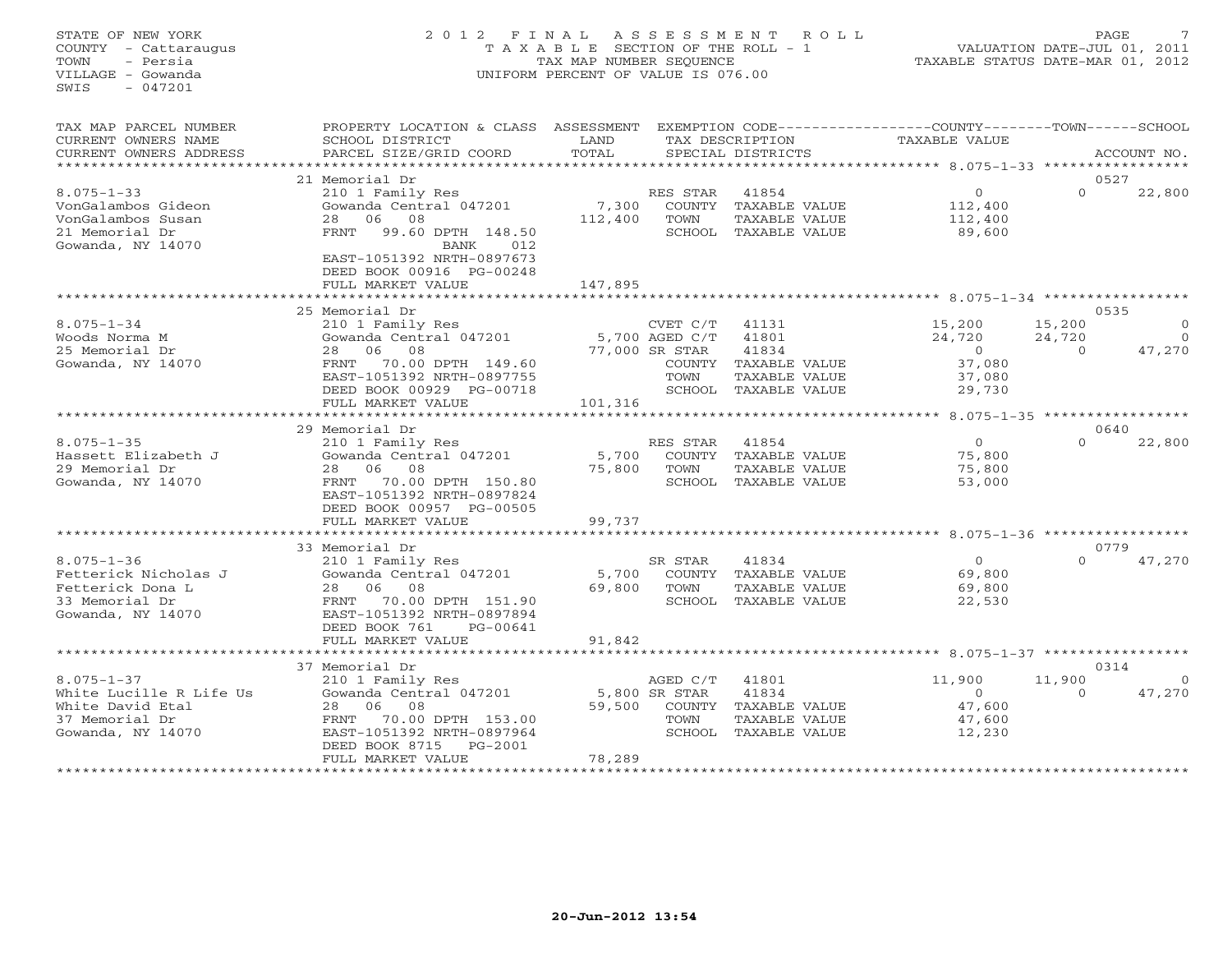## STATE OF NEW YORK 2 0 1 2 F I N A L A S S E S S M E N T R O L L PAGE 7 COUNTY - Cattaraugus T A X A B L E SECTION OF THE ROLL - 1 VALUATION DATE-JUL 01, 2011 TOWN - Persia TAX MAP NUMBER SEQUENCE TAXABLE STATUS DATE-MAR 01, 2012 VILLAGE - Gowanda UNIFORM PERCENT OF VALUE IS 076.00UNIFORM PERCENT OF VALUE IS 076.00

| TAX MAP PARCEL NUMBER<br>CURRENT OWNERS NAME<br>CURRENT OWNERS ADDRESS        | PROPERTY LOCATION & CLASS ASSESSMENT<br>SCHOOL DISTRICT<br>PARCEL SIZE/GRID COORD         | LAND<br>TOTAL    |                            | TAX DESCRIPTION<br>SPECIAL DISTRICTS                            | EXEMPTION CODE-----------------COUNTY-------TOWN------SCHOOL<br>TAXABLE VALUE |                                  | ACCOUNT NO.              |
|-------------------------------------------------------------------------------|-------------------------------------------------------------------------------------------|------------------|----------------------------|-----------------------------------------------------------------|-------------------------------------------------------------------------------|----------------------------------|--------------------------|
| ******************                                                            |                                                                                           |                  |                            |                                                                 |                                                                               |                                  |                          |
|                                                                               | 21 Memorial Dr                                                                            |                  |                            |                                                                 |                                                                               |                                  | 0527                     |
| $8.075 - 1 - 33$<br>VonGalambos Gideon<br>VonGalambos Susan<br>21 Memorial Dr | 210 1 Family Res<br>Gowanda Central 047201<br>06<br>08<br>28<br>FRNT<br>99.60 DPTH 148.50 | 7,300<br>112,400 | RES STAR<br>COUNTY<br>TOWN | 41854<br>TAXABLE VALUE<br>TAXABLE VALUE<br>SCHOOL TAXABLE VALUE | $\circ$<br>112,400<br>112,400<br>89,600                                       | $\Omega$                         | 22,800                   |
| Gowanda, NY 14070                                                             | BANK<br>012<br>EAST-1051392 NRTH-0897673<br>DEED BOOK 00916 PG-00248<br>FULL MARKET VALUE | 147,895          |                            |                                                                 |                                                                               |                                  |                          |
|                                                                               |                                                                                           |                  |                            |                                                                 | ******************************** 8.075-1-34 *****************                 |                                  |                          |
|                                                                               | 25 Memorial Dr                                                                            |                  |                            |                                                                 |                                                                               |                                  | 0535                     |
| $8.075 - 1 - 34$<br>Woods Norma M                                             | 210 1 Family Res<br>Gowanda Central 047201                                                |                  | CVET C/T<br>5,700 AGED C/T | 41131<br>41801                                                  | 15,200<br>24,720                                                              | 15,200<br>24,720                 | $\mathbf{0}$<br>$\Omega$ |
| 25 Memorial Dr                                                                | 06<br>08<br>28                                                                            |                  | 77,000 SR STAR             | 41834                                                           | $\circ$                                                                       | $\Omega$                         | 47,270                   |
| Gowanda, NY 14070                                                             | 70.00 DPTH 149.60<br>FRNT                                                                 |                  | COUNTY                     | TAXABLE VALUE                                                   | 37,080                                                                        |                                  |                          |
|                                                                               | EAST-1051392 NRTH-0897755                                                                 |                  | TOWN                       | TAXABLE VALUE<br>SCHOOL TAXABLE VALUE                           | 37,080                                                                        |                                  |                          |
|                                                                               | DEED BOOK 00929 PG-00718<br>FULL MARKET VALUE                                             | 101,316          |                            |                                                                 | 29,730                                                                        |                                  |                          |
|                                                                               | * * * * * * * * * * * * * * * * * * * *                                                   |                  |                            |                                                                 | ********* 8.075-1-35 ********                                                 |                                  |                          |
|                                                                               | 29 Memorial Dr                                                                            |                  |                            |                                                                 |                                                                               |                                  | 0640                     |
| $8.075 - 1 - 35$                                                              | 210 1 Family Res                                                                          |                  | RES STAR                   | 41854                                                           | $\overline{0}$                                                                | $\Omega$                         | 22,800                   |
| Hassett Elizabeth J                                                           | Gowanda Central 047201                                                                    | 5,700            |                            | COUNTY TAXABLE VALUE                                            | 75,800                                                                        |                                  |                          |
| 29 Memorial Dr                                                                | 06 08<br>28                                                                               | 75,800           | TOWN                       | TAXABLE VALUE                                                   | 75,800                                                                        |                                  |                          |
| Gowanda, NY 14070                                                             | 70.00 DPTH 150.80<br>FRNT                                                                 |                  |                            | SCHOOL TAXABLE VALUE                                            | 53,000                                                                        |                                  |                          |
|                                                                               | EAST-1051392 NRTH-0897824                                                                 |                  |                            |                                                                 |                                                                               |                                  |                          |
|                                                                               | DEED BOOK 00957 PG-00505                                                                  |                  |                            |                                                                 |                                                                               |                                  |                          |
|                                                                               | FULL MARKET VALUE                                                                         | 99,737           |                            |                                                                 |                                                                               |                                  |                          |
|                                                                               |                                                                                           |                  |                            |                                                                 | $8.075 - 1 - 36$ *****                                                        |                                  |                          |
|                                                                               | 33 Memorial Dr                                                                            |                  |                            |                                                                 |                                                                               |                                  | 0779                     |
| $8.075 - 1 - 36$                                                              | 210 1 Family Res                                                                          |                  | SR STAR                    | 41834                                                           | $\Omega$                                                                      | $\Omega$                         | 47,270                   |
| Fetterick Nicholas J                                                          | Gowanda Central 047201                                                                    | 5,700            |                            | COUNTY TAXABLE VALUE                                            | 69,800                                                                        |                                  |                          |
| Fetterick Dona L                                                              | 06<br>08<br>28                                                                            | 69,800           | TOWN                       | <b>TAXABLE VALUE</b>                                            | 69,800                                                                        |                                  |                          |
| 33 Memorial Dr                                                                | FRNT<br>70.00 DPTH 151.90                                                                 |                  |                            | SCHOOL TAXABLE VALUE                                            | 22,530                                                                        |                                  |                          |
| Gowanda, NY 14070                                                             | EAST-1051392 NRTH-0897894                                                                 |                  |                            |                                                                 |                                                                               |                                  |                          |
|                                                                               | DEED BOOK 761<br>PG-00641                                                                 |                  |                            |                                                                 |                                                                               |                                  |                          |
|                                                                               | FULL MARKET VALUE                                                                         | 91,842           |                            |                                                                 |                                                                               |                                  |                          |
|                                                                               | *******************                                                                       |                  |                            |                                                                 |                                                                               | $8.075 - 1 - 37$ *************** |                          |
|                                                                               | 37 Memorial Dr                                                                            |                  |                            |                                                                 |                                                                               |                                  | 0314                     |
| $8.075 - 1 - 37$                                                              | 210 1 Family Res                                                                          |                  | AGED C/T                   | 41801                                                           | 11,900                                                                        | 11,900                           |                          |
| White Lucille R Life Us                                                       | Gowanda Central 047201                                                                    |                  | 5,800 SR STAR              | 41834                                                           | $\Omega$                                                                      | $\Omega$                         | 47,270                   |
| White David Etal                                                              | 06<br>08<br>28                                                                            | 59,500           | COUNTY                     | TAXABLE VALUE                                                   | 47,600                                                                        |                                  |                          |
| 37 Memorial Dr                                                                | 70.00 DPTH 153.00<br>FRNT                                                                 |                  | TOWN                       | <b>TAXABLE VALUE</b>                                            | 47,600                                                                        |                                  |                          |
| Gowanda, NY 14070                                                             | EAST-1051392 NRTH-0897964                                                                 |                  | SCHOOL                     | TAXABLE VALUE                                                   | 12,230                                                                        |                                  |                          |
|                                                                               | DEED BOOK 8715<br>PG-2001                                                                 |                  |                            |                                                                 |                                                                               |                                  |                          |
|                                                                               | FULL MARKET VALUE                                                                         | 78,289           |                            |                                                                 |                                                                               |                                  |                          |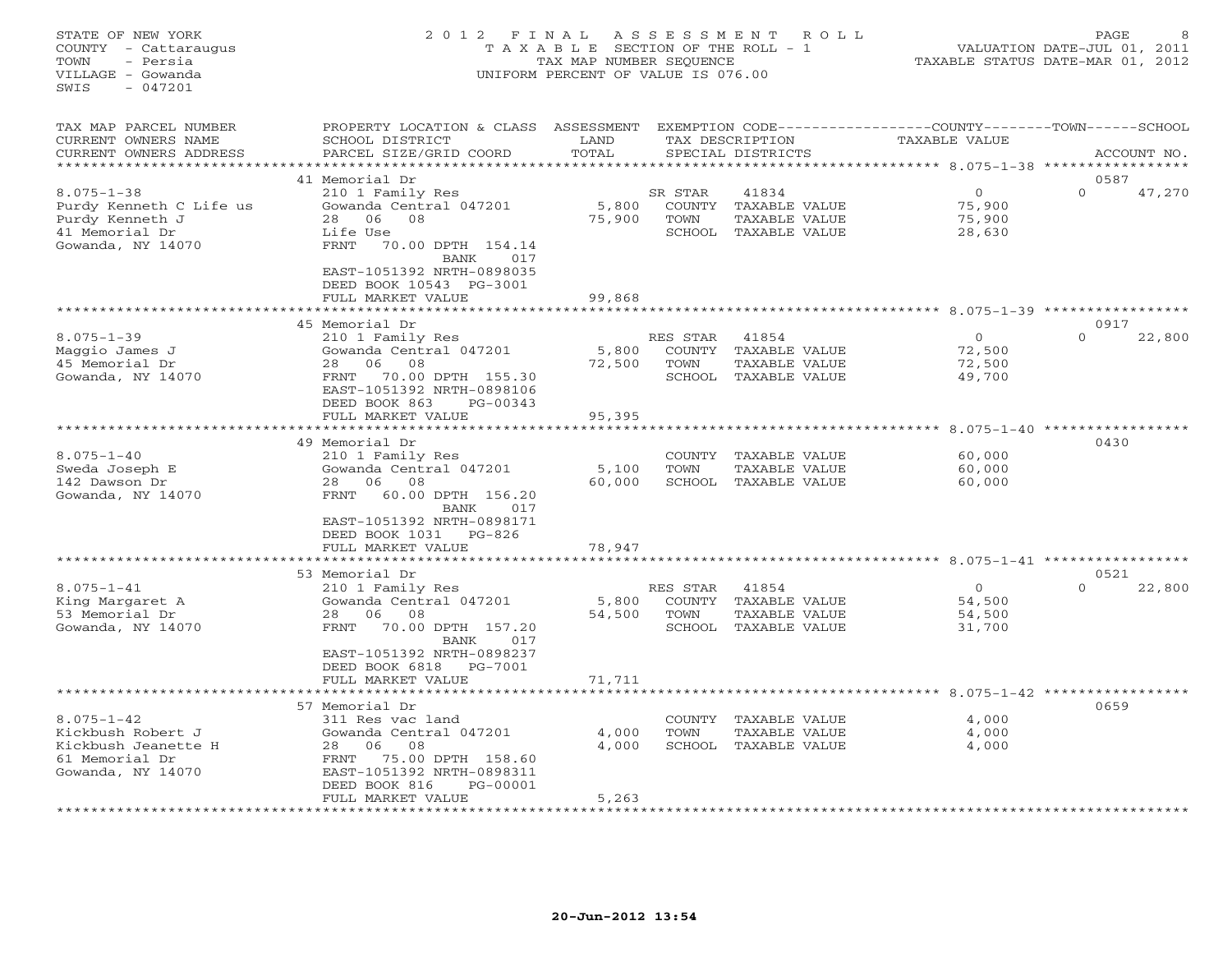#### STATE OF NEW YORK 2 0 1 2 F I N A L A S S E S S M E N T R O L L PAGE 8 COUNTY - Cattaraugus T A X A B L E SECTION OF THE ROLL - 1 VALUATION DATE-JUL 01, 2011 TOWN - Persia TAX MAP NUMBER SEQUENCE TAXABLE STATUS DATE-MAR 01, 2012 VILLAGE - Gowanda UNIFORM PERCENT OF VALUE IS 076.00UNIFORM PERCENT OF VALUE IS 076.00

| TAX MAP PARCEL NUMBER<br>CURRENT OWNERS NAME<br>CURRENT OWNERS ADDRESS                                | PROPERTY LOCATION & CLASS<br>SCHOOL DISTRICT<br>PARCEL SIZE/GRID COORD                                                                                                                                                     | ASSESSMENT<br>LAND<br>TOTAL |                                      | EXEMPTION CODE---------<br>TAX DESCRIPTION<br>SPECIAL DISTRICTS | -------COUNTY-------TOWN------SCHOOL<br>TAXABLE VALUE           |                                     | ACCOUNT NO. |
|-------------------------------------------------------------------------------------------------------|----------------------------------------------------------------------------------------------------------------------------------------------------------------------------------------------------------------------------|-----------------------------|--------------------------------------|-----------------------------------------------------------------|-----------------------------------------------------------------|-------------------------------------|-------------|
|                                                                                                       |                                                                                                                                                                                                                            | * * * * * * * * *           |                                      |                                                                 | ********************************* 8.075-1-38 ****************** |                                     |             |
| $8.075 - 1 - 38$<br>Purdy Kenneth C Life us<br>Purdy Kenneth J<br>41 Memorial Dr<br>Gowanda, NY 14070 | 41 Memorial Dr<br>210 1 Family Res<br>Gowanda Central 047201<br>06<br>08<br>28<br>Life Use<br>FRNT<br>70.00 DPTH 154.14<br><b>BANK</b><br>017<br>EAST-1051392 NRTH-0898035<br>DEED BOOK 10543 PG-3001<br>FULL MARKET VALUE | 5,800<br>75,900<br>99,868   | SR STAR<br>COUNTY<br>TOWN<br>SCHOOL  | 41834<br>TAXABLE VALUE<br>TAXABLE VALUE<br>TAXABLE VALUE        | $\mathbf 0$<br>75,900<br>75,900<br>28,630                       | 0587<br>$\circ$                     | 47,270      |
|                                                                                                       | ******************                                                                                                                                                                                                         |                             |                                      |                                                                 | ************* 8.075-1-39 ************                           |                                     |             |
|                                                                                                       | 45 Memorial Dr                                                                                                                                                                                                             |                             |                                      |                                                                 |                                                                 | 0917                                |             |
| $8.075 - 1 - 39$<br>Maggio James J<br>45 Memorial Dr<br>Gowanda, NY 14070                             | 210 1 Family Res<br>Gowanda Central 047201<br>08<br>06<br>28<br>FRNT<br>70.00 DPTH 155.30<br>EAST-1051392 NRTH-0898106<br>DEED BOOK 863<br>PG-00343                                                                        | 5,800<br>72,500             | RES STAR<br>COUNTY<br>TOWN           | 41854<br>TAXABLE VALUE<br>TAXABLE VALUE<br>SCHOOL TAXABLE VALUE | $\mathbf{0}$<br>72,500<br>72,500<br>49,700                      | $\Omega$                            | 22,800      |
|                                                                                                       | FULL MARKET VALUE                                                                                                                                                                                                          | 95,395                      |                                      |                                                                 |                                                                 |                                     |             |
|                                                                                                       |                                                                                                                                                                                                                            |                             |                                      |                                                                 |                                                                 | $8.075 - 1 - 40$ ****************** |             |
| $8.075 - 1 - 40$<br>Sweda Joseph E<br>142 Dawson Dr<br>Gowanda, NY 14070                              | 49 Memorial Dr<br>210 1 Family Res<br>Gowanda Central 047201<br>06<br>08<br>28<br>60.00 DPTH 156.20<br>FRNT<br>BANK<br>017<br>EAST-1051392 NRTH-0898171<br>DEED BOOK 1031<br>$PG-826$                                      | 5,100<br>60,000             | <b>COUNTY</b><br>TOWN                | TAXABLE VALUE<br>TAXABLE VALUE<br>SCHOOL TAXABLE VALUE          | 60,000<br>60,000<br>60,000                                      | 0430                                |             |
|                                                                                                       | FULL MARKET VALUE                                                                                                                                                                                                          | 78,947                      |                                      |                                                                 |                                                                 | $8.075 - 1 - 41$ ****************** |             |
|                                                                                                       | 53 Memorial Dr                                                                                                                                                                                                             |                             |                                      |                                                                 |                                                                 | 0521                                |             |
| $8.075 - 1 - 41$<br>King Margaret A<br>53 Memorial Dr<br>Gowanda, NY 14070                            | 210 1 Family Res<br>Gowanda Central 047201<br>08<br>28<br>06<br>70.00 DPTH 157.20<br>FRNT<br>017<br><b>BANK</b><br>EAST-1051392 NRTH-0898237                                                                               | 5,800<br>54,500             | RES STAR<br>COUNTY<br>TOWN<br>SCHOOL | 41854<br>TAXABLE VALUE<br>TAXABLE VALUE<br>TAXABLE VALUE        | $\circ$<br>54,500<br>54,500<br>31,700                           | $\Omega$                            | 22,800      |
|                                                                                                       | DEED BOOK 6818<br>PG-7001                                                                                                                                                                                                  |                             |                                      |                                                                 |                                                                 |                                     |             |
|                                                                                                       | FULL MARKET VALUE                                                                                                                                                                                                          | 71,711                      |                                      |                                                                 | $8.075 - 1 - 42$                                                |                                     |             |
|                                                                                                       | 57 Memorial Dr                                                                                                                                                                                                             |                             |                                      |                                                                 |                                                                 | 0659                                |             |
| $8.075 - 1 - 42$<br>Kickbush Robert J<br>Kickbush Jeanette H<br>61 Memorial Dr<br>Gowanda, NY 14070   | 311 Res vac land<br>Gowanda Central 047201<br>06<br>08<br>28<br>75.00 DPTH 158.60<br>FRNT<br>EAST-1051392 NRTH-0898311<br>DEED BOOK 816<br>$PG-00001$<br>FULL MARKET VALUE                                                 | 4,000<br>4,000<br>5,263     | COUNTY<br>TOWN                       | TAXABLE VALUE<br>TAXABLE VALUE<br>SCHOOL TAXABLE VALUE          | 4,000<br>4,000<br>4,000                                         |                                     |             |
|                                                                                                       |                                                                                                                                                                                                                            |                             |                                      |                                                                 |                                                                 |                                     |             |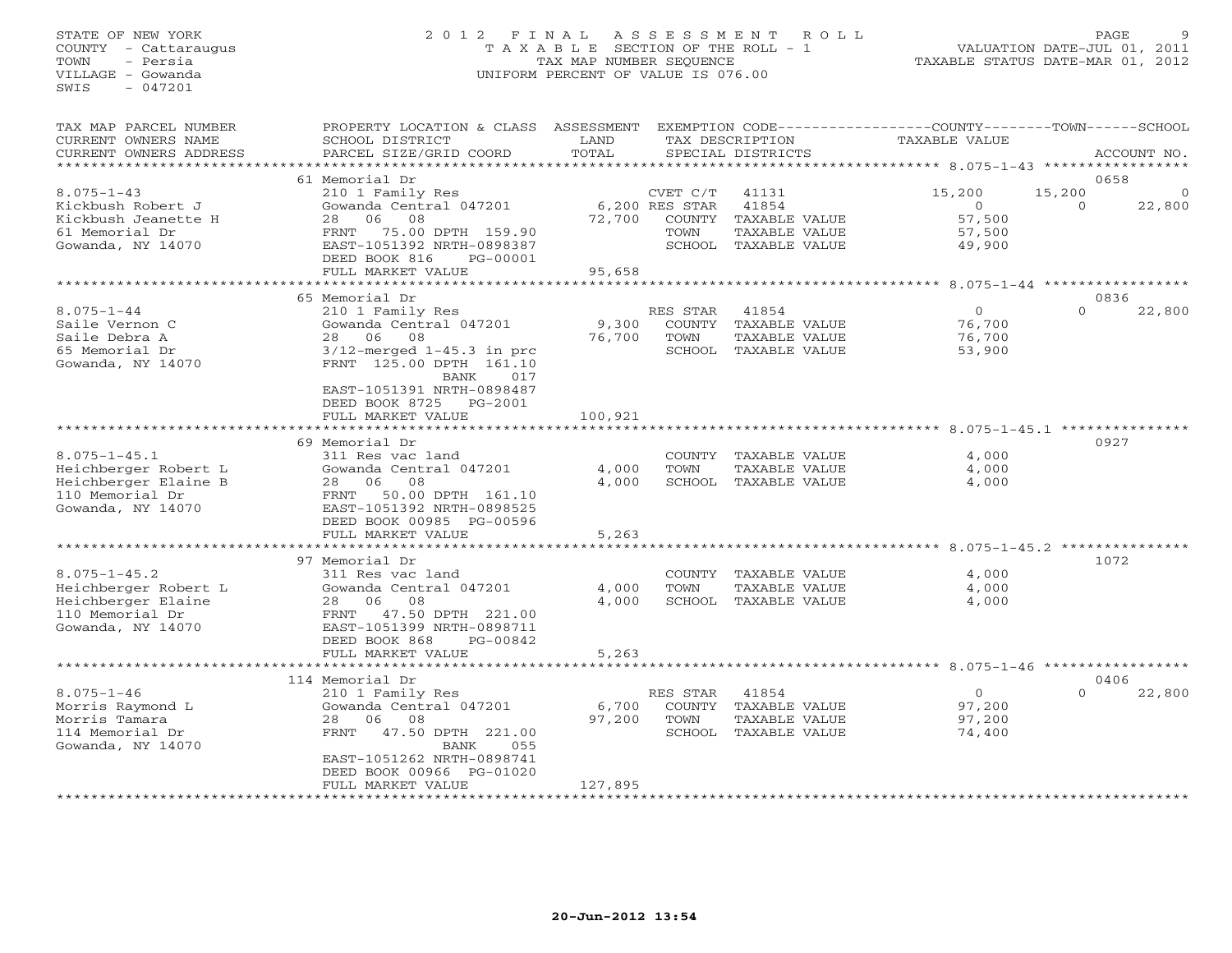# STATE OF NEW YORK 2 0 1 2 F I N A L A S S E S S M E N T R O L L PAGE 9 COUNTY - Cattaraugus T A X A B L E SECTION OF THE ROLL - 1 VALUATION DATE-JUL 01, 2011 TOWN - Persia TAX MAP NUMBER SEQUENCE TAXABLE STATUS DATE-MAR 01, 2012 VILLAGE - Gowanda UNIFORM PERCENT OF VALUE IS 076.00UNIFORM PERCENT OF VALUE IS 076.00

| 61 Memorial Dr<br>0658<br>$8.075 - 1 - 43$<br>15,200<br>15,200<br>210 1 Family Res<br>CVET C/T<br>41131<br>$\mathbf 0$<br>Gowanda Central 047201<br>6,200 RES STAR<br>41854<br>$\Omega$<br>22,800<br>Kickbush Robert J<br>$\Omega$<br>Kickbush Jeanette H<br>28<br>06<br>08<br>72,700<br>COUNTY TAXABLE VALUE<br>57,500<br>61 Memorial Dr<br>TAXABLE VALUE<br>FRNT 75.00 DPTH 159.90<br>TOWN<br>57,500<br>EAST-1051392 NRTH-0898387<br>Gowanda, NY 14070<br>SCHOOL TAXABLE VALUE<br>49,900<br>DEED BOOK 816<br>PG-00001<br>FULL MARKET VALUE<br>95,658<br>**********************<br>*************<br>************************* 8.075-1-44 ************<br>65 Memorial Dr<br>0836<br>$8.075 - 1 - 44$<br>$\Omega$<br>210 1 Family Res<br>RES STAR<br>41854<br>$\Omega$<br>22,800<br>Saile Vernon C<br>Gowanda Central 047201<br>9,300<br>76,700<br>COUNTY TAXABLE VALUE<br>76,700<br>Saile Debra A<br>28 06<br>08<br>TOWN<br>TAXABLE VALUE<br>76,700<br>65 Memorial Dr<br>$3/12$ -merged $1-45.3$ in prc<br>SCHOOL TAXABLE VALUE<br>53,900<br>Gowanda, NY 14070<br>FRNT 125.00 DPTH 161.10<br>BANK<br>017<br>EAST-1051391 NRTH-0898487<br>DEED BOOK 8725 PG-2001<br>100,921<br>FULL MARKET VALUE<br>69 Memorial Dr<br>0927<br>$8.075 - 1 - 45.1$<br>4,000<br>311 Res vac land<br>COUNTY TAXABLE VALUE<br>4,000<br>Heichberger Robert L<br>Gowanda Central 047201<br>4,000<br>TOWN<br>TAXABLE VALUE<br>Heichberger Elaine B<br>4,000<br>SCHOOL TAXABLE VALUE<br>28 06 08<br>4,000<br>110 Memorial Dr<br>50.00 DPTH 161.10<br>FRNT<br>Gowanda, NY 14070<br>EAST-1051392 NRTH-0898525<br>DEED BOOK 00985 PG-00596<br>FULL MARKET VALUE<br>5,263<br>**********************<br>**********<br>************************************ 8.075-1-45.2 ***************<br>1072<br>97 Memorial Dr<br>$8.075 - 1 - 45.2$<br>4,000<br>311 Res vac land<br>COUNTY TAXABLE VALUE<br>Heichberger Robert L<br>Gowanda Central 047201<br>4,000<br>TOWN<br>TAXABLE VALUE<br>4,000<br>Heichberger Elaine<br>08<br>4,000<br>SCHOOL TAXABLE VALUE<br>28 06<br>4,000<br>110 Memorial Dr<br>FRNT<br>47.50 DPTH 221.00<br>Gowanda, NY 14070<br>EAST-1051399 NRTH-0898711<br>DEED BOOK 868<br>PG-00842<br>5,263<br>FULL MARKET VALUE<br>***********************<br>114 Memorial Dr<br>0406<br>$8.075 - 1 - 46$<br>RES STAR<br>$\overline{O}$<br>210 1 Family Res<br>41854<br>$\Omega$<br>22,800<br>Gowanda Central 047201<br>Morris Raymond L<br>6,700<br>COUNTY TAXABLE VALUE<br>97,200<br>97,200<br>Morris Tamara<br>28 06 08<br>TOWN<br>97,200<br>TAXABLE VALUE<br>FRNT 47.50 DPTH 221.00<br>114 Memorial Dr<br>SCHOOL TAXABLE VALUE<br>74,400<br>Gowanda, NY 14070<br><b>BANK</b><br>055<br>EAST-1051262 NRTH-0898741<br>DEED BOOK 00966 PG-01020<br>127,895<br>FULL MARKET VALUE | TAX MAP PARCEL NUMBER<br>CURRENT OWNERS NAME<br>CURRENT OWNERS ADDRESS<br>*********************** | PROPERTY LOCATION & CLASS ASSESSMENT<br>SCHOOL DISTRICT<br>PARCEL SIZE/GRID COORD | LAND<br>TOTAL | TAX DESCRIPTION<br>SPECIAL DISTRICTS | EXEMPTION CODE-----------------COUNTY-------TOWN------SCHOOL<br><b>TAXABLE VALUE</b> | ACCOUNT NO. |
|---------------------------------------------------------------------------------------------------------------------------------------------------------------------------------------------------------------------------------------------------------------------------------------------------------------------------------------------------------------------------------------------------------------------------------------------------------------------------------------------------------------------------------------------------------------------------------------------------------------------------------------------------------------------------------------------------------------------------------------------------------------------------------------------------------------------------------------------------------------------------------------------------------------------------------------------------------------------------------------------------------------------------------------------------------------------------------------------------------------------------------------------------------------------------------------------------------------------------------------------------------------------------------------------------------------------------------------------------------------------------------------------------------------------------------------------------------------------------------------------------------------------------------------------------------------------------------------------------------------------------------------------------------------------------------------------------------------------------------------------------------------------------------------------------------------------------------------------------------------------------------------------------------------------------------------------------------------------------------------------------------------------------------------------------------------------------------------------------------------------------------------------------------------------------------------------------------------------------------------------------------------------------------------------------------------------------------------------------------------------------------------------------------------------------------------------------------------------------------------------------------------------------------------------------------------------------------------------------------------------------------------------------------------------------------------------------------------------------------------------------------|---------------------------------------------------------------------------------------------------|-----------------------------------------------------------------------------------|---------------|--------------------------------------|--------------------------------------------------------------------------------------|-------------|
|                                                                                                                                                                                                                                                                                                                                                                                                                                                                                                                                                                                                                                                                                                                                                                                                                                                                                                                                                                                                                                                                                                                                                                                                                                                                                                                                                                                                                                                                                                                                                                                                                                                                                                                                                                                                                                                                                                                                                                                                                                                                                                                                                                                                                                                                                                                                                                                                                                                                                                                                                                                                                                                                                                                                                         |                                                                                                   |                                                                                   |               |                                      |                                                                                      |             |
|                                                                                                                                                                                                                                                                                                                                                                                                                                                                                                                                                                                                                                                                                                                                                                                                                                                                                                                                                                                                                                                                                                                                                                                                                                                                                                                                                                                                                                                                                                                                                                                                                                                                                                                                                                                                                                                                                                                                                                                                                                                                                                                                                                                                                                                                                                                                                                                                                                                                                                                                                                                                                                                                                                                                                         |                                                                                                   |                                                                                   |               |                                      |                                                                                      |             |
|                                                                                                                                                                                                                                                                                                                                                                                                                                                                                                                                                                                                                                                                                                                                                                                                                                                                                                                                                                                                                                                                                                                                                                                                                                                                                                                                                                                                                                                                                                                                                                                                                                                                                                                                                                                                                                                                                                                                                                                                                                                                                                                                                                                                                                                                                                                                                                                                                                                                                                                                                                                                                                                                                                                                                         |                                                                                                   |                                                                                   |               |                                      |                                                                                      |             |
|                                                                                                                                                                                                                                                                                                                                                                                                                                                                                                                                                                                                                                                                                                                                                                                                                                                                                                                                                                                                                                                                                                                                                                                                                                                                                                                                                                                                                                                                                                                                                                                                                                                                                                                                                                                                                                                                                                                                                                                                                                                                                                                                                                                                                                                                                                                                                                                                                                                                                                                                                                                                                                                                                                                                                         |                                                                                                   |                                                                                   |               |                                      |                                                                                      |             |
|                                                                                                                                                                                                                                                                                                                                                                                                                                                                                                                                                                                                                                                                                                                                                                                                                                                                                                                                                                                                                                                                                                                                                                                                                                                                                                                                                                                                                                                                                                                                                                                                                                                                                                                                                                                                                                                                                                                                                                                                                                                                                                                                                                                                                                                                                                                                                                                                                                                                                                                                                                                                                                                                                                                                                         |                                                                                                   |                                                                                   |               |                                      |                                                                                      |             |
|                                                                                                                                                                                                                                                                                                                                                                                                                                                                                                                                                                                                                                                                                                                                                                                                                                                                                                                                                                                                                                                                                                                                                                                                                                                                                                                                                                                                                                                                                                                                                                                                                                                                                                                                                                                                                                                                                                                                                                                                                                                                                                                                                                                                                                                                                                                                                                                                                                                                                                                                                                                                                                                                                                                                                         |                                                                                                   |                                                                                   |               |                                      |                                                                                      |             |
|                                                                                                                                                                                                                                                                                                                                                                                                                                                                                                                                                                                                                                                                                                                                                                                                                                                                                                                                                                                                                                                                                                                                                                                                                                                                                                                                                                                                                                                                                                                                                                                                                                                                                                                                                                                                                                                                                                                                                                                                                                                                                                                                                                                                                                                                                                                                                                                                                                                                                                                                                                                                                                                                                                                                                         |                                                                                                   |                                                                                   |               |                                      |                                                                                      |             |
|                                                                                                                                                                                                                                                                                                                                                                                                                                                                                                                                                                                                                                                                                                                                                                                                                                                                                                                                                                                                                                                                                                                                                                                                                                                                                                                                                                                                                                                                                                                                                                                                                                                                                                                                                                                                                                                                                                                                                                                                                                                                                                                                                                                                                                                                                                                                                                                                                                                                                                                                                                                                                                                                                                                                                         |                                                                                                   |                                                                                   |               |                                      |                                                                                      |             |
|                                                                                                                                                                                                                                                                                                                                                                                                                                                                                                                                                                                                                                                                                                                                                                                                                                                                                                                                                                                                                                                                                                                                                                                                                                                                                                                                                                                                                                                                                                                                                                                                                                                                                                                                                                                                                                                                                                                                                                                                                                                                                                                                                                                                                                                                                                                                                                                                                                                                                                                                                                                                                                                                                                                                                         |                                                                                                   |                                                                                   |               |                                      |                                                                                      |             |
|                                                                                                                                                                                                                                                                                                                                                                                                                                                                                                                                                                                                                                                                                                                                                                                                                                                                                                                                                                                                                                                                                                                                                                                                                                                                                                                                                                                                                                                                                                                                                                                                                                                                                                                                                                                                                                                                                                                                                                                                                                                                                                                                                                                                                                                                                                                                                                                                                                                                                                                                                                                                                                                                                                                                                         |                                                                                                   |                                                                                   |               |                                      |                                                                                      |             |
|                                                                                                                                                                                                                                                                                                                                                                                                                                                                                                                                                                                                                                                                                                                                                                                                                                                                                                                                                                                                                                                                                                                                                                                                                                                                                                                                                                                                                                                                                                                                                                                                                                                                                                                                                                                                                                                                                                                                                                                                                                                                                                                                                                                                                                                                                                                                                                                                                                                                                                                                                                                                                                                                                                                                                         |                                                                                                   |                                                                                   |               |                                      |                                                                                      |             |
|                                                                                                                                                                                                                                                                                                                                                                                                                                                                                                                                                                                                                                                                                                                                                                                                                                                                                                                                                                                                                                                                                                                                                                                                                                                                                                                                                                                                                                                                                                                                                                                                                                                                                                                                                                                                                                                                                                                                                                                                                                                                                                                                                                                                                                                                                                                                                                                                                                                                                                                                                                                                                                                                                                                                                         |                                                                                                   |                                                                                   |               |                                      |                                                                                      |             |
|                                                                                                                                                                                                                                                                                                                                                                                                                                                                                                                                                                                                                                                                                                                                                                                                                                                                                                                                                                                                                                                                                                                                                                                                                                                                                                                                                                                                                                                                                                                                                                                                                                                                                                                                                                                                                                                                                                                                                                                                                                                                                                                                                                                                                                                                                                                                                                                                                                                                                                                                                                                                                                                                                                                                                         |                                                                                                   |                                                                                   |               |                                      |                                                                                      |             |
|                                                                                                                                                                                                                                                                                                                                                                                                                                                                                                                                                                                                                                                                                                                                                                                                                                                                                                                                                                                                                                                                                                                                                                                                                                                                                                                                                                                                                                                                                                                                                                                                                                                                                                                                                                                                                                                                                                                                                                                                                                                                                                                                                                                                                                                                                                                                                                                                                                                                                                                                                                                                                                                                                                                                                         |                                                                                                   |                                                                                   |               |                                      |                                                                                      |             |
|                                                                                                                                                                                                                                                                                                                                                                                                                                                                                                                                                                                                                                                                                                                                                                                                                                                                                                                                                                                                                                                                                                                                                                                                                                                                                                                                                                                                                                                                                                                                                                                                                                                                                                                                                                                                                                                                                                                                                                                                                                                                                                                                                                                                                                                                                                                                                                                                                                                                                                                                                                                                                                                                                                                                                         |                                                                                                   |                                                                                   |               |                                      |                                                                                      |             |
|                                                                                                                                                                                                                                                                                                                                                                                                                                                                                                                                                                                                                                                                                                                                                                                                                                                                                                                                                                                                                                                                                                                                                                                                                                                                                                                                                                                                                                                                                                                                                                                                                                                                                                                                                                                                                                                                                                                                                                                                                                                                                                                                                                                                                                                                                                                                                                                                                                                                                                                                                                                                                                                                                                                                                         |                                                                                                   |                                                                                   |               |                                      |                                                                                      |             |
|                                                                                                                                                                                                                                                                                                                                                                                                                                                                                                                                                                                                                                                                                                                                                                                                                                                                                                                                                                                                                                                                                                                                                                                                                                                                                                                                                                                                                                                                                                                                                                                                                                                                                                                                                                                                                                                                                                                                                                                                                                                                                                                                                                                                                                                                                                                                                                                                                                                                                                                                                                                                                                                                                                                                                         |                                                                                                   |                                                                                   |               |                                      |                                                                                      |             |
|                                                                                                                                                                                                                                                                                                                                                                                                                                                                                                                                                                                                                                                                                                                                                                                                                                                                                                                                                                                                                                                                                                                                                                                                                                                                                                                                                                                                                                                                                                                                                                                                                                                                                                                                                                                                                                                                                                                                                                                                                                                                                                                                                                                                                                                                                                                                                                                                                                                                                                                                                                                                                                                                                                                                                         |                                                                                                   |                                                                                   |               |                                      |                                                                                      |             |
|                                                                                                                                                                                                                                                                                                                                                                                                                                                                                                                                                                                                                                                                                                                                                                                                                                                                                                                                                                                                                                                                                                                                                                                                                                                                                                                                                                                                                                                                                                                                                                                                                                                                                                                                                                                                                                                                                                                                                                                                                                                                                                                                                                                                                                                                                                                                                                                                                                                                                                                                                                                                                                                                                                                                                         |                                                                                                   |                                                                                   |               |                                      |                                                                                      |             |
|                                                                                                                                                                                                                                                                                                                                                                                                                                                                                                                                                                                                                                                                                                                                                                                                                                                                                                                                                                                                                                                                                                                                                                                                                                                                                                                                                                                                                                                                                                                                                                                                                                                                                                                                                                                                                                                                                                                                                                                                                                                                                                                                                                                                                                                                                                                                                                                                                                                                                                                                                                                                                                                                                                                                                         |                                                                                                   |                                                                                   |               |                                      |                                                                                      |             |
|                                                                                                                                                                                                                                                                                                                                                                                                                                                                                                                                                                                                                                                                                                                                                                                                                                                                                                                                                                                                                                                                                                                                                                                                                                                                                                                                                                                                                                                                                                                                                                                                                                                                                                                                                                                                                                                                                                                                                                                                                                                                                                                                                                                                                                                                                                                                                                                                                                                                                                                                                                                                                                                                                                                                                         |                                                                                                   |                                                                                   |               |                                      |                                                                                      |             |
|                                                                                                                                                                                                                                                                                                                                                                                                                                                                                                                                                                                                                                                                                                                                                                                                                                                                                                                                                                                                                                                                                                                                                                                                                                                                                                                                                                                                                                                                                                                                                                                                                                                                                                                                                                                                                                                                                                                                                                                                                                                                                                                                                                                                                                                                                                                                                                                                                                                                                                                                                                                                                                                                                                                                                         |                                                                                                   |                                                                                   |               |                                      |                                                                                      |             |
|                                                                                                                                                                                                                                                                                                                                                                                                                                                                                                                                                                                                                                                                                                                                                                                                                                                                                                                                                                                                                                                                                                                                                                                                                                                                                                                                                                                                                                                                                                                                                                                                                                                                                                                                                                                                                                                                                                                                                                                                                                                                                                                                                                                                                                                                                                                                                                                                                                                                                                                                                                                                                                                                                                                                                         |                                                                                                   |                                                                                   |               |                                      |                                                                                      |             |
|                                                                                                                                                                                                                                                                                                                                                                                                                                                                                                                                                                                                                                                                                                                                                                                                                                                                                                                                                                                                                                                                                                                                                                                                                                                                                                                                                                                                                                                                                                                                                                                                                                                                                                                                                                                                                                                                                                                                                                                                                                                                                                                                                                                                                                                                                                                                                                                                                                                                                                                                                                                                                                                                                                                                                         |                                                                                                   |                                                                                   |               |                                      |                                                                                      |             |
|                                                                                                                                                                                                                                                                                                                                                                                                                                                                                                                                                                                                                                                                                                                                                                                                                                                                                                                                                                                                                                                                                                                                                                                                                                                                                                                                                                                                                                                                                                                                                                                                                                                                                                                                                                                                                                                                                                                                                                                                                                                                                                                                                                                                                                                                                                                                                                                                                                                                                                                                                                                                                                                                                                                                                         |                                                                                                   |                                                                                   |               |                                      |                                                                                      |             |
|                                                                                                                                                                                                                                                                                                                                                                                                                                                                                                                                                                                                                                                                                                                                                                                                                                                                                                                                                                                                                                                                                                                                                                                                                                                                                                                                                                                                                                                                                                                                                                                                                                                                                                                                                                                                                                                                                                                                                                                                                                                                                                                                                                                                                                                                                                                                                                                                                                                                                                                                                                                                                                                                                                                                                         |                                                                                                   |                                                                                   |               |                                      |                                                                                      |             |
|                                                                                                                                                                                                                                                                                                                                                                                                                                                                                                                                                                                                                                                                                                                                                                                                                                                                                                                                                                                                                                                                                                                                                                                                                                                                                                                                                                                                                                                                                                                                                                                                                                                                                                                                                                                                                                                                                                                                                                                                                                                                                                                                                                                                                                                                                                                                                                                                                                                                                                                                                                                                                                                                                                                                                         |                                                                                                   |                                                                                   |               |                                      |                                                                                      |             |
|                                                                                                                                                                                                                                                                                                                                                                                                                                                                                                                                                                                                                                                                                                                                                                                                                                                                                                                                                                                                                                                                                                                                                                                                                                                                                                                                                                                                                                                                                                                                                                                                                                                                                                                                                                                                                                                                                                                                                                                                                                                                                                                                                                                                                                                                                                                                                                                                                                                                                                                                                                                                                                                                                                                                                         |                                                                                                   |                                                                                   |               |                                      |                                                                                      |             |
|                                                                                                                                                                                                                                                                                                                                                                                                                                                                                                                                                                                                                                                                                                                                                                                                                                                                                                                                                                                                                                                                                                                                                                                                                                                                                                                                                                                                                                                                                                                                                                                                                                                                                                                                                                                                                                                                                                                                                                                                                                                                                                                                                                                                                                                                                                                                                                                                                                                                                                                                                                                                                                                                                                                                                         |                                                                                                   |                                                                                   |               |                                      |                                                                                      |             |
|                                                                                                                                                                                                                                                                                                                                                                                                                                                                                                                                                                                                                                                                                                                                                                                                                                                                                                                                                                                                                                                                                                                                                                                                                                                                                                                                                                                                                                                                                                                                                                                                                                                                                                                                                                                                                                                                                                                                                                                                                                                                                                                                                                                                                                                                                                                                                                                                                                                                                                                                                                                                                                                                                                                                                         |                                                                                                   |                                                                                   |               |                                      |                                                                                      |             |
|                                                                                                                                                                                                                                                                                                                                                                                                                                                                                                                                                                                                                                                                                                                                                                                                                                                                                                                                                                                                                                                                                                                                                                                                                                                                                                                                                                                                                                                                                                                                                                                                                                                                                                                                                                                                                                                                                                                                                                                                                                                                                                                                                                                                                                                                                                                                                                                                                                                                                                                                                                                                                                                                                                                                                         |                                                                                                   |                                                                                   |               |                                      |                                                                                      |             |
|                                                                                                                                                                                                                                                                                                                                                                                                                                                                                                                                                                                                                                                                                                                                                                                                                                                                                                                                                                                                                                                                                                                                                                                                                                                                                                                                                                                                                                                                                                                                                                                                                                                                                                                                                                                                                                                                                                                                                                                                                                                                                                                                                                                                                                                                                                                                                                                                                                                                                                                                                                                                                                                                                                                                                         |                                                                                                   |                                                                                   |               |                                      |                                                                                      |             |
|                                                                                                                                                                                                                                                                                                                                                                                                                                                                                                                                                                                                                                                                                                                                                                                                                                                                                                                                                                                                                                                                                                                                                                                                                                                                                                                                                                                                                                                                                                                                                                                                                                                                                                                                                                                                                                                                                                                                                                                                                                                                                                                                                                                                                                                                                                                                                                                                                                                                                                                                                                                                                                                                                                                                                         |                                                                                                   |                                                                                   |               |                                      |                                                                                      |             |
|                                                                                                                                                                                                                                                                                                                                                                                                                                                                                                                                                                                                                                                                                                                                                                                                                                                                                                                                                                                                                                                                                                                                                                                                                                                                                                                                                                                                                                                                                                                                                                                                                                                                                                                                                                                                                                                                                                                                                                                                                                                                                                                                                                                                                                                                                                                                                                                                                                                                                                                                                                                                                                                                                                                                                         |                                                                                                   |                                                                                   |               |                                      |                                                                                      |             |
|                                                                                                                                                                                                                                                                                                                                                                                                                                                                                                                                                                                                                                                                                                                                                                                                                                                                                                                                                                                                                                                                                                                                                                                                                                                                                                                                                                                                                                                                                                                                                                                                                                                                                                                                                                                                                                                                                                                                                                                                                                                                                                                                                                                                                                                                                                                                                                                                                                                                                                                                                                                                                                                                                                                                                         |                                                                                                   |                                                                                   |               |                                      |                                                                                      |             |
|                                                                                                                                                                                                                                                                                                                                                                                                                                                                                                                                                                                                                                                                                                                                                                                                                                                                                                                                                                                                                                                                                                                                                                                                                                                                                                                                                                                                                                                                                                                                                                                                                                                                                                                                                                                                                                                                                                                                                                                                                                                                                                                                                                                                                                                                                                                                                                                                                                                                                                                                                                                                                                                                                                                                                         |                                                                                                   |                                                                                   |               |                                      |                                                                                      |             |
|                                                                                                                                                                                                                                                                                                                                                                                                                                                                                                                                                                                                                                                                                                                                                                                                                                                                                                                                                                                                                                                                                                                                                                                                                                                                                                                                                                                                                                                                                                                                                                                                                                                                                                                                                                                                                                                                                                                                                                                                                                                                                                                                                                                                                                                                                                                                                                                                                                                                                                                                                                                                                                                                                                                                                         |                                                                                                   |                                                                                   |               |                                      |                                                                                      |             |
|                                                                                                                                                                                                                                                                                                                                                                                                                                                                                                                                                                                                                                                                                                                                                                                                                                                                                                                                                                                                                                                                                                                                                                                                                                                                                                                                                                                                                                                                                                                                                                                                                                                                                                                                                                                                                                                                                                                                                                                                                                                                                                                                                                                                                                                                                                                                                                                                                                                                                                                                                                                                                                                                                                                                                         |                                                                                                   |                                                                                   |               |                                      |                                                                                      |             |
|                                                                                                                                                                                                                                                                                                                                                                                                                                                                                                                                                                                                                                                                                                                                                                                                                                                                                                                                                                                                                                                                                                                                                                                                                                                                                                                                                                                                                                                                                                                                                                                                                                                                                                                                                                                                                                                                                                                                                                                                                                                                                                                                                                                                                                                                                                                                                                                                                                                                                                                                                                                                                                                                                                                                                         |                                                                                                   |                                                                                   |               |                                      |                                                                                      |             |
|                                                                                                                                                                                                                                                                                                                                                                                                                                                                                                                                                                                                                                                                                                                                                                                                                                                                                                                                                                                                                                                                                                                                                                                                                                                                                                                                                                                                                                                                                                                                                                                                                                                                                                                                                                                                                                                                                                                                                                                                                                                                                                                                                                                                                                                                                                                                                                                                                                                                                                                                                                                                                                                                                                                                                         |                                                                                                   |                                                                                   |               |                                      |                                                                                      |             |
|                                                                                                                                                                                                                                                                                                                                                                                                                                                                                                                                                                                                                                                                                                                                                                                                                                                                                                                                                                                                                                                                                                                                                                                                                                                                                                                                                                                                                                                                                                                                                                                                                                                                                                                                                                                                                                                                                                                                                                                                                                                                                                                                                                                                                                                                                                                                                                                                                                                                                                                                                                                                                                                                                                                                                         |                                                                                                   |                                                                                   |               |                                      |                                                                                      |             |
|                                                                                                                                                                                                                                                                                                                                                                                                                                                                                                                                                                                                                                                                                                                                                                                                                                                                                                                                                                                                                                                                                                                                                                                                                                                                                                                                                                                                                                                                                                                                                                                                                                                                                                                                                                                                                                                                                                                                                                                                                                                                                                                                                                                                                                                                                                                                                                                                                                                                                                                                                                                                                                                                                                                                                         |                                                                                                   |                                                                                   |               |                                      |                                                                                      |             |
|                                                                                                                                                                                                                                                                                                                                                                                                                                                                                                                                                                                                                                                                                                                                                                                                                                                                                                                                                                                                                                                                                                                                                                                                                                                                                                                                                                                                                                                                                                                                                                                                                                                                                                                                                                                                                                                                                                                                                                                                                                                                                                                                                                                                                                                                                                                                                                                                                                                                                                                                                                                                                                                                                                                                                         |                                                                                                   |                                                                                   |               |                                      |                                                                                      |             |
|                                                                                                                                                                                                                                                                                                                                                                                                                                                                                                                                                                                                                                                                                                                                                                                                                                                                                                                                                                                                                                                                                                                                                                                                                                                                                                                                                                                                                                                                                                                                                                                                                                                                                                                                                                                                                                                                                                                                                                                                                                                                                                                                                                                                                                                                                                                                                                                                                                                                                                                                                                                                                                                                                                                                                         |                                                                                                   |                                                                                   |               |                                      |                                                                                      |             |
|                                                                                                                                                                                                                                                                                                                                                                                                                                                                                                                                                                                                                                                                                                                                                                                                                                                                                                                                                                                                                                                                                                                                                                                                                                                                                                                                                                                                                                                                                                                                                                                                                                                                                                                                                                                                                                                                                                                                                                                                                                                                                                                                                                                                                                                                                                                                                                                                                                                                                                                                                                                                                                                                                                                                                         |                                                                                                   |                                                                                   |               |                                      |                                                                                      |             |
|                                                                                                                                                                                                                                                                                                                                                                                                                                                                                                                                                                                                                                                                                                                                                                                                                                                                                                                                                                                                                                                                                                                                                                                                                                                                                                                                                                                                                                                                                                                                                                                                                                                                                                                                                                                                                                                                                                                                                                                                                                                                                                                                                                                                                                                                                                                                                                                                                                                                                                                                                                                                                                                                                                                                                         |                                                                                                   |                                                                                   |               |                                      |                                                                                      |             |
|                                                                                                                                                                                                                                                                                                                                                                                                                                                                                                                                                                                                                                                                                                                                                                                                                                                                                                                                                                                                                                                                                                                                                                                                                                                                                                                                                                                                                                                                                                                                                                                                                                                                                                                                                                                                                                                                                                                                                                                                                                                                                                                                                                                                                                                                                                                                                                                                                                                                                                                                                                                                                                                                                                                                                         |                                                                                                   |                                                                                   |               |                                      |                                                                                      |             |
|                                                                                                                                                                                                                                                                                                                                                                                                                                                                                                                                                                                                                                                                                                                                                                                                                                                                                                                                                                                                                                                                                                                                                                                                                                                                                                                                                                                                                                                                                                                                                                                                                                                                                                                                                                                                                                                                                                                                                                                                                                                                                                                                                                                                                                                                                                                                                                                                                                                                                                                                                                                                                                                                                                                                                         |                                                                                                   |                                                                                   |               |                                      |                                                                                      |             |
|                                                                                                                                                                                                                                                                                                                                                                                                                                                                                                                                                                                                                                                                                                                                                                                                                                                                                                                                                                                                                                                                                                                                                                                                                                                                                                                                                                                                                                                                                                                                                                                                                                                                                                                                                                                                                                                                                                                                                                                                                                                                                                                                                                                                                                                                                                                                                                                                                                                                                                                                                                                                                                                                                                                                                         |                                                                                                   |                                                                                   |               |                                      |                                                                                      |             |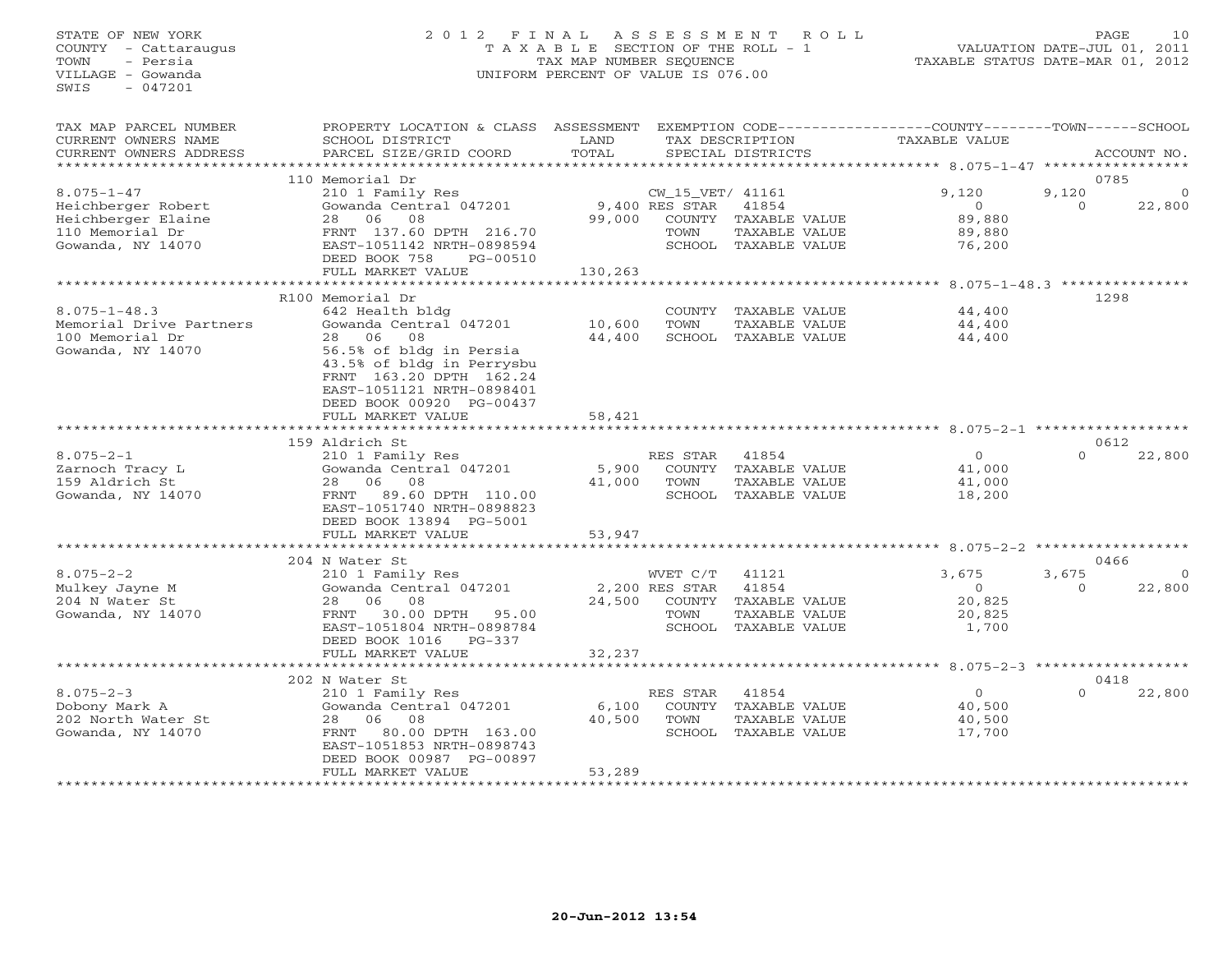# STATE OF NEW YORK 2 0 1 2 F I N A L A S S E S S M E N T R O L L PAGE 10 COUNTY - Cattaraugus T A X A B L E SECTION OF THE ROLL - 1 VALUATION DATE-JUL 01, 2011 TOWN - Persia TAX MAP NUMBER SEQUENCE TAXABLE STATUS DATE-MAR 01, 2012 VILLAGE - Gowanda UNIFORM PERCENT OF VALUE IS 076.00UNIFORM PERCENT OF VALUE IS 076.00

| TAX MAP PARCEL NUMBER   | PROPERTY LOCATION & CLASS                            | ASSESSMENT        |                  |                      | EXEMPTION CODE-----------------COUNTY-------TOWN------SCHOOL |          |             |
|-------------------------|------------------------------------------------------|-------------------|------------------|----------------------|--------------------------------------------------------------|----------|-------------|
| CURRENT OWNERS NAME     | SCHOOL DISTRICT                                      | LAND              |                  | TAX DESCRIPTION      | TAXABLE VALUE                                                |          |             |
| CURRENT OWNERS ADDRESS  | PARCEL SIZE/GRID COORD                               | TOTAL             |                  | SPECIAL DISTRICTS    |                                                              |          | ACCOUNT NO. |
|                         |                                                      |                   |                  |                      |                                                              |          |             |
|                         | 110 Memorial Dr                                      |                   |                  |                      |                                                              | 0785     |             |
| $8.075 - 1 - 47$        | 210 1 Family Res                                     |                   | CW_15_VET/ 41161 |                      | 9,120                                                        | 9,120    |             |
| Heichberger Robert      | Gowanda Central 047201                               |                   | 9,400 RES STAR   | 41854                | $\Omega$                                                     | $\Omega$ | 22,800      |
| Heichberger Elaine      | 06<br>08<br>28                                       | 99,000            | COUNTY           | TAXABLE VALUE        | 89,880                                                       |          |             |
| 110 Memorial Dr         | FRNT 137.60 DPTH 216.70                              |                   | TOWN             | TAXABLE VALUE        | 89,880                                                       |          |             |
| Gowanda, NY 14070       | EAST-1051142 NRTH-0898594                            |                   |                  | SCHOOL TAXABLE VALUE | 76,200                                                       |          |             |
|                         | DEED BOOK 758<br>PG-00510                            |                   |                  |                      |                                                              |          |             |
|                         | FULL MARKET VALUE                                    | 130,263           |                  |                      | ******** 8.075-1-48.3 ***************                        |          |             |
|                         | R100 Memorial Dr                                     |                   |                  |                      |                                                              | 1298     |             |
| $8.075 - 1 - 48.3$      | 642 Health bldg                                      |                   | COUNTY           | TAXABLE VALUE        | 44,400                                                       |          |             |
| Memorial Drive Partners | Gowanda Central 047201                               | 10,600            | TOWN             | TAXABLE VALUE        |                                                              |          |             |
| 100 Memorial Dr         | 08<br>28<br>06                                       | 44,400            | SCHOOL           |                      | 44,400<br>44,400                                             |          |             |
| Gowanda, NY 14070       |                                                      |                   |                  | TAXABLE VALUE        |                                                              |          |             |
|                         | 56.5% of bldg in Persia<br>43.5% of bldg in Perrysbu |                   |                  |                      |                                                              |          |             |
|                         | FRNT 163.20 DPTH 162.24                              |                   |                  |                      |                                                              |          |             |
|                         | EAST-1051121 NRTH-0898401                            |                   |                  |                      |                                                              |          |             |
|                         | DEED BOOK 00920 PG-00437                             |                   |                  |                      |                                                              |          |             |
|                         | FULL MARKET VALUE                                    | 58,421            |                  |                      |                                                              |          |             |
|                         |                                                      | .                 |                  |                      | $8.075 - 2 - 1$ ************                                 |          |             |
|                         | 159 Aldrich St                                       |                   |                  |                      |                                                              | 0612     |             |
| $8.075 - 2 - 1$         | 210 1 Family Res                                     |                   | RES STAR         | 41854                | $\Omega$                                                     | $\Omega$ | 22,800      |
| Zarnoch Tracy L         | Gowanda Central 047201                               | 5,900             | COUNTY           | TAXABLE VALUE        | 41,000                                                       |          |             |
| 159 Aldrich St          | 06<br>08<br>28                                       | 41,000            | TOWN             | TAXABLE VALUE        | 41,000                                                       |          |             |
| Gowanda, NY 14070       | 89.60 DPTH 110.00<br>FRNT                            |                   | SCHOOL           | TAXABLE VALUE        | 18,200                                                       |          |             |
|                         | EAST-1051740 NRTH-0898823                            |                   |                  |                      |                                                              |          |             |
|                         | DEED BOOK 13894 PG-5001                              |                   |                  |                      |                                                              |          |             |
|                         | FULL MARKET VALUE                                    | 53,947            |                  |                      |                                                              |          |             |
|                         |                                                      |                   |                  |                      |                                                              |          |             |
|                         | 204 N Water St                                       |                   |                  |                      |                                                              |          | 0466        |
| $8.075 - 2 - 2$         | 210 1 Family Res                                     |                   | WVET C/T         | 41121                | 3,675                                                        | 3,675    | $\Omega$    |
| Mulkey Jayne M          | Gowanda Central 047201                               |                   | 2,200 RES STAR   | 41854                | $\Omega$                                                     | $\Omega$ | 22,800      |
| 204 N Water St          | 06<br>08<br>28                                       | 24,500            | COUNTY           | TAXABLE VALUE        | 20,825                                                       |          |             |
| Gowanda, NY 14070       | FRNT<br>30.00 DPTH<br>95.00                          |                   | TOWN             | TAXABLE VALUE        | 20,825                                                       |          |             |
|                         | EAST-1051804 NRTH-0898784                            |                   |                  | SCHOOL TAXABLE VALUE | 1,700                                                        |          |             |
|                         | DEED BOOK 1016<br>$PG-337$                           |                   |                  |                      |                                                              |          |             |
|                         | FULL MARKET VALUE                                    | 32,237            |                  |                      |                                                              |          |             |
|                         |                                                      |                   |                  |                      | $8.075 - 2 - 3$ *************                                |          |             |
|                         | 202 N Water St                                       |                   |                  |                      |                                                              | 0418     |             |
| $8.075 - 2 - 3$         | 210 1 Family Res                                     |                   | RES STAR         | 41854                | $\circ$                                                      | $\Omega$ | 22,800      |
| Dobony Mark A           | Gowanda Central 047201                               | 6,100             | COUNTY           | TAXABLE VALUE        | 40,500                                                       |          |             |
| 202 North Water St      | 08<br>28<br>06                                       | 40,500            | TOWN             | TAXABLE VALUE        | 40,500                                                       |          |             |
| Gowanda, NY 14070       | 80.00 DPTH 163.00<br>FRNT                            |                   | SCHOOL           | TAXABLE VALUE        | 17,700                                                       |          |             |
|                         | EAST-1051853 NRTH-0898743                            |                   |                  |                      |                                                              |          |             |
|                         | DEED BOOK 00987 PG-00897                             |                   |                  |                      |                                                              |          |             |
|                         | FULL MARKET VALUE                                    | 53,289            |                  |                      |                                                              |          |             |
|                         | *************************                            | ***************** |                  |                      |                                                              |          |             |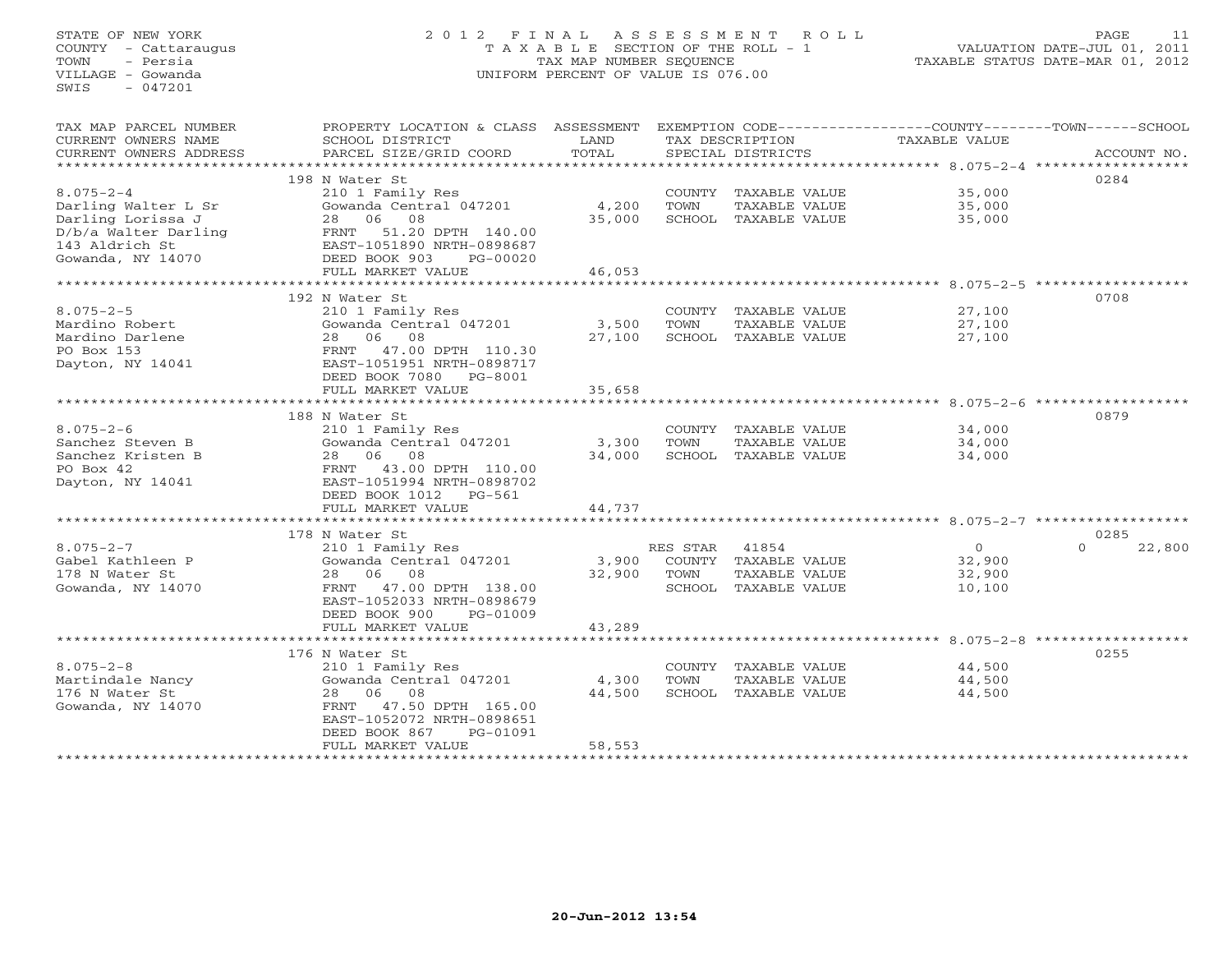# STATE OF NEW YORK 2 0 1 2 F I N A L A S S E S S M E N T R O L L PAGE 11 COUNTY - Cattaraugus T A X A B L E SECTION OF THE ROLL - 1 VALUATION DATE-JUL 01, 2011 TOWN - Persia TAX MAP NUMBER SEQUENCE TAXABLE STATUS DATE-MAR 01, 2012 VILLAGE - Gowanda UNIFORM PERCENT OF VALUE IS 076.00UNIFORM PERCENT OF VALUE IS 076.00

| TAX MAP PARCEL NUMBER  | PROPERTY LOCATION & CLASS ASSESSMENT |        |          |                            | EXEMPTION CODE-----------------COUNTY-------TOWN------SCHOOL |                    |
|------------------------|--------------------------------------|--------|----------|----------------------------|--------------------------------------------------------------|--------------------|
| CURRENT OWNERS NAME    | SCHOOL DISTRICT                      | LAND   |          | TAX DESCRIPTION            | TAXABLE VALUE                                                |                    |
| CURRENT OWNERS ADDRESS | PARCEL SIZE/GRID COORD               | TOTAL  |          | SPECIAL DISTRICTS          |                                                              | ACCOUNT NO.        |
| ********************** |                                      |        |          |                            |                                                              |                    |
|                        | 198 N Water St                       |        |          |                            |                                                              | 0284               |
| $8.075 - 2 - 4$        | 210 1 Family Res                     |        |          | COUNTY TAXABLE VALUE       | 35,000                                                       |                    |
| Darling Walter L Sr    | Gowanda Central 047201               | 4,200  | TOWN     | TAXABLE VALUE              | 35,000                                                       |                    |
| Darling Lorissa J      | 28 06 08                             | 35,000 |          | SCHOOL TAXABLE VALUE       | 35,000                                                       |                    |
| D/b/a Walter Darling   | FRNT 51.20 DPTH 140.00               |        |          |                            |                                                              |                    |
| 143 Aldrich St         | EAST-1051890 NRTH-0898687            |        |          |                            |                                                              |                    |
| Gowanda, NY 14070      | DEED BOOK 903<br>PG-00020            |        |          |                            |                                                              |                    |
|                        | FULL MARKET VALUE                    | 46,053 |          |                            |                                                              |                    |
|                        |                                      |        |          |                            |                                                              |                    |
|                        | 192 N Water St                       |        |          |                            |                                                              | 0708               |
| $8.075 - 2 - 5$        | 210 1 Family Res                     |        |          | COUNTY TAXABLE VALUE       | 27,100                                                       |                    |
| Mardino Robert         | Gowanda Central 047201               | 3,500  | TOWN     | TAXABLE VALUE              | 27,100                                                       |                    |
| Mardino Darlene        | 28 06 08                             | 27,100 |          | SCHOOL TAXABLE VALUE       | 27,100                                                       |                    |
| PO Box 153             | FRNT 47.00 DPTH 110.30               |        |          |                            |                                                              |                    |
| Dayton, NY 14041       | EAST-1051951 NRTH-0898717            |        |          |                            |                                                              |                    |
|                        | DEED BOOK 7080 PG-8001               |        |          |                            |                                                              |                    |
|                        | FULL MARKET VALUE                    | 35,658 |          |                            |                                                              |                    |
|                        | **************************           |        |          |                            |                                                              |                    |
|                        | 188 N Water St                       |        |          |                            |                                                              | 0879               |
| $8.075 - 2 - 6$        | 210 1 Family Res                     |        |          | COUNTY TAXABLE VALUE       | 34,000                                                       |                    |
| Sanchez Steven B       | Gowanda Central 047201               | 3,300  | TOWN     | TAXABLE VALUE              | 34,000                                                       |                    |
| Sanchez Kristen B      | 28 06 08                             | 34,000 |          | SCHOOL TAXABLE VALUE       | 34,000                                                       |                    |
| PO Box 42              | FRNT 43.00 DPTH 110.00               |        |          |                            |                                                              |                    |
| Dayton, NY 14041       | EAST-1051994 NRTH-0898702            |        |          |                            |                                                              |                    |
|                        | DEED BOOK 1012    PG-561             |        |          |                            |                                                              |                    |
|                        | FULL MARKET VALUE                    | 44,737 |          |                            |                                                              |                    |
|                        |                                      |        |          |                            |                                                              |                    |
|                        | 178 N Water St                       |        |          |                            |                                                              | 0285               |
| $8.075 - 2 - 7$        | 210 1 Family Res                     |        | RES STAR | 41854                      | $\Omega$                                                     | 22,800<br>$\Omega$ |
| Gabel Kathleen P       | Gowanda Central 047201               |        |          | 3,900 COUNTY TAXABLE VALUE | 32,900                                                       |                    |
| 178 N Water St         | 28 06 08                             | 32,900 | TOWN     | TAXABLE VALUE              | 32,900                                                       |                    |
| Gowanda, NY 14070      | FRNT 47.00 DPTH 138.00               |        |          | SCHOOL TAXABLE VALUE       | 10,100                                                       |                    |
|                        | EAST-1052033 NRTH-0898679            |        |          |                            |                                                              |                    |
|                        | DEED BOOK 900<br>PG-01009            |        |          |                            |                                                              |                    |
|                        | FULL MARKET VALUE                    | 43,289 |          |                            |                                                              |                    |
|                        |                                      |        |          |                            |                                                              |                    |
|                        | 176 N Water St                       |        |          |                            |                                                              | 0255               |
| $8.075 - 2 - 8$        | 210 1 Family Res                     |        |          | COUNTY TAXABLE VALUE       | 44,500                                                       |                    |
| Martindale Nancy       | Gowanda Central 047201               | 4,300  | TOWN     | TAXABLE VALUE              | 44,500                                                       |                    |
| 176 N Water St         | 28 06 08                             | 44,500 |          | SCHOOL TAXABLE VALUE       | 44,500                                                       |                    |
| Gowanda, NY 14070      | FRNT 47.50 DPTH 165.00               |        |          |                            |                                                              |                    |
|                        | EAST-1052072 NRTH-0898651            |        |          |                            |                                                              |                    |
|                        | DEED BOOK 867<br>PG-01091            |        |          |                            |                                                              |                    |
|                        | FULL MARKET VALUE                    | 58,553 |          |                            |                                                              |                    |
|                        |                                      |        |          |                            |                                                              |                    |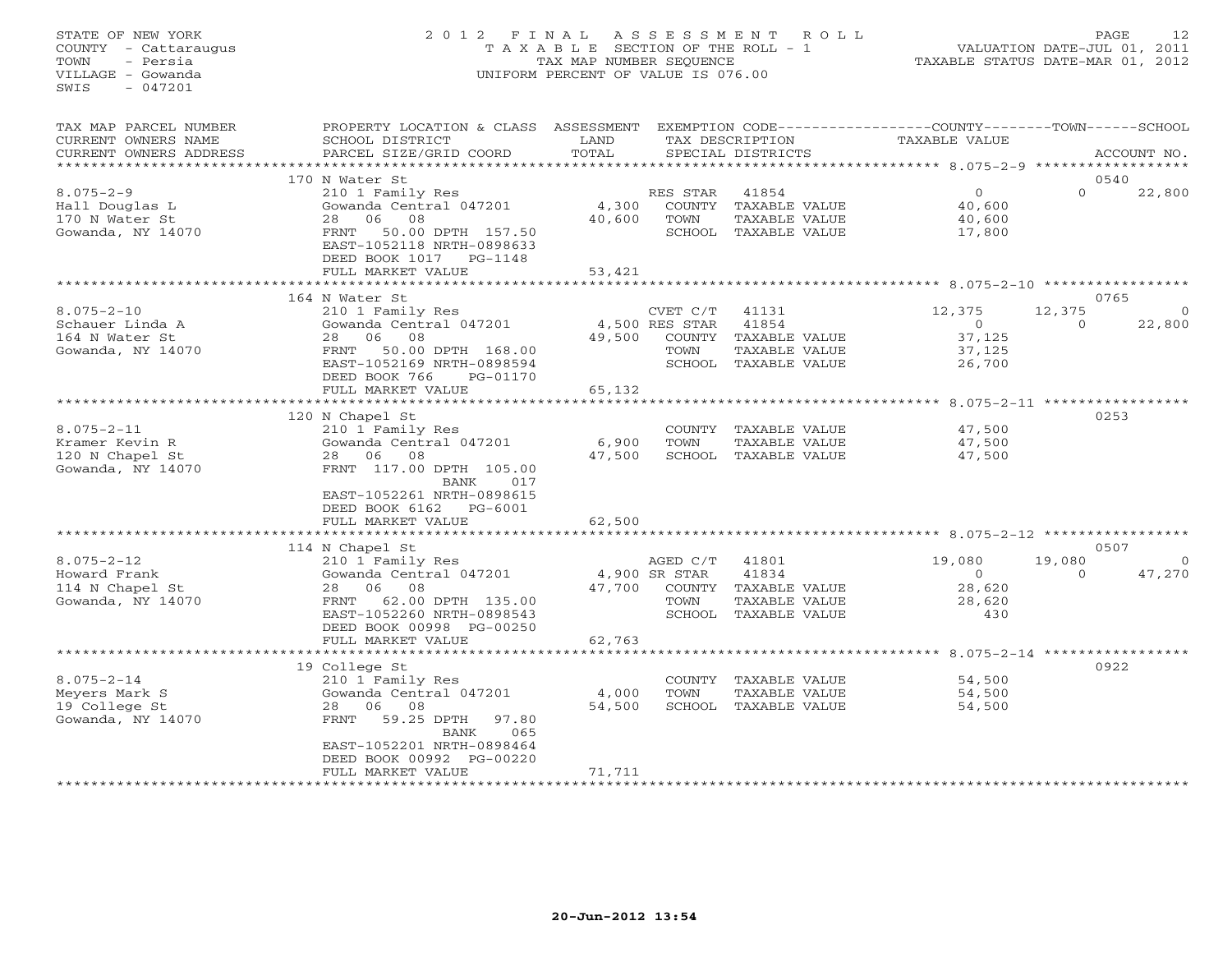## STATE OF NEW YORK 2 0 1 2 F I N A L A S S E S S M E N T R O L L PAGE 12 COUNTY - Cattaraugus T A X A B L E SECTION OF THE ROLL - 1 VALUATION DATE-JUL 01, 2011 TOWN - Persia TAX MAP NUMBER SEQUENCE TAXABLE STATUS DATE-MAR 01, 2012 VILLAGE - Gowanda UNIFORM PERCENT OF VALUE IS 076.00UNIFORM PERCENT OF VALUE IS 076.00

| TAX MAP PARCEL NUMBER<br>CURRENT OWNERS NAME<br>CURRENT OWNERS ADDRESS     | PROPERTY LOCATION & CLASS ASSESSMENT<br>SCHOOL DISTRICT<br>PARCEL SIZE/GRID COORD                                                                                                                     | LAND<br>TOTAL             |                                    | TAX DESCRIPTION<br>SPECIAL DISTRICTS                                            | EXEMPTION CODE-----------------COUNTY-------TOWN------SCHOOL<br>TAXABLE VALUE |                                     | ACCOUNT NO.        |
|----------------------------------------------------------------------------|-------------------------------------------------------------------------------------------------------------------------------------------------------------------------------------------------------|---------------------------|------------------------------------|---------------------------------------------------------------------------------|-------------------------------------------------------------------------------|-------------------------------------|--------------------|
| *************************                                                  |                                                                                                                                                                                                       |                           |                                    |                                                                                 |                                                                               |                                     |                    |
| $8.075 - 2 - 9$<br>Hall Douglas L<br>170 N Water St<br>Gowanda, NY 14070   | 170 N Water St<br>210 1 Family Res<br>Gowanda Central 047201<br>08<br>28<br>06<br>FRNT<br>50.00 DPTH 157.50<br>EAST-1052118 NRTH-0898633<br>DEED BOOK 1017<br>PG-1148                                 | 4,300<br>40,600           | RES STAR<br>TOWN                   | 41854<br>COUNTY TAXABLE VALUE<br>TAXABLE VALUE<br>SCHOOL TAXABLE VALUE          | $\overline{0}$<br>40,600<br>40,600<br>17,800                                  | 0540<br>$\Omega$                    | 22,800             |
|                                                                            | FULL MARKET VALUE                                                                                                                                                                                     | 53,421                    |                                    |                                                                                 |                                                                               |                                     |                    |
|                                                                            |                                                                                                                                                                                                       | ***********               |                                    |                                                                                 | ************** 8.075-2-10 ***********                                         |                                     |                    |
| $8.075 - 2 - 10$<br>Schauer Linda A<br>164 N Water St<br>Gowanda, NY 14070 | 164 N Water St<br>210 1 Family Res<br>Gowanda Central 047201<br>06<br>08<br>28<br>50.00 DPTH 168.00<br>FRNT<br>EAST-1052169 NRTH-0898594<br>DEED BOOK 766<br>PG-01170<br>FULL MARKET VALUE            | 49,500<br>65,132          | CVET C/T<br>4,500 RES STAR<br>TOWN | 41131<br>41854<br>COUNTY TAXABLE VALUE<br>TAXABLE VALUE<br>SCHOOL TAXABLE VALUE | 12,375<br>$\overline{0}$<br>37,125<br>37,125<br>26,700                        | 0765<br>12,375<br>$\circ$           | $\circ$<br>22,800  |
|                                                                            |                                                                                                                                                                                                       | **************            |                                    |                                                                                 |                                                                               | $8.075 - 2 - 11$ ****************** |                    |
| $8.075 - 2 - 11$<br>Kramer Kevin R<br>120 N Chapel St<br>Gowanda, NY 14070 | 120 N Chapel St<br>210 1 Family Res<br>Gowanda Central 047201<br>28 06<br>08<br>FRNT 117.00 DPTH 105.00<br>BANK<br>017<br>EAST-1052261 NRTH-0898615<br>DEED BOOK 6162<br>PG-6001<br>FULL MARKET VALUE | 6,900<br>47,500<br>62,500 | TOWN                               | COUNTY TAXABLE VALUE<br>TAXABLE VALUE<br>SCHOOL TAXABLE VALUE                   | 47,500<br>47,500<br>47,500                                                    | 0253                                |                    |
|                                                                            |                                                                                                                                                                                                       |                           |                                    |                                                                                 |                                                                               |                                     |                    |
| $8.075 - 2 - 12$<br>Howard Frank<br>114 N Chapel St<br>Gowanda, NY 14070   | 114 N Chapel St<br>210 1 Family Res<br>Gowanda Central 047201<br>08<br>28 06<br>62.00 DPTH 135.00<br>FRNT<br>EAST-1052260 NRTH-0898543<br>DEED BOOK 00998 PG-00250                                    | 47,700                    | AGED C/T<br>4,900 SR STAR<br>TOWN  | 41801<br>41834<br>COUNTY TAXABLE VALUE<br>TAXABLE VALUE<br>SCHOOL TAXABLE VALUE | 19,080<br>$\circ$<br>28,620<br>28,620<br>430                                  | 0507<br>19,080<br>$\Omega$          | $\Omega$<br>47,270 |
|                                                                            | FULL MARKET VALUE                                                                                                                                                                                     | 62,763                    |                                    |                                                                                 |                                                                               |                                     |                    |
|                                                                            | 19 College St                                                                                                                                                                                         |                           |                                    |                                                                                 | $8.075 - 2 - 14$ *****                                                        | 0922                                |                    |
| $8.075 - 2 - 14$<br>Meyers Mark S<br>19 College St<br>Gowanda, NY 14070    | 210 1 Family Res<br>Gowanda Central 047201<br>06<br>28<br>08<br>59.25 DPTH<br>97.80<br>FRNT<br>065<br>BANK<br>EAST-1052201 NRTH-0898464<br>DEED BOOK 00992 PG-00220                                   | 4,000<br>54,500           | TOWN                               | COUNTY TAXABLE VALUE<br>TAXABLE VALUE<br>SCHOOL TAXABLE VALUE                   | 54,500<br>54,500<br>54,500                                                    |                                     |                    |
|                                                                            | FULL MARKET VALUE<br>********************                                                                                                                                                             | 71,711                    |                                    |                                                                                 |                                                                               |                                     |                    |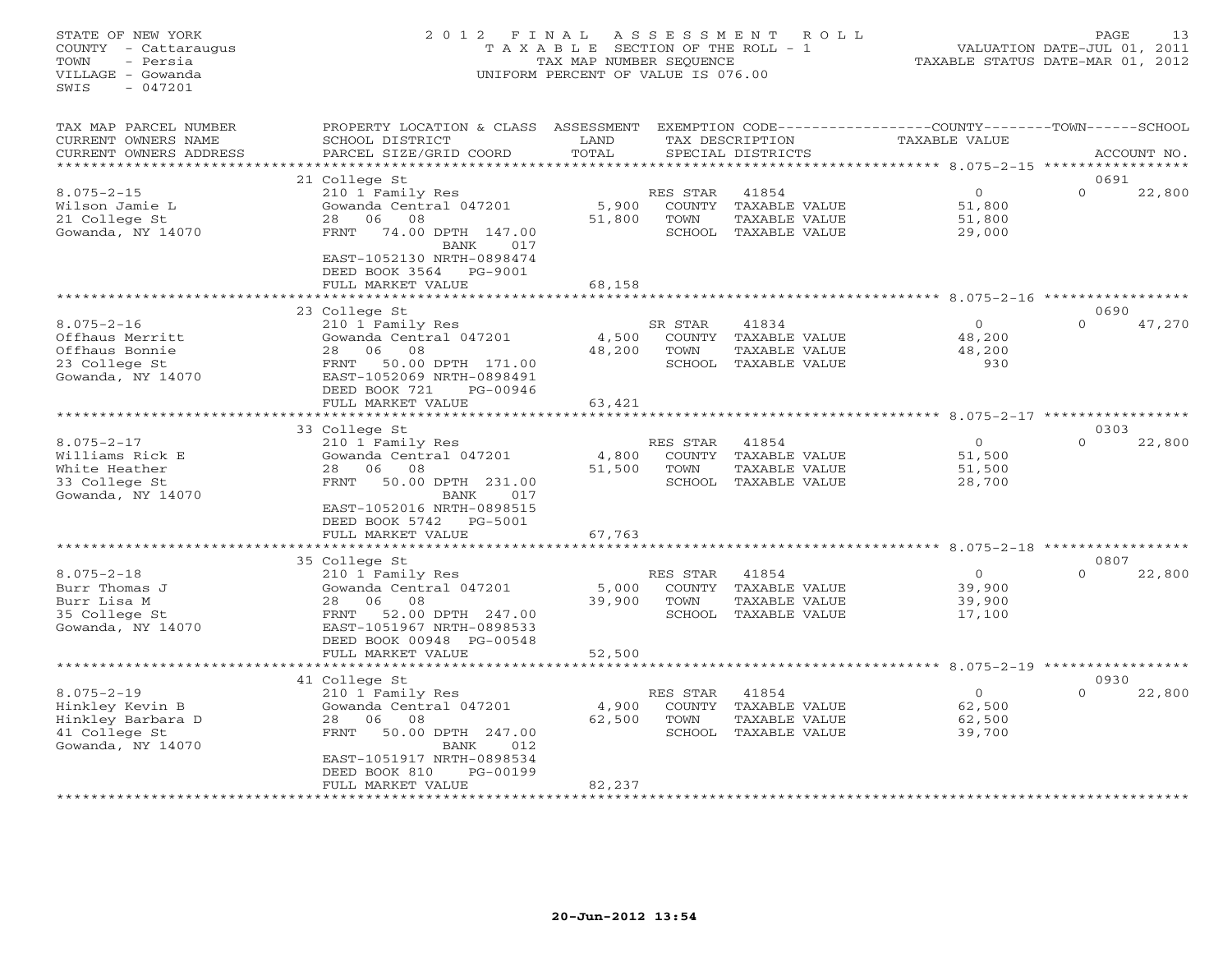# STATE OF NEW YORK 2 0 1 2 F I N A L A S S E S S M E N T R O L L PAGE 13 COUNTY - Cattaraugus T A X A B L E SECTION OF THE ROLL - 1 VALUATION DATE-JUL 01, 2011 TOWN - Persia TAX MAP NUMBER SEQUENCE TAXABLE STATUS DATE-MAR 01, 2012 VILLAGE - Gowanda UNIFORM PERCENT OF VALUE IS 076.00UNIFORM PERCENT OF VALUE IS 076.00

|                                                                                                                                                                                         | TOTAL                                                                                                                                                                             |                                      | TAX DESCRIPTION<br>SPECIAL DISTRICTS                     | TAXABLE VALUE                            |                  | ACCOUNT NO.                                                                                                                             |
|-----------------------------------------------------------------------------------------------------------------------------------------------------------------------------------------|-----------------------------------------------------------------------------------------------------------------------------------------------------------------------------------|--------------------------------------|----------------------------------------------------------|------------------------------------------|------------------|-----------------------------------------------------------------------------------------------------------------------------------------|
|                                                                                                                                                                                         |                                                                                                                                                                                   |                                      |                                                          |                                          |                  |                                                                                                                                         |
| 210 1 Family Res<br>Gowanda Central 047201<br>08<br>28<br>06<br>74.00 DPTH 147.00<br>FRNT<br>BANK<br>017<br>EAST-1052130 NRTH-0898474<br>DEED BOOK 3564<br>PG-9001<br>FULL MARKET VALUE | 5,900<br>51,800<br>68,158                                                                                                                                                         | RES STAR<br>COUNTY<br>TOWN           | 41854<br>TAXABLE VALUE<br>TAXABLE VALUE                  | $\circ$<br>51,800<br>51,800<br>29,000    | 0691<br>$\Omega$ | 22,800                                                                                                                                  |
| *****************                                                                                                                                                                       |                                                                                                                                                                                   |                                      |                                                          |                                          |                  |                                                                                                                                         |
| 210 1 Family Res<br>Gowanda Central 047201<br>28<br>06<br>08<br>50.00 DPTH 171.00<br>FRNT<br>EAST-1052069 NRTH-0898491<br>DEED BOOK 721<br>PG-00946                                     | 4,500<br>48,200                                                                                                                                                                   | SR STAR<br><b>TOWN</b>               | 41834<br>TAXABLE VALUE<br>TAXABLE VALUE<br>TAXABLE VALUE | $\Omega$<br>48,200<br>48,200<br>930      | $\Omega$         | 47,270                                                                                                                                  |
| FULL MARKET VALUE                                                                                                                                                                       | 63,421                                                                                                                                                                            |                                      |                                                          |                                          |                  |                                                                                                                                         |
|                                                                                                                                                                                         |                                                                                                                                                                                   |                                      |                                                          |                                          |                  |                                                                                                                                         |
| 210 1 Family Res<br>Gowanda Central 047201<br>06<br>28<br>08<br>50.00 DPTH 231.00<br>FRNT<br><b>BANK</b><br>017<br>EAST-1052016 NRTH-0898515<br>DEED BOOK 5742<br>PG-5001               | 4,800<br>51,500                                                                                                                                                                   | RES STAR<br>COUNTY<br>TOWN<br>SCHOOL | 41854<br>TAXABLE VALUE<br>TAXABLE VALUE<br>TAXABLE VALUE | $\Omega$<br>51,500<br>51,500<br>28,700   | $\Omega$         | 22,800                                                                                                                                  |
| FULL MARKET VALUE                                                                                                                                                                       | 67,763                                                                                                                                                                            |                                      |                                                          |                                          |                  |                                                                                                                                         |
|                                                                                                                                                                                         |                                                                                                                                                                                   |                                      |                                                          |                                          |                  |                                                                                                                                         |
| 210 1 Family Res<br>Gowanda Central 047201<br>06<br>08<br>28<br>52.00 DPTH 247.00<br>FRNT<br>EAST-1051967 NRTH-0898533                                                                  | 5,000<br>39,900                                                                                                                                                                   | RES STAR<br>COUNTY<br>TOWN<br>SCHOOL | 41854<br>TAXABLE VALUE<br>TAXABLE VALUE<br>TAXABLE VALUE | $\Omega$<br>39,900<br>39,900<br>17,100   | $\Omega$         | 22,800                                                                                                                                  |
|                                                                                                                                                                                         |                                                                                                                                                                                   |                                      |                                                          |                                          |                  |                                                                                                                                         |
| *****************                                                                                                                                                                       |                                                                                                                                                                                   |                                      |                                                          |                                          |                  |                                                                                                                                         |
| 210 1 Family Res<br>Gowanda Central 047201<br>06<br>08<br>28<br>50.00 DPTH 247.00<br><b>FRNT</b><br><b>BANK</b><br>012<br>EAST-1051917 NRTH-0898534<br>PG-00199<br>DEED BOOK 810        | 4,900<br>62,500                                                                                                                                                                   | RES STAR<br>COUNTY<br>TOWN<br>SCHOOL | 41854<br>TAXABLE VALUE<br>TAXABLE VALUE<br>TAXABLE VALUE | $\circ$<br>62,500<br>62,500<br>39,700    | 0930<br>$\Omega$ | 22,800                                                                                                                                  |
|                                                                                                                                                                                         | 21 College St<br>23 College St<br>**********************<br>33 College St<br>35 College St<br>DEED BOOK 00948 PG-00548<br>FULL MARKET VALUE<br>41 College St<br>FULL MARKET VALUE | 52,500<br>82,237                     |                                                          | SCHOOL TAXABLE VALUE<br>COUNTY<br>SCHOOL |                  | ******************************** 8.075-2-16 *********<br>0690<br>0303<br>$8.075 - 2 - 18$ **********<br>0807<br>$8.075 - 2 - 19$ ****** |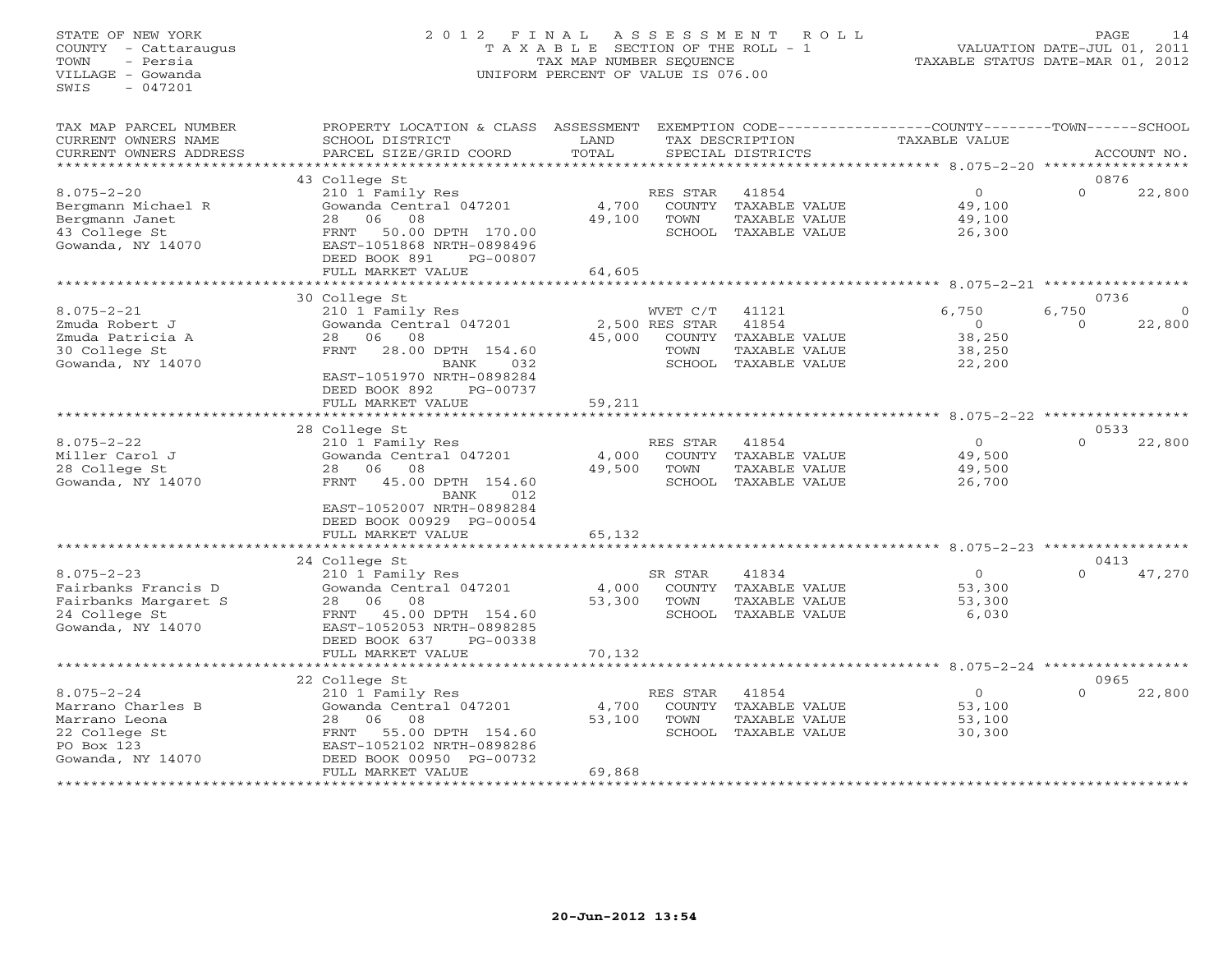# STATE OF NEW YORK 2 0 1 2 F I N A L A S S E S S M E N T R O L L PAGE 14 COUNTY - Cattaraugus T A X A B L E SECTION OF THE ROLL - 1 VALUATION DATE-JUL 01, 2011 TOWN - Persia TAX MAP NUMBER SEQUENCE TAXABLE STATUS DATE-MAR 01, 2012 VILLAGE - Gowanda UNIFORM PERCENT OF VALUE IS 076.00UNIFORM PERCENT OF VALUE IS 076.00

| TAX MAP PARCEL NUMBER<br>CURRENT OWNERS NAME                                                               | PROPERTY LOCATION & CLASS ASSESSMENT<br>SCHOOL DISTRICT                                                                                                                                        | LAND                      |                                      | EXEMPTION CODE---<br>TAX DESCRIPTION                                            | ----------------COUNTY--------TOWN------SCHOOL<br><b>TAXABLE VALUE</b> |                           |                    |
|------------------------------------------------------------------------------------------------------------|------------------------------------------------------------------------------------------------------------------------------------------------------------------------------------------------|---------------------------|--------------------------------------|---------------------------------------------------------------------------------|------------------------------------------------------------------------|---------------------------|--------------------|
| CURRENT OWNERS ADDRESS<br>*******************                                                              | PARCEL SIZE/GRID COORD                                                                                                                                                                         | TOTAL                     |                                      | SPECIAL DISTRICTS                                                               |                                                                        |                           | ACCOUNT NO.        |
|                                                                                                            | 43 College St                                                                                                                                                                                  |                           |                                      |                                                                                 |                                                                        | 0876                      |                    |
| $8.075 - 2 - 20$<br>Bergmann Michael R<br>Bergmann Janet<br>43 College St<br>Gowanda, NY 14070             | 210 1 Family Res<br>Gowanda Central 047201<br>28<br>06<br>08<br>50.00 DPTH 170.00<br>FRNT<br>EAST-1051868 NRTH-0898496<br>DEED BOOK 891<br>PG-00807                                            | 4,700<br>49,100           | RES STAR<br>COUNTY<br>TOWN<br>SCHOOL | 41854<br>TAXABLE VALUE<br>TAXABLE VALUE<br>TAXABLE VALUE                        | $\overline{0}$<br>49,100<br>49,100<br>26,300                           | $\Omega$                  | 22,800             |
|                                                                                                            | FULL MARKET VALUE                                                                                                                                                                              | 64,605                    |                                      |                                                                                 |                                                                        |                           |                    |
|                                                                                                            |                                                                                                                                                                                                |                           |                                      |                                                                                 | ** 8.075-2-21                                                          |                           |                    |
| $8.075 - 2 - 21$<br>Zmuda Robert J<br>Zmuda Patricia A<br>30 College St<br>Gowanda, NY 14070               | 30 College St<br>210 1 Family Res<br>Gowanda Central 047201<br>28<br>06<br>08<br>28.00 DPTH 154.60<br>FRNT<br><b>BANK</b><br>032<br>EAST-1051970 NRTH-0898284<br>DEED BOOK 892<br>PG-00737     | 45,000                    | WVET C/T<br>2,500 RES STAR<br>TOWN   | 41121<br>41854<br>COUNTY TAXABLE VALUE<br>TAXABLE VALUE<br>SCHOOL TAXABLE VALUE | 6,750<br>$\Omega$<br>38,250<br>38,250<br>22,200                        | 0736<br>6,750<br>$\Omega$ | $\Omega$<br>22,800 |
|                                                                                                            | FULL MARKET VALUE                                                                                                                                                                              | 59,211                    |                                      |                                                                                 |                                                                        |                           |                    |
|                                                                                                            | *******************                                                                                                                                                                            |                           |                                      |                                                                                 | *********** 8.075-2-22 ******************                              |                           |                    |
|                                                                                                            | 28 College St                                                                                                                                                                                  |                           |                                      |                                                                                 |                                                                        | 0533<br>$\Omega$          |                    |
| $8.075 - 2 - 22$<br>Miller Carol J<br>28 College St<br>Gowanda, NY 14070                                   | 210 1 Family Res<br>Gowanda Central 047201<br>2.8<br>06<br>08<br>45.00 DPTH 154.60<br>FRNT<br><b>BANK</b><br>012<br>EAST-1052007 NRTH-0898284<br>DEED BOOK 00929 PG-00054<br>FULL MARKET VALUE | 4,000<br>49,500<br>65,132 | RES STAR<br>COUNTY<br>TOWN           | 41854<br>TAXABLE VALUE<br>TAXABLE VALUE<br>SCHOOL TAXABLE VALUE                 | $\overline{0}$<br>49,500<br>49,500<br>26,700                           |                           | 22,800             |
|                                                                                                            |                                                                                                                                                                                                |                           |                                      |                                                                                 |                                                                        |                           |                    |
|                                                                                                            | 24 College St                                                                                                                                                                                  |                           |                                      |                                                                                 |                                                                        | 0413                      |                    |
| $8.075 - 2 - 23$<br>Fairbanks Francis D<br>Fairbanks Margaret S<br>24 College St<br>Gowanda, NY 14070      | 210 1 Family Res<br>Gowanda Central 047201<br>08<br>28<br>06<br>45.00 DPTH 154.60<br>FRNT<br>EAST-1052053 NRTH-0898285<br>DEED BOOK 637<br>PG-00338<br>FULL MARKET VALUE                       | 4,000<br>53,300<br>70,132 | SR STAR<br>TOWN<br>SCHOOL            | 41834<br>COUNTY TAXABLE VALUE<br>TAXABLE VALUE<br>TAXABLE VALUE                 | $\circ$<br>53,300<br>53,300<br>6,030                                   | $\Omega$                  | 47,270             |
|                                                                                                            | *****************************                                                                                                                                                                  |                           |                                      |                                                                                 |                                                                        |                           |                    |
|                                                                                                            | 22 College St                                                                                                                                                                                  |                           |                                      |                                                                                 |                                                                        | 0965                      |                    |
| $8.075 - 2 - 24$<br>Marrano Charles B<br>Marrano Leona<br>22 College St<br>PO Box 123<br>Gowanda, NY 14070 | 210 1 Family Res<br>Gowanda Central 047201<br>28<br>06<br>08<br>FRNT<br>55.00 DPTH 154.60<br>EAST-1052102 NRTH-0898286<br>DEED BOOK 00950 PG-00732<br>FULL MARKET VALUE                        | 4,700<br>53,100<br>69,868 | RES STAR<br>TOWN<br>SCHOOL           | 41854<br>COUNTY TAXABLE VALUE<br>TAXABLE VALUE<br>TAXABLE VALUE                 | $\circ$<br>53,100<br>53,100<br>30,300                                  | $\Omega$                  | 22,800             |
|                                                                                                            |                                                                                                                                                                                                |                           |                                      |                                                                                 |                                                                        |                           |                    |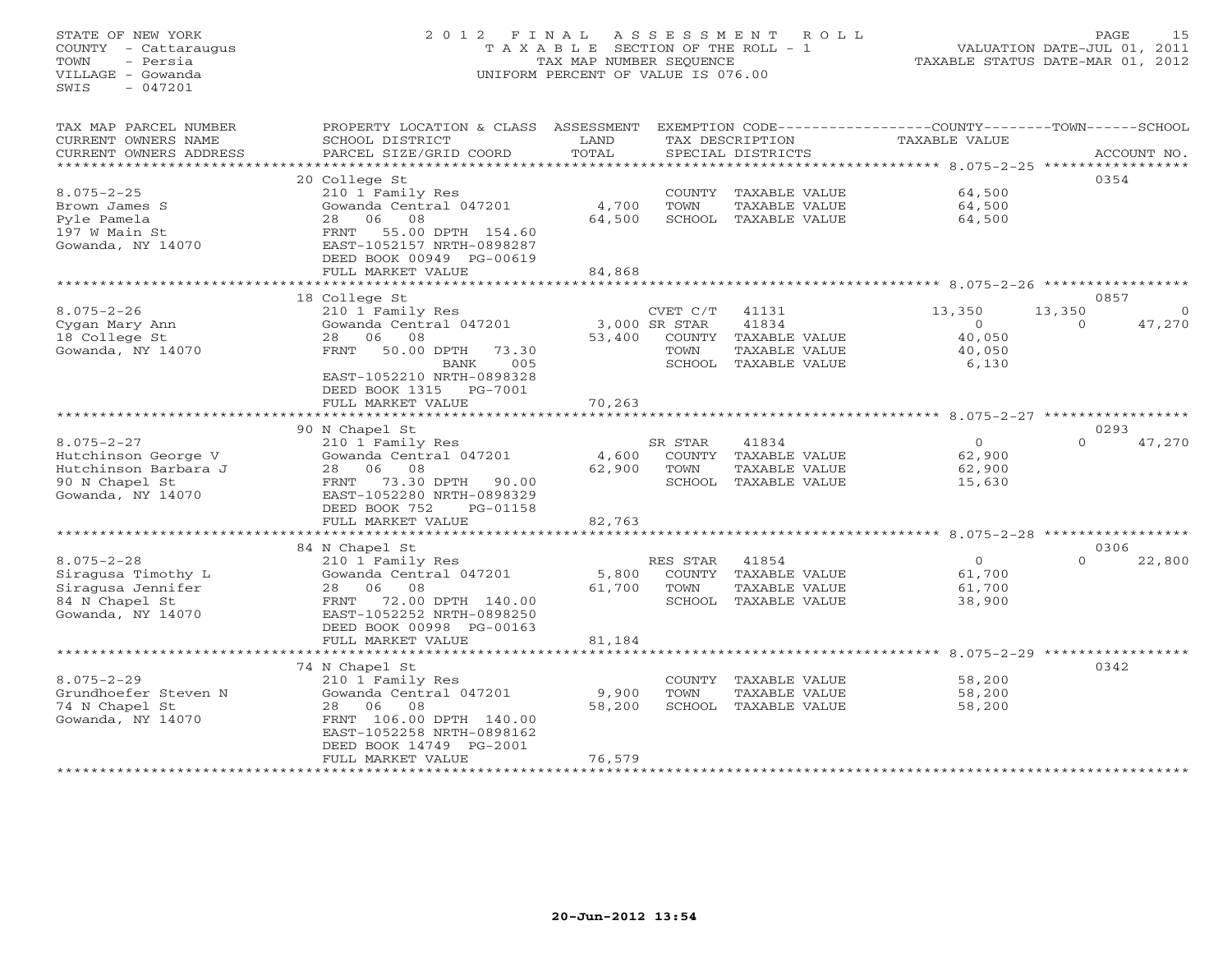# STATE OF NEW YORK 2 0 1 2 F I N A L A S S E S S M E N T R O L L PAGE 15 COUNTY - Cattaraugus T A X A B L E SECTION OF THE ROLL - 1 VALUATION DATE-JUL 01, 2011 TOWN - Persia TAX MAP NUMBER SEQUENCE TAXABLE STATUS DATE-MAR 01, 2012 VILLAGE - Gowanda UNIFORM PERCENT OF VALUE IS 076.00UNIFORM PERCENT OF VALUE IS 076.00

| TAX MAP PARCEL NUMBER  | PROPERTY LOCATION & CLASS    | ASSESSMENT |               |                      | EXEMPTION CODE-----------------COUNTY-------TOWN------SCHOOL |                    |
|------------------------|------------------------------|------------|---------------|----------------------|--------------------------------------------------------------|--------------------|
| CURRENT OWNERS NAME    | SCHOOL DISTRICT              | LAND       |               | TAX DESCRIPTION      | TAXABLE VALUE                                                |                    |
| CURRENT OWNERS ADDRESS | PARCEL SIZE/GRID COORD       | TOTAL      |               | SPECIAL DISTRICTS    |                                                              | ACCOUNT NO.        |
| *********************  |                              |            |               |                      |                                                              |                    |
|                        | 20 College St                |            |               |                      |                                                              | 0354               |
| $8.075 - 2 - 25$       | 210 1 Family Res             |            |               | COUNTY TAXABLE VALUE | 64,500                                                       |                    |
| Brown James S          | Gowanda Central 047201       | 4,700      | TOWN          | TAXABLE VALUE        | 64,500                                                       |                    |
| Pyle Pamela            | 06<br>08<br>28               | 64,500     |               | SCHOOL TAXABLE VALUE | 64,500                                                       |                    |
| 197 W Main St          | 55.00 DPTH 154.60<br>FRNT    |            |               |                      |                                                              |                    |
| Gowanda, NY 14070      | EAST-1052157 NRTH-0898287    |            |               |                      |                                                              |                    |
|                        | DEED BOOK 00949 PG-00619     |            |               |                      |                                                              |                    |
|                        | FULL MARKET VALUE            | 84,868     |               |                      |                                                              |                    |
|                        |                              |            |               |                      |                                                              |                    |
|                        | 18 College St                |            |               |                      |                                                              | 0857               |
| $8.075 - 2 - 26$       | 210 1 Family Res             |            | CVET C/T      | 41131                | 13,350                                                       | 13,350<br>$\circ$  |
| Cygan Mary Ann         | Gowanda Central 047201       |            | 3,000 SR STAR | 41834                | $\Omega$                                                     | 47,270<br>$\Omega$ |
| 18 College St          | 06<br>08<br>28               | 53,400     |               | COUNTY TAXABLE VALUE | 40,050                                                       |                    |
| Gowanda, NY 14070      | FRNT<br>50.00 DPTH<br>73.30  |            | TOWN          | TAXABLE VALUE        | 40,050                                                       |                    |
|                        | 005<br>BANK                  |            |               | SCHOOL TAXABLE VALUE | 6,130                                                        |                    |
|                        | EAST-1052210 NRTH-0898328    |            |               |                      |                                                              |                    |
|                        | DEED BOOK 1315<br>PG-7001    |            |               |                      |                                                              |                    |
|                        | FULL MARKET VALUE            | 70,263     |               |                      |                                                              |                    |
|                        | **************************** |            |               |                      |                                                              |                    |
|                        | 90 N Chapel St               |            |               |                      |                                                              | 0293               |
| $8.075 - 2 - 27$       | 210 1 Family Res             |            | SR STAR       | 41834                | $\overline{O}$                                               | 47,270<br>$\Omega$ |
| Hutchinson George V    | Gowanda Central 047201       | 4,600      |               | COUNTY TAXABLE VALUE | 62,900                                                       |                    |
| Hutchinson Barbara J   | 08<br>28<br>06               | 62,900     | TOWN          | TAXABLE VALUE        | 62,900                                                       |                    |
| 90 N Chapel St         | 73.30 DPTH<br>FRNT<br>90.00  |            |               | SCHOOL TAXABLE VALUE | 15,630                                                       |                    |
| Gowanda, NY 14070      | EAST-1052280 NRTH-0898329    |            |               |                      |                                                              |                    |
|                        | DEED BOOK 752<br>PG-01158    |            |               |                      |                                                              |                    |
|                        | FULL MARKET VALUE            | 82,763     |               |                      |                                                              |                    |
|                        |                              |            |               |                      |                                                              |                    |
|                        | 84 N Chapel St               |            |               |                      |                                                              | 0306               |
| $8.075 - 2 - 28$       | 210 1 Family Res             |            | RES STAR      | 41854                | $\circ$                                                      | $\Omega$<br>22,800 |
| Siragusa Timothy L     | Gowanda Central 047201       | 5,800      | COUNTY        | TAXABLE VALUE        | 61,700                                                       |                    |
| Siragusa Jennifer      | 28 06<br>08                  | 61,700     | TOWN          | TAXABLE VALUE        | 61,700                                                       |                    |
| 84 N Chapel St         | 72.00 DPTH 140.00<br>FRNT    |            |               | SCHOOL TAXABLE VALUE | 38,900                                                       |                    |
| Gowanda, NY 14070      | EAST-1052252 NRTH-0898250    |            |               |                      |                                                              |                    |
|                        | DEED BOOK 00998 PG-00163     |            |               |                      |                                                              |                    |
|                        | FULL MARKET VALUE            | 81,184     |               |                      |                                                              |                    |
|                        |                              |            |               |                      |                                                              |                    |
|                        | 74 N Chapel St               |            |               |                      |                                                              | 0342               |
| $8.075 - 2 - 29$       | 210 1 Family Res             |            | COUNTY        | TAXABLE VALUE        | 58,200                                                       |                    |
| Grundhoefer Steven N   | Gowanda Central 047201       | 9,900      | TOWN          | TAXABLE VALUE        | 58,200                                                       |                    |
| 74 N Chapel St         | 08<br>28 06                  | 58,200     |               | SCHOOL TAXABLE VALUE | 58,200                                                       |                    |
| Gowanda, NY 14070      | FRNT 106.00 DPTH 140.00      |            |               |                      |                                                              |                    |
|                        | EAST-1052258 NRTH-0898162    |            |               |                      |                                                              |                    |
|                        | DEED BOOK 14749 PG-2001      |            |               |                      |                                                              |                    |
|                        | FULL MARKET VALUE            | 76,579     |               |                      |                                                              |                    |
|                        |                              |            |               |                      |                                                              |                    |
|                        |                              |            |               |                      |                                                              |                    |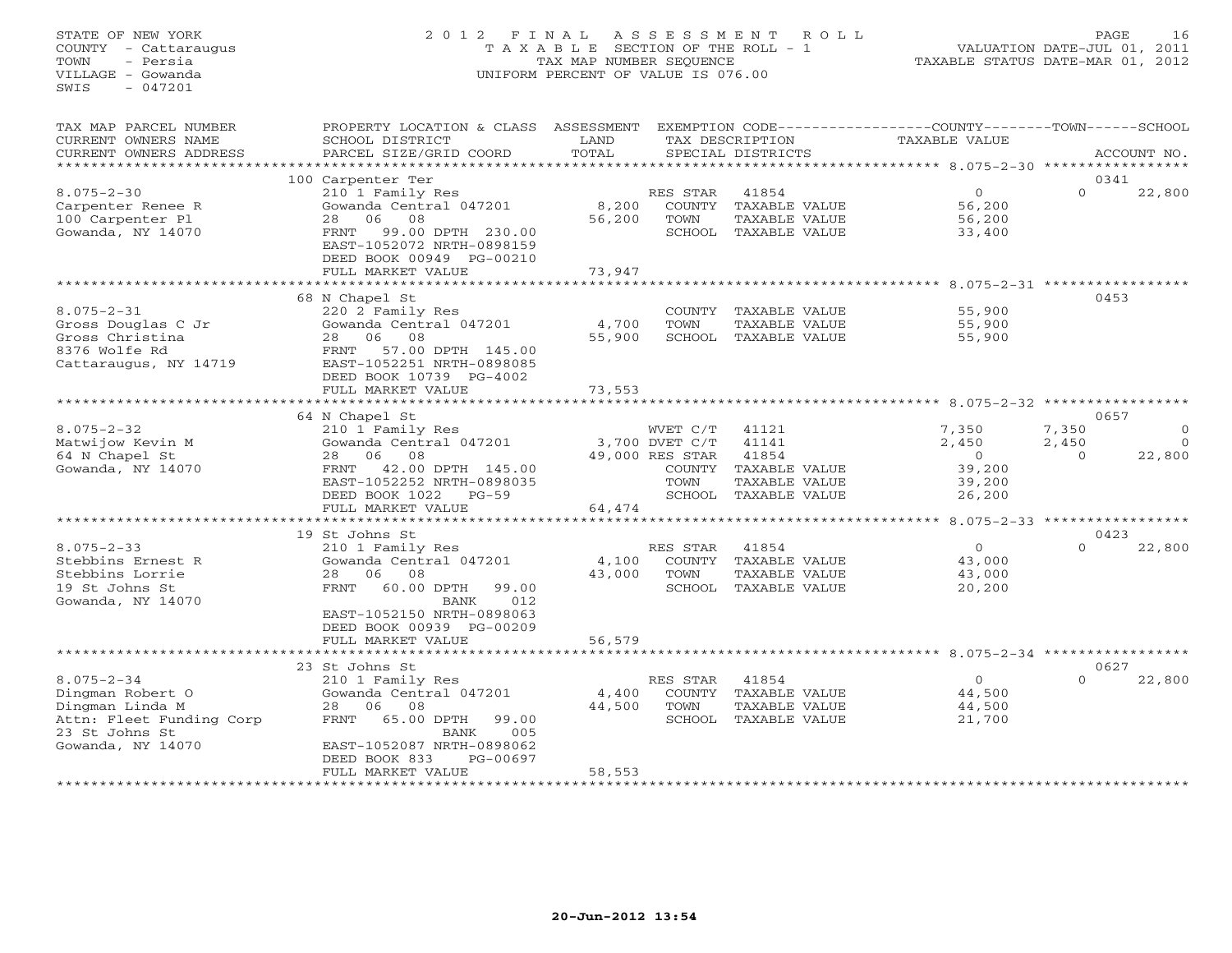# STATE OF NEW YORK 2 0 1 2 F I N A L A S S E S S M E N T R O L L PAGE 16 COUNTY - Cattaraugus T A X A B L E SECTION OF THE ROLL - 1 VALUATION DATE-JUL 01, 2011 TOWN - Persia TAX MAP NUMBER SEQUENCE TAXABLE STATUS DATE-MAR 01, 2012 VILLAGE - Gowanda UNIFORM PERCENT OF VALUE IS 076.00UNIFORM PERCENT OF VALUE IS 076.00

| TAX MAP PARCEL NUMBER<br>CURRENT OWNERS NAME<br>CURRENT OWNERS ADDRESS         | PROPERTY LOCATION & CLASS ASSESSMENT<br>SCHOOL DISTRICT<br>PARCEL SIZE/GRID COORD                                      | LAND<br>TOTAL          |                  | TAX DESCRIPTION<br>SPECIAL DISTRICTS                                   | EXEMPTION CODE-----------------COUNTY-------TOWN------SCHOOL<br>TAXABLE VALUE |          | ACCOUNT NO. |
|--------------------------------------------------------------------------------|------------------------------------------------------------------------------------------------------------------------|------------------------|------------------|------------------------------------------------------------------------|-------------------------------------------------------------------------------|----------|-------------|
| *******************                                                            |                                                                                                                        |                        |                  |                                                                        |                                                                               |          |             |
|                                                                                | 100 Carpenter Ter                                                                                                      |                        |                  |                                                                        |                                                                               | 0341     |             |
| $8.075 - 2 - 30$<br>Carpenter Renee R<br>100 Carpenter Pl<br>Gowanda, NY 14070 | 210 1 Family Res<br>Gowanda Central 047201<br>08<br>06<br>28<br>FRNT<br>99.00 DPTH 230.00<br>EAST-1052072 NRTH-0898159 | 8,200<br>56,200        | RES STAR<br>TOWN | 41854<br>COUNTY TAXABLE VALUE<br>TAXABLE VALUE<br>SCHOOL TAXABLE VALUE | $\circ$<br>56,200<br>56,200<br>33,400                                         | $\Omega$ | 22,800      |
|                                                                                | DEED BOOK 00949 PG-00210<br>FULL MARKET VALUE                                                                          | 73,947                 |                  |                                                                        |                                                                               |          |             |
|                                                                                | ********************                                                                                                   |                        |                  |                                                                        | ********** 8.075-2-31 ***********                                             |          |             |
|                                                                                | 68 N Chapel St                                                                                                         |                        |                  |                                                                        |                                                                               | 0453     |             |
| $8.075 - 2 - 31$<br>Gross Douglas C Jr<br>Gross Christina<br>8376 Wolfe Rd     | 220 2 Family Res<br>Gowanda Central 047201<br>08<br>28<br>06<br>57.00 DPTH 145.00<br>FRNT                              | 4,700<br>55,900        | COUNTY<br>TOWN   | TAXABLE VALUE<br>TAXABLE VALUE<br>SCHOOL TAXABLE VALUE                 | 55,900<br>55,900<br>55,900                                                    |          |             |
| Cattaraugus, NY 14719                                                          | EAST-1052251 NRTH-0898085<br>DEED BOOK 10739 PG-4002<br>FULL MARKET VALUE<br>**************************                | 73,553                 |                  |                                                                        |                                                                               |          |             |
|                                                                                |                                                                                                                        |                        |                  |                                                                        |                                                                               | 0657     |             |
| $8.075 - 2 - 32$                                                               | 64 N Chapel St<br>210 1 Family Res                                                                                     |                        | WVET C/T         | 41121                                                                  | 7,350                                                                         | 7,350    | $\Omega$    |
| Matwijow Kevin M                                                               | Gowanda Central 047201                                                                                                 |                        | 3,700 DVET C/T   | 41141                                                                  | 2,450                                                                         | 2,450    | $\Omega$    |
| 64 N Chapel St                                                                 | 06 08<br>28                                                                                                            |                        | 49,000 RES STAR  | 41854                                                                  | $\Omega$                                                                      | $\Omega$ | 22,800      |
| Gowanda, NY 14070                                                              | 42.00 DPTH 145.00<br>FRNT                                                                                              |                        | COUNTY           | TAXABLE VALUE                                                          | 39,200                                                                        |          |             |
|                                                                                | EAST-1052252 NRTH-0898035                                                                                              |                        | TOWN             | TAXABLE VALUE                                                          | 39,200                                                                        |          |             |
|                                                                                | DEED BOOK 1022<br>$PG-59$                                                                                              |                        | SCHOOL           | TAXABLE VALUE                                                          | 26,200                                                                        |          |             |
|                                                                                | FULL MARKET VALUE                                                                                                      | 64,474<br>************ |                  |                                                                        | ********** 8.075-2-33 *****************                                       |          |             |
|                                                                                | 19 St Johns St                                                                                                         |                        |                  |                                                                        |                                                                               | 0423     |             |
| $8.075 - 2 - 33$                                                               | 210 1 Family Res                                                                                                       |                        | RES STAR         | 41854                                                                  | $\Omega$                                                                      | $\Omega$ | 22,800      |
| Stebbins Ernest R                                                              | Gowanda Central 047201                                                                                                 | 4,100                  | COUNTY           | TAXABLE VALUE                                                          | 43,000                                                                        |          |             |
| Stebbins Lorrie                                                                | 06<br>08<br>28                                                                                                         | 43,000                 | TOWN             | TAXABLE VALUE                                                          | 43,000                                                                        |          |             |
| 19 St Johns St<br>Gowanda, NY 14070                                            | 60.00 DPTH<br>FRNT<br>99.00<br>012<br>BANK<br>EAST-1052150 NRTH-0898063<br>DEED BOOK 00939 PG-00209                    |                        | SCHOOL           | TAXABLE VALUE                                                          | 20,200                                                                        |          |             |
|                                                                                | FULL MARKET VALUE                                                                                                      | 56,579                 |                  |                                                                        |                                                                               |          |             |
|                                                                                |                                                                                                                        |                        |                  |                                                                        |                                                                               |          |             |
|                                                                                | 23 St Johns St                                                                                                         |                        |                  |                                                                        |                                                                               | 0627     |             |
| $8.075 - 2 - 34$                                                               | 210 1 Family Res                                                                                                       |                        | RES STAR         | 41854                                                                  | $\circ$                                                                       | $\Omega$ | 22,800      |
| Dingman Robert O                                                               | Gowanda Central 047201                                                                                                 | 4,400                  | COUNTY           | TAXABLE VALUE                                                          | 44,500                                                                        |          |             |
| Dingman Linda M<br>Attn: Fleet Funding Corp                                    | 06<br>08<br>28<br>FRNT<br>65.00 DPTH<br>99.00                                                                          | 44,500                 | TOWN             | TAXABLE VALUE<br>SCHOOL TAXABLE VALUE                                  | 44,500<br>21,700                                                              |          |             |
| 23 St Johns St                                                                 | BANK<br>005                                                                                                            |                        |                  |                                                                        |                                                                               |          |             |
| Gowanda, NY 14070                                                              | EAST-1052087 NRTH-0898062<br>DEED BOOK 833<br>PG-00697<br>FULL MARKET VALUE                                            | 58,553                 |                  |                                                                        |                                                                               |          |             |
|                                                                                |                                                                                                                        |                        |                  |                                                                        |                                                                               |          |             |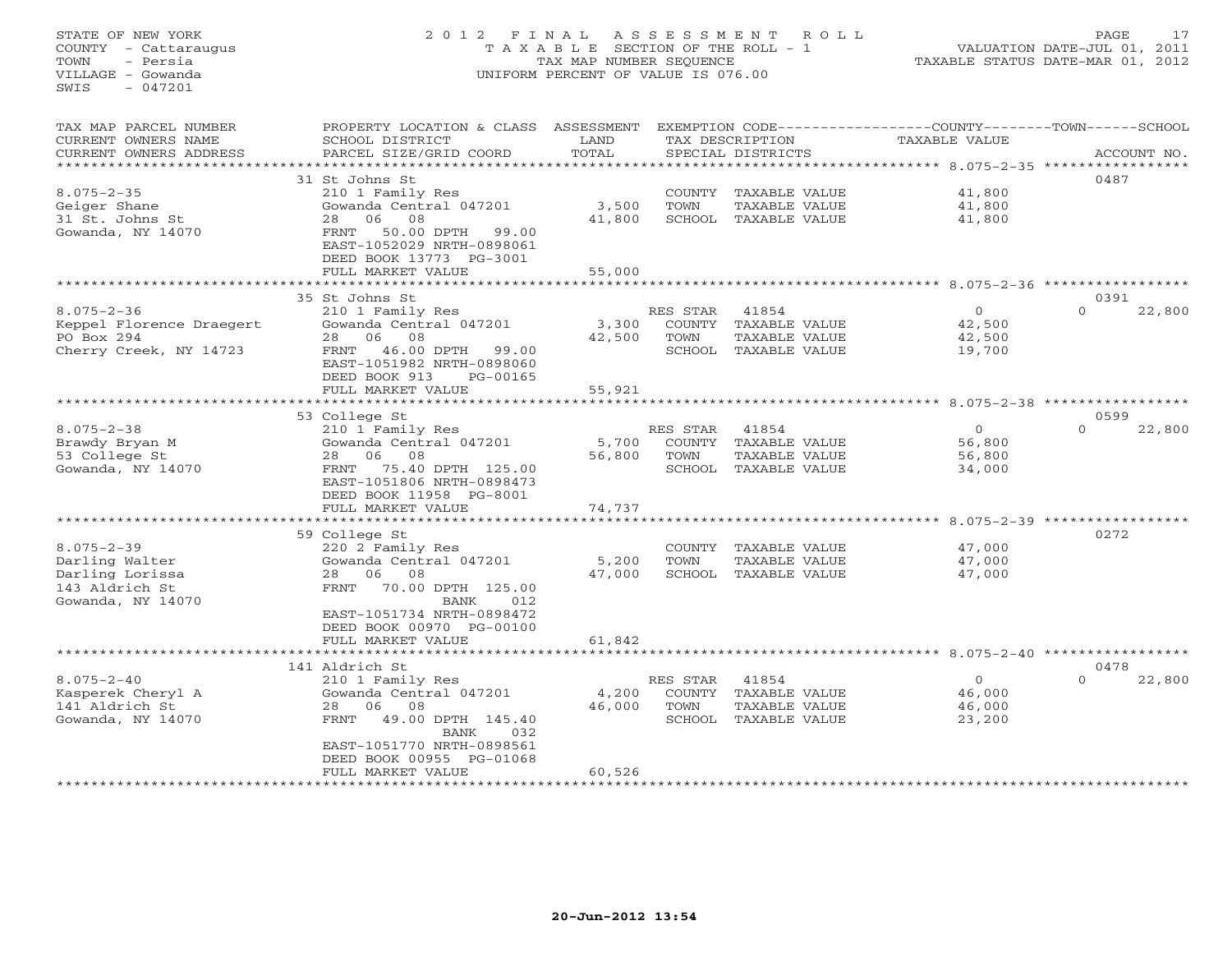# STATE OF NEW YORK 2 0 1 2 F I N A L A S S E S S M E N T R O L L PAGE 17 COUNTY - Cattaraugus T A X A B L E SECTION OF THE ROLL - 1 VALUATION DATE-JUL 01, 2011 TOWN - Persia TAX MAP NUMBER SEQUENCE TAXABLE STATUS DATE-MAR 01, 2012 VILLAGE - Gowanda UNIFORM PERCENT OF VALUE IS 076.00UNIFORM PERCENT OF VALUE IS 076.00

| TAX MAP PARCEL NUMBER<br>PROPERTY LOCATION & CLASS ASSESSMENT                                          | EXEMPTION CODE-----------------COUNTY-------TOWN------SCHOOL |
|--------------------------------------------------------------------------------------------------------|--------------------------------------------------------------|
| CURRENT OWNERS NAME<br>SCHOOL DISTRICT<br>LAND<br>TAX DESCRIPTION<br><b>TAXABLE VALUE</b>              |                                                              |
| TOTAL<br>CURRENT OWNERS ADDRESS<br>PARCEL SIZE/GRID COORD<br>SPECIAL DISTRICTS                         | ACCOUNT NO.                                                  |
| ************************<br>*******************                                                        |                                                              |
| 31 St Johns St                                                                                         | 0487                                                         |
| $8.075 - 2 - 35$<br>210 1 Family Res<br>41,800<br>COUNTY TAXABLE VALUE                                 |                                                              |
| Gowanda Central 047201<br>3,500<br>TOWN<br>41,800<br>Geiger Shane<br>TAXABLE VALUE                     |                                                              |
| 31 St. Johns St<br>06<br>08<br>41,800<br>SCHOOL TAXABLE VALUE<br>28<br>41,800                          |                                                              |
| Gowanda, NY 14070<br>50.00 DPTH<br>FRNT<br>99.00                                                       |                                                              |
| EAST-1052029 NRTH-0898061                                                                              |                                                              |
| DEED BOOK 13773 PG-3001                                                                                |                                                              |
| FULL MARKET VALUE<br>55,000                                                                            |                                                              |
|                                                                                                        |                                                              |
| 35 St Johns St                                                                                         | 0391                                                         |
| $8.075 - 2 - 36$<br>$\circ$<br>210 1 Family Res<br>RES STAR<br>41854                                   | $\Omega$<br>22,800                                           |
| 3,300<br>Keppel Florence Draegert<br>Gowanda Central 047201<br>COUNTY TAXABLE VALUE<br>42,500          |                                                              |
| PO Box 294<br>28 06 08<br>42,500<br>TOWN<br>TAXABLE VALUE<br>42,500                                    |                                                              |
| FRNT 46.00 DPTH<br>Cherry Creek, NY 14723<br>99.00<br>SCHOOL TAXABLE VALUE<br>19,700                   |                                                              |
| EAST-1051982 NRTH-0898060                                                                              |                                                              |
| DEED BOOK 913<br>PG-00165                                                                              |                                                              |
| FULL MARKET VALUE<br>55,921                                                                            |                                                              |
|                                                                                                        |                                                              |
| 53 College St                                                                                          | 0599                                                         |
| $8.075 - 2 - 38$<br>41854<br>$\Omega$<br>210 1 Family Res<br>RES STAR                                  | $\Omega$<br>22,800                                           |
| Gowanda Central 047201<br>5,700<br>56,800<br>Brawdy Bryan M<br>COUNTY TAXABLE VALUE                    |                                                              |
| 53 College St<br>28 06 08<br>56,800<br>TOWN<br>TAXABLE VALUE<br>56,800                                 |                                                              |
| SCHOOL TAXABLE VALUE<br>Gowanda, NY 14070<br>FRNT 75.40 DPTH 125.00<br>34,000                          |                                                              |
| EAST-1051806 NRTH-0898473                                                                              |                                                              |
| DEED BOOK 11958 PG-8001                                                                                |                                                              |
| FULL MARKET VALUE<br>74,737                                                                            |                                                              |
| ********************<br>*************<br>******************************** 8.075-2-39 ***************** |                                                              |
| 59 College St                                                                                          | 0272                                                         |
| $8.075 - 2 - 39$<br>220 2 Family Res<br>47,000<br>COUNTY TAXABLE VALUE                                 |                                                              |
| Darling Walter<br>Gowanda Central 047201<br>5,200<br>TOWN<br>TAXABLE VALUE<br>47,000                   |                                                              |
| 06 08<br>Darling Lorissa<br>47,000<br>SCHOOL TAXABLE VALUE<br>47,000<br>28                             |                                                              |
| 70.00 DPTH 125.00<br>143 Aldrich St<br>FRNT                                                            |                                                              |
| Gowanda, NY 14070<br>BANK<br>012                                                                       |                                                              |
| EAST-1051734 NRTH-0898472                                                                              |                                                              |
| DEED BOOK 00970 PG-00100                                                                               |                                                              |
| FULL MARKET VALUE<br>61,842                                                                            |                                                              |
| *************************                                                                              |                                                              |
| 141 Aldrich St                                                                                         | 0478                                                         |
| $8.075 - 2 - 40$<br>41854<br>210 1 Family Res<br>RES STAR<br>$\circ$                                   | $\Omega$<br>22,800                                           |
| Gowanda Central 047201<br>4,200<br>46,000<br>Kasperek Cheryl A<br>COUNTY TAXABLE VALUE                 |                                                              |
| 141 Aldrich St<br>06<br>08<br>46,000<br>TOWN<br>TAXABLE VALUE<br>46,000<br>28                          |                                                              |
| Gowanda, NY 14070<br>49.00 DPTH 145.40<br>SCHOOL TAXABLE VALUE<br>FRNT<br>23,200                       |                                                              |
| 032<br>BANK<br>EAST-1051770 NRTH-0898561                                                               |                                                              |
| DEED BOOK 00955 PG-01068                                                                               |                                                              |
| FULL MARKET VALUE<br>60,526                                                                            |                                                              |
|                                                                                                        |                                                              |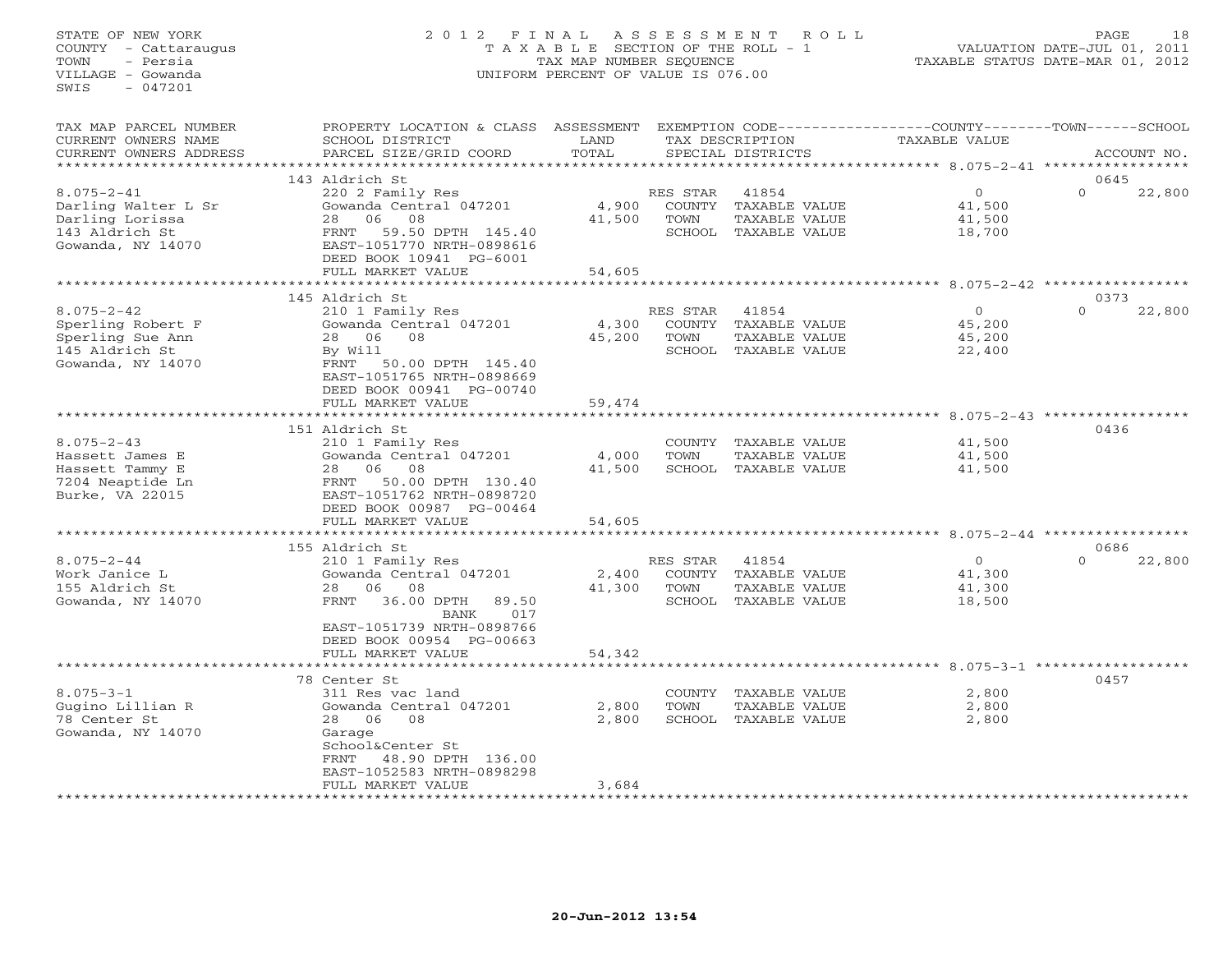# STATE OF NEW YORK 2 0 1 2 F I N A L A S S E S S M E N T R O L L PAGE 18 COUNTY - Cattaraugus T A X A B L E SECTION OF THE ROLL - 1 VALUATION DATE-JUL 01, 2011 TOWN - Persia TAX MAP NUMBER SEQUENCE TAXABLE STATUS DATE-MAR 01, 2012 VILLAGE - Gowanda UNIFORM PERCENT OF VALUE IS 076.00UNIFORM PERCENT OF VALUE IS 076.00

| TAX MAP PARCEL NUMBER<br>CURRENT OWNERS NAME<br>CURRENT OWNERS ADDRESS                            | PROPERTY LOCATION & CLASS ASSESSMENT<br>SCHOOL DISTRICT<br>PARCEL SIZE/GRID COORD                                                                                                                          | LAND<br>TOTAL             |                            | TAX DESCRIPTION<br>SPECIAL DISTRICTS                                   | EXEMPTION CODE-----------------COUNTY-------TOWN------SCHOOL<br>TAXABLE VALUE | ACCOUNT NO.                |
|---------------------------------------------------------------------------------------------------|------------------------------------------------------------------------------------------------------------------------------------------------------------------------------------------------------------|---------------------------|----------------------------|------------------------------------------------------------------------|-------------------------------------------------------------------------------|----------------------------|
| ************                                                                                      |                                                                                                                                                                                                            |                           |                            |                                                                        |                                                                               |                            |
| $8.075 - 2 - 41$<br>Darling Walter L Sr<br>Darling Lorissa<br>143 Aldrich St<br>Gowanda, NY 14070 | 143 Aldrich St<br>220 2 Family Res<br>Gowanda Central 047201<br>06<br>08<br>28<br>59.50 DPTH 145.40<br>FRNT<br>EAST-1051770 NRTH-0898616<br>DEED BOOK 10941 PG-6001<br>FULL MARKET VALUE                   | 4,900<br>41,500<br>54,605 | RES STAR<br>TOWN           | 41854<br>COUNTY TAXABLE VALUE<br>TAXABLE VALUE<br>SCHOOL TAXABLE VALUE | $\circ$<br>41,500<br>41,500<br>18,700                                         | 0645<br>22,800<br>$\Omega$ |
|                                                                                                   |                                                                                                                                                                                                            |                           |                            |                                                                        |                                                                               |                            |
| $8.075 - 2 - 42$<br>Sperling Robert F<br>Sperling Sue Ann<br>145 Aldrich St<br>Gowanda, NY 14070  | 145 Aldrich St<br>210 1 Family Res<br>Gowanda Central 047201<br>08<br>28 06<br>By Will<br>FRNT<br>50.00 DPTH 145.40<br>EAST-1051765 NRTH-0898669<br>DEED BOOK 00941 PG-00740                               | 4,300<br>45,200           | RES STAR<br>TOWN<br>SCHOOL | 41854<br>COUNTY TAXABLE VALUE<br>TAXABLE VALUE<br>TAXABLE VALUE        | $\circ$<br>45,200<br>45,200<br>22,400                                         | 0373<br>$\Omega$<br>22,800 |
|                                                                                                   | FULL MARKET VALUE<br>****************                                                                                                                                                                      | 59,474                    |                            |                                                                        | ********** 8.075-2-43                                                         |                            |
| $8.075 - 2 - 43$<br>Hassett James E<br>Hassett Tammy E<br>7204 Neaptide Ln<br>Burke, VA 22015     | 151 Aldrich St<br>210 1 Family Res<br>Gowanda Central 047201<br>06<br>08<br>28<br>50.00 DPTH 130.40<br>FRNT<br>EAST-1051762 NRTH-0898720<br>DEED BOOK 00987 PG-00464<br>FULL MARKET VALUE                  | 4,000<br>41,500<br>54,605 | TOWN                       | COUNTY TAXABLE VALUE<br>TAXABLE VALUE<br>SCHOOL TAXABLE VALUE          | 41,500<br>41,500<br>41,500                                                    | 0436                       |
|                                                                                                   |                                                                                                                                                                                                            |                           |                            |                                                                        | ****************************** 8.075-2-44 **********                          |                            |
| $8.075 - 2 - 44$<br>Work Janice L<br>155 Aldrich St<br>Gowanda, NY 14070                          | 155 Aldrich St<br>210 1 Family Res<br>Gowanda Central 047201<br>06<br>08<br>28<br>36.00 DPTH<br>89.50<br>FRNT<br><b>BANK</b><br>017<br>EAST-1051739 NRTH-0898766<br>DEED BOOK 00954 PG-00663               | 2,400<br>41,300           | RES STAR<br>TOWN           | 41854<br>COUNTY TAXABLE VALUE<br>TAXABLE VALUE<br>SCHOOL TAXABLE VALUE | $\overline{0}$<br>41,300<br>41,300<br>18,500                                  | 0686<br>$\Omega$<br>22,800 |
|                                                                                                   | FULL MARKET VALUE                                                                                                                                                                                          | 54,342                    |                            |                                                                        |                                                                               |                            |
| $8.075 - 3 - 1$<br>Gugino Lillian R<br>78 Center St<br>Gowanda, NY 14070                          | *******************<br>78 Center St<br>311 Res vac land<br>Gowanda Central 047201<br>28 06<br>08<br>Garage<br>School&Center St<br>FRNT 48.90 DPTH 136.00<br>EAST-1052583 NRTH-0898298<br>FULL MARKET VALUE | 2,800<br>2,800<br>3,684   | <b>TOWN</b>                | COUNTY TAXABLE VALUE<br>TAXABLE VALUE<br>SCHOOL TAXABLE VALUE          | 2,800<br>2,800<br>2,800                                                       | 0457                       |
|                                                                                                   |                                                                                                                                                                                                            |                           |                            |                                                                        |                                                                               |                            |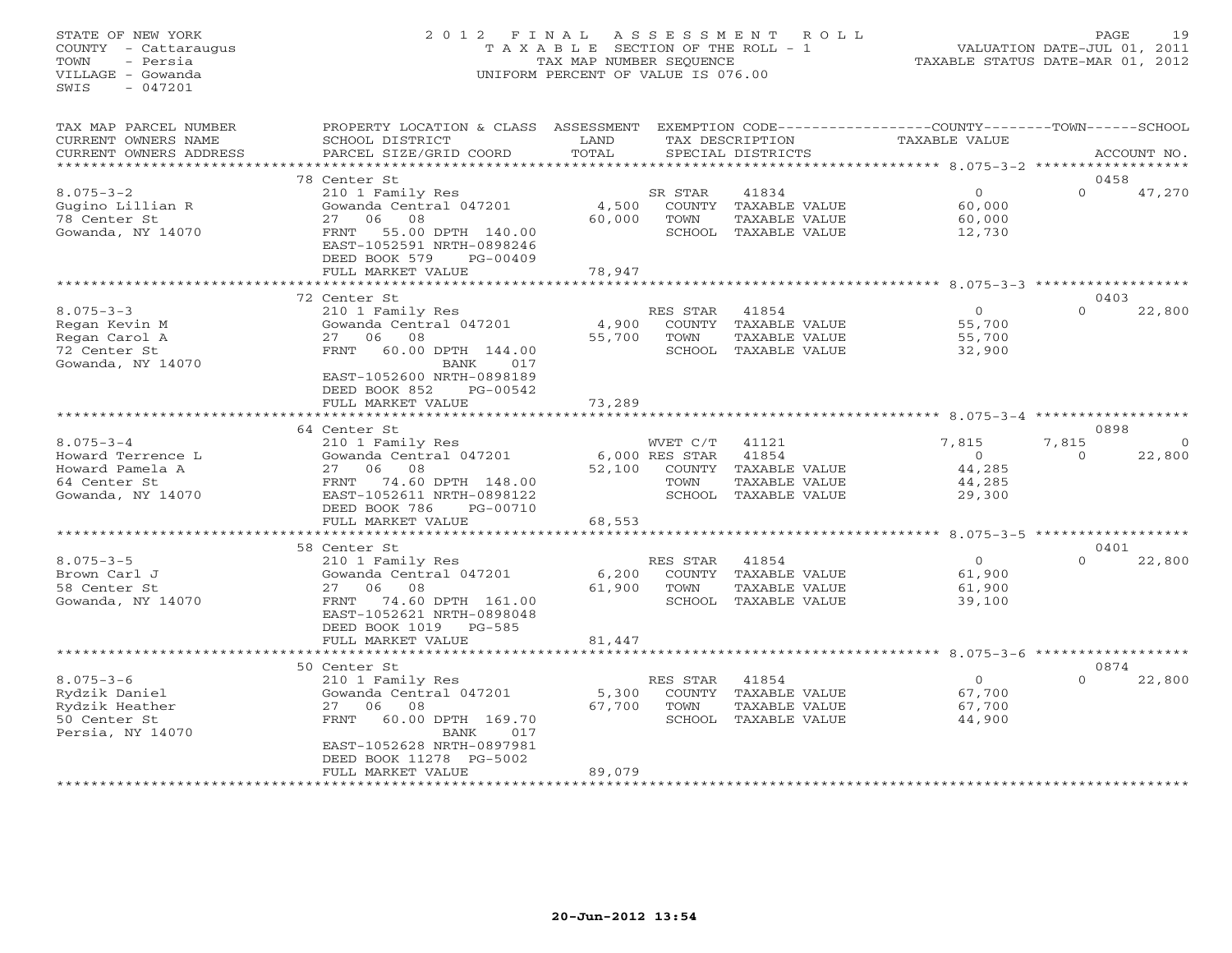# STATE OF NEW YORK 2 0 1 2 F I N A L A S S E S S M E N T R O L L PAGE 19 COUNTY - Cattaraugus T A X A B L E SECTION OF THE ROLL - 1 VALUATION DATE-JUL 01, 2011 TOWN - Persia TAX MAP NUMBER SEQUENCE TAXABLE STATUS DATE-MAR 01, 2012 VILLAGE - Gowanda UNIFORM PERCENT OF VALUE IS 076.00UNIFORM PERCENT OF VALUE IS 076.00

| TAX MAP PARCEL NUMBER<br>CURRENT OWNERS NAME<br>CURRENT OWNERS ADDRESS                       | PROPERTY LOCATION & CLASS ASSESSMENT<br>SCHOOL DISTRICT<br>PARCEL SIZE/GRID COORD                                                                                                         | LAND<br>TOTAL    |                                                | TAX DESCRIPTION<br>SPECIAL DISTRICTS                                     | EXEMPTION CODE-----------------COUNTY-------TOWN------SCHOOL<br>TAXABLE VALUE |                   | ACCOUNT NO. |
|----------------------------------------------------------------------------------------------|-------------------------------------------------------------------------------------------------------------------------------------------------------------------------------------------|------------------|------------------------------------------------|--------------------------------------------------------------------------|-------------------------------------------------------------------------------|-------------------|-------------|
| **************                                                                               |                                                                                                                                                                                           |                  |                                                |                                                                          |                                                                               |                   |             |
|                                                                                              | 78 Center St                                                                                                                                                                              |                  |                                                |                                                                          |                                                                               | 0458              |             |
| $8.075 - 3 - 2$<br>Gugino Lillian R<br>78 Center St<br>Gowanda, NY 14070                     | 210 1 Family Res<br>Gowanda Central 047201<br>08<br>27<br>06<br>FRNT<br>55.00 DPTH 140.00<br>EAST-1052591 NRTH-0898246<br>DEED BOOK 579<br>$PG-00409$                                     | 4,500<br>60,000  | SR STAR<br>COUNTY<br>TOWN<br>SCHOOL            | 41834<br>TAXABLE VALUE<br>TAXABLE VALUE<br>TAXABLE VALUE                 | $\circ$<br>60,000<br>60,000<br>12,730                                         | $\Omega$          | 47,270      |
|                                                                                              | FULL MARKET VALUE                                                                                                                                                                         | 78,947           |                                                |                                                                          |                                                                               |                   |             |
|                                                                                              |                                                                                                                                                                                           |                  |                                                |                                                                          | ****** 8.075-3-3 ******                                                       |                   |             |
| $8.075 - 3 - 3$<br>Regan Kevin M<br>Regan Carol A<br>72 Center St<br>Gowanda, NY 14070       | 72 Center St<br>210 1 Family Res<br>Gowanda Central 047201<br>06<br>08<br>27<br><b>FRNT</b><br>60.00 DPTH 144.00<br>BANK<br>017<br>EAST-1052600 NRTH-0898189<br>DEED BOOK 852<br>PG-00542 | 4,900<br>55,700  | RES STAR<br>COUNTY<br>TOWN<br>SCHOOL           | 41854<br>TAXABLE VALUE<br>TAXABLE VALUE<br>TAXABLE VALUE                 | $\Omega$<br>55,700<br>55,700<br>32,900                                        | 0403<br>$\Omega$  | 22,800      |
|                                                                                              | FULL MARKET VALUE                                                                                                                                                                         | 73,289           |                                                |                                                                          |                                                                               |                   |             |
|                                                                                              |                                                                                                                                                                                           |                  |                                                |                                                                          | ************* 8.075-3-4 ******************                                    |                   |             |
|                                                                                              | 64 Center St                                                                                                                                                                              |                  |                                                |                                                                          |                                                                               | 0898              |             |
| $8.075 - 3 - 4$<br>Howard Terrence L<br>Howard Pamela A<br>64 Center St<br>Gowanda, NY 14070 | 210 1 Family Res<br>Gowanda Central 047201<br>27<br>06<br>08<br>74.60 DPTH 148.00<br>FRNT<br>EAST-1052611 NRTH-0898122<br>DEED BOOK 786<br>PG-00710<br>FULL MARKET VALUE                  | 52,100<br>68,553 | WVET C/T<br>$6,000$ RES STAR<br>COUNTY<br>TOWN | 41121<br>41854<br>TAXABLE VALUE<br>TAXABLE VALUE<br>SCHOOL TAXABLE VALUE | 7,815<br>$\Omega$<br>44,285<br>44,285<br>29,300                               | 7,815<br>$\Omega$ | 22,800      |
|                                                                                              |                                                                                                                                                                                           |                  |                                                |                                                                          |                                                                               |                   |             |
|                                                                                              | 58 Center St                                                                                                                                                                              |                  |                                                |                                                                          |                                                                               | 0401              |             |
| $8.075 - 3 - 5$<br>Brown Carl J<br>58 Center St<br>Gowanda, NY 14070                         | 210 1 Family Res<br>Gowanda Central 047201<br>08<br>27<br>06<br>74.60 DPTH 161.00<br>FRNT<br>EAST-1052621 NRTH-0898048<br>DEED BOOK 1019<br>PG-585                                        | 6,200<br>61,900  | RES STAR<br>COUNTY<br>TOWN<br>SCHOOL           | 41854<br>TAXABLE VALUE<br>TAXABLE VALUE<br>TAXABLE VALUE                 | $\circ$<br>61,900<br>61,900<br>39,100                                         | $\Omega$          | 22,800      |
|                                                                                              | FULL MARKET VALUE                                                                                                                                                                         | 81,447           |                                                |                                                                          |                                                                               |                   |             |
|                                                                                              |                                                                                                                                                                                           |                  |                                                |                                                                          | $8.075 - 3 - 6$                                                               |                   |             |
| $8.075 - 3 - 6$<br>Rydzik Daniel<br>Rydzik Heather<br>50 Center St<br>Persia, NY 14070       | 50 Center St<br>210 1 Family Res<br>Gowanda Central 047201<br>27<br>06<br>08<br>60.00 DPTH 169.70<br>FRNT<br><b>BANK</b><br>017<br>EAST-1052628 NRTH-0897981<br>DEED BOOK 11278 PG-5002   | 5,300<br>67,700  | RES STAR<br>COUNTY<br>TOWN<br>SCHOOL           | 41854<br>TAXABLE VALUE<br>TAXABLE VALUE<br>TAXABLE VALUE                 | $\Omega$<br>67,700<br>67,700<br>44,900                                        | 0874<br>$\Omega$  | 22,800      |
|                                                                                              | FULL MARKET VALUE<br>******************                                                                                                                                                   | 89,079           |                                                |                                                                          |                                                                               |                   |             |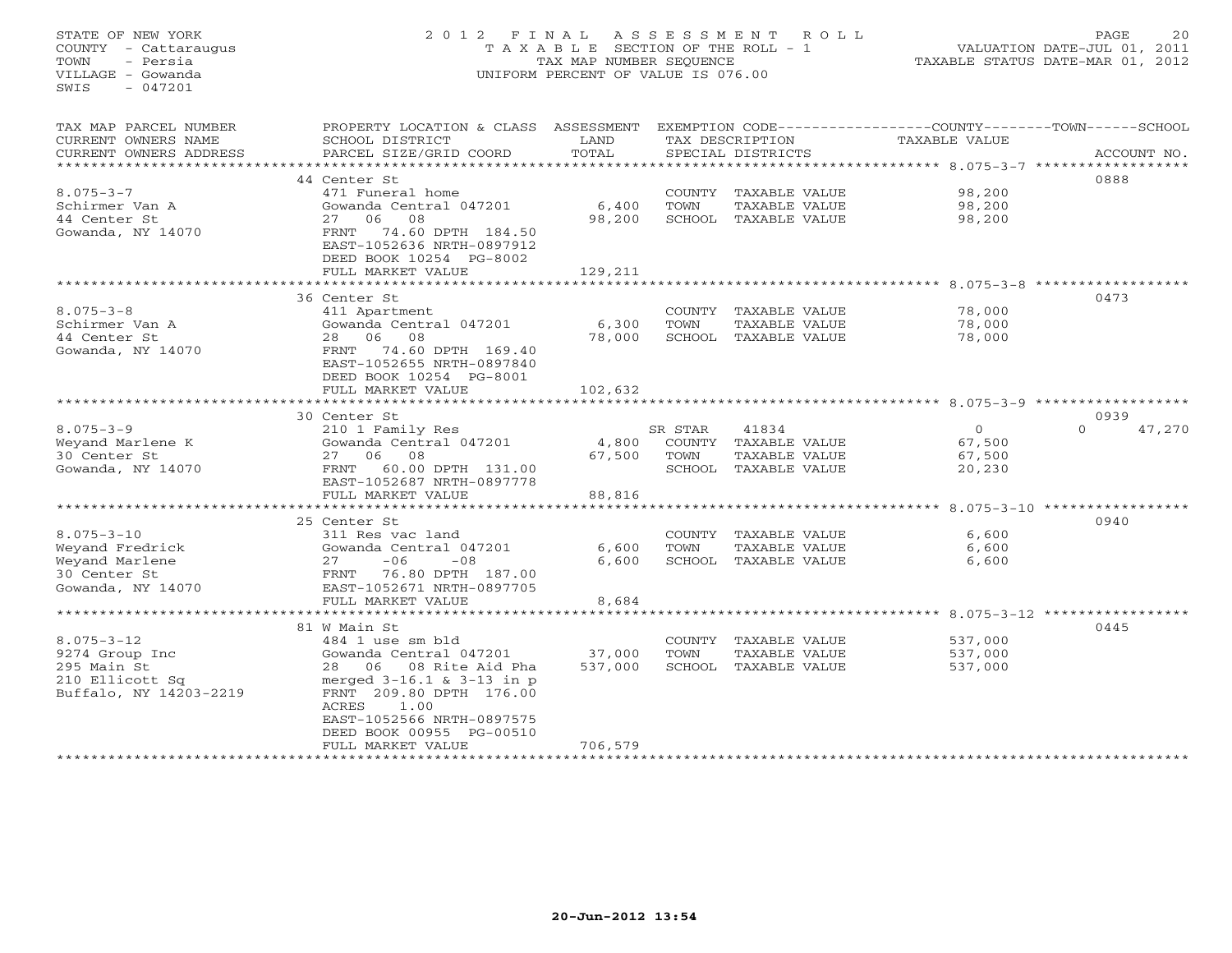#### STATE OF NEW YORK 2012 FINAL ASSESSMENT ROLL PAGE 20 COUNTY - Cattaraugus T A X A B L E SECTION OF THE ROLL - 1 VALUATION DATE-JUL 01, 2011 TOWN - Persia TAX MAP NUMBER SEQUENCE TAXABLE STATUS DATE-MAR 01, 2012 VILLAGE - Gowanda UNIFORM PERCENT OF VALUE IS 076.00

VALUATION DATE-JUL 01, 2011

| SCHOOL DISTRICT<br>TAX DESCRIPTION<br>TOTAL<br>CURRENT OWNERS ADDRESS<br>PARCEL SIZE/GRID COORD<br>SPECIAL DISTRICTS<br>ACCOUNT NO. |        |  |  |  |  |  |  |  |  |
|-------------------------------------------------------------------------------------------------------------------------------------|--------|--|--|--|--|--|--|--|--|
| *************************                                                                                                           |        |  |  |  |  |  |  |  |  |
| 0888<br>44 Center St                                                                                                                |        |  |  |  |  |  |  |  |  |
| $8.075 - 3 - 7$<br>471 Funeral home<br>COUNTY TAXABLE VALUE<br>98,200                                                               |        |  |  |  |  |  |  |  |  |
| Schirmer Van A<br>Gowanda Central 047201<br>6,400<br>TOWN<br>TAXABLE VALUE<br>98,200                                                |        |  |  |  |  |  |  |  |  |
| 44 Center St<br>08<br>27 06<br>98,200<br>SCHOOL<br>TAXABLE VALUE<br>98,200                                                          |        |  |  |  |  |  |  |  |  |
| Gowanda, NY 14070<br>74.60 DPTH 184.50<br>FRNT                                                                                      |        |  |  |  |  |  |  |  |  |
| EAST-1052636 NRTH-0897912                                                                                                           |        |  |  |  |  |  |  |  |  |
| DEED BOOK 10254 PG-8002                                                                                                             |        |  |  |  |  |  |  |  |  |
| 129,211<br>FULL MARKET VALUE                                                                                                        |        |  |  |  |  |  |  |  |  |
| *****************************<br>$8.075 - 3 - 8$ *******************                                                                |        |  |  |  |  |  |  |  |  |
| 0473<br>36 Center St                                                                                                                |        |  |  |  |  |  |  |  |  |
| $8.075 - 3 - 8$<br>411 Apartment<br>COUNTY TAXABLE VALUE<br>78,000                                                                  |        |  |  |  |  |  |  |  |  |
| Schirmer Van A<br>6,300<br>78,000<br>Gowanda Central 047201<br>TOWN<br>TAXABLE VALUE                                                |        |  |  |  |  |  |  |  |  |
| 44 Center St<br>06<br>08<br>78,000<br>78,000<br>28<br>SCHOOL TAXABLE VALUE                                                          |        |  |  |  |  |  |  |  |  |
| Gowanda, NY 14070<br>74.60 DPTH 169.40<br>FRNT                                                                                      |        |  |  |  |  |  |  |  |  |
| EAST-1052655 NRTH-0897840                                                                                                           |        |  |  |  |  |  |  |  |  |
| DEED BOOK 10254 PG-8001                                                                                                             |        |  |  |  |  |  |  |  |  |
| 102,632<br>FULL MARKET VALUE                                                                                                        |        |  |  |  |  |  |  |  |  |
| * * * * * * * * * * * * * * * * * * * *<br>********                                                                                 |        |  |  |  |  |  |  |  |  |
| 0939<br>30 Center St                                                                                                                |        |  |  |  |  |  |  |  |  |
| $8.075 - 3 - 9$<br>41834<br>$\circ$<br>210 1 Family Res<br>SR STAR<br>$\Omega$                                                      | 47,270 |  |  |  |  |  |  |  |  |
| Weyand Marlene K<br>Gowanda Central 047201<br>4,800<br>COUNTY TAXABLE VALUE<br>67,500                                               |        |  |  |  |  |  |  |  |  |
| 08<br>30 Center St<br>27<br>06<br>67,500<br>TOWN<br>TAXABLE VALUE<br>67,500                                                         |        |  |  |  |  |  |  |  |  |
| Gowanda, NY 14070<br>60.00 DPTH 131.00<br>SCHOOL<br>FRNT<br>TAXABLE VALUE<br>20,230                                                 |        |  |  |  |  |  |  |  |  |
| EAST-1052687 NRTH-0897778                                                                                                           |        |  |  |  |  |  |  |  |  |
| FULL MARKET VALUE<br>88,816                                                                                                         |        |  |  |  |  |  |  |  |  |
|                                                                                                                                     |        |  |  |  |  |  |  |  |  |
| 0940<br>25 Center St                                                                                                                |        |  |  |  |  |  |  |  |  |
| $8.075 - 3 - 10$<br>6,600<br>311 Res vac land<br>COUNTY<br>TAXABLE VALUE                                                            |        |  |  |  |  |  |  |  |  |
| Weyand Fredrick<br>Gowanda Central 047201<br>6,600<br>TOWN<br>TAXABLE VALUE<br>6,600                                                |        |  |  |  |  |  |  |  |  |
| Weyand Marlene<br>$-06$<br>27<br>$-08$<br>6,600<br>SCHOOL TAXABLE VALUE<br>6,600                                                    |        |  |  |  |  |  |  |  |  |
| 30 Center St<br>76.80 DPTH 187.00<br>FRNT                                                                                           |        |  |  |  |  |  |  |  |  |
| Gowanda, NY 14070<br>EAST-1052671 NRTH-0897705                                                                                      |        |  |  |  |  |  |  |  |  |
| FULL MARKET VALUE<br>8,684                                                                                                          |        |  |  |  |  |  |  |  |  |
| $8.075 - 3 - 12$ ******                                                                                                             |        |  |  |  |  |  |  |  |  |
| 81 W Main St<br>0445                                                                                                                |        |  |  |  |  |  |  |  |  |
| $8.075 - 3 - 12$<br>COUNTY<br>484 1 use sm bld<br>TAXABLE VALUE<br>537,000                                                          |        |  |  |  |  |  |  |  |  |
| 9274 Group Inc<br>Gowanda Central 047201<br>37,000<br>TOWN<br>TAXABLE VALUE<br>537,000                                              |        |  |  |  |  |  |  |  |  |
| 537,000<br>295 Main St<br>06 08 Rite Aid Pha<br>SCHOOL<br>537,000<br>28<br>TAXABLE VALUE                                            |        |  |  |  |  |  |  |  |  |
| 210 Ellicott Sq<br>merged $3-16.1$ & $3-13$ in p                                                                                    |        |  |  |  |  |  |  |  |  |
| Buffalo, NY 14203-2219<br>FRNT 209.80 DPTH 176.00                                                                                   |        |  |  |  |  |  |  |  |  |
| 1.00<br>ACRES<br>EAST-1052566 NRTH-0897575                                                                                          |        |  |  |  |  |  |  |  |  |
| DEED BOOK 00955 PG-00510                                                                                                            |        |  |  |  |  |  |  |  |  |
| 706,579<br>FULL MARKET VALUE                                                                                                        |        |  |  |  |  |  |  |  |  |
| * * * * * * * * * * * * * * * * *                                                                                                   |        |  |  |  |  |  |  |  |  |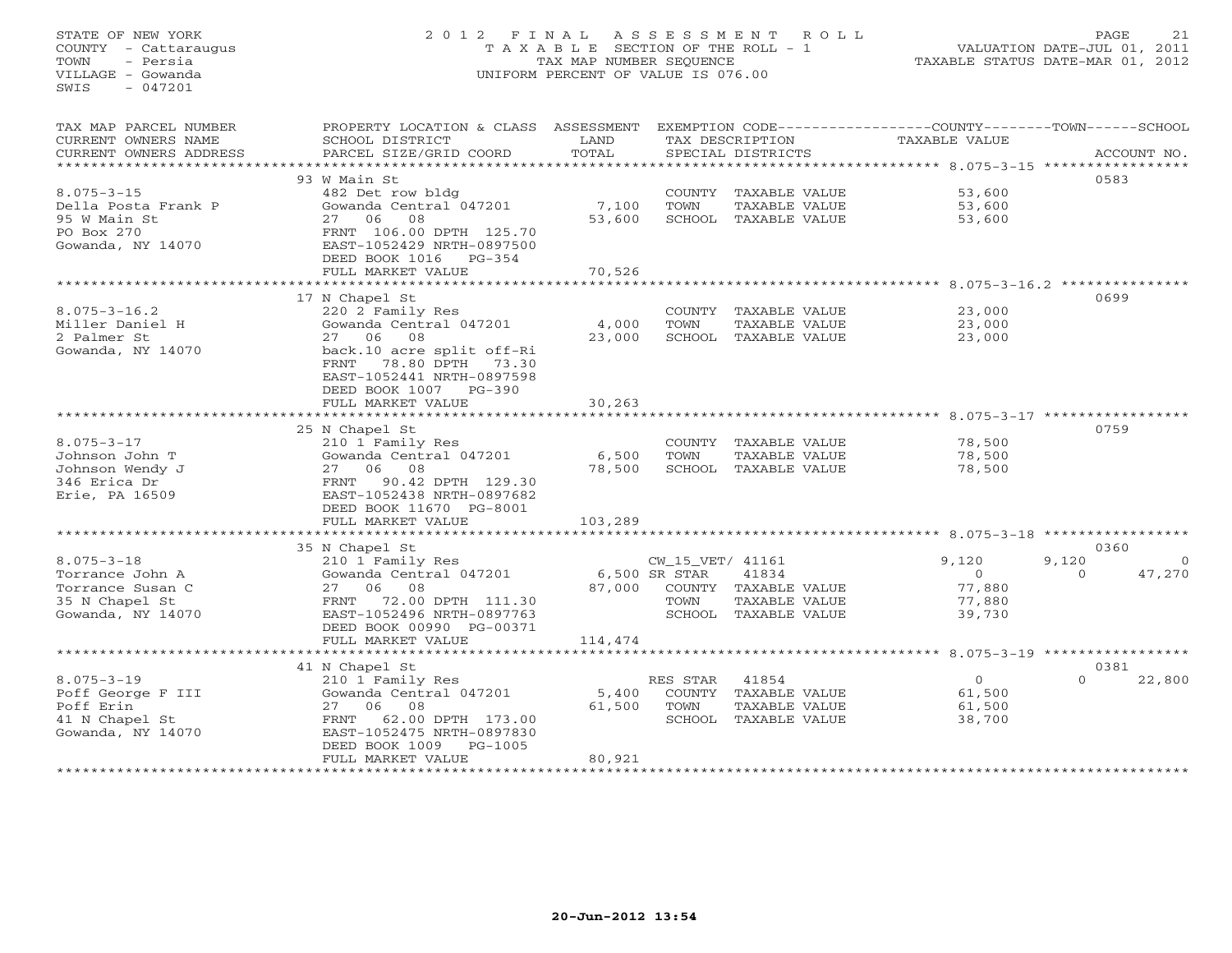# STATE OF NEW YORK 2 0 1 2 F I N A L A S S E S S M E N T R O L L PAGE 21 COUNTY - Cattaraugus T A X A B L E SECTION OF THE ROLL - 1 VALUATION DATE-JUL 01, 2011 TOWN - Persia TAX MAP NUMBER SEQUENCE TAXABLE STATUS DATE-MAR 01, 2012 VILLAGE - Gowanda UNIFORM PERCENT OF VALUE IS 076.00

| CURRENT OWNERS NAME<br>SCHOOL DISTRICT<br>LAND<br>TAX DESCRIPTION<br>TAXABLE VALUE<br>TOTAL<br>PARCEL SIZE/GRID COORD<br>CURRENT OWNERS ADDRESS<br>SPECIAL DISTRICTS<br>ACCOUNT NO.<br>*************************<br>0583<br>93 W Main St<br>$8.075 - 3 - 15$<br>53,600<br>482 Det row bldg<br>COUNTY TAXABLE VALUE<br>Gowanda Central 047201<br>7,100<br>TOWN<br>TAXABLE VALUE<br>53,600<br>Della Posta Frank P<br>95 W Main St<br>27 06<br>08<br>53,600<br>53,600<br>SCHOOL TAXABLE VALUE<br>PO Box 270<br>FRNT 106.00 DPTH 125.70<br>Gowanda, NY 14070<br>EAST-1052429 NRTH-0897500<br>DEED BOOK 1016 PG-354<br>FULL MARKET VALUE<br>70,526<br>0699<br>17 N Chapel St<br>$8.075 - 3 - 16.2$<br>23,000<br>220 2 Family Res<br>COUNTY TAXABLE VALUE<br>Miller Daniel H<br>Gowanda Central 047201<br>4,000<br>TOWN<br>TAXABLE VALUE<br>23,000<br>27 06 08<br>2 Palmer St<br>23,000<br>SCHOOL TAXABLE VALUE<br>23,000<br>Gowanda, NY 14070<br>back.10 acre split off-Ri<br>FRNT 78.80 DPTH 73.30<br>EAST-1052441 NRTH-0897598<br>DEED BOOK 1007 PG-390<br>FULL MARKET VALUE<br>30,263<br>0759<br>25 N Chapel St<br>$8.075 - 3 - 17$<br>210 1 Family Res<br>78,500<br>COUNTY TAXABLE VALUE<br>Johnson John T<br>Gowanda Central 047201<br>6,500<br>78,500<br>TOWN<br>TAXABLE VALUE<br>27 06 08<br>SCHOOL TAXABLE VALUE<br>Johnson Wendy J<br>78,500<br>78,500<br>90.42 DPTH 129.30<br>346 Erica Dr<br>FRNT<br>Erie, PA 16509<br>EAST-1052438 NRTH-0897682<br>DEED BOOK 11670 PG-8001<br>FULL MARKET VALUE<br>103,289<br>0360<br>35 N Chapel St<br>210 1 Family Res<br>9,120<br>$8.075 - 3 - 18$<br>9,120<br>CW 15 VET/ 41161<br>$\mathbf{0}$<br>47,270<br>Gowanda Central 047201<br>6,500 SR STAR<br>41834<br>$\overline{0}$<br>$\Omega$<br>Torrance John A<br>87,000 COUNTY TAXABLE VALUE<br>77,880<br>Torrance Susan C<br>27 06<br>08<br>FRNT 72.00 DPTH 111.30<br>TOWN<br>TAXABLE VALUE<br>35 N Chapel St<br>77,880<br>Gowanda, NY 14070<br>EAST-1052496 NRTH-0897763<br>SCHOOL TAXABLE VALUE<br>39,730<br>DEED BOOK 00990 PG-00371<br>FULL MARKET VALUE<br>114,474<br>0381<br>41 N Chapel St<br>$\overline{0}$<br>$\Omega$<br>$8.075 - 3 - 19$<br>210 1 Family Res<br>RES STAR<br>41854<br>22,800<br>Gowanda Central 047201<br>5,400<br>COUNTY TAXABLE VALUE<br>61,500<br>Poff George F III<br>27 06 08<br>61,500<br>Poff Erin<br>TOWN<br>TAXABLE VALUE<br>61,500<br>62.00 DPTH 173.00<br>41 N Chapel St<br>SCHOOL TAXABLE VALUE<br>38,700<br>FRNT<br>Gowanda, NY 14070<br>EAST-1052475 NRTH-0897830<br>DEED BOOK 1009<br>PG-1005<br>FULL MARKET VALUE<br>80,921<br>*********************** | TAX MAP PARCEL NUMBER | PROPERTY LOCATION & CLASS ASSESSMENT |  | EXEMPTION CODE-----------------COUNTY-------TOWN------SCHOOL |  |
|----------------------------------------------------------------------------------------------------------------------------------------------------------------------------------------------------------------------------------------------------------------------------------------------------------------------------------------------------------------------------------------------------------------------------------------------------------------------------------------------------------------------------------------------------------------------------------------------------------------------------------------------------------------------------------------------------------------------------------------------------------------------------------------------------------------------------------------------------------------------------------------------------------------------------------------------------------------------------------------------------------------------------------------------------------------------------------------------------------------------------------------------------------------------------------------------------------------------------------------------------------------------------------------------------------------------------------------------------------------------------------------------------------------------------------------------------------------------------------------------------------------------------------------------------------------------------------------------------------------------------------------------------------------------------------------------------------------------------------------------------------------------------------------------------------------------------------------------------------------------------------------------------------------------------------------------------------------------------------------------------------------------------------------------------------------------------------------------------------------------------------------------------------------------------------------------------------------------------------------------------------------------------------------------------------------------------------------------------------------------------------------------------------------------------------------------------------------------------------------------------------------------------------------------------------------------------------------------|-----------------------|--------------------------------------|--|--------------------------------------------------------------|--|
|                                                                                                                                                                                                                                                                                                                                                                                                                                                                                                                                                                                                                                                                                                                                                                                                                                                                                                                                                                                                                                                                                                                                                                                                                                                                                                                                                                                                                                                                                                                                                                                                                                                                                                                                                                                                                                                                                                                                                                                                                                                                                                                                                                                                                                                                                                                                                                                                                                                                                                                                                                                              |                       |                                      |  |                                                              |  |
|                                                                                                                                                                                                                                                                                                                                                                                                                                                                                                                                                                                                                                                                                                                                                                                                                                                                                                                                                                                                                                                                                                                                                                                                                                                                                                                                                                                                                                                                                                                                                                                                                                                                                                                                                                                                                                                                                                                                                                                                                                                                                                                                                                                                                                                                                                                                                                                                                                                                                                                                                                                              |                       |                                      |  |                                                              |  |
|                                                                                                                                                                                                                                                                                                                                                                                                                                                                                                                                                                                                                                                                                                                                                                                                                                                                                                                                                                                                                                                                                                                                                                                                                                                                                                                                                                                                                                                                                                                                                                                                                                                                                                                                                                                                                                                                                                                                                                                                                                                                                                                                                                                                                                                                                                                                                                                                                                                                                                                                                                                              |                       |                                      |  |                                                              |  |
|                                                                                                                                                                                                                                                                                                                                                                                                                                                                                                                                                                                                                                                                                                                                                                                                                                                                                                                                                                                                                                                                                                                                                                                                                                                                                                                                                                                                                                                                                                                                                                                                                                                                                                                                                                                                                                                                                                                                                                                                                                                                                                                                                                                                                                                                                                                                                                                                                                                                                                                                                                                              |                       |                                      |  |                                                              |  |
|                                                                                                                                                                                                                                                                                                                                                                                                                                                                                                                                                                                                                                                                                                                                                                                                                                                                                                                                                                                                                                                                                                                                                                                                                                                                                                                                                                                                                                                                                                                                                                                                                                                                                                                                                                                                                                                                                                                                                                                                                                                                                                                                                                                                                                                                                                                                                                                                                                                                                                                                                                                              |                       |                                      |  |                                                              |  |
|                                                                                                                                                                                                                                                                                                                                                                                                                                                                                                                                                                                                                                                                                                                                                                                                                                                                                                                                                                                                                                                                                                                                                                                                                                                                                                                                                                                                                                                                                                                                                                                                                                                                                                                                                                                                                                                                                                                                                                                                                                                                                                                                                                                                                                                                                                                                                                                                                                                                                                                                                                                              |                       |                                      |  |                                                              |  |
|                                                                                                                                                                                                                                                                                                                                                                                                                                                                                                                                                                                                                                                                                                                                                                                                                                                                                                                                                                                                                                                                                                                                                                                                                                                                                                                                                                                                                                                                                                                                                                                                                                                                                                                                                                                                                                                                                                                                                                                                                                                                                                                                                                                                                                                                                                                                                                                                                                                                                                                                                                                              |                       |                                      |  |                                                              |  |
|                                                                                                                                                                                                                                                                                                                                                                                                                                                                                                                                                                                                                                                                                                                                                                                                                                                                                                                                                                                                                                                                                                                                                                                                                                                                                                                                                                                                                                                                                                                                                                                                                                                                                                                                                                                                                                                                                                                                                                                                                                                                                                                                                                                                                                                                                                                                                                                                                                                                                                                                                                                              |                       |                                      |  |                                                              |  |
|                                                                                                                                                                                                                                                                                                                                                                                                                                                                                                                                                                                                                                                                                                                                                                                                                                                                                                                                                                                                                                                                                                                                                                                                                                                                                                                                                                                                                                                                                                                                                                                                                                                                                                                                                                                                                                                                                                                                                                                                                                                                                                                                                                                                                                                                                                                                                                                                                                                                                                                                                                                              |                       |                                      |  |                                                              |  |
|                                                                                                                                                                                                                                                                                                                                                                                                                                                                                                                                                                                                                                                                                                                                                                                                                                                                                                                                                                                                                                                                                                                                                                                                                                                                                                                                                                                                                                                                                                                                                                                                                                                                                                                                                                                                                                                                                                                                                                                                                                                                                                                                                                                                                                                                                                                                                                                                                                                                                                                                                                                              |                       |                                      |  |                                                              |  |
|                                                                                                                                                                                                                                                                                                                                                                                                                                                                                                                                                                                                                                                                                                                                                                                                                                                                                                                                                                                                                                                                                                                                                                                                                                                                                                                                                                                                                                                                                                                                                                                                                                                                                                                                                                                                                                                                                                                                                                                                                                                                                                                                                                                                                                                                                                                                                                                                                                                                                                                                                                                              |                       |                                      |  |                                                              |  |
|                                                                                                                                                                                                                                                                                                                                                                                                                                                                                                                                                                                                                                                                                                                                                                                                                                                                                                                                                                                                                                                                                                                                                                                                                                                                                                                                                                                                                                                                                                                                                                                                                                                                                                                                                                                                                                                                                                                                                                                                                                                                                                                                                                                                                                                                                                                                                                                                                                                                                                                                                                                              |                       |                                      |  |                                                              |  |
|                                                                                                                                                                                                                                                                                                                                                                                                                                                                                                                                                                                                                                                                                                                                                                                                                                                                                                                                                                                                                                                                                                                                                                                                                                                                                                                                                                                                                                                                                                                                                                                                                                                                                                                                                                                                                                                                                                                                                                                                                                                                                                                                                                                                                                                                                                                                                                                                                                                                                                                                                                                              |                       |                                      |  |                                                              |  |
|                                                                                                                                                                                                                                                                                                                                                                                                                                                                                                                                                                                                                                                                                                                                                                                                                                                                                                                                                                                                                                                                                                                                                                                                                                                                                                                                                                                                                                                                                                                                                                                                                                                                                                                                                                                                                                                                                                                                                                                                                                                                                                                                                                                                                                                                                                                                                                                                                                                                                                                                                                                              |                       |                                      |  |                                                              |  |
|                                                                                                                                                                                                                                                                                                                                                                                                                                                                                                                                                                                                                                                                                                                                                                                                                                                                                                                                                                                                                                                                                                                                                                                                                                                                                                                                                                                                                                                                                                                                                                                                                                                                                                                                                                                                                                                                                                                                                                                                                                                                                                                                                                                                                                                                                                                                                                                                                                                                                                                                                                                              |                       |                                      |  |                                                              |  |
|                                                                                                                                                                                                                                                                                                                                                                                                                                                                                                                                                                                                                                                                                                                                                                                                                                                                                                                                                                                                                                                                                                                                                                                                                                                                                                                                                                                                                                                                                                                                                                                                                                                                                                                                                                                                                                                                                                                                                                                                                                                                                                                                                                                                                                                                                                                                                                                                                                                                                                                                                                                              |                       |                                      |  |                                                              |  |
|                                                                                                                                                                                                                                                                                                                                                                                                                                                                                                                                                                                                                                                                                                                                                                                                                                                                                                                                                                                                                                                                                                                                                                                                                                                                                                                                                                                                                                                                                                                                                                                                                                                                                                                                                                                                                                                                                                                                                                                                                                                                                                                                                                                                                                                                                                                                                                                                                                                                                                                                                                                              |                       |                                      |  |                                                              |  |
|                                                                                                                                                                                                                                                                                                                                                                                                                                                                                                                                                                                                                                                                                                                                                                                                                                                                                                                                                                                                                                                                                                                                                                                                                                                                                                                                                                                                                                                                                                                                                                                                                                                                                                                                                                                                                                                                                                                                                                                                                                                                                                                                                                                                                                                                                                                                                                                                                                                                                                                                                                                              |                       |                                      |  |                                                              |  |
|                                                                                                                                                                                                                                                                                                                                                                                                                                                                                                                                                                                                                                                                                                                                                                                                                                                                                                                                                                                                                                                                                                                                                                                                                                                                                                                                                                                                                                                                                                                                                                                                                                                                                                                                                                                                                                                                                                                                                                                                                                                                                                                                                                                                                                                                                                                                                                                                                                                                                                                                                                                              |                       |                                      |  |                                                              |  |
|                                                                                                                                                                                                                                                                                                                                                                                                                                                                                                                                                                                                                                                                                                                                                                                                                                                                                                                                                                                                                                                                                                                                                                                                                                                                                                                                                                                                                                                                                                                                                                                                                                                                                                                                                                                                                                                                                                                                                                                                                                                                                                                                                                                                                                                                                                                                                                                                                                                                                                                                                                                              |                       |                                      |  |                                                              |  |
|                                                                                                                                                                                                                                                                                                                                                                                                                                                                                                                                                                                                                                                                                                                                                                                                                                                                                                                                                                                                                                                                                                                                                                                                                                                                                                                                                                                                                                                                                                                                                                                                                                                                                                                                                                                                                                                                                                                                                                                                                                                                                                                                                                                                                                                                                                                                                                                                                                                                                                                                                                                              |                       |                                      |  |                                                              |  |
|                                                                                                                                                                                                                                                                                                                                                                                                                                                                                                                                                                                                                                                                                                                                                                                                                                                                                                                                                                                                                                                                                                                                                                                                                                                                                                                                                                                                                                                                                                                                                                                                                                                                                                                                                                                                                                                                                                                                                                                                                                                                                                                                                                                                                                                                                                                                                                                                                                                                                                                                                                                              |                       |                                      |  |                                                              |  |
|                                                                                                                                                                                                                                                                                                                                                                                                                                                                                                                                                                                                                                                                                                                                                                                                                                                                                                                                                                                                                                                                                                                                                                                                                                                                                                                                                                                                                                                                                                                                                                                                                                                                                                                                                                                                                                                                                                                                                                                                                                                                                                                                                                                                                                                                                                                                                                                                                                                                                                                                                                                              |                       |                                      |  |                                                              |  |
|                                                                                                                                                                                                                                                                                                                                                                                                                                                                                                                                                                                                                                                                                                                                                                                                                                                                                                                                                                                                                                                                                                                                                                                                                                                                                                                                                                                                                                                                                                                                                                                                                                                                                                                                                                                                                                                                                                                                                                                                                                                                                                                                                                                                                                                                                                                                                                                                                                                                                                                                                                                              |                       |                                      |  |                                                              |  |
|                                                                                                                                                                                                                                                                                                                                                                                                                                                                                                                                                                                                                                                                                                                                                                                                                                                                                                                                                                                                                                                                                                                                                                                                                                                                                                                                                                                                                                                                                                                                                                                                                                                                                                                                                                                                                                                                                                                                                                                                                                                                                                                                                                                                                                                                                                                                                                                                                                                                                                                                                                                              |                       |                                      |  |                                                              |  |
|                                                                                                                                                                                                                                                                                                                                                                                                                                                                                                                                                                                                                                                                                                                                                                                                                                                                                                                                                                                                                                                                                                                                                                                                                                                                                                                                                                                                                                                                                                                                                                                                                                                                                                                                                                                                                                                                                                                                                                                                                                                                                                                                                                                                                                                                                                                                                                                                                                                                                                                                                                                              |                       |                                      |  |                                                              |  |
|                                                                                                                                                                                                                                                                                                                                                                                                                                                                                                                                                                                                                                                                                                                                                                                                                                                                                                                                                                                                                                                                                                                                                                                                                                                                                                                                                                                                                                                                                                                                                                                                                                                                                                                                                                                                                                                                                                                                                                                                                                                                                                                                                                                                                                                                                                                                                                                                                                                                                                                                                                                              |                       |                                      |  |                                                              |  |
|                                                                                                                                                                                                                                                                                                                                                                                                                                                                                                                                                                                                                                                                                                                                                                                                                                                                                                                                                                                                                                                                                                                                                                                                                                                                                                                                                                                                                                                                                                                                                                                                                                                                                                                                                                                                                                                                                                                                                                                                                                                                                                                                                                                                                                                                                                                                                                                                                                                                                                                                                                                              |                       |                                      |  |                                                              |  |
|                                                                                                                                                                                                                                                                                                                                                                                                                                                                                                                                                                                                                                                                                                                                                                                                                                                                                                                                                                                                                                                                                                                                                                                                                                                                                                                                                                                                                                                                                                                                                                                                                                                                                                                                                                                                                                                                                                                                                                                                                                                                                                                                                                                                                                                                                                                                                                                                                                                                                                                                                                                              |                       |                                      |  |                                                              |  |
|                                                                                                                                                                                                                                                                                                                                                                                                                                                                                                                                                                                                                                                                                                                                                                                                                                                                                                                                                                                                                                                                                                                                                                                                                                                                                                                                                                                                                                                                                                                                                                                                                                                                                                                                                                                                                                                                                                                                                                                                                                                                                                                                                                                                                                                                                                                                                                                                                                                                                                                                                                                              |                       |                                      |  |                                                              |  |
|                                                                                                                                                                                                                                                                                                                                                                                                                                                                                                                                                                                                                                                                                                                                                                                                                                                                                                                                                                                                                                                                                                                                                                                                                                                                                                                                                                                                                                                                                                                                                                                                                                                                                                                                                                                                                                                                                                                                                                                                                                                                                                                                                                                                                                                                                                                                                                                                                                                                                                                                                                                              |                       |                                      |  |                                                              |  |
|                                                                                                                                                                                                                                                                                                                                                                                                                                                                                                                                                                                                                                                                                                                                                                                                                                                                                                                                                                                                                                                                                                                                                                                                                                                                                                                                                                                                                                                                                                                                                                                                                                                                                                                                                                                                                                                                                                                                                                                                                                                                                                                                                                                                                                                                                                                                                                                                                                                                                                                                                                                              |                       |                                      |  |                                                              |  |
|                                                                                                                                                                                                                                                                                                                                                                                                                                                                                                                                                                                                                                                                                                                                                                                                                                                                                                                                                                                                                                                                                                                                                                                                                                                                                                                                                                                                                                                                                                                                                                                                                                                                                                                                                                                                                                                                                                                                                                                                                                                                                                                                                                                                                                                                                                                                                                                                                                                                                                                                                                                              |                       |                                      |  |                                                              |  |
|                                                                                                                                                                                                                                                                                                                                                                                                                                                                                                                                                                                                                                                                                                                                                                                                                                                                                                                                                                                                                                                                                                                                                                                                                                                                                                                                                                                                                                                                                                                                                                                                                                                                                                                                                                                                                                                                                                                                                                                                                                                                                                                                                                                                                                                                                                                                                                                                                                                                                                                                                                                              |                       |                                      |  |                                                              |  |
|                                                                                                                                                                                                                                                                                                                                                                                                                                                                                                                                                                                                                                                                                                                                                                                                                                                                                                                                                                                                                                                                                                                                                                                                                                                                                                                                                                                                                                                                                                                                                                                                                                                                                                                                                                                                                                                                                                                                                                                                                                                                                                                                                                                                                                                                                                                                                                                                                                                                                                                                                                                              |                       |                                      |  |                                                              |  |
|                                                                                                                                                                                                                                                                                                                                                                                                                                                                                                                                                                                                                                                                                                                                                                                                                                                                                                                                                                                                                                                                                                                                                                                                                                                                                                                                                                                                                                                                                                                                                                                                                                                                                                                                                                                                                                                                                                                                                                                                                                                                                                                                                                                                                                                                                                                                                                                                                                                                                                                                                                                              |                       |                                      |  |                                                              |  |
|                                                                                                                                                                                                                                                                                                                                                                                                                                                                                                                                                                                                                                                                                                                                                                                                                                                                                                                                                                                                                                                                                                                                                                                                                                                                                                                                                                                                                                                                                                                                                                                                                                                                                                                                                                                                                                                                                                                                                                                                                                                                                                                                                                                                                                                                                                                                                                                                                                                                                                                                                                                              |                       |                                      |  |                                                              |  |
|                                                                                                                                                                                                                                                                                                                                                                                                                                                                                                                                                                                                                                                                                                                                                                                                                                                                                                                                                                                                                                                                                                                                                                                                                                                                                                                                                                                                                                                                                                                                                                                                                                                                                                                                                                                                                                                                                                                                                                                                                                                                                                                                                                                                                                                                                                                                                                                                                                                                                                                                                                                              |                       |                                      |  |                                                              |  |
|                                                                                                                                                                                                                                                                                                                                                                                                                                                                                                                                                                                                                                                                                                                                                                                                                                                                                                                                                                                                                                                                                                                                                                                                                                                                                                                                                                                                                                                                                                                                                                                                                                                                                                                                                                                                                                                                                                                                                                                                                                                                                                                                                                                                                                                                                                                                                                                                                                                                                                                                                                                              |                       |                                      |  |                                                              |  |
|                                                                                                                                                                                                                                                                                                                                                                                                                                                                                                                                                                                                                                                                                                                                                                                                                                                                                                                                                                                                                                                                                                                                                                                                                                                                                                                                                                                                                                                                                                                                                                                                                                                                                                                                                                                                                                                                                                                                                                                                                                                                                                                                                                                                                                                                                                                                                                                                                                                                                                                                                                                              |                       |                                      |  |                                                              |  |
|                                                                                                                                                                                                                                                                                                                                                                                                                                                                                                                                                                                                                                                                                                                                                                                                                                                                                                                                                                                                                                                                                                                                                                                                                                                                                                                                                                                                                                                                                                                                                                                                                                                                                                                                                                                                                                                                                                                                                                                                                                                                                                                                                                                                                                                                                                                                                                                                                                                                                                                                                                                              |                       |                                      |  |                                                              |  |
|                                                                                                                                                                                                                                                                                                                                                                                                                                                                                                                                                                                                                                                                                                                                                                                                                                                                                                                                                                                                                                                                                                                                                                                                                                                                                                                                                                                                                                                                                                                                                                                                                                                                                                                                                                                                                                                                                                                                                                                                                                                                                                                                                                                                                                                                                                                                                                                                                                                                                                                                                                                              |                       |                                      |  |                                                              |  |
|                                                                                                                                                                                                                                                                                                                                                                                                                                                                                                                                                                                                                                                                                                                                                                                                                                                                                                                                                                                                                                                                                                                                                                                                                                                                                                                                                                                                                                                                                                                                                                                                                                                                                                                                                                                                                                                                                                                                                                                                                                                                                                                                                                                                                                                                                                                                                                                                                                                                                                                                                                                              |                       |                                      |  |                                                              |  |
|                                                                                                                                                                                                                                                                                                                                                                                                                                                                                                                                                                                                                                                                                                                                                                                                                                                                                                                                                                                                                                                                                                                                                                                                                                                                                                                                                                                                                                                                                                                                                                                                                                                                                                                                                                                                                                                                                                                                                                                                                                                                                                                                                                                                                                                                                                                                                                                                                                                                                                                                                                                              |                       |                                      |  |                                                              |  |
|                                                                                                                                                                                                                                                                                                                                                                                                                                                                                                                                                                                                                                                                                                                                                                                                                                                                                                                                                                                                                                                                                                                                                                                                                                                                                                                                                                                                                                                                                                                                                                                                                                                                                                                                                                                                                                                                                                                                                                                                                                                                                                                                                                                                                                                                                                                                                                                                                                                                                                                                                                                              |                       |                                      |  |                                                              |  |
|                                                                                                                                                                                                                                                                                                                                                                                                                                                                                                                                                                                                                                                                                                                                                                                                                                                                                                                                                                                                                                                                                                                                                                                                                                                                                                                                                                                                                                                                                                                                                                                                                                                                                                                                                                                                                                                                                                                                                                                                                                                                                                                                                                                                                                                                                                                                                                                                                                                                                                                                                                                              |                       |                                      |  |                                                              |  |
|                                                                                                                                                                                                                                                                                                                                                                                                                                                                                                                                                                                                                                                                                                                                                                                                                                                                                                                                                                                                                                                                                                                                                                                                                                                                                                                                                                                                                                                                                                                                                                                                                                                                                                                                                                                                                                                                                                                                                                                                                                                                                                                                                                                                                                                                                                                                                                                                                                                                                                                                                                                              |                       |                                      |  |                                                              |  |
|                                                                                                                                                                                                                                                                                                                                                                                                                                                                                                                                                                                                                                                                                                                                                                                                                                                                                                                                                                                                                                                                                                                                                                                                                                                                                                                                                                                                                                                                                                                                                                                                                                                                                                                                                                                                                                                                                                                                                                                                                                                                                                                                                                                                                                                                                                                                                                                                                                                                                                                                                                                              |                       |                                      |  |                                                              |  |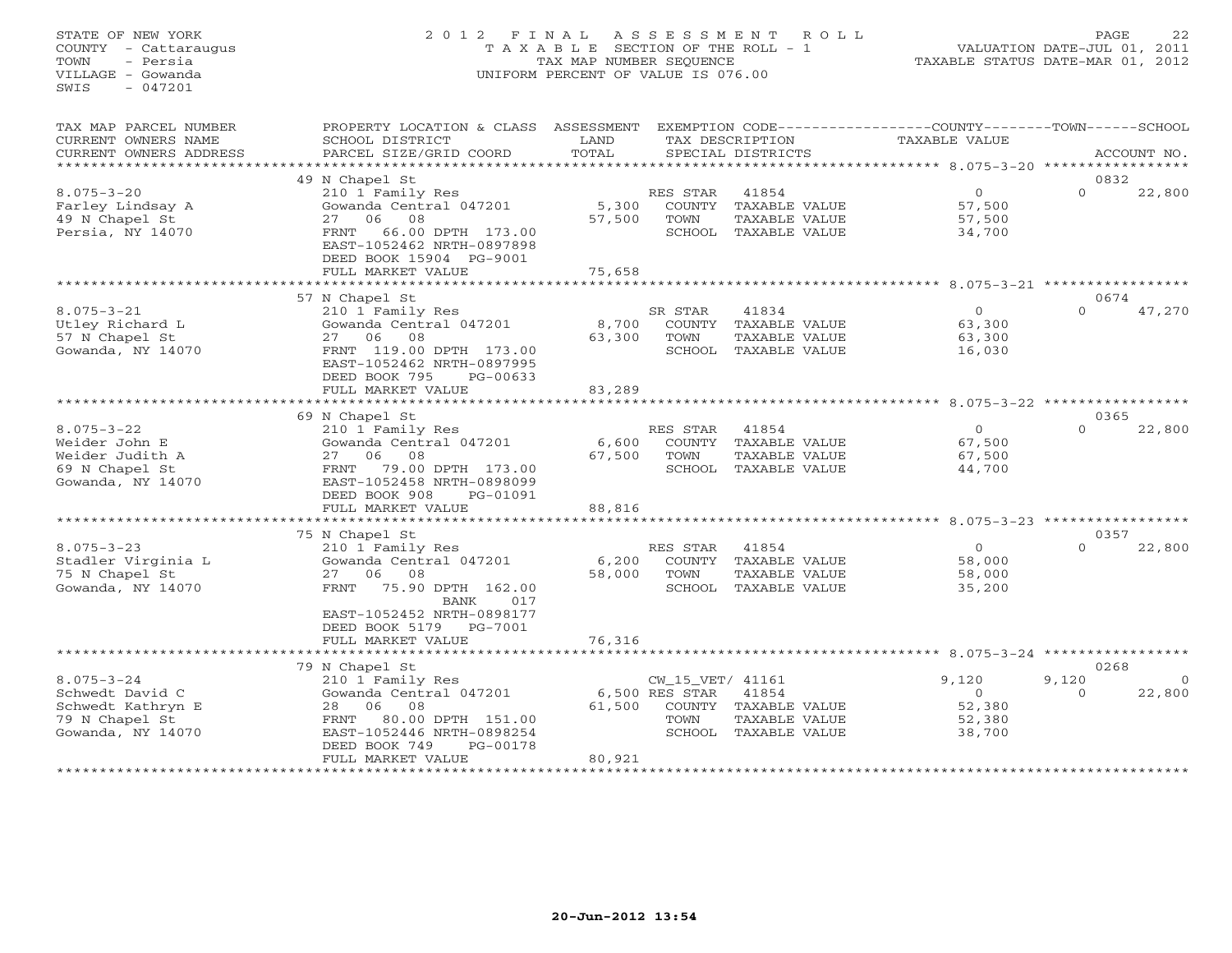# STATE OF NEW YORK 2 0 1 2 F I N A L A S S E S S M E N T R O L L PAGE 22 COUNTY - Cattaraugus T A X A B L E SECTION OF THE ROLL - 1 VALUATION DATE-JUL 01, 2011 TOWN - Persia TAX MAP NUMBER SEQUENCE TAXABLE STATUS DATE-MAR 01, 2012 VILLAGE - Gowanda UNIFORM PERCENT OF VALUE IS 076.00UNIFORM PERCENT OF VALUE IS 076.00

| TAX MAP PARCEL NUMBER<br>CURRENT OWNERS NAME<br>CURRENT OWNERS ADDRESS                          | PROPERTY LOCATION & CLASS ASSESSMENT<br>SCHOOL DISTRICT<br>PARCEL SIZE/GRID COORD                                                                                                          | LAND<br>TOTAL                       |                                            | TAX DESCRIPTION<br>SPECIAL DISTRICTS                                   | EXEMPTION CODE-----------------COUNTY-------TOWN------SCHOOL<br>TAXABLE VALUE |                           | ACCOUNT NO.        |
|-------------------------------------------------------------------------------------------------|--------------------------------------------------------------------------------------------------------------------------------------------------------------------------------------------|-------------------------------------|--------------------------------------------|------------------------------------------------------------------------|-------------------------------------------------------------------------------|---------------------------|--------------------|
| ***********************                                                                         |                                                                                                                                                                                            |                                     |                                            |                                                                        |                                                                               |                           |                    |
| $8.075 - 3 - 20$<br>Farley Lindsay A<br>49 N Chapel St<br>Persia, NY 14070                      | 49 N Chapel St<br>210 1 Family Res<br>Gowanda Central 047201<br>27 06 08<br>66.00 DPTH 173.00<br>FRNT<br>EAST-1052462 NRTH-0897898<br>DEED BOOK 15904 PG-9001                              | 5,300<br>57,500                     | RES STAR<br>COUNTY<br>TOWN                 | 41854<br>TAXABLE VALUE<br>TAXABLE VALUE<br>SCHOOL TAXABLE VALUE        | $\overline{0}$<br>57,500<br>57,500<br>34,700                                  | 0832<br>$\Omega$          | 22,800             |
|                                                                                                 | FULL MARKET VALUE<br>***********************                                                                                                                                               | 75,658<br>* * * * * * * * * * * * * |                                            |                                                                        | ********************** 8.075-3-21 ******************                          |                           |                    |
| $8.075 - 3 - 21$<br>Utley Richard L<br>57 N Chapel St<br>Gowanda, NY 14070                      | 57 N Chapel St<br>210 1 Family Res<br>Gowanda Central 047201<br>27 06<br>08<br>FRNT 119.00 DPTH 173.00<br>EAST-1052462 NRTH-0897995<br>DEED BOOK 795<br>$PG-00633$                         | 8,700<br>63,300                     | SR STAR<br>TOWN                            | 41834<br>COUNTY TAXABLE VALUE<br>TAXABLE VALUE<br>SCHOOL TAXABLE VALUE | $\circ$<br>63,300<br>63,300<br>16,030                                         | 0674<br>$\Omega$          | 47,270             |
|                                                                                                 | FULL MARKET VALUE                                                                                                                                                                          | 83,289                              |                                            |                                                                        |                                                                               |                           |                    |
|                                                                                                 |                                                                                                                                                                                            |                                     |                                            |                                                                        |                                                                               |                           |                    |
| $8.075 - 3 - 22$<br>Weider John E<br>Weider Judith A<br>69 N Chapel St<br>Gowanda, NY 14070     | 69 N Chapel St<br>210 1 Family Res<br>Gowanda Central 047201<br>08<br>27 06<br>FRNT<br>79.00 DPTH 173.00<br>EAST-1052458 NRTH-0898099<br>DEED BOOK 908<br>PG-01091<br>FULL MARKET VALUE    | 6,600<br>67,500<br>88,816           | RES STAR<br>COUNTY<br>TOWN                 | 41854<br>TAXABLE VALUE<br>TAXABLE VALUE<br>SCHOOL TAXABLE VALUE        | $\circ$<br>67,500<br>67,500<br>44,700                                         | 0365<br>$\Omega$          | 22,800             |
|                                                                                                 | ***********************                                                                                                                                                                    | **************                      |                                            |                                                                        | *********************************** 8.075-3-23 *****************              |                           |                    |
|                                                                                                 | 75 N Chapel St                                                                                                                                                                             |                                     |                                            |                                                                        |                                                                               | 0357                      |                    |
| $8.075 - 3 - 23$<br>Stadler Virginia L<br>75 N Chapel St<br>Gowanda, NY 14070                   | 210 1 Family Res<br>Gowanda Central 047201<br>27 06 08<br>FRNT<br>75.90 DPTH 162.00<br><b>BANK</b><br>017<br>EAST-1052452 NRTH-0898177<br>DEED BOOK 5179 PG-7001                           | 6,200<br>58,000                     | RES STAR<br>TOWN                           | 41854<br>COUNTY TAXABLE VALUE<br>TAXABLE VALUE<br>SCHOOL TAXABLE VALUE | $\circ$<br>58,000<br>58,000<br>35,200                                         | $\Omega$                  | 22,800             |
|                                                                                                 | FULL MARKET VALUE                                                                                                                                                                          | 76,316                              |                                            |                                                                        |                                                                               |                           |                    |
|                                                                                                 | *****************************                                                                                                                                                              |                                     |                                            |                                                                        |                                                                               |                           |                    |
| $8.075 - 3 - 24$<br>Schwedt David C<br>Schwedt Kathryn E<br>79 N Chapel St<br>Gowanda, NY 14070 | 79 N Chapel St<br>210 1 Family Res<br>Gowanda Central 047201<br>06<br>08<br>28<br>FRNT<br>80.00 DPTH 151.00<br>EAST-1052446 NRTH-0898254<br>DEED BOOK 749<br>PG-00178<br>FULL MARKET VALUE | 61,500<br>80,921                    | CW_15_VET/ 41161<br>6,500 RES STAR<br>TOWN | 41854<br>COUNTY TAXABLE VALUE<br>TAXABLE VALUE<br>SCHOOL TAXABLE VALUE | 9,120<br>$\circ$<br>52,380<br>52,380<br>38,700                                | 0268<br>9,120<br>$\Omega$ | $\Omega$<br>22,800 |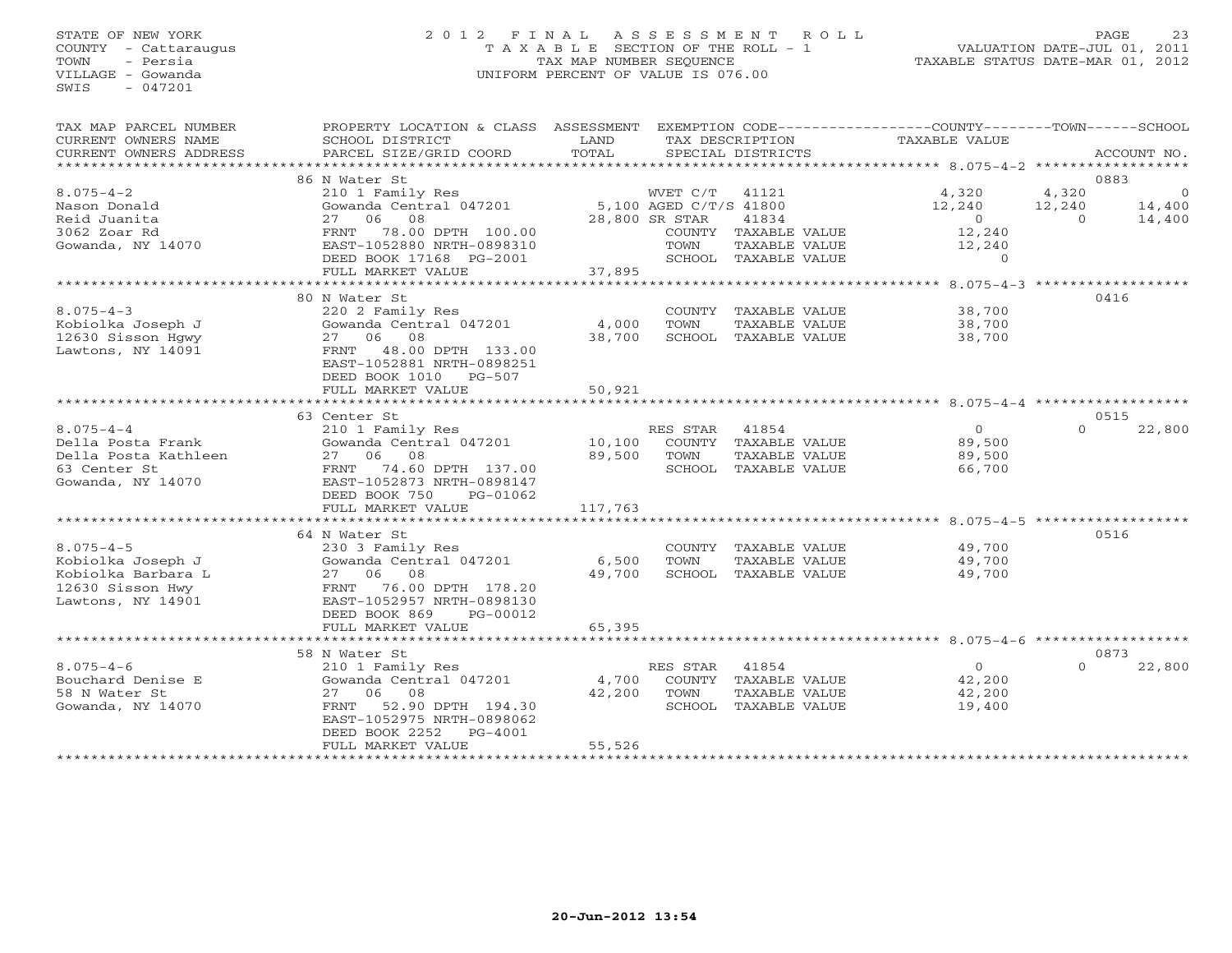# STATE OF NEW YORK 2 0 1 2 F I N A L A S S E S S M E N T R O L L PAGE 23 COUNTY - Cattaraugus T A X A B L E SECTION OF THE ROLL - 1 VALUATION DATE-JUL 01, 2011 TOWN - Persia TAX MAP NUMBER SEQUENCE TAXABLE STATUS DATE-MAR 01, 2012 VILLAGE - Gowanda UNIFORM PERCENT OF VALUE IS 076.00UNIFORM PERCENT OF VALUE IS 076.00

| TAX MAP PARCEL NUMBER  | PROPERTY LOCATION & CLASS ASSESSMENT EXEMPTION CODE----------------COUNTY-------TOWN------SCHOOL |         |                |                      |                |                |                |
|------------------------|--------------------------------------------------------------------------------------------------|---------|----------------|----------------------|----------------|----------------|----------------|
| CURRENT OWNERS NAME    | SCHOOL DISTRICT                                                                                  | LAND    |                | TAX DESCRIPTION      | TAXABLE VALUE  |                |                |
| CURRENT OWNERS ADDRESS | PARCEL SIZE/GRID COORD                                                                           | TOTAL   |                | SPECIAL DISTRICTS    |                |                | ACCOUNT NO.    |
|                        |                                                                                                  |         |                |                      |                |                |                |
|                        | 86 N Water St                                                                                    |         |                |                      |                | 0883           |                |
| $8.075 - 4 - 2$        | 210 1 Family Res                                                                                 |         | WVET C/T 41121 |                      | 4,320          | 4,320          | $\overline{0}$ |
| Nason Donald           | Gowanda Central 047201 5,100 AGED C/T/S 41800                                                    |         |                |                      | 12,240         | 12,240         | 14,400         |
| Reid Juanita           | 27 06 08                                                                                         |         | 28,800 SR STAR | 41834                | $\overline{0}$ | $\overline{O}$ | 14,400         |
| 3062 Zoar Rd           | 78.00 DPTH 100.00<br>FRNT                                                                        |         |                | COUNTY TAXABLE VALUE | 12,240         |                |                |
| Gowanda, NY 14070      | EAST-1052880 NRTH-0898310                                                                        |         | TOWN           | TAXABLE VALUE        | 12,240         |                |                |
|                        |                                                                                                  |         |                | SCHOOL TAXABLE VALUE | $\Omega$       |                |                |
|                        | DEED BOOK 17168 PG-2001                                                                          | 37,895  |                |                      |                |                |                |
|                        | FULL MARKET VALUE                                                                                |         |                |                      |                |                |                |
|                        |                                                                                                  |         |                |                      |                |                |                |
|                        | 80 N Water St                                                                                    |         |                |                      |                | 0416           |                |
| $8.075 - 4 - 3$        | 220 2 Family Res                                                                                 |         |                | COUNTY TAXABLE VALUE | 38,700         |                |                |
| Kobiolka Joseph J      | Gowanda Central 047201                                                                           | 4,000   | TOWN           | TAXABLE VALUE        | 38,700         |                |                |
| 12630 Sisson Hgwy      | 27 06 08                                                                                         | 38,700  |                | SCHOOL TAXABLE VALUE | 38,700         |                |                |
| Lawtons, NY 14091      | 48.00 DPTH 133.00<br>FRNT                                                                        |         |                |                      |                |                |                |
|                        | EAST-1052881 NRTH-0898251                                                                        |         |                |                      |                |                |                |
|                        | DEED BOOK 1010 PG-507                                                                            |         |                |                      |                |                |                |
|                        | FULL MARKET VALUE                                                                                | 50,921  |                |                      |                |                |                |
|                        |                                                                                                  |         |                |                      |                |                |                |
|                        | 63 Center St                                                                                     |         |                |                      |                | 0515           |                |
| $8.075 - 4 - 4$        | 210 1 Family Res                                                                                 |         | RES STAR       | 41854                | $\Omega$       | $\Omega$       | 22,800         |
| Della Posta Frank      | Gowanda Central 047201                                                                           | 10,100  |                | COUNTY TAXABLE VALUE | 89,500         |                |                |
| Della Posta Kathleen   | 27 06 08                                                                                         | 89,500  | TOWN           | TAXABLE VALUE        | 89,500         |                |                |
| 63 Center St           | FRNT 74.60 DPTH 137.00                                                                           |         |                | SCHOOL TAXABLE VALUE | 66,700         |                |                |
| Gowanda, NY 14070      | EAST-1052873 NRTH-0898147                                                                        |         |                |                      |                |                |                |
|                        | DEED BOOK 750<br>PG-01062                                                                        |         |                |                      |                |                |                |
|                        | FULL MARKET VALUE                                                                                | 117,763 |                |                      |                |                |                |
|                        |                                                                                                  |         |                |                      |                |                |                |
|                        |                                                                                                  |         |                |                      |                |                |                |
|                        | 64 N Water St                                                                                    |         |                |                      |                | 0516           |                |
| $8.075 - 4 - 5$        | 230 3 Family Res                                                                                 |         |                | COUNTY TAXABLE VALUE | 49,700         |                |                |
| Kobiolka Joseph J      | Gowanda Central 047201                                                                           | 6,500   | TOWN           | TAXABLE VALUE        | 49,700         |                |                |
| Kobiolka Barbara L     | 27 06 08                                                                                         | 49,700  |                | SCHOOL TAXABLE VALUE | 49,700         |                |                |
| 12630 Sisson Hwy       | FRNT 76.00 DPTH 178.20                                                                           |         |                |                      |                |                |                |
| Lawtons, NY 14901      | EAST-1052957 NRTH-0898130                                                                        |         |                |                      |                |                |                |
|                        | DEED BOOK 869<br>PG-00012                                                                        |         |                |                      |                |                |                |
|                        | FULL MARKET VALUE                                                                                | 65,395  |                |                      |                |                |                |
|                        |                                                                                                  |         |                |                      |                |                |                |
|                        | 58 N Water St                                                                                    |         |                |                      |                | 0873           |                |
| $8.075 - 4 - 6$        | 210 1 Family Res                                                                                 |         | RES STAR 41854 |                      | $\overline{0}$ | $\Omega$       | 22,800         |
| Bouchard Denise E      | Gowanda Central 047201                                                                           | 4,700   |                | COUNTY TAXABLE VALUE | 42,200         |                |                |
| 58 N Water St          | 27 06 08                                                                                         | 42,200  | TOWN           | TAXABLE VALUE        | 42,200         |                |                |
| Gowanda, NY 14070      | FRNT 52.90 DPTH 194.30                                                                           |         |                | SCHOOL TAXABLE VALUE | 19,400         |                |                |
|                        | EAST-1052975 NRTH-0898062                                                                        |         |                |                      |                |                |                |
|                        | DEED BOOK 2252<br>$PG-4001$                                                                      |         |                |                      |                |                |                |
|                        | FULL MARKET VALUE                                                                                | 55,526  |                |                      |                |                |                |
|                        |                                                                                                  |         |                |                      |                |                |                |
|                        |                                                                                                  |         |                |                      |                |                |                |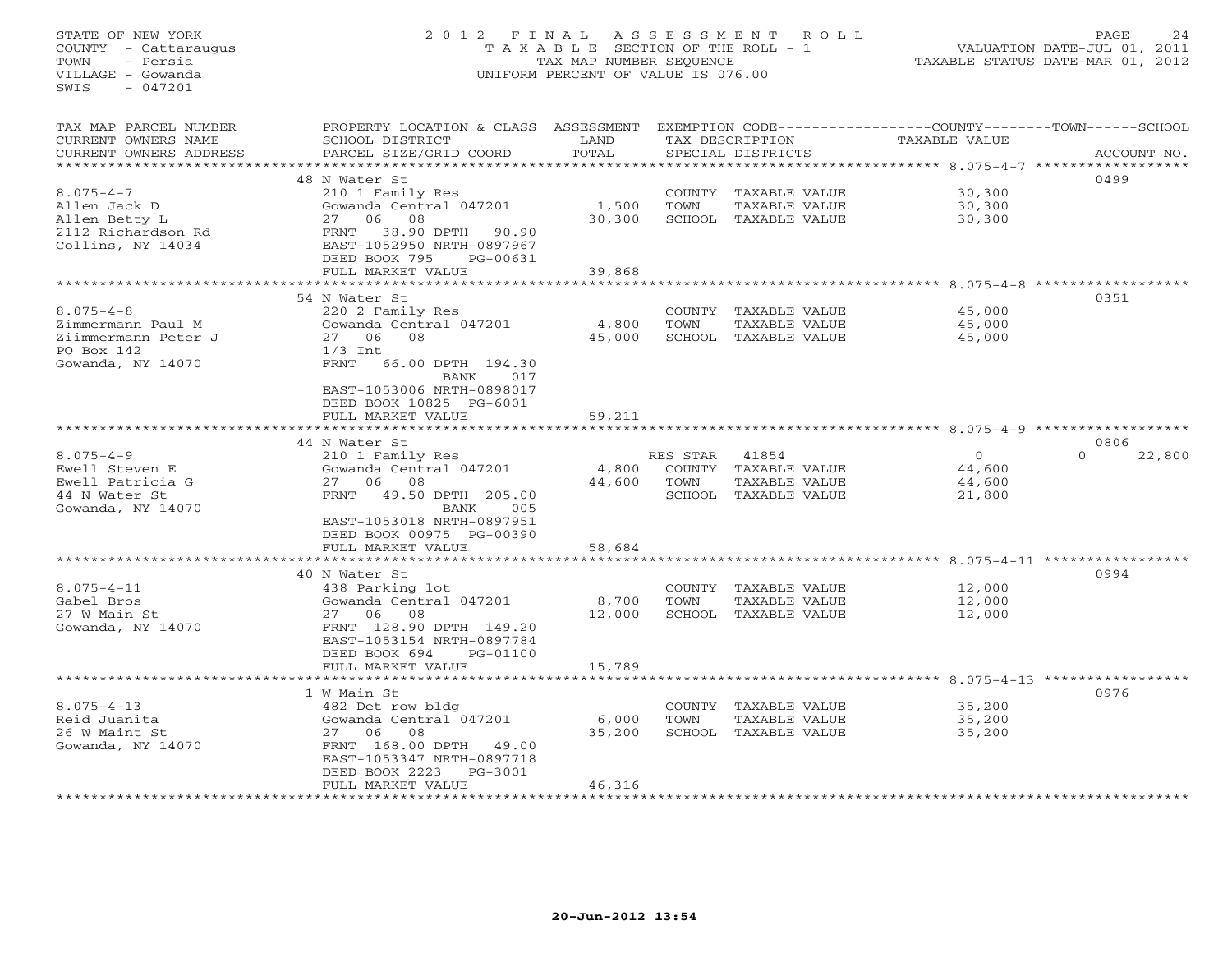STATE OF NEW YORK 2 0 1 2 F I N A L A S S E S S M E N T R O L L PAGE 24 COUNTY - Cattaraugus T A X A B L E SECTION OF THE ROLL - 1 VALUATION DATE-JUL 01, 2011 TOWN - Persia TAX MAP NUMBER SEQUENCE TAXABLE STATUS DATE-MAR 01, 2012 VILLAGE - Gowanda UNIFORM PERCENT OF VALUE IS 076.00  $SWTS = 047201$ TAX MAP PARCEL NUMBER PROPERTY LOCATION & CLASS ASSESSMENT EXEMPTION CODE-----------------COUNTY-------TOWN------SCHOOL<br>CURRENT OWNERS NAME SCHOOL DISTRICT LAND T SCHOOL DISTRICT LAND TAX DESCRIPTION TAXABLE VALUE CURRENT OWNERS ADDRESS BARCEL SIZE/GRID COORD TOTAL SPECIAL DISTRICTS SACCOUNT NO. \*\*\*\*\*\*\*\*\*\*\*\*\*\*\*\*\*\*\*\*\*\*\*\*\*\*\*\*\*\*\*\*\*\*\*\*\*\*\*\*\*\*\*\*\*\*\*\*\*\*\*\*\*\*\*\*\*\*\*\*\*\*\*\*\*\*\*\*\*\*\*\*\*\*\*\*\*\*\*\*\*\*\*\*\*\*\*\*\*\*\*\*\*\*\*\*\*\*\*\*\*\*\* 8.075-4-7 \*\*\*\*\*\*\*\*\*\*\*\*\*\*\*\*\*\* 48 N Water St 04998.075-4-7 210 1 Family Res COUNTY TAXABLE VALUE 30,300 Allen Jack D Gowanda Central 047201 1,500 TOWN TAXABLE VALUE 30,300 Allen Betty L 27 06 08 30,300 SCHOOL TAXABLE VALUE 30,300 2112 Richardson Rd FRNT 38.90 DPTH 90.90 Collins, NY 14034 EAST-1052950 NRTH-0897967 DEED BOOK 795 PG-00631 FULL MARKET VALUE 39,868 \*\*\*\*\*\*\*\*\*\*\*\*\*\*\*\*\*\*\*\*\*\*\*\*\*\*\*\*\*\*\*\*\*\*\*\*\*\*\*\*\*\*\*\*\*\*\*\*\*\*\*\*\*\*\*\*\*\*\*\*\*\*\*\*\*\*\*\*\*\*\*\*\*\*\*\*\*\*\*\*\*\*\*\*\*\*\*\*\*\*\*\*\*\*\*\*\*\*\*\*\*\*\* 8.075-4-8 \*\*\*\*\*\*\*\*\*\*\*\*\*\*\*\*\*\* 54 N Water St 03518.075-4-8 220 2 Family Res COUNTY TAXABLE VALUE 45,000 Zimmermann Paul M Gowanda Central 047201 4,800 TOWN TAXABLE VALUE 45,000 Ziimmermann Peter J 27 06 08 45,000 SCHOOL TAXABLE VALUE 45,000 CONTROLL TO THE SE THE SE THE SE SUITE SET AND THE SE TO BOX 142<br>
PO Box 142<br>
PO Box 142<br>
PO Box 142<br>
PO Box 142<br>
PO Box 142<br>
PO Box 142<br>
PO Box 142<br>
PO Box 142<br>
PO Box 142<br>
PO Box 142<br>
PO Box 142<br>
PO Box 142<br>
PO Box 142<br> 1/3 Int<br>FRNT 66.00 DPTH 194.30 BANK 017 EAST-1053006 NRTH-0898017 DEED BOOK 10825 PG-6001FULL MARKET VALUE 59,211 \*\*\*\*\*\*\*\*\*\*\*\*\*\*\*\*\*\*\*\*\*\*\*\*\*\*\*\*\*\*\*\*\*\*\*\*\*\*\*\*\*\*\*\*\*\*\*\*\*\*\*\*\*\*\*\*\*\*\*\*\*\*\*\*\*\*\*\*\*\*\*\*\*\*\*\*\*\*\*\*\*\*\*\*\*\*\*\*\*\*\*\*\*\*\*\*\*\*\*\*\*\*\* 8.075-4-9 \*\*\*\*\*\*\*\*\*\*\*\*\*\*\*\*\*\* 44 N Water St 0806 $0 \t 22,800$ 8.075-4-9 210 1 Family Res RES STAR 41854 0 0 22,800 Ewell Steven E Gowanda Central 047201 4,800 COUNTY TAXABLE VALUE 44,600 Ewell Patricia G 27 06 08 44,600 TOWN TAXABLE VALUE 44,600 44 N Water St FRNT 49.50 DPTH 205.00 SCHOOL TAXABLE VALUE 21,800 Gowanda, NY 14070 BANK 005 EAST-1053018 NRTH-0897951 DEED BOOK 00975 PG-00390 FULL MARKET VALUE 58,684 \*\*\*\*\*\*\*\*\*\*\*\*\*\*\*\*\*\*\*\*\*\*\*\*\*\*\*\*\*\*\*\*\*\*\*\*\*\*\*\*\*\*\*\*\*\*\*\*\*\*\*\*\*\*\*\*\*\*\*\*\*\*\*\*\*\*\*\*\*\*\*\*\*\*\*\*\*\*\*\*\*\*\*\*\*\*\*\*\*\*\*\*\*\*\*\*\*\*\*\*\*\*\* 8.075-4-11 \*\*\*\*\*\*\*\*\*\*\*\*\*\*\*\*\* 40 N Water St 09948.075-4-11 438 Parking lot COUNTY TAXABLE VALUE 12,000 Gabel Bros Gowanda Central 047201 8,700 TOWN TAXABLE VALUE 12,000 27 W Main St 27 06 08 12,000 SCHOOL TAXABLE VALUE 12,000 Gowanda, NY 14070 FRNT 128.90 DPTH 149.20 EAST-1053154 NRTH-0897784 DEED BOOK 694 PG-01100FULL MARKET VALUE 15,789 \*\*\*\*\*\*\*\*\*\*\*\*\*\*\*\*\*\*\*\*\*\*\*\*\*\*\*\*\*\*\*\*\*\*\*\*\*\*\*\*\*\*\*\*\*\*\*\*\*\*\*\*\*\*\*\*\*\*\*\*\*\*\*\*\*\*\*\*\*\*\*\*\*\*\*\*\*\*\*\*\*\*\*\*\*\*\*\*\*\*\*\*\*\*\*\*\*\*\*\*\*\*\* 8.075-4-13 \*\*\*\*\*\*\*\*\*\*\*\*\*\*\*\*\* 1 W Main St 09768.075-4-13 482 Det row bldg COUNTY TAXABLE VALUE 35,200 Reid Juanita Gowanda Central 047201 6,000 TOWN TAXABLE VALUE 35,200 26 W Maint St 27 06 08 35,200 SCHOOL TAXABLE VALUE 35,200 Gowanda, NY 14070 FRNT 168.00 DPTH 49.00 EAST-1053347 NRTH-0897718 DEED BOOK 2223 PG-3001FULL MARKET VALUE 46,316 \*\*\*\*\*\*\*\*\*\*\*\*\*\*\*\*\*\*\*\*\*\*\*\*\*\*\*\*\*\*\*\*\*\*\*\*\*\*\*\*\*\*\*\*\*\*\*\*\*\*\*\*\*\*\*\*\*\*\*\*\*\*\*\*\*\*\*\*\*\*\*\*\*\*\*\*\*\*\*\*\*\*\*\*\*\*\*\*\*\*\*\*\*\*\*\*\*\*\*\*\*\*\*\*\*\*\*\*\*\*\*\*\*\*\*\*\*\*\*\*\*\*\*\*\*\*\*\*\*\*\*\*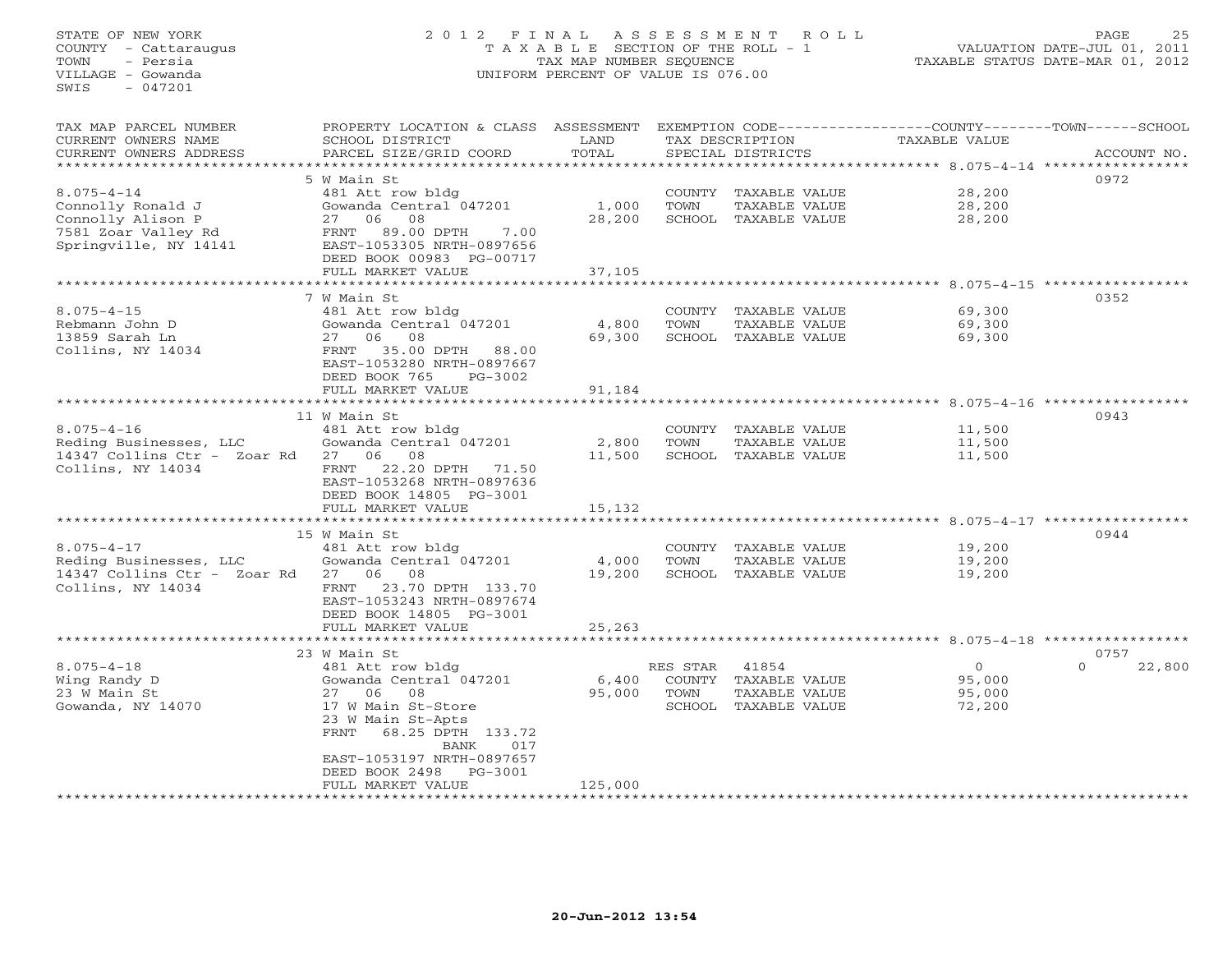STATE OF NEW YORK 2 0 1 2 F I N A L A S S E S S M E N T R O L L PAGE 25 COUNTY - Cattaraugus T A X A B L E SECTION OF THE ROLL - 1 VALUATION DATE-JUL 01, 2011 TOWN - Persia TAX MAP NUMBER SEQUENCE TAXABLE STATUS DATE-MAR 01, 2012 VILLAGE - Gowanda UNIFORM PERCENT OF VALUE IS 076.00  $SWTS = 047201$ TAX MAP PARCEL NUMBER PROPERTY LOCATION & CLASS ASSESSMENT EXEMPTION CODE------------------COUNTY--------TOWN------SCHOOL CURRENT OWNERS NAME SCHOOL DISTRICT LAND TAX DESCRIPTION TAXABLE VALUE CURRENT OWNERS ADDRESS BARCEL SIZE/GRID COORD TOTAL SPECIAL DISTRICTS SACCOUNT NO. \*\*\*\*\*\*\*\*\*\*\*\*\*\*\*\*\*\*\*\*\*\*\*\*\*\*\*\*\*\*\*\*\*\*\*\*\*\*\*\*\*\*\*\*\*\*\*\*\*\*\*\*\*\*\*\*\*\*\*\*\*\*\*\*\*\*\*\*\*\*\*\*\*\*\*\*\*\*\*\*\*\*\*\*\*\*\*\*\*\*\*\*\*\*\*\*\*\*\*\*\*\*\* 8.075-4-14 \*\*\*\*\*\*\*\*\*\*\*\*\*\*\*\*\* 5 W Main St 09728.075-4-14 481 Att row bldg COUNTY TAXABLE VALUE 28,200 Connolly Ronald J Gowanda Central 047201 1,000 TOWN TAXABLE VALUE 28,200 Connolly Alison P 27 06 08 28,200 SCHOOL TAXABLE VALUE 28,200 7581 Zoar Valley Rd FRNT 89.00 DPTH 7.00 Springville, NY 14141 EAST-1053305 NRTH-0897656 DEED BOOK 00983 PG-00717 FULL MARKET VALUE 37,105 \*\*\*\*\*\*\*\*\*\*\*\*\*\*\*\*\*\*\*\*\*\*\*\*\*\*\*\*\*\*\*\*\*\*\*\*\*\*\*\*\*\*\*\*\*\*\*\*\*\*\*\*\*\*\*\*\*\*\*\*\*\*\*\*\*\*\*\*\*\*\*\*\*\*\*\*\*\*\*\*\*\*\*\*\*\*\*\*\*\*\*\*\*\*\*\*\*\*\*\*\*\*\* 8.075-4-15 \*\*\*\*\*\*\*\*\*\*\*\*\*\*\*\*\* 7 W Main St 03528.075-4-15 481 Att row bldg COUNTY TAXABLE VALUE 69,300 Rebmann John D Gowanda Central 047201 4,800 TOWN TAXABLE VALUE 69,300 13859 Sarah Ln 27 06 08 69,300 SCHOOL TAXABLE VALUE 69,300 Collins, NY 14034 FRNT 35.00 DPTH 88.00 EAST-1053280 NRTH-0897667 DEED BOOK 765 PG-3002 EAST-1033200 NAILL VOSTOS<br>DEED BOOK 765 PG-3002<br>FULL MARKET VALUE 91,184 \*\*\*\*\*\*\*\*\*\*\*\*\*\*\*\*\*\*\*\*\*\*\*\*\*\*\*\*\*\*\*\*\*\*\*\*\*\*\*\*\*\*\*\*\*\*\*\*\*\*\*\*\*\*\*\*\*\*\*\*\*\*\*\*\*\*\*\*\*\*\*\*\*\*\*\*\*\*\*\*\*\*\*\*\*\*\*\*\*\*\*\*\*\*\*\*\*\*\*\*\*\*\* 8.075-4-16 \*\*\*\*\*\*\*\*\*\*\*\*\*\*\*\*\* 11 W Main St 09438.075-4-16 481 Att row bldg COUNTY TAXABLE VALUE 11,500 Reding Businesses, LLC Gowanda Central 047201 2,800 TOWN TAXABLE VALUE 11,500 14347 Collins Ctr - Zoar Rd 27 06 08 11,500 SCHOOL TAXABLE VALUE 11,500 Collins, NY 14034 FRNT 22.20 DPTH 71.50 EAST-1053268 NRTH-0897636 DEED BOOK 14805 PG-3001 FULL MARKET VALUE 15,132 \*\*\*\*\*\*\*\*\*\*\*\*\*\*\*\*\*\*\*\*\*\*\*\*\*\*\*\*\*\*\*\*\*\*\*\*\*\*\*\*\*\*\*\*\*\*\*\*\*\*\*\*\*\*\*\*\*\*\*\*\*\*\*\*\*\*\*\*\*\*\*\*\*\*\*\*\*\*\*\*\*\*\*\*\*\*\*\*\*\*\*\*\*\*\*\*\*\*\*\*\*\*\* 8.075-4-17 \*\*\*\*\*\*\*\*\*\*\*\*\*\*\*\*\* 15 W Main St 09448.075-4-17 481 Att row bldg COUNTY TAXABLE VALUE 19,200 Reding Businesses, LLC Gowanda Central 047201 4,000 TOWN TAXABLE VALUE 19,200 14347 Collins Ctr - Zoar Rd 27 06 08 19,200 SCHOOL TAXABLE VALUE 19,200 Collins, NY 14034 FRNT 23.70 DPTH 133.70 EAST-1053243 NRTH-0897674 DEED BOOK 14805 PG-3001FULL MARKET VALUE 25,263 \*\*\*\*\*\*\*\*\*\*\*\*\*\*\*\*\*\*\*\*\*\*\*\*\*\*\*\*\*\*\*\*\*\*\*\*\*\*\*\*\*\*\*\*\*\*\*\*\*\*\*\*\*\*\*\*\*\*\*\*\*\*\*\*\*\*\*\*\*\*\*\*\*\*\*\*\*\*\*\*\*\*\*\*\*\*\*\*\*\*\*\*\*\*\*\*\*\*\*\*\*\*\* 8.075-4-18 \*\*\*\*\*\*\*\*\*\*\*\*\*\*\*\*\* 23 W Main St 07578.075-4-18 481 Att row bldg RES STAR 41854 0 22,800 Wing Randy D Gowanda Central 047201 6,400 COUNTY TAXABLE VALUE 95,000 23 W Main St 27 06 08 95,000 TOWN TAXABLE VALUE 95,000 Gowanda, NY 14070 17 W Main St-Store SCHOOL TAXABLE VALUE 72,200 23 W Main St-Apts FRNT 68.25 DPTH 133.72 BANK 017 EAST-1053197 NRTH-0897657 DEED BOOK 2498 PG-3001FULL MARKET VALUE 125,000 \*\*\*\*\*\*\*\*\*\*\*\*\*\*\*\*\*\*\*\*\*\*\*\*\*\*\*\*\*\*\*\*\*\*\*\*\*\*\*\*\*\*\*\*\*\*\*\*\*\*\*\*\*\*\*\*\*\*\*\*\*\*\*\*\*\*\*\*\*\*\*\*\*\*\*\*\*\*\*\*\*\*\*\*\*\*\*\*\*\*\*\*\*\*\*\*\*\*\*\*\*\*\*\*\*\*\*\*\*\*\*\*\*\*\*\*\*\*\*\*\*\*\*\*\*\*\*\*\*\*\*\*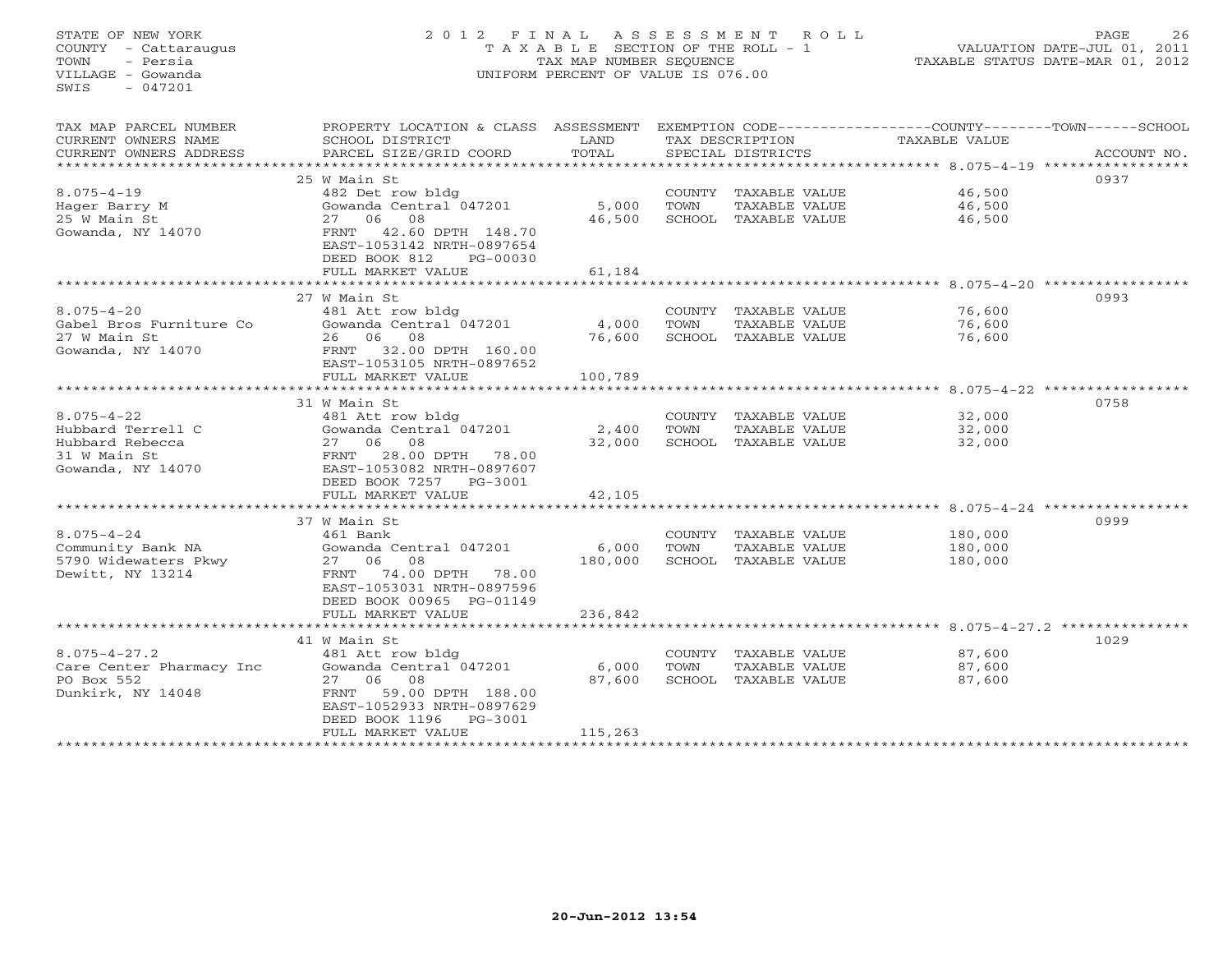STATE OF NEW YORK 2 0 1 2 F I N A L A S S E S S M E N T R O L L PAGE 26 COUNTY - Cattaraugus T A X A B L E SECTION OF THE ROLL - 1 VALUATION DATE-JUL 01, 2011 TOWN - Persia TAX MAP NUMBER SEQUENCE TAXABLE STATUS DATE-MAR 01, 2012 VILLAGE - Gowanda UNIFORM PERCENT OF VALUE IS 076.00  $SWTS = 047201$ TAX MAP PARCEL NUMBER PROPERTY LOCATION & CLASS ASSESSMENT EXEMPTION CODE-----------------COUNTY-------TOWN------SCHOOL<br>CURRENT OWNERS NAME SCHOOL DISTRICT LAND T SCHOOL DISTRICT LAND TAX DESCRIPTION TAXABLE VALUE CURRENT OWNERS ADDRESS BARCEL SIZE/GRID COORD TOTAL SPECIAL DISTRICTS SACCOUNT NO. \*\*\*\*\*\*\*\*\*\*\*\*\*\*\*\*\*\*\*\*\*\*\*\*\*\*\*\*\*\*\*\*\*\*\*\*\*\*\*\*\*\*\*\*\*\*\*\*\*\*\*\*\*\*\*\*\*\*\*\*\*\*\*\*\*\*\*\*\*\*\*\*\*\*\*\*\*\*\*\*\*\*\*\*\*\*\*\*\*\*\*\*\*\*\*\*\*\*\*\*\*\*\* 8.075-4-19 \*\*\*\*\*\*\*\*\*\*\*\*\*\*\*\*\* 25 W Main St 09378.075-4-19 482 Det row bldg COUNTY TAXABLE VALUE 46,500 Hager Barry M Gowanda Central 047201 5,000 TOWN TAXABLE VALUE 46,500 25 W Main St 27 06 08 46,500 SCHOOL TAXABLE VALUE 46,500 Gowanda, NY 14070 FRNT 42.60 DPTH 148.70 EAST-1053142 NRTH-0897654 DEED BOOK 812 PG-00030FULL MARKET VALUE 61,184 \*\*\*\*\*\*\*\*\*\*\*\*\*\*\*\*\*\*\*\*\*\*\*\*\*\*\*\*\*\*\*\*\*\*\*\*\*\*\*\*\*\*\*\*\*\*\*\*\*\*\*\*\*\*\*\*\*\*\*\*\*\*\*\*\*\*\*\*\*\*\*\*\*\*\*\*\*\*\*\*\*\*\*\*\*\*\*\*\*\*\*\*\*\*\*\*\*\*\*\*\*\*\* 8.075-4-20 \*\*\*\*\*\*\*\*\*\*\*\*\*\*\*\*\* $27$  W Main St  $27$  W Main St  $481$  Att row bldg  $481$  Att row bldg  $2993$ 8.075-4-20 481 Att row bldg COUNTY TAXABLE VALUE 76,600 Gabel Bros Furniture Co Gowanda Central 047201 4,000 TOWN TAXABLE VALUE 76,600 27 W Main St 26 06 08 76,600 SCHOOL TAXABLE VALUE 76,600 Gowanda, NY 14070 FRNT 32.00 DPTH 160.00 EAST-1053105 NRTH-0897652 FULL MARKET VALUE 100,789 \*\*\*\*\*\*\*\*\*\*\*\*\*\*\*\*\*\*\*\*\*\*\*\*\*\*\*\*\*\*\*\*\*\*\*\*\*\*\*\*\*\*\*\*\*\*\*\*\*\*\*\*\*\*\*\*\*\*\*\*\*\*\*\*\*\*\*\*\*\*\*\*\*\*\*\*\*\*\*\*\*\*\*\*\*\*\*\*\*\*\*\*\*\*\*\*\*\*\*\*\*\*\* 8.075-4-22 \*\*\*\*\*\*\*\*\*\*\*\*\*\*\*\*\* 31 W Main St 07588.075-4-22 481 Att row bldg COUNTY TAXABLE VALUE 32,000 Hubbard Terrell C Gowanda Central 047201 2,400 TOWN TAXABLE VALUE 32,000 Hubbard Rebecca 27 06 08 32,000 SCHOOL TAXABLE VALUE 32,000 31 W Main St FRNT 28.00 DPTH 78.00 Gowanda, NY 14070 EAST-1053082 NRTH-0897607 DEED BOOK 7257 PG-3001 FULL MARKET VALUE 42,105 \*\*\*\*\*\*\*\*\*\*\*\*\*\*\*\*\*\*\*\*\*\*\*\*\*\*\*\*\*\*\*\*\*\*\*\*\*\*\*\*\*\*\*\*\*\*\*\*\*\*\*\*\*\*\*\*\*\*\*\*\*\*\*\*\*\*\*\*\*\*\*\*\*\*\*\*\*\*\*\*\*\*\*\*\*\*\*\*\*\*\*\*\*\*\*\*\*\*\*\*\*\*\* 8.075-4-24 \*\*\*\*\*\*\*\*\*\*\*\*\*\*\*\*\* 37 W Main St 09998.075-4-24 461 Bank COUNTY TAXABLE VALUE 180,000 Community Bank NA Gowanda Central 047201 6,000 TOWN TAXABLE VALUE 180,000 5790 Widewaters Pkwy 27 06 08 180,000 SCHOOL TAXABLE VALUE 180,000 Dewitt, NY 13214 FRNT 74.00 DPTH 78.00 EAST-1053031 NRTH-0897596 DEED BOOK 00965 PG-01149 FULL MARKET VALUE 236,842 \*\*\*\*\*\*\*\*\*\*\*\*\*\*\*\*\*\*\*\*\*\*\*\*\*\*\*\*\*\*\*\*\*\*\*\*\*\*\*\*\*\*\*\*\*\*\*\*\*\*\*\*\*\*\*\*\*\*\*\*\*\*\*\*\*\*\*\*\*\*\*\*\*\*\*\*\*\*\*\*\*\*\*\*\*\*\*\*\*\*\*\*\*\*\*\*\*\*\*\*\*\*\* 8.075-4-27.2 \*\*\*\*\*\*\*\*\*\*\*\*\*\*\* 41 W Main St 10298.075-4-27.2 481 Att row bldg COUNTY TAXABLE VALUE 87,600 Care Center Pharmacy Inc Gowanda Central 047201 6,000 TOWN TAXABLE VALUE 87,600 PO Box 552 27 06 08 87,600 SCHOOL TAXABLE VALUE 87,600 Dunkirk, NY 14048 FRNT 59.00 DPTH 188.00 EAST-1052933 NRTH-0897629 DEED BOOK 1196 PG-3001FULL MARKET VALUE 115,263 \*\*\*\*\*\*\*\*\*\*\*\*\*\*\*\*\*\*\*\*\*\*\*\*\*\*\*\*\*\*\*\*\*\*\*\*\*\*\*\*\*\*\*\*\*\*\*\*\*\*\*\*\*\*\*\*\*\*\*\*\*\*\*\*\*\*\*\*\*\*\*\*\*\*\*\*\*\*\*\*\*\*\*\*\*\*\*\*\*\*\*\*\*\*\*\*\*\*\*\*\*\*\*\*\*\*\*\*\*\*\*\*\*\*\*\*\*\*\*\*\*\*\*\*\*\*\*\*\*\*\*\*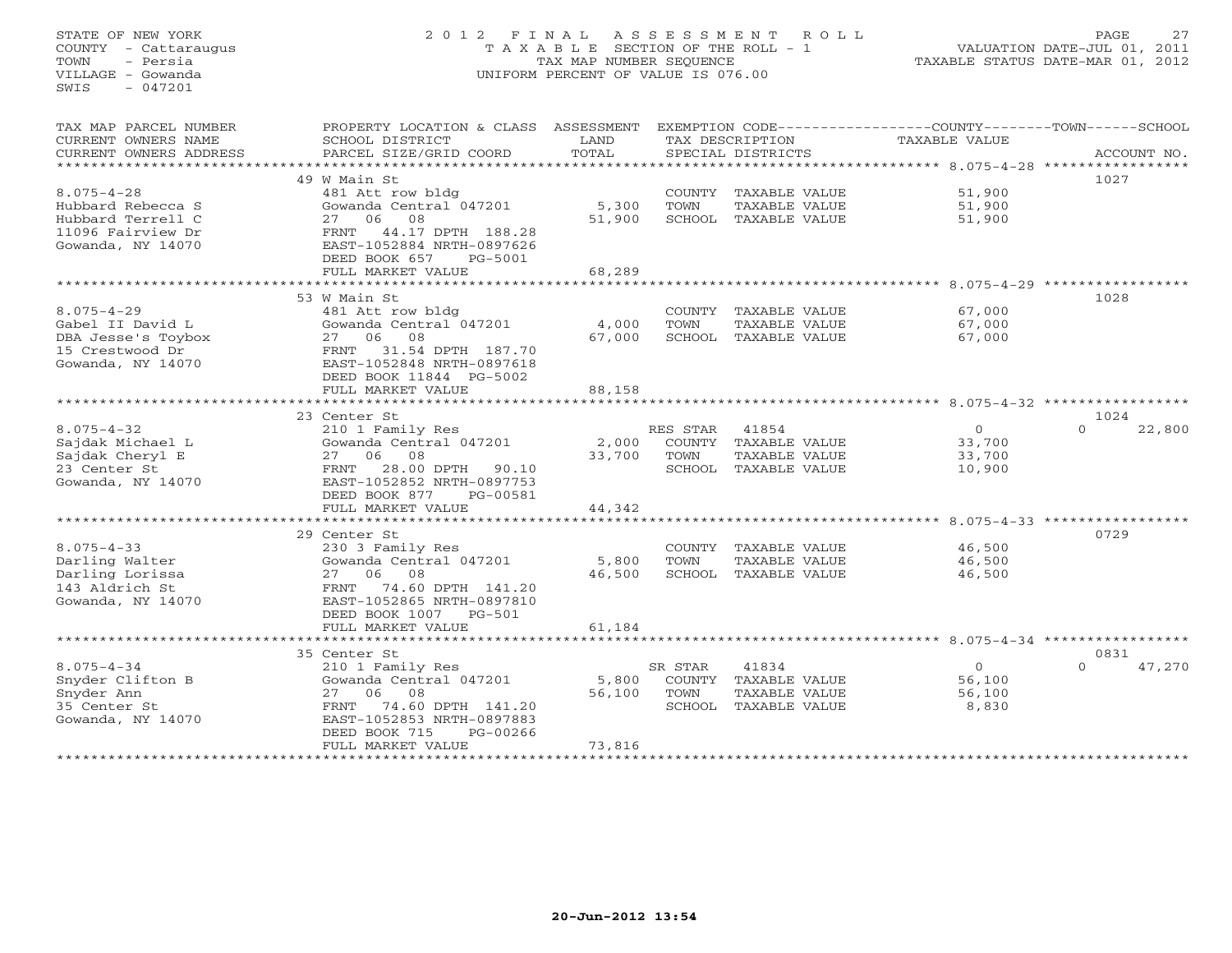# STATE OF NEW YORK 2 0 1 2 F I N A L A S S E S S M E N T R O L L PAGE 27 COUNTY - Cattaraugus T A X A B L E SECTION OF THE ROLL - 1 VALUATION DATE-JUL 01, 2011 TOWN - Persia TAX MAP NUMBER SEQUENCE TAXABLE STATUS DATE-MAR 01, 2012 VILLAGE - Gowanda UNIFORM PERCENT OF VALUE IS 076.00UNIFORM PERCENT OF VALUE IS 076.00

| TAX MAP PARCEL NUMBER  | PROPERTY LOCATION & CLASS ASSESSMENT         |        |                |                      | EXEMPTION CODE-----------------COUNTY-------TOWN------SCHOOL |                    |
|------------------------|----------------------------------------------|--------|----------------|----------------------|--------------------------------------------------------------|--------------------|
| CURRENT OWNERS NAME    | SCHOOL DISTRICT                              | LAND   |                | TAX DESCRIPTION      | TAXABLE VALUE                                                |                    |
| CURRENT OWNERS ADDRESS | PARCEL SIZE/GRID COORD                       | TOTAL  |                | SPECIAL DISTRICTS    |                                                              | ACCOUNT NO.        |
| ******************     |                                              |        |                |                      |                                                              |                    |
|                        | 49 W Main St                                 |        |                |                      |                                                              | 1027               |
| $8.075 - 4 - 28$       | 481 Att row bldg                             |        |                | COUNTY TAXABLE VALUE | 51,900                                                       |                    |
| Hubbard Rebecca S      | Gowanda Central 047201                       | 5,300  | TOWN           | TAXABLE VALUE        | 51,900                                                       |                    |
| Hubbard Terrell C      | 08<br>27 06                                  | 51,900 |                | SCHOOL TAXABLE VALUE | 51,900                                                       |                    |
| 11096 Fairview Dr      | 44.17 DPTH 188.28<br>FRNT                    |        |                |                      |                                                              |                    |
| Gowanda, NY 14070      | EAST-1052884 NRTH-0897626                    |        |                |                      |                                                              |                    |
|                        | DEED BOOK 657<br>PG-5001                     |        |                |                      |                                                              |                    |
|                        | FULL MARKET VALUE                            | 68,289 |                |                      |                                                              |                    |
|                        | **********************                       |        |                |                      |                                                              |                    |
|                        | 53 W Main St                                 |        |                |                      |                                                              | 1028               |
| $8.075 - 4 - 29$       | 481 Att row bldg                             |        |                | COUNTY TAXABLE VALUE | 67,000                                                       |                    |
| Gabel II David L       | Gowanda Central 047201                       | 4,000  | TOWN           | TAXABLE VALUE        | 67,000                                                       |                    |
| DBA Jesse's Toybox     | 27 06 08                                     | 67,000 |                | SCHOOL TAXABLE VALUE | 67,000                                                       |                    |
| 15 Crestwood Dr        | 31.54 DPTH 187.70<br>FRNT                    |        |                |                      |                                                              |                    |
| Gowanda, NY 14070      | EAST-1052848 NRTH-0897618                    |        |                |                      |                                                              |                    |
|                        | DEED BOOK 11844 PG-5002                      |        |                |                      |                                                              |                    |
|                        |                                              | 88,158 |                |                      |                                                              |                    |
|                        | FULL MARKET VALUE                            |        |                |                      |                                                              |                    |
|                        | 23 Center St                                 |        |                |                      |                                                              | 1024               |
| $8.075 - 4 - 32$       |                                              |        |                |                      | $\circ$                                                      | $\Omega$<br>22,800 |
|                        | 210 1 Family Res                             |        | RES STAR 41854 |                      |                                                              |                    |
| Sajdak Michael L       | Gowanda Central 047201<br>27 06 08           | 2,000  |                | COUNTY TAXABLE VALUE | 33,700                                                       |                    |
| Sajdak Cheryl E        |                                              | 33,700 | TOWN           | TAXABLE VALUE        | 33,700                                                       |                    |
| 23 Center St           | 28.00 DPTH<br>FRNT<br>90.10                  |        |                | SCHOOL TAXABLE VALUE | 10,900                                                       |                    |
| Gowanda, NY 14070      | EAST-1052852 NRTH-0897753                    |        |                |                      |                                                              |                    |
|                        | DEED BOOK 877<br>PG-00581                    |        |                |                      |                                                              |                    |
|                        | FULL MARKET VALUE<br>*********************** | 44,342 |                |                      |                                                              |                    |
|                        |                                              |        |                |                      |                                                              |                    |
|                        | 29 Center St                                 |        |                |                      |                                                              | 0729               |
| $8.075 - 4 - 33$       | 230 3 Family Res                             |        |                | COUNTY TAXABLE VALUE | 46,500                                                       |                    |
| Darling Walter         | Gowanda Central 047201                       | 5,800  | TOWN           | TAXABLE VALUE        | 46,500                                                       |                    |
| Darling Lorissa        | 27 06<br>08                                  | 46,500 |                | SCHOOL TAXABLE VALUE | 46,500                                                       |                    |
| 143 Aldrich St         | FRNT 74.60 DPTH 141.20                       |        |                |                      |                                                              |                    |
| Gowanda, NY 14070      | EAST-1052865 NRTH-0897810                    |        |                |                      |                                                              |                    |
|                        | DEED BOOK 1007 PG-501                        |        |                |                      |                                                              |                    |
|                        | FULL MARKET VALUE                            | 61,184 |                |                      |                                                              |                    |
|                        |                                              |        |                |                      | ******************************* 8.075-4-34 ************      |                    |
|                        | 35 Center St                                 |        |                |                      |                                                              | 0831               |
| $8.075 - 4 - 34$       | 210 1 Family Res                             |        | SR STAR        | 41834                | $\Omega$                                                     | 47,270<br>$\Omega$ |
| Snyder Clifton B       | Gowanda Central 047201                       | 5,800  |                | COUNTY TAXABLE VALUE | 56,100                                                       |                    |
| Snyder Ann             | 08<br>27 06                                  | 56,100 | TOWN           | TAXABLE VALUE        | 56,100                                                       |                    |
| 35 Center St           | 74.60 DPTH 141.20<br>FRNT                    |        |                | SCHOOL TAXABLE VALUE | 8,830                                                        |                    |
| Gowanda, NY 14070      | EAST-1052853 NRTH-0897883                    |        |                |                      |                                                              |                    |
|                        | DEED BOOK 715<br>PG-00266                    |        |                |                      |                                                              |                    |
|                        | FULL MARKET VALUE                            | 73,816 |                |                      |                                                              |                    |
|                        |                                              |        |                |                      |                                                              |                    |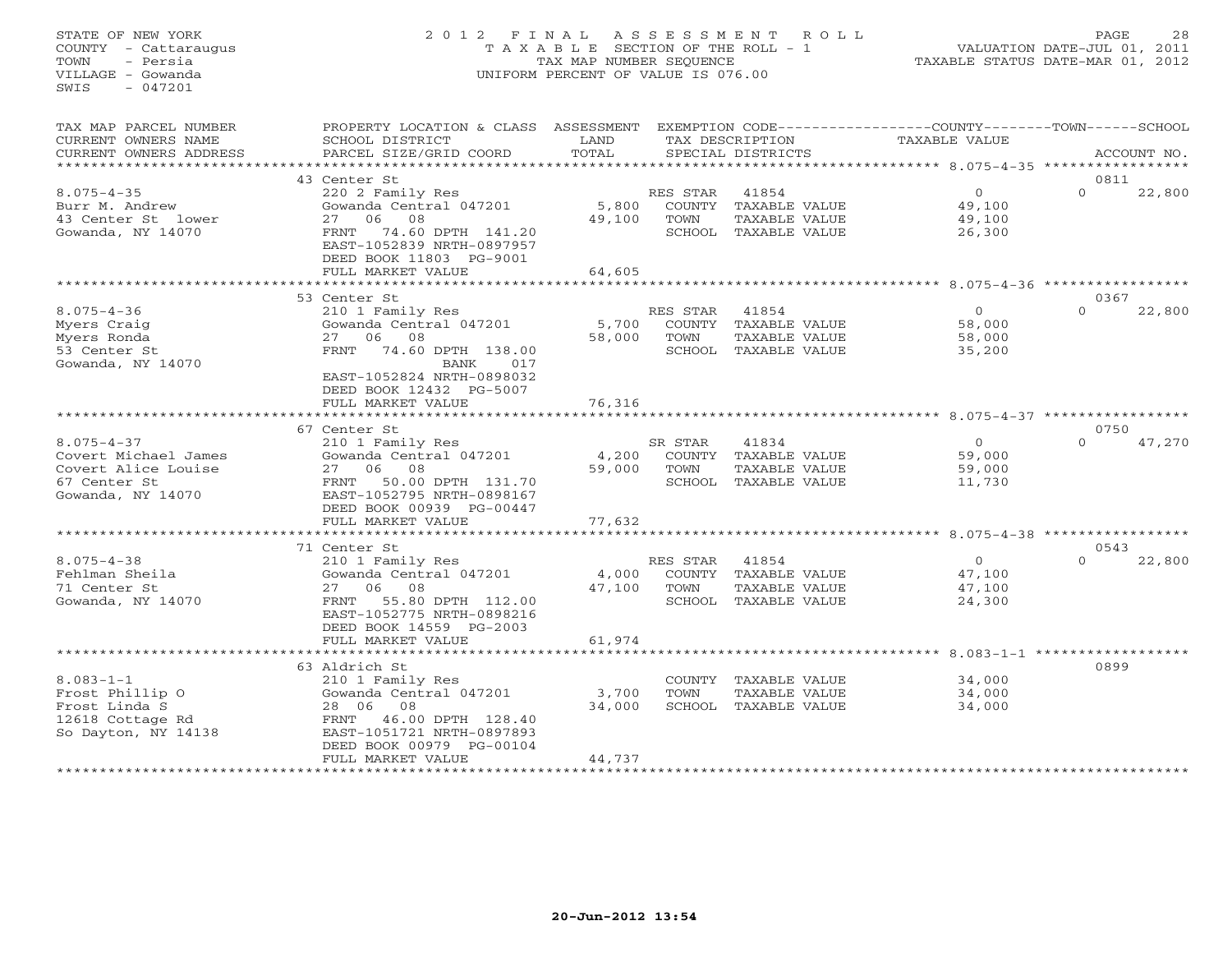# STATE OF NEW YORK 2 0 1 2 F I N A L A S S E S S M E N T R O L L PAGE 28 COUNTY - Cattaraugus T A X A B L E SECTION OF THE ROLL - 1 VALUATION DATE-JUL 01, 2011 TOWN - Persia TAX MAP NUMBER SEQUENCE TAXABLE STATUS DATE-MAR 01, 2012 VILLAGE - Gowanda UNIFORM PERCENT OF VALUE IS 076.00UNIFORM PERCENT OF VALUE IS 076.00

| TAX MAP PARCEL NUMBER               | PROPERTY LOCATION & CLASS ASSESSMENT |               |          | EXEMPTION CODE-----------------COUNTY-------TOWN-----SCHOOL |                                                 |        |                  |             |
|-------------------------------------|--------------------------------------|---------------|----------|-------------------------------------------------------------|-------------------------------------------------|--------|------------------|-------------|
| CURRENT OWNERS NAME                 | SCHOOL DISTRICT                      | LAND          |          | TAX DESCRIPTION                                             | TAXABLE VALUE                                   |        |                  |             |
| CURRENT OWNERS ADDRESS              | PARCEL SIZE/GRID COORD               | TOTAL         |          | SPECIAL DISTRICTS                                           |                                                 |        |                  | ACCOUNT NO. |
| * * * * * * * * * * * * * * * *     |                                      | ***********   |          |                                                             | ************ 8.075-4-35 ******************      |        |                  |             |
|                                     | 43 Center St                         |               |          |                                                             |                                                 |        | 0811             |             |
| $8.075 - 4 - 35$                    | 220 2 Family Res                     |               | RES STAR | 41854                                                       | $\circ$                                         |        | $\Omega$         | 22,800      |
| Burr M. Andrew                      | Gowanda Central 047201               | 5,800         |          | COUNTY TAXABLE VALUE                                        | 49,100                                          |        |                  |             |
| 43 Center St lower                  | 06<br>08<br>27                       | 49,100        | TOWN     | TAXABLE VALUE                                               | 49,100                                          |        |                  |             |
| Gowanda, NY 14070                   | 74.60 DPTH 141.20<br>FRNT            |               |          | SCHOOL TAXABLE VALUE                                        | 26,300                                          |        |                  |             |
|                                     | EAST-1052839 NRTH-0897957            |               |          |                                                             |                                                 |        |                  |             |
|                                     | DEED BOOK 11803 PG-9001              |               |          |                                                             |                                                 |        |                  |             |
|                                     | FULL MARKET VALUE                    | 64,605        |          |                                                             |                                                 |        |                  |             |
|                                     | *********************                | ************* |          |                                                             | *********************** 8.075-4-36 ************ |        |                  |             |
|                                     | 53 Center St                         |               |          |                                                             |                                                 |        | 0367             |             |
| $8.075 - 4 - 36$                    | 210 1 Family Res                     |               | RES STAR | 41854                                                       | $\Omega$                                        |        | $\Omega$         | 22,800      |
| Myers Craig                         | Gowanda Central 047201               | 5,700         |          | COUNTY TAXABLE VALUE                                        | 58,000                                          |        |                  |             |
| Myers Ronda                         | 06<br>08<br>27                       | 58,000        | TOWN     | TAXABLE VALUE                                               | 58,000                                          |        |                  |             |
| 53 Center St                        | 74.60 DPTH 138.00<br>FRNT            |               |          | SCHOOL TAXABLE VALUE                                        | 35,200                                          |        |                  |             |
| Gowanda, NY 14070                   | BANK<br>017                          |               |          |                                                             |                                                 |        |                  |             |
|                                     | EAST-1052824 NRTH-0898032            |               |          |                                                             |                                                 |        |                  |             |
|                                     | DEED BOOK 12432 PG-5007              |               |          |                                                             |                                                 |        |                  |             |
|                                     | FULL MARKET VALUE                    | 76,316        |          |                                                             |                                                 |        |                  |             |
|                                     |                                      |               |          |                                                             |                                                 |        |                  |             |
|                                     | 67 Center St                         |               |          |                                                             |                                                 |        | 0750<br>$\Omega$ |             |
| $8.075 - 4 - 37$                    | 210 1 Family Res                     |               | SR STAR  | 41834                                                       | $\Omega$                                        |        |                  | 47,270      |
| Covert Michael James                | Gowanda Central 047201<br>27<br>06   | 4,200         | TOWN     | COUNTY TAXABLE VALUE                                        |                                                 | 59,000 |                  |             |
| Covert Alice Louise<br>67 Center St | 08<br>50.00 DPTH 131.70<br>FRNT      | 59,000        |          | TAXABLE VALUE<br>SCHOOL TAXABLE VALUE                       | 59,000<br>11,730                                |        |                  |             |
|                                     | EAST-1052795 NRTH-0898167            |               |          |                                                             |                                                 |        |                  |             |
| Gowanda, NY 14070                   | DEED BOOK 00939 PG-00447             |               |          |                                                             |                                                 |        |                  |             |
|                                     | FULL MARKET VALUE                    | 77,632        |          |                                                             |                                                 |        |                  |             |
|                                     |                                      |               |          |                                                             |                                                 |        |                  |             |
|                                     | 71 Center St                         |               |          |                                                             |                                                 |        | 0543             |             |
| $8.075 - 4 - 38$                    | 210 1 Family Res                     |               | RES STAR | 41854                                                       | $\circ$                                         |        | $\Omega$         | 22,800      |
| Fehlman Sheila                      | Gowanda Central 047201               | 4,000         |          | COUNTY TAXABLE VALUE                                        | 47,100                                          |        |                  |             |
| 71 Center St                        | 06<br>08<br>27                       | 47,100        | TOWN     | TAXABLE VALUE                                               | 47,100                                          |        |                  |             |
| Gowanda, NY 14070                   | 55.80 DPTH 112.00<br>FRNT            |               |          | SCHOOL TAXABLE VALUE                                        | 24,300                                          |        |                  |             |
|                                     | EAST-1052775 NRTH-0898216            |               |          |                                                             |                                                 |        |                  |             |
|                                     | DEED BOOK 14559 PG-2003              |               |          |                                                             |                                                 |        |                  |             |
|                                     | FULL MARKET VALUE                    | 61,974        |          |                                                             |                                                 |        |                  |             |
|                                     |                                      |               |          |                                                             |                                                 |        |                  |             |
|                                     | 63 Aldrich St                        |               |          |                                                             |                                                 |        | 0899             |             |
| $8.083 - 1 - 1$                     | 210 1 Family Res                     |               |          | COUNTY TAXABLE VALUE                                        | 34,000                                          |        |                  |             |
| Frost Phillip 0                     | Gowanda Central 047201               | 3,700         | TOWN     | TAXABLE VALUE                                               | 34,000                                          |        |                  |             |
| Frost Linda S                       | 28 06<br>08                          | 34,000        |          | SCHOOL TAXABLE VALUE                                        | 34,000                                          |        |                  |             |
| 12618 Cottage Rd                    | FRNT 46.00 DPTH 128.40               |               |          |                                                             |                                                 |        |                  |             |
| So Dayton, NY 14138                 | EAST-1051721 NRTH-0897893            |               |          |                                                             |                                                 |        |                  |             |
|                                     | DEED BOOK 00979 PG-00104             |               |          |                                                             |                                                 |        |                  |             |
|                                     | FULL MARKET VALUE                    | 44,737        |          |                                                             |                                                 |        |                  |             |
|                                     |                                      |               |          |                                                             |                                                 |        |                  |             |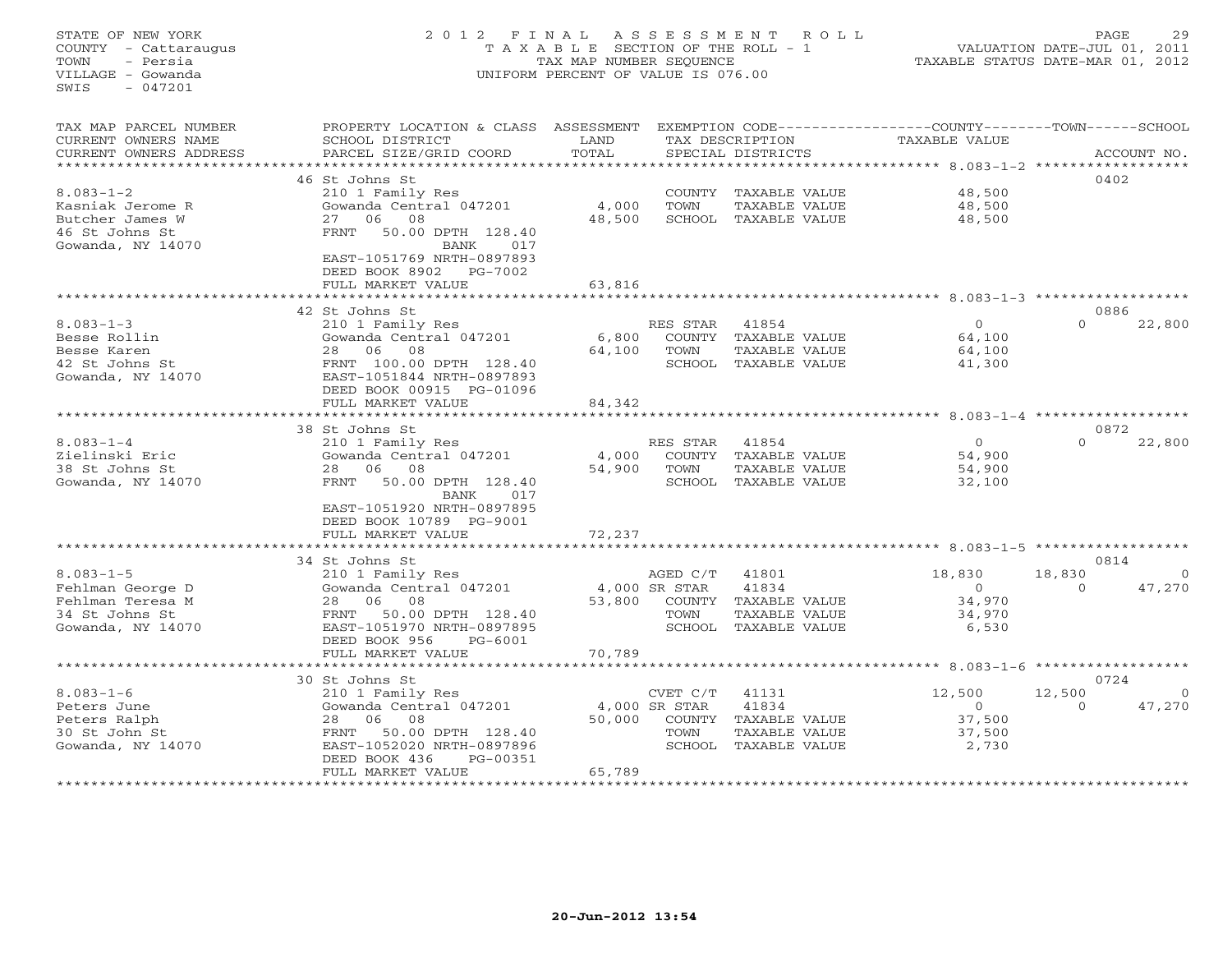# STATE OF NEW YORK 2 0 1 2 F I N A L A S S E S S M E N T R O L L PAGE 29 COUNTY - Cattaraugus T A X A B L E SECTION OF THE ROLL - 1 VALUATION DATE-JUL 01, 2011 TOWN - Persia TAX MAP NUMBER SEQUENCE TAXABLE STATUS DATE-MAR 01, 2012 VILLAGE - Gowanda UNIFORM PERCENT OF VALUE IS 076.00UNIFORM PERCENT OF VALUE IS 076.00

| TAX MAP PARCEL NUMBER  | PROPERTY LOCATION & CLASS ASSESSMENT                   |               |               |                                 | EXEMPTION CODE-----------------COUNTY-------TOWN------SCHOOL |          |             |
|------------------------|--------------------------------------------------------|---------------|---------------|---------------------------------|--------------------------------------------------------------|----------|-------------|
| CURRENT OWNERS NAME    | SCHOOL DISTRICT                                        | LAND          |               | TAX DESCRIPTION                 | TAXABLE VALUE                                                |          |             |
| CURRENT OWNERS ADDRESS | PARCEL SIZE/GRID COORD                                 | TOTAL         |               | SPECIAL DISTRICTS               |                                                              |          | ACCOUNT NO. |
|                        |                                                        | **********    |               |                                 | ************** 8.083-1-2 *****                               |          |             |
|                        | 46 St Johns St                                         |               |               |                                 |                                                              | 0402     |             |
| $8.083 - 1 - 2$        | 210 1 Family Res                                       |               |               | COUNTY TAXABLE VALUE            | 48,500                                                       |          |             |
| Kasniak Jerome R       | Gowanda Central 047201                                 | 4,000         | TOWN          | TAXABLE VALUE                   | 48,500                                                       |          |             |
| Butcher James W        | 06<br>08<br>27                                         | 48,500        |               | SCHOOL TAXABLE VALUE            | 48,500                                                       |          |             |
| 46 St Johns St         | 50.00 DPTH 128.40<br>FRNT                              |               |               |                                 |                                                              |          |             |
| Gowanda, NY 14070      | BANK<br>017                                            |               |               |                                 |                                                              |          |             |
|                        | EAST-1051769 NRTH-0897893<br>DEED BOOK 8902<br>PG-7002 |               |               |                                 |                                                              |          |             |
|                        |                                                        |               |               |                                 |                                                              |          |             |
|                        | FULL MARKET VALUE                                      | 63,816        |               |                                 |                                                              |          |             |
|                        | 42 St Johns St                                         |               |               |                                 |                                                              | 0886     |             |
| $8.083 - 1 - 3$        | 210 1 Family Res                                       |               | RES STAR      | 41854                           | $\Omega$                                                     | $\Omega$ | 22,800      |
| Besse Rollin           | Gowanda Central 047201                                 | 6,800         |               | COUNTY TAXABLE VALUE            | 64,100                                                       |          |             |
| Besse Karen            | 08<br>28 06                                            | 64,100        | TOWN          | TAXABLE VALUE                   | 64,100                                                       |          |             |
| 42 St Johns St         | FRNT 100.00 DPTH 128.40                                |               |               | SCHOOL TAXABLE VALUE            | 41,300                                                       |          |             |
| Gowanda, NY 14070      | EAST-1051844 NRTH-0897893                              |               |               |                                 |                                                              |          |             |
|                        | DEED BOOK 00915 PG-01096                               |               |               |                                 |                                                              |          |             |
|                        | FULL MARKET VALUE                                      | 84,342        |               |                                 |                                                              |          |             |
|                        |                                                        |               |               |                                 |                                                              |          |             |
|                        | 38 St Johns St                                         |               |               |                                 |                                                              | 0872     |             |
| $8.083 - 1 - 4$        | 210 1 Family Res                                       |               | RES STAR      | 41854                           | $\overline{O}$                                               | $\Omega$ | 22,800      |
| Zielinski Eric         | Gowanda Central 047201                                 | 4,000         |               | COUNTY TAXABLE VALUE            | 54,900                                                       |          |             |
| 38 St Johns St         | 28 06<br>08                                            | 54,900        | TOWN          | TAXABLE VALUE                   | 54,900                                                       |          |             |
| Gowanda, NY 14070      | 50.00 DPTH 128.40<br>FRNT                              |               |               | SCHOOL TAXABLE VALUE            | 32,100                                                       |          |             |
|                        | <b>BANK</b><br>017                                     |               |               |                                 |                                                              |          |             |
|                        | EAST-1051920 NRTH-0897895                              |               |               |                                 |                                                              |          |             |
|                        | DEED BOOK 10789 PG-9001                                |               |               |                                 |                                                              |          |             |
|                        | FULL MARKET VALUE                                      | 72,237        |               |                                 |                                                              |          |             |
|                        |                                                        |               |               | ******************************* | ************** 8.083-1-5 **************                      |          |             |
|                        | 34 St Johns St                                         |               |               |                                 |                                                              | 0814     |             |
| $8.083 - 1 - 5$        | 210 1 Family Res                                       |               | AGED C/T      | 41801                           | 18,830                                                       | 18,830   | $\Omega$    |
| Fehlman George D       | Gowanda Central 047201                                 |               | 4,000 SR STAR | 41834                           | $\circ$                                                      | $\Omega$ | 47,270      |
| Fehlman Teresa M       | 06 08<br>28                                            | 53,800        |               | COUNTY TAXABLE VALUE            | 34,970                                                       |          |             |
| 34 St Johns St         | FRNT<br>50.00 DPTH 128.40                              |               | TOWN          | TAXABLE VALUE                   | 34,970                                                       |          |             |
| Gowanda, NY 14070      | EAST-1051970 NRTH-0897895                              |               |               | SCHOOL TAXABLE VALUE            | 6,530                                                        |          |             |
|                        | DEED BOOK 956<br>PG-6001                               |               |               |                                 |                                                              |          |             |
|                        | FULL MARKET VALUE                                      | 70,789        |               |                                 |                                                              |          |             |
|                        | *********************                                  | ************* |               |                                 | *************************** 8.083-1-6 ******************     |          |             |
|                        | 30 St Johns St                                         |               |               |                                 |                                                              | 0724     |             |
| $8.083 - 1 - 6$        | 210 1 Family Res                                       |               | CVET C/T      | 41131                           | 12,500                                                       | 12,500   | $\Omega$    |
| Peters June            | Gowanda Central 047201                                 |               | 4,000 SR STAR | 41834                           | $\Omega$                                                     | $\Omega$ | 47,270      |
| Peters Ralph           | 06<br>08<br>28                                         | 50,000        |               | COUNTY TAXABLE VALUE            | 37,500                                                       |          |             |
| 30 St John St          | 50.00 DPTH 128.40<br>FRNT                              |               | TOWN          | TAXABLE VALUE                   | 37,500                                                       |          |             |
| Gowanda, NY 14070      | EAST-1052020 NRTH-0897896                              |               |               | SCHOOL TAXABLE VALUE            | 2,730                                                        |          |             |
|                        | DEED BOOK 436<br>PG-00351                              |               |               |                                 |                                                              |          |             |
|                        | FULL MARKET VALUE                                      | 65,789        |               |                                 |                                                              |          |             |
|                        |                                                        |               |               |                                 |                                                              |          |             |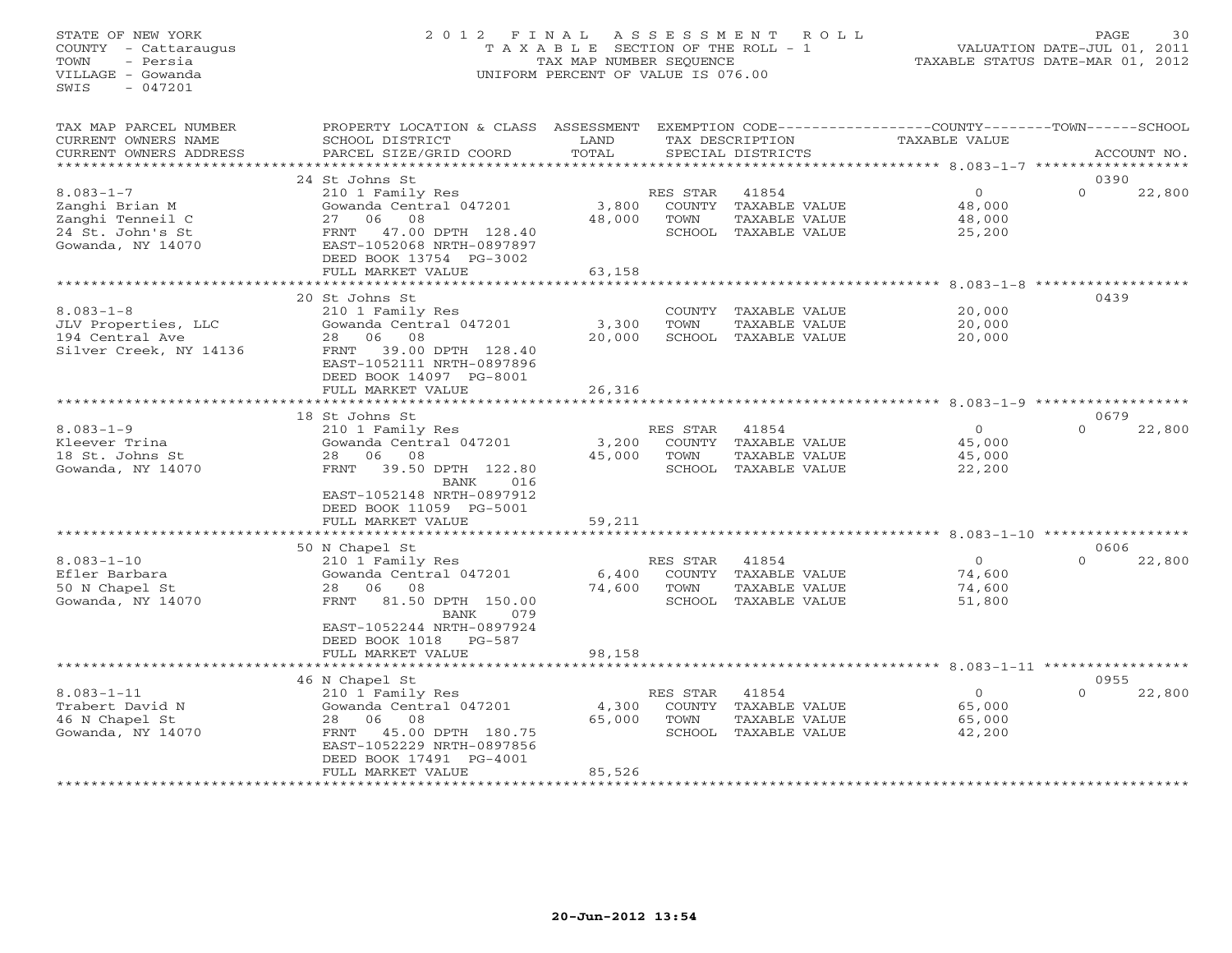# STATE OF NEW YORK 2 0 1 2 F I N A L A S S E S S M E N T R O L L PAGE 30 COUNTY - Cattaraugus T A X A B L E SECTION OF THE ROLL - 1 VALUATION DATE-JUL 01, 2011 TOWN - Persia TAX MAP NUMBER SEQUENCE TAXABLE STATUS DATE-MAR 01, 2012 VILLAGE - Gowanda UNIFORM PERCENT OF VALUE IS 076.00UNIFORM PERCENT OF VALUE IS 076.00

| 0390<br>24 St Johns St<br>$8.083 - 1 - 7$<br>RES STAR<br>41854<br>$\overline{0}$<br>$\Omega$<br>22,800<br>210 1 Family Res<br>Zanghi Brian M<br>Gowanda Central 047201<br>3,800<br>COUNTY<br>TAXABLE VALUE<br>48,000<br>Zanghi Tenneil C<br>08<br>48,000<br>TOWN<br>48,000<br>27<br>06<br>TAXABLE VALUE<br>24 St. John's St<br>47.00 DPTH 128.40<br>SCHOOL TAXABLE VALUE<br>FRNT<br>25,200<br>Gowanda, NY 14070<br>EAST-1052068 NRTH-0897897<br>DEED BOOK 13754 PG-3002<br>FULL MARKET VALUE<br>63,158<br>*********************<br>20 St Johns St<br>0439<br>$8.083 - 1 - 8$<br>210 1 Family Res<br>COUNTY TAXABLE VALUE<br>20,000<br>JLV Properties, LLC<br>Gowanda Central 047201<br>TAXABLE VALUE<br>20,000<br>3,300<br>TOWN<br>06 08<br>194 Central Ave<br>28<br>20,000<br>SCHOOL TAXABLE VALUE<br>20,000<br>39.00 DPTH 128.40<br>Silver Creek, NY 14136<br>FRNT<br>EAST-1052111 NRTH-0897896<br>DEED BOOK 14097 PG-8001<br>26,316<br>FULL MARKET VALUE<br>***********************<br>********************<br>0679<br>18 St Johns St<br>$8.083 - 1 - 9$<br>41854<br>$\circ$<br>$\Omega$<br>210 1 Family Res<br>RES STAR<br>22,800<br>Kleever Trina<br>Gowanda Central 047201<br>3,200<br>COUNTY TAXABLE VALUE<br>45,000<br>18 St. Johns St<br>28 06<br>08<br>45,000<br>TAXABLE VALUE<br>TOWN<br>45,000<br>Gowanda, NY 14070<br>FRNT<br>39.50 DPTH 122.80<br>SCHOOL TAXABLE VALUE<br>22,200<br>BANK<br>016<br>EAST-1052148 NRTH-0897912<br>DEED BOOK 11059 PG-5001<br>FULL MARKET VALUE<br>59,211<br>********************<br>* * * * * * * * * * * * * *<br>********************************** 8.083-1-10 ************<br>50 N Chapel St<br>0606<br>$8.083 - 1 - 10$<br>$\circ$<br>$\Omega$<br>22,800<br>210 1 Family Res<br>RES STAR<br>41854<br>Efler Barbara<br>Gowanda Central 047201<br>6,400<br>74,600<br>COUNTY TAXABLE VALUE<br>50 N Chapel St<br>28 06 08<br>74,600<br>TOWN<br>TAXABLE VALUE<br>74,600<br>81.50 DPTH 150.00<br>Gowanda, NY 14070<br>FRNT<br>SCHOOL TAXABLE VALUE<br>51,800<br>BANK<br>079<br>EAST-1052244 NRTH-0897924<br>DEED BOOK 1018 PG-587<br>FULL MARKET VALUE<br>98,158<br>******************** 8.083-1-11 ****************<br>46 N Chapel St<br>0955<br>$8.083 - 1 - 11$<br>RES STAR<br>41854<br>$\overline{0}$<br>22,800<br>210 1 Family Res<br>$\Omega$<br>Trabert David N<br>Gowanda Central 047201<br>4,300<br>COUNTY TAXABLE VALUE<br>65,000<br>46 N Chapel St<br>06 08<br>65,000<br>TOWN<br>TAXABLE VALUE<br>65,000<br>28<br>Gowanda, NY 14070<br>45.00 DPTH 180.75<br>SCHOOL TAXABLE VALUE<br>42,200<br>FRNT<br>EAST-1052229 NRTH-0897856<br>DEED BOOK 17491 PG-4001<br>FULL MARKET VALUE<br>85,526 | TAX MAP PARCEL NUMBER<br>CURRENT OWNERS NAME<br>CURRENT OWNERS ADDRESS | PROPERTY LOCATION & CLASS ASSESSMENT<br>SCHOOL DISTRICT<br>PARCEL SIZE/GRID COORD | LAND<br>TOTAL | TAX DESCRIPTION<br>SPECIAL DISTRICTS | EXEMPTION CODE-----------------COUNTY-------TOWN------SCHOOL<br>TAXABLE VALUE | ACCOUNT NO. |
|------------------------------------------------------------------------------------------------------------------------------------------------------------------------------------------------------------------------------------------------------------------------------------------------------------------------------------------------------------------------------------------------------------------------------------------------------------------------------------------------------------------------------------------------------------------------------------------------------------------------------------------------------------------------------------------------------------------------------------------------------------------------------------------------------------------------------------------------------------------------------------------------------------------------------------------------------------------------------------------------------------------------------------------------------------------------------------------------------------------------------------------------------------------------------------------------------------------------------------------------------------------------------------------------------------------------------------------------------------------------------------------------------------------------------------------------------------------------------------------------------------------------------------------------------------------------------------------------------------------------------------------------------------------------------------------------------------------------------------------------------------------------------------------------------------------------------------------------------------------------------------------------------------------------------------------------------------------------------------------------------------------------------------------------------------------------------------------------------------------------------------------------------------------------------------------------------------------------------------------------------------------------------------------------------------------------------------------------------------------------------------------------------------------------------------------------------------------------------------------------------------------------------------------------------------------------------------------------------------------------------------------------|------------------------------------------------------------------------|-----------------------------------------------------------------------------------|---------------|--------------------------------------|-------------------------------------------------------------------------------|-------------|
|                                                                                                                                                                                                                                                                                                                                                                                                                                                                                                                                                                                                                                                                                                                                                                                                                                                                                                                                                                                                                                                                                                                                                                                                                                                                                                                                                                                                                                                                                                                                                                                                                                                                                                                                                                                                                                                                                                                                                                                                                                                                                                                                                                                                                                                                                                                                                                                                                                                                                                                                                                                                                                                | **********************                                                 |                                                                                   |               |                                      |                                                                               |             |
|                                                                                                                                                                                                                                                                                                                                                                                                                                                                                                                                                                                                                                                                                                                                                                                                                                                                                                                                                                                                                                                                                                                                                                                                                                                                                                                                                                                                                                                                                                                                                                                                                                                                                                                                                                                                                                                                                                                                                                                                                                                                                                                                                                                                                                                                                                                                                                                                                                                                                                                                                                                                                                                |                                                                        |                                                                                   |               |                                      |                                                                               |             |
|                                                                                                                                                                                                                                                                                                                                                                                                                                                                                                                                                                                                                                                                                                                                                                                                                                                                                                                                                                                                                                                                                                                                                                                                                                                                                                                                                                                                                                                                                                                                                                                                                                                                                                                                                                                                                                                                                                                                                                                                                                                                                                                                                                                                                                                                                                                                                                                                                                                                                                                                                                                                                                                |                                                                        |                                                                                   |               |                                      |                                                                               |             |
|                                                                                                                                                                                                                                                                                                                                                                                                                                                                                                                                                                                                                                                                                                                                                                                                                                                                                                                                                                                                                                                                                                                                                                                                                                                                                                                                                                                                                                                                                                                                                                                                                                                                                                                                                                                                                                                                                                                                                                                                                                                                                                                                                                                                                                                                                                                                                                                                                                                                                                                                                                                                                                                |                                                                        |                                                                                   |               |                                      |                                                                               |             |
|                                                                                                                                                                                                                                                                                                                                                                                                                                                                                                                                                                                                                                                                                                                                                                                                                                                                                                                                                                                                                                                                                                                                                                                                                                                                                                                                                                                                                                                                                                                                                                                                                                                                                                                                                                                                                                                                                                                                                                                                                                                                                                                                                                                                                                                                                                                                                                                                                                                                                                                                                                                                                                                |                                                                        |                                                                                   |               |                                      |                                                                               |             |
|                                                                                                                                                                                                                                                                                                                                                                                                                                                                                                                                                                                                                                                                                                                                                                                                                                                                                                                                                                                                                                                                                                                                                                                                                                                                                                                                                                                                                                                                                                                                                                                                                                                                                                                                                                                                                                                                                                                                                                                                                                                                                                                                                                                                                                                                                                                                                                                                                                                                                                                                                                                                                                                |                                                                        |                                                                                   |               |                                      |                                                                               |             |
|                                                                                                                                                                                                                                                                                                                                                                                                                                                                                                                                                                                                                                                                                                                                                                                                                                                                                                                                                                                                                                                                                                                                                                                                                                                                                                                                                                                                                                                                                                                                                                                                                                                                                                                                                                                                                                                                                                                                                                                                                                                                                                                                                                                                                                                                                                                                                                                                                                                                                                                                                                                                                                                |                                                                        |                                                                                   |               |                                      |                                                                               |             |
|                                                                                                                                                                                                                                                                                                                                                                                                                                                                                                                                                                                                                                                                                                                                                                                                                                                                                                                                                                                                                                                                                                                                                                                                                                                                                                                                                                                                                                                                                                                                                                                                                                                                                                                                                                                                                                                                                                                                                                                                                                                                                                                                                                                                                                                                                                                                                                                                                                                                                                                                                                                                                                                |                                                                        |                                                                                   |               |                                      |                                                                               |             |
|                                                                                                                                                                                                                                                                                                                                                                                                                                                                                                                                                                                                                                                                                                                                                                                                                                                                                                                                                                                                                                                                                                                                                                                                                                                                                                                                                                                                                                                                                                                                                                                                                                                                                                                                                                                                                                                                                                                                                                                                                                                                                                                                                                                                                                                                                                                                                                                                                                                                                                                                                                                                                                                |                                                                        |                                                                                   |               |                                      |                                                                               |             |
|                                                                                                                                                                                                                                                                                                                                                                                                                                                                                                                                                                                                                                                                                                                                                                                                                                                                                                                                                                                                                                                                                                                                                                                                                                                                                                                                                                                                                                                                                                                                                                                                                                                                                                                                                                                                                                                                                                                                                                                                                                                                                                                                                                                                                                                                                                                                                                                                                                                                                                                                                                                                                                                |                                                                        |                                                                                   |               |                                      |                                                                               |             |
|                                                                                                                                                                                                                                                                                                                                                                                                                                                                                                                                                                                                                                                                                                                                                                                                                                                                                                                                                                                                                                                                                                                                                                                                                                                                                                                                                                                                                                                                                                                                                                                                                                                                                                                                                                                                                                                                                                                                                                                                                                                                                                                                                                                                                                                                                                                                                                                                                                                                                                                                                                                                                                                |                                                                        |                                                                                   |               |                                      |                                                                               |             |
|                                                                                                                                                                                                                                                                                                                                                                                                                                                                                                                                                                                                                                                                                                                                                                                                                                                                                                                                                                                                                                                                                                                                                                                                                                                                                                                                                                                                                                                                                                                                                                                                                                                                                                                                                                                                                                                                                                                                                                                                                                                                                                                                                                                                                                                                                                                                                                                                                                                                                                                                                                                                                                                |                                                                        |                                                                                   |               |                                      |                                                                               |             |
|                                                                                                                                                                                                                                                                                                                                                                                                                                                                                                                                                                                                                                                                                                                                                                                                                                                                                                                                                                                                                                                                                                                                                                                                                                                                                                                                                                                                                                                                                                                                                                                                                                                                                                                                                                                                                                                                                                                                                                                                                                                                                                                                                                                                                                                                                                                                                                                                                                                                                                                                                                                                                                                |                                                                        |                                                                                   |               |                                      |                                                                               |             |
|                                                                                                                                                                                                                                                                                                                                                                                                                                                                                                                                                                                                                                                                                                                                                                                                                                                                                                                                                                                                                                                                                                                                                                                                                                                                                                                                                                                                                                                                                                                                                                                                                                                                                                                                                                                                                                                                                                                                                                                                                                                                                                                                                                                                                                                                                                                                                                                                                                                                                                                                                                                                                                                |                                                                        |                                                                                   |               |                                      |                                                                               |             |
|                                                                                                                                                                                                                                                                                                                                                                                                                                                                                                                                                                                                                                                                                                                                                                                                                                                                                                                                                                                                                                                                                                                                                                                                                                                                                                                                                                                                                                                                                                                                                                                                                                                                                                                                                                                                                                                                                                                                                                                                                                                                                                                                                                                                                                                                                                                                                                                                                                                                                                                                                                                                                                                |                                                                        |                                                                                   |               |                                      |                                                                               |             |
|                                                                                                                                                                                                                                                                                                                                                                                                                                                                                                                                                                                                                                                                                                                                                                                                                                                                                                                                                                                                                                                                                                                                                                                                                                                                                                                                                                                                                                                                                                                                                                                                                                                                                                                                                                                                                                                                                                                                                                                                                                                                                                                                                                                                                                                                                                                                                                                                                                                                                                                                                                                                                                                |                                                                        |                                                                                   |               |                                      |                                                                               |             |
|                                                                                                                                                                                                                                                                                                                                                                                                                                                                                                                                                                                                                                                                                                                                                                                                                                                                                                                                                                                                                                                                                                                                                                                                                                                                                                                                                                                                                                                                                                                                                                                                                                                                                                                                                                                                                                                                                                                                                                                                                                                                                                                                                                                                                                                                                                                                                                                                                                                                                                                                                                                                                                                |                                                                        |                                                                                   |               |                                      |                                                                               |             |
|                                                                                                                                                                                                                                                                                                                                                                                                                                                                                                                                                                                                                                                                                                                                                                                                                                                                                                                                                                                                                                                                                                                                                                                                                                                                                                                                                                                                                                                                                                                                                                                                                                                                                                                                                                                                                                                                                                                                                                                                                                                                                                                                                                                                                                                                                                                                                                                                                                                                                                                                                                                                                                                |                                                                        |                                                                                   |               |                                      |                                                                               |             |
|                                                                                                                                                                                                                                                                                                                                                                                                                                                                                                                                                                                                                                                                                                                                                                                                                                                                                                                                                                                                                                                                                                                                                                                                                                                                                                                                                                                                                                                                                                                                                                                                                                                                                                                                                                                                                                                                                                                                                                                                                                                                                                                                                                                                                                                                                                                                                                                                                                                                                                                                                                                                                                                |                                                                        |                                                                                   |               |                                      |                                                                               |             |
|                                                                                                                                                                                                                                                                                                                                                                                                                                                                                                                                                                                                                                                                                                                                                                                                                                                                                                                                                                                                                                                                                                                                                                                                                                                                                                                                                                                                                                                                                                                                                                                                                                                                                                                                                                                                                                                                                                                                                                                                                                                                                                                                                                                                                                                                                                                                                                                                                                                                                                                                                                                                                                                |                                                                        |                                                                                   |               |                                      |                                                                               |             |
|                                                                                                                                                                                                                                                                                                                                                                                                                                                                                                                                                                                                                                                                                                                                                                                                                                                                                                                                                                                                                                                                                                                                                                                                                                                                                                                                                                                                                                                                                                                                                                                                                                                                                                                                                                                                                                                                                                                                                                                                                                                                                                                                                                                                                                                                                                                                                                                                                                                                                                                                                                                                                                                |                                                                        |                                                                                   |               |                                      |                                                                               |             |
|                                                                                                                                                                                                                                                                                                                                                                                                                                                                                                                                                                                                                                                                                                                                                                                                                                                                                                                                                                                                                                                                                                                                                                                                                                                                                                                                                                                                                                                                                                                                                                                                                                                                                                                                                                                                                                                                                                                                                                                                                                                                                                                                                                                                                                                                                                                                                                                                                                                                                                                                                                                                                                                |                                                                        |                                                                                   |               |                                      |                                                                               |             |
|                                                                                                                                                                                                                                                                                                                                                                                                                                                                                                                                                                                                                                                                                                                                                                                                                                                                                                                                                                                                                                                                                                                                                                                                                                                                                                                                                                                                                                                                                                                                                                                                                                                                                                                                                                                                                                                                                                                                                                                                                                                                                                                                                                                                                                                                                                                                                                                                                                                                                                                                                                                                                                                |                                                                        |                                                                                   |               |                                      |                                                                               |             |
|                                                                                                                                                                                                                                                                                                                                                                                                                                                                                                                                                                                                                                                                                                                                                                                                                                                                                                                                                                                                                                                                                                                                                                                                                                                                                                                                                                                                                                                                                                                                                                                                                                                                                                                                                                                                                                                                                                                                                                                                                                                                                                                                                                                                                                                                                                                                                                                                                                                                                                                                                                                                                                                |                                                                        |                                                                                   |               |                                      |                                                                               |             |
|                                                                                                                                                                                                                                                                                                                                                                                                                                                                                                                                                                                                                                                                                                                                                                                                                                                                                                                                                                                                                                                                                                                                                                                                                                                                                                                                                                                                                                                                                                                                                                                                                                                                                                                                                                                                                                                                                                                                                                                                                                                                                                                                                                                                                                                                                                                                                                                                                                                                                                                                                                                                                                                |                                                                        |                                                                                   |               |                                      |                                                                               |             |
|                                                                                                                                                                                                                                                                                                                                                                                                                                                                                                                                                                                                                                                                                                                                                                                                                                                                                                                                                                                                                                                                                                                                                                                                                                                                                                                                                                                                                                                                                                                                                                                                                                                                                                                                                                                                                                                                                                                                                                                                                                                                                                                                                                                                                                                                                                                                                                                                                                                                                                                                                                                                                                                |                                                                        |                                                                                   |               |                                      |                                                                               |             |
|                                                                                                                                                                                                                                                                                                                                                                                                                                                                                                                                                                                                                                                                                                                                                                                                                                                                                                                                                                                                                                                                                                                                                                                                                                                                                                                                                                                                                                                                                                                                                                                                                                                                                                                                                                                                                                                                                                                                                                                                                                                                                                                                                                                                                                                                                                                                                                                                                                                                                                                                                                                                                                                |                                                                        |                                                                                   |               |                                      |                                                                               |             |
|                                                                                                                                                                                                                                                                                                                                                                                                                                                                                                                                                                                                                                                                                                                                                                                                                                                                                                                                                                                                                                                                                                                                                                                                                                                                                                                                                                                                                                                                                                                                                                                                                                                                                                                                                                                                                                                                                                                                                                                                                                                                                                                                                                                                                                                                                                                                                                                                                                                                                                                                                                                                                                                |                                                                        |                                                                                   |               |                                      |                                                                               |             |
|                                                                                                                                                                                                                                                                                                                                                                                                                                                                                                                                                                                                                                                                                                                                                                                                                                                                                                                                                                                                                                                                                                                                                                                                                                                                                                                                                                                                                                                                                                                                                                                                                                                                                                                                                                                                                                                                                                                                                                                                                                                                                                                                                                                                                                                                                                                                                                                                                                                                                                                                                                                                                                                |                                                                        |                                                                                   |               |                                      |                                                                               |             |
|                                                                                                                                                                                                                                                                                                                                                                                                                                                                                                                                                                                                                                                                                                                                                                                                                                                                                                                                                                                                                                                                                                                                                                                                                                                                                                                                                                                                                                                                                                                                                                                                                                                                                                                                                                                                                                                                                                                                                                                                                                                                                                                                                                                                                                                                                                                                                                                                                                                                                                                                                                                                                                                |                                                                        |                                                                                   |               |                                      |                                                                               |             |
|                                                                                                                                                                                                                                                                                                                                                                                                                                                                                                                                                                                                                                                                                                                                                                                                                                                                                                                                                                                                                                                                                                                                                                                                                                                                                                                                                                                                                                                                                                                                                                                                                                                                                                                                                                                                                                                                                                                                                                                                                                                                                                                                                                                                                                                                                                                                                                                                                                                                                                                                                                                                                                                |                                                                        |                                                                                   |               |                                      |                                                                               |             |
|                                                                                                                                                                                                                                                                                                                                                                                                                                                                                                                                                                                                                                                                                                                                                                                                                                                                                                                                                                                                                                                                                                                                                                                                                                                                                                                                                                                                                                                                                                                                                                                                                                                                                                                                                                                                                                                                                                                                                                                                                                                                                                                                                                                                                                                                                                                                                                                                                                                                                                                                                                                                                                                |                                                                        |                                                                                   |               |                                      |                                                                               |             |
|                                                                                                                                                                                                                                                                                                                                                                                                                                                                                                                                                                                                                                                                                                                                                                                                                                                                                                                                                                                                                                                                                                                                                                                                                                                                                                                                                                                                                                                                                                                                                                                                                                                                                                                                                                                                                                                                                                                                                                                                                                                                                                                                                                                                                                                                                                                                                                                                                                                                                                                                                                                                                                                |                                                                        |                                                                                   |               |                                      |                                                                               |             |
|                                                                                                                                                                                                                                                                                                                                                                                                                                                                                                                                                                                                                                                                                                                                                                                                                                                                                                                                                                                                                                                                                                                                                                                                                                                                                                                                                                                                                                                                                                                                                                                                                                                                                                                                                                                                                                                                                                                                                                                                                                                                                                                                                                                                                                                                                                                                                                                                                                                                                                                                                                                                                                                |                                                                        |                                                                                   |               |                                      |                                                                               |             |
|                                                                                                                                                                                                                                                                                                                                                                                                                                                                                                                                                                                                                                                                                                                                                                                                                                                                                                                                                                                                                                                                                                                                                                                                                                                                                                                                                                                                                                                                                                                                                                                                                                                                                                                                                                                                                                                                                                                                                                                                                                                                                                                                                                                                                                                                                                                                                                                                                                                                                                                                                                                                                                                |                                                                        |                                                                                   |               |                                      |                                                                               |             |
|                                                                                                                                                                                                                                                                                                                                                                                                                                                                                                                                                                                                                                                                                                                                                                                                                                                                                                                                                                                                                                                                                                                                                                                                                                                                                                                                                                                                                                                                                                                                                                                                                                                                                                                                                                                                                                                                                                                                                                                                                                                                                                                                                                                                                                                                                                                                                                                                                                                                                                                                                                                                                                                |                                                                        |                                                                                   |               |                                      |                                                                               |             |
|                                                                                                                                                                                                                                                                                                                                                                                                                                                                                                                                                                                                                                                                                                                                                                                                                                                                                                                                                                                                                                                                                                                                                                                                                                                                                                                                                                                                                                                                                                                                                                                                                                                                                                                                                                                                                                                                                                                                                                                                                                                                                                                                                                                                                                                                                                                                                                                                                                                                                                                                                                                                                                                |                                                                        |                                                                                   |               |                                      |                                                                               |             |
|                                                                                                                                                                                                                                                                                                                                                                                                                                                                                                                                                                                                                                                                                                                                                                                                                                                                                                                                                                                                                                                                                                                                                                                                                                                                                                                                                                                                                                                                                                                                                                                                                                                                                                                                                                                                                                                                                                                                                                                                                                                                                                                                                                                                                                                                                                                                                                                                                                                                                                                                                                                                                                                |                                                                        |                                                                                   |               |                                      |                                                                               |             |
|                                                                                                                                                                                                                                                                                                                                                                                                                                                                                                                                                                                                                                                                                                                                                                                                                                                                                                                                                                                                                                                                                                                                                                                                                                                                                                                                                                                                                                                                                                                                                                                                                                                                                                                                                                                                                                                                                                                                                                                                                                                                                                                                                                                                                                                                                                                                                                                                                                                                                                                                                                                                                                                |                                                                        |                                                                                   |               |                                      |                                                                               |             |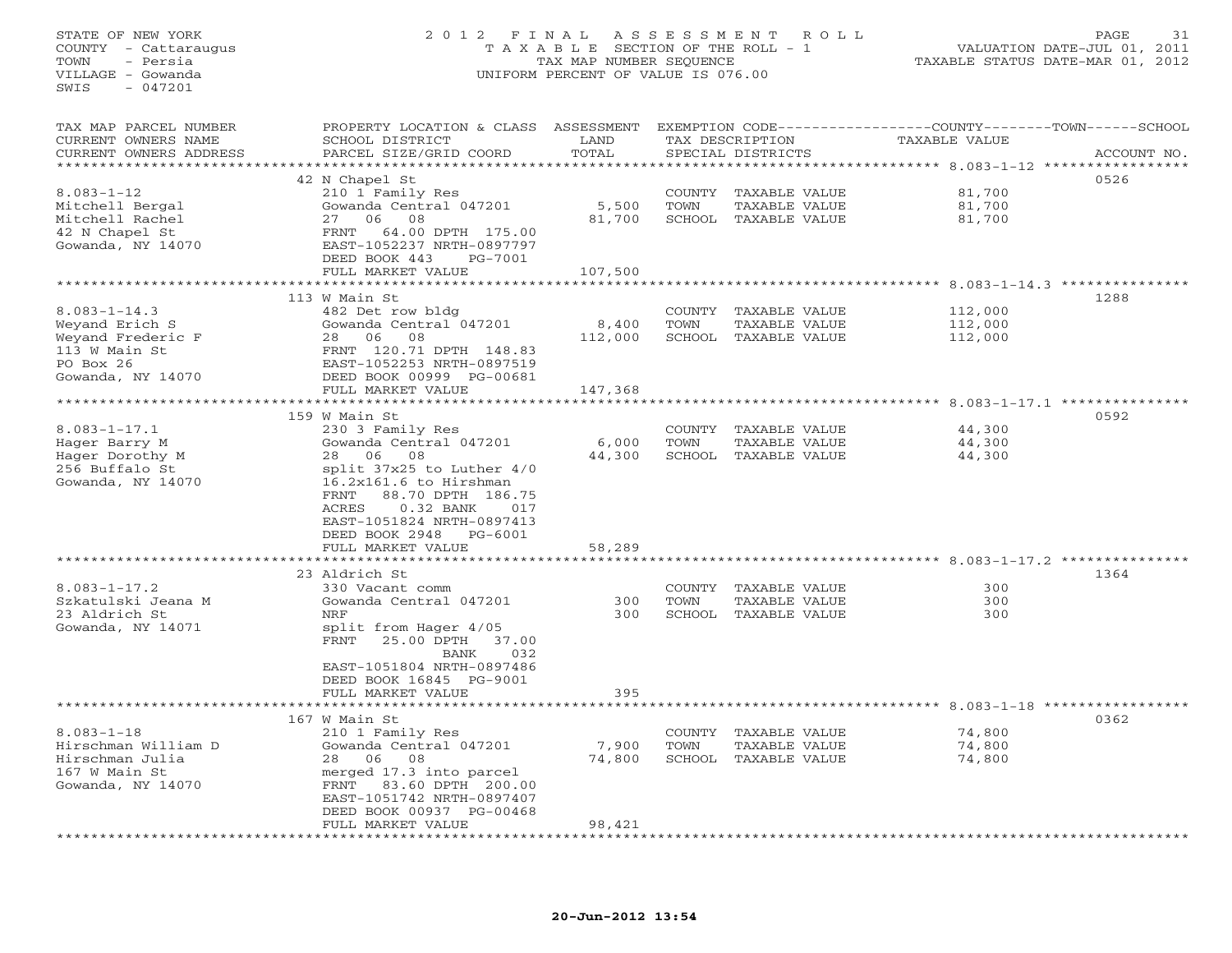STATE OF NEW YORK 2 0 1 2 F I N A L A S S E S S M E N T R O L L PAGE 31 COUNTY - Cattaraugus T A X A B L E SECTION OF THE ROLL - 1 VALUATION DATE-JUL 01, 2011 TOWN - Persia TAX MAP NUMBER SEQUENCE TAXABLE STATUS DATE-MAR 01, 2012 VILLAGE - Gowanda UNIFORM PERCENT OF VALUE IS 076.00  $SWTS = 047201$ TAX MAP PARCEL NUMBER PROPERTY LOCATION & CLASS ASSESSMENT EXEMPTION CODE-----------------COUNTY-------TOWN------SCHOOL CURRENT OWNERS NAME SCHOOL DISTRICT LAND TAX DESCRIPTION TAXABLE VALUE CURRENT OWNERS ADDRESS BARCEL SIZE/GRID COORD TOTAL SPECIAL DISTRICTS SACCOUNT NO. \*\*\*\*\*\*\*\*\*\*\*\*\*\*\*\*\*\*\*\*\*\*\*\*\*\*\*\*\*\*\*\*\*\*\*\*\*\*\*\*\*\*\*\*\*\*\*\*\*\*\*\*\*\*\*\*\*\*\*\*\*\*\*\*\*\*\*\*\*\*\*\*\*\*\*\*\*\*\*\*\*\*\*\*\*\*\*\*\*\*\*\*\*\*\*\*\*\*\*\*\*\*\* 8.083-1-12 \*\*\*\*\*\*\*\*\*\*\*\*\*\*\*\*\* 42 N Chapel St 0526 8.083-1-12 210 1 Family Res COUNTY TAXABLE VALUE 81,700 Mitchell Bergal Gowanda Central 047201 5,500 TOWN TAXABLE VALUE 81,700 Mitchell Rachel 27 06 08 81,700 SCHOOL TAXABLE VALUE 81,700 42 N Chapel St FRNT 64.00 DPTH 175.00 Gowanda, NY 14070 EAST-1052237 NRTH-0897797 DEED BOOK 443 PG-7001 FULL MARKET VALUE 107,500 \*\*\*\*\*\*\*\*\*\*\*\*\*\*\*\*\*\*\*\*\*\*\*\*\*\*\*\*\*\*\*\*\*\*\*\*\*\*\*\*\*\*\*\*\*\*\*\*\*\*\*\*\*\*\*\*\*\*\*\*\*\*\*\*\*\*\*\*\*\*\*\*\*\*\*\*\*\*\*\*\*\*\*\*\*\*\*\*\*\*\*\*\*\*\*\*\*\*\*\*\*\*\* 8.083-1-14.3 \*\*\*\*\*\*\*\*\*\*\*\*\*\*\* 113 W Main St 12881288 8.083-1-14.3 482 Det row bldg COUNTY TAXABLE VALUE 112,000 Weyand Erich S Gowanda Central 047201 8,400 TOWN TAXABLE VALUE 112,000 Weyand Frederic F 28 06 08 112,000 SCHOOL TAXABLE VALUE 112,000 113 W Main St FRNT 120.71 DPTH 148.83 PO Box 26 EAST-1052253 NRTH-0897519 Gowanda, NY 14070 DEED BOOK 00999 PG-00681 FULL MARKET VALUE 147,368 \*\*\*\*\*\*\*\*\*\*\*\*\*\*\*\*\*\*\*\*\*\*\*\*\*\*\*\*\*\*\*\*\*\*\*\*\*\*\*\*\*\*\*\*\*\*\*\*\*\*\*\*\*\*\*\*\*\*\*\*\*\*\*\*\*\*\*\*\*\*\*\*\*\*\*\*\*\*\*\*\*\*\*\*\*\*\*\*\*\*\*\*\*\*\*\*\*\*\*\*\*\*\* 8.083-1-17.1 \*\*\*\*\*\*\*\*\*\*\*\*\*\*\* 159 W Main St 05928.083-1-17.1 230 3 Family Res COUNTY TAXABLE VALUE 44,300 Hager Barry M Gowanda Central 047201 6,000 TOWN TAXABLE VALUE 44,300 Hager Dorothy M 28 06 08 44,300 SCHOOL TAXABLE VALUE 44,300 256 Buffalo St split 37x25 to Luther 4/0 Gowanda, NY 14070 16.2x161.6 to Hirshman FRNT 88.70 DPTH 186.75 ACRES 0.32 BANK 017 EAST-1051824 NRTH-0897413 DEED BOOK 2948 PG-6001 FULL MARKET VALUE 58,289 \*\*\*\*\*\*\*\*\*\*\*\*\*\*\*\*\*\*\*\*\*\*\*\*\*\*\*\*\*\*\*\*\*\*\*\*\*\*\*\*\*\*\*\*\*\*\*\*\*\*\*\*\*\*\*\*\*\*\*\*\*\*\*\*\*\*\*\*\*\*\*\*\*\*\*\*\*\*\*\*\*\*\*\*\*\*\*\*\*\*\*\*\*\*\*\*\*\*\*\*\*\*\* 8.083-1-17.2 \*\*\*\*\*\*\*\*\*\*\*\*\*\*\* $23$  Aldrich St  $1364$ 8.083-1-17.2 330 Vacant comm COUNTY TAXABLE VALUE 300Szkatulski Jeana M Gowanda Central 047201 300 TOWN TAXABLE VALUE 300300 23 Aldrich St NRF 300 SCHOOL TAXABLE VALUE 300Gowanda, NY 14071 split from Hager 4/05 FRNT 25.00 DPTH 37.00BANK 032 EAST-1051804 NRTH-0897486 DEED BOOK 16845 PG-9001 FULL MARKET VALUE 395 \*\*\*\*\*\*\*\*\*\*\*\*\*\*\*\*\*\*\*\*\*\*\*\*\*\*\*\*\*\*\*\*\*\*\*\*\*\*\*\*\*\*\*\*\*\*\*\*\*\*\*\*\*\*\*\*\*\*\*\*\*\*\*\*\*\*\*\*\*\*\*\*\*\*\*\*\*\*\*\*\*\*\*\*\*\*\*\*\*\*\*\*\*\*\*\*\*\*\*\*\*\*\* 8.083-1-18 \*\*\*\*\*\*\*\*\*\*\*\*\*\*\*\*\* 167 W Main St 03628.083-1-18 210 1 Family Res COUNTY TAXABLE VALUE 74,800 Hirschman William D Gowanda Central 047201 7,900 TOWN TAXABLE VALUE 74,800 Hirschman Julia 28 06 08 74,800 SCHOOL TAXABLE VALUE 74,800 167 W Main St merged 17.3 into parcel Gowanda, NY 14070 FRNT 83.60 DPTH 200.00 EAST-1051742 NRTH-0897407 DEED BOOK 00937 PG-00468FULL MARKET VALUE 98,421 \*\*\*\*\*\*\*\*\*\*\*\*\*\*\*\*\*\*\*\*\*\*\*\*\*\*\*\*\*\*\*\*\*\*\*\*\*\*\*\*\*\*\*\*\*\*\*\*\*\*\*\*\*\*\*\*\*\*\*\*\*\*\*\*\*\*\*\*\*\*\*\*\*\*\*\*\*\*\*\*\*\*\*\*\*\*\*\*\*\*\*\*\*\*\*\*\*\*\*\*\*\*\*\*\*\*\*\*\*\*\*\*\*\*\*\*\*\*\*\*\*\*\*\*\*\*\*\*\*\*\*\*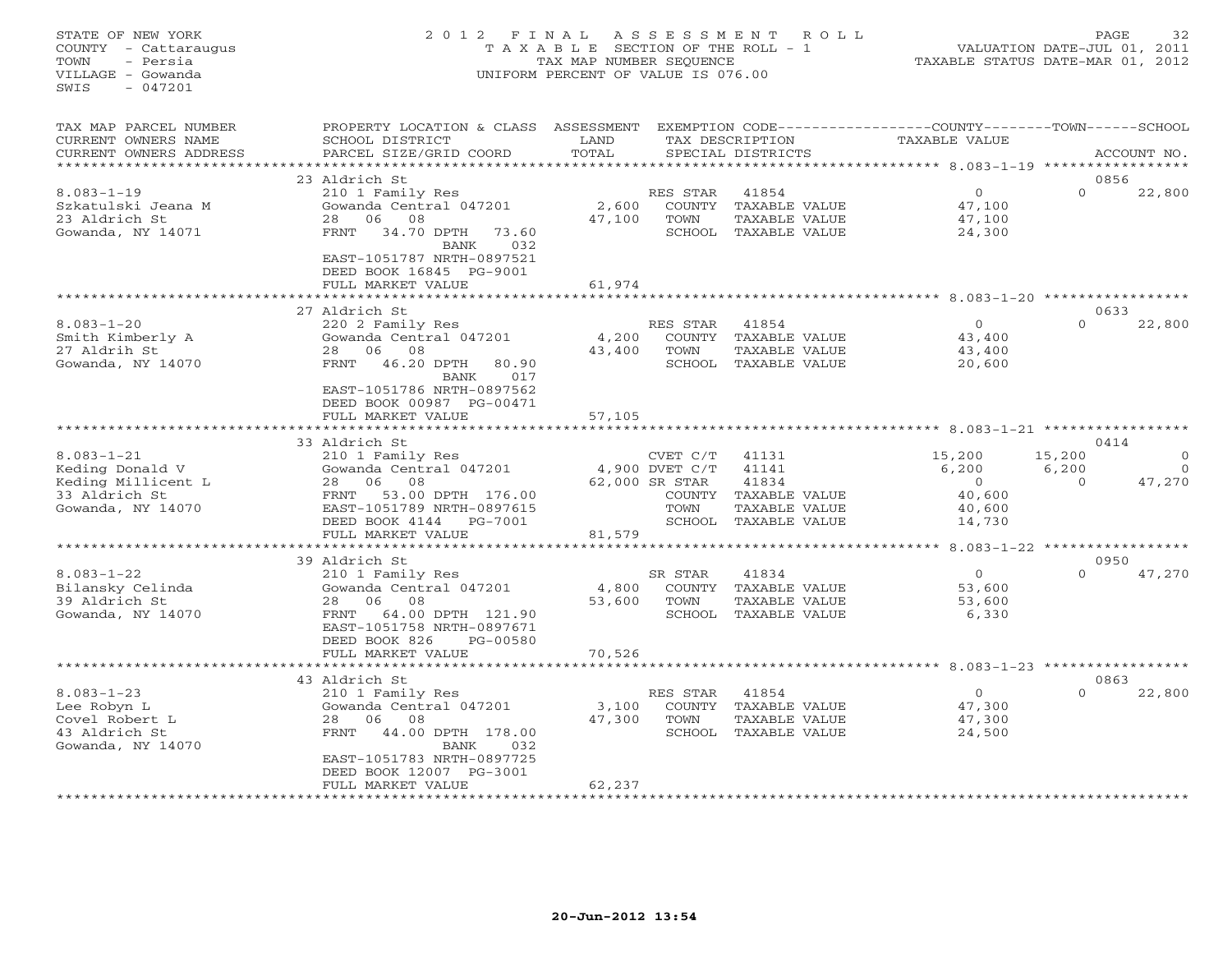# STATE OF NEW YORK 2 0 1 2 F I N A L A S S E S S M E N T R O L L PAGE 32 COUNTY - Cattaraugus T A X A B L E SECTION OF THE ROLL - 1 VALUATION DATE-JUL 01, 2011 TOWN - Persia TAX MAP NUMBER SEQUENCE TAXABLE STATUS DATE-MAR 01, 2012 VILLAGE - Gowanda UNIFORM PERCENT OF VALUE IS 076.00UNIFORM PERCENT OF VALUE IS 076.00

| TAX MAP PARCEL NUMBER<br>CURRENT OWNERS NAME<br>CURRENT OWNERS ADDRESS                          | PROPERTY LOCATION & CLASS ASSESSMENT<br>SCHOOL DISTRICT<br>PARCEL SIZE/GRID COORD                                                                                                           | LAND<br>TOTAL     |                                                                          | TAX DESCRIPTION<br>SPECIAL DISTRICTS                                       | EXEMPTION CODE-----------------COUNTY-------TOWN------SCHOOL<br>TAXABLE VALUE |                               | ACCOUNT NO.        |
|-------------------------------------------------------------------------------------------------|---------------------------------------------------------------------------------------------------------------------------------------------------------------------------------------------|-------------------|--------------------------------------------------------------------------|----------------------------------------------------------------------------|-------------------------------------------------------------------------------|-------------------------------|--------------------|
|                                                                                                 |                                                                                                                                                                                             | * * * * * * * * * |                                                                          |                                                                            | ******************* 8.083-1-19 **********                                     |                               |                    |
| $8.083 - 1 - 19$<br>Szkatulski Jeana M<br>23 Aldrich St<br>Gowanda, NY 14071                    | 23 Aldrich St<br>210 1 Family Res<br>Gowanda Central 047201<br>08<br>28<br>06<br>34.70 DPTH<br>73.60<br>FRNT<br>032<br>BANK<br>EAST-1051787 NRTH-0897521<br>DEED BOOK 16845 PG-9001         | 2,600<br>47,100   | RES STAR<br>COUNTY<br>TOWN                                               | 41854<br>TAXABLE VALUE<br>TAXABLE VALUE<br>SCHOOL TAXABLE VALUE            | $\circ$<br>47,100<br>47,100<br>24,300                                         | 0856<br>$\Omega$              | 22,800             |
|                                                                                                 | FULL MARKET VALUE                                                                                                                                                                           | 61,974            |                                                                          |                                                                            |                                                                               |                               |                    |
| $8.083 - 1 - 20$<br>Smith Kimberly A<br>27 Aldrih St<br>Gowanda, NY 14070                       | 27 Aldrich St<br>220 2 Family Res<br>Gowanda Central 047201<br>28<br>06<br>08<br>46.20 DPTH<br>FRNT<br>80.90<br><b>BANK</b><br>017<br>EAST-1051786 NRTH-0897562<br>DEED BOOK 00987 PG-00471 | 4,200<br>43,400   | RES STAR<br>COUNTY<br>TOWN<br>SCHOOL                                     | 41854<br>TAXABLE VALUE<br>TAXABLE VALUE<br>TAXABLE VALUE                   | $\circ$<br>43,400<br>43,400<br>20,600                                         | 0633<br>$\Omega$              | 22,800             |
|                                                                                                 | FULL MARKET VALUE                                                                                                                                                                           | 57,105            |                                                                          |                                                                            | $8.083 - 1 - 21$ ******                                                       |                               |                    |
|                                                                                                 | 33 Aldrich St                                                                                                                                                                               |                   |                                                                          |                                                                            |                                                                               | 0414                          |                    |
| $8.083 - 1 - 21$<br>Keding Donald V<br>Keding Millicent L<br>33 Aldrich St<br>Gowanda, NY 14070 | 210 1 Family Res<br>Gowanda Central 047201<br>08<br>28 06<br>53.00 DPTH 176.00<br>FRNT<br>EAST-1051789 NRTH-0897615<br>DEED BOOK 4144<br>PG-7001<br>FULL MARKET VALUE                       | 81,579            | CVET C/T<br>4,900 DVET C/T<br>62,000 SR STAR<br>COUNTY<br>TOWN<br>SCHOOL | 41131<br>41141<br>41834<br>TAXABLE VALUE<br>TAXABLE VALUE<br>TAXABLE VALUE | 15,200<br>6,200<br>$\circ$<br>40,600<br>40,600<br>14,730                      | 15,200<br>6,200<br>$\Omega$   | $\Omega$<br>47,270 |
|                                                                                                 |                                                                                                                                                                                             |                   |                                                                          |                                                                            |                                                                               | $8.083 - 1 - 22$ ************ |                    |
| $8.083 - 1 - 22$<br>Bilansky Celinda<br>39 Aldrich St<br>Gowanda, NY 14070                      | 39 Aldrich St<br>210 1 Family Res<br>Gowanda Central 047201<br>06<br>08<br>28<br>64.00 DPTH 121.90<br>FRNT<br>EAST-1051758 NRTH-0897671<br>DEED BOOK 826<br>PG-00580                        | 4,800<br>53,600   | SR STAR<br>COUNTY<br>TOWN<br>SCHOOL                                      | 41834<br>TAXABLE VALUE<br>TAXABLE VALUE<br>TAXABLE VALUE                   | $\circ$<br>53,600<br>53,600<br>6,330                                          | 0950<br>$\Omega$              | 47,270             |
|                                                                                                 | FULL MARKET VALUE<br>*****************                                                                                                                                                      | 70,526            |                                                                          |                                                                            |                                                                               |                               |                    |
| $8.083 - 1 - 23$<br>Lee Robyn L<br>Covel Robert L<br>43 Aldrich St<br>Gowanda, NY 14070         | 43 Aldrich St<br>210 1 Family Res<br>Gowanda Central 047201<br>06<br>08<br>28<br>44.00 DPTH 178.00<br>FRNT<br>BANK<br>032<br>EAST-1051783 NRTH-0897725<br>DEED BOOK 12007 PG-3001           | 3,100<br>47,300   | RES STAR<br>COUNTY<br>TOWN<br>SCHOOL                                     | 41854<br>TAXABLE VALUE<br>TAXABLE VALUE<br>TAXABLE VALUE                   | $\circ$<br>47,300<br>47,300<br>24,500                                         | 0863<br>$\Omega$              | 22,800             |
|                                                                                                 | FULL MARKET VALUE                                                                                                                                                                           | 62,237            |                                                                          |                                                                            |                                                                               |                               |                    |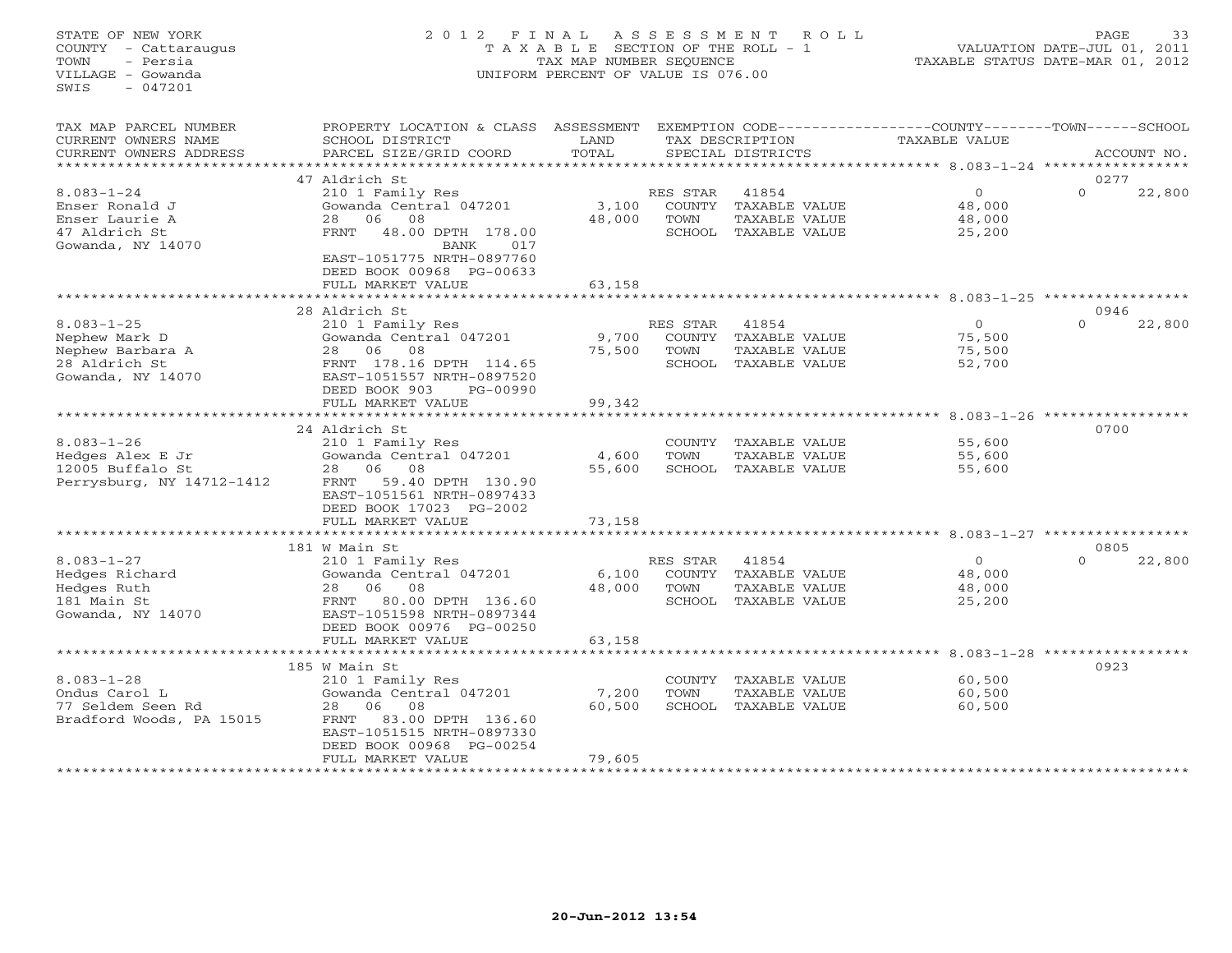## STATE OF NEW YORK 2 0 1 2 F I N A L A S S E S S M E N T R O L L PAGE 33 COUNTY - Cattaraugus T A X A B L E SECTION OF THE ROLL - 1 VALUATION DATE-JUL 01, 2011 TOWN - Persia TAX MAP NUMBER SEQUENCE TAXABLE STATUS DATE-MAR 01, 2012 VILLAGE - Gowanda UNIFORM PERCENT OF VALUE IS 076.00UNIFORM PERCENT OF VALUE IS 076.00

| TAX MAP PARCEL NUMBER<br>CURRENT OWNERS NAME<br>CURRENT OWNERS ADDRESS                      | PROPERTY LOCATION & CLASS<br>SCHOOL DISTRICT<br>PARCEL SIZE/GRID COORD                                                                                                                   | ASSESSMENT<br>LAND<br>TOTAL   |                            | TAX DESCRIPTION<br>SPECIAL DISTRICTS                                   | EXEMPTION CODE-----------------COUNTY-------TOWN------SCHOOL<br><b>TAXABLE VALUE</b> | ACCOUNT NO.                               |
|---------------------------------------------------------------------------------------------|------------------------------------------------------------------------------------------------------------------------------------------------------------------------------------------|-------------------------------|----------------------------|------------------------------------------------------------------------|--------------------------------------------------------------------------------------|-------------------------------------------|
| ******************                                                                          |                                                                                                                                                                                          |                               |                            |                                                                        |                                                                                      |                                           |
| $8.083 - 1 - 24$<br>Enser Ronald J<br>Enser Laurie A<br>47 Aldrich St<br>Gowanda, NY 14070  | 47 Aldrich St<br>210 1 Family Res<br>Gowanda Central 047201<br>08<br>28<br>06<br>FRNT<br>48.00 DPTH 178.00<br>BANK<br>017<br>EAST-1051775 NRTH-0897760<br>DEED BOOK 00968 PG-00633       | 3,100<br>48,000               | RES STAR<br>COUNTY<br>TOWN | 41854<br>TAXABLE VALUE<br>TAXABLE VALUE<br>SCHOOL TAXABLE VALUE        | $\overline{0}$<br>48,000<br>48,000<br>25,200                                         | 0277<br>22,800<br>$\Omega$                |
|                                                                                             | FULL MARKET VALUE                                                                                                                                                                        | 63,158                        |                            |                                                                        |                                                                                      |                                           |
|                                                                                             |                                                                                                                                                                                          |                               |                            |                                                                        | ***************************** 8.083-1-25 ******************                          |                                           |
|                                                                                             | 28 Aldrich St                                                                                                                                                                            |                               |                            |                                                                        |                                                                                      | 0946                                      |
| $8.083 - 1 - 25$<br>Nephew Mark D<br>Nephew Barbara A<br>28 Aldrich St<br>Gowanda, NY 14070 | 210 1 Family Res<br>Gowanda Central 047201<br>08<br>28<br>06<br>FRNT 178.16 DPTH 114.65<br>EAST-1051557 NRTH-0897520<br>DEED BOOK 903<br>PG-00990                                        | 9,700<br>75,500               | RES STAR<br>COUNTY<br>TOWN | 41854<br>TAXABLE VALUE<br>TAXABLE VALUE<br>SCHOOL TAXABLE VALUE        | $\circ$<br>75,500<br>75,500<br>52,700                                                | 22,800<br>$\Omega$                        |
|                                                                                             | FULL MARKET VALUE                                                                                                                                                                        | 99,342<br>******************* |                            |                                                                        |                                                                                      |                                           |
|                                                                                             | 24 Aldrich St                                                                                                                                                                            |                               |                            |                                                                        |                                                                                      | $8.083 - 1 - 26$ ****************<br>0700 |
| $8.083 - 1 - 26$<br>Hedges Alex E Jr<br>12005 Buffalo St<br>Perrysburg, NY 14712-1412       | 210 1 Family Res<br>Gowanda Central 047201<br>28<br>06<br>08<br>59.40 DPTH 130.90<br>FRNT<br>EAST-1051561 NRTH-0897433<br>DEED BOOK 17023 PG-2002                                        | 4,600<br>55,600               | COUNTY<br>TOWN<br>SCHOOL   | TAXABLE VALUE<br>TAXABLE VALUE<br>TAXABLE VALUE                        | 55,600<br>55,600<br>55,600                                                           |                                           |
|                                                                                             | FULL MARKET VALUE                                                                                                                                                                        | 73,158                        |                            |                                                                        |                                                                                      |                                           |
|                                                                                             | *********************<br>181 W Main St                                                                                                                                                   | *******                       |                            |                                                                        | ********************* 8.083-1-27 ************                                        | 0805                                      |
| $8.083 - 1 - 27$<br>Hedges Richard<br>Hedges Ruth<br>181 Main St<br>Gowanda, NY 14070       | 210 1 Family Res<br>Gowanda Central 047201<br>06<br>28<br>08<br>80.00 DPTH 136.60<br>FRNT<br>EAST-1051598 NRTH-0897344<br>DEED BOOK 00976 PG-00250                                       | 6,100<br>48,000               | RES STAR<br>TOWN           | 41854<br>COUNTY TAXABLE VALUE<br>TAXABLE VALUE<br>SCHOOL TAXABLE VALUE | $\Omega$<br>48,000<br>48,000<br>25,200                                               | $\Omega$<br>22,800                        |
|                                                                                             | FULL MARKET VALUE                                                                                                                                                                        | 63,158                        |                            |                                                                        |                                                                                      |                                           |
|                                                                                             |                                                                                                                                                                                          |                               |                            |                                                                        | ****** 8.083-1-28 *                                                                  |                                           |
| $8.083 - 1 - 28$<br>Ondus Carol L<br>77 Seldem Seen Rd<br>Bradford Woods, PA 15015          | 185 W Main St<br>210 1 Family Res<br>Gowanda Central 047201<br>08<br>28<br>06<br>83.00 DPTH 136.60<br>FRNT<br>EAST-1051515 NRTH-0897330<br>DEED BOOK 00968 PG-00254<br>FULL MARKET VALUE | 7,200<br>60,500<br>79,605     | COUNTY<br>TOWN             | TAXABLE VALUE<br>TAXABLE VALUE<br>SCHOOL TAXABLE VALUE                 | 60,500<br>60,500<br>60,500                                                           | 0923                                      |
|                                                                                             |                                                                                                                                                                                          |                               |                            |                                                                        |                                                                                      |                                           |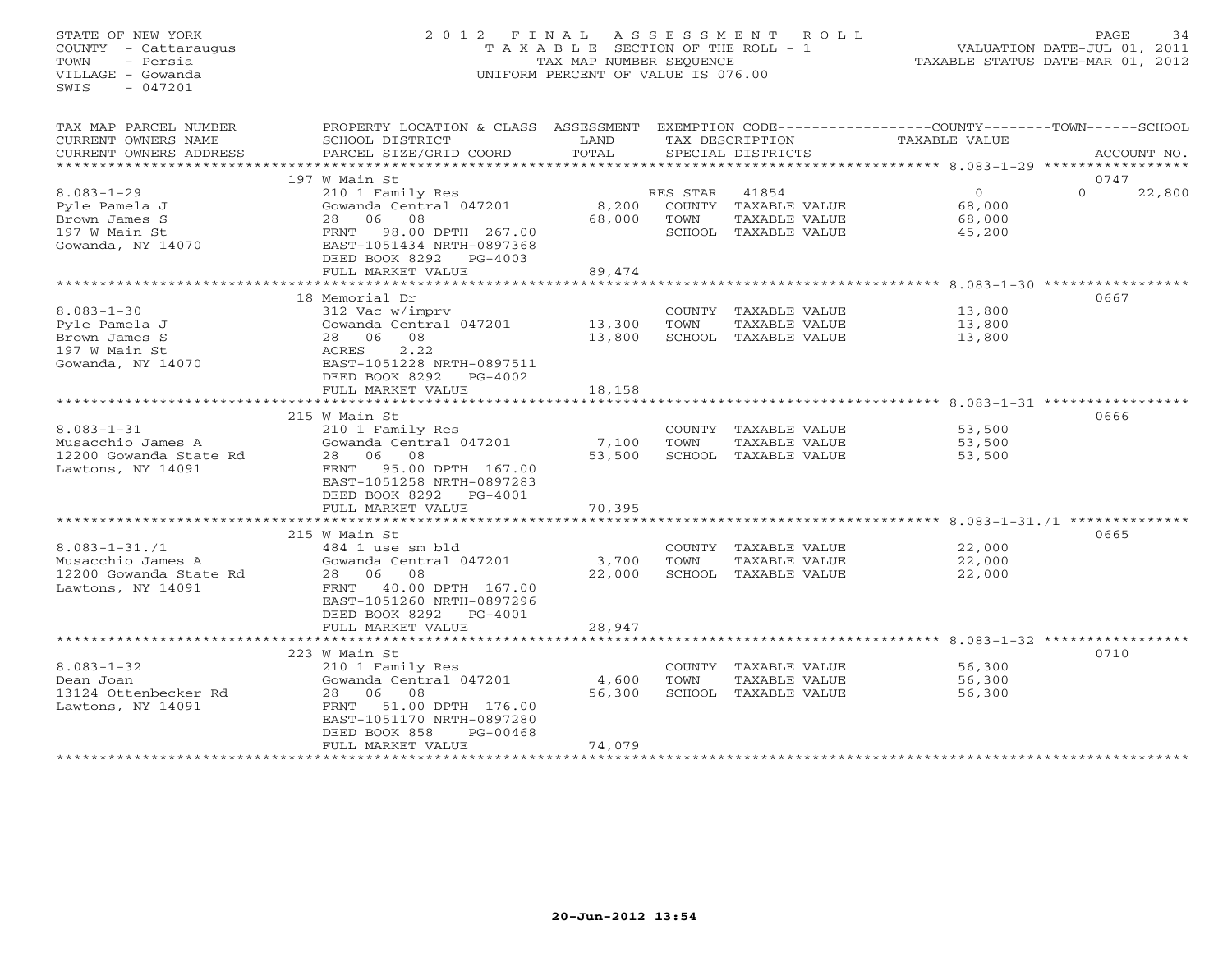# STATE OF NEW YORK 2 0 1 2 F I N A L A S S E S S M E N T R O L L PAGE 34 COUNTY - Cattaraugus T A X A B L E SECTION OF THE ROLL - 1 VALUATION DATE-JUL 01, 2011 TOWN - Persia TAX MAP NUMBER SEQUENCE TAXABLE STATUS DATE-MAR 01, 2012 VILLAGE - Gowanda UNIFORM PERCENT OF VALUE IS 076.00UNIFORM PERCENT OF VALUE IS 076.00

| TAX MAP PARCEL NUMBER<br>CURRENT OWNERS NAME<br>CURRENT OWNERS ADDRESS | PROPERTY LOCATION & CLASS ASSESSMENT<br>SCHOOL DISTRICT<br>PARCEL SIZE/GRID COORD | LAND<br>TOTAL |          | TAX DESCRIPTION<br>SPECIAL DISTRICTS | EXEMPTION CODE-----------------COUNTY-------TOWN------SCHOOL<br>TAXABLE VALUE | ACCOUNT NO.        |
|------------------------------------------------------------------------|-----------------------------------------------------------------------------------|---------------|----------|--------------------------------------|-------------------------------------------------------------------------------|--------------------|
|                                                                        |                                                                                   |               |          |                                      |                                                                               |                    |
|                                                                        | 197 W Main St                                                                     |               |          |                                      |                                                                               | 0747               |
| $8.083 - 1 - 29$                                                       | 210 1 Family Res                                                                  |               | RES STAR | 41854                                | $\overline{0}$                                                                | $\Omega$<br>22,800 |
| Pyle Pamela J                                                          | Gowanda Central 047201                                                            | 8,200         |          | COUNTY TAXABLE VALUE                 | 68,000                                                                        |                    |
| Brown James S                                                          | 28 06 08                                                                          | 68,000        | TOWN     | TAXABLE VALUE                        | 68,000                                                                        |                    |
| 197 W Main St                                                          | 98.00 DPTH 267.00<br>FRNT                                                         |               |          | SCHOOL TAXABLE VALUE                 | 45,200                                                                        |                    |
| Gowanda, NY 14070                                                      | EAST-1051434 NRTH-0897368                                                         |               |          |                                      |                                                                               |                    |
|                                                                        | DEED BOOK 8292 PG-4003                                                            |               |          |                                      |                                                                               |                    |
|                                                                        | FULL MARKET VALUE                                                                 | 89,474        |          |                                      |                                                                               |                    |
|                                                                        |                                                                                   |               |          |                                      |                                                                               |                    |
|                                                                        | 18 Memorial Dr                                                                    |               |          |                                      |                                                                               | 0667               |
| $8.083 - 1 - 30$                                                       | 312 Vac w/imprv                                                                   |               |          | COUNTY TAXABLE VALUE                 | 13,800                                                                        |                    |
| Pyle Pamela J                                                          | Gowanda Central 047201 13,300                                                     |               | TOWN     | TAXABLE VALUE                        | 13,800                                                                        |                    |
| Brown James S                                                          | 08<br>28 06                                                                       | 13,800        |          | SCHOOL TAXABLE VALUE                 | 13,800                                                                        |                    |
| 197 W Main St                                                          | 2.22<br>ACRES                                                                     |               |          |                                      |                                                                               |                    |
| Gowanda, NY 14070                                                      | EAST-1051228 NRTH-0897511                                                         |               |          |                                      |                                                                               |                    |
|                                                                        | DEED BOOK 8292<br>$PG-4002$                                                       |               |          |                                      |                                                                               |                    |
|                                                                        | FULL MARKET VALUE                                                                 | 18,158        |          |                                      |                                                                               |                    |
|                                                                        |                                                                                   |               |          |                                      |                                                                               |                    |
|                                                                        | 215 W Main St                                                                     |               |          |                                      |                                                                               | 0666               |
| $8.083 - 1 - 31$                                                       | 210 1 Family Res                                                                  |               |          | COUNTY TAXABLE VALUE                 | 53,500                                                                        |                    |
| Musacchio James A                                                      | Gowanda Central 047201                                                            | 7,100         | TOWN     | TAXABLE VALUE                        | 53,500                                                                        |                    |
| 12200 Gowanda State Rd                                                 | 28 06 08                                                                          | 53,500        |          | SCHOOL TAXABLE VALUE                 | 53,500                                                                        |                    |
| Lawtons, NY 14091                                                      | FRNT 95.00 DPTH 167.00                                                            |               |          |                                      |                                                                               |                    |
|                                                                        | EAST-1051258 NRTH-0897283                                                         |               |          |                                      |                                                                               |                    |
|                                                                        | DEED BOOK 8292 PG-4001                                                            |               |          |                                      |                                                                               |                    |
|                                                                        | FULL MARKET VALUE                                                                 | 70,395        |          |                                      |                                                                               |                    |
|                                                                        |                                                                                   |               |          |                                      |                                                                               |                    |
|                                                                        | 215 W Main St                                                                     |               |          |                                      |                                                                               | 0665               |
| $8.083 - 1 - 31.71$                                                    | 484 1 use sm bld                                                                  |               |          | COUNTY TAXABLE VALUE                 | 22,000                                                                        |                    |
| Musacchio James A                                                      | Gowanda Central 047201                                                            | 3,700         | TOWN     | TAXABLE VALUE                        | 22,000                                                                        |                    |
| 12200 Gowanda State Rd                                                 | 28 06 08                                                                          | 22,000        |          | SCHOOL TAXABLE VALUE                 | 22,000                                                                        |                    |
| Lawtons, NY 14091                                                      | 40.00 DPTH 167.00<br>FRNT                                                         |               |          |                                      |                                                                               |                    |
|                                                                        | EAST-1051260 NRTH-0897296                                                         |               |          |                                      |                                                                               |                    |
|                                                                        | DEED BOOK 8292<br>PG-4001                                                         |               |          |                                      |                                                                               |                    |
|                                                                        | FULL MARKET VALUE                                                                 | 28,947        |          |                                      |                                                                               |                    |
|                                                                        |                                                                                   |               |          |                                      |                                                                               |                    |
|                                                                        | 223 W Main St                                                                     |               |          |                                      |                                                                               | 0710               |
| $8.083 - 1 - 32$                                                       | 210 1 Family Res                                                                  |               |          | COUNTY TAXABLE VALUE                 | 56,300                                                                        |                    |
| Dean Joan                                                              | Gowanda Central 047201                                                            | 4,600         | TOWN     | TAXABLE VALUE                        | 56,300                                                                        |                    |
| 13124 Ottenbecker Rd                                                   | 28 06 08                                                                          | 56,300        |          | SCHOOL TAXABLE VALUE                 | 56,300                                                                        |                    |
| Lawtons, NY 14091                                                      | 51.00 DPTH 176.00<br>FRNT                                                         |               |          |                                      |                                                                               |                    |
|                                                                        | EAST-1051170 NRTH-0897280                                                         |               |          |                                      |                                                                               |                    |
|                                                                        | DEED BOOK 858<br>$PG-00468$                                                       |               |          |                                      |                                                                               |                    |
|                                                                        | FULL MARKET VALUE                                                                 | 74,079        |          |                                      |                                                                               |                    |
| *********************                                                  |                                                                                   |               |          |                                      |                                                                               |                    |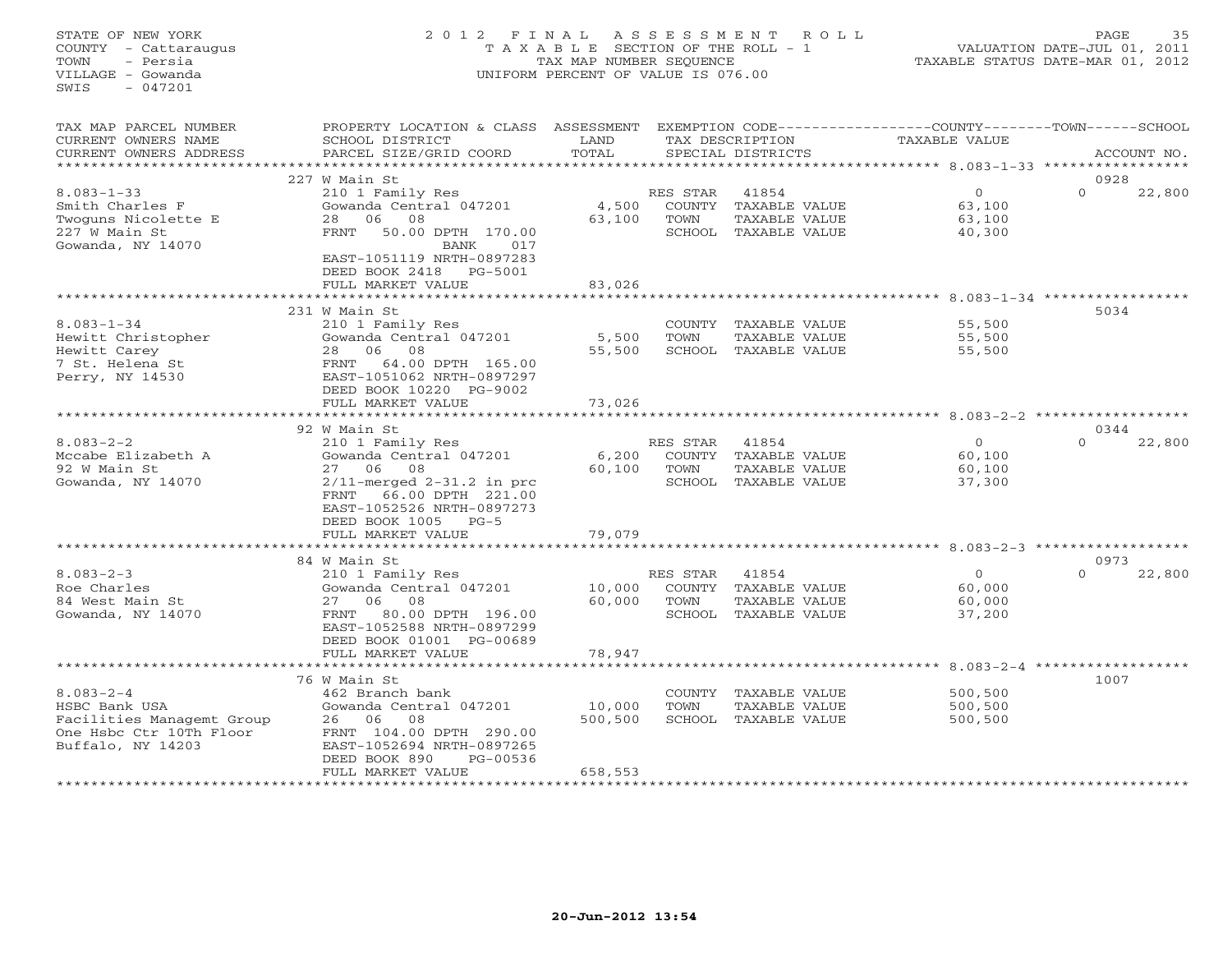# STATE OF NEW YORK 2 0 1 2 F I N A L A S S E S S M E N T R O L L PAGE 35 COUNTY - Cattaraugus T A X A B L E SECTION OF THE ROLL - 1 VALUATION DATE-JUL 01, 2011 TOWN - Persia TAX MAP NUMBER SEQUENCE TAXABLE STATUS DATE-MAR 01, 2012 VILLAGE - Gowanda UNIFORM PERCENT OF VALUE IS 076.00UNIFORM PERCENT OF VALUE IS 076.00

| TAX MAP PARCEL NUMBER<br>CURRENT OWNERS NAME<br>CURRENT OWNERS ADDRESS                                        | PROPERTY LOCATION & CLASS ASSESSMENT<br>SCHOOL DISTRICT<br>PARCEL SIZE/GRID COORD                                                                                                                                 | LAND<br>TOTAL                |                            | TAX DESCRIPTION<br>SPECIAL DISTRICTS                                   | EXEMPTION CODE----------------COUNTY-------TOWN-----SCHOOL<br>TAXABLE VALUE | ACCOUNT NO.                |
|---------------------------------------------------------------------------------------------------------------|-------------------------------------------------------------------------------------------------------------------------------------------------------------------------------------------------------------------|------------------------------|----------------------------|------------------------------------------------------------------------|-----------------------------------------------------------------------------|----------------------------|
| ********************                                                                                          |                                                                                                                                                                                                                   |                              |                            |                                                                        |                                                                             |                            |
| $8.083 - 1 - 33$<br>Smith Charles F<br>Twoguns Nicolette E<br>227 W Main St<br>Gowanda, NY 14070              | 227 W Main St<br>210 1 Family Res<br>Gowanda Central 047201<br>06<br>08<br>28<br>50.00 DPTH 170.00<br>FRNT<br>017<br>BANK<br>EAST-1051119 NRTH-0897283<br>DEED BOOK 2418<br>PG-5001<br>FULL MARKET VALUE          | 4,500<br>63,100<br>83,026    | RES STAR<br>COUNTY<br>TOWN | 41854<br>TAXABLE VALUE<br>TAXABLE VALUE<br>SCHOOL TAXABLE VALUE        | $\circ$<br>63,100<br>63,100<br>40,300                                       | 0928<br>$\Omega$<br>22,800 |
|                                                                                                               | ************************                                                                                                                                                                                          | ************                 |                            |                                                                        |                                                                             |                            |
| $8.083 - 1 - 34$<br>Hewitt Christopher<br>Hewitt Carey<br>7 St. Helena St<br>Perry, NY 14530                  | 231 W Main St<br>210 1 Family Res<br>Gowanda Central 047201<br>06<br>08<br>28<br>64.00 DPTH 165.00<br>FRNT<br>EAST-1051062 NRTH-0897297<br>DEED BOOK 10220 PG-9002                                                | 5,500<br>55,500              | TOWN                       | COUNTY TAXABLE VALUE<br>TAXABLE VALUE<br>SCHOOL TAXABLE VALUE          | 55,500<br>55,500<br>55,500                                                  | 5034                       |
|                                                                                                               | FULL MARKET VALUE                                                                                                                                                                                                 | 73,026                       |                            |                                                                        |                                                                             |                            |
|                                                                                                               |                                                                                                                                                                                                                   |                              |                            |                                                                        | *************************** 8.083-2-2 *******************                   |                            |
| $8.083 - 2 - 2$<br>Mccabe Elizabeth A<br>92 W Main St<br>Gowanda, NY 14070                                    | 92 W Main St<br>210 1 Family Res<br>Gowanda Central 047201<br>27 06<br>08<br>$2/11$ -merged $2-31.2$ in prc<br>FRNT<br>66.00 DPTH 221.00<br>EAST-1052526 NRTH-0897273<br>DEED BOOK 1005 PG-5<br>FULL MARKET VALUE | 6,200<br>60,100<br>79,079    | RES STAR<br>TOWN           | 41854<br>COUNTY TAXABLE VALUE<br>TAXABLE VALUE<br>SCHOOL TAXABLE VALUE | $\circ$<br>60,100<br>60,100<br>37,300                                       | 0344<br>22,800<br>$\Omega$ |
|                                                                                                               |                                                                                                                                                                                                                   |                              |                            |                                                                        |                                                                             |                            |
| $8.083 - 2 - 3$<br>Roe Charles<br>84 West Main St<br>Gowanda, NY 14070                                        | 84 W Main St<br>210 1 Family Res<br>Gowanda Central 047201<br>08<br>27 06<br>80.00 DPTH 196.00<br>FRNT<br>EAST-1052588 NRTH-0897299<br>DEED BOOK 01001 PG-00689                                                   | 10,000<br>60,000             | RES STAR<br>TOWN           | 41854<br>COUNTY TAXABLE VALUE<br>TAXABLE VALUE<br>SCHOOL TAXABLE VALUE | $\circ$<br>60,000<br>60,000<br>37,200                                       | 0973<br>$\Omega$<br>22,800 |
|                                                                                                               | FULL MARKET VALUE                                                                                                                                                                                                 | 78,947                       |                            |                                                                        | $8.083 - 2 - 4$                                                             |                            |
| $8.083 - 2 - 4$<br>HSBC Bank USA<br>Facilities Managemt Group<br>One Hsbc Ctr 10Th Floor<br>Buffalo, NY 14203 | 76 W Main St<br>462 Branch bank<br>Gowanda Central 047201<br>06<br>08<br>26<br>FRNT 104.00 DPTH 290.00<br>EAST-1052694 NRTH-0897265<br>DEED BOOK 890<br>PG-00536<br>FULL MARKET VALUE                             | 10,000<br>500,500<br>658,553 | COUNTY<br>TOWN             | TAXABLE VALUE<br>TAXABLE VALUE<br>SCHOOL TAXABLE VALUE                 | 500,500<br>500,500<br>500,500                                               | 1007                       |
|                                                                                                               |                                                                                                                                                                                                                   |                              |                            |                                                                        |                                                                             |                            |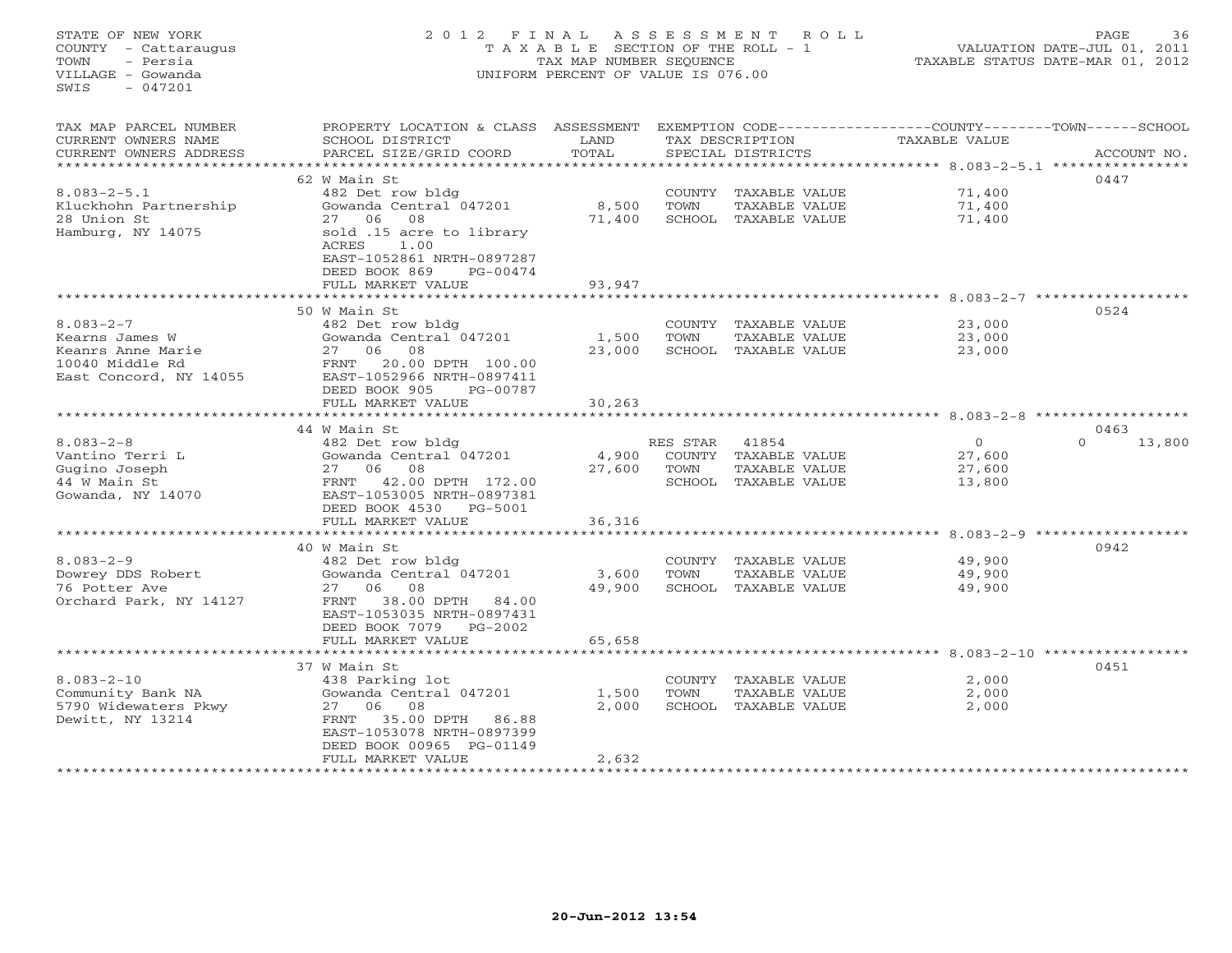STATE OF NEW YORK 2 0 1 2 F I N A L A S S E S S M E N T R O L L PAGE 36 COUNTY - Cattaraugus T A X A B L E SECTION OF THE ROLL - 1 VALUATION DATE-JUL 01, 2011 TOWN - Persia TAX MAP NUMBER SEQUENCE TAXABLE STATUS DATE-MAR 01, 2012 VILLAGE - Gowanda UNIFORM PERCENT OF VALUE IS 076.00  $SWTS = 047201$ TAX MAP PARCEL NUMBER PROPERTY LOCATION & CLASS ASSESSMENT EXEMPTION CODE------------------COUNTY--------TOWN------SCHOOL CURRENT OWNERS NAME SCHOOL DISTRICT LAND TAX DESCRIPTION TAXABLE VALUE CURRENT OWNERS ADDRESS 6 PARCEL SIZE/GRID COORD TOTAL SPECIAL DISTRICTS 6 2000 ACCOUNT NO. \*\*\*\*\*\*\*\*\*\*\*\*\*\*\*\*\*\*\*\*\*\*\*\*\*\*\*\*\*\*\*\*\*\*\*\*\*\*\*\*\*\*\*\*\*\*\*\*\*\*\*\*\*\*\*\*\*\*\*\*\*\*\*\*\*\*\*\*\*\*\*\*\*\*\*\*\*\*\*\*\*\*\*\*\*\*\*\*\*\*\*\*\*\*\*\*\*\*\*\*\*\*\* 8.083-2-5.1 \*\*\*\*\*\*\*\*\*\*\*\*\*\*\*\* 62 W Main St 04478.083-2-5.1 482 Det row bldg COUNTY TAXABLE VALUE 71,400 Kluckhohn Partnership Gowanda Central 047201 8,500 TOWN TAXABLE VALUE 71,400 28 Union St 27 06 08 71,400 SCHOOL TAXABLE VALUE 71,400 Hamburg, NY 14075 sold .15 acre to library ACRES 1.00 EAST-1052861 NRTH-0897287 DEED BOOK 869 PG-00474 FULL MARKET VALUE 93,947 \*\*\*\*\*\*\*\*\*\*\*\*\*\*\*\*\*\*\*\*\*\*\*\*\*\*\*\*\*\*\*\*\*\*\*\*\*\*\*\*\*\*\*\*\*\*\*\*\*\*\*\*\*\*\*\*\*\*\*\*\*\*\*\*\*\*\*\*\*\*\*\*\*\*\*\*\*\*\*\*\*\*\*\*\*\*\*\*\*\*\*\*\*\*\*\*\*\*\*\*\*\*\* 8.083-2-7 \*\*\*\*\*\*\*\*\*\*\*\*\*\*\*\*\*\* 50 W Main St 05248.083-2-7 482 Det row bldg COUNTY TAXABLE VALUE 23,000 Kearns James W Gowanda Central 047201 1,500 TOWN TAXABLE VALUE 23,000 Keanrs Anne Marie 27 06 08 23,000 SCHOOL TAXABLE VALUE 23,000 10040 Middle Rd FRNT 20.00 DPTH 100.00 East Concord, NY 14055 EAST-1052966 NRTH-0897411 DEED BOOK 905 PG-00787 FULL MARKET VALUE 30,263 \*\*\*\*\*\*\*\*\*\*\*\*\*\*\*\*\*\*\*\*\*\*\*\*\*\*\*\*\*\*\*\*\*\*\*\*\*\*\*\*\*\*\*\*\*\*\*\*\*\*\*\*\*\*\*\*\*\*\*\*\*\*\*\*\*\*\*\*\*\*\*\*\*\*\*\*\*\*\*\*\*\*\*\*\*\*\*\*\*\*\*\*\*\*\*\*\*\*\*\*\*\*\* 8.083-2-8 \*\*\*\*\*\*\*\*\*\*\*\*\*\*\*\*\*\* 44 W Main St 0463 $0 \t 13,800$ 8.083-2-8 482 Det row bldg RES STAR 41854 0 0 13,800 Vantino Terri L Gowanda Central 047201 4,900 COUNTY TAXABLE VALUE 27,600 Gugino Joseph 27 06 08 27,600 TOWN TAXABLE VALUE 27,600 44 W Main St FRNT 42.00 DPTH 172.00 SCHOOL TAXABLE VALUE 13,800 Gowanda, NY 14070 EAST-1053005 NRTH-0897381 DEED BOOK 4530 PG-5001 FULL MARKET VALUE 36,316 \*\*\*\*\*\*\*\*\*\*\*\*\*\*\*\*\*\*\*\*\*\*\*\*\*\*\*\*\*\*\*\*\*\*\*\*\*\*\*\*\*\*\*\*\*\*\*\*\*\*\*\*\*\*\*\*\*\*\*\*\*\*\*\*\*\*\*\*\*\*\*\*\*\*\*\*\*\*\*\*\*\*\*\*\*\*\*\*\*\*\*\*\*\*\*\*\*\*\*\*\*\*\* 8.083-2-9 \*\*\*\*\*\*\*\*\*\*\*\*\*\*\*\*\*\* 40 W Main St 09428.083-2-9 482 Det row bldg COUNTY TAXABLE VALUE 49,900 Dowrey DDS Robert Gowanda Central 047201 3,600 TOWN TAXABLE VALUE 49,900 76 Potter Ave 27 06 08 49,900 SCHOOL TAXABLE VALUE 49,900 Orchard Park, NY 14127 FRNT 38.00 DPTH 84.00 EAST-1053035 NRTH-0897431 DEED BOOK 7079 PG-2002 FULL MARKET VALUE 65,658 \*\*\*\*\*\*\*\*\*\*\*\*\*\*\*\*\*\*\*\*\*\*\*\*\*\*\*\*\*\*\*\*\*\*\*\*\*\*\*\*\*\*\*\*\*\*\*\*\*\*\*\*\*\*\*\*\*\*\*\*\*\*\*\*\*\*\*\*\*\*\*\*\*\*\*\*\*\*\*\*\*\*\*\*\*\*\*\*\*\*\*\*\*\*\*\*\*\*\*\*\*\*\* 8.083-2-10 \*\*\*\*\*\*\*\*\*\*\*\*\*\*\*\*\* 37 W Main St 04518.083-2-10 438 Parking lot COUNTY TAXABLE VALUE 2,000 Community Bank NA Gowanda Central 047201 1,500 TOWN TAXABLE VALUE 2,000 5790 Widewaters Pkwy 27 06 08 2,000 SCHOOL TAXABLE VALUE 2,000 Dewitt, NY 13214 FRNT 35.00 DPTH 86.88 EAST-1053078 NRTH-0897399 DEED BOOK 00965 PG-01149 FULL MARKET VALUE 2,632 \*\*\*\*\*\*\*\*\*\*\*\*\*\*\*\*\*\*\*\*\*\*\*\*\*\*\*\*\*\*\*\*\*\*\*\*\*\*\*\*\*\*\*\*\*\*\*\*\*\*\*\*\*\*\*\*\*\*\*\*\*\*\*\*\*\*\*\*\*\*\*\*\*\*\*\*\*\*\*\*\*\*\*\*\*\*\*\*\*\*\*\*\*\*\*\*\*\*\*\*\*\*\*\*\*\*\*\*\*\*\*\*\*\*\*\*\*\*\*\*\*\*\*\*\*\*\*\*\*\*\*\*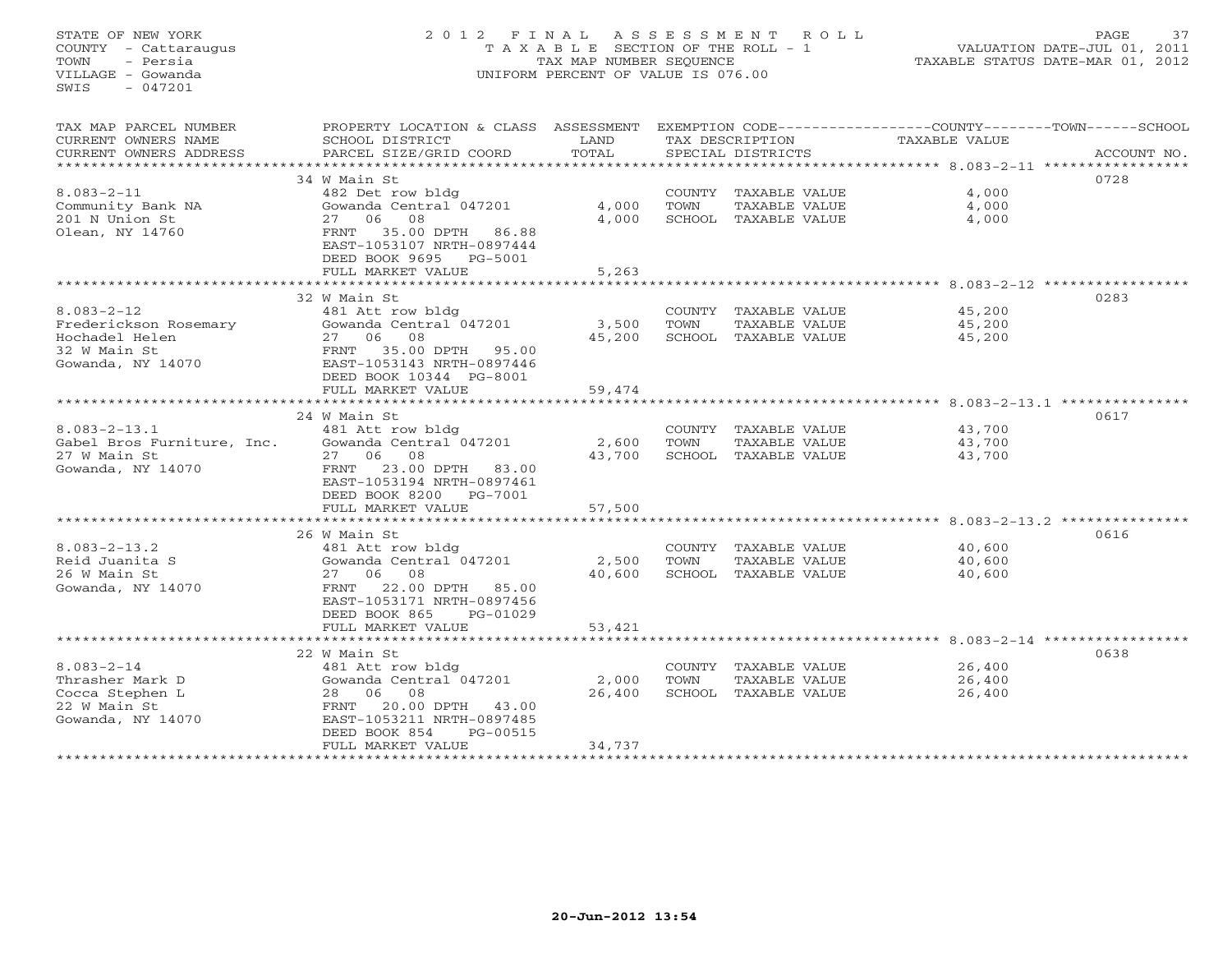# STATE OF NEW YORK 2 0 1 2 F I N A L A S S E S S M E N T R O L L PAGE 37 COUNTY - Cattaraugus T A X A B L E SECTION OF THE ROLL - 1 VALUATION DATE-JUL 01, 2011 TOWN - Persia TAX MAP NUMBER SEQUENCE TAXABLE STATUS DATE-MAR 01, 2012 VILLAGE - Gowanda UNIFORM PERCENT OF VALUE IS 076.00

| TAX MAP PARCEL NUMBER             | PROPERTY LOCATION & CLASS ASSESSMENT                     |        |        |                      | EXEMPTION CODE----------------COUNTY-------TOWN------SCHOOL |             |
|-----------------------------------|----------------------------------------------------------|--------|--------|----------------------|-------------------------------------------------------------|-------------|
| CURRENT OWNERS NAME               | SCHOOL DISTRICT                                          | LAND   |        | TAX DESCRIPTION      | TAXABLE VALUE                                               |             |
| CURRENT OWNERS ADDRESS            | PARCEL SIZE/GRID COORD                                   | TOTAL  |        | SPECIAL DISTRICTS    |                                                             | ACCOUNT NO. |
| ************************          |                                                          |        |        |                      |                                                             |             |
|                                   | 34 W Main St                                             |        |        |                      |                                                             | 0728        |
| $8.083 - 2 - 11$                  | 482 Det row bldg                                         |        |        | COUNTY TAXABLE VALUE | 4,000                                                       |             |
| Community Bank NA                 | Gowanda Central 047201                                   | 4,000  | TOWN   | TAXABLE VALUE        | 4,000                                                       |             |
| 201 N Union St                    | 27 06<br>08                                              | 4,000  |        | SCHOOL TAXABLE VALUE | 4,000                                                       |             |
| Olean, NY 14760                   | 35.00 DPTH<br>86.88<br>FRNT                              |        |        |                      |                                                             |             |
|                                   | EAST-1053107 NRTH-0897444                                |        |        |                      |                                                             |             |
|                                   | DEED BOOK 9695 PG-5001                                   |        |        |                      |                                                             |             |
|                                   | FULL MARKET VALUE                                        | 5,263  |        |                      |                                                             |             |
|                                   |                                                          |        |        |                      | ******************* 8.083-2-12 ************                 |             |
|                                   | 32 W Main St                                             |        |        |                      |                                                             | 0283        |
| $8.083 - 2 - 12$                  | 481 Att row bldg                                         |        | COUNTY | TAXABLE VALUE        | 45,200                                                      |             |
| Frederickson Rosemary             | Gowanda Central 047201                                   | 3,500  | TOWN   | TAXABLE VALUE        | 45,200                                                      |             |
| Hochadel Helen                    | 27 06<br>08                                              | 45,200 |        | SCHOOL TAXABLE VALUE | 45,200                                                      |             |
| 32 W Main St                      | FRNT 35.00 DPTH 95.00                                    |        |        |                      |                                                             |             |
| Gowanda, NY 14070                 | EAST-1053143 NRTH-0897446                                |        |        |                      |                                                             |             |
|                                   | DEED BOOK 10344 PG-8001                                  |        |        |                      |                                                             |             |
|                                   | FULL MARKET VALUE                                        | 59,474 |        |                      |                                                             |             |
|                                   |                                                          |        |        |                      |                                                             |             |
|                                   | 24 W Main St                                             |        |        |                      |                                                             | 0617        |
| $8.083 - 2 - 13.1$                | 481 Att row bldg                                         |        |        | COUNTY TAXABLE VALUE | 43,700                                                      |             |
| Gabel Bros Furniture, Inc.        | Gowanda Central 047201                                   | 2,600  | TOWN   | TAXABLE VALUE        | 43,700                                                      |             |
| 27 W Main St                      | 27 06<br>08                                              | 43,700 |        | SCHOOL TAXABLE VALUE | 43,700                                                      |             |
| Gowanda, NY 14070                 | 23.00 DPTH 83.00<br>FRNT                                 |        |        |                      |                                                             |             |
|                                   | EAST-1053194 NRTH-0897461                                |        |        |                      |                                                             |             |
|                                   | DEED BOOK 8200 PG-7001                                   |        |        |                      |                                                             |             |
|                                   | FULL MARKET VALUE                                        | 57,500 |        |                      |                                                             |             |
|                                   |                                                          |        |        |                      |                                                             |             |
|                                   | 26 W Main St                                             |        |        |                      |                                                             | 0616        |
| $8.083 - 2 - 13.2$                | 481 Att row bldg                                         |        |        | COUNTY TAXABLE VALUE | 40,600                                                      |             |
| Reid Juanita S                    | Gowanda Central 047201                                   | 2,500  | TOWN   | TAXABLE VALUE        | 40,600                                                      |             |
| 26 W Main St                      | 27 06 08                                                 | 40,600 |        | SCHOOL TAXABLE VALUE | 40,600                                                      |             |
| Gowanda, NY 14070                 | 22.00 DPTH 85.00<br>FRNT                                 |        |        |                      |                                                             |             |
|                                   | EAST-1053171 NRTH-0897456                                |        |        |                      |                                                             |             |
|                                   | DEED BOOK 865<br>PG-01029                                |        |        |                      |                                                             |             |
|                                   | FULL MARKET VALUE<br>*********************************** | 53,421 |        |                      |                                                             |             |
|                                   |                                                          |        |        |                      |                                                             |             |
|                                   | 22 W Main St                                             |        |        |                      |                                                             | 0638        |
| $8.083 - 2 - 14$                  | 481 Att row bldg                                         |        |        | COUNTY TAXABLE VALUE | 26,400                                                      |             |
| Thrasher Mark D                   | Gowanda Central 047201                                   | 2,000  | TOWN   | TAXABLE VALUE        | 26,400                                                      |             |
| Cocca Stephen L                   | 28 06<br>08                                              | 26,400 |        | SCHOOL TAXABLE VALUE | 26,400                                                      |             |
| 22 W Main St<br>Gowanda, NY 14070 | 20.00 DPTH<br>43.00<br>FRNT<br>EAST-1053211 NRTH-0897485 |        |        |                      |                                                             |             |
|                                   | PG-00515<br>DEED BOOK 854                                |        |        |                      |                                                             |             |
|                                   | FULL MARKET VALUE                                        | 34,737 |        |                      |                                                             |             |
|                                   |                                                          |        |        |                      |                                                             |             |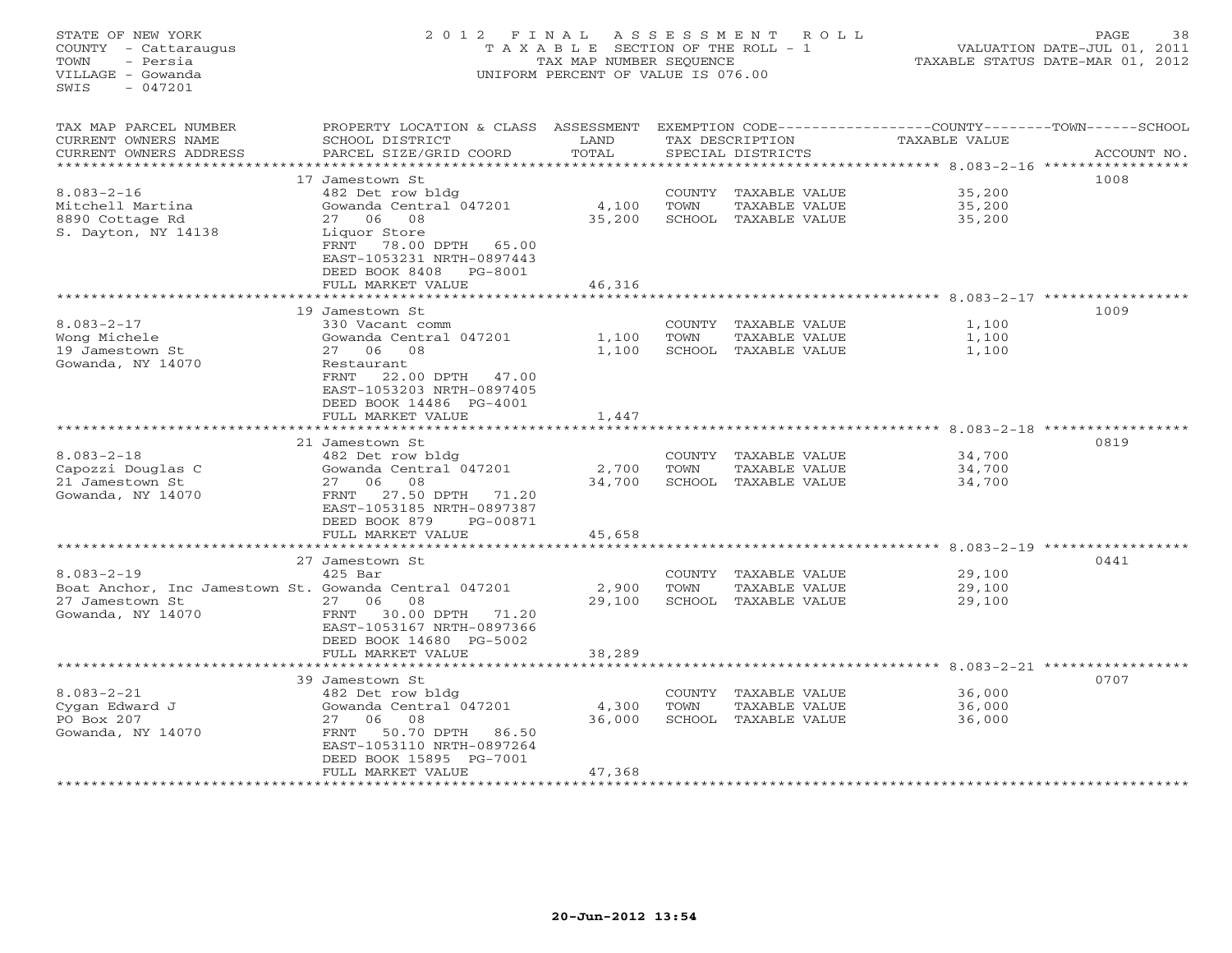STATE OF NEW YORK 2 0 1 2 F I N A L A S S E S S M E N T R O L L PAGE 38 COUNTY - Cattaraugus T A X A B L E SECTION OF THE ROLL - 1 VALUATION DATE-JUL 01, 2011 TOWN - Persia TAX MAP NUMBER SEQUENCE TAXABLE STATUS DATE-MAR 01, 2012 VILLAGE - Gowanda UNIFORM PERCENT OF VALUE IS 076.00  $SWTS = 047201$ TAX MAP PARCEL NUMBER PROPERTY LOCATION & CLASS ASSESSMENT EXEMPTION CODE------------------COUNTY--------TOWN------SCHOOL CURRENT OWNERS NAME SCHOOL DISTRICT LAND TAX DESCRIPTION TAXABLE VALUE CURRENT OWNERS ADDRESS BARCEL SIZE/GRID COORD TOTAL SPECIAL DISTRICTS SACCOUNT NO. \*\*\*\*\*\*\*\*\*\*\*\*\*\*\*\*\*\*\*\*\*\*\*\*\*\*\*\*\*\*\*\*\*\*\*\*\*\*\*\*\*\*\*\*\*\*\*\*\*\*\*\*\*\*\*\*\*\*\*\*\*\*\*\*\*\*\*\*\*\*\*\*\*\*\*\*\*\*\*\*\*\*\*\*\*\*\*\*\*\*\*\*\*\*\*\*\*\*\*\*\*\*\* 8.083-2-16 \*\*\*\*\*\*\*\*\*\*\*\*\*\*\*\*\* 17 Jamestown St 10088.083-2-16 482 Det row bldg COUNTY TAXABLE VALUE 35,200 Mitchell Martina Gowanda Central 047201 4,100 TOWN TAXABLE VALUE 35,200 8890 Cottage Rd 27 06 08 35,200 SCHOOL TAXABLE VALUE 35,200 S. Dayton, NY 14138 Liquor Store FRNT 78.00 DPTH 65.00 EAST-1053231 NRTH-0897443 DEED BOOK 8408 PG-8001FULL MARKET VALUE 46,316 \*\*\*\*\*\*\*\*\*\*\*\*\*\*\*\*\*\*\*\*\*\*\*\*\*\*\*\*\*\*\*\*\*\*\*\*\*\*\*\*\*\*\*\*\*\*\*\*\*\*\*\*\*\*\*\*\*\*\*\*\*\*\*\*\*\*\*\*\*\*\*\*\*\*\*\*\*\*\*\*\*\*\*\*\*\*\*\*\*\*\*\*\*\*\*\*\*\*\*\*\*\*\* 8.083-2-17 \*\*\*\*\*\*\*\*\*\*\*\*\*\*\*\*\* 19 Jamestown St 10098.083-2-17 330 Vacant comm COUNTY TAXABLE VALUE 1,100 Wong Michele Gowanda Central 047201 1,100 TOWN TAXABLE VALUE 1,100 19 Jamestown St 27 06 08 1,100 SCHOOL TAXABLE VALUE 1,100 8.083-2-17<br>Wong Michele<br>19 Jamestown St<br>Gowanda, NY 14070 FRNT 22.00 DPTH 47.00 EAST-1053203 NRTH-0897405 DEED BOOK 14486 PG-4001FULL MARKET VALUE 1,447 \*\*\*\*\*\*\*\*\*\*\*\*\*\*\*\*\*\*\*\*\*\*\*\*\*\*\*\*\*\*\*\*\*\*\*\*\*\*\*\*\*\*\*\*\*\*\*\*\*\*\*\*\*\*\*\*\*\*\*\*\*\*\*\*\*\*\*\*\*\*\*\*\*\*\*\*\*\*\*\*\*\*\*\*\*\*\*\*\*\*\*\*\*\*\*\*\*\*\*\*\*\*\* 8.083-2-18 \*\*\*\*\*\*\*\*\*\*\*\*\*\*\*\*\* 21 Jamestown St 08198.083-2-18 482 Det row bldg COUNTY TAXABLE VALUE 34,700 Capozzi Douglas C Gowanda Central 047201 2,700 TOWN TAXABLE VALUE 34,700 21 Jamestown St 27 06 08 34,700 SCHOOL TAXABLE VALUE 34,700 Gowanda, NY 14070 FRNT 27.50 DPTH 71.20 EAST-1053185 NRTH-0897387 DEED BOOK 879 PG-00871 FULL MARKET VALUE 45,658 \*\*\*\*\*\*\*\*\*\*\*\*\*\*\*\*\*\*\*\*\*\*\*\*\*\*\*\*\*\*\*\*\*\*\*\*\*\*\*\*\*\*\*\*\*\*\*\*\*\*\*\*\*\*\*\*\*\*\*\*\*\*\*\*\*\*\*\*\*\*\*\*\*\*\*\*\*\*\*\*\*\*\*\*\*\*\*\*\*\*\*\*\*\*\*\*\*\*\*\*\*\*\* 8.083-2-19 \*\*\*\*\*\*\*\*\*\*\*\*\*\*\*\*\* 27 Jamestown St 04418.083-2-19 425 Bar COUNTY TAXABLE VALUE 29,100 Boat Anchor, Inc Jamestown St. Gowanda Central 047201 2,900 TOWN TAXABLE VALUE 29,100 27 Jamestown St 27 06 08 29,100 SCHOOL TAXABLE VALUE 29,100 Gowanda, NY 14070 FRNT 30.00 DPTH 71.20 EAST-1053167 NRTH-0897366 DEED BOOK 14680 PG-5002FULL MARKET VALUE FULL MARKET VALUE 38,289 \*\*\*\*\*\*\*\*\*\*\*\*\*\*\*\*\*\*\*\*\*\*\*\*\*\*\*\*\*\*\*\*\*\*\*\*\*\*\*\*\*\*\*\*\*\*\*\*\*\*\*\*\*\*\*\*\*\*\*\*\*\*\*\*\*\*\*\*\*\*\*\*\*\*\*\*\*\*\*\*\*\*\*\*\*\*\*\*\*\*\*\*\*\*\*\*\*\*\*\*\*\*\* 8.083-2-21 \*\*\*\*\*\*\*\*\*\*\*\*\*\*\*\*\* 39 Jamestown St 07078.083-2-21 482 Det row bldg COUNTY TAXABLE VALUE 36,000 Cygan Edward J Gowanda Central 047201 4,300 TOWN TAXABLE VALUE 36,000 PO Box 207 27 06 08 36,000 SCHOOL TAXABLE VALUE 36,000 Gowanda, NY 14070 FRNT 50.70 DPTH 86.50 EAST-1053110 NRTH-0897264 DEED BOOK 15895 PG-7001FULL MARKET VALUE 47,368 \*\*\*\*\*\*\*\*\*\*\*\*\*\*\*\*\*\*\*\*\*\*\*\*\*\*\*\*\*\*\*\*\*\*\*\*\*\*\*\*\*\*\*\*\*\*\*\*\*\*\*\*\*\*\*\*\*\*\*\*\*\*\*\*\*\*\*\*\*\*\*\*\*\*\*\*\*\*\*\*\*\*\*\*\*\*\*\*\*\*\*\*\*\*\*\*\*\*\*\*\*\*\*\*\*\*\*\*\*\*\*\*\*\*\*\*\*\*\*\*\*\*\*\*\*\*\*\*\*\*\*\*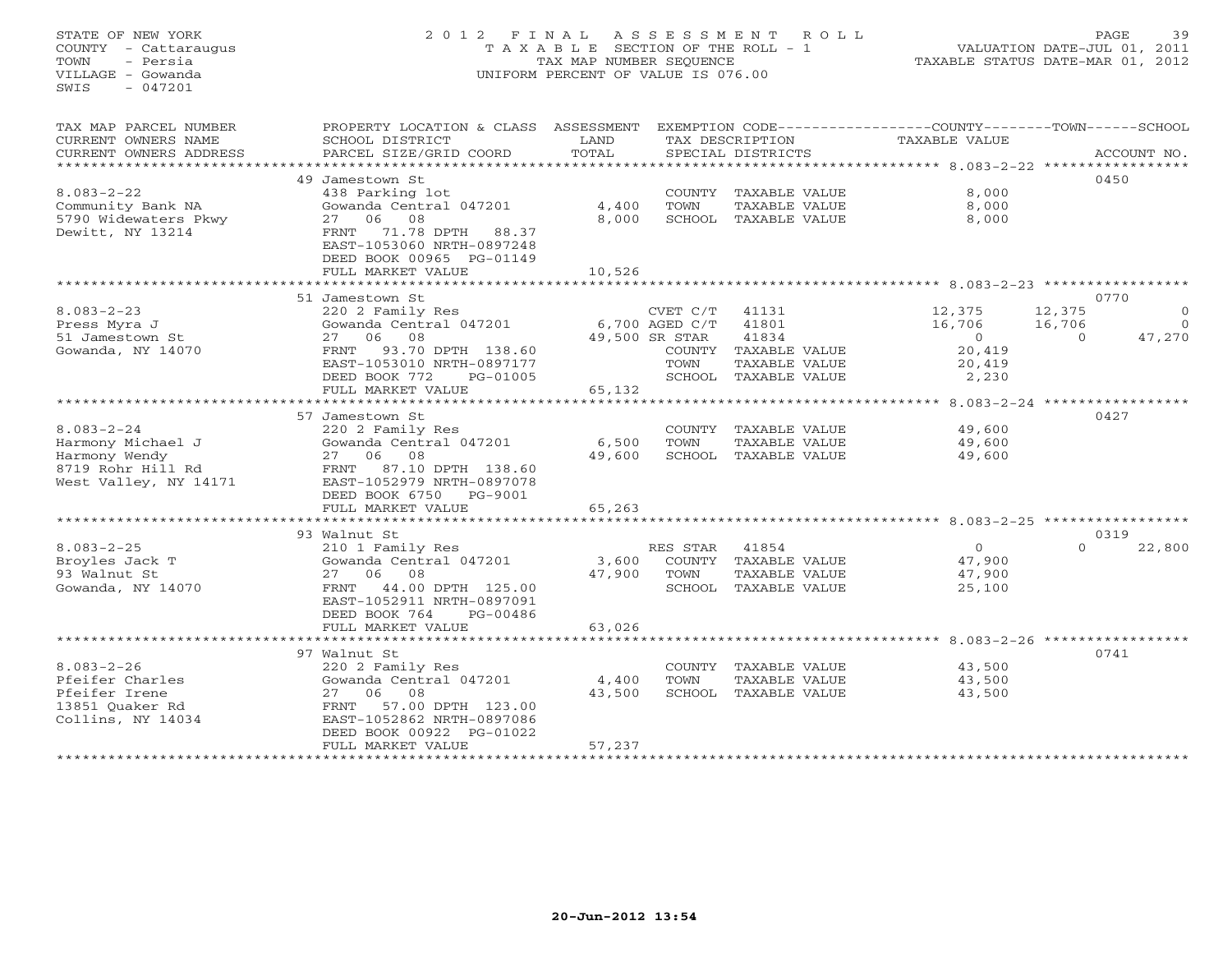STATE OF NEW YORK 2 0 1 2 F I N A L A S S E S S M E N T R O L L PAGE 39 COUNTY - Cattaraugus T A X A B L E SECTION OF THE ROLL - 1 VALUATION DATE-JUL 01, 2011 TOWN - Persia TAX MAP NUMBER SEQUENCE TAXABLE STATUS DATE-MAR 01, 2012 VILLAGE - Gowanda UNIFORM PERCENT OF VALUE IS 076.00 SWIS - 047201TAX MAP PARCEL NUMBER PROPERTY LOCATION & CLASS ASSESSMENT EXEMPTION CODE-----------------COUNTY-------TOWN------SCHOOL<br>CURRENT OWNERS NAME SCHOOL DISTRICT LAND TAX DESC \*\*\*\*\*\*\*\*\*\*\*\*\*\*\*\*\*\*\*\*\*\*\*\*\*\*\*\*\*\*\*\*\*\*\*\*\*\*\*\*\*\*\*\*\*\*\*\*\*\*\*\*\*\*\*\*\*\*\*\*\*\*\*\*\*\*\*\*\*\*\*\*\*\*\*\*\*\*\*\*\*\*\*\*\*\*\*\*\*\*\*\*\*\*\*\*\*\*\*\*\*\*\* 8.083-2-22 \*\*\*\*\*\*\*\*\*\*\*\*\*\*\*\*\* 49 Jamestown St 04508.083-2-22 438 Parking lot COUNTY TAXABLE VALUE 8,000 Community Bank NA Gowanda Central 047201 4,400 TOWN TAXABLE VALUE 8,000 5790 Widewaters Pkwy 27 06 08 8,000 SCHOOL TAXABLE VALUE 8,000 Dewitt, NY 13214 FRNT 71.78 DPTH 88.37 EAST-1053060 NRTH-0897248 DEED BOOK 00965 PG-01149FULL MARKET VALUE 10,526 \*\*\*\*\*\*\*\*\*\*\*\*\*\*\*\*\*\*\*\*\*\*\*\*\*\*\*\*\*\*\*\*\*\*\*\*\*\*\*\*\*\*\*\*\*\*\*\*\*\*\*\*\*\*\*\*\*\*\*\*\*\*\*\*\*\*\*\*\*\*\*\*\*\*\*\*\*\*\*\*\*\*\*\*\*\*\*\*\*\*\*\*\*\*\*\*\*\*\*\*\*\*\* 8.083-2-23 \*\*\*\*\*\*\*\*\*\*\*\*\*\*\*\*\* $0770$  51 Jamestown St 0770 8.083-2-23 220 2 Family Res CVET C/T 41131 12,375 12,375 0 Press Myra J Gowanda Central 047201 6,700 AGED C/T 41801 16,706 16,706 0 51 Jamestown St 27 06 08 49,500 SR STAR 41834 0 0 47,270 Gowanda, NY 14070 FRNT 93.70 DPTH 138.60 COUNTY TAXABLE VALUE 20,419 EAST-1053010 NRTH-0897177 TOWN TAXABLE VALUE 20,419 DEED BOOK 772 PG-01005 SCHOOL TAXABLE VALUE 2,230 FULL MARKET VALUE 65,132 \*\*\*\*\*\*\*\*\*\*\*\*\*\*\*\*\*\*\*\*\*\*\*\*\*\*\*\*\*\*\*\*\*\*\*\*\*\*\*\*\*\*\*\*\*\*\*\*\*\*\*\*\*\*\*\*\*\*\*\*\*\*\*\*\*\*\*\*\*\*\*\*\*\*\*\*\*\*\*\*\*\*\*\*\*\*\*\*\*\*\*\*\*\*\*\*\*\*\*\*\*\*\* 8.083-2-24 \*\*\*\*\*\*\*\*\*\*\*\*\*\*\*\*\* 57 Jamestown St 04278.083-2-24 220 2 Family Res COUNTY TAXABLE VALUE 49,600 Harmony Michael J Gowanda Central 047201 6,500 TOWN TAXABLE VALUE 49,600 Harmony Wendy 27 06 08 49,600 SCHOOL TAXABLE VALUE 49,600 8719 Rohr Hill Rd FRNT 87.10 DPTH 138.60 West Valley, NY 14171 EAST-1052979 NRTH-0897078 DEED BOOK 6750 PG-9001 FULL MARKET VALUE 65,263 \*\*\*\*\*\*\*\*\*\*\*\*\*\*\*\*\*\*\*\*\*\*\*\*\*\*\*\*\*\*\*\*\*\*\*\*\*\*\*\*\*\*\*\*\*\*\*\*\*\*\*\*\*\*\*\*\*\*\*\*\*\*\*\*\*\*\*\*\*\*\*\*\*\*\*\*\*\*\*\*\*\*\*\*\*\*\*\*\*\*\*\*\*\*\*\*\*\*\*\*\*\*\* 8.083-2-25 \*\*\*\*\*\*\*\*\*\*\*\*\*\*\*\*\* 93 Walnut St 0319 $0 \t 22.800$ 8.083-2-25 210 1 Family Res RES STAR 41854 0 0 22,800 Broyles Jack T Gowanda Central 047201 3,600 COUNTY TAXABLE VALUE 47,900 93 Walnut St 27 06 08 47,900 TOWN TAXABLE VALUE 47,900 Gowanda, NY 14070 FRNT 44.00 DPTH 125.00 SCHOOL TAXABLE VALUE 25,100 EAST-1052911 NRTH-0897091 DEED BOOK 764 PG-00486FULL MARKET VALUE 63,026 \*\*\*\*\*\*\*\*\*\*\*\*\*\*\*\*\*\*\*\*\*\*\*\*\*\*\*\*\*\*\*\*\*\*\*\*\*\*\*\*\*\*\*\*\*\*\*\*\*\*\*\*\*\*\*\*\*\*\*\*\*\*\*\*\*\*\*\*\*\*\*\*\*\*\*\*\*\*\*\*\*\*\*\*\*\*\*\*\*\*\*\*\*\*\*\*\*\*\*\*\*\*\* 8.083-2-26 \*\*\*\*\*\*\*\*\*\*\*\*\*\*\*\*\* 97 Walnut St 07418.083-2-26 220 2 Family Res COUNTY TAXABLE VALUE 43,500 Pfeifer Charles Gowanda Central 047201 4,400 TOWN TAXABLE VALUE 43,500 Pfeifer Irene 27 06 08 43,500 SCHOOL TAXABLE VALUE 43,500 13851 Quaker Rd FRNT 57.00 DPTH 123.00 Collins, NY 14034 EAST-1052862 NRTH-0897086 DEED BOOK 00922 PG-01022 FULL MARKET VALUE 57,237 \*\*\*\*\*\*\*\*\*\*\*\*\*\*\*\*\*\*\*\*\*\*\*\*\*\*\*\*\*\*\*\*\*\*\*\*\*\*\*\*\*\*\*\*\*\*\*\*\*\*\*\*\*\*\*\*\*\*\*\*\*\*\*\*\*\*\*\*\*\*\*\*\*\*\*\*\*\*\*\*\*\*\*\*\*\*\*\*\*\*\*\*\*\*\*\*\*\*\*\*\*\*\*\*\*\*\*\*\*\*\*\*\*\*\*\*\*\*\*\*\*\*\*\*\*\*\*\*\*\*\*\*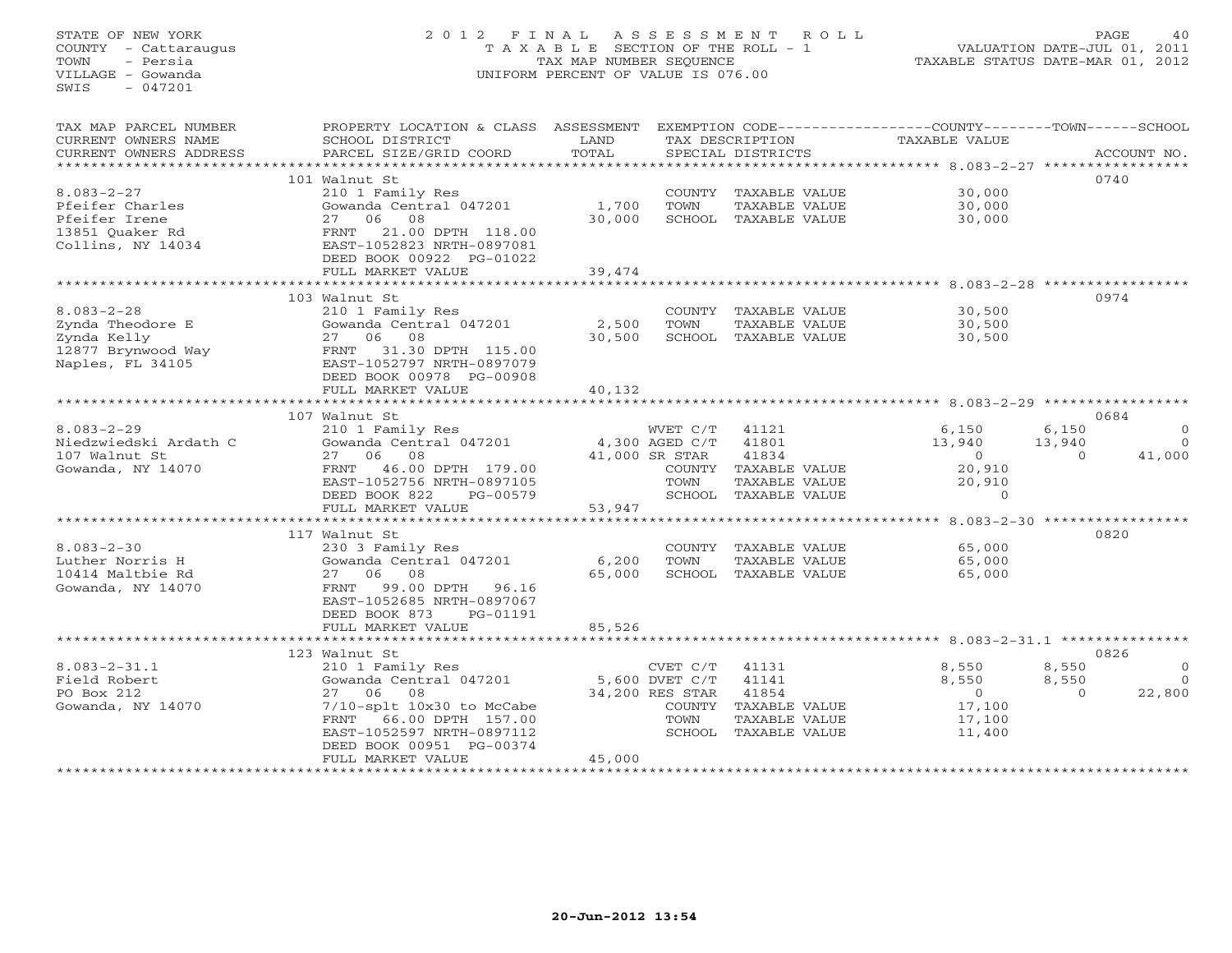# STATE OF NEW YORK 2 0 1 2 F I N A L A S S E S S M E N T R O L L PAGE 40 COUNTY - Cattaraugus T A X A B L E SECTION OF THE ROLL - 1 VALUATION DATE-JUL 01, 2011 TOWN - Persia TAX MAP NUMBER SEQUENCE TAXABLE STATUS DATE-MAR 01, 2012 VILLAGE - Gowanda UNIFORM PERCENT OF VALUE IS 076.00

| TAX MAP PARCEL NUMBER      | PROPERTY LOCATION & CLASS ASSESSMENT |                |                 |                      | EXEMPTION CODE-----------------COUNTY-------TOWN------SCHOOL |          |                |
|----------------------------|--------------------------------------|----------------|-----------------|----------------------|--------------------------------------------------------------|----------|----------------|
| CURRENT OWNERS NAME        | SCHOOL DISTRICT                      | LAND           |                 | TAX DESCRIPTION      | TAXABLE VALUE                                                |          |                |
| CURRENT OWNERS ADDRESS     | PARCEL SIZE/GRID COORD               | TOTAL          |                 | SPECIAL DISTRICTS    |                                                              |          | ACCOUNT NO.    |
|                            |                                      |                |                 |                      |                                                              |          |                |
|                            | 101 Walnut St                        |                |                 |                      |                                                              | 0740     |                |
| $8.083 - 2 - 27$           | 210 1 Family Res                     |                |                 | COUNTY TAXABLE VALUE | 30,000                                                       |          |                |
| Pfeifer Charles            | Gowanda Central 047201               | 1,700          | TOWN            | TAXABLE VALUE        | 30,000                                                       |          |                |
| Pfeifer Irene              | 27 06<br>08                          | 30,000         |                 | SCHOOL TAXABLE VALUE | 30,000                                                       |          |                |
| 13851 Quaker Rd            | 21.00 DPTH 118.00<br>FRNT            |                |                 |                      |                                                              |          |                |
| Collins, NY 14034          | EAST-1052823 NRTH-0897081            |                |                 |                      |                                                              |          |                |
|                            | DEED BOOK 00922 PG-01022             |                |                 |                      |                                                              |          |                |
|                            | FULL MARKET VALUE                    | 39,474         |                 |                      |                                                              |          |                |
|                            |                                      |                |                 |                      |                                                              |          |                |
|                            | 103 Walnut St                        |                |                 |                      |                                                              | 0974     |                |
| $8.083 - 2 - 28$           | 210 1 Family Res                     |                |                 | COUNTY TAXABLE VALUE | 30,500                                                       |          |                |
| Zynda Theodore E           | Gowanda Central 047201               | 2,500          | TOWN            | TAXABLE VALUE        | 30,500                                                       |          |                |
| Zynda Kelly                | 27 06 08                             | 30,500         |                 | SCHOOL TAXABLE VALUE | 30,500                                                       |          |                |
| FRNT<br>12877 Brynwood Way | 31.30 DPTH 115.00                    |                |                 |                      |                                                              |          |                |
| Naples, FL 34105           | EAST-1052797 NRTH-0897079            |                |                 |                      |                                                              |          |                |
|                            | DEED BOOK 00978 PG-00908             |                |                 |                      |                                                              |          |                |
|                            | FULL MARKET VALUE                    | 40,132         |                 |                      |                                                              |          |                |
|                            | 107 Walnut St                        |                |                 |                      |                                                              |          | 0684           |
| $8.083 - 2 - 29$           | 210 1 Family Res                     |                | WVET C/T        | 41121                | 6,150                                                        | 6,150    | $\Omega$       |
| Niedzwiedski Ardath C      | Gowanda Central 047201               | 4,300 AGED C/T |                 | 41801                | 13,940                                                       | 13,940   | $\Omega$       |
| 107 Walnut St              | 08<br>27 06                          |                | 41,000 SR STAR  | 41834                | $\overline{0}$                                               | $\Omega$ | 41,000         |
| Gowanda, NY 14070          | FRNT 46.00 DPTH 179.00               |                |                 | COUNTY TAXABLE VALUE | 20,910                                                       |          |                |
|                            | EAST-1052756 NRTH-0897105            |                | TOWN            | TAXABLE VALUE        | 20,910                                                       |          |                |
|                            | DEED BOOK 822<br>PG-00579            |                |                 | SCHOOL TAXABLE VALUE | $\Omega$                                                     |          |                |
|                            | FULL MARKET VALUE                    | 53,947         |                 |                      |                                                              |          |                |
|                            |                                      |                |                 |                      |                                                              |          |                |
|                            | 117 Walnut St                        |                |                 |                      |                                                              | 0820     |                |
| $8.083 - 2 - 30$           | 230 3 Family Res                     |                |                 | COUNTY TAXABLE VALUE | 65,000                                                       |          |                |
| Luther Norris H            | Gowanda Central 047201               | 6,200          | TOWN            | TAXABLE VALUE        | 65,000                                                       |          |                |
| 10414 Maltbie Rd           | 27 06 08                             | 65,000         |                 | SCHOOL TAXABLE VALUE | 65,000                                                       |          |                |
| Gowanda, NY 14070          | 99.00 DPTH<br>FRNT<br>96.16          |                |                 |                      |                                                              |          |                |
|                            | EAST-1052685 NRTH-0897067            |                |                 |                      |                                                              |          |                |
|                            | DEED BOOK 873<br>PG-01191            |                |                 |                      |                                                              |          |                |
|                            | FULL MARKET VALUE                    | 85,526         |                 |                      |                                                              |          |                |
|                            | ****************************         |                |                 |                      |                                                              |          |                |
|                            | 123 Walnut St                        |                |                 |                      |                                                              | 0826     |                |
| $8.083 - 2 - 31.1$         | 210 1 Family Res                     |                | CVET C/T        | 41131                | 8,550                                                        | 8,550    | $\overline{0}$ |
| Field Robert               | Gowanda Central 047201               |                | 5,600 DVET C/T  | 41141                | 8,550                                                        | 8,550    | $\overline{0}$ |
| PO Box 212                 | 08<br>27 06                          |                | 34,200 RES STAR | 41854                | $\overline{0}$                                               | $\Omega$ | 22,800         |
| Gowanda, NY 14070          | 7/10-splt 10x30 to McCabe            |                |                 | COUNTY TAXABLE VALUE | 17,100                                                       |          |                |
|                            | 66.00 DPTH 157.00<br>FRNT            |                | TOWN            | TAXABLE VALUE        | 17,100                                                       |          |                |
|                            | EAST-1052597 NRTH-0897112            |                |                 | SCHOOL TAXABLE VALUE | 11,400                                                       |          |                |
|                            | DEED BOOK 00951 PG-00374             |                |                 |                      |                                                              |          |                |
|                            | FULL MARKET VALUE                    | 45,000         |                 |                      |                                                              |          |                |
|                            |                                      |                |                 |                      |                                                              |          |                |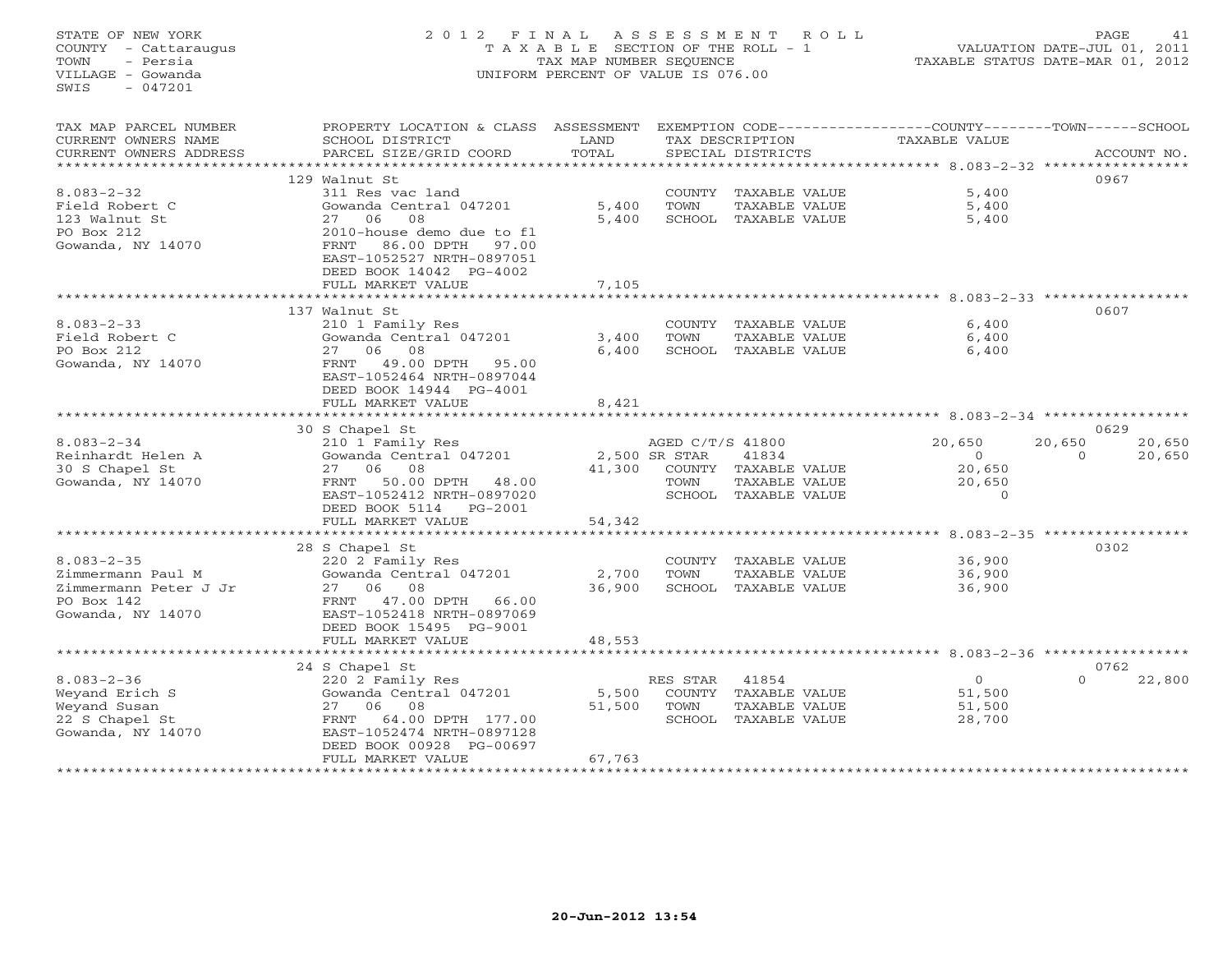STATE OF NEW YORK 2 0 1 2 F I N A L A S S E S S M E N T R O L L PAGE 41 COUNTY - Cattaraugus T A X A B L E SECTION OF THE ROLL - 1 VALUATION DATE-JUL 01, 2011 TOWN - Persia TAX MAP NUMBER SEQUENCE TAXABLE STATUS DATE-MAR 01, 2012 VILLAGE - Gowanda UNIFORM PERCENT OF VALUE IS 076.00  $SWTS = 047201$ TAX MAP PARCEL NUMBER PROPERTY LOCATION & CLASS ASSESSMENT EXEMPTION CODE------------------COUNTY--------TOWN------SCHOOL CURRENT OWNERS NAME SCHOOL DISTRICT LAND TAX DESCRIPTION TAXABLE VALUE CURRENT OWNERS ADDRESS BARCEL SIZE/GRID COORD TOTAL SPECIAL DISTRICTS SACCOUNT NO. \*\*\*\*\*\*\*\*\*\*\*\*\*\*\*\*\*\*\*\*\*\*\*\*\*\*\*\*\*\*\*\*\*\*\*\*\*\*\*\*\*\*\*\*\*\*\*\*\*\*\*\*\*\*\*\*\*\*\*\*\*\*\*\*\*\*\*\*\*\*\*\*\*\*\*\*\*\*\*\*\*\*\*\*\*\*\*\*\*\*\*\*\*\*\*\*\*\*\*\*\*\*\* 8.083-2-32 \*\*\*\*\*\*\*\*\*\*\*\*\*\*\*\*\* 129 Walnut St 09678.083-2-32 311 Res vac land COUNTY TAXABLE VALUE 5,400 Field Robert C Gowanda Central 047201 5,400 TOWN TAXABLE VALUE 5,400 123 Walnut St 27 06 08 5,400 SCHOOL TAXABLE VALUE 5,400 PO Box 212 2010-house demo due to fl Gowanda, NY 14070 FRNT 86.00 DPTH 97.00 EAST-1052527 NRTH-0897051 DEED BOOK 14042 PG-4002 FULL MARKET VALUE 7,105 \*\*\*\*\*\*\*\*\*\*\*\*\*\*\*\*\*\*\*\*\*\*\*\*\*\*\*\*\*\*\*\*\*\*\*\*\*\*\*\*\*\*\*\*\*\*\*\*\*\*\*\*\*\*\*\*\*\*\*\*\*\*\*\*\*\*\*\*\*\*\*\*\*\*\*\*\*\*\*\*\*\*\*\*\*\*\*\*\*\*\*\*\*\*\*\*\*\*\*\*\*\*\* 8.083-2-33 \*\*\*\*\*\*\*\*\*\*\*\*\*\*\*\*\* 137 Walnut St 06078.083-2-33 210 1 Family Res COUNTY TAXABLE VALUE 6,400 Field Robert C Gowanda Central 047201 3,400 TOWN TAXABLE VALUE 6,400 PO Box 212 27 06 08 6,400 SCHOOL TAXABLE VALUE 6,400 Gowanda, NY 14070 FRNT 49.00 DPTH 95.00 EAST-1052464 NRTH-0897044 DEED BOOK 14944 PG-4001 FULL MARKET VALUE 8,421 \*\*\*\*\*\*\*\*\*\*\*\*\*\*\*\*\*\*\*\*\*\*\*\*\*\*\*\*\*\*\*\*\*\*\*\*\*\*\*\*\*\*\*\*\*\*\*\*\*\*\*\*\*\*\*\*\*\*\*\*\*\*\*\*\*\*\*\*\*\*\*\*\*\*\*\*\*\*\*\*\*\*\*\*\*\*\*\*\*\*\*\*\*\*\*\*\*\*\*\*\*\*\* 8.083-2-34 \*\*\*\*\*\*\*\*\*\*\*\*\*\*\*\*\* 30 S Chapel St 0629 8.083-2-34 210 1 Family Res AGED C/T/S 41800 20,650 20,650 20,650 Reinhardt Helen A Gowanda Central 047201 2,500 SR STAR 41834 0 0 20,650 30 S Chapel St 27 06 08 41,300 COUNTY TAXABLE VALUE 20,650 Gowanda, NY 14070 FRNT 50.00 DPTH 48.00 TOWN TAXABLE VALUE 20,650 EAST-1052412 NRTH-0897020 SCHOOL TAXABLE VALUE 0 DEED BOOK 5114 PG-2001 FULL MARKET VALUE 54,342 \*\*\*\*\*\*\*\*\*\*\*\*\*\*\*\*\*\*\*\*\*\*\*\*\*\*\*\*\*\*\*\*\*\*\*\*\*\*\*\*\*\*\*\*\*\*\*\*\*\*\*\*\*\*\*\*\*\*\*\*\*\*\*\*\*\*\*\*\*\*\*\*\*\*\*\*\*\*\*\*\*\*\*\*\*\*\*\*\*\*\*\*\*\*\*\*\*\*\*\*\*\*\* 8.083-2-35 \*\*\*\*\*\*\*\*\*\*\*\*\*\*\*\*\* 28 S Chapel St 0302 8.083-2-35 220 2 Family Res COUNTY TAXABLE VALUE 36,900 Zimmermann Paul M Gowanda Central 047201 2,700 TOWN TAXABLE VALUE 36,900 Zimmermann Peter J Jr 27 06 08 36,900 SCHOOL TAXABLE VALUE 36,900 PO Box 142 FRNT 47.00 DPTH 66.00 Gowanda, NY 14070 EAST-1052418 NRTH-0897069 DEED BOOK 15495 PG-9001 FULL MARKET VALUE 48,553 \*\*\*\*\*\*\*\*\*\*\*\*\*\*\*\*\*\*\*\*\*\*\*\*\*\*\*\*\*\*\*\*\*\*\*\*\*\*\*\*\*\*\*\*\*\*\*\*\*\*\*\*\*\*\*\*\*\*\*\*\*\*\*\*\*\*\*\*\*\*\*\*\*\*\*\*\*\*\*\*\*\*\*\*\*\*\*\*\*\*\*\*\*\*\*\*\*\*\*\*\*\*\* 8.083-2-36 \*\*\*\*\*\*\*\*\*\*\*\*\*\*\*\*\* $0$   $0$   $0$   $0$   $0$   $22,800$  24 S Chapel St 0762 8.083-2-36 220 2 Family Res RES STAR 41854 0 0 22,800 Weyand Erich S Gowanda Central 047201 5,500 COUNTY TAXABLE VALUE 51,500 Weyand Susan 27 06 08 51,500 TOWN TAXABLE VALUE 51,500 22 S Chapel St FRNT 64.00 DPTH 177.00 SCHOOL TAXABLE VALUE 28,700 Gowanda, NY 14070 EAST-1052474 NRTH-0897128 DEED BOOK 00928 PG-00697DEED BOOK 00928 PG-00697 FULL MARKET VALUE 67,763 \*\*\*\*\*\*\*\*\*\*\*\*\*\*\*\*\*\*\*\*\*\*\*\*\*\*\*\*\*\*\*\*\*\*\*\*\*\*\*\*\*\*\*\*\*\*\*\*\*\*\*\*\*\*\*\*\*\*\*\*\*\*\*\*\*\*\*\*\*\*\*\*\*\*\*\*\*\*\*\*\*\*\*\*\*\*\*\*\*\*\*\*\*\*\*\*\*\*\*\*\*\*\*\*\*\*\*\*\*\*\*\*\*\*\*\*\*\*\*\*\*\*\*\*\*\*\*\*\*\*\*\*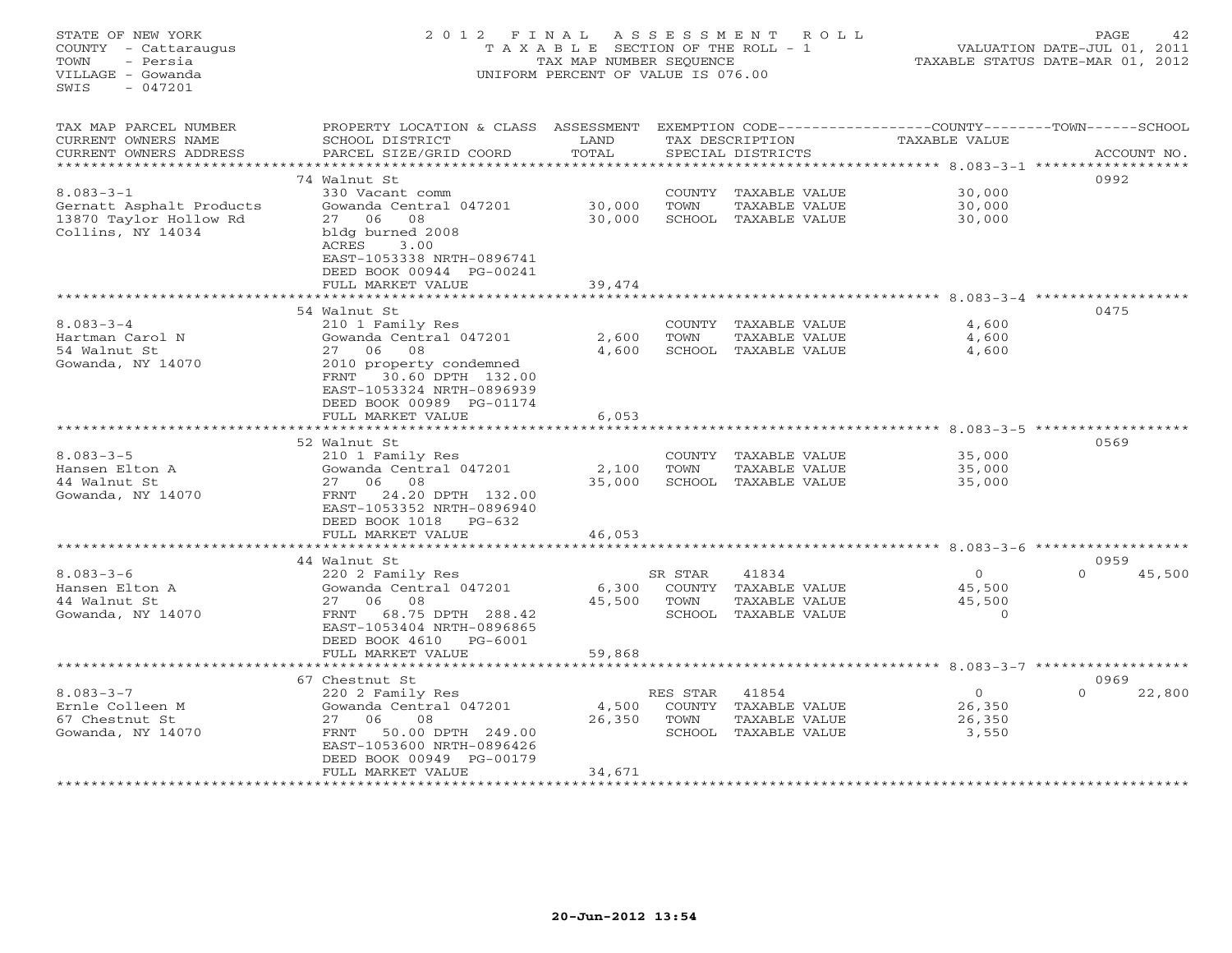| STATE OF NEW YORK<br>COUNTY - Cattaraugus<br>TOWN<br>- Persia<br>VILLAGE - Gowanda<br>$-047201$<br>SWIS | 2012 FINAL                                                                                                                                                                                                         | T A X A B L E SECTION OF THE ROLL - 1<br>TAX MAP NUMBER SEQUENCE<br>UNIFORM PERCENT OF VALUE IS 076.00 | ASSESSMENT                          | ROLL                                                            |                                                                               | PAGE<br>VALUATION DATE-JUL 01, 2011<br>TAXABLE STATUS DATE-MAR 01, 2012 | 42 |
|---------------------------------------------------------------------------------------------------------|--------------------------------------------------------------------------------------------------------------------------------------------------------------------------------------------------------------------|--------------------------------------------------------------------------------------------------------|-------------------------------------|-----------------------------------------------------------------|-------------------------------------------------------------------------------|-------------------------------------------------------------------------|----|
| TAX MAP PARCEL NUMBER<br>CURRENT OWNERS NAME<br>CURRENT OWNERS ADDRESS                                  | PROPERTY LOCATION & CLASS ASSESSMENT<br>SCHOOL DISTRICT<br>PARCEL SIZE/GRID COORD                                                                                                                                  | LAND<br>TOTAL                                                                                          |                                     | TAX DESCRIPTION<br>SPECIAL DISTRICTS                            | EXEMPTION CODE-----------------COUNTY-------TOWN------SCHOOL<br>TAXABLE VALUE | ACCOUNT NO.                                                             |    |
| $8.083 - 3 - 1$<br>Gernatt Asphalt Products<br>13870 Taylor Hollow Rd<br>Collins, NY 14034              | 74 Walnut St<br>330 Vacant comm<br>Gowanda Central 047201<br>27<br>06<br>08<br>bldg burned 2008                                                                                                                    | 30,000<br>30,000                                                                                       | COUNTY<br>TOWN                      | TAXABLE VALUE<br>TAXABLE VALUE<br>SCHOOL TAXABLE VALUE          | ******* 8.083-3-1 ****<br>30,000<br>30,000<br>30,000                          | 0992                                                                    |    |
|                                                                                                         | ACRES<br>3.00<br>EAST-1053338 NRTH-0896741<br>DEED BOOK 00944 PG-00241<br>FULL MARKET VALUE                                                                                                                        | 39,474                                                                                                 |                                     |                                                                 | *************** 8.083-3-4                                                     | 0475                                                                    |    |
| $8.083 - 3 - 4$<br>Hartman Carol N<br>54 Walnut St<br>Gowanda, NY 14070                                 | 54 Walnut St<br>210 1 Family Res<br>Gowanda Central 047201<br>27<br>06<br>08<br>2010 property condemned<br>30.60 DPTH 132.00<br>FRNT<br>EAST-1053324 NRTH-0896939<br>DEED BOOK 00989 PG-01174<br>FULL MARKET VALUE | 2,600<br>4,600<br>6,053                                                                                | COUNTY<br>TOWN<br>SCHOOL            | TAXABLE VALUE<br>TAXABLE VALUE<br>TAXABLE VALUE                 | 4,600<br>4,600<br>4,600                                                       |                                                                         |    |
| $8.083 - 3 - 5$<br>Hansen Elton A<br>44 Walnut St<br>Gowanda, NY 14070                                  | 52 Walnut St<br>210 1 Family Res<br>Gowanda Central 047201<br>06<br>08<br>27<br>24.20 DPTH 132.00<br>FRNT<br>EAST-1053352 NRTH-0896940<br>DEED BOOK 1018 PG-632<br>FULL MARKET VALUE                               | 2,100<br>35,000<br>46,053                                                                              | COUNTY<br>TOWN<br>SCHOOL            | TAXABLE VALUE<br>TAXABLE VALUE<br>TAXABLE VALUE                 | $8.083 - 3 - 5$<br>35,000<br>35,000<br>35,000                                 | 0569                                                                    |    |
|                                                                                                         |                                                                                                                                                                                                                    |                                                                                                        |                                     |                                                                 | ******************* 8.083-3-6 ************                                    |                                                                         |    |
| $8.083 - 3 - 6$<br>Hansen Elton A<br>44 Walnut St<br>Gowanda, NY 14070                                  | 44 Walnut St<br>220 2 Family Res<br>Gowanda Central 047201<br>27<br>06<br>08<br>FRNT<br>68.75 DPTH 288.42<br>EAST-1053404 NRTH-0896865                                                                             | 6,300<br>45,500                                                                                        | SR STAR<br>COUNTY<br>TOWN<br>SCHOOL | 41834<br>TAXABLE VALUE<br>TAXABLE VALUE<br>TAXABLE VALUE        | 0<br>45,500<br>45,500<br>$\Omega$                                             | 0959<br>$\Omega$<br>45,500                                              |    |
|                                                                                                         | DEED BOOK 4610<br>$PG-6001$<br>FULL MARKET VALUE<br>*******************************                                                                                                                                | 59,868                                                                                                 |                                     |                                                                 |                                                                               |                                                                         |    |
| $8.083 - 3 - 7$<br>Ernle Colleen M<br>67 Chestnut St<br>Gowanda, NY 14070                               | 67 Chestnut St<br>220 2 Family Res<br>Gowanda Central 047201<br>27<br>08<br>06<br>50.00 DPTH 249.00<br>FRNT<br>EAST-1053600 NRTH-0896426<br>DEED BOOK 00949 PG-00179<br>FULL MARKET VALUE                          | 4,500<br>26,350<br>34,671                                                                              | RES STAR<br>COUNTY<br>TOWN          | 41854<br>TAXABLE VALUE<br>TAXABLE VALUE<br>SCHOOL TAXABLE VALUE | $\circ$<br>26,350<br>26,350<br>3,550                                          | 0969<br>22,800                                                          |    |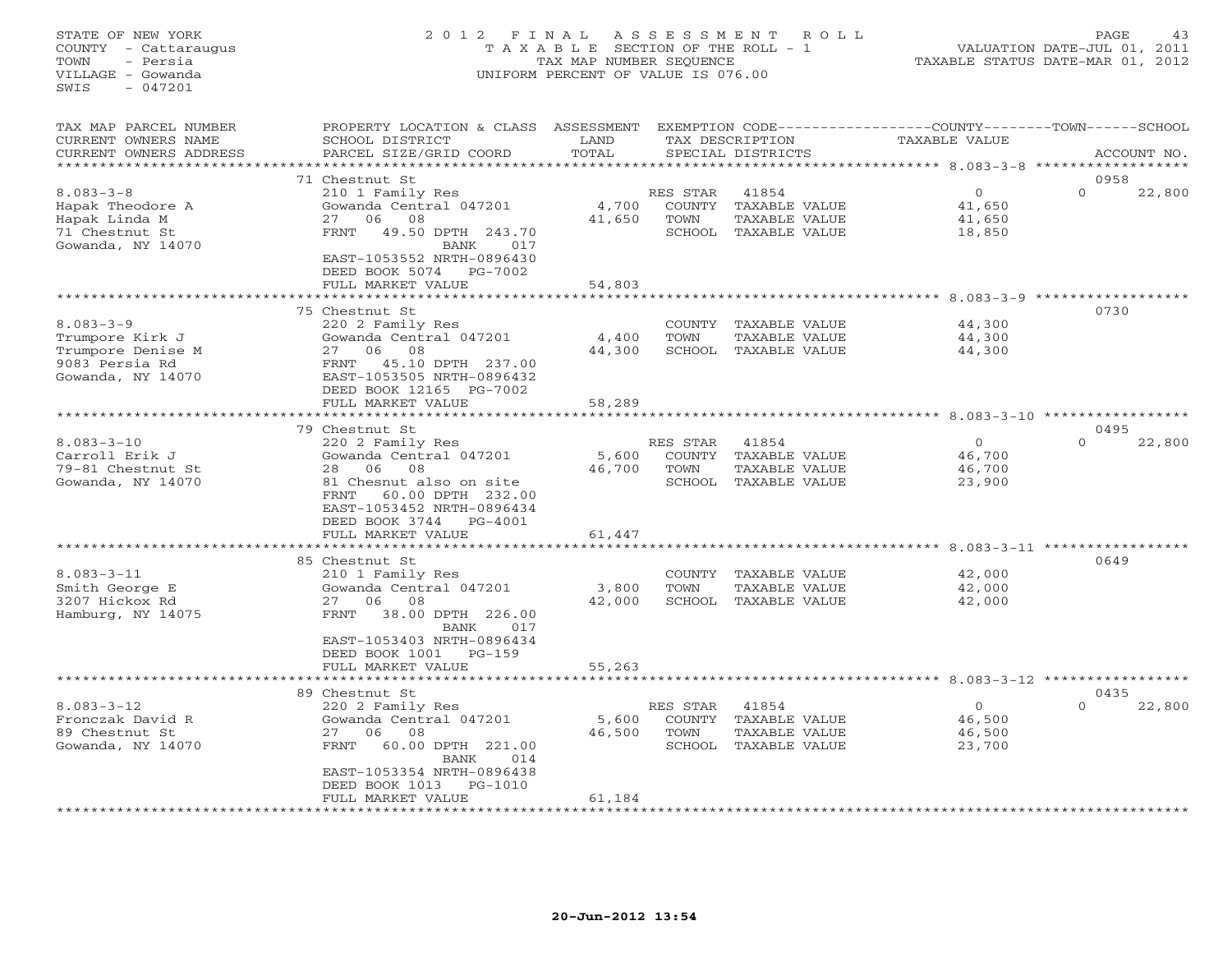# STATE OF NEW YORK 2 0 1 2 F I N A L A S S E S S M E N T R O L L PAGE 43 COUNTY - Cattaraugus T A X A B L E SECTION OF THE ROLL - 1 VALUATION DATE-JUL 01, 2011 TOWN - Persia TAX MAP NUMBER SEQUENCE TAXABLE STATUS DATE-MAR 01, 2012 VILLAGE - Gowanda UNIFORM PERCENT OF VALUE IS 076.00UNIFORM PERCENT OF VALUE IS 076.00

| * * * * * * *<br>* * * * * * * * * * * * * * * * *<br>******************<br>********************* 8.083-3-8<br>0958<br>71 Chestnut St<br>210 1 Family Res<br>$\circ$<br>$\mathbf{0}$<br>$8.083 - 3 - 8$<br>41854<br>22,800<br>RES STAR<br>Gowanda Central 047201<br>Hapak Theodore A<br>4,700<br>COUNTY<br>TAXABLE VALUE<br>41,650<br>06<br>08<br>41,650<br>Hapak Linda M<br>27<br>TOWN<br>TAXABLE VALUE<br>41,650<br>49.50 DPTH 243.70<br>71 Chestnut St<br>FRNT<br>SCHOOL TAXABLE VALUE<br>18,850<br>Gowanda, NY 14070<br>BANK<br>017<br>EAST-1053552 NRTH-0896430<br>DEED BOOK 5074<br>PG-7002<br>FULL MARKET VALUE<br>54,803<br>$8.083 - 3 - 9$ *************<br>0730<br>75 Chestnut St<br>$8.083 - 3 - 9$<br>220 2 Family Res<br>44,300<br>COUNTY TAXABLE VALUE<br>Gowanda Central 047201<br>TOWN<br>TAXABLE VALUE<br>Trumpore Kirk J<br>4,400<br>44,300<br>06<br>08<br>Trumpore Denise M<br>44,300<br>SCHOOL TAXABLE VALUE<br>27<br>44,300<br>9083 Persia Rd<br>45.10 DPTH 237.00<br>FRNT<br>Gowanda, NY 14070<br>EAST-1053505 NRTH-0896432<br>DEED BOOK 12165 PG-7002<br>58,289<br>FULL MARKET VALUE<br>0495<br>79 Chestnut St<br>$8.083 - 3 - 10$<br>$\Omega$<br>$\Omega$<br>220 2 Family Res<br>RES STAR<br>41854<br>22,800<br>Gowanda Central 047201<br>Carroll Erik J<br>5,600<br>COUNTY TAXABLE VALUE<br>46,700<br>06<br>08<br>79-81 Chestnut St<br>28<br>46,700<br>TOWN<br>TAXABLE VALUE<br>46,700<br>Gowanda, NY 14070<br>81 Chesnut also on site<br>SCHOOL TAXABLE VALUE<br>23,900<br>60.00 DPTH 232.00<br>FRNT<br>EAST-1053452 NRTH-0896434<br>DEED BOOK 3744<br>PG-4001<br>FULL MARKET VALUE<br>61,447<br>******************<br>***********<br>$8.083 - 3 - 11$ ******************<br>0649<br>85 Chestnut St<br>$8.083 - 3 - 11$<br>42,000<br>210 1 Family Res<br>COUNTY TAXABLE VALUE<br>Smith George E<br>Gowanda Central 047201<br>3,800<br>TOWN<br>42,000<br>TAXABLE VALUE<br>3207 Hickox Rd<br>06<br>08<br>42,000<br>SCHOOL TAXABLE VALUE<br>42,000<br>27<br>Hamburg, NY 14075<br>38.00 DPTH 226.00<br>FRNT<br>BANK<br>017<br>EAST-1053403 NRTH-0896434<br>DEED BOOK 1001 PG-159<br>55,263<br>FULL MARKET VALUE<br>89 Chestnut St<br>0435<br>$\Omega$<br>$8.083 - 3 - 12$<br>220 2 Family Res<br>RES STAR<br>$\Omega$<br>22,800<br>41854<br>Fronczak David R<br>Gowanda Central 047201<br>5,600<br><b>COUNTY</b><br>TAXABLE VALUE<br>46,500<br>89 Chestnut St<br>06<br>08<br>46,500<br>TOWN<br>27<br>TAXABLE VALUE<br>46,500<br>Gowanda, NY 14070<br>60.00 DPTH 221.00<br>SCHOOL TAXABLE VALUE<br><b>FRNT</b><br>23,700<br><b>BANK</b><br>014<br>EAST-1053354 NRTH-0896438<br>$PG-1010$<br>DEED BOOK 1013<br>FULL MARKET VALUE<br>61,184 | TAX MAP PARCEL NUMBER<br>CURRENT OWNERS NAME<br>CURRENT OWNERS ADDRESS | PROPERTY LOCATION & CLASS ASSESSMENT<br>SCHOOL DISTRICT<br>PARCEL SIZE/GRID COORD | LAND<br>TOTAL | EXEMPTION CODE-----<br>TAX DESCRIPTION<br>SPECIAL DISTRICTS | ------------COUNTY--------TOWN------SCHOOL<br><b>TAXABLE VALUE</b> | ACCOUNT NO. |
|----------------------------------------------------------------------------------------------------------------------------------------------------------------------------------------------------------------------------------------------------------------------------------------------------------------------------------------------------------------------------------------------------------------------------------------------------------------------------------------------------------------------------------------------------------------------------------------------------------------------------------------------------------------------------------------------------------------------------------------------------------------------------------------------------------------------------------------------------------------------------------------------------------------------------------------------------------------------------------------------------------------------------------------------------------------------------------------------------------------------------------------------------------------------------------------------------------------------------------------------------------------------------------------------------------------------------------------------------------------------------------------------------------------------------------------------------------------------------------------------------------------------------------------------------------------------------------------------------------------------------------------------------------------------------------------------------------------------------------------------------------------------------------------------------------------------------------------------------------------------------------------------------------------------------------------------------------------------------------------------------------------------------------------------------------------------------------------------------------------------------------------------------------------------------------------------------------------------------------------------------------------------------------------------------------------------------------------------------------------------------------------------------------------------------------------------------------------------------------------------------------------------------------------------------------------------------------------------------------------------------------------------------------------|------------------------------------------------------------------------|-----------------------------------------------------------------------------------|---------------|-------------------------------------------------------------|--------------------------------------------------------------------|-------------|
|                                                                                                                                                                                                                                                                                                                                                                                                                                                                                                                                                                                                                                                                                                                                                                                                                                                                                                                                                                                                                                                                                                                                                                                                                                                                                                                                                                                                                                                                                                                                                                                                                                                                                                                                                                                                                                                                                                                                                                                                                                                                                                                                                                                                                                                                                                                                                                                                                                                                                                                                                                                                                                                                |                                                                        |                                                                                   |               |                                                             |                                                                    |             |
|                                                                                                                                                                                                                                                                                                                                                                                                                                                                                                                                                                                                                                                                                                                                                                                                                                                                                                                                                                                                                                                                                                                                                                                                                                                                                                                                                                                                                                                                                                                                                                                                                                                                                                                                                                                                                                                                                                                                                                                                                                                                                                                                                                                                                                                                                                                                                                                                                                                                                                                                                                                                                                                                |                                                                        |                                                                                   |               |                                                             |                                                                    |             |
|                                                                                                                                                                                                                                                                                                                                                                                                                                                                                                                                                                                                                                                                                                                                                                                                                                                                                                                                                                                                                                                                                                                                                                                                                                                                                                                                                                                                                                                                                                                                                                                                                                                                                                                                                                                                                                                                                                                                                                                                                                                                                                                                                                                                                                                                                                                                                                                                                                                                                                                                                                                                                                                                |                                                                        |                                                                                   |               |                                                             |                                                                    |             |
|                                                                                                                                                                                                                                                                                                                                                                                                                                                                                                                                                                                                                                                                                                                                                                                                                                                                                                                                                                                                                                                                                                                                                                                                                                                                                                                                                                                                                                                                                                                                                                                                                                                                                                                                                                                                                                                                                                                                                                                                                                                                                                                                                                                                                                                                                                                                                                                                                                                                                                                                                                                                                                                                |                                                                        |                                                                                   |               |                                                             |                                                                    |             |
|                                                                                                                                                                                                                                                                                                                                                                                                                                                                                                                                                                                                                                                                                                                                                                                                                                                                                                                                                                                                                                                                                                                                                                                                                                                                                                                                                                                                                                                                                                                                                                                                                                                                                                                                                                                                                                                                                                                                                                                                                                                                                                                                                                                                                                                                                                                                                                                                                                                                                                                                                                                                                                                                |                                                                        |                                                                                   |               |                                                             |                                                                    |             |
|                                                                                                                                                                                                                                                                                                                                                                                                                                                                                                                                                                                                                                                                                                                                                                                                                                                                                                                                                                                                                                                                                                                                                                                                                                                                                                                                                                                                                                                                                                                                                                                                                                                                                                                                                                                                                                                                                                                                                                                                                                                                                                                                                                                                                                                                                                                                                                                                                                                                                                                                                                                                                                                                |                                                                        |                                                                                   |               |                                                             |                                                                    |             |
|                                                                                                                                                                                                                                                                                                                                                                                                                                                                                                                                                                                                                                                                                                                                                                                                                                                                                                                                                                                                                                                                                                                                                                                                                                                                                                                                                                                                                                                                                                                                                                                                                                                                                                                                                                                                                                                                                                                                                                                                                                                                                                                                                                                                                                                                                                                                                                                                                                                                                                                                                                                                                                                                |                                                                        |                                                                                   |               |                                                             |                                                                    |             |
|                                                                                                                                                                                                                                                                                                                                                                                                                                                                                                                                                                                                                                                                                                                                                                                                                                                                                                                                                                                                                                                                                                                                                                                                                                                                                                                                                                                                                                                                                                                                                                                                                                                                                                                                                                                                                                                                                                                                                                                                                                                                                                                                                                                                                                                                                                                                                                                                                                                                                                                                                                                                                                                                |                                                                        |                                                                                   |               |                                                             |                                                                    |             |
|                                                                                                                                                                                                                                                                                                                                                                                                                                                                                                                                                                                                                                                                                                                                                                                                                                                                                                                                                                                                                                                                                                                                                                                                                                                                                                                                                                                                                                                                                                                                                                                                                                                                                                                                                                                                                                                                                                                                                                                                                                                                                                                                                                                                                                                                                                                                                                                                                                                                                                                                                                                                                                                                |                                                                        |                                                                                   |               |                                                             |                                                                    |             |
|                                                                                                                                                                                                                                                                                                                                                                                                                                                                                                                                                                                                                                                                                                                                                                                                                                                                                                                                                                                                                                                                                                                                                                                                                                                                                                                                                                                                                                                                                                                                                                                                                                                                                                                                                                                                                                                                                                                                                                                                                                                                                                                                                                                                                                                                                                                                                                                                                                                                                                                                                                                                                                                                |                                                                        |                                                                                   |               |                                                             |                                                                    |             |
|                                                                                                                                                                                                                                                                                                                                                                                                                                                                                                                                                                                                                                                                                                                                                                                                                                                                                                                                                                                                                                                                                                                                                                                                                                                                                                                                                                                                                                                                                                                                                                                                                                                                                                                                                                                                                                                                                                                                                                                                                                                                                                                                                                                                                                                                                                                                                                                                                                                                                                                                                                                                                                                                |                                                                        |                                                                                   |               |                                                             |                                                                    |             |
|                                                                                                                                                                                                                                                                                                                                                                                                                                                                                                                                                                                                                                                                                                                                                                                                                                                                                                                                                                                                                                                                                                                                                                                                                                                                                                                                                                                                                                                                                                                                                                                                                                                                                                                                                                                                                                                                                                                                                                                                                                                                                                                                                                                                                                                                                                                                                                                                                                                                                                                                                                                                                                                                |                                                                        |                                                                                   |               |                                                             |                                                                    |             |
|                                                                                                                                                                                                                                                                                                                                                                                                                                                                                                                                                                                                                                                                                                                                                                                                                                                                                                                                                                                                                                                                                                                                                                                                                                                                                                                                                                                                                                                                                                                                                                                                                                                                                                                                                                                                                                                                                                                                                                                                                                                                                                                                                                                                                                                                                                                                                                                                                                                                                                                                                                                                                                                                |                                                                        |                                                                                   |               |                                                             |                                                                    |             |
|                                                                                                                                                                                                                                                                                                                                                                                                                                                                                                                                                                                                                                                                                                                                                                                                                                                                                                                                                                                                                                                                                                                                                                                                                                                                                                                                                                                                                                                                                                                                                                                                                                                                                                                                                                                                                                                                                                                                                                                                                                                                                                                                                                                                                                                                                                                                                                                                                                                                                                                                                                                                                                                                |                                                                        |                                                                                   |               |                                                             |                                                                    |             |
|                                                                                                                                                                                                                                                                                                                                                                                                                                                                                                                                                                                                                                                                                                                                                                                                                                                                                                                                                                                                                                                                                                                                                                                                                                                                                                                                                                                                                                                                                                                                                                                                                                                                                                                                                                                                                                                                                                                                                                                                                                                                                                                                                                                                                                                                                                                                                                                                                                                                                                                                                                                                                                                                |                                                                        |                                                                                   |               |                                                             |                                                                    |             |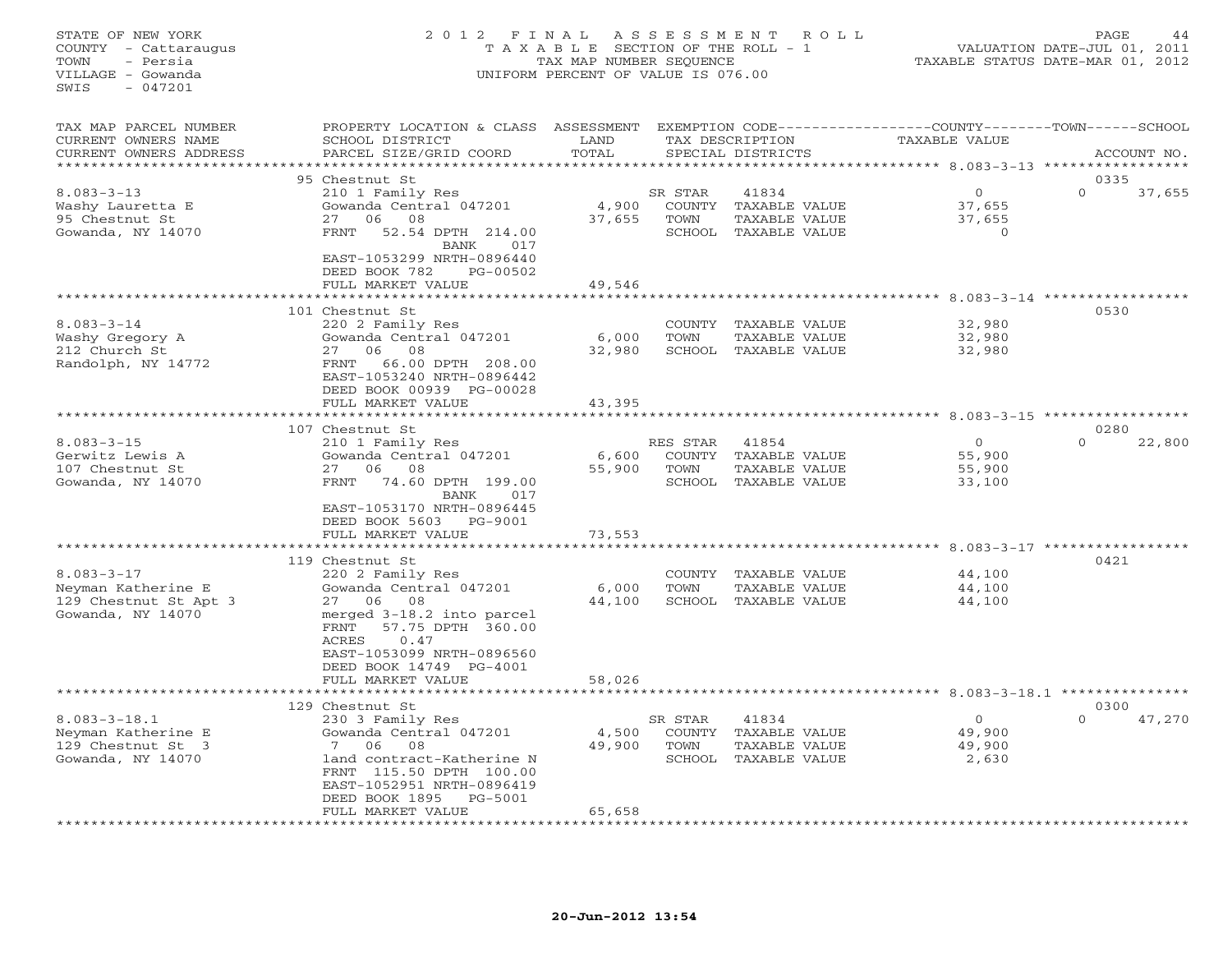# STATE OF NEW YORK 2 0 1 2 F I N A L A S S E S S M E N T R O L L PAGE 44 COUNTY - Cattaraugus T A X A B L E SECTION OF THE ROLL - 1 VALUATION DATE-JUL 01, 2011 TOWN - Persia TAX MAP NUMBER SEQUENCE TAXABLE STATUS DATE-MAR 01, 2012 VILLAGE - Gowanda UNIFORM PERCENT OF VALUE IS 076.00UNIFORM PERCENT OF VALUE IS 076.00

| TAX MAP PARCEL NUMBER<br>CURRENT OWNERS NAME<br>CURRENT OWNERS ADDRESS               | PROPERTY LOCATION & CLASS<br>SCHOOL DISTRICT<br>PARCEL SIZE/GRID COORD                                                                                                                       | ASSESSMENT<br>LAND<br>TOTAL |                                            | TAX DESCRIPTION<br>SPECIAL DISTRICTS                            | EXEMPTION CODE----------------COUNTY-------TOWN-----SCHOOL<br><b>TAXABLE VALUE</b> |                                    | ACCOUNT NO.        |
|--------------------------------------------------------------------------------------|----------------------------------------------------------------------------------------------------------------------------------------------------------------------------------------------|-----------------------------|--------------------------------------------|-----------------------------------------------------------------|------------------------------------------------------------------------------------|------------------------------------|--------------------|
| *************                                                                        |                                                                                                                                                                                              | **********                  |                                            |                                                                 |                                                                                    |                                    |                    |
|                                                                                      | 95 Chestnut St                                                                                                                                                                               |                             |                                            |                                                                 |                                                                                    |                                    | 0335               |
| $8.083 - 3 - 13$<br>Washy Lauretta E<br>95 Chestnut St<br>Gowanda, NY 14070          | 210 1 Family Res<br>Gowanda Central 047201<br>06<br>08<br>27<br>52.54 DPTH 214.00<br>FRNT<br>BANK<br>017                                                                                     | 4,900<br>37,655             | SR STAR<br>TOWN<br>SCHOOL                  | 41834<br>COUNTY TAXABLE VALUE<br>TAXABLE VALUE<br>TAXABLE VALUE | $\circ$<br>37,655<br>37,655                                                        | $\Omega$                           | $\Omega$<br>37,655 |
|                                                                                      | EAST-1053299 NRTH-0896440<br>DEED BOOK 782<br>PG-00502<br>FULL MARKET VALUE                                                                                                                  | 49,546                      |                                            |                                                                 |                                                                                    | $8.083 - 3 - 14$                   |                    |
|                                                                                      | 101 Chestnut St                                                                                                                                                                              |                             |                                            |                                                                 |                                                                                    |                                    | 0530               |
| $8.083 - 3 - 14$<br>Washy Gregory A<br>212 Church St<br>Randolph, NY 14772           | 220 2 Family Res<br>Gowanda Central 047201<br>27<br>06<br>08<br>66.00 DPTH 208.00<br><b>FRNT</b><br>EAST-1053240 NRTH-0896442                                                                | 6,000<br>32,980             | COUNTY<br>TOWN<br>SCHOOL                   | TAXABLE VALUE<br>TAXABLE VALUE<br>TAXABLE VALUE                 | 32,980<br>32,980<br>32,980                                                         |                                    |                    |
|                                                                                      | DEED BOOK 00939 PG-00028                                                                                                                                                                     |                             |                                            |                                                                 |                                                                                    |                                    |                    |
|                                                                                      | FULL MARKET VALUE                                                                                                                                                                            | 43,395                      |                                            |                                                                 |                                                                                    | $8.083 - 3 - 15$ *****             |                    |
|                                                                                      | 107 Chestnut St                                                                                                                                                                              |                             |                                            |                                                                 |                                                                                    |                                    | 0280               |
| $8.083 - 3 - 15$<br>Gerwitz Lewis A<br>107 Chestnut St<br>Gowanda, NY 14070          | 210 1 Family Res<br>Gowanda Central 047201<br>08<br>27<br>06<br>74.60 DPTH 199.00<br><b>FRNT</b><br>BANK<br>017                                                                              | 6,600<br>55,900             | RES STAR<br>COUNTY<br>TOWN<br>SCHOOL       | 41854<br>TAXABLE VALUE<br>TAXABLE VALUE<br>TAXABLE VALUE        | $\circ$<br>55,900<br>55,900<br>33,100                                              |                                    | $\Omega$<br>22,800 |
|                                                                                      | EAST-1053170 NRTH-0896445<br>DEED BOOK 5603<br>PG-9001<br>FULL MARKET VALUE<br>******************                                                                                            | 73,553                      |                                            |                                                                 |                                                                                    | $8.083 - 3 - 17$ ***************** |                    |
|                                                                                      | 119 Chestnut St                                                                                                                                                                              |                             |                                            |                                                                 |                                                                                    |                                    | 0421               |
| $8.083 - 3 - 17$<br>Neyman Katherine E<br>129 Chestnut St Apt 3<br>Gowanda, NY 14070 | 220 2 Family Res<br>Gowanda Central 047201<br>08<br>27 06<br>merged 3-18.2 into parcel<br>FRNT<br>57.75 DPTH 360.00<br>ACRES<br>0.47<br>EAST-1053099 NRTH-0896560<br>DEED BOOK 14749 PG-4001 | 6,000<br>44,100             | COUNTY<br>TOWN<br>SCHOOL                   | TAXABLE VALUE<br>TAXABLE VALUE<br>TAXABLE VALUE                 | 44,100<br>44,100<br>44,100                                                         |                                    |                    |
|                                                                                      | FULL MARKET VALUE                                                                                                                                                                            | 58,026                      |                                            |                                                                 |                                                                                    | *** 8.083-3-18.1 ********          |                    |
|                                                                                      | 129 Chestnut St                                                                                                                                                                              |                             |                                            |                                                                 |                                                                                    |                                    | 0300               |
| $8.083 - 3 - 18.1$<br>Neyman Katherine E<br>129 Chestnut St 3<br>Gowanda, NY 14070   | 230 3 Family Res<br>Gowanda Central 047201<br>7<br>06<br>08<br>land contract-Katherine N<br>FRNT 115.50 DPTH 100.00<br>EAST-1052951 NRTH-0896419<br>DEED BOOK 1895<br>PG-5001                | 4,500<br>49,900             | SR STAR<br><b>COUNTY</b><br>TOWN<br>SCHOOL | 41834<br>TAXABLE VALUE<br>TAXABLE VALUE<br>TAXABLE VALUE        | $\overline{0}$<br>49,900<br>49,900                                                 | 2,630                              | $\Omega$<br>47,270 |
|                                                                                      | FULL MARKET VALUE<br>************************                                                                                                                                                | 65,658<br>****************  |                                            |                                                                 |                                                                                    |                                    |                    |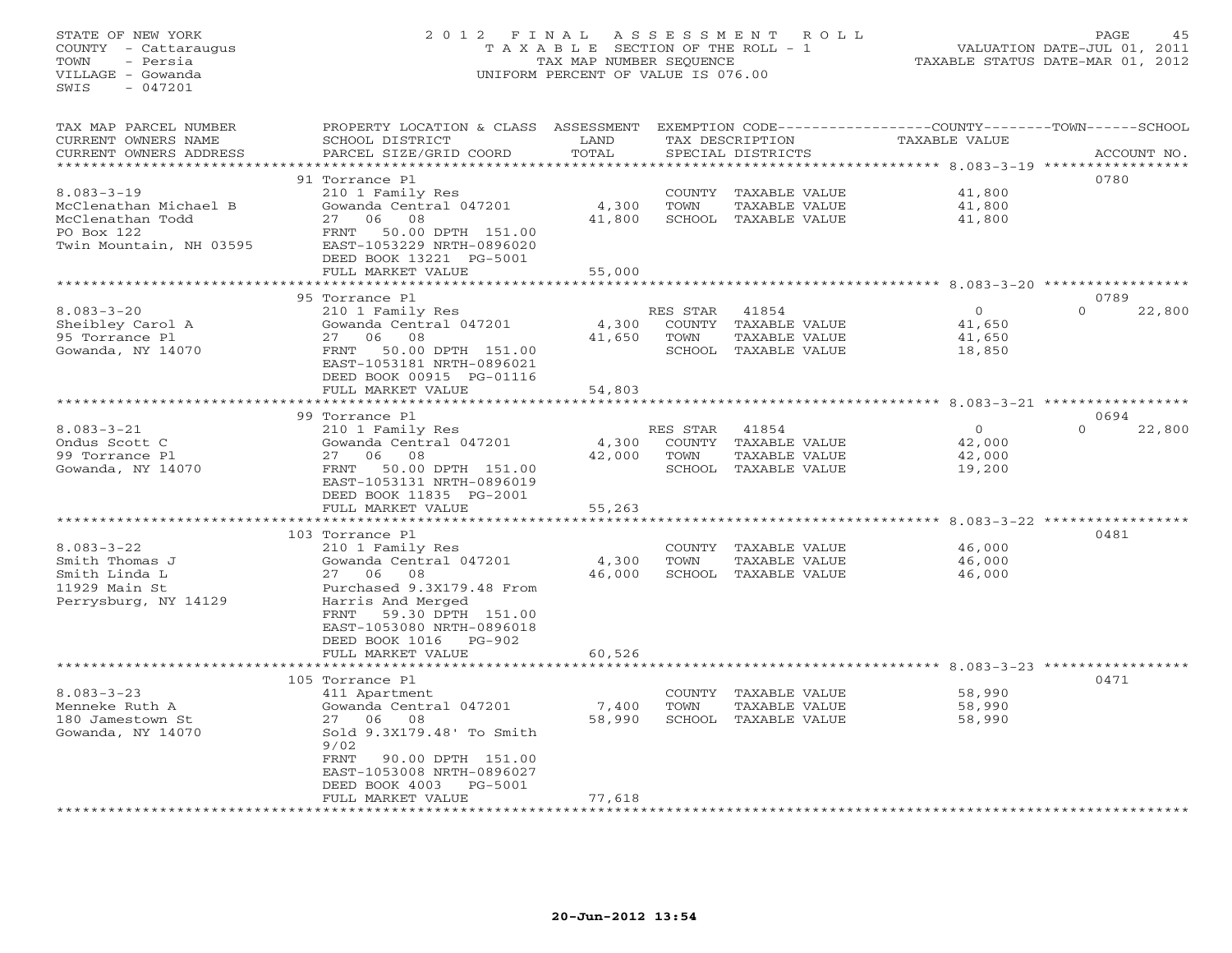# STATE OF NEW YORK 2 0 1 2 F I N A L A S S E S S M E N T R O L L PAGE 45 COUNTY - Cattaraugus T A X A B L E SECTION OF THE ROLL - 1 VALUATION DATE-JUL 01, 2011 TOWN - Persia TAX MAP NUMBER SEQUENCE TAXABLE STATUS DATE-MAR 01, 2012 VILLAGE - Gowanda UNIFORM PERCENT OF VALUE IS 076.00UNIFORM PERCENT OF VALUE IS 076.00

| TAX MAP PARCEL NUMBER<br>CURRENT OWNERS NAME<br>CURRENT OWNERS ADDRESS<br>******************           | PROPERTY LOCATION & CLASS<br>SCHOOL DISTRICT<br>PARCEL SIZE/GRID COORD                                                                                                                                                                              | ASSESSMENT<br>LAND<br>TOTAL<br>************ |                            | TAX DESCRIPTION<br>SPECIAL DISTRICTS                                   | EXEMPTION CODE-----------------COUNTY-------TOWN-----SCHOOL<br><b>TAXABLE VALUE</b>               | ACCOUNT NO.        |
|--------------------------------------------------------------------------------------------------------|-----------------------------------------------------------------------------------------------------------------------------------------------------------------------------------------------------------------------------------------------------|---------------------------------------------|----------------------------|------------------------------------------------------------------------|---------------------------------------------------------------------------------------------------|--------------------|
| $8.083 - 3 - 19$<br>McClenathan Michael B<br>McClenathan Todd<br>PO Box 122<br>Twin Mountain, NH 03595 | 91 Torrance Pl<br>210 1 Family Res<br>Gowanda Central 047201<br>06<br>08<br>27<br>50.00 DPTH 151.00<br>FRNT<br>EAST-1053229 NRTH-0896020<br>DEED BOOK 13221 PG-5001<br>FULL MARKET VALUE                                                            | 4,300<br>41,800<br>55,000                   | COUNTY<br>TOWN             | TAXABLE VALUE<br>TAXABLE VALUE<br>SCHOOL TAXABLE VALUE                 | ************************************** 8.083-3-19 *****************<br>41,800<br>41,800<br>41,800 | 0780               |
|                                                                                                        |                                                                                                                                                                                                                                                     |                                             |                            |                                                                        |                                                                                                   | 0789               |
| $8.083 - 3 - 20$<br>Sheibley Carol A<br>95 Torrance Pl<br>Gowanda, NY 14070                            | 95 Torrance Pl<br>210 1 Family Res<br>Gowanda Central 047201<br>08<br>27<br>06<br>FRNT<br>50.00 DPTH 151.00<br>EAST-1053181 NRTH-0896021<br>DEED BOOK 00915 PG-01116<br>FULL MARKET VALUE                                                           | 4,300<br>41,650<br>54,803                   | RES STAR<br>COUNTY<br>TOWN | 41854<br>TAXABLE VALUE<br>TAXABLE VALUE<br>SCHOOL TAXABLE VALUE        | $\circ$<br>41,650<br>41,650<br>18,850                                                             | $\Omega$<br>22,800 |
|                                                                                                        | **********************                                                                                                                                                                                                                              |                                             |                            |                                                                        |                                                                                                   |                    |
|                                                                                                        | 99 Torrance Pl                                                                                                                                                                                                                                      |                                             |                            |                                                                        |                                                                                                   | 0694               |
| $8.083 - 3 - 21$<br>Ondus Scott C<br>99 Torrance Pl<br>Gowanda, NY 14070                               | 210 1 Family Res<br>Gowanda Central 047201<br>06<br>08<br>27<br>50.00 DPTH 151.00<br>FRNT<br>EAST-1053131 NRTH-0896019<br>DEED BOOK 11835 PG-2001                                                                                                   | 4,300<br>42,000                             | RES STAR<br>TOWN           | 41854<br>COUNTY TAXABLE VALUE<br>TAXABLE VALUE<br>SCHOOL TAXABLE VALUE | $\circ$<br>42,000<br>42,000<br>19,200                                                             | $\Omega$<br>22,800 |
|                                                                                                        | FULL MARKET VALUE                                                                                                                                                                                                                                   | 55,263                                      |                            |                                                                        |                                                                                                   |                    |
|                                                                                                        | **************************                                                                                                                                                                                                                          | *******************                         |                            |                                                                        | *********************** 8.083-3-22 *****************                                              |                    |
| $8.083 - 3 - 22$<br>Smith Thomas J<br>Smith Linda L<br>11929 Main St<br>Perrysburg, NY 14129           | 103 Torrance Pl<br>210 1 Family Res<br>Gowanda Central 047201<br>08<br>27<br>06<br>Purchased 9.3X179.48 From<br>Harris And Merged<br>59.30 DPTH 151.00<br>FRNT<br>EAST-1053080 NRTH-0896018<br>DEED BOOK 1016<br><b>PG-902</b><br>FULL MARKET VALUE | 4,300<br>46,000<br>60,526                   | COUNTY<br>TOWN             | TAXABLE VALUE<br>TAXABLE VALUE<br>SCHOOL TAXABLE VALUE                 | 46,000<br>46,000<br>46,000                                                                        | 0481               |
|                                                                                                        | ************************                                                                                                                                                                                                                            | * * * * * * * * * * * * * *                 |                            |                                                                        | ********************************** 8.083-3-23 *****************                                   |                    |
| $8.083 - 3 - 23$<br>Menneke Ruth A<br>180 Jamestown St<br>Gowanda, NY 14070                            | 105 Torrance Pl<br>411 Apartment<br>Gowanda Central 047201<br>06<br>08<br>27<br>Sold 9.3X179.48' To Smith<br>9/02<br>FRNT<br>90.00 DPTH 151.00<br>EAST-1053008 NRTH-0896027<br>DEED BOOK 4003<br>PG-5001                                            | 7,400<br>58,990                             | COUNTY<br>TOWN             | TAXABLE VALUE<br>TAXABLE VALUE<br>SCHOOL TAXABLE VALUE                 | 58,990<br>58,990<br>58,990                                                                        | 0471               |
|                                                                                                        | FULL MARKET VALUE                                                                                                                                                                                                                                   | 77,618                                      |                            | ************************                                               |                                                                                                   |                    |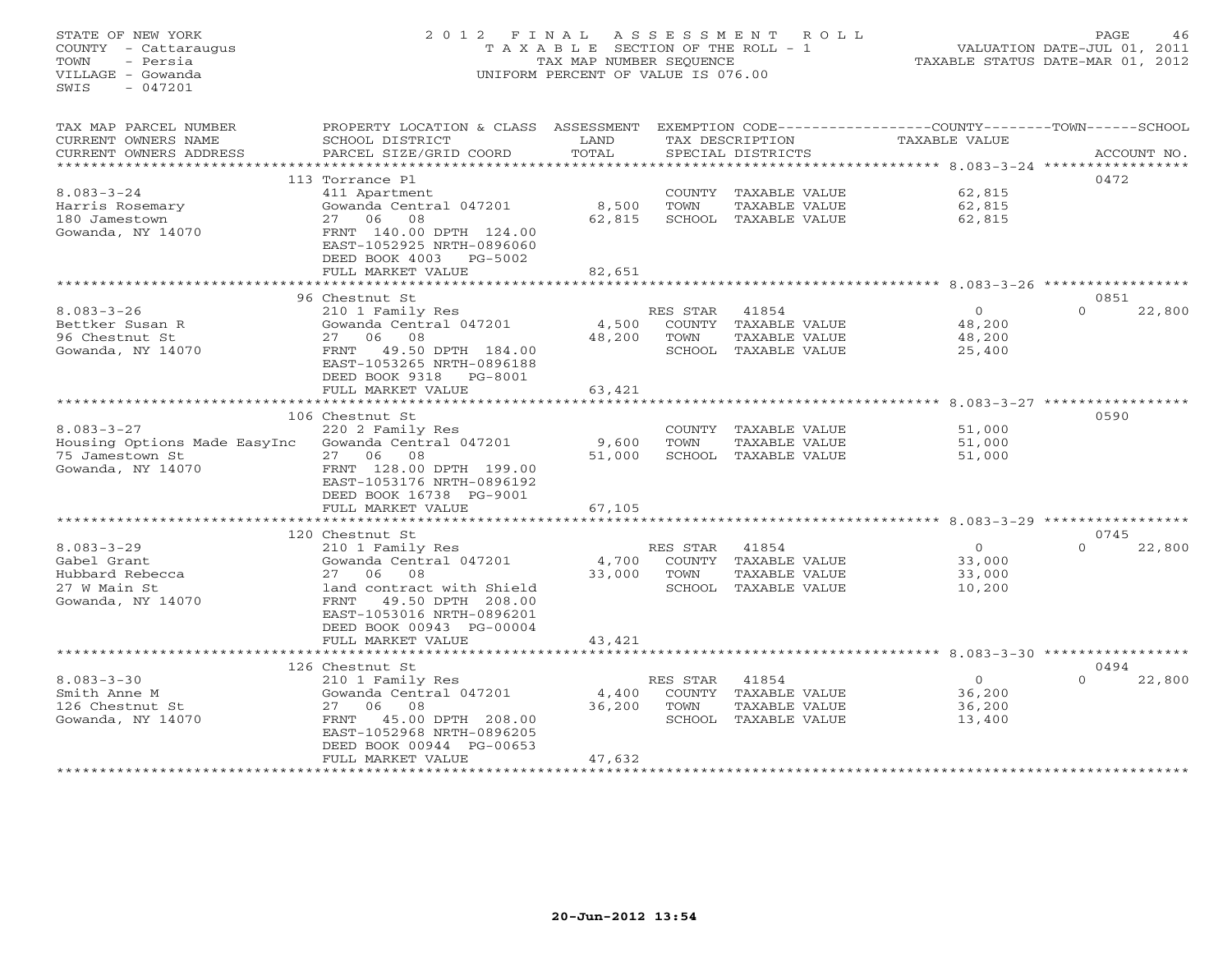# STATE OF NEW YORK 2 0 1 2 F I N A L A S S E S S M E N T R O L L PAGE 46 COUNTY - Cattaraugus T A X A B L E SECTION OF THE ROLL - 1 VALUATION DATE-JUL 01, 2011 TOWN - Persia TAX MAP NUMBER SEQUENCE TAXABLE STATUS DATE-MAR 01, 2012 VILLAGE - Gowanda UNIFORM PERCENT OF VALUE IS 076.00

TAX MAP PARCEL NUMBER PROPERTY LOCATION & CLASS ASSESSMENT EXEMPTION CODE----------------COUNTY-------TOWN------SCHOOL

| CURRENT OWNERS NAME          | SCHOOL DISTRICT                  | LAND   |               | TAX DESCRIPTION      |                                                        | <b>TAXABLE VALUE</b>             |          |             |
|------------------------------|----------------------------------|--------|---------------|----------------------|--------------------------------------------------------|----------------------------------|----------|-------------|
| CURRENT OWNERS ADDRESS       | PARCEL SIZE/GRID COORD           | TOTAL  |               | SPECIAL DISTRICTS    |                                                        |                                  |          | ACCOUNT NO. |
|                              |                                  |        |               |                      |                                                        | $8.083 - 3 - 24$                 |          |             |
|                              | 113 Torrance Pl                  |        |               |                      |                                                        |                                  | 0472     |             |
| $8.083 - 3 - 24$             | 411 Apartment                    |        | COUNTY        | TAXABLE VALUE        |                                                        | 62,815                           |          |             |
| Harris Rosemary              | Gowanda Central 047201           | 8,500  | TOWN          | TAXABLE VALUE        |                                                        | 62,815                           |          |             |
| 180 Jamestown                | 08<br>27<br>06                   | 62,815 | SCHOOL        | TAXABLE VALUE        |                                                        | 62,815                           |          |             |
| Gowanda, NY 14070            | FRNT 140.00 DPTH 124.00          |        |               |                      |                                                        |                                  |          |             |
|                              | EAST-1052925 NRTH-0896060        |        |               |                      |                                                        |                                  |          |             |
|                              | DEED BOOK 4003<br>$PG-5002$      |        |               |                      |                                                        |                                  |          |             |
|                              | FULL MARKET VALUE                | 82,651 |               |                      |                                                        |                                  |          |             |
|                              |                                  |        |               |                      |                                                        |                                  |          |             |
|                              | 96 Chestnut St                   |        |               |                      |                                                        |                                  | 0851     |             |
| $8.083 - 3 - 26$             | 210 1 Family Res                 |        | RES STAR      | 41854                |                                                        | $\Omega$                         | $\Omega$ | 22,800      |
| Bettker Susan R              | Gowanda Central 047201           | 4,500  | COUNTY        | TAXABLE VALUE        |                                                        | 48,200                           |          |             |
| 96 Chestnut St               | 06<br>08<br>27                   | 48,200 | TOWN          | TAXABLE VALUE        |                                                        | 48,200                           |          |             |
| Gowanda, NY 14070            | 49.50 DPTH 184.00<br><b>FRNT</b> |        |               | SCHOOL TAXABLE VALUE |                                                        | 25,400                           |          |             |
|                              | EAST-1053265 NRTH-0896188        |        |               |                      |                                                        |                                  |          |             |
|                              | DEED BOOK 9318<br>PG-8001        |        |               |                      |                                                        |                                  |          |             |
|                              | FULL MARKET VALUE                | 63,421 |               |                      |                                                        |                                  |          |             |
|                              |                                  |        |               |                      |                                                        | $8.083 - 3 - 27$ *************** |          |             |
|                              | 106 Chestnut St                  |        |               |                      |                                                        |                                  | 0590     |             |
| $8.083 - 3 - 27$             | 220 2 Family Res                 |        | COUNTY        | TAXABLE VALUE        |                                                        | 51,000                           |          |             |
| Housing Options Made EasyInc | Gowanda Central 047201           | 9,600  | TOWN          | TAXABLE VALUE        |                                                        | 51,000                           |          |             |
| 75 Jamestown St              | 06<br>08<br>2.7                  | 51,000 | SCHOOL        | TAXABLE VALUE        |                                                        | 51,000                           |          |             |
| Gowanda, NY 14070            | FRNT 128.00 DPTH 199.00          |        |               |                      |                                                        |                                  |          |             |
|                              | EAST-1053176 NRTH-0896192        |        |               |                      |                                                        |                                  |          |             |
|                              | DEED BOOK 16738 PG-9001          |        |               |                      |                                                        |                                  |          |             |
|                              | FULL MARKET VALUE                | 67,105 |               |                      |                                                        |                                  |          |             |
|                              |                                  |        |               |                      |                                                        | $8.083 - 3 - 29$ ***********     |          |             |
|                              | 120 Chestnut St                  |        |               |                      |                                                        |                                  | 0745     |             |
| $8.083 - 3 - 29$             | 210 1 Family Res                 |        | RES STAR      | 41854                |                                                        | $\circ$                          | $\Omega$ | 22,800      |
| Gabel Grant                  | Gowanda Central 047201           | 4,700  | <b>COUNTY</b> | TAXABLE VALUE        |                                                        | 33,000                           |          |             |
| Hubbard Rebecca              | 06<br>08<br>27                   | 33,000 | TOWN          | TAXABLE VALUE        |                                                        | 33,000                           |          |             |
| 27 W Main St                 | land contract with Shield        |        | SCHOOL        | TAXABLE VALUE        |                                                        | 10,200                           |          |             |
| Gowanda, NY 14070            | FRNT<br>49.50 DPTH 208.00        |        |               |                      |                                                        |                                  |          |             |
|                              | EAST-1053016 NRTH-0896201        |        |               |                      |                                                        |                                  |          |             |
|                              | DEED BOOK 00943 PG-00004         |        |               |                      |                                                        |                                  |          |             |
|                              | FULL MARKET VALUE                | 43,421 |               |                      |                                                        |                                  |          |             |
|                              |                                  |        |               |                      | ******************************* 8.083-3-30 *********** |                                  |          |             |
|                              | 126 Chestnut St                  |        |               |                      |                                                        |                                  | 0494     |             |
| $8.083 - 3 - 30$             | 210 1 Family Res                 |        | RES STAR      | 41854                |                                                        | $\circ$                          | $\Omega$ | 22,800      |
| Smith Anne M                 | Gowanda Central 047201           | 4,400  | COUNTY        | TAXABLE VALUE        |                                                        | 36,200                           |          |             |
| 126 Chestnut St              | 08<br>27<br>06                   | 36,200 | TOWN          | TAXABLE VALUE        |                                                        | 36,200                           |          |             |
| Gowanda, NY 14070            | FRNT<br>45.00 DPTH 208.00        |        | SCHOOL        | TAXABLE VALUE        |                                                        | 13,400                           |          |             |
|                              | EAST-1052968 NRTH-0896205        |        |               |                      |                                                        |                                  |          |             |
|                              | DEED BOOK 00944 PG-00653         |        |               |                      |                                                        |                                  |          |             |
|                              | FULL MARKET VALUE                | 47,632 |               |                      |                                                        |                                  |          |             |
|                              |                                  |        |               |                      |                                                        |                                  |          |             |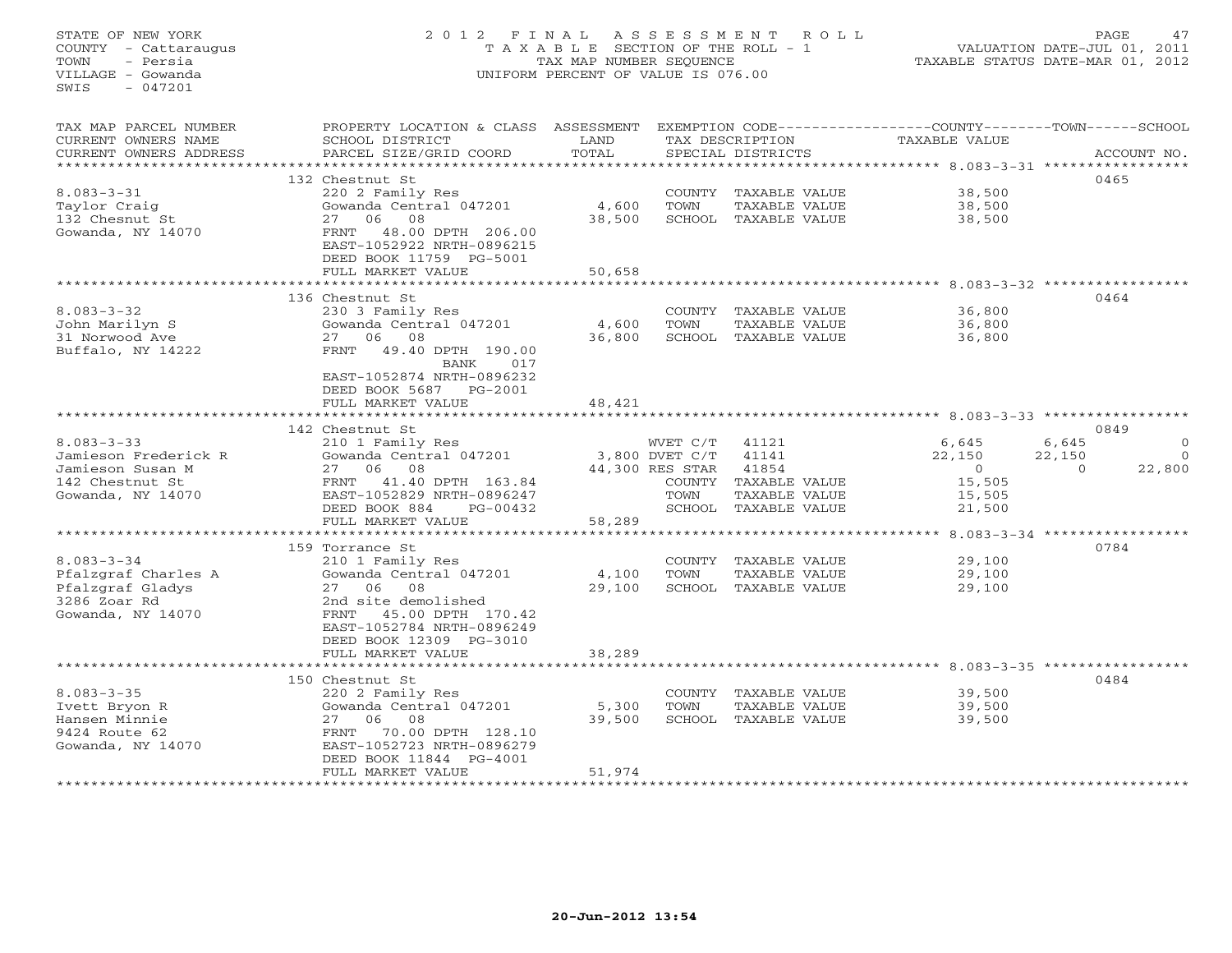#### STATE OF NEW YORK 2 0 1 2 F I N A L A S S E S S M E N T R O L L PAGE 47 COUNTY - Cattaraugus T A X A B L E SECTION OF THE ROLL - 1 VALUATION DATE-JUL 01, 2011 TOWN - Persia TAX MAP NUMBER SEQUENCE TAXABLE STATUS DATE-MAR 01, 2012 VILLAGE - Gowanda UNIFORM PERCENT OF VALUE IS 076.00UNIFORM PERCENT OF VALUE IS 076.00

| TAX MAP PARCEL NUMBER  | PROPERTY LOCATION & CLASS ASSESSMENT EXEMPTION CODE---------------COUNTY-------TOWN------SCHOOL |        |                 |                      |                |                      |
|------------------------|-------------------------------------------------------------------------------------------------|--------|-----------------|----------------------|----------------|----------------------|
| CURRENT OWNERS NAME    | SCHOOL DISTRICT                                                                                 | LAND   |                 | TAX DESCRIPTION      | TAXABLE VALUE  |                      |
| CURRENT OWNERS ADDRESS | PARCEL SIZE/GRID COORD                                                                          | TOTAL  |                 | SPECIAL DISTRICTS    |                | ACCOUNT NO.          |
|                        |                                                                                                 |        |                 |                      |                |                      |
|                        | 132 Chestnut St                                                                                 |        |                 |                      |                | 0465                 |
| $8.083 - 3 - 31$       | 220 2 Family Res                                                                                |        |                 | COUNTY TAXABLE VALUE | 38,500         |                      |
|                        | Gowanda Central 047201                                                                          | 4,600  | TOWN            |                      | 38,500         |                      |
| Taylor Craig           |                                                                                                 |        |                 | TAXABLE VALUE        |                |                      |
| 132 Chesnut St         | 27 06 08                                                                                        | 38,500 |                 | SCHOOL TAXABLE VALUE | 38,500         |                      |
| Gowanda, NY 14070      | 48.00 DPTH 206.00<br>FRNT                                                                       |        |                 |                      |                |                      |
|                        | EAST-1052922 NRTH-0896215                                                                       |        |                 |                      |                |                      |
|                        | DEED BOOK 11759 PG-5001                                                                         |        |                 |                      |                |                      |
|                        | FULL MARKET VALUE                                                                               | 50,658 |                 |                      |                |                      |
|                        |                                                                                                 |        |                 |                      |                |                      |
|                        | 136 Chestnut St                                                                                 |        |                 |                      |                | 0464                 |
| $8.083 - 3 - 32$       | 230 3 Family Res                                                                                |        |                 |                      | 36,800         |                      |
|                        |                                                                                                 |        |                 | COUNTY TAXABLE VALUE |                |                      |
| John Marilyn S         | Gowanda Central 047201                                                                          | 4,600  | TOWN            | TAXABLE VALUE        | 36,800         |                      |
| 31 Norwood Ave         | 27 06 08                                                                                        | 36,800 |                 | SCHOOL TAXABLE VALUE | 36,800         |                      |
| Buffalo, NY 14222      | FRNT 49.40 DPTH 190.00                                                                          |        |                 |                      |                |                      |
|                        | BANK<br>017                                                                                     |        |                 |                      |                |                      |
|                        | EAST-1052874 NRTH-0896232                                                                       |        |                 |                      |                |                      |
|                        | DEED BOOK 5687 PG-2001                                                                          |        |                 |                      |                |                      |
|                        | FULL MARKET VALUE                                                                               | 48,421 |                 |                      |                |                      |
|                        |                                                                                                 |        |                 |                      |                |                      |
|                        |                                                                                                 |        |                 |                      |                | 0849                 |
|                        | 142 Chestnut St                                                                                 |        |                 |                      |                |                      |
| $8.083 - 3 - 33$       | 210 1 Family Res                                                                                |        |                 | WVET C/T 41121       | 6,645          | $\mathbf 0$<br>6,645 |
| Jamieson Frederick R   | Gowanda Central 047201                                                                          |        | 3,800 DVET C/T  | 41141                | 22,150         | $\Omega$<br>22,150   |
| Jamieson Susan M       | 27 06 08                                                                                        |        | 44,300 RES STAR | 41854                | $\overline{0}$ | $\Omega$<br>22,800   |
| 142 Chestnut St        | FRNT 41.40 DPTH 163.84                                                                          |        |                 | COUNTY TAXABLE VALUE | 15,505         |                      |
| Gowanda, NY 14070      | EAST-1052829 NRTH-0896247                                                                       |        | TOWN            | TAXABLE VALUE        | 15,505         |                      |
|                        | DEED BOOK 884<br>PG-00432                                                                       |        |                 | SCHOOL TAXABLE VALUE | 21,500         |                      |
|                        | FULL MARKET VALUE                                                                               | 58,289 |                 |                      |                |                      |
|                        |                                                                                                 |        |                 |                      |                |                      |
|                        | 159 Torrance St                                                                                 |        |                 |                      |                | 0784                 |
|                        |                                                                                                 |        |                 |                      |                |                      |
| $8.083 - 3 - 34$       | 210 1 Family Res                                                                                |        |                 | COUNTY TAXABLE VALUE | 29,100         |                      |
| Pfalzgraf Charles A    | Gowanda Central 047201                                                                          | 4,100  | TOWN            | TAXABLE VALUE        | 29,100         |                      |
| Pfalzgraf Gladys       | 27 06 08                                                                                        | 29,100 |                 | SCHOOL TAXABLE VALUE | 29,100         |                      |
| 3286 Zoar Rd           | 2nd site demolished                                                                             |        |                 |                      |                |                      |
| Gowanda, NY 14070      | FRNT 45.00 DPTH 170.42                                                                          |        |                 |                      |                |                      |
|                        | EAST-1052784 NRTH-0896249                                                                       |        |                 |                      |                |                      |
|                        | DEED BOOK 12309 PG-3010                                                                         |        |                 |                      |                |                      |
|                        | FULL MARKET VALUE                                                                               | 38,289 |                 |                      |                |                      |
|                        |                                                                                                 |        |                 |                      |                |                      |
|                        |                                                                                                 |        |                 |                      |                |                      |
|                        | 150 Chestnut St                                                                                 |        |                 |                      |                | 0484                 |
| $8.083 - 3 - 35$       | 220 2 Family Res                                                                                |        |                 | COUNTY TAXABLE VALUE | 39,500         |                      |
| Ivett Bryon R          | Gowanda Central 047201                                                                          | 5,300  | TOWN            | TAXABLE VALUE        | 39,500         |                      |
| Hansen Minnie          | 27 06<br>08                                                                                     | 39,500 |                 | SCHOOL TAXABLE VALUE | 39,500         |                      |
| 9424 Route 62          | 70.00 DPTH 128.10<br>FRNT                                                                       |        |                 |                      |                |                      |
| Gowanda, NY 14070      | EAST-1052723 NRTH-0896279                                                                       |        |                 |                      |                |                      |
|                        | DEED BOOK 11844 PG-4001                                                                         |        |                 |                      |                |                      |
|                        | FULL MARKET VALUE                                                                               | 51,974 |                 |                      |                |                      |
|                        |                                                                                                 |        |                 |                      |                |                      |
|                        |                                                                                                 |        |                 |                      |                |                      |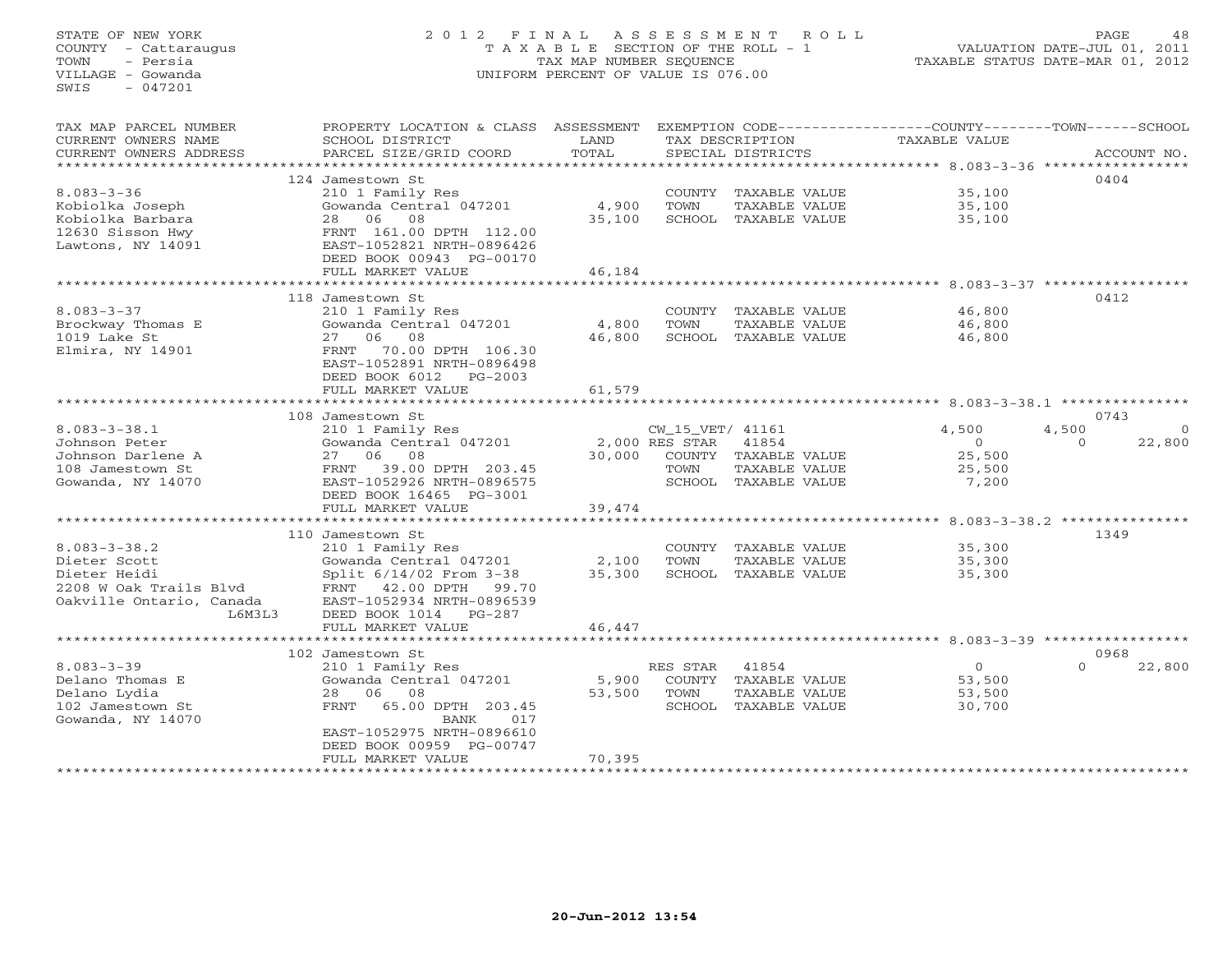# STATE OF NEW YORK 2 0 1 2 F I N A L A S S E S S M E N T R O L L PAGE 48 COUNTY - Cattaraugus T A X A B L E SECTION OF THE ROLL - 1 VALUATION DATE-JUL 01, 2011 TOWN - Persia TAX MAP NUMBER SEQUENCE TAXABLE STATUS DATE-MAR 01, 2012 VILLAGE - Gowanda UNIFORM PERCENT OF VALUE IS 076.00UNIFORM PERCENT OF VALUE IS 076.00

| TAX MAP PARCEL NUMBER    | PROPERTY LOCATION & CLASS ASSESSMENT |               |                  |                      | EXEMPTION CODE-----------------COUNTY-------TOWN------SCHOOL      |          |             |
|--------------------------|--------------------------------------|---------------|------------------|----------------------|-------------------------------------------------------------------|----------|-------------|
| CURRENT OWNERS NAME      | SCHOOL DISTRICT                      | LAND          |                  | TAX DESCRIPTION      | TAXABLE VALUE                                                     |          |             |
| CURRENT OWNERS ADDRESS   | PARCEL SIZE/GRID COORD               | TOTAL         |                  | SPECIAL DISTRICTS    |                                                                   |          | ACCOUNT NO. |
| *******************      |                                      | ************* |                  |                      | *********************************** 8.083-3-36 *****************  |          |             |
|                          | 124 Jamestown St                     |               |                  |                      |                                                                   | 0404     |             |
| $8.083 - 3 - 36$         | 210 1 Family Res                     |               | COUNTY           | TAXABLE VALUE        | 35,100                                                            |          |             |
| Kobiolka Joseph          | Gowanda Central 047201               | 4,900         | TOWN             | TAXABLE VALUE        | 35,100                                                            |          |             |
| Kobiolka Barbara         | 06<br>08<br>28                       | 35,100        | SCHOOL           | TAXABLE VALUE        | 35,100                                                            |          |             |
| 12630 Sisson Hwy         | FRNT 161.00 DPTH 112.00              |               |                  |                      |                                                                   |          |             |
| Lawtons, NY 14091        | EAST-1052821 NRTH-0896426            |               |                  |                      |                                                                   |          |             |
|                          | DEED BOOK 00943 PG-00170             |               |                  |                      |                                                                   |          |             |
|                          | FULL MARKET VALUE                    | 46,184        |                  |                      |                                                                   |          |             |
|                          | ************************             |               |                  |                      |                                                                   |          |             |
|                          | 118 Jamestown St                     |               |                  |                      |                                                                   | 0412     |             |
| $8.083 - 3 - 37$         | 210 1 Family Res                     |               |                  | COUNTY TAXABLE VALUE | 46,800                                                            |          |             |
|                          | Gowanda Central 047201               | 4,800         | TOWN             |                      | 46,800                                                            |          |             |
| Brockway Thomas E        | 06<br>08<br>27                       | 46,800        | SCHOOL           | TAXABLE VALUE        |                                                                   |          |             |
| 1019 Lake St             |                                      |               |                  | TAXABLE VALUE        | 46,800                                                            |          |             |
| Elmira, NY 14901         | 70.00 DPTH 106.30<br>FRNT            |               |                  |                      |                                                                   |          |             |
|                          | EAST-1052891 NRTH-0896498            |               |                  |                      |                                                                   |          |             |
|                          | DEED BOOK 6012 PG-2003               |               |                  |                      |                                                                   |          |             |
|                          | FULL MARKET VALUE                    | 61,579        |                  |                      |                                                                   |          |             |
|                          |                                      |               |                  |                      |                                                                   |          |             |
|                          | 108 Jamestown St                     |               |                  |                      |                                                                   | 0743     |             |
| $8.083 - 3 - 38.1$       | 210 1 Family Res                     |               | CW_15_VET/ 41161 |                      | 4,500                                                             | 4,500    | $\Omega$    |
| Johnson Peter            | Gowanda Central 047201               |               | 2,000 RES STAR   | 41854                | $\circ$                                                           | $\Omega$ | 22,800      |
| Johnson Darlene A        | 08<br>27 06                          | 30,000        |                  | COUNTY TAXABLE VALUE | 25,500                                                            |          |             |
| 108 Jamestown St         | FRNT<br>39.00 DPTH 203.45            |               | TOWN             | TAXABLE VALUE        | 25,500                                                            |          |             |
| Gowanda, NY 14070        | EAST-1052926 NRTH-0896575            |               |                  | SCHOOL TAXABLE VALUE | 7,200                                                             |          |             |
|                          | DEED BOOK 16465 PG-3001              |               |                  |                      |                                                                   |          |             |
|                          | FULL MARKET VALUE                    | 39,474        |                  |                      |                                                                   |          |             |
|                          |                                      |               |                  |                      | ******************** 8.083-3-38.2 ***************                 |          |             |
|                          | 110 Jamestown St                     |               |                  |                      |                                                                   | 1349     |             |
| $8.083 - 3 - 38.2$       | 210 1 Family Res                     |               |                  | COUNTY TAXABLE VALUE | 35,300                                                            |          |             |
| Dieter Scott             | Gowanda Central 047201               | 2,100         | TOWN             | TAXABLE VALUE        | 35,300                                                            |          |             |
| Dieter Heidi             | Split 6/14/02 From 3-38              | 35,300        |                  | SCHOOL TAXABLE VALUE | 35,300                                                            |          |             |
| 2208 W Oak Trails Blvd   | FRNT 42.00 DPTH<br>99.70             |               |                  |                      |                                                                   |          |             |
| Oakville Ontario, Canada | EAST-1052934 NRTH-0896539            |               |                  |                      |                                                                   |          |             |
| L6M3L3                   | DEED BOOK 1014<br>$PG-287$           |               |                  |                      |                                                                   |          |             |
|                          | FULL MARKET VALUE                    | 46,447        |                  |                      |                                                                   |          |             |
|                          | *********************                |               |                  |                      | ·************************************ 8.083_3_30 **************** |          |             |
|                          | 102 Jamestown St                     |               |                  |                      |                                                                   | 0968     |             |
| $8.083 - 3 - 39$         | 210 1 Family Res                     |               | RES STAR         | 41854                | $\overline{0}$                                                    | $\Omega$ | 22,800      |
| Delano Thomas E          | Gowanda Central 047201               | 5,900         |                  | COUNTY TAXABLE VALUE | 53,500                                                            |          |             |
| Delano Lydia             | 08<br>28<br>06                       | 53,500        | TOWN             | TAXABLE VALUE        | 53,500                                                            |          |             |
| 102 Jamestown St         | FRNT<br>65.00 DPTH 203.45            |               | SCHOOL           | TAXABLE VALUE        | 30,700                                                            |          |             |
| Gowanda, NY 14070        | <b>BANK</b><br>017                   |               |                  |                      |                                                                   |          |             |
|                          | EAST-1052975 NRTH-0896610            |               |                  |                      |                                                                   |          |             |
|                          | DEED BOOK 00959 PG-00747             |               |                  |                      |                                                                   |          |             |
|                          | FULL MARKET VALUE                    | 70,395        |                  |                      |                                                                   |          |             |
|                          |                                      |               |                  |                      |                                                                   |          |             |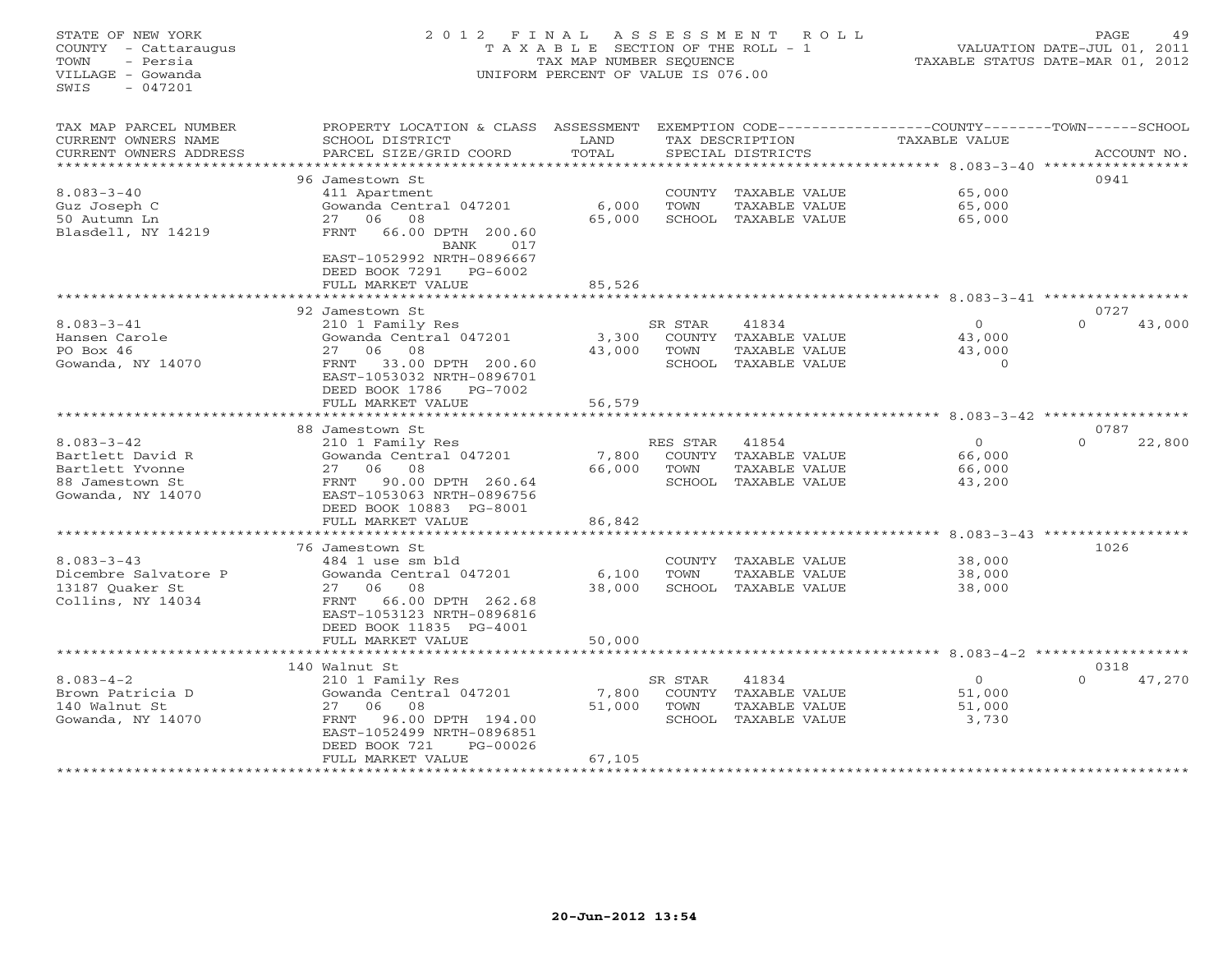#### STATE OF NEW YORK 2 0 1 2 F I N A L A S S E S S M E N T R O L L PAGE 49 COUNTY - Cattaraugus T A X A B L E SECTION OF THE ROLL - 1 VALUATION DATE-JUL 01, 2011 TOWN - Persia TAX MAP NUMBER SEQUENCE TAXABLE STATUS DATE-MAR 01, 2012 VILLAGE - Gowanda UNIFORM PERCENT OF VALUE IS 076.00UNIFORM PERCENT OF VALUE IS 076.00

| TAX MAP PARCEL NUMBER  | PROPERTY LOCATION & CLASS ASSESSMENT                     |                     |               |                      | EXEMPTION CODE-----------------COUNTY-------TOWN------SCHOOL    |                                    |
|------------------------|----------------------------------------------------------|---------------------|---------------|----------------------|-----------------------------------------------------------------|------------------------------------|
| CURRENT OWNERS NAME    | SCHOOL DISTRICT                                          | LAND                |               | TAX DESCRIPTION      | TAXABLE VALUE                                                   |                                    |
| CURRENT OWNERS ADDRESS | PARCEL SIZE/GRID COORD                                   | TOTAL               |               | SPECIAL DISTRICTS    |                                                                 | ACCOUNT NO.                        |
|                        |                                                          | * * * * * * * *     |               |                      | ************ 8.083-3-40 ***********                             |                                    |
|                        | 96 Jamestown St                                          |                     |               |                      |                                                                 | 0941                               |
| $8.083 - 3 - 40$       | 411 Apartment                                            |                     | COUNTY        | TAXABLE VALUE        | 65,000                                                          |                                    |
| Guz Joseph C           | Gowanda Central 047201                                   | 6,000               | TOWN          | <b>TAXABLE VALUE</b> | 65,000                                                          |                                    |
|                        |                                                          |                     |               |                      |                                                                 |                                    |
| 50 Autumn Ln           | 27 06 08                                                 | 65,000              |               | SCHOOL TAXABLE VALUE | 65,000                                                          |                                    |
| Blasdell, NY 14219     | 66.00 DPTH 200.60<br>FRNT<br>BANK<br>017                 |                     |               |                      |                                                                 |                                    |
|                        | EAST-1052992 NRTH-0896667<br>DEED BOOK 7291<br>$PG-6002$ |                     |               |                      |                                                                 |                                    |
|                        | FULL MARKET VALUE                                        | 85,526              |               |                      |                                                                 |                                    |
|                        |                                                          |                     |               |                      | $*********$ 8.083-3-41 **************                           |                                    |
|                        | 92 Jamestown St                                          |                     |               |                      |                                                                 | 0727                               |
| $8.083 - 3 - 41$       | 210 1 Family Res                                         |                     | SR STAR       | 41834                | $\circ$                                                         | $\Omega$<br>43,000                 |
| Hansen Carole          | Gowanda Central 047201                                   | 3,300               | COUNTY        | TAXABLE VALUE        | 43,000                                                          |                                    |
| PO Box 46              | 27 06 08                                                 | 43,000              | TOWN          | <b>TAXABLE VALUE</b> | 43,000                                                          |                                    |
| Gowanda, NY 14070      | 33.00 DPTH 200.60<br>FRNT                                |                     | SCHOOL        | TAXABLE VALUE        | $\Omega$                                                        |                                    |
|                        | EAST-1053032 NRTH-0896701                                |                     |               |                      |                                                                 |                                    |
|                        |                                                          |                     |               |                      |                                                                 |                                    |
|                        | DEED BOOK 1786<br>PG-7002                                |                     |               |                      |                                                                 |                                    |
|                        | FULL MARKET VALUE<br>******************                  | 56,579              |               |                      | ***************** 8.083-3-42 ******************                 |                                    |
|                        |                                                          |                     |               |                      |                                                                 |                                    |
|                        | 88 Jamestown St                                          |                     |               |                      |                                                                 | 0787                               |
| $8.083 - 3 - 42$       | 210 1 Family Res                                         |                     | RES STAR      | 41854                | $\Omega$                                                        | $\Omega$<br>22,800                 |
| Bartlett David R       | Gowanda Central 047201                                   | 7,800               | COUNTY        | TAXABLE VALUE        | 66,000                                                          |                                    |
| Bartlett Yvonne        | 27 06<br>08                                              | 66,000              | TOWN          | <b>TAXABLE VALUE</b> | 66,000                                                          |                                    |
| 88 Jamestown St        | 90.00 DPTH 260.64<br>FRNT                                |                     |               | SCHOOL TAXABLE VALUE | 43,200                                                          |                                    |
| Gowanda, NY 14070      | EAST-1053063 NRTH-0896756                                |                     |               |                      |                                                                 |                                    |
|                        | DEED BOOK 10883 PG-8001                                  |                     |               |                      |                                                                 |                                    |
|                        | FULL MARKET VALUE                                        | 86,842              |               |                      |                                                                 |                                    |
|                        |                                                          |                     |               |                      |                                                                 | $8.083 - 3 - 43$ ***************** |
|                        | 76 Jamestown St                                          |                     |               |                      |                                                                 | 1026                               |
| $8.083 - 3 - 43$       | 484 1 use sm bld                                         |                     | COUNTY        | TAXABLE VALUE        | 38,000                                                          |                                    |
| Dicembre Salvatore P   | Gowanda Central 047201                                   | 6,100               | TOWN          | <b>TAXABLE VALUE</b> | 38,000                                                          |                                    |
| 13187 Ouaker St        | 27<br>06 08                                              | 38,000              | SCHOOL        | TAXABLE VALUE        | 38,000                                                          |                                    |
| Collins, NY 14034      | 66.00 DPTH 262.68<br>FRNT                                |                     |               |                      |                                                                 |                                    |
|                        | EAST-1053123 NRTH-0896816                                |                     |               |                      |                                                                 |                                    |
|                        | DEED BOOK 11835 PG-4001                                  |                     |               |                      |                                                                 |                                    |
|                        | FULL MARKET VALUE                                        | 50,000              |               |                      |                                                                 |                                    |
|                        | *********************                                    | * * * * * * * * * * |               |                      | ********************************* 8.083-4-2 ******************* |                                    |
|                        | 140 Walnut St                                            |                     |               |                      |                                                                 | 0318                               |
|                        |                                                          |                     |               |                      |                                                                 |                                    |
| $8.083 - 4 - 2$        | 210 1 Family Res                                         |                     | SR STAR       | 41834                | $\circ$                                                         | $\Omega$<br>47,270                 |
| Brown Patricia D       | Gowanda Central 047201                                   | 7,800               | <b>COUNTY</b> | TAXABLE VALUE        | 51,000                                                          |                                    |
| 140 Walnut St          | 06<br>08<br>27                                           | 51,000              | TOWN          | TAXABLE VALUE        | 51,000                                                          |                                    |
| Gowanda, NY 14070      | 96.00 DPTH 194.00<br>FRNT                                |                     | SCHOOL        | TAXABLE VALUE        | 3,730                                                           |                                    |
|                        | EAST-1052499 NRTH-0896851                                |                     |               |                      |                                                                 |                                    |
|                        | DEED BOOK 721<br>PG-00026                                |                     |               |                      |                                                                 |                                    |
|                        | FULL MARKET VALUE                                        | 67,105              |               |                      |                                                                 |                                    |
|                        |                                                          |                     |               |                      |                                                                 |                                    |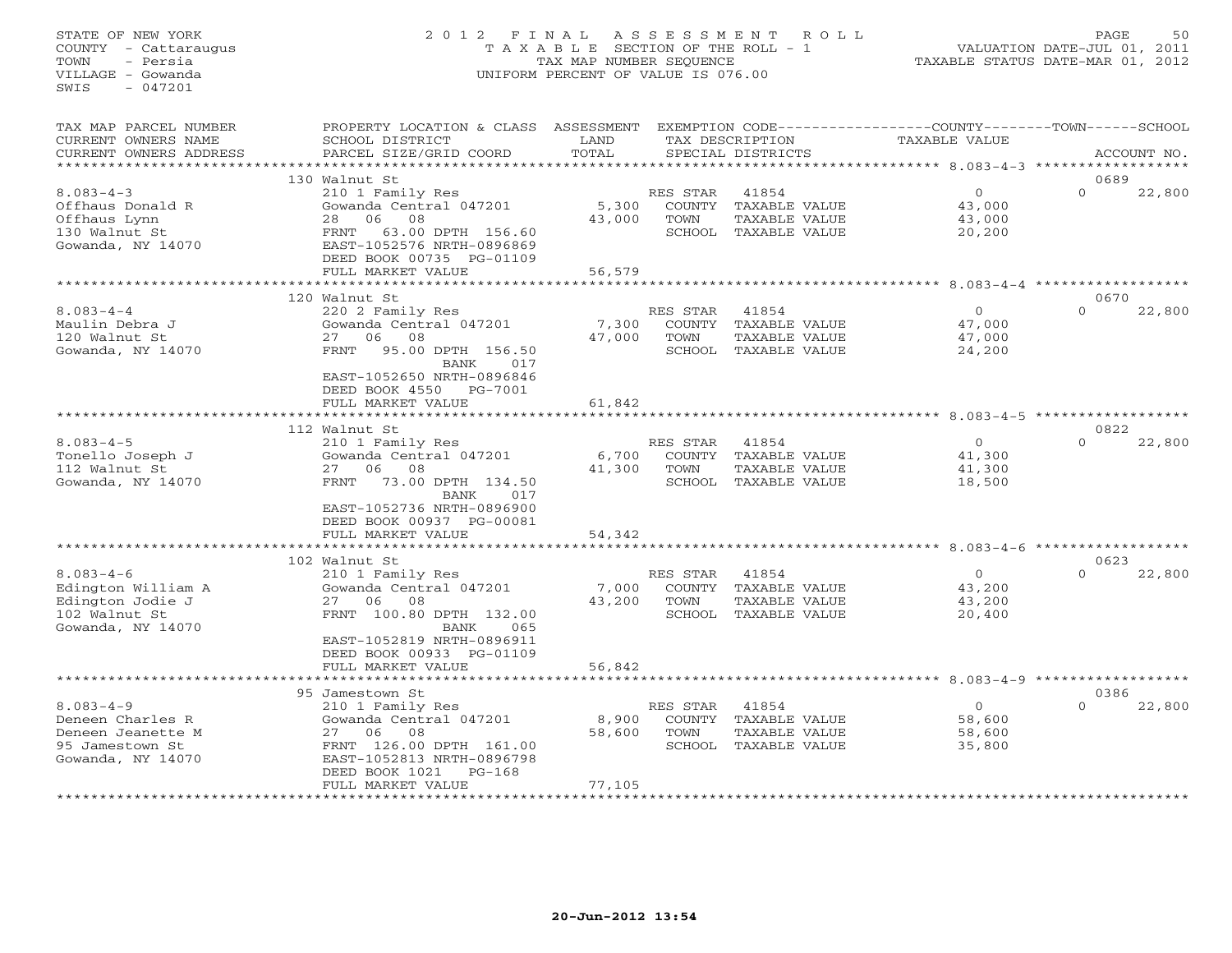## STATE OF NEW YORK 2 0 1 2 F I N A L A S S E S S M E N T R O L L PAGE 50 COUNTY - Cattaraugus T A X A B L E SECTION OF THE ROLL - 1 VALUATION DATE-JUL 01, 2011 TOWN - Persia TAX MAP NUMBER SEQUENCE TAXABLE STATUS DATE-MAR 01, 2012 VILLAGE - Gowanda UNIFORM PERCENT OF VALUE IS 076.00UNIFORM PERCENT OF VALUE IS 076.00

| TAX MAP PARCEL NUMBER<br>CURRENT OWNERS NAME<br>CURRENT OWNERS ADDRESS                           | PROPERTY LOCATION & CLASS<br>SCHOOL DISTRICT<br>PARCEL SIZE/GRID COORD                                                                                                                                           | ASSESSMENT<br>LAND<br>TOTAL |                                             | TAX DESCRIPTION<br>SPECIAL DISTRICTS                            | EXEMPTION CODE-----------------COUNTY-------TOWN------SCHOOL<br>TAXABLE VALUE |                  | ACCOUNT NO. |
|--------------------------------------------------------------------------------------------------|------------------------------------------------------------------------------------------------------------------------------------------------------------------------------------------------------------------|-----------------------------|---------------------------------------------|-----------------------------------------------------------------|-------------------------------------------------------------------------------|------------------|-------------|
|                                                                                                  |                                                                                                                                                                                                                  |                             |                                             |                                                                 |                                                                               |                  |             |
| $8.083 - 4 - 3$<br>Offhaus Donald R<br>Offhaus Lynn<br>130 Walnut St<br>Gowanda, NY 14070        | 130 Walnut St<br>210 1 Family Res<br>Gowanda Central 047201<br>08<br>06<br>28<br><b>FRNT</b><br>63.00 DPTH 156.60<br>EAST-1052576 NRTH-0896869<br>DEED BOOK 00735 PG-01109<br>FULL MARKET VALUE                  | 5,300<br>43,000<br>56,579   | RES STAR<br>COUNTY<br>TOWN                  | 41854<br>TAXABLE VALUE<br>TAXABLE VALUE<br>SCHOOL TAXABLE VALUE | $\circ$<br>43,000<br>43,000<br>20,200                                         | 0689<br>$\cap$   | 22,800      |
|                                                                                                  |                                                                                                                                                                                                                  |                             |                                             |                                                                 |                                                                               |                  |             |
| $8.083 - 4 - 4$<br>Maulin Debra J<br>120 Walnut St<br>Gowanda, NY 14070                          | 120 Walnut St<br>220 2 Family Res<br>Gowanda Central 047201<br>08<br>27<br>06<br><b>FRNT</b><br>95.00 DPTH 156.50<br>BANK<br>017<br>EAST-1052650 NRTH-0896846<br>DEED BOOK 4550<br>PG-7001                       | 7,300<br>47,000             | RES STAR<br><b>COUNTY</b><br>TOWN<br>SCHOOL | 41854<br>TAXABLE VALUE<br>TAXABLE VALUE<br>TAXABLE VALUE        | $\circ$<br>47,000<br>47,000<br>24,200                                         | 0670<br>$\Omega$ | 22,800      |
|                                                                                                  | FULL MARKET VALUE                                                                                                                                                                                                | 61,842                      |                                             |                                                                 | *********************** 8.083-4-5 *************                               |                  |             |
|                                                                                                  | 112 Walnut St                                                                                                                                                                                                    |                             |                                             |                                                                 |                                                                               | 0822             |             |
| $8.083 - 4 - 5$<br>Tonello Joseph J<br>112 Walnut St<br>Gowanda, NY 14070                        | 210 1 Family Res<br>Gowanda Central 047201<br>08<br>2.7<br>06<br>73.00 DPTH 134.50<br><b>FRNT</b><br>BANK<br>017<br>EAST-1052736 NRTH-0896900<br>DEED BOOK 00937 PG-00081                                        | 6,700<br>41,300             | RES STAR<br><b>COUNTY</b><br>TOWN           | 41854<br>TAXABLE VALUE<br>TAXABLE VALUE<br>SCHOOL TAXABLE VALUE | $\Omega$<br>41,300<br>41,300<br>18,500                                        | $\Omega$         | 22,800      |
|                                                                                                  | FULL MARKET VALUE                                                                                                                                                                                                | 54,342                      |                                             |                                                                 |                                                                               |                  |             |
|                                                                                                  |                                                                                                                                                                                                                  |                             |                                             |                                                                 | $8.083 - 4 - 6$                                                               | ************     |             |
| $8.083 - 4 - 6$<br>Edington William A<br>Edington Jodie J<br>102 Walnut St<br>Gowanda, NY 14070  | 102 Walnut St<br>210 1 Family Res<br>Gowanda Central 047201<br>27<br>06<br>08<br>FRNT 100.80 DPTH 132.00<br>065<br>BANK<br>EAST-1052819 NRTH-0896911<br>DEED BOOK 00933 PG-01109                                 | 7,000<br>43,200             | RES STAR<br>COUNTY<br>TOWN<br>SCHOOL        | 41854<br>TAXABLE VALUE<br>TAXABLE VALUE<br>TAXABLE VALUE        | $\circ$<br>43,200<br>43,200<br>20,400                                         | 0623<br>$\Omega$ | 22,800      |
|                                                                                                  | FULL MARKET VALUE<br>*************************                                                                                                                                                                   | 56,842                      |                                             |                                                                 |                                                                               |                  |             |
|                                                                                                  | 95 Jamestown St                                                                                                                                                                                                  |                             |                                             |                                                                 |                                                                               | 0386             |             |
| $8.083 - 4 - 9$<br>Deneen Charles R<br>Deneen Jeanette M<br>95 Jamestown St<br>Gowanda, NY 14070 | 210 1 Family Res<br>Gowanda Central 047201<br>06<br>08<br>27<br>FRNT 126.00 DPTH 161.00<br>EAST-1052813 NRTH-0896798<br>DEED BOOK 1021<br>$PG-168$<br>FULL MARKET VALUE<br>* * * * * * * * * * * * * * * * * * * | 8,900<br>58,600<br>77,105   | RES STAR<br>COUNTY<br>TOWN                  | 41854<br>TAXABLE VALUE<br>TAXABLE VALUE<br>SCHOOL TAXABLE VALUE | $\circ$<br>58,600<br>58,600<br>35,800                                         | $\Omega$         | 22,800      |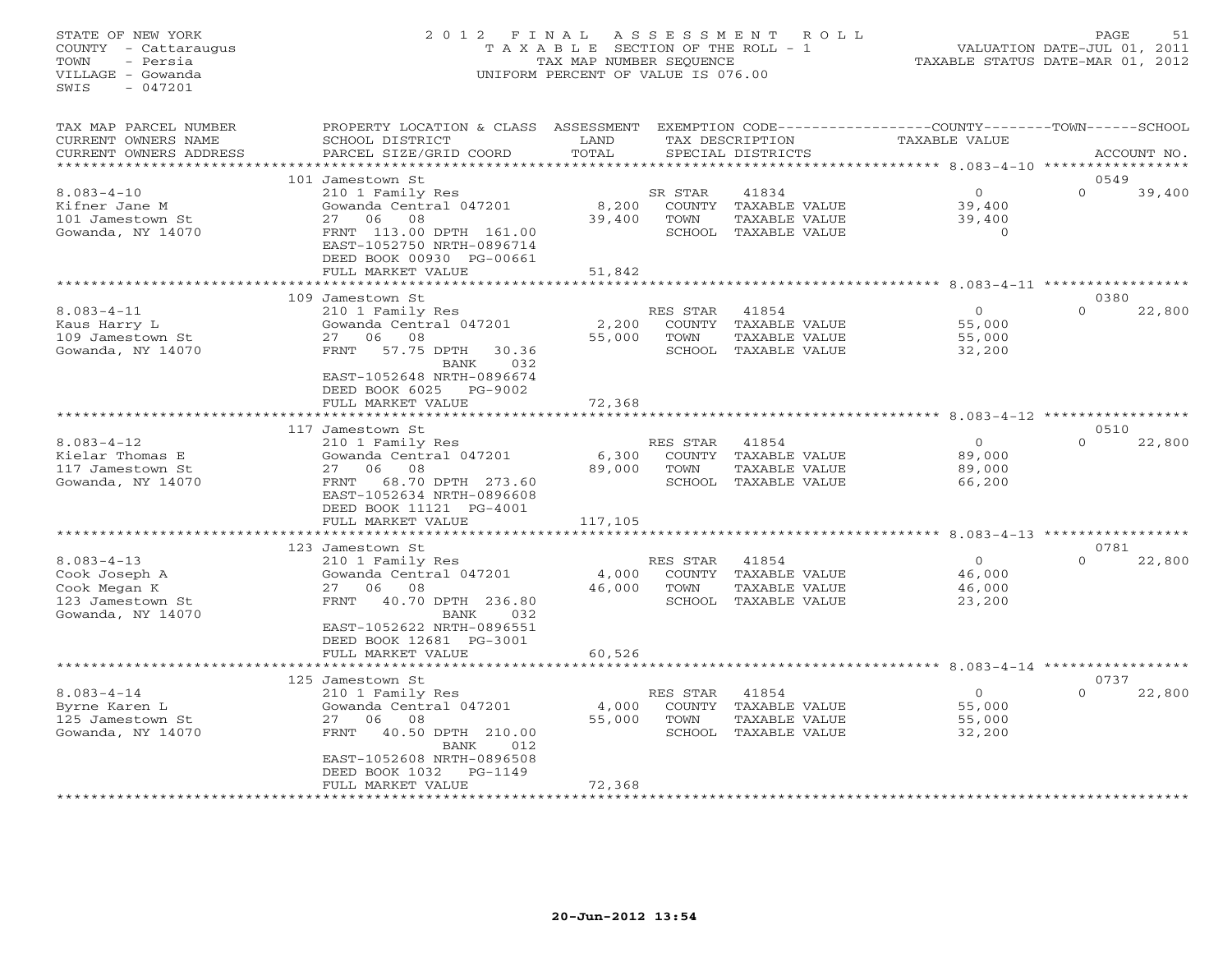## STATE OF NEW YORK 2 0 1 2 F I N A L A S S E S S M E N T R O L L PAGE 51 COUNTY - Cattaraugus T A X A B L E SECTION OF THE ROLL - 1 VALUATION DATE-JUL 01, 2011 TOWN - Persia TAX MAP NUMBER SEQUENCE TAXABLE STATUS DATE-MAR 01, 2012 VILLAGE - Gowanda UNIFORM PERCENT OF VALUE IS 076.00UNIFORM PERCENT OF VALUE IS 076.00

| TAX MAP PARCEL NUMBER<br>CURRENT OWNERS NAME<br>CURRENT OWNERS ADDRESS                     | PROPERTY LOCATION & CLASS<br>SCHOOL DISTRICT<br>PARCEL SIZE/GRID COORD                                                                                                                                                      | ASSESSMENT<br>LAND<br>TOTAL<br>* * * * * * * * * |                                             | TAX DESCRIPTION<br>SPECIAL DISTRICTS                                   | EXEMPTION CODE----------------COUNTY-------TOWN-----SCHOOL<br>TAXABLE VALUE<br>$**********8.083-4-10$ |                  | ACCOUNT NO. |
|--------------------------------------------------------------------------------------------|-----------------------------------------------------------------------------------------------------------------------------------------------------------------------------------------------------------------------------|--------------------------------------------------|---------------------------------------------|------------------------------------------------------------------------|-------------------------------------------------------------------------------------------------------|------------------|-------------|
|                                                                                            | 101 Jamestown St                                                                                                                                                                                                            |                                                  |                                             |                                                                        |                                                                                                       | 0549             |             |
| $8.083 - 4 - 10$<br>Kifner Jane M<br>101 Jamestown St<br>Gowanda, NY 14070                 | 210 1 Family Res<br>Gowanda Central 047201<br>06<br>08<br>27<br>FRNT 113.00 DPTH 161.00<br>EAST-1052750 NRTH-0896714<br>DEED BOOK 00930 PG-00661<br>FULL MARKET VALUE                                                       | 8,200<br>39,400<br>51,842                        | SR STAR<br>TOWN<br>SCHOOL                   | 41834<br>COUNTY TAXABLE VALUE<br>TAXABLE VALUE<br>TAXABLE VALUE        | $\Omega$<br>39,400<br>39,400<br>$\Omega$                                                              | $\Omega$         | 39,400      |
|                                                                                            | ****************                                                                                                                                                                                                            |                                                  |                                             |                                                                        | $***************************$ 8.083-4-11                                                              |                  |             |
|                                                                                            | 109 Jamestown St                                                                                                                                                                                                            |                                                  |                                             |                                                                        |                                                                                                       | 0380             |             |
| $8.083 - 4 - 11$<br>Kaus Harry L<br>109 Jamestown St<br>Gowanda, NY 14070                  | 210 1 Family Res<br>Gowanda Central 047201<br>08<br>27<br>06<br>57.75 DPTH<br><b>FRNT</b><br>30.36<br>BANK<br>032<br>EAST-1052648 NRTH-0896674<br>DEED BOOK 6025<br>PG-9002                                                 | 2,200<br>55,000                                  | RES STAR<br>COUNTY<br>TOWN<br>SCHOOL        | 41854<br>TAXABLE VALUE<br>TAXABLE VALUE<br>TAXABLE VALUE               | $\Omega$<br>55,000<br>55,000<br>32,200                                                                | $\Omega$         | 22,800      |
|                                                                                            | FULL MARKET VALUE<br>******************                                                                                                                                                                                     | 72,368<br>********                               |                                             |                                                                        | $8.083 - 4 - 12$ ************                                                                         |                  |             |
|                                                                                            |                                                                                                                                                                                                                             |                                                  |                                             |                                                                        |                                                                                                       |                  |             |
| $8.083 - 4 - 12$<br>Kielar Thomas E<br>117 Jamestown St<br>Gowanda, NY 14070               | 117 Jamestown St<br>210 1 Family Res<br>Gowanda Central 047201<br>06<br>08<br>27<br>68.70 DPTH 273.60<br>FRNT<br>EAST-1052634 NRTH-0896608<br>DEED BOOK 11121 PG-4001<br>FULL MARKET VALUE                                  | 6,300<br>89,000<br>117,105                       | RES STAR<br><b>COUNTY</b><br>TOWN<br>SCHOOL | 41854<br>TAXABLE VALUE<br><b>TAXABLE VALUE</b><br>TAXABLE VALUE        | $\circ$<br>89,000<br>89,000<br>66,200                                                                 | 0510<br>$\Omega$ | 22,800      |
|                                                                                            | ******************                                                                                                                                                                                                          |                                                  | ************************                    |                                                                        | $8.083 - 4 - 13$ ******************<br>* * * * * * * * * * *                                          |                  |             |
|                                                                                            | 123 Jamestown St                                                                                                                                                                                                            |                                                  |                                             |                                                                        |                                                                                                       | 0781             |             |
| $8.083 - 4 - 13$<br>Cook Joseph A<br>Cook Megan K<br>123 Jamestown St<br>Gowanda, NY 14070 | 210 1 Family Res<br>Gowanda Central 047201<br>27<br>06<br>08<br><b>FRNT</b><br>40.70 DPTH 236.80<br>BANK<br>032<br>EAST-1052622 NRTH-0896551<br>DEED BOOK 12681 PG-3001                                                     | 4,000<br>46,000                                  | RES STAR<br><b>COUNTY</b><br>TOWN           | 41854<br>TAXABLE VALUE<br><b>TAXABLE VALUE</b><br>SCHOOL TAXABLE VALUE | $\Omega$<br>46,000<br>46,000<br>23,200                                                                | $\Omega$         | 22,800      |
|                                                                                            | FULL MARKET VALUE                                                                                                                                                                                                           | 60,526                                           |                                             |                                                                        |                                                                                                       |                  |             |
|                                                                                            |                                                                                                                                                                                                                             |                                                  |                                             |                                                                        | ********************************* 8.083-4-14 ******                                                   |                  |             |
| $8.083 - 4 - 14$<br>Byrne Karen L<br>125 Jamestown St<br>Gowanda, NY 14070                 | 125 Jamestown St<br>210 1 Family Res<br>Gowanda Central 047201<br>27<br>06<br>08<br><b>FRNT</b><br>40.50 DPTH 210.00<br><b>BANK</b><br>012<br>EAST-1052608 NRTH-0896508<br>DEED BOOK 1032<br>$PG-1149$<br>FULL MARKET VALUE | 4,000<br>55,000<br>72,368                        | RES STAR<br>COUNTY<br>TOWN<br>SCHOOL        | 41854<br>TAXABLE VALUE<br>TAXABLE VALUE<br>TAXABLE VALUE               | $\circ$<br>55,000<br>55,000<br>32,200                                                                 | 0737<br>$\Omega$ | 22,800      |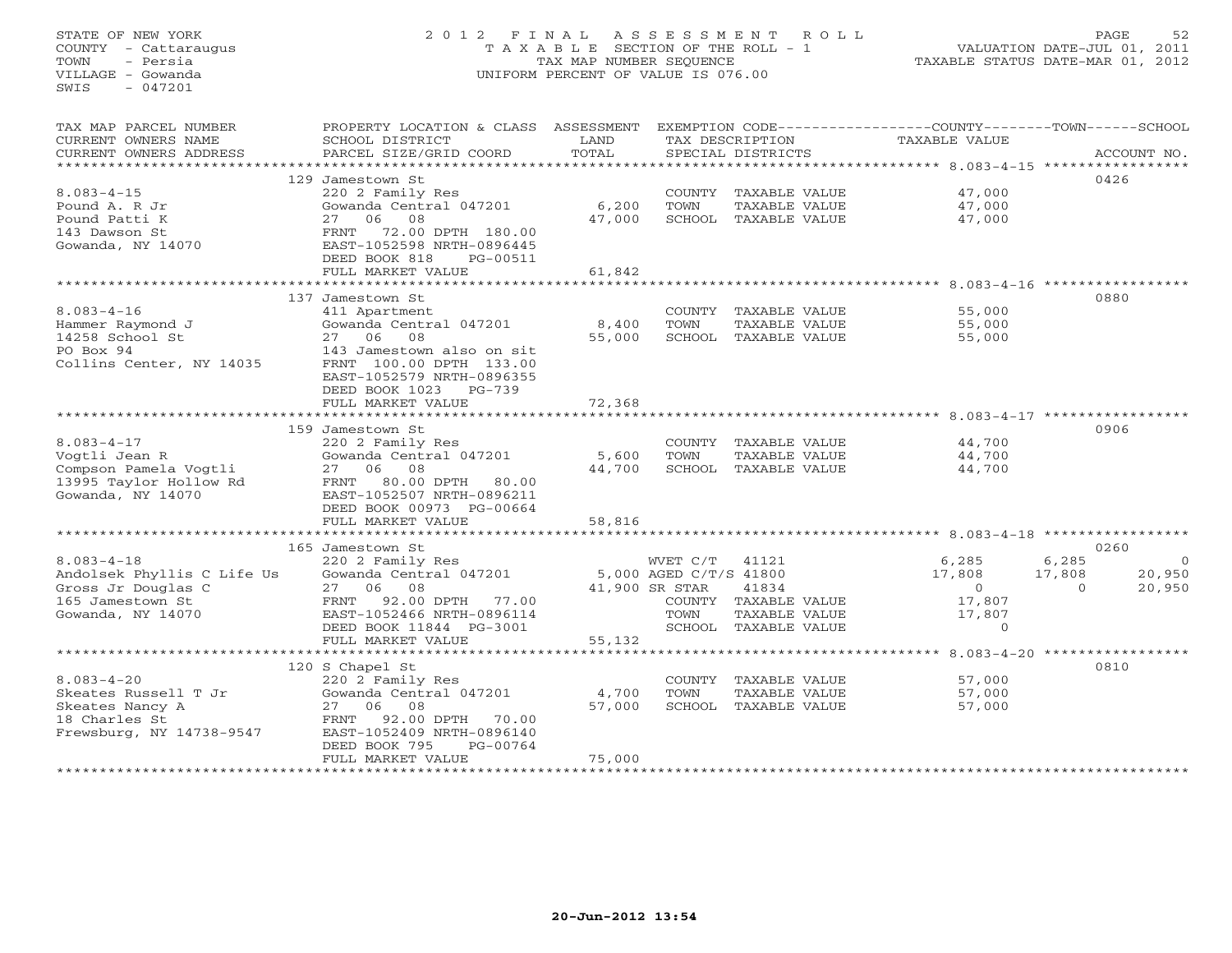#### STATE OF NEW YORK 2 0 1 2 F I N A L A S S E S S M E N T R O L L PAGE 52COUNTY - Cattaraugus T A X A B L E SECTION OF THE ROLL - 1 VALUATION DATE-JUL 01, 2011 TOWN - Persia TAX MAP NUMBER SEQUENCE TAXABLE STATUS DATE-MAR 01, 2012 VILLAGE - Gowanda UNIFORM PERCENT OF VALUE IS 076.00

VALUATION DATE-JUL 01, 2011

| TAX MAP PARCEL NUMBER      | PROPERTY LOCATION & CLASS           | ASSESSMENT |                        |                      | EXEMPTION CODE-----------------COUNTY-------TOWN------SCHOOL |          |             |
|----------------------------|-------------------------------------|------------|------------------------|----------------------|--------------------------------------------------------------|----------|-------------|
| CURRENT OWNERS NAME        | SCHOOL DISTRICT                     | LAND       |                        | TAX DESCRIPTION      | TAXABLE VALUE                                                |          |             |
| CURRENT OWNERS ADDRESS     | PARCEL SIZE/GRID COORD              | TOTAL      |                        | SPECIAL DISTRICTS    |                                                              |          | ACCOUNT NO. |
| **********************     |                                     |            |                        |                      |                                                              |          |             |
|                            | 129 Jamestown St                    |            |                        |                      |                                                              |          | 0426        |
| $8.083 - 4 - 15$           | 220 2 Family Res                    |            | COUNTY                 | TAXABLE VALUE        | 47,000                                                       |          |             |
| Pound A. R Jr              | Gowanda Central 047201              | 6,200      | TOWN                   | TAXABLE VALUE        | 47,000                                                       |          |             |
| Pound Patti K              | 08<br>27 06                         | 47,000     |                        | SCHOOL TAXABLE VALUE | 47,000                                                       |          |             |
| 143 Dawson St              | 72.00 DPTH 180.00<br>FRNT           |            |                        |                      |                                                              |          |             |
| Gowanda, NY 14070          | EAST-1052598 NRTH-0896445           |            |                        |                      |                                                              |          |             |
|                            | DEED BOOK 818<br>PG-00511           |            |                        |                      |                                                              |          |             |
|                            | FULL MARKET VALUE                   | 61,842     |                        |                      |                                                              |          |             |
|                            | **********************************  |            |                        |                      |                                                              |          |             |
|                            | 137 Jamestown St                    |            |                        |                      |                                                              |          | 0880        |
| $8.083 - 4 - 16$           | 411 Apartment                       |            |                        | COUNTY TAXABLE VALUE | 55,000                                                       |          |             |
| Hammer Raymond J           | Gowanda Central 047201              | 8,400      | TOWN                   | TAXABLE VALUE        | 55,000                                                       |          |             |
| 14258 School St            | 27 06<br>08                         | 55,000     |                        | SCHOOL TAXABLE VALUE | 55,000                                                       |          |             |
| PO Box 94                  | 143 Jamestown also on sit           |            |                        |                      |                                                              |          |             |
| Collins Center, NY 14035   | FRNT 100.00 DPTH 133.00             |            |                        |                      |                                                              |          |             |
|                            | EAST-1052579 NRTH-0896355           |            |                        |                      |                                                              |          |             |
|                            | DEED BOOK 1023<br>$PG-739$          |            |                        |                      |                                                              |          |             |
|                            | FULL MARKET VALUE                   | 72,368     |                        |                      |                                                              |          |             |
|                            |                                     |            |                        |                      |                                                              |          |             |
|                            | 159 Jamestown St                    |            |                        |                      |                                                              |          | 0906        |
| $8.083 - 4 - 17$           | 220 2 Family Res                    |            |                        | COUNTY TAXABLE VALUE | 44,700                                                       |          |             |
| Vogtli Jean R              | Gowanda Central 047201              | 5,600      | TOWN                   | TAXABLE VALUE        | 44,700                                                       |          |             |
| Compson Pamela Vogtli      | 27 06 08                            | 44,700     |                        | SCHOOL TAXABLE VALUE | 44,700                                                       |          |             |
| 13995 Taylor Hollow Rd     | 80.00 DPTH<br>FRNT<br>80.00         |            |                        |                      |                                                              |          |             |
| Gowanda, NY 14070          | EAST-1052507 NRTH-0896211           |            |                        |                      |                                                              |          |             |
|                            | DEED BOOK 00973 PG-00664            |            |                        |                      |                                                              |          |             |
|                            | FULL MARKET VALUE                   | 58,816     |                        |                      |                                                              |          |             |
|                            | *********************************** |            |                        |                      |                                                              |          |             |
|                            | 165 Jamestown St                    |            |                        |                      |                                                              |          | 0260        |
| $8.083 - 4 - 18$           | 220 2 Family Res                    |            | WVET C/T               | 41121                | 6,285                                                        | 6,285    | $\circ$     |
| Andolsek Phyllis C Life Us | Gowanda Central 047201              |            | 5,000 AGED C/T/S 41800 |                      | 17,808                                                       | 17,808   | 20,950      |
| Gross Jr Douglas C         | 27 06<br>08                         |            | 41,900 SR STAR         | 41834                | $\overline{0}$                                               | $\Omega$ | 20,950      |
| 165 Jamestown St           | 77.00<br>FRNT 92.00 DPTH            |            |                        | COUNTY TAXABLE VALUE | 17,807                                                       |          |             |
| Gowanda, NY 14070          | EAST-1052466 NRTH-0896114           |            | TOWN                   | TAXABLE VALUE        | 17,807                                                       |          |             |
|                            | DEED BOOK 11844 PG-3001             |            |                        | SCHOOL TAXABLE VALUE | $\Omega$                                                     |          |             |
|                            | FULL MARKET VALUE                   | 55,132     |                        |                      |                                                              |          |             |
|                            |                                     |            |                        |                      |                                                              |          |             |
|                            | 120 S Chapel St                     |            |                        |                      |                                                              |          | 0810        |
| $8.083 - 4 - 20$           | 220 2 Family Res                    |            |                        | COUNTY TAXABLE VALUE | 57,000                                                       |          |             |
| Skeates Russell T Jr       | Gowanda Central 047201              | 4,700      | TOWN                   | TAXABLE VALUE        | 57,000                                                       |          |             |
| Skeates Nancy A            | 27 06<br>08                         | 57,000     |                        | SCHOOL TAXABLE VALUE | 57,000                                                       |          |             |
| 18 Charles St              | 92.00 DPTH<br>70.00<br>FRNT         |            |                        |                      |                                                              |          |             |
| Frewsburg, NY 14738-9547   | EAST-1052409 NRTH-0896140           |            |                        |                      |                                                              |          |             |
|                            | DEED BOOK 795<br>PG-00764           |            |                        |                      |                                                              |          |             |
|                            | FULL MARKET VALUE                   | 75,000     |                        |                      |                                                              |          |             |
|                            | ************************            |            |                        |                      |                                                              |          |             |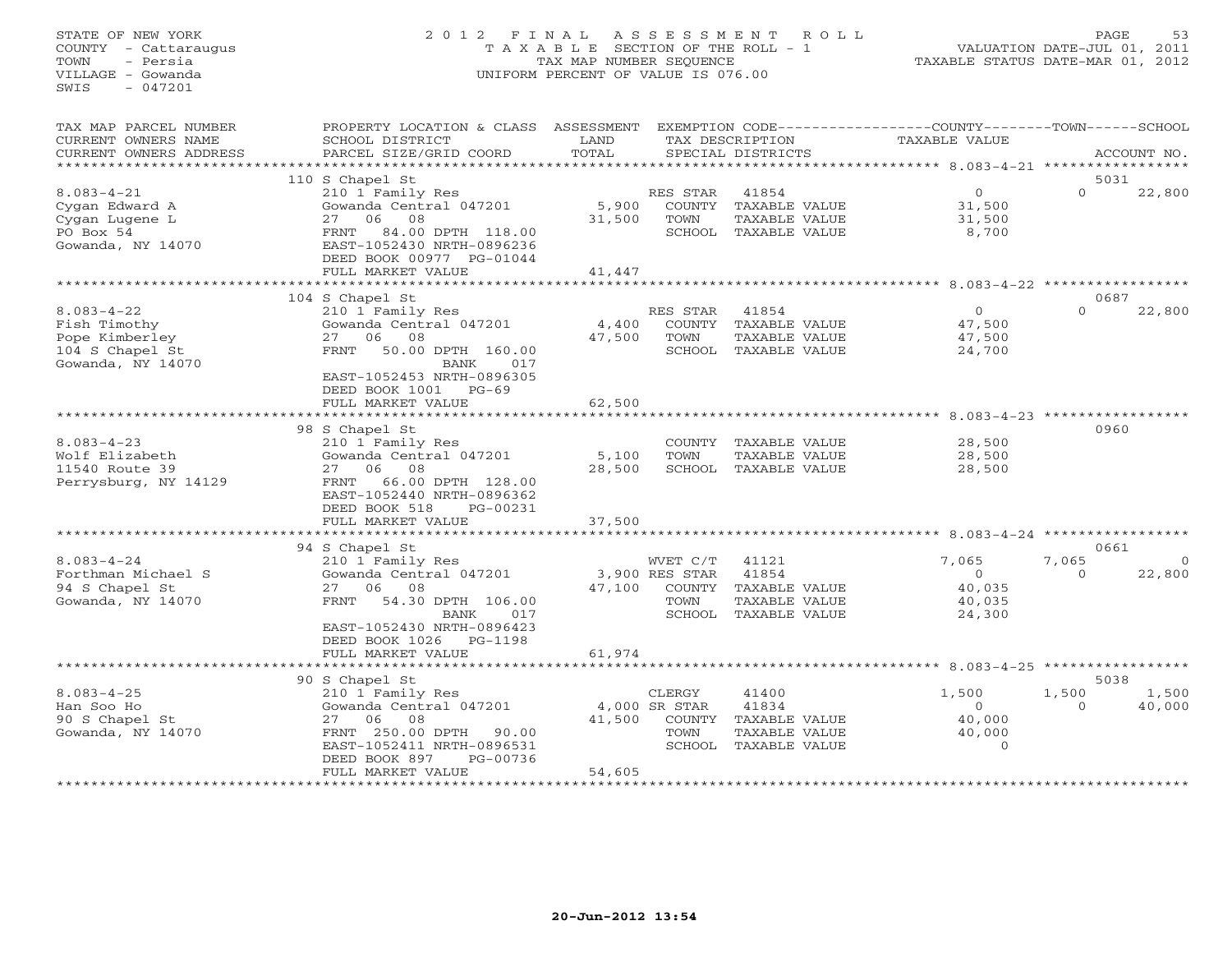## STATE OF NEW YORK 2 0 1 2 F I N A L A S S E S S M E N T R O L L PAGE 53 COUNTY - Cattaraugus T A X A B L E SECTION OF THE ROLL - 1 VALUATION DATE-JUL 01, 2011 TOWN - Persia TAX MAP NUMBER SEQUENCE TAXABLE STATUS DATE-MAR 01, 2012 VILLAGE - Gowanda UNIFORM PERCENT OF VALUE IS 076.00UNIFORM PERCENT OF VALUE IS 076.00

| TAX MAP PARCEL NUMBER<br>CURRENT OWNERS NAME                                               | PROPERTY LOCATION & CLASS<br>SCHOOL DISTRICT                                                                                                                                               | ASSESSMENT<br>LAND        |                                                        | TAX DESCRIPTION                                                   | EXEMPTION CODE-----------------COUNTY-------TOWN------SCHOOL<br>TAXABLE VALUE |                   |                    |
|--------------------------------------------------------------------------------------------|--------------------------------------------------------------------------------------------------------------------------------------------------------------------------------------------|---------------------------|--------------------------------------------------------|-------------------------------------------------------------------|-------------------------------------------------------------------------------|-------------------|--------------------|
| CURRENT OWNERS ADDRESS<br>***********************                                          | PARCEL SIZE/GRID COORD                                                                                                                                                                     | TOTAL                     |                                                        | SPECIAL DISTRICTS                                                 |                                                                               |                   | ACCOUNT NO.        |
|                                                                                            | 110 S Chapel St                                                                                                                                                                            |                           |                                                        |                                                                   |                                                                               | 5031              |                    |
| $8.083 - 4 - 21$<br>Cygan Edward A<br>Cygan Lugene L<br>PO Box 54<br>Gowanda, NY 14070     | 210 1 Family Res<br>Gowanda Central 047201<br>08<br>27<br>06<br>84.00 DPTH 118.00<br>FRNT<br>EAST-1052430 NRTH-0896236<br>DEED BOOK 00977 PG-01044<br>FULL MARKET VALUE                    | 5,900<br>31,500<br>41,447 | RES STAR<br>COUNTY<br>TOWN<br>SCHOOL                   | 41854<br>TAXABLE VALUE<br>TAXABLE VALUE<br>TAXABLE VALUE          | $\overline{0}$<br>31,500<br>31,500<br>8,700                                   | $\Omega$          | 22,800             |
|                                                                                            | ***********************                                                                                                                                                                    |                           |                                                        |                                                                   |                                                                               |                   |                    |
|                                                                                            | 104 S Chapel St                                                                                                                                                                            |                           |                                                        |                                                                   |                                                                               | 0687              |                    |
| $8.083 - 4 - 22$<br>Fish Timothy<br>Pope Kimberley<br>104 S Chapel St<br>Gowanda, NY 14070 | 210 1 Family Res<br>Gowanda Central 047201<br>06<br>08<br>27<br><b>FRNT</b><br>50.00 DPTH 160.00<br>BANK<br>017<br>EAST-1052453 NRTH-0896305<br>DEED BOOK 1001<br>$PG-69$                  | 4,400<br>47,500           | RES STAR<br>COUNTY<br>TOWN<br>SCHOOL                   | 41854<br>TAXABLE VALUE<br>TAXABLE VALUE<br>TAXABLE VALUE          | $\circ$<br>47,500<br>47,500<br>24,700                                         | $\Omega$          | 22,800             |
|                                                                                            | FULL MARKET VALUE                                                                                                                                                                          | 62,500                    |                                                        |                                                                   |                                                                               |                   |                    |
|                                                                                            |                                                                                                                                                                                            |                           |                                                        |                                                                   | $8.083 - 4 - 23$ **********                                                   |                   |                    |
| $8.083 - 4 - 23$<br>Wolf Elizabeth<br>11540 Route 39<br>Perrysburg, NY 14129               | 98 S Chapel St<br>210 1 Family Res<br>Gowanda Central 047201<br>06<br>08<br>27<br>66.00 DPTH 128.00<br>FRNT<br>EAST-1052440 NRTH-0896362<br>DEED BOOK 518<br>PG-00231<br>FULL MARKET VALUE | 5,100<br>28,500<br>37,500 | COUNTY<br>TOWN                                         | TAXABLE VALUE<br>TAXABLE VALUE<br>SCHOOL TAXABLE VALUE            | 28,500<br>28,500<br>28,500                                                    | 0960              |                    |
|                                                                                            |                                                                                                                                                                                            |                           |                                                        |                                                                   |                                                                               |                   |                    |
|                                                                                            | 94 S Chapel St                                                                                                                                                                             |                           |                                                        |                                                                   |                                                                               | 0661              |                    |
| $8.083 - 4 - 24$<br>Forthman Michael S<br>94 S Chapel St<br>Gowanda, NY 14070              | 210 1 Family Res<br>Gowanda Central 047201<br>08<br>27<br>06<br>54.30 DPTH 106.00<br><b>FRNT</b><br>BANK<br>017<br>EAST-1052430 NRTH-0896423                                               | 47,100                    | WVET C/T<br>3,900 RES STAR<br>COUNTY<br>TOWN<br>SCHOOL | 41121<br>41854<br>TAXABLE VALUE<br>TAXABLE VALUE<br>TAXABLE VALUE | 7,065<br>$\Omega$<br>40,035<br>40,035<br>24,300                               | 7,065<br>$\Omega$ | $\Omega$<br>22,800 |
|                                                                                            | DEED BOOK 1026 PG-1198<br>FULL MARKET VALUE                                                                                                                                                | 61,974<br>**********      |                                                        |                                                                   | ********************************* 8.083-4-25 *****************                |                   |                    |
|                                                                                            | 90 S Chapel St                                                                                                                                                                             |                           |                                                        |                                                                   |                                                                               | 5038              |                    |
| $8.083 - 4 - 25$<br>Han Soo Ho<br>90 S Chapel St<br>Gowanda, NY 14070                      | 210 1 Family Res<br>Gowanda Central 047201<br>06<br>08<br>27<br>FRNT 250.00 DPTH<br>90.00<br>EAST-1052411 NRTH-0896531<br>DEED BOOK 897<br>PG-00736<br>FULL MARKET VALUE                   | 41,500<br>54,605          | CLERGY<br>4,000 SR STAR<br>COUNTY<br>TOWN<br>SCHOOL    | 41400<br>41834<br>TAXABLE VALUE<br>TAXABLE VALUE<br>TAXABLE VALUE | 1,500<br>$\Omega$<br>40,000<br>40,000<br>$\Omega$                             | 1,500<br>$\Omega$ | 1,500<br>40,000    |
|                                                                                            | *********************                                                                                                                                                                      |                           |                                                        |                                                                   |                                                                               |                   |                    |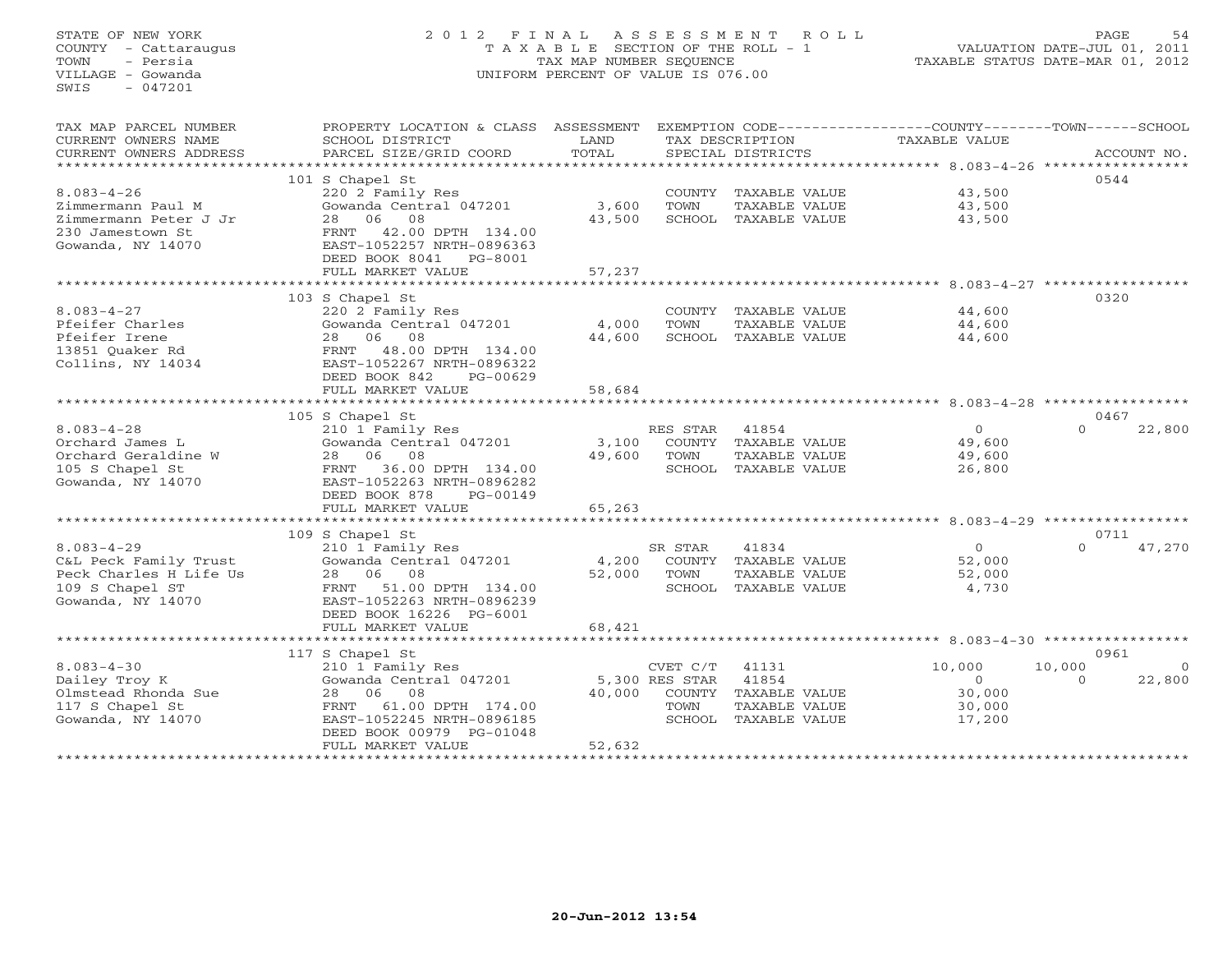# STATE OF NEW YORK 2 0 1 2 F I N A L A S S E S S M E N T R O L L PAGE 54 COUNTY - Cattaraugus T A X A B L E SECTION OF THE ROLL - 1 VALUATION DATE-JUL 01, 2011 TOWN - Persia TAX MAP NUMBER SEQUENCE TAXABLE STATUS DATE-MAR 01, 2012 VILLAGE - Gowanda UNIFORM PERCENT OF VALUE IS 076.00UNIFORM PERCENT OF VALUE IS 076.00

| TAX MAP PARCEL NUMBER  | PROPERTY LOCATION & CLASS ASSESSMENT EXEMPTION CODE----------------COUNTY-------TOWN------SCHOOL |        |                |                      |                |          |                |
|------------------------|--------------------------------------------------------------------------------------------------|--------|----------------|----------------------|----------------|----------|----------------|
| CURRENT OWNERS NAME    | SCHOOL DISTRICT                                                                                  | LAND   |                | TAX DESCRIPTION      | TAXABLE VALUE  |          |                |
| CURRENT OWNERS ADDRESS | PARCEL SIZE/GRID COORD                                                                           | TOTAL  |                | SPECIAL DISTRICTS    |                |          | ACCOUNT NO.    |
|                        |                                                                                                  |        |                |                      |                |          |                |
|                        | 101 S Chapel St                                                                                  |        |                |                      |                | 0544     |                |
| $8.083 - 4 - 26$       | 220 2 Family Res                                                                                 |        |                | COUNTY TAXABLE VALUE | 43,500         |          |                |
| Zimmermann Paul M      | Gowanda Central 047201                                                                           | 3,600  | TOWN           | TAXABLE VALUE        | 43,500         |          |                |
| Zimmermann Peter J Jr  | 08<br>06<br>28                                                                                   | 43,500 |                | SCHOOL TAXABLE VALUE | 43,500         |          |                |
| 230 Jamestown St       | 42.00 DPTH 134.00<br>FRNT                                                                        |        |                |                      |                |          |                |
| Gowanda, NY 14070      | EAST-1052257 NRTH-0896363                                                                        |        |                |                      |                |          |                |
|                        | DEED BOOK 8041    PG-8001                                                                        |        |                |                      |                |          |                |
|                        | FULL MARKET VALUE                                                                                | 57,237 |                |                      |                |          |                |
|                        |                                                                                                  |        |                |                      |                |          |                |
|                        | 103 S Chapel St                                                                                  |        |                |                      |                | 0320     |                |
| $8.083 - 4 - 27$       | 220 2 Family Res                                                                                 |        |                | COUNTY TAXABLE VALUE | 44,600         |          |                |
| Pfeifer Charles        | Gowanda Central 047201                                                                           | 4,000  | TOWN           | TAXABLE VALUE        | 44,600         |          |                |
| Pfeifer Irene          | 06<br>08<br>28                                                                                   | 44,600 |                | SCHOOL TAXABLE VALUE | 44,600         |          |                |
| 13851 Quaker Rd        | 48.00 DPTH 134.00<br>FRNT                                                                        |        |                |                      |                |          |                |
| Collins, NY 14034      | EAST-1052267 NRTH-0896322                                                                        |        |                |                      |                |          |                |
|                        | DEED BOOK 842<br>PG-00629                                                                        |        |                |                      |                |          |                |
|                        | FULL MARKET VALUE                                                                                | 58,684 |                |                      |                |          |                |
|                        |                                                                                                  |        |                |                      |                |          |                |
|                        | 105 S Chapel St                                                                                  |        |                |                      |                | 0467     |                |
| $8.083 - 4 - 28$       | 210 1 Family Res                                                                                 |        | RES STAR       | 41854                | $\overline{0}$ | $\Omega$ | 22,800         |
| Orchard James L        | Gowanda Central 047201                                                                           | 3,100  |                | COUNTY TAXABLE VALUE | 49,600         |          |                |
| Orchard Geraldine W    | 28 06 08                                                                                         | 49,600 | TOWN           | TAXABLE VALUE        | 49,600         |          |                |
| 105 S Chapel St        | FRNT 36.00 DPTH 134.00                                                                           |        |                | SCHOOL TAXABLE VALUE | 26,800         |          |                |
| Gowanda, NY 14070      | EAST-1052263 NRTH-0896282                                                                        |        |                |                      |                |          |                |
|                        | DEED BOOK 878<br>PG-00149                                                                        |        |                |                      |                |          |                |
|                        | FULL MARKET VALUE                                                                                | 65,263 |                |                      |                |          |                |
|                        |                                                                                                  |        |                |                      |                |          |                |
|                        | 109 S Chapel St                                                                                  |        |                |                      |                | 0711     |                |
| $8.083 - 4 - 29$       | 210 1 Family Res                                                                                 |        | SR STAR        | 41834                | $\overline{0}$ | $\Omega$ | 47,270         |
| C&L Peck Family Trust  | Gowanda Central 047201                                                                           | 4,200  |                | COUNTY TAXABLE VALUE | 52,000         |          |                |
| Peck Charles H Life Us | 28 06 08                                                                                         | 52,000 | TOWN           | TAXABLE VALUE        | 52,000         |          |                |
| 109 S Chapel ST        | 51.00 DPTH 134.00<br>FRNT                                                                        |        |                | SCHOOL TAXABLE VALUE | 4,730          |          |                |
| Gowanda, NY 14070      | EAST-1052263 NRTH-0896239                                                                        |        |                |                      |                |          |                |
|                        | DEED BOOK 16226 PG-6001                                                                          |        |                |                      |                |          |                |
|                        | FULL MARKET VALUE                                                                                | 68,421 |                |                      |                |          |                |
|                        |                                                                                                  |        |                |                      |                |          |                |
|                        | 117 S Chapel St                                                                                  |        |                |                      |                | 0961     |                |
| $8.083 - 4 - 30$       | 210 1 Family Res                                                                                 |        | CVET C/T       | 41131                | 10,000         | 10,000   | $\overline{O}$ |
| Dailey Troy K          | Gowanda Central 047201                                                                           |        | 5,300 RES STAR | 41854                | $\Omega$       | $\Omega$ | 22,800         |
| Olmstead Rhonda Sue    | 08<br>28 06                                                                                      | 40,000 |                | COUNTY TAXABLE VALUE | 30,000         |          |                |
| 117 S Chapel St        | FRNT<br>61.00 DPTH 174.00                                                                        |        | TOWN           | TAXABLE VALUE        | 30,000         |          |                |
| Gowanda, NY 14070      | EAST-1052245 NRTH-0896185                                                                        |        |                | SCHOOL TAXABLE VALUE | 17,200         |          |                |
|                        | DEED BOOK 00979 PG-01048                                                                         |        |                |                      |                |          |                |
|                        | FULL MARKET VALUE                                                                                | 52,632 |                |                      |                |          |                |
|                        |                                                                                                  |        |                |                      |                |          |                |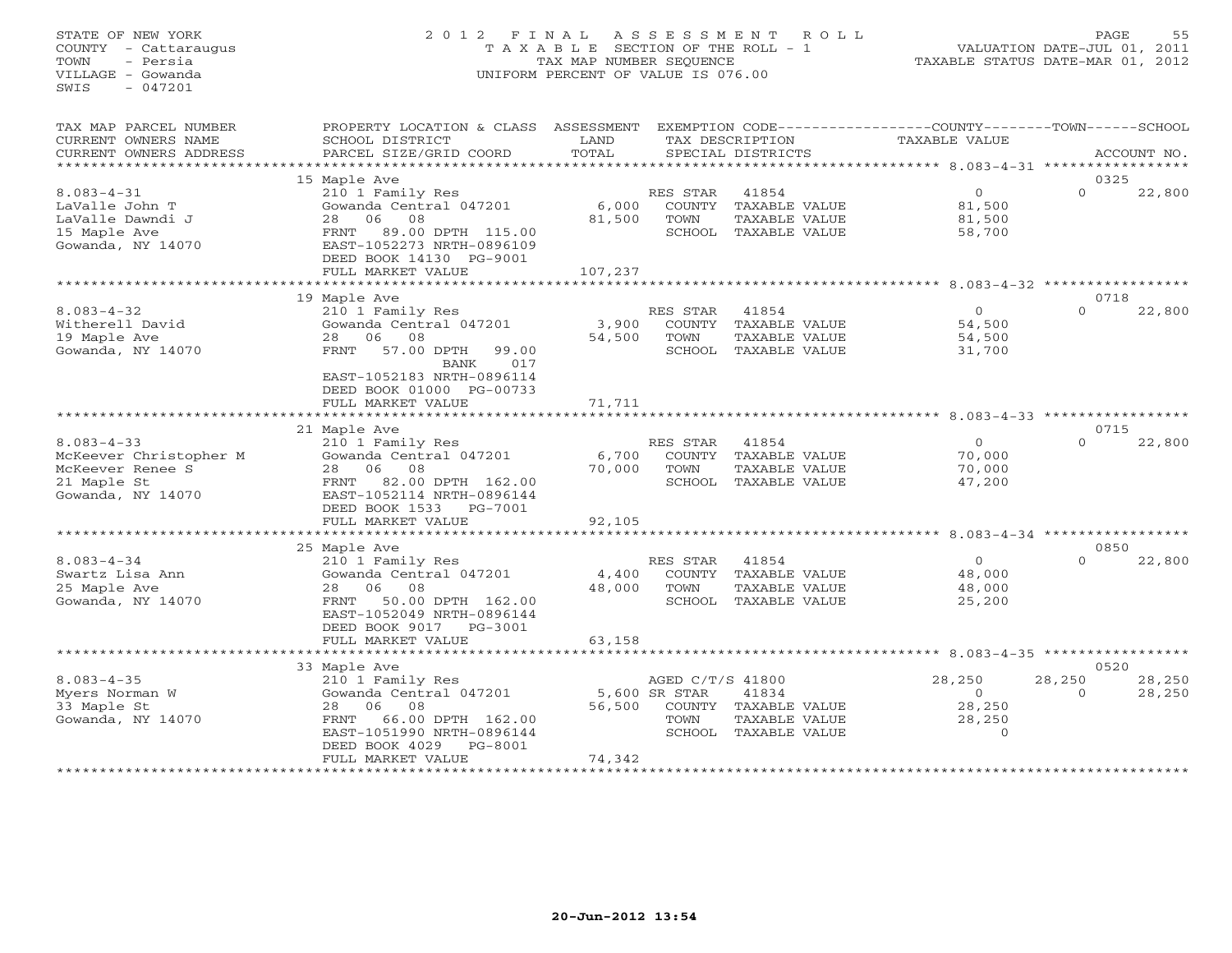### STATE OF NEW YORK 2 0 1 2 F I N A L A S S E S S M E N T R O L L PAGE 55 COUNTY - Cattaraugus T A X A B L E SECTION OF THE ROLL - 1 VALUATION DATE-JUL 01, 2011 TOWN - Persia TAX MAP NUMBER SEQUENCE TAXABLE STATUS DATE-MAR 01, 2012 VILLAGE - Gowanda UNIFORM PERCENT OF VALUE IS 076.00UNIFORM PERCENT OF VALUE IS 076.00

| TAX MAP PARCEL NUMBER      | PROPERTY LOCATION & CLASS ASSESSMENT |                |                  |                      | EXEMPTION CODE----------------COUNTY-------TOWN------SCHOOL |          |             |
|----------------------------|--------------------------------------|----------------|------------------|----------------------|-------------------------------------------------------------|----------|-------------|
| CURRENT OWNERS NAME        | SCHOOL DISTRICT                      | LAND           |                  | TAX DESCRIPTION      | TAXABLE VALUE                                               |          |             |
| CURRENT OWNERS ADDRESS     | PARCEL SIZE/GRID COORD               | TOTAL          |                  | SPECIAL DISTRICTS    |                                                             |          | ACCOUNT NO. |
| ************************** |                                      |                |                  |                      |                                                             |          |             |
|                            | 15 Maple Ave                         |                |                  |                      |                                                             | 0325     |             |
| $8.083 - 4 - 31$           | 210 1 Family Res                     |                | RES STAR         | 41854                | $\overline{O}$                                              | $\Omega$ | 22,800      |
| LaValle John T             | Gowanda Central 047201               | 6,000          |                  | COUNTY TAXABLE VALUE | 81,500                                                      |          |             |
| LaValle Dawndi J           | 28<br>06<br>08                       | 81,500         | TOWN             | TAXABLE VALUE        | 81,500                                                      |          |             |
| 15 Maple Ave               | 89.00 DPTH 115.00<br>FRNT            |                |                  | SCHOOL TAXABLE VALUE | 58,700                                                      |          |             |
| Gowanda, NY 14070          | EAST-1052273 NRTH-0896109            |                |                  |                      |                                                             |          |             |
|                            | DEED BOOK 14130 PG-9001              |                |                  |                      |                                                             |          |             |
|                            | FULL MARKET VALUE                    | 107,237        |                  |                      |                                                             |          |             |
|                            | **********************               |                |                  |                      |                                                             |          |             |
|                            | 19 Maple Ave                         |                |                  |                      |                                                             | 0718     |             |
| $8.083 - 4 - 32$           | 210 1 Family Res                     |                | RES STAR         | 41854                | $\Omega$                                                    | $\Omega$ | 22,800      |
| Witherell David            | Gowanda Central 047201               | 3,900          | COUNTY           | TAXABLE VALUE        | 54,500                                                      |          |             |
| 19 Maple Ave               | 28 06 08                             | 54,500         | TOWN             | TAXABLE VALUE        | 54,500                                                      |          |             |
| Gowanda, NY 14070          | 57.00 DPTH<br>FRNT<br>99.00          |                |                  | SCHOOL TAXABLE VALUE | 31,700                                                      |          |             |
|                            | 017<br>BANK                          |                |                  |                      |                                                             |          |             |
|                            | EAST-1052183 NRTH-0896114            |                |                  |                      |                                                             |          |             |
|                            | DEED BOOK 01000 PG-00733             |                |                  |                      |                                                             |          |             |
|                            | FULL MARKET VALUE                    | 71,711         |                  |                      |                                                             |          |             |
|                            | 21 Maple Ave                         |                |                  |                      |                                                             | 0715     |             |
| $8.083 - 4 - 33$           | 210 1 Family Res                     |                | RES STAR         | 41854                | $\circ$                                                     | $\Omega$ | 22,800      |
| McKeever Christopher M     | Gowanda Central 047201               | 6,700          |                  | COUNTY TAXABLE VALUE | 70,000                                                      |          |             |
| McKeever Renee S           | 28 06 08                             | 70,000         | TOWN             | TAXABLE VALUE        | 70,000                                                      |          |             |
| 21 Maple St                | FRNT 82.00 DPTH 162.00               |                |                  | SCHOOL TAXABLE VALUE | 47,200                                                      |          |             |
| Gowanda, NY 14070          | EAST-1052114 NRTH-0896144            |                |                  |                      |                                                             |          |             |
|                            | DEED BOOK 1533<br>PG-7001            |                |                  |                      |                                                             |          |             |
|                            | FULL MARKET VALUE                    | 92,105         |                  |                      |                                                             |          |             |
|                            | ************************             | ************** |                  |                      | *********** 8.083-4-34 ******************                   |          |             |
|                            | 25 Maple Ave                         |                |                  |                      |                                                             | 0850     |             |
| $8.083 - 4 - 34$           | 210 1 Family Res                     |                | RES STAR         | 41854                | $\overline{0}$                                              | $\Omega$ | 22,800      |
| Swartz Lisa Ann            | Gowanda Central 047201               | 4,400          |                  | COUNTY TAXABLE VALUE | 48,000                                                      |          |             |
| 25 Maple Ave               | 28 06 08                             | 48,000         | TOWN             | TAXABLE VALUE        | 48,000                                                      |          |             |
| Gowanda, NY 14070          | 50.00 DPTH 162.00<br>FRNT            |                |                  | SCHOOL TAXABLE VALUE | 25,200                                                      |          |             |
|                            | EAST-1052049 NRTH-0896144            |                |                  |                      |                                                             |          |             |
|                            | DEED BOOK 9017 PG-3001               |                |                  |                      |                                                             |          |             |
|                            | FULL MARKET VALUE                    | 63,158         |                  |                      |                                                             |          |             |
|                            | **********************               |                |                  |                      |                                                             |          |             |
|                            | 33 Maple Ave                         |                |                  |                      |                                                             | 0520     |             |
| $8.083 - 4 - 35$           | 210 1 Family Res                     |                | AGED C/T/S 41800 |                      | 28,250                                                      | 28,250   | 28,250      |
| Myers Norman W             | Gowanda Central 047201               |                | 5,600 SR STAR    | 41834                | $\bigcirc$                                                  | $\Omega$ | 28,250      |
| 33 Maple St                | 28 06<br>08                          | 56,500         |                  | COUNTY TAXABLE VALUE | 28,250                                                      |          |             |
| Gowanda, NY 14070          | 66.00 DPTH 162.00<br>FRNT            |                | TOWN             | TAXABLE VALUE        | 28,250                                                      |          |             |
|                            | EAST-1051990 NRTH-0896144            |                |                  | SCHOOL TAXABLE VALUE | $\Omega$                                                    |          |             |
|                            | DEED BOOK 4029<br>PG-8001            |                |                  |                      |                                                             |          |             |
|                            | FULL MARKET VALUE                    | 74,342         |                  |                      |                                                             |          |             |
|                            |                                      |                |                  |                      |                                                             |          |             |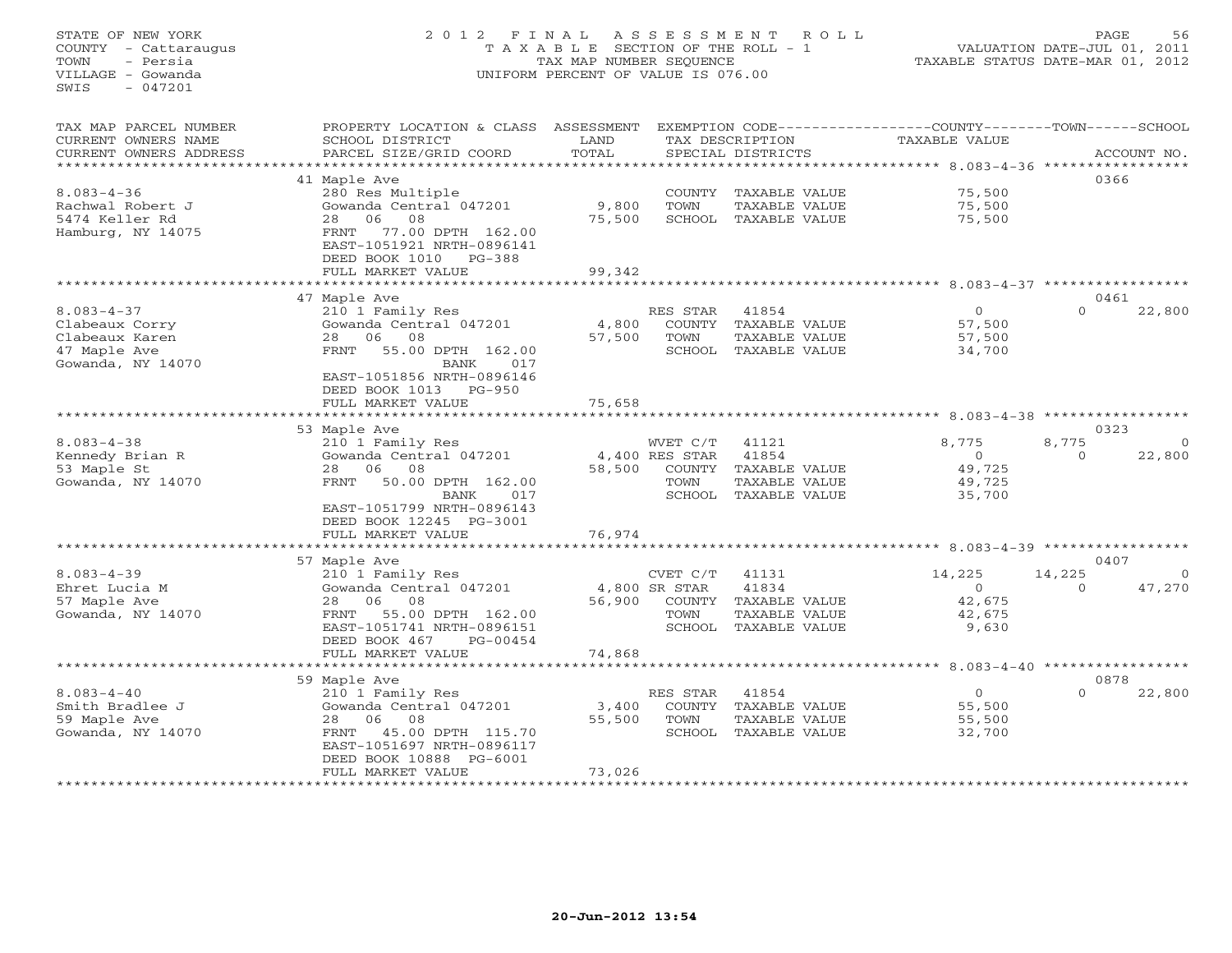STATE OF NEW YORK 2 0 1 2 F I N A L A S S E S S M E N T R O L L PAGE 56 COUNTY - Cattaraugus T A X A B L E SECTION OF THE ROLL - 1 VALUATION DATE-JUL 01, 2011 TOWN - Persia TAX MAP NUMBER SEQUENCE TAXABLE STATUS DATE-MAR 01, 2012 VILLAGE - Gowanda UNIFORM PERCENT OF VALUE IS 076.00 SWIS - 047201TAX MAP PARCEL NUMBER PROPERTY LOCATION & CLASS ASSESSMENT EXEMPTION CODE-----------------COUNTY-------TOWN------SCHOOL<br>CURRENT OWNERS NAME SCHOOL DISTRICT LAND TAX DESC \*\*\*\*\*\*\*\*\*\*\*\*\*\*\*\*\*\*\*\*\*\*\*\*\*\*\*\*\*\*\*\*\*\*\*\*\*\*\*\*\*\*\*\*\*\*\*\*\*\*\*\*\*\*\*\*\*\*\*\*\*\*\*\*\*\*\*\*\*\*\*\*\*\*\*\*\*\*\*\*\*\*\*\*\*\*\*\*\*\*\*\*\*\*\*\*\*\*\*\*\*\*\* 8.083-4-36 \*\*\*\*\*\*\*\*\*\*\*\*\*\*\*\*\* 41 Maple Ave 0366 8.083-4-36 280 Res Multiple COUNTY TAXABLE VALUE 75,500 Rachwal Robert J Gowanda Central 047201 9,800 TOWN TAXABLE VALUE 75,500 5474 Keller Rd 28 06 08 75,500 SCHOOL TAXABLE VALUE 75,500 Hamburg, NY 14075 FRNT 77.00 DPTH 162.00 EAST-1051921 NRTH-0896141 DEED BOOK 1010 PG-388FULL MARKET VALUE FULL MARKET VALUE 99,342 \*\*\*\*\*\*\*\*\*\*\*\*\*\*\*\*\*\*\*\*\*\*\*\*\*\*\*\*\*\*\*\*\*\*\*\*\*\*\*\*\*\*\*\*\*\*\*\*\*\*\*\*\*\*\*\*\*\*\*\*\*\*\*\*\*\*\*\*\*\*\*\*\*\*\*\*\*\*\*\*\*\*\*\*\*\*\*\*\*\*\*\*\*\*\*\*\*\*\*\*\*\*\* 8.083-4-37 \*\*\*\*\*\*\*\*\*\*\*\*\*\*\*\*\*0461 47 Maple Ave 0461 8.083-4-37 210 1 Family Res RES STAR 41854 0 0 22,800 Clabeaux Corry Gowanda Central 047201 4,800 COUNTY TAXABLE VALUE 57,500 Clabeaux Karen 28 06 08 57,500 TOWN TAXABLE VALUE 57,500 47 Maple Ave FRNT 55.00 DPTH 162.00 SCHOOL TAXABLE VALUE 34,700 Gowanda, NY 14070 BANK 017 EAST-1051856 NRTH-0896146 DEED BOOK 1013 PG-950DEED BOOK 1013 PG-950 FULL MARKET VALUE 75,658 \*\*\*\*\*\*\*\*\*\*\*\*\*\*\*\*\*\*\*\*\*\*\*\*\*\*\*\*\*\*\*\*\*\*\*\*\*\*\*\*\*\*\*\*\*\*\*\*\*\*\*\*\*\*\*\*\*\*\*\*\*\*\*\*\*\*\*\*\*\*\*\*\*\*\*\*\*\*\*\*\*\*\*\*\*\*\*\*\*\*\*\*\*\*\*\*\*\*\*\*\*\*\* 8.083-4-38 \*\*\*\*\*\*\*\*\*\*\*\*\*\*\*\*\* 53 Maple Ave 0323 8.083-4-38 210 1 Family Res WVET C/T 41121 8,775 8,775 0 Kennedy Brian R Gowanda Central 047201 4,400 RES STAR 41854 0 22,800 53 Maple St 28 06 08 58,500 COUNTY TAXABLE VALUE 49,725 Gowanda, NY 14070 FRNT 50.00 DPTH 162.00 TOWN TAXABLE VALUE 49,725 BANK 017 SCHOOL TAXABLE VALUE 35,700 EAST-1051799 NRTH-0896143 DEED BOOK 12245 PG-3001 FULL MARKET VALUE 76,974 \*\*\*\*\*\*\*\*\*\*\*\*\*\*\*\*\*\*\*\*\*\*\*\*\*\*\*\*\*\*\*\*\*\*\*\*\*\*\*\*\*\*\*\*\*\*\*\*\*\*\*\*\*\*\*\*\*\*\*\*\*\*\*\*\*\*\*\*\*\*\*\*\*\*\*\*\*\*\*\*\*\*\*\*\*\*\*\*\*\*\*\*\*\*\*\*\*\*\*\*\*\*\* 8.083-4-39 \*\*\*\*\*\*\*\*\*\*\*\*\*\*\*\*\* 57 Maple Ave 0407 8.083-4-39 210 1 Family Res CVET C/T 41131 14,225 14,225 0 Ehret Lucia M Gowanda Central 047201 4,800 SR STAR 41834 0 0 47,270 57 Maple Ave 28 06 08 56,900 COUNTY TAXABLE VALUE 42,675 Gowanda, NY 14070 FRNT 55.00 DPTH 162.00 TOWN TAXABLE VALUE 42,675 EAST-1051741 NRTH-0896151 SCHOOL TAXABLE VALUE 9,630 DEED BOOK 467 PG-00454 FULL MARKET VALUE 74,868 \*\*\*\*\*\*\*\*\*\*\*\*\*\*\*\*\*\*\*\*\*\*\*\*\*\*\*\*\*\*\*\*\*\*\*\*\*\*\*\*\*\*\*\*\*\*\*\*\*\*\*\*\*\*\*\*\*\*\*\*\*\*\*\*\*\*\*\*\*\*\*\*\*\*\*\*\*\*\*\*\*\*\*\*\*\*\*\*\*\*\*\*\*\*\*\*\*\*\*\*\*\*\* 8.083-4-40 \*\*\*\*\*\*\*\*\*\*\*\*\*\*\*\*\* 59 Maple Ave 0878 8.083-4-40 210 1 Family Res RES STAR 41854 0 22,800

Smith Bradlee J Gowanda Central 047201 3,400 COUNTY TAXABLE VALUE 55,500 59 Maple Ave 28 06 08 55,500 TOWN TAXABLE VALUE 55,500 Gowanda, NY 14070 FRNT 45.00 DPTH 115.70 SCHOOL TAXABLE VALUE 32,700 EAST-1051697 NRTH-0896117 DEED BOOK 10888 PG-6001 FULL MARKET VALUE 73,026 \*\*\*\*\*\*\*\*\*\*\*\*\*\*\*\*\*\*\*\*\*\*\*\*\*\*\*\*\*\*\*\*\*\*\*\*\*\*\*\*\*\*\*\*\*\*\*\*\*\*\*\*\*\*\*\*\*\*\*\*\*\*\*\*\*\*\*\*\*\*\*\*\*\*\*\*\*\*\*\*\*\*\*\*\*\*\*\*\*\*\*\*\*\*\*\*\*\*\*\*\*\*\*\*\*\*\*\*\*\*\*\*\*\*\*\*\*\*\*\*\*\*\*\*\*\*\*\*\*\*\*\*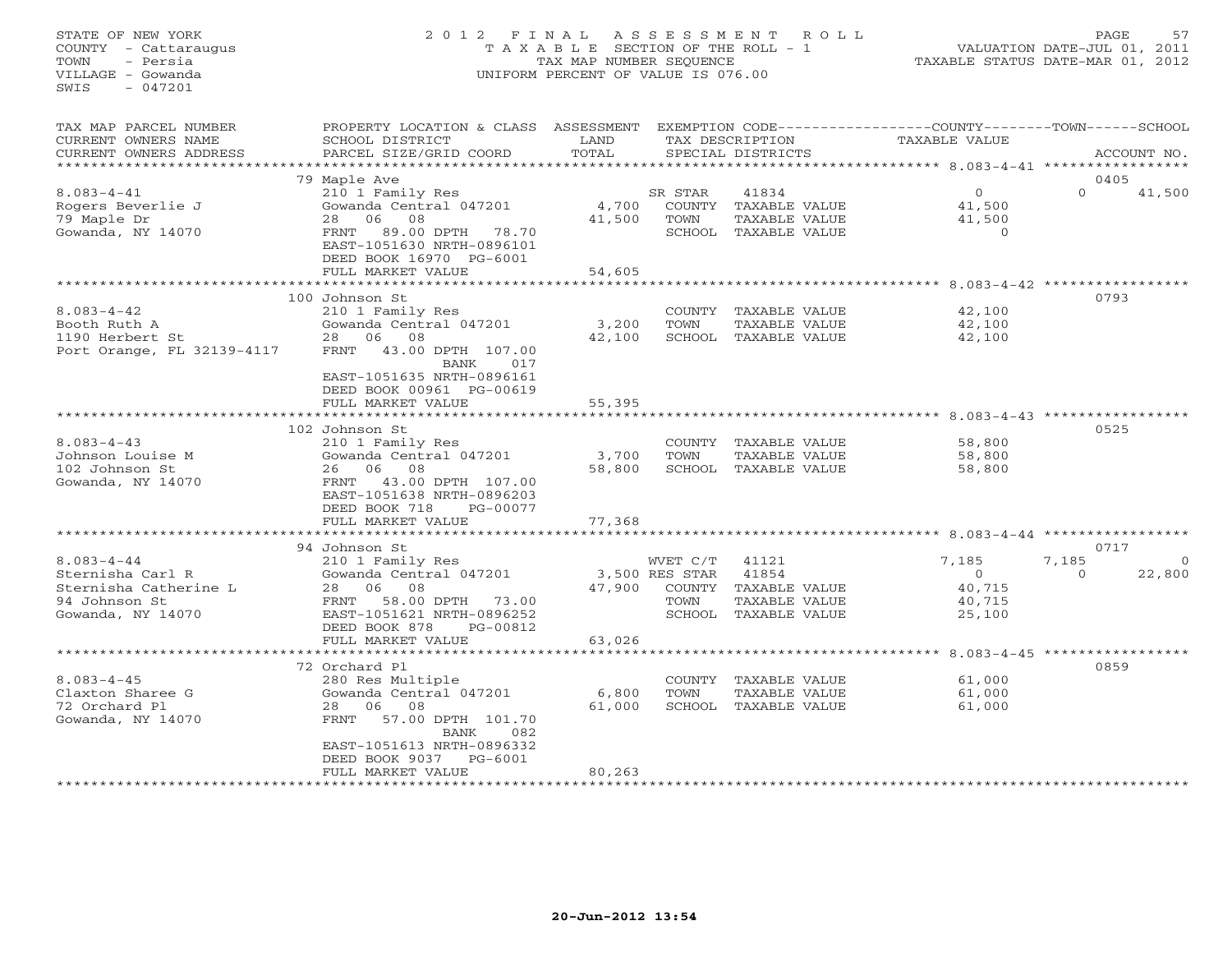# STATE OF NEW YORK 2 0 1 2 F I N A L A S S E S S M E N T R O L L PAGE 57 COUNTY - Cattaraugus T A X A B L E SECTION OF THE ROLL - 1 VALUATION DATE-JUL 01, 2011 TOWN - Persia TAX MAP NUMBER SEQUENCE TAXABLE STATUS DATE-MAR 01, 2012 VILLAGE - Gowanda UNIFORM PERCENT OF VALUE IS 076.00UNIFORM PERCENT OF VALUE IS 076.00

| TAX MAP PARCEL NUMBER<br>CURRENT OWNERS NAME<br>CURRENT OWNERS ADDRESS                              | PROPERTY LOCATION & CLASS ASSESSMENT<br>SCHOOL DISTRICT<br>PARCEL SIZE/GRID COORD                                                                                                          | LAND<br>TOTAL             |                                                        | TAX DESCRIPTION<br>SPECIAL DISTRICTS                              | EXEMPTION CODE-----------------COUNTY-------TOWN-----SCHOOL<br>TAXABLE VALUE |                   | ACCOUNT NO.                |
|-----------------------------------------------------------------------------------------------------|--------------------------------------------------------------------------------------------------------------------------------------------------------------------------------------------|---------------------------|--------------------------------------------------------|-------------------------------------------------------------------|------------------------------------------------------------------------------|-------------------|----------------------------|
|                                                                                                     | 79 Maple Ave                                                                                                                                                                               |                           |                                                        |                                                                   |                                                                              |                   | 0405                       |
| $8.083 - 4 - 41$<br>Rogers Beverlie J<br>79 Maple Dr<br>Gowanda, NY 14070                           | 210 1 Family Res<br>Gowanda Central 047201<br>08<br>28<br>06<br>89.00 DPTH 78.70<br>FRNT<br>EAST-1051630 NRTH-0896101<br>DEED BOOK 16970 PG-6001<br>FULL MARKET VALUE                      | 4,700<br>41,500<br>54,605 | SR STAR<br>COUNTY<br>TOWN<br>SCHOOL                    | 41834<br>TAXABLE VALUE<br>TAXABLE VALUE<br>TAXABLE VALUE          | $\circ$<br>41,500<br>41,500<br>$\Omega$                                      | $\Omega$          | 41,500                     |
|                                                                                                     | ***********************                                                                                                                                                                    |                           |                                                        |                                                                   |                                                                              |                   |                            |
| $8.083 - 4 - 42$<br>Booth Ruth A<br>1190 Herbert St<br>Port Orange, FL 32139-4117                   | 100 Johnson St<br>210 1 Family Res<br>Gowanda Central 047201<br>28 06<br>08<br>FRNT<br>43.00 DPTH 107.00<br>BANK<br>017<br>EAST-1051635 NRTH-0896161<br>DEED BOOK 00961 PG-00619           | 3,200<br>42,100           | TOWN<br>SCHOOL                                         | COUNTY TAXABLE VALUE<br>TAXABLE VALUE<br>TAXABLE VALUE            | 42,100<br>42,100<br>42,100                                                   |                   | 0793                       |
|                                                                                                     | FULL MARKET VALUE                                                                                                                                                                          | 55,395                    |                                                        |                                                                   |                                                                              |                   |                            |
|                                                                                                     |                                                                                                                                                                                            |                           |                                                        |                                                                   | ******************** 8.083-4-43 *****************                            |                   |                            |
| $8.083 - 4 - 43$<br>Johnson Louise M<br>102 Johnson St<br>Gowanda, NY 14070                         | 102 Johnson St<br>210 1 Family Res<br>Gowanda Central 047201<br>06<br>08<br>26<br>FRNT<br>43.00 DPTH 107.00<br>EAST-1051638 NRTH-0896203<br>DEED BOOK 718<br>PG-00077<br>FULL MARKET VALUE | 3,700<br>58,800<br>77,368 | TOWN<br>SCHOOL                                         | COUNTY TAXABLE VALUE<br>TAXABLE VALUE<br>TAXABLE VALUE            | 58,800<br>58,800<br>58,800                                                   |                   | 0525                       |
|                                                                                                     |                                                                                                                                                                                            | *************             |                                                        |                                                                   | ********************************** 8.083-4-44                                |                   |                            |
| $8.083 - 4 - 44$<br>Sternisha Carl R<br>Sternisha Catherine L<br>94 Johnson St<br>Gowanda, NY 14070 | 94 Johnson St<br>210 1 Family Res<br>Gowanda Central 047201<br>28 06<br>08<br>FRNT<br>58.00 DPTH 73.00<br>EAST-1051621 NRTH-0896252<br>DEED BOOK 878<br>PG-00812                           | 47,900                    | WVET C/T<br>3,500 RES STAR<br>COUNTY<br>TOWN<br>SCHOOL | 41121<br>41854<br>TAXABLE VALUE<br>TAXABLE VALUE<br>TAXABLE VALUE | 7,185<br>$\Omega$<br>40,715<br>40,715<br>25,100                              | 7,185<br>$\Omega$ | 0717<br>$\Omega$<br>22,800 |
|                                                                                                     | FULL MARKET VALUE                                                                                                                                                                          | 63,026                    |                                                        |                                                                   |                                                                              |                   |                            |
|                                                                                                     | 72 Orchard Pl                                                                                                                                                                              |                           |                                                        |                                                                   | ·****************************8.083-4-45 *******************                  |                   | 0859                       |
| $8.083 - 4 - 45$<br>Claxton Sharee G<br>72 Orchard Pl<br>Gowanda, NY 14070                          | 280 Res Multiple<br>Gowanda Central 047201<br>28<br>06<br>08<br>FRNT<br>57.00 DPTH 101.70<br>BANK<br>082<br>EAST-1051613 NRTH-0896332<br>DEED BOOK 9037<br>$PG-6001$                       | 6,800<br>61,000           | COUNTY<br>TOWN                                         | TAXABLE VALUE<br>TAXABLE VALUE<br>SCHOOL TAXABLE VALUE            | 61,000<br>61,000<br>61,000                                                   |                   |                            |
|                                                                                                     | FULL MARKET VALUE<br>*********************                                                                                                                                                 | 80,263                    |                                                        |                                                                   |                                                                              |                   |                            |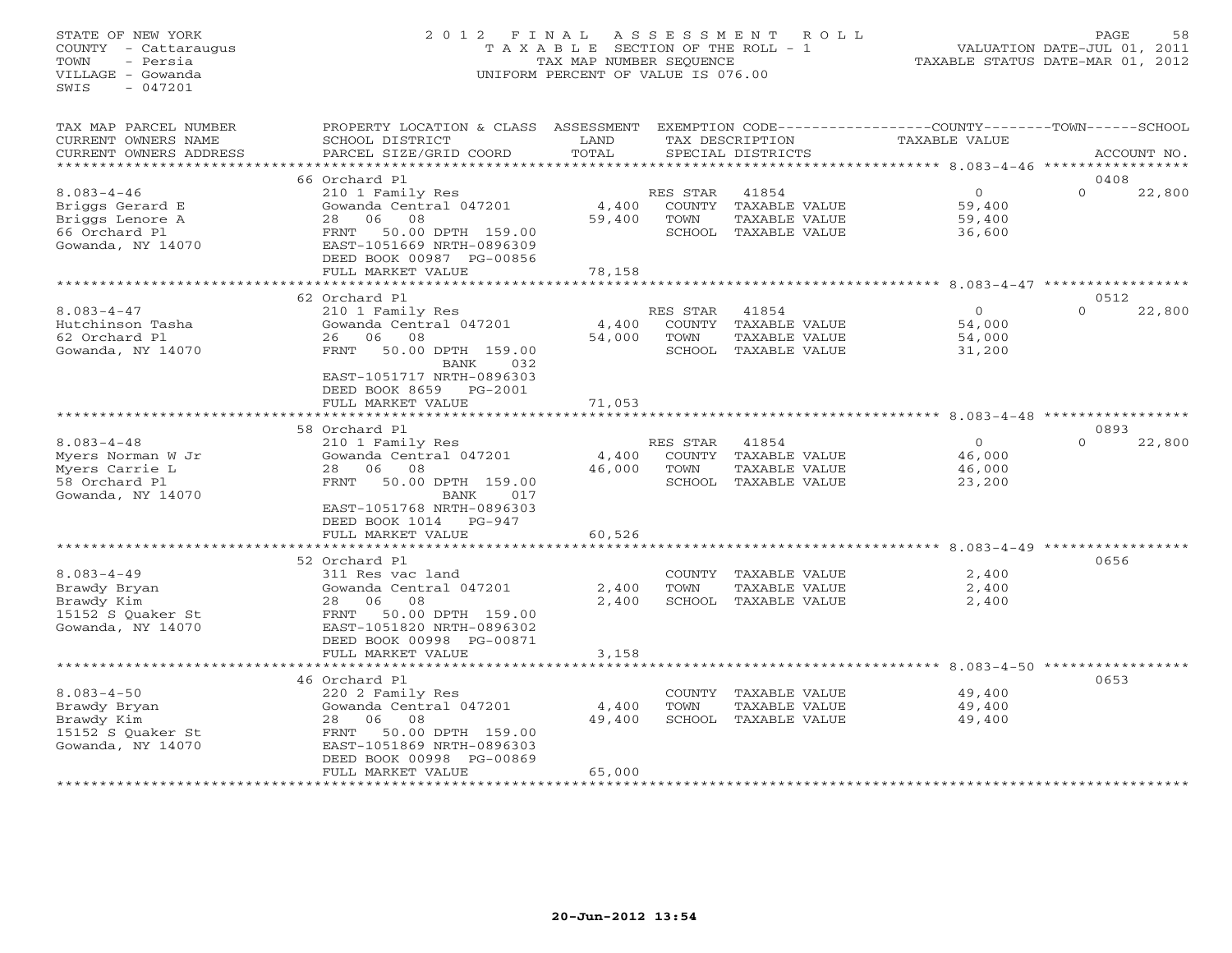# STATE OF NEW YORK 2 0 1 2 F I N A L A S S E S S M E N T R O L L PAGE 58 COUNTY - Cattaraugus T A X A B L E SECTION OF THE ROLL - 1 VALUATION DATE-JUL 01, 2011 TOWN - Persia TAX MAP NUMBER SEQUENCE TAXABLE STATUS DATE-MAR 01, 2012 VILLAGE - Gowanda UNIFORM PERCENT OF VALUE IS 076.00UNIFORM PERCENT OF VALUE IS 076.00

| TAX MAP PARCEL NUMBER<br>CURRENT OWNERS NAME<br>CURRENT OWNERS ADDRESS                        | PROPERTY LOCATION & CLASS ASSESSMENT<br>SCHOOL DISTRICT<br>PARCEL SIZE/GRID COORD                                                                                                        | LAND<br>TOTAL             |                  | TAX DESCRIPTION<br>SPECIAL DISTRICTS                                   | EXEMPTION CODE----------------COUNTY-------TOWN-----SCHOOL<br>TAXABLE VALUE | ACCOUNT NO.                  |
|-----------------------------------------------------------------------------------------------|------------------------------------------------------------------------------------------------------------------------------------------------------------------------------------------|---------------------------|------------------|------------------------------------------------------------------------|-----------------------------------------------------------------------------|------------------------------|
| ***********************                                                                       |                                                                                                                                                                                          |                           |                  |                                                                        |                                                                             |                              |
| $8.083 - 4 - 46$<br>Briggs Gerard E<br>Briggs Lenore A<br>66 Orchard Pl<br>Gowanda, NY 14070  | 66 Orchard Pl<br>210 1 Family Res<br>Gowanda Central 047201<br>06<br>08<br>28<br>50.00 DPTH 159.00<br>FRNT<br>EAST-1051669 NRTH-0896309<br>DEED BOOK 00987 PG-00856<br>FULL MARKET VALUE | 4,400<br>59,400<br>78,158 | RES STAR<br>TOWN | 41854<br>COUNTY TAXABLE VALUE<br>TAXABLE VALUE<br>SCHOOL TAXABLE VALUE | $\circ$<br>59,400<br>59,400<br>36,600                                       | 0408<br>22,800<br>$\Omega$   |
|                                                                                               |                                                                                                                                                                                          | * * * * * * * * * * * * * |                  |                                                                        | ******************************** 8.083-4-47 ************                    |                              |
|                                                                                               | 62 Orchard Pl                                                                                                                                                                            |                           |                  |                                                                        |                                                                             | 0512                         |
| $8.083 - 4 - 47$<br>Hutchinson Tasha<br>62 Orchard Pl<br>Gowanda, NY 14070                    | 210 1 Family Res<br>Gowanda Central 047201<br>26 06<br>08<br>50.00 DPTH 159.00<br>FRNT<br>BANK<br>032<br>EAST-1051717 NRTH-0896303                                                       | 4,400<br>54,000           | RES STAR<br>TOWN | 41854<br>COUNTY TAXABLE VALUE<br>TAXABLE VALUE<br>SCHOOL TAXABLE VALUE | $\Omega$<br>54,000<br>54,000<br>31,200                                      | 22,800<br>$\Omega$           |
|                                                                                               | DEED BOOK 8659<br>$PG-2001$<br>FULL MARKET VALUE                                                                                                                                         | 71,053                    |                  |                                                                        |                                                                             |                              |
|                                                                                               | *****************                                                                                                                                                                        | *********                 |                  |                                                                        | *********************************** 8.083-4-48 *****************            | 0893                         |
| $8.083 - 4 - 48$<br>Myers Norman W Jr<br>Myers Carrie L<br>58 Orchard Pl<br>Gowanda, NY 14070 | 58 Orchard Pl<br>210 1 Family Res<br>Gowanda Central 047201<br>08<br>28<br>06<br>FRNT<br>50.00 DPTH 159.00<br>BANK<br>017<br>EAST-1051768 NRTH-0896303<br>DEED BOOK 1014<br>PG-947       | 4,400<br>46,000           | RES STAR<br>TOWN | 41854<br>COUNTY TAXABLE VALUE<br>TAXABLE VALUE<br>SCHOOL TAXABLE VALUE | $\circ$<br>46,000<br>46,000<br>23,200                                       | $\Omega$<br>22,800           |
|                                                                                               | FULL MARKET VALUE                                                                                                                                                                        | 60,526                    |                  |                                                                        |                                                                             |                              |
| $8.083 - 4 - 49$<br>Brawdy Bryan<br>Brawdy Kim<br>15152 S Ouaker St<br>Gowanda, NY 14070      | 52 Orchard Pl<br>311 Res vac land<br>Gowanda Central 047201<br>28 06 08<br>50.00 DPTH 159.00<br>FRNT<br>EAST-1051820 NRTH-0896302<br>DEED BOOK 00998 PG-00871<br>FULL MARKET VALUE       | 2,400<br>2,400<br>3,158   | TOWN             | COUNTY TAXABLE VALUE<br>TAXABLE VALUE<br>SCHOOL TAXABLE VALUE          | 2,400<br>2,400<br>2,400                                                     | 0656                         |
|                                                                                               |                                                                                                                                                                                          |                           |                  |                                                                        |                                                                             | $8.083 - 4 - 50$ *********** |
| $8.083 - 4 - 50$<br>Brawdy Bryan<br>Brawdy Kim<br>15152 S Quaker St<br>Gowanda, NY 14070      | 46 Orchard Pl<br>220 2 Family Res<br>Gowanda Central 047201<br>06<br>08<br>28<br>FRNT<br>50.00 DPTH 159.00<br>EAST-1051869 NRTH-0896303<br>DEED BOOK 00998 PG-00869<br>FULL MARKET VALUE | 4,400<br>49,400<br>65,000 | TOWN             | COUNTY TAXABLE VALUE<br>TAXABLE VALUE<br>SCHOOL TAXABLE VALUE          | 49,400<br>49,400<br>49,400                                                  | 0653                         |
|                                                                                               |                                                                                                                                                                                          |                           |                  |                                                                        |                                                                             |                              |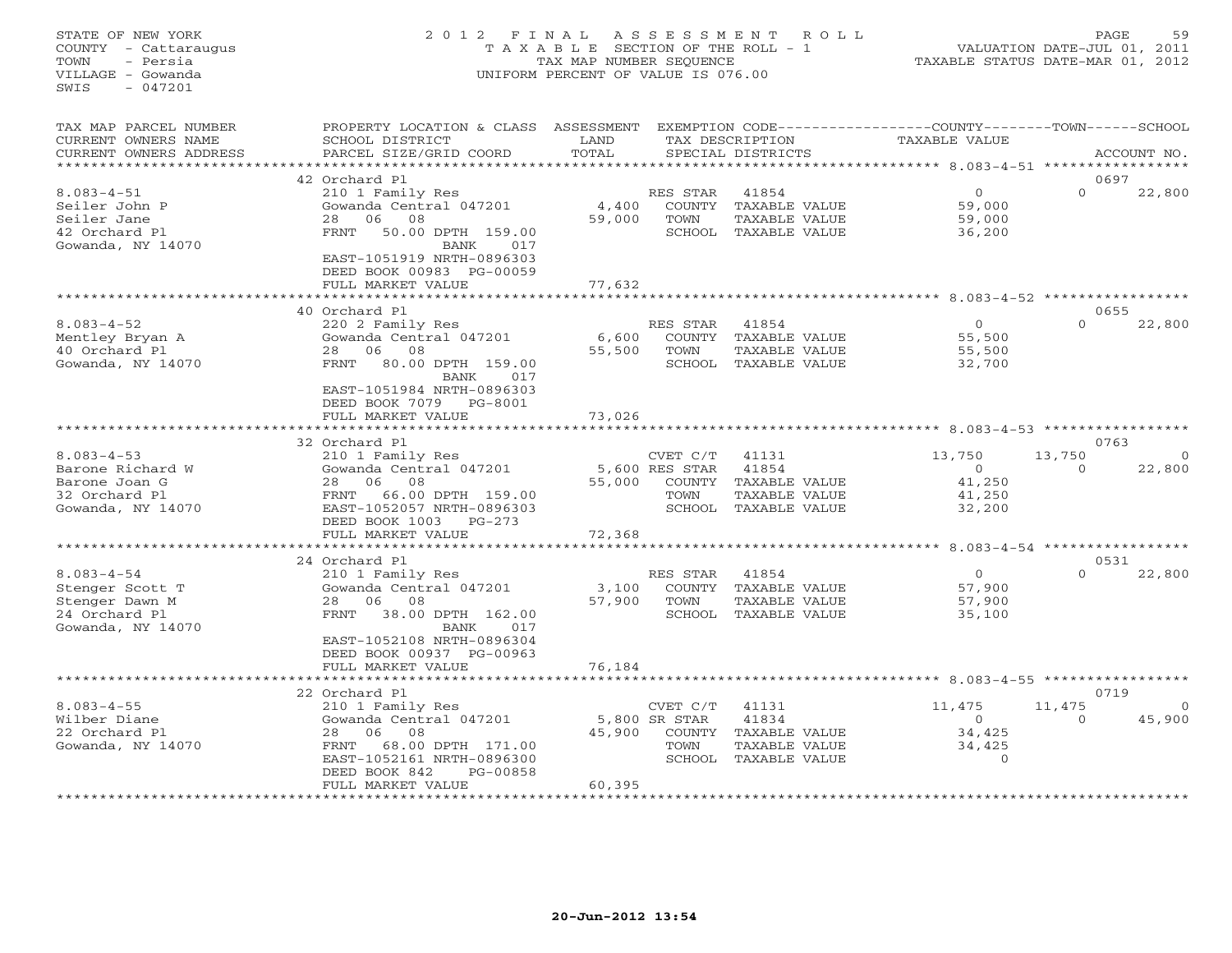# STATE OF NEW YORK 2 0 1 2 F I N A L A S S E S S M E N T R O L L PAGE 59 COUNTY - Cattaraugus T A X A B L E SECTION OF THE ROLL - 1 VALUATION DATE-JUL 01, 2011 TOWN - Persia TAX MAP NUMBER SEQUENCE TAXABLE STATUS DATE-MAR 01, 2012 VILLAGE - Gowanda UNIFORM PERCENT OF VALUE IS 076.00UNIFORM PERCENT OF VALUE IS 076.00

| TAX MAP PARCEL NUMBER<br>CURRENT OWNERS NAME<br>CURRENT OWNERS ADDRESS                      | PROPERTY LOCATION & CLASS ASSESSMENT<br>SCHOOL DISTRICT<br>PARCEL SIZE/GRID COORD                                                                                                                       | LAND<br>TOTAL             |                                                        | TAX DESCRIPTION<br>SPECIAL DISTRICTS                              | EXEMPTION CODE-----------------COUNTY-------TOWN------SCHOOL<br>TAXABLE VALUE |                    | ACCOUNT NO.       |
|---------------------------------------------------------------------------------------------|---------------------------------------------------------------------------------------------------------------------------------------------------------------------------------------------------------|---------------------------|--------------------------------------------------------|-------------------------------------------------------------------|-------------------------------------------------------------------------------|--------------------|-------------------|
|                                                                                             |                                                                                                                                                                                                         |                           |                                                        |                                                                   |                                                                               |                    |                   |
| $8.083 - 4 - 51$<br>Seiler John P<br>Seiler Jane<br>42 Orchard Pl<br>Gowanda, NY 14070      | 42 Orchard Pl<br>210 1 Family Res<br>Gowanda Central 047201<br>08<br>28<br>06<br>50.00 DPTH 159.00<br>FRNT<br>BANK<br>017<br>EAST-1051919 NRTH-0896303<br>DEED BOOK 00983 PG-00059<br>FULL MARKET VALUE | 4,400<br>59,000<br>77,632 | RES STAR<br>COUNTY<br>TOWN                             | 41854<br>TAXABLE VALUE<br>TAXABLE VALUE<br>SCHOOL TAXABLE VALUE   | $\overline{O}$<br>59,000<br>59,000<br>36,200                                  | $\Omega$           | 0697<br>22,800    |
|                                                                                             |                                                                                                                                                                                                         | ************              |                                                        |                                                                   | ******************************** 8.083-4-52 *******                           |                    |                   |
| $8.083 - 4 - 52$<br>Mentley Bryan A<br>40 Orchard Pl<br>Gowanda, NY 14070                   | 40 Orchard Pl<br>220 2 Family Res<br>Gowanda Central 047201<br>06<br>08<br>28<br>80.00 DPTH 159.00<br>FRNT<br><b>BANK</b><br>017<br>EAST-1051984 NRTH-0896303                                           | 6,600<br>55,500           | RES STAR<br>COUNTY<br>TOWN<br>SCHOOL                   | 41854<br>TAXABLE VALUE<br>TAXABLE VALUE<br>TAXABLE VALUE          | $\circ$<br>55,500<br>55,500<br>32,700                                         | $\Omega$           | 0655<br>22,800    |
|                                                                                             | DEED BOOK 7079<br>PG-8001<br>FULL MARKET VALUE                                                                                                                                                          | 73,026                    |                                                        |                                                                   | ********************************** 8.083-4-53 *****************               |                    |                   |
| $8.083 - 4 - 53$<br>Barone Richard W<br>Barone Joan G<br>32 Orchard Pl<br>Gowanda, NY 14070 | 32 Orchard Pl<br>210 1 Family Res<br>Gowanda Central 047201<br>28<br>06<br>08<br>66.00 DPTH 159.00<br>FRNT<br>EAST-1052057 NRTH-0896303<br>DEED BOOK 1003<br>$PG-273$<br>FULL MARKET VALUE              | 55,000<br>72,368          | CVET C/T<br>5,600 RES STAR<br>COUNTY<br>TOWN<br>SCHOOL | 41131<br>41854<br>TAXABLE VALUE<br>TAXABLE VALUE<br>TAXABLE VALUE | 13,750<br>$\circ$<br>41,250<br>41,250<br>32,200                               | 13,750<br>$\Omega$ | 0763<br>22,800    |
|                                                                                             |                                                                                                                                                                                                         |                           |                                                        |                                                                   | $8.083 - 4 - 54$ ******************                                           |                    |                   |
| $8.083 - 4 - 54$<br>Stenger Scott T<br>Stenger Dawn M<br>24 Orchard Pl<br>Gowanda, NY 14070 | 24 Orchard Pl<br>210 1 Family Res<br>Gowanda Central 047201<br>06<br>08<br>28<br>FRNT<br>38.00 DPTH 162.00<br>BANK<br>017<br>EAST-1052108 NRTH-0896304                                                  | 3,100<br>57,900           | RES STAR<br>COUNTY<br>TOWN<br>SCHOOL                   | 41854<br>TAXABLE VALUE<br>TAXABLE VALUE<br>TAXABLE VALUE          | $\circ$<br>57,900<br>57,900<br>35,100                                         | $\Omega$           | 0531<br>22,800    |
|                                                                                             | DEED BOOK 00937 PG-00963<br>FULL MARKET VALUE<br>**********************                                                                                                                                 | 76,184                    |                                                        |                                                                   |                                                                               |                    |                   |
|                                                                                             | 22 Orchard Pl                                                                                                                                                                                           |                           |                                                        |                                                                   |                                                                               |                    | 0719              |
| $8.083 - 4 - 55$<br>Wilber Diane<br>22 Orchard Pl<br>Gowanda, NY 14070                      | 210 1 Family Res<br>Gowanda Central 047201<br>28<br>06<br>08<br>68.00 DPTH 171.00<br>FRNT<br>EAST-1052161 NRTH-0896300<br>DEED BOOK 842<br>PG-00858<br>FULL MARKET VALUE                                | 45,900<br>60,395          | CVET C/T<br>5,800 SR STAR<br>COUNTY<br>TOWN<br>SCHOOL  | 41131<br>41834<br>TAXABLE VALUE<br>TAXABLE VALUE<br>TAXABLE VALUE | 11,475<br>$\overline{0}$<br>34,425<br>34,425<br>$\Omega$                      | 11,475<br>$\Omega$ | $\circ$<br>45,900 |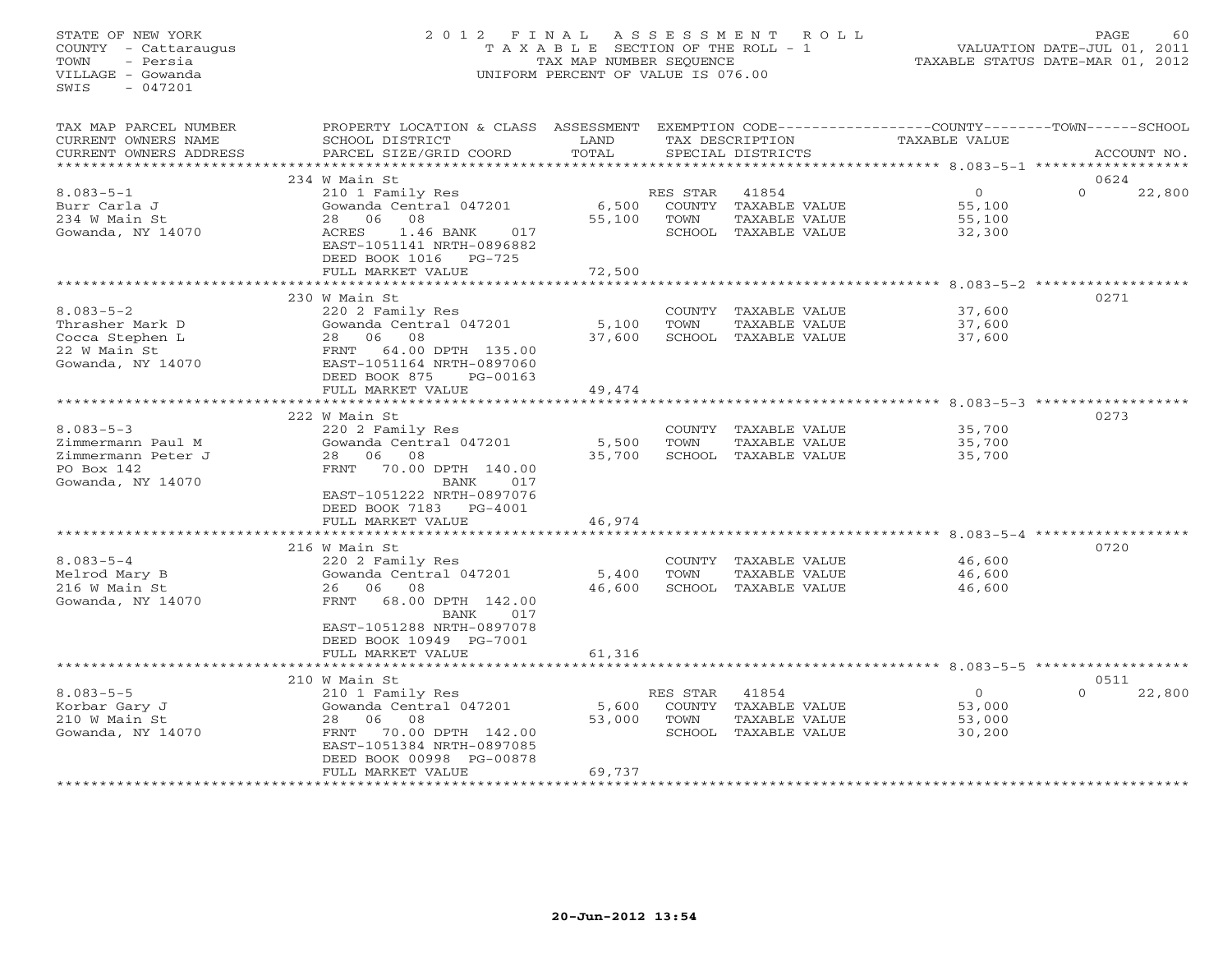## STATE OF NEW YORK 2 0 1 2 F I N A L A S S E S S M E N T R O L L PAGE 60 COUNTY - Cattaraugus T A X A B L E SECTION OF THE ROLL - 1 VALUATION DATE-JUL 01, 2011 TOWN - Persia TAX MAP NUMBER SEQUENCE TAXABLE STATUS DATE-MAR 01, 2012 VILLAGE - Gowanda UNIFORM PERCENT OF VALUE IS 076.00UNIFORM PERCENT OF VALUE IS 076.00

| TAX MAP PARCEL NUMBER<br>CURRENT OWNERS NAME<br>CURRENT OWNERS ADDRESS<br>******************** | PROPERTY LOCATION & CLASS ASSESSMENT<br>SCHOOL DISTRICT<br>PARCEL SIZE/GRID COORD                                                                                                      | LAND<br>TOTAL             |                  | TAX DESCRIPTION<br>SPECIAL DISTRICTS                                   | EXEMPTION CODE-----------------COUNTY-------TOWN------SCHOOL<br>TAXABLE VALUE | ACCOUNT NO.                |
|------------------------------------------------------------------------------------------------|----------------------------------------------------------------------------------------------------------------------------------------------------------------------------------------|---------------------------|------------------|------------------------------------------------------------------------|-------------------------------------------------------------------------------|----------------------------|
|                                                                                                |                                                                                                                                                                                        |                           |                  |                                                                        |                                                                               |                            |
| $8.083 - 5 - 1$<br>Burr Carla J<br>234 W Main St<br>Gowanda, NY 14070                          | 234 W Main St<br>210 1 Family Res<br>Gowanda Central 047201<br>28<br>06<br>08<br>ACRES<br>1.46 BANK<br>017<br>EAST-1051141 NRTH-0896882<br>DEED BOOK 1016<br>PG-725                    | 6,500<br>55,100           | RES STAR<br>TOWN | 41854<br>COUNTY TAXABLE VALUE<br>TAXABLE VALUE<br>SCHOOL TAXABLE VALUE | $\overline{O}$<br>55,100<br>55,100<br>32,300                                  | 0624<br>$\Omega$<br>22,800 |
|                                                                                                | FULL MARKET VALUE<br>***************************                                                                                                                                       | 72,500                    |                  |                                                                        |                                                                               |                            |
| $8.083 - 5 - 2$<br>Thrasher Mark D<br>Cocca Stephen L<br>22 W Main St<br>Gowanda, NY 14070     | 230 W Main St<br>220 2 Family Res<br>Gowanda Central 047201<br>28 06<br>08<br>64.00 DPTH 135.00<br>FRNT<br>EAST-1051164 NRTH-0897060<br>DEED BOOK 875<br>PG-00163<br>FULL MARKET VALUE | 5,100<br>37,600<br>49,474 | TOWN             | COUNTY TAXABLE VALUE<br>TAXABLE VALUE<br>SCHOOL TAXABLE VALUE          | 37,600<br>37,600<br>37,600                                                    | 0271                       |
|                                                                                                |                                                                                                                                                                                        |                           |                  |                                                                        |                                                                               |                            |
| $8.083 - 5 - 3$<br>Zimmermann Paul M<br>Zimmermann Peter J<br>PO Box 142<br>Gowanda, NY 14070  | 222 W Main St<br>220 2 Family Res<br>Gowanda Central 047201<br>28 06<br>08<br>FRNT<br>70.00 DPTH 140.00<br><b>BANK</b><br>017<br>EAST-1051222 NRTH-0897076                             | 5,500<br>35,700           | TOWN             | COUNTY TAXABLE VALUE<br>TAXABLE VALUE<br>SCHOOL TAXABLE VALUE          | 35,700<br>35,700<br>35,700                                                    | 0273                       |
|                                                                                                | DEED BOOK 7183 PG-4001<br>FULL MARKET VALUE                                                                                                                                            | 46,974                    |                  |                                                                        |                                                                               |                            |
|                                                                                                |                                                                                                                                                                                        | *********************     |                  |                                                                        | ******************* 8.083-5-4                                                 |                            |
| $8.083 - 5 - 4$<br>Melrod Mary B<br>216 W Main St<br>Gowanda, NY 14070                         | 216 W Main St<br>220 2 Family Res<br>Gowanda Central 047201<br>26 06<br>08<br>68.00 DPTH 142.00<br>FRNT<br>BANK<br>017<br>EAST-1051288 NRTH-0897078                                    | 5,400<br>46,600           | TOWN             | COUNTY TAXABLE VALUE<br>TAXABLE VALUE<br>SCHOOL TAXABLE VALUE          | 46,600<br>46,600<br>46,600                                                    | 0720                       |
|                                                                                                | DEED BOOK 10949 PG-7001<br>FULL MARKET VALUE<br>*************************                                                                                                              | 61,316                    |                  |                                                                        | ********************************** 8.083-5-5 ******************               |                            |
|                                                                                                | 210 W Main St                                                                                                                                                                          |                           |                  |                                                                        |                                                                               | 0511                       |
| $8.083 - 5 - 5$<br>Korbar Gary J<br>210 W Main St<br>Gowanda, NY 14070                         | 210 1 Family Res<br>Gowanda Central 047201<br>08<br>28 06<br>70.00 DPTH 142.00<br>FRNT<br>EAST-1051384 NRTH-0897085<br>DEED BOOK 00998 PG-00878<br>FULL MARKET VALUE                   | 5,600<br>53,000<br>69,737 | RES STAR<br>TOWN | 41854<br>COUNTY TAXABLE VALUE<br>TAXABLE VALUE<br>SCHOOL TAXABLE VALUE | $\overline{O}$<br>53,000<br>53,000<br>30,200                                  | $\Omega$<br>22,800         |
|                                                                                                |                                                                                                                                                                                        |                           |                  |                                                                        |                                                                               |                            |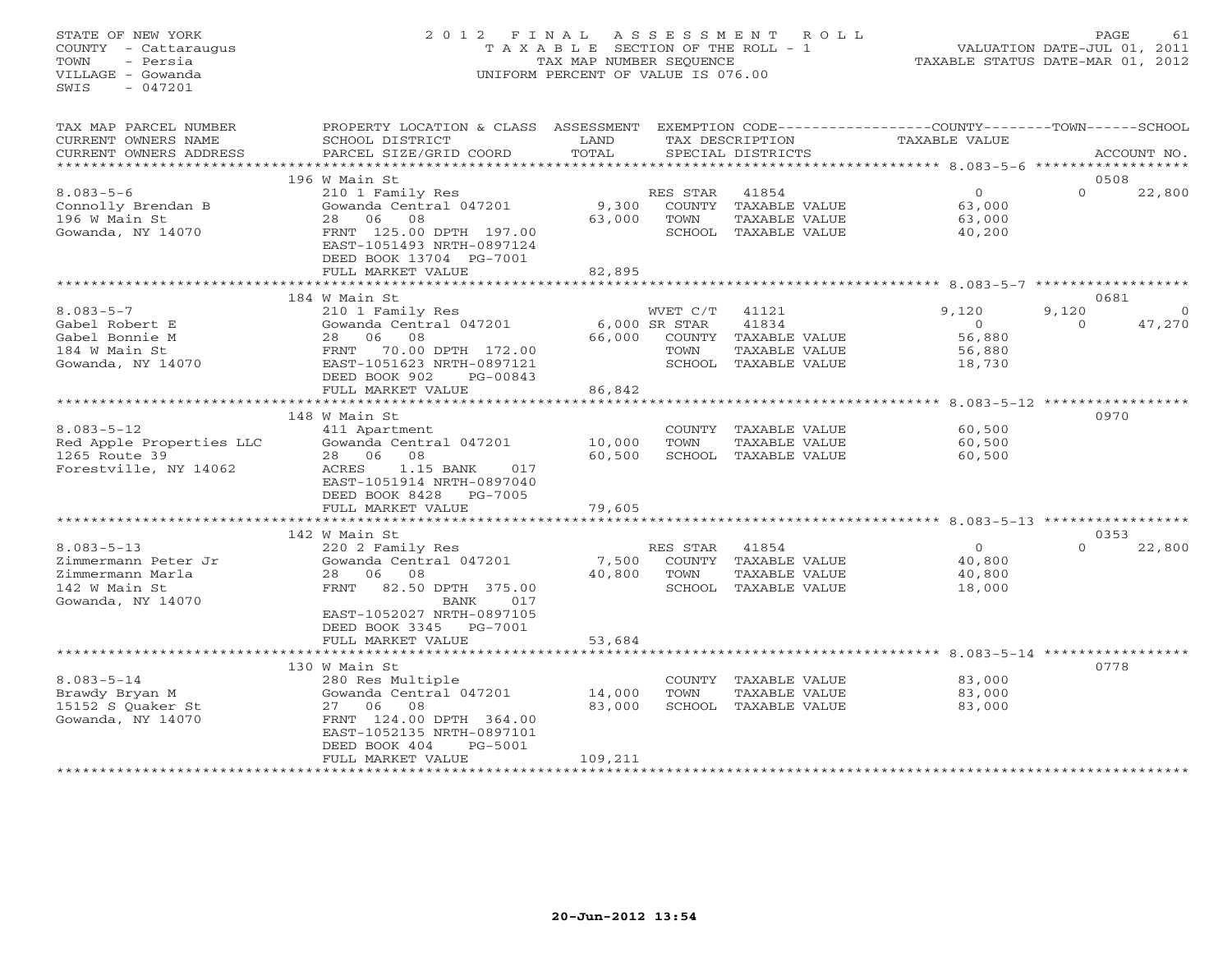# STATE OF NEW YORK 2 0 1 2 F I N A L A S S E S S M E N T R O L L PAGE 61 COUNTY - Cattaraugus T A X A B L E SECTION OF THE ROLL - 1 VALUATION DATE-JUL 01, 2011 TOWN - Persia TAX MAP NUMBER SEQUENCE TAXABLE STATUS DATE-MAR 01, 2012 VILLAGE - Gowanda UNIFORM PERCENT OF VALUE IS 076.00UNIFORM PERCENT OF VALUE IS 076.00

| TAX MAP PARCEL NUMBER<br>CURRENT OWNERS NAME<br>CURRENT OWNERS ADDRESS      | PROPERTY LOCATION & CLASS ASSESSMENT<br>SCHOOL DISTRICT<br>PARCEL SIZE/GRID COORD | LAND<br>TOTAL   |                  | TAX DESCRIPTION<br>SPECIAL DISTRICTS                                   | EXEMPTION CODE-----------------COUNTY-------TOWN------SCHOOL<br>TAXABLE VALUE |          | ACCOUNT NO. |
|-----------------------------------------------------------------------------|-----------------------------------------------------------------------------------|-----------------|------------------|------------------------------------------------------------------------|-------------------------------------------------------------------------------|----------|-------------|
| **********************                                                      |                                                                                   |                 |                  |                                                                        |                                                                               |          |             |
|                                                                             | 196 W Main St                                                                     |                 |                  |                                                                        |                                                                               |          | 0508        |
| $8.083 - 5 - 6$<br>Connolly Brendan B<br>196 W Main St<br>Gowanda, NY 14070 | 210 1 Family Res<br>Gowanda Central 047201<br>28 06 08<br>FRNT 125.00 DPTH 197.00 | 9,300<br>63,000 | RES STAR<br>TOWN | 41854<br>COUNTY TAXABLE VALUE<br>TAXABLE VALUE<br>SCHOOL TAXABLE VALUE | $\circ$<br>63,000<br>63,000<br>40,200                                         | $\Omega$ | 22,800      |
|                                                                             | EAST-1051493 NRTH-0897124<br>DEED BOOK 13704 PG-7001<br>FULL MARKET VALUE         | 82,895          |                  |                                                                        |                                                                               |          |             |
|                                                                             |                                                                                   | ***********     |                  |                                                                        |                                                                               |          |             |
|                                                                             | 184 W Main St                                                                     |                 |                  |                                                                        |                                                                               |          | 0681        |
| $8.083 - 5 - 7$                                                             | 210 1 Family Res                                                                  |                 | WVET C/T         | 41121                                                                  | 9,120                                                                         | 9,120    | $\Omega$    |
| Gabel Robert E<br>Gabel Bonnie M                                            | Gowanda Central 047201<br>06<br>08<br>28                                          | 66,000          | 6,000 SR STAR    | 41834                                                                  | $\Omega$<br>56,880                                                            | $\Omega$ | 47,270      |
| 184 W Main St                                                               | 70.00 DPTH 172.00<br>FRNT                                                         |                 | TOWN             | COUNTY TAXABLE VALUE<br>TAXABLE VALUE                                  | 56,880                                                                        |          |             |
| Gowanda, NY 14070                                                           | EAST-1051623 NRTH-0897121                                                         |                 |                  | SCHOOL TAXABLE VALUE                                                   | 18,730                                                                        |          |             |
|                                                                             | DEED BOOK 902<br>PG-00843<br>FULL MARKET VALUE                                    | 86,842          |                  |                                                                        |                                                                               |          |             |
|                                                                             |                                                                                   |                 |                  |                                                                        |                                                                               |          |             |
|                                                                             | 148 W Main St                                                                     |                 |                  |                                                                        |                                                                               |          | 0970        |
| $8.083 - 5 - 12$                                                            | 411 Apartment                                                                     |                 |                  | COUNTY TAXABLE VALUE                                                   | 60,500                                                                        |          |             |
| Red Apple Properties LLC                                                    | Gowanda Central 047201                                                            | 10,000          | TOWN             | TAXABLE VALUE                                                          | 60,500                                                                        |          |             |
| 1265 Route 39                                                               | 08<br>28 06                                                                       | 60,500          |                  | SCHOOL TAXABLE VALUE                                                   | 60,500                                                                        |          |             |
| Forestville, NY 14062                                                       | 1.15 BANK<br>ACRES<br>017                                                         |                 |                  |                                                                        |                                                                               |          |             |
|                                                                             | EAST-1051914 NRTH-0897040                                                         |                 |                  |                                                                        |                                                                               |          |             |
|                                                                             | DEED BOOK 8428 PG-7005                                                            |                 |                  |                                                                        |                                                                               |          |             |
|                                                                             | FULL MARKET VALUE                                                                 | 79,605          |                  |                                                                        |                                                                               |          |             |
|                                                                             | 142 W Main St                                                                     |                 |                  |                                                                        |                                                                               |          | 0353        |
| $8.083 - 5 - 13$                                                            | 220 2 Family Res                                                                  |                 | RES STAR         | 41854                                                                  | $\Omega$                                                                      | $\Omega$ | 22,800      |
| Zimmermann Peter Jr                                                         | Gowanda Central 047201                                                            | 7,500           |                  | COUNTY TAXABLE VALUE                                                   | 40,800                                                                        |          |             |
| Zimmermann Marla                                                            | 28 06 08                                                                          | 40,800          | TOWN             | TAXABLE VALUE                                                          | 40,800                                                                        |          |             |
| 142 W Main St<br>Gowanda, NY 14070                                          | FRNT 82.50 DPTH 375.00<br>BANK<br>017                                             |                 |                  | SCHOOL TAXABLE VALUE                                                   | 18,000                                                                        |          |             |
|                                                                             | EAST-1052027 NRTH-0897105<br>DEED BOOK 3345 PG-7001                               |                 |                  |                                                                        |                                                                               |          |             |
|                                                                             | FULL MARKET VALUE                                                                 | 53,684          |                  |                                                                        |                                                                               |          |             |
|                                                                             |                                                                                   |                 |                  |                                                                        |                                                                               |          |             |
|                                                                             | 130 W Main St                                                                     |                 |                  |                                                                        |                                                                               |          | 0778        |
| $8.083 - 5 - 14$                                                            | 280 Res Multiple                                                                  |                 |                  | COUNTY TAXABLE VALUE                                                   | 83,000                                                                        |          |             |
| Brawdy Bryan M                                                              | Gowanda Central 047201                                                            | 14,000          | TOWN             | TAXABLE VALUE                                                          | 83,000                                                                        |          |             |
| 15152 S Ouaker St                                                           | 27 06 08                                                                          | 83,000          |                  | SCHOOL TAXABLE VALUE                                                   | 83,000                                                                        |          |             |
| Gowanda, NY 14070                                                           | FRNT 124.00 DPTH 364.00                                                           |                 |                  |                                                                        |                                                                               |          |             |
|                                                                             | EAST-1052135 NRTH-0897101                                                         |                 |                  |                                                                        |                                                                               |          |             |
|                                                                             | DEED BOOK 404<br>PG-5001                                                          |                 |                  |                                                                        |                                                                               |          |             |
|                                                                             | FULL MARKET VALUE                                                                 | 109,211         |                  | **********************************                                     |                                                                               |          |             |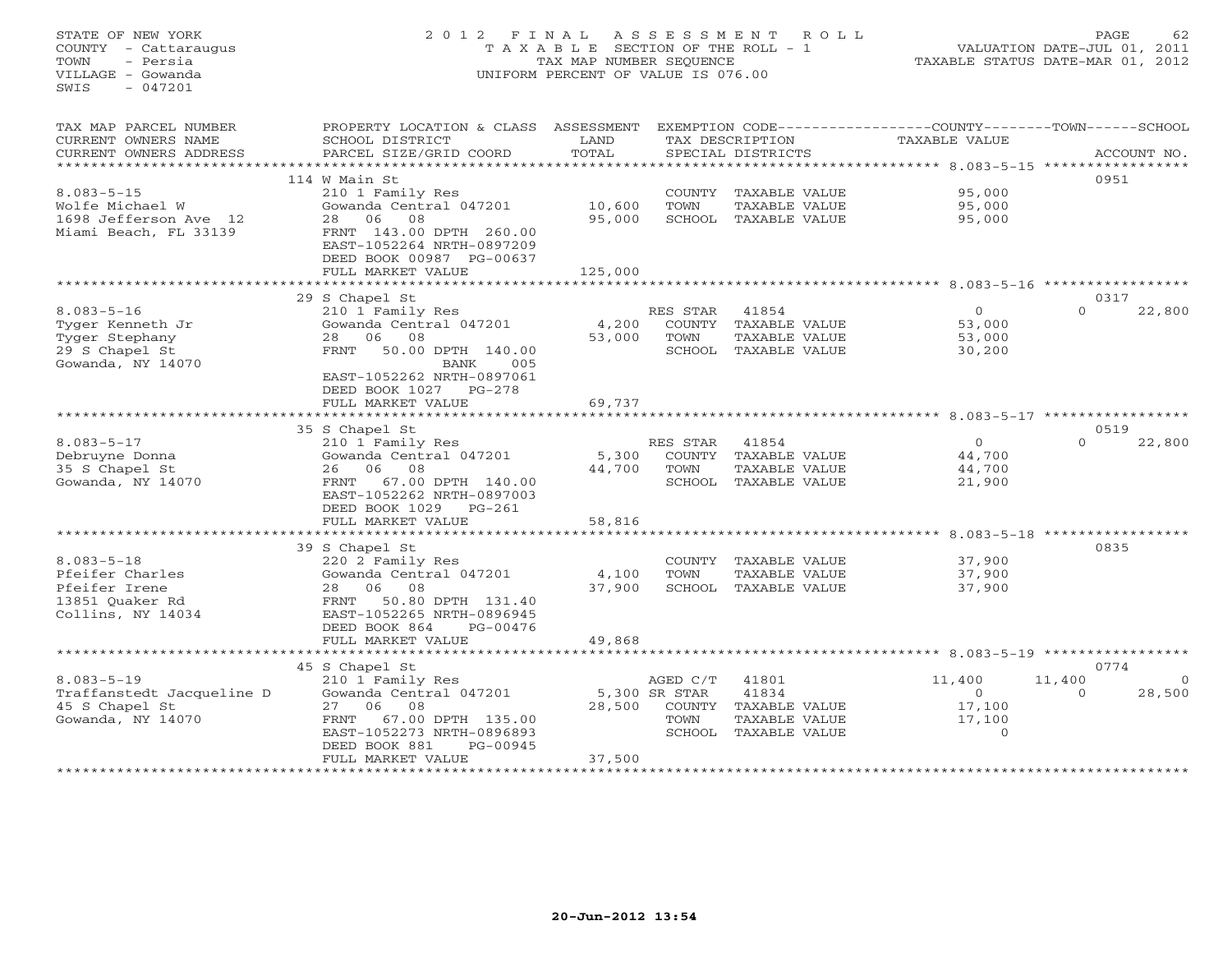STATE OF NEW YORK 2 0 1 2 F I N A L A S S E S S M E N T R O L L PAGE 62 COUNTY - Cattaraugus T A X A B L E SECTION OF THE ROLL - 1 VALUATION DATE-JUL 01, 2011 TOWN - Persia TAX MAP NUMBER SEQUENCE TAXABLE STATUS DATE-MAR 01, 2012 VILLAGE - Gowanda UNIFORM PERCENT OF VALUE IS 076.00 SWIS - 047201TAX MAP PARCEL NUMBER PROPERTY LOCATION & CLASS ASSESSMENT EXEMPTION CODE------------------COUNTY--------TOWN------SCHOOL CURRENT OWNERS NAME SCHOOL DISTRICT LAND TAX DESCRIPTION TAXABLE VALUE CURRENT OWNERS ADDRESS PARCEL SIZE/GRID COORD TOTAL SPECIAL DISTRICTS ACCOUNT NO. \*\*\*\*\*\*\*\*\*\*\*\*\*\*\*\*\*\*\*\*\*\*\*\*\*\*\*\*\*\*\*\*\*\*\*\*\*\*\*\*\*\*\*\*\*\*\*\*\*\*\*\*\*\*\*\*\*\*\*\*\*\*\*\*\*\*\*\*\*\*\*\*\*\*\*\*\*\*\*\*\*\*\*\*\*\*\*\*\*\*\*\*\*\*\*\*\*\*\*\*\*\*\* 8.083-5-15 \*\*\*\*\*\*\*\*\*\*\*\*\*\*\*\*\* 114 W Main St 09518.083-5-15 210 1 Family Res COUNTY TAXABLE VALUE 95,000 Wolfe Michael W Gowanda Central 047201 10,600 TOWN TAXABLE VALUE 95,000 1698 Jefferson Ave 12 28 06 08 95,000 SCHOOL TAXABLE VALUE 95,000 Miami Beach, FL 33139 FRNT 143.00 DPTH 260.00 EAST-1052264 NRTH-0897209 DEED BOOK 00987 PG-00637FULL MARKET VALUE 125,000 \*\*\*\*\*\*\*\*\*\*\*\*\*\*\*\*\*\*\*\*\*\*\*\*\*\*\*\*\*\*\*\*\*\*\*\*\*\*\*\*\*\*\*\*\*\*\*\*\*\*\*\*\*\*\*\*\*\*\*\*\*\*\*\*\*\*\*\*\*\*\*\*\*\*\*\*\*\*\*\*\*\*\*\*\*\*\*\*\*\*\*\*\*\*\*\*\*\*\*\*\*\*\* 8.083-5-16 \*\*\*\*\*\*\*\*\*\*\*\*\*\*\*\*\*0317 29 S Chapel St 0317 8.083-5-16 210 1 Family Res RES STAR 41854 0 0 22,800 Tyger Kenneth Jr Gowanda Central 047201 4,200 COUNTY TAXABLE VALUE 53,000 Tyger Stephany 28 06 08 53,000 TOWN TAXABLE VALUE 53,000 29 S Chapel St FRNT 50.00 DPTH 140.00 SCHOOL TAXABLE VALUE 30,200 Gowanda, NY 14070 BANK 005 EAST-1052262 NRTH-0897061 DEED BOOK 1027 PG-278 FULL MARKET VALUE 69,737 \*\*\*\*\*\*\*\*\*\*\*\*\*\*\*\*\*\*\*\*\*\*\*\*\*\*\*\*\*\*\*\*\*\*\*\*\*\*\*\*\*\*\*\*\*\*\*\*\*\*\*\*\*\*\*\*\*\*\*\*\*\*\*\*\*\*\*\*\*\*\*\*\*\*\*\*\*\*\*\*\*\*\*\*\*\*\*\*\*\*\*\*\*\*\*\*\*\*\*\*\*\*\* 8.083-5-17 \*\*\*\*\*\*\*\*\*\*\*\*\*\*\*\*\* 35 S Chapel St 0519 8.083-5-17 210 1 Family Res RES STAR 41854 0 0 22,800 Debruyne Donna Gowanda Central 047201 5,300 COUNTY TAXABLE VALUE 44,700 35 S Chapel St 26 06 08 44,700 TOWN TAXABLE VALUE 44,700 Gowanda, NY 14070 FRNT 67.00 DPTH 140.00 SCHOOL TAXABLE VALUE 21,900 EAST-1052262 NRTH-0897003 DEED BOOK 1029 PG-261 FULL MARKET VALUE 58,816 \*\*\*\*\*\*\*\*\*\*\*\*\*\*\*\*\*\*\*\*\*\*\*\*\*\*\*\*\*\*\*\*\*\*\*\*\*\*\*\*\*\*\*\*\*\*\*\*\*\*\*\*\*\*\*\*\*\*\*\*\*\*\*\*\*\*\*\*\*\*\*\*\*\*\*\*\*\*\*\*\*\*\*\*\*\*\*\*\*\*\*\*\*\*\*\*\*\*\*\*\*\*\* 8.083-5-18 \*\*\*\*\*\*\*\*\*\*\*\*\*\*\*\*\* 39 S Chapel St 0835 8.083-5-18 220 2 Family Res COUNTY TAXABLE VALUE 37,900 Pfeifer Charles Gowanda Central 047201 4,100 TOWN TAXABLE VALUE 37,900 Pfeifer Irene 28 06 08 37,900 SCHOOL TAXABLE VALUE 37,900 13851 Quaker Rd FRNT 50.80 DPTH 131.40 Collins, NY 14034 EAST-1052265 NRTH-0896945 DEED BOOK 864 PG-00476 FULL MARKET VALUE 49,868 \*\*\*\*\*\*\*\*\*\*\*\*\*\*\*\*\*\*\*\*\*\*\*\*\*\*\*\*\*\*\*\*\*\*\*\*\*\*\*\*\*\*\*\*\*\*\*\*\*\*\*\*\*\*\*\*\*\*\*\*\*\*\*\*\*\*\*\*\*\*\*\*\*\*\*\*\*\*\*\*\*\*\*\*\*\*\*\*\*\*\*\*\*\*\*\*\*\*\*\*\*\*\* 8.083-5-19 \*\*\*\*\*\*\*\*\*\*\*\*\*\*\*\*\* 45 S Chapel St 0774 8.083-5-19 210 1 Family Res AGED C/T 41801 11,400 11,400 0 Traffanstedt Jacqueline D Gowanda Central 047201 5,300 SR STAR 41834 0 0 28,500 45 S Chapel St 27 06 08 28,500 COUNTY TAXABLE VALUE 17,100 Gowanda, NY 14070 FRNT 67.00 DPTH 135.00 TOWN TAXABLE VALUE 17,100 EAST-1052273 NRTH-0896893 SCHOOL TAXABLE VALUE 0 DEED BOOK 881 PG-00945 FULL MARKET VALUE 37,500 \*\*\*\*\*\*\*\*\*\*\*\*\*\*\*\*\*\*\*\*\*\*\*\*\*\*\*\*\*\*\*\*\*\*\*\*\*\*\*\*\*\*\*\*\*\*\*\*\*\*\*\*\*\*\*\*\*\*\*\*\*\*\*\*\*\*\*\*\*\*\*\*\*\*\*\*\*\*\*\*\*\*\*\*\*\*\*\*\*\*\*\*\*\*\*\*\*\*\*\*\*\*\*\*\*\*\*\*\*\*\*\*\*\*\*\*\*\*\*\*\*\*\*\*\*\*\*\*\*\*\*\*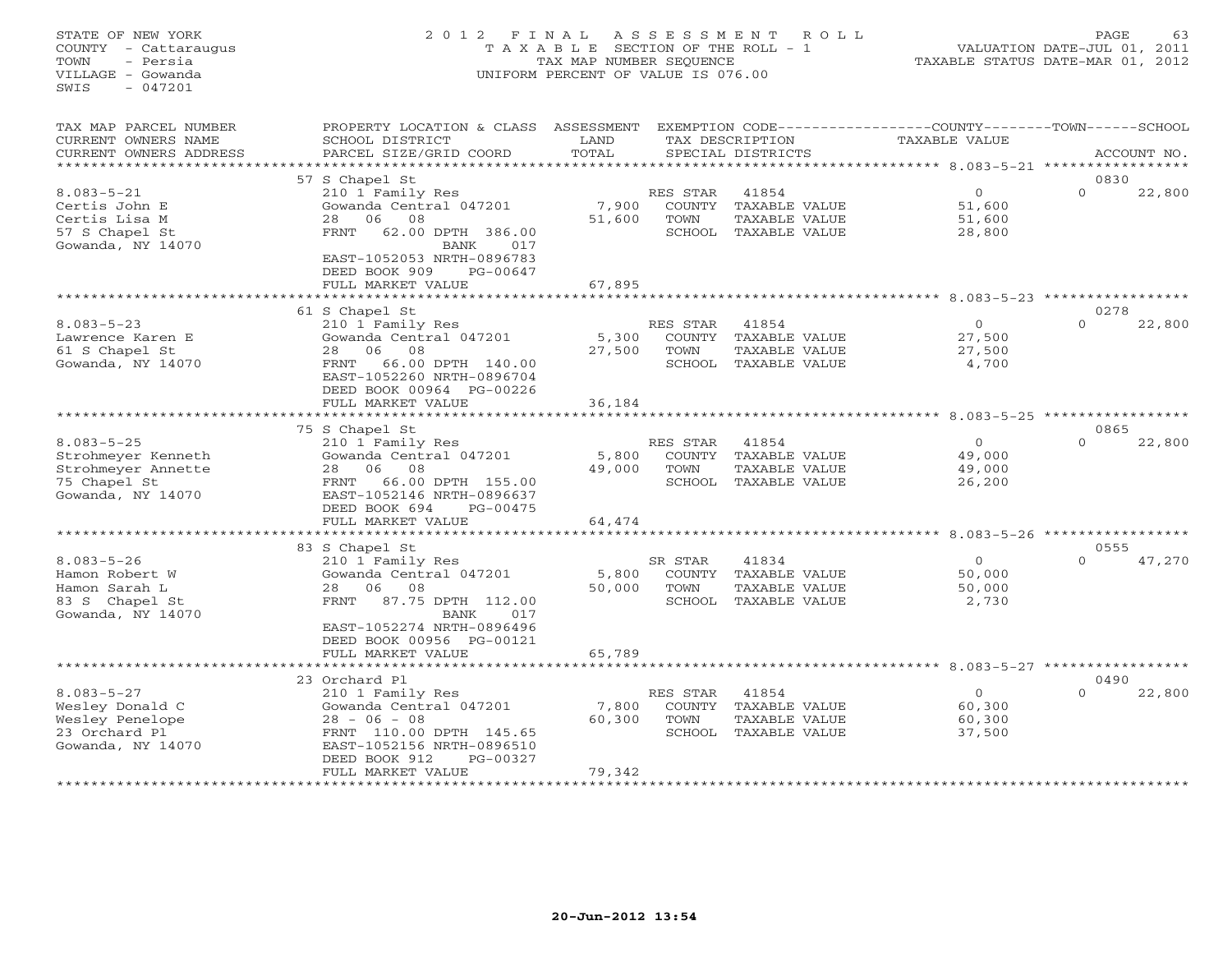## STATE OF NEW YORK 2 0 1 2 F I N A L A S S E S S M E N T R O L L PAGE 63 COUNTY - Cattaraugus T A X A B L E SECTION OF THE ROLL - 1 VALUATION DATE-JUL 01, 2011 TOWN - Persia TAX MAP NUMBER SEQUENCE TAXABLE STATUS DATE-MAR 01, 2012 VILLAGE - Gowanda UNIFORM PERCENT OF VALUE IS 076.00UNIFORM PERCENT OF VALUE IS 076.00

| TAX MAP PARCEL NUMBER<br>CURRENT OWNERS NAME                                                      | PROPERTY LOCATION & CLASS<br>SCHOOL DISTRICT                                                                                                                                            | ASSESSMENT<br>LAND        |                                             | EXEMPTION CODE----<br>TAX DESCRIPTION                    | -------------COUNTY--------TOWN------SCHOOL<br><b>TAXABLE VALUE</b> |                   |             |
|---------------------------------------------------------------------------------------------------|-----------------------------------------------------------------------------------------------------------------------------------------------------------------------------------------|---------------------------|---------------------------------------------|----------------------------------------------------------|---------------------------------------------------------------------|-------------------|-------------|
| CURRENT OWNERS ADDRESS<br>* * * * * * * * * * * *                                                 | PARCEL SIZE/GRID COORD                                                                                                                                                                  | TOTAL                     |                                             | SPECIAL DISTRICTS                                        |                                                                     | ***************** | ACCOUNT NO. |
|                                                                                                   | 57 S Chapel St                                                                                                                                                                          |                           |                                             |                                                          |                                                                     | 0830              |             |
| $8.083 - 5 - 21$<br>Certis John E<br>Certis Lisa M<br>57 S Chapel St<br>Gowanda, NY 14070         | 210 1 Family Res<br>Gowanda Central 047201<br>28<br>06<br>08<br>62.00 DPTH 386.00<br>FRNT<br>BANK<br>017<br>EAST-1052053 NRTH-0896783<br>DEED BOOK 909<br>PG-00647<br>FULL MARKET VALUE | 7,900<br>51,600<br>67,895 | RES STAR<br><b>COUNTY</b><br>TOWN<br>SCHOOL | 41854<br>TAXABLE VALUE<br>TAXABLE VALUE<br>TAXABLE VALUE | $\mathbf{O}$<br>51,600<br>51,600<br>28,800                          | $\Omega$          | 22,800      |
|                                                                                                   | ******************                                                                                                                                                                      |                           |                                             |                                                          |                                                                     |                   |             |
| $8.083 - 5 - 23$<br>Lawrence Karen E<br>61 S Chapel St<br>Gowanda, NY 14070                       | 61 S Chapel St<br>210 1 Family Res<br>Gowanda Central 047201<br>06<br>08<br>28<br>66.00 DPTH 140.00<br>FRNT<br>EAST-1052260 NRTH-0896704<br>DEED BOOK 00964 PG-00226                    | 5,300<br>27,500           | RES STAR<br>COUNTY<br>TOWN<br>SCHOOL        | 41854<br>TAXABLE VALUE<br>TAXABLE VALUE<br>TAXABLE VALUE | $\Omega$<br>27,500<br>27,500<br>4,700                               | 0278<br>$\Omega$  | 22,800      |
|                                                                                                   | FULL MARKET VALUE                                                                                                                                                                       | 36,184<br>*******         |                                             |                                                          | $8.083 - 5 - 25$ ***********                                        |                   |             |
|                                                                                                   | 75 S Chapel St                                                                                                                                                                          |                           |                                             |                                                          |                                                                     | 0865              |             |
| $8.083 - 5 - 25$<br>Strohmeyer Kenneth<br>Strohmeyer Annette<br>75 Chapel St<br>Gowanda, NY 14070 | 210 1 Family Res<br>Gowanda Central 047201<br>28<br>06<br>08<br>66.00 DPTH 155.00<br>FRNT<br>EAST-1052146 NRTH-0896637<br>DEED BOOK 694<br>PG-00475<br>FULL MARKET VALUE                | 5,800<br>49,000<br>64,474 | RES STAR<br>COUNTY<br>TOWN<br>SCHOOL        | 41854<br>TAXABLE VALUE<br>TAXABLE VALUE<br>TAXABLE VALUE | $\circ$<br>49,000<br>49,000<br>26,200                               | $\Omega$          | 22,800      |
|                                                                                                   |                                                                                                                                                                                         |                           |                                             |                                                          |                                                                     |                   |             |
|                                                                                                   | 83 S Chapel St                                                                                                                                                                          |                           |                                             |                                                          |                                                                     | 0555              |             |
| $8.083 - 5 - 26$<br>Hamon Robert W<br>Hamon Sarah L<br>83 S Chapel St<br>Gowanda, NY 14070        | 210 1 Family Res<br>Gowanda Central 047201<br>06<br>08<br>28<br>87.75 DPTH 112.00<br>FRNT<br><b>BANK</b><br>017<br>EAST-1052274 NRTH-0896496<br>DEED BOOK 00956 PG-00121                | 5,800<br>50,000           | SR STAR<br>COUNTY<br>TOWN<br>SCHOOL         | 41834<br>TAXABLE VALUE<br>TAXABLE VALUE<br>TAXABLE VALUE | $\Omega$<br>50,000<br>50,000<br>2,730                               | $\Omega$          | 47,270      |
|                                                                                                   | FULL MARKET VALUE                                                                                                                                                                       | 65,789                    |                                             |                                                          | $8.083 - 5 - 27$ ************                                       |                   |             |
|                                                                                                   | 23 Orchard Pl                                                                                                                                                                           |                           |                                             |                                                          |                                                                     | 0490              |             |
| $8.083 - 5 - 27$<br>Wesley Donald C<br>Wesley Penelope<br>23 Orchard Pl<br>Gowanda, NY 14070      | 210 1 Family Res<br>Gowanda Central 047201<br>$28 - 06 - 08$<br>FRNT 110.00 DPTH 145.65<br>EAST-1052156 NRTH-0896510<br>DEED BOOK 912<br>PG-00327<br>FULL MARKET VALUE                  | 7,800<br>60,300<br>79,342 | RES STAR<br>COUNTY<br>TOWN<br>SCHOOL        | 41854<br>TAXABLE VALUE<br>TAXABLE VALUE<br>TAXABLE VALUE | $\Omega$<br>60,300<br>60,300<br>37,500                              | $\Omega$          | 22,800      |
|                                                                                                   |                                                                                                                                                                                         |                           |                                             |                                                          |                                                                     |                   |             |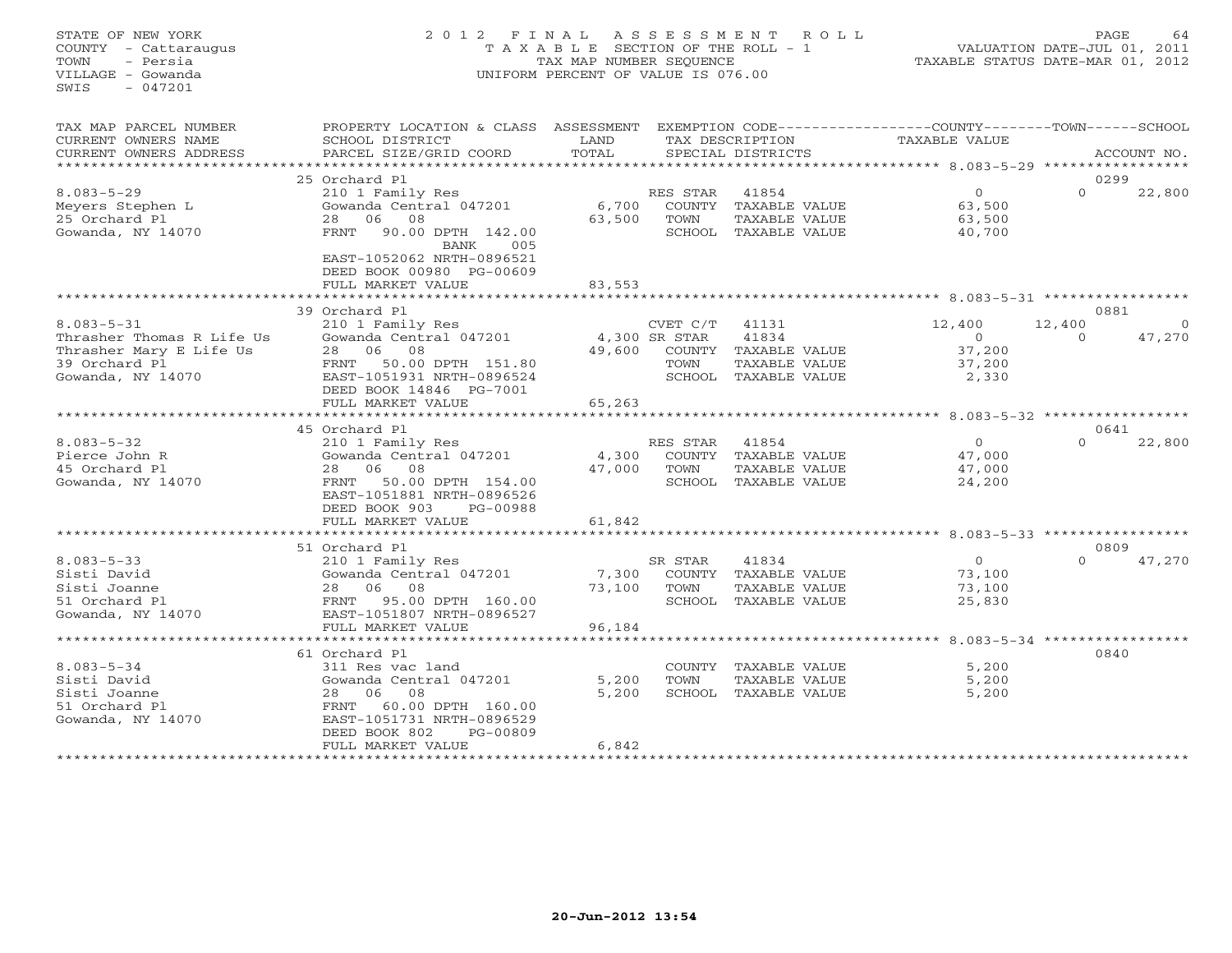# STATE OF NEW YORK 2 0 1 2 F I N A L A S S E S S M E N T R O L L PAGE 64 COUNTY - Cattaraugus T A X A B L E SECTION OF THE ROLL - 1 VALUATION DATE-JUL 01, 2011 TOWN - Persia TAX MAP NUMBER SEQUENCE TAXABLE STATUS DATE-MAR 01, 2012 VILLAGE - Gowanda UNIFORM PERCENT OF VALUE IS 076.00UNIFORM PERCENT OF VALUE IS 076.00

| TAX MAP PARCEL NUMBER<br>CURRENT OWNERS NAME<br>CURRENT OWNERS ADDRESS<br>**************** | PROPERTY LOCATION & CLASS ASSESSMENT<br>SCHOOL DISTRICT<br>PARCEL SIZE/GRID COORD                                                                                 | LAND<br>TOTAL                     |                  | TAX DESCRIPTION<br>SPECIAL DISTRICTS                                   | EXEMPTION CODE-----------------COUNTY-------TOWN-----SCHOOL<br><b>TAXABLE VALUE</b> |                    | ACCOUNT NO. |
|--------------------------------------------------------------------------------------------|-------------------------------------------------------------------------------------------------------------------------------------------------------------------|-----------------------------------|------------------|------------------------------------------------------------------------|-------------------------------------------------------------------------------------|--------------------|-------------|
|                                                                                            |                                                                                                                                                                   |                                   |                  |                                                                        |                                                                                     |                    |             |
| $8.083 - 5 - 29$<br>Meyers Stephen L                                                       | 25 Orchard Pl<br>210 1 Family Res<br>Gowanda Central 047201                                                                                                       | 6,700                             | RES STAR         | 41854<br>COUNTY TAXABLE VALUE                                          | $\Omega$<br>63,500                                                                  | 0299<br>$\Omega$   | 22,800      |
| 25 Orchard Pl<br>Gowanda, NY 14070                                                         | 08<br>28 06<br>90.00 DPTH 142.00<br>FRNT<br>BANK<br>005<br>EAST-1052062 NRTH-0896521<br>DEED BOOK 00980 PG-00609<br>FULL MARKET VALUE                             | 63,500<br>83,553                  | TOWN             | TAXABLE VALUE<br>SCHOOL TAXABLE VALUE                                  | 63,500<br>40,700                                                                    |                    |             |
|                                                                                            |                                                                                                                                                                   |                                   |                  |                                                                        |                                                                                     |                    |             |
|                                                                                            | 39 Orchard Pl                                                                                                                                                     |                                   |                  |                                                                        |                                                                                     | 0881               |             |
| $8.083 - 5 - 31$<br>Thrasher Thomas R Life Us<br>Thrasher Mary E Life Us<br>39 Orchard Pl  | 210 1 Family Res<br>Gowanda Central 047201<br>28 06<br>08<br>50.00 DPTH 151.80<br>FRNT                                                                            | 4,300 SR STAR<br>49,600           | CVET C/T<br>TOWN | 41131<br>41834<br>COUNTY TAXABLE VALUE<br>TAXABLE VALUE                | 12,400<br>$\overline{O}$<br>37,200<br>37,200                                        | 12,400<br>$\Omega$ | 47,270      |
| Gowanda, NY 14070                                                                          | EAST-1051931 NRTH-0896524<br>DEED BOOK 14846 PG-7001<br>FULL MARKET VALUE                                                                                         | 65,263<br>*********************** |                  | SCHOOL TAXABLE VALUE                                                   | 2,330                                                                               |                    |             |
|                                                                                            |                                                                                                                                                                   |                                   |                  |                                                                        | ************************ 8.083-5-32 ******************                              |                    |             |
| $8.083 - 5 - 32$<br>Pierce John R<br>45 Orchard Pl<br>Gowanda, NY 14070                    | 45 Orchard Pl<br>210 1 Family Res<br>Gowanda Central 047201<br>28 06 08<br>50.00 DPTH 154.00<br>FRNT<br>EAST-1051881 NRTH-0896526<br>DEED BOOK 903<br>PG-00988    | 4,300<br>47,000                   | RES STAR<br>TOWN | 41854<br>COUNTY TAXABLE VALUE<br>TAXABLE VALUE<br>SCHOOL TAXABLE VALUE | $\circ$<br>47,000<br>47,000<br>24,200                                               | 0641<br>$\Omega$   | 22,800      |
|                                                                                            | FULL MARKET VALUE                                                                                                                                                 | 61,842                            |                  |                                                                        |                                                                                     |                    |             |
|                                                                                            |                                                                                                                                                                   |                                   |                  |                                                                        |                                                                                     |                    |             |
|                                                                                            | 51 Orchard Pl                                                                                                                                                     |                                   |                  |                                                                        |                                                                                     | 0809               |             |
| $8.083 - 5 - 33$<br>Sisti David<br>Sisti Joanne<br>51 Orchard Pl<br>Gowanda, NY 14070      | 210 1 Family Res<br>Gowanda Central 047201<br>28 06<br>08<br>FRNT<br>95.00 DPTH 160.00<br>EAST-1051807 NRTH-0896527                                               | 7,300<br>73,100                   | SR STAR<br>TOWN  | 41834<br>COUNTY TAXABLE VALUE<br>TAXABLE VALUE<br>SCHOOL TAXABLE VALUE | $\overline{O}$<br>73,100<br>73,100<br>25,830                                        | $\Omega$           | 47,270      |
|                                                                                            | FULL MARKET VALUE                                                                                                                                                 | 96,184                            |                  |                                                                        |                                                                                     |                    |             |
|                                                                                            | ********************************                                                                                                                                  |                                   |                  |                                                                        |                                                                                     |                    |             |
| $8.083 - 5 - 34$<br>Sisti David<br>Sisti Joanne<br>51 Orchard Pl<br>Gowanda, NY 14070      | 61 Orchard Pl<br>311 Res vac land<br>Gowanda Central 047201<br>28 06<br>08<br>60.00 DPTH 160.00<br>FRNT<br>EAST-1051731 NRTH-0896529<br>DEED BOOK 802<br>PG-00809 | 5,200<br>5,200                    | TOWN             | COUNTY TAXABLE VALUE<br>TAXABLE VALUE<br>SCHOOL TAXABLE VALUE          | 5,200<br>5,200<br>5,200                                                             | 0840               |             |
|                                                                                            | FULL MARKET VALUE                                                                                                                                                 | 6,842                             |                  |                                                                        |                                                                                     |                    |             |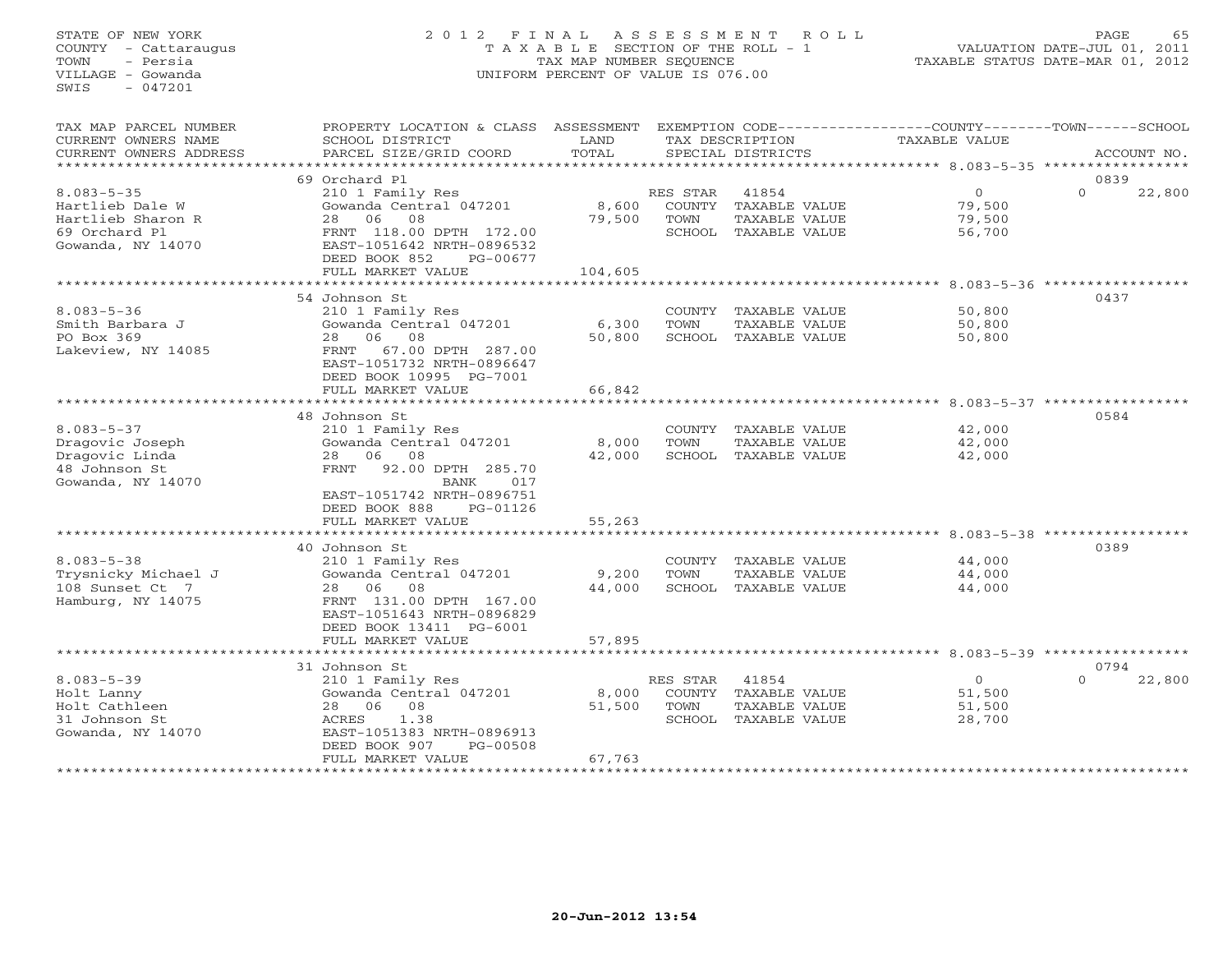# STATE OF NEW YORK 2 0 1 2 F I N A L A S S E S S M E N T R O L L PAGE 65 COUNTY - Cattaraugus T A X A B L E SECTION OF THE ROLL - 1 VALUATION DATE-JUL 01, 2011 TOWN - Persia TAX MAP NUMBER SEQUENCE TAXABLE STATUS DATE-MAR 01, 2012 VILLAGE - Gowanda UNIFORM PERCENT OF VALUE IS 076.00UNIFORM PERCENT OF VALUE IS 076.00

| TAX MAP PARCEL NUMBER<br>CURRENT OWNERS NAME<br>CURRENT OWNERS ADDRESS | PROPERTY LOCATION & CLASS ASSESSMENT<br>SCHOOL DISTRICT<br>PARCEL SIZE/GRID COORD                      | LAND<br>TOTAL       |                    | TAX DESCRIPTION<br>SPECIAL DISTRICTS  | EXEMPTION CODE----------------COUNTY-------TOWN------SCHOOL<br><b>TAXABLE VALUE</b> | ACCOUNT NO.                |
|------------------------------------------------------------------------|--------------------------------------------------------------------------------------------------------|---------------------|--------------------|---------------------------------------|-------------------------------------------------------------------------------------|----------------------------|
| *************************                                              |                                                                                                        |                     |                    |                                       |                                                                                     |                            |
| $8.083 - 5 - 35$<br>Hartlieb Dale W                                    | 69 Orchard Pl<br>210 1 Family Res<br>Gowanda Central 047201                                            | 8,600               | RES STAR<br>COUNTY | 41854<br>TAXABLE VALUE                | $\Omega$<br>79,500                                                                  | 0839<br>$\Omega$<br>22,800 |
| Hartlieb Sharon R<br>69 Orchard Pl<br>Gowanda, NY 14070                | 08<br>28<br>06<br>FRNT 118.00 DPTH 172.00<br>EAST-1051642 NRTH-0896532<br>DEED BOOK 852<br>PG-00677    | 79,500              | TOWN               | TAXABLE VALUE<br>SCHOOL TAXABLE VALUE | 79,500<br>56,700                                                                    |                            |
|                                                                        | FULL MARKET VALUE<br>*******************                                                               | 104,605<br>******** |                    |                                       |                                                                                     |                            |
|                                                                        |                                                                                                        |                     |                    |                                       | ************ 8.083-5-36 ***********                                                 | 0437                       |
| $8.083 - 5 - 36$                                                       | 54 Johnson St<br>210 1 Family Res                                                                      |                     | COUNTY             | TAXABLE VALUE                         | 50,800                                                                              |                            |
| Smith Barbara J                                                        | Gowanda Central 047201                                                                                 | 6,300               | TOWN               | TAXABLE VALUE                         | 50,800                                                                              |                            |
| PO Box 369                                                             | 28<br>06<br>08                                                                                         | 50,800              |                    | SCHOOL TAXABLE VALUE                  | 50,800                                                                              |                            |
| Lakeview, NY 14085                                                     | FRNT<br>67.00 DPTH 287.00<br>EAST-1051732 NRTH-0896647<br>DEED BOOK 10995 PG-7001<br>FULL MARKET VALUE | 66,842              |                    |                                       |                                                                                     |                            |
|                                                                        | *********************************                                                                      | **************      |                    |                                       | ************************************* 8.083-5-37 ************                       |                            |
|                                                                        | 48 Johnson St                                                                                          |                     |                    |                                       |                                                                                     | 0584                       |
| $8.083 - 5 - 37$                                                       | 210 1 Family Res                                                                                       |                     |                    | COUNTY TAXABLE VALUE                  | 42,000                                                                              |                            |
| Dragovic Joseph                                                        | Gowanda Central 047201                                                                                 | 8,000               | TOWN               | TAXABLE VALUE                         | 42,000                                                                              |                            |
| Dragovic Linda                                                         | 28 06<br>08                                                                                            | 42,000              |                    | SCHOOL TAXABLE VALUE                  | 42,000                                                                              |                            |
| 48 Johnson St                                                          | 92.00 DPTH 285.70<br>FRNT                                                                              |                     |                    |                                       |                                                                                     |                            |
| Gowanda, NY 14070                                                      | BANK<br>017                                                                                            |                     |                    |                                       |                                                                                     |                            |
|                                                                        | EAST-1051742 NRTH-0896751                                                                              |                     |                    |                                       |                                                                                     |                            |
|                                                                        | DEED BOOK 888<br>PG-01126                                                                              |                     |                    |                                       |                                                                                     |                            |
|                                                                        | FULL MARKET VALUE<br>***************************                                                       | 55,263              |                    |                                       |                                                                                     |                            |
|                                                                        | 40 Johnson St                                                                                          |                     |                    |                                       |                                                                                     | 0389                       |
| $8.083 - 5 - 38$                                                       | 210 1 Family Res                                                                                       |                     |                    | COUNTY TAXABLE VALUE                  | 44,000                                                                              |                            |
| Trysnicky Michael J                                                    | Gowanda Central 047201                                                                                 | 9,200               | TOWN               | TAXABLE VALUE                         | 44,000                                                                              |                            |
| 108 Sunset Ct 7                                                        | 28<br>06<br>08                                                                                         | 44,000              |                    | SCHOOL TAXABLE VALUE                  | 44,000                                                                              |                            |
| Hamburg, NY 14075                                                      | FRNT 131.00 DPTH 167.00                                                                                |                     |                    |                                       |                                                                                     |                            |
|                                                                        | EAST-1051643 NRTH-0896829                                                                              |                     |                    |                                       |                                                                                     |                            |
|                                                                        | DEED BOOK 13411 PG-6001                                                                                |                     |                    |                                       |                                                                                     |                            |
|                                                                        | FULL MARKET VALUE                                                                                      | 57,895              |                    |                                       |                                                                                     |                            |
|                                                                        |                                                                                                        |                     |                    |                                       |                                                                                     |                            |
|                                                                        | 31 Johnson St                                                                                          |                     |                    |                                       |                                                                                     | 0794                       |
| $8.083 - 5 - 39$<br>Holt Lanny                                         | 210 1 Family Res<br>Gowanda Central 047201                                                             | 8,000               | RES STAR           | 41854<br>COUNTY TAXABLE VALUE         | $\circ$<br>51,500                                                                   | $\Omega$<br>22,800         |
| Holt Cathleen                                                          | 28 06<br>08                                                                                            | 51,500              | TOWN               | TAXABLE VALUE                         | 51,500                                                                              |                            |
| 31 Johnson St                                                          | ACRES<br>1.38                                                                                          |                     |                    | SCHOOL TAXABLE VALUE                  | 28,700                                                                              |                            |
| Gowanda, NY 14070                                                      | EAST-1051383 NRTH-0896913                                                                              |                     |                    |                                       |                                                                                     |                            |
|                                                                        | DEED BOOK 907<br>PG-00508                                                                              |                     |                    |                                       |                                                                                     |                            |
|                                                                        | FULL MARKET VALUE                                                                                      | 67,763              |                    |                                       |                                                                                     |                            |
|                                                                        |                                                                                                        |                     |                    |                                       |                                                                                     |                            |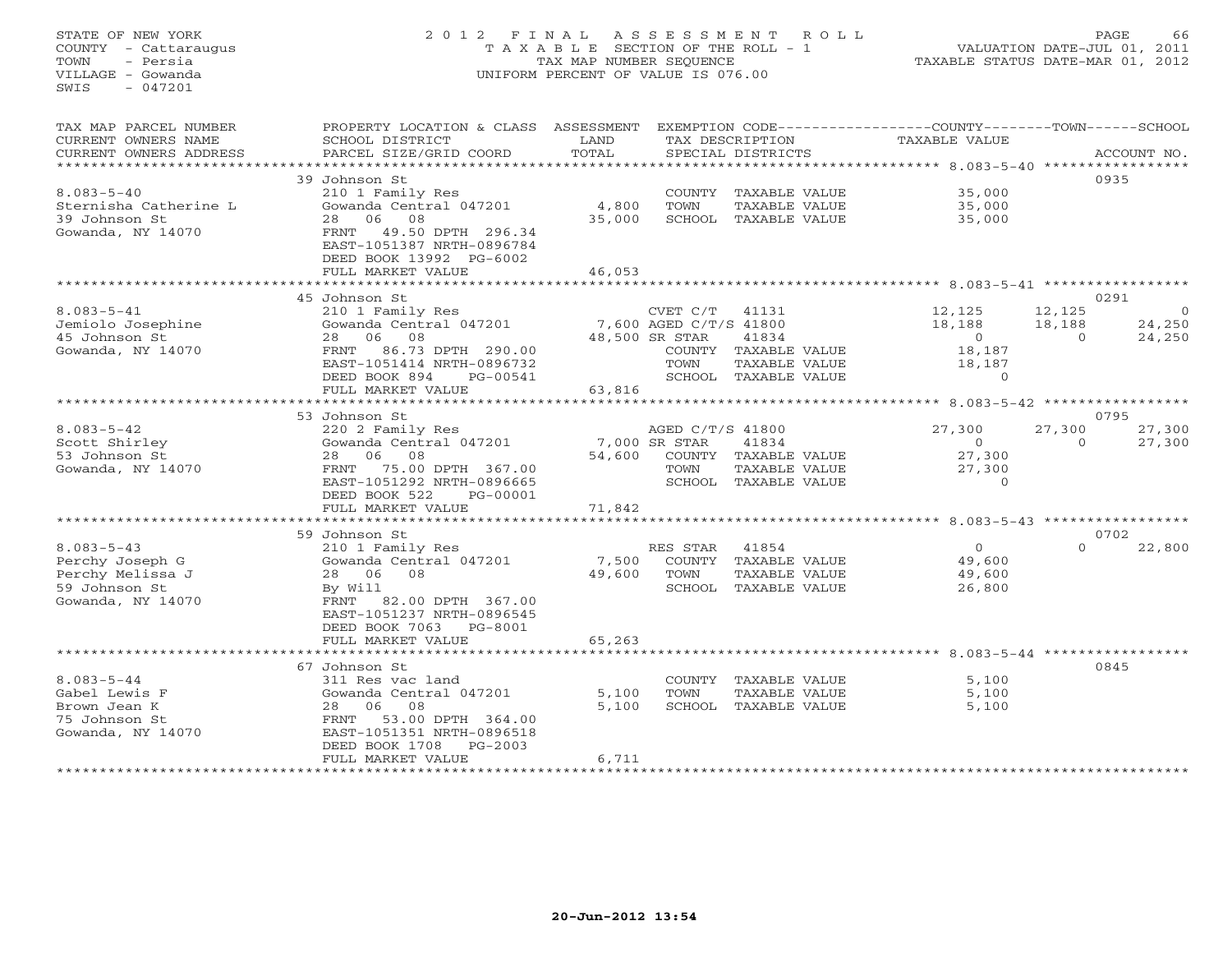STATE OF NEW YORK 2 0 1 2 F I N A L A S S E S S M E N T R O L L PAGE 66 COUNTY - Cattaraugus T A X A B L E SECTION OF THE ROLL - 1 VALUATION DATE-JUL 01, 2011 TOWN - Persia TAX MAP NUMBER SEQUENCE TAXABLE STATUS DATE-MAR 01, 2012 VILLAGE - Gowanda UNIFORM PERCENT OF VALUE IS 076.00 SWIS - 047201TAX MAP PARCEL NUMBER PROPERTY LOCATION & CLASS ASSESSMENT EXEMPTION CODE-----------------COUNTY-------TOWN------SCHOOL<br>CURRENT OWNERS NAME SCHOOL DISTRICT LAND TAX DESC \*\*\*\*\*\*\*\*\*\*\*\*\*\*\*\*\*\*\*\*\*\*\*\*\*\*\*\*\*\*\*\*\*\*\*\*\*\*\*\*\*\*\*\*\*\*\*\*\*\*\*\*\*\*\*\*\*\*\*\*\*\*\*\*\*\*\*\*\*\*\*\*\*\*\*\*\*\*\*\*\*\*\*\*\*\*\*\*\*\*\*\*\*\*\*\*\*\*\*\*\*\*\* 8.083-5-40 \*\*\*\*\*\*\*\*\*\*\*\*\*\*\*\*\* 39 Johnson St 09358.083-5-40 210 1 Family Res COUNTY TAXABLE VALUE 35,000 Sternisha Catherine L Gowanda Central 047201 4,800 TOWN TAXABLE VALUE 35,000 39 Johnson St 28 06 08 35,000 SCHOOL TAXABLE VALUE 35,000 Gowanda, NY 14070 FRNT 49.50 DPTH 296.34 EAST-1051387 NRTH-0896784 DEED BOOK 13992 PG-6002FULL MARKET VALUE FULL MARKET VALUE 46,053 \*\*\*\*\*\*\*\*\*\*\*\*\*\*\*\*\*\*\*\*\*\*\*\*\*\*\*\*\*\*\*\*\*\*\*\*\*\*\*\*\*\*\*\*\*\*\*\*\*\*\*\*\*\*\*\*\*\*\*\*\*\*\*\*\*\*\*\*\*\*\*\*\*\*\*\*\*\*\*\*\*\*\*\*\*\*\*\*\*\*\*\*\*\*\*\*\*\*\*\*\*\*\* 8.083-5-41 \*\*\*\*\*\*\*\*\*\*\*\*\*\*\*\*\*0291 45 Johnson St 0291 8.083-5-41 210 1 Family Res CVET C/T 41131 12,125 12,125 0 Jemiolo Josephine Gowanda Central 047201 7,600 AGED C/T/S 41800 18,188 18,188 24,250 45 Johnson St 28 06 08 48,500 SR STAR 41834 0 0 24,250 Gowanda, NY 14070 FRNT 86.73 DPTH 290.00 COUNTY TAXABLE VALUE 18,187 EAST-1051414 NRTH-0896732 TOWN TAXABLE VALUE 18,187 DEED BOOK 894 PG-00541 SCHOOL TAXABLE VALUE 0 FULL MARKET VALUE 63,816 \*\*\*\*\*\*\*\*\*\*\*\*\*\*\*\*\*\*\*\*\*\*\*\*\*\*\*\*\*\*\*\*\*\*\*\*\*\*\*\*\*\*\*\*\*\*\*\*\*\*\*\*\*\*\*\*\*\*\*\*\*\*\*\*\*\*\*\*\*\*\*\*\*\*\*\*\*\*\*\*\*\*\*\*\*\*\*\*\*\*\*\*\*\*\*\*\*\*\*\*\*\*\* 8.083-5-42 \*\*\*\*\*\*\*\*\*\*\*\*\*\*\*\*\* 53 Johnson St 0795 8.083-5-42 220 2 Family Res AGED C/T/S 41800 27,300 27,300 27,300 Scott Shirley Gowanda Central 047201 7,000 SR STAR 41834 0 0 27,300 53 Johnson St 28 06 08 54,600 COUNTY TAXABLE VALUE 27,300 Gowanda, NY 14070 FRNT 75.00 DPTH 367.00 TOWN TAXABLE VALUE 27,300 EAST-1051292 NRTH-0896665 SCHOOL TAXABLE VALUE 0 DEED BOOK 522 PG-00001 FULL MARKET VALUE 71,842 \*\*\*\*\*\*\*\*\*\*\*\*\*\*\*\*\*\*\*\*\*\*\*\*\*\*\*\*\*\*\*\*\*\*\*\*\*\*\*\*\*\*\*\*\*\*\*\*\*\*\*\*\*\*\*\*\*\*\*\*\*\*\*\*\*\*\*\*\*\*\*\*\*\*\*\*\*\*\*\*\*\*\*\*\*\*\*\*\*\*\*\*\*\*\*\*\*\*\*\*\*\*\* 8.083-5-43 \*\*\*\*\*\*\*\*\*\*\*\*\*\*\*\*\* 59 Johnson St 0702 $0 \t 22.800$ 8.083-5-43 210 1 Family Res RES STAR 41854 0 0 22,800 Perchy Joseph G Gowanda Central 047201 7,500 COUNTY TAXABLE VALUE 49,600 Perchy Melissa J 28 06 08 49,600 TOWN TAXABLE VALUE 49,600 59 Johnson St By Will SCHOOL TAXABLE VALUE 26,800 Gowanda, NY 14070 FRNT 82.00 DPTH 367.00 EAST-1051237 NRTH-0896545 DEED BOOK 7063 PG-8001DEED BOOK 7063 PG-8001<br>FULL MARKET VALUE FULL MARKET VALUE 65,263 \*\*\*\*\*\*\*\*\*\*\*\*\*\*\*\*\*\*\*\*\*\*\*\*\*\*\*\*\*\*\*\*\*\*\*\*\*\*\*\*\*\*\*\*\*\*\*\*\*\*\*\*\*\*\*\*\*\*\*\*\*\*\*\*\*\*\*\*\*\*\*\*\*\*\*\*\*\*\*\*\*\*\*\*\*\*\*\*\*\*\*\*\*\*\*\*\*\*\*\*\*\*\* 8.083-5-44 \*\*\*\*\*\*\*\*\*\*\*\*\*\*\*\*\* 67 Johnson St 08458.083-5-44 311 Res vac land COUNTY TAXABLE VALUE 5,100 Gabel Lewis F Gowanda Central 047201 5,100 TOWN TAXABLE VALUE 5,100 Brown Jean K 28 06 08 5,100 SCHOOL TAXABLE VALUE 5,100 75 Johnson St FRNT 53.00 DPTH 364.00 Gowanda, NY 14070 EAST-1051351 NRTH-0896518 DEED BOOK 1708 PG-2003 FULL MARKET VALUE 6,711 \*\*\*\*\*\*\*\*\*\*\*\*\*\*\*\*\*\*\*\*\*\*\*\*\*\*\*\*\*\*\*\*\*\*\*\*\*\*\*\*\*\*\*\*\*\*\*\*\*\*\*\*\*\*\*\*\*\*\*\*\*\*\*\*\*\*\*\*\*\*\*\*\*\*\*\*\*\*\*\*\*\*\*\*\*\*\*\*\*\*\*\*\*\*\*\*\*\*\*\*\*\*\*\*\*\*\*\*\*\*\*\*\*\*\*\*\*\*\*\*\*\*\*\*\*\*\*\*\*\*\*\*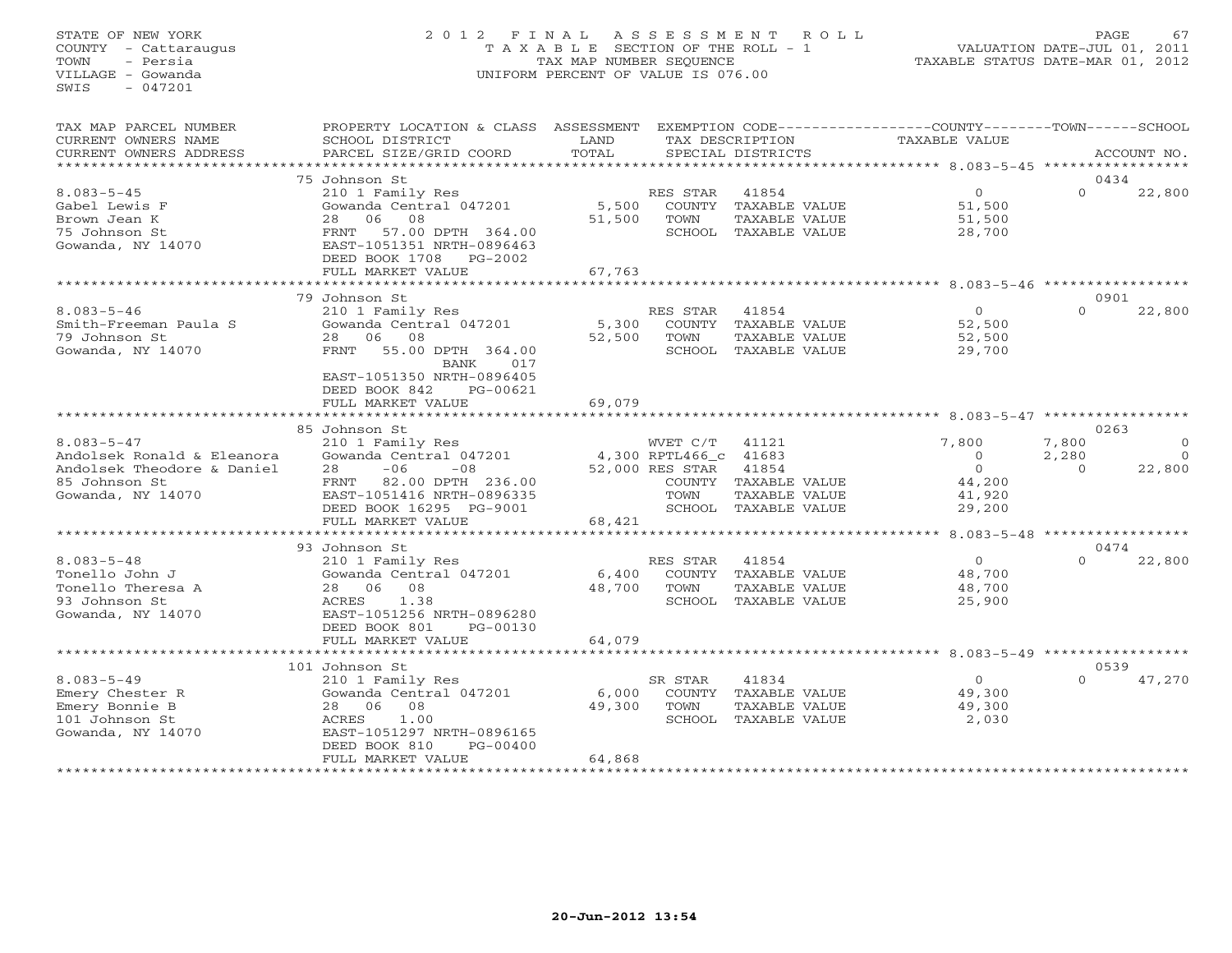### STATE OF NEW YORK 2 0 1 2 F I N A L A S S E S S M E N T R O L L PAGE 67 COUNTY - Cattaraugus T A X A B L E SECTION OF THE ROLL - 1 VALUATION DATE-JUL 01, 2011 TOWN - Persia TAX MAP NUMBER SEQUENCE TAXABLE STATUS DATE-MAR 01, 2012 VILLAGE - Gowanda UNIFORM PERCENT OF VALUE IS 076.00UNIFORM PERCENT OF VALUE IS 076.00

| CURRENT OWNERS NAME<br>SCHOOL DISTRICT<br>LAND<br>TAX DESCRIPTION<br>TAXABLE VALUE<br>TOTAL<br>PARCEL SIZE/GRID COORD<br>CURRENT OWNERS ADDRESS<br>SPECIAL DISTRICTS<br>ACCOUNT NO.<br>*******************<br>0434<br>75 Johnson St<br>$\circ$<br>$\Omega$<br>22,800<br>$8.083 - 5 - 45$<br>210 1 Family Res<br>RES STAR<br>41854<br>Gabel Lewis F<br>Gowanda Central 047201<br>5,500<br>COUNTY TAXABLE VALUE<br>51,500<br>06<br>08<br>Brown Jean K<br>28<br>51,500<br>TOWN<br>TAXABLE VALUE<br>51,500<br>75 Johnson St<br>57.00 DPTH 364.00<br>SCHOOL TAXABLE VALUE<br>FRNT<br>28,700<br>Gowanda, NY 14070<br>EAST-1051351 NRTH-0896463<br>DEED BOOK 1708<br>PG-2002<br>67,763<br>FULL MARKET VALUE<br>***********************<br>79 Johnson St<br>0901<br>$8.083 - 5 - 46$<br>210 1 Family Res<br>RES STAR<br>$\circ$<br>$\Omega$<br>22,800<br>41854<br>Smith-Freeman Paula S<br>Gowanda Central 047201<br>5,300<br>COUNTY<br>TAXABLE VALUE<br>52,500<br>28 06<br>08<br>79 Johnson St<br>52,500<br>TOWN<br>TAXABLE VALUE<br>52,500<br>55.00 DPTH 364.00<br>Gowanda, NY 14070<br>FRNT<br>SCHOOL TAXABLE VALUE<br>29,700<br>BANK<br>017<br>EAST-1051350 NRTH-0896405<br>DEED BOOK 842<br>PG-00621<br>69,079<br>FULL MARKET VALUE<br>0263<br>85 Johnson St<br>7,800<br>$8.083 - 5 - 47$<br>210 1 Family Res<br>7,800<br>WVET C/T<br>41121<br>$\Omega$<br>Gowanda Central 047201<br>Andolsek Ronald & Eleanora<br>4,300 RPTL466_c 41683<br>$\Omega$<br>2,280<br>$\Omega$<br>$\circ$<br>22,800<br>Andolsek Theodore & Daniel<br>28<br>$-06$<br>$-08$<br>52,000 RES STAR<br>41854<br>$\Omega$<br>85 Johnson St<br>82.00 DPTH 236.00<br>44,200<br>FRNT<br>COUNTY TAXABLE VALUE<br>Gowanda, NY 14070<br>EAST-1051416 NRTH-0896335<br>TOWN<br>TAXABLE VALUE<br>41,920<br>DEED BOOK 16295 PG-9001<br>SCHOOL TAXABLE VALUE<br>29,200<br>FULL MARKET VALUE<br>68,421<br>******************************<br>********************<br>****************** 8.083-5-48 ******************<br>0474<br>93 Johnson St<br>$\Omega$<br>22,800<br>$8.083 - 5 - 48$<br>RES STAR<br>41854<br>$\overline{0}$<br>210 1 Family Res<br>Gowanda Central 047201<br>6,400<br>48,700<br>Tonello John J<br>COUNTY<br>TAXABLE VALUE<br>08<br>Tonello Theresa A<br>28 06<br>48,700<br>TOWN<br>TAXABLE VALUE<br>48,700<br>93 Johnson St<br>ACRES<br>1.38<br>SCHOOL TAXABLE VALUE<br>25,900<br>EAST-1051256 NRTH-0896280<br>Gowanda, NY 14070 |
|---------------------------------------------------------------------------------------------------------------------------------------------------------------------------------------------------------------------------------------------------------------------------------------------------------------------------------------------------------------------------------------------------------------------------------------------------------------------------------------------------------------------------------------------------------------------------------------------------------------------------------------------------------------------------------------------------------------------------------------------------------------------------------------------------------------------------------------------------------------------------------------------------------------------------------------------------------------------------------------------------------------------------------------------------------------------------------------------------------------------------------------------------------------------------------------------------------------------------------------------------------------------------------------------------------------------------------------------------------------------------------------------------------------------------------------------------------------------------------------------------------------------------------------------------------------------------------------------------------------------------------------------------------------------------------------------------------------------------------------------------------------------------------------------------------------------------------------------------------------------------------------------------------------------------------------------------------------------------------------------------------------------------------------------------------------------------------------------------------------------------------------------------------------------------------------------------------------------------------------------------------------------------------------------------------------------------------------------------------------------------------------------------------|
|                                                                                                                                                                                                                                                                                                                                                                                                                                                                                                                                                                                                                                                                                                                                                                                                                                                                                                                                                                                                                                                                                                                                                                                                                                                                                                                                                                                                                                                                                                                                                                                                                                                                                                                                                                                                                                                                                                                                                                                                                                                                                                                                                                                                                                                                                                                                                                                                         |
|                                                                                                                                                                                                                                                                                                                                                                                                                                                                                                                                                                                                                                                                                                                                                                                                                                                                                                                                                                                                                                                                                                                                                                                                                                                                                                                                                                                                                                                                                                                                                                                                                                                                                                                                                                                                                                                                                                                                                                                                                                                                                                                                                                                                                                                                                                                                                                                                         |
|                                                                                                                                                                                                                                                                                                                                                                                                                                                                                                                                                                                                                                                                                                                                                                                                                                                                                                                                                                                                                                                                                                                                                                                                                                                                                                                                                                                                                                                                                                                                                                                                                                                                                                                                                                                                                                                                                                                                                                                                                                                                                                                                                                                                                                                                                                                                                                                                         |
|                                                                                                                                                                                                                                                                                                                                                                                                                                                                                                                                                                                                                                                                                                                                                                                                                                                                                                                                                                                                                                                                                                                                                                                                                                                                                                                                                                                                                                                                                                                                                                                                                                                                                                                                                                                                                                                                                                                                                                                                                                                                                                                                                                                                                                                                                                                                                                                                         |
|                                                                                                                                                                                                                                                                                                                                                                                                                                                                                                                                                                                                                                                                                                                                                                                                                                                                                                                                                                                                                                                                                                                                                                                                                                                                                                                                                                                                                                                                                                                                                                                                                                                                                                                                                                                                                                                                                                                                                                                                                                                                                                                                                                                                                                                                                                                                                                                                         |
|                                                                                                                                                                                                                                                                                                                                                                                                                                                                                                                                                                                                                                                                                                                                                                                                                                                                                                                                                                                                                                                                                                                                                                                                                                                                                                                                                                                                                                                                                                                                                                                                                                                                                                                                                                                                                                                                                                                                                                                                                                                                                                                                                                                                                                                                                                                                                                                                         |
|                                                                                                                                                                                                                                                                                                                                                                                                                                                                                                                                                                                                                                                                                                                                                                                                                                                                                                                                                                                                                                                                                                                                                                                                                                                                                                                                                                                                                                                                                                                                                                                                                                                                                                                                                                                                                                                                                                                                                                                                                                                                                                                                                                                                                                                                                                                                                                                                         |
|                                                                                                                                                                                                                                                                                                                                                                                                                                                                                                                                                                                                                                                                                                                                                                                                                                                                                                                                                                                                                                                                                                                                                                                                                                                                                                                                                                                                                                                                                                                                                                                                                                                                                                                                                                                                                                                                                                                                                                                                                                                                                                                                                                                                                                                                                                                                                                                                         |
|                                                                                                                                                                                                                                                                                                                                                                                                                                                                                                                                                                                                                                                                                                                                                                                                                                                                                                                                                                                                                                                                                                                                                                                                                                                                                                                                                                                                                                                                                                                                                                                                                                                                                                                                                                                                                                                                                                                                                                                                                                                                                                                                                                                                                                                                                                                                                                                                         |
|                                                                                                                                                                                                                                                                                                                                                                                                                                                                                                                                                                                                                                                                                                                                                                                                                                                                                                                                                                                                                                                                                                                                                                                                                                                                                                                                                                                                                                                                                                                                                                                                                                                                                                                                                                                                                                                                                                                                                                                                                                                                                                                                                                                                                                                                                                                                                                                                         |
|                                                                                                                                                                                                                                                                                                                                                                                                                                                                                                                                                                                                                                                                                                                                                                                                                                                                                                                                                                                                                                                                                                                                                                                                                                                                                                                                                                                                                                                                                                                                                                                                                                                                                                                                                                                                                                                                                                                                                                                                                                                                                                                                                                                                                                                                                                                                                                                                         |
|                                                                                                                                                                                                                                                                                                                                                                                                                                                                                                                                                                                                                                                                                                                                                                                                                                                                                                                                                                                                                                                                                                                                                                                                                                                                                                                                                                                                                                                                                                                                                                                                                                                                                                                                                                                                                                                                                                                                                                                                                                                                                                                                                                                                                                                                                                                                                                                                         |
|                                                                                                                                                                                                                                                                                                                                                                                                                                                                                                                                                                                                                                                                                                                                                                                                                                                                                                                                                                                                                                                                                                                                                                                                                                                                                                                                                                                                                                                                                                                                                                                                                                                                                                                                                                                                                                                                                                                                                                                                                                                                                                                                                                                                                                                                                                                                                                                                         |
|                                                                                                                                                                                                                                                                                                                                                                                                                                                                                                                                                                                                                                                                                                                                                                                                                                                                                                                                                                                                                                                                                                                                                                                                                                                                                                                                                                                                                                                                                                                                                                                                                                                                                                                                                                                                                                                                                                                                                                                                                                                                                                                                                                                                                                                                                                                                                                                                         |
|                                                                                                                                                                                                                                                                                                                                                                                                                                                                                                                                                                                                                                                                                                                                                                                                                                                                                                                                                                                                                                                                                                                                                                                                                                                                                                                                                                                                                                                                                                                                                                                                                                                                                                                                                                                                                                                                                                                                                                                                                                                                                                                                                                                                                                                                                                                                                                                                         |
|                                                                                                                                                                                                                                                                                                                                                                                                                                                                                                                                                                                                                                                                                                                                                                                                                                                                                                                                                                                                                                                                                                                                                                                                                                                                                                                                                                                                                                                                                                                                                                                                                                                                                                                                                                                                                                                                                                                                                                                                                                                                                                                                                                                                                                                                                                                                                                                                         |
|                                                                                                                                                                                                                                                                                                                                                                                                                                                                                                                                                                                                                                                                                                                                                                                                                                                                                                                                                                                                                                                                                                                                                                                                                                                                                                                                                                                                                                                                                                                                                                                                                                                                                                                                                                                                                                                                                                                                                                                                                                                                                                                                                                                                                                                                                                                                                                                                         |
|                                                                                                                                                                                                                                                                                                                                                                                                                                                                                                                                                                                                                                                                                                                                                                                                                                                                                                                                                                                                                                                                                                                                                                                                                                                                                                                                                                                                                                                                                                                                                                                                                                                                                                                                                                                                                                                                                                                                                                                                                                                                                                                                                                                                                                                                                                                                                                                                         |
|                                                                                                                                                                                                                                                                                                                                                                                                                                                                                                                                                                                                                                                                                                                                                                                                                                                                                                                                                                                                                                                                                                                                                                                                                                                                                                                                                                                                                                                                                                                                                                                                                                                                                                                                                                                                                                                                                                                                                                                                                                                                                                                                                                                                                                                                                                                                                                                                         |
|                                                                                                                                                                                                                                                                                                                                                                                                                                                                                                                                                                                                                                                                                                                                                                                                                                                                                                                                                                                                                                                                                                                                                                                                                                                                                                                                                                                                                                                                                                                                                                                                                                                                                                                                                                                                                                                                                                                                                                                                                                                                                                                                                                                                                                                                                                                                                                                                         |
|                                                                                                                                                                                                                                                                                                                                                                                                                                                                                                                                                                                                                                                                                                                                                                                                                                                                                                                                                                                                                                                                                                                                                                                                                                                                                                                                                                                                                                                                                                                                                                                                                                                                                                                                                                                                                                                                                                                                                                                                                                                                                                                                                                                                                                                                                                                                                                                                         |
|                                                                                                                                                                                                                                                                                                                                                                                                                                                                                                                                                                                                                                                                                                                                                                                                                                                                                                                                                                                                                                                                                                                                                                                                                                                                                                                                                                                                                                                                                                                                                                                                                                                                                                                                                                                                                                                                                                                                                                                                                                                                                                                                                                                                                                                                                                                                                                                                         |
|                                                                                                                                                                                                                                                                                                                                                                                                                                                                                                                                                                                                                                                                                                                                                                                                                                                                                                                                                                                                                                                                                                                                                                                                                                                                                                                                                                                                                                                                                                                                                                                                                                                                                                                                                                                                                                                                                                                                                                                                                                                                                                                                                                                                                                                                                                                                                                                                         |
|                                                                                                                                                                                                                                                                                                                                                                                                                                                                                                                                                                                                                                                                                                                                                                                                                                                                                                                                                                                                                                                                                                                                                                                                                                                                                                                                                                                                                                                                                                                                                                                                                                                                                                                                                                                                                                                                                                                                                                                                                                                                                                                                                                                                                                                                                                                                                                                                         |
|                                                                                                                                                                                                                                                                                                                                                                                                                                                                                                                                                                                                                                                                                                                                                                                                                                                                                                                                                                                                                                                                                                                                                                                                                                                                                                                                                                                                                                                                                                                                                                                                                                                                                                                                                                                                                                                                                                                                                                                                                                                                                                                                                                                                                                                                                                                                                                                                         |
|                                                                                                                                                                                                                                                                                                                                                                                                                                                                                                                                                                                                                                                                                                                                                                                                                                                                                                                                                                                                                                                                                                                                                                                                                                                                                                                                                                                                                                                                                                                                                                                                                                                                                                                                                                                                                                                                                                                                                                                                                                                                                                                                                                                                                                                                                                                                                                                                         |
|                                                                                                                                                                                                                                                                                                                                                                                                                                                                                                                                                                                                                                                                                                                                                                                                                                                                                                                                                                                                                                                                                                                                                                                                                                                                                                                                                                                                                                                                                                                                                                                                                                                                                                                                                                                                                                                                                                                                                                                                                                                                                                                                                                                                                                                                                                                                                                                                         |
|                                                                                                                                                                                                                                                                                                                                                                                                                                                                                                                                                                                                                                                                                                                                                                                                                                                                                                                                                                                                                                                                                                                                                                                                                                                                                                                                                                                                                                                                                                                                                                                                                                                                                                                                                                                                                                                                                                                                                                                                                                                                                                                                                                                                                                                                                                                                                                                                         |
|                                                                                                                                                                                                                                                                                                                                                                                                                                                                                                                                                                                                                                                                                                                                                                                                                                                                                                                                                                                                                                                                                                                                                                                                                                                                                                                                                                                                                                                                                                                                                                                                                                                                                                                                                                                                                                                                                                                                                                                                                                                                                                                                                                                                                                                                                                                                                                                                         |
|                                                                                                                                                                                                                                                                                                                                                                                                                                                                                                                                                                                                                                                                                                                                                                                                                                                                                                                                                                                                                                                                                                                                                                                                                                                                                                                                                                                                                                                                                                                                                                                                                                                                                                                                                                                                                                                                                                                                                                                                                                                                                                                                                                                                                                                                                                                                                                                                         |
|                                                                                                                                                                                                                                                                                                                                                                                                                                                                                                                                                                                                                                                                                                                                                                                                                                                                                                                                                                                                                                                                                                                                                                                                                                                                                                                                                                                                                                                                                                                                                                                                                                                                                                                                                                                                                                                                                                                                                                                                                                                                                                                                                                                                                                                                                                                                                                                                         |
|                                                                                                                                                                                                                                                                                                                                                                                                                                                                                                                                                                                                                                                                                                                                                                                                                                                                                                                                                                                                                                                                                                                                                                                                                                                                                                                                                                                                                                                                                                                                                                                                                                                                                                                                                                                                                                                                                                                                                                                                                                                                                                                                                                                                                                                                                                                                                                                                         |
|                                                                                                                                                                                                                                                                                                                                                                                                                                                                                                                                                                                                                                                                                                                                                                                                                                                                                                                                                                                                                                                                                                                                                                                                                                                                                                                                                                                                                                                                                                                                                                                                                                                                                                                                                                                                                                                                                                                                                                                                                                                                                                                                                                                                                                                                                                                                                                                                         |
|                                                                                                                                                                                                                                                                                                                                                                                                                                                                                                                                                                                                                                                                                                                                                                                                                                                                                                                                                                                                                                                                                                                                                                                                                                                                                                                                                                                                                                                                                                                                                                                                                                                                                                                                                                                                                                                                                                                                                                                                                                                                                                                                                                                                                                                                                                                                                                                                         |
|                                                                                                                                                                                                                                                                                                                                                                                                                                                                                                                                                                                                                                                                                                                                                                                                                                                                                                                                                                                                                                                                                                                                                                                                                                                                                                                                                                                                                                                                                                                                                                                                                                                                                                                                                                                                                                                                                                                                                                                                                                                                                                                                                                                                                                                                                                                                                                                                         |
|                                                                                                                                                                                                                                                                                                                                                                                                                                                                                                                                                                                                                                                                                                                                                                                                                                                                                                                                                                                                                                                                                                                                                                                                                                                                                                                                                                                                                                                                                                                                                                                                                                                                                                                                                                                                                                                                                                                                                                                                                                                                                                                                                                                                                                                                                                                                                                                                         |
| DEED BOOK 801<br>PG-00130                                                                                                                                                                                                                                                                                                                                                                                                                                                                                                                                                                                                                                                                                                                                                                                                                                                                                                                                                                                                                                                                                                                                                                                                                                                                                                                                                                                                                                                                                                                                                                                                                                                                                                                                                                                                                                                                                                                                                                                                                                                                                                                                                                                                                                                                                                                                                                               |
| 64,079<br>FULL MARKET VALUE                                                                                                                                                                                                                                                                                                                                                                                                                                                                                                                                                                                                                                                                                                                                                                                                                                                                                                                                                                                                                                                                                                                                                                                                                                                                                                                                                                                                                                                                                                                                                                                                                                                                                                                                                                                                                                                                                                                                                                                                                                                                                                                                                                                                                                                                                                                                                                             |
| ***************************                                                                                                                                                                                                                                                                                                                                                                                                                                                                                                                                                                                                                                                                                                                                                                                                                                                                                                                                                                                                                                                                                                                                                                                                                                                                                                                                                                                                                                                                                                                                                                                                                                                                                                                                                                                                                                                                                                                                                                                                                                                                                                                                                                                                                                                                                                                                                                             |
| 0539<br>101 Johnson St                                                                                                                                                                                                                                                                                                                                                                                                                                                                                                                                                                                                                                                                                                                                                                                                                                                                                                                                                                                                                                                                                                                                                                                                                                                                                                                                                                                                                                                                                                                                                                                                                                                                                                                                                                                                                                                                                                                                                                                                                                                                                                                                                                                                                                                                                                                                                                                  |
| $8.083 - 5 - 49$<br>210 1 Family Res<br>SR STAR<br>41834<br>$\circ$<br>$\Omega$<br>47,270                                                                                                                                                                                                                                                                                                                                                                                                                                                                                                                                                                                                                                                                                                                                                                                                                                                                                                                                                                                                                                                                                                                                                                                                                                                                                                                                                                                                                                                                                                                                                                                                                                                                                                                                                                                                                                                                                                                                                                                                                                                                                                                                                                                                                                                                                                               |
| Emery Chester R<br>Gowanda Central 047201<br>6,000<br>TAXABLE VALUE<br>49,300<br>COUNTY                                                                                                                                                                                                                                                                                                                                                                                                                                                                                                                                                                                                                                                                                                                                                                                                                                                                                                                                                                                                                                                                                                                                                                                                                                                                                                                                                                                                                                                                                                                                                                                                                                                                                                                                                                                                                                                                                                                                                                                                                                                                                                                                                                                                                                                                                                                 |
| Emery Bonnie B<br>28 06<br>08<br>49,300<br>TOWN<br>TAXABLE VALUE<br>49,300                                                                                                                                                                                                                                                                                                                                                                                                                                                                                                                                                                                                                                                                                                                                                                                                                                                                                                                                                                                                                                                                                                                                                                                                                                                                                                                                                                                                                                                                                                                                                                                                                                                                                                                                                                                                                                                                                                                                                                                                                                                                                                                                                                                                                                                                                                                              |
| 101 Johnson St<br>1.00<br>2,030<br>ACRES<br>SCHOOL TAXABLE VALUE                                                                                                                                                                                                                                                                                                                                                                                                                                                                                                                                                                                                                                                                                                                                                                                                                                                                                                                                                                                                                                                                                                                                                                                                                                                                                                                                                                                                                                                                                                                                                                                                                                                                                                                                                                                                                                                                                                                                                                                                                                                                                                                                                                                                                                                                                                                                        |
| Gowanda, NY 14070<br>EAST-1051297 NRTH-0896165                                                                                                                                                                                                                                                                                                                                                                                                                                                                                                                                                                                                                                                                                                                                                                                                                                                                                                                                                                                                                                                                                                                                                                                                                                                                                                                                                                                                                                                                                                                                                                                                                                                                                                                                                                                                                                                                                                                                                                                                                                                                                                                                                                                                                                                                                                                                                          |
| DEED BOOK 810<br>$PG-00400$                                                                                                                                                                                                                                                                                                                                                                                                                                                                                                                                                                                                                                                                                                                                                                                                                                                                                                                                                                                                                                                                                                                                                                                                                                                                                                                                                                                                                                                                                                                                                                                                                                                                                                                                                                                                                                                                                                                                                                                                                                                                                                                                                                                                                                                                                                                                                                             |
| 64,868<br>FULL MARKET VALUE                                                                                                                                                                                                                                                                                                                                                                                                                                                                                                                                                                                                                                                                                                                                                                                                                                                                                                                                                                                                                                                                                                                                                                                                                                                                                                                                                                                                                                                                                                                                                                                                                                                                                                                                                                                                                                                                                                                                                                                                                                                                                                                                                                                                                                                                                                                                                                             |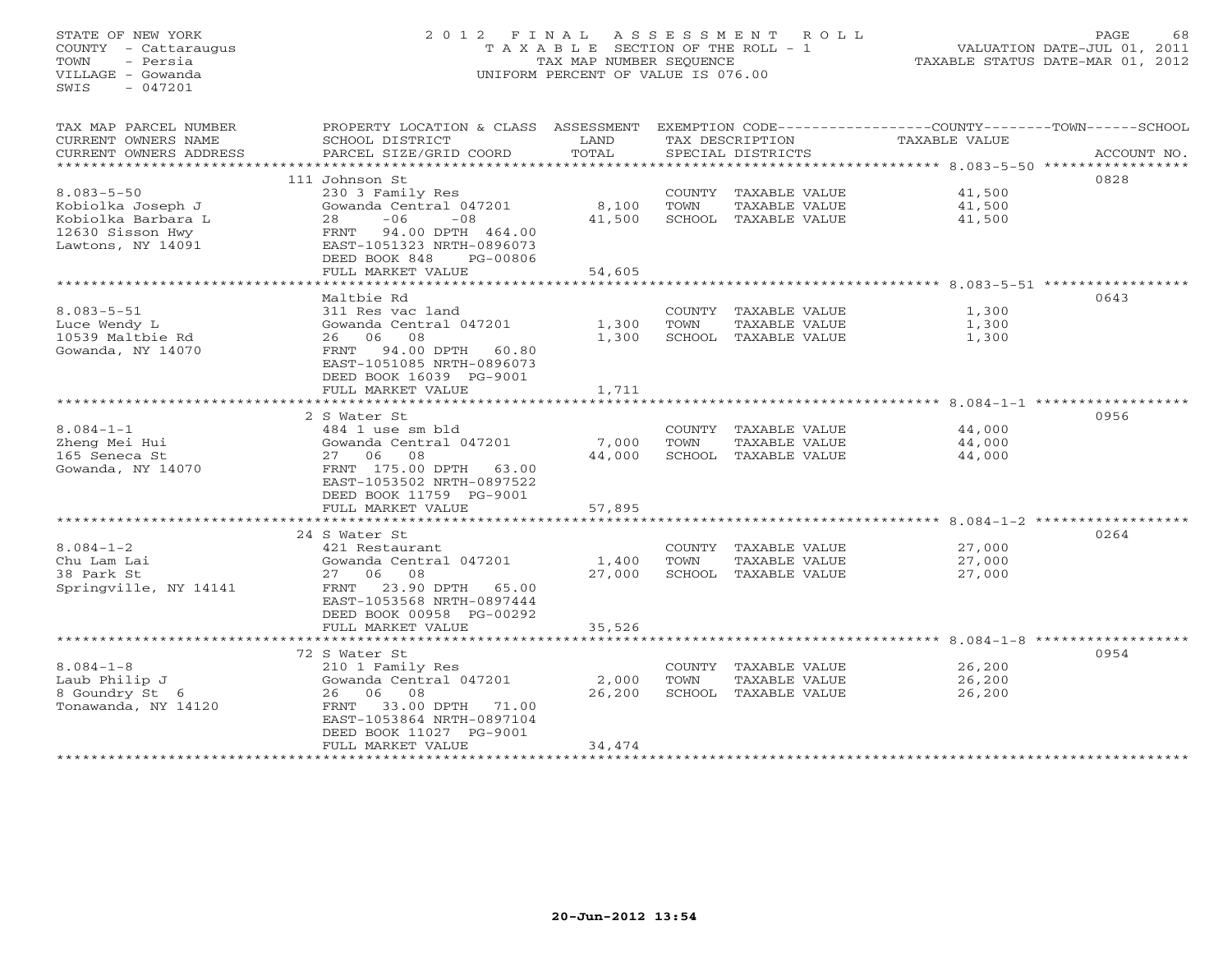# STATE OF NEW YORK 2 0 1 2 F I N A L A S S E S S M E N T R O L L PAGE 68 COUNTY - Cattaraugus T A X A B L E SECTION OF THE ROLL - 1 VALUATION DATE-JUL 01, 2011 TOWN - Persia TAX MAP NUMBER SEQUENCE TAXABLE STATUS DATE-MAR 01, 2012 VILLAGE - Gowanda UNIFORM PERCENT OF VALUE IS 076.00UNIFORM PERCENT OF VALUE IS 076.00

| TAX MAP PARCEL NUMBER            | PROPERTY LOCATION & CLASS ASSESSMENT       |                        |      |                                       | EXEMPTION CODE----------------COUNTY-------TOWN------SCHOOL |             |  |
|----------------------------------|--------------------------------------------|------------------------|------|---------------------------------------|-------------------------------------------------------------|-------------|--|
| CURRENT OWNERS NAME              | SCHOOL DISTRICT                            | LAND                   |      | TAX DESCRIPTION                       | <b>TAXABLE VALUE</b>                                        |             |  |
| CURRENT OWNERS ADDRESS           | PARCEL SIZE/GRID COORD                     | TOTAL                  |      | SPECIAL DISTRICTS                     |                                                             | ACCOUNT NO. |  |
|                                  |                                            |                        |      |                                       |                                                             |             |  |
|                                  | 111 Johnson St                             |                        |      |                                       |                                                             | 0828        |  |
| $8.083 - 5 - 50$                 | 230 3 Family Res                           |                        |      | COUNTY TAXABLE VALUE                  | 41,500                                                      |             |  |
| Kobiolka Joseph J                | Gowanda Central 047201                     | 8,100                  | TOWN | TAXABLE VALUE                         | 41,500                                                      |             |  |
| Kobiolka Barbara L               | $-06$<br>$-0.8$<br>28                      | 41,500                 |      | SCHOOL TAXABLE VALUE                  | 41,500                                                      |             |  |
| 12630 Sisson Hwy                 | FRNT 94.00 DPTH 464.00                     |                        |      |                                       |                                                             |             |  |
| Lawtons, NY 14091                | EAST-1051323 NRTH-0896073                  |                        |      |                                       |                                                             |             |  |
|                                  | DEED BOOK 848<br>PG-00806                  |                        |      |                                       |                                                             |             |  |
|                                  | FULL MARKET VALUE                          | 54,605<br>************ |      |                                       |                                                             |             |  |
|                                  | Maltbie Rd                                 |                        |      |                                       |                                                             | 0643        |  |
| $8.083 - 5 - 51$                 |                                            |                        |      |                                       |                                                             |             |  |
|                                  | 311 Res vac land<br>Gowanda Central 047201 | 1,300                  | TOWN | COUNTY TAXABLE VALUE<br>TAXABLE VALUE | 1,300<br>1,300                                              |             |  |
| Luce Wendy L<br>10539 Maltbie Rd | 26 06 08                                   | 1,300                  |      | SCHOOL TAXABLE VALUE                  | 1,300                                                       |             |  |
| Gowanda, NY 14070                | FRNT 94.00 DPTH 60.80                      |                        |      |                                       |                                                             |             |  |
|                                  | EAST-1051085 NRTH-0896073                  |                        |      |                                       |                                                             |             |  |
|                                  | DEED BOOK 16039 PG-9001                    |                        |      |                                       |                                                             |             |  |
|                                  | FULL MARKET VALUE                          | 1,711                  |      |                                       |                                                             |             |  |
|                                  |                                            |                        |      |                                       |                                                             |             |  |
|                                  | 2 S Water St                               |                        |      |                                       |                                                             | 0956        |  |
| $8.084 - 1 - 1$                  | 484 1 use sm bld                           |                        |      | COUNTY TAXABLE VALUE                  | 44,000                                                      |             |  |
| Zheng Mei Hui                    | Gowanda Central 047201                     | 7,000                  | TOWN | TAXABLE VALUE                         | 44,000                                                      |             |  |
| 165 Seneca St                    | 27 06 08                                   | 44,000                 |      | SCHOOL TAXABLE VALUE                  | 44,000                                                      |             |  |
| Gowanda, NY 14070                | FRNT 175.00 DPTH 63.00                     |                        |      |                                       |                                                             |             |  |
|                                  | EAST-1053502 NRTH-0897522                  |                        |      |                                       |                                                             |             |  |
|                                  | DEED BOOK 11759 PG-9001                    |                        |      |                                       |                                                             |             |  |
|                                  | FULL MARKET VALUE                          | 57,895                 |      |                                       |                                                             |             |  |
|                                  |                                            |                        |      |                                       |                                                             |             |  |
|                                  | 24 S Water St                              |                        |      |                                       |                                                             | 0264        |  |
| $8.084 - 1 - 2$                  | 421 Restaurant                             |                        |      | COUNTY TAXABLE VALUE                  | 27,000                                                      |             |  |
| Chu Lam Lai                      | Gowanda Central 047201                     | 1,400                  | TOWN | TAXABLE VALUE                         | 27,000                                                      |             |  |
| 38 Park St                       | 27 06 08                                   | 27,000                 |      | SCHOOL TAXABLE VALUE                  | 27,000                                                      |             |  |
| Springville, NY 14141            | FRNT 23.90 DPTH 65.00                      |                        |      |                                       |                                                             |             |  |
|                                  | EAST-1053568 NRTH-0897444                  |                        |      |                                       |                                                             |             |  |
|                                  | DEED BOOK 00958 PG-00292                   |                        |      |                                       |                                                             |             |  |
|                                  | FULL MARKET VALUE                          | 35,526                 |      |                                       |                                                             |             |  |
|                                  |                                            |                        |      |                                       |                                                             |             |  |
|                                  | 72 S Water St                              |                        |      |                                       |                                                             | 0954        |  |
| $8.084 - 1 - 8$                  | 210 1 Family Res                           |                        |      | COUNTY TAXABLE VALUE                  | 26,200                                                      |             |  |
| Laub Philip J                    | Gowanda Central 047201                     | 2,000                  | TOWN | TAXABLE VALUE                         | 26,200                                                      |             |  |
| 8 Goundry St 6                   | 26 06 08                                   | 26,200                 |      | SCHOOL TAXABLE VALUE                  | 26,200                                                      |             |  |
| Tonawanda, NY 14120              | FRNT 33.00 DPTH 71.00                      |                        |      |                                       |                                                             |             |  |
|                                  | EAST-1053864 NRTH-0897104                  |                        |      |                                       |                                                             |             |  |
|                                  | DEED BOOK 11027 PG-9001                    |                        |      |                                       |                                                             |             |  |
|                                  | FULL MARKET VALUE                          | 34,474                 |      |                                       |                                                             |             |  |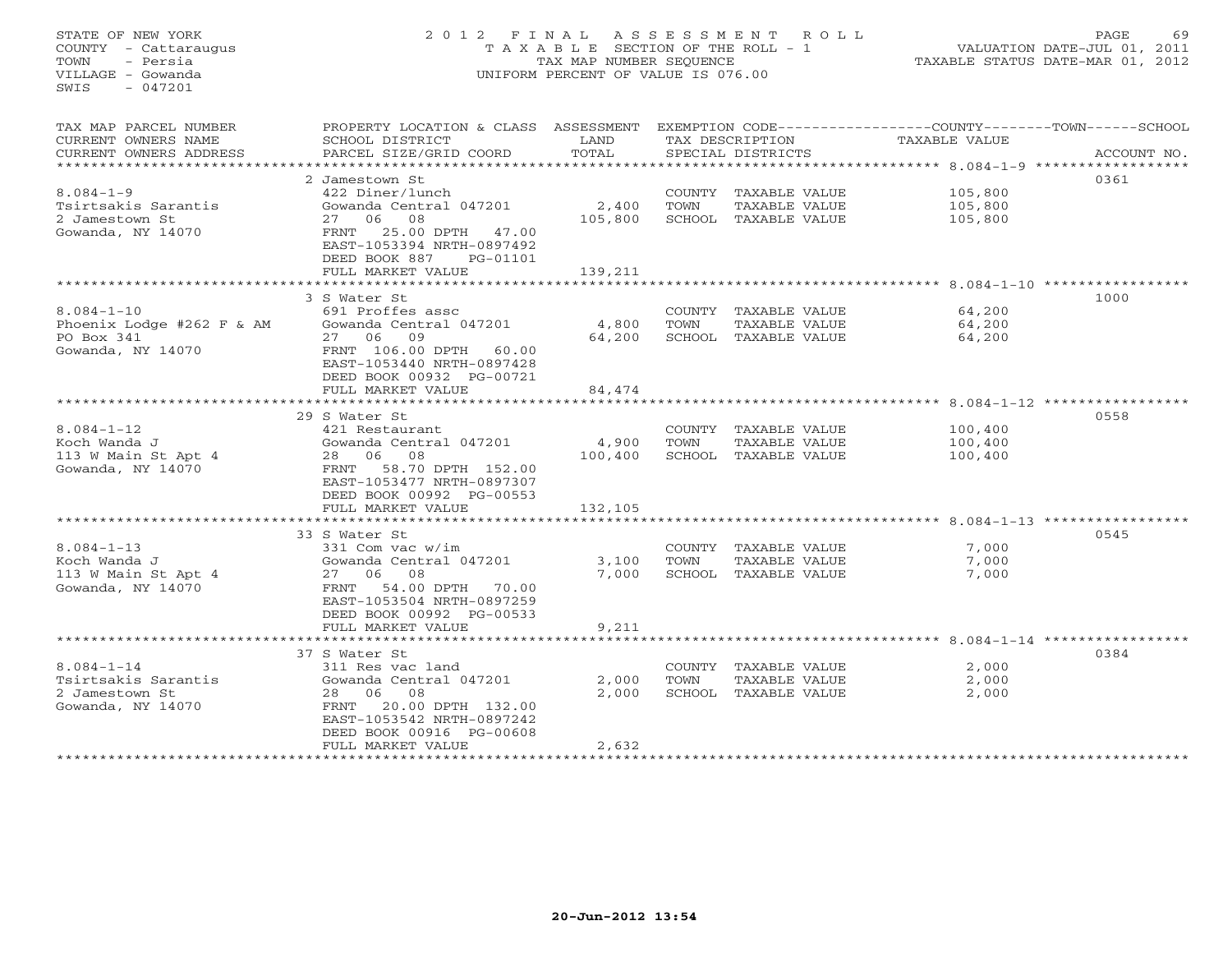STATE OF NEW YORK 2 0 1 2 F I N A L A S S E S S M E N T R O L L PAGE 69 COUNTY - Cattaraugus T A X A B L E SECTION OF THE ROLL - 1 VALUATION DATE-JUL 01, 2011 TOWN - Persia TAX MAP NUMBER SEQUENCE TAXABLE STATUS DATE-MAR 01, 2012 VILLAGE - Gowanda UNIFORM PERCENT OF VALUE IS 076.00  $SWTS = 047201$ TAX MAP PARCEL NUMBER PROPERTY LOCATION & CLASS ASSESSMENT EXEMPTION CODE------------------COUNTY--------TOWN------SCHOOL CURRENT OWNERS NAME SCHOOL DISTRICT LAND TAX DESCRIPTION TAXABLE VALUE CURRENT OWNERS ADDRESS BARCEL SIZE/GRID COORD TOTAL SPECIAL DISTRICTS SACCOUNT NO. \*\*\*\*\*\*\*\*\*\*\*\*\*\*\*\*\*\*\*\*\*\*\*\*\*\*\*\*\*\*\*\*\*\*\*\*\*\*\*\*\*\*\*\*\*\*\*\*\*\*\*\*\*\*\*\*\*\*\*\*\*\*\*\*\*\*\*\*\*\*\*\*\*\*\*\*\*\*\*\*\*\*\*\*\*\*\*\*\*\*\*\*\*\*\*\*\*\*\*\*\*\*\* 8.084-1-9 \*\*\*\*\*\*\*\*\*\*\*\*\*\*\*\*\*\* 2 Jamestown St 03618.084-1-9 422 Diner/lunch COUNTY TAXABLE VALUE 105,800 Tsirtsakis Sarantis Gowanda Central 047201 2,400 TOWN TAXABLE VALUE 105,800 2 Jamestown St 27 06 08 105,800 SCHOOL TAXABLE VALUE 105,800 Gowanda, NY 14070 FRNT 25.00 DPTH 47.00 2 Jamestown St<br>
27 06 08<br>
Gowanda, NY 14070<br>
EAST-1053394 NRTH-0897492 DEED BOOK 887 PG-01101FULL MARKET VALUE 139,211 \*\*\*\*\*\*\*\*\*\*\*\*\*\*\*\*\*\*\*\*\*\*\*\*\*\*\*\*\*\*\*\*\*\*\*\*\*\*\*\*\*\*\*\*\*\*\*\*\*\*\*\*\*\*\*\*\*\*\*\*\*\*\*\*\*\*\*\*\*\*\*\*\*\*\*\*\*\*\*\*\*\*\*\*\*\*\*\*\*\*\*\*\*\*\*\*\*\*\*\*\*\*\* 8.084-1-10 \*\*\*\*\*\*\*\*\*\*\*\*\*\*\*\*\* 3 S Water St 10008.084-1-10 691 Proffes assc COUNTY TAXABLE VALUE 64,200 Phoenix Lodge #262 F & AM Gowanda Central 047201 4,800 TOWN TAXABLE VALUE 64,200 PO Box 341 27 06 09 64,200 SCHOOL TAXABLE VALUE 64,200 Gowanda, NY 14070 FRNT 106.00 DPTH 60.00 EAST-1053440 NRTH-0897428 DEED BOOK 00932 PG-00721FULL MARKET VALUE FULL MARKET VALUE 84,474 \*\*\*\*\*\*\*\*\*\*\*\*\*\*\*\*\*\*\*\*\*\*\*\*\*\*\*\*\*\*\*\*\*\*\*\*\*\*\*\*\*\*\*\*\*\*\*\*\*\*\*\*\*\*\*\*\*\*\*\*\*\*\*\*\*\*\*\*\*\*\*\*\*\*\*\*\*\*\*\*\*\*\*\*\*\*\*\*\*\*\*\*\*\*\*\*\*\*\*\*\*\*\* 8.084-1-12 \*\*\*\*\*\*\*\*\*\*\*\*\*\*\*\*\* 29 S Water St 05588.084-1-12 421 Restaurant COUNTY TAXABLE VALUE 100,400 Koch Wanda J Gowanda Central 047201 4,900 TOWN TAXABLE VALUE 100,400 113 W Main St Apt 4 28 06 08 100,400 SCHOOL TAXABLE VALUE 100,400 Gowanda, NY 14070 FRNT 58.70 DPTH 152.00 EAST-1053477 NRTH-0897307 DEED BOOK 00992 PG-00553FULL MARKET VALUE 132,105 \*\*\*\*\*\*\*\*\*\*\*\*\*\*\*\*\*\*\*\*\*\*\*\*\*\*\*\*\*\*\*\*\*\*\*\*\*\*\*\*\*\*\*\*\*\*\*\*\*\*\*\*\*\*\*\*\*\*\*\*\*\*\*\*\*\*\*\*\*\*\*\*\*\*\*\*\*\*\*\*\*\*\*\*\*\*\*\*\*\*\*\*\*\*\*\*\*\*\*\*\*\*\* 8.084-1-13 \*\*\*\*\*\*\*\*\*\*\*\*\*\*\*\*\* 33 S Water St 05458.084-1-13 331 Com vac w/im COUNTY TAXABLE VALUE 7,000 Koch Wanda J Gowanda Central 047201 3,100 TOWN TAXABLE VALUE 7,000 113 W Main St Apt 4 27 06 08 7,000 SCHOOL TAXABLE VALUE 7,000 Gowanda, NY 14070 FRNT 54.00 DPTH 70.00 EAST-1053504 NRTH-0897259 DEED BOOK 00992 PG-00533FULL MARKET VALUE 9,211 \*\*\*\*\*\*\*\*\*\*\*\*\*\*\*\*\*\*\*\*\*\*\*\*\*\*\*\*\*\*\*\*\*\*\*\*\*\*\*\*\*\*\*\*\*\*\*\*\*\*\*\*\*\*\*\*\*\*\*\*\*\*\*\*\*\*\*\*\*\*\*\*\*\*\*\*\*\*\*\*\*\*\*\*\*\*\*\*\*\*\*\*\*\*\*\*\*\*\*\*\*\*\* 8.084-1-14 \*\*\*\*\*\*\*\*\*\*\*\*\*\*\*\*\* 37 S Water St 03848.084-1-14 311 Res vac land COUNTY TAXABLE VALUE 2,000 Tsirtsakis Sarantis Gowanda Central 047201 2,000 TOWN TAXABLE VALUE 2,000 2 Jamestown St 28 06 08 2,000 SCHOOL TAXABLE VALUE 2,000 Gowanda, NY 14070 FRNT 20.00 DPTH 132.00 EAST-1053542 NRTH-0897242 DEED BOOK 00916 PG-00608 FULL MARKET VALUE 2,632 \*\*\*\*\*\*\*\*\*\*\*\*\*\*\*\*\*\*\*\*\*\*\*\*\*\*\*\*\*\*\*\*\*\*\*\*\*\*\*\*\*\*\*\*\*\*\*\*\*\*\*\*\*\*\*\*\*\*\*\*\*\*\*\*\*\*\*\*\*\*\*\*\*\*\*\*\*\*\*\*\*\*\*\*\*\*\*\*\*\*\*\*\*\*\*\*\*\*\*\*\*\*\*\*\*\*\*\*\*\*\*\*\*\*\*\*\*\*\*\*\*\*\*\*\*\*\*\*\*\*\*\*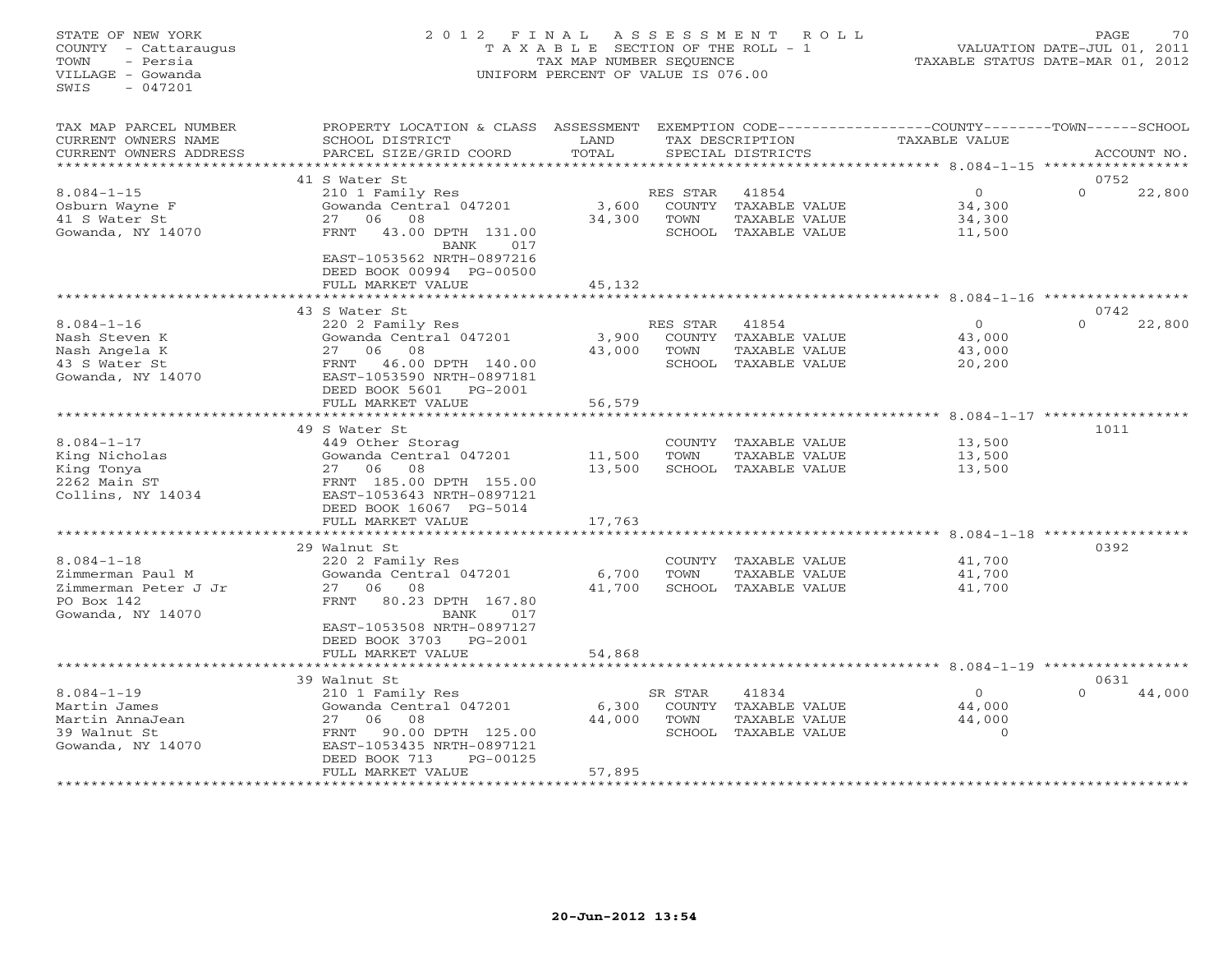# STATE OF NEW YORK 2 0 1 2 F I N A L A S S E S S M E N T R O L L PAGE 70 COUNTY - Cattaraugus T A X A B L E SECTION OF THE ROLL - 1 VALUATION DATE-JUL 01, 2011 TOWN - Persia TAX MAP NUMBER SEQUENCE TAXABLE STATUS DATE-MAR 01, 2012 VILLAGE - Gowanda UNIFORM PERCENT OF VALUE IS 076.00

| TAX MAP PARCEL NUMBER<br>CURRENT OWNERS NAME<br>CURRENT OWNERS ADDRESS                          | PROPERTY LOCATION & CLASS ASSESSMENT<br>SCHOOL DISTRICT<br>PARCEL SIZE/GRID COORD                                                                                                                       | LAND<br>TOTAL               |                                            | EXEMPTION CODE-----<br>TAX DESCRIPTION<br>SPECIAL DISTRICTS     | ------------COUNTY--------TOWN------SCHOOL<br><b>TAXABLE VALUE</b>  |                  | ACCOUNT NO. |
|-------------------------------------------------------------------------------------------------|---------------------------------------------------------------------------------------------------------------------------------------------------------------------------------------------------------|-----------------------------|--------------------------------------------|-----------------------------------------------------------------|---------------------------------------------------------------------|------------------|-------------|
| * * * * * * * * * * * * * * * * * *                                                             |                                                                                                                                                                                                         |                             |                                            |                                                                 |                                                                     |                  |             |
| $8.084 - 1 - 15$<br>Osburn Wayne F<br>41 S Water St<br>Gowanda, NY 14070                        | 41 S Water St<br>210 1 Family Res<br>Gowanda Central 047201<br>06<br>08<br>27<br>43.00 DPTH 131.00<br>FRNT<br>BANK<br>017<br>EAST-1053562 NRTH-0897216<br>DEED BOOK 00994 PG-00500<br>FULL MARKET VALUE | 3,600<br>34,300<br>45,132   | RES STAR<br>COUNTY<br>TOWN<br>SCHOOL       | 41854<br>TAXABLE VALUE<br>TAXABLE VALUE<br>TAXABLE VALUE        | $\circ$<br>34,300<br>34,300<br>11,500                               | 0752<br>$\Omega$ | 22,800      |
|                                                                                                 |                                                                                                                                                                                                         |                             |                                            |                                                                 |                                                                     |                  |             |
| $8.084 - 1 - 16$<br>Nash Steven K<br>Nash Angela K<br>43 S Water St<br>Gowanda, NY 14070        | 43 S Water St<br>220 2 Family Res<br>Gowanda Central 047201<br>08<br>06<br>27<br><b>FRNT</b><br>46.00 DPTH 140.00<br>EAST-1053590 NRTH-0897181<br>DEED BOOK 5601<br>PG-2001<br>FULL MARKET VALUE        | 3,900<br>43,000<br>56,579   | RES STAR<br>COUNTY<br>TOWN                 | 41854<br>TAXABLE VALUE<br>TAXABLE VALUE<br>SCHOOL TAXABLE VALUE | $\Omega$<br>43,000<br>43,000<br>20,200                              | 0742<br>$\Omega$ | 22,800      |
|                                                                                                 |                                                                                                                                                                                                         | *********                   |                                            |                                                                 | ********** 8.084-1-17 ************                                  |                  |             |
| $8.084 - 1 - 17$<br>King Nicholas<br>King Tonya<br>2262 Main ST<br>Collins, NY 14034            | 49 S Water St<br>449 Other Storag<br>Gowanda Central 047201<br>06<br>08<br>27<br>FRNT 185.00 DPTH 155.00<br>EAST-1053643 NRTH-0897121<br>DEED BOOK 16067 PG-5014<br>FULL MARKET VALUE                   | 11,500<br>13,500<br>17,763  | COUNTY<br>TOWN<br>SCHOOL                   | TAXABLE VALUE<br>TAXABLE VALUE<br>TAXABLE VALUE                 | 13,500<br>13,500<br>13,500                                          | 1011             |             |
|                                                                                                 | 29 Walnut St                                                                                                                                                                                            |                             |                                            |                                                                 | ***************** 8.084-1-18                                        | 0392             |             |
| $8.084 - 1 - 18$<br>Zimmerman Paul M<br>Zimmerman Peter J Jr<br>PO Box 142<br>Gowanda, NY 14070 | 220 2 Family Res<br>Gowanda Central 047201<br>08<br>27<br>06<br>80.23 DPTH 167.80<br>FRNT<br>017<br><b>BANK</b><br>EAST-1053508 NRTH-0897127<br>DEED BOOK 3703<br>PG-2001                               | 6,700<br>41,700             | COUNTY<br>TOWN                             | TAXABLE VALUE<br>TAXABLE VALUE<br>SCHOOL TAXABLE VALUE          | 41,700<br>41,700<br>41,700                                          |                  |             |
|                                                                                                 | FULL MARKET VALUE                                                                                                                                                                                       | 54,868                      |                                            |                                                                 |                                                                     |                  |             |
|                                                                                                 | *********************<br>39 Walnut St                                                                                                                                                                   | * * * * * * * * * * * * * * |                                            |                                                                 | ************************************* 8.084-1-19 ****************** | 0631             |             |
| $8.084 - 1 - 19$<br>Martin James<br>Martin AnnaJean<br>39 Walnut St<br>Gowanda, NY 14070        | 210 1 Family Res<br>Gowanda Central 047201<br>08<br>27<br>06<br>90.00 DPTH 125.00<br>FRNT<br>EAST-1053435 NRTH-0897121<br>PG-00125<br>DEED BOOK 713<br>FULL MARKET VALUE                                | 6,300<br>44,000<br>57,895   | SR STAR<br><b>COUNTY</b><br>TOWN<br>SCHOOL | 41834<br>TAXABLE VALUE<br>TAXABLE VALUE<br>TAXABLE VALUE        | $\Omega$<br>44,000<br>44,000<br>$\Omega$                            | $\Omega$         | 44,000      |
|                                                                                                 |                                                                                                                                                                                                         |                             |                                            |                                                                 |                                                                     |                  |             |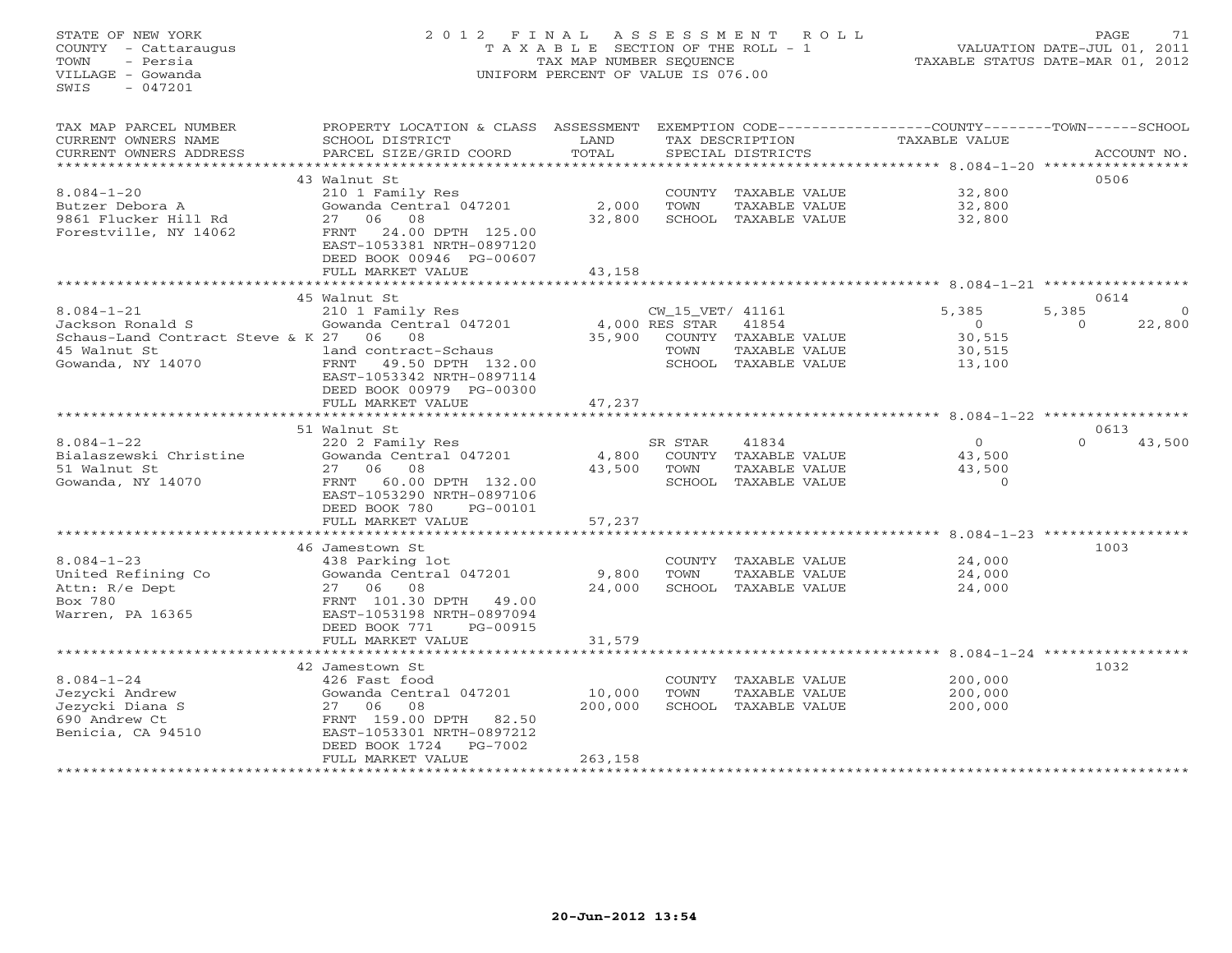#### STATE OF NEW YORK 2 0 1 2 F I N A L A S S E S S M E N T R O L L PAGE 71COUNTY - Cattaraugus T A X A B L E SECTION OF THE ROLL - 1 VALUATION DATE-JUL 01, 2011 TOWN - Persia TAX MAP NUMBER SEQUENCE TAXABLE STATUS DATE-MAR 01, 2012 VILLAGE - Gowanda UNIFORM PERCENT OF VALUE IS 076.00

VALUATION DATE-JUL 01, 2011

| TAX DESCRIPTION<br>TOTAL<br>CURRENT OWNERS ADDRESS<br>PARCEL SIZE/GRID COORD<br>SPECIAL DISTRICTS<br>ACCOUNT NO.<br>**********************<br>0506<br>43 Walnut St<br>$8.084 - 1 - 20$<br>32,800<br>210 1 Family Res<br>COUNTY TAXABLE VALUE<br>2,000<br>Gowanda Central 047201<br>TOWN<br>TAXABLE VALUE<br>32,800<br>Butzer Debora A<br>27 06<br>08<br>32,800<br>SCHOOL TAXABLE VALUE<br>32,800<br>9861 Flucker Hill Rd<br>24.00 DPTH 125.00<br>Forestville, NY 14062<br>FRNT<br>EAST-1053381 NRTH-0897120<br>DEED BOOK 00946 PG-00607<br>FULL MARKET VALUE<br>43,158<br>0614<br>45 Walnut St<br>$8.084 - 1 - 21$<br>$\overline{0}$<br>210 1 Family Res<br>CW_15_VET/ 41161<br>5,385<br>5,385<br>4,000 RES STAR<br>41854<br>Jackson Ronald S<br>Gowanda Central 047201<br>$\Omega$<br>$\Omega$<br>22,800<br>Schaus-Land Contract Steve & K 27 06 08<br>35,900<br>COUNTY TAXABLE VALUE<br>30,515<br>45 Walnut St<br>land contract-Schaus<br>TOWN<br>TAXABLE VALUE<br>30,515<br>Gowanda, NY 14070<br>FRNT<br>49.50 DPTH 132.00<br>SCHOOL TAXABLE VALUE<br>13,100<br>EAST-1053342 NRTH-0897114<br>DEED BOOK 00979 PG-00300<br>47,237<br>FULL MARKET VALUE<br>51 Walnut St<br>0613<br>41834<br>$\overline{0}$<br>43,500<br>$8.084 - 1 - 22$<br>220 2 Family Res<br>SR STAR<br>$\Omega$<br>Bialaszewski Christine<br>Gowanda Central 047201<br>4,800<br>COUNTY TAXABLE VALUE<br>43,500<br>51 Walnut St<br>27 06<br>08<br>43,500<br>TOWN<br>TAXABLE VALUE<br>43,500<br>Gowanda, NY 14070<br>60.00 DPTH 132.00<br>SCHOOL TAXABLE VALUE<br>$\Omega$<br>FRNT<br>EAST-1053290 NRTH-0897106<br>DEED BOOK 780<br>PG-00101<br>57,237<br>FULL MARKET VALUE<br>******************<br>************************************ 8.084-1-23 ******************<br>1003<br>46 Jamestown St<br>$8.084 - 1 - 23$<br>24,000<br>438 Parking lot<br>COUNTY TAXABLE VALUE<br>United Refining Co<br>Gowanda Central 047201<br>9,800<br>TOWN<br>24,000<br>TAXABLE VALUE<br>24,000<br>SCHOOL TAXABLE VALUE<br>Attn: R/e Dept<br>27 06<br>08<br>24,000<br>Box 780<br>FRNT 101.30 DPTH 49.00<br>Warren, PA 16365<br>EAST-1053198 NRTH-0897094<br>DEED BOOK 771<br>PG-00915<br>FULL MARKET VALUE<br>31,579<br>***************************<br>42 Jamestown St<br>1032<br>$8.084 - 1 - 24$<br>200,000<br>426 Fast food<br>COUNTY TAXABLE VALUE<br>Jezycki Andrew<br>10,000<br>Gowanda Central 047201<br>TOWN<br>TAXABLE VALUE<br>200,000<br>Jezycki Diana S<br>08<br>200,000<br>SCHOOL TAXABLE VALUE<br>200,000<br>27 06<br>690 Andrew Ct<br>FRNT 159.00 DPTH 82.50<br>EAST-1053301 NRTH-0897212<br>Benicia, CA 94510<br>DEED BOOK 1724<br>PG-7002<br>263,158<br>FULL MARKET VALUE | TAX MAP PARCEL NUMBER | PROPERTY LOCATION & CLASS ASSESSMENT |      |  | EXEMPTION CODE-----------------COUNTY-------TOWN-----SCHOOL |  |
|------------------------------------------------------------------------------------------------------------------------------------------------------------------------------------------------------------------------------------------------------------------------------------------------------------------------------------------------------------------------------------------------------------------------------------------------------------------------------------------------------------------------------------------------------------------------------------------------------------------------------------------------------------------------------------------------------------------------------------------------------------------------------------------------------------------------------------------------------------------------------------------------------------------------------------------------------------------------------------------------------------------------------------------------------------------------------------------------------------------------------------------------------------------------------------------------------------------------------------------------------------------------------------------------------------------------------------------------------------------------------------------------------------------------------------------------------------------------------------------------------------------------------------------------------------------------------------------------------------------------------------------------------------------------------------------------------------------------------------------------------------------------------------------------------------------------------------------------------------------------------------------------------------------------------------------------------------------------------------------------------------------------------------------------------------------------------------------------------------------------------------------------------------------------------------------------------------------------------------------------------------------------------------------------------------------------------------------------------------------------------------------------------------------------------------------------------------------------------------------------------------------------------------------------------------------------------------------------------------------------------------------------|-----------------------|--------------------------------------|------|--|-------------------------------------------------------------|--|
|                                                                                                                                                                                                                                                                                                                                                                                                                                                                                                                                                                                                                                                                                                                                                                                                                                                                                                                                                                                                                                                                                                                                                                                                                                                                                                                                                                                                                                                                                                                                                                                                                                                                                                                                                                                                                                                                                                                                                                                                                                                                                                                                                                                                                                                                                                                                                                                                                                                                                                                                                                                                                                                | CURRENT OWNERS NAME   | SCHOOL DISTRICT                      | LAND |  | TAXABLE VALUE                                               |  |
|                                                                                                                                                                                                                                                                                                                                                                                                                                                                                                                                                                                                                                                                                                                                                                                                                                                                                                                                                                                                                                                                                                                                                                                                                                                                                                                                                                                                                                                                                                                                                                                                                                                                                                                                                                                                                                                                                                                                                                                                                                                                                                                                                                                                                                                                                                                                                                                                                                                                                                                                                                                                                                                |                       |                                      |      |  |                                                             |  |
|                                                                                                                                                                                                                                                                                                                                                                                                                                                                                                                                                                                                                                                                                                                                                                                                                                                                                                                                                                                                                                                                                                                                                                                                                                                                                                                                                                                                                                                                                                                                                                                                                                                                                                                                                                                                                                                                                                                                                                                                                                                                                                                                                                                                                                                                                                                                                                                                                                                                                                                                                                                                                                                |                       |                                      |      |  |                                                             |  |
|                                                                                                                                                                                                                                                                                                                                                                                                                                                                                                                                                                                                                                                                                                                                                                                                                                                                                                                                                                                                                                                                                                                                                                                                                                                                                                                                                                                                                                                                                                                                                                                                                                                                                                                                                                                                                                                                                                                                                                                                                                                                                                                                                                                                                                                                                                                                                                                                                                                                                                                                                                                                                                                |                       |                                      |      |  |                                                             |  |
|                                                                                                                                                                                                                                                                                                                                                                                                                                                                                                                                                                                                                                                                                                                                                                                                                                                                                                                                                                                                                                                                                                                                                                                                                                                                                                                                                                                                                                                                                                                                                                                                                                                                                                                                                                                                                                                                                                                                                                                                                                                                                                                                                                                                                                                                                                                                                                                                                                                                                                                                                                                                                                                |                       |                                      |      |  |                                                             |  |
|                                                                                                                                                                                                                                                                                                                                                                                                                                                                                                                                                                                                                                                                                                                                                                                                                                                                                                                                                                                                                                                                                                                                                                                                                                                                                                                                                                                                                                                                                                                                                                                                                                                                                                                                                                                                                                                                                                                                                                                                                                                                                                                                                                                                                                                                                                                                                                                                                                                                                                                                                                                                                                                |                       |                                      |      |  |                                                             |  |
|                                                                                                                                                                                                                                                                                                                                                                                                                                                                                                                                                                                                                                                                                                                                                                                                                                                                                                                                                                                                                                                                                                                                                                                                                                                                                                                                                                                                                                                                                                                                                                                                                                                                                                                                                                                                                                                                                                                                                                                                                                                                                                                                                                                                                                                                                                                                                                                                                                                                                                                                                                                                                                                |                       |                                      |      |  |                                                             |  |
|                                                                                                                                                                                                                                                                                                                                                                                                                                                                                                                                                                                                                                                                                                                                                                                                                                                                                                                                                                                                                                                                                                                                                                                                                                                                                                                                                                                                                                                                                                                                                                                                                                                                                                                                                                                                                                                                                                                                                                                                                                                                                                                                                                                                                                                                                                                                                                                                                                                                                                                                                                                                                                                |                       |                                      |      |  |                                                             |  |
|                                                                                                                                                                                                                                                                                                                                                                                                                                                                                                                                                                                                                                                                                                                                                                                                                                                                                                                                                                                                                                                                                                                                                                                                                                                                                                                                                                                                                                                                                                                                                                                                                                                                                                                                                                                                                                                                                                                                                                                                                                                                                                                                                                                                                                                                                                                                                                                                                                                                                                                                                                                                                                                |                       |                                      |      |  |                                                             |  |
|                                                                                                                                                                                                                                                                                                                                                                                                                                                                                                                                                                                                                                                                                                                                                                                                                                                                                                                                                                                                                                                                                                                                                                                                                                                                                                                                                                                                                                                                                                                                                                                                                                                                                                                                                                                                                                                                                                                                                                                                                                                                                                                                                                                                                                                                                                                                                                                                                                                                                                                                                                                                                                                |                       |                                      |      |  |                                                             |  |
|                                                                                                                                                                                                                                                                                                                                                                                                                                                                                                                                                                                                                                                                                                                                                                                                                                                                                                                                                                                                                                                                                                                                                                                                                                                                                                                                                                                                                                                                                                                                                                                                                                                                                                                                                                                                                                                                                                                                                                                                                                                                                                                                                                                                                                                                                                                                                                                                                                                                                                                                                                                                                                                |                       |                                      |      |  |                                                             |  |
|                                                                                                                                                                                                                                                                                                                                                                                                                                                                                                                                                                                                                                                                                                                                                                                                                                                                                                                                                                                                                                                                                                                                                                                                                                                                                                                                                                                                                                                                                                                                                                                                                                                                                                                                                                                                                                                                                                                                                                                                                                                                                                                                                                                                                                                                                                                                                                                                                                                                                                                                                                                                                                                |                       |                                      |      |  |                                                             |  |
|                                                                                                                                                                                                                                                                                                                                                                                                                                                                                                                                                                                                                                                                                                                                                                                                                                                                                                                                                                                                                                                                                                                                                                                                                                                                                                                                                                                                                                                                                                                                                                                                                                                                                                                                                                                                                                                                                                                                                                                                                                                                                                                                                                                                                                                                                                                                                                                                                                                                                                                                                                                                                                                |                       |                                      |      |  |                                                             |  |
|                                                                                                                                                                                                                                                                                                                                                                                                                                                                                                                                                                                                                                                                                                                                                                                                                                                                                                                                                                                                                                                                                                                                                                                                                                                                                                                                                                                                                                                                                                                                                                                                                                                                                                                                                                                                                                                                                                                                                                                                                                                                                                                                                                                                                                                                                                                                                                                                                                                                                                                                                                                                                                                |                       |                                      |      |  |                                                             |  |
|                                                                                                                                                                                                                                                                                                                                                                                                                                                                                                                                                                                                                                                                                                                                                                                                                                                                                                                                                                                                                                                                                                                                                                                                                                                                                                                                                                                                                                                                                                                                                                                                                                                                                                                                                                                                                                                                                                                                                                                                                                                                                                                                                                                                                                                                                                                                                                                                                                                                                                                                                                                                                                                |                       |                                      |      |  |                                                             |  |
|                                                                                                                                                                                                                                                                                                                                                                                                                                                                                                                                                                                                                                                                                                                                                                                                                                                                                                                                                                                                                                                                                                                                                                                                                                                                                                                                                                                                                                                                                                                                                                                                                                                                                                                                                                                                                                                                                                                                                                                                                                                                                                                                                                                                                                                                                                                                                                                                                                                                                                                                                                                                                                                |                       |                                      |      |  |                                                             |  |
|                                                                                                                                                                                                                                                                                                                                                                                                                                                                                                                                                                                                                                                                                                                                                                                                                                                                                                                                                                                                                                                                                                                                                                                                                                                                                                                                                                                                                                                                                                                                                                                                                                                                                                                                                                                                                                                                                                                                                                                                                                                                                                                                                                                                                                                                                                                                                                                                                                                                                                                                                                                                                                                |                       |                                      |      |  |                                                             |  |
|                                                                                                                                                                                                                                                                                                                                                                                                                                                                                                                                                                                                                                                                                                                                                                                                                                                                                                                                                                                                                                                                                                                                                                                                                                                                                                                                                                                                                                                                                                                                                                                                                                                                                                                                                                                                                                                                                                                                                                                                                                                                                                                                                                                                                                                                                                                                                                                                                                                                                                                                                                                                                                                |                       |                                      |      |  |                                                             |  |
|                                                                                                                                                                                                                                                                                                                                                                                                                                                                                                                                                                                                                                                                                                                                                                                                                                                                                                                                                                                                                                                                                                                                                                                                                                                                                                                                                                                                                                                                                                                                                                                                                                                                                                                                                                                                                                                                                                                                                                                                                                                                                                                                                                                                                                                                                                                                                                                                                                                                                                                                                                                                                                                |                       |                                      |      |  |                                                             |  |
|                                                                                                                                                                                                                                                                                                                                                                                                                                                                                                                                                                                                                                                                                                                                                                                                                                                                                                                                                                                                                                                                                                                                                                                                                                                                                                                                                                                                                                                                                                                                                                                                                                                                                                                                                                                                                                                                                                                                                                                                                                                                                                                                                                                                                                                                                                                                                                                                                                                                                                                                                                                                                                                |                       |                                      |      |  |                                                             |  |
|                                                                                                                                                                                                                                                                                                                                                                                                                                                                                                                                                                                                                                                                                                                                                                                                                                                                                                                                                                                                                                                                                                                                                                                                                                                                                                                                                                                                                                                                                                                                                                                                                                                                                                                                                                                                                                                                                                                                                                                                                                                                                                                                                                                                                                                                                                                                                                                                                                                                                                                                                                                                                                                |                       |                                      |      |  |                                                             |  |
|                                                                                                                                                                                                                                                                                                                                                                                                                                                                                                                                                                                                                                                                                                                                                                                                                                                                                                                                                                                                                                                                                                                                                                                                                                                                                                                                                                                                                                                                                                                                                                                                                                                                                                                                                                                                                                                                                                                                                                                                                                                                                                                                                                                                                                                                                                                                                                                                                                                                                                                                                                                                                                                |                       |                                      |      |  |                                                             |  |
|                                                                                                                                                                                                                                                                                                                                                                                                                                                                                                                                                                                                                                                                                                                                                                                                                                                                                                                                                                                                                                                                                                                                                                                                                                                                                                                                                                                                                                                                                                                                                                                                                                                                                                                                                                                                                                                                                                                                                                                                                                                                                                                                                                                                                                                                                                                                                                                                                                                                                                                                                                                                                                                |                       |                                      |      |  |                                                             |  |
|                                                                                                                                                                                                                                                                                                                                                                                                                                                                                                                                                                                                                                                                                                                                                                                                                                                                                                                                                                                                                                                                                                                                                                                                                                                                                                                                                                                                                                                                                                                                                                                                                                                                                                                                                                                                                                                                                                                                                                                                                                                                                                                                                                                                                                                                                                                                                                                                                                                                                                                                                                                                                                                |                       |                                      |      |  |                                                             |  |
|                                                                                                                                                                                                                                                                                                                                                                                                                                                                                                                                                                                                                                                                                                                                                                                                                                                                                                                                                                                                                                                                                                                                                                                                                                                                                                                                                                                                                                                                                                                                                                                                                                                                                                                                                                                                                                                                                                                                                                                                                                                                                                                                                                                                                                                                                                                                                                                                                                                                                                                                                                                                                                                |                       |                                      |      |  |                                                             |  |
|                                                                                                                                                                                                                                                                                                                                                                                                                                                                                                                                                                                                                                                                                                                                                                                                                                                                                                                                                                                                                                                                                                                                                                                                                                                                                                                                                                                                                                                                                                                                                                                                                                                                                                                                                                                                                                                                                                                                                                                                                                                                                                                                                                                                                                                                                                                                                                                                                                                                                                                                                                                                                                                |                       |                                      |      |  |                                                             |  |
|                                                                                                                                                                                                                                                                                                                                                                                                                                                                                                                                                                                                                                                                                                                                                                                                                                                                                                                                                                                                                                                                                                                                                                                                                                                                                                                                                                                                                                                                                                                                                                                                                                                                                                                                                                                                                                                                                                                                                                                                                                                                                                                                                                                                                                                                                                                                                                                                                                                                                                                                                                                                                                                |                       |                                      |      |  |                                                             |  |
|                                                                                                                                                                                                                                                                                                                                                                                                                                                                                                                                                                                                                                                                                                                                                                                                                                                                                                                                                                                                                                                                                                                                                                                                                                                                                                                                                                                                                                                                                                                                                                                                                                                                                                                                                                                                                                                                                                                                                                                                                                                                                                                                                                                                                                                                                                                                                                                                                                                                                                                                                                                                                                                |                       |                                      |      |  |                                                             |  |
|                                                                                                                                                                                                                                                                                                                                                                                                                                                                                                                                                                                                                                                                                                                                                                                                                                                                                                                                                                                                                                                                                                                                                                                                                                                                                                                                                                                                                                                                                                                                                                                                                                                                                                                                                                                                                                                                                                                                                                                                                                                                                                                                                                                                                                                                                                                                                                                                                                                                                                                                                                                                                                                |                       |                                      |      |  |                                                             |  |
|                                                                                                                                                                                                                                                                                                                                                                                                                                                                                                                                                                                                                                                                                                                                                                                                                                                                                                                                                                                                                                                                                                                                                                                                                                                                                                                                                                                                                                                                                                                                                                                                                                                                                                                                                                                                                                                                                                                                                                                                                                                                                                                                                                                                                                                                                                                                                                                                                                                                                                                                                                                                                                                |                       |                                      |      |  |                                                             |  |
|                                                                                                                                                                                                                                                                                                                                                                                                                                                                                                                                                                                                                                                                                                                                                                                                                                                                                                                                                                                                                                                                                                                                                                                                                                                                                                                                                                                                                                                                                                                                                                                                                                                                                                                                                                                                                                                                                                                                                                                                                                                                                                                                                                                                                                                                                                                                                                                                                                                                                                                                                                                                                                                |                       |                                      |      |  |                                                             |  |
|                                                                                                                                                                                                                                                                                                                                                                                                                                                                                                                                                                                                                                                                                                                                                                                                                                                                                                                                                                                                                                                                                                                                                                                                                                                                                                                                                                                                                                                                                                                                                                                                                                                                                                                                                                                                                                                                                                                                                                                                                                                                                                                                                                                                                                                                                                                                                                                                                                                                                                                                                                                                                                                |                       |                                      |      |  |                                                             |  |
|                                                                                                                                                                                                                                                                                                                                                                                                                                                                                                                                                                                                                                                                                                                                                                                                                                                                                                                                                                                                                                                                                                                                                                                                                                                                                                                                                                                                                                                                                                                                                                                                                                                                                                                                                                                                                                                                                                                                                                                                                                                                                                                                                                                                                                                                                                                                                                                                                                                                                                                                                                                                                                                |                       |                                      |      |  |                                                             |  |
|                                                                                                                                                                                                                                                                                                                                                                                                                                                                                                                                                                                                                                                                                                                                                                                                                                                                                                                                                                                                                                                                                                                                                                                                                                                                                                                                                                                                                                                                                                                                                                                                                                                                                                                                                                                                                                                                                                                                                                                                                                                                                                                                                                                                                                                                                                                                                                                                                                                                                                                                                                                                                                                |                       |                                      |      |  |                                                             |  |
|                                                                                                                                                                                                                                                                                                                                                                                                                                                                                                                                                                                                                                                                                                                                                                                                                                                                                                                                                                                                                                                                                                                                                                                                                                                                                                                                                                                                                                                                                                                                                                                                                                                                                                                                                                                                                                                                                                                                                                                                                                                                                                                                                                                                                                                                                                                                                                                                                                                                                                                                                                                                                                                |                       |                                      |      |  |                                                             |  |
|                                                                                                                                                                                                                                                                                                                                                                                                                                                                                                                                                                                                                                                                                                                                                                                                                                                                                                                                                                                                                                                                                                                                                                                                                                                                                                                                                                                                                                                                                                                                                                                                                                                                                                                                                                                                                                                                                                                                                                                                                                                                                                                                                                                                                                                                                                                                                                                                                                                                                                                                                                                                                                                |                       |                                      |      |  |                                                             |  |
|                                                                                                                                                                                                                                                                                                                                                                                                                                                                                                                                                                                                                                                                                                                                                                                                                                                                                                                                                                                                                                                                                                                                                                                                                                                                                                                                                                                                                                                                                                                                                                                                                                                                                                                                                                                                                                                                                                                                                                                                                                                                                                                                                                                                                                                                                                                                                                                                                                                                                                                                                                                                                                                |                       |                                      |      |  |                                                             |  |
|                                                                                                                                                                                                                                                                                                                                                                                                                                                                                                                                                                                                                                                                                                                                                                                                                                                                                                                                                                                                                                                                                                                                                                                                                                                                                                                                                                                                                                                                                                                                                                                                                                                                                                                                                                                                                                                                                                                                                                                                                                                                                                                                                                                                                                                                                                                                                                                                                                                                                                                                                                                                                                                |                       |                                      |      |  |                                                             |  |
|                                                                                                                                                                                                                                                                                                                                                                                                                                                                                                                                                                                                                                                                                                                                                                                                                                                                                                                                                                                                                                                                                                                                                                                                                                                                                                                                                                                                                                                                                                                                                                                                                                                                                                                                                                                                                                                                                                                                                                                                                                                                                                                                                                                                                                                                                                                                                                                                                                                                                                                                                                                                                                                |                       |                                      |      |  |                                                             |  |
|                                                                                                                                                                                                                                                                                                                                                                                                                                                                                                                                                                                                                                                                                                                                                                                                                                                                                                                                                                                                                                                                                                                                                                                                                                                                                                                                                                                                                                                                                                                                                                                                                                                                                                                                                                                                                                                                                                                                                                                                                                                                                                                                                                                                                                                                                                                                                                                                                                                                                                                                                                                                                                                |                       |                                      |      |  |                                                             |  |
|                                                                                                                                                                                                                                                                                                                                                                                                                                                                                                                                                                                                                                                                                                                                                                                                                                                                                                                                                                                                                                                                                                                                                                                                                                                                                                                                                                                                                                                                                                                                                                                                                                                                                                                                                                                                                                                                                                                                                                                                                                                                                                                                                                                                                                                                                                                                                                                                                                                                                                                                                                                                                                                |                       |                                      |      |  |                                                             |  |
|                                                                                                                                                                                                                                                                                                                                                                                                                                                                                                                                                                                                                                                                                                                                                                                                                                                                                                                                                                                                                                                                                                                                                                                                                                                                                                                                                                                                                                                                                                                                                                                                                                                                                                                                                                                                                                                                                                                                                                                                                                                                                                                                                                                                                                                                                                                                                                                                                                                                                                                                                                                                                                                |                       |                                      |      |  |                                                             |  |
|                                                                                                                                                                                                                                                                                                                                                                                                                                                                                                                                                                                                                                                                                                                                                                                                                                                                                                                                                                                                                                                                                                                                                                                                                                                                                                                                                                                                                                                                                                                                                                                                                                                                                                                                                                                                                                                                                                                                                                                                                                                                                                                                                                                                                                                                                                                                                                                                                                                                                                                                                                                                                                                |                       |                                      |      |  |                                                             |  |
|                                                                                                                                                                                                                                                                                                                                                                                                                                                                                                                                                                                                                                                                                                                                                                                                                                                                                                                                                                                                                                                                                                                                                                                                                                                                                                                                                                                                                                                                                                                                                                                                                                                                                                                                                                                                                                                                                                                                                                                                                                                                                                                                                                                                                                                                                                                                                                                                                                                                                                                                                                                                                                                |                       |                                      |      |  |                                                             |  |
|                                                                                                                                                                                                                                                                                                                                                                                                                                                                                                                                                                                                                                                                                                                                                                                                                                                                                                                                                                                                                                                                                                                                                                                                                                                                                                                                                                                                                                                                                                                                                                                                                                                                                                                                                                                                                                                                                                                                                                                                                                                                                                                                                                                                                                                                                                                                                                                                                                                                                                                                                                                                                                                |                       |                                      |      |  |                                                             |  |
|                                                                                                                                                                                                                                                                                                                                                                                                                                                                                                                                                                                                                                                                                                                                                                                                                                                                                                                                                                                                                                                                                                                                                                                                                                                                                                                                                                                                                                                                                                                                                                                                                                                                                                                                                                                                                                                                                                                                                                                                                                                                                                                                                                                                                                                                                                                                                                                                                                                                                                                                                                                                                                                |                       |                                      |      |  |                                                             |  |
|                                                                                                                                                                                                                                                                                                                                                                                                                                                                                                                                                                                                                                                                                                                                                                                                                                                                                                                                                                                                                                                                                                                                                                                                                                                                                                                                                                                                                                                                                                                                                                                                                                                                                                                                                                                                                                                                                                                                                                                                                                                                                                                                                                                                                                                                                                                                                                                                                                                                                                                                                                                                                                                |                       |                                      |      |  |                                                             |  |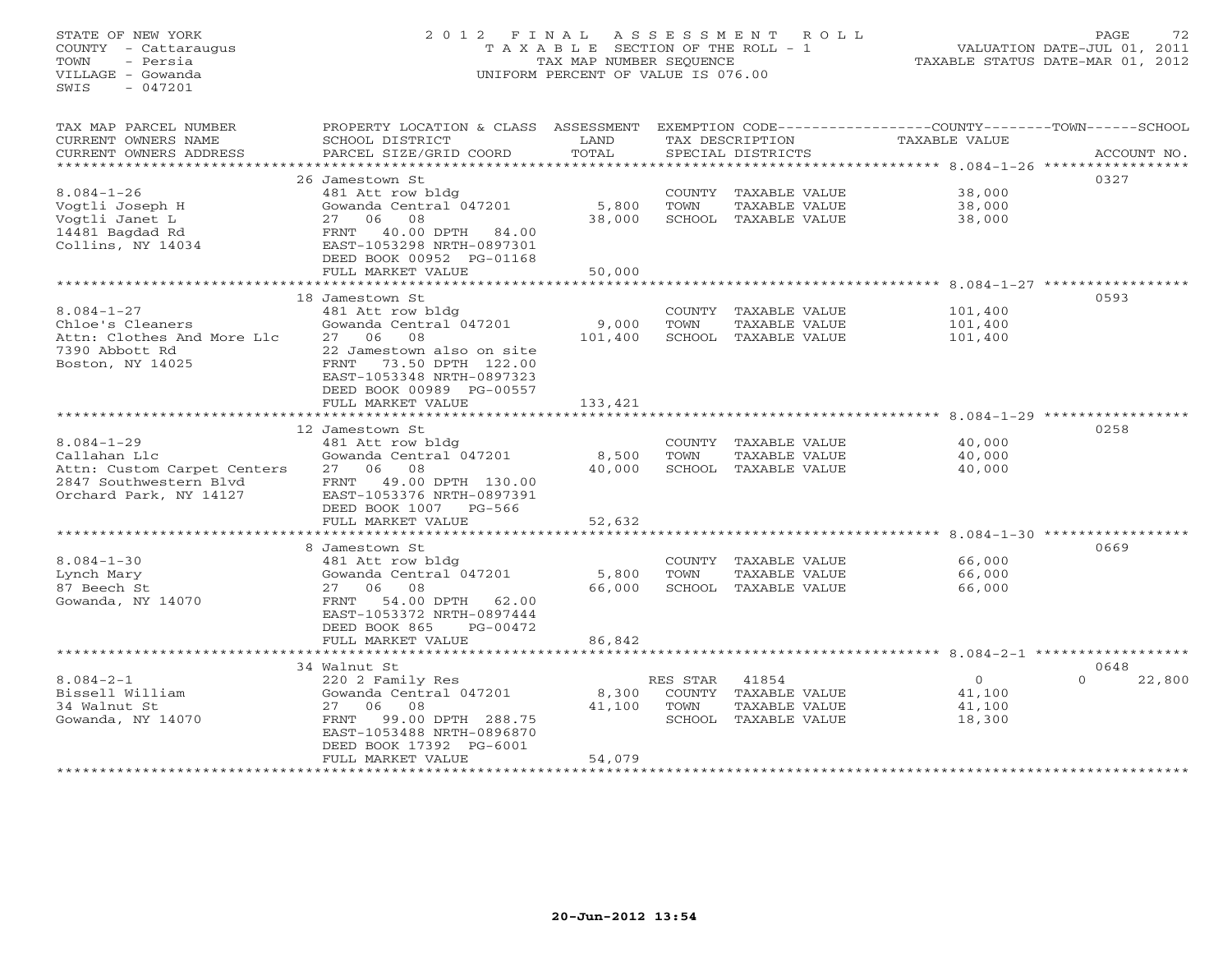#### STATE OF NEW YORK 2 0 1 2 F I N A L A S S E S S M E N T R O L L PAGE 72COUNTY - Cattaraugus T A X A B L E SECTION OF THE ROLL - 1 VALUATION DATE-JUL 01, 2011 TOWN - Persia TAX MAP NUMBER SEQUENCE TAXABLE STATUS DATE-MAR 01, 2012 VILLAGE - Gowanda UNIFORM PERCENT OF VALUE IS 076.00

VALUATION DATE-JUL 01, 2011

| TAX DESCRIPTION<br>TOTAL<br>PARCEL SIZE/GRID COORD<br>ACCOUNT NO.<br>CURRENT OWNERS ADDRESS<br>SPECIAL DISTRICTS<br>*********************<br>0327<br>26 Jamestown St<br>$8.084 - 1 - 26$<br>38,000<br>481 Att row bldg<br>COUNTY TAXABLE VALUE<br>5,800<br>Vogtli Joseph H<br>Gowanda Central 047201<br>TOWN<br>TAXABLE VALUE<br>38,000<br>27 06<br>08<br>38,000<br>SCHOOL TAXABLE VALUE<br>38,000<br>Vogtli Janet L<br>40.00 DPTH<br>14481 Bagdad Rd<br>84.00<br>FRNT<br>Collins, NY 14034<br>EAST-1053298 NRTH-0897301<br>DEED BOOK 00952 PG-01168<br>50,000<br>FULL MARKET VALUE<br>0593<br>18 Jamestown St<br>$8.084 - 1 - 27$<br>481 Att row bldg<br>COUNTY TAXABLE VALUE<br>101,400<br>Chloe's Cleaners<br>Gowanda Central 047201<br>9,000<br>TOWN<br>TAXABLE VALUE<br>101,400<br>Attn: Clothes And More Llc<br>27 06<br>08<br>101,400<br>SCHOOL TAXABLE VALUE<br>101,400<br>7390 Abbott Rd<br>22 Jamestown also on site<br>73.50 DPTH 122.00<br>Boston, NY 14025<br>FRNT<br>EAST-1053348 NRTH-0897323<br>DEED BOOK 00989 PG-00557<br>FULL MARKET VALUE<br>133,421<br>0258<br>12 Jamestown St<br>481 Att row bldg<br>40,000<br>COUNTY TAXABLE VALUE<br>Gowanda Central 047201<br>8,500<br>TOWN<br>TAXABLE VALUE<br>40,000<br>27 06<br>08<br>40,000<br>SCHOOL TAXABLE VALUE<br>Attn: Custom Carpet Centers<br>40,000<br>FRNT<br>49.00 DPTH 130.00<br>EAST-1053376 NRTH-0897391<br>DEED BOOK 1007<br>PG-566<br>FULL MARKET VALUE<br>52,632<br>********************************** 8.084-1-30 ******************<br>0669<br>8 Jamestown St<br>$8.084 - 1 - 30$<br>66,000<br>481 Att row bldg<br>COUNTY TAXABLE VALUE<br>Gowanda Central 047201<br>5,800<br>TOWN<br>TAXABLE VALUE<br>66,000<br>87 Beech St<br>27 06<br>08<br>66,000<br>SCHOOL TAXABLE VALUE<br>66,000<br>54.00 DPTH 62.00<br>Gowanda, NY 14070<br>FRNT<br>EAST-1053372 NRTH-0897444<br>DEED BOOK 865<br>PG-00472<br>FULL MARKET VALUE<br>86,842<br>34 Walnut St<br>0648<br>$8.084 - 2 - 1$<br>220 2 Family Res<br>RES STAR<br>41854<br>$\circ$<br>$\Omega$<br>22,800<br>Bissell William<br>Gowanda Central 047201<br>8,300<br>COUNTY TAXABLE VALUE<br>41,100<br>34 Walnut St<br>06<br>08<br>27<br>41,100<br>TOWN<br>TAXABLE VALUE<br>41,100<br>Gowanda, NY 14070<br>99.00 DPTH 288.75<br>SCHOOL TAXABLE VALUE<br>FRNT<br>18,300<br>EAST-1053488 NRTH-0896870<br>DEED BOOK 17392 PG-6001<br>54,079<br>FULL MARKET VALUE | TAX MAP PARCEL NUMBER  | PROPERTY LOCATION & CLASS ASSESSMENT |      |  | EXEMPTION CODE-----------------COUNTY-------TOWN------SCHOOL |  |
|-----------------------------------------------------------------------------------------------------------------------------------------------------------------------------------------------------------------------------------------------------------------------------------------------------------------------------------------------------------------------------------------------------------------------------------------------------------------------------------------------------------------------------------------------------------------------------------------------------------------------------------------------------------------------------------------------------------------------------------------------------------------------------------------------------------------------------------------------------------------------------------------------------------------------------------------------------------------------------------------------------------------------------------------------------------------------------------------------------------------------------------------------------------------------------------------------------------------------------------------------------------------------------------------------------------------------------------------------------------------------------------------------------------------------------------------------------------------------------------------------------------------------------------------------------------------------------------------------------------------------------------------------------------------------------------------------------------------------------------------------------------------------------------------------------------------------------------------------------------------------------------------------------------------------------------------------------------------------------------------------------------------------------------------------------------------------------------------------------------------------------------------------------------------------------------------------------------------------------------------------------------------------------------------------------------------------------------------------------------------------------------------|------------------------|--------------------------------------|------|--|--------------------------------------------------------------|--|
|                                                                                                                                                                                                                                                                                                                                                                                                                                                                                                                                                                                                                                                                                                                                                                                                                                                                                                                                                                                                                                                                                                                                                                                                                                                                                                                                                                                                                                                                                                                                                                                                                                                                                                                                                                                                                                                                                                                                                                                                                                                                                                                                                                                                                                                                                                                                                                                         | CURRENT OWNERS NAME    | SCHOOL DISTRICT                      | LAND |  | TAXABLE VALUE                                                |  |
|                                                                                                                                                                                                                                                                                                                                                                                                                                                                                                                                                                                                                                                                                                                                                                                                                                                                                                                                                                                                                                                                                                                                                                                                                                                                                                                                                                                                                                                                                                                                                                                                                                                                                                                                                                                                                                                                                                                                                                                                                                                                                                                                                                                                                                                                                                                                                                                         |                        |                                      |      |  |                                                              |  |
|                                                                                                                                                                                                                                                                                                                                                                                                                                                                                                                                                                                                                                                                                                                                                                                                                                                                                                                                                                                                                                                                                                                                                                                                                                                                                                                                                                                                                                                                                                                                                                                                                                                                                                                                                                                                                                                                                                                                                                                                                                                                                                                                                                                                                                                                                                                                                                                         |                        |                                      |      |  |                                                              |  |
|                                                                                                                                                                                                                                                                                                                                                                                                                                                                                                                                                                                                                                                                                                                                                                                                                                                                                                                                                                                                                                                                                                                                                                                                                                                                                                                                                                                                                                                                                                                                                                                                                                                                                                                                                                                                                                                                                                                                                                                                                                                                                                                                                                                                                                                                                                                                                                                         |                        |                                      |      |  |                                                              |  |
|                                                                                                                                                                                                                                                                                                                                                                                                                                                                                                                                                                                                                                                                                                                                                                                                                                                                                                                                                                                                                                                                                                                                                                                                                                                                                                                                                                                                                                                                                                                                                                                                                                                                                                                                                                                                                                                                                                                                                                                                                                                                                                                                                                                                                                                                                                                                                                                         |                        |                                      |      |  |                                                              |  |
|                                                                                                                                                                                                                                                                                                                                                                                                                                                                                                                                                                                                                                                                                                                                                                                                                                                                                                                                                                                                                                                                                                                                                                                                                                                                                                                                                                                                                                                                                                                                                                                                                                                                                                                                                                                                                                                                                                                                                                                                                                                                                                                                                                                                                                                                                                                                                                                         |                        |                                      |      |  |                                                              |  |
|                                                                                                                                                                                                                                                                                                                                                                                                                                                                                                                                                                                                                                                                                                                                                                                                                                                                                                                                                                                                                                                                                                                                                                                                                                                                                                                                                                                                                                                                                                                                                                                                                                                                                                                                                                                                                                                                                                                                                                                                                                                                                                                                                                                                                                                                                                                                                                                         |                        |                                      |      |  |                                                              |  |
|                                                                                                                                                                                                                                                                                                                                                                                                                                                                                                                                                                                                                                                                                                                                                                                                                                                                                                                                                                                                                                                                                                                                                                                                                                                                                                                                                                                                                                                                                                                                                                                                                                                                                                                                                                                                                                                                                                                                                                                                                                                                                                                                                                                                                                                                                                                                                                                         |                        |                                      |      |  |                                                              |  |
|                                                                                                                                                                                                                                                                                                                                                                                                                                                                                                                                                                                                                                                                                                                                                                                                                                                                                                                                                                                                                                                                                                                                                                                                                                                                                                                                                                                                                                                                                                                                                                                                                                                                                                                                                                                                                                                                                                                                                                                                                                                                                                                                                                                                                                                                                                                                                                                         |                        |                                      |      |  |                                                              |  |
|                                                                                                                                                                                                                                                                                                                                                                                                                                                                                                                                                                                                                                                                                                                                                                                                                                                                                                                                                                                                                                                                                                                                                                                                                                                                                                                                                                                                                                                                                                                                                                                                                                                                                                                                                                                                                                                                                                                                                                                                                                                                                                                                                                                                                                                                                                                                                                                         |                        |                                      |      |  |                                                              |  |
|                                                                                                                                                                                                                                                                                                                                                                                                                                                                                                                                                                                                                                                                                                                                                                                                                                                                                                                                                                                                                                                                                                                                                                                                                                                                                                                                                                                                                                                                                                                                                                                                                                                                                                                                                                                                                                                                                                                                                                                                                                                                                                                                                                                                                                                                                                                                                                                         |                        |                                      |      |  |                                                              |  |
|                                                                                                                                                                                                                                                                                                                                                                                                                                                                                                                                                                                                                                                                                                                                                                                                                                                                                                                                                                                                                                                                                                                                                                                                                                                                                                                                                                                                                                                                                                                                                                                                                                                                                                                                                                                                                                                                                                                                                                                                                                                                                                                                                                                                                                                                                                                                                                                         |                        |                                      |      |  |                                                              |  |
|                                                                                                                                                                                                                                                                                                                                                                                                                                                                                                                                                                                                                                                                                                                                                                                                                                                                                                                                                                                                                                                                                                                                                                                                                                                                                                                                                                                                                                                                                                                                                                                                                                                                                                                                                                                                                                                                                                                                                                                                                                                                                                                                                                                                                                                                                                                                                                                         |                        |                                      |      |  |                                                              |  |
|                                                                                                                                                                                                                                                                                                                                                                                                                                                                                                                                                                                                                                                                                                                                                                                                                                                                                                                                                                                                                                                                                                                                                                                                                                                                                                                                                                                                                                                                                                                                                                                                                                                                                                                                                                                                                                                                                                                                                                                                                                                                                                                                                                                                                                                                                                                                                                                         |                        |                                      |      |  |                                                              |  |
|                                                                                                                                                                                                                                                                                                                                                                                                                                                                                                                                                                                                                                                                                                                                                                                                                                                                                                                                                                                                                                                                                                                                                                                                                                                                                                                                                                                                                                                                                                                                                                                                                                                                                                                                                                                                                                                                                                                                                                                                                                                                                                                                                                                                                                                                                                                                                                                         |                        |                                      |      |  |                                                              |  |
|                                                                                                                                                                                                                                                                                                                                                                                                                                                                                                                                                                                                                                                                                                                                                                                                                                                                                                                                                                                                                                                                                                                                                                                                                                                                                                                                                                                                                                                                                                                                                                                                                                                                                                                                                                                                                                                                                                                                                                                                                                                                                                                                                                                                                                                                                                                                                                                         |                        |                                      |      |  |                                                              |  |
|                                                                                                                                                                                                                                                                                                                                                                                                                                                                                                                                                                                                                                                                                                                                                                                                                                                                                                                                                                                                                                                                                                                                                                                                                                                                                                                                                                                                                                                                                                                                                                                                                                                                                                                                                                                                                                                                                                                                                                                                                                                                                                                                                                                                                                                                                                                                                                                         |                        |                                      |      |  |                                                              |  |
|                                                                                                                                                                                                                                                                                                                                                                                                                                                                                                                                                                                                                                                                                                                                                                                                                                                                                                                                                                                                                                                                                                                                                                                                                                                                                                                                                                                                                                                                                                                                                                                                                                                                                                                                                                                                                                                                                                                                                                                                                                                                                                                                                                                                                                                                                                                                                                                         |                        |                                      |      |  |                                                              |  |
|                                                                                                                                                                                                                                                                                                                                                                                                                                                                                                                                                                                                                                                                                                                                                                                                                                                                                                                                                                                                                                                                                                                                                                                                                                                                                                                                                                                                                                                                                                                                                                                                                                                                                                                                                                                                                                                                                                                                                                                                                                                                                                                                                                                                                                                                                                                                                                                         |                        |                                      |      |  |                                                              |  |
|                                                                                                                                                                                                                                                                                                                                                                                                                                                                                                                                                                                                                                                                                                                                                                                                                                                                                                                                                                                                                                                                                                                                                                                                                                                                                                                                                                                                                                                                                                                                                                                                                                                                                                                                                                                                                                                                                                                                                                                                                                                                                                                                                                                                                                                                                                                                                                                         |                        |                                      |      |  |                                                              |  |
|                                                                                                                                                                                                                                                                                                                                                                                                                                                                                                                                                                                                                                                                                                                                                                                                                                                                                                                                                                                                                                                                                                                                                                                                                                                                                                                                                                                                                                                                                                                                                                                                                                                                                                                                                                                                                                                                                                                                                                                                                                                                                                                                                                                                                                                                                                                                                                                         |                        |                                      |      |  |                                                              |  |
|                                                                                                                                                                                                                                                                                                                                                                                                                                                                                                                                                                                                                                                                                                                                                                                                                                                                                                                                                                                                                                                                                                                                                                                                                                                                                                                                                                                                                                                                                                                                                                                                                                                                                                                                                                                                                                                                                                                                                                                                                                                                                                                                                                                                                                                                                                                                                                                         |                        |                                      |      |  |                                                              |  |
|                                                                                                                                                                                                                                                                                                                                                                                                                                                                                                                                                                                                                                                                                                                                                                                                                                                                                                                                                                                                                                                                                                                                                                                                                                                                                                                                                                                                                                                                                                                                                                                                                                                                                                                                                                                                                                                                                                                                                                                                                                                                                                                                                                                                                                                                                                                                                                                         | $8.084 - 1 - 29$       |                                      |      |  |                                                              |  |
|                                                                                                                                                                                                                                                                                                                                                                                                                                                                                                                                                                                                                                                                                                                                                                                                                                                                                                                                                                                                                                                                                                                                                                                                                                                                                                                                                                                                                                                                                                                                                                                                                                                                                                                                                                                                                                                                                                                                                                                                                                                                                                                                                                                                                                                                                                                                                                                         | Callahan Llc           |                                      |      |  |                                                              |  |
|                                                                                                                                                                                                                                                                                                                                                                                                                                                                                                                                                                                                                                                                                                                                                                                                                                                                                                                                                                                                                                                                                                                                                                                                                                                                                                                                                                                                                                                                                                                                                                                                                                                                                                                                                                                                                                                                                                                                                                                                                                                                                                                                                                                                                                                                                                                                                                                         |                        |                                      |      |  |                                                              |  |
|                                                                                                                                                                                                                                                                                                                                                                                                                                                                                                                                                                                                                                                                                                                                                                                                                                                                                                                                                                                                                                                                                                                                                                                                                                                                                                                                                                                                                                                                                                                                                                                                                                                                                                                                                                                                                                                                                                                                                                                                                                                                                                                                                                                                                                                                                                                                                                                         | 2847 Southwestern Blvd |                                      |      |  |                                                              |  |
|                                                                                                                                                                                                                                                                                                                                                                                                                                                                                                                                                                                                                                                                                                                                                                                                                                                                                                                                                                                                                                                                                                                                                                                                                                                                                                                                                                                                                                                                                                                                                                                                                                                                                                                                                                                                                                                                                                                                                                                                                                                                                                                                                                                                                                                                                                                                                                                         | Orchard Park, NY 14127 |                                      |      |  |                                                              |  |
|                                                                                                                                                                                                                                                                                                                                                                                                                                                                                                                                                                                                                                                                                                                                                                                                                                                                                                                                                                                                                                                                                                                                                                                                                                                                                                                                                                                                                                                                                                                                                                                                                                                                                                                                                                                                                                                                                                                                                                                                                                                                                                                                                                                                                                                                                                                                                                                         |                        |                                      |      |  |                                                              |  |
|                                                                                                                                                                                                                                                                                                                                                                                                                                                                                                                                                                                                                                                                                                                                                                                                                                                                                                                                                                                                                                                                                                                                                                                                                                                                                                                                                                                                                                                                                                                                                                                                                                                                                                                                                                                                                                                                                                                                                                                                                                                                                                                                                                                                                                                                                                                                                                                         |                        |                                      |      |  |                                                              |  |
|                                                                                                                                                                                                                                                                                                                                                                                                                                                                                                                                                                                                                                                                                                                                                                                                                                                                                                                                                                                                                                                                                                                                                                                                                                                                                                                                                                                                                                                                                                                                                                                                                                                                                                                                                                                                                                                                                                                                                                                                                                                                                                                                                                                                                                                                                                                                                                                         |                        |                                      |      |  |                                                              |  |
|                                                                                                                                                                                                                                                                                                                                                                                                                                                                                                                                                                                                                                                                                                                                                                                                                                                                                                                                                                                                                                                                                                                                                                                                                                                                                                                                                                                                                                                                                                                                                                                                                                                                                                                                                                                                                                                                                                                                                                                                                                                                                                                                                                                                                                                                                                                                                                                         |                        |                                      |      |  |                                                              |  |
|                                                                                                                                                                                                                                                                                                                                                                                                                                                                                                                                                                                                                                                                                                                                                                                                                                                                                                                                                                                                                                                                                                                                                                                                                                                                                                                                                                                                                                                                                                                                                                                                                                                                                                                                                                                                                                                                                                                                                                                                                                                                                                                                                                                                                                                                                                                                                                                         |                        |                                      |      |  |                                                              |  |
|                                                                                                                                                                                                                                                                                                                                                                                                                                                                                                                                                                                                                                                                                                                                                                                                                                                                                                                                                                                                                                                                                                                                                                                                                                                                                                                                                                                                                                                                                                                                                                                                                                                                                                                                                                                                                                                                                                                                                                                                                                                                                                                                                                                                                                                                                                                                                                                         | Lynch Mary             |                                      |      |  |                                                              |  |
|                                                                                                                                                                                                                                                                                                                                                                                                                                                                                                                                                                                                                                                                                                                                                                                                                                                                                                                                                                                                                                                                                                                                                                                                                                                                                                                                                                                                                                                                                                                                                                                                                                                                                                                                                                                                                                                                                                                                                                                                                                                                                                                                                                                                                                                                                                                                                                                         |                        |                                      |      |  |                                                              |  |
|                                                                                                                                                                                                                                                                                                                                                                                                                                                                                                                                                                                                                                                                                                                                                                                                                                                                                                                                                                                                                                                                                                                                                                                                                                                                                                                                                                                                                                                                                                                                                                                                                                                                                                                                                                                                                                                                                                                                                                                                                                                                                                                                                                                                                                                                                                                                                                                         |                        |                                      |      |  |                                                              |  |
|                                                                                                                                                                                                                                                                                                                                                                                                                                                                                                                                                                                                                                                                                                                                                                                                                                                                                                                                                                                                                                                                                                                                                                                                                                                                                                                                                                                                                                                                                                                                                                                                                                                                                                                                                                                                                                                                                                                                                                                                                                                                                                                                                                                                                                                                                                                                                                                         |                        |                                      |      |  |                                                              |  |
|                                                                                                                                                                                                                                                                                                                                                                                                                                                                                                                                                                                                                                                                                                                                                                                                                                                                                                                                                                                                                                                                                                                                                                                                                                                                                                                                                                                                                                                                                                                                                                                                                                                                                                                                                                                                                                                                                                                                                                                                                                                                                                                                                                                                                                                                                                                                                                                         |                        |                                      |      |  |                                                              |  |
|                                                                                                                                                                                                                                                                                                                                                                                                                                                                                                                                                                                                                                                                                                                                                                                                                                                                                                                                                                                                                                                                                                                                                                                                                                                                                                                                                                                                                                                                                                                                                                                                                                                                                                                                                                                                                                                                                                                                                                                                                                                                                                                                                                                                                                                                                                                                                                                         |                        |                                      |      |  |                                                              |  |
|                                                                                                                                                                                                                                                                                                                                                                                                                                                                                                                                                                                                                                                                                                                                                                                                                                                                                                                                                                                                                                                                                                                                                                                                                                                                                                                                                                                                                                                                                                                                                                                                                                                                                                                                                                                                                                                                                                                                                                                                                                                                                                                                                                                                                                                                                                                                                                                         |                        |                                      |      |  |                                                              |  |
|                                                                                                                                                                                                                                                                                                                                                                                                                                                                                                                                                                                                                                                                                                                                                                                                                                                                                                                                                                                                                                                                                                                                                                                                                                                                                                                                                                                                                                                                                                                                                                                                                                                                                                                                                                                                                                                                                                                                                                                                                                                                                                                                                                                                                                                                                                                                                                                         |                        |                                      |      |  |                                                              |  |
|                                                                                                                                                                                                                                                                                                                                                                                                                                                                                                                                                                                                                                                                                                                                                                                                                                                                                                                                                                                                                                                                                                                                                                                                                                                                                                                                                                                                                                                                                                                                                                                                                                                                                                                                                                                                                                                                                                                                                                                                                                                                                                                                                                                                                                                                                                                                                                                         |                        |                                      |      |  |                                                              |  |
|                                                                                                                                                                                                                                                                                                                                                                                                                                                                                                                                                                                                                                                                                                                                                                                                                                                                                                                                                                                                                                                                                                                                                                                                                                                                                                                                                                                                                                                                                                                                                                                                                                                                                                                                                                                                                                                                                                                                                                                                                                                                                                                                                                                                                                                                                                                                                                                         |                        |                                      |      |  |                                                              |  |
|                                                                                                                                                                                                                                                                                                                                                                                                                                                                                                                                                                                                                                                                                                                                                                                                                                                                                                                                                                                                                                                                                                                                                                                                                                                                                                                                                                                                                                                                                                                                                                                                                                                                                                                                                                                                                                                                                                                                                                                                                                                                                                                                                                                                                                                                                                                                                                                         |                        |                                      |      |  |                                                              |  |
|                                                                                                                                                                                                                                                                                                                                                                                                                                                                                                                                                                                                                                                                                                                                                                                                                                                                                                                                                                                                                                                                                                                                                                                                                                                                                                                                                                                                                                                                                                                                                                                                                                                                                                                                                                                                                                                                                                                                                                                                                                                                                                                                                                                                                                                                                                                                                                                         |                        |                                      |      |  |                                                              |  |
|                                                                                                                                                                                                                                                                                                                                                                                                                                                                                                                                                                                                                                                                                                                                                                                                                                                                                                                                                                                                                                                                                                                                                                                                                                                                                                                                                                                                                                                                                                                                                                                                                                                                                                                                                                                                                                                                                                                                                                                                                                                                                                                                                                                                                                                                                                                                                                                         |                        |                                      |      |  |                                                              |  |
|                                                                                                                                                                                                                                                                                                                                                                                                                                                                                                                                                                                                                                                                                                                                                                                                                                                                                                                                                                                                                                                                                                                                                                                                                                                                                                                                                                                                                                                                                                                                                                                                                                                                                                                                                                                                                                                                                                                                                                                                                                                                                                                                                                                                                                                                                                                                                                                         |                        |                                      |      |  |                                                              |  |
|                                                                                                                                                                                                                                                                                                                                                                                                                                                                                                                                                                                                                                                                                                                                                                                                                                                                                                                                                                                                                                                                                                                                                                                                                                                                                                                                                                                                                                                                                                                                                                                                                                                                                                                                                                                                                                                                                                                                                                                                                                                                                                                                                                                                                                                                                                                                                                                         |                        |                                      |      |  |                                                              |  |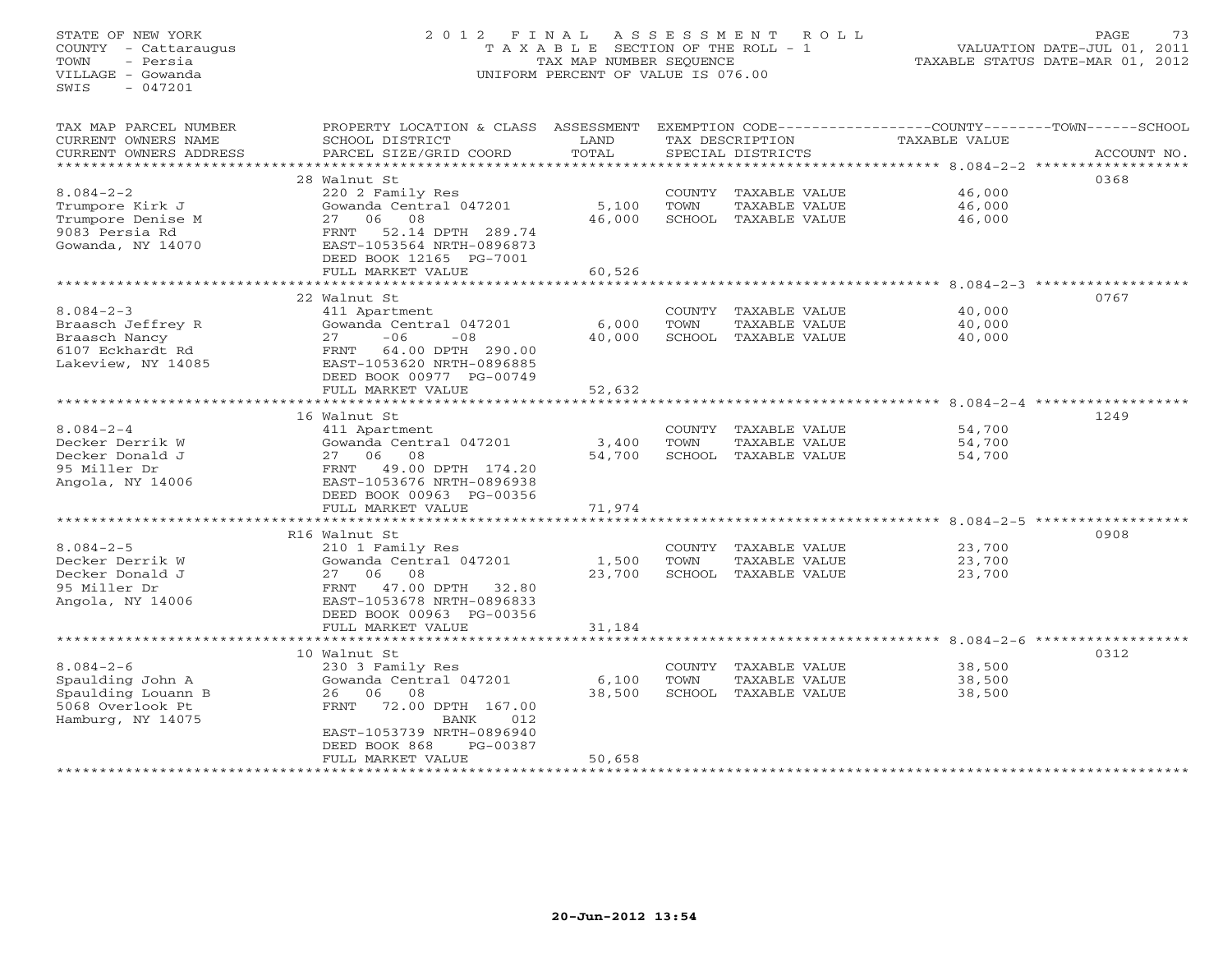#### STATE OF NEW YORK 2 0 1 2 F I N A L A S S E S S M E N T R O L L PAGE 73COUNTY - Cattaraugus T A X A B L E SECTION OF THE ROLL - 1 VALUATION DATE-JUL 01, 2011 TOWN - Persia TAX MAP NUMBER SEQUENCE TAXABLE STATUS DATE-MAR 01, 2012 VILLAGE - Gowanda UNIFORM PERCENT OF VALUE IS 076.00

VALUATION DATE-JUL 01, 2011

| TAX MAP PARCEL NUMBER  | PROPERTY LOCATION & CLASS ASSESSMENT          |        |        |                      | EXEMPTION CODE-----------------COUNTY-------TOWN------SCHOOL |             |
|------------------------|-----------------------------------------------|--------|--------|----------------------|--------------------------------------------------------------|-------------|
| CURRENT OWNERS NAME    | SCHOOL DISTRICT                               | LAND   |        | TAX DESCRIPTION      | TAXABLE VALUE                                                |             |
| CURRENT OWNERS ADDRESS | PARCEL SIZE/GRID COORD                        | TOTAL  |        | SPECIAL DISTRICTS    |                                                              | ACCOUNT NO. |
| ********************** |                                               |        |        |                      |                                                              |             |
|                        | 28 Walnut St                                  |        |        |                      |                                                              | 0368        |
| $8.084 - 2 - 2$        | 220 2 Family Res                              |        |        | COUNTY TAXABLE VALUE | 46,000                                                       |             |
| Trumpore Kirk J        | Gowanda Central 047201                        | 5,100  | TOWN   | TAXABLE VALUE        | 46,000                                                       |             |
| Trumpore Denise M      | 27<br>06<br>08                                | 46,000 |        | SCHOOL TAXABLE VALUE | 46,000                                                       |             |
| 9083 Persia Rd         | 52.14 DPTH 289.74<br>FRNT                     |        |        |                      |                                                              |             |
| Gowanda, NY 14070      | EAST-1053564 NRTH-0896873                     |        |        |                      |                                                              |             |
|                        | DEED BOOK 12165 PG-7001                       |        |        |                      |                                                              |             |
|                        | FULL MARKET VALUE                             | 60,526 |        |                      |                                                              |             |
|                        |                                               |        |        |                      |                                                              |             |
|                        | 22 Walnut St                                  |        |        |                      |                                                              | 0767        |
| $8.084 - 2 - 3$        | 411 Apartment                                 |        |        | COUNTY TAXABLE VALUE | 40,000                                                       |             |
| Braasch Jeffrey R      | Gowanda Central 047201                        | 6,000  | TOWN   | TAXABLE VALUE        | 40,000                                                       |             |
| Braasch Nancy          | $-06$<br>27<br>$-08$                          | 40,000 |        | SCHOOL TAXABLE VALUE | 40,000                                                       |             |
| 6107 Eckhardt Rd       | 64.00 DPTH 290.00<br>FRNT                     |        |        |                      |                                                              |             |
| Lakeview, NY 14085     | EAST-1053620 NRTH-0896885                     |        |        |                      |                                                              |             |
|                        | DEED BOOK 00977 PG-00749                      |        |        |                      |                                                              |             |
|                        | FULL MARKET VALUE                             | 52,632 |        |                      |                                                              |             |
|                        |                                               |        |        |                      |                                                              |             |
|                        | 16 Walnut St                                  |        |        |                      |                                                              | 1249        |
| $8.084 - 2 - 4$        | 411 Apartment                                 |        | COUNTY | TAXABLE VALUE        | 54,700                                                       |             |
| Decker Derrik W        | Gowanda Central 047201                        | 3,400  | TOWN   | TAXABLE VALUE        | 54,700                                                       |             |
| Decker Donald J        | 08<br>27 06                                   | 54,700 |        | SCHOOL TAXABLE VALUE | 54,700                                                       |             |
| 95 Miller Dr           | 49.00 DPTH 174.20<br>FRNT                     |        |        |                      |                                                              |             |
| Angola, NY 14006       | EAST-1053676 NRTH-0896938                     |        |        |                      |                                                              |             |
|                        | DEED BOOK 00963 PG-00356<br>FULL MARKET VALUE | 71,974 |        |                      |                                                              |             |
|                        |                                               |        |        |                      |                                                              |             |
|                        | R16 Walnut St                                 |        |        |                      |                                                              | 0908        |
| $8.084 - 2 - 5$        | 210 1 Family Res                              |        |        | COUNTY TAXABLE VALUE | 23,700                                                       |             |
| Decker Derrik W        | Gowanda Central 047201                        | 1,500  | TOWN   | TAXABLE VALUE        | 23,700                                                       |             |
| Decker Donald J        | 27 06 08                                      | 23,700 |        | SCHOOL TAXABLE VALUE | 23,700                                                       |             |
| 95 Miller Dr           | 47.00 DPTH<br>FRNT<br>32.80                   |        |        |                      |                                                              |             |
| Angola, NY 14006       | EAST-1053678 NRTH-0896833                     |        |        |                      |                                                              |             |
|                        | DEED BOOK 00963 PG-00356                      |        |        |                      |                                                              |             |
|                        | FULL MARKET VALUE                             | 31,184 |        |                      |                                                              |             |
|                        |                                               |        |        |                      |                                                              |             |
|                        | 10 Walnut St                                  |        |        |                      |                                                              | 0312        |
| $8.084 - 2 - 6$        | 230 3 Family Res                              |        | COUNTY | TAXABLE VALUE        | 38,500                                                       |             |
| Spaulding John A       | Gowanda Central 047201                        | 6,100  | TOWN   | TAXABLE VALUE        | 38,500                                                       |             |
| Spaulding Louann B     | 08<br>26<br>06                                | 38,500 |        | SCHOOL TAXABLE VALUE | 38,500                                                       |             |
| 5068 Overlook Pt       | FRNT<br>72.00 DPTH 167.00                     |        |        |                      |                                                              |             |
| Hamburg, NY 14075      | <b>BANK</b><br>012.                           |        |        |                      |                                                              |             |
|                        | EAST-1053739 NRTH-0896940                     |        |        |                      |                                                              |             |
|                        | DEED BOOK 868<br>PG-00387                     |        |        |                      |                                                              |             |
|                        | FULL MARKET VALUE                             | 50,658 |        |                      |                                                              |             |
|                        |                                               |        |        |                      |                                                              |             |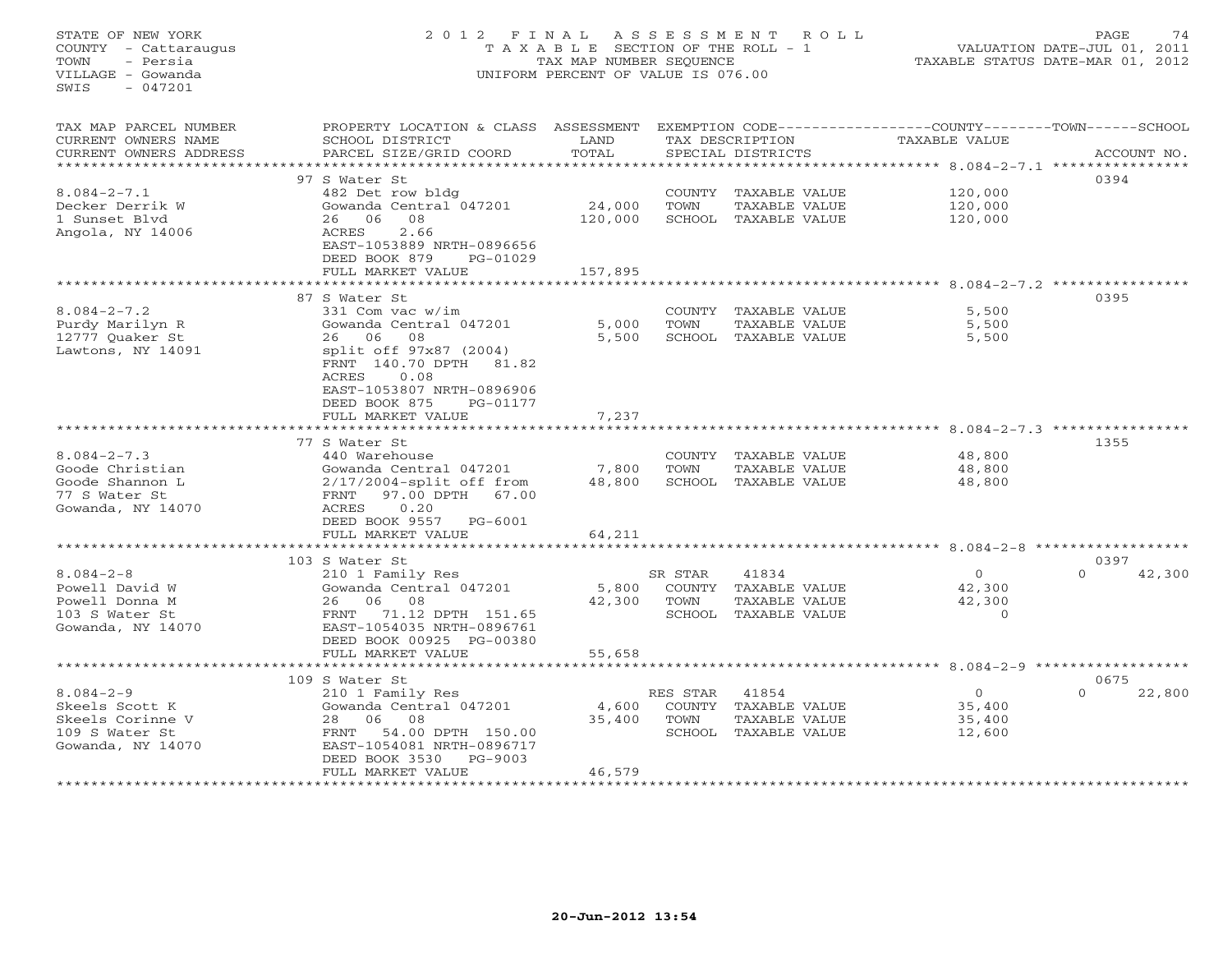| STATE OF NEW YORK<br>COUNTY - Cattaraugus<br>TOWN<br>- Persia<br>VILLAGE - Gowanda<br>SWIS<br>$-047201$ | 2012 FINAL<br>UNIFORM PERCENT OF VALUE IS 076.00                                                                                                    | ASSESSMENT<br>ROLL<br>T A X A B L E SECTION OF THE ROLL - 1<br>TAX MAP NUMBER SEQUENCE |                       | PAGE<br>74<br>VALUATION DATE-JUL 01, 2011<br>TAXABLE STATUS DATE-MAR 01, 2012 |                                                                               |                    |
|---------------------------------------------------------------------------------------------------------|-----------------------------------------------------------------------------------------------------------------------------------------------------|----------------------------------------------------------------------------------------|-----------------------|-------------------------------------------------------------------------------|-------------------------------------------------------------------------------|--------------------|
| TAX MAP PARCEL NUMBER<br>CURRENT OWNERS NAME<br>CURRENT OWNERS ADDRESS                                  | PROPERTY LOCATION & CLASS ASSESSMENT<br>SCHOOL DISTRICT<br>PARCEL SIZE/GRID COORD                                                                   | LAND<br>TOTAL                                                                          |                       | TAX DESCRIPTION<br>SPECIAL DISTRICTS                                          | EXEMPTION CODE-----------------COUNTY-------TOWN------SCHOOL<br>TAXABLE VALUE | ACCOUNT NO.        |
| **********************                                                                                  | 97 S Water St                                                                                                                                       |                                                                                        |                       |                                                                               |                                                                               | 0394               |
| $8.084 - 2 - 7.1$                                                                                       | 482 Det row bldg                                                                                                                                    |                                                                                        | <b>COUNTY</b>         | TAXABLE VALUE                                                                 | 120,000                                                                       |                    |
| Decker Derrik W                                                                                         | Gowanda Central 047201                                                                                                                              | 24,000                                                                                 | TOWN                  | TAXABLE VALUE                                                                 | 120,000                                                                       |                    |
| 1 Sunset Blyd                                                                                           | 06<br>08<br>26                                                                                                                                      | 120,000                                                                                |                       | SCHOOL TAXABLE VALUE                                                          | 120,000                                                                       |                    |
| Angola, NY 14006                                                                                        | 2.66<br>ACRES<br>EAST-1053889 NRTH-0896656<br>DEED BOOK 879<br>PG-01029                                                                             |                                                                                        |                       |                                                                               |                                                                               |                    |
|                                                                                                         | FULL MARKET VALUE<br>*******************                                                                                                            | 157,895                                                                                |                       |                                                                               | ******************************** 8.084-2-7.2 **********                       |                    |
|                                                                                                         | 87 S Water St                                                                                                                                       |                                                                                        |                       |                                                                               |                                                                               | 0395               |
| $8.084 - 2 - 7.2$                                                                                       | 331 Com vac w/im                                                                                                                                    |                                                                                        | COUNTY                | TAXABLE VALUE                                                                 | 5,500                                                                         |                    |
| Purdy Marilyn R                                                                                         | Gowanda Central 047201                                                                                                                              | 5,000                                                                                  | TOWN                  | TAXABLE VALUE                                                                 | 5,500                                                                         |                    |
| 12777 Quaker St                                                                                         | 06<br>08<br>26                                                                                                                                      | 5,500                                                                                  |                       | SCHOOL TAXABLE VALUE                                                          | 5,500                                                                         |                    |
| Lawtons, NY 14091                                                                                       | split off 97x87 (2004)<br>FRNT 140.70 DPTH<br>81.82<br>ACRES<br>0.08<br>EAST-1053807 NRTH-0896906<br>DEED BOOK 875<br>PG-01177<br>FULL MARKET VALUE | 7,237                                                                                  |                       |                                                                               |                                                                               |                    |
|                                                                                                         |                                                                                                                                                     |                                                                                        |                       |                                                                               | ********* 8.084-2-7.3 *********                                               |                    |
|                                                                                                         | 77 S Water St                                                                                                                                       |                                                                                        |                       |                                                                               |                                                                               | 1355               |
| $8.084 - 2 - 7.3$                                                                                       | 440 Warehouse                                                                                                                                       |                                                                                        | <b>COUNTY</b>         | TAXABLE VALUE                                                                 | 48,800                                                                        |                    |
| Goode Christian                                                                                         | Gowanda Central 047201                                                                                                                              | 7,800                                                                                  | TOWN                  | TAXABLE VALUE                                                                 | 48,800                                                                        |                    |
| Goode Shannon L                                                                                         | $2/17/2004$ -split off from                                                                                                                         | 48,800                                                                                 |                       | SCHOOL TAXABLE VALUE                                                          | 48,800                                                                        |                    |
| 77 S Water St<br>Gowanda, NY 14070                                                                      | FRNT<br>97.00 DPTH<br>67.00<br>ACRES<br>0.20                                                                                                        |                                                                                        |                       |                                                                               |                                                                               |                    |
|                                                                                                         | DEED BOOK 9557<br>PG-6001                                                                                                                           |                                                                                        |                       |                                                                               |                                                                               |                    |
|                                                                                                         | FULL MARKET VALUE                                                                                                                                   | 64,211                                                                                 |                       |                                                                               |                                                                               |                    |
|                                                                                                         | .                                                                                                                                                   |                                                                                        |                       |                                                                               | *************** 8.084-2-8                                                     | ************       |
|                                                                                                         | 103 S Water St                                                                                                                                      |                                                                                        |                       |                                                                               |                                                                               | 0397               |
| $8.084 - 2 - 8$                                                                                         | 210 1 Family Res                                                                                                                                    |                                                                                        | SR STAR               | 41834                                                                         | $\mathbf{0}$                                                                  | $\Omega$<br>42,300 |
| Powell David W<br>Powell Donna M                                                                        | Gowanda Central 047201<br>26<br>06<br>08                                                                                                            | 5,800<br>42,300                                                                        | <b>COUNTY</b><br>TOWN | TAXABLE VALUE<br>TAXABLE VALUE                                                | 42,300<br>42,300                                                              |                    |
| 103 S Water St                                                                                          | 71.12 DPTH 151.65<br>FRNT                                                                                                                           |                                                                                        | SCHOOL                | TAXABLE VALUE                                                                 | $\Omega$                                                                      |                    |
| Gowanda, NY 14070                                                                                       | EAST-1054035 NRTH-0896761                                                                                                                           |                                                                                        |                       |                                                                               |                                                                               |                    |
|                                                                                                         | DEED BOOK 00925 PG-00380                                                                                                                            |                                                                                        |                       |                                                                               |                                                                               |                    |
|                                                                                                         | FULL MARKET VALUE                                                                                                                                   | 55,658                                                                                 |                       |                                                                               |                                                                               |                    |
|                                                                                                         | ***********************                                                                                                                             | ************                                                                           |                       |                                                                               | ************************************ 8.084-2-9 ******************             |                    |
|                                                                                                         | 109 S Water St                                                                                                                                      |                                                                                        |                       |                                                                               |                                                                               | 0675               |
| $8.084 - 2 - 9$<br>Skeels Scott K                                                                       | 210 1 Family Res<br>Gowanda Central 047201                                                                                                          | 4,600                                                                                  | RES STAR<br>COUNTY    | 41854<br>TAXABLE VALUE                                                        | $\circ$<br>35,400                                                             | 22,800             |
| Skeels Corinne V                                                                                        | 06<br>08<br>28                                                                                                                                      | 35,400                                                                                 | TOWN                  | TAXABLE VALUE                                                                 | 35,400                                                                        |                    |
| 109 S Water St                                                                                          | FRNT<br>54.00 DPTH 150.00                                                                                                                           |                                                                                        |                       | SCHOOL TAXABLE VALUE                                                          | 12,600                                                                        |                    |
| Gowanda, NY 14070                                                                                       | EAST-1054081 NRTH-0896717                                                                                                                           |                                                                                        |                       |                                                                               |                                                                               |                    |
|                                                                                                         | DEED BOOK 3530<br>PG-9003                                                                                                                           |                                                                                        |                       |                                                                               |                                                                               |                    |
|                                                                                                         | FULL MARKET VALUE<br>* * * * * * * * * * * * * * * * * * *                                                                                          | 46,579<br>* * * * * * * * * *                                                          |                       |                                                                               |                                                                               |                    |
|                                                                                                         |                                                                                                                                                     |                                                                                        |                       |                                                                               |                                                                               |                    |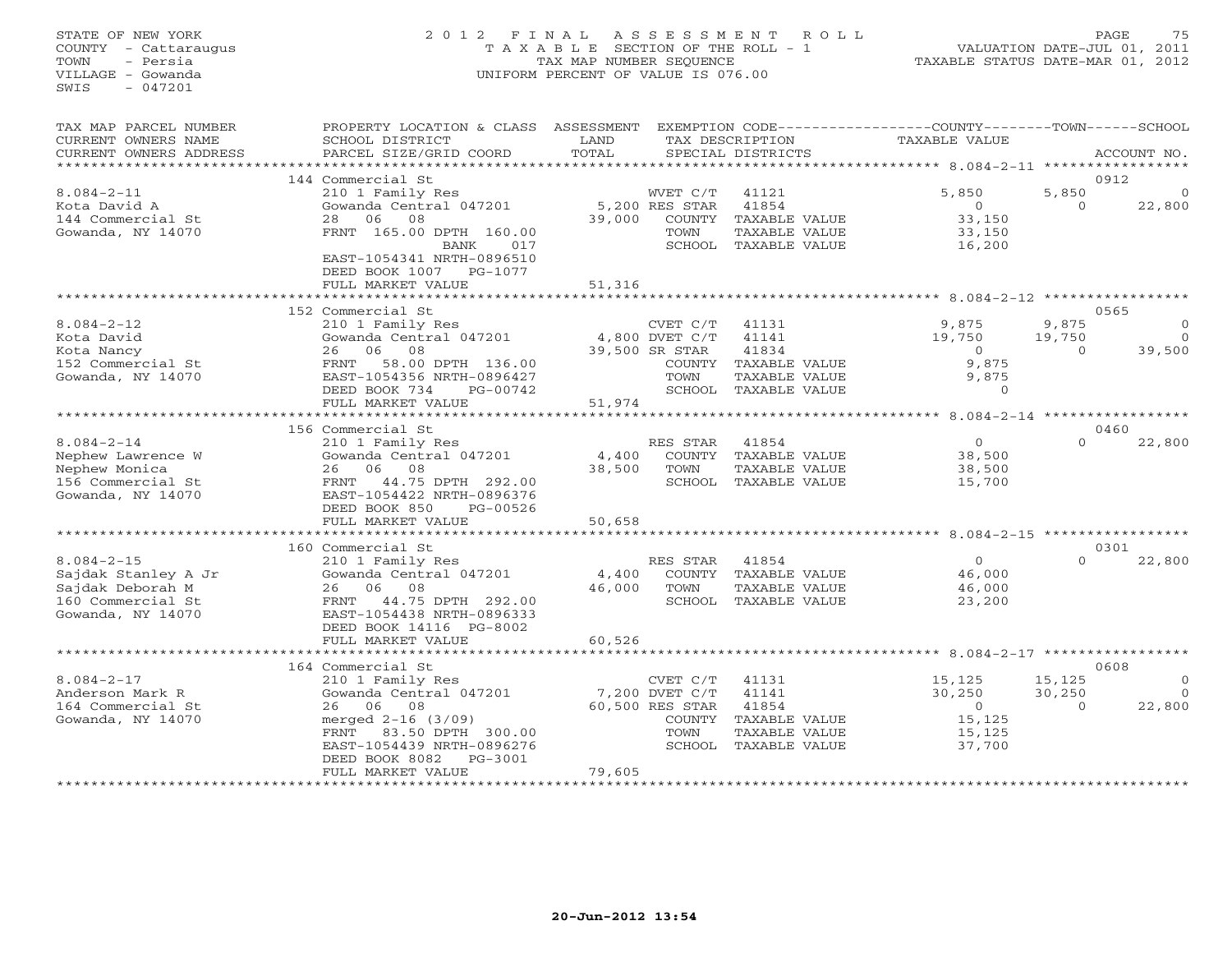# STATE OF NEW YORK 2 0 1 2 F I N A L A S S E S S M E N T R O L L PAGE 75 COUNTY - Cattaraugus T A X A B L E SECTION OF THE ROLL - 1 VALUATION DATE-JUL 01, 2011 TOWN - Persia TAX MAP NUMBER SEQUENCE TAXABLE STATUS DATE-MAR 01, 2012 VILLAGE - Gowanda UNIFORM PERCENT OF VALUE IS 076.00

| TAX MAP PARCEL NUMBER<br>CURRENT OWNERS NAME | PROPERTY LOCATION & CLASS<br>SCHOOL DISTRICT           | ASSESSMENT<br>LAND |                          | TAX DESCRIPTION   | EXEMPTION CODE-----------------COUNTY-------TOWN------SCHOOL<br>TAXABLE VALUE |                   |             |
|----------------------------------------------|--------------------------------------------------------|--------------------|--------------------------|-------------------|-------------------------------------------------------------------------------|-------------------|-------------|
| CURRENT OWNERS ADDRESS                       | PARCEL SIZE/GRID COORD                                 | TOTAL              |                          | SPECIAL DISTRICTS |                                                                               |                   | ACCOUNT NO. |
|                                              |                                                        |                    |                          |                   |                                                                               |                   |             |
|                                              | 144 Commercial St                                      |                    |                          |                   |                                                                               |                   | 0912        |
| $8.084 - 2 - 11$                             | 210 1 Family Res                                       |                    | WVET C/T                 | 41121<br>41854    | 5,850<br>$\Omega$                                                             | 5,850<br>$\Omega$ |             |
| Kota David A<br>144 Commercial St            | Gowanda Central 047201<br>06<br>08<br>2.8              | 39,000             | 5,200 RES STAR<br>COUNTY | TAXABLE VALUE     | 33,150                                                                        |                   | 22,800      |
| Gowanda, NY 14070                            | FRNT 165.00 DPTH 160.00                                |                    | TOWN                     | TAXABLE VALUE     | 33,150                                                                        |                   |             |
|                                              | <b>BANK</b><br>017                                     |                    | SCHOOL                   | TAXABLE VALUE     | 16,200                                                                        |                   |             |
|                                              | EAST-1054341 NRTH-0896510<br>DEED BOOK 1007<br>PG-1077 |                    |                          |                   |                                                                               |                   |             |
|                                              | FULL MARKET VALUE                                      | 51,316             |                          |                   |                                                                               |                   |             |
|                                              |                                                        |                    |                          |                   |                                                                               |                   |             |
|                                              | 152 Commercial St                                      |                    |                          |                   |                                                                               |                   | 0565        |
| $8.084 - 2 - 12$                             | 210 1 Family Res                                       |                    | CVET C/T                 | 41131             | 9,875                                                                         | 9,875             | $\Omega$    |
| Kota David                                   | Gowanda Central 047201                                 |                    | 4,800 DVET C/T           | 41141             | 19,750                                                                        | 19,750            | $\Omega$    |
| Kota Nancy                                   | 08<br>06<br>26                                         |                    | 39,500 SR STAR           | 41834             | $\circ$                                                                       | $\Omega$          | 39,500      |
| 152 Commercial St                            | 58.00 DPTH 136.00<br>FRNT                              |                    | COUNTY                   | TAXABLE VALUE     | 9,875                                                                         |                   |             |
| Gowanda, NY 14070                            | EAST-1054356 NRTH-0896427                              |                    | TOWN                     | TAXABLE VALUE     | 9,875                                                                         |                   |             |
|                                              | DEED BOOK 734<br>PG-00742                              |                    | SCHOOL                   | TAXABLE VALUE     | $\circ$                                                                       |                   |             |
|                                              | FULL MARKET VALUE                                      | 51,974             |                          |                   |                                                                               |                   |             |
|                                              |                                                        |                    |                          |                   | $8.084 - 2 - 14$ *****                                                        |                   |             |
|                                              | 156 Commercial St                                      |                    |                          |                   |                                                                               |                   | 0460        |
| $8.084 - 2 - 14$                             | 210 1 Family Res                                       |                    | RES STAR                 | 41854             | $\overline{0}$                                                                | $\Omega$          | 22,800      |
| Nephew Lawrence W                            | Gowanda Central 047201                                 | 4,400              | COUNTY                   | TAXABLE VALUE     | 38,500                                                                        |                   |             |
| Nephew Monica                                | 26<br>06<br>08                                         | 38,500             | TOWN                     | TAXABLE VALUE     | 38,500                                                                        |                   |             |
| 156 Commercial St                            | 44.75 DPTH 292.00<br>FRNT                              |                    | SCHOOL                   | TAXABLE VALUE     | 15,700                                                                        |                   |             |
| Gowanda, NY 14070                            | EAST-1054422 NRTH-0896376<br>DEED BOOK 850<br>PG-00526 |                    |                          |                   |                                                                               |                   |             |
|                                              | FULL MARKET VALUE                                      | 50,658             |                          |                   |                                                                               |                   |             |
|                                              | ******************                                     | $*********$        |                          |                   | ********** 8.084-2-15 *************                                           |                   |             |
|                                              | 160 Commercial St                                      |                    |                          |                   |                                                                               |                   | 0301        |
| $8.084 - 2 - 15$                             | 210 1 Family Res                                       |                    | RES STAR                 | 41854             | $\circ$                                                                       | $\Omega$          | 22,800      |
| Sajdak Stanley A Jr                          | Gowanda Central 047201                                 | 4,400              | <b>COUNTY</b>            | TAXABLE VALUE     | 46,000                                                                        |                   |             |
| Sajdak Deborah M                             | 26<br>06<br>08                                         | 46,000             | TOWN                     | TAXABLE VALUE     | 46,000                                                                        |                   |             |
| 160 Commercial St                            | 44.75 DPTH 292.00<br>FRNT                              |                    | SCHOOL                   | TAXABLE VALUE     | 23,200                                                                        |                   |             |
| Gowanda, NY 14070                            | EAST-1054438 NRTH-0896333                              |                    |                          |                   |                                                                               |                   |             |
|                                              | DEED BOOK 14116 PG-8002                                |                    |                          |                   |                                                                               |                   |             |
|                                              | FULL MARKET VALUE                                      | 60,526             |                          |                   |                                                                               |                   |             |
|                                              | ***************                                        |                    |                          |                   | $******$ 8.084-2-17                                                           |                   |             |
|                                              | 164 Commercial St                                      |                    |                          |                   |                                                                               |                   | 0608        |
| $8.084 - 2 - 17$                             | 210 1 Family Res                                       |                    | CVET C/T                 | 41131             | 15,125                                                                        | 15,125            |             |
| Anderson Mark R                              | Gowanda Central 047201                                 |                    | 7,200 DVET C/T           | 41141             | 30,250                                                                        | 30,250            | $\Omega$    |
| 164 Commercial St                            | 06<br>08<br>26                                         |                    | 60,500 RES STAR          | 41854             | $\overline{0}$                                                                | $\cap$            | 22,800      |
| Gowanda, NY 14070                            | merged 2-16 (3/09)                                     |                    | <b>COUNTY</b>            | TAXABLE VALUE     | 15,125                                                                        |                   |             |
|                                              | 83.50 DPTH 300.00<br>FRNT                              |                    | TOWN                     | TAXABLE VALUE     | 15,125                                                                        |                   |             |
|                                              | EAST-1054439 NRTH-0896276                              |                    | SCHOOL                   | TAXABLE VALUE     | 37,700                                                                        |                   |             |
|                                              | DEED BOOK 8082<br>PG-3001                              |                    |                          |                   |                                                                               |                   |             |
|                                              | FULL MARKET VALUE                                      | 79,605             |                          |                   |                                                                               |                   |             |
|                                              | ****************************                           | *****************  |                          |                   |                                                                               |                   |             |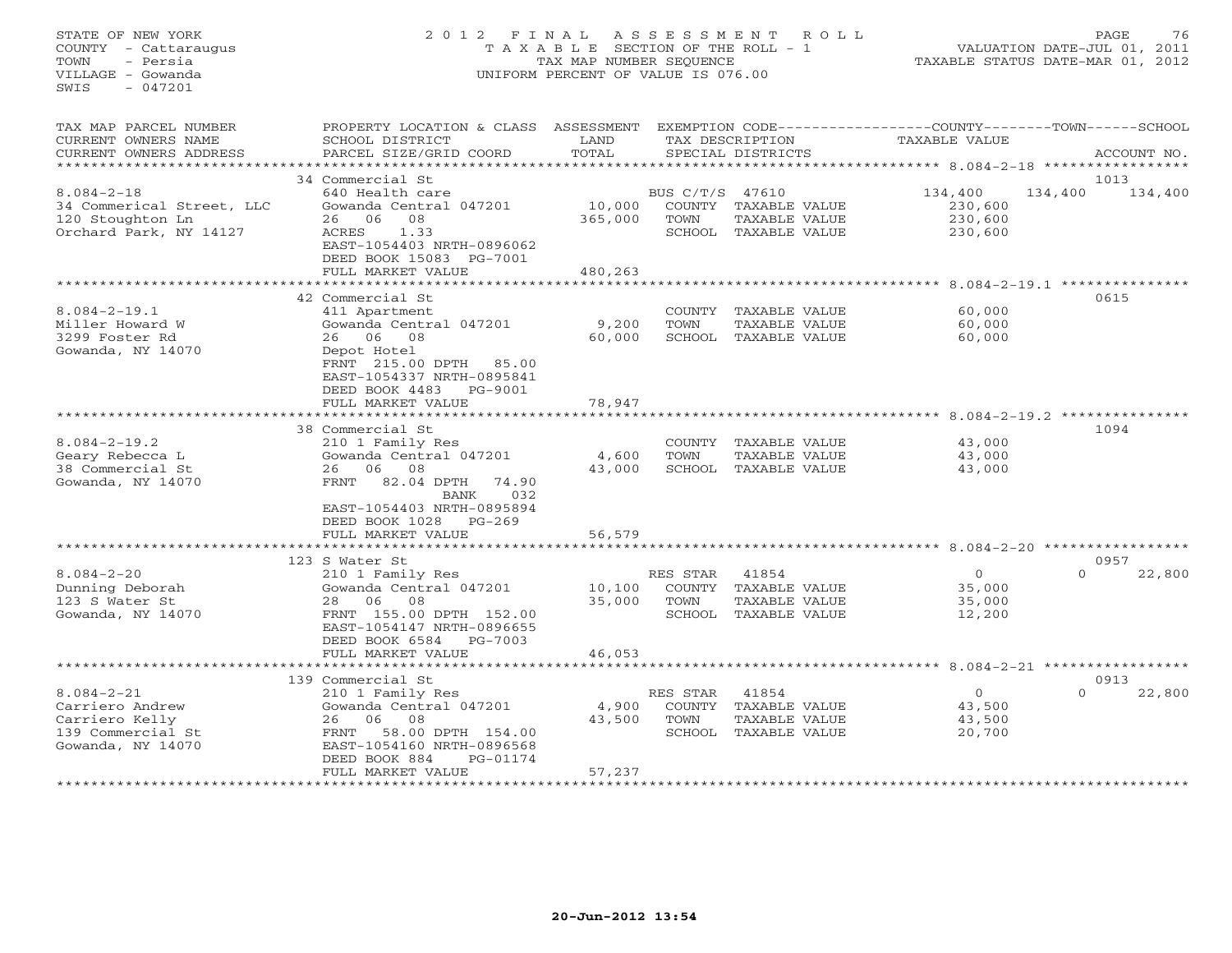# STATE OF NEW YORK 2 0 1 2 F I N A L A S S E S S M E N T R O L L PAGE 76 COUNTY - Cattaraugus T A X A B L E SECTION OF THE ROLL - 1 VALUATION DATE-JUL 01, 2011 TOWN - Persia TAX MAP NUMBER SEQUENCE TAXABLE STATUS DATE-MAR 01, 2012 VILLAGE - Gowanda UNIFORM PERCENT OF VALUE IS 076.00

| TAX MAP PARCEL NUMBER     | PROPERTY LOCATION & CLASS   | ASSESSMENT                      |                 |                      |                                      |          |             |
|---------------------------|-----------------------------|---------------------------------|-----------------|----------------------|--------------------------------------|----------|-------------|
| CURRENT OWNERS NAME       | SCHOOL DISTRICT             | LAND                            |                 | TAX DESCRIPTION      | TAXABLE VALUE                        |          |             |
| CURRENT OWNERS ADDRESS    | PARCEL SIZE/GRID COORD      | TOTAL                           |                 | SPECIAL DISTRICTS    |                                      |          | ACCOUNT NO. |
|                           |                             | * * * * * * * * * * * * * * * * |                 |                      | **************** 8.084-2-18 ******** |          |             |
|                           |                             |                                 |                 |                      |                                      |          |             |
|                           | 34 Commercial St            |                                 |                 |                      |                                      | 1013     |             |
| $8.084 - 2 - 18$          | 640 Health care             |                                 | BUS C/T/S 47610 |                      | 134,400                              | 134,400  | 134,400     |
| 34 Commerical Street, LLC | Gowanda Central 047201      | 10,000                          |                 | COUNTY TAXABLE VALUE | 230,600                              |          |             |
| 120 Stoughton Ln          | 08<br>26 06                 | 365,000                         | TOWN            | TAXABLE VALUE        | 230,600                              |          |             |
| Orchard Park, NY 14127    | ACRES<br>1.33               |                                 |                 | SCHOOL TAXABLE VALUE | 230,600                              |          |             |
|                           | EAST-1054403 NRTH-0896062   |                                 |                 |                      |                                      |          |             |
|                           | DEED BOOK 15083 PG-7001     |                                 |                 |                      |                                      |          |             |
|                           |                             |                                 |                 |                      |                                      |          |             |
|                           | FULL MARKET VALUE           | 480,263                         |                 |                      |                                      |          |             |
|                           |                             |                                 |                 |                      |                                      |          |             |
|                           | 42 Commercial St            |                                 |                 |                      |                                      | 0615     |             |
| $8.084 - 2 - 19.1$        | 411 Apartment               |                                 |                 | COUNTY TAXABLE VALUE | 60,000                               |          |             |
| Miller Howard W           | Gowanda Central 047201      | 9,200                           | TOWN            | TAXABLE VALUE        | 60,000                               |          |             |
| 3299 Foster Rd            | 26 06 08                    | 60,000                          |                 | SCHOOL TAXABLE VALUE | 60,000                               |          |             |
|                           |                             |                                 |                 |                      |                                      |          |             |
| Gowanda, NY 14070         | Depot Hotel                 |                                 |                 |                      |                                      |          |             |
|                           | FRNT 215.00 DPTH 85.00      |                                 |                 |                      |                                      |          |             |
|                           | EAST-1054337 NRTH-0895841   |                                 |                 |                      |                                      |          |             |
|                           | DEED BOOK 4483<br>PG-9001   |                                 |                 |                      |                                      |          |             |
|                           | FULL MARKET VALUE           | 78,947                          |                 |                      |                                      |          |             |
|                           | **********************      |                                 |                 |                      |                                      |          |             |
|                           |                             |                                 |                 |                      |                                      | 1094     |             |
|                           | 38 Commercial St            |                                 |                 |                      |                                      |          |             |
| $8.084 - 2 - 19.2$        | 210 1 Family Res            |                                 | COUNTY          | TAXABLE VALUE        | 43,000                               |          |             |
| Geary Rebecca L           | Gowanda Central 047201      | 4,600                           | TOWN            | TAXABLE VALUE        | 43,000                               |          |             |
| 38 Commercial St          | 26 06<br>08                 | 43,000                          | SCHOOL          | TAXABLE VALUE        | 43,000                               |          |             |
| Gowanda, NY 14070         | FRNT<br>82.04 DPTH<br>74.90 |                                 |                 |                      |                                      |          |             |
|                           | 032<br>BANK                 |                                 |                 |                      |                                      |          |             |
|                           | EAST-1054403 NRTH-0895894   |                                 |                 |                      |                                      |          |             |
|                           |                             |                                 |                 |                      |                                      |          |             |
|                           | DEED BOOK 1028 PG-269       |                                 |                 |                      |                                      |          |             |
|                           | FULL MARKET VALUE           | 56,579                          |                 |                      |                                      |          |             |
|                           |                             |                                 |                 |                      |                                      |          |             |
|                           | 123 S Water St              |                                 |                 |                      |                                      | 0957     |             |
| $8.084 - 2 - 20$          | 210 1 Family Res            |                                 | RES STAR        | 41854                | $\circ$                              | $\Omega$ | 22,800      |
| Dunning Deborah           | Gowanda Central 047201      | 10,100                          |                 | COUNTY TAXABLE VALUE | 35,000                               |          |             |
|                           |                             |                                 |                 |                      |                                      |          |             |
| 123 S Water St            | 28 06 08                    | 35,000                          | TOWN            | TAXABLE VALUE        | 35,000                               |          |             |
| Gowanda, NY 14070         | FRNT 155.00 DPTH 152.00     |                                 |                 | SCHOOL TAXABLE VALUE | 12,200                               |          |             |
|                           | EAST-1054147 NRTH-0896655   |                                 |                 |                      |                                      |          |             |
|                           | DEED BOOK 6584<br>PG-7003   |                                 |                 |                      |                                      |          |             |
|                           | FULL MARKET VALUE           | 46,053                          |                 |                      |                                      |          |             |
|                           |                             |                                 |                 |                      |                                      |          |             |
|                           |                             |                                 |                 |                      |                                      | 0913     |             |
|                           | 139 Commercial St           |                                 |                 |                      |                                      |          |             |
| $8.084 - 2 - 21$          | 210 1 Family Res            |                                 | RES STAR        | 41854                | $\circ$                              | $\Omega$ | 22,800      |
| Carriero Andrew           | Gowanda Central 047201      | 4,900                           | COUNTY          | TAXABLE VALUE        | 43,500                               |          |             |
| Carriero Kelly            | 08<br>26<br>06              | 43,500                          | TOWN            | TAXABLE VALUE        | 43,500                               |          |             |
| 139 Commercial St         | 58.00 DPTH 154.00<br>FRNT   |                                 |                 | SCHOOL TAXABLE VALUE | 20,700                               |          |             |
| Gowanda, NY 14070         | EAST-1054160 NRTH-0896568   |                                 |                 |                      |                                      |          |             |
|                           | DEED BOOK 884<br>PG-01174   |                                 |                 |                      |                                      |          |             |
|                           |                             |                                 |                 |                      |                                      |          |             |
|                           | FULL MARKET VALUE           | 57,237                          |                 |                      |                                      |          |             |
|                           |                             |                                 |                 |                      |                                      |          |             |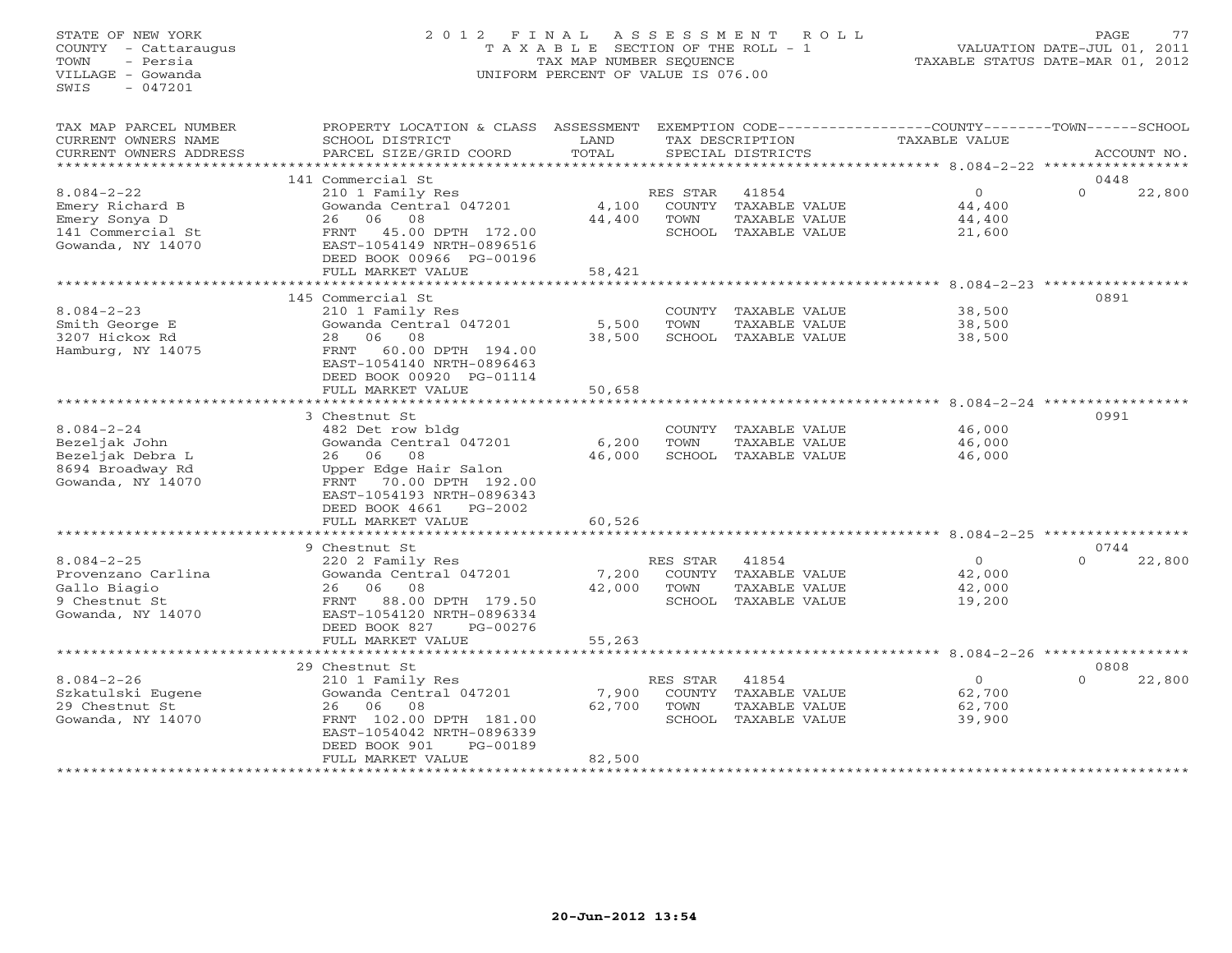# STATE OF NEW YORK 2 0 1 2 F I N A L A S S E S S M E N T R O L L PAGE 77 COUNTY - Cattaraugus T A X A B L E SECTION OF THE ROLL - 1 VALUATION DATE-JUL 01, 2011 TOWN - Persia TAX MAP NUMBER SEQUENCE TAXABLE STATUS DATE-MAR 01, 2012 VILLAGE - Gowanda UNIFORM PERCENT OF VALUE IS 076.00

| TAX MAP PARCEL NUMBER<br>CURRENT OWNERS NAME<br>CURRENT OWNERS ADDRESS                         | PROPERTY LOCATION & CLASS<br>SCHOOL DISTRICT<br>PARCEL SIZE/GRID COORD                                                                                                                                            | ASSESSMENT<br>LAND<br>TOTAL |                                             | TAX DESCRIPTION<br>SPECIAL DISTRICTS                            | EXEMPTION CODE-----------------COUNTY-------TOWN------SCHOOL<br>TAXABLE VALUE | ACCOUNT NO.                |
|------------------------------------------------------------------------------------------------|-------------------------------------------------------------------------------------------------------------------------------------------------------------------------------------------------------------------|-----------------------------|---------------------------------------------|-----------------------------------------------------------------|-------------------------------------------------------------------------------|----------------------------|
|                                                                                                |                                                                                                                                                                                                                   |                             |                                             |                                                                 |                                                                               |                            |
| $8.084 - 2 - 22$<br>Emery Richard B<br>Emery Sonya D<br>141 Commercial St<br>Gowanda, NY 14070 | 141 Commercial St<br>210 1 Family Res<br>Gowanda Central 047201<br>06<br>08<br>26<br>45.00 DPTH 172.00<br><b>FRNT</b><br>EAST-1054149 NRTH-0896516<br>DEED BOOK 00966 PG-00196                                    | 4,100<br>44,400             | RES STAR<br>COUNTY<br>TOWN                  | 41854<br>TAXABLE VALUE<br>TAXABLE VALUE<br>SCHOOL TAXABLE VALUE | $\Omega$<br>44,400<br>44,400<br>21,600                                        | 0448<br>$\Omega$<br>22,800 |
|                                                                                                | FULL MARKET VALUE                                                                                                                                                                                                 | 58,421                      |                                             |                                                                 |                                                                               |                            |
| $8.084 - 2 - 23$<br>Smith George E<br>3207 Hickox Rd<br>Hamburg, NY 14075                      | .<br>145 Commercial St<br>210 1 Family Res<br>Gowanda Central 047201<br>06<br>08<br>28<br>60.00 DPTH 194.00<br>FRNT<br>EAST-1054140 NRTH-0896463                                                                  | *******<br>5,500<br>38,500  | COUNTY<br>TOWN<br>SCHOOL                    | TAXABLE VALUE<br>TAXABLE VALUE<br>TAXABLE VALUE                 | $8.084 - 2 - 23$<br>38,500<br>38,500<br>38,500                                | 0891                       |
|                                                                                                | DEED BOOK 00920 PG-01114                                                                                                                                                                                          |                             |                                             |                                                                 |                                                                               |                            |
|                                                                                                | FULL MARKET VALUE                                                                                                                                                                                                 | 50,658                      |                                             |                                                                 |                                                                               |                            |
| $8.084 - 2 - 24$<br>Bezeljak John<br>Bezeljak Debra L<br>8694 Broadway Rd<br>Gowanda, NY 14070 | 3 Chestnut St<br>482 Det row bldg<br>Gowanda Central 047201<br>08<br>26 06<br>Upper Edge Hair Salon<br>FRNT<br>70.00 DPTH 192.00<br>EAST-1054193 NRTH-0896343<br>DEED BOOK 4661<br>$PG-2002$<br>FULL MARKET VALUE | 6,200<br>46,000<br>60,526   | COUNTY<br>TOWN<br>SCHOOL                    | TAXABLE VALUE<br>TAXABLE VALUE<br>TAXABLE VALUE                 | 46,000<br>46,000<br>46,000                                                    | 0991                       |
|                                                                                                | *********<br>9 Chestnut St                                                                                                                                                                                        |                             |                                             |                                                                 | ********* 8.084-2-25 **********                                               | 0744                       |
| $8.084 - 2 - 25$<br>Provenzano Carlina<br>Gallo Biagio<br>9 Chestnut St<br>Gowanda, NY 14070   | 220 2 Family Res<br>Gowanda Central 047201<br>08<br>06<br>26<br>88.00 DPTH 179.50<br>FRNT<br>EAST-1054120 NRTH-0896334<br>DEED BOOK 827<br>PG-00276                                                               | 7,200<br>42,000             | RES STAR<br>COUNTY<br>TOWN<br>SCHOOL        | 41854<br>TAXABLE VALUE<br>TAXABLE VALUE<br>TAXABLE VALUE        | $\circ$<br>42,000<br>42,000<br>19,200                                         | $\Omega$<br>22,800         |
|                                                                                                | FULL MARKET VALUE                                                                                                                                                                                                 | 55,263                      |                                             |                                                                 |                                                                               |                            |
|                                                                                                | ********************                                                                                                                                                                                              | *************               |                                             |                                                                 | *********** 8.084-2-26 ******************                                     |                            |
| $8.084 - 2 - 26$<br>Szkatulski Eugene<br>29 Chestnut St<br>Gowanda, NY 14070                   | 29 Chestnut St<br>210 1 Family Res<br>Gowanda Central 047201<br>06<br>08<br>26<br>FRNT 102.00 DPTH 181.00<br>EAST-1054042 NRTH-0896339<br>DEED BOOK 901<br>PG-00189<br>FULL MARKET VALUE<br>******************    | 7,900<br>62,700<br>82,500   | RES STAR<br><b>COUNTY</b><br>TOWN<br>SCHOOL | 41854<br>TAXABLE VALUE<br>TAXABLE VALUE<br>TAXABLE VALUE        | $\circ$<br>62,700<br>62,700<br>39,900                                         | 0808<br>$\Omega$<br>22,800 |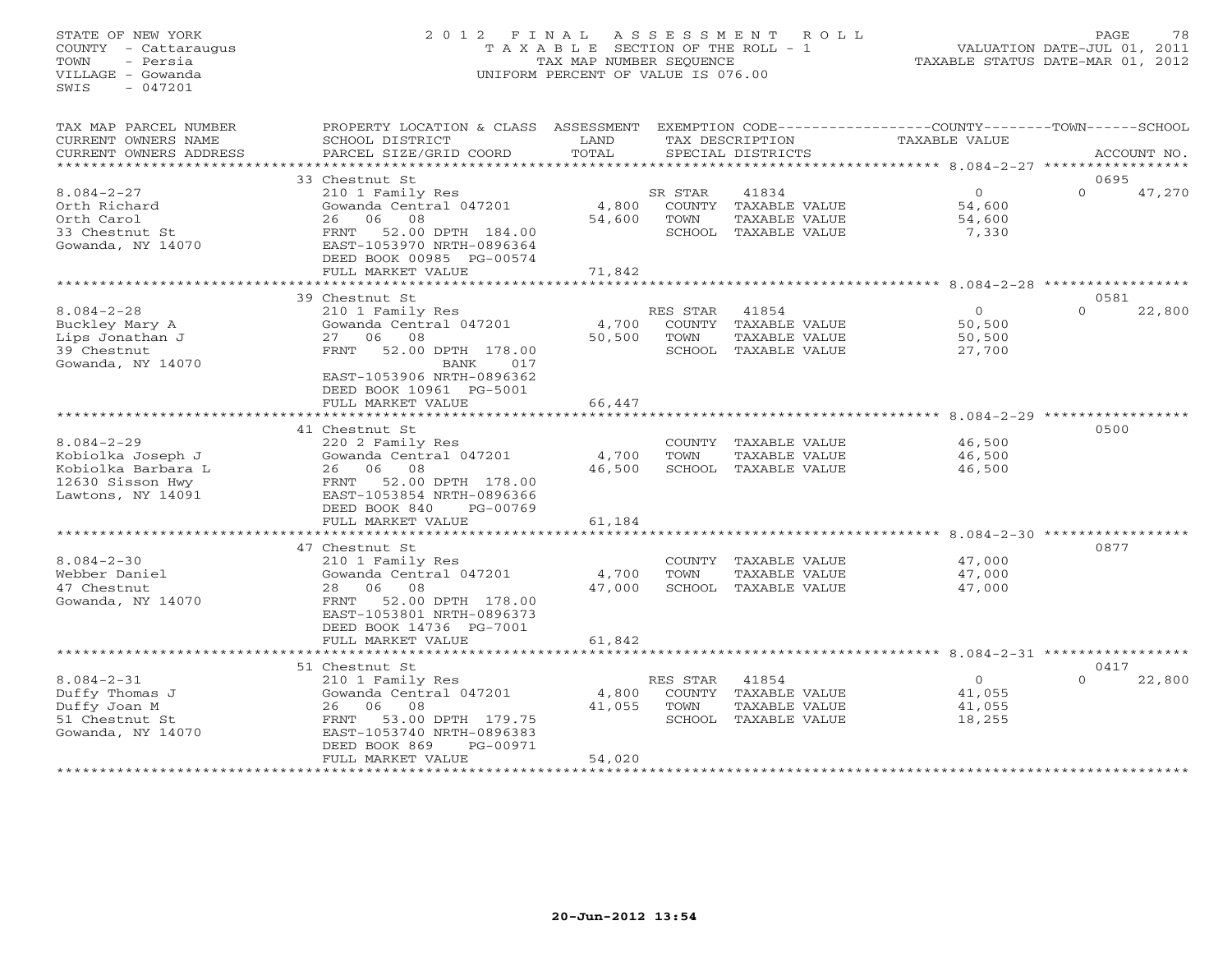# STATE OF NEW YORK 2 0 1 2 F I N A L A S S E S S M E N T R O L L PAGE 78 COUNTY - Cattaraugus T A X A B L E SECTION OF THE ROLL - 1 VALUATION DATE-JUL 01, 2011 TOWN - Persia TAX MAP NUMBER SEQUENCE TAXABLE STATUS DATE-MAR 01, 2012 VILLAGE - Gowanda UNIFORM PERCENT OF VALUE IS 076.00

| TAX MAP PARCEL NUMBER<br>CURRENT OWNERS NAME<br>CURRENT OWNERS ADDRESS                               | PROPERTY LOCATION & CLASS<br>SCHOOL DISTRICT<br>PARCEL SIZE/GRID COORD                                                                                                                                             | ASSESSMENT<br>LAND<br>TOTAL |                                             | TAX DESCRIPTION<br>SPECIAL DISTRICTS                            | EXEMPTION CODE-----------------COUNTY-------TOWN------SCHOOL<br><b>TAXABLE VALUE</b> | ACCOUNT NO.                |
|------------------------------------------------------------------------------------------------------|--------------------------------------------------------------------------------------------------------------------------------------------------------------------------------------------------------------------|-----------------------------|---------------------------------------------|-----------------------------------------------------------------|--------------------------------------------------------------------------------------|----------------------------|
|                                                                                                      |                                                                                                                                                                                                                    |                             |                                             |                                                                 |                                                                                      |                            |
| $8.084 - 2 - 27$<br>Orth Richard<br>Orth Carol<br>33 Chestnut St<br>Gowanda, NY 14070                | 33 Chestnut St<br>210 1 Family Res<br>Gowanda Central 047201<br>26<br>06<br>08<br>52.00 DPTH 184.00<br>FRNT<br>EAST-1053970 NRTH-0896364<br>DEED BOOK 00985 PG-00574<br>FULL MARKET VALUE                          | 4,800<br>54,600<br>71,842   | SR STAR<br>COUNTY<br>TOWN                   | 41834<br>TAXABLE VALUE<br>TAXABLE VALUE<br>SCHOOL TAXABLE VALUE | $\Omega$<br>54,600<br>54,600<br>7,330                                                | 0695<br>$\Omega$<br>47,270 |
|                                                                                                      | <b>++++++++++++</b>                                                                                                                                                                                                | *******                     |                                             |                                                                 | ******** 8.084-2-28 ***********                                                      |                            |
| $8.084 - 2 - 28$<br>Buckley Mary A<br>Lips Jonathan J<br>39 Chestnut<br>Gowanda, NY 14070            | 39 Chestnut St<br>210 1 Family Res<br>Gowanda Central 047201<br>27<br>06<br>08<br>52.00 DPTH 178.00<br><b>FRNT</b><br>BANK<br>017<br>EAST-1053906 NRTH-0896362<br>DEED BOOK 10961 PG-5001                          | 4,700<br>50,500             | RES STAR<br>COUNTY<br>TOWN<br>SCHOOL        | 41854<br>TAXABLE VALUE<br>TAXABLE VALUE<br>TAXABLE VALUE        | $\circ$<br>50,500<br>50,500<br>27,700                                                | 0581<br>$\Omega$<br>22,800 |
|                                                                                                      | FULL MARKET VALUE                                                                                                                                                                                                  | 66,447                      |                                             |                                                                 |                                                                                      |                            |
| $8.084 - 2 - 29$<br>Kobiolka Joseph J<br>Kobiolka Barbara L<br>12630 Sisson Hwy<br>Lawtons, NY 14091 | ******************<br>41 Chestnut St<br>220 2 Family Res<br>Gowanda Central 047201<br>08<br>26<br>06<br>52.00 DPTH 178.00<br>FRNT<br>EAST-1053854 NRTH-0896366<br>DEED BOOK 840<br>$PG-00769$<br>FULL MARKET VALUE | 4,700<br>46,500<br>61,184   | COUNTY<br>TOWN<br>SCHOOL                    | TAXABLE VALUE<br>TAXABLE VALUE<br>TAXABLE VALUE                 | *************************** 8.084-2-29 *************<br>46,500<br>46,500<br>46,500   | 0500                       |
|                                                                                                      |                                                                                                                                                                                                                    |                             |                                             |                                                                 | $8.084 - 2 - 30$                                                                     |                            |
| $8.084 - 2 - 30$<br>Webber Daniel<br>47 Chestnut<br>Gowanda, NY 14070                                | 47 Chestnut St<br>210 1 Family Res<br>Gowanda Central 047201<br>08<br>28<br>06<br>FRNT<br>52.00 DPTH 178.00<br>EAST-1053801 NRTH-0896373<br>DEED BOOK 14736 PG-7001<br>FULL MARKET VALUE                           | 4,700<br>47,000<br>61,842   | COUNTY<br>TOWN                              | TAXABLE VALUE<br>TAXABLE VALUE<br>SCHOOL TAXABLE VALUE          | 47,000<br>47,000<br>47,000                                                           | 0877                       |
|                                                                                                      | *****************                                                                                                                                                                                                  | **********                  |                                             |                                                                 | ********************************* 8.084-2-31 *****************                       |                            |
| $8.084 - 2 - 31$<br>Duffy Thomas J<br>Duffy Joan M<br>51 Chestnut St<br>Gowanda, NY 14070            | 51 Chestnut St<br>210 1 Family Res<br>Gowanda Central 047201<br>06<br>08<br>26<br>53.00 DPTH 179.75<br>FRNT<br>EAST-1053740 NRTH-0896383<br>DEED BOOK 869<br>PG-00971<br>FULL MARKET VALUE                         | 4,800<br>41,055<br>54,020   | RES STAR<br><b>COUNTY</b><br>TOWN<br>SCHOOL | 41854<br>TAXABLE VALUE<br>TAXABLE VALUE<br>TAXABLE VALUE        | $\circ$<br>41,055<br>41,055<br>18,255                                                | 0417<br>$\Omega$<br>22,800 |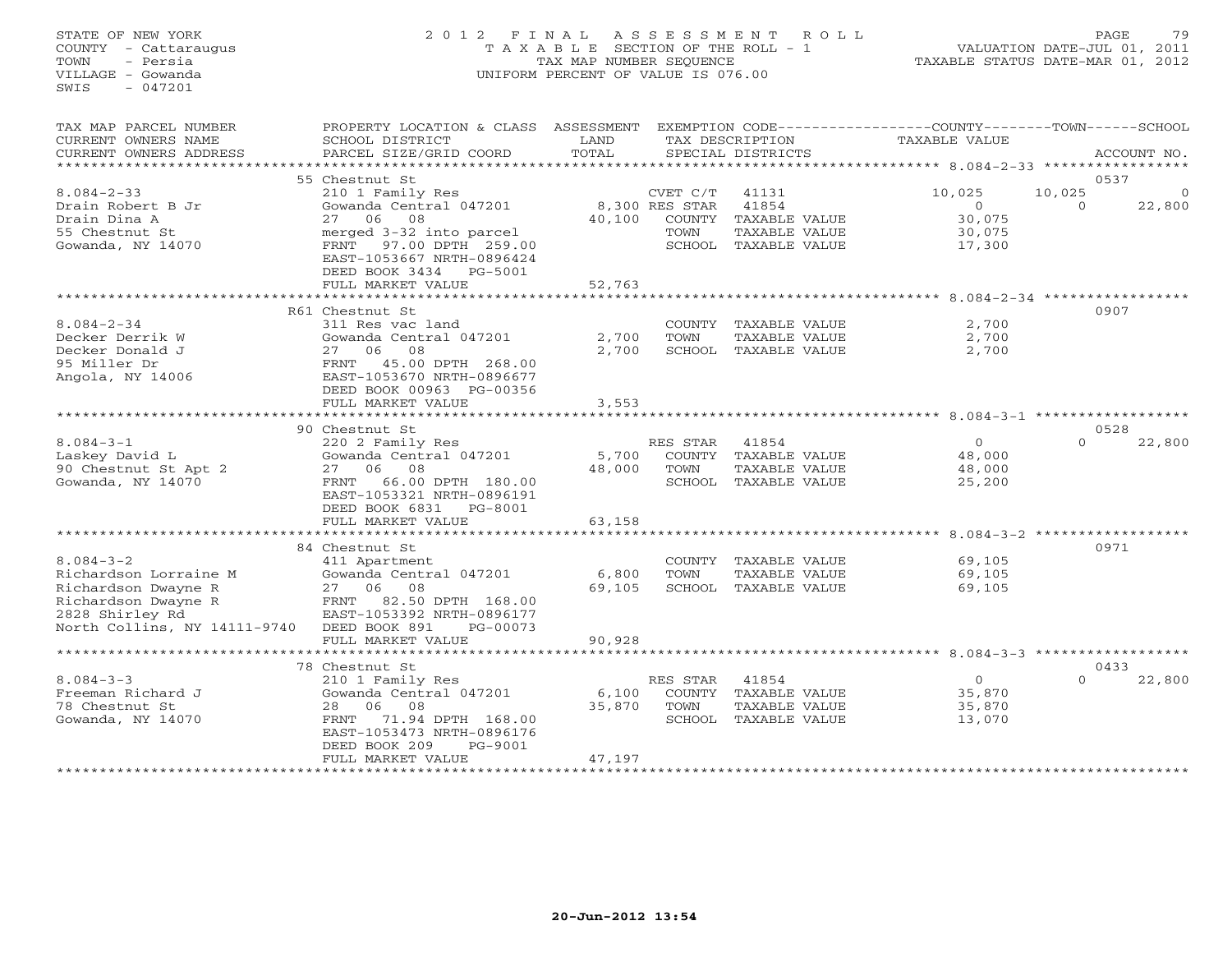# STATE OF NEW YORK 2 0 1 2 F I N A L A S S E S S M E N T R O L L PAGE 79 COUNTY - Cattaraugus T A X A B L E SECTION OF THE ROLL - 1 VALUATION DATE-JUL 01, 2011 TOWN - Persia TAX MAP NUMBER SEQUENCE TAXABLE STATUS DATE-MAR 01, 2012 VILLAGE - Gowanda UNIFORM PERCENT OF VALUE IS 076.00

| TAX MAP PARCEL NUMBER        | PROPERTY LOCATION & CLASS | ASSESSMENT              |                |                      | EXEMPTION CODE-----------------COUNTY-------TOWN-----SCHOOL    |                    |
|------------------------------|---------------------------|-------------------------|----------------|----------------------|----------------------------------------------------------------|--------------------|
| CURRENT OWNERS NAME          | SCHOOL DISTRICT           | LAND                    |                | TAX DESCRIPTION      | TAXABLE VALUE                                                  |                    |
| CURRENT OWNERS ADDRESS       | PARCEL SIZE/GRID COORD    | TOTAL                   |                | SPECIAL DISTRICTS    |                                                                | ACCOUNT NO.        |
| *************                |                           | ************            |                |                      | ************************************** 8.084-2-33 ************ |                    |
|                              | 55 Chestnut St            |                         |                |                      |                                                                | 0537               |
| $8.084 - 2 - 33$             | 210 1 Family Res          |                         | CVET C/T       | 41131                | 10,025                                                         | 10,025<br>$\Omega$ |
| Drain Robert B Jr            | Gowanda Central 047201    |                         | 8,300 RES STAR | 41854                | $\Omega$                                                       | 22,800<br>$\Omega$ |
| Drain Dina A                 | 08<br>27 06               | 40,100                  | COUNTY         | TAXABLE VALUE        | 30,075                                                         |                    |
| 55 Chestnut St               | merged 3-32 into parcel   |                         | TOWN           | TAXABLE VALUE        | 30,075                                                         |                    |
| Gowanda, NY 14070            | FRNT 97.00 DPTH 259.00    |                         |                | SCHOOL TAXABLE VALUE | 17,300                                                         |                    |
|                              | EAST-1053667 NRTH-0896424 |                         |                |                      |                                                                |                    |
|                              | DEED BOOK 3434 PG-5001    |                         |                |                      |                                                                |                    |
|                              | FULL MARKET VALUE         | 52,763                  |                |                      |                                                                |                    |
|                              | *********************     | * * * * * * * * * * * * |                |                      | ************************ 8.084-2-34 ************               |                    |
|                              | R61 Chestnut St           |                         |                |                      |                                                                | 0907               |
| $8.084 - 2 - 34$             | 311 Res vac land          |                         | COUNTY         | TAXABLE VALUE        | 2,700                                                          |                    |
| Decker Derrik W              | Gowanda Central 047201    | 2,700                   | TOWN           | TAXABLE VALUE        | 2,700                                                          |                    |
| Decker Donald J              | 06<br>08<br>27            | 2,700                   | SCHOOL         | TAXABLE VALUE        | 2,700                                                          |                    |
| 95 Miller Dr                 | 45.00 DPTH 268.00<br>FRNT |                         |                |                      |                                                                |                    |
| Angola, NY 14006             | EAST-1053670 NRTH-0896677 |                         |                |                      |                                                                |                    |
|                              |                           |                         |                |                      |                                                                |                    |
|                              | DEED BOOK 00963 PG-00356  |                         |                |                      |                                                                |                    |
|                              | FULL MARKET VALUE         | 3,553                   |                |                      | *********** 8.084-3-1 *******************                      |                    |
|                              |                           |                         |                |                      |                                                                |                    |
|                              | 90 Chestnut St            |                         |                |                      |                                                                | 0528               |
| $8.084 - 3 - 1$              | 220 2 Family Res          |                         | RES STAR       | 41854                | $\circ$                                                        | $\Omega$<br>22,800 |
| Laskey David L               | Gowanda Central 047201    | 5,700                   |                | COUNTY TAXABLE VALUE | 48,000                                                         |                    |
| 90 Chestnut St Apt 2         | 27<br>06 —<br>08          | 48,000                  | TOWN           | TAXABLE VALUE        | 48,000                                                         |                    |
| Gowanda, NY 14070            | 66.00 DPTH 180.00<br>FRNT |                         |                | SCHOOL TAXABLE VALUE | 25,200                                                         |                    |
|                              | EAST-1053321 NRTH-0896191 |                         |                |                      |                                                                |                    |
|                              | DEED BOOK 6831<br>PG-8001 |                         |                |                      |                                                                |                    |
|                              | FULL MARKET VALUE         | 63,158                  |                |                      |                                                                |                    |
|                              |                           |                         |                |                      |                                                                |                    |
|                              | 84 Chestnut St            |                         |                |                      |                                                                | 0971               |
| $8.084 - 3 - 2$              | 411 Apartment             |                         | COUNTY         | TAXABLE VALUE        | 69,105                                                         |                    |
| Richardson Lorraine M        | Gowanda Central 047201    | 6,800                   | TOWN           | TAXABLE VALUE        | 69,105                                                         |                    |
| Richardson Dwayne R          | 06<br>08<br>27            | 69,105                  | SCHOOL         | TAXABLE VALUE        | 69,105                                                         |                    |
| Richardson Dwayne R          | 82.50 DPTH 168.00<br>FRNT |                         |                |                      |                                                                |                    |
| 2828 Shirley Rd              | EAST-1053392 NRTH-0896177 |                         |                |                      |                                                                |                    |
| North Collins, NY 14111-9740 | DEED BOOK 891<br>PG-00073 |                         |                |                      |                                                                |                    |
|                              | FULL MARKET VALUE         | 90,928                  |                |                      |                                                                |                    |
|                              |                           |                         |                |                      |                                                                |                    |
|                              | 78 Chestnut St            |                         |                |                      |                                                                | 0433               |
| $8.084 - 3 - 3$              | 210 1 Family Res          |                         | RES STAR       | 41854                | $\circ$                                                        | $\Omega$<br>22,800 |
| Freeman Richard J            | Gowanda Central 047201    | 6,100                   | COUNTY         | TAXABLE VALUE        | 35,870                                                         |                    |
| 78 Chestnut St               | 08<br>28<br>06            | 35,870                  | TOWN           | TAXABLE VALUE        | 35,870                                                         |                    |
| Gowanda, NY 14070            | 71.94 DPTH 168.00<br>FRNT |                         |                | SCHOOL TAXABLE VALUE | 13,070                                                         |                    |
|                              | EAST-1053473 NRTH-0896176 |                         |                |                      |                                                                |                    |
|                              | DEED BOOK 209<br>PG-9001  |                         |                |                      |                                                                |                    |
|                              | FULL MARKET VALUE         | 47,197                  |                |                      |                                                                |                    |
|                              |                           |                         |                |                      |                                                                |                    |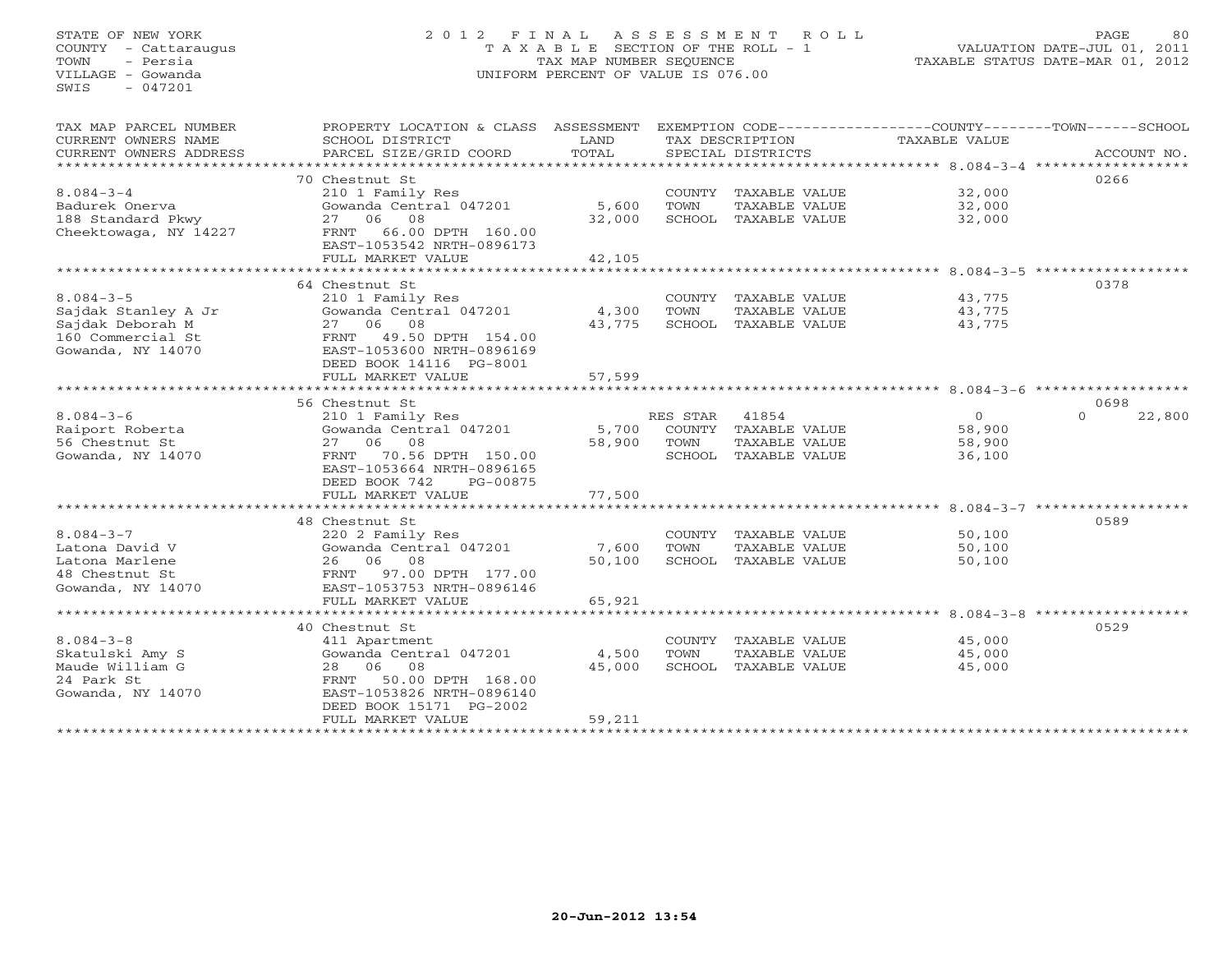# STATE OF NEW YORK 2 0 1 2 F I N A L A S S E S S M E N T R O L L PAGE 80 COUNTY - Cattaraugus T A X A B L E SECTION OF THE ROLL - 1 VALUATION DATE-JUL 01, 2011 TOWN - Persia TAX MAP NUMBER SEQUENCE TAXABLE STATUS DATE-MAR 01, 2012 VILLAGE - Gowanda UNIFORM PERCENT OF VALUE IS 076.00UNIFORM PERCENT OF VALUE IS 076.00

| TAX MAP PARCEL NUMBER<br>CURRENT OWNERS NAME<br>CURRENT OWNERS ADDRESS | PROPERTY LOCATION & CLASS ASSESSMENT<br>SCHOOL DISTRICT<br>PARCEL SIZE/GRID COORD | LAND<br>TOTAL |          | TAX DESCRIPTION<br>SPECIAL DISTRICTS | EXEMPTION CODE-----------------COUNTY-------TOWN-----SCHOOL<br>TAXABLE VALUE | ACCOUNT NO.        |
|------------------------------------------------------------------------|-----------------------------------------------------------------------------------|---------------|----------|--------------------------------------|------------------------------------------------------------------------------|--------------------|
| **********************                                                 |                                                                                   |               |          |                                      |                                                                              |                    |
|                                                                        | 70 Chestnut St                                                                    |               |          |                                      |                                                                              | 0266               |
| $8.084 - 3 - 4$                                                        | 210 1 Family Res                                                                  |               |          | COUNTY TAXABLE VALUE                 | 32,000                                                                       |                    |
| Badurek Onerva                                                         | Gowanda Central 047201                                                            | 5,600         | TOWN     | TAXABLE VALUE                        | 32,000                                                                       |                    |
| 188 Standard Pkwy                                                      | 27 06 08                                                                          | 32,000        |          | SCHOOL TAXABLE VALUE                 | 32,000                                                                       |                    |
| Cheektowaga, NY 14227                                                  | 66.00 DPTH 160.00<br>FRNT<br>EAST-1053542 NRTH-0896173                            |               |          |                                      |                                                                              |                    |
|                                                                        | FULL MARKET VALUE<br>************************                                     | 42,105        |          |                                      |                                                                              |                    |
|                                                                        | 64 Chestnut St                                                                    |               |          |                                      |                                                                              | 0378               |
| $8.084 - 3 - 5$                                                        | 210 1 Family Res                                                                  |               |          | COUNTY TAXABLE VALUE                 | 43,775                                                                       |                    |
| Sajdak Stanley A Jr                                                    | Gowanda Central 047201                                                            | 4,300         | TOWN     | TAXABLE VALUE                        | 43,775                                                                       |                    |
| Sajdak Deborah M                                                       | 27 06 08                                                                          | 43,775        |          | SCHOOL TAXABLE VALUE                 | 43,775                                                                       |                    |
| 160 Commercial St                                                      | FRNT<br>49.50 DPTH 154.00                                                         |               |          |                                      |                                                                              |                    |
| Gowanda, NY 14070                                                      | EAST-1053600 NRTH-0896169                                                         |               |          |                                      |                                                                              |                    |
|                                                                        | DEED BOOK 14116 PG-8001                                                           |               |          |                                      |                                                                              |                    |
|                                                                        | FULL MARKET VALUE                                                                 | 57,599        |          |                                      |                                                                              |                    |
|                                                                        | ****************************                                                      | ************  |          |                                      | ************************************ 8.084-3-6 *******************           |                    |
|                                                                        | 56 Chestnut St                                                                    |               |          |                                      |                                                                              | 0698               |
| $8.084 - 3 - 6$                                                        | 210 1 Family Res                                                                  |               | RES STAR | 41854                                | $\overline{0}$                                                               | $\Omega$<br>22,800 |
| Raiport Roberta                                                        | Gowanda Central 047201                                                            | 5,700         |          | COUNTY TAXABLE VALUE                 | 58,900                                                                       |                    |
| 56 Chestnut St                                                         | 27 06 08                                                                          | 58,900        | TOWN     | TAXABLE VALUE                        | 58,900                                                                       |                    |
| Gowanda, NY 14070                                                      | FRNT<br>70.56 DPTH 150.00                                                         |               |          | SCHOOL TAXABLE VALUE                 | 36,100                                                                       |                    |
|                                                                        | EAST-1053664 NRTH-0896165                                                         |               |          |                                      |                                                                              |                    |
|                                                                        | DEED BOOK 742<br>PG-00875                                                         |               |          |                                      |                                                                              |                    |
|                                                                        | FULL MARKET VALUE                                                                 | 77,500        |          |                                      |                                                                              |                    |
|                                                                        |                                                                                   |               |          |                                      |                                                                              |                    |
|                                                                        | 48 Chestnut St                                                                    |               |          |                                      |                                                                              | 0589               |
| $8.084 - 3 - 7$                                                        | 220 2 Family Res                                                                  |               |          | COUNTY TAXABLE VALUE                 | 50,100                                                                       |                    |
| Latona David V                                                         | Gowanda Central 047201                                                            | 7,600         | TOWN     | TAXABLE VALUE                        | 50,100                                                                       |                    |
| Latona Marlene                                                         | 26 06 08                                                                          | 50,100        |          | SCHOOL TAXABLE VALUE                 | 50,100                                                                       |                    |
| 48 Chestnut St<br>Gowanda, NY 14070                                    | FRNT 97.00 DPTH 177.00<br>EAST-1053753 NRTH-0896146                               |               |          |                                      |                                                                              |                    |
|                                                                        | FULL MARKET VALUE                                                                 | 65,921        |          |                                      |                                                                              |                    |
|                                                                        |                                                                                   |               |          |                                      |                                                                              |                    |
|                                                                        | 40 Chestnut St                                                                    |               |          |                                      |                                                                              | 0529               |
| $8.084 - 3 - 8$                                                        | 411 Apartment                                                                     |               | COUNTY   | TAXABLE VALUE                        | 45,000                                                                       |                    |
| Skatulski Amy S                                                        | Gowanda Central 047201                                                            | 4,500         | TOWN     | TAXABLE VALUE                        | 45,000                                                                       |                    |
| Maude William G                                                        | 28 06 08                                                                          | 45,000        |          | SCHOOL TAXABLE VALUE                 | 45,000                                                                       |                    |
| 24 Park St                                                             | FRNT<br>50.00 DPTH 168.00                                                         |               |          |                                      |                                                                              |                    |
| Gowanda, NY 14070                                                      | EAST-1053826 NRTH-0896140                                                         |               |          |                                      |                                                                              |                    |
|                                                                        | DEED BOOK 15171 PG-2002                                                           |               |          |                                      |                                                                              |                    |
|                                                                        | FULL MARKET VALUE                                                                 | 59,211        |          |                                      |                                                                              |                    |
|                                                                        |                                                                                   |               |          |                                      |                                                                              |                    |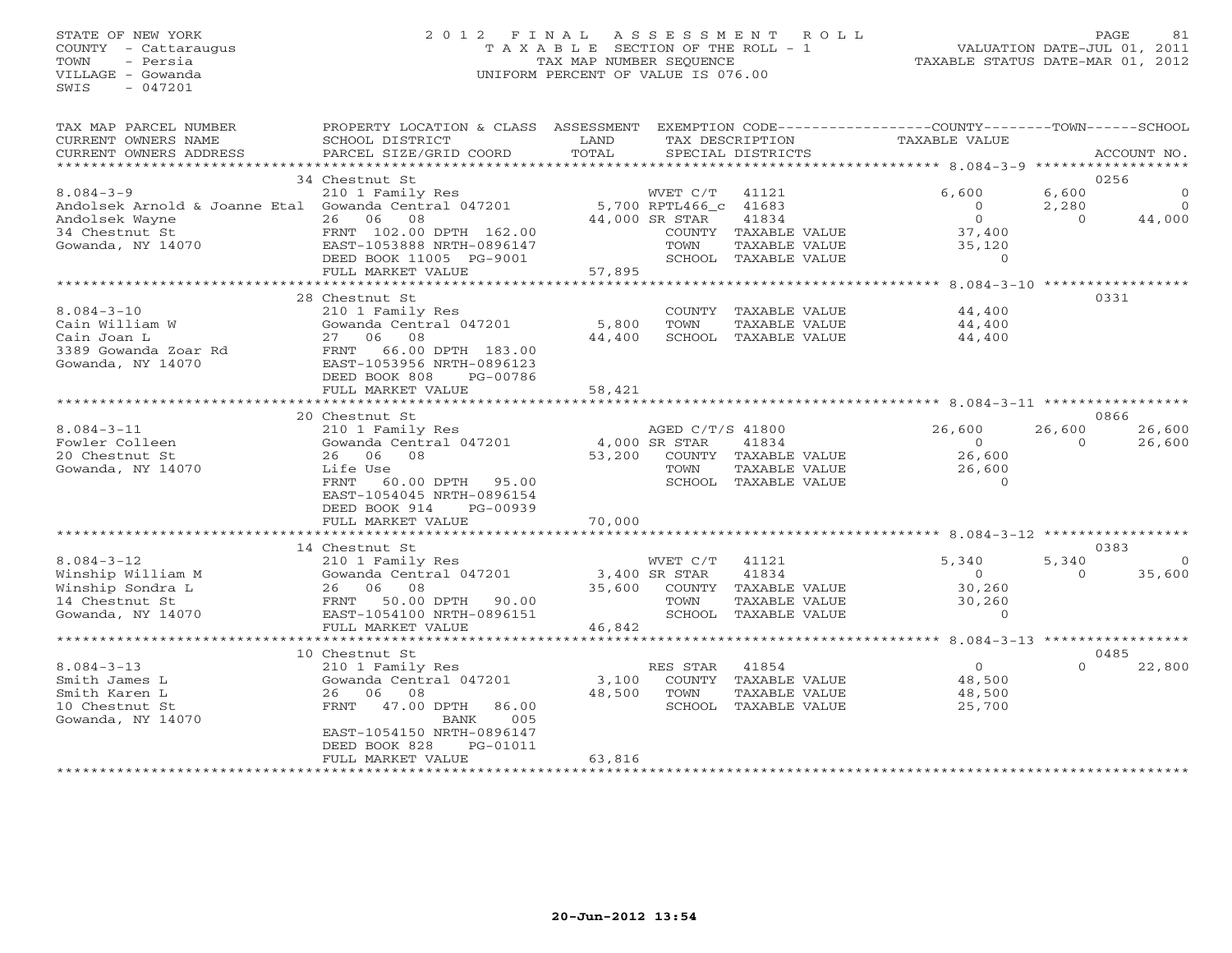# STATE OF NEW YORK 2 0 1 2 F I N A L A S S E S S M E N T R O L L PAGE 81 COUNTY - Cattaraugus T A X A B L E SECTION OF THE ROLL - 1 VALUATION DATE-JUL 01, 2011 TOWN - Persia TAX MAP NUMBER SEQUENCE TAXABLE STATUS DATE-MAR 01, 2012 VILLAGE - Gowanda UNIFORM PERCENT OF VALUE IS 076.00UNIFORM PERCENT OF VALUE IS 076.00

| TAX MAP PARCEL NUMBER<br>CURRENT OWNERS NAME<br>CURRENT OWNERS ADDRESS | PROPERTY LOCATION & CLASS ASSESSMENT<br>SCHOOL DISTRICT<br>PARCEL SIZE/GRID COORD | LAND<br>TOTAL  | TAX DESCRIPTION       | SPECIAL DISTRICTS                     | EXEMPTION CODE-----------------COUNTY-------TOWN------SCHOOL<br><b>TAXABLE VALUE</b> |                   | ACCOUNT NO. |
|------------------------------------------------------------------------|-----------------------------------------------------------------------------------|----------------|-----------------------|---------------------------------------|--------------------------------------------------------------------------------------|-------------------|-------------|
| **************************                                             |                                                                                   |                |                       |                                       |                                                                                      |                   |             |
|                                                                        | 34 Chestnut St                                                                    |                |                       |                                       |                                                                                      |                   | 0256        |
| $8.084 - 3 - 9$                                                        | 210 1 Family Res                                                                  |                | WVET C/T              | 41121                                 | 6,600                                                                                | 6,600             | $\circ$     |
| Andolsek Arnold & Joanne Etal Gowanda Central 047201                   | 26 06                                                                             |                | 5,700 RPTL466 c 41683 |                                       | $\circ$<br>$\Omega$                                                                  | 2,280<br>$\Omega$ | $\Omega$    |
| Andolsek Wayne                                                         | 08<br>FRNT 102.00 DPTH 162.00                                                     |                | 44,000 SR STAR        | 41834                                 | 37,400                                                                               |                   | 44,000      |
| 34 Chestnut St<br>Gowanda, NY 14070                                    | EAST-1053888 NRTH-0896147                                                         |                | TOWN                  | COUNTY TAXABLE VALUE<br>TAXABLE VALUE | 35,120                                                                               |                   |             |
|                                                                        | DEED BOOK 11005 PG-9001                                                           |                |                       | SCHOOL TAXABLE VALUE                  | $\Omega$                                                                             |                   |             |
|                                                                        | FULL MARKET VALUE                                                                 | 57,895         |                       |                                       |                                                                                      |                   |             |
|                                                                        | ***************************                                                       | ************** |                       |                                       | *********** 8.084-3-10 ******************                                            |                   |             |
|                                                                        | 28 Chestnut St                                                                    |                |                       |                                       |                                                                                      |                   | 0331        |
| $8.084 - 3 - 10$                                                       | 210 1 Family Res                                                                  |                | <b>COUNTY</b>         | TAXABLE VALUE                         | 44,400                                                                               |                   |             |
| Cain William W                                                         | Gowanda Central 047201                                                            | 5,800          | TOWN                  | TAXABLE VALUE                         | 44,400                                                                               |                   |             |
| Cain Joan L                                                            | 27 06<br>08                                                                       | 44,400         |                       | SCHOOL TAXABLE VALUE                  | 44,400                                                                               |                   |             |
| 3389 Gowanda Zoar Rd                                                   | 66.00 DPTH 183.00<br>FRNT                                                         |                |                       |                                       |                                                                                      |                   |             |
| Gowanda, NY 14070                                                      | EAST-1053956 NRTH-0896123                                                         |                |                       |                                       |                                                                                      |                   |             |
|                                                                        | DEED BOOK 808<br>PG-00786                                                         |                |                       |                                       |                                                                                      |                   |             |
|                                                                        | FULL MARKET VALUE<br>***********************                                      | 58,421         |                       |                                       |                                                                                      |                   |             |
|                                                                        | 20 Chestnut St                                                                    |                |                       |                                       |                                                                                      |                   | 0866        |
| $8.084 - 3 - 11$                                                       | 210 1 Family Res                                                                  |                | AGED C/T/S 41800      |                                       | 26,600                                                                               | 26,600            | 26,600      |
| Fowler Colleen                                                         | Gowanda Central 047201                                                            | 4,000 SR STAR  |                       | 41834                                 | $\Omega$                                                                             | $\Omega$          | 26,600      |
| 20 Chestnut St                                                         | 26 06<br>08                                                                       | 53,200         |                       | COUNTY TAXABLE VALUE                  | 26,600                                                                               |                   |             |
| Gowanda, NY 14070                                                      | Life Use                                                                          |                | TOWN                  | TAXABLE VALUE                         | 26,600                                                                               |                   |             |
|                                                                        | FRNT<br>60.00 DPTH<br>95.00                                                       |                |                       | SCHOOL TAXABLE VALUE                  | $\Omega$                                                                             |                   |             |
|                                                                        | EAST-1054045 NRTH-0896154                                                         |                |                       |                                       |                                                                                      |                   |             |
|                                                                        | DEED BOOK 914<br>PG-00939                                                         |                |                       |                                       |                                                                                      |                   |             |
|                                                                        | FULL MARKET VALUE                                                                 | 70,000         |                       |                                       |                                                                                      |                   |             |
|                                                                        |                                                                                   |                |                       |                                       |                                                                                      |                   |             |
|                                                                        | 14 Chestnut St                                                                    |                |                       |                                       |                                                                                      |                   | 0383        |
| $8.084 - 3 - 12$                                                       | 210 1 Family Res                                                                  |                | WVET C/T              | 41121                                 | 5,340                                                                                | 5,340             | $\Omega$    |
| Winship William M                                                      | Gowanda Central 047201                                                            |                | 3,400 SR STAR         | 41834                                 | $\circ$                                                                              | $\Omega$          | 35,600      |
| Winship Sondra L<br>14 Chestnut St                                     | 26 06<br>08<br>50.00 DPTH<br>FRNT<br>90.00                                        | 35,600         | COUNTY<br>TOWN        | TAXABLE VALUE<br>TAXABLE VALUE        | 30,260<br>30,260                                                                     |                   |             |
| Gowanda, NY 14070                                                      | EAST-1054100 NRTH-0896151                                                         |                |                       | SCHOOL TAXABLE VALUE                  | $\Omega$                                                                             |                   |             |
|                                                                        | FULL MARKET VALUE                                                                 | 46,842         |                       |                                       |                                                                                      |                   |             |
|                                                                        | **********************                                                            | **********     |                       |                                       | ********** $8.084-3-13$ ****************                                             |                   |             |
|                                                                        | 10 Chestnut St                                                                    |                |                       |                                       |                                                                                      |                   | 0485        |
| $8.084 - 3 - 13$                                                       | 210 1 Family Res                                                                  |                | RES STAR              | 41854                                 | $\Omega$                                                                             | $\Omega$          | 22,800      |
| Smith James L                                                          | Gowanda Central 047201                                                            | 3,100          |                       | COUNTY TAXABLE VALUE                  | 48,500                                                                               |                   |             |
| Smith Karen L                                                          | 26 06<br>08                                                                       | 48,500         | TOWN                  | TAXABLE VALUE                         | 48,500                                                                               |                   |             |
| 10 Chestnut St                                                         | 47.00 DPTH<br>FRNT<br>86.00                                                       |                | SCHOOL                | TAXABLE VALUE                         | 25,700                                                                               |                   |             |
| Gowanda, NY 14070                                                      | BANK<br>005                                                                       |                |                       |                                       |                                                                                      |                   |             |
|                                                                        | EAST-1054150 NRTH-0896147                                                         |                |                       |                                       |                                                                                      |                   |             |
|                                                                        | DEED BOOK 828<br>PG-01011<br>FULL MARKET VALUE                                    | 63,816         |                       |                                       |                                                                                      |                   |             |
|                                                                        |                                                                                   |                |                       |                                       |                                                                                      |                   |             |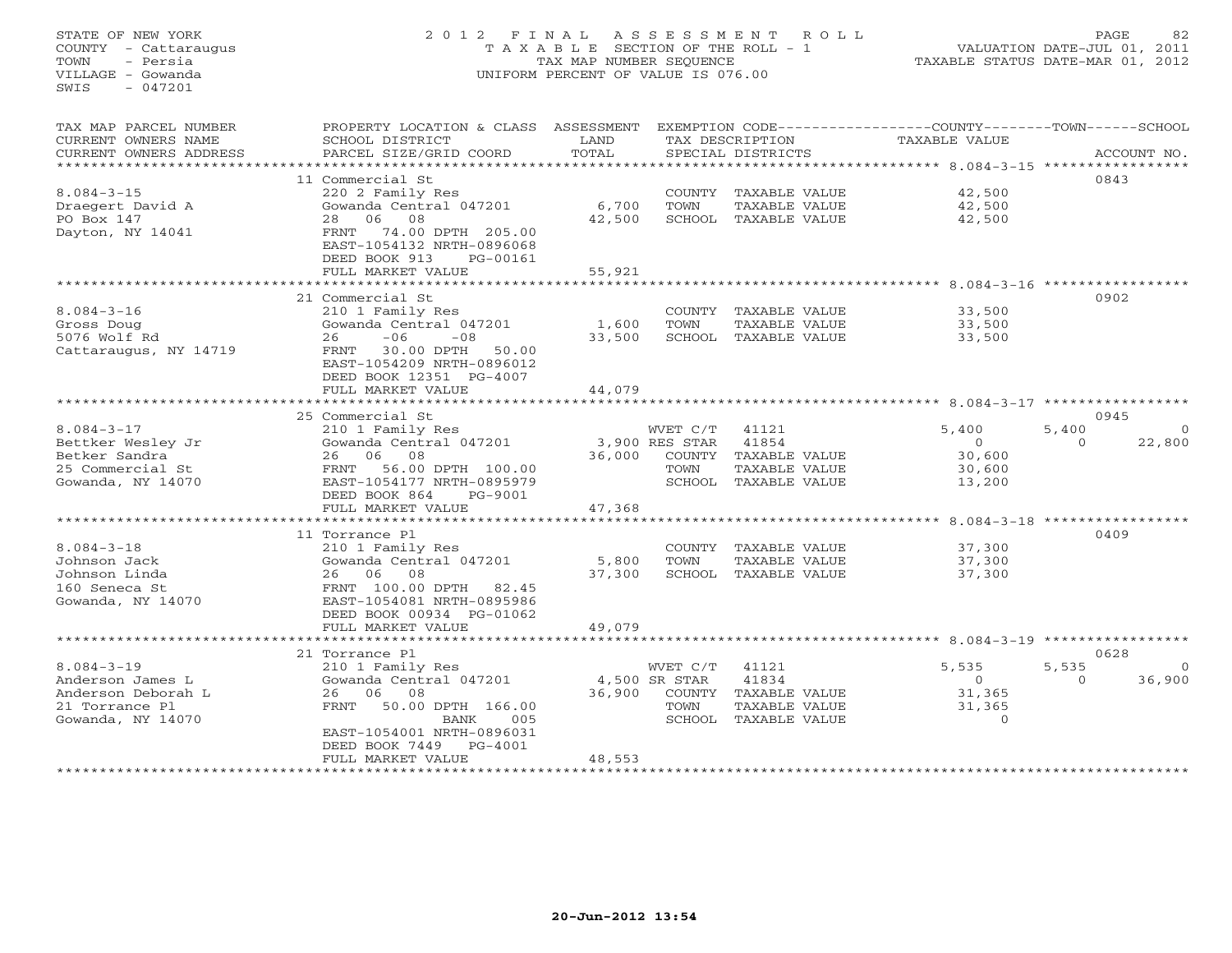# STATE OF NEW YORK 2 0 1 2 F I N A L A S S E S S M E N T R O L L PAGE 82 COUNTY - Cattaraugus T A X A B L E SECTION OF THE ROLL - 1 VALUATION DATE-JUL 01, 2011 TOWN - Persia TAX MAP NUMBER SEQUENCE TAXABLE STATUS DATE-MAR 01, 2012 VILLAGE - Gowanda UNIFORM PERCENT OF VALUE IS 076.00

| TAX MAP PARCEL NUMBER  | PROPERTY LOCATION & CLASS                              | ASSESSMENT |                |                      | EXEMPTION CODE-----------------COUNTY-------TOWN-----SCHOOL |          |             |
|------------------------|--------------------------------------------------------|------------|----------------|----------------------|-------------------------------------------------------------|----------|-------------|
| CURRENT OWNERS NAME    | SCHOOL DISTRICT                                        | LAND       |                | TAX DESCRIPTION      | TAXABLE VALUE                                               |          |             |
| CURRENT OWNERS ADDRESS | PARCEL SIZE/GRID COORD                                 | TOTAL      |                | SPECIAL DISTRICTS    |                                                             |          | ACCOUNT NO. |
| ******************     |                                                        |            |                |                      |                                                             |          |             |
|                        | 11 Commercial St                                       |            |                |                      |                                                             | 0843     |             |
| $8.084 - 3 - 15$       | 220 2 Family Res                                       |            | COUNTY         | TAXABLE VALUE        | 42,500                                                      |          |             |
| Draegert David A       | Gowanda Central 047201                                 | 6,700      | TOWN           | TAXABLE VALUE        | 42,500                                                      |          |             |
| PO Box 147             | 08<br>06<br>28                                         | 42,500     | SCHOOL         | TAXABLE VALUE        | 42,500                                                      |          |             |
| Dayton, NY 14041       | 74.00 DPTH 205.00<br>FRNT<br>EAST-1054132 NRTH-0896068 |            |                |                      |                                                             |          |             |
|                        | DEED BOOK 913<br>PG-00161                              |            |                |                      |                                                             |          |             |
|                        | FULL MARKET VALUE                                      | 55,921     |                |                      |                                                             |          |             |
|                        | **********************                                 |            |                |                      |                                                             |          |             |
|                        | 21 Commercial St                                       |            |                |                      |                                                             | 0902     |             |
| $8.084 - 3 - 16$       | 210 1 Family Res                                       |            |                | COUNTY TAXABLE VALUE | 33,500                                                      |          |             |
| Gross Doug             | Gowanda Central 047201                                 | 1,600      | TOWN           | TAXABLE VALUE        | 33,500                                                      |          |             |
| 5076 Wolf Rd           | $-06$<br>$-08$<br>26                                   | 33,500     |                | SCHOOL TAXABLE VALUE | 33,500                                                      |          |             |
|                        | FRNT<br>30.00 DPTH<br>50.00                            |            |                |                      |                                                             |          |             |
| Cattaraugus, NY 14719  | EAST-1054209 NRTH-0896012                              |            |                |                      |                                                             |          |             |
|                        | DEED BOOK 12351 PG-4007                                |            |                |                      |                                                             |          |             |
|                        | FULL MARKET VALUE                                      | 44,079     |                |                      |                                                             |          |             |
|                        |                                                        |            |                |                      | *************** 8.084-3-17 ***********                      |          |             |
|                        | 25 Commercial St                                       |            |                |                      |                                                             | 0945     |             |
| $8.084 - 3 - 17$       | 210 1 Family Res                                       |            | WVET C/T       | 41121                | 5,400                                                       | 5,400    | $\Omega$    |
| Bettker Wesley Jr      | Gowanda Central 047201                                 |            | 3,900 RES STAR | 41854                | $\Omega$                                                    | $\Omega$ | 22,800      |
| Betker Sandra          | 08<br>06<br>26                                         | 36,000     | COUNTY         | TAXABLE VALUE        | 30,600                                                      |          |             |
| 25 Commercial St       | 56.00 DPTH 100.00<br>FRNT                              |            | TOWN           | TAXABLE VALUE        | 30,600                                                      |          |             |
| Gowanda, NY 14070      | EAST-1054177 NRTH-0895979                              |            | SCHOOL         | TAXABLE VALUE        | 13,200                                                      |          |             |
|                        | DEED BOOK 864<br>PG-9001                               |            |                |                      |                                                             |          |             |
|                        | FULL MARKET VALUE                                      | 47,368     |                |                      |                                                             |          |             |
|                        | *******************                                    |            |                |                      | $8.084 - 3 - 18$ **************                             |          |             |
|                        | 11 Torrance Pl                                         |            |                |                      |                                                             | 0409     |             |
| $8.084 - 3 - 18$       | 210 1 Family Res                                       |            | COUNTY         | TAXABLE VALUE        | 37,300                                                      |          |             |
| Johnson Jack           | Gowanda Central 047201                                 | 5,800      | TOWN           | TAXABLE VALUE        | 37,300                                                      |          |             |
| Johnson Linda          | 08<br>26 06                                            | 37,300     | SCHOOL         | TAXABLE VALUE        | 37,300                                                      |          |             |
| 160 Seneca St          | FRNT 100.00 DPTH<br>82.45                              |            |                |                      |                                                             |          |             |
| Gowanda, NY 14070      | EAST-1054081 NRTH-0895986                              |            |                |                      |                                                             |          |             |
|                        | DEED BOOK 00934 PG-01062                               |            |                |                      |                                                             |          |             |
|                        | FULL MARKET VALUE                                      | 49,079     |                |                      |                                                             |          |             |
|                        | ***********************                                |            |                |                      | ************** 8.084-3-19 **************                    |          |             |
|                        | 21 Torrance Pl                                         |            |                |                      |                                                             | 0628     |             |
| $8.084 - 3 - 19$       | 210 1 Family Res                                       |            | WVET C/T       | 41121                | 5,535                                                       | 5,535    |             |
| Anderson James L       | Gowanda Central 047201                                 |            | 4,500 SR STAR  | 41834                | $\circ$                                                     | $\Omega$ | 36,900      |
| Anderson Deborah L     | 08<br>26<br>06                                         | 36,900     |                | COUNTY TAXABLE VALUE | 31,365                                                      |          |             |
| 21 Torrance Pl         | FRNT<br>50.00 DPTH 166.00                              |            | TOWN           | TAXABLE VALUE        | 31,365                                                      |          |             |
| Gowanda, NY 14070      | BANK<br>005                                            |            | SCHOOL         | TAXABLE VALUE        | $\Omega$                                                    |          |             |
|                        | EAST-1054001 NRTH-0896031                              |            |                |                      |                                                             |          |             |
|                        | DEED BOOK 7449<br>$PG-4001$                            |            |                |                      |                                                             |          |             |
|                        | FULL MARKET VALUE                                      | 48,553     |                |                      |                                                             |          |             |
|                        | *********************                                  |            |                |                      |                                                             |          |             |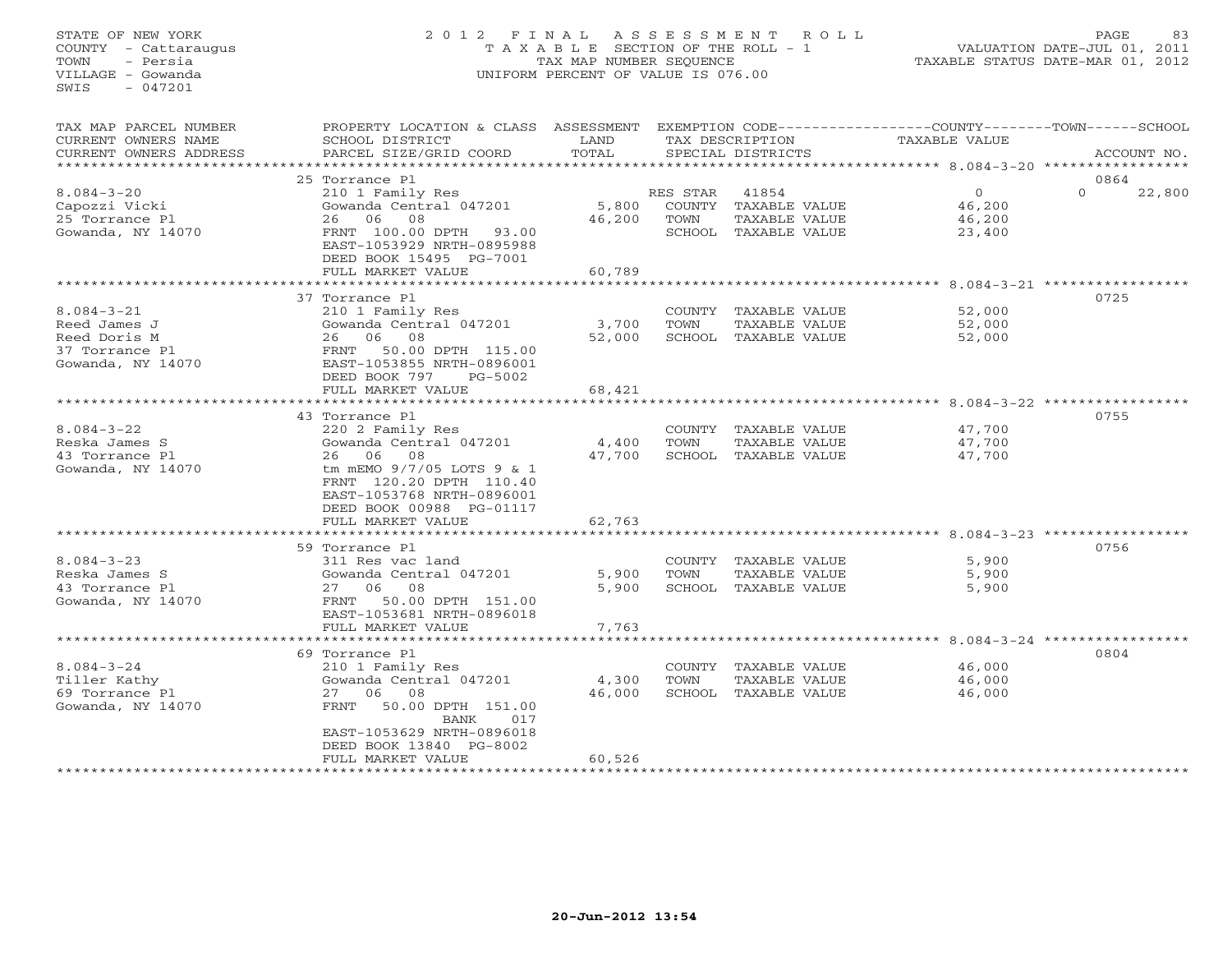# STATE OF NEW YORK 2 0 1 2 F I N A L A S S E S S M E N T R O L L PAGE 83 COUNTY - Cattaraugus T A X A B L E SECTION OF THE ROLL - 1 VALUATION DATE-JUL 01, 2011 TOWN - Persia TAX MAP NUMBER SEQUENCE TAXABLE STATUS DATE-MAR 01, 2012 VILLAGE - Gowanda UNIFORM PERCENT OF VALUE IS 076.00UNIFORM PERCENT OF VALUE IS 076.00

| TAX MAP PARCEL NUMBER<br>CURRENT OWNERS NAME<br>CURRENT OWNERS ADDRESS                  | PROPERTY LOCATION & CLASS<br>SCHOOL DISTRICT<br>PARCEL SIZE/GRID COORD                                                                                                                          | ASSESSMENT<br>LAND<br>TOTAL |                                      | TAX DESCRIPTION<br>SPECIAL DISTRICTS                     | EXEMPTION CODE----------------COUNTY-------TOWN-----SCHOOL<br>TAXABLE VALUE      | ACCOUNT NO.                |
|-----------------------------------------------------------------------------------------|-------------------------------------------------------------------------------------------------------------------------------------------------------------------------------------------------|-----------------------------|--------------------------------------|----------------------------------------------------------|----------------------------------------------------------------------------------|----------------------------|
|                                                                                         |                                                                                                                                                                                                 | *********                   |                                      |                                                          |                                                                                  |                            |
| $8.084 - 3 - 20$<br>Capozzi Vicki<br>25 Torrance Pl<br>Gowanda, NY 14070                | 25 Torrance Pl<br>210 1 Family Res<br>Gowanda Central 047201<br>06<br>08<br>26<br>FRNT 100.00 DPTH<br>93.00<br>EAST-1053929 NRTH-0895988                                                        | 5,800<br>46,200             | RES STAR<br>COUNTY<br>TOWN<br>SCHOOL | 41854<br>TAXABLE VALUE<br>TAXABLE VALUE<br>TAXABLE VALUE | $\overline{0}$<br>46,200<br>46,200<br>23,400                                     | 0864<br>$\Omega$<br>22,800 |
|                                                                                         | DEED BOOK 15495 PG-7001<br>FULL MARKET VALUE                                                                                                                                                    | 60,789                      |                                      |                                                          |                                                                                  |                            |
|                                                                                         | *********************                                                                                                                                                                           | ***********                 |                                      |                                                          | ********** 8.084-3-21 ************                                               |                            |
| $8.084 - 3 - 21$<br>Reed James J<br>Reed Doris M<br>37 Torrance Pl<br>Gowanda, NY 14070 | 37 Torrance Pl<br>210 1 Family Res<br>Gowanda Central 047201<br>06<br>08<br>26<br>50.00 DPTH 115.00<br>FRNT<br>EAST-1053855 NRTH-0896001<br>DEED BOOK 797<br>$PG-5002$<br>FULL MARKET VALUE     | 3,700<br>52,000<br>68,421   | COUNTY<br>TOWN                       | TAXABLE VALUE<br>TAXABLE VALUE<br>SCHOOL TAXABLE VALUE   | 52,000<br>52,000<br>52,000                                                       | 0725                       |
|                                                                                         |                                                                                                                                                                                                 |                             |                                      |                                                          | ******** 8.084-3-22                                                              |                            |
| $8.084 - 3 - 22$<br>Reska James S<br>43 Torrance Pl<br>Gowanda, NY 14070                | 43 Torrance Pl<br>220 2 Family Res<br>Gowanda Central 047201<br>06<br>08<br>26<br>tm mEMO 9/7/05 LOTS 9 & 1<br>FRNT 120.20 DPTH 110.40<br>EAST-1053768 NRTH-0896001<br>DEED BOOK 00988 PG-01117 | 4,400<br>47,700             | COUNTY<br>TOWN                       | TAXABLE VALUE<br>TAXABLE VALUE<br>SCHOOL TAXABLE VALUE   | 47,700<br>47,700<br>47,700                                                       | 0755                       |
|                                                                                         | FULL MARKET VALUE                                                                                                                                                                               | 62,763                      |                                      |                                                          |                                                                                  |                            |
| $8.084 - 3 - 23$<br>Reska James S<br>43 Torrance Pl                                     | *********************<br>59 Torrance Pl<br>311 Res vac land<br>Gowanda Central 047201<br>27<br>06<br>08                                                                                         | ********<br>5,900<br>5,900  | COUNTY<br>TOWN                       | TAXABLE VALUE<br>TAXABLE VALUE<br>SCHOOL TAXABLE VALUE   | *********************** 8.084-3-23 ******************<br>5,900<br>5,900<br>5,900 | 0756                       |
| Gowanda, NY 14070                                                                       | 50.00 DPTH 151.00<br>FRNT<br>EAST-1053681 NRTH-0896018<br>FULL MARKET VALUE                                                                                                                     | 7,763                       |                                      |                                                          |                                                                                  |                            |
|                                                                                         |                                                                                                                                                                                                 |                             |                                      |                                                          | $8.084 - 3 - 24$ ******                                                          |                            |
| $8.084 - 3 - 24$<br>Tiller Kathy<br>69 Torrance Pl<br>Gowanda, NY 14070                 | 69 Torrance Pl<br>210 1 Family Res<br>Gowanda Central 047201<br>06<br>08<br>27<br>50.00 DPTH 151.00<br>FRNT<br><b>BANK</b><br>017<br>EAST-1053629 NRTH-0896018                                  | 4,300<br>46,000             | COUNTY<br>TOWN                       | TAXABLE VALUE<br>TAXABLE VALUE<br>SCHOOL TAXABLE VALUE   | 46,000<br>46,000<br>46,000                                                       | 0804                       |
|                                                                                         | DEED BOOK 13840 PG-8002<br>FULL MARKET VALUE                                                                                                                                                    | 60,526                      |                                      |                                                          |                                                                                  |                            |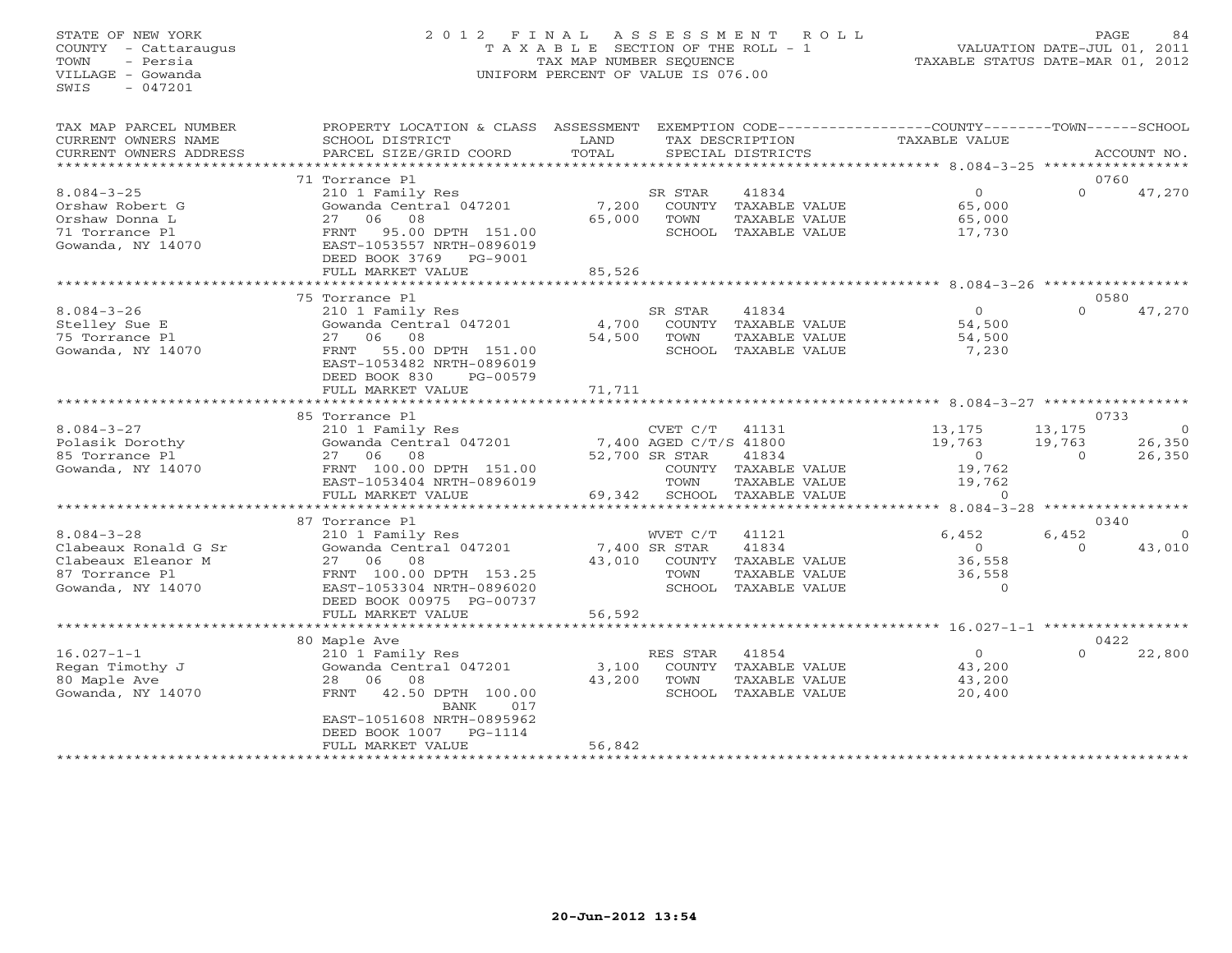# STATE OF NEW YORK 2 0 1 2 F I N A L A S S E S S M E N T R O L L PAGE 84 COUNTY - Cattaraugus T A X A B L E SECTION OF THE ROLL - 1 VALUATION DATE-JUL 01, 2011 TOWN - Persia TAX MAP NUMBER SEQUENCE TAXABLE STATUS DATE-MAR 01, 2012 VILLAGE - Gowanda UNIFORM PERCENT OF VALUE IS 076.00UNIFORM PERCENT OF VALUE IS 076.00

| TAX MAP PARCEL NUMBER<br>CURRENT OWNERS NAME<br>CURRENT OWNERS ADDRESS<br>*******************         | PROPERTY LOCATION & CLASS ASSESSMENT<br>SCHOOL DISTRICT<br>PARCEL SIZE/GRID COORD                                                                                                                                      | LAND<br>TOTAL             |                                                                        | TAX DESCRIPTION<br>SPECIAL DISTRICTS                                     | EXEMPTION CODE-----------------COUNTY-------TOWN------SCHOOL<br>TAXABLE VALUE |                              | ACCOUNT NO.                   |
|-------------------------------------------------------------------------------------------------------|------------------------------------------------------------------------------------------------------------------------------------------------------------------------------------------------------------------------|---------------------------|------------------------------------------------------------------------|--------------------------------------------------------------------------|-------------------------------------------------------------------------------|------------------------------|-------------------------------|
|                                                                                                       |                                                                                                                                                                                                                        |                           |                                                                        |                                                                          |                                                                               |                              |                               |
| $8.084 - 3 - 25$<br>Orshaw Robert G<br>Orshaw Donna L<br>71 Torrance Pl<br>Gowanda, NY 14070          | 71 Torrance Pl<br>210 1 Family Res<br>Gowanda Central 047201<br>08<br>27<br>06<br>95.00 DPTH 151.00<br>FRNT<br>EAST-1053557 NRTH-0896019<br>DEED BOOK 3769<br>PG-9001<br>FULL MARKET VALUE<br>************************ | 7,200<br>65,000<br>85,526 | SR STAR<br>TOWN                                                        | 41834<br>COUNTY TAXABLE VALUE<br>TAXABLE VALUE<br>SCHOOL TAXABLE VALUE   | $\circ$<br>65,000<br>65,000<br>17,730                                         | $\Omega$                     | 0760<br>47,270                |
|                                                                                                       | 75 Torrance Pl                                                                                                                                                                                                         |                           |                                                                        |                                                                          | *********************** 8.084-3-26 ************                               |                              | 0580                          |
| $8.084 - 3 - 26$<br>Stelley Sue E<br>75 Torrance Pl<br>Gowanda, NY 14070                              | 210 1 Family Res<br>Gowanda Central 047201<br>27<br>06<br>08<br>FRNT<br>55.00 DPTH 151.00<br>EAST-1053482 NRTH-0896019<br>DEED BOOK 830<br>PG-00579<br>FULL MARKET VALUE                                               | 4,700<br>54,500<br>71,711 | SR STAR<br>TOWN                                                        | 41834<br>COUNTY TAXABLE VALUE<br>TAXABLE VALUE<br>SCHOOL TAXABLE VALUE   | $\Omega$<br>54,500<br>54,500<br>7,230                                         | $\Omega$                     | 47,270                        |
|                                                                                                       |                                                                                                                                                                                                                        | * * * * * * * *           |                                                                        |                                                                          |                                                                               | $8.084 - 3 - 27$ **********  |                               |
|                                                                                                       | 85 Torrance Pl                                                                                                                                                                                                         |                           |                                                                        |                                                                          |                                                                               |                              | 0733                          |
| $8.084 - 3 - 27$<br>Polasik Dorothy<br>85 Torrance Pl<br>Gowanda, NY 14070                            | 210 1 Family Res<br>Gowanda Central 047201<br>27 06<br>08<br>FRNT 100.00 DPTH 151.00<br>EAST-1053404 NRTH-0896019<br>FULL MARKET VALUE                                                                                 | 69,342                    | CVET C/T<br>7,400 AGED C/T/S 41800<br>52,700 SR STAR<br>TOWN<br>SCHOOL | 41131<br>41834<br>COUNTY TAXABLE VALUE<br>TAXABLE VALUE<br>TAXABLE VALUE | 13,175<br>19,763<br>$\Omega$<br>19,762<br>19,762<br>$\Omega$                  | 13,175<br>19,763<br>$\Omega$ | $\circ$<br>26,350<br>26,350   |
|                                                                                                       | ************************                                                                                                                                                                                               |                           |                                                                        |                                                                          |                                                                               |                              | 8.084-3-28 ****************** |
| $8.084 - 3 - 28$<br>Clabeaux Ronald G Sr<br>Clabeaux Eleanor M<br>87 Torrance Pl<br>Gowanda, NY 14070 | 87 Torrance Pl<br>210 1 Family Res<br>Gowanda Central 047201<br>08<br>27 06<br>FRNT 100.00 DPTH 153.25<br>EAST-1053304 NRTH-0896020<br>DEED BOOK 00975 PG-00737<br>FULL MARKET VALUE                                   | 43,010<br>56,592          | WVET C/T<br>7,400 SR STAR<br>COUNTY<br>TOWN                            | 41121<br>41834<br>TAXABLE VALUE<br>TAXABLE VALUE<br>SCHOOL TAXABLE VALUE | 6,452<br>$\circ$<br>36,558<br>36,558<br>$\Omega$                              | 6,452<br>$\Omega$            | 0340<br>43,010                |
|                                                                                                       | *****************                                                                                                                                                                                                      | ***********               |                                                                        |                                                                          | ********** 16.027-1-1 ******************                                      |                              |                               |
|                                                                                                       | 80 Maple Ave                                                                                                                                                                                                           |                           |                                                                        |                                                                          |                                                                               |                              | 0422                          |
| $16.027 - 1 - 1$<br>Regan Timothy J<br>80 Maple Ave<br>Gowanda, NY 14070                              | 210 1 Family Res<br>Gowanda Central 047201<br>06<br>08<br>28<br>42.50 DPTH 100.00<br>FRNT<br>BANK<br>017<br>EAST-1051608 NRTH-0895962<br>DEED BOOK 1007<br>PG-1114<br>FULL MARKET VALUE                                | 3,100<br>43,200<br>56,842 | RES STAR<br>COUNTY<br>TOWN<br>SCHOOL                                   | 41854<br>TAXABLE VALUE<br>TAXABLE VALUE<br>TAXABLE VALUE                 | $\Omega$<br>43,200<br>43,200<br>20,400                                        | $\Omega$                     | 22,800                        |
|                                                                                                       |                                                                                                                                                                                                                        |                           |                                                                        |                                                                          |                                                                               |                              |                               |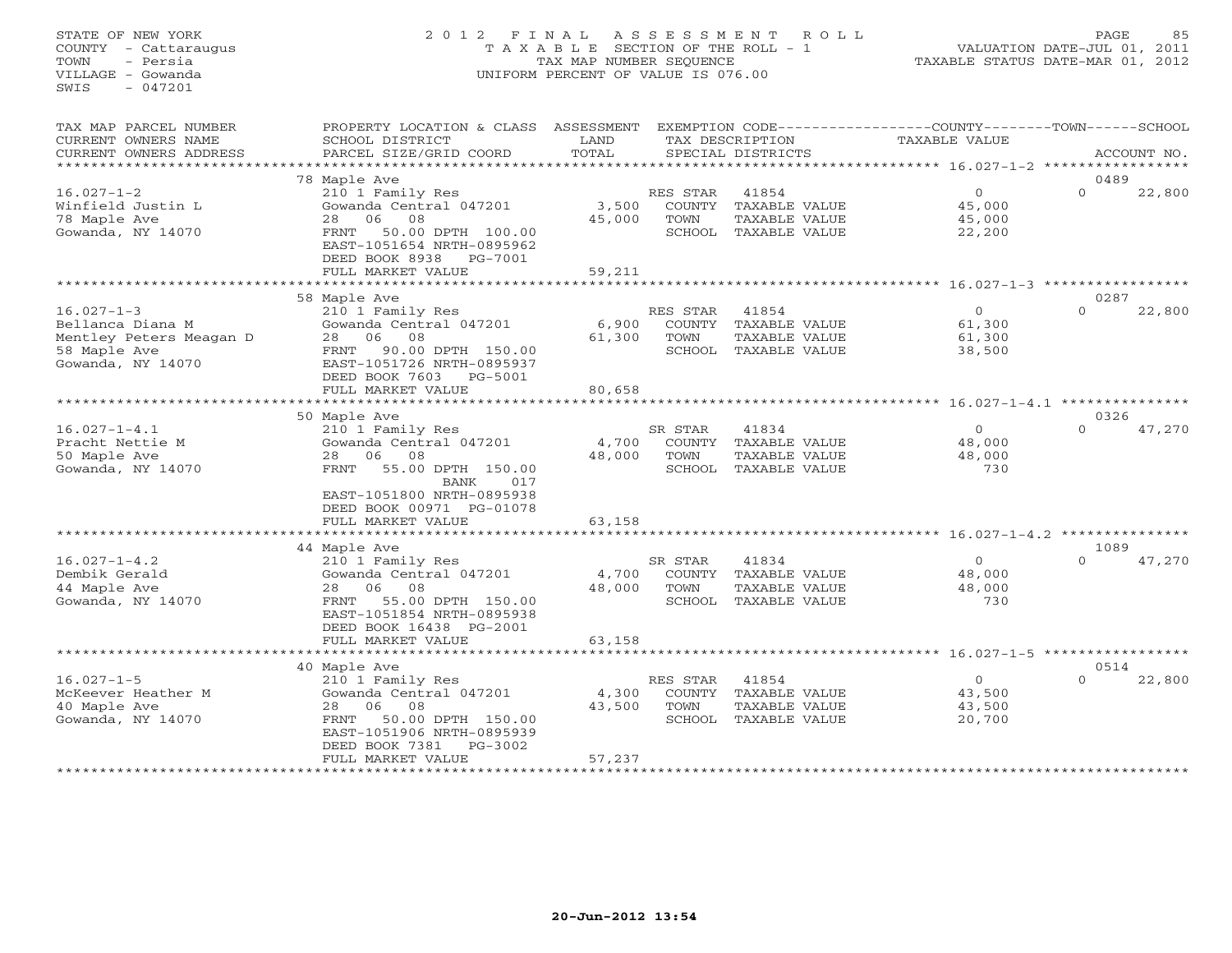# STATE OF NEW YORK 2 0 1 2 F I N A L A S S E S S M E N T R O L L PAGE 85 COUNTY - Cattaraugus T A X A B L E SECTION OF THE ROLL - 1 VALUATION DATE-JUL 01, 2011 TOWN - Persia TAX MAP NUMBER SEQUENCE TAXABLE STATUS DATE-MAR 01, 2012 VILLAGE - Gowanda UNIFORM PERCENT OF VALUE IS 076.00UNIFORM PERCENT OF VALUE IS 076.00

| TAX MAP PARCEL NUMBER   | PROPERTY LOCATION & CLASS  | ASSESSMENT |          |                      | EXEMPTION CODE-----------------COUNTY-------TOWN------SCHOOL |          |             |
|-------------------------|----------------------------|------------|----------|----------------------|--------------------------------------------------------------|----------|-------------|
| CURRENT OWNERS NAME     | SCHOOL DISTRICT            | LAND       |          | TAX DESCRIPTION      | TAXABLE VALUE                                                |          |             |
| CURRENT OWNERS ADDRESS  | PARCEL SIZE/GRID COORD     | TOTAL      |          | SPECIAL DISTRICTS    |                                                              |          | ACCOUNT NO. |
| *******************     | ************************** |            |          |                      |                                                              |          |             |
|                         | 78 Maple Ave               |            |          |                      |                                                              | 0489     |             |
| $16.027 - 1 - 2$        | 210 1 Family Res           |            | RES STAR | 41854                | $\Omega$                                                     | $\Omega$ | 22,800      |
| Winfield Justin L       | Gowanda Central 047201     | 3,500      | COUNTY   | TAXABLE VALUE        | 45,000                                                       |          |             |
| 78 Maple Ave            | 06 08<br>28                | 45,000     | TOWN     | TAXABLE VALUE        | 45,000                                                       |          |             |
| Gowanda, NY 14070       | 50.00 DPTH 100.00<br>FRNT  |            |          | SCHOOL TAXABLE VALUE | 22,200                                                       |          |             |
|                         | EAST-1051654 NRTH-0895962  |            |          |                      |                                                              |          |             |
|                         | DEED BOOK 8938<br>PG-7001  |            |          |                      |                                                              |          |             |
|                         | FULL MARKET VALUE          | 59,211     |          |                      |                                                              |          |             |
|                         |                            |            |          |                      |                                                              |          |             |
|                         | 58 Maple Ave               |            |          |                      |                                                              | 0287     |             |
| $16.027 - 1 - 3$        | 210 1 Family Res           |            | RES STAR | 41854                | $\Omega$                                                     | $\Omega$ | 22,800      |
| Bellanca Diana M        | Gowanda Central 047201     | 6,900      | COUNTY   | TAXABLE VALUE        | 61,300                                                       |          |             |
| Mentley Peters Meagan D | 28 06<br>08                | 61,300     | TOWN     | TAXABLE VALUE        | 61,300                                                       |          |             |
|                         |                            |            |          |                      |                                                              |          |             |
| 58 Maple Ave            | 90.00 DPTH 150.00<br>FRNT  |            |          | SCHOOL TAXABLE VALUE | 38,500                                                       |          |             |
| Gowanda, NY 14070       | EAST-1051726 NRTH-0895937  |            |          |                      |                                                              |          |             |
|                         | DEED BOOK 7603<br>PG-5001  |            |          |                      |                                                              |          |             |
|                         | FULL MARKET VALUE          | 80,658     |          |                      |                                                              |          |             |
|                         |                            |            |          |                      |                                                              |          |             |
|                         | 50 Maple Ave               |            |          |                      |                                                              | 0326     |             |
| $16.027 - 1 - 4.1$      | 210 1 Family Res           |            | SR STAR  | 41834                | $\Omega$                                                     | $\Omega$ | 47,270      |
| Pracht Nettie M         | Gowanda Central 047201     | 4,700      | COUNTY   | TAXABLE VALUE        | 48,000                                                       |          |             |
| 50 Maple Ave            | 28<br>06<br>08             | 48,000     | TOWN     | TAXABLE VALUE        | 48,000                                                       |          |             |
| Gowanda, NY 14070       | 55.00 DPTH 150.00<br>FRNT  |            | SCHOOL   | TAXABLE VALUE        | 730                                                          |          |             |
|                         | 017<br>BANK                |            |          |                      |                                                              |          |             |
|                         | EAST-1051800 NRTH-0895938  |            |          |                      |                                                              |          |             |
|                         | DEED BOOK 00971 PG-01078   |            |          |                      |                                                              |          |             |
|                         | FULL MARKET VALUE          | 63,158     |          |                      |                                                              |          |             |
|                         |                            |            |          |                      |                                                              |          |             |
|                         | 44 Maple Ave               |            |          |                      |                                                              | 1089     |             |
| $16.027 - 1 - 4.2$      | 210 1 Family Res           |            | SR STAR  | 41834                | $\Omega$                                                     | $\Omega$ | 47,270      |
| Dembik Gerald           | Gowanda Central 047201     | 4,700      | COUNTY   | TAXABLE VALUE        | 48,000                                                       |          |             |
| 44 Maple Ave            | 06 08<br>28                | 48,000     | TOWN     | TAXABLE VALUE        | 48,000                                                       |          |             |
| Gowanda, NY 14070       | 55.00 DPTH 150.00<br>FRNT  |            |          | SCHOOL TAXABLE VALUE | 730                                                          |          |             |
|                         | EAST-1051854 NRTH-0895938  |            |          |                      |                                                              |          |             |
|                         | DEED BOOK 16438 PG-2001    |            |          |                      |                                                              |          |             |
|                         | FULL MARKET VALUE          | 63,158     |          |                      |                                                              |          |             |
|                         |                            |            |          |                      |                                                              |          |             |
|                         | 40 Maple Ave               |            |          |                      |                                                              | 0514     |             |
| $16.027 - 1 - 5$        | 210 1 Family Res           |            | RES STAR | 41854                | $\circ$                                                      | $\Omega$ | 22,800      |
| McKeever Heather M      | Gowanda Central 047201     | 4,300      | COUNTY   | TAXABLE VALUE        | 43,500                                                       |          |             |
| 40 Maple Ave            | 28<br>06<br>08             | 43,500     | TOWN     | TAXABLE VALUE        | 43,500                                                       |          |             |
| Gowanda, NY 14070       | 50.00 DPTH 150.00<br>FRNT  |            |          | SCHOOL TAXABLE VALUE | 20,700                                                       |          |             |
|                         | EAST-1051906 NRTH-0895939  |            |          |                      |                                                              |          |             |
|                         | DEED BOOK 7381<br>PG-3002  |            |          |                      |                                                              |          |             |
|                         | FULL MARKET VALUE          | 57,237     |          |                      |                                                              |          |             |
|                         |                            |            |          |                      |                                                              |          |             |
|                         |                            |            |          |                      |                                                              |          |             |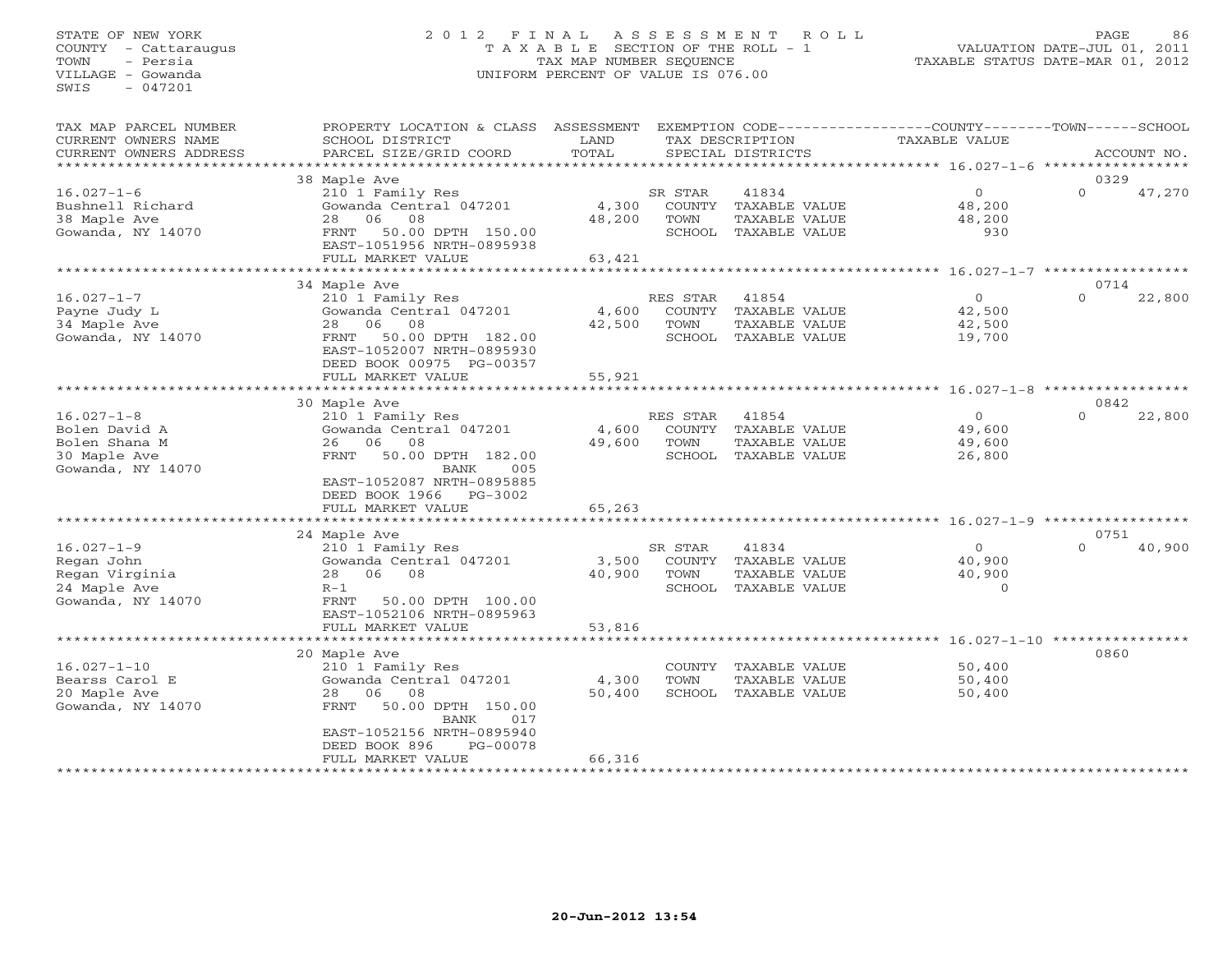# STATE OF NEW YORK 2 0 1 2 F I N A L A S S E S S M E N T R O L L PAGE 86 COUNTY - Cattaraugus T A X A B L E SECTION OF THE ROLL - 1 VALUATION DATE-JUL 01, 2011 TOWN - Persia TAX MAP NUMBER SEQUENCE TAXABLE STATUS DATE-MAR 01, 2012 VILLAGE - Gowanda UNIFORM PERCENT OF VALUE IS 076.00UNIFORM PERCENT OF VALUE IS 076.00

| TAX MAP PARCEL NUMBER<br>CURRENT OWNERS NAME | PROPERTY LOCATION & CLASS ASSESSMENT<br>SCHOOL DISTRICT | LAND       |                | TAX DESCRIPTION                | EXEMPTION CODE-----------------COUNTY-------TOWN-----SCHOOL<br>TAXABLE VALUE |                  |             |
|----------------------------------------------|---------------------------------------------------------|------------|----------------|--------------------------------|------------------------------------------------------------------------------|------------------|-------------|
| CURRENT OWNERS ADDRESS                       | PARCEL SIZE/GRID COORD                                  | TOTAL      |                | SPECIAL DISTRICTS              |                                                                              |                  | ACCOUNT NO. |
| ****************                             |                                                         |            |                |                                |                                                                              |                  |             |
|                                              | 38 Maple Ave                                            |            |                |                                |                                                                              | 0329             |             |
| $16.027 - 1 - 6$                             | 210 1 Family Res                                        | 4,300      | SR STAR        | 41834                          | $\circ$<br>48,200                                                            | $\Omega$         | 47,270      |
| Bushnell Richard<br>38 Maple Ave             | Gowanda Central 047201<br>06<br>08<br>2.8               | 48,200     | COUNTY<br>TOWN | TAXABLE VALUE<br>TAXABLE VALUE | 48,200                                                                       |                  |             |
| Gowanda, NY 14070                            | 50.00 DPTH 150.00<br>FRNT                               |            | SCHOOL         | TAXABLE VALUE                  | 930                                                                          |                  |             |
|                                              | EAST-1051956 NRTH-0895938                               |            |                |                                |                                                                              |                  |             |
|                                              | FULL MARKET VALUE                                       | 63,421     |                |                                |                                                                              |                  |             |
|                                              |                                                         |            |                |                                | ******** 16.027-1-7 ************                                             |                  |             |
|                                              | 34 Maple Ave                                            |            |                |                                |                                                                              | 0714             |             |
| $16.027 - 1 - 7$                             | 210 1 Family Res                                        |            | RES STAR       | 41854                          | $\circ$                                                                      | $\Omega$         | 22,800      |
| Payne Judy L                                 | Gowanda Central 047201                                  | 4,600      | COUNTY         | TAXABLE VALUE                  | 42,500                                                                       |                  |             |
| 34 Maple Ave                                 | 06<br>08<br>28                                          | 42,500     | TOWN           | TAXABLE VALUE                  | 42,500                                                                       |                  |             |
| Gowanda, NY 14070                            | FRNT<br>50.00 DPTH 182.00                               |            | SCHOOL         | TAXABLE VALUE                  | 19,700                                                                       |                  |             |
|                                              | EAST-1052007 NRTH-0895930                               |            |                |                                |                                                                              |                  |             |
|                                              | DEED BOOK 00975 PG-00357                                |            |                |                                |                                                                              |                  |             |
|                                              | FULL MARKET VALUE                                       | 55,921     |                |                                |                                                                              |                  |             |
|                                              | ****************                                        | ********** |                |                                | ************************ 16.027-1-8 ******************                       |                  |             |
|                                              | 30 Maple Ave                                            |            |                |                                |                                                                              | 0842             |             |
| $16.027 - 1 - 8$                             | 210 1 Family Res                                        |            | RES STAR       | 41854                          | $\circ$                                                                      | $\Omega$         | 22,800      |
| Bolen David A                                | Gowanda Central 047201                                  | 4,600      | COUNTY         | TAXABLE VALUE                  | 49,600                                                                       |                  |             |
| Bolen Shana M                                | 06<br>08<br>26                                          | 49,600     | TOWN           | <b>TAXABLE VALUE</b>           | 49,600                                                                       |                  |             |
| 30 Maple Ave                                 | <b>FRNT</b><br>50.00 DPTH 182.00                        |            | SCHOOL         | TAXABLE VALUE                  | 26,800                                                                       |                  |             |
| Gowanda, NY 14070                            | BANK<br>005                                             |            |                |                                |                                                                              |                  |             |
|                                              | EAST-1052087 NRTH-0895885                               |            |                |                                |                                                                              |                  |             |
|                                              | DEED BOOK 1966<br>PG-3002                               |            |                |                                |                                                                              |                  |             |
|                                              | FULL MARKET VALUE                                       | 65,263     |                |                                |                                                                              |                  |             |
|                                              |                                                         |            |                |                                | **** 16.027-1-9 *******                                                      |                  |             |
| $16.027 - 1 - 9$                             | 24 Maple Ave                                            |            | SR STAR        | 41834                          | $\circ$                                                                      | 0751<br>$\Omega$ |             |
| Regan John                                   | 210 1 Family Res<br>Gowanda Central 047201              | 3,500      | COUNTY         | TAXABLE VALUE                  | 40,900                                                                       |                  | 40,900      |
| Regan Virginia                               | 28<br>06<br>08                                          | 40,900     | TOWN           | TAXABLE VALUE                  | 40,900                                                                       |                  |             |
| 24 Maple Ave                                 | $R-1$                                                   |            | SCHOOL         | TAXABLE VALUE                  | $\Omega$                                                                     |                  |             |
| Gowanda, NY 14070                            | 50.00 DPTH 100.00<br>FRNT                               |            |                |                                |                                                                              |                  |             |
|                                              | EAST-1052106 NRTH-0895963                               |            |                |                                |                                                                              |                  |             |
|                                              | FULL MARKET VALUE                                       | 53,816     |                |                                |                                                                              |                  |             |
|                                              | **************************                              |            |                |                                |                                                                              |                  |             |
|                                              | 20 Maple Ave                                            |            |                |                                |                                                                              | 0860             |             |
| $16.027 - 1 - 10$                            | 210 1 Family Res                                        |            | COUNTY         | TAXABLE VALUE                  | 50,400                                                                       |                  |             |
| Bearss Carol E                               | Gowanda Central 047201                                  | 4,300      | TOWN           | TAXABLE VALUE                  | 50,400                                                                       |                  |             |
| 20 Maple Ave                                 | 06<br>28<br>08                                          | 50,400     | SCHOOL         | TAXABLE VALUE                  | 50,400                                                                       |                  |             |
| Gowanda, NY 14070                            | 50.00 DPTH 150.00<br>FRNT                               |            |                |                                |                                                                              |                  |             |
|                                              | 017<br>BANK                                             |            |                |                                |                                                                              |                  |             |
|                                              | EAST-1052156 NRTH-0895940                               |            |                |                                |                                                                              |                  |             |
|                                              | DEED BOOK 896<br>PG-00078                               |            |                |                                |                                                                              |                  |             |
|                                              | FULL MARKET VALUE                                       | 66,316     |                |                                |                                                                              |                  |             |
|                                              |                                                         |            |                |                                |                                                                              |                  |             |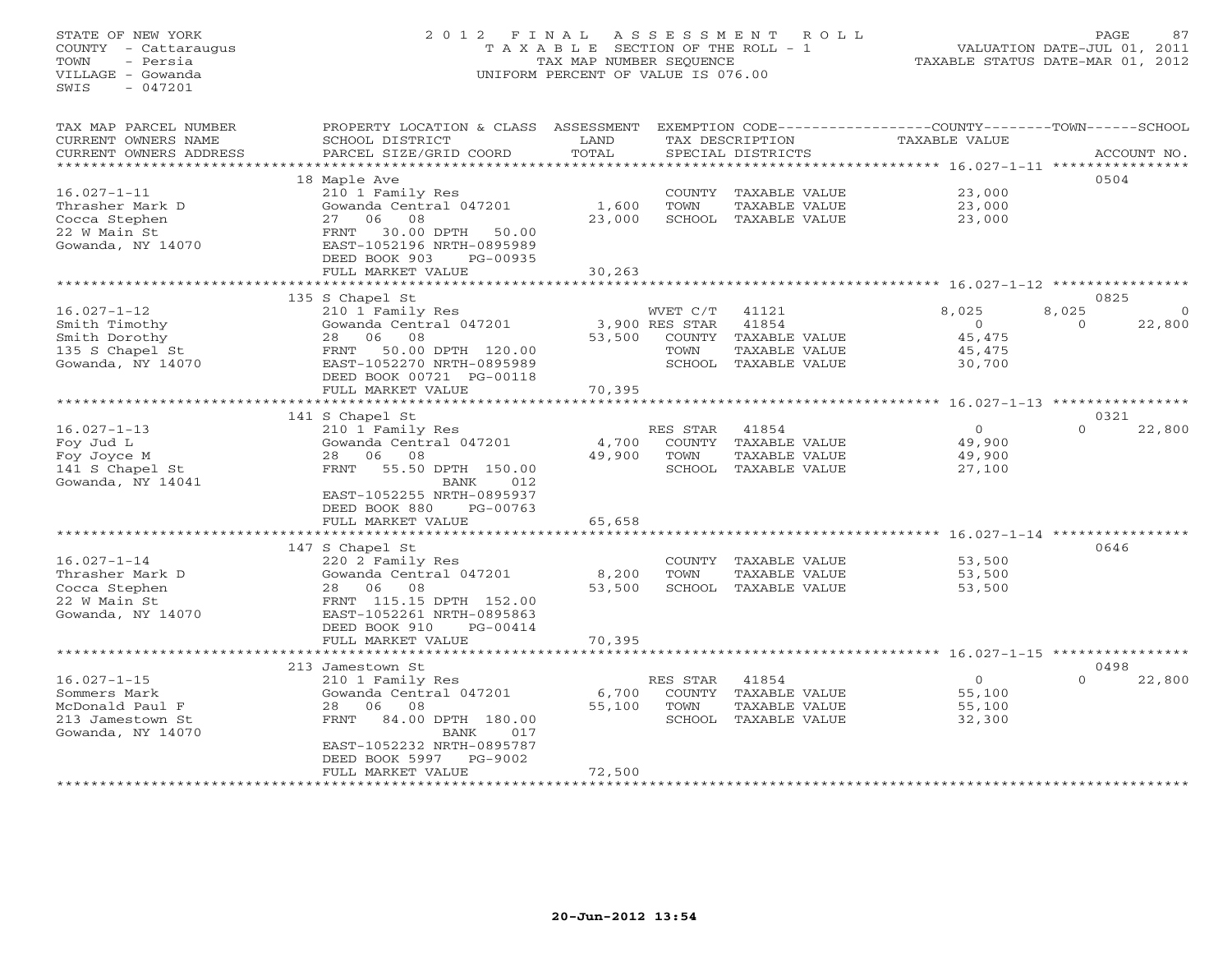STATE OF NEW YORK 2 0 1 2 F I N A L A S S E S S M E N T R O L L PAGE 87 COUNTY - Cattaraugus T A X A B L E SECTION OF THE ROLL - 1 VALUATION DATE-JUL 01, 2011 TOWN - Persia TAX MAP NUMBER SEQUENCE TAXABLE STATUS DATE-MAR 01, 2012 VILLAGE - Gowanda UNIFORM PERCENT OF VALUE IS 076.00 SWIS - 047201TAX MAP PARCEL NUMBER PROPERTY LOCATION & CLASS ASSESSMENT EXEMPTION CODE-----------------COUNTY-------TOWN------SCHOOL<br>CURRENT OWNERS NAME SCHOOL DISTRICT LAND T SCHOOL DISTRICT LAND TAX DESCRIPTION TAXABLE VALUE CURRENT OWNERS ADDRESS PARCEL SIZE/GRID COORD TOTAL SPECIAL DISTRICTS ACCOUNT NO. \*\*\*\*\*\*\*\*\*\*\*\*\*\*\*\*\*\*\*\*\*\*\*\*\*\*\*\*\*\*\*\*\*\*\*\*\*\*\*\*\*\*\*\*\*\*\*\*\*\*\*\*\*\*\*\*\*\*\*\*\*\*\*\*\*\*\*\*\*\*\*\*\*\*\*\*\*\*\*\*\*\*\*\*\*\*\*\*\*\*\*\*\*\*\*\*\*\*\*\*\*\*\* 16.027-1-11 \*\*\*\*\*\*\*\*\*\*\*\*\*\*\*\* 18 Maple Ave 0504 16.027-1-11 210 1 Family Res COUNTY TAXABLE VALUE 23,000 Thrasher Mark D Gowanda Central 047201 1,600 TOWN TAXABLE VALUE 23,000 Cocca Stephen 27 06 08 23,000 SCHOOL TAXABLE VALUE 23,000 22 W Main St FRNT 30.00 DPTH 50.00 Gowanda, NY 14070 EAST-1052196 NRTH-0895989 DEED BOOK 903 PG-00935 FULL MARKET VALUE 30,263 \*\*\*\*\*\*\*\*\*\*\*\*\*\*\*\*\*\*\*\*\*\*\*\*\*\*\*\*\*\*\*\*\*\*\*\*\*\*\*\*\*\*\*\*\*\*\*\*\*\*\*\*\*\*\*\*\*\*\*\*\*\*\*\*\*\*\*\*\*\*\*\*\*\*\*\*\*\*\*\*\*\*\*\*\*\*\*\*\*\*\*\*\*\*\*\*\*\*\*\*\*\*\* 16.027-1-12 \*\*\*\*\*\*\*\*\*\*\*\*\*\*\*\*0825 135 S Chapel St 0825 16.027-1-12 210 1 Family Res WVET C/T 41121 8,025 8,025 0 Smith Timothy Gowanda Central 047201 3,900 RES STAR 41854 0 0 22,800 Smith Dorothy 28 06 08 53,500 COUNTY TAXABLE VALUE 45,475 135 S Chapel St FRNT 50.00 DPTH 120.00 TOWN TAXABLE VALUE 45,475 Gowanda, NY 14070 EAST-1052270 NRTH-0895989 SCHOOL TAXABLE VALUE 30,700 DEED BOOK 00721 PG-00118 FULL MARKET VALUE 70,395 \*\*\*\*\*\*\*\*\*\*\*\*\*\*\*\*\*\*\*\*\*\*\*\*\*\*\*\*\*\*\*\*\*\*\*\*\*\*\*\*\*\*\*\*\*\*\*\*\*\*\*\*\*\*\*\*\*\*\*\*\*\*\*\*\*\*\*\*\*\*\*\*\*\*\*\*\*\*\*\*\*\*\*\*\*\*\*\*\*\*\*\*\*\*\*\*\*\*\*\*\*\*\* 16.027-1-13 \*\*\*\*\*\*\*\*\*\*\*\*\*\*\*\* 141 S Chapel St 0321 16.027-1-13 210 1 Family Res RES STAR 41854 0 0 22,800 Foy Jud L Gowanda Central 047201 4,700 COUNTY TAXABLE VALUE 49,900 Foy Joyce M 28 06 08 49,900 TOWN TAXABLE VALUE 49,900 141 S Chapel St FRNT 55.50 DPTH 150.00 SCHOOL TAXABLE VALUE 27,100 Gowanda, NY 14041 BANK 012 EAST-1052255 NRTH-0895937 DEED BOOK 880 PG-00763 THE TEXT WAS SERVED ON THE SERVED BOOK 380 PG-00763<br>FULL MARKET VALUE 65,658 \*\*\*\*\*\*\*\*\*\*\*\*\*\*\*\*\*\*\*\*\*\*\*\*\*\*\*\*\*\*\*\*\*\*\*\*\*\*\*\*\*\*\*\*\*\*\*\*\*\*\*\*\*\*\*\*\*\*\*\*\*\*\*\*\*\*\*\*\*\*\*\*\*\*\*\*\*\*\*\*\*\*\*\*\*\*\*\*\*\*\*\*\*\*\*\*\*\*\*\*\*\*\* 16.027-1-14 \*\*\*\*\*\*\*\*\*\*\*\*\*\*\*\* $147$  S Chapel St<br> $147$  S Chapel St<br> $220$  2 Family Res<br> $220$  2 Family Res<br> $220$  2 Family Res<br> $220$  2 Family Res 16.027-1-14 220 2 Family Res COUNTY TAXABLE VALUE 53,500 Thrasher Mark D Gowanda Central 047201 8,200 TOWN TAXABLE VALUE 53,500 Cocca Stephen 28 06 08 53,500 SCHOOL TAXABLE VALUE 53,500 22 W Main St FRNT 115.15 DPTH 152.00 Gowanda, NY 14070 EAST-1052261 NRTH-0895863 DEED BOOK 910 PG-00414 FULL MARKET VALUE 70,395 \*\*\*\*\*\*\*\*\*\*\*\*\*\*\*\*\*\*\*\*\*\*\*\*\*\*\*\*\*\*\*\*\*\*\*\*\*\*\*\*\*\*\*\*\*\*\*\*\*\*\*\*\*\*\*\*\*\*\*\*\*\*\*\*\*\*\*\*\*\*\*\*\*\*\*\*\*\*\*\*\*\*\*\*\*\*\*\*\*\*\*\*\*\*\*\*\*\*\*\*\*\*\* 16.027-1-15 \*\*\*\*\*\*\*\*\*\*\*\*\*\*\*\* 213 Jamestown St 0498 $0 \t 22,800$ 16.027-1-15 210 1 Family Res RES STAR 41854 0 0 22,800 Sommers Mark Gowanda Central 047201 6,700 COUNTY TAXABLE VALUE 55,100 McDonald Paul F 28 06 08 55,100 TOWN TAXABLE VALUE 55,100 213 Jamestown St FRNT 84.00 DPTH 180.00 SCHOOL TAXABLE VALUE 32,300 Gowanda, NY 14070 BANK 017 EAST-1052232 NRTH-0895787 DEED BOOK 5997 PG-9002 FULL MARKET VALUE 72,500 \*\*\*\*\*\*\*\*\*\*\*\*\*\*\*\*\*\*\*\*\*\*\*\*\*\*\*\*\*\*\*\*\*\*\*\*\*\*\*\*\*\*\*\*\*\*\*\*\*\*\*\*\*\*\*\*\*\*\*\*\*\*\*\*\*\*\*\*\*\*\*\*\*\*\*\*\*\*\*\*\*\*\*\*\*\*\*\*\*\*\*\*\*\*\*\*\*\*\*\*\*\*\*\*\*\*\*\*\*\*\*\*\*\*\*\*\*\*\*\*\*\*\*\*\*\*\*\*\*\*\*\*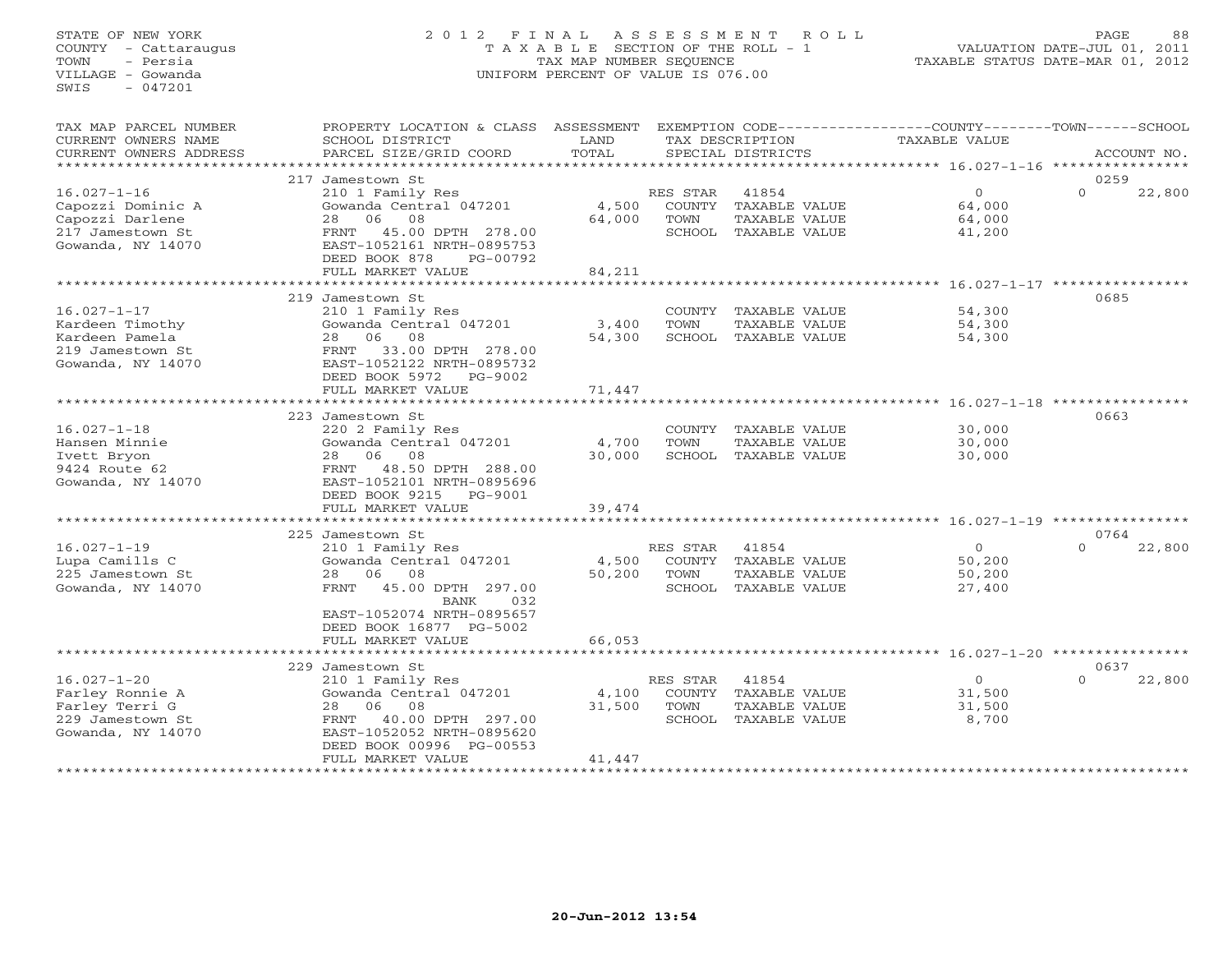# STATE OF NEW YORK 2 0 1 2 F I N A L A S S E S S M E N T R O L L PAGE 88 COUNTY - Cattaraugus T A X A B L E SECTION OF THE ROLL - 1 VALUATION DATE-JUL 01, 2011 TOWN - Persia TAX MAP NUMBER SEQUENCE TAXABLE STATUS DATE-MAR 01, 2012 VILLAGE - Gowanda UNIFORM PERCENT OF VALUE IS 076.00UNIFORM PERCENT OF VALUE IS 076.00

| TAX MAP PARCEL NUMBER<br>CURRENT OWNERS NAME<br>CURRENT OWNERS ADDRESS                             | PROPERTY LOCATION & CLASS ASSESSMENT<br>SCHOOL DISTRICT<br>PARCEL SIZE/GRID COORD                                                                                                            | LAND<br>TOTAL             |                            | TAX DESCRIPTION<br>SPECIAL DISTRICTS                                   | EXEMPTION CODE----------------COUNTY-------TOWN-----SCHOOL<br><b>TAXABLE VALUE</b> | ACCOUNT NO.                |
|----------------------------------------------------------------------------------------------------|----------------------------------------------------------------------------------------------------------------------------------------------------------------------------------------------|---------------------------|----------------------------|------------------------------------------------------------------------|------------------------------------------------------------------------------------|----------------------------|
| *******************                                                                                |                                                                                                                                                                                              |                           |                            |                                                                        |                                                                                    |                            |
|                                                                                                    | 217 Jamestown St                                                                                                                                                                             |                           |                            |                                                                        |                                                                                    | 0259                       |
| $16.027 - 1 - 16$<br>Capozzi Dominic A<br>Capozzi Darlene<br>217 Jamestown St<br>Gowanda, NY 14070 | 210 1 Family Res<br>Gowanda Central 047201<br>28<br>06<br>08<br>45.00 DPTH 278.00<br>FRNT<br>EAST-1052161 NRTH-0895753<br>DEED BOOK 878<br>PG-00792                                          | 4,500<br>64,000           | RES STAR<br>TOWN           | 41854<br>COUNTY TAXABLE VALUE<br>TAXABLE VALUE<br>SCHOOL TAXABLE VALUE | $\circ$<br>64,000<br>64,000<br>41,200                                              | $\Omega$<br>22,800         |
|                                                                                                    | FULL MARKET VALUE                                                                                                                                                                            | 84,211                    |                            |                                                                        |                                                                                    |                            |
|                                                                                                    | **********************                                                                                                                                                                       | * * * * * * * * * *       |                            |                                                                        | *********************** 16.027-1-17 ****************                               |                            |
| $16.027 - 1 - 17$<br>Kardeen Timothy<br>Kardeen Pamela<br>219 Jamestown St<br>Gowanda, NY 14070    | 219 Jamestown St<br>210 1 Family Res<br>Gowanda Central 047201<br>06<br>08<br>28<br>33.00 DPTH 278.00<br>FRNT<br>EAST-1052122 NRTH-0895732<br>DEED BOOK 5972<br>PG-9002<br>FULL MARKET VALUE | 3,400<br>54,300<br>71,447 | TOWN<br>SCHOOL             | COUNTY TAXABLE VALUE<br>TAXABLE VALUE<br>TAXABLE VALUE                 | 54,300<br>54,300<br>54,300                                                         | 0685                       |
|                                                                                                    | **********************                                                                                                                                                                       |                           |                            |                                                                        | ******************************** 16.027-1-18 *********                             |                            |
| $16.027 - 1 - 18$<br>Hansen Minnie<br>Ivett Bryon<br>9424 Route 62<br>Gowanda, NY 14070            | 223 Jamestown St<br>220 2 Family Res<br>Gowanda Central 047201<br>06<br>08<br>28<br>48.50 DPTH 288.00<br>FRNT<br>EAST-1052101 NRTH-0895696<br>DEED BOOK 9215<br>PG-9001<br>FULL MARKET VALUE | 4,700<br>30,000<br>39,474 | TOWN                       | COUNTY TAXABLE VALUE<br>TAXABLE VALUE<br>SCHOOL TAXABLE VALUE          | 30,000<br>30,000<br>30,000                                                         | 0663                       |
|                                                                                                    | *******************                                                                                                                                                                          |                           |                            |                                                                        |                                                                                    |                            |
| $16.027 - 1 - 19$<br>Lupa Camills C<br>225 Jamestown St<br>Gowanda, NY 14070                       | 225 Jamestown St<br>210 1 Family Res<br>Gowanda Central 047201<br>06<br>08<br>28<br>45.00 DPTH 297.00<br>FRNT<br><b>BANK</b><br>032<br>EAST-1052074 NRTH-0895657<br>DEED BOOK 16877 PG-5002  | 4,500<br>50,200           | RES STAR<br>TOWN<br>SCHOOL | 41854<br>COUNTY TAXABLE VALUE<br>TAXABLE VALUE<br>TAXABLE VALUE        | $\circ$<br>50,200<br>50,200<br>27,400                                              | 0764<br>$\Omega$<br>22,800 |
|                                                                                                    | FULL MARKET VALUE                                                                                                                                                                            | 66,053                    |                            |                                                                        |                                                                                    |                            |
|                                                                                                    | **********************                                                                                                                                                                       |                           |                            |                                                                        |                                                                                    |                            |
| $16.027 - 1 - 20$<br>Farley Ronnie A<br>Farley Terri G<br>229 Jamestown St<br>Gowanda, NY 14070    | 229 Jamestown St<br>210 1 Family Res<br>Gowanda Central 047201<br>06<br>08<br>28<br>40.00 DPTH 297.00<br>FRNT<br>EAST-1052052 NRTH-0895620<br>DEED BOOK 00996 PG-00553<br>FULL MARKET VALUE  | 4,100<br>31,500<br>41,447 | RES STAR<br>COUNTY<br>TOWN | 41854<br>TAXABLE VALUE<br>TAXABLE VALUE<br>SCHOOL TAXABLE VALUE        | $\mathbf{O}$<br>31,500<br>31,500<br>8,700                                          | 0637<br>$\Omega$<br>22,800 |
|                                                                                                    |                                                                                                                                                                                              |                           |                            |                                                                        |                                                                                    |                            |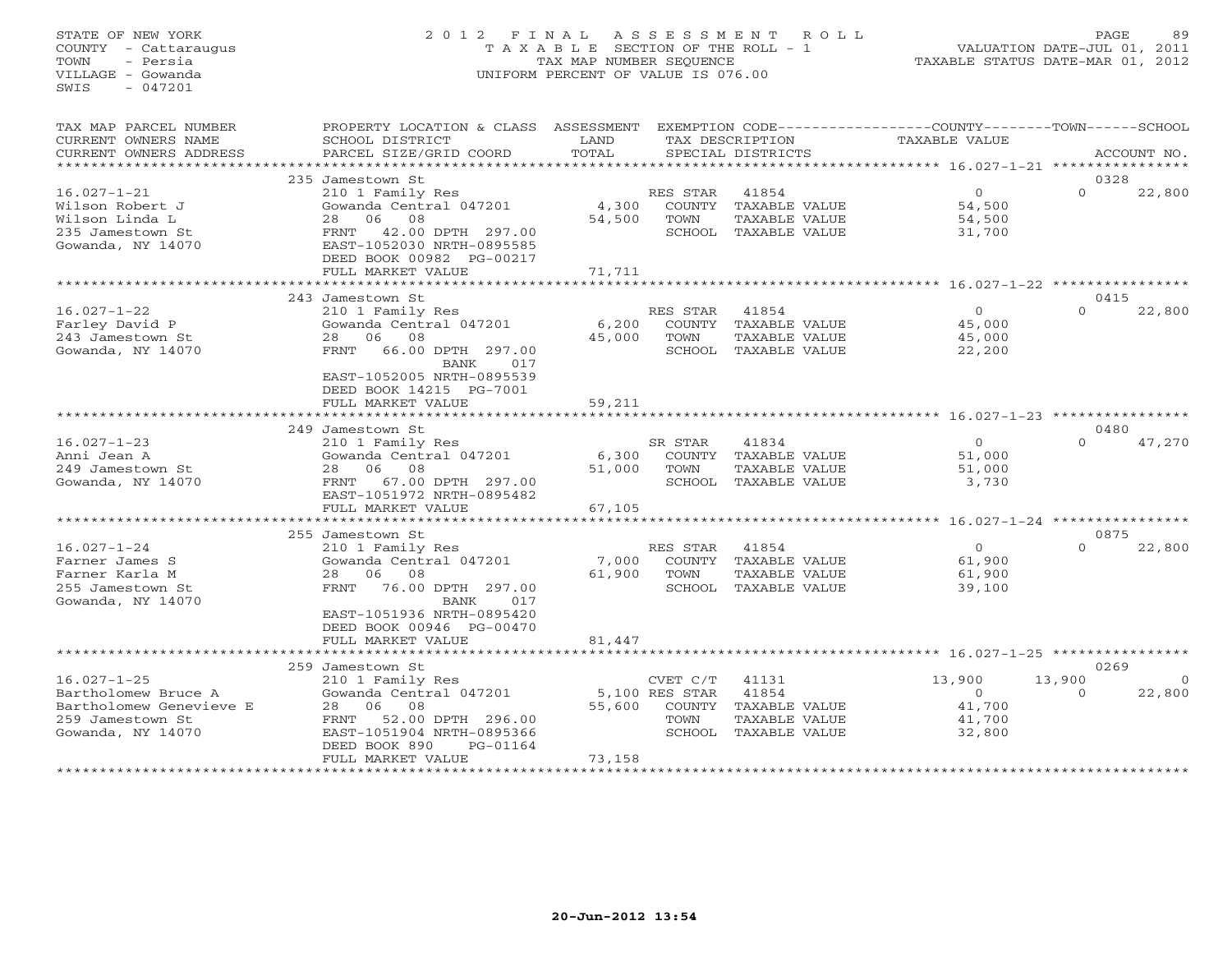# STATE OF NEW YORK 2 0 1 2 F I N A L A S S E S S M E N T R O L L PAGE 89 COUNTY - Cattaraugus T A X A B L E SECTION OF THE ROLL - 1 VALUATION DATE-JUL 01, 2011 TOWN - Persia TAX MAP NUMBER SEQUENCE TAXABLE STATUS DATE-MAR 01, 2012 VILLAGE - Gowanda UNIFORM PERCENT OF VALUE IS 076.00UNIFORM PERCENT OF VALUE IS 076.00

| TAX MAP PARCEL NUMBER<br>CURRENT OWNERS NAME<br>CURRENT OWNERS ADDRESS                                       | PROPERTY LOCATION & CLASS ASSESSMENT<br>SCHOOL DISTRICT<br>PARCEL SIZE/GRID COORD                                                                                                                 | LAND<br>TOTAL             |                                                        | TAX DESCRIPTION<br>SPECIAL DISTRICTS                                   | EXEMPTION CODE-----------------COUNTY-------TOWN------SCHOOL<br>TAXABLE VALUE |                    | ACCOUNT NO. |
|--------------------------------------------------------------------------------------------------------------|---------------------------------------------------------------------------------------------------------------------------------------------------------------------------------------------------|---------------------------|--------------------------------------------------------|------------------------------------------------------------------------|-------------------------------------------------------------------------------|--------------------|-------------|
| *******************                                                                                          |                                                                                                                                                                                                   |                           |                                                        |                                                                        |                                                                               |                    |             |
|                                                                                                              | 235 Jamestown St                                                                                                                                                                                  |                           |                                                        |                                                                        |                                                                               | 0328               |             |
| $16.027 - 1 - 21$<br>Wilson Robert J<br>Wilson Linda L<br>235 Jamestown St<br>Gowanda, NY 14070              | 210 1 Family Res<br>Gowanda Central 047201<br>06<br>08<br>28<br>42.00 DPTH 297.00<br>FRNT<br>EAST-1052030 NRTH-0895585<br>DEED BOOK 00982 PG-00217<br>FULL MARKET VALUE                           | 4,300<br>54,500<br>71,711 | RES STAR<br>TOWN<br>SCHOOL                             | 41854<br>COUNTY TAXABLE VALUE<br>TAXABLE VALUE<br>TAXABLE VALUE        | $\Omega$<br>54,500<br>54,500<br>31,700                                        | $\Omega$           | 22,800      |
|                                                                                                              |                                                                                                                                                                                                   |                           |                                                        | *******************************                                        | *********** 16.027-1-22 *****************                                     |                    |             |
|                                                                                                              | 243 Jamestown St                                                                                                                                                                                  |                           |                                                        |                                                                        |                                                                               | 0415               |             |
| $16.027 - 1 - 22$<br>Farley David P<br>243 Jamestown St<br>Gowanda, NY 14070                                 | 210 1 Family Res<br>Gowanda Central 047201<br>08<br>06<br>28<br>66.00 DPTH 297.00<br>FRNT<br>BANK<br>017<br>EAST-1052005 NRTH-0895539<br>DEED BOOK 14215 PG-7001                                  | 6,200<br>45,000           | RES STAR<br>TOWN                                       | 41854<br>COUNTY TAXABLE VALUE<br>TAXABLE VALUE<br>SCHOOL TAXABLE VALUE | $\circ$<br>45,000<br>45,000<br>22,200                                         | $\Omega$           | 22,800      |
|                                                                                                              | FULL MARKET VALUE                                                                                                                                                                                 | 59,211                    |                                                        |                                                                        |                                                                               |                    |             |
|                                                                                                              |                                                                                                                                                                                                   |                           |                                                        |                                                                        | *********************************** 16.027-1-23 *******                       |                    |             |
|                                                                                                              | 249 Jamestown St                                                                                                                                                                                  |                           |                                                        |                                                                        |                                                                               | 0480               |             |
| $16.027 - 1 - 23$<br>Anni Jean A<br>249 Jamestown St<br>Gowanda, NY 14070                                    | 210 1 Family Res<br>Gowanda Central 047201<br>08<br>06<br>28<br>FRNT 67.00 DPTH 297.00<br>EAST-1051972 NRTH-0895482<br>FULL MARKET VALUE                                                          | 6,300<br>51,000<br>67,105 | SR STAR<br>COUNTY<br>TOWN                              | 41834<br>TAXABLE VALUE<br>TAXABLE VALUE<br>SCHOOL TAXABLE VALUE        | $\circ$<br>51,000<br>51,000<br>3,730                                          | $\Omega$           | 47,270      |
|                                                                                                              |                                                                                                                                                                                                   |                           |                                                        |                                                                        | ******** 16.027-1-24 ******                                                   |                    |             |
|                                                                                                              | 255 Jamestown St                                                                                                                                                                                  |                           |                                                        |                                                                        |                                                                               | 0875               |             |
| $16.027 - 1 - 24$<br>Farner James S<br>Farner Karla M<br>255 Jamestown St<br>Gowanda, NY 14070               | 210 1 Family Res<br>Gowanda Central 047201<br>08<br>28<br>06<br>76.00 DPTH 297.00<br>FRNT<br>BANK<br>017<br>EAST-1051936 NRTH-0895420<br>DEED BOOK 00946 PG-00470<br>FULL MARKET VALUE            | 7,000<br>61,900<br>81,447 | RES STAR<br>TOWN                                       | 41854<br>COUNTY TAXABLE VALUE<br>TAXABLE VALUE<br>SCHOOL TAXABLE VALUE | $\Omega$<br>61,900<br>61,900<br>39,100                                        | $\Omega$           | 22,800      |
|                                                                                                              | ******************                                                                                                                                                                                | *******                   |                                                        |                                                                        | ************* 16.027-1-25 *****************                                   |                    |             |
|                                                                                                              | 259 Jamestown St                                                                                                                                                                                  |                           |                                                        |                                                                        |                                                                               | 0269               |             |
| $16.027 - 1 - 25$<br>Bartholomew Bruce A<br>Bartholomew Genevieve E<br>259 Jamestown St<br>Gowanda, NY 14070 | 210 1 Family Res<br>Gowanda Central 047201<br>28<br>06<br>08<br>52.00 DPTH 296.00<br>FRNT<br>EAST-1051904 NRTH-0895366<br>DEED BOOK 890<br>PG-01164<br>FULL MARKET VALUE<br>********************* | 55,600<br>73,158          | CVET C/T<br>5,100 RES STAR<br>COUNTY<br>TOWN<br>SCHOOL | 41131<br>41854<br>TAXABLE VALUE<br>TAXABLE VALUE<br>TAXABLE VALUE      | 13,900<br>$\circ$<br>41,700<br>41,700<br>32,800                               | 13,900<br>$\Omega$ | 22,800      |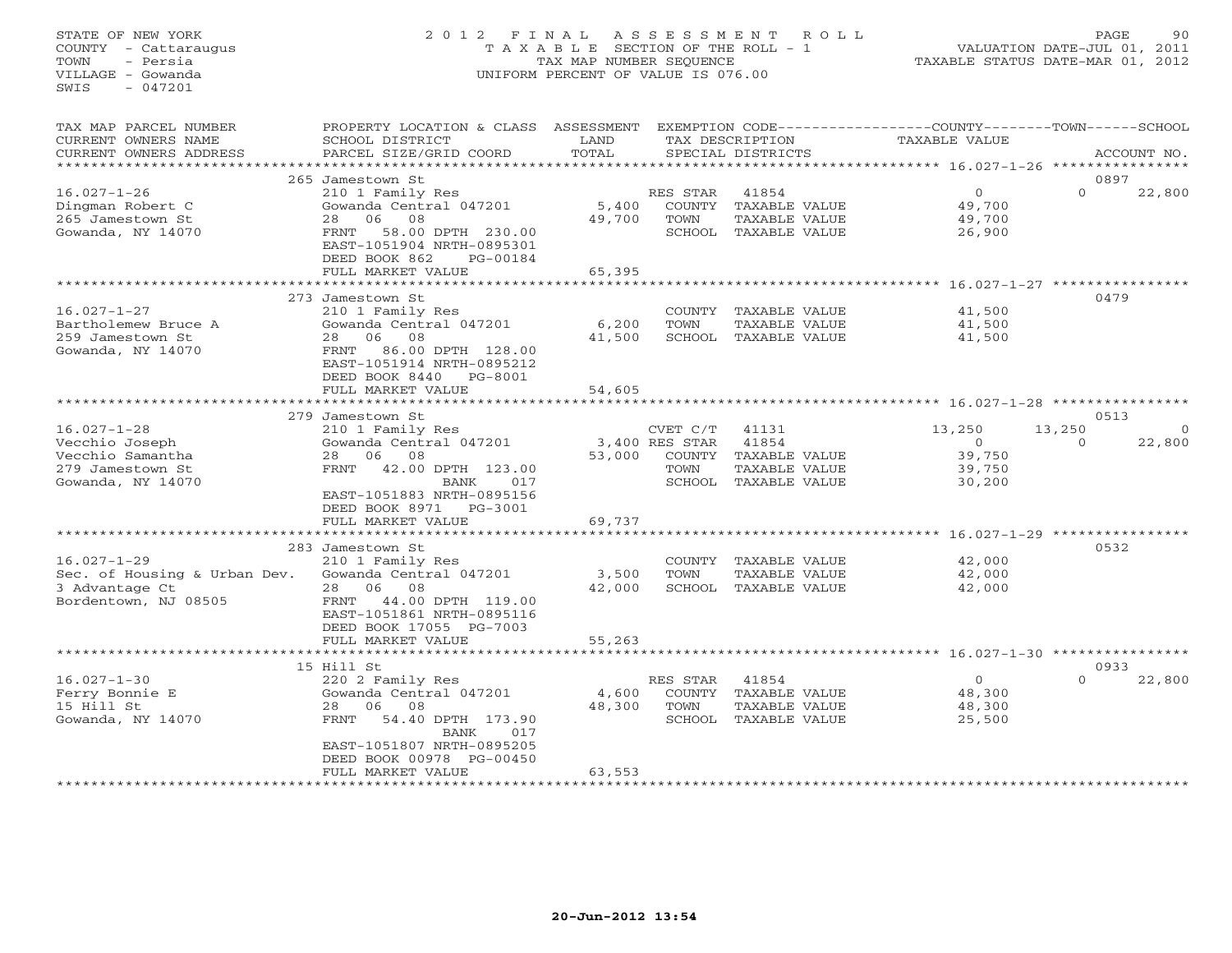# STATE OF NEW YORK 2 0 1 2 F I N A L A S S E S S M E N T R O L L PAGE 90 COUNTY - Cattaraugus T A X A B L E SECTION OF THE ROLL - 1 VALUATION DATE-JUL 01, 2011 TOWN - Persia TAX MAP NUMBER SEQUENCE TAXABLE STATUS DATE-MAR 01, 2012 VILLAGE - Gowanda UNIFORM PERCENT OF VALUE IS 076.00UNIFORM PERCENT OF VALUE IS 076.00

| TAX MAP PARCEL NUMBER<br>CURRENT OWNERS NAME<br>CURRENT OWNERS ADDRESS                           | PROPERTY LOCATION & CLASS<br>SCHOOL DISTRICT<br>PARCEL SIZE/GRID COORD                                                                                                                 | ASSESSMENT<br>LAND<br>TOTAL |                                              | TAX DESCRIPTION<br>SPECIAL DISTRICTS                                     | EXEMPTION CODE-----------------COUNTY-------TOWN-----SCHOOL<br><b>TAXABLE VALUE</b> |                    | ACCOUNT NO.        |
|--------------------------------------------------------------------------------------------------|----------------------------------------------------------------------------------------------------------------------------------------------------------------------------------------|-----------------------------|----------------------------------------------|--------------------------------------------------------------------------|-------------------------------------------------------------------------------------|--------------------|--------------------|
|                                                                                                  |                                                                                                                                                                                        |                             |                                              |                                                                          |                                                                                     |                    |                    |
| $16.027 - 1 - 26$<br>Dingman Robert C<br>265 Jamestown St<br>Gowanda, NY 14070                   | 265 Jamestown St<br>210 1 Family Res<br>Gowanda Central 047201<br>28<br>06<br>08<br>58.00 DPTH 230.00<br>FRNT<br>EAST-1051904 NRTH-0895301                                             | 5,400<br>49,700             | RES STAR<br>COUNTY<br>TOWN                   | 41854<br>TAXABLE VALUE<br>TAXABLE VALUE<br>SCHOOL TAXABLE VALUE          | $\circ$<br>49,700<br>49,700<br>26,900                                               | $\Omega$           | 0897<br>22,800     |
|                                                                                                  | DEED BOOK 862<br>PG-00184<br>FULL MARKET VALUE<br>**********************                                                                                                               | 65,395                      |                                              |                                                                          |                                                                                     |                    |                    |
|                                                                                                  | 273 Jamestown St                                                                                                                                                                       |                             |                                              |                                                                          |                                                                                     |                    | 0479               |
| $16.027 - 1 - 27$<br>Bartholemew Bruce A<br>259 Jamestown St<br>Gowanda, NY 14070                | 210 1 Family Res<br>Gowanda Central 047201<br>08<br>28<br>06<br>86.00 DPTH 128.00<br>FRNT<br>EAST-1051914 NRTH-0895212<br>DEED BOOK 8440<br>PG-8001                                    | 6,200<br>41,500             | COUNTY<br>TOWN                               | TAXABLE VALUE<br>TAXABLE VALUE<br>SCHOOL TAXABLE VALUE                   | 41,500<br>41,500<br>41,500                                                          |                    |                    |
|                                                                                                  | FULL MARKET VALUE                                                                                                                                                                      | 54,605                      |                                              |                                                                          |                                                                                     |                    |                    |
|                                                                                                  |                                                                                                                                                                                        |                             |                                              |                                                                          |                                                                                     |                    |                    |
|                                                                                                  | 279 Jamestown St                                                                                                                                                                       |                             |                                              |                                                                          |                                                                                     |                    | 0513               |
| $16.027 - 1 - 28$<br>Vecchio Joseph<br>Vecchio Samantha<br>279 Jamestown St<br>Gowanda, NY 14070 | 210 1 Family Res<br>Gowanda Central 047201<br>28 06<br>08<br>42.00 DPTH 123.00<br>FRNT<br><b>BANK</b><br>017<br>EAST-1051883 NRTH-0895156<br>DEED BOOK 8971<br>PG-3001                 | 53,000                      | CVET C/T<br>3,400 RES STAR<br>COUNTY<br>TOWN | 41131<br>41854<br>TAXABLE VALUE<br>TAXABLE VALUE<br>SCHOOL TAXABLE VALUE | 13,250<br>$\circ$<br>39,750<br>39,750<br>30,200                                     | 13,250<br>$\Omega$ | $\Omega$<br>22,800 |
|                                                                                                  | FULL MARKET VALUE                                                                                                                                                                      | 69,737                      |                                              |                                                                          |                                                                                     |                    |                    |
|                                                                                                  | **************<br>283 Jamestown St                                                                                                                                                     |                             |                                              |                                                                          | ********** 16.027-1-29 **********                                                   |                    | 0532               |
| $16.027 - 1 - 29$<br>Sec. of Housing & Urban Dev.<br>3 Advantage Ct<br>Bordentown, NJ 08505      | 210 1 Family Res<br>Gowanda Central 047201<br>28 06<br>08<br>FRNT 44.00 DPTH 119.00<br>EAST-1051861 NRTH-0895116<br>DEED BOOK 17055 PG-7003                                            | 3,500<br>42,000             | COUNTY<br>TOWN<br>SCHOOL                     | TAXABLE VALUE<br>TAXABLE VALUE<br>TAXABLE VALUE                          | 42,000<br>42,000<br>42,000                                                          |                    |                    |
|                                                                                                  | FULL MARKET VALUE                                                                                                                                                                      | 55,263                      |                                              |                                                                          |                                                                                     |                    |                    |
|                                                                                                  |                                                                                                                                                                                        |                             |                                              |                                                                          |                                                                                     |                    |                    |
| $16.027 - 1 - 30$<br>Ferry Bonnie E<br>15 Hill St<br>Gowanda, NY 14070                           | 15 Hill St<br>220 2 Family Res<br>Gowanda Central 047201<br>28<br>06<br>08<br>FRNT<br>54.40 DPTH 173.90<br><b>BANK</b><br>017<br>EAST-1051807 NRTH-0895205<br>DEED BOOK 00978 PG-00450 | 4,600<br>48,300             | RES STAR<br>COUNTY<br>TOWN                   | 41854<br>TAXABLE VALUE<br>TAXABLE VALUE<br>SCHOOL TAXABLE VALUE          | $\circ$<br>48,300<br>48,300<br>25,500                                               | $\Omega$           | 0933<br>22,800     |
|                                                                                                  | FULL MARKET VALUE<br>*******************                                                                                                                                               | 63,553                      |                                              |                                                                          |                                                                                     |                    |                    |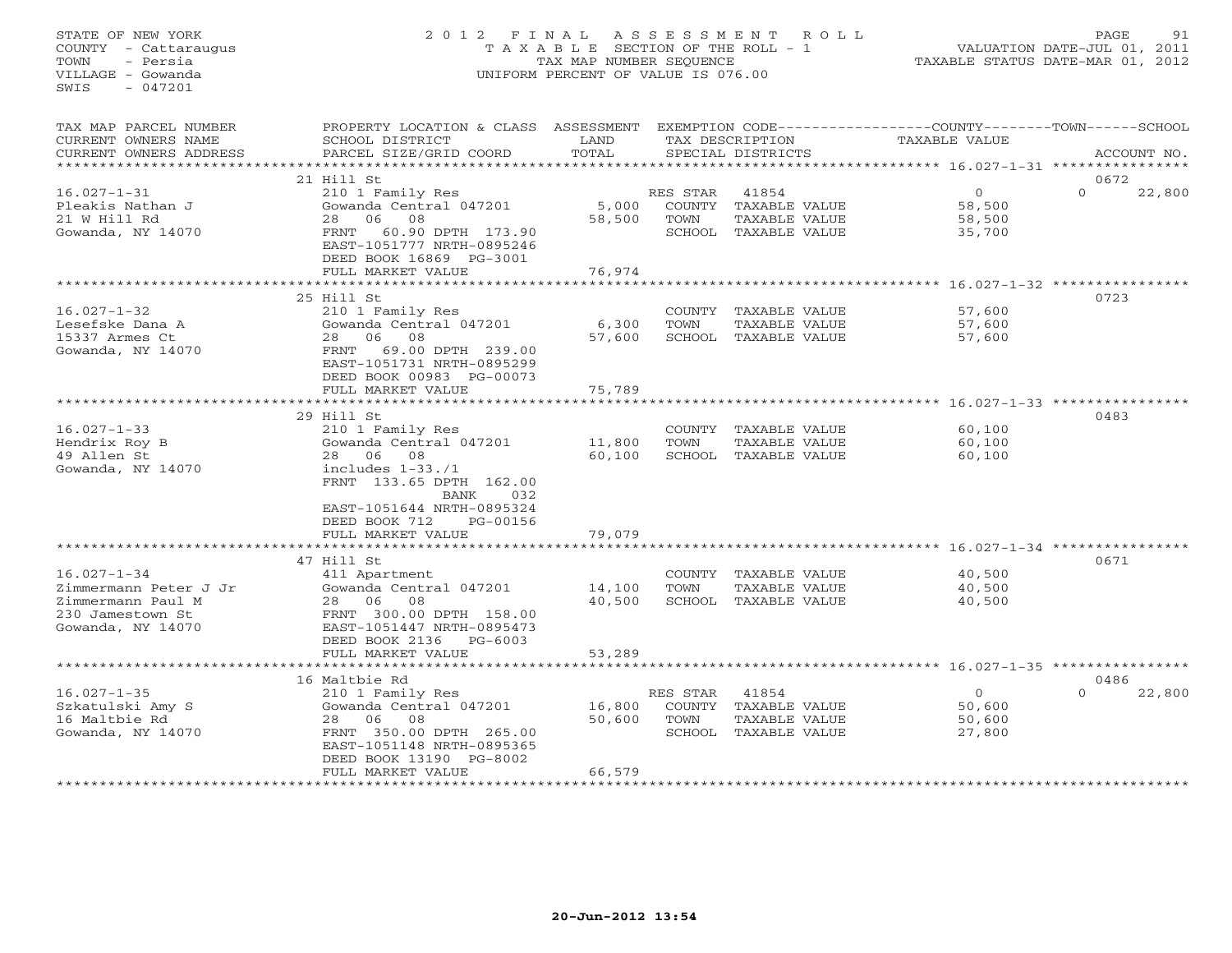# STATE OF NEW YORK 2 0 1 2 F I N A L A S S E S S M E N T R O L L PAGE 91 COUNTY - Cattaraugus T A X A B L E SECTION OF THE ROLL - 1 VALUATION DATE-JUL 01, 2011 TOWN - Persia TAX MAP NUMBER SEQUENCE TAXABLE STATUS DATE-MAR 01, 2012 VILLAGE - Gowanda UNIFORM PERCENT OF VALUE IS 076.00UNIFORM PERCENT OF VALUE IS 076.00

| TAX MAP PARCEL NUMBER<br>CURRENT OWNERS NAME<br>CURRENT OWNERS ADDRESS     | PROPERTY LOCATION & CLASS ASSESSMENT<br>SCHOOL DISTRICT<br>PARCEL SIZE/GRID COORD         | LAND<br>TOTAL        |                  | TAX DESCRIPTION<br>SPECIAL DISTRICTS                                   | EXEMPTION CODE-----------------COUNTY-------TOWN-----SCHOOL<br><b>TAXABLE VALUE</b> | ACCOUNT NO.        |
|----------------------------------------------------------------------------|-------------------------------------------------------------------------------------------|----------------------|------------------|------------------------------------------------------------------------|-------------------------------------------------------------------------------------|--------------------|
| ********************                                                       |                                                                                           |                      |                  |                                                                        |                                                                                     |                    |
|                                                                            | 21 Hill St                                                                                |                      |                  |                                                                        |                                                                                     | 0672               |
| $16.027 - 1 - 31$<br>Pleakis Nathan J<br>21 W Hill Rd<br>Gowanda, NY 14070 | 210 1 Family Res<br>Gowanda Central 047201<br>06<br>08<br>28<br>60.90 DPTH 173.90<br>FRNT | 5,000<br>58,500      | RES STAR<br>TOWN | 41854<br>COUNTY TAXABLE VALUE<br>TAXABLE VALUE<br>SCHOOL TAXABLE VALUE | $\circ$<br>58,500<br>58,500<br>35,700                                               | $\Omega$<br>22,800 |
|                                                                            | EAST-1051777 NRTH-0895246<br>DEED BOOK 16869 PG-3001<br>FULL MARKET VALUE                 | 76,974               |                  |                                                                        |                                                                                     |                    |
|                                                                            |                                                                                           |                      |                  |                                                                        | ********** 16.027-1-32 **********                                                   |                    |
|                                                                            | 25 Hill St                                                                                |                      |                  |                                                                        |                                                                                     | 0723               |
| $16.027 - 1 - 32$                                                          | 210 1 Family Res                                                                          |                      | COUNTY           | TAXABLE VALUE                                                          | 57,600                                                                              |                    |
| Lesefske Dana A                                                            | Gowanda Central 047201                                                                    | 6,300                | TOWN             | TAXABLE VALUE                                                          | 57,600                                                                              |                    |
| 15337 Armes Ct                                                             | 06<br>08<br>28                                                                            | 57,600               |                  | SCHOOL TAXABLE VALUE                                                   | 57,600                                                                              |                    |
| Gowanda, NY 14070                                                          | FRNT<br>69.00 DPTH 239.00<br>EAST-1051731 NRTH-0895299                                    |                      |                  |                                                                        |                                                                                     |                    |
|                                                                            | DEED BOOK 00983 PG-00073<br>FULL MARKET VALUE                                             | 75,789               |                  |                                                                        |                                                                                     |                    |
|                                                                            |                                                                                           |                      |                  |                                                                        | $16.027 - 1 - 33$ ****                                                              |                    |
|                                                                            | 29 Hill St                                                                                |                      |                  |                                                                        |                                                                                     | 0483               |
| $16.027 - 1 - 33$                                                          | 210 1 Family Res                                                                          |                      |                  | COUNTY TAXABLE VALUE                                                   | 60,100                                                                              |                    |
| Hendrix Roy B                                                              | Gowanda Central 047201                                                                    | 11,800               | TOWN             | TAXABLE VALUE                                                          | 60,100                                                                              |                    |
| 49 Allen St                                                                | 28 06 08                                                                                  | 60,100               |                  | SCHOOL TAXABLE VALUE                                                   | 60,100                                                                              |                    |
| Gowanda, NY 14070                                                          | includes $1-33.71$<br>FRNT 133.65 DPTH 162.00<br>BANK<br>032                              |                      |                  |                                                                        |                                                                                     |                    |
|                                                                            | EAST-1051644 NRTH-0895324                                                                 |                      |                  |                                                                        |                                                                                     |                    |
|                                                                            | DEED BOOK 712<br>PG-00156                                                                 |                      |                  |                                                                        |                                                                                     |                    |
|                                                                            | FULL MARKET VALUE<br>********************                                                 | 79,079<br>********** |                  |                                                                        |                                                                                     |                    |
|                                                                            | 47 Hill St                                                                                |                      |                  |                                                                        |                                                                                     | 0671               |
| $16.027 - 1 - 34$                                                          | 411 Apartment                                                                             |                      |                  | COUNTY TAXABLE VALUE                                                   | 40,500                                                                              |                    |
| Zimmermann Peter J Jr                                                      | Gowanda Central 047201                                                                    | 14,100               | TOWN             | TAXABLE VALUE                                                          | 40,500                                                                              |                    |
| Zimmermann Paul M                                                          | 08<br>28 06                                                                               | 40,500               |                  | SCHOOL TAXABLE VALUE                                                   | 40,500                                                                              |                    |
| 230 Jamestown St                                                           | FRNT 300.00 DPTH 158.00                                                                   |                      |                  |                                                                        |                                                                                     |                    |
| Gowanda, NY 14070                                                          | EAST-1051447 NRTH-0895473                                                                 |                      |                  |                                                                        |                                                                                     |                    |
|                                                                            | DEED BOOK 2136<br>$PG-6003$                                                               |                      |                  |                                                                        |                                                                                     |                    |
|                                                                            | FULL MARKET VALUE                                                                         | 53,289               |                  |                                                                        |                                                                                     |                    |
|                                                                            |                                                                                           |                      |                  |                                                                        | ********************* 16.027-1-35 *****************                                 |                    |
|                                                                            | 16 Maltbie Rd                                                                             |                      |                  |                                                                        |                                                                                     | 0486<br>$\Omega$   |
| $16.027 - 1 - 35$                                                          | 210 1 Family Res<br>Gowanda Central 047201                                                | 16,800               | RES STAR         | 41854<br>COUNTY TAXABLE VALUE                                          | $\overline{0}$<br>50,600                                                            | 22,800             |
| Szkatulski Amy S<br>16 Maltbie Rd                                          | 08<br>28<br>06                                                                            | 50,600               | TOWN             | TAXABLE VALUE                                                          | 50,600                                                                              |                    |
| Gowanda, NY 14070                                                          | FRNT 350.00 DPTH 265.00                                                                   |                      |                  | SCHOOL TAXABLE VALUE                                                   | 27,800                                                                              |                    |
|                                                                            | EAST-1051148 NRTH-0895365                                                                 |                      |                  |                                                                        |                                                                                     |                    |
|                                                                            | DEED BOOK 13190 PG-8002                                                                   |                      |                  |                                                                        |                                                                                     |                    |
|                                                                            | FULL MARKET VALUE                                                                         | 66,579               |                  |                                                                        |                                                                                     |                    |
|                                                                            | *************************                                                                 | **************       |                  |                                                                        |                                                                                     |                    |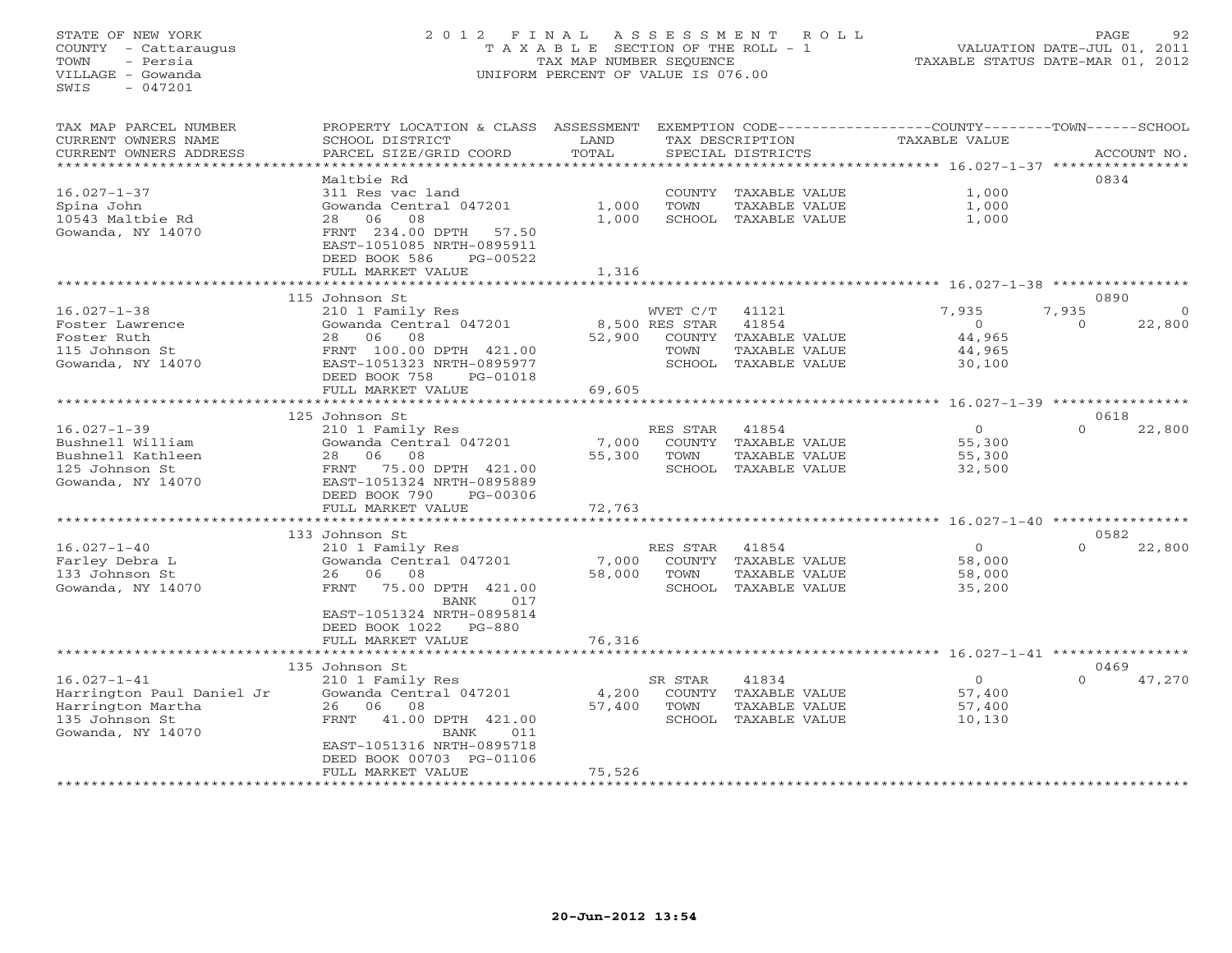# STATE OF NEW YORK 2 0 1 2 F I N A L A S S E S S M E N T R O L L PAGE 92 COUNTY - Cattaraugus T A X A B L E SECTION OF THE ROLL - 1 VALUATION DATE-JUL 01, 2011 TOWN - Persia TAX MAP NUMBER SEQUENCE TAXABLE STATUS DATE-MAR 01, 2012 VILLAGE - Gowanda UNIFORM PERCENT OF VALUE IS 076.00UNIFORM PERCENT OF VALUE IS 076.00

| TAX MAP PARCEL NUMBER     | PROPERTY LOCATION & CLASS ASSESSMENT |        |                |                      | EXEMPTION CODE----------------COUNTY-------TOWN------SCHOOL |          |             |
|---------------------------|--------------------------------------|--------|----------------|----------------------|-------------------------------------------------------------|----------|-------------|
| CURRENT OWNERS NAME       | SCHOOL DISTRICT                      | LAND   |                | TAX DESCRIPTION      | TAXABLE VALUE                                               |          |             |
| CURRENT OWNERS ADDRESS    | PARCEL SIZE/GRID COORD               | TOTAL  |                | SPECIAL DISTRICTS    |                                                             |          | ACCOUNT NO. |
| *********************     |                                      |        |                |                      |                                                             |          |             |
|                           | Maltbie Rd                           |        |                |                      |                                                             | 0834     |             |
| $16.027 - 1 - 37$         | 311 Res vac land                     |        |                | COUNTY TAXABLE VALUE | 1,000                                                       |          |             |
| Spina John                | Gowanda Central 047201               | 1,000  | TOWN           | TAXABLE VALUE        | 1,000                                                       |          |             |
| 10543 Maltbie Rd          | 06<br>08<br>28                       | 1,000  |                | SCHOOL TAXABLE VALUE | 1,000                                                       |          |             |
| Gowanda, NY 14070         | FRNT 234.00 DPTH<br>57.50            |        |                |                      |                                                             |          |             |
|                           | EAST-1051085 NRTH-0895911            |        |                |                      |                                                             |          |             |
|                           | DEED BOOK 586<br>PG-00522            |        |                |                      |                                                             |          |             |
|                           | FULL MARKET VALUE                    | 1,316  |                |                      |                                                             |          |             |
|                           | *********************                |        |                |                      |                                                             |          |             |
|                           | 115 Johnson St                       |        |                |                      |                                                             | 0890     |             |
| $16.027 - 1 - 38$         | 210 1 Family Res                     |        | WVET C/T       | 41121                | 7,935                                                       | 7,935    | $\circ$     |
| Foster Lawrence           | Gowanda Central 047201               |        | 8,500 RES STAR | 41854                | $\circ$                                                     | $\Omega$ | 22,800      |
| Foster Ruth               | 28 06 08                             | 52,900 |                | COUNTY TAXABLE VALUE | 44,965                                                      |          |             |
| 115 Johnson St            | FRNT 100.00 DPTH 421.00              |        | TOWN           | TAXABLE VALUE        | 44,965                                                      |          |             |
| Gowanda, NY 14070         | EAST-1051323 NRTH-0895977            |        |                | SCHOOL TAXABLE VALUE | 30,100                                                      |          |             |
|                           | DEED BOOK 758<br>PG-01018            |        |                |                      |                                                             |          |             |
|                           | FULL MARKET VALUE                    | 69,605 |                |                      |                                                             |          |             |
|                           | ********************************     |        |                |                      |                                                             |          |             |
|                           | 125 Johnson St                       |        |                |                      |                                                             | 0618     |             |
| $16.027 - 1 - 39$         | 210 1 Family Res                     |        | RES STAR       | 41854                | $\overline{0}$                                              | $\Omega$ | 22,800      |
| Bushnell William          | Gowanda Central 047201               | 7,000  |                | COUNTY TAXABLE VALUE | 55,300                                                      |          |             |
| Bushnell Kathleen         | 08<br>28 06                          | 55,300 | TOWN           | TAXABLE VALUE        | 55,300                                                      |          |             |
| 125 Johnson St            | FRNT 75.00 DPTH 421.00               |        |                | SCHOOL TAXABLE VALUE | 32,500                                                      |          |             |
| Gowanda, NY 14070         | EAST-1051324 NRTH-0895889            |        |                |                      |                                                             |          |             |
|                           | DEED BOOK 790<br>PG-00306            |        |                |                      |                                                             |          |             |
|                           | FULL MARKET VALUE                    | 72,763 |                |                      |                                                             |          |             |
|                           | ************************             |        |                |                      |                                                             |          |             |
|                           | 133 Johnson St                       |        |                |                      |                                                             | 0582     |             |
| $16.027 - 1 - 40$         | 210 1 Family Res                     |        | RES STAR       | 41854                | $\overline{0}$                                              | $\cap$   | 22,800      |
| Farley Debra L            | Gowanda Central 047201               | 7,000  |                | COUNTY TAXABLE VALUE | 58,000                                                      |          |             |
| 133 Johnson St            | 26 06 08                             | 58,000 | TOWN           | TAXABLE VALUE        | 58,000                                                      |          |             |
| Gowanda, NY 14070         | FRNT 75.00 DPTH 421.00               |        |                | SCHOOL TAXABLE VALUE | 35,200                                                      |          |             |
|                           | 017<br>BANK                          |        |                |                      |                                                             |          |             |
|                           | EAST-1051324 NRTH-0895814            |        |                |                      |                                                             |          |             |
|                           | DEED BOOK 1022 PG-880                |        |                |                      |                                                             |          |             |
|                           | FULL MARKET VALUE                    | 76,316 |                |                      |                                                             |          |             |
|                           | ********************************     |        |                |                      |                                                             |          |             |
|                           | 135 Johnson St                       |        |                |                      |                                                             | 0469     |             |
| $16.027 - 1 - 41$         | 210 1 Family Res                     |        | SR STAR        | 41834                | $\overline{0}$                                              | $\Omega$ | 47,270      |
| Harrington Paul Daniel Jr | Gowanda Central 047201               | 4,200  |                | COUNTY TAXABLE VALUE | 57,400                                                      |          |             |
| Harrington Martha         | 06<br>08<br>26                       | 57,400 | TOWN           | TAXABLE VALUE        | 57,400                                                      |          |             |
| 135 Johnson St            | FRNT<br>41.00 DPTH 421.00            |        |                | SCHOOL TAXABLE VALUE | 10,130                                                      |          |             |
| Gowanda, NY 14070         | <b>BANK</b><br>011                   |        |                |                      |                                                             |          |             |
|                           | EAST-1051316 NRTH-0895718            |        |                |                      |                                                             |          |             |
|                           | DEED BOOK 00703 PG-01106             |        |                |                      |                                                             |          |             |
|                           | FULL MARKET VALUE                    | 75,526 |                |                      |                                                             |          |             |
|                           |                                      |        |                |                      |                                                             |          |             |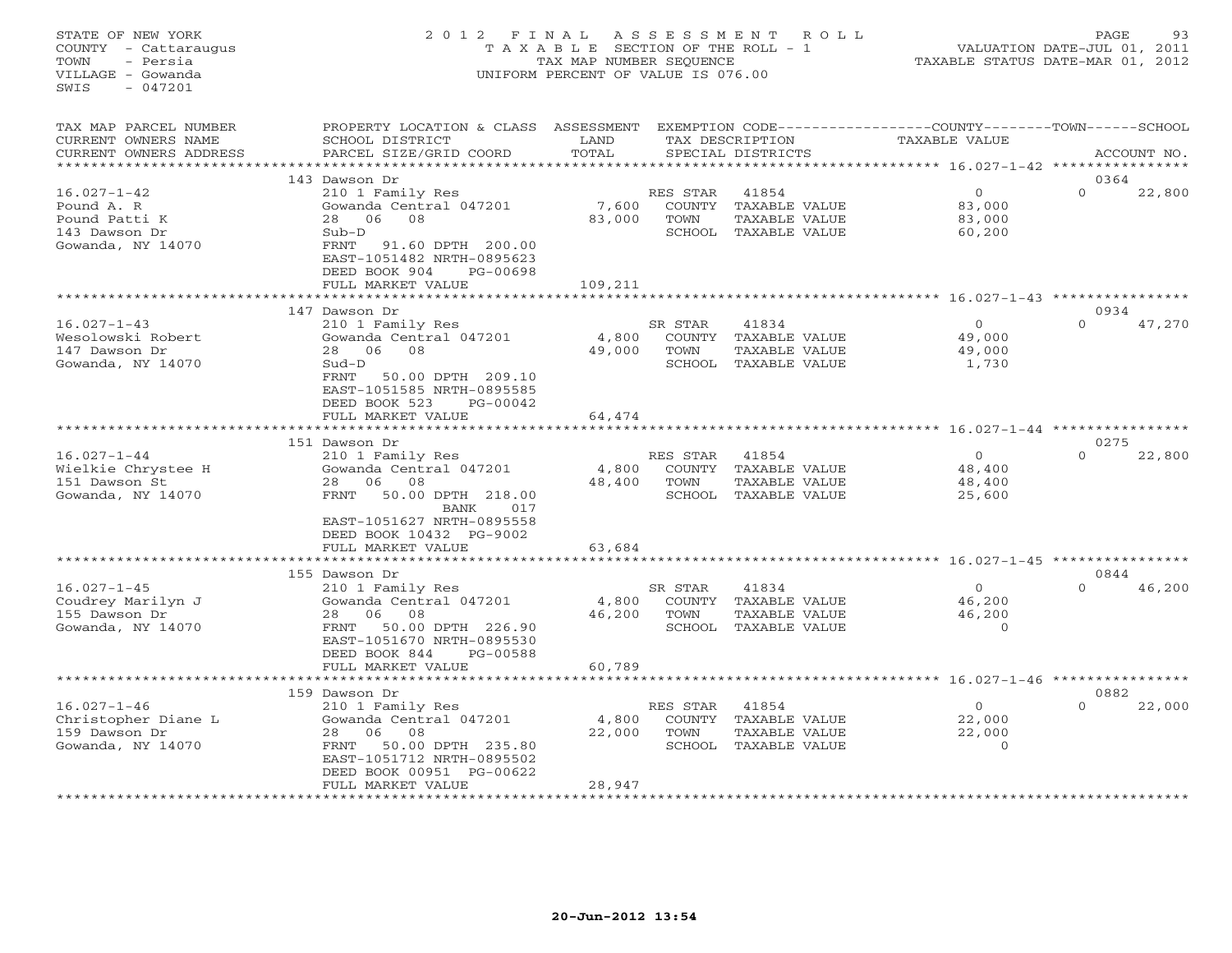# STATE OF NEW YORK 2 0 1 2 F I N A L A S S E S S M E N T R O L L PAGE 93 COUNTY - Cattaraugus T A X A B L E SECTION OF THE ROLL - 1 VALUATION DATE-JUL 01, 2011 TOWN - Persia TAX MAP NUMBER SEQUENCE TAXABLE STATUS DATE-MAR 01, 2012 VILLAGE - Gowanda UNIFORM PERCENT OF VALUE IS 076.00UNIFORM PERCENT OF VALUE IS 076.00

| TAX MAP PARCEL NUMBER<br>CURRENT OWNERS NAME<br>CURRENT OWNERS ADDRESS                 | PROPERTY LOCATION & CLASS ASSESSMENT<br>SCHOOL DISTRICT<br>PARCEL SIZE/GRID COORD                                                                                                                    | LAND<br>TOTAL              |                                      | TAX DESCRIPTION<br>SPECIAL DISTRICTS                            | EXEMPTION CODE-----------------COUNTY-------TOWN------SCHOOL<br>TAXABLE VALUE |          | ACCOUNT NO.    |
|----------------------------------------------------------------------------------------|------------------------------------------------------------------------------------------------------------------------------------------------------------------------------------------------------|----------------------------|--------------------------------------|-----------------------------------------------------------------|-------------------------------------------------------------------------------|----------|----------------|
|                                                                                        |                                                                                                                                                                                                      |                            |                                      |                                                                 |                                                                               |          | 0364           |
| $16.027 - 1 - 42$<br>Pound A. R<br>Pound Patti K<br>143 Dawson Dr<br>Gowanda, NY 14070 | 143 Dawson Dr<br>210 1 Family Res<br>Gowanda Central 047201<br>08<br>28<br>06<br>$Sub-D$<br>91.60 DPTH 200.00<br>FRNT<br>EAST-1051482 NRTH-0895623<br>DEED BOOK 904<br>PG-00698<br>FULL MARKET VALUE | 7,600<br>83,000<br>109,211 | RES STAR<br>COUNTY<br>TOWN<br>SCHOOL | 41854<br>TAXABLE VALUE<br>TAXABLE VALUE<br>TAXABLE VALUE        | $\circ$<br>83,000<br>83,000<br>60,200                                         | $\Omega$ | 22,800         |
|                                                                                        | .                                                                                                                                                                                                    |                            |                                      |                                                                 |                                                                               |          |                |
| $16.027 - 1 - 43$<br>Wesolowski Robert<br>147 Dawson Dr<br>Gowanda, NY 14070           | 147 Dawson Dr<br>210 1 Family Res<br>Gowanda Central 047201<br>28 06<br>08<br>$Sud-D$<br>FRNT<br>50.00 DPTH 209.10<br>EAST-1051585 NRTH-0895585<br>DEED BOOK 523<br>PG-00042                         | 4,800<br>49,000            | SR STAR<br>COUNTY<br>TOWN<br>SCHOOL  | 41834<br>TAXABLE VALUE<br>TAXABLE VALUE<br>TAXABLE VALUE        | $\Omega$<br>49,000<br>49,000<br>1,730                                         | $\Omega$ | 0934<br>47,270 |
|                                                                                        | FULL MARKET VALUE                                                                                                                                                                                    | 64,474                     |                                      |                                                                 |                                                                               |          |                |
|                                                                                        |                                                                                                                                                                                                      |                            |                                      |                                                                 | ********** 16.027-1-44 *******                                                |          |                |
|                                                                                        | 151 Dawson Dr                                                                                                                                                                                        |                            |                                      |                                                                 |                                                                               |          | 0275           |
| $16.027 - 1 - 44$<br>Wielkie Chrystee H<br>151 Dawson St<br>Gowanda, NY 14070          | 210 1 Family Res<br>Gowanda Central 047201<br>08<br>28<br>06<br>50.00 DPTH 218.00<br><b>FRNT</b><br>017<br>BANK<br>EAST-1051627 NRTH-0895558<br>DEED BOOK 10432 PG-9002<br>FULL MARKET VALUE         | 4,800<br>48,400<br>63,684  | RES STAR<br>TOWN<br>SCHOOL           | 41854<br>COUNTY TAXABLE VALUE<br>TAXABLE VALUE<br>TAXABLE VALUE | $\Omega$<br>48,400<br>48,400<br>25,600                                        | $\Omega$ | 22,800         |
|                                                                                        |                                                                                                                                                                                                      |                            |                                      |                                                                 |                                                                               |          |                |
|                                                                                        | 155 Dawson Dr                                                                                                                                                                                        |                            |                                      |                                                                 |                                                                               |          | 0844           |
| $16.027 - 1 - 45$<br>Coudrey Marilyn J<br>155 Dawson Dr<br>Gowanda, NY 14070           | 210 1 Family Res<br>Gowanda Central 047201<br>08<br>28<br>06<br>50.00 DPTH 226.90<br>FRNT<br>EAST-1051670 NRTH-0895530<br>DEED BOOK 844<br>PG-00588                                                  | 4,800<br>46,200            | SR STAR<br>COUNTY<br>TOWN            | 41834<br>TAXABLE VALUE<br>TAXABLE VALUE<br>SCHOOL TAXABLE VALUE | $\circ$<br>46,200<br>46,200<br>$\Omega$                                       | $\Omega$ | 46,200         |
|                                                                                        | FULL MARKET VALUE                                                                                                                                                                                    | 60,789                     |                                      |                                                                 | $16.027 - 1 - 46$ *****                                                       |          |                |
|                                                                                        | 159 Dawson Dr                                                                                                                                                                                        |                            |                                      |                                                                 |                                                                               |          | 0882           |
| $16.027 - 1 - 46$<br>Christopher Diane L<br>159 Dawson Dr<br>Gowanda, NY 14070         | 210 1 Family Res<br>Gowanda Central 047201<br>06<br>08<br>28<br>FRNT<br>50.00 DPTH 235.80<br>EAST-1051712 NRTH-0895502<br>DEED BOOK 00951 PG-00622<br>FULL MARKET VALUE                              | 4,800<br>22,000<br>28,947  | RES STAR<br>COUNTY<br>TOWN<br>SCHOOL | 41854<br>TAXABLE VALUE<br>TAXABLE VALUE<br>TAXABLE VALUE        | $\Omega$<br>22,000<br>22,000<br>$\Omega$                                      | $\Omega$ | 22,000         |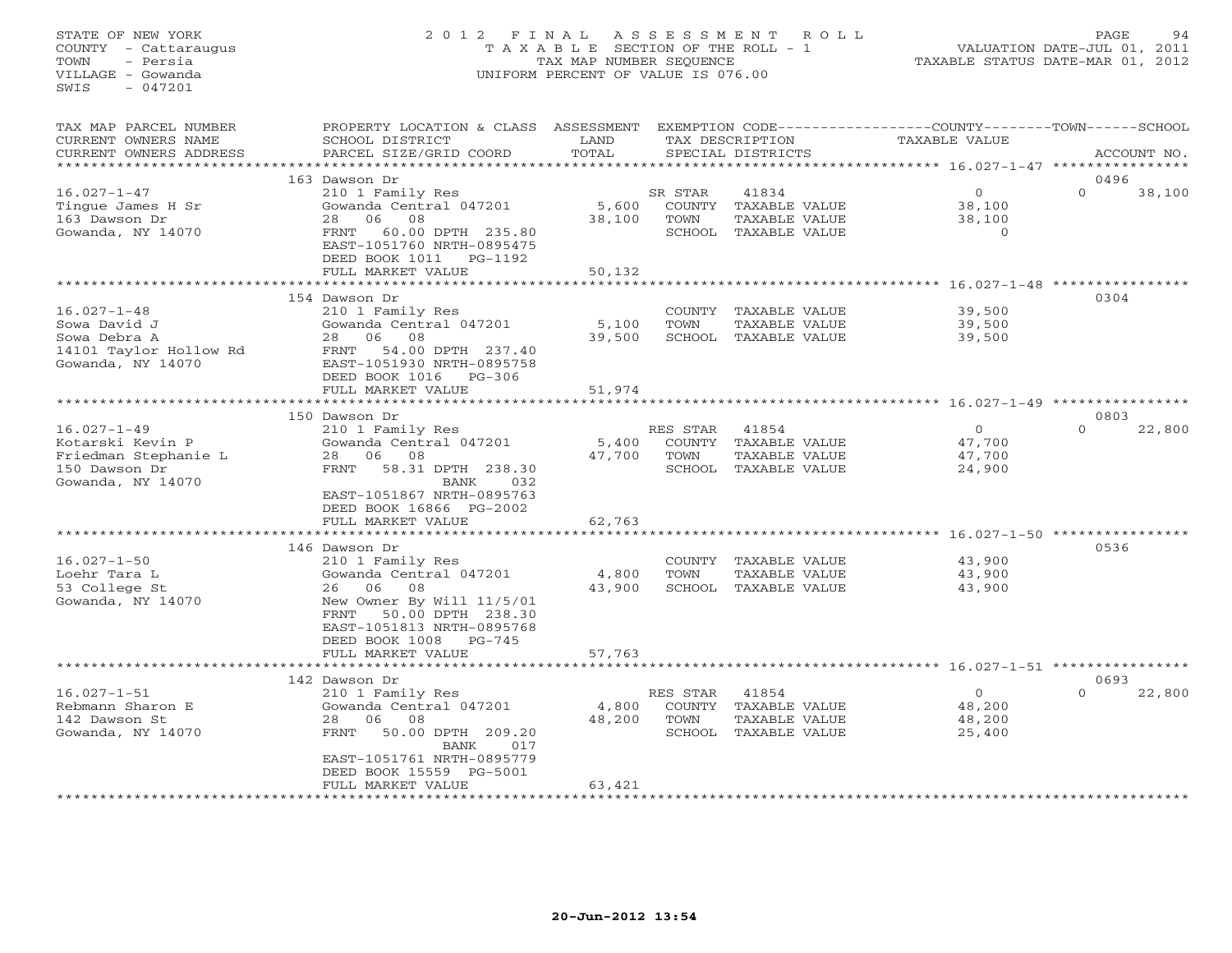# STATE OF NEW YORK 2 0 1 2 F I N A L A S S E S S M E N T R O L L PAGE 94 COUNTY - Cattaraugus T A X A B L E SECTION OF THE ROLL - 1 VALUATION DATE-JUL 01, 2011 TOWN - Persia TAX MAP NUMBER SEQUENCE TAXABLE STATUS DATE-MAR 01, 2012 VILLAGE - Gowanda UNIFORM PERCENT OF VALUE IS 076.00UNIFORM PERCENT OF VALUE IS 076.00

| TAX MAP PARCEL NUMBER<br>CURRENT OWNERS NAME<br>CURRENT OWNERS ADDRESS<br>************************* | PROPERTY LOCATION & CLASS ASSESSMENT<br>SCHOOL DISTRICT<br>PARCEL SIZE/GRID COORD                                                                                                                | LAND<br>TOTAL             |                                      | TAX DESCRIPTION<br>SPECIAL DISTRICTS                            | EXEMPTION CODE-----------------COUNTY-------TOWN------SCHOOL<br>TAXABLE VALUE |                  | ACCOUNT NO. |
|-----------------------------------------------------------------------------------------------------|--------------------------------------------------------------------------------------------------------------------------------------------------------------------------------------------------|---------------------------|--------------------------------------|-----------------------------------------------------------------|-------------------------------------------------------------------------------|------------------|-------------|
|                                                                                                     |                                                                                                                                                                                                  |                           |                                      |                                                                 |                                                                               |                  |             |
| $16.027 - 1 - 47$<br>Tingue James H Sr<br>163 Dawson Dr<br>Gowanda, NY 14070                        | 163 Dawson Dr<br>210 1 Family Res<br>Gowanda Central 047201<br>06<br>08<br>28<br>60.00 DPTH 235.80<br>FRNT<br>EAST-1051760 NRTH-0895475<br>DEED BOOK 1011<br>PG-1192<br>FULL MARKET VALUE        | 5,600<br>38,100<br>50,132 | SR STAR<br>COUNTY<br>TOWN            | 41834<br>TAXABLE VALUE<br>TAXABLE VALUE<br>SCHOOL TAXABLE VALUE | $\circ$<br>38,100<br>38,100<br>$\circ$                                        | 0496<br>$\Omega$ | 38,100      |
|                                                                                                     |                                                                                                                                                                                                  |                           |                                      |                                                                 | *************** 16.027-1-48                                                   |                  |             |
|                                                                                                     | 154 Dawson Dr                                                                                                                                                                                    |                           |                                      |                                                                 |                                                                               | 0304             |             |
| $16.027 - 1 - 48$<br>Sowa David J<br>Sowa Debra A<br>14101 Taylor Hollow Rd<br>Gowanda, NY 14070    | 210 1 Family Res<br>Gowanda Central 047201<br>28<br>06<br>08<br>54.00 DPTH 237.40<br>FRNT<br>EAST-1051930 NRTH-0895758<br>DEED BOOK 1016<br>$PG-306$                                             | 5,100<br>39,500           | COUNTY<br>TOWN                       | TAXABLE VALUE<br>TAXABLE VALUE<br>SCHOOL TAXABLE VALUE          | 39,500<br>39,500<br>39,500                                                    |                  |             |
|                                                                                                     | FULL MARKET VALUE                                                                                                                                                                                | 51,974                    |                                      |                                                                 |                                                                               |                  |             |
|                                                                                                     |                                                                                                                                                                                                  |                           |                                      |                                                                 | *************** 16.027-1-49 **********                                        |                  |             |
|                                                                                                     | 150 Dawson Dr                                                                                                                                                                                    |                           |                                      |                                                                 |                                                                               | 0803             |             |
| $16.027 - 1 - 49$<br>Kotarski Kevin P<br>Friedman Stephanie L<br>150 Dawson Dr<br>Gowanda, NY 14070 | 210 1 Family Res<br>Gowanda Central 047201<br>28<br>06<br>08<br>58.31 DPTH 238.30<br>FRNT<br>032<br>BANK<br>EAST-1051867 NRTH-0895763<br>DEED BOOK 16866 PG-2002<br>FULL MARKET VALUE            | 5,400<br>47,700<br>62,763 | RES STAR<br>TOWN<br>SCHOOL           | 41854<br>COUNTY TAXABLE VALUE<br>TAXABLE VALUE<br>TAXABLE VALUE | $\circ$<br>47,700<br>47,700<br>24,900                                         | $\Omega$         | 22,800      |
|                                                                                                     | *************************                                                                                                                                                                        |                           |                                      |                                                                 |                                                                               |                  |             |
| $16.027 - 1 - 50$<br>Loehr Tara L<br>53 College St<br>Gowanda, NY 14070                             | 146 Dawson Dr<br>210 1 Family Res<br>Gowanda Central 047201<br>06<br>08<br>26<br>New Owner By Will 11/5/01<br>50.00 DPTH 238.30<br>FRNT<br>EAST-1051813 NRTH-0895768<br>DEED BOOK 1008<br>PG-745 | 4,800<br>43,900           | COUNTY<br>TOWN<br>SCHOOL             | TAXABLE VALUE<br>TAXABLE VALUE<br>TAXABLE VALUE                 | 43,900<br>43,900<br>43,900                                                    | 0536             |             |
|                                                                                                     | FULL MARKET VALUE                                                                                                                                                                                | 57,763                    |                                      |                                                                 |                                                                               |                  |             |
|                                                                                                     | .                                                                                                                                                                                                |                           |                                      |                                                                 | ************************************ 16.027-1-51 *****                        |                  |             |
|                                                                                                     | 142 Dawson Dr                                                                                                                                                                                    |                           |                                      |                                                                 |                                                                               | 0693             |             |
| $16.027 - 1 - 51$<br>Rebmann Sharon E<br>142 Dawson St<br>Gowanda, NY 14070                         | 210 1 Family Res<br>Gowanda Central 047201<br>06<br>08<br>28<br>50.00 DPTH 209.20<br>FRNT<br><b>BANK</b><br>017<br>EAST-1051761 NRTH-0895779<br>DEED BOOK 15559 PG-5001<br>FULL MARKET VALUE     | 4,800<br>48,200<br>63,421 | RES STAR<br>COUNTY<br>TOWN<br>SCHOOL | 41854<br>TAXABLE VALUE<br>TAXABLE VALUE<br>TAXABLE VALUE        | $\circ$<br>48,200<br>48,200<br>25,400                                         | $\Omega$         | 22,800      |
|                                                                                                     |                                                                                                                                                                                                  |                           |                                      |                                                                 |                                                                               |                  |             |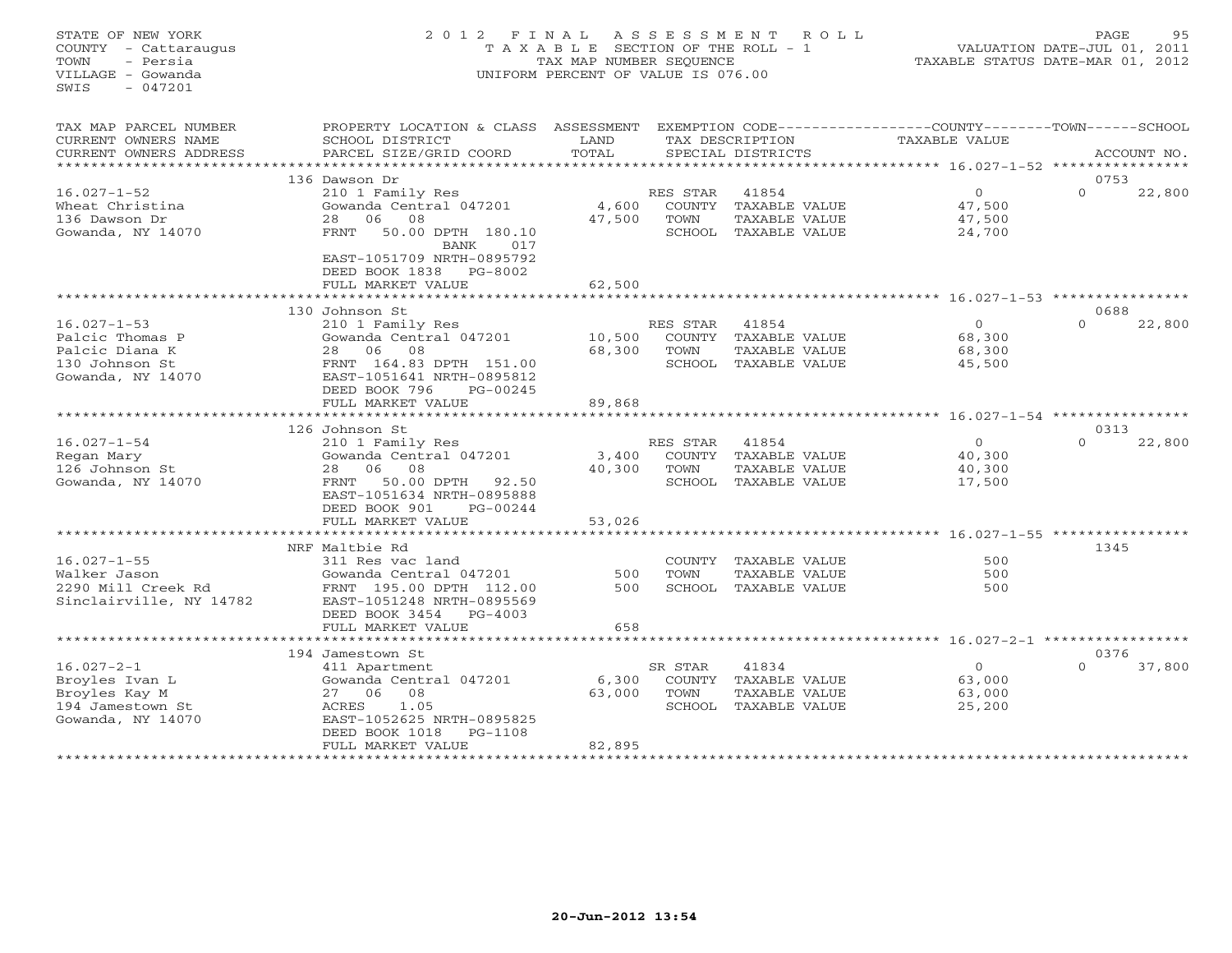# STATE OF NEW YORK 2 0 1 2 F I N A L A S S E S S M E N T R O L L PAGE 95 COUNTY - Cattaraugus T A X A B L E SECTION OF THE ROLL - 1 VALUATION DATE-JUL 01, 2011 TOWN - Persia TAX MAP NUMBER SEQUENCE TAXABLE STATUS DATE-MAR 01, 2012 VILLAGE - Gowanda UNIFORM PERCENT OF VALUE IS 076.00UNIFORM PERCENT OF VALUE IS 076.00

| TAX MAP PARCEL NUMBER<br>CURRENT OWNERS NAME<br>CURRENT OWNERS ADDRESS     | PROPERTY LOCATION & CLASS<br>SCHOOL DISTRICT<br>PARCEL SIZE/GRID COORD                                                                       | ASSESSMENT<br>LAND<br>TOTAL |                                      | TAX DESCRIPTION<br>SPECIAL DISTRICTS                     | EXEMPTION CODE-----------------COUNTY-------TOWN------SCHOOL<br><b>TAXABLE VALUE</b> | ACCOUNT NO.        |
|----------------------------------------------------------------------------|----------------------------------------------------------------------------------------------------------------------------------------------|-----------------------------|--------------------------------------|----------------------------------------------------------|--------------------------------------------------------------------------------------|--------------------|
|                                                                            | 136 Dawson Dr                                                                                                                                |                             |                                      |                                                          |                                                                                      | 0753               |
| $16.027 - 1 - 52$<br>Wheat Christina<br>136 Dawson Dr<br>Gowanda, NY 14070 | 210 1 Family Res<br>Gowanda Central 047201<br>06<br>08<br>28<br>50.00 DPTH 180.10<br>FRNT<br><b>BANK</b><br>017<br>EAST-1051709 NRTH-0895792 | 4,600<br>47,500             | RES STAR<br>COUNTY<br>TOWN<br>SCHOOL | 41854<br>TAXABLE VALUE<br>TAXABLE VALUE<br>TAXABLE VALUE | $\Omega$<br>47,500<br>47,500<br>24,700                                               | $\Omega$<br>22,800 |
|                                                                            | DEED BOOK 1838<br>PG-8002<br>FULL MARKET VALUE                                                                                               | 62,500                      |                                      |                                                          |                                                                                      |                    |
|                                                                            | ************************                                                                                                                     |                             |                                      |                                                          |                                                                                      |                    |
|                                                                            | 130 Johnson St                                                                                                                               |                             |                                      |                                                          |                                                                                      | 0688               |
| $16.027 - 1 - 53$                                                          | 210 1 Family Res                                                                                                                             |                             | RES STAR                             | 41854                                                    | $\Omega$                                                                             | 22,800<br>$\Omega$ |
| Palcic Thomas P                                                            | Gowanda Central 047201                                                                                                                       | 10,500                      | COUNTY                               | TAXABLE VALUE                                            | 68,300                                                                               |                    |
| Palcic Diana K                                                             | 28<br>06 08                                                                                                                                  | 68,300                      | TOWN                                 | TAXABLE VALUE                                            | 68,300                                                                               |                    |
| 130 Johnson St<br>Gowanda, NY 14070                                        | FRNT 164.83 DPTH 151.00<br>EAST-1051641 NRTH-0895812<br>DEED BOOK 796<br>PG-00245                                                            |                             | SCHOOL                               | TAXABLE VALUE                                            | 45,500                                                                               |                    |
|                                                                            | FULL MARKET VALUE                                                                                                                            | 89,868                      |                                      |                                                          |                                                                                      |                    |
|                                                                            |                                                                                                                                              |                             |                                      |                                                          | **************** 16.027-1-54 ***********                                             |                    |
|                                                                            | 126 Johnson St                                                                                                                               |                             |                                      |                                                          |                                                                                      | 0313               |
| $16.027 - 1 - 54$                                                          | 210 1 Family Res                                                                                                                             |                             | RES STAR                             | 41854                                                    | $\Omega$                                                                             | $\Omega$<br>22,800 |
| Regan Mary                                                                 | Gowanda Central 047201                                                                                                                       | 3,400                       | <b>COUNTY</b>                        | TAXABLE VALUE                                            | 40,300                                                                               |                    |
| 126 Johnson St                                                             | 06<br>08<br>28                                                                                                                               | 40,300                      | TOWN                                 | TAXABLE VALUE                                            | 40,300                                                                               |                    |
| Gowanda, NY 14070                                                          | 50.00 DPTH<br>FRNT<br>92.50<br>EAST-1051634 NRTH-0895888<br>DEED BOOK 901<br>PG-00244                                                        |                             | SCHOOL                               | TAXABLE VALUE                                            | 17,500                                                                               |                    |
|                                                                            | FULL MARKET VALUE                                                                                                                            | 53,026                      |                                      |                                                          |                                                                                      |                    |
|                                                                            |                                                                                                                                              |                             |                                      |                                                          | ****************************** 16.027-1-55 *********                                 |                    |
|                                                                            | NRF Maltbie Rd                                                                                                                               |                             |                                      |                                                          |                                                                                      | 1345               |
| $16.027 - 1 - 55$                                                          | 311 Res vac land                                                                                                                             |                             | COUNTY                               | TAXABLE VALUE                                            | 500                                                                                  |                    |
| Walker Jason                                                               | Gowanda Central 047201                                                                                                                       | 500                         | TOWN                                 | TAXABLE VALUE                                            | 500                                                                                  |                    |
| 2290 Mill Creek Rd<br>Sinclairville, NY 14782                              | FRNT 195.00 DPTH 112.00<br>EAST-1051248 NRTH-0895569<br>$PG-4003$<br>DEED BOOK 3454                                                          | 500                         | SCHOOL                               | TAXABLE VALUE                                            | 500                                                                                  |                    |
|                                                                            | FULL MARKET VALUE                                                                                                                            | 658                         |                                      |                                                          |                                                                                      |                    |
|                                                                            |                                                                                                                                              |                             |                                      |                                                          |                                                                                      |                    |
| $16.027 - 2 - 1$                                                           | 194 Jamestown St                                                                                                                             |                             |                                      |                                                          | $\circ$                                                                              | 0376<br>$\Omega$   |
| Broyles Ivan L                                                             | 411 Apartment<br>Gowanda Central 047201                                                                                                      | 6,300                       | SR STAR<br><b>COUNTY</b>             | 41834<br><b>TAXABLE VALUE</b>                            | 63,000                                                                               | 37,800             |
| Broyles Kay M                                                              | 08<br>27 06                                                                                                                                  | 63,000                      | TOWN                                 | TAXABLE VALUE                                            | 63,000                                                                               |                    |
| 194 Jamestown St                                                           | ACRES<br>1.05                                                                                                                                |                             | SCHOOL                               | TAXABLE VALUE                                            | 25,200                                                                               |                    |
| Gowanda, NY 14070                                                          | EAST-1052625 NRTH-0895825<br>DEED BOOK 1018<br>$PG-1108$                                                                                     |                             |                                      |                                                          |                                                                                      |                    |
|                                                                            | FULL MARKET VALUE                                                                                                                            | 82,895                      |                                      |                                                          |                                                                                      |                    |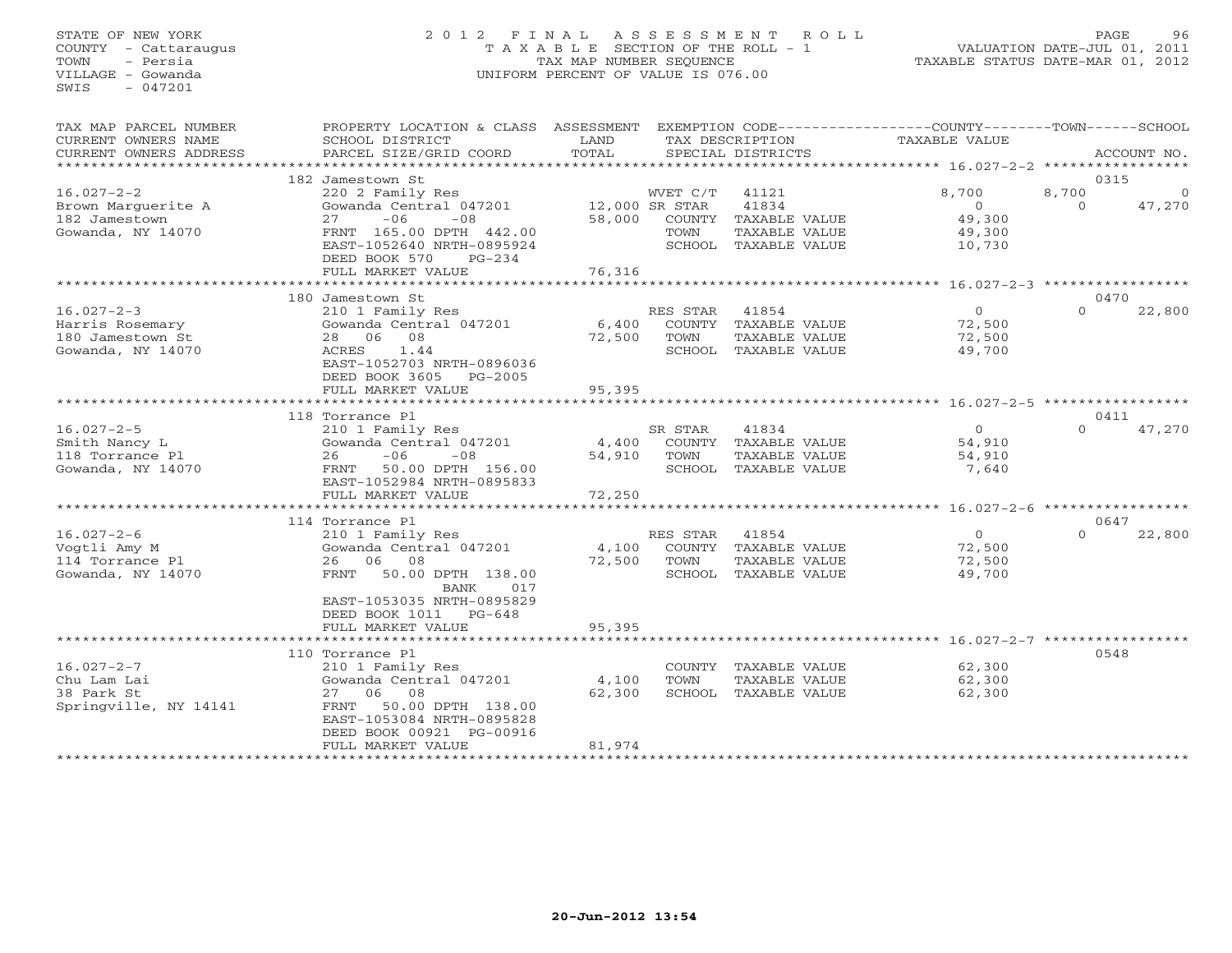# STATE OF NEW YORK 2 0 1 2 F I N A L A S S E S S M E N T R O L L PAGE 96 COUNTY - Cattaraugus T A X A B L E SECTION OF THE ROLL - 1 VALUATION DATE-JUL 01, 2011 TOWN - Persia TAX MAP NUMBER SEQUENCE TAXABLE STATUS DATE-MAR 01, 2012 VILLAGE - Gowanda UNIFORM PERCENT OF VALUE IS 076.00UNIFORM PERCENT OF VALUE IS 076.00

| TAX MAP PARCEL NUMBER<br>CURRENT OWNERS NAME<br>CURRENT OWNERS ADDRESS       | PROPERTY LOCATION & CLASS ASSESSMENT<br>SCHOOL DISTRICT<br>PARCEL SIZE/GRID COORD                                                                                                                     | LAND<br>TOTAL                                  |                                                                     | TAX DESCRIPTION<br>SPECIAL DISTRICTS                                     | EXEMPTION CODE-----------------COUNTY-------TOWN------SCHOOL<br>TAXABLE VALUE |                   | ACCOUNT NO.            |
|------------------------------------------------------------------------------|-------------------------------------------------------------------------------------------------------------------------------------------------------------------------------------------------------|------------------------------------------------|---------------------------------------------------------------------|--------------------------------------------------------------------------|-------------------------------------------------------------------------------|-------------------|------------------------|
|                                                                              | 182 Jamestown St                                                                                                                                                                                      |                                                |                                                                     |                                                                          |                                                                               |                   | 0315                   |
| $16.027 - 2 - 2$<br>Brown Marquerite A<br>182 Jamestown<br>Gowanda, NY 14070 | 220 2 Family Res<br>Gowanda Central 047201<br>$-06$<br>$-08$<br>27<br>FRNT 165.00 DPTH 442.00<br>EAST-1052640 NRTH-0895924<br>DEED BOOK 570<br>$PG-234$<br>FULL MARKET VALUE<br>********************* | 58,000<br>76,316                               | WVET C/T<br>12,000 SR STAR<br>TOWN<br>SCHOOL<br>******************* | 41121<br>41834<br>COUNTY TAXABLE VALUE<br>TAXABLE VALUE<br>TAXABLE VALUE | 8,700<br>$\Omega$<br>49,300<br>49,300<br>10,730                               | 8,700<br>$\Omega$ | $\mathbf{0}$<br>47,270 |
|                                                                              | 180 Jamestown St                                                                                                                                                                                      |                                                |                                                                     |                                                                          | ************ 16.027-2-3 ************                                          |                   | 0470                   |
| $16.027 - 2 - 3$<br>Harris Rosemary<br>180 Jamestown St<br>Gowanda, NY 14070 | 210 1 Family Res<br>Gowanda Central 047201<br>06<br>08<br>28<br>ACRES<br>1.44<br>EAST-1052703 NRTH-0896036<br>DEED BOOK 3605<br>PG-2005<br>FULL MARKET VALUE                                          | 6,400<br>72,500<br>95,395                      | RES STAR<br>TOWN                                                    | 41854<br>COUNTY TAXABLE VALUE<br>TAXABLE VALUE<br>SCHOOL TAXABLE VALUE   | $\circ$<br>72,500<br>72,500<br>49,700                                         | $\Omega$          | 22,800                 |
|                                                                              | *****************                                                                                                                                                                                     | *********                                      |                                                                     |                                                                          | ******** 16.027-2-5 ***********                                               |                   |                        |
| $16.027 - 2 - 5$<br>Smith Nancy L<br>118 Torrance Pl<br>Gowanda, NY 14070    | 118 Torrance Pl<br>210 1 Family Res<br>Gowanda Central 047201<br>$-06$<br>26<br>$-08$<br>50.00 DPTH 156.00<br>FRNT<br>EAST-1052984 NRTH-0895833<br>FULL MARKET VALUE                                  | 4,400<br>54,910<br>72,250<br>* * * * * * * * * | SR STAR<br>TOWN                                                     | 41834<br>COUNTY TAXABLE VALUE<br>TAXABLE VALUE<br>SCHOOL TAXABLE VALUE   | $\circ$<br>54,910<br>54,910<br>7,640<br>*********** 16.027-2-6 ***********    | $\Omega$          | 0411<br>47,270         |
|                                                                              | 114 Torrance Pl                                                                                                                                                                                       |                                                |                                                                     |                                                                          |                                                                               |                   | 0647                   |
| $16.027 - 2 - 6$<br>Vogtli Amy M<br>114 Torrance Pl<br>Gowanda, NY 14070     | 210 1 Family Res<br>Gowanda Central 047201<br>06<br>08<br>26<br>50.00 DPTH 138.00<br>FRNT<br><b>BANK</b><br>017<br>EAST-1053035 NRTH-0895829                                                          | 4,100<br>72,500                                | RES STAR<br>TOWN<br>SCHOOL                                          | 41854<br>COUNTY TAXABLE VALUE<br>TAXABLE VALUE<br>TAXABLE VALUE          | $\circ$<br>72,500<br>72,500<br>49,700                                         | $\Omega$          | 22,800                 |
|                                                                              | $PG-648$<br>DEED BOOK 1011<br>FULL MARKET VALUE                                                                                                                                                       | 95,395                                         |                                                                     |                                                                          |                                                                               |                   |                        |
|                                                                              | ***********************<br>110 Torrance Pl                                                                                                                                                            |                                                |                                                                     |                                                                          |                                                                               |                   | 0548                   |
| $16.027 - 2 - 7$<br>Chu Lam Lai<br>38 Park St<br>Springville, NY 14141       | 210 1 Family Res<br>Gowanda Central 047201<br>08<br>27<br>06<br>50.00 DPTH 138.00<br>FRNT<br>EAST-1053084 NRTH-0895828<br>DEED BOOK 00921 PG-00916<br>FULL MARKET VALUE                               | 4,100<br>62,300<br>81,974                      | TOWN                                                                | COUNTY TAXABLE VALUE<br>TAXABLE VALUE<br>SCHOOL TAXABLE VALUE            | 62,300<br>62,300<br>62,300                                                    |                   |                        |
|                                                                              | ******************                                                                                                                                                                                    |                                                |                                                                     |                                                                          |                                                                               |                   |                        |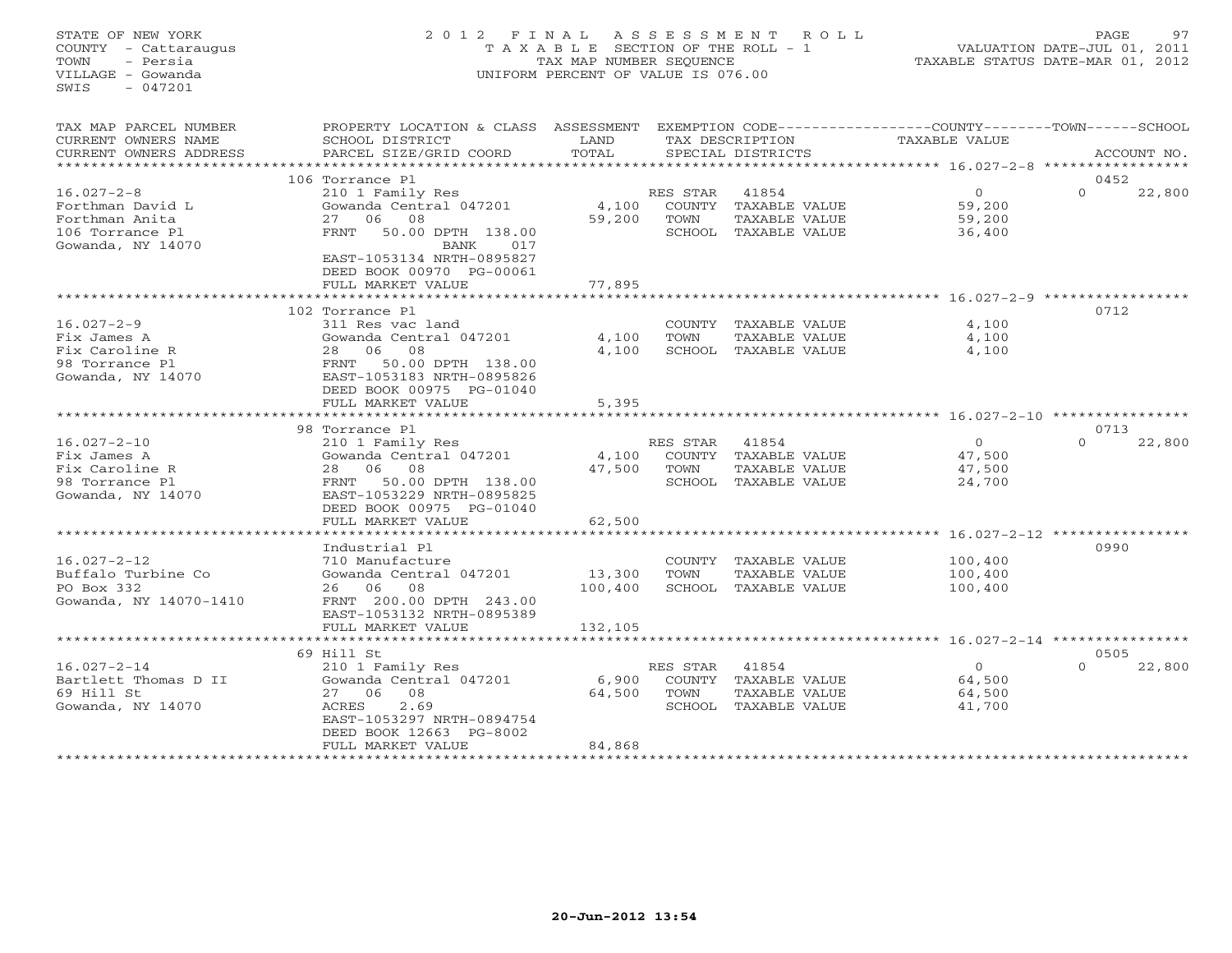# STATE OF NEW YORK 2 0 1 2 F I N A L A S S E S S M E N T R O L L PAGE 97 COUNTY - Cattaraugus T A X A B L E SECTION OF THE ROLL - 1 VALUATION DATE-JUL 01, 2011 TOWN - Persia TAX MAP NUMBER SEQUENCE TAXABLE STATUS DATE-MAR 01, 2012 VILLAGE - Gowanda UNIFORM PERCENT OF VALUE IS 076.00

| TAX MAP PARCEL NUMBER<br>CURRENT OWNERS NAME<br>CURRENT OWNERS ADDRESS    | PROPERTY LOCATION & CLASS ASSESSMENT<br>SCHOOL DISTRICT<br>PARCEL SIZE/GRID COORD         | LAND<br>TOTAL   |                            | TAX DESCRIPTION<br>SPECIAL DISTRICTS                            | EXEMPTION CODE-----------------COUNTY-------TOWN-----SCHOOL<br><b>TAXABLE VALUE</b> | ACCOUNT NO.        |
|---------------------------------------------------------------------------|-------------------------------------------------------------------------------------------|-----------------|----------------------------|-----------------------------------------------------------------|-------------------------------------------------------------------------------------|--------------------|
| **********************                                                    |                                                                                           |                 |                            |                                                                 |                                                                                     |                    |
|                                                                           | 106 Torrance Pl                                                                           |                 |                            |                                                                 |                                                                                     | 0452               |
| $16.027 - 2 - 8$<br>Forthman David L<br>Forthman Anita<br>106 Torrance Pl | 210 1 Family Res<br>Gowanda Central 047201<br>27 06 08<br>50.00 DPTH 138.00<br>FRNT       | 4,100<br>59,200 | RES STAR<br>COUNTY<br>TOWN | 41854<br>TAXABLE VALUE<br>TAXABLE VALUE<br>SCHOOL TAXABLE VALUE | $\circ$<br>59,200<br>59,200<br>36,400                                               | $\Omega$<br>22,800 |
| Gowanda, NY 14070                                                         | BANK<br>017<br>EAST-1053134 NRTH-0895827<br>DEED BOOK 00970 PG-00061<br>FULL MARKET VALUE | 77,895          |                            |                                                                 |                                                                                     |                    |
|                                                                           | . * * * * * * * * * * * * * * * * * *                                                     |                 |                            |                                                                 |                                                                                     |                    |
|                                                                           | 102 Torrance Pl                                                                           |                 |                            |                                                                 |                                                                                     | 0712               |
| $16.027 - 2 - 9$                                                          | 311 Res vac land                                                                          |                 |                            | COUNTY TAXABLE VALUE                                            | 4,100                                                                               |                    |
| Fix James A                                                               | Gowanda Central 047201                                                                    | 4,100           | TOWN                       | TAXABLE VALUE                                                   | 4,100                                                                               |                    |
| Fix Caroline R                                                            | 28 06<br>08                                                                               | 4,100           |                            | SCHOOL TAXABLE VALUE                                            | 4,100                                                                               |                    |
| 98 Torrance Pl                                                            | 50.00 DPTH 138.00<br>FRNT                                                                 |                 |                            |                                                                 |                                                                                     |                    |
| Gowanda, NY 14070                                                         | EAST-1053183 NRTH-0895826                                                                 |                 |                            |                                                                 |                                                                                     |                    |
|                                                                           | DEED BOOK 00975 PG-01040                                                                  |                 |                            |                                                                 |                                                                                     |                    |
|                                                                           | FULL MARKET VALUE                                                                         | 5,395           |                            |                                                                 |                                                                                     |                    |
|                                                                           | 98 Torrance Pl                                                                            |                 |                            |                                                                 |                                                                                     | 0713               |
| $16.027 - 2 - 10$                                                         | 210 1 Family Res                                                                          |                 | RES STAR                   | 41854                                                           | $\circ$                                                                             | $\Omega$<br>22,800 |
| Fix James A                                                               | Gowanda Central 047201                                                                    | 4,100           | COUNTY                     | TAXABLE VALUE                                                   | 47,500                                                                              |                    |
| Fix Caroline R                                                            | 28 06<br>08                                                                               | 47,500          | TOWN                       | TAXABLE VALUE                                                   | 47,500                                                                              |                    |
| 98 Torrance Pl                                                            | 50.00 DPTH 138.00<br>FRNT                                                                 |                 |                            | SCHOOL TAXABLE VALUE                                            | 24,700                                                                              |                    |
| Gowanda, NY 14070                                                         | EAST-1053229 NRTH-0895825                                                                 |                 |                            |                                                                 |                                                                                     |                    |
|                                                                           | DEED BOOK 00975 PG-01040                                                                  |                 |                            |                                                                 |                                                                                     |                    |
|                                                                           | FULL MARKET VALUE                                                                         | 62,500          |                            |                                                                 |                                                                                     |                    |
|                                                                           | ********************                                                                      |                 |                            |                                                                 |                                                                                     |                    |
|                                                                           | Industrial Pl                                                                             |                 |                            |                                                                 |                                                                                     | 0990               |
| $16.027 - 2 - 12$                                                         | 710 Manufacture                                                                           |                 |                            | COUNTY TAXABLE VALUE                                            | 100,400                                                                             |                    |
| Buffalo Turbine Co                                                        | Gowanda Central 047201                                                                    | 13,300          | TOWN                       | TAXABLE VALUE                                                   | 100,400                                                                             |                    |
| PO Box 332                                                                | 26 06 08                                                                                  | 100,400         |                            | SCHOOL TAXABLE VALUE                                            | 100,400                                                                             |                    |
| Gowanda, NY 14070-1410                                                    | FRNT 200.00 DPTH 243.00<br>EAST-1053132 NRTH-0895389                                      |                 |                            |                                                                 |                                                                                     |                    |
|                                                                           | FULL MARKET VALUE                                                                         | 132,105         |                            |                                                                 |                                                                                     |                    |
|                                                                           | *********************                                                                     |                 |                            |                                                                 |                                                                                     |                    |
|                                                                           | 69 Hill St                                                                                |                 |                            |                                                                 |                                                                                     | 0505               |
| $16.027 - 2 - 14$                                                         | 210 1 Family Res                                                                          |                 | RES STAR                   | 41854                                                           | $\Omega$                                                                            | $\Omega$<br>22,800 |
| Bartlett Thomas D II                                                      | Gowanda Central 047201                                                                    | 6,900           | COUNTY                     | TAXABLE VALUE                                                   | 64,500                                                                              |                    |
| 69 Hill St                                                                | 27 06 08                                                                                  | 64,500          | TOWN                       | TAXABLE VALUE                                                   | 64,500                                                                              |                    |
| Gowanda, NY 14070                                                         | 2.69<br>ACRES                                                                             |                 | SCHOOL                     | TAXABLE VALUE                                                   | 41,700                                                                              |                    |
|                                                                           | EAST-1053297 NRTH-0894754                                                                 |                 |                            |                                                                 |                                                                                     |                    |
|                                                                           | DEED BOOK 12663 PG-8002                                                                   |                 |                            |                                                                 |                                                                                     |                    |
|                                                                           | FULL MARKET VALUE                                                                         | 84,868          |                            |                                                                 |                                                                                     |                    |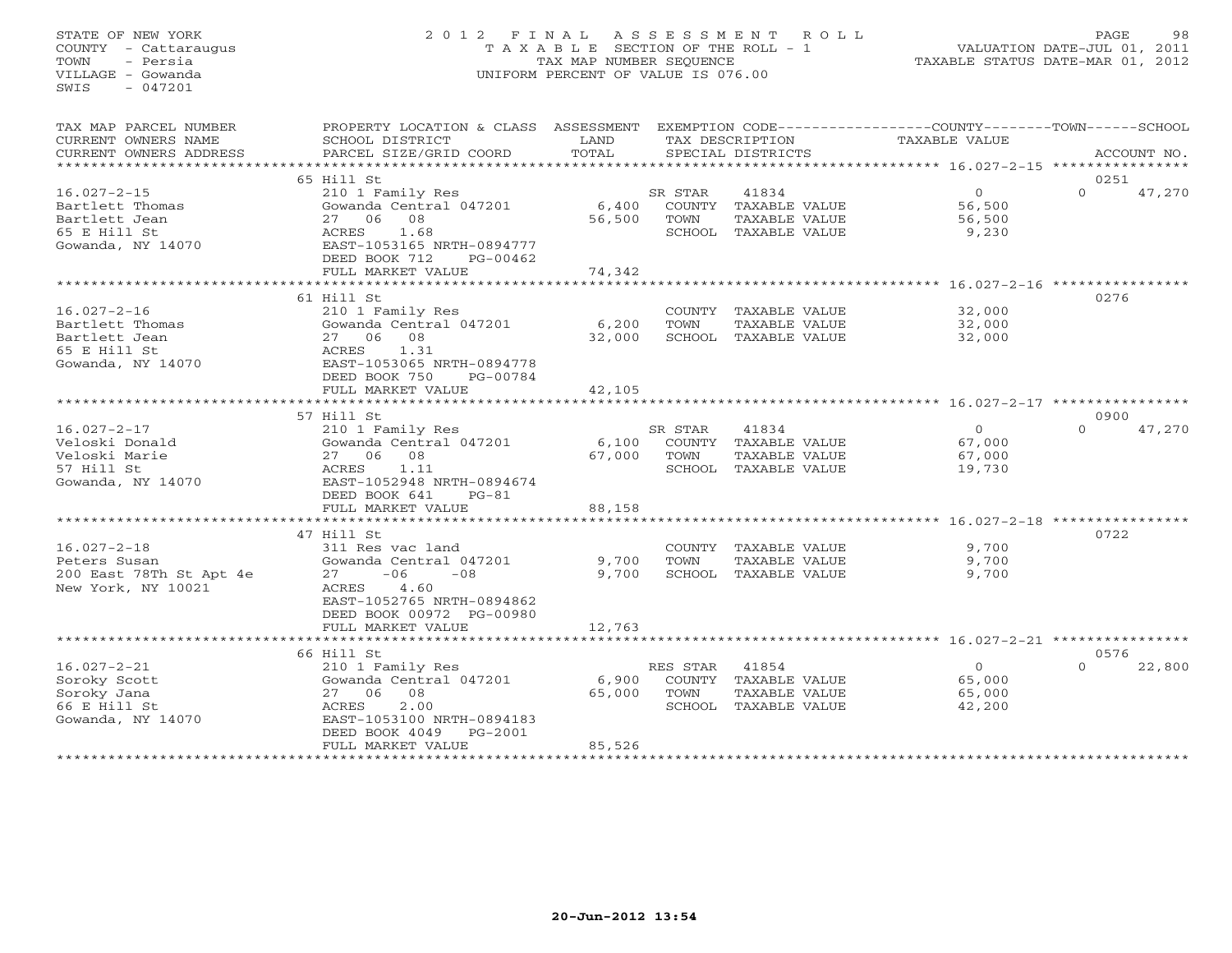# STATE OF NEW YORK 2 0 1 2 F I N A L A S S E S S M E N T R O L L PAGE 98 COUNTY - Cattaraugus T A X A B L E SECTION OF THE ROLL - 1 VALUATION DATE-JUL 01, 2011 TOWN - Persia TAX MAP NUMBER SEQUENCE TAXABLE STATUS DATE-MAR 01, 2012 VILLAGE - Gowanda UNIFORM PERCENT OF VALUE IS 076.00UNIFORM PERCENT OF VALUE IS 076.00

| TAX MAP PARCEL NUMBER<br>CURRENT OWNERS NAME<br>CURRENT OWNERS ADDRESS<br>*********************** | PROPERTY LOCATION & CLASS ASSESSMENT EXEMPTION CODE---------------COUNTY-------TOWN-----SCHOOL<br>SCHOOL DISTRICT<br>PARCEL SIZE/GRID COORD                                                                | LAND<br>TOTAL             |                                  | TAX DESCRIPTION<br>SPECIAL DISTRICTS                                   | TAXABLE VALUE                                        | ACCOUNT NO.                |
|---------------------------------------------------------------------------------------------------|------------------------------------------------------------------------------------------------------------------------------------------------------------------------------------------------------------|---------------------------|----------------------------------|------------------------------------------------------------------------|------------------------------------------------------|----------------------------|
|                                                                                                   |                                                                                                                                                                                                            |                           |                                  |                                                                        |                                                      |                            |
| $16.027 - 2 - 15$<br>Bartlett Thomas<br>Bartlett Jean<br>65 E Hill St<br>Gowanda, NY 14070        | 65 Hill St<br>210 1 Family Res<br>Gowanda Central 047201<br>27 06 08<br>ACRES<br>1.68<br>EAST-1053165 NRTH-0894777<br>DEED BOOK 712<br>PG-00462<br>FULL MARKET VALUE                                       | 6,400<br>56,500<br>74,342 | SR STAR<br>TOWN                  | 41834<br>COUNTY TAXABLE VALUE<br>TAXABLE VALUE<br>SCHOOL TAXABLE VALUE | $\Omega$<br>56,500<br>56,500<br>9,230                | 0251<br>$\Omega$<br>47,270 |
|                                                                                                   | ******************************                                                                                                                                                                             | *********************     |                                  |                                                                        | ************************ 16.027-2-16 *************** |                            |
| $16.027 - 2 - 16$<br>Bartlett Thomas<br>Bartlett Jean<br>65 E Hill St<br>Gowanda, NY 14070        | 61 Hill St<br>210 1 Family Res<br>Gowanda Central 047201<br>27 06<br>08<br>ACRES<br>1.31<br>EAST-1053065 NRTH-0894778<br>DEED BOOK 750<br>PG-00784                                                         | 6,200<br>32,000           | TOWN                             | COUNTY TAXABLE VALUE<br>TAXABLE VALUE<br>SCHOOL TAXABLE VALUE          | 32,000<br>32,000<br>32,000                           | 0276                       |
|                                                                                                   | FULL MARKET VALUE                                                                                                                                                                                          | 42,105                    |                                  |                                                                        |                                                      |                            |
|                                                                                                   | ***********************                                                                                                                                                                                    | ************              |                                  |                                                                        | ********************* 16.027-2-17 *****************  |                            |
|                                                                                                   | 57 Hill St                                                                                                                                                                                                 |                           |                                  |                                                                        |                                                      | 0900                       |
| $16.027 - 2 - 17$<br>Veloski Donald<br>Veloski Marie<br>57 Hill St<br>Gowanda, NY 14070           | 210 1 Family Res<br>Gowanda Central 047201<br>27 06<br>08<br>1.11<br>ACRES<br>EAST-1052948 NRTH-0894674                                                                                                    | 6,100<br>67,000           | SR STAR<br>TOWN                  | 41834<br>COUNTY TAXABLE VALUE<br>TAXABLE VALUE<br>SCHOOL TAXABLE VALUE | $\overline{O}$<br>67,000<br>67,000<br>19,730         | 47,270<br>$\Omega$         |
|                                                                                                   | DEED BOOK 641<br>$PG-81$                                                                                                                                                                                   |                           |                                  |                                                                        |                                                      |                            |
|                                                                                                   | FULL MARKET VALUE<br>***************************                                                                                                                                                           | 88,158                    |                                  |                                                                        |                                                      |                            |
|                                                                                                   | 47 Hill St                                                                                                                                                                                                 |                           |                                  |                                                                        |                                                      | 0722                       |
| $16.027 - 2 - 18$<br>Peters Susan<br>200 East 78Th St Apt 4e<br>New York, NY 10021                | 311 Res vac land<br>Gowanda Central 047201<br>$-06$<br>$-08$<br>27<br>ACRES<br>4.60<br>EAST-1052765 NRTH-0894862<br>DEED BOOK 00972 PG-00980<br>FULL MARKET VALUE                                          | 9,700<br>9,700<br>12,763  | TOWN                             | COUNTY TAXABLE VALUE<br>TAXABLE VALUE<br>SCHOOL TAXABLE VALUE          | 9,700<br>9,700<br>9,700                              |                            |
|                                                                                                   |                                                                                                                                                                                                            |                           |                                  |                                                                        |                                                      |                            |
| $16.027 - 2 - 21$<br>Soroky Scott<br>Soroky Jana<br>66 E Hill St<br>Gowanda, NY 14070             | 66 Hill St<br>210 1 Family Res<br>Gowanda Central 047201<br>27 06<br>08<br>ACRES<br>2.00<br>EAST-1053100 NRTH-0894183<br>DEED BOOK 4049<br>$PG-2001$<br>FULL MARKET VALUE<br>***************************** | 6,900<br>65,000<br>85,526 | RES STAR 41854<br>COUNTY<br>TOWN | TAXABLE VALUE<br>TAXABLE VALUE<br>SCHOOL TAXABLE VALUE                 | $\circ$<br>65,000<br>65,000<br>42,200                | 0576<br>$\Omega$<br>22,800 |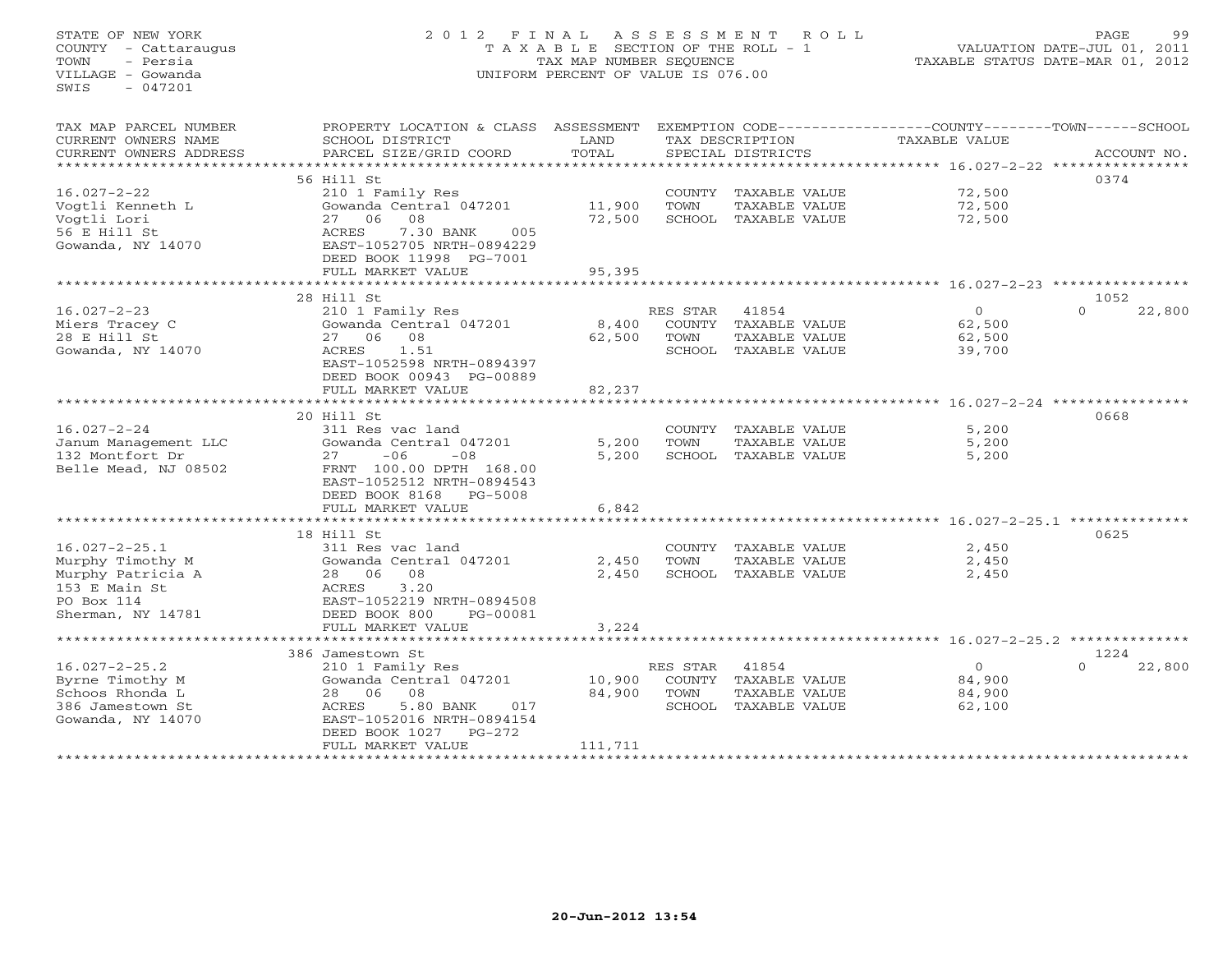# STATE OF NEW YORK 2 0 1 2 F I N A L A S S E S S M E N T R O L L PAGE 99 COUNTY - Cattaraugus T A X A B L E SECTION OF THE ROLL - 1 VALUATION DATE-JUL 01, 2011 TOWN - Persia TAX MAP NUMBER SEQUENCE TAXABLE STATUS DATE-MAR 01, 2012 VILLAGE - Gowanda UNIFORM PERCENT OF VALUE IS 076.00UNIFORM PERCENT OF VALUE IS 076.00

| TAX MAP PARCEL NUMBER<br>CURRENT OWNERS NAME<br>CURRENT OWNERS ADDRESS<br>*********************                  | PROPERTY LOCATION & CLASS ASSESSMENT<br>SCHOOL DISTRICT<br>PARCEL SIZE/GRID COORD                                                                                      | LAND<br>TOTAL               |                            | TAX DESCRIPTION<br>SPECIAL DISTRICTS                                   | EXEMPTION CODE-----------------COUNTY-------TOWN-----SCHOOL<br><b>TAXABLE VALUE</b> | ACCOUNT NO.                |
|------------------------------------------------------------------------------------------------------------------|------------------------------------------------------------------------------------------------------------------------------------------------------------------------|-----------------------------|----------------------------|------------------------------------------------------------------------|-------------------------------------------------------------------------------------|----------------------------|
|                                                                                                                  | 56 Hill St                                                                                                                                                             |                             |                            |                                                                        |                                                                                     | 0374                       |
| $16.027 - 2 - 22$<br>Vogtli Kenneth L<br>Vogtli Lori<br>56 E Hill St<br>Gowanda, NY 14070                        | 210 1 Family Res<br>Gowanda Central 047201<br>27 06 08<br>7.30 BANK<br>ACRES<br>005<br>EAST-1052705 NRTH-0894229<br>DEED BOOK 11998 PG-7001                            | 11,900<br>72,500            | TOWN                       | COUNTY TAXABLE VALUE<br>TAXABLE VALUE<br>SCHOOL TAXABLE VALUE          | 72,500<br>72,500<br>72,500                                                          |                            |
|                                                                                                                  | FULL MARKET VALUE                                                                                                                                                      | 95,395                      |                            |                                                                        |                                                                                     |                            |
|                                                                                                                  | *************************                                                                                                                                              |                             |                            |                                                                        |                                                                                     |                            |
| $16.027 - 2 - 23$<br>Miers Tracey C<br>28 E Hill St<br>Gowanda, NY 14070                                         | 28 Hill St<br>210 1 Family Res<br>Gowanda Central 047201<br>27 06<br>08<br>1.51<br>ACRES<br>EAST-1052598 NRTH-0894397<br>DEED BOOK 00943 PG-00889<br>FULL MARKET VALUE | 8,400<br>62,500<br>82,237   | RES STAR<br>TOWN           | 41854<br>COUNTY TAXABLE VALUE<br>TAXABLE VALUE<br>SCHOOL TAXABLE VALUE | $\circ$<br>62,500<br>62,500<br>39,700                                               | 1052<br>$\Omega$<br>22,800 |
|                                                                                                                  | 20 Hill St                                                                                                                                                             | **********                  |                            |                                                                        |                                                                                     | 0668                       |
| $16.027 - 2 - 24$<br>Janum Management LLC<br>132 Montfort Dr<br>Belle Mead, NJ 08502                             | 311 Res vac land<br>Gowanda Central 047201<br>27<br>$-06$<br>$-08$<br>FRNT 100.00 DPTH 168.00<br>EAST-1052512 NRTH-0894543<br>DEED BOOK 8168<br>PG-5008                | 5,200<br>5,200              | TOWN                       | COUNTY TAXABLE VALUE<br>TAXABLE VALUE<br>SCHOOL TAXABLE VALUE          | 5,200<br>5,200<br>5,200                                                             |                            |
|                                                                                                                  | FULL MARKET VALUE                                                                                                                                                      | 6,842                       |                            |                                                                        |                                                                                     |                            |
|                                                                                                                  |                                                                                                                                                                        |                             |                            |                                                                        |                                                                                     |                            |
| $16.027 - 2 - 25.1$<br>Murphy Timothy M<br>Murphy Patricia A<br>153 E Main St<br>PO Box 114<br>Sherman, NY 14781 | 18 Hill St<br>311 Res vac land<br>Gowanda Central 047201<br>28 06 08<br>3.20<br>ACRES<br>EAST-1052219 NRTH-0894508<br>DEED BOOK 800<br>PG-00081<br>FULL MARKET VALUE   | 2,450<br>2,450<br>3,224     | TOWN                       | COUNTY TAXABLE VALUE<br>TAXABLE VALUE<br>SCHOOL TAXABLE VALUE          | 2,450<br>2,450<br>2,450                                                             | 0625                       |
|                                                                                                                  | 386 Jamestown St                                                                                                                                                       |                             |                            |                                                                        |                                                                                     | 1224                       |
| $16.027 - 2 - 25.2$<br>Byrne Timothy M<br>Schoos Rhonda L<br>386 Jamestown St<br>Gowanda, NY 14070               | 210 1 Family Res<br>Gowanda Central 047201<br>28 06 08<br>5.80 BANK<br>ACRES<br>017<br>EAST-1052016 NRTH-0894154<br>DEED BOOK 1027<br>$PG-272$<br>FULL MARKET VALUE    | 10,900<br>84,900<br>111,711 | RES STAR<br>COUNTY<br>TOWN | 41854<br>TAXABLE VALUE<br>TAXABLE VALUE<br>SCHOOL TAXABLE VALUE        | $\Omega$<br>84,900<br>84,900<br>62,100                                              | $\Omega$<br>22,800         |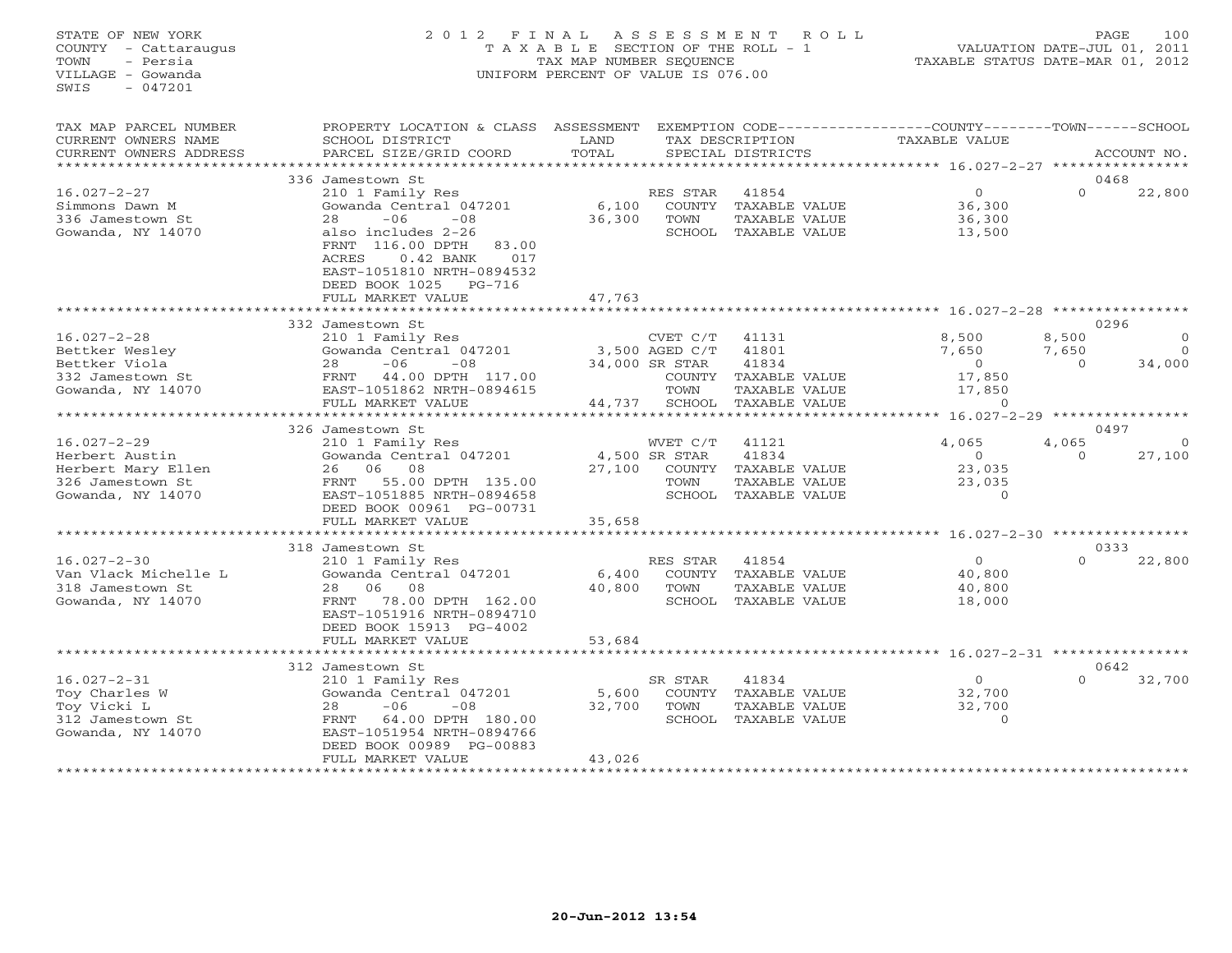# STATE OF NEW YORK 2 0 1 2 F I N A L A S S E S S M E N T R O L L PAGE 100 COUNTY - Cattaraugus T A X A B L E SECTION OF THE ROLL - 1 VALUATION DATE-JUL 01, 2011 TOWN - Persia TAX MAP NUMBER SEQUENCE TAXABLE STATUS DATE-MAR 01, 2012 VILLAGE - Gowanda UNIFORM PERCENT OF VALUE IS 076.00UNIFORM PERCENT OF VALUE IS 076.00

| TAX MAP PARCEL NUMBER<br>CURRENT OWNERS NAME<br>CURRENT OWNERS ADDRESS                             | PROPERTY LOCATION & CLASS<br>SCHOOL DISTRICT<br>PARCEL SIZE/GRID COORD                                                                                                                                                                                             | ASSESSMENT<br>LAND<br>TOTAL |                                                                          | TAX DESCRIPTION<br>SPECIAL DISTRICTS                                       | EXEMPTION CODE-----------------COUNTY-------TOWN------SCHOOL<br>TAXABLE VALUE |                            | ACCOUNT NO.                                  |
|----------------------------------------------------------------------------------------------------|--------------------------------------------------------------------------------------------------------------------------------------------------------------------------------------------------------------------------------------------------------------------|-----------------------------|--------------------------------------------------------------------------|----------------------------------------------------------------------------|-------------------------------------------------------------------------------|----------------------------|----------------------------------------------|
|                                                                                                    |                                                                                                                                                                                                                                                                    |                             |                                                                          |                                                                            |                                                                               |                            |                                              |
| $16.027 - 2 - 27$<br>Simmons Dawn M<br>336 Jamestown St<br>Gowanda, NY 14070                       | 336 Jamestown St<br>210 1 Family Res<br>Gowanda Central 047201<br>28<br>$-06$<br>$-08$<br>also includes 2-26<br>FRNT<br>116.00 DPTH<br>83.00<br><b>ACRES</b><br>$0.42$ BANK<br>017<br>EAST-1051810 NRTH-0894532<br>DEED BOOK 1025<br>$PG-716$<br>FULL MARKET VALUE | 6,100<br>36,300<br>47,763   | RES STAR<br>COUNTY<br>TOWN<br>SCHOOL                                     | 41854<br>TAXABLE VALUE<br>TAXABLE VALUE<br>TAXABLE VALUE                   | $\circ$<br>36,300<br>36,300<br>13,500                                         | $\Omega$                   | 0468<br>22,800                               |
|                                                                                                    |                                                                                                                                                                                                                                                                    |                             |                                                                          |                                                                            | ***************************** 16.027-2-28 ******                              |                            |                                              |
| $16.027 - 2 - 28$<br>Bettker Wesley<br>Bettker Viola<br>332 Jamestown St<br>Gowanda, NY 14070      | 332 Jamestown St<br>210 1 Family Res<br>Gowanda Central 047201<br>$-08$<br>28<br>$-06$<br>44.00 DPTH 117.00<br>FRNT<br>EAST-1051862 NRTH-0894615<br>FULL MARKET VALUE                                                                                              | 44,737                      | CVET C/T<br>3,500 AGED C/T<br>34,000 SR STAR<br>COUNTY<br>TOWN<br>SCHOOL | 41131<br>41801<br>41834<br>TAXABLE VALUE<br>TAXABLE VALUE<br>TAXABLE VALUE | 8,500<br>7,650<br>$\circ$<br>17,850<br>17,850<br>$\circ$                      | 8,500<br>7,650<br>$\Omega$ | 0296<br>$\Omega$<br>$\overline{0}$<br>34,000 |
|                                                                                                    |                                                                                                                                                                                                                                                                    |                             |                                                                          |                                                                            | $16.027 - 2 - 29$                                                             |                            |                                              |
| $16.027 - 2 - 29$<br>Herbert Austin<br>Herbert Mary Ellen<br>326 Jamestown St<br>Gowanda, NY 14070 | 326 Jamestown St<br>210 1 Family Res<br>Gowanda Central 047201<br>06<br>08<br>26<br>55.00 DPTH 135.00<br>FRNT<br>EAST-1051885 NRTH-0894658<br>DEED BOOK 00961 PG-00731<br>FULL MARKET VALUE                                                                        | 27,100<br>35,658            | WVET C/T<br>4,500 SR STAR<br>COUNTY<br>TOWN<br>SCHOOL                    | 41121<br>41834<br>TAXABLE VALUE<br>TAXABLE VALUE<br>TAXABLE VALUE          | 4,065<br>$\circ$<br>23,035<br>23,035<br>$\Omega$                              | 4,065<br>$\Omega$          | 0497<br>$\Omega$<br>27,100                   |
|                                                                                                    |                                                                                                                                                                                                                                                                    |                             |                                                                          |                                                                            | $16.027 - 2 - 30$ ********                                                    |                            |                                              |
| $16.027 - 2 - 30$<br>Van Vlack Michelle L<br>318 Jamestown St<br>Gowanda, NY 14070                 | 318 Jamestown St<br>210 1 Family Res<br>Gowanda Central 047201<br>06 —<br>08<br>28<br>FRNT<br>78.00 DPTH 162.00<br>EAST-1051916 NRTH-0894710<br>DEED BOOK 15913 PG-4002<br>FULL MARKET VALUE                                                                       | 6,400<br>40,800<br>53,684   | RES STAR<br>COUNTY<br>TOWN<br>SCHOOL                                     | 41854<br>TAXABLE VALUE<br>TAXABLE VALUE<br>TAXABLE VALUE                   | $\circ$<br>40,800<br>40,800<br>18,000                                         | $\Omega$                   | 0333<br>22,800                               |
|                                                                                                    | **************                                                                                                                                                                                                                                                     |                             |                                                                          |                                                                            | $16.027 - 2 - 31$ ***********                                                 |                            |                                              |
|                                                                                                    | 312 Jamestown St                                                                                                                                                                                                                                                   |                             |                                                                          |                                                                            |                                                                               |                            | 0642                                         |
| $16.027 - 2 - 31$<br>Toy Charles W<br>Toy Vicki L<br>312 Jamestown St<br>Gowanda, NY 14070         | 210 1 Family Res<br>Gowanda Central 047201<br>28<br>$-06$<br>$-08$<br>64.00 DPTH 180.00<br>FRNT<br>EAST-1051954 NRTH-0894766<br>DEED BOOK 00989 PG-00883                                                                                                           | 5,600<br>32,700             | SR STAR<br>COUNTY<br>TOWN<br>SCHOOL                                      | 41834<br>TAXABLE VALUE<br>TAXABLE VALUE<br>TAXABLE VALUE                   | $\circ$<br>32,700<br>32,700<br>$\Omega$                                       | $\Omega$                   | 32,700                                       |
|                                                                                                    | FULL MARKET VALUE<br>**********************                                                                                                                                                                                                                        | 43,026                      |                                                                          |                                                                            |                                                                               |                            |                                              |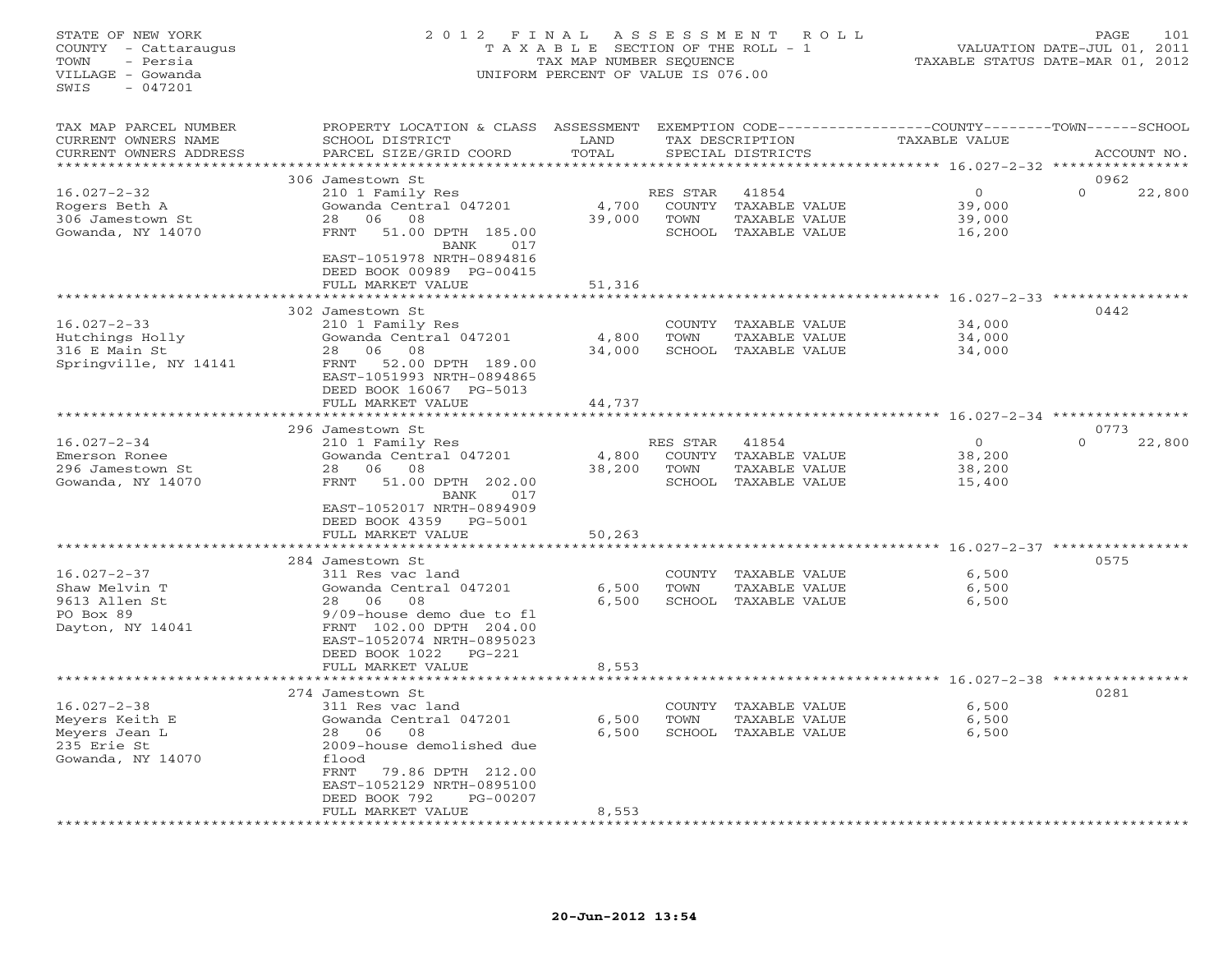# STATE OF NEW YORK 2 0 1 2 F I N A L A S S E S S M E N T R O L L PAGE 101 COUNTY - Cattaraugus T A X A B L E SECTION OF THE ROLL - 1 VALUATION DATE-JUL 01, 2011 TOWN - Persia TAX MAP NUMBER SEQUENCE TAXABLE STATUS DATE-MAR 01, 2012 VILLAGE - Gowanda UNIFORM PERCENT OF VALUE IS 076.00UNIFORM PERCENT OF VALUE IS 076.00

| TAX MAP PARCEL NUMBER<br>CURRENT OWNERS NAME<br>CURRENT OWNERS ADDRESS                   | PROPERTY LOCATION & CLASS<br>SCHOOL DISTRICT<br>PARCEL SIZE/GRID COORD                                                                                                                                                 | ASSESSMENT<br>LAND<br>TOTAL |                                      | EXEMPTION CODE----------------COUNTY-------TOWN-----SCHOOL<br>TAX DESCRIPTION<br>SPECIAL DISTRICTS | <b>TAXABLE VALUE</b>                   |          | ACCOUNT NO. |
|------------------------------------------------------------------------------------------|------------------------------------------------------------------------------------------------------------------------------------------------------------------------------------------------------------------------|-----------------------------|--------------------------------------|----------------------------------------------------------------------------------------------------|----------------------------------------|----------|-------------|
|                                                                                          |                                                                                                                                                                                                                        | * * * * * * * *             |                                      | ************************** 16.027-2-32 ****************                                            |                                        |          |             |
|                                                                                          | 306 Jamestown St                                                                                                                                                                                                       |                             |                                      |                                                                                                    |                                        | 0962     |             |
| $16.027 - 2 - 32$<br>Rogers Beth A<br>306 Jamestown St<br>Gowanda, NY 14070              | 210 1 Family Res<br>Gowanda Central 047201<br>06<br>08<br>28<br><b>FRNT</b><br>51.00 DPTH 185.00<br>BANK<br>017                                                                                                        | 4,700<br>39,000             | RES STAR<br>COUNTY<br>TOWN           | 41854<br>TAXABLE VALUE<br>TAXABLE VALUE<br>SCHOOL TAXABLE VALUE                                    | $\Omega$<br>39,000<br>39,000<br>16,200 | $\Omega$ | 22,800      |
|                                                                                          | EAST-1051978 NRTH-0894816<br>DEED BOOK 00989 PG-00415<br>FULL MARKET VALUE                                                                                                                                             | 51,316<br>*********         |                                      | ****************************** 16.027-2-33 ****************                                        |                                        |          |             |
|                                                                                          | 302 Jamestown St                                                                                                                                                                                                       |                             |                                      |                                                                                                    |                                        | 0442     |             |
| $16.027 - 2 - 33$<br>Hutchings Holly<br>316 E Main St<br>Springville, NY 14141           | 210 1 Family Res<br>Gowanda Central 047201<br>06<br>08<br>28<br>52.00 DPTH 189.00<br>FRNT<br>EAST-1051993 NRTH-0894865                                                                                                 | 4,800<br>34,000             | COUNTY<br>TOWN<br>SCHOOL             | TAXABLE VALUE<br>TAXABLE VALUE<br>TAXABLE VALUE                                                    | 34,000<br>34,000<br>34,000             |          |             |
|                                                                                          | DEED BOOK 16067 PG-5013                                                                                                                                                                                                |                             |                                      |                                                                                                    |                                        |          |             |
|                                                                                          | FULL MARKET VALUE                                                                                                                                                                                                      | 44,737                      |                                      |                                                                                                    |                                        |          |             |
|                                                                                          | 296 Jamestown St                                                                                                                                                                                                       |                             |                                      |                                                                                                    |                                        | 0773     |             |
| $16.027 - 2 - 34$<br>Emerson Ronee<br>296 Jamestown St<br>Gowanda, NY 14070              | 210 1 Family Res<br>Gowanda Central 047201<br>06<br>28<br>08<br>FRNT<br>51.00 DPTH 202.00<br>BANK<br>017                                                                                                               | 4,800<br>38,200             | RES STAR<br>COUNTY<br>TOWN<br>SCHOOL | 41854<br>TAXABLE VALUE<br>TAXABLE VALUE<br>TAXABLE VALUE                                           | $\circ$<br>38,200<br>38,200<br>15,400  | $\Omega$ | 22,800      |
|                                                                                          | EAST-1052017 NRTH-0894909<br>DEED BOOK 4359<br>PG-5001<br>FULL MARKET VALUE                                                                                                                                            | 50,263                      |                                      |                                                                                                    |                                        |          |             |
|                                                                                          |                                                                                                                                                                                                                        |                             |                                      |                                                                                                    | ************** 16.027-2-37 **********  |          |             |
| $16.027 - 2 - 37$<br>Shaw Melvin T<br>9613 Allen St<br>PO Box 89<br>Dayton, NY 14041     | 284 Jamestown St<br>311 Res vac land<br>Gowanda Central 047201<br>06<br>08<br>28<br>9/09-house demo due to fl<br>FRNT 102.00 DPTH 204.00<br>EAST-1052074 NRTH-0895023                                                  | 6,500<br>6,500              | COUNTY<br>TOWN                       | TAXABLE VALUE<br>TAXABLE VALUE<br>SCHOOL TAXABLE VALUE                                             | 6,500<br>6,500<br>6,500                | 0575     |             |
|                                                                                          | DEED BOOK 1022<br>$PG-221$                                                                                                                                                                                             |                             |                                      |                                                                                                    |                                        |          |             |
|                                                                                          | FULL MARKET VALUE                                                                                                                                                                                                      | 8,553                       |                                      |                                                                                                    |                                        |          |             |
|                                                                                          |                                                                                                                                                                                                                        |                             |                                      |                                                                                                    | $16.027 - 2 - 38$ *********            |          |             |
| $16.027 - 2 - 38$<br>Meyers Keith E<br>Meyers Jean L<br>235 Erie St<br>Gowanda, NY 14070 | 274 Jamestown St<br>311 Res vac land<br>Gowanda Central 047201<br>06<br>08<br>28<br>2009-house demolished due<br>flood<br><b>FRNT</b><br>79.86 DPTH 212.00<br>EAST-1052129 NRTH-0895100<br>DEED BOOK 792<br>$PG-00207$ | 6,500<br>6,500              | COUNTY<br>TOWN<br>SCHOOL             | TAXABLE VALUE<br>TAXABLE VALUE<br>TAXABLE VALUE                                                    | 6,500<br>6,500<br>6,500                | 0281     |             |
|                                                                                          | FULL MARKET VALUE                                                                                                                                                                                                      | 8,553                       |                                      |                                                                                                    |                                        |          |             |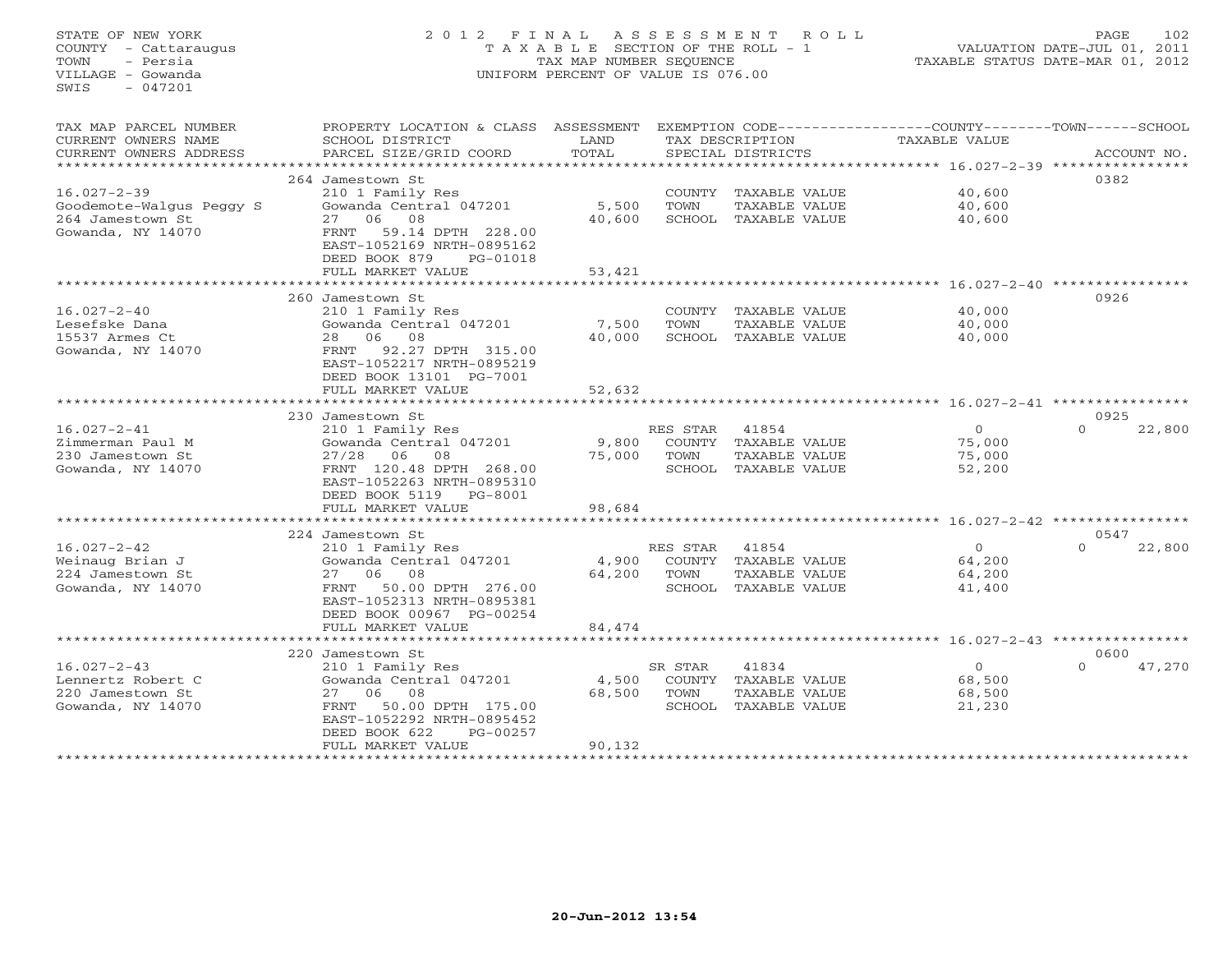# STATE OF NEW YORK 2 0 1 2 F I N A L A S S E S S M E N T R O L L PAGE 102 COUNTY - Cattaraugus T A X A B L E SECTION OF THE ROLL - 1 VALUATION DATE-JUL 01, 2011 TOWN - Persia TAX MAP NUMBER SEQUENCE TAXABLE STATUS DATE-MAR 01, 2012 VILLAGE - Gowanda UNIFORM PERCENT OF VALUE IS 076.00UNIFORM PERCENT OF VALUE IS 076.00

| TAX MAP PARCEL NUMBER    | PROPERTY LOCATION & CLASS   | ASSESSMENT |          |                      | EXEMPTION CODE-----------------COUNTY-------TOWN------SCHOOL |                    |
|--------------------------|-----------------------------|------------|----------|----------------------|--------------------------------------------------------------|--------------------|
| CURRENT OWNERS NAME      | SCHOOL DISTRICT             | LAND       |          | TAX DESCRIPTION      | TAXABLE VALUE                                                |                    |
| CURRENT OWNERS ADDRESS   | PARCEL SIZE/GRID COORD      | TOTAL      |          | SPECIAL DISTRICTS    |                                                              | ACCOUNT NO.        |
|                          |                             | *********  |          |                      |                                                              |                    |
|                          | 264 Jamestown St            |            |          |                      |                                                              | 0382               |
| $16.027 - 2 - 39$        | 210 1 Family Res            |            | COUNTY   | TAXABLE VALUE        | 40,600                                                       |                    |
| Goodemote-Walgus Peggy S | Gowanda Central 047201      | 5,500      | TOWN     | TAXABLE VALUE        | 40,600                                                       |                    |
| 264 Jamestown St         | 08<br>27<br>06              | 40,600     |          | SCHOOL TAXABLE VALUE | 40,600                                                       |                    |
| Gowanda, NY 14070        | 59.14 DPTH 228.00<br>FRNT   |            |          |                      |                                                              |                    |
|                          | EAST-1052169 NRTH-0895162   |            |          |                      |                                                              |                    |
|                          | DEED BOOK 879<br>PG-01018   |            |          |                      |                                                              |                    |
|                          | FULL MARKET VALUE           | 53,421     |          |                      |                                                              |                    |
|                          | **********************      |            |          |                      |                                                              |                    |
|                          | 260 Jamestown St            |            |          |                      |                                                              | 0926               |
| $16.027 - 2 - 40$        | 210 1 Family Res            |            |          | COUNTY TAXABLE VALUE | 40,000                                                       |                    |
| Lesefske Dana            | Gowanda Central 047201      | 7,500      | TOWN     | TAXABLE VALUE        | 40,000                                                       |                    |
| 15537 Armes Ct           | 06<br>08<br>28              | 40,000     |          | SCHOOL TAXABLE VALUE | 40,000                                                       |                    |
| Gowanda, NY 14070        | 92.27 DPTH 315.00<br>FRNT   |            |          |                      |                                                              |                    |
|                          | EAST-1052217 NRTH-0895219   |            |          |                      |                                                              |                    |
|                          | DEED BOOK 13101 PG-7001     |            |          |                      |                                                              |                    |
|                          | FULL MARKET VALUE           | 52,632     |          |                      |                                                              |                    |
|                          | *********************       |            |          |                      |                                                              |                    |
|                          | 230 Jamestown St            |            |          |                      |                                                              | 0925               |
| $16.027 - 2 - 41$        | 210 1 Family Res            |            | RES STAR | 41854                | $\circ$                                                      | $\Omega$<br>22,800 |
| Zimmerman Paul M         | Gowanda Central 047201      | 9,800      | COUNTY   | TAXABLE VALUE        | 75,000                                                       |                    |
| 230 Jamestown St         | 27/28<br>06<br>08           | 75,000     | TOWN     | TAXABLE VALUE        | 75,000                                                       |                    |
| Gowanda, NY 14070        | FRNT 120.48 DPTH 268.00     |            |          | SCHOOL TAXABLE VALUE | 52,200                                                       |                    |
|                          | EAST-1052263 NRTH-0895310   |            |          |                      |                                                              |                    |
|                          | DEED BOOK 5119<br>PG-8001   |            |          |                      |                                                              |                    |
|                          | FULL MARKET VALUE           | 98,684     |          |                      |                                                              |                    |
|                          |                             |            |          |                      |                                                              |                    |
|                          | 224 Jamestown St            |            |          |                      |                                                              | 0547               |
| $16.027 - 2 - 42$        | 210 1 Family Res            |            | RES STAR | 41854                | $\circ$                                                      | $\Omega$<br>22,800 |
| Weinaug Brian J          | Gowanda Central 047201      | 4,900      | COUNTY   | TAXABLE VALUE        | 64,200                                                       |                    |
| 224 Jamestown St         | 06<br>08<br>27              | 64,200     | TOWN     | TAXABLE VALUE        | 64,200                                                       |                    |
| Gowanda, NY 14070        | FRNT<br>50.00 DPTH 276.00   |            |          | SCHOOL TAXABLE VALUE | 41,400                                                       |                    |
|                          | EAST-1052313 NRTH-0895381   |            |          |                      |                                                              |                    |
|                          | DEED BOOK 00967 PG-00254    |            |          |                      |                                                              |                    |
|                          | FULL MARKET VALUE           | 84,474     |          |                      |                                                              |                    |
|                          | *************************** |            |          |                      |                                                              |                    |
|                          | 220 Jamestown St            |            |          |                      |                                                              | 0600               |
| $16.027 - 2 - 43$        | 210 1 Family Res            |            | SR STAR  | 41834                | $\circ$                                                      | 47,270<br>$\cap$   |
| Lennertz Robert C        | Gowanda Central 047201      | 4,500      | COUNTY   | TAXABLE VALUE        | 68,500                                                       |                    |
| 220 Jamestown St         | 08<br>27 06                 | 68,500     | TOWN     | TAXABLE VALUE        | 68,500                                                       |                    |
| Gowanda, NY 14070        | 50.00 DPTH 175.00<br>FRNT   |            |          | SCHOOL TAXABLE VALUE | 21,230                                                       |                    |
|                          | EAST-1052292 NRTH-0895452   |            |          |                      |                                                              |                    |
|                          | DEED BOOK 622<br>PG-00257   |            |          |                      |                                                              |                    |
|                          | FULL MARKET VALUE           | 90,132     |          |                      |                                                              |                    |
|                          |                             |            |          |                      |                                                              |                    |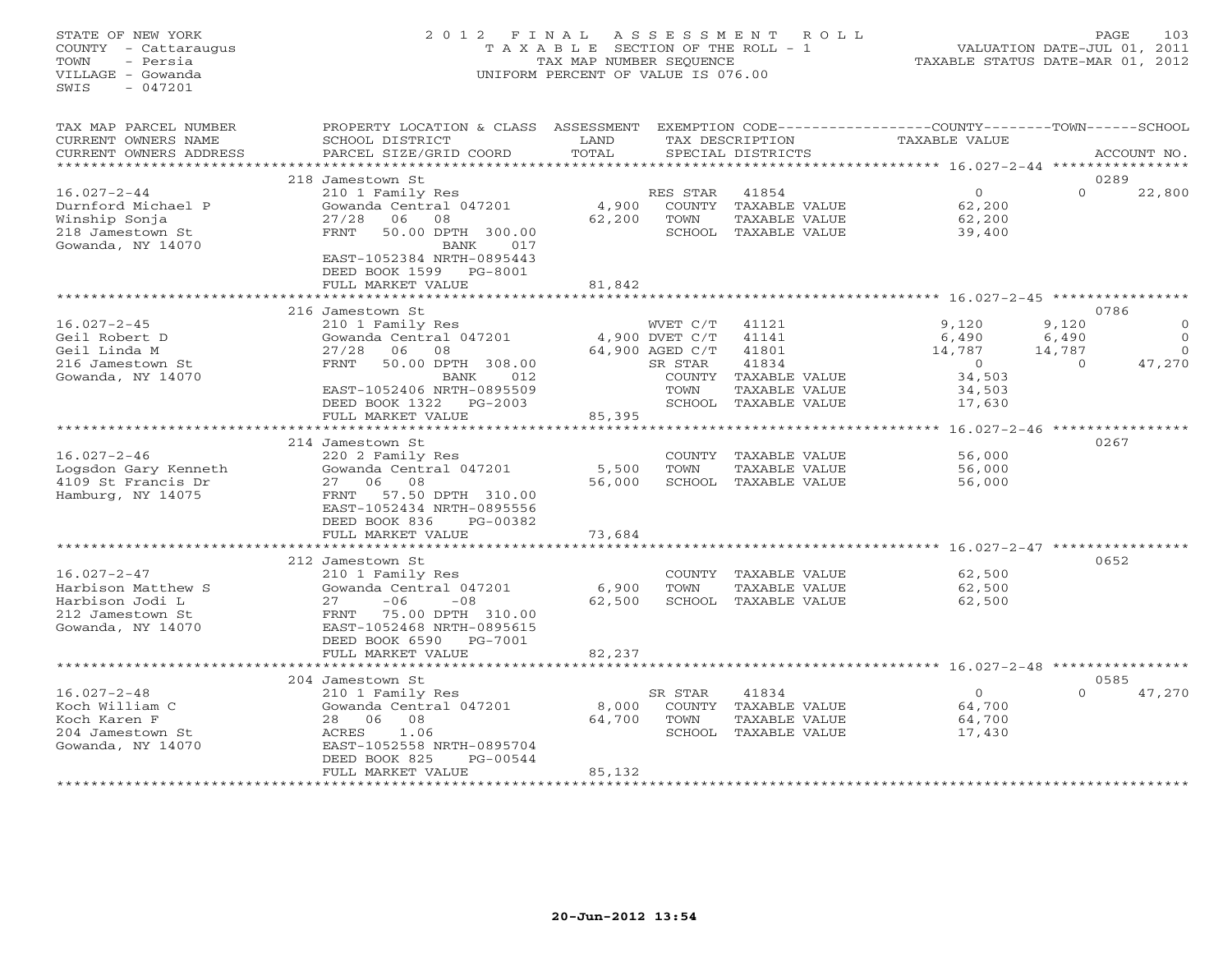# STATE OF NEW YORK 2 0 1 2 F I N A L A S S E S S M E N T R O L L PAGE 103 COUNTY - Cattaraugus T A X A B L E SECTION OF THE ROLL - 1 VALUATION DATE-JUL 01, 2011 TOWN - Persia TAX MAP NUMBER SEQUENCE TAXABLE STATUS DATE-MAR 01, 2012 VILLAGE - Gowanda UNIFORM PERCENT OF VALUE IS 076.00UNIFORM PERCENT OF VALUE IS 076.00

| TAX MAP PARCEL NUMBER<br>CURRENT OWNERS NAME<br>CURRENT OWNERS ADDRESS                              | PROPERTY LOCATION & CLASS<br>SCHOOL DISTRICT<br>PARCEL SIZE/GRID COORD                                                                                                                             | ASSESSMENT<br>LAND<br>TOTAL |                                                                            | TAX DESCRIPTION<br>SPECIAL DISTRICTS                                                       | EXEMPTION CODE-----------------COUNTY-------TOWN------SCHOOL<br><b>TAXABLE VALUE</b> |                                      | ACCOUNT NO.                                |
|-----------------------------------------------------------------------------------------------------|----------------------------------------------------------------------------------------------------------------------------------------------------------------------------------------------------|-----------------------------|----------------------------------------------------------------------------|--------------------------------------------------------------------------------------------|--------------------------------------------------------------------------------------|--------------------------------------|--------------------------------------------|
|                                                                                                     |                                                                                                                                                                                                    |                             |                                                                            |                                                                                            |                                                                                      |                                      |                                            |
| $16.027 - 2 - 44$<br>Durnford Michael P<br>Winship Sonja<br>218 Jamestown St<br>Gowanda, NY 14070   | 218 Jamestown St<br>210 1 Family Res<br>Gowanda Central 047201<br>27/28<br>06<br>08<br><b>FRNT</b><br>50.00 DPTH 300.00<br>BANK<br>017<br>EAST-1052384 NRTH-0895443<br>DEED BOOK 1599<br>PG-8001   | 4,900<br>62,200             | RES STAR<br>COUNTY<br>TOWN                                                 | 41854<br>TAXABLE VALUE<br>TAXABLE VALUE<br>SCHOOL TAXABLE VALUE                            | $\overline{0}$<br>62,200<br>62,200<br>39,400                                         | $\Omega$                             | 0289<br>22,800                             |
|                                                                                                     | FULL MARKET VALUE                                                                                                                                                                                  | 81,842                      |                                                                            |                                                                                            |                                                                                      |                                      |                                            |
|                                                                                                     |                                                                                                                                                                                                    |                             |                                                                            |                                                                                            |                                                                                      |                                      | 0786                                       |
| $16.027 - 2 - 45$<br>Geil Robert D<br>Geil Linda M<br>216 Jamestown St<br>Gowanda, NY 14070         | 216 Jamestown St<br>210 1 Family Res<br>Gowanda Central 047201<br>27/28<br>06<br>08<br>FRNT<br>50.00 DPTH 308.00<br>BANK<br>012<br>EAST-1052406 NRTH-0895509<br>DEED BOOK 1322<br>$PG-2003$        |                             | WVET C/T<br>4,900 DVET C/T<br>64,900 AGED C/T<br>SR STAR<br>COUNTY<br>TOWN | 41121<br>41141<br>41801<br>41834<br>TAXABLE VALUE<br>TAXABLE VALUE<br>SCHOOL TAXABLE VALUE | 9,120<br>6,490<br>14,787<br>$\Omega$<br>34,503<br>34,503<br>17,630                   | 9,120<br>6,490<br>14,787<br>$\Omega$ | $\Omega$<br>$\Omega$<br>$\Omega$<br>47,270 |
|                                                                                                     | FULL MARKET VALUE                                                                                                                                                                                  | 85,395                      |                                                                            |                                                                                            |                                                                                      |                                      |                                            |
|                                                                                                     | *********************<br>214 Jamestown St                                                                                                                                                          |                             |                                                                            |                                                                                            | ********* 16.027-2-46 *****************                                              |                                      | 0267                                       |
| $16.027 - 2 - 46$<br>Logsdon Gary Kenneth<br>4109 St Francis Dr<br>Hamburg, NY 14075                | 220 2 Family Res<br>Gowanda Central 047201<br>06<br>08<br>27<br>57.50 DPTH 310.00<br>FRNT<br>EAST-1052434 NRTH-0895556<br>DEED BOOK 836<br>PG-00382<br>FULL MARKET VALUE                           | 5,500<br>56,000<br>73,684   | COUNTY<br><b>TOWN</b>                                                      | TAXABLE VALUE<br>TAXABLE VALUE<br>SCHOOL TAXABLE VALUE                                     | 56,000<br>56,000<br>56,000                                                           |                                      |                                            |
|                                                                                                     |                                                                                                                                                                                                    |                             |                                                                            |                                                                                            | ********** 16.027-2-47                                                               |                                      |                                            |
| $16.027 - 2 - 47$<br>Harbison Matthew S<br>Harbison Jodi L<br>212 Jamestown St<br>Gowanda, NY 14070 | 212 Jamestown St<br>210 1 Family Res<br>Gowanda Central 047201<br>27<br>$-06$<br>$-08$<br>75.00 DPTH 310.00<br>FRNT<br>EAST-1052468 NRTH-0895615<br>DEED BOOK 6590<br>PG-7001<br>FULL MARKET VALUE | 6,900<br>62,500<br>82,237   | COUNTY<br>TOWN                                                             | TAXABLE VALUE<br>TAXABLE VALUE<br>SCHOOL TAXABLE VALUE                                     | 62,500<br>62,500<br>62,500                                                           |                                      | 0652                                       |
|                                                                                                     |                                                                                                                                                                                                    |                             |                                                                            |                                                                                            | $16.027 - 2 - 48$ **************                                                     |                                      |                                            |
|                                                                                                     | 204 Jamestown St                                                                                                                                                                                   |                             |                                                                            |                                                                                            |                                                                                      |                                      | 0585                                       |
| $16.027 - 2 - 48$<br>Koch William C<br>Koch Karen F<br>204 Jamestown St<br>Gowanda, NY 14070        | 210 1 Family Res<br>Gowanda Central 047201<br>06<br>08<br>28<br>1.06<br>ACRES<br>EAST-1052558 NRTH-0895704<br>DEED BOOK 825<br>$PG-00544$<br>FULL MARKET VALUE                                     | 8,000<br>64,700<br>85,132   | SR STAR<br>COUNTY<br>TOWN<br>SCHOOL                                        | 41834<br>TAXABLE VALUE<br>TAXABLE VALUE<br>TAXABLE VALUE                                   | $\circ$<br>64,700<br>64,700<br>17,430                                                | $\Omega$                             | 47,270                                     |
|                                                                                                     |                                                                                                                                                                                                    |                             |                                                                            |                                                                                            |                                                                                      |                                      |                                            |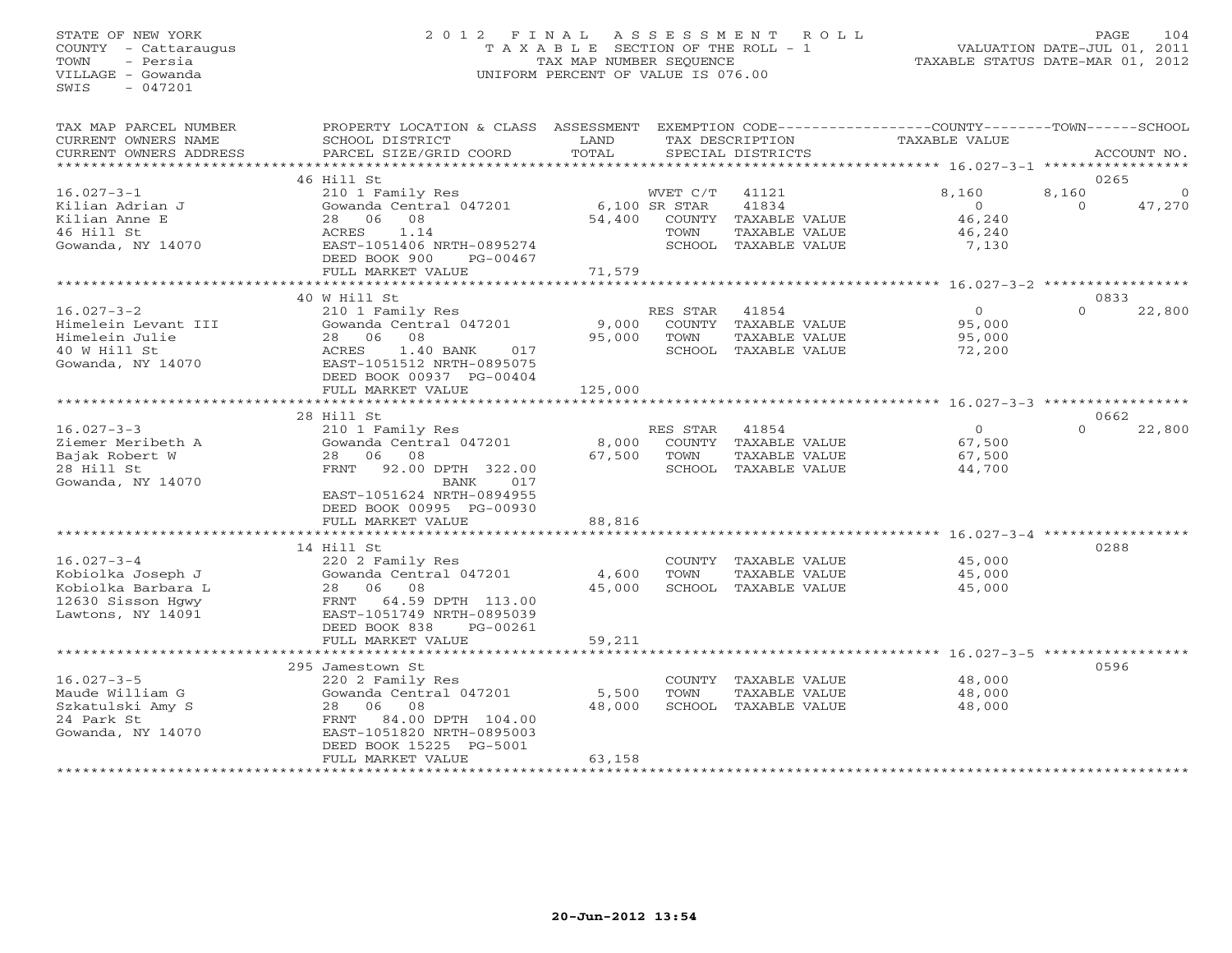# STATE OF NEW YORK 2 0 1 2 F I N A L A S S E S S M E N T R O L L PAGE 104 COUNTY - Cattaraugus T A X A B L E SECTION OF THE ROLL - 1 VALUATION DATE-JUL 01, 2011 TOWN - Persia TAX MAP NUMBER SEQUENCE TAXABLE STATUS DATE-MAR 01, 2012 VILLAGE - Gowanda UNIFORM PERCENT OF VALUE IS 076.00UNIFORM PERCENT OF VALUE IS 076.00

| TAX MAP PARCEL NUMBER                             | PROPERTY LOCATION & CLASS ASSESSMENT                                               |                 |                           |                                       | EXEMPTION CODE-----------------COUNTY-------TOWN-----SCHOOL |                   |                    |
|---------------------------------------------------|------------------------------------------------------------------------------------|-----------------|---------------------------|---------------------------------------|-------------------------------------------------------------|-------------------|--------------------|
| CURRENT OWNERS NAME                               | SCHOOL DISTRICT                                                                    | LAND<br>TOTAL   |                           | TAX DESCRIPTION                       | TAXABLE VALUE                                               |                   |                    |
| CURRENT OWNERS ADDRESS<br>*********************** | PARCEL SIZE/GRID COORD                                                             |                 |                           | SPECIAL DISTRICTS                     |                                                             |                   | ACCOUNT NO.        |
|                                                   | 46 Hill St                                                                         |                 |                           |                                       |                                                             |                   | 0265               |
| $16.027 - 3 - 1$<br>Kilian Adrian J               | 210 1 Family Res<br>Gowanda Central 047201                                         |                 | WVET C/T<br>6,100 SR STAR | 41121<br>41834                        | 8,160<br>$\circ$                                            | 8,160<br>$\Omega$ | $\Omega$<br>47,270 |
| Kilian Anne E<br>46 Hill St                       | 28 06<br>08<br>1.14<br>ACRES                                                       | 54,400          | TOWN                      | COUNTY TAXABLE VALUE<br>TAXABLE VALUE | 46,240<br>46,240                                            |                   |                    |
| Gowanda, NY 14070                                 | EAST-1051406 NRTH-0895274<br>DEED BOOK 900<br>PG-00467                             |                 |                           | SCHOOL TAXABLE VALUE                  | 7,130                                                       |                   |                    |
|                                                   | FULL MARKET VALUE                                                                  | 71,579          |                           |                                       |                                                             |                   |                    |
|                                                   | 40 W Hill St                                                                       |                 |                           |                                       |                                                             |                   | 0833               |
| $16.027 - 3 - 2$                                  | 210 1 Family Res                                                                   |                 | RES STAR                  | 41854                                 | $\circ$                                                     | $\Omega$          | 22,800             |
| Himelein Levant III<br>Himelein Julie             | Gowanda Central 047201<br>28 06<br>08                                              | 9,000<br>95,000 | COUNTY<br>TOWN            | TAXABLE VALUE<br>TAXABLE VALUE        | 95,000<br>95,000                                            |                   |                    |
| 40 W Hill St<br>Gowanda, NY 14070                 | ACRES<br>1.40 BANK<br>017<br>EAST-1051512 NRTH-0895075<br>DEED BOOK 00937 PG-00404 |                 |                           | SCHOOL TAXABLE VALUE                  | 72,200                                                      |                   |                    |
|                                                   | FULL MARKET VALUE                                                                  | 125,000         |                           |                                       |                                                             |                   |                    |
|                                                   | 28 Hill St                                                                         |                 |                           |                                       |                                                             |                   | 0662               |
| $16.027 - 3 - 3$                                  | 210 1 Family Res                                                                   |                 | RES STAR                  | 41854                                 | $\Omega$                                                    | $\Omega$          | 22,800             |
| Ziemer Meribeth A                                 | Gowanda Central 047201                                                             | 8,000           |                           | COUNTY TAXABLE VALUE                  | 67,500                                                      |                   |                    |
| Bajak Robert W                                    | 28 06<br>08                                                                        | 67,500          | TOWN                      | TAXABLE VALUE                         | 67,500                                                      |                   |                    |
| 28 Hill St                                        | <b>FRNT</b><br>92.00 DPTH 322.00                                                   |                 |                           | SCHOOL TAXABLE VALUE                  | 44,700                                                      |                   |                    |
| Gowanda, NY 14070                                 | BANK<br>017<br>EAST-1051624 NRTH-0894955                                           |                 |                           |                                       |                                                             |                   |                    |
|                                                   | DEED BOOK 00995 PG-00930<br>FULL MARKET VALUE                                      | 88,816          |                           |                                       |                                                             |                   |                    |
|                                                   | ******************************                                                     |                 |                           |                                       |                                                             |                   |                    |
| $16.027 - 3 - 4$                                  | 14 Hill St                                                                         |                 |                           |                                       | 45,000                                                      |                   | 0288               |
| Kobiolka Joseph J                                 | 220 2 Family Res<br>Gowanda Central 047201                                         | 4,600           | TOWN                      | COUNTY TAXABLE VALUE<br>TAXABLE VALUE | 45,000                                                      |                   |                    |
| Kobiolka Barbara L                                | 08<br>28 06                                                                        | 45,000          |                           | SCHOOL TAXABLE VALUE                  | 45,000                                                      |                   |                    |
| 12630 Sisson Hawy                                 | 64.59 DPTH 113.00<br>FRNT                                                          |                 |                           |                                       |                                                             |                   |                    |
| Lawtons, NY 14091                                 | EAST-1051749 NRTH-0895039                                                          |                 |                           |                                       |                                                             |                   |                    |
|                                                   | DEED BOOK 838<br>PG-00261                                                          |                 |                           |                                       |                                                             |                   |                    |
|                                                   | FULL MARKET VALUE                                                                  | 59,211          |                           |                                       |                                                             |                   |                    |
|                                                   | *************************                                                          | *************   |                           |                                       |                                                             |                   |                    |
|                                                   | 295 Jamestown St                                                                   |                 |                           |                                       |                                                             |                   | 0596               |
| $16.027 - 3 - 5$                                  | 220 2 Family Res                                                                   |                 |                           | COUNTY TAXABLE VALUE                  | 48,000                                                      |                   |                    |
| Maude William G                                   | Gowanda Central 047201                                                             | 5,500           | TOWN                      | TAXABLE VALUE                         | 48,000                                                      |                   |                    |
| Szkatulski Amy S<br>24 Park St                    | 28 06<br>08<br>84.00 DPTH 104.00<br>FRNT                                           | 48,000          |                           | SCHOOL TAXABLE VALUE                  | 48,000                                                      |                   |                    |
| Gowanda, NY 14070                                 | EAST-1051820 NRTH-0895003                                                          |                 |                           |                                       |                                                             |                   |                    |
|                                                   | DEED BOOK 15225 PG-5001                                                            |                 |                           |                                       |                                                             |                   |                    |
|                                                   | FULL MARKET VALUE                                                                  | 63,158          |                           |                                       |                                                             |                   |                    |
|                                                   |                                                                                    |                 |                           |                                       |                                                             |                   |                    |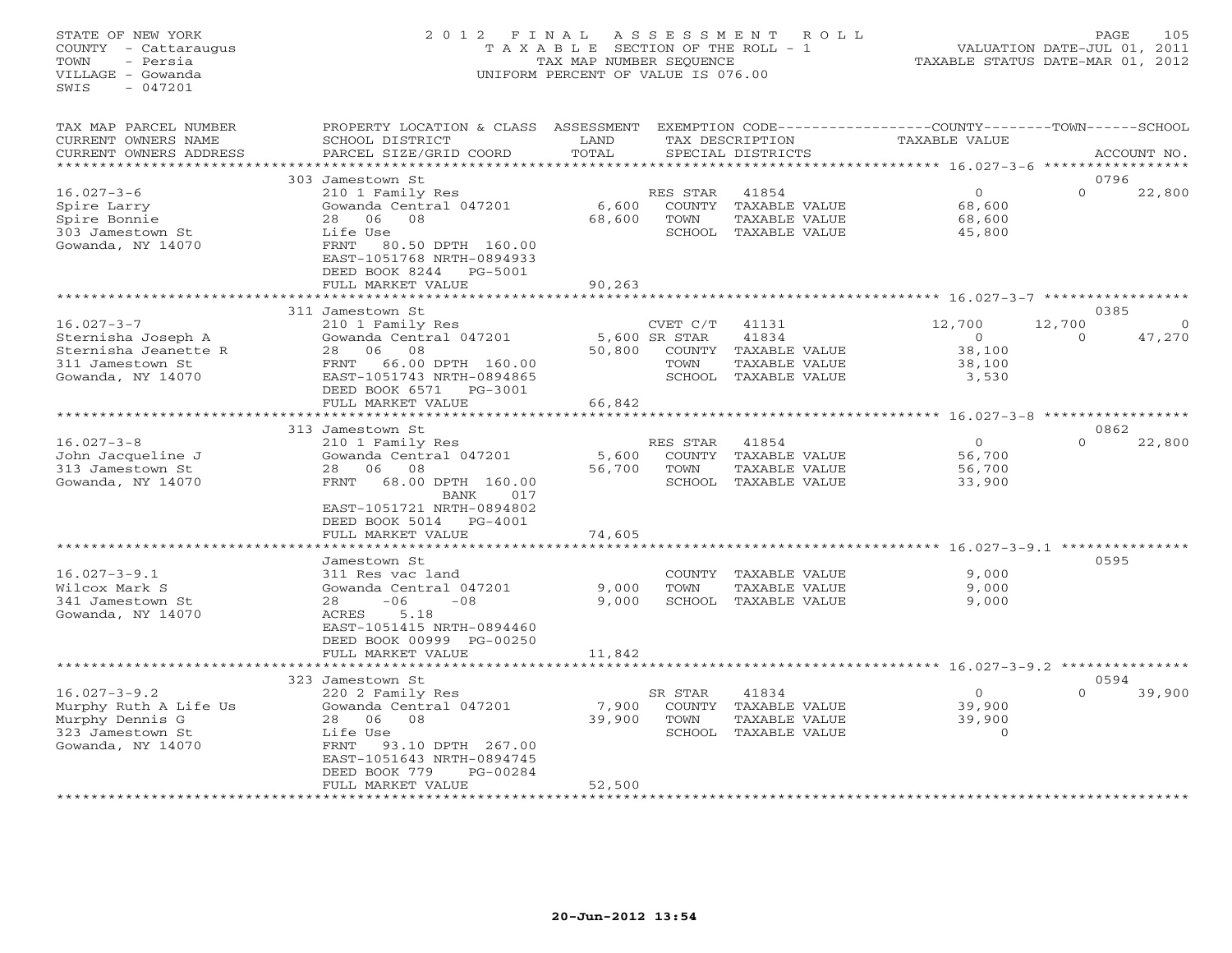# STATE OF NEW YORK 2 0 1 2 F I N A L A S S E S S M E N T R O L L PAGE 105 COUNTY - Cattaraugus T A X A B L E SECTION OF THE ROLL - 1 VALUATION DATE-JUL 01, 2011 TOWN - Persia TAX MAP NUMBER SEQUENCE TAXABLE STATUS DATE-MAR 01, 2012 VILLAGE - Gowanda UNIFORM PERCENT OF VALUE IS 076.00UNIFORM PERCENT OF VALUE IS 076.00

| TAX MAP PARCEL NUMBER<br>CURRENT OWNERS NAME<br>CURRENT OWNERS ADDRESS                                  | PROPERTY LOCATION & CLASS<br>SCHOOL DISTRICT<br>PARCEL SIZE/GRID COORD                                                                                                               | ASSESSMENT<br>LAND<br>TOTAL |                                                              | TAX DESCRIPTION<br>SPECIAL DISTRICTS                              | EXEMPTION CODE-----------------COUNTY-------TOWN-----SCHOOL<br>TAXABLE VALUE |                    | ACCOUNT NO. |
|---------------------------------------------------------------------------------------------------------|--------------------------------------------------------------------------------------------------------------------------------------------------------------------------------------|-----------------------------|--------------------------------------------------------------|-------------------------------------------------------------------|------------------------------------------------------------------------------|--------------------|-------------|
|                                                                                                         | 303 Jamestown St                                                                                                                                                                     |                             |                                                              |                                                                   | *********** 16.027-3-6                                                       |                    | 0796        |
| $16.027 - 3 - 6$<br>Spire Larry<br>Spire Bonnie<br>303 Jamestown St<br>Gowanda, NY 14070                | 210 1 Family Res<br>Gowanda Central 047201<br>06<br>08<br>28<br>Life Use<br>FRNT<br>80.50 DPTH 160.00<br>EAST-1051768 NRTH-0894933<br>DEED BOOK 8244<br>PG-5001<br>FULL MARKET VALUE | 6,600<br>68,600<br>90,263   | RES STAR<br>COUNTY<br>TOWN<br>SCHOOL                         | 41854<br>TAXABLE VALUE<br>TAXABLE VALUE<br>TAXABLE VALUE          | $\circ$<br>68,600<br>68,600<br>45,800                                        | $\Omega$           | 22,800      |
|                                                                                                         | 311 Jamestown St                                                                                                                                                                     |                             |                                                              |                                                                   |                                                                              |                    | 0385        |
| $16.027 - 3 - 7$<br>Sternisha Joseph A<br>Sternisha Jeanette R<br>311 Jamestown St<br>Gowanda, NY 14070 | 210 1 Family Res<br>Gowanda Central 047201<br>06<br>08<br>28<br>FRNT<br>66.00 DPTH 160.00<br>EAST-1051743 NRTH-0894865<br>DEED BOOK 6571<br>PG-3001                                  | 50,800                      | CVET C/T<br>5,600 SR STAR<br><b>COUNTY</b><br>TOWN<br>SCHOOL | 41131<br>41834<br>TAXABLE VALUE<br>TAXABLE VALUE<br>TAXABLE VALUE | 12,700<br>$\Omega$<br>38,100<br>38,100<br>3,530                              | 12,700<br>$\Omega$ | 47,270      |
|                                                                                                         | FULL MARKET VALUE<br>******************                                                                                                                                              | 66,842<br>********          |                                                              |                                                                   | ******** 16.027-3-8 *****************                                        |                    |             |
|                                                                                                         | 313 Jamestown St                                                                                                                                                                     |                             |                                                              |                                                                   |                                                                              |                    | 0862        |
| $16.027 - 3 - 8$<br>John Jacqueline J<br>313 Jamestown St<br>Gowanda, NY 14070                          | 210 1 Family Res<br>Gowanda Central 047201<br>06<br>08<br>28<br>68.00 DPTH 160.00<br>FRNT<br><b>BANK</b><br>017                                                                      | 5,600<br>56,700             | RES STAR<br><b>COUNTY</b><br>TOWN<br>SCHOOL                  | 41854<br>TAXABLE VALUE<br><b>TAXABLE VALUE</b><br>TAXABLE VALUE   | $\circ$<br>56,700<br>56,700<br>33,900                                        | $\Omega$           | 22,800      |
|                                                                                                         | EAST-1051721 NRTH-0894802<br>DEED BOOK 5014<br>$PG-4001$<br>FULL MARKET VALUE<br>* * * * * * * * * * * * * * * * *                                                                   | 74,605                      |                                                              |                                                                   | ******************** 16.027-3-9.1 ***************                            |                    |             |
|                                                                                                         | Jamestown St                                                                                                                                                                         |                             |                                                              |                                                                   |                                                                              |                    | 0595        |
| $16.027 - 3 - 9.1$<br>Wilcox Mark S<br>341 Jamestown St<br>Gowanda, NY 14070                            | 311 Res vac land<br>Gowanda Central 047201<br>28<br>$-06$<br>$-08$<br>5.18<br>ACRES<br>EAST-1051415 NRTH-0894460<br>DEED BOOK 00999 PG-00250                                         | 9,000<br>9,000              | COUNTY<br>TOWN<br>SCHOOL                                     | TAXABLE VALUE<br>TAXABLE VALUE<br>TAXABLE VALUE                   | 9,000<br>9,000<br>9,000                                                      |                    |             |
|                                                                                                         | FULL MARKET VALUE                                                                                                                                                                    | 11,842                      |                                                              |                                                                   | *********************************** 16.027-3-9.2 ***************             |                    |             |
|                                                                                                         | 323 Jamestown St                                                                                                                                                                     |                             |                                                              |                                                                   |                                                                              |                    | 0594        |
| $16.027 - 3 - 9.2$<br>Murphy Ruth A Life Us<br>Murphy Dennis G<br>323 Jamestown St<br>Gowanda, NY 14070 | 220 2 Family Res<br>Gowanda Central 047201<br>06<br>08<br>28<br>Life Use<br>93.10 DPTH 267.00<br>FRNT<br>EAST-1051643 NRTH-0894745<br>DEED BOOK 779<br>PG-00284<br>FULL MARKET VALUE | 7,900<br>39,900<br>52,500   | SR STAR<br>COUNTY<br>TOWN<br>SCHOOL                          | 41834<br>TAXABLE VALUE<br>TAXABLE VALUE<br>TAXABLE VALUE          | $\circ$<br>39,900<br>39,900<br>$\Omega$                                      | $\Omega$           | 39,900      |
|                                                                                                         | * * * * * * * * * * * * * * * * * * * *                                                                                                                                              |                             |                                                              |                                                                   |                                                                              |                    |             |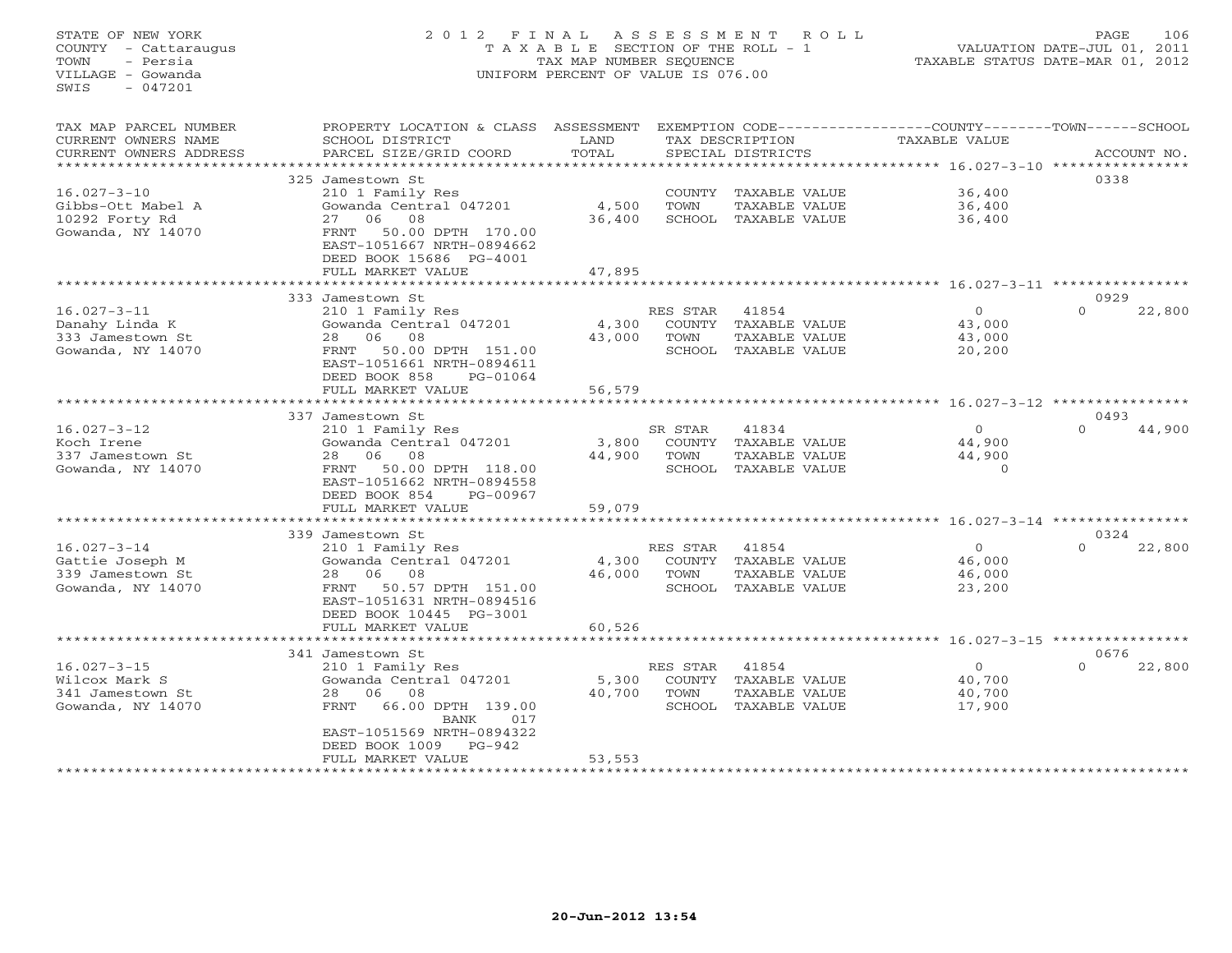# STATE OF NEW YORK 2 0 1 2 F I N A L A S S E S S M E N T R O L L PAGE 106 COUNTY - Cattaraugus T A X A B L E SECTION OF THE ROLL - 1 VALUATION DATE-JUL 01, 2011 TOWN - Persia TAX MAP NUMBER SEQUENCE TAXABLE STATUS DATE-MAR 01, 2012 VILLAGE - Gowanda UNIFORM PERCENT OF VALUE IS 076.00UNIFORM PERCENT OF VALUE IS 076.00

| TAX MAP PARCEL NUMBER  | PROPERTY LOCATION & CLASS                | ASSESSMENT                |          |                      | EXEMPTION CODE-----------------COUNTY-------TOWN------SCHOOL |                    |
|------------------------|------------------------------------------|---------------------------|----------|----------------------|--------------------------------------------------------------|--------------------|
| CURRENT OWNERS NAME    | SCHOOL DISTRICT                          | LAND                      |          | TAX DESCRIPTION      | TAXABLE VALUE                                                |                    |
| CURRENT OWNERS ADDRESS | PARCEL SIZE/GRID COORD                   | TOTAL                     |          | SPECIAL DISTRICTS    |                                                              | ACCOUNT NO.        |
|                        | * * * * * * * * * * * * * * * * * * *    | ************************* |          |                      |                                                              |                    |
|                        | 325 Jamestown St                         |                           |          |                      |                                                              | 0338               |
| $16.027 - 3 - 10$      | 210 1 Family Res                         |                           |          | COUNTY TAXABLE VALUE | 36,400                                                       |                    |
| Gibbs-Ott Mabel A      | Gowanda Central 047201                   | 4,500                     | TOWN     | TAXABLE VALUE        | 36,400                                                       |                    |
| 10292 Forty Rd         | 06<br>08<br>27                           | 36,400                    |          | SCHOOL TAXABLE VALUE | 36,400                                                       |                    |
| Gowanda, NY 14070      | 50.00 DPTH 170.00<br>FRNT                |                           |          |                      |                                                              |                    |
|                        | EAST-1051667 NRTH-0894662                |                           |          |                      |                                                              |                    |
|                        | DEED BOOK 15686 PG-4001                  |                           |          |                      |                                                              |                    |
|                        |                                          |                           |          |                      |                                                              |                    |
|                        | FULL MARKET VALUE                        | 47,895                    |          |                      |                                                              |                    |
|                        |                                          |                           |          |                      |                                                              |                    |
|                        | 333 Jamestown St                         |                           |          |                      |                                                              | 0929               |
| $16.027 - 3 - 11$      | 210 1 Family Res                         |                           | RES STAR | 41854                | $\Omega$                                                     | $\Omega$<br>22,800 |
| Danahy Linda K         | Gowanda Central 047201                   | 4,300                     |          | COUNTY TAXABLE VALUE | 43,000                                                       |                    |
| 333 Jamestown St       | 28<br>06<br>08                           | 43,000                    | TOWN     | TAXABLE VALUE        | 43,000                                                       |                    |
| Gowanda, NY 14070      | 50.00 DPTH 151.00<br>FRNT                |                           |          | SCHOOL TAXABLE VALUE | 20,200                                                       |                    |
|                        | EAST-1051661 NRTH-0894611                |                           |          |                      |                                                              |                    |
|                        | DEED BOOK 858<br>PG-01064                |                           |          |                      |                                                              |                    |
|                        | FULL MARKET VALUE                        | 56,579                    |          |                      |                                                              |                    |
|                        | *******************                      |                           |          |                      |                                                              |                    |
|                        | 337 Jamestown St                         |                           |          |                      |                                                              | 0493               |
| $16.027 - 3 - 12$      | 210 1 Family Res                         |                           | SR STAR  | 41834                | $\Omega$                                                     | $\Omega$<br>44,900 |
| Koch Irene             | Gowanda Central 047201                   | 3,800                     |          | COUNTY TAXABLE VALUE | 44,900                                                       |                    |
| 337 Jamestown St       | 08<br>28 06                              | 44,900                    | TOWN     | TAXABLE VALUE        | 44,900                                                       |                    |
| Gowanda, NY 14070      | 50.00 DPTH 118.00<br>FRNT                |                           |          | SCHOOL TAXABLE VALUE | $\Omega$                                                     |                    |
|                        | EAST-1051662 NRTH-0894558                |                           |          |                      |                                                              |                    |
|                        |                                          |                           |          |                      |                                                              |                    |
|                        | DEED BOOK 854<br>PG-00967                |                           |          |                      |                                                              |                    |
|                        | FULL MARKET VALUE                        | 59,079                    |          |                      |                                                              |                    |
|                        |                                          |                           |          |                      |                                                              |                    |
|                        | 339 Jamestown St                         |                           |          |                      |                                                              | 0324               |
| $16.027 - 3 - 14$      | 210 1 Family Res                         |                           | RES STAR | 41854                | $\circ$                                                      | $\Omega$<br>22,800 |
| Gattie Joseph M        | Gowanda Central 047201                   | 4,300                     | COUNTY   | TAXABLE VALUE        | 46,000                                                       |                    |
| 339 Jamestown St       | 08<br>28 06                              | 46,000                    | TOWN     | TAXABLE VALUE        | 46,000                                                       |                    |
| Gowanda, NY 14070      | 50.57 DPTH 151.00<br>FRNT                |                           |          | SCHOOL TAXABLE VALUE | 23,200                                                       |                    |
|                        | EAST-1051631 NRTH-0894516                |                           |          |                      |                                                              |                    |
|                        | DEED BOOK 10445 PG-3001                  |                           |          |                      |                                                              |                    |
|                        | FULL MARKET VALUE                        | 60,526                    |          |                      |                                                              |                    |
|                        | *********************                    | ***********               |          |                      | ******************************* 16.027-3-15 **************** |                    |
|                        | 341 Jamestown St                         |                           |          |                      |                                                              | 0676               |
| $16.027 - 3 - 15$      | 210 1 Family Res                         |                           | RES STAR | 41854                | $\Omega$                                                     | 22,800<br>$\Omega$ |
| Wilcox Mark S          | Gowanda Central 047201                   | 5,300                     | COUNTY   | TAXABLE VALUE        | 40,700                                                       |                    |
| 341 Jamestown St       | 08<br>28<br>06                           | 40,700                    | TOWN     | TAXABLE VALUE        | 40,700                                                       |                    |
| Gowanda, NY 14070      | 66.00 DPTH 139.00<br>FRNT                |                           | SCHOOL   | TAXABLE VALUE        | 17,900                                                       |                    |
|                        | BANK<br>017                              |                           |          |                      |                                                              |                    |
|                        | EAST-1051569 NRTH-0894322                |                           |          |                      |                                                              |                    |
|                        | PG-942                                   |                           |          |                      |                                                              |                    |
|                        | DEED BOOK 1009                           |                           |          |                      |                                                              |                    |
|                        | FULL MARKET VALUE<br>******************* | 53,553                    |          |                      |                                                              |                    |
|                        |                                          |                           |          |                      |                                                              |                    |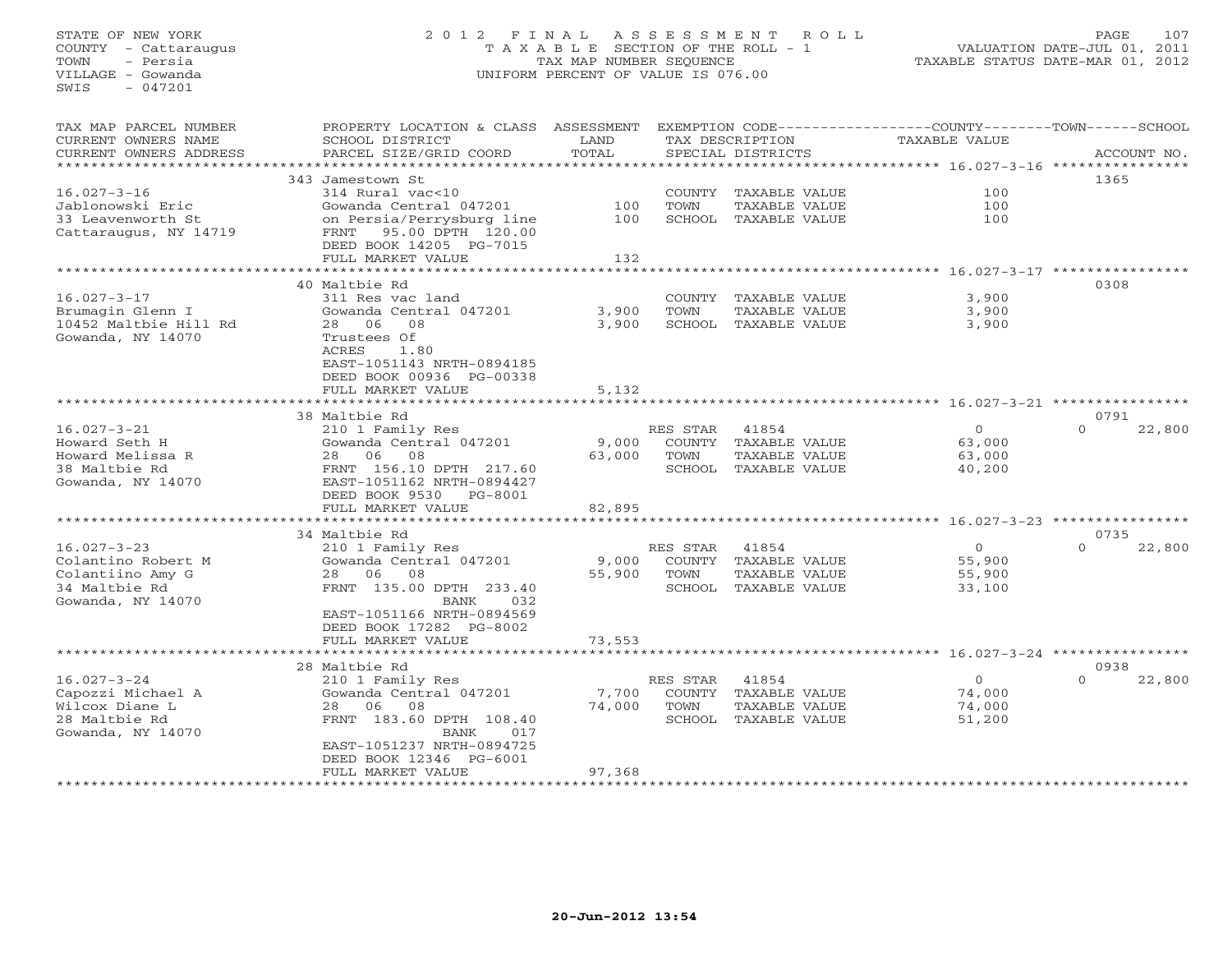# STATE OF NEW YORK 2 0 1 2 F I N A L A S S E S S M E N T R O L L PAGE 107 COUNTY - Cattaraugus T A X A B L E SECTION OF THE ROLL - 1 VALUATION DATE-JUL 01, 2011 TOWN - Persia TAX MAP NUMBER SEQUENCE TAXABLE STATUS DATE-MAR 01, 2012 VILLAGE - Gowanda UNIFORM PERCENT OF VALUE IS 076.00UNIFORM PERCENT OF VALUE IS 076.00

| TAX MAP PARCEL NUMBER<br>CURRENT OWNERS NAME<br>CURRENT OWNERS ADDRESS<br>********************** | PROPERTY LOCATION & CLASS<br>SCHOOL DISTRICT<br>PARCEL SIZE/GRID COORD | ASSESSMENT<br>LAND<br>TOTAL |          | TAX DESCRIPTION<br>SPECIAL DISTRICTS | EXEMPTION CODE-----------------COUNTY-------TOWN------SCHOOL<br>TAXABLE VALUE |          | ACCOUNT NO. |
|--------------------------------------------------------------------------------------------------|------------------------------------------------------------------------|-----------------------------|----------|--------------------------------------|-------------------------------------------------------------------------------|----------|-------------|
|                                                                                                  |                                                                        |                             |          |                                      |                                                                               |          |             |
|                                                                                                  | 343 Jamestown St                                                       |                             |          |                                      |                                                                               | 1365     |             |
| $16.027 - 3 - 16$                                                                                | 314 Rural vac<10                                                       |                             | COUNTY   | TAXABLE VALUE                        | 100                                                                           |          |             |
| Jablonowski Eric                                                                                 | Gowanda Central 047201                                                 | 100                         | TOWN     | TAXABLE VALUE                        | 100                                                                           |          |             |
| 33 Leavenworth St                                                                                | on Persia/Perrysburg line                                              | 100                         |          | SCHOOL TAXABLE VALUE                 | 100                                                                           |          |             |
| Cattaraugus, NY 14719                                                                            | 95.00 DPTH 120.00<br>FRNT<br>DEED BOOK 14205 PG-7015                   |                             |          |                                      |                                                                               |          |             |
|                                                                                                  | FULL MARKET VALUE                                                      | 132                         |          |                                      |                                                                               |          |             |
|                                                                                                  |                                                                        | **********                  |          |                                      | ************************ 16.027-3-17 ***********                              |          |             |
|                                                                                                  | 40 Maltbie Rd                                                          |                             |          |                                      |                                                                               | 0308     |             |
| $16.027 - 3 - 17$                                                                                | 311 Res vac land                                                       |                             |          | COUNTY TAXABLE VALUE                 | 3,900                                                                         |          |             |
| Brumagin Glenn I                                                                                 | Gowanda Central 047201                                                 | 3,900                       | TOWN     | TAXABLE VALUE                        | 3,900                                                                         |          |             |
| 10452 Maltbie Hill Rd                                                                            | 28<br>- 06<br>08                                                       | 3,900                       | SCHOOL   | TAXABLE VALUE                        | 3,900                                                                         |          |             |
| Gowanda, NY 14070                                                                                | Trustees Of                                                            |                             |          |                                      |                                                                               |          |             |
|                                                                                                  | ACRES<br>1.80                                                          |                             |          |                                      |                                                                               |          |             |
|                                                                                                  | EAST-1051143 NRTH-0894185                                              |                             |          |                                      |                                                                               |          |             |
|                                                                                                  | DEED BOOK 00936 PG-00338                                               |                             |          |                                      |                                                                               |          |             |
|                                                                                                  | FULL MARKET VALUE                                                      | 5,132                       |          |                                      |                                                                               |          |             |
|                                                                                                  | *********************                                                  |                             |          |                                      | **************************** 16.027-3-21 *****                                |          |             |
|                                                                                                  | 38 Maltbie Rd                                                          |                             |          |                                      |                                                                               | 0791     |             |
| $16.027 - 3 - 21$                                                                                | 210 1 Family Res                                                       |                             | RES STAR | 41854                                | $\circ$                                                                       | $\Omega$ | 22,800      |
| Howard Seth H                                                                                    | Gowanda Central 047201                                                 | 9,000                       |          | COUNTY TAXABLE VALUE                 | 63,000                                                                        |          |             |
| Howard Melissa R                                                                                 | 28 06<br>08                                                            | 63,000                      | TOWN     | TAXABLE VALUE                        | 63,000                                                                        |          |             |
| 38 Maltbie Rd                                                                                    | FRNT 156.10 DPTH 217.60                                                |                             |          | SCHOOL TAXABLE VALUE                 | 40,200                                                                        |          |             |
| Gowanda, NY 14070                                                                                | EAST-1051162 NRTH-0894427                                              |                             |          |                                      |                                                                               |          |             |
|                                                                                                  | DEED BOOK 9530<br>PG-8001                                              |                             |          |                                      |                                                                               |          |             |
|                                                                                                  | FULL MARKET VALUE                                                      | 82,895                      |          |                                      |                                                                               |          |             |
|                                                                                                  | *******************                                                    |                             |          |                                      | $16.027 - 3 - 23$ ***********                                                 |          |             |
|                                                                                                  | 34 Maltbie Rd                                                          |                             |          |                                      |                                                                               | 0735     |             |
| $16.027 - 3 - 23$                                                                                | 210 1 Family Res                                                       |                             | RES STAR | 41854                                | $\circ$                                                                       | $\Omega$ | 22,800      |
| Colantino Robert M                                                                               | Gowanda Central 047201                                                 |                             |          | COUNTY TAXABLE VALUE                 | 55,900                                                                        |          |             |
| Colantiino Amy G                                                                                 | 28<br>06<br>08                                                         | 9,000<br>55,900             | TOWN     |                                      | 55,900                                                                        |          |             |
|                                                                                                  | FRNT 135.00 DPTH 233.40                                                |                             | SCHOOL   | TAXABLE VALUE                        |                                                                               |          |             |
| 34 Maltbie Rd                                                                                    |                                                                        |                             |          | TAXABLE VALUE                        | 33,100                                                                        |          |             |
| Gowanda, NY 14070                                                                                | <b>BANK</b><br>032                                                     |                             |          |                                      |                                                                               |          |             |
|                                                                                                  | EAST-1051166 NRTH-0894569                                              |                             |          |                                      |                                                                               |          |             |
|                                                                                                  | DEED BOOK 17282 PG-8002                                                |                             |          |                                      |                                                                               |          |             |
|                                                                                                  | FULL MARKET VALUE                                                      | 73,553                      |          |                                      |                                                                               |          |             |
|                                                                                                  | **************************                                             |                             |          |                                      | ********************************* 16.027-3-24 *******                         |          |             |
|                                                                                                  | 28 Maltbie Rd                                                          |                             |          |                                      |                                                                               | 0938     |             |
| $16.027 - 3 - 24$                                                                                | 210 1 Family Res                                                       |                             | RES STAR | 41854                                | $\Omega$                                                                      | $\Omega$ | 22,800      |
| Capozzi Michael A                                                                                | Gowanda Central 047201                                                 | 7,700                       |          | COUNTY TAXABLE VALUE                 | 74,000                                                                        |          |             |
| Wilcox Diane L                                                                                   | 06<br>28<br>08                                                         | 74,000                      | TOWN     | TAXABLE VALUE                        | 74,000                                                                        |          |             |
| 28 Maltbie Rd                                                                                    | FRNT 183.60 DPTH 108.40                                                |                             |          | SCHOOL TAXABLE VALUE                 | 51,200                                                                        |          |             |
| Gowanda, NY 14070                                                                                | <b>BANK</b><br>017                                                     |                             |          |                                      |                                                                               |          |             |
|                                                                                                  | EAST-1051237 NRTH-0894725                                              |                             |          |                                      |                                                                               |          |             |
|                                                                                                  | DEED BOOK 12346 PG-6001                                                |                             |          |                                      |                                                                               |          |             |
|                                                                                                  | FULL MARKET VALUE                                                      | 97,368                      |          |                                      |                                                                               |          |             |
|                                                                                                  | *******************                                                    | * * * * * * * * * *         |          |                                      |                                                                               |          |             |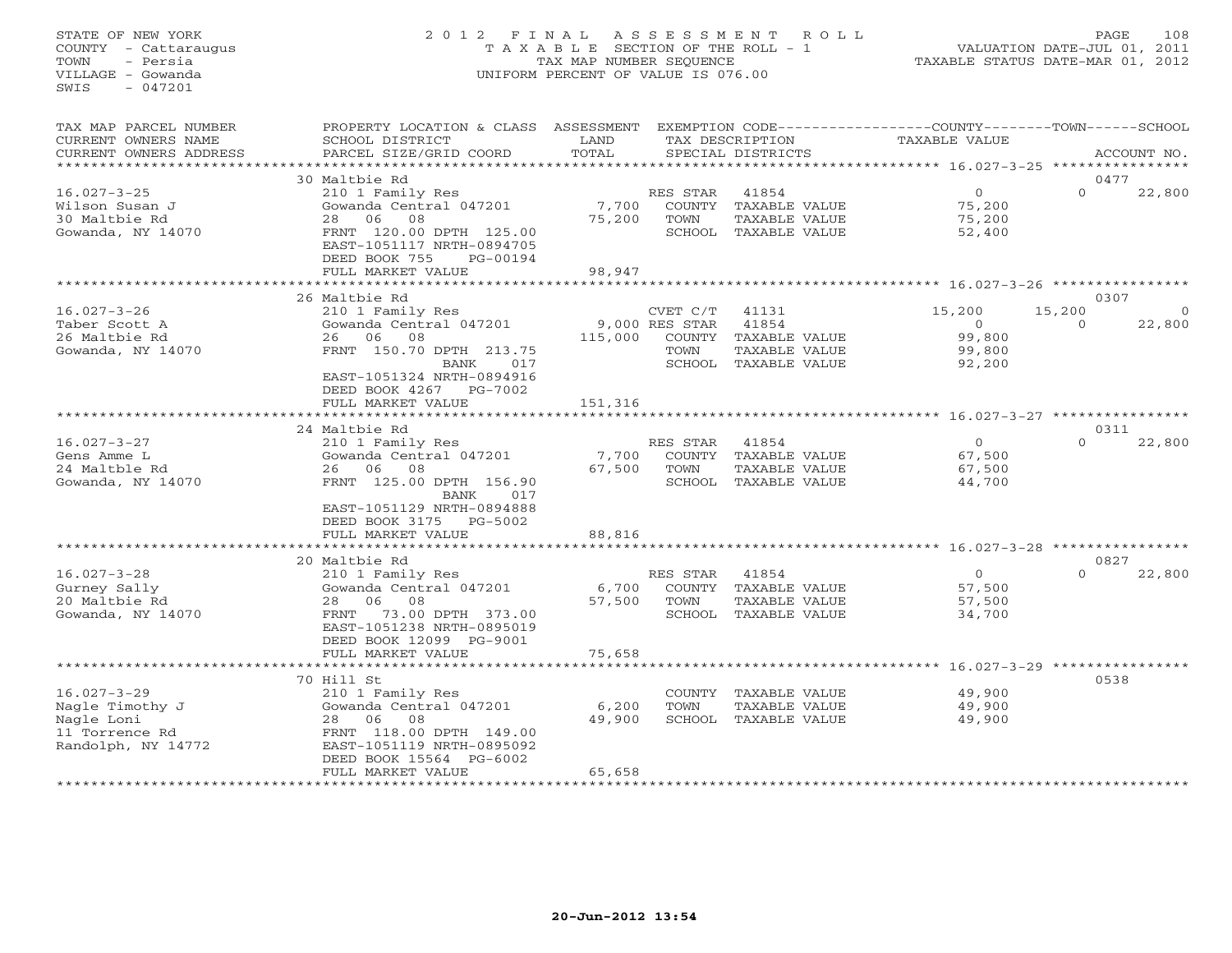# STATE OF NEW YORK 2 0 1 2 F I N A L A S S E S S M E N T R O L L PAGE 108 COUNTY - Cattaraugus T A X A B L E SECTION OF THE ROLL - 1 VALUATION DATE-JUL 01, 2011 TOWN - Persia TAX MAP NUMBER SEQUENCE TAXABLE STATUS DATE-MAR 01, 2012 VILLAGE - Gowanda UNIFORM PERCENT OF VALUE IS 076.00UNIFORM PERCENT OF VALUE IS 076.00

| TAX MAP PARCEL NUMBER<br>CURRENT OWNERS NAME         | PROPERTY LOCATION & CLASS<br>SCHOOL DISTRICT                                                           | ASSESSMENT<br>LAND |                            | TAX DESCRIPTION                         | EXEMPTION CODE-----------------COUNTY-------TOWN------SCHOOL<br>TAXABLE VALUE |                               |             |
|------------------------------------------------------|--------------------------------------------------------------------------------------------------------|--------------------|----------------------------|-----------------------------------------|-------------------------------------------------------------------------------|-------------------------------|-------------|
| CURRENT OWNERS ADDRESS                               | PARCEL SIZE/GRID COORD                                                                                 | TOTAL              |                            | SPECIAL DISTRICTS                       |                                                                               |                               | ACCOUNT NO. |
|                                                      | 30 Maltbie Rd                                                                                          |                    |                            |                                         |                                                                               |                               | 0477        |
| $16.027 - 3 - 25$<br>Wilson Susan J<br>30 Maltbie Rd | 210 1 Family Res<br>Gowanda Central 047201<br>08<br>06<br>28                                           | 7,700<br>75,200    | RES STAR<br>COUNTY<br>TOWN | 41854<br>TAXABLE VALUE<br>TAXABLE VALUE | $\circ$<br>75,200<br>75,200                                                   | $\Omega$                      | 22,800      |
| Gowanda, NY 14070                                    | FRNT 120.00 DPTH 125.00<br>EAST-1051117 NRTH-0894705<br>DEED BOOK 755<br>PG-00194<br>FULL MARKET VALUE | 98,947             |                            | SCHOOL TAXABLE VALUE                    | 52,400                                                                        |                               |             |
|                                                      | *********************                                                                                  | *********          |                            |                                         | ************* 16.027-3-26 ************                                        |                               |             |
|                                                      | 26 Maltbie Rd                                                                                          |                    |                            |                                         |                                                                               |                               | 0307        |
| $16.027 - 3 - 26$                                    | 210 1 Family Res                                                                                       |                    | CVET C/T                   | 41131                                   | 15,200                                                                        | 15,200                        | $\Omega$    |
| Taber Scott A                                        | Gowanda Central 047201                                                                                 |                    | 9,000 RES STAR             | 41854                                   | $\Omega$                                                                      | $\Omega$                      | 22,800      |
| 26 Maltbie Rd                                        | 06<br>08<br>26                                                                                         | 115,000            |                            | COUNTY TAXABLE VALUE                    | 99,800                                                                        |                               |             |
| Gowanda, NY 14070                                    | FRNT 150.70 DPTH 213.75                                                                                |                    | TOWN                       | TAXABLE VALUE                           | 99,800                                                                        |                               |             |
|                                                      | BANK<br>017                                                                                            |                    |                            | SCHOOL TAXABLE VALUE                    | 92,200                                                                        |                               |             |
|                                                      | EAST-1051324 NRTH-0894916<br>DEED BOOK 4267<br>$PG-7002$                                               |                    |                            |                                         |                                                                               |                               |             |
|                                                      | FULL MARKET VALUE                                                                                      | 151,316            |                            |                                         |                                                                               |                               |             |
|                                                      |                                                                                                        |                    |                            |                                         | ************************* 16.027-3-27 ****************                        |                               |             |
|                                                      | 24 Maltbie Rd                                                                                          |                    |                            |                                         |                                                                               |                               | 0311        |
| $16.027 - 3 - 27$                                    | 210 1 Family Res                                                                                       |                    | RES STAR                   | 41854                                   | $\circ$                                                                       | $\cap$                        | 22,800      |
| Gens Amme L                                          | Gowanda Central 047201                                                                                 | 7,700              | COUNTY                     | TAXABLE VALUE                           | 67,500                                                                        |                               |             |
| 24 Maltble Rd                                        | 08<br>26<br>06                                                                                         | 67,500             | <b>TOWN</b>                | TAXABLE VALUE                           | 67,500                                                                        |                               |             |
| Gowanda, NY 14070                                    | FRNT 125.00 DPTH 156.90<br>BANK<br>017                                                                 |                    |                            | SCHOOL TAXABLE VALUE                    | 44,700                                                                        |                               |             |
|                                                      | EAST-1051129 NRTH-0894888<br>DEED BOOK 3175<br>PG-5002                                                 |                    |                            |                                         |                                                                               |                               |             |
|                                                      | FULL MARKET VALUE                                                                                      | 88,816             |                            |                                         |                                                                               |                               |             |
|                                                      | 20 Maltbie Rd                                                                                          |                    |                            |                                         |                                                                               |                               | 0827        |
| $16.027 - 3 - 28$                                    | 210 1 Family Res                                                                                       |                    | RES STAR                   | 41854                                   | $\Omega$                                                                      | $\Omega$                      | 22,800      |
| Gurney Sally                                         | Gowanda Central 047201                                                                                 | 6,700              |                            | COUNTY TAXABLE VALUE                    | 57,500                                                                        |                               |             |
| 20 Maltbie Rd                                        | 08<br>28<br>06                                                                                         | 57,500             | TOWN                       | TAXABLE VALUE                           | 57,500                                                                        |                               |             |
| Gowanda, NY 14070                                    | 73.00 DPTH 373.00<br>FRNT<br>EAST-1051238 NRTH-0895019<br>DEED BOOK 12099 PG-9001                      |                    | SCHOOL                     | TAXABLE VALUE                           | 34,700                                                                        |                               |             |
|                                                      | FULL MARKET VALUE                                                                                      | 75,658             |                            |                                         |                                                                               |                               |             |
|                                                      |                                                                                                        | * * * * * * * *    |                            |                                         |                                                                               | $16.027 - 3 - 29$ *********** |             |
|                                                      | 70 Hill St                                                                                             |                    |                            |                                         |                                                                               |                               | 0538        |
| $16.027 - 3 - 29$                                    | 210 1 Family Res                                                                                       |                    |                            | COUNTY TAXABLE VALUE                    | 49,900                                                                        |                               |             |
| Nagle Timothy J                                      | Gowanda Central 047201                                                                                 | 6,200              | TOWN                       | TAXABLE VALUE                           | 49,900                                                                        |                               |             |
| Nagle Loni                                           | 06<br>08<br>28                                                                                         | 49,900             | SCHOOL                     | TAXABLE VALUE                           | 49,900                                                                        |                               |             |
| 11 Torrence Rd                                       | FRNT 118.00 DPTH 149.00                                                                                |                    |                            |                                         |                                                                               |                               |             |
| Randolph, NY 14772                                   | EAST-1051119 NRTH-0895092                                                                              |                    |                            |                                         |                                                                               |                               |             |
|                                                      | DEED BOOK 15564 PG-6002                                                                                |                    |                            |                                         |                                                                               |                               |             |
|                                                      | FULL MARKET VALUE                                                                                      | 65,658             |                            |                                         |                                                                               |                               |             |
|                                                      | *******************                                                                                    |                    |                            |                                         |                                                                               |                               |             |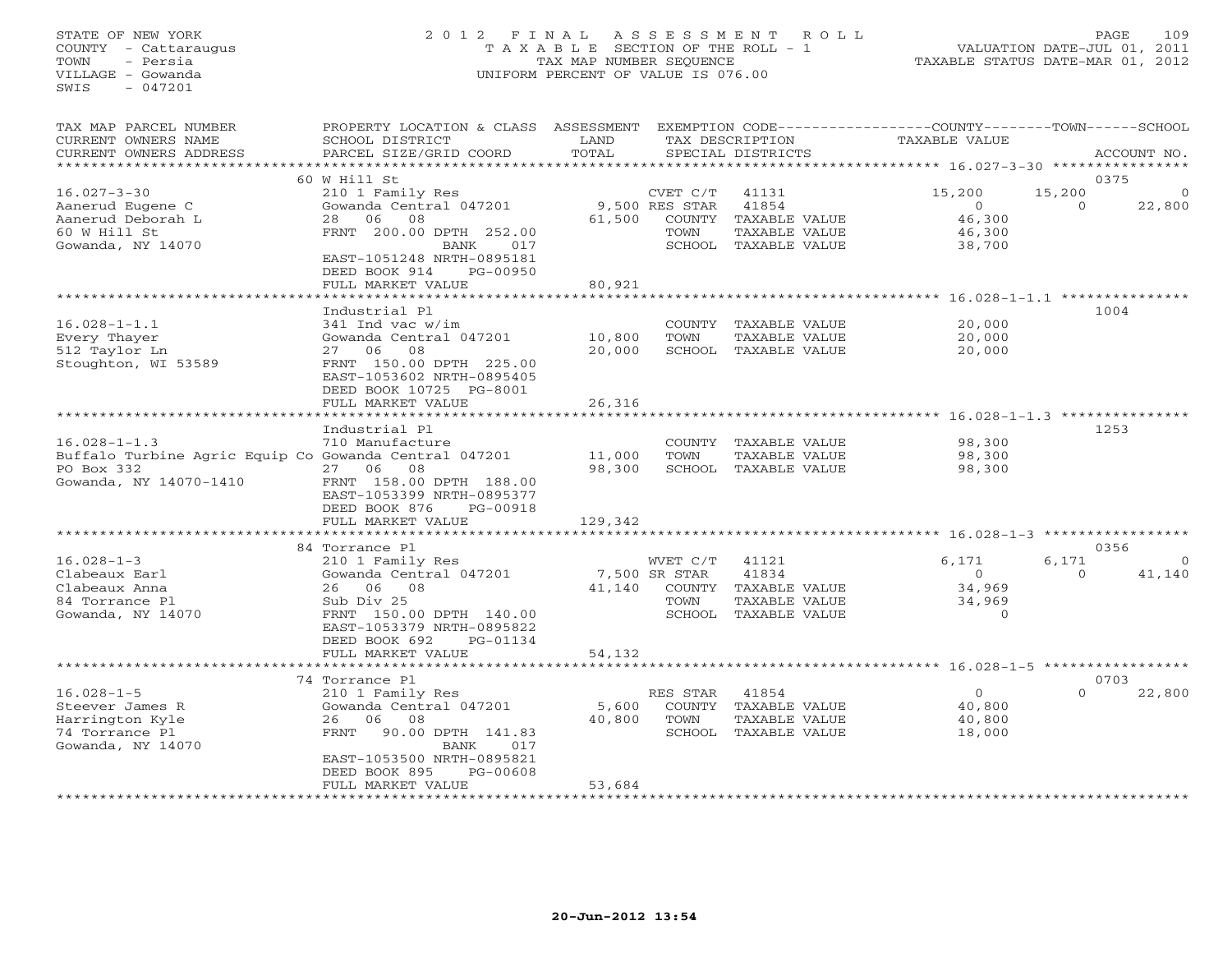#### STATE OF NEW YORK 2 0 1 2 F I N A L A S S E S S M E N T R O L L PAGE 109 COUNTY - Cattaraugus T A X A B L E SECTION OF THE ROLL - 1 VALUATION DATE-JUL 01, 2011 TOWN - Persia TAX MAP NUMBER SEQUENCE TAXABLE STATUS DATE-MAR 01, 2012 VILLAGE - Gowanda UNIFORM PERCENT OF VALUE IS 076.00UNIFORM PERCENT OF VALUE IS 076.00

| TAX MAP PARCEL NUMBER<br>CURRENT OWNERS NAME<br>CURRENT OWNERS ADDRESS                                              | PROPERTY LOCATION & CLASS<br>SCHOOL DISTRICT<br>PARCEL SIZE/GRID COORD                                                                                          | ASSESSMENT<br>LAND<br>TOTAL |                                             | TAX DESCRIPTION<br>SPECIAL DISTRICTS                                     | EXEMPTION CODE----------------COUNTY-------TOWN-----SCHOOL<br><b>TAXABLE VALUE</b> |                    | ACCOUNT NO.    |
|---------------------------------------------------------------------------------------------------------------------|-----------------------------------------------------------------------------------------------------------------------------------------------------------------|-----------------------------|---------------------------------------------|--------------------------------------------------------------------------|------------------------------------------------------------------------------------|--------------------|----------------|
| *******************                                                                                                 |                                                                                                                                                                 |                             |                                             |                                                                          |                                                                                    |                    |                |
| $16.027 - 3 - 30$<br>Aanerud Eugene C                                                                               | 60 W Hill St<br>210 1 Family Res<br>Gowanda Central 047201                                                                                                      |                             | CVET C/T<br>9,500 RES STAR                  | 41131<br>41854                                                           | 15,200<br>$\circ$                                                                  | 15,200<br>$\Omega$ | 0375<br>22,800 |
| Aanerud Deborah L<br>60 W Hill St<br>Gowanda, NY 14070                                                              | 08<br>06<br>28<br>FRNT 200.00 DPTH 252.00<br>BANK<br>017<br>EAST-1051248 NRTH-0895181<br>DEED BOOK 914<br>PG-00950                                              | 61,500<br>80,921            | COUNTY<br>TOWN                              | TAXABLE VALUE<br>TAXABLE VALUE<br>SCHOOL TAXABLE VALUE                   | 46,300<br>46,300<br>38,700                                                         |                    |                |
|                                                                                                                     | FULL MARKET VALUE                                                                                                                                               |                             |                                             |                                                                          | $16.028 - 1 - 1.1$ ****************                                                |                    |                |
|                                                                                                                     | Industrial Pl                                                                                                                                                   |                             |                                             |                                                                          |                                                                                    |                    | 1004           |
| $16.028 - 1 - 1.1$<br>Every Thayer<br>512 Taylor Ln<br>Stoughton, WI 53589                                          | 341 Ind vac w/im<br>Gowanda Central 047201<br>08<br>06<br>27<br>FRNT 150.00 DPTH 225.00<br>EAST-1053602 NRTH-0895405                                            | 10,800<br>20,000            | COUNTY<br>TOWN                              | TAXABLE VALUE<br>TAXABLE VALUE<br>SCHOOL TAXABLE VALUE                   | 20,000<br>20,000<br>20,000                                                         |                    |                |
|                                                                                                                     | DEED BOOK 10725 PG-8001<br>FULL MARKET VALUE<br>* * * * * * * * * * * * * * * * *                                                                               | 26,316<br>********          |                                             |                                                                          | ********** 16.028-1-1.3 **********                                                 |                    |                |
|                                                                                                                     | Industrial Pl                                                                                                                                                   |                             |                                             |                                                                          |                                                                                    |                    | 1253           |
| $16.028 - 1 - 1.3$<br>Buffalo Turbine Agric Equip Co Gowanda Central 047201<br>PO Box 332<br>Gowanda, NY 14070-1410 | 710 Manufacture<br>08<br>27<br>06<br>FRNT 158.00 DPTH 188.00<br>EAST-1053399 NRTH-0895377<br>DEED BOOK 876<br>PG-00918<br>FULL MARKET VALUE                     | 11,000<br>98,300<br>129,342 | COUNTY<br>TOWN                              | TAXABLE VALUE<br>TAXABLE VALUE<br>SCHOOL TAXABLE VALUE                   | 98,300<br>98,300<br>98,300                                                         |                    |                |
|                                                                                                                     | *************************                                                                                                                                       |                             |                                             |                                                                          |                                                                                    |                    |                |
|                                                                                                                     | 84 Torrance Pl                                                                                                                                                  |                             |                                             |                                                                          |                                                                                    |                    | 0356           |
| $16.028 - 1 - 3$<br>Clabeaux Earl<br>Clabeaux Anna<br>84 Torrance Pl<br>Gowanda, NY 14070                           | 210 1 Family Res<br>Gowanda Central 047201<br>06<br>08<br>26<br>Sub Div 25<br>FRNT 150.00 DPTH 140.00<br>EAST-1053379 NRTH-0895822<br>DEED BOOK 692<br>PG-01134 | 41,140                      | WVET C/T<br>7,500 SR STAR<br>TOWN<br>SCHOOL | 41121<br>41834<br>COUNTY TAXABLE VALUE<br>TAXABLE VALUE<br>TAXABLE VALUE | 6,171<br>$\circ$<br>34,969<br>34,969<br>$\Omega$                                   | 6,171<br>$\Omega$  | 41,140         |
|                                                                                                                     | FULL MARKET VALUE                                                                                                                                               | 54,132                      |                                             |                                                                          |                                                                                    |                    |                |
|                                                                                                                     | 74 Torrance Pl                                                                                                                                                  |                             |                                             |                                                                          |                                                                                    |                    | 0703           |
| $16.028 - 1 - 5$<br>Steever James R<br>Harrington Kyle<br>74 Torrance Pl<br>Gowanda, NY 14070                       | 210 1 Family Res<br>Gowanda Central 047201<br>08<br>06<br>26<br>FRNT<br>90.00 DPTH 141.83<br>017<br>BANK<br>EAST-1053500 NRTH-0895821                           | 5,600<br>40,800             | RES STAR<br>TOWN                            | 41854<br>COUNTY TAXABLE VALUE<br>TAXABLE VALUE<br>SCHOOL TAXABLE VALUE   | $\Omega$<br>40,800<br>40,800<br>18,000                                             | $\Omega$           | 22,800         |
|                                                                                                                     | DEED BOOK 895<br>PG-00608<br>FULL MARKET VALUE                                                                                                                  | 53,684<br>***********       |                                             |                                                                          |                                                                                    |                    |                |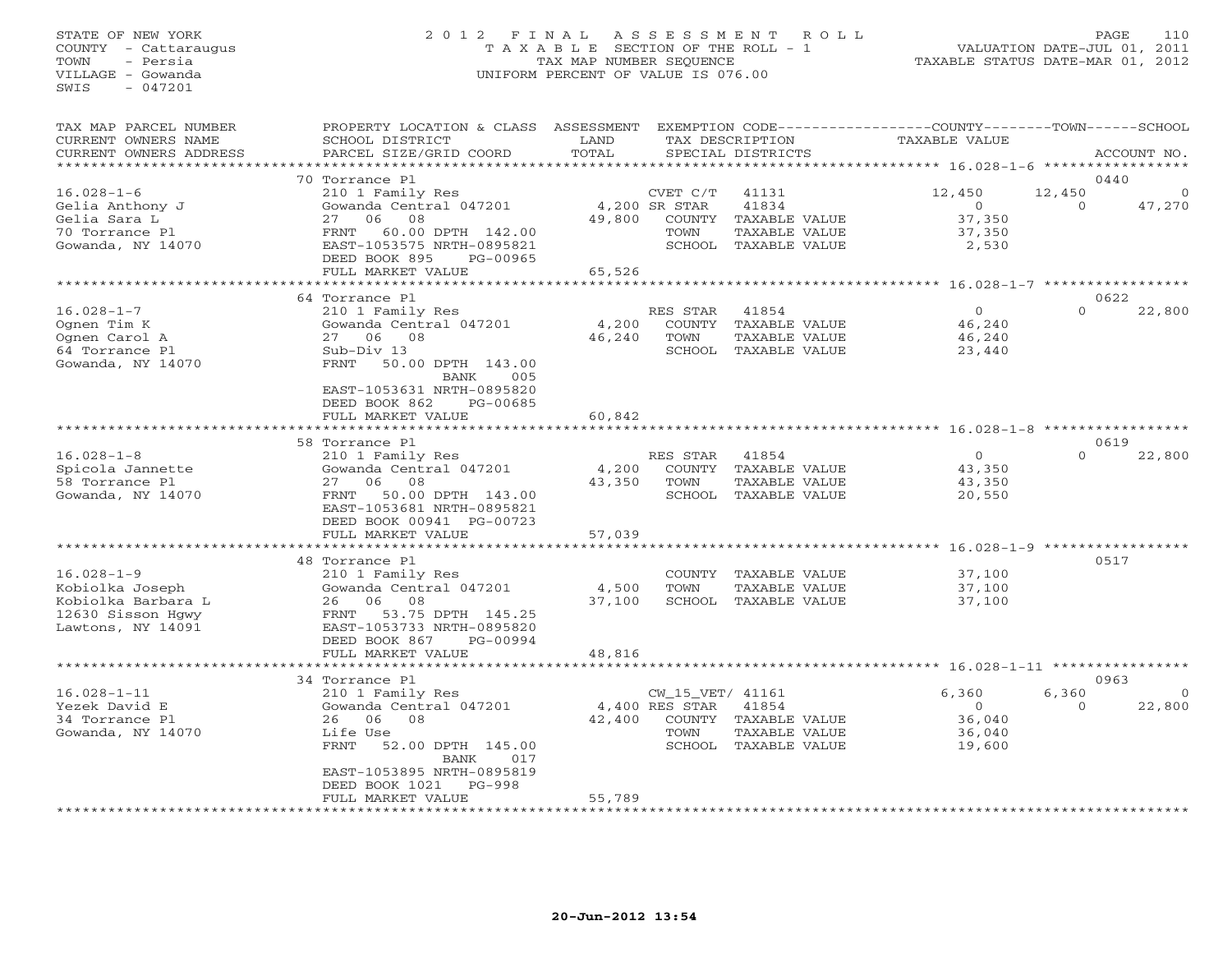#### STATE OF NEW YORK 2 0 1 2 F I N A L A S S E S S M E N T R O L L PAGE 110 COUNTY - Cattaraugus T A X A B L E SECTION OF THE ROLL - 1 VALUATION DATE-JUL 01, 2011 TOWN - Persia TAX MAP NUMBER SEQUENCE TAXABLE STATUS DATE-MAR 01, 2012 VILLAGE - Gowanda UNIFORM PERCENT OF VALUE IS 076.00UNIFORM PERCENT OF VALUE IS 076.00

| TAX MAP PARCEL NUMBER<br>CURRENT OWNERS NAME<br>CURRENT OWNERS ADDRESS<br>**************            | PROPERTY LOCATION & CLASS<br>SCHOOL DISTRICT<br>PARCEL SIZE/GRID COORD                                                                                                                     | ASSESSMENT<br>LAND<br>TOTAL |                                             | TAX DESCRIPTION<br>SPECIAL DISTRICTS                                     | EXEMPTION CODE-----------------COUNTY-------TOWN------SCHOOL<br><b>TAXABLE VALUE</b> |                    | ACCOUNT NO.        |
|-----------------------------------------------------------------------------------------------------|--------------------------------------------------------------------------------------------------------------------------------------------------------------------------------------------|-----------------------------|---------------------------------------------|--------------------------------------------------------------------------|--------------------------------------------------------------------------------------|--------------------|--------------------|
|                                                                                                     |                                                                                                                                                                                            |                             |                                             |                                                                          |                                                                                      |                    |                    |
| $16.028 - 1 - 6$<br>Gelia Anthony J<br>Gelia Sara L<br>70 Torrance Pl<br>Gowanda, NY 14070          | 70 Torrance Pl<br>210 1 Family Res<br>Gowanda Central 047201<br>08<br>27<br>06<br>60.00 DPTH 142.00<br>FRNT<br>EAST-1053575 NRTH-0895821<br>DEED BOOK 895<br>PG-00965<br>FULL MARKET VALUE | 49,800<br>65,526            | CVET C/T<br>4,200 SR STAR<br>COUNTY<br>TOWN | 41131<br>41834<br>TAXABLE VALUE<br>TAXABLE VALUE<br>SCHOOL TAXABLE VALUE | 12,450<br>$\circ$<br>37,350<br>37,350<br>2,530                                       | 12,450<br>$\Omega$ | 0440<br>47,270     |
|                                                                                                     | .                                                                                                                                                                                          |                             |                                             |                                                                          | ********** 16.028-1-7 **********                                                     |                    |                    |
|                                                                                                     | 64 Torrance Pl                                                                                                                                                                             |                             |                                             |                                                                          |                                                                                      |                    | 0622               |
| $16.028 - 1 - 7$<br>Ognen Tim K<br>Ognen Carol A<br>64 Torrance Pl<br>Gowanda, NY 14070             | 210 1 Family Res<br>Gowanda Central 047201<br>27 06 08<br>Sub-Div 13<br>50.00 DPTH 143.00<br>FRNT<br>005<br>BANK<br>EAST-1053631 NRTH-0895820<br>DEED BOOK 862<br>PG-00685                 | 4,200<br>46,240             | RES STAR<br>COUNTY<br>TOWN<br>SCHOOL        | 41854<br>TAXABLE VALUE<br>TAXABLE VALUE<br>TAXABLE VALUE                 | $\circ$<br>46,240<br>46,240<br>23,440                                                | $\Omega$           | 22,800             |
|                                                                                                     | FULL MARKET VALUE                                                                                                                                                                          | 60,842                      |                                             |                                                                          |                                                                                      |                    |                    |
|                                                                                                     |                                                                                                                                                                                            |                             |                                             |                                                                          | ****** 16.028-1-8 ******                                                             |                    |                    |
|                                                                                                     | 58 Torrance Pl                                                                                                                                                                             |                             |                                             |                                                                          |                                                                                      |                    | 0619               |
| $16.028 - 1 - 8$<br>Spicola Jannette<br>58 Torrance Pl<br>Gowanda, NY 14070                         | 210 1 Family Res<br>Gowanda Central 047201<br>08<br>06<br>27<br>FRNT<br>50.00 DPTH 143.00<br>EAST-1053681 NRTH-0895821<br>DEED BOOK 00941 PG-00723<br>FULL MARKET VALUE                    | 4,200<br>43,350<br>57,039   | RES STAR<br>COUNTY<br>TOWN                  | 41854<br>TAXABLE VALUE<br>TAXABLE VALUE<br>SCHOOL TAXABLE VALUE          | $\circ$<br>43,350<br>43,350<br>20,550                                                | $\Omega$           | 22,800             |
|                                                                                                     |                                                                                                                                                                                            |                             |                                             |                                                                          | ****************** 16.028-1-9                                                        |                    |                    |
| $16.028 - 1 - 9$<br>Kobiolka Joseph<br>Kobiolka Barbara L<br>12630 Sisson Hgwy<br>Lawtons, NY 14091 | 48 Torrance Pl<br>210 1 Family Res<br>Gowanda Central 047201<br>08<br>26 06<br>53.75 DPTH 145.25<br>FRNT<br>EAST-1053733 NRTH-0895820<br>DEED BOOK 867<br>PG-00994<br>FULL MARKET VALUE    | 4,500<br>37,100<br>48,816   | COUNTY<br>TOWN                              | TAXABLE VALUE<br>TAXABLE VALUE<br>SCHOOL TAXABLE VALUE                   | 37,100<br>37,100<br>37,100                                                           |                    | 0517               |
|                                                                                                     | **********************                                                                                                                                                                     |                             |                                             |                                                                          |                                                                                      |                    |                    |
|                                                                                                     | 34 Torrance Pl                                                                                                                                                                             |                             |                                             |                                                                          |                                                                                      |                    | 0963               |
| $16.028 - 1 - 11$<br>Yezek David E<br>34 Torrance Pl<br>Gowanda, NY 14070                           | 210 1 Family Res<br>Gowanda Central 047201<br>06<br>08<br>26<br>Life Use<br>FRNT<br>52.00 DPTH 145.00<br>BANK<br>017<br>EAST-1053895 NRTH-0895819                                          | 42,400                      | CW_15_VET/ 41161<br>4,400 RES STAR<br>TOWN  | 41854<br>COUNTY TAXABLE VALUE<br>TAXABLE VALUE<br>SCHOOL TAXABLE VALUE   | 6,360<br>$\circ$<br>36,040<br>36,040<br>19,600                                       | 6,360<br>$\Omega$  | $\Omega$<br>22,800 |
|                                                                                                     | DEED BOOK 1021<br>$PG-998$<br>FULL MARKET VALUE                                                                                                                                            | 55,789                      |                                             |                                                                          |                                                                                      |                    |                    |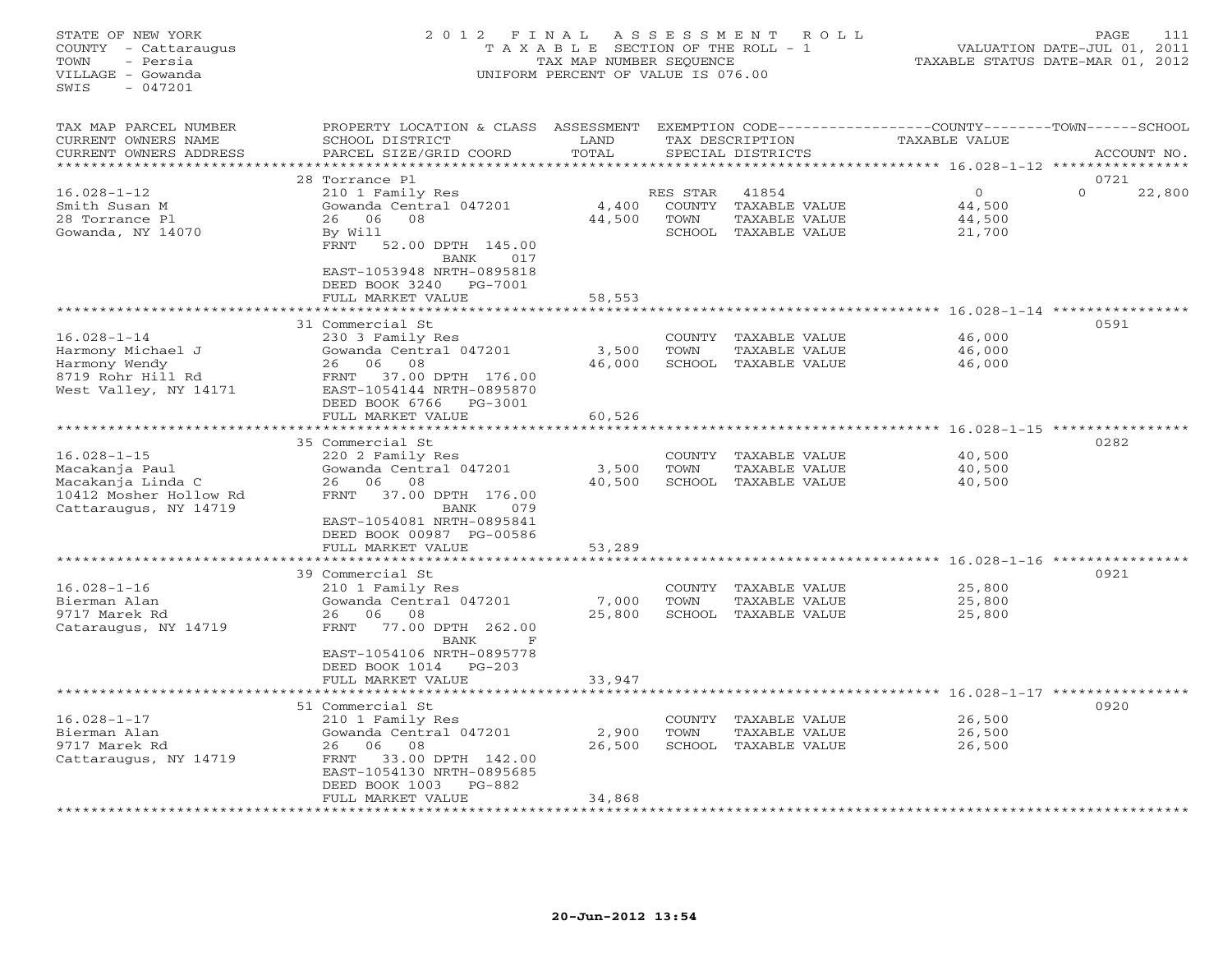## STATE OF NEW YORK 2 0 1 2 F I N A L A S S E S S M E N T R O L L PAGE 111 COUNTY - Cattaraugus T A X A B L E SECTION OF THE ROLL - 1 VALUATION DATE-JUL 01, 2011 TOWN - Persia TAX MAP NUMBER SEQUENCE TAXABLE STATUS DATE-MAR 01, 2012 VILLAGE - Gowanda UNIFORM PERCENT OF VALUE IS 076.00UNIFORM PERCENT OF VALUE IS 076.00

| TAX MAP PARCEL NUMBER<br>CURRENT OWNERS NAME<br>CURRENT OWNERS ADDRESS                                      | PROPERTY LOCATION & CLASS<br>SCHOOL DISTRICT<br>PARCEL SIZE/GRID COORD                                                                                                                                               | ASSESSMENT<br>LAND<br>TOTAL |                                             | TAX DESCRIPTION<br>SPECIAL DISTRICTS                     | EXEMPTION CODE-----------------COUNTY-------TOWN------SCHOOL<br><b>TAXABLE VALUE</b><br>********* 16.028-1-12 | ACCOUNT NO.                |
|-------------------------------------------------------------------------------------------------------------|----------------------------------------------------------------------------------------------------------------------------------------------------------------------------------------------------------------------|-----------------------------|---------------------------------------------|----------------------------------------------------------|---------------------------------------------------------------------------------------------------------------|----------------------------|
| $16.028 - 1 - 12$<br>Smith Susan M<br>28 Torrance Pl<br>Gowanda, NY 14070                                   | 28 Torrance Pl<br>210 1 Family Res<br>Gowanda Central 047201<br>08<br>06<br>26<br>By Will<br>FRNT<br>52.00 DPTH 145.00<br>BANK<br>017<br>EAST-1053948 NRTH-0895818<br>PG-7001<br>DEED BOOK 3240<br>FULL MARKET VALUE | 4,400<br>44,500<br>58,553   | RES STAR<br><b>COUNTY</b><br>TOWN<br>SCHOOL | 41854<br>TAXABLE VALUE<br>TAXABLE VALUE<br>TAXABLE VALUE | $\circ$<br>44,500<br>44,500<br>21,700                                                                         | 0721<br>22,800<br>$\Omega$ |
| $16.028 - 1 - 14$<br>Harmony Michael J<br>Harmony Wendy<br>8719 Rohr Hill Rd<br>West Valley, NY 14171       | 31 Commercial St<br>230 3 Family Res<br>Gowanda Central 047201<br>06<br>08<br>26<br>37.00 DPTH 176.00<br>FRNT<br>EAST-1054144 NRTH-0895870<br>DEED BOOK 6766<br>PG-3001<br>FULL MARKET VALUE                         | 3,500<br>46,000<br>60,526   | COUNTY<br>TOWN                              | TAXABLE VALUE<br>TAXABLE VALUE<br>SCHOOL TAXABLE VALUE   | ********** 16.028-1-14 **********<br>46,000<br>46,000<br>46,000<br>$16.028 - 1 - 15$                          | 0591                       |
| $16.028 - 1 - 15$<br>Macakanja Paul<br>Macakanja Linda C<br>10412 Mosher Hollow Rd<br>Cattaraugus, NY 14719 | 35 Commercial St<br>220 2 Family Res<br>Gowanda Central 047201<br>08<br>06<br>26<br>37.00 DPTH 176.00<br>FRNT<br>079<br>BANK<br>EAST-1054081 NRTH-0895841<br>DEED BOOK 00987 PG-00586<br>FULL MARKET VALUE           | 3,500<br>40,500<br>53,289   | COUNTY<br>TOWN<br>SCHOOL                    | TAXABLE VALUE<br>TAXABLE VALUE<br>TAXABLE VALUE          | 40,500<br>40,500<br>40,500                                                                                    | 0282                       |
| $16.028 - 1 - 16$<br>Bierman Alan<br>9717 Marek Rd<br>Cataraugus, NY 14719                                  | 39 Commercial St<br>210 1 Family Res<br>Gowanda Central 047201<br>06<br>08<br>26<br>77.00 DPTH 262.00<br>FRNT<br>BANK<br>F<br>EAST-1054106 NRTH-0895778<br>DEED BOOK 1014<br>$PG-203$<br>FULL MARKET VALUE           | 7,000<br>25,800<br>33,947   | COUNTY<br>TOWN<br>SCHOOL                    | TAXABLE VALUE<br>TAXABLE VALUE<br>TAXABLE VALUE          | $16.028 - 1 - 16$<br>25,800<br>25,800<br>25,800                                                               | 0921                       |
| $16.028 - 1 - 17$<br>Bierman Alan<br>9717 Marek Rd<br>Cattaraugus, NY 14719                                 | 51 Commercial St<br>210 1 Family Res<br>Gowanda Central 047201<br>06<br>08<br>26<br>FRNT<br>33.00 DPTH 142.00<br>EAST-1054130 NRTH-0895685<br>DEED BOOK 1003<br>$PG-882$<br>FULL MARKET VALUE                        | 2,900<br>26,500<br>34,868   | COUNTY<br>TOWN<br>SCHOOL                    | TAXABLE VALUE<br>TAXABLE VALUE<br>TAXABLE VALUE          | $16.028 - 1 - 17$<br>26,500<br>26,500<br>26,500                                                               | 0920                       |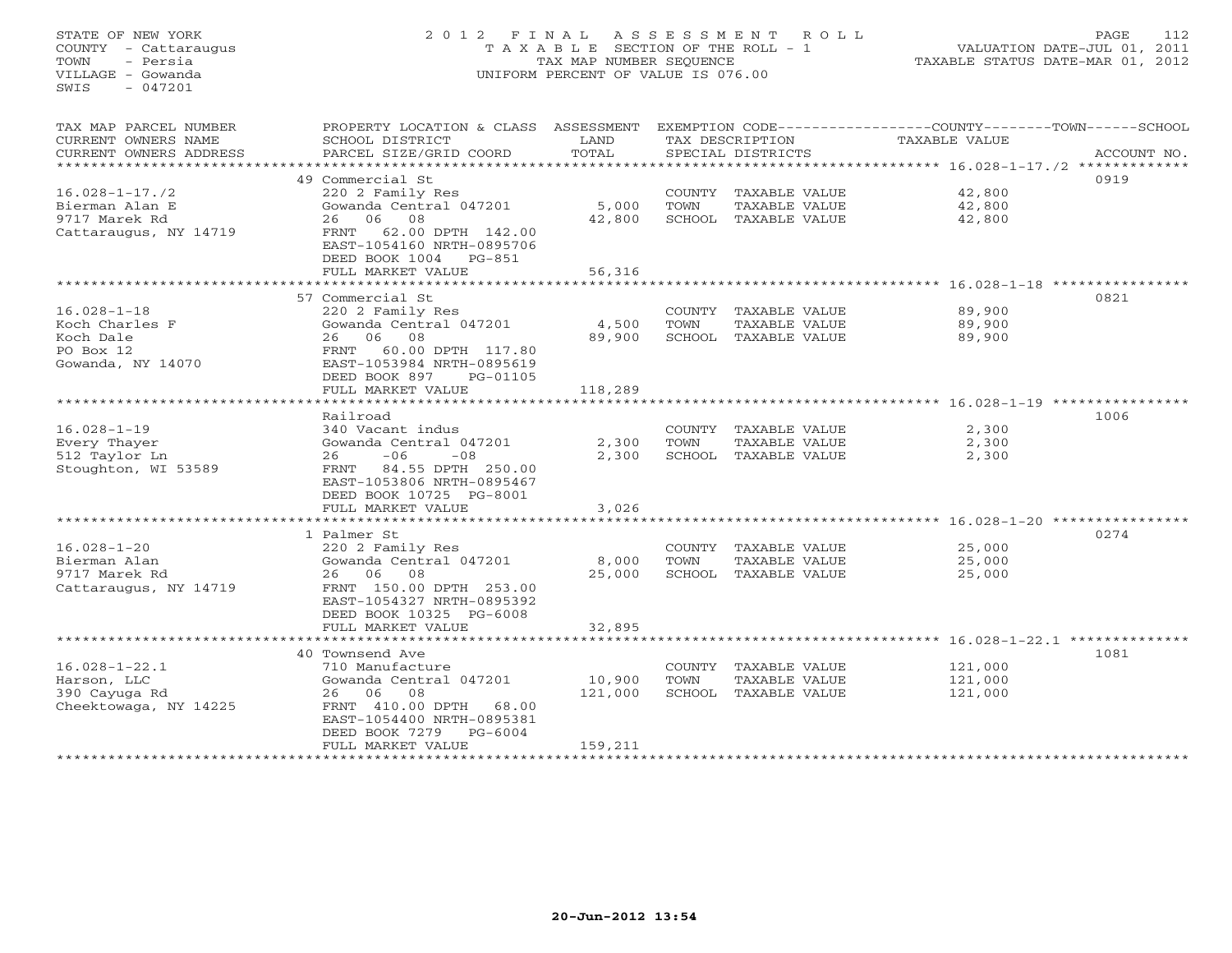## STATE OF NEW YORK 2 0 1 2 F I N A L A S S E S S M E N T R O L L PAGE 112 COUNTY - Cattaraugus T A X A B L E SECTION OF THE ROLL - 1 VALUATION DATE-JUL 01, 2011 TOWN - Persia TAX MAP NUMBER SEQUENCE TAXABLE STATUS DATE-MAR 01, 2012 VILLAGE - Gowanda UNIFORM PERCENT OF VALUE IS 076.00UNIFORM PERCENT OF VALUE IS 076.00

| TAX MAP PARCEL NUMBER<br>CURRENT OWNERS NAME<br>CURRENT OWNERS ADDRESS | PROPERTY LOCATION & CLASS ASSESSMENT<br>SCHOOL DISTRICT<br>PARCEL SIZE/GRID COORD | LAND<br>TOTAL |      | TAX DESCRIPTION<br>SPECIAL DISTRICTS | EXEMPTION CODE-----------------COUNTY-------TOWN------SCHOOL<br>TAXABLE VALUE | ACCOUNT NO. |
|------------------------------------------------------------------------|-----------------------------------------------------------------------------------|---------------|------|--------------------------------------|-------------------------------------------------------------------------------|-------------|
| *******************                                                    |                                                                                   |               |      |                                      |                                                                               |             |
|                                                                        | 49 Commercial St                                                                  |               |      |                                      |                                                                               | 0919        |
| $16.028 - 1 - 17.72$                                                   | 220 2 Family Res                                                                  |               |      | COUNTY TAXABLE VALUE                 | 42,800                                                                        |             |
| Bierman Alan E                                                         | Gowanda Central 047201                                                            | 5,000         | TOWN | TAXABLE VALUE                        | 42,800                                                                        |             |
| 9717 Marek Rd                                                          | 26 06 08                                                                          | 42,800        |      | SCHOOL TAXABLE VALUE                 | 42,800                                                                        |             |
| Cattaraugus, NY 14719                                                  | 62.00 DPTH 142.00<br>FRNT                                                         |               |      |                                      |                                                                               |             |
|                                                                        | EAST-1054160 NRTH-0895706                                                         |               |      |                                      |                                                                               |             |
|                                                                        | DEED BOOK 1004<br>$PG-851$                                                        |               |      |                                      |                                                                               |             |
|                                                                        | FULL MARKET VALUE                                                                 | 56,316        |      |                                      |                                                                               |             |
|                                                                        | 57 Commercial St                                                                  |               |      |                                      |                                                                               | 0821        |
| $16.028 - 1 - 18$                                                      | 220 2 Family Res                                                                  |               |      | COUNTY TAXABLE VALUE                 | 89,900                                                                        |             |
| Koch Charles F                                                         | Gowanda Central 047201                                                            | 4,500         | TOWN | TAXABLE VALUE                        | 89,900                                                                        |             |
| Koch Dale                                                              | 08<br>06<br>26                                                                    | 89,900        |      | SCHOOL TAXABLE VALUE                 | 89,900                                                                        |             |
| PO Box 12                                                              | 60.00 DPTH 117.80<br>FRNT                                                         |               |      |                                      |                                                                               |             |
| Gowanda, NY 14070                                                      | EAST-1053984 NRTH-0895619                                                         |               |      |                                      |                                                                               |             |
|                                                                        | DEED BOOK 897<br>PG-01105                                                         |               |      |                                      |                                                                               |             |
|                                                                        | FULL MARKET VALUE                                                                 | 118,289       |      |                                      |                                                                               |             |
|                                                                        |                                                                                   |               |      |                                      |                                                                               |             |
|                                                                        | Railroad                                                                          |               |      |                                      |                                                                               | 1006        |
| $16.028 - 1 - 19$                                                      | 340 Vacant indus                                                                  |               |      | COUNTY TAXABLE VALUE                 | 2,300                                                                         |             |
| Every Thayer                                                           | Gowanda Central 047201                                                            | 2,300         | TOWN | TAXABLE VALUE                        | 2,300                                                                         |             |
| 512 Taylor Ln                                                          | $-06$<br>26<br>$-08$                                                              | 2,300         |      | SCHOOL TAXABLE VALUE                 | 2,300                                                                         |             |
| Stoughton, WI 53589                                                    | 84.55 DPTH 250.00<br>FRNT                                                         |               |      |                                      |                                                                               |             |
|                                                                        | EAST-1053806 NRTH-0895467                                                         |               |      |                                      |                                                                               |             |
|                                                                        | DEED BOOK 10725 PG-8001                                                           |               |      |                                      |                                                                               |             |
|                                                                        | FULL MARKET VALUE                                                                 | 3,026         |      |                                      |                                                                               |             |
|                                                                        | ********************                                                              | ***********   |      |                                      | ********** 16.028-1-20 **********                                             |             |
|                                                                        | 1 Palmer St                                                                       |               |      |                                      |                                                                               | 0274        |
| $16.028 - 1 - 20$                                                      | 220 2 Family Res                                                                  |               |      | COUNTY TAXABLE VALUE                 | 25,000                                                                        |             |
| Bierman Alan                                                           | Gowanda Central 047201                                                            | 8,000         | TOWN | TAXABLE VALUE                        | 25,000                                                                        |             |
| 9717 Marek Rd                                                          | 08<br>26 06                                                                       | 25,000        |      | SCHOOL TAXABLE VALUE                 | 25,000                                                                        |             |
| Cattaraugus, NY 14719                                                  | FRNT 150.00 DPTH 253.00                                                           |               |      |                                      |                                                                               |             |
|                                                                        | EAST-1054327 NRTH-0895392                                                         |               |      |                                      |                                                                               |             |
|                                                                        | DEED BOOK 10325 PG-6008                                                           |               |      |                                      |                                                                               |             |
|                                                                        | FULL MARKET VALUE                                                                 | 32,895        |      |                                      |                                                                               |             |
|                                                                        | 40 Townsend Ave                                                                   |               |      |                                      |                                                                               | 1081        |
| $16.028 - 1 - 22.1$                                                    | 710 Manufacture                                                                   |               |      | COUNTY TAXABLE VALUE                 | 121,000                                                                       |             |
| Harson, LLC                                                            | Gowanda Central 047201                                                            | 10,900        | TOWN | TAXABLE VALUE                        | 121,000                                                                       |             |
| 390 Cayuga Rd                                                          | 06<br>08<br>26                                                                    | 121,000       |      | SCHOOL TAXABLE VALUE                 | 121,000                                                                       |             |
| Cheektowaga, NY 14225                                                  | FRNT 410.00 DPTH<br>68.00                                                         |               |      |                                      |                                                                               |             |
|                                                                        | EAST-1054400 NRTH-0895381                                                         |               |      |                                      |                                                                               |             |
|                                                                        | DEED BOOK 7279<br>$PG-6004$                                                       |               |      |                                      |                                                                               |             |
|                                                                        | FULL MARKET VALUE                                                                 | 159,211       |      |                                      |                                                                               |             |
|                                                                        |                                                                                   |               |      |                                      |                                                                               |             |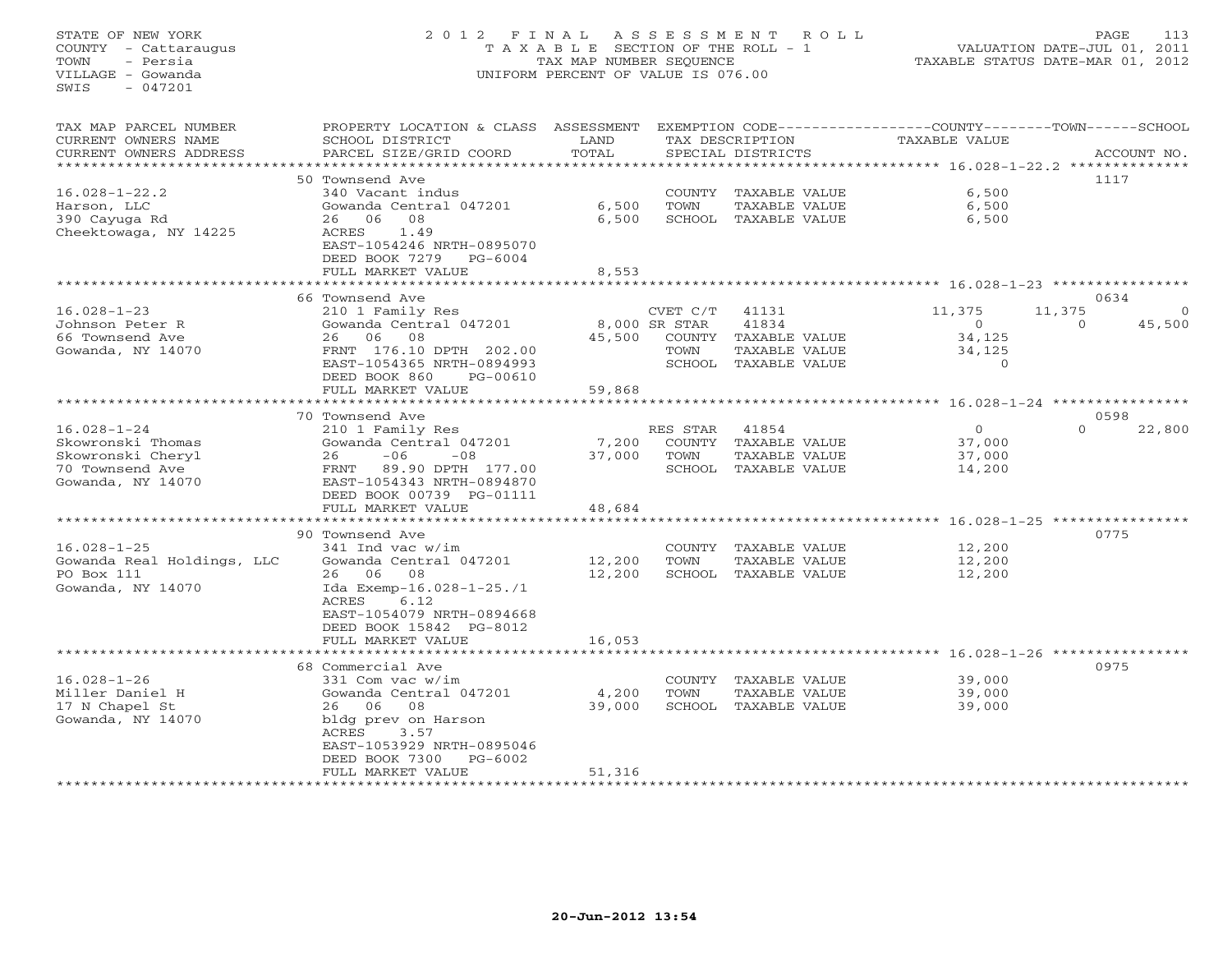STATE OF NEW YORK 2 0 1 2 F I N A L A S S E S S M E N T R O L L PAGE 113 COUNTY - Cattaraugus T A X A B L E SECTION OF THE ROLL - 1 VALUATION DATE-JUL 01, 2011 TOWN - Persia TAX MAP NUMBER SEQUENCE TAXABLE STATUS DATE-MAR 01, 2012 VILLAGE - Gowanda UNIFORM PERCENT OF VALUE IS 076.00 SWIS - 047201TAX MAP PARCEL NUMBER PROPERTY LOCATION & CLASS ASSESSMENT EXEMPTION CODE------------------COUNTY--------TOWN------SCHOOL CURRENT OWNERS NAME SCHOOL DISTRICT LAND TAX DESCRIPTION TAXABLE VALUE CURRENT OWNERS ADDRESS PARCEL SIZE/GRID COORD TOTAL SPECIAL DISTRICTS ACCOUNT NO. \*\*\*\*\*\*\*\*\*\*\*\*\*\*\*\*\*\*\*\*\*\*\*\*\*\*\*\*\*\*\*\*\*\*\*\*\*\*\*\*\*\*\*\*\*\*\*\*\*\*\*\*\*\*\*\*\*\*\*\*\*\*\*\*\*\*\*\*\*\*\*\*\*\*\*\*\*\*\*\*\*\*\*\*\*\*\*\*\*\*\*\*\*\*\*\*\*\*\*\*\*\*\* 16.028-1-22.2 \*\*\*\*\*\*\*\*\*\*\*\*\*\* 50 Townsend Ave 111716.028-1-22.2 340 Vacant indus COUNTY TAXABLE VALUE 6,500 Harson, LLC Gowanda Central 047201 6,500 TOWN TAXABLE VALUE 6,500 390 Cayuga Rd 26 06 08 6,500 SCHOOL TAXABLE VALUE 6,500 Cheektowaga, NY 14225 ACRES 1.49 EAST-1054246 NRTH-0895070 DEED BOOK 7279 PG-6004FULL MARKET VALUE 3,553 \*\*\*\*\*\*\*\*\*\*\*\*\*\*\*\*\*\*\*\*\*\*\*\*\*\*\*\*\*\*\*\*\*\*\*\*\*\*\*\*\*\*\*\*\*\*\*\*\*\*\*\*\*\*\*\*\*\*\*\*\*\*\*\*\*\*\*\*\*\*\*\*\*\*\*\*\*\*\*\*\*\*\*\*\*\*\*\*\*\*\*\*\*\*\*\*\*\*\*\*\*\*\* 16.028-1-23 \*\*\*\*\*\*\*\*\*\*\*\*\*\*\*\*0634 66 Townsend Ave 0634 16.028-1-23 210 1 Family Res CVET C/T 41131 11,375 11,375 0 Johnson Peter R Gowanda Central 047201 8,000 SR STAR 41834 0 0 45,500 66 Townsend Ave 26 06 08 45,500 COUNTY TAXABLE VALUE 34,125 Gowanda, NY 14070 FRNT 176.10 DPTH 202.00 TOWN TAXABLE VALUE 34,125 EAST-1054365 NRTH-0894993 SCHOOL TAXABLE VALUE 0 DEED BOOK 860 PG-00610 FULL MARKET VALUE 59,868 \*\*\*\*\*\*\*\*\*\*\*\*\*\*\*\*\*\*\*\*\*\*\*\*\*\*\*\*\*\*\*\*\*\*\*\*\*\*\*\*\*\*\*\*\*\*\*\*\*\*\*\*\*\*\*\*\*\*\*\*\*\*\*\*\*\*\*\*\*\*\*\*\*\*\*\*\*\*\*\*\*\*\*\*\*\*\*\*\*\*\*\*\*\*\*\*\*\*\*\*\*\*\* 16.028-1-24 \*\*\*\*\*\*\*\*\*\*\*\*\*\*\*\* 70 Townsend Ave 0598 $0$   $0$   $0$   $0$   $0$   $0$   $22,800$ 16.028-1-24 210 1 Family Res RES STAR 41854 0 0 22,800 Skowronski Thomas Gowanda Central 047201 7,200 COUNTY TAXABLE VALUE 37,000 Skowronski Cheryl 26 -06 -08 37,000 TOWN TAXABLE VALUE 37,000 70 Townsend Ave FRNT 89.90 DPTH 177.00 SCHOOL TAXABLE VALUE 14,200 Gowanda, NY 14070 EAST-1054343 NRTH-0894870 DEED BOOK 00739 PG-01111 FULL MARKET VALUE 48,684 \*\*\*\*\*\*\*\*\*\*\*\*\*\*\*\*\*\*\*\*\*\*\*\*\*\*\*\*\*\*\*\*\*\*\*\*\*\*\*\*\*\*\*\*\*\*\*\*\*\*\*\*\*\*\*\*\*\*\*\*\*\*\*\*\*\*\*\*\*\*\*\*\*\*\*\*\*\*\*\*\*\*\*\*\*\*\*\*\*\*\*\*\*\*\*\*\*\*\*\*\*\*\* 16.028-1-25 \*\*\*\*\*\*\*\*\*\*\*\*\*\*\*\* 90 Townsend Ave 077516.028-1-25 341 Ind vac w/im COUNTY TAXABLE VALUE 12,200 Gowanda Real Holdings, LLC Gowanda Central 047201 12,200 TOWN TAXABLE VALUE 12,200 PO Box 111 26 06 08 12,200 SCHOOL TAXABLE VALUE 12,200 Gowanda, NY 14070 Ida Exemp-16.028-1-25./1 ACRES 6.12 EAST-1054079 NRTH-0894668 DEED BOOK 15842 PG-8012 FULL MARKET VALUE 16,053 \*\*\*\*\*\*\*\*\*\*\*\*\*\*\*\*\*\*\*\*\*\*\*\*\*\*\*\*\*\*\*\*\*\*\*\*\*\*\*\*\*\*\*\*\*\*\*\*\*\*\*\*\*\*\*\*\*\*\*\*\*\*\*\*\*\*\*\*\*\*\*\*\*\*\*\*\*\*\*\*\*\*\*\*\*\*\*\*\*\*\*\*\*\*\*\*\*\*\*\*\*\*\* 16.028-1-26 \*\*\*\*\*\*\*\*\*\*\*\*\*\*\*\* 68 Commercial Ave 097516.028-1-26 331 Com vac w/im COUNTY TAXABLE VALUE 39,000 Miller Daniel H Gowanda Central 047201 4,200 TOWN TAXABLE VALUE 39,000 17 N Chapel St 26 06 08 39,000 SCHOOL TAXABLE VALUE 39,000 Gowanda, NY 14070 bldg prev on Harson ACRES 3.57 EAST-1053929 NRTH-0895046 DEED BOOK 7300 PG-6002FULL MARKET VALUE 51,316 \*\*\*\*\*\*\*\*\*\*\*\*\*\*\*\*\*\*\*\*\*\*\*\*\*\*\*\*\*\*\*\*\*\*\*\*\*\*\*\*\*\*\*\*\*\*\*\*\*\*\*\*\*\*\*\*\*\*\*\*\*\*\*\*\*\*\*\*\*\*\*\*\*\*\*\*\*\*\*\*\*\*\*\*\*\*\*\*\*\*\*\*\*\*\*\*\*\*\*\*\*\*\*\*\*\*\*\*\*\*\*\*\*\*\*\*\*\*\*\*\*\*\*\*\*\*\*\*\*\*\*\*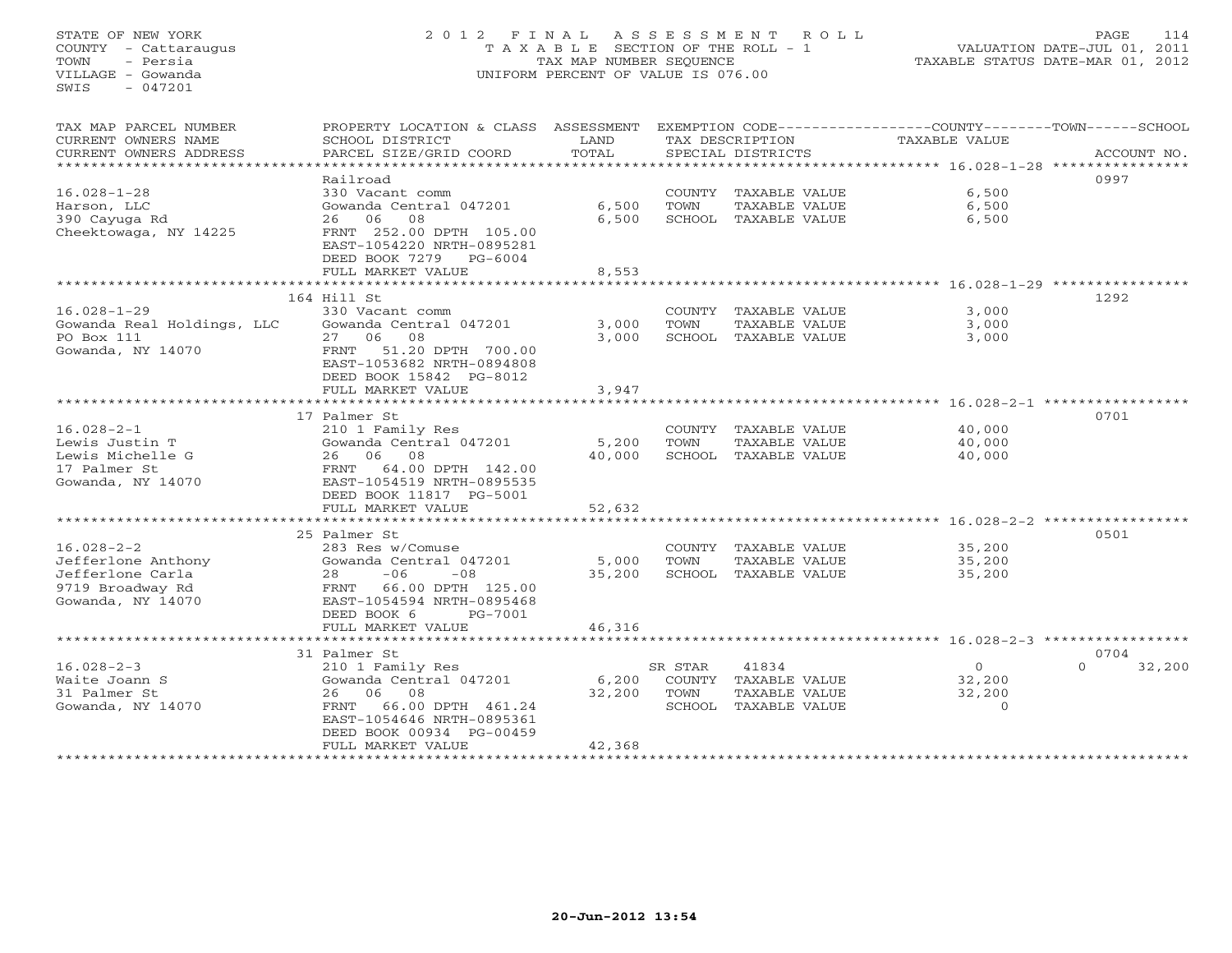STATE OF NEW YORK 2 0 1 2 F I N A L A S S E S S M E N T R O L L PAGE 114 COUNTY - Cattaraugus T A X A B L E SECTION OF THE ROLL - 1 VALUATION DATE-JUL 01, 2011 TOWN - Persia TAX MAP NUMBER SEQUENCE TAXABLE STATUS DATE-MAR 01, 2012 VILLAGE - Gowanda UNIFORM PERCENT OF VALUE IS 076.00  $SWTS = 047201$ TAX MAP PARCEL NUMBER PROPERTY LOCATION & CLASS ASSESSMENT EXEMPTION CODE------------------COUNTY--------TOWN------SCHOOL CURRENT OWNERS NAME SCHOOL DISTRICT LAND TAX DESCRIPTION TAXABLE VALUE CURRENT OWNERS ADDRESS BARCEL SIZE/GRID COORD TOTAL SPECIAL DISTRICTS SACCOUNT NO. \*\*\*\*\*\*\*\*\*\*\*\*\*\*\*\*\*\*\*\*\*\*\*\*\*\*\*\*\*\*\*\*\*\*\*\*\*\*\*\*\*\*\*\*\*\*\*\*\*\*\*\*\*\*\*\*\*\*\*\*\*\*\*\*\*\*\*\*\*\*\*\*\*\*\*\*\*\*\*\*\*\*\*\*\*\*\*\*\*\*\*\*\*\*\*\*\*\*\*\*\*\*\* 16.028-1-28 \*\*\*\*\*\*\*\*\*\*\*\*\*\*\*\* Railroad 099716.028-1-28 330 Vacant comm COUNTY TAXABLE VALUE 6,500 Harson, LLC Gowanda Central 047201 6,500 TOWN TAXABLE VALUE 6,500 390 Cayuga Rd 26 06 08 6,500 SCHOOL TAXABLE VALUE 6,500 Cheektowaga, NY 14225 FRNT 252.00 DPTH 105.00 EAST-1054220 NRTH-0895281 DEED BOOK 7279 PG-6004FULL MARKET VALUE FULL MARKET VALUE 8,553 \*\*\*\*\*\*\*\*\*\*\*\*\*\*\*\*\*\*\*\*\*\*\*\*\*\*\*\*\*\*\*\*\*\*\*\*\*\*\*\*\*\*\*\*\*\*\*\*\*\*\*\*\*\*\*\*\*\*\*\*\*\*\*\*\*\*\*\*\*\*\*\*\*\*\*\*\*\*\*\*\*\*\*\*\*\*\*\*\*\*\*\*\*\*\*\*\*\*\*\*\*\*\* 16.028-1-29 \*\*\*\*\*\*\*\*\*\*\*\*\*\*\*\* 164 Hill St 129216.028-1-29 330 Vacant comm COUNTY TAXABLE VALUE 3,000 Gowanda Real Holdings, LLC Gowanda Central 047201 3,000 TOWN TAXABLE VALUE 3,000 PO Box 111 27 06 08 3,000 SCHOOL TAXABLE VALUE 3,000 Gowanda, NY 14070 FRNT 51.20 DPTH 700.00 EAST-1053682 NRTH-0894808 DEED BOOK 15842 PG-8012 FULL MARKET VALUE 3,947 \*\*\*\*\*\*\*\*\*\*\*\*\*\*\*\*\*\*\*\*\*\*\*\*\*\*\*\*\*\*\*\*\*\*\*\*\*\*\*\*\*\*\*\*\*\*\*\*\*\*\*\*\*\*\*\*\*\*\*\*\*\*\*\*\*\*\*\*\*\*\*\*\*\*\*\*\*\*\*\*\*\*\*\*\*\*\*\*\*\*\*\*\*\*\*\*\*\*\*\*\*\*\* 16.028-2-1 \*\*\*\*\*\*\*\*\*\*\*\*\*\*\*\*\* 17 Palmer St 070116.028-2-1 210 1 Family Res COUNTY TAXABLE VALUE 40,000 Lewis Justin T Gowanda Central 047201 5,200 TOWN TAXABLE VALUE 40,000 Lewis Michelle G 26 06 08 40,000 SCHOOL TAXABLE VALUE 40,000 17 Palmer St FRNT 64.00 DPTH 142.00 Gowanda, NY 14070 EAST-1054519 NRTH-0895535 DEED BOOK 11817 PG-5001 FULL MARKET VALUE 52,632 \*\*\*\*\*\*\*\*\*\*\*\*\*\*\*\*\*\*\*\*\*\*\*\*\*\*\*\*\*\*\*\*\*\*\*\*\*\*\*\*\*\*\*\*\*\*\*\*\*\*\*\*\*\*\*\*\*\*\*\*\*\*\*\*\*\*\*\*\*\*\*\*\*\*\*\*\*\*\*\*\*\*\*\*\*\*\*\*\*\*\*\*\*\*\*\*\*\*\*\*\*\*\* 16.028-2-2 \*\*\*\*\*\*\*\*\*\*\*\*\*\*\*\*\* 25 Palmer St 050116.028-2-2 283 Res w/Comuse COUNTY TAXABLE VALUE 35,200 Jefferlone Anthony Gowanda Central 047201 5,000 TOWN TAXABLE VALUE 35,200 Jefferlone Carla 28 -06 -08 35,200 SCHOOL TAXABLE VALUE 35,200 9719 Broadway Rd FRNT 66.00 DPTH 125.00 Gowanda, NY 14070 EAST-1054594 NRTH-0895468 DEED BOOK 6 PG-7001 FULL MARKET VALUE 46,316 \*\*\*\*\*\*\*\*\*\*\*\*\*\*\*\*\*\*\*\*\*\*\*\*\*\*\*\*\*\*\*\*\*\*\*\*\*\*\*\*\*\*\*\*\*\*\*\*\*\*\*\*\*\*\*\*\*\*\*\*\*\*\*\*\*\*\*\*\*\*\*\*\*\*\*\*\*\*\*\*\*\*\*\*\*\*\*\*\*\*\*\*\*\*\*\*\*\*\*\*\*\*\* 16.028-2-3 \*\*\*\*\*\*\*\*\*\*\*\*\*\*\*\*\* 31 Palmer St 0704 $0 \t 32,200$ 16.028-2-3 210 1 Family Res SR STAR 41834 0 0 32,200 Waite Joann S Gowanda Central 047201 6,200 COUNTY TAXABLE VALUE 32,200 31 Palmer St 26 06 08 32,200 TOWN TAXABLE VALUE 32,200 Gowanda, NY 14070 FRNT 66.00 DPTH 461.24 SCHOOL TAXABLE VALUE 0 EAST-1054646 NRTH-0895361DEED BOOK 00934 PG-00459

\*\*\*\*\*\*\*\*\*\*\*\*\*\*\*\*\*\*\*\*\*\*\*\*\*\*\*\*\*\*\*\*\*\*\*\*\*\*\*\*\*\*\*\*\*\*\*\*\*\*\*\*\*\*\*\*\*\*\*\*\*\*\*\*\*\*\*\*\*\*\*\*\*\*\*\*\*\*\*\*\*\*\*\*\*\*\*\*\*\*\*\*\*\*\*\*\*\*\*\*\*\*\*\*\*\*\*\*\*\*\*\*\*\*\*\*\*\*\*\*\*\*\*\*\*\*\*\*\*\*\*\*

FULL MARKET VALUE 42,368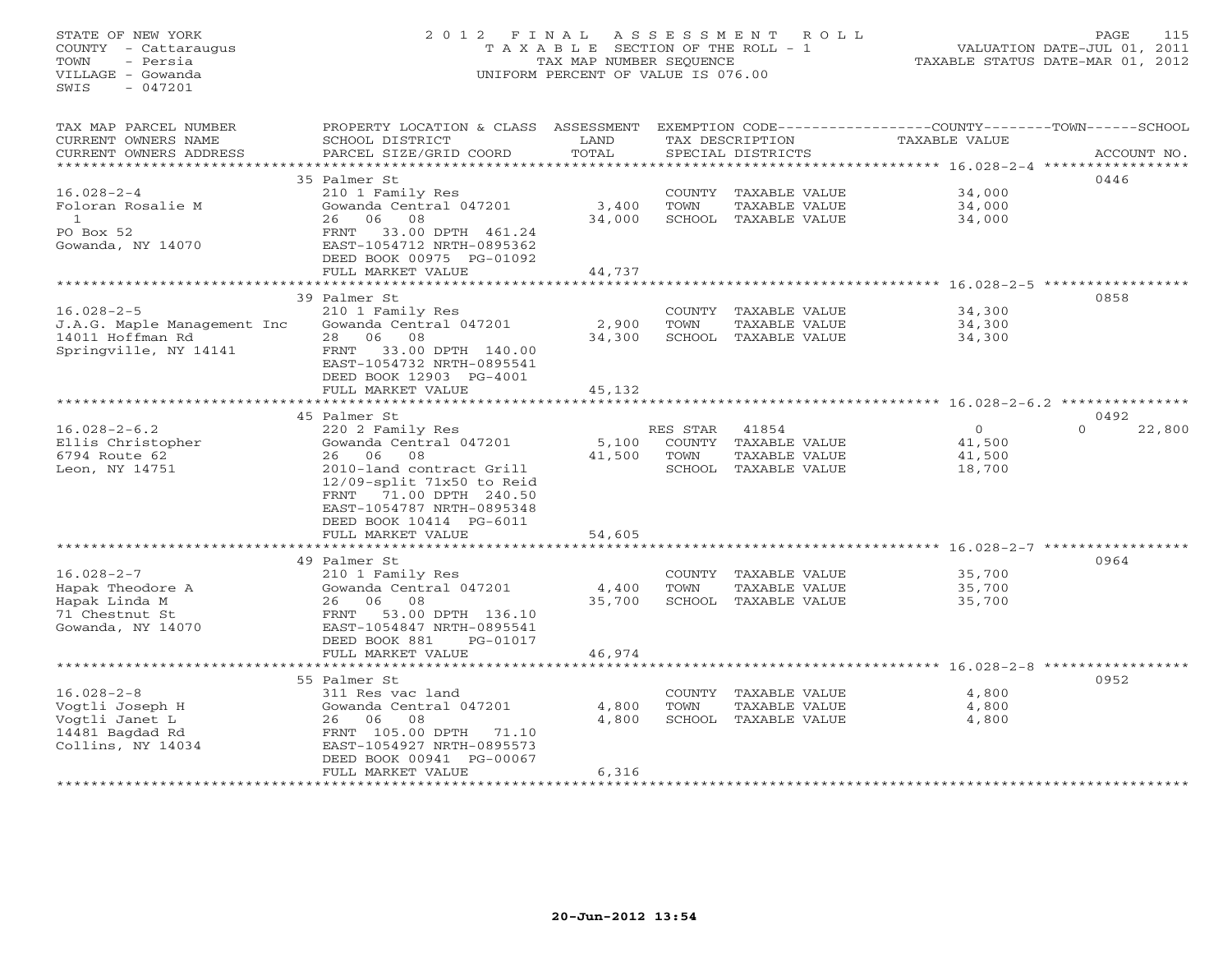# STATE OF NEW YORK 2 0 1 2 F I N A L A S S E S S M E N T R O L L PAGE 115 COUNTY - Cattaraugus T A X A B L E SECTION OF THE ROLL - 1 VALUATION DATE-JUL 01, 2011 TOWN - Persia TAX MAP NUMBER SEQUENCE TAXABLE STATUS DATE-MAR 01, 2012 VILLAGE - Gowanda UNIFORM PERCENT OF VALUE IS 076.00

TAX MAP PARCEL NUMBER PROPERTY LOCATION & CLASS ASSESSMENT EXEMPTION CODE----------------COUNTY-------TOWN------SCHOOL

| CURRENT OWNERS NAME         | SCHOOL DISTRICT                                        | LAND         |          | TAX DESCRIPTION      | <b>TAXABLE VALUE</b>              |                                                           |
|-----------------------------|--------------------------------------------------------|--------------|----------|----------------------|-----------------------------------|-----------------------------------------------------------|
| CURRENT OWNERS ADDRESS      | PARCEL SIZE/GRID COORD                                 | TOTAL        |          | SPECIAL DISTRICTS    |                                   | ACCOUNT NO.                                               |
|                             |                                                        |              |          |                      | ********* 16.028-2-4              |                                                           |
|                             | 35 Palmer St                                           |              |          |                      |                                   | 0446                                                      |
| $16.028 - 2 - 4$            | 210 1 Family Res                                       |              | COUNTY   | TAXABLE VALUE        | 34,000                            |                                                           |
| Foloran Rosalie M           | Gowanda Central 047201                                 | 3,400        | TOWN     | TAXABLE VALUE        | 34,000                            |                                                           |
| $\mathbf{1}$                | 26<br>06<br>08                                         | 34,000       | SCHOOL   | TAXABLE VALUE        | 34,000                            |                                                           |
| PO Box 52                   | 33.00 DPTH 461.24<br>FRNT                              |              |          |                      |                                   |                                                           |
| Gowanda, NY 14070           | EAST-1054712 NRTH-0895362                              |              |          |                      |                                   |                                                           |
|                             | DEED BOOK 00975 PG-01092                               |              |          |                      |                                   |                                                           |
|                             | FULL MARKET VALUE                                      | 44,737       |          |                      |                                   |                                                           |
|                             | * * * * * * * * * * * * * * * * * *                    |              |          |                      | ********** 16.028-2-5 *********** |                                                           |
|                             | 39 Palmer St                                           |              |          |                      |                                   | 0858                                                      |
| $16.028 - 2 - 5$            | 210 1 Family Res                                       |              | COUNTY   | TAXABLE VALUE        | 34,300                            |                                                           |
| J.A.G. Maple Management Inc | Gowanda Central 047201                                 | 2,900        | TOWN     | TAXABLE VALUE        | 34,300                            |                                                           |
| 14011 Hoffman Rd            | 08<br>28<br>06                                         | 34,300       |          | SCHOOL TAXABLE VALUE | 34,300                            |                                                           |
| Springville, NY 14141       | 33.00 DPTH 140.00<br>FRNT                              |              |          |                      |                                   |                                                           |
|                             | EAST-1054732 NRTH-0895541                              |              |          |                      |                                   |                                                           |
|                             | DEED BOOK 12903 PG-4001                                |              |          |                      |                                   |                                                           |
|                             | FULL MARKET VALUE                                      | 45,132       |          |                      |                                   |                                                           |
|                             |                                                        |              |          |                      | ********** 16.028-2-6.2 ********  |                                                           |
|                             | 45 Palmer St                                           |              |          |                      |                                   | 0492<br>$\Omega$                                          |
| $16.028 - 2 - 6.2$          | 220 2 Family Res                                       |              | RES STAR | 41854                | $\circ$                           | 22,800                                                    |
| Ellis Christopher           | Gowanda Central 047201                                 | 5,100        | COUNTY   | TAXABLE VALUE        | 41,500                            |                                                           |
| 6794 Route 62               | 08<br>26<br>06                                         | 41,500       | TOWN     | TAXABLE VALUE        | 41,500                            |                                                           |
| Leon, NY 14751              | 2010-land contract Grill                               |              | SCHOOL   | TAXABLE VALUE        | 18,700                            |                                                           |
|                             | $12/09$ -split 71x50 to Reid                           |              |          |                      |                                   |                                                           |
|                             | FRNT<br>71.00 DPTH 240.50<br>EAST-1054787 NRTH-0895348 |              |          |                      |                                   |                                                           |
|                             | DEED BOOK 10414 PG-6011                                |              |          |                      |                                   |                                                           |
|                             | FULL MARKET VALUE                                      | 54,605       |          |                      |                                   |                                                           |
|                             | *******************                                    | *********    |          |                      |                                   | *************************** 16.028-2-7 ****************** |
|                             | 49 Palmer St                                           |              |          |                      |                                   | 0964                                                      |
| $16.028 - 2 - 7$            | 210 1 Family Res                                       |              | COUNTY   | TAXABLE VALUE        | 35,700                            |                                                           |
| Hapak Theodore A            | Gowanda Central 047201                                 | 4,400        | TOWN     | TAXABLE VALUE        | 35,700                            |                                                           |
| Hapak Linda M               | 06<br>08<br>26                                         | 35,700       | SCHOOL   | TAXABLE VALUE        | 35,700                            |                                                           |
| 71 Chestnut St              | 53.00 DPTH 136.10<br>FRNT                              |              |          |                      |                                   |                                                           |
| Gowanda, NY 14070           | EAST-1054847 NRTH-0895541                              |              |          |                      |                                   |                                                           |
|                             | DEED BOOK 881<br>PG-01017                              |              |          |                      |                                   |                                                           |
|                             | FULL MARKET VALUE                                      | 46,974       |          |                      |                                   |                                                           |
|                             |                                                        | ************ |          |                      |                                   |                                                           |
|                             | 55 Palmer St                                           |              |          |                      |                                   | 0952                                                      |
| $16.028 - 2 - 8$            | 311 Res vac land                                       |              | COUNTY   | TAXABLE VALUE        | 4,800                             |                                                           |
| Voqtli Joseph H             | Gowanda Central 047201                                 | 4,800        | TOWN     | TAXABLE VALUE        | 4,800                             |                                                           |
| Vogtli Janet L              | 08<br>26<br>06                                         | 4,800        |          | SCHOOL TAXABLE VALUE | 4,800                             |                                                           |
| 14481 Bagdad Rd             | FRNT 105.00 DPTH<br>71.10                              |              |          |                      |                                   |                                                           |
| Collins, NY 14034           | EAST-1054927 NRTH-0895573                              |              |          |                      |                                   |                                                           |
|                             | DEED BOOK 00941 PG-00067                               |              |          |                      |                                   |                                                           |
|                             | FULL MARKET VALUE                                      | 6,316        |          |                      |                                   |                                                           |
|                             | .                                                      |              |          |                      |                                   |                                                           |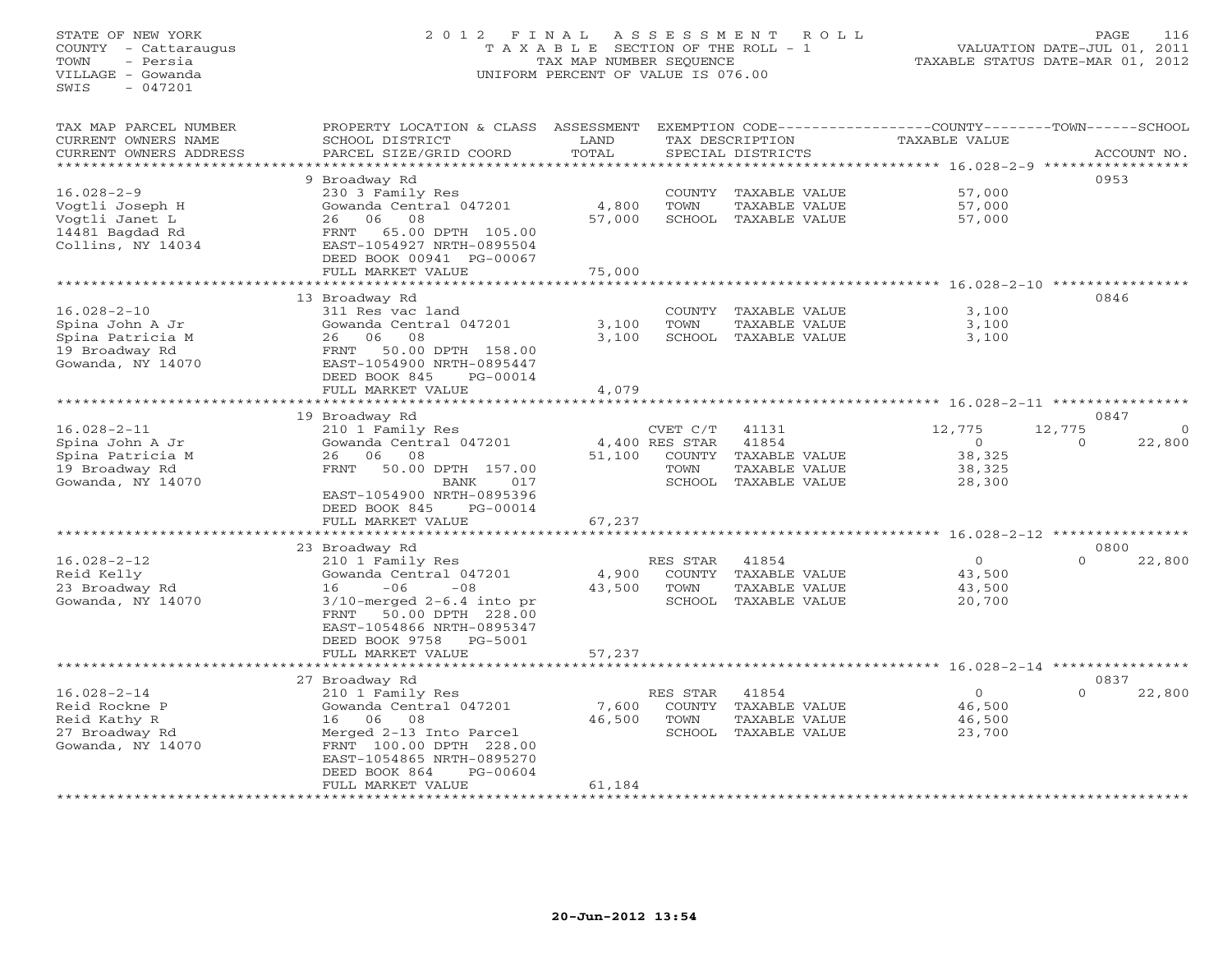## STATE OF NEW YORK 2 0 1 2 F I N A L A S S E S S M E N T R O L L PAGE 116 COUNTY - Cattaraugus T A X A B L E SECTION OF THE ROLL - 1 VALUATION DATE-JUL 01, 2011 TOWN - Persia TAX MAP NUMBER SEQUENCE TAXABLE STATUS DATE-MAR 01, 2012 VILLAGE - Gowanda UNIFORM PERCENT OF VALUE IS 076.00UNIFORM PERCENT OF VALUE IS 076.00

| TAX MAP PARCEL NUMBER     | PROPERTY LOCATION & CLASS      | ASSESSMENT       |                |                      | EXEMPTION CODE-----------------COUNTY-------TOWN------SCHOOL |                    |
|---------------------------|--------------------------------|------------------|----------------|----------------------|--------------------------------------------------------------|--------------------|
| CURRENT OWNERS NAME       | SCHOOL DISTRICT                | LAND             |                | TAX DESCRIPTION      | <b>TAXABLE VALUE</b>                                         |                    |
| CURRENT OWNERS ADDRESS    | PARCEL SIZE/GRID COORD         | TOTAL            |                | SPECIAL DISTRICTS    |                                                              | ACCOUNT NO.        |
| * * * * * * * * * * * * * | *******************            | **************** |                |                      | ************** 16.028-2-9 ******************                 |                    |
|                           | 9 Broadway Rd                  |                  |                |                      |                                                              | 0953               |
| $16.028 - 2 - 9$          | 230 3 Family Res               |                  | COUNTY         | TAXABLE VALUE        | 57,000                                                       |                    |
| Vogtli Joseph H           | Gowanda Central 047201         | 4,800            | TOWN           | TAXABLE VALUE        | 57,000                                                       |                    |
| Vogtli Janet L            | 06<br>08<br>26                 | 57,000           | SCHOOL         | TAXABLE VALUE        | 57,000                                                       |                    |
| 14481 Bagdad Rd           | 65.00 DPTH 105.00<br>FRNT      |                  |                |                      |                                                              |                    |
| Collins, NY 14034         | EAST-1054927 NRTH-0895504      |                  |                |                      |                                                              |                    |
|                           | DEED BOOK 00941 PG-00067       |                  |                |                      |                                                              |                    |
|                           | FULL MARKET VALUE              | 75,000           |                |                      |                                                              |                    |
|                           |                                |                  |                |                      | $** 16.028 - 2 - 10$                                         |                    |
|                           | 13 Broadway Rd                 |                  |                |                      |                                                              | 0846               |
| $16.028 - 2 - 10$         | 311 Res vac land               |                  | COUNTY         | TAXABLE VALUE        | 3,100                                                        |                    |
| Spina John A Jr           | Gowanda Central 047201         | 3,100            | TOWN           | TAXABLE VALUE        | 3,100                                                        |                    |
| Spina Patricia M          | 06<br>08<br>26                 | 3,100            | SCHOOL         | TAXABLE VALUE        | 3,100                                                        |                    |
|                           | 50.00 DPTH 158.00              |                  |                |                      |                                                              |                    |
| 19 Broadway Rd            | FRNT                           |                  |                |                      |                                                              |                    |
| Gowanda, NY 14070         | EAST-1054900 NRTH-0895447      |                  |                |                      |                                                              |                    |
|                           | DEED BOOK 845<br>PG-00014      |                  |                |                      |                                                              |                    |
|                           | FULL MARKET VALUE              | 4,079            |                |                      |                                                              |                    |
|                           |                                |                  |                |                      |                                                              |                    |
|                           | 19 Broadway Rd                 |                  |                |                      |                                                              | 0847               |
| $16.028 - 2 - 11$         | 210 1 Family Res               |                  | CVET C/T       | 41131                | 12,775                                                       | 12,775<br>$\Omega$ |
| Spina John A Jr           | Gowanda Central 047201         |                  | 4,400 RES STAR | 41854                | $\circ$                                                      | 22,800<br>$\Omega$ |
| Spina Patricia M          | 06<br>08<br>26                 | 51,100           | COUNTY         | TAXABLE VALUE        | 38,325                                                       |                    |
| 19 Broadway Rd            | FRNT<br>50.00 DPTH 157.00      |                  | TOWN           | TAXABLE VALUE        | 38,325                                                       |                    |
| Gowanda, NY 14070         | <b>BANK</b><br>017             |                  |                | SCHOOL TAXABLE VALUE | 28,300                                                       |                    |
|                           | EAST-1054900 NRTH-0895396      |                  |                |                      |                                                              |                    |
|                           | DEED BOOK 845<br>$PG-00014$    |                  |                |                      |                                                              |                    |
|                           | FULL MARKET VALUE              | 67,237           |                |                      |                                                              |                    |
|                           | **********************         |                  |                |                      |                                                              |                    |
|                           | 23 Broadway Rd                 |                  |                |                      |                                                              | 0800               |
| $16.028 - 2 - 12$         | 210 1 Family Res               |                  | RES STAR       | 41854                | $\circ$                                                      | $\Omega$<br>22,800 |
| Reid Kelly                | Gowanda Central 047201         | 4,900            | COUNTY         | TAXABLE VALUE        | 43,500                                                       |                    |
| 23 Broadway Rd            | $-06$<br>$-08$<br>16           | 43,500           | TOWN           | TAXABLE VALUE        | 43,500                                                       |                    |
| Gowanda, NY 14070         | $3/10$ -merged $2-6.4$ into pr |                  | SCHOOL         | TAXABLE VALUE        | 20,700                                                       |                    |
|                           | 50.00 DPTH 228.00<br>FRNT      |                  |                |                      |                                                              |                    |
|                           | EAST-1054866 NRTH-0895347      |                  |                |                      |                                                              |                    |
|                           | DEED BOOK 9758<br>PG-5001      |                  |                |                      |                                                              |                    |
|                           | FULL MARKET VALUE              | 57,237           |                |                      |                                                              |                    |
|                           |                                | ********         |                |                      |                                                              |                    |
|                           | 27 Broadway Rd                 |                  |                |                      |                                                              | 0837               |
| $16.028 - 2 - 14$         | 210 1 Family Res               |                  | RES STAR       | 41854                | $\circ$                                                      | $\Omega$<br>22,800 |
| Reid Rockne P             | Gowanda Central 047201         | 7,600            | COUNTY         | TAXABLE VALUE        | 46,500                                                       |                    |
| Reid Kathy R              | 16 06<br>08                    | 46,500           | TOWN           | TAXABLE VALUE        | 46,500                                                       |                    |
| 27 Broadway Rd            | Merged 2-13 Into Parcel        |                  | SCHOOL         | TAXABLE VALUE        | 23,700                                                       |                    |
| Gowanda, NY 14070         | FRNT 100.00 DPTH 228.00        |                  |                |                      |                                                              |                    |
|                           | EAST-1054865 NRTH-0895270      |                  |                |                      |                                                              |                    |
|                           | DEED BOOK 864<br>$PG-00604$    |                  |                |                      |                                                              |                    |
|                           | FULL MARKET VALUE              | 61,184           |                |                      |                                                              |                    |
|                           |                                |                  |                |                      |                                                              |                    |
|                           |                                |                  |                |                      |                                                              |                    |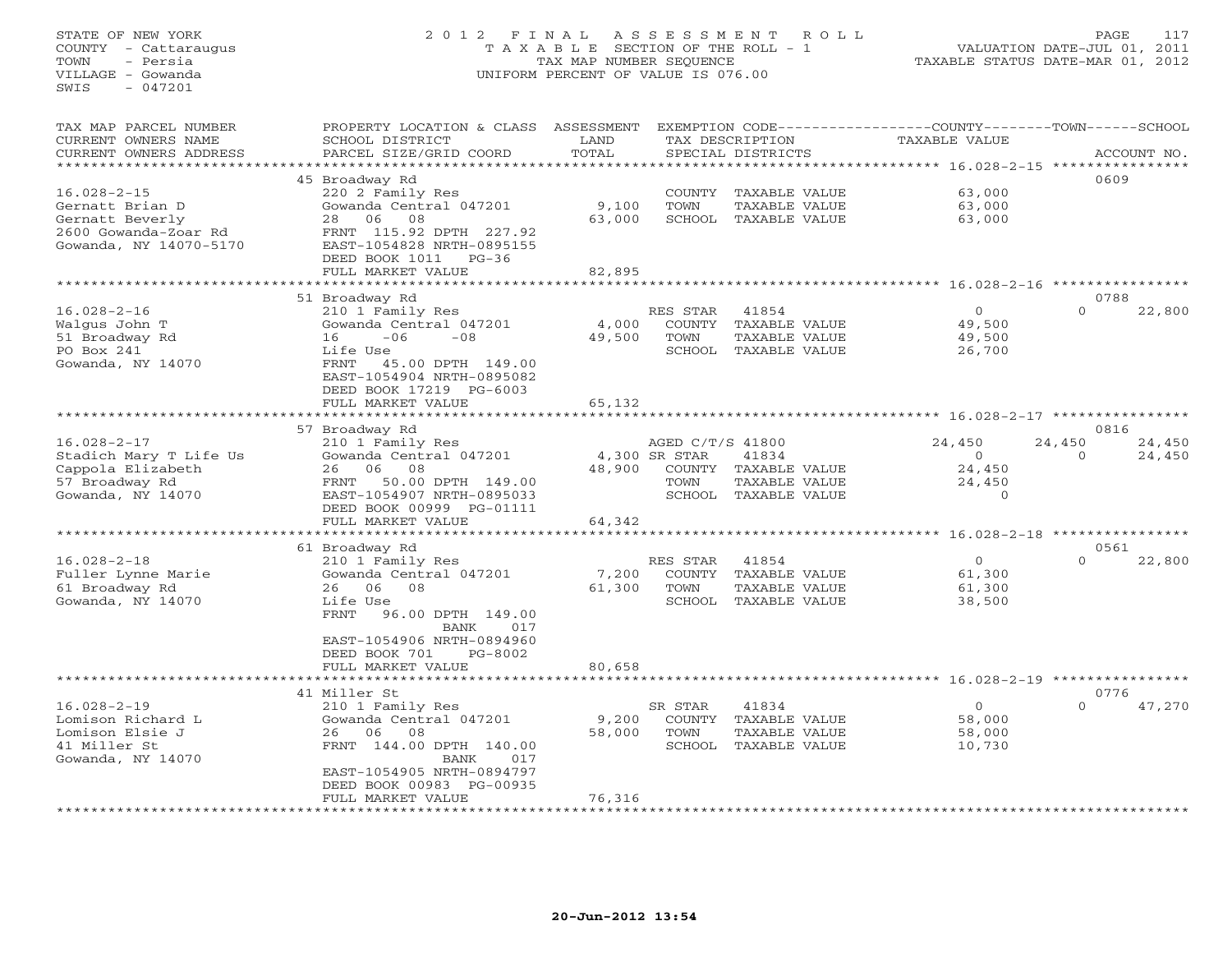## STATE OF NEW YORK 2 0 1 2 F I N A L A S S E S S M E N T R O L L PAGE 117 COUNTY - Cattaraugus T A X A B L E SECTION OF THE ROLL - 1 VALUATION DATE-JUL 01, 2011 TOWN - Persia TAX MAP NUMBER SEQUENCE TAXABLE STATUS DATE-MAR 01, 2012 VILLAGE - Gowanda UNIFORM PERCENT OF VALUE IS 076.00UNIFORM PERCENT OF VALUE IS 076.00

| TAX MAP PARCEL NUMBER  | PROPERTY LOCATION & CLASS ASSESSMENT |        |                  |                      | EXEMPTION CODE-----------------COUNTY-------TOWN------SCHOOL |          |             |
|------------------------|--------------------------------------|--------|------------------|----------------------|--------------------------------------------------------------|----------|-------------|
| CURRENT OWNERS NAME    | SCHOOL DISTRICT                      | LAND   |                  | TAX DESCRIPTION      | TAXABLE VALUE                                                |          |             |
| CURRENT OWNERS ADDRESS | PARCEL SIZE/GRID COORD               | TOTAL  |                  | SPECIAL DISTRICTS    |                                                              |          | ACCOUNT NO. |
| ******************     |                                      |        |                  |                      |                                                              |          |             |
|                        | 45 Broadway Rd                       |        |                  |                      |                                                              | 0609     |             |
| $16.028 - 2 - 15$      | 220 2 Family Res                     |        |                  | COUNTY TAXABLE VALUE | 63,000                                                       |          |             |
| Gernatt Brian D        | Gowanda Central 047201               | 9,100  | TOWN             | TAXABLE VALUE        | 63,000                                                       |          |             |
| Gernatt Beverly        | 28 06<br>08                          | 63,000 |                  | SCHOOL TAXABLE VALUE | 63,000                                                       |          |             |
| 2600 Gowanda-Zoar Rd   | FRNT 115.92 DPTH 227.92              |        |                  |                      |                                                              |          |             |
| Gowanda, NY 14070-5170 | EAST-1054828 NRTH-0895155            |        |                  |                      |                                                              |          |             |
|                        | DEED BOOK 1011 PG-36                 |        |                  |                      |                                                              |          |             |
|                        | FULL MARKET VALUE                    | 82,895 |                  |                      |                                                              |          |             |
|                        |                                      |        |                  |                      |                                                              |          |             |
|                        | 51 Broadway Rd                       |        |                  |                      |                                                              | 0788     |             |
| $16.028 - 2 - 16$      | 210 1 Family Res                     |        | RES STAR         | 41854                | $\overline{0}$                                               | $\Omega$ | 22,800      |
| Walgus John T          | Gowanda Central 047201               | 4,000  | COUNTY           | TAXABLE VALUE        | 49,500                                                       |          |             |
| 51 Broadway Rd         | $-06$<br>16<br>$-08$                 | 49,500 | TOWN             | TAXABLE VALUE        | 49,500                                                       |          |             |
| PO Box 241             | Life Use                             |        |                  | SCHOOL TAXABLE VALUE | 26,700                                                       |          |             |
| Gowanda, NY 14070      | FRNT<br>45.00 DPTH 149.00            |        |                  |                      |                                                              |          |             |
|                        | EAST-1054904 NRTH-0895082            |        |                  |                      |                                                              |          |             |
|                        | DEED BOOK 17219 PG-6003              |        |                  |                      |                                                              |          |             |
|                        |                                      |        |                  |                      |                                                              |          |             |
|                        | FULL MARKET VALUE                    | 65,132 |                  |                      |                                                              |          |             |
|                        |                                      |        |                  |                      |                                                              | 0816     |             |
|                        | 57 Broadway Rd                       |        |                  |                      |                                                              |          |             |
| $16.028 - 2 - 17$      | 210 1 Family Res                     |        | AGED C/T/S 41800 |                      | 24,450                                                       | 24,450   | 24,450      |
| Stadich Mary T Life Us | Gowanda Central 047201               |        | 4,300 SR STAR    | 41834                | $\overline{0}$                                               | $\Omega$ | 24,450      |
| Cappola Elizabeth      | 26 06<br>08                          | 48,900 |                  | COUNTY TAXABLE VALUE | 24,450                                                       |          |             |
| 57 Broadway Rd         | 50.00 DPTH 149.00<br>FRNT            |        | TOWN             | TAXABLE VALUE        | 24,450                                                       |          |             |
| Gowanda, NY 14070      | EAST-1054907 NRTH-0895033            |        |                  | SCHOOL TAXABLE VALUE | $\Omega$                                                     |          |             |
|                        | DEED BOOK 00999 PG-01111             |        |                  |                      |                                                              |          |             |
|                        | FULL MARKET VALUE                    | 64,342 |                  |                      |                                                              |          |             |
|                        |                                      |        |                  |                      |                                                              |          |             |
|                        | 61 Broadway Rd                       |        |                  |                      |                                                              | 0561     |             |
| $16.028 - 2 - 18$      | 210 1 Family Res                     |        | RES STAR         | 41854                | $\circ$                                                      | $\Omega$ | 22,800      |
| Fuller Lynne Marie     | Gowanda Central 047201               | 7,200  |                  | COUNTY TAXABLE VALUE | 61,300                                                       |          |             |
| 61 Broadway Rd         | 26 06<br>08                          | 61,300 | TOWN             | TAXABLE VALUE        | 61,300                                                       |          |             |
| Gowanda, NY 14070      | Life Use                             |        |                  | SCHOOL TAXABLE VALUE | 38,500                                                       |          |             |
|                        | FRNT<br>96.00 DPTH 149.00            |        |                  |                      |                                                              |          |             |
|                        | BANK<br>017                          |        |                  |                      |                                                              |          |             |
|                        | EAST-1054906 NRTH-0894960            |        |                  |                      |                                                              |          |             |
|                        | DEED BOOK 701<br>PG-8002             |        |                  |                      |                                                              |          |             |
|                        | FULL MARKET VALUE                    | 80,658 |                  |                      |                                                              |          |             |
|                        |                                      |        |                  |                      |                                                              |          |             |
|                        | 41 Miller St                         |        |                  |                      |                                                              | 0776     |             |
| $16.028 - 2 - 19$      | 210 1 Family Res                     |        | SR STAR          | 41834                | $\overline{0}$                                               | $\Omega$ | 47,270      |
| Lomison Richard L      | Gowanda Central 047201               | 9,200  |                  | COUNTY TAXABLE VALUE | 58,000                                                       |          |             |
| Lomison Elsie J        | 26 06<br>08                          | 58,000 | TOWN             | TAXABLE VALUE        | 58,000                                                       |          |             |
| 41 Miller St           | FRNT 144.00 DPTH 140.00              |        | SCHOOL           | TAXABLE VALUE        | 10,730                                                       |          |             |
| Gowanda, NY 14070      | BANK<br>017                          |        |                  |                      |                                                              |          |             |
|                        | EAST-1054905 NRTH-0894797            |        |                  |                      |                                                              |          |             |
|                        | DEED BOOK 00983 PG-00935             |        |                  |                      |                                                              |          |             |
|                        | FULL MARKET VALUE                    | 76,316 |                  |                      |                                                              |          |             |
|                        | ********************                 |        |                  |                      |                                                              |          |             |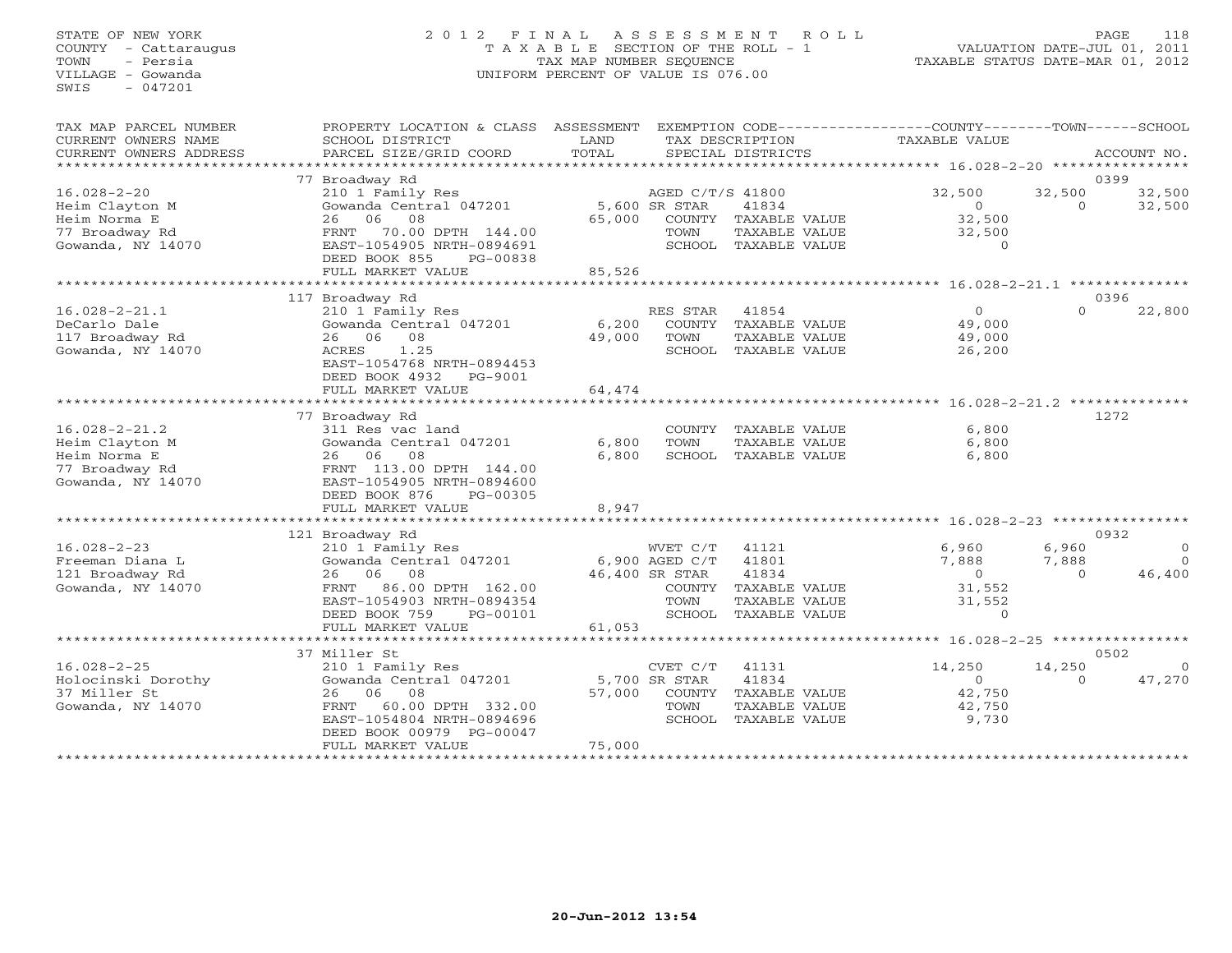## STATE OF NEW YORK 2 0 1 2 F I N A L A S S E S S M E N T R O L L PAGE 118 COUNTY - Cattaraugus T A X A B L E SECTION OF THE ROLL - 1 VALUATION DATE-JUL 01, 2011 TOWN - Persia TAX MAP NUMBER SEQUENCE TAXABLE STATUS DATE-MAR 01, 2012 VILLAGE - Gowanda UNIFORM PERCENT OF VALUE IS 076.00UNIFORM PERCENT OF VALUE IS 076.00

| TAX MAP PARCEL NUMBER<br>CURRENT OWNERS NAME<br>CURRENT OWNERS ADDRESS | PROPERTY LOCATION & CLASS ASSESSMENT<br>SCHOOL DISTRICT<br>PARCEL SIZE/GRID COORD                  | LAND<br>TOTAL           |                                   | TAX DESCRIPTION<br>SPECIAL DISTRICTS                          | EXEMPTION CODE-----------------COUNTY-------TOWN-----SCHOOL<br>TAXABLE VALUE |                                   | ACCOUNT NO.              |
|------------------------------------------------------------------------|----------------------------------------------------------------------------------------------------|-------------------------|-----------------------------------|---------------------------------------------------------------|------------------------------------------------------------------------------|-----------------------------------|--------------------------|
|                                                                        |                                                                                                    |                         |                                   |                                                               |                                                                              |                                   |                          |
| $16.028 - 2 - 20$<br>Heim Clayton M                                    | 77 Broadway Rd<br>210 1 Family Res<br>Gowanda Central 047201                                       |                         | AGED C/T/S 41800<br>5,600 SR STAR | 41834                                                         | 32,500<br>$\circ$                                                            | 32,500<br>$\Omega$                | 0399<br>32,500<br>32,500 |
| Heim Norma E<br>77 Broadway Rd<br>Gowanda, NY 14070                    | 06 08<br>26<br>70.00 DPTH 144.00<br>FRNT<br>EAST-1054905 NRTH-0894691<br>DEED BOOK 855<br>PG-00838 | 65,000                  | TOWN                              | COUNTY TAXABLE VALUE<br>TAXABLE VALUE<br>SCHOOL TAXABLE VALUE | 32,500<br>32,500<br>$\Omega$                                                 |                                   |                          |
|                                                                        | FULL MARKET VALUE                                                                                  | 85,526                  |                                   | *****************************                                 |                                                                              |                                   |                          |
|                                                                        | 117 Broadway Rd                                                                                    |                         |                                   |                                                               | ********** 16.028-2-21.1 ***************                                     |                                   | 0396                     |
| $16.028 - 2 - 21.1$                                                    | 210 1 Family Res                                                                                   |                         | RES STAR                          | 41854                                                         | $\Omega$                                                                     | $\Omega$                          | 22,800                   |
| DeCarlo Dale                                                           | Gowanda Central 047201                                                                             | 6,200                   | COUNTY                            | TAXABLE VALUE                                                 | 49,000                                                                       |                                   |                          |
| 117 Broadway Rd                                                        | 26 06 08                                                                                           | 49,000                  | TOWN                              | TAXABLE VALUE                                                 | 49,000                                                                       |                                   |                          |
| Gowanda, NY 14070                                                      | 1.25<br>ACRES<br>EAST-1054768 NRTH-0894453<br>DEED BOOK 4932<br>PG-9001                            |                         |                                   | SCHOOL TAXABLE VALUE                                          | 26,200                                                                       |                                   |                          |
|                                                                        | FULL MARKET VALUE                                                                                  | 64,474                  |                                   |                                                               |                                                                              |                                   |                          |
|                                                                        | ************                                                                                       | *********************** |                                   |                                                               | ********************** 16.028-2-21.2 **************                          |                                   |                          |
|                                                                        | 77 Broadway Rd                                                                                     |                         |                                   |                                                               |                                                                              |                                   | 1272                     |
| $16.028 - 2 - 21.2$                                                    | 311 Res vac land                                                                                   |                         |                                   | COUNTY TAXABLE VALUE                                          | 6,800                                                                        |                                   |                          |
| Heim Clayton M                                                         | Gowanda Central 047201                                                                             | 6,800                   | TOWN                              | TAXABLE VALUE                                                 | 6,800                                                                        |                                   |                          |
| Heim Norma E                                                           | 26 06<br>08                                                                                        | 6,800                   |                                   | SCHOOL TAXABLE VALUE                                          | 6,800                                                                        |                                   |                          |
| 77 Broadway Rd                                                         | FRNT 113.00 DPTH 144.00                                                                            |                         |                                   |                                                               |                                                                              |                                   |                          |
| Gowanda, NY 14070                                                      | EAST-1054905 NRTH-0894600                                                                          |                         |                                   |                                                               |                                                                              |                                   |                          |
|                                                                        | DEED BOOK 876<br>PG-00305                                                                          |                         |                                   |                                                               |                                                                              |                                   |                          |
|                                                                        | FULL MARKET VALUE                                                                                  | 8,947<br>********       |                                   |                                                               |                                                                              |                                   |                          |
|                                                                        |                                                                                                    |                         |                                   |                                                               |                                                                              | $16.028 - 2 - 23$ *************** |                          |
| $16.028 - 2 - 23$                                                      | 121 Broadway Rd<br>210 1 Family Res                                                                |                         | WVET C/T                          | 41121                                                         | 6,960                                                                        | 6,960                             | 0932<br>$\Omega$         |
|                                                                        |                                                                                                    |                         |                                   | 41801                                                         | 7,888                                                                        |                                   | $\Omega$                 |
| Freeman Diana L                                                        | Gowanda Central 047201<br>08<br>06                                                                 |                         | $6,900$ AGED $C/T$                | 41834                                                         | $\circ$                                                                      | 7,888<br>$\Omega$                 | 46,400                   |
| 121 Broadway Rd<br>Gowanda, NY 14070                                   | 26                                                                                                 |                         | 46,400 SR STAR                    |                                                               |                                                                              |                                   |                          |
|                                                                        | 86.00 DPTH 162.00<br>FRNT<br>EAST-1054903 NRTH-0894354                                             |                         | COUNTY                            | TAXABLE VALUE                                                 | 31,552                                                                       |                                   |                          |
|                                                                        | DEED BOOK 759                                                                                      |                         | TOWN                              | TAXABLE VALUE<br>SCHOOL TAXABLE VALUE                         | 31,552<br>$\circ$                                                            |                                   |                          |
|                                                                        | PG-00101<br>FULL MARKET VALUE                                                                      | 61,053                  |                                   |                                                               |                                                                              |                                   |                          |
|                                                                        | **********************                                                                             |                         | **************************        |                                                               | ********* 16.028-2-25 *****************                                      |                                   |                          |
|                                                                        | 37 Miller St                                                                                       |                         |                                   |                                                               |                                                                              |                                   | 0502                     |
| $16.028 - 2 - 25$                                                      | 210 1 Family Res                                                                                   |                         | CVET C/T                          | 41131                                                         | 14,250                                                                       | 14,250                            | $\Omega$                 |
| Holocinski Dorothy                                                     | Gowanda Central 047201                                                                             |                         | 5,700 SR STAR                     | 41834                                                         | $\Omega$                                                                     | $\Omega$                          | 47,270                   |
| 37 Miller St                                                           | 06<br>08<br>26                                                                                     | 57,000                  |                                   | COUNTY TAXABLE VALUE                                          | 42,750                                                                       |                                   |                          |
| Gowanda, NY 14070                                                      | 60.00 DPTH 332.00<br>FRNT                                                                          |                         | TOWN                              | TAXABLE VALUE                                                 | 42,750                                                                       |                                   |                          |
|                                                                        | EAST-1054804 NRTH-0894696                                                                          |                         |                                   | SCHOOL TAXABLE VALUE                                          | 9,730                                                                        |                                   |                          |
|                                                                        | DEED BOOK 00979 PG-00047                                                                           |                         |                                   |                                                               |                                                                              |                                   |                          |
|                                                                        | FULL MARKET VALUE                                                                                  | 75,000                  |                                   |                                                               |                                                                              |                                   |                          |
|                                                                        |                                                                                                    |                         |                                   |                                                               |                                                                              |                                   |                          |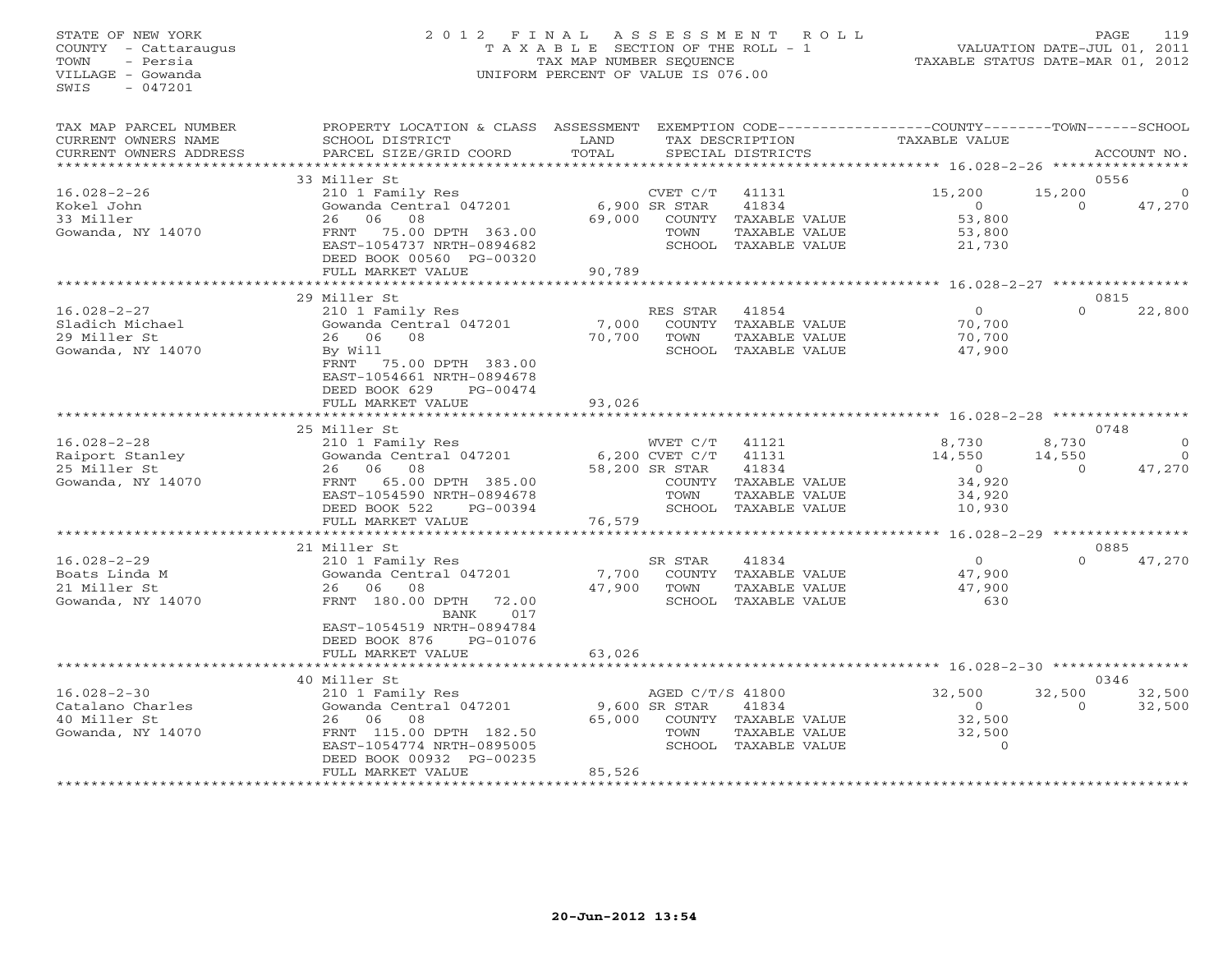#### STATE OF NEW YORK 2 0 1 2 F I N A L A S S E S S M E N T R O L L PAGE 119 COUNTY - Cattaraugus T A X A B L E SECTION OF THE ROLL - 1 VALUATION DATE-JUL 01, 2011 TOWN - Persia TAX MAP NUMBER SEQUENCE TAXABLE STATUS DATE-MAR 01, 2012 VILLAGE - Gowanda UNIFORM PERCENT OF VALUE IS 076.00UNIFORM PERCENT OF VALUE IS 076.00

| TAX MAP PARCEL NUMBER<br>CURRENT OWNERS NAME<br>CURRENT OWNERS ADDRESS     | PROPERTY LOCATION & CLASS ASSESSMENT<br>SCHOOL DISTRICT<br>PARCEL SIZE/GRID COORD                                                                                     | LAND<br>TOTAL    |                                                      | TAX DESCRIPTION<br>SPECIAL DISTRICTS                                                     | EXEMPTION CODE-----------------COUNTY-------TOWN------SCHOOL<br>TAXABLE VALUE |                             | ACCOUNT NO.          |
|----------------------------------------------------------------------------|-----------------------------------------------------------------------------------------------------------------------------------------------------------------------|------------------|------------------------------------------------------|------------------------------------------------------------------------------------------|-------------------------------------------------------------------------------|-----------------------------|----------------------|
| **************************                                                 |                                                                                                                                                                       |                  |                                                      |                                                                                          |                                                                               |                             |                      |
|                                                                            | 33 Miller St                                                                                                                                                          |                  |                                                      |                                                                                          |                                                                               |                             | 0556                 |
| $16.028 - 2 - 26$<br>Kokel John<br>33 Miller<br>Gowanda, NY 14070          | 210 1 Family Res<br>Gowanda Central 047201<br>06<br>08<br>26<br>75.00 DPTH 363.00<br>FRNT<br>EAST-1054737 NRTH-0894682<br>DEED BOOK 00560 PG-00320                    | 69,000           | CVET C/T<br>6,900 SR STAR<br>TOWN                    | 41131<br>41834<br>COUNTY TAXABLE VALUE<br>TAXABLE VALUE<br>SCHOOL TAXABLE VALUE          | 15,200<br>$\overline{0}$<br>53,800<br>53,800<br>21,730                        | 15,200<br>$\Omega$          | $\Omega$<br>47,270   |
|                                                                            | FULL MARKET VALUE                                                                                                                                                     | 90,789           |                                                      |                                                                                          |                                                                               |                             |                      |
|                                                                            | *********************                                                                                                                                                 | *************    |                                                      |                                                                                          | ********* 16.028-2-27 ***********                                             |                             |                      |
|                                                                            | 29 Miller St                                                                                                                                                          |                  |                                                      |                                                                                          |                                                                               |                             | 0815                 |
| $16.028 - 2 - 27$<br>Sladich Michael<br>29 Miller St<br>Gowanda, NY 14070  | 210 1 Family Res<br>Gowanda Central 047201<br>26 06<br>08<br>By Will<br>FRNT<br>75.00 DPTH 383.00<br>EAST-1054661 NRTH-0894678<br>DEED BOOK 629<br>PG-00474           | 7,000<br>70,700  | RES STAR<br>TOWN                                     | 41854<br>COUNTY TAXABLE VALUE<br>TAXABLE VALUE<br>SCHOOL TAXABLE VALUE                   | $\Omega$<br>70,700<br>70,700<br>47,900                                        | $\Omega$                    | 22,800               |
|                                                                            | FULL MARKET VALUE                                                                                                                                                     | 93,026           |                                                      |                                                                                          |                                                                               |                             |                      |
|                                                                            |                                                                                                                                                                       |                  |                                                      |                                                                                          |                                                                               |                             |                      |
|                                                                            | 25 Miller St                                                                                                                                                          |                  |                                                      |                                                                                          |                                                                               |                             | 0748<br>$\Omega$     |
| $16.028 - 2 - 28$<br>Raiport Stanley<br>25 Miller St<br>Gowanda, NY 14070  | 210 1 Family Res<br>Gowanda Central 047201<br>26 06<br>08<br>FRNT 65.00 DPTH 385.00<br>EAST-1054590 NRTH-0894678<br>DEED BOOK 522<br>PG-00394                         |                  | WVET C/T<br>6,200 CVET C/T<br>58,200 SR STAR<br>TOWN | 41121<br>41131<br>41834<br>COUNTY TAXABLE VALUE<br>TAXABLE VALUE<br>SCHOOL TAXABLE VALUE | 8,730<br>14,550<br>$\overline{0}$<br>34,920<br>34,920<br>10,930               | 8,730<br>14,550<br>$\Omega$ | $\bigcirc$<br>47,270 |
|                                                                            | FULL MARKET VALUE                                                                                                                                                     | 76,579           |                                                      |                                                                                          |                                                                               |                             |                      |
|                                                                            | 21 Miller St                                                                                                                                                          |                  |                                                      |                                                                                          |                                                                               |                             | 0885                 |
| $16.028 - 2 - 29$<br>Boats Linda M<br>21 Miller St<br>Gowanda, NY 14070    | 210 1 Family Res<br>Gowanda Central 047201<br>26 06<br>08<br>FRNT 180.00 DPTH<br>72.00<br>017<br>BANK<br>EAST-1054519 NRTH-0894784                                    | 7,700<br>47,900  | SR STAR<br>TOWN                                      | 41834<br>COUNTY TAXABLE VALUE<br>TAXABLE VALUE<br>SCHOOL TAXABLE VALUE                   | $\overline{O}$<br>47,900<br>47,900<br>630                                     | $\Omega$                    | 47,270               |
|                                                                            | DEED BOOK 876<br>PG-01076                                                                                                                                             |                  |                                                      |                                                                                          |                                                                               |                             |                      |
|                                                                            | FULL MARKET VALUE                                                                                                                                                     | 63,026           |                                                      |                                                                                          | ***************************** 16.028-2-30 ****************                    |                             |                      |
|                                                                            | 40 Miller St                                                                                                                                                          |                  |                                                      |                                                                                          |                                                                               |                             | 0346                 |
| $16.028 - 2 - 30$<br>Catalano Charles<br>40 Miller St<br>Gowanda, NY 14070 | 210 1 Family Res<br>Gowanda Central 047201<br>26<br>06<br>08<br>FRNT 115.00 DPTH 182.50<br>EAST-1054774 NRTH-0895005<br>DEED BOOK 00932 PG-00235<br>FULL MARKET VALUE | 65,000<br>85,526 | AGED C/T/S 41800<br>9,600 SR STAR<br>TOWN            | 41834<br>COUNTY TAXABLE VALUE<br>TAXABLE VALUE<br>SCHOOL TAXABLE VALUE                   | 32,500<br>$\bigcirc$<br>32,500<br>32,500<br>$\Omega$                          | 32,500<br>$\Omega$          | 32,500<br>32,500     |
|                                                                            | ***********************                                                                                                                                               |                  |                                                      |                                                                                          |                                                                               |                             |                      |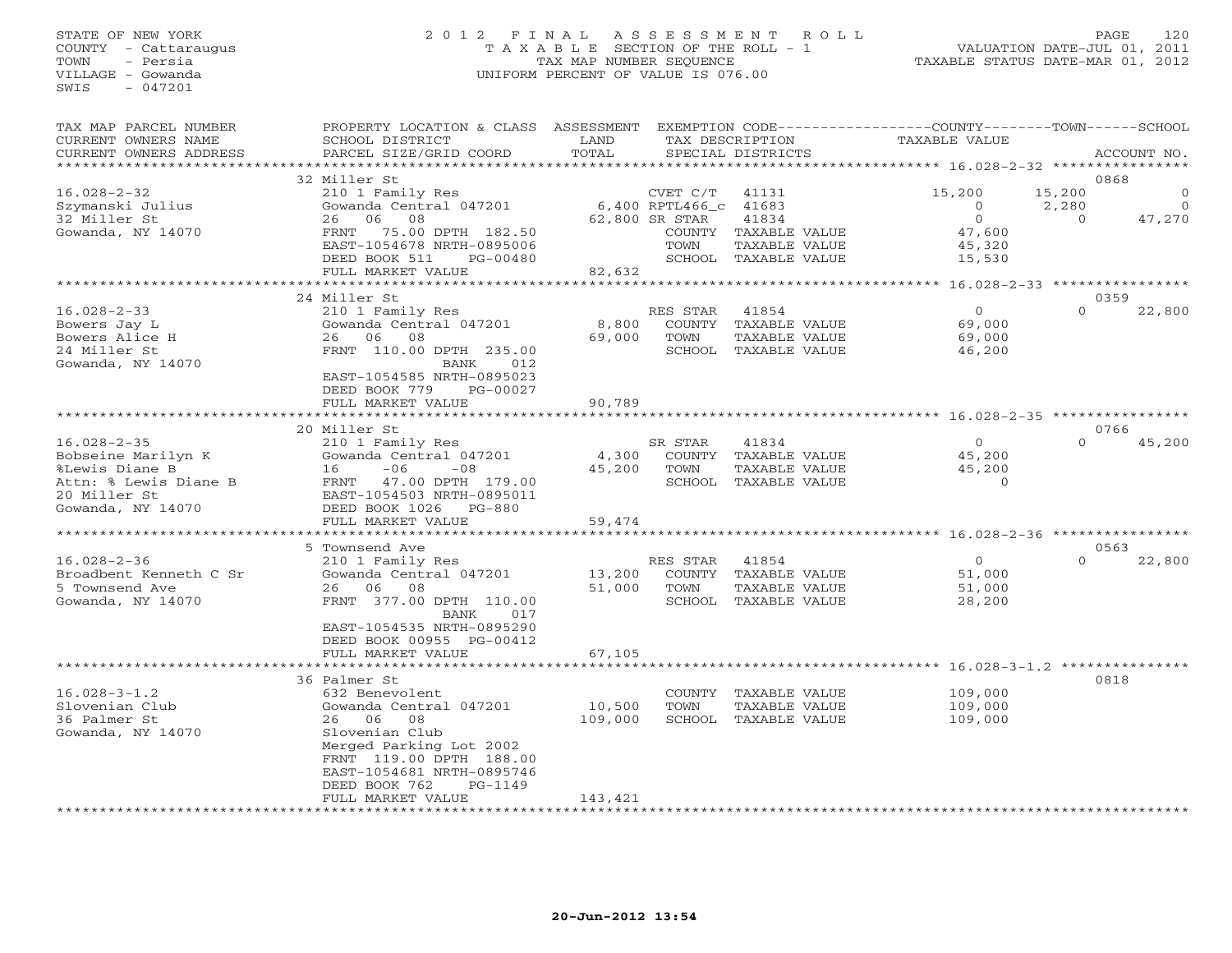#### STATE OF NEW YORK 2 0 1 2 F I N A L A S S E S S M E N T R O L L PAGE 120 COUNTY - Cattaraugus T A X A B L E SECTION OF THE ROLL - 1 VALUATION DATE-JUL 01, 2011 TOWN - Persia TAX MAP NUMBER SEQUENCE TAXABLE STATUS DATE-MAR 01, 2012 VILLAGE - Gowanda UNIFORM PERCENT OF VALUE IS 076.00UNIFORM PERCENT OF VALUE IS 076.00

| TAX MAP PARCEL NUMBER<br>CURRENT OWNERS NAME<br>CURRENT OWNERS ADDRESS                                                  | PROPERTY LOCATION & CLASS ASSESSMENT<br>SCHOOL DISTRICT<br>PARCEL SIZE/GRID COORD                                                                                                                          | LAND<br>TOTAL                |                                                             | TAX DESCRIPTION<br>SPECIAL DISTRICTS                                            | EXEMPTION CODE-----------------COUNTY-------TOWN------SCHOOL<br><b>TAXABLE VALUE</b> |                             | ACCOUNT NO.                            |
|-------------------------------------------------------------------------------------------------------------------------|------------------------------------------------------------------------------------------------------------------------------------------------------------------------------------------------------------|------------------------------|-------------------------------------------------------------|---------------------------------------------------------------------------------|--------------------------------------------------------------------------------------|-----------------------------|----------------------------------------|
| *********************                                                                                                   |                                                                                                                                                                                                            |                              |                                                             |                                                                                 |                                                                                      |                             |                                        |
| $16.028 - 2 - 32$<br>Szymanski Julius<br>32 Miller St<br>Gowanda, NY 14070                                              | 32 Miller St<br>210 1 Family Res<br>Gowanda Central 047201<br>06<br>08<br>26<br>75.00 DPTH 182.50<br>FRNT<br>EAST-1054678 NRTH-0895006<br>DEED BOOK 511<br>PG-00480<br>FULL MARKET VALUE                   | 82,632                       | CVET C/T<br>6,400 RPTL466 c 41683<br>62,800 SR STAR<br>TOWN | 41131<br>41834<br>COUNTY TAXABLE VALUE<br>TAXABLE VALUE<br>SCHOOL TAXABLE VALUE | 15,200<br>$\Omega$<br>$\circ$<br>47,600<br>45,320<br>15,530                          | 15,200<br>2,280<br>$\Omega$ | 0868<br>$\Omega$<br>$\Omega$<br>47,270 |
|                                                                                                                         |                                                                                                                                                                                                            |                              |                                                             |                                                                                 |                                                                                      |                             |                                        |
|                                                                                                                         | 24 Miller St                                                                                                                                                                                               |                              |                                                             |                                                                                 |                                                                                      |                             | 0359                                   |
| $16.028 - 2 - 33$<br>Bowers Jay L<br>Bowers Alice H<br>24 Miller St<br>Gowanda, NY 14070                                | 210 1 Family Res<br>Gowanda Central 047201<br>08<br>26<br>06<br>FRNT 110.00 DPTH 235.00<br><b>BANK</b><br>012<br>EAST-1054585 NRTH-0895023<br>DEED BOOK 779<br>PG-00027<br>FULL MARKET VALUE               | 8,800<br>69,000<br>90,789    | RES STAR<br>COUNTY<br>TOWN                                  | 41854<br>TAXABLE VALUE<br>TAXABLE VALUE<br>SCHOOL TAXABLE VALUE                 | $\Omega$<br>69,000<br>69,000<br>46,200                                               | $\Omega$                    | 22,800                                 |
|                                                                                                                         | * * * * * * * * * * * * * * * * * *                                                                                                                                                                        |                              |                                                             |                                                                                 | ******************************* 16.028-2-35 *******                                  |                             |                                        |
|                                                                                                                         | 20 Miller St                                                                                                                                                                                               |                              |                                                             |                                                                                 |                                                                                      |                             | 0766                                   |
| $16.028 - 2 - 35$<br>Bobseine Marilyn K<br>%Lewis Diane B<br>Attn: % Lewis Diane B<br>20 Miller St<br>Gowanda, NY 14070 | 210 1 Family Res<br>Gowanda Central 047201<br>$-06$<br>16<br>$-08$<br>FRNT<br>47.00 DPTH 179.00<br>EAST-1054503 NRTH-0895011<br>DEED BOOK 1026 PG-880<br>FULL MARKET VALUE                                 | 4,300<br>45,200<br>59,474    | SR STAR<br>TOWN                                             | 41834<br>COUNTY TAXABLE VALUE<br>TAXABLE VALUE<br>SCHOOL TAXABLE VALUE          | $\Omega$<br>45,200<br>45,200<br>$\Omega$                                             | $\Omega$                    | 45,200                                 |
|                                                                                                                         |                                                                                                                                                                                                            | *************                |                                                             |                                                                                 | **************************************6.028-2-36 ****************                    |                             |                                        |
|                                                                                                                         | 5 Townsend Ave                                                                                                                                                                                             |                              |                                                             |                                                                                 |                                                                                      |                             | 0563                                   |
| $16.028 - 2 - 36$<br>Broadbent Kenneth C Sr<br>5 Townsend Ave<br>Gowanda, NY 14070                                      | 210 1 Family Res<br>Gowanda Central 047201<br>26 06 08<br>FRNT 377.00 DPTH 110.00<br>BANK<br>017<br>EAST-1054535 NRTH-0895290<br>DEED BOOK 00955 PG-00412                                                  | 13,200<br>51,000<br>67,105   | RES STAR<br>TOWN                                            | 41854<br>COUNTY TAXABLE VALUE<br>TAXABLE VALUE<br>SCHOOL TAXABLE VALUE          | $\circ$<br>51,000<br>51,000<br>28,200                                                | $\Omega$                    | 22,800                                 |
|                                                                                                                         | FULL MARKET VALUE<br>*********************                                                                                                                                                                 | **********                   |                                                             |                                                                                 | ******************************* 16.028-3-1.2 ***************                         |                             |                                        |
|                                                                                                                         | 36 Palmer St                                                                                                                                                                                               |                              |                                                             |                                                                                 |                                                                                      |                             | 0818                                   |
| $16.028 - 3 - 1.2$<br>Slovenian Club<br>36 Palmer St<br>Gowanda, NY 14070                                               | 632 Benevolent<br>Gowanda Central 047201<br>26 06 08<br>Slovenian Club<br>Merged Parking Lot 2002<br>FRNT 119.00 DPTH 188.00<br>EAST-1054681 NRTH-0895746<br>DEED BOOK 762<br>PG-1149<br>FULL MARKET VALUE | 10,500<br>109,000<br>143,421 | COUNTY<br>TOWN                                              | TAXABLE VALUE<br>TAXABLE VALUE<br>SCHOOL TAXABLE VALUE                          | 109,000<br>109,000<br>109,000                                                        |                             |                                        |
|                                                                                                                         |                                                                                                                                                                                                            |                              |                                                             | ***********************                                                         |                                                                                      |                             |                                        |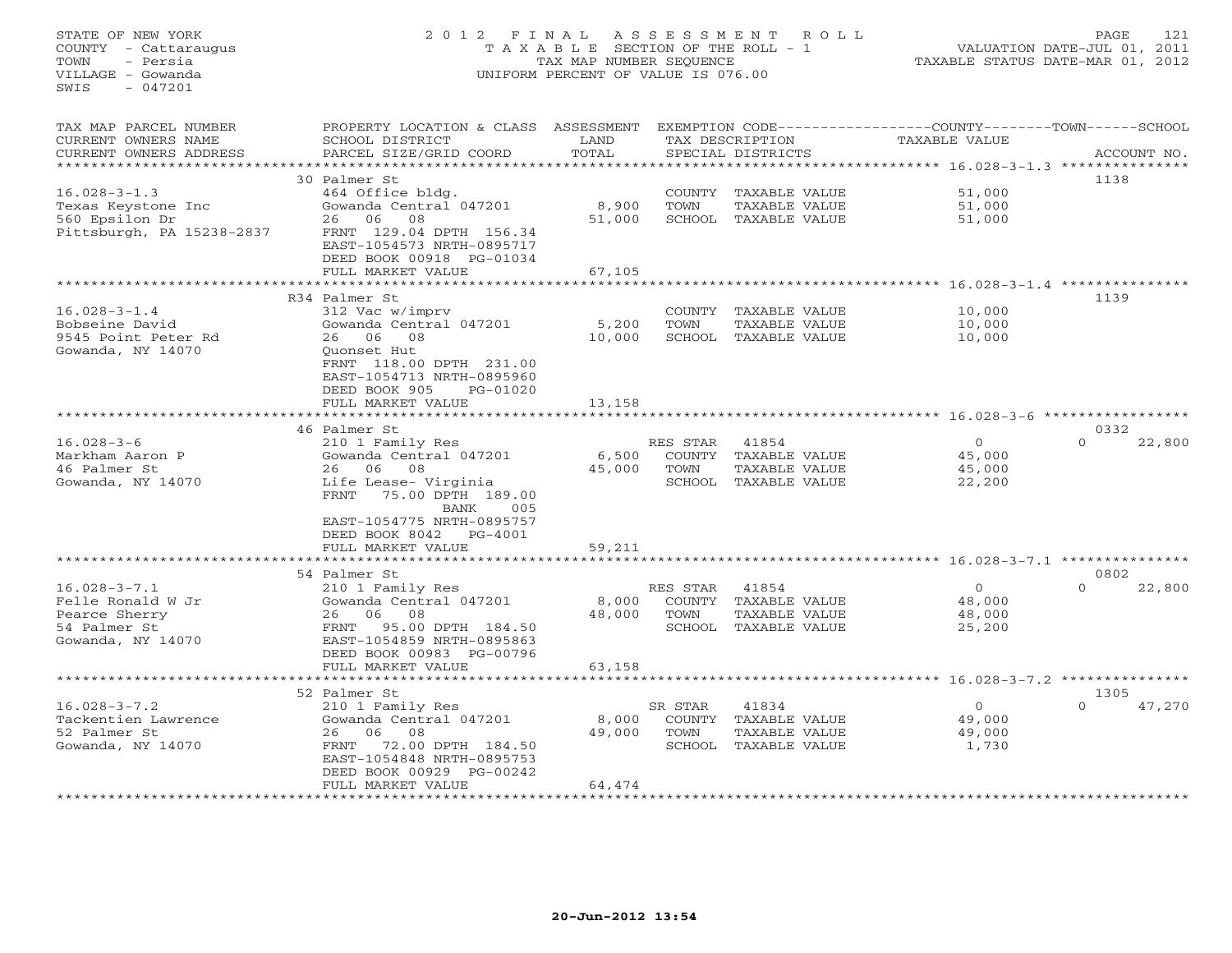STATE OF NEW YORK 2 0 1 2 F I N A L A S S E S S M E N T R O L L PAGE 121 COUNTY - Cattaraugus T A X A B L E SECTION OF THE ROLL - 1 VALUATION DATE-JUL 01, 2011 TOWN - Persia TAX MAP NUMBER SEQUENCE TAXABLE STATUS DATE-MAR 01, 2012 VILLAGE - Gowanda UNIFORM PERCENT OF VALUE IS 076.00  $SWTS = 047201$ TAX MAP PARCEL NUMBER PROPERTY LOCATION & CLASS ASSESSMENT EXEMPTION CODE------------------COUNTY--------TOWN------SCHOOL CURRENT OWNERS NAME SCHOOL DISTRICT LAND TAX DESCRIPTION TAXABLE VALUE CURRENT OWNERS ADDRESS BARCEL SIZE/GRID COORD TOTAL SPECIAL DISTRICTS SACCOUNT NO. \*\*\*\*\*\*\*\*\*\*\*\*\*\*\*\*\*\*\*\*\*\*\*\*\*\*\*\*\*\*\*\*\*\*\*\*\*\*\*\*\*\*\*\*\*\*\*\*\*\*\*\*\*\*\*\*\*\*\*\*\*\*\*\*\*\*\*\*\*\*\*\*\*\*\*\*\*\*\*\*\*\*\*\*\*\*\*\*\*\*\*\*\*\*\*\*\*\*\*\*\*\*\* 16.028-3-1.3 \*\*\*\*\*\*\*\*\*\*\*\*\*\*\* 30 Palmer St 113816.028-3-1.3 464 Office bldg. COUNTY TAXABLE VALUE 51,000 Texas Keystone Inc Gowanda Central 047201 8,900 TOWN TAXABLE VALUE 51,000 560 Epsilon Dr 26 06 08 51,000 SCHOOL TAXABLE VALUE 51,000 Pittsburgh, PA 15238-2837 FRNT 129.04 DPTH 156.34 EAST-1054573 NRTH-0895717 DEED BOOK 00918 PG-01034FIILL MARKET VALUE FULL MARKET VALUE 67,105 \*\*\*\*\*\*\*\*\*\*\*\*\*\*\*\*\*\*\*\*\*\*\*\*\*\*\*\*\*\*\*\*\*\*\*\*\*\*\*\*\*\*\*\*\*\*\*\*\*\*\*\*\*\*\*\*\*\*\*\*\*\*\*\*\*\*\*\*\*\*\*\*\*\*\*\*\*\*\*\*\*\*\*\*\*\*\*\*\*\*\*\*\*\*\*\*\*\*\*\*\*\*\* 16.028-3-1.4 \*\*\*\*\*\*\*\*\*\*\*\*\*\*\* R34 Palmer St 113916.028-3-1.4 312 Vac w/imprv COUNTY TAXABLE VALUE 10,000 Bobseine David Gowanda Central 047201 5,200 TOWN TAXABLE VALUE 10,000 9545 Point Peter Rd 26 06 08 10,000 SCHOOL TAXABLE VALUE 10,000 Gowanda, NY 14070 Quonset Hut FRNT 118.00 DPTH 231.00 EAST-1054713 NRTH-0895960 DEED BOOK 905 PG-01020 FULL MARKET VALUE 13,158 \*\*\*\*\*\*\*\*\*\*\*\*\*\*\*\*\*\*\*\*\*\*\*\*\*\*\*\*\*\*\*\*\*\*\*\*\*\*\*\*\*\*\*\*\*\*\*\*\*\*\*\*\*\*\*\*\*\*\*\*\*\*\*\*\*\*\*\*\*\*\*\*\*\*\*\*\*\*\*\*\*\*\*\*\*\*\*\*\*\*\*\*\*\*\*\*\*\*\*\*\*\*\* 16.028-3-6 \*\*\*\*\*\*\*\*\*\*\*\*\*\*\*\*\* 46 Palmer St 0332 $0 \t 22,800$ 16.028-3-6 210 1 Family Res RES STAR 41854 0 0 22,800 Markham Aaron P Gowanda Central 047201 6,500 COUNTY TAXABLE VALUE 45,000 46 Palmer St 26 06 08 45,000 TOWN TAXABLE VALUE 45,000 Gowanda, NY 14070 Life Lease- Virginia SCHOOL TAXABLE VALUE 22,200 FRNT 75.00 DPTH 189.00FRNT 75.00 DPTH 189.00 BANK 005 EAST-1054775 NRTH-0895757 DEED BOOK 8042 PG-4001FULL MARKET VALUE FULL MARKET VALUE 59,211 \*\*\*\*\*\*\*\*\*\*\*\*\*\*\*\*\*\*\*\*\*\*\*\*\*\*\*\*\*\*\*\*\*\*\*\*\*\*\*\*\*\*\*\*\*\*\*\*\*\*\*\*\*\*\*\*\*\*\*\*\*\*\*\*\*\*\*\*\*\*\*\*\*\*\*\*\*\*\*\*\*\*\*\*\*\*\*\*\*\*\*\*\*\*\*\*\*\*\*\*\*\*\* 16.028-3-7.1 \*\*\*\*\*\*\*\*\*\*\*\*\*\*\* 54 Palmer St 080216.028-3-7.1 210 1 Family Res RES STAR 41854 0 0 22,800 Felle Ronald W Jr Gowanda Central 047201 8,000 COUNTY TAXABLE VALUE 48,000 Pearce Sherry 26 06 08 48,000 TOWN TAXABLE VALUE 48,000 54 Palmer St FRNT 95.00 DPTH 184.50 SCHOOL TAXABLE VALUE 25,200 Gowanda, NY 14070 EAST-1054859 NRTH-0895863 DEED BOOK 00983 PG-00796 FULL MARKET VALUE 63,158 \*\*\*\*\*\*\*\*\*\*\*\*\*\*\*\*\*\*\*\*\*\*\*\*\*\*\*\*\*\*\*\*\*\*\*\*\*\*\*\*\*\*\*\*\*\*\*\*\*\*\*\*\*\*\*\*\*\*\*\*\*\*\*\*\*\*\*\*\*\*\*\*\*\*\*\*\*\*\*\*\*\*\*\*\*\*\*\*\*\*\*\*\*\*\*\*\*\*\*\*\*\*\* 16.028-3-7.2 \*\*\*\*\*\*\*\*\*\*\*\*\*\*\* 52 Palmer St 1305 $0 \t 47,270$ 16.028-3-7.2 210 1 Family Res SR STAR 41834 0 0 47,270 Tackentien Lawrence Gowanda Central 047201 8,000 COUNTY TAXABLE VALUE 49,000 52 Palmer St 26 06 08 49,000 TOWN TAXABLE VALUE 49,000 Gowanda, NY 14070 FRNT 72.00 DPTH 184.50 SCHOOL TAXABLE VALUE 1,730 EAST-1054848 NRTH-0895753 DEED BOOK 00929 PG-00242FULL MARKET VALUE 64,474 \*\*\*\*\*\*\*\*\*\*\*\*\*\*\*\*\*\*\*\*\*\*\*\*\*\*\*\*\*\*\*\*\*\*\*\*\*\*\*\*\*\*\*\*\*\*\*\*\*\*\*\*\*\*\*\*\*\*\*\*\*\*\*\*\*\*\*\*\*\*\*\*\*\*\*\*\*\*\*\*\*\*\*\*\*\*\*\*\*\*\*\*\*\*\*\*\*\*\*\*\*\*\*\*\*\*\*\*\*\*\*\*\*\*\*\*\*\*\*\*\*\*\*\*\*\*\*\*\*\*\*\*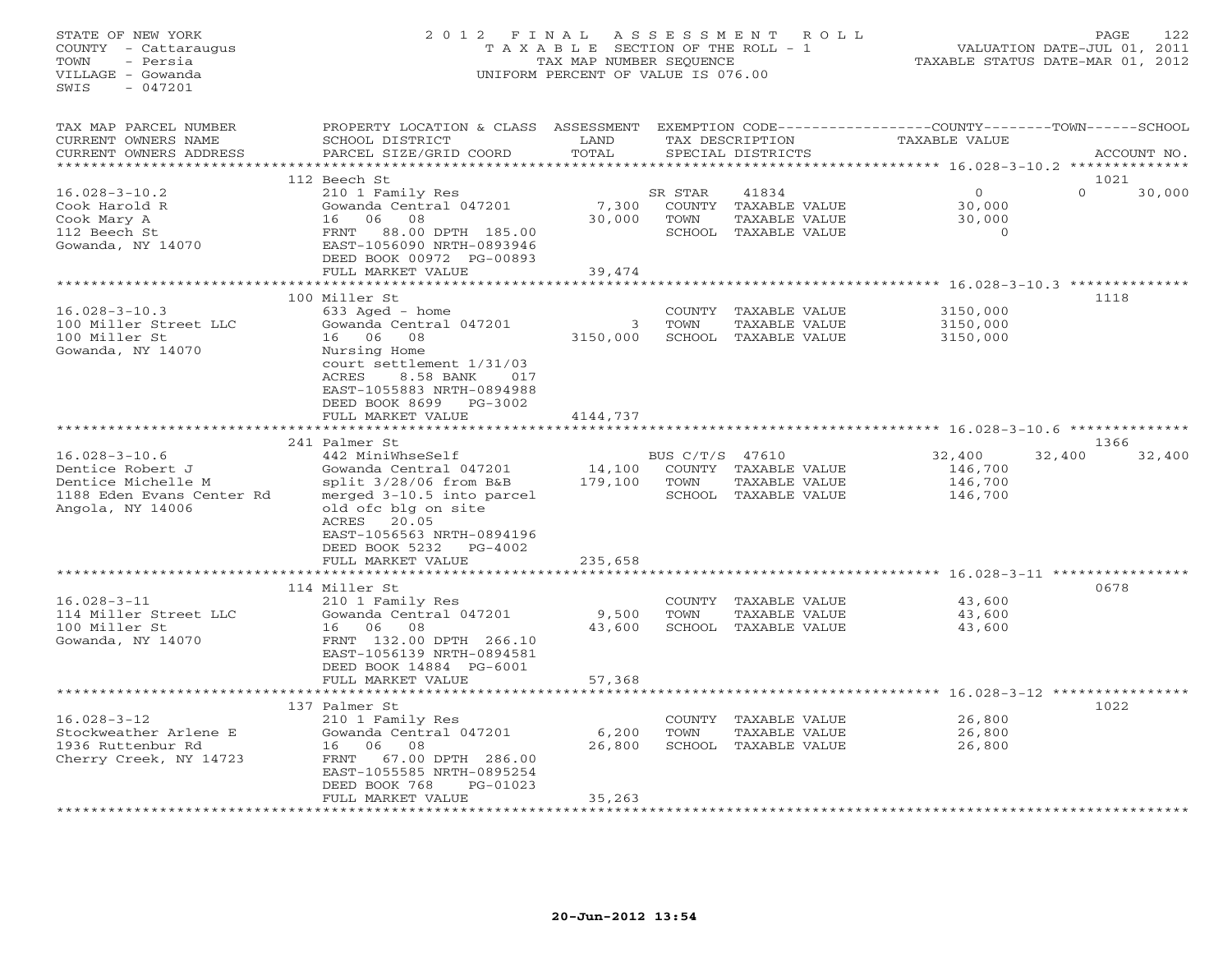## STATE OF NEW YORK 2 0 1 2 F I N A L A S S E S S M E N T R O L L PAGE 122 COUNTY - Cattaraugus T A X A B L E SECTION OF THE ROLL - 1 VALUATION DATE-JUL 01, 2011 TOWN - Persia TAX MAP NUMBER SEQUENCE TAXABLE STATUS DATE-MAR 01, 2012 VILLAGE - Gowanda UNIFORM PERCENT OF VALUE IS 076.00UNIFORM PERCENT OF VALUE IS 076.00

| TAX MAP PARCEL NUMBER<br>CURRENT OWNERS NAME<br>CURRENT OWNERS ADDRESS                                         | PROPERTY LOCATION & CLASS ASSESSMENT<br>SCHOOL DISTRICT<br>PARCEL SIZE/GRID COORD                                                                                                                                                          | LAND<br>TOTAL                |                         | TAX DESCRIPTION<br>SPECIAL DISTRICTS                                   | EXEMPTION CODE-----------------COUNTY-------TOWN------SCHOOL<br>TAXABLE VALUE |                  | ACCOUNT NO. |
|----------------------------------------------------------------------------------------------------------------|--------------------------------------------------------------------------------------------------------------------------------------------------------------------------------------------------------------------------------------------|------------------------------|-------------------------|------------------------------------------------------------------------|-------------------------------------------------------------------------------|------------------|-------------|
| *******************                                                                                            | *************************                                                                                                                                                                                                                  |                              |                         |                                                                        |                                                                               |                  |             |
| $16.028 - 3 - 10.2$<br>Cook Harold R<br>Cook Mary A<br>112 Beech St<br>Gowanda, NY 14070                       | 112 Beech St<br>210 1 Family Res<br>Gowanda Central 047201<br>06<br>08<br>16<br>FRNT<br>88.00 DPTH 185.00<br>EAST-1056090 NRTH-0893946<br>DEED BOOK 00972 PG-00893<br>FULL MARKET VALUE                                                    | 7,300<br>30,000<br>39,474    | SR STAR<br>TOWN         | 41834<br>COUNTY TAXABLE VALUE<br>TAXABLE VALUE<br>SCHOOL TAXABLE VALUE | $\circ$<br>30,000<br>30,000<br>$\Omega$                                       | 1021<br>$\Omega$ | 30,000      |
|                                                                                                                | *************************                                                                                                                                                                                                                  | **************               |                         |                                                                        | ************************************ 16.028-3-10.3 **************             |                  |             |
| $16.028 - 3 - 10.3$<br>100 Miller Street LLC<br>100 Miller St<br>Gowanda, NY 14070                             | 100 Miller St<br>633 Aged - home<br>Gowanda Central 047201<br>16 06<br>08<br>Nursing Home<br>court settlement 1/31/03<br>8.58 BANK<br>ACRES<br>017<br>EAST-1055883 NRTH-0894988<br>DEED BOOK 8699 PG-3002<br>FULL MARKET VALUE             | 3<br>3150,000<br>4144,737    | COUNTY<br>TOWN          | TAXABLE VALUE<br>TAXABLE VALUE<br>SCHOOL TAXABLE VALUE                 | 3150,000<br>3150,000<br>3150,000                                              | 1118             |             |
|                                                                                                                |                                                                                                                                                                                                                                            |                              |                         |                                                                        |                                                                               |                  |             |
| $16.028 - 3 - 10.6$<br>Dentice Robert J<br>Dentice Michelle M<br>1188 Eden Evans Center Rd<br>Angola, NY 14006 | 241 Palmer St<br>442 MiniWhseSelf<br>Gowanda Central 047201<br>split 3/28/06 from B&B<br>merged 3-10.5 into parcel<br>old ofc blg on site<br>20.05<br>ACRES<br>EAST-1056563 NRTH-0894196<br>DEED BOOK 5232<br>PG-4002<br>FULL MARKET VALUE | 14,100<br>179,100<br>235,658 | BUS C/T/S 47610<br>TOWN | COUNTY TAXABLE VALUE<br>TAXABLE VALUE<br>SCHOOL TAXABLE VALUE          | 32,400<br>146,700<br>146,700<br>146,700                                       | 1366<br>32,400   | 32,400      |
|                                                                                                                | ***********************                                                                                                                                                                                                                    | ***********                  |                         |                                                                        | ********************************* 16.028-3-11 ***************                 |                  |             |
| $16.028 - 3 - 11$<br>114 Miller Street LLC<br>100 Miller St<br>Gowanda, NY 14070                               | 114 Miller St<br>210 1 Family Res<br>Gowanda Central 047201<br>08<br>16<br>06<br>FRNT 132.00 DPTH 266.10<br>EAST-1056139 NRTH-0894581<br>DEED BOOK 14884 PG-6001                                                                           | 9,500<br>43,600              | TOWN                    | COUNTY TAXABLE VALUE<br>TAXABLE VALUE<br>SCHOOL TAXABLE VALUE          | 43,600<br>43,600<br>43,600                                                    | 0678             |             |
|                                                                                                                | FULL MARKET VALUE                                                                                                                                                                                                                          | 57,368                       |                         |                                                                        | ****************** 16.028-3-12 ****************                               |                  |             |
| $16.028 - 3 - 12$<br>Stockweather Arlene E<br>1936 Ruttenbur Rd<br>Cherry Creek, NY 14723                      | 137 Palmer St<br>210 1 Family Res<br>Gowanda Central 047201<br>16 06<br>08<br>FRNT<br>67.00 DPTH 286.00<br>EAST-1055585 NRTH-0895254<br>DEED BOOK 768<br>PG-01023<br>FULL MARKET VALUE                                                     | 6,200<br>26,800<br>35,263    | COUNTY<br>TOWN          | TAXABLE VALUE<br>TAXABLE VALUE<br>SCHOOL TAXABLE VALUE                 | 26,800<br>26,800<br>26,800                                                    | 1022             |             |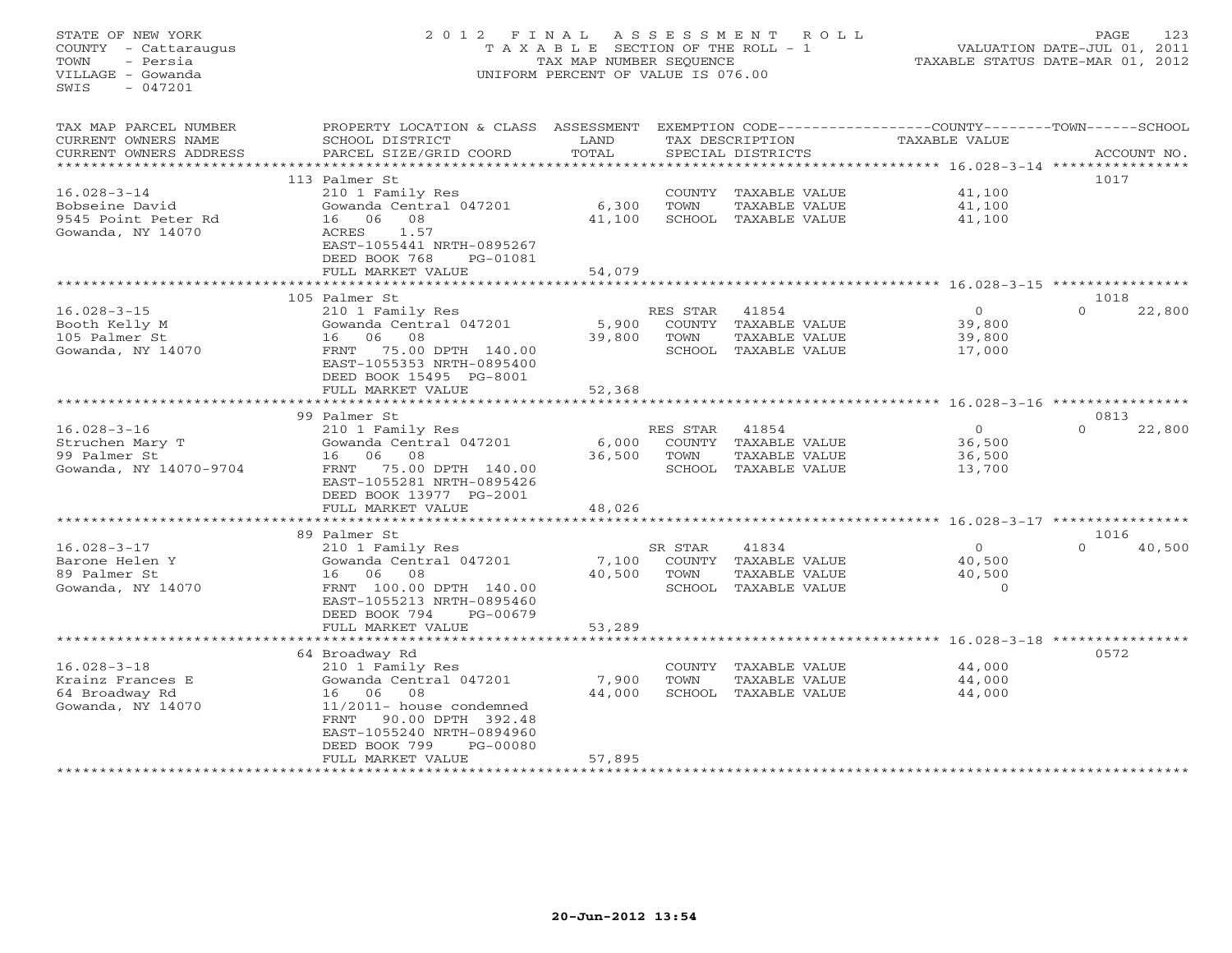## STATE OF NEW YORK 2 0 1 2 F I N A L A S S E S S M E N T R O L L PAGE 123 COUNTY - Cattaraugus T A X A B L E SECTION OF THE ROLL - 1 VALUATION DATE-JUL 01, 2011 TOWN - Persia TAX MAP NUMBER SEQUENCE TAXABLE STATUS DATE-MAR 01, 2012 VILLAGE - Gowanda UNIFORM PERCENT OF VALUE IS 076.00

| TAX MAP PARCEL NUMBER    | PROPERTY LOCATION & CLASS ASSESSMENT |        |          |                      | EXEMPTION CODE-----------------COUNTY-------TOWN------SCHOOL |          |             |
|--------------------------|--------------------------------------|--------|----------|----------------------|--------------------------------------------------------------|----------|-------------|
| CURRENT OWNERS NAME      | SCHOOL DISTRICT                      | LAND   |          | TAX DESCRIPTION      | TAXABLE VALUE                                                |          |             |
| CURRENT OWNERS ADDRESS   | PARCEL SIZE/GRID COORD               | TOTAL  |          | SPECIAL DISTRICTS    |                                                              |          | ACCOUNT NO. |
| ************************ |                                      |        |          |                      |                                                              |          |             |
|                          | 113 Palmer St                        |        |          |                      |                                                              | 1017     |             |
| $16.028 - 3 - 14$        | 210 1 Family Res                     |        |          | COUNTY TAXABLE VALUE | 41,100                                                       |          |             |
| Bobseine David           | Gowanda Central 047201               | 6,300  | TOWN     | TAXABLE VALUE        | 41,100                                                       |          |             |
| 9545 Point Peter Rd      | 16 06<br>08                          | 41,100 |          | SCHOOL TAXABLE VALUE | 41,100                                                       |          |             |
| Gowanda, NY 14070        | 1.57<br>ACRES                        |        |          |                      |                                                              |          |             |
|                          | EAST-1055441 NRTH-0895267            |        |          |                      |                                                              |          |             |
|                          | DEED BOOK 768<br>PG-01081            |        |          |                      |                                                              |          |             |
|                          | FULL MARKET VALUE                    | 54,079 |          |                      |                                                              |          |             |
|                          |                                      |        |          |                      |                                                              |          |             |
|                          | 105 Palmer St                        |        |          |                      |                                                              | 1018     |             |
| $16.028 - 3 - 15$        | 210 1 Family Res                     |        | RES STAR | 41854                | $\Omega$                                                     | $\Omega$ | 22,800      |
| Booth Kelly M            | Gowanda Central 047201               | 5,900  |          | COUNTY TAXABLE VALUE | 39,800                                                       |          |             |
| 105 Palmer St            | 16 06<br>08                          | 39,800 | TOWN     | TAXABLE VALUE        | 39,800                                                       |          |             |
| Gowanda, NY 14070        | 75.00 DPTH 140.00<br>FRNT            |        |          | SCHOOL TAXABLE VALUE | 17,000                                                       |          |             |
|                          | EAST-1055353 NRTH-0895400            |        |          |                      |                                                              |          |             |
|                          | DEED BOOK 15495 PG-8001              |        |          |                      |                                                              |          |             |
|                          | FULL MARKET VALUE                    | 52,368 |          |                      |                                                              |          |             |
|                          | *****************************        |        |          |                      |                                                              |          |             |
|                          | 99 Palmer St                         |        |          |                      |                                                              | 0813     |             |
| $16.028 - 3 - 16$        | 210 1 Family Res                     |        |          | 41854                | $\overline{0}$                                               | $\Omega$ | 22,800      |
|                          |                                      |        | RES STAR |                      |                                                              |          |             |
| Struchen Mary T          | Gowanda Central 047201               | 6,000  |          | COUNTY TAXABLE VALUE | 36,500                                                       |          |             |
| 99 Palmer St             | 16 06 08                             | 36,500 | TOWN     | TAXABLE VALUE        | 36,500                                                       |          |             |
| Gowanda, NY 14070-9704   | 75.00 DPTH 140.00<br>FRNT            |        |          | SCHOOL TAXABLE VALUE | 13,700                                                       |          |             |
|                          | EAST-1055281 NRTH-0895426            |        |          |                      |                                                              |          |             |
|                          | DEED BOOK 13977 PG-2001              |        |          |                      |                                                              |          |             |
|                          | FULL MARKET VALUE                    | 48,026 |          |                      |                                                              |          |             |
|                          |                                      |        |          |                      |                                                              |          |             |
|                          | 89 Palmer St                         |        |          |                      |                                                              | 1016     |             |
| $16.028 - 3 - 17$        | 210 1 Family Res                     |        | SR STAR  | 41834                | $\Omega$                                                     | $\Omega$ | 40,500      |
| Barone Helen Y           | Gowanda Central 047201               | 7,100  |          | COUNTY TAXABLE VALUE | 40,500                                                       |          |             |
| 89 Palmer St             | 16 06<br>08                          | 40,500 | TOWN     | TAXABLE VALUE        | 40,500                                                       |          |             |
| Gowanda, NY 14070        | FRNT 100.00 DPTH 140.00              |        |          | SCHOOL TAXABLE VALUE | $\Omega$                                                     |          |             |
|                          | EAST-1055213 NRTH-0895460            |        |          |                      |                                                              |          |             |
|                          | DEED BOOK 794<br>PG-00679            |        |          |                      |                                                              |          |             |
|                          | FULL MARKET VALUE                    | 53,289 |          |                      |                                                              |          |             |
|                          |                                      |        |          |                      |                                                              |          |             |
|                          | 64 Broadway Rd                       |        |          |                      |                                                              | 0572     |             |
| $16.028 - 3 - 18$        | 210 1 Family Res                     |        |          | COUNTY TAXABLE VALUE | 44,000                                                       |          |             |
| Krainz Frances E         | Gowanda Central 047201               | 7,900  | TOWN     | TAXABLE VALUE        | 44,000                                                       |          |             |
| 64 Broadway Rd           | 16 06 08                             | 44,000 |          | SCHOOL TAXABLE VALUE | 44,000                                                       |          |             |
| Gowanda, NY 14070        | 11/2011- house condemned             |        |          |                      |                                                              |          |             |
|                          | FRNT<br>90.00 DPTH 392.48            |        |          |                      |                                                              |          |             |
|                          | EAST-1055240 NRTH-0894960            |        |          |                      |                                                              |          |             |
|                          | DEED BOOK 799<br>PG-00080            |        |          |                      |                                                              |          |             |
|                          | FULL MARKET VALUE                    | 57,895 |          |                      |                                                              |          |             |
|                          |                                      |        |          |                      |                                                              |          |             |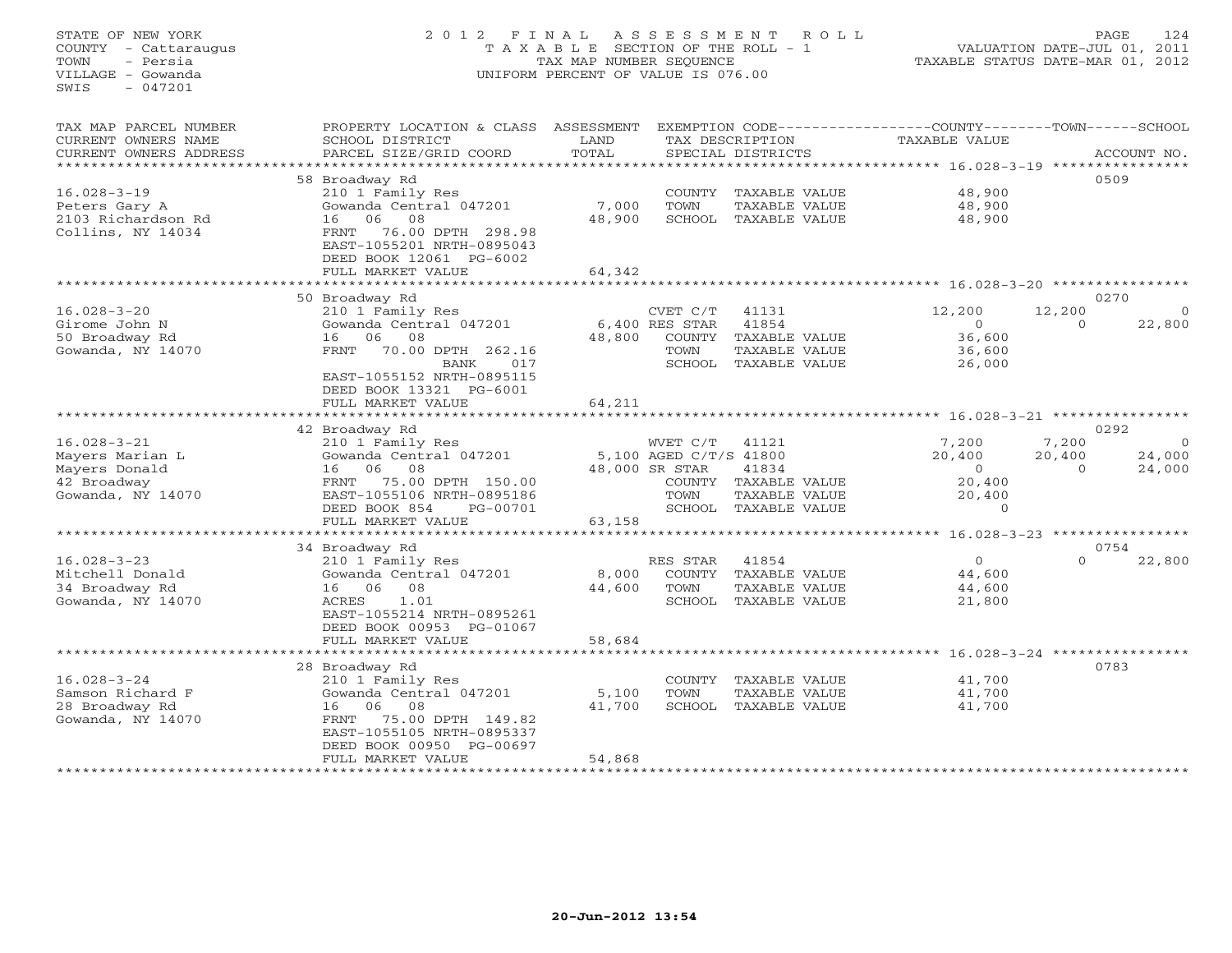## STATE OF NEW YORK 2 0 1 2 F I N A L A S S E S S M E N T R O L L PAGE 124 COUNTY - Cattaraugus T A X A B L E SECTION OF THE ROLL - 1 VALUATION DATE-JUL 01, 2011 TOWN - Persia TAX MAP NUMBER SEQUENCE TAXABLE STATUS DATE-MAR 01, 2012 VILLAGE - Gowanda UNIFORM PERCENT OF VALUE IS 076.00UNIFORM PERCENT OF VALUE IS 076.00

| TAX MAP PARCEL NUMBER<br>CURRENT OWNERS NAME | PROPERTY LOCATION & CLASS ASSESSMENT<br>SCHOOL DISTRICT | LAND                       |                        | TAX DESCRIPTION      | EXEMPTION CODE-----------------COUNTY-------TOWN------SCHOOL<br>TAXABLE VALUE |          |             |
|----------------------------------------------|---------------------------------------------------------|----------------------------|------------------------|----------------------|-------------------------------------------------------------------------------|----------|-------------|
| CURRENT OWNERS ADDRESS                       | PARCEL SIZE/GRID COORD                                  | TOTAL                      |                        | SPECIAL DISTRICTS    |                                                                               |          | ACCOUNT NO. |
| *******************                          |                                                         |                            |                        |                      |                                                                               |          |             |
|                                              | 58 Broadway Rd                                          |                            |                        |                      |                                                                               |          | 0509        |
| $16.028 - 3 - 19$                            | 210 1 Family Res                                        |                            |                        | COUNTY TAXABLE VALUE | 48,900                                                                        |          |             |
| Peters Gary A                                | Gowanda Central 047201                                  | 7,000                      | TOWN                   | TAXABLE VALUE        | 48,900                                                                        |          |             |
| 2103 Richardson Rd                           | 08<br>16<br>06                                          | 48,900                     | SCHOOL                 | TAXABLE VALUE        | 48,900                                                                        |          |             |
| Collins, NY 14034                            | 76.00 DPTH 298.98<br>FRNT                               |                            |                        |                      |                                                                               |          |             |
|                                              | EAST-1055201 NRTH-0895043                               |                            |                        |                      |                                                                               |          |             |
|                                              | DEED BOOK 12061 PG-6002                                 |                            |                        |                      |                                                                               |          |             |
|                                              | FULL MARKET VALUE                                       | 64,342                     |                        |                      |                                                                               |          |             |
|                                              |                                                         |                            |                        |                      | ************* 16.028-3-20 **************                                      |          |             |
|                                              | 50 Broadway Rd                                          |                            |                        |                      |                                                                               |          | 0270        |
| $16.028 - 3 - 20$                            |                                                         |                            |                        |                      |                                                                               | 12,200   |             |
|                                              | 210 1 Family Res                                        |                            | CVET C/T               | 41131                | 12,200                                                                        |          |             |
| Girome John N                                | Gowanda Central 047201                                  |                            | $6,400$ RES STAR       | 41854                | $\circ$                                                                       | $\Omega$ | 22,800      |
| 50 Broadway Rd                               | 08<br>06<br>16                                          | 48,800                     | COUNTY                 | TAXABLE VALUE        | 36,600                                                                        |          |             |
| Gowanda, NY 14070                            | 70.00 DPTH 262.16<br>FRNT                               |                            | TOWN                   | TAXABLE VALUE        | 36,600                                                                        |          |             |
|                                              | BANK<br>017                                             |                            | SCHOOL                 | TAXABLE VALUE        | 26,000                                                                        |          |             |
|                                              | EAST-1055152 NRTH-0895115                               |                            |                        |                      |                                                                               |          |             |
|                                              | DEED BOOK 13321 PG-6001                                 |                            |                        |                      |                                                                               |          |             |
|                                              | FULL MARKET VALUE                                       | 64,211                     |                        |                      |                                                                               |          |             |
|                                              | **********************                                  |                            |                        |                      | ****************** 16.028-3-21 *****************                              |          |             |
|                                              | 42 Broadway Rd                                          |                            |                        |                      |                                                                               |          | 0292        |
| $16.028 - 3 - 21$                            | 210 1 Family Res                                        |                            | WVET C/T               | 41121                | 7,200                                                                         | 7,200    | $\Omega$    |
| Mayers Marian L                              | Gowanda Central 047201                                  |                            | 5,100 AGED C/T/S 41800 |                      | 20,400                                                                        | 20,400   | 24,000      |
| Mayers Donald                                | 08<br>06<br>16                                          |                            | 48,000 SR STAR         | 41834                | $\circ$                                                                       | $\Omega$ | 24,000      |
| 42 Broadway                                  | 75.00 DPTH 150.00<br>FRNT                               |                            |                        | COUNTY TAXABLE VALUE | 20,400                                                                        |          |             |
| Gowanda, NY 14070                            | EAST-1055106 NRTH-0895186                               |                            | TOWN                   | TAXABLE VALUE        | 20,400                                                                        |          |             |
|                                              | DEED BOOK 854<br>PG-00701                               |                            |                        | SCHOOL TAXABLE VALUE | $\Omega$                                                                      |          |             |
|                                              | FULL MARKET VALUE                                       | 63,158                     |                        |                      |                                                                               |          |             |
|                                              |                                                         | ************************** |                        |                      | ********** 16.028-3-23 ***************                                        |          |             |
|                                              | 34 Broadway Rd                                          |                            |                        |                      |                                                                               |          | 0754        |
| $16.028 - 3 - 23$                            | 210 1 Family Res                                        |                            | RES STAR               | 41854                | $\circ$                                                                       | $\Omega$ | 22,800      |
| Mitchell Donald                              | Gowanda Central 047201                                  | 8,000                      | COUNTY                 | TAXABLE VALUE        | 44,600                                                                        |          |             |
| 34 Broadway Rd                               | 08<br>06<br>16                                          | 44,600                     | TOWN                   | TAXABLE VALUE        | 44,600                                                                        |          |             |
| Gowanda, NY 14070                            | 1.01<br>ACRES                                           |                            | SCHOOL                 | TAXABLE VALUE        | 21,800                                                                        |          |             |
|                                              | EAST-1055214 NRTH-0895261                               |                            |                        |                      |                                                                               |          |             |
|                                              | DEED BOOK 00953 PG-01067                                |                            |                        |                      |                                                                               |          |             |
|                                              | FULL MARKET VALUE                                       | 58,684                     |                        |                      |                                                                               |          |             |
|                                              |                                                         |                            |                        |                      |                                                                               |          |             |
|                                              | 28 Broadway Rd                                          |                            |                        |                      |                                                                               |          | 0783        |
| $16.028 - 3 - 24$                            | 210 1 Family Res                                        |                            |                        | COUNTY TAXABLE VALUE | 41,700                                                                        |          |             |
| Samson Richard F                             | Gowanda Central 047201                                  | 5,100                      | TOWN                   | TAXABLE VALUE        | 41,700                                                                        |          |             |
| 28 Broadway Rd                               | 06<br>08<br>16                                          | 41,700                     | SCHOOL                 | TAXABLE VALUE        | 41,700                                                                        |          |             |
| Gowanda, NY 14070                            | 75.00 DPTH 149.82<br>FRNT                               |                            |                        |                      |                                                                               |          |             |
|                                              | EAST-1055105 NRTH-0895337                               |                            |                        |                      |                                                                               |          |             |
|                                              | DEED BOOK 00950 PG-00697                                |                            |                        |                      |                                                                               |          |             |
|                                              | FULL MARKET VALUE                                       | 54,868                     |                        |                      |                                                                               |          |             |
|                                              | * * * * * * * * * * * * * * *                           |                            |                        |                      |                                                                               |          |             |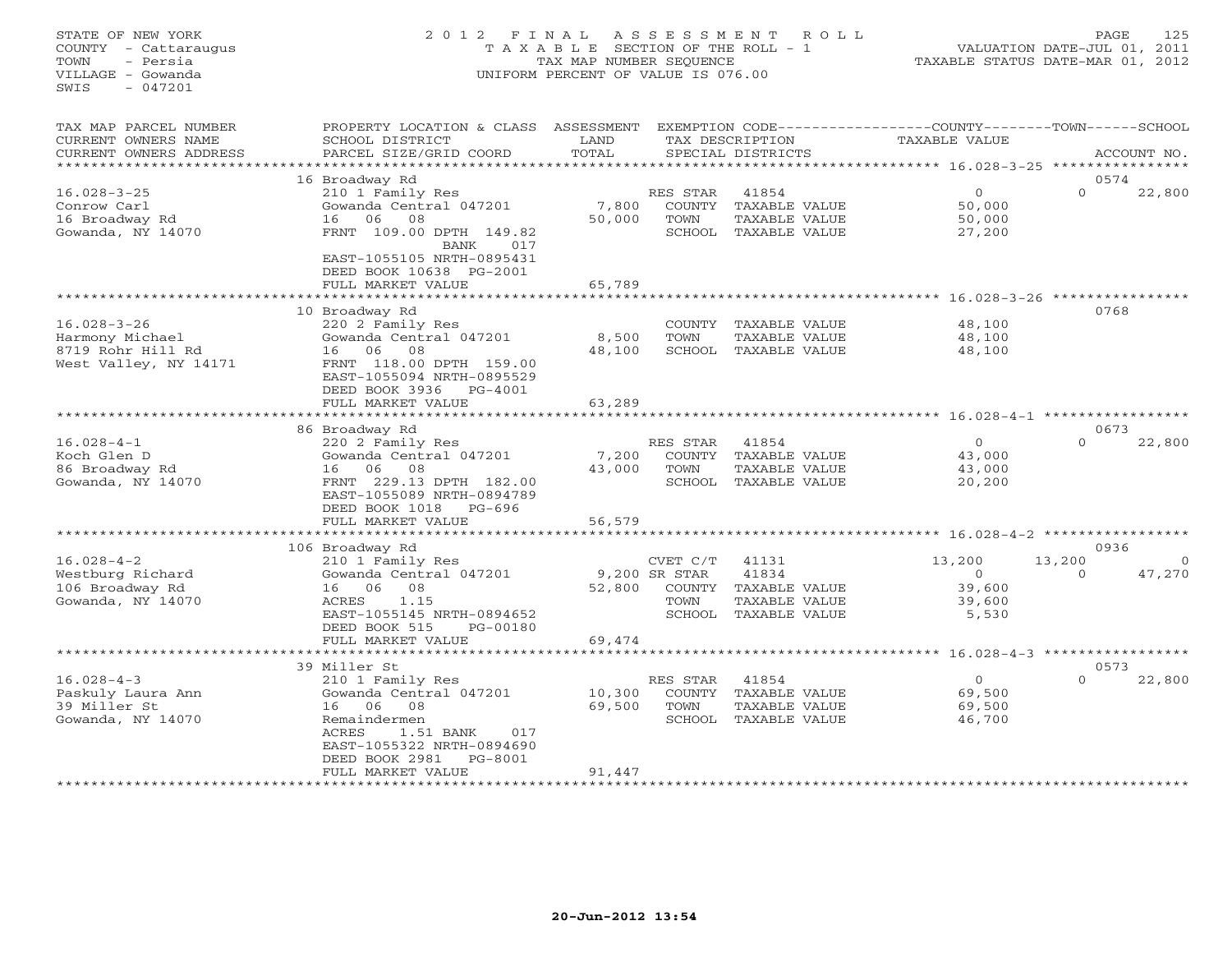## STATE OF NEW YORK 2 0 1 2 F I N A L A S S E S S M E N T R O L L PAGE 125 COUNTY - Cattaraugus T A X A B L E SECTION OF THE ROLL - 1 VALUATION DATE-JUL 01, 2011 TOWN - Persia TAX MAP NUMBER SEQUENCE TAXABLE STATUS DATE-MAR 01, 2012 VILLAGE - Gowanda UNIFORM PERCENT OF VALUE IS 076.00UNIFORM PERCENT OF VALUE IS 076.00

| TAX MAP PARCEL NUMBER<br>CURRENT OWNERS NAME<br>CURRENT OWNERS ADDRESS             | PROPERTY LOCATION & CLASS<br>SCHOOL DISTRICT<br>PARCEL SIZE/GRID COORD                                                                                                                            | ASSESSMENT<br>LAND<br>TOTAL |                                                       | TAX DESCRIPTION<br>SPECIAL DISTRICTS                              | EXEMPTION CODE-----------------COUNTY-------TOWN------SCHOOL<br><b>TAXABLE VALUE</b> |                            | ACCOUNT NO.        |
|------------------------------------------------------------------------------------|---------------------------------------------------------------------------------------------------------------------------------------------------------------------------------------------------|-----------------------------|-------------------------------------------------------|-------------------------------------------------------------------|--------------------------------------------------------------------------------------|----------------------------|--------------------|
| ********************                                                               |                                                                                                                                                                                                   |                             |                                                       |                                                                   |                                                                                      |                            |                    |
| $16.028 - 3 - 25$<br>Conrow Carl<br>16 Broadway Rd<br>Gowanda, NY 14070            | 16 Broadway Rd<br>210 1 Family Res<br>Gowanda Central 047201<br>08<br>16<br>06<br>FRNT 109.00 DPTH 149.82<br><b>BANK</b><br>017<br>EAST-1055105 NRTH-0895431<br>DEED BOOK 10638 PG-2001           | 7,800<br>50,000             | RES STAR<br>COUNTY<br>TOWN<br>SCHOOL                  | 41854<br>TAXABLE VALUE<br>TAXABLE VALUE<br>TAXABLE VALUE          | $\circ$<br>50,000<br>50,000<br>27,200                                                | 0574<br>$\Omega$           | 22,800             |
|                                                                                    | FULL MARKET VALUE                                                                                                                                                                                 | 65,789                      |                                                       |                                                                   |                                                                                      |                            |                    |
| $16.028 - 3 - 26$<br>Harmony Michael<br>8719 Rohr Hill Rd<br>West Valley, NY 14171 | 10 Broadway Rd<br>220 2 Family Res<br>Gowanda Central 047201<br>06 —<br>08<br>16<br>FRNT 118.00 DPTH 159.00<br>EAST-1055094 NRTH-0895529<br>DEED BOOK 3936<br>$PG-4001$                           | 8,500<br>48,100             | COUNTY<br>TOWN<br>SCHOOL                              | TAXABLE VALUE<br>TAXABLE VALUE<br>TAXABLE VALUE                   | $16.028 - 3 - 26$<br>48,100<br>48,100<br>48,100                                      | 0768                       |                    |
|                                                                                    | FULL MARKET VALUE                                                                                                                                                                                 | 63,289                      |                                                       |                                                                   |                                                                                      |                            |                    |
|                                                                                    | 86 Broadway Rd                                                                                                                                                                                    |                             |                                                       |                                                                   |                                                                                      | 0673                       |                    |
| $16.028 - 4 - 1$<br>Koch Glen D<br>86 Broadway Rd<br>Gowanda, NY 14070             | 220 2 Family Res<br>Gowanda Central 047201<br>06<br>08<br>16<br>FRNT 229.13 DPTH 182.00<br>EAST-1055089 NRTH-0894789<br>DEED BOOK 1018<br>$PG-696$<br>FULL MARKET VALUE                           | 7,200<br>43,000<br>56,579   | RES STAR<br>COUNTY<br>TOWN<br>SCHOOL                  | 41854<br>TAXABLE VALUE<br>TAXABLE VALUE<br>TAXABLE VALUE          | $\Omega$<br>43,000<br>43,000<br>20,200                                               | $\cap$                     | 22,800             |
|                                                                                    |                                                                                                                                                                                                   |                             |                                                       |                                                                   |                                                                                      |                            |                    |
| $16.028 - 4 - 2$<br>Westburg Richard<br>106 Broadway Rd<br>Gowanda, NY 14070       | 106 Broadway Rd<br>210 1 Family Res<br>Gowanda Central 047201<br>06<br>08<br>16<br>ACRES<br>1.15<br>EAST-1055145 NRTH-0894652<br>DEED BOOK 515<br>PG-00180                                        | 52,800                      | CVET C/T<br>9,200 SR STAR<br>COUNTY<br>TOWN<br>SCHOOL | 41131<br>41834<br>TAXABLE VALUE<br>TAXABLE VALUE<br>TAXABLE VALUE | 13,200<br>$\overline{0}$<br>39,600<br>39,600<br>5,530                                | 0936<br>13,200<br>$\Omega$ | $\Omega$<br>47,270 |
|                                                                                    | FULL MARKET VALUE                                                                                                                                                                                 | 69,474                      |                                                       |                                                                   |                                                                                      |                            |                    |
|                                                                                    | 39 Miller St                                                                                                                                                                                      |                             |                                                       |                                                                   | $16.028 - 4 - 3$                                                                     | 0573                       |                    |
| $16.028 - 4 - 3$<br>Paskuly Laura Ann<br>39 Miller St<br>Gowanda, NY 14070         | 210 1 Family Res<br>Gowanda Central 047201<br>06<br>08<br>16<br>Remaindermen<br><b>ACRES</b><br>1.51 BANK<br>017<br>EAST-1055322 NRTH-0894690<br>DEED BOOK 2981<br>$PG-8001$<br>FULL MARKET VALUE | 10,300<br>69,500<br>91,447  | RES STAR<br>TOWN<br>SCHOOL                            | 41854<br>COUNTY TAXABLE VALUE<br>TAXABLE VALUE<br>TAXABLE VALUE   | $\Omega$<br>69,500<br>69,500<br>46,700                                               | $\Omega$                   | 22,800             |
|                                                                                    |                                                                                                                                                                                                   |                             |                                                       |                                                                   |                                                                                      |                            |                    |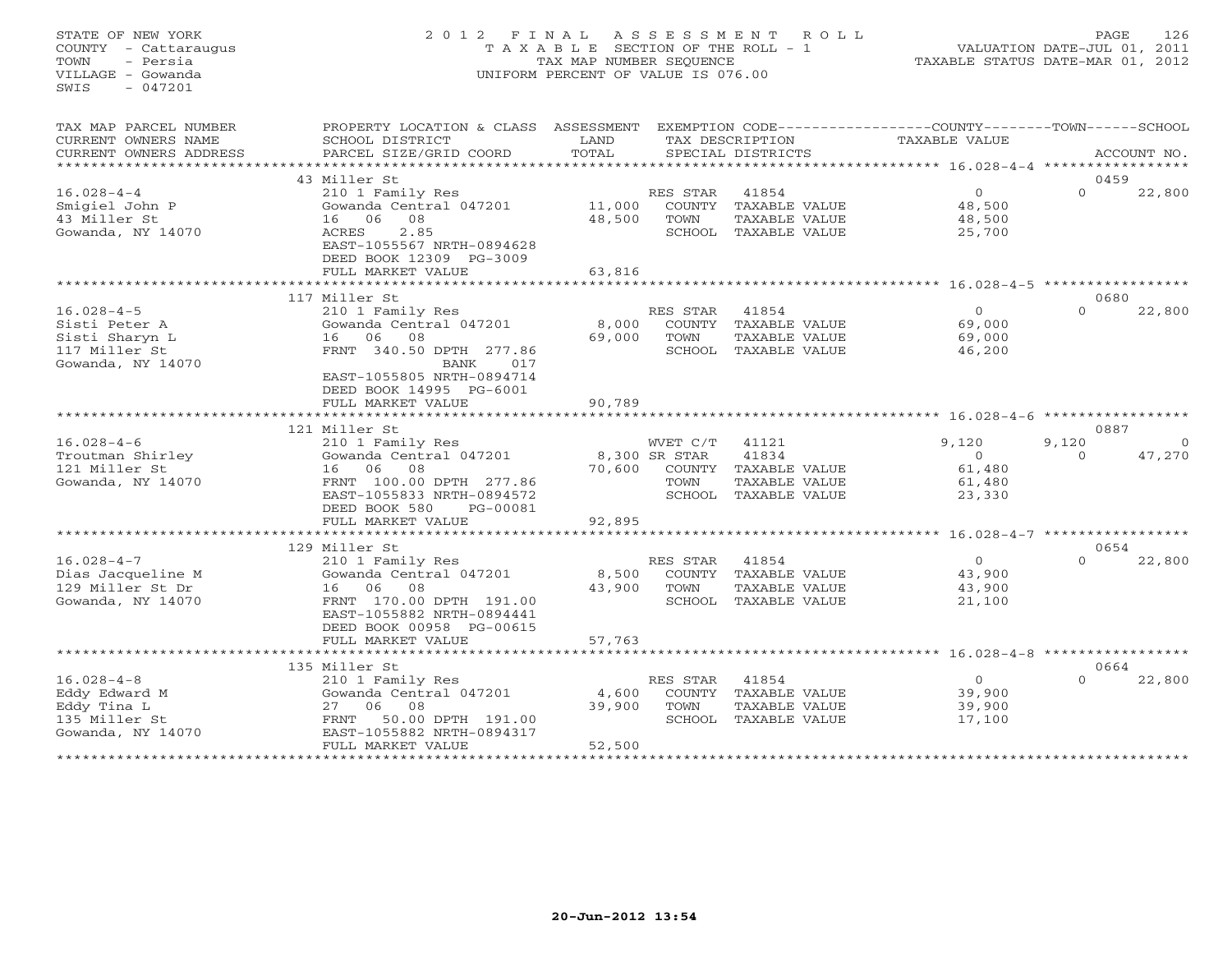## STATE OF NEW YORK 2 0 1 2 F I N A L A S S E S S M E N T R O L L PAGE 126 COUNTY - Cattaraugus T A X A B L E SECTION OF THE ROLL - 1 VALUATION DATE-JUL 01, 2011 TOWN - Persia TAX MAP NUMBER SEQUENCE TAXABLE STATUS DATE-MAR 01, 2012 VILLAGE - Gowanda UNIFORM PERCENT OF VALUE IS 076.00

| TAX MAP PARCEL NUMBER<br>CURRENT OWNERS NAME<br>CURRENT OWNERS ADDRESS                    | PROPERTY LOCATION & CLASS ASSESSMENT<br>SCHOOL DISTRICT<br>PARCEL SIZE/GRID COORD                                                                                               | LAND<br>TOTAL                                 |                                           | TAX DESCRIPTION<br>SPECIAL DISTRICTS                            | EXEMPTION CODE-----------------COUNTY-------TOWN------SCHOOL<br>TAXABLE VALUE |                  | ACCOUNT NO.  |
|-------------------------------------------------------------------------------------------|---------------------------------------------------------------------------------------------------------------------------------------------------------------------------------|-----------------------------------------------|-------------------------------------------|-----------------------------------------------------------------|-------------------------------------------------------------------------------|------------------|--------------|
|                                                                                           | 43 Miller St                                                                                                                                                                    |                                               |                                           |                                                                 |                                                                               | 0459             |              |
| $16.028 - 4 - 4$<br>Smigiel John P<br>43 Miller St<br>Gowanda, NY 14070                   | 210 1 Family Res<br>Gowanda Central 047201<br>16 06<br>08<br>2.85<br>ACRES<br>EAST-1055567 NRTH-0894628<br>DEED BOOK 12309 PG-3009<br>FULL MARKET VALUE                         | 11,000<br>48,500<br>63,816                    | RES STAR<br>COUNTY<br>TOWN                | 41854<br>TAXABLE VALUE<br>TAXABLE VALUE<br>SCHOOL TAXABLE VALUE | $\circ$<br>48,500<br>48,500<br>25,700                                         | $\Omega$         | 22,800       |
|                                                                                           |                                                                                                                                                                                 |                                               |                                           |                                                                 | ****************** 16.028-4-5 ************                                    |                  |              |
| $16.028 - 4 - 5$<br>Sisti Peter A<br>Sisti Sharyn L<br>117 Miller St<br>Gowanda, NY 14070 | 117 Miller St<br>210 1 Family Res<br>Gowanda Central 047201<br>06<br>08<br>16<br>FRNT 340.50 DPTH 277.86<br>017<br>BANK<br>EAST-1055805 NRTH-0894714<br>DEED BOOK 14995 PG-6001 | 8,000<br>69,000                               | RES STAR<br>COUNTY<br>TOWN                | 41854<br>TAXABLE VALUE<br>TAXABLE VALUE<br>SCHOOL TAXABLE VALUE | $\overline{O}$<br>69,000<br>69,000<br>46,200                                  | 0680<br>$\Omega$ | 22,800       |
|                                                                                           | FULL MARKET VALUE                                                                                                                                                               | 90,789                                        |                                           |                                                                 |                                                                               |                  |              |
|                                                                                           | ******************                                                                                                                                                              |                                               |                                           |                                                                 | *********** 16.028-4-6 ***********                                            | 0887             |              |
| $16.028 - 4 - 6$                                                                          | 121 Miller St<br>210 1 Family Res                                                                                                                                               |                                               | WVET C/T                                  | 41121                                                           | 9,120                                                                         | 9,120            | $\mathbf{0}$ |
| Troutman Shirley<br>121 Miller St<br>Gowanda, NY 14070                                    | Gowanda Central 047201<br>16 06<br>08<br>FRNT 100.00 DPTH 277.86<br>EAST-1055833 NRTH-0894572<br>DEED BOOK 580<br>PG-00081<br>FULL MARKET VALUE                                 | 70,600<br>92,895                              | 8,300 SR STAR<br>COUNTY<br>TOWN<br>SCHOOL | 41834<br>TAXABLE VALUE<br>TAXABLE VALUE<br>TAXABLE VALUE        | $\Omega$<br>61,480<br>61,480<br>23,330                                        | $\cap$           | 47,270       |
|                                                                                           | **********************                                                                                                                                                          |                                               |                                           |                                                                 |                                                                               |                  |              |
|                                                                                           | 129 Miller St                                                                                                                                                                   |                                               |                                           |                                                                 |                                                                               | 0654             |              |
| $16.028 - 4 - 7$<br>Dias Jacqueline M<br>129 Miller St Dr<br>Gowanda, NY 14070            | 210 1 Family Res<br>Gowanda Central 047201<br>06<br>08<br>16<br>FRNT 170.00 DPTH 191.00<br>EAST-1055882 NRTH-0894441<br>DEED BOOK 00958 PG-00615                                | 8,500<br>43,900                               | RES STAR<br>COUNTY<br>TOWN<br>SCHOOL      | 41854<br>TAXABLE VALUE<br>TAXABLE VALUE<br>TAXABLE VALUE        | $\overline{0}$<br>43,900<br>43,900<br>21,100                                  | $\Omega$         | 22,800       |
|                                                                                           | FULL MARKET VALUE<br>*****************************                                                                                                                              | 57,763                                        |                                           |                                                                 |                                                                               |                  |              |
|                                                                                           | 135 Miller St                                                                                                                                                                   |                                               |                                           |                                                                 |                                                                               |                  | 0664         |
| $16.028 - 4 - 8$<br>Eddy Edward M<br>Eddy Tina L<br>135 Miller St<br>Gowanda, NY 14070    | 210 1 Family Res<br>Gowanda Central 047201<br>06<br>08<br>27<br>50.00 DPTH 191.00<br>FRNT<br>EAST-1055882 NRTH-0894317<br>FULL MARKET VALUE<br>************************         | 4,600<br>39,900<br>52,500<br>**************** | RES STAR<br>COUNTY<br>TOWN<br>SCHOOL      | 41854<br>TAXABLE VALUE<br>TAXABLE VALUE<br>TAXABLE VALUE        | $\circ$<br>39,900<br>39,900<br>17,100                                         | $\Omega$         | 22,800       |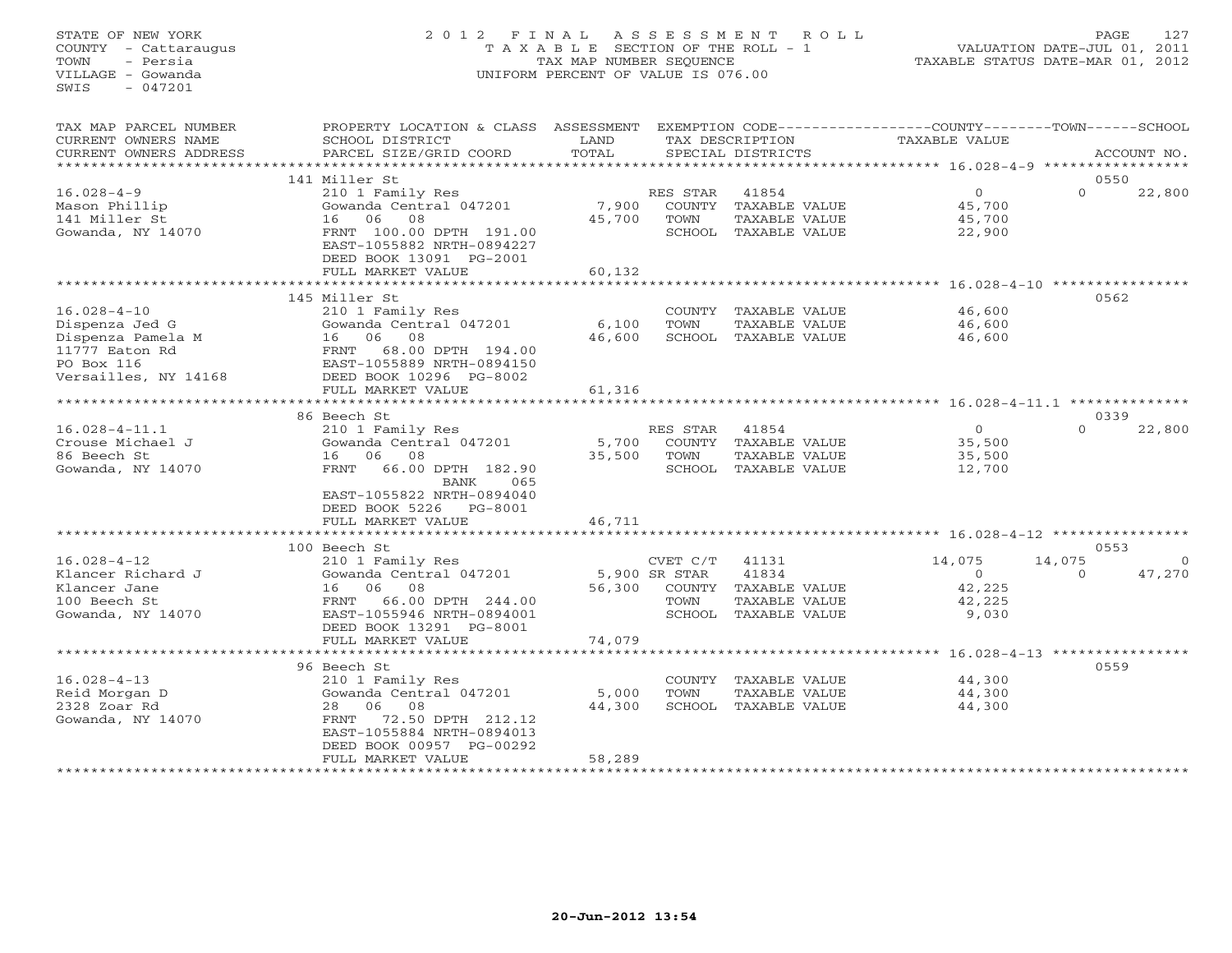#### STATE OF NEW YORK 2 0 1 2 F I N A L A S S E S S M E N T R O L L PAGE 127 COUNTY - Cattaraugus T A X A B L E SECTION OF THE ROLL - 1 VALUATION DATE-JUL 01, 2011 TOWN - Persia TAX MAP NUMBER SEQUENCE TAXABLE STATUS DATE-MAR 01, 2012 VILLAGE - Gowanda UNIFORM PERCENT OF VALUE IS 076.00UNIFORM PERCENT OF VALUE IS 076.00

| TAX MAP PARCEL NUMBER<br>CURRENT OWNERS NAME<br>CURRENT OWNERS ADDRESS                                           | PROPERTY LOCATION & CLASS ASSESSMENT<br>SCHOOL DISTRICT<br>PARCEL SIZE/GRID COORD                                                                                                                                | LAND<br>TOTAL             |                                                              | TAX DESCRIPTION<br>SPECIAL DISTRICTS                              | EXEMPTION CODE-----------------COUNTY-------TOWN------SCHOOL<br>TAXABLE VALUE |                                 | ACCOUNT NO.        |
|------------------------------------------------------------------------------------------------------------------|------------------------------------------------------------------------------------------------------------------------------------------------------------------------------------------------------------------|---------------------------|--------------------------------------------------------------|-------------------------------------------------------------------|-------------------------------------------------------------------------------|---------------------------------|--------------------|
|                                                                                                                  |                                                                                                                                                                                                                  |                           |                                                              |                                                                   |                                                                               |                                 |                    |
| $16.028 - 4 - 9$<br>Mason Phillip<br>141 Miller St<br>Gowanda, NY 14070                                          | 141 Miller St<br>210 1 Family Res<br>Gowanda Central 047201<br>06<br>08<br>16<br>FRNT 100.00 DPTH 191.00<br>EAST-1055882 NRTH-0894227<br>DEED BOOK 13091 PG-2001<br>FULL MARKET VALUE                            | 7,900<br>45,700<br>60,132 | RES STAR<br><b>COUNTY</b><br>TOWN<br>SCHOOL                  | 41854<br>TAXABLE VALUE<br>TAXABLE VALUE<br>TAXABLE VALUE          | $\circ$<br>45,700<br>45,700<br>22,900                                         | 0550<br>$\Omega$                | 22,800             |
|                                                                                                                  |                                                                                                                                                                                                                  | *******                   |                                                              |                                                                   | $16.028 - 4 - 10$                                                             |                                 |                    |
| $16.028 - 4 - 10$<br>Dispenza Jed G<br>Dispenza Pamela M<br>11777 Eaton Rd<br>PO Box 116<br>Versailles, NY 14168 | 145 Miller St<br>210 1 Family Res<br>Gowanda Central 047201<br>06<br>08<br>16<br>68.00 DPTH 194.00<br>FRNT<br>EAST-1055889 NRTH-0894150<br>DEED BOOK 10296 PG-8002<br>FULL MARKET VALUE                          | 6,100<br>46,600<br>61,316 | COUNTY<br>TOWN<br>SCHOOL                                     | TAXABLE VALUE<br>TAXABLE VALUE<br>TAXABLE VALUE                   | 46,600<br>46,600<br>46,600                                                    | 0562                            |                    |
|                                                                                                                  |                                                                                                                                                                                                                  |                           |                                                              |                                                                   |                                                                               |                                 |                    |
| $16.028 - 4 - 11.1$<br>Crouse Michael J<br>86 Beech St<br>Gowanda, NY 14070                                      | 86 Beech St<br>210 1 Family Res<br>Gowanda Central 047201<br>06<br>08<br>16<br>66.00 DPTH 182.90<br>FRNT<br>BANK<br>065<br>EAST-1055822 NRTH-0894040<br>DEED BOOK 5226<br>$PG-8001$<br>FULL MARKET VALUE         | 5,700<br>35,500<br>46,711 | RES STAR<br>COUNTY<br>TOWN                                   | 41854<br>TAXABLE VALUE<br>TAXABLE VALUE<br>SCHOOL TAXABLE VALUE   | $\circ$<br>35,500<br>35,500<br>12,700                                         | 0339<br>$\Omega$                | 22,800             |
|                                                                                                                  |                                                                                                                                                                                                                  |                           |                                                              |                                                                   |                                                                               | $16.028 - 4 - 12$ ************* |                    |
| $16.028 - 4 - 12$<br>Klancer Richard J<br>Klancer Jane<br>100 Beech St<br>Gowanda, NY 14070                      | 100 Beech St<br>210 1 Family Res<br>Gowanda Central 047201<br>06<br>08<br>16<br>66.00 DPTH 244.00<br>FRNT<br>EAST-1055946 NRTH-0894001<br>DEED BOOK 13291 PG-8001                                                | 56,300                    | CVET C/T<br>5,900 SR STAR<br><b>COUNTY</b><br>TOWN<br>SCHOOL | 41131<br>41834<br>TAXABLE VALUE<br>TAXABLE VALUE<br>TAXABLE VALUE | 14,075<br>$\circ$<br>42,225<br>42,225<br>9,030                                | 0553<br>14,075<br>$\Omega$      | $\Omega$<br>47,270 |
|                                                                                                                  | FULL MARKET VALUE                                                                                                                                                                                                | 74,079                    |                                                              |                                                                   |                                                                               |                                 |                    |
| $16.028 - 4 - 13$<br>Reid Morgan D<br>2328 Zoar Rd<br>Gowanda, NY 14070                                          | **********************<br>96 Beech St<br>210 1 Family Res<br>Gowanda Central 047201<br>28<br>06<br>08<br>72.50 DPTH 212.12<br>FRNT<br>EAST-1055884 NRTH-0894013<br>DEED BOOK 00957 PG-00292<br>FULL MARKET VALUE | 5,000<br>44,300<br>58,289 | COUNTY<br>TOWN<br>SCHOOL                                     | TAXABLE VALUE<br>TAXABLE VALUE<br>TAXABLE VALUE                   | 44,300<br>44,300<br>44,300                                                    | 0559                            |                    |
|                                                                                                                  |                                                                                                                                                                                                                  |                           |                                                              |                                                                   |                                                                               |                                 |                    |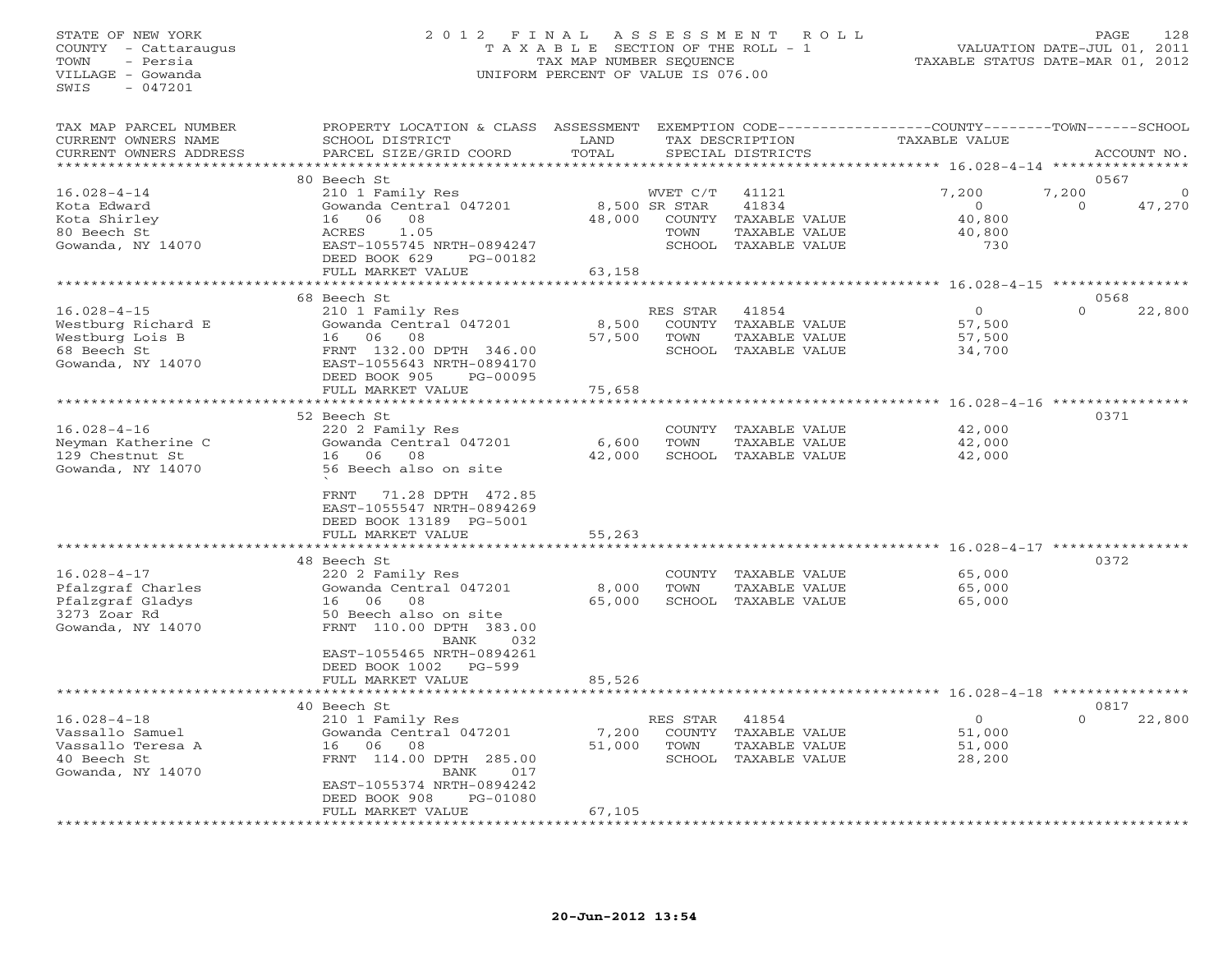## STATE OF NEW YORK 2 0 1 2 F I N A L A S S E S S M E N T R O L L PAGE 128 COUNTY - Cattaraugus T A X A B L E SECTION OF THE ROLL - 1 VALUATION DATE-JUL 01, 2011 TOWN - Persia TAX MAP NUMBER SEQUENCE TAXABLE STATUS DATE-MAR 01, 2012 VILLAGE - Gowanda UNIFORM PERCENT OF VALUE IS 076.00UNIFORM PERCENT OF VALUE IS 076.00

| TAX MAP PARCEL NUMBER<br>CURRENT OWNERS NAME<br>CURRENT OWNERS ADDRESS                          | PROPERTY LOCATION & CLASS ASSESSMENT<br>SCHOOL DISTRICT<br>PARCEL SIZE/GRID COORD                                                                                                                 | LAND<br>TOTAL             |                                             | TAX DESCRIPTION<br>SPECIAL DISTRICTS                                     | EXEMPTION CODE----------------COUNTY-------TOWN-----SCHOOL<br>TAXABLE VALUE |                             | ACCOUNT NO. |
|-------------------------------------------------------------------------------------------------|---------------------------------------------------------------------------------------------------------------------------------------------------------------------------------------------------|---------------------------|---------------------------------------------|--------------------------------------------------------------------------|-----------------------------------------------------------------------------|-----------------------------|-------------|
| *******************                                                                             |                                                                                                                                                                                                   |                           |                                             |                                                                          |                                                                             |                             |             |
| $16.028 - 4 - 14$<br>Kota Edward<br>Kota Shirley<br>80 Beech St<br>Gowanda, NY 14070            | 80 Beech St<br>210 1 Family Res<br>Gowanda Central 047201<br>16 06<br>08<br>ACRES<br>1.05<br>EAST-1055745 NRTH-0894247<br>DEED BOOK 629<br>PG-00182                                               | 48,000                    | WVET C/T<br>8,500 SR STAR<br>COUNTY<br>TOWN | 41121<br>41834<br>TAXABLE VALUE<br>TAXABLE VALUE<br>SCHOOL TAXABLE VALUE | 7,200<br>$\circ$<br>40,800<br>40,800<br>730                                 | 0567<br>7,200<br>$\circ$    | 47,270      |
|                                                                                                 | FULL MARKET VALUE                                                                                                                                                                                 | 63,158                    |                                             |                                                                          |                                                                             |                             |             |
|                                                                                                 |                                                                                                                                                                                                   |                           |                                             |                                                                          | ************ 16.028-4-15 *********                                          |                             |             |
|                                                                                                 | 68 Beech St                                                                                                                                                                                       |                           |                                             |                                                                          |                                                                             | 0568                        |             |
| $16.028 - 4 - 15$<br>Westburg Richard E<br>Westburg Lois B<br>68 Beech St<br>Gowanda, NY 14070  | 210 1 Family Res<br>Gowanda Central 047201<br>06<br>08<br>16<br>FRNT 132.00 DPTH 346.00<br>EAST-1055643 NRTH-0894170<br>DEED BOOK 905<br>PG-00095                                                 | 8,500<br>57,500           | RES STAR<br>COUNTY<br>TOWN                  | 41854<br>TAXABLE VALUE<br>TAXABLE VALUE<br>SCHOOL TAXABLE VALUE          | $\circ$<br>57,500<br>57,500<br>34,700                                       | $\Omega$                    | 22,800      |
|                                                                                                 | FULL MARKET VALUE<br>*************************                                                                                                                                                    | 75,658                    |                                             |                                                                          |                                                                             |                             |             |
|                                                                                                 |                                                                                                                                                                                                   |                           |                                             |                                                                          |                                                                             |                             |             |
| $16.028 - 4 - 16$<br>Neyman Katherine C<br>129 Chestnut St<br>Gowanda, NY 14070                 | 52 Beech St<br>220 2 Family Res<br>Gowanda Central 047201<br>06<br>08<br>16<br>56 Beech also on site                                                                                              | 6,600<br>42,000           | TOWN                                        | COUNTY TAXABLE VALUE<br>TAXABLE VALUE<br>SCHOOL TAXABLE VALUE            | 42,000<br>42,000<br>42,000                                                  | 0371                        |             |
|                                                                                                 | 71.28 DPTH 472.85<br>FRNT<br>EAST-1055547 NRTH-0894269<br>DEED BOOK 13189 PG-5001<br>FULL MARKET VALUE                                                                                            | 55,263                    |                                             |                                                                          |                                                                             | $16.028 - 4 - 17$ ********* |             |
|                                                                                                 | 48 Beech St                                                                                                                                                                                       |                           |                                             |                                                                          |                                                                             | 0372                        |             |
| $16.028 - 4 - 17$<br>Pfalzgraf Charles<br>Pfalzgraf Gladys<br>3273 Zoar Rd<br>Gowanda, NY 14070 | 220 2 Family Res<br>Gowanda Central 047201<br>16<br>06 08<br>50 Beech also on site<br>FRNT 110.00 DPTH 383.00<br>BANK<br>032<br>EAST-1055465 NRTH-0894261<br>DEED BOOK 1002<br>$PG-599$           | 8,000<br>65,000           | TOWN<br>SCHOOL                              | COUNTY TAXABLE VALUE<br>TAXABLE VALUE<br>TAXABLE VALUE                   | 65,000<br>65,000<br>65,000                                                  |                             |             |
|                                                                                                 | FULL MARKET VALUE                                                                                                                                                                                 | 85,526                    |                                             |                                                                          |                                                                             |                             |             |
|                                                                                                 |                                                                                                                                                                                                   |                           |                                             |                                                                          |                                                                             |                             |             |
| $16.028 - 4 - 18$<br>Vassallo Samuel<br>Vassallo Teresa A<br>40 Beech St<br>Gowanda, NY 14070   | 40 Beech St<br>210 1 Family Res<br>Gowanda Central 047201<br>16 06<br>08<br>FRNT 114.00 DPTH 285.00<br>BANK<br>017<br>EAST-1055374 NRTH-0894242<br>DEED BOOK 908<br>PG-01080<br>FULL MARKET VALUE | 7,200<br>51,000<br>67,105 | RES STAR<br>COUNTY<br>TOWN                  | 41854<br>TAXABLE VALUE<br>TAXABLE VALUE<br>SCHOOL TAXABLE VALUE          | $\Omega$<br>51,000<br>51,000<br>28,200                                      | 0817<br>$\Omega$            | 22,800      |
|                                                                                                 |                                                                                                                                                                                                   |                           |                                             |                                                                          |                                                                             |                             |             |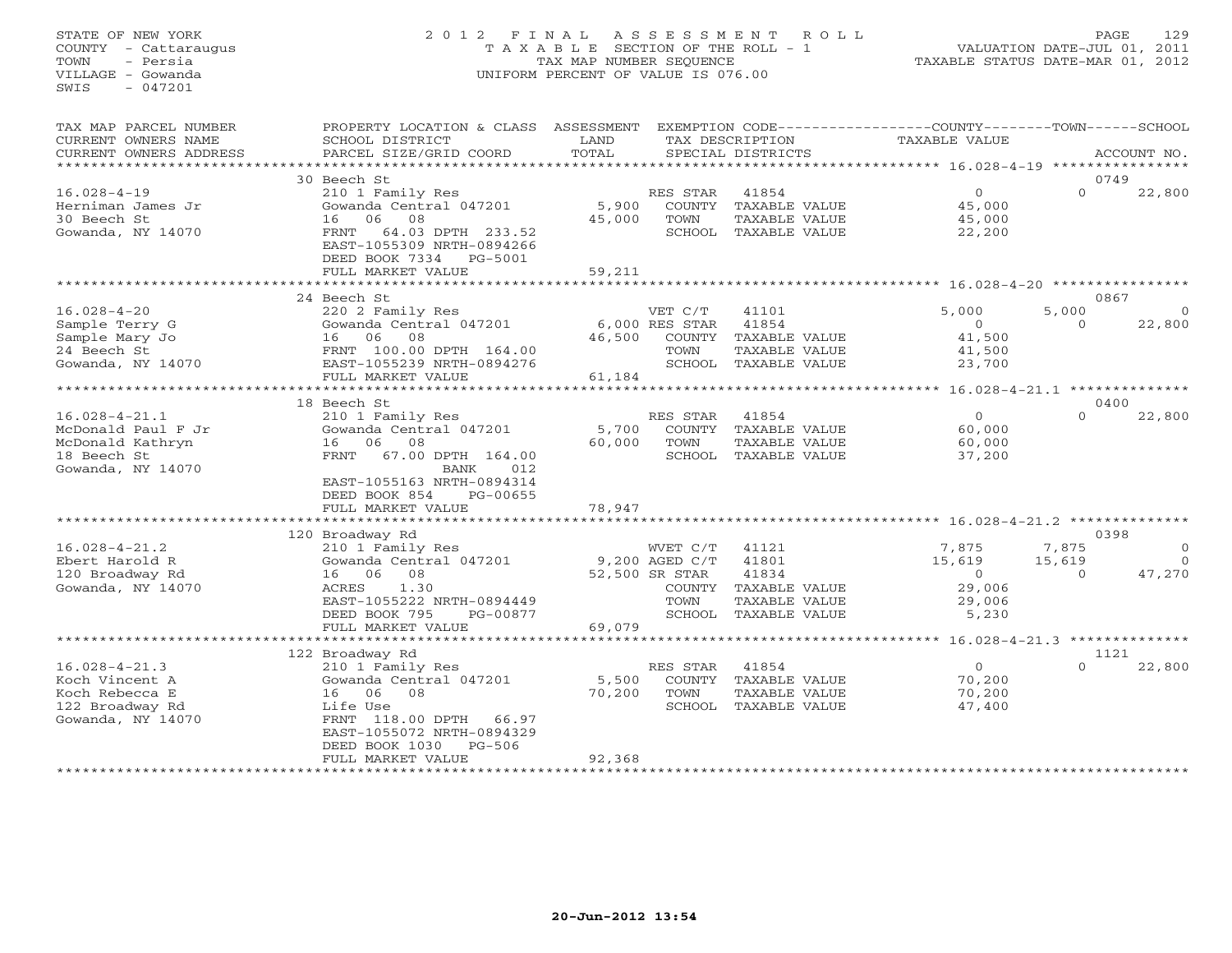## STATE OF NEW YORK 2 0 1 2 F I N A L A S S E S S M E N T R O L L PAGE 129 COUNTY - Cattaraugus T A X A B L E SECTION OF THE ROLL - 1 VALUATION DATE-JUL 01, 2011 TOWN - Persia TAX MAP NUMBER SEQUENCE TAXABLE STATUS DATE-MAR 01, 2012 VILLAGE - Gowanda UNIFORM PERCENT OF VALUE IS 076.00UNIFORM PERCENT OF VALUE IS 076.00

| TAX MAP PARCEL NUMBER<br>CURRENT OWNERS NAME                                                      | PROPERTY LOCATION & CLASS ASSESSMENT<br>SCHOOL DISTRICT                                                                                                                                                  | LAND                      |                                                    | TAX DESCRIPTION                                                          | EXEMPTION CODE-----------------COUNTY-------TOWN------SCHOOL<br><b>TAXABLE VALUE</b> |                    |                    |
|---------------------------------------------------------------------------------------------------|----------------------------------------------------------------------------------------------------------------------------------------------------------------------------------------------------------|---------------------------|----------------------------------------------------|--------------------------------------------------------------------------|--------------------------------------------------------------------------------------|--------------------|--------------------|
| CURRENT OWNERS ADDRESS<br>*************************                                               | PARCEL SIZE/GRID COORD                                                                                                                                                                                   | TOTAL                     |                                                    | SPECIAL DISTRICTS                                                        |                                                                                      |                    | ACCOUNT NO.        |
|                                                                                                   | 30 Beech St                                                                                                                                                                                              |                           |                                                    |                                                                          |                                                                                      |                    | 0749               |
| $16.028 - 4 - 19$<br>Herniman James Jr<br>30 Beech St<br>Gowanda, NY 14070                        | 210 1 Family Res<br>Gowanda Central 047201<br>08<br>06<br>16<br>FRNT<br>64.03 DPTH 233.52<br>EAST-1055309 NRTH-0894266<br>DEED BOOK 7334<br>PG-5001                                                      | 5,900<br>45,000           | RES STAR<br>TOWN                                   | 41854<br>COUNTY TAXABLE VALUE<br>TAXABLE VALUE<br>SCHOOL TAXABLE VALUE   | $\circ$<br>45,000<br>45,000<br>22,200                                                | $\Omega$           | 22,800             |
|                                                                                                   | FULL MARKET VALUE                                                                                                                                                                                        | 59,211                    |                                                    |                                                                          |                                                                                      |                    |                    |
|                                                                                                   |                                                                                                                                                                                                          |                           |                                                    |                                                                          |                                                                                      |                    |                    |
|                                                                                                   | 24 Beech St                                                                                                                                                                                              |                           |                                                    |                                                                          |                                                                                      |                    | 0867               |
| $16.028 - 4 - 20$<br>Sample Terry G<br>Sample Mary Jo<br>24 Beech St                              | 220 2 Family Res<br>Gowanda Central 047201<br>16 06<br>08<br>FRNT 100.00 DPTH 164.00                                                                                                                     | 46,500                    | VET C/T<br>6,000 RES STAR<br>TOWN                  | 41101<br>41854<br>COUNTY TAXABLE VALUE<br><b>TAXABLE VALUE</b>           | 5,000<br>$\Omega$<br>41,500<br>41,500                                                | 5,000<br>$\cap$    | $\Omega$<br>22,800 |
| Gowanda, NY 14070                                                                                 | EAST-1055239 NRTH-0894276                                                                                                                                                                                |                           |                                                    | SCHOOL TAXABLE VALUE                                                     | 23,700                                                                               |                    |                    |
|                                                                                                   | FULL MARKET VALUE                                                                                                                                                                                        | 61,184                    |                                                    |                                                                          |                                                                                      |                    |                    |
|                                                                                                   | ************************                                                                                                                                                                                 | ***********               |                                                    |                                                                          | ********** 16.028-4-21.1 ***************                                             |                    |                    |
|                                                                                                   | 18 Beech St                                                                                                                                                                                              |                           |                                                    |                                                                          |                                                                                      |                    | 0400               |
| $16.028 - 4 - 21.1$<br>McDonald Paul F Jr<br>McDonald Kathryn<br>18 Beech St<br>Gowanda, NY 14070 | 210 1 Family Res<br>Gowanda Central 047201<br>16 06<br>08<br>67.00 DPTH 164.00<br>FRNT<br>012<br><b>BANK</b>                                                                                             | 5,700<br>60,000           | RES STAR<br>COUNTY<br>TOWN                         | 41854<br>TAXABLE VALUE<br>TAXABLE VALUE<br>SCHOOL TAXABLE VALUE          | $\circ$<br>60,000<br>60,000<br>37,200                                                | $\cap$             | 22,800             |
|                                                                                                   | EAST-1055163 NRTH-0894314<br>DEED BOOK 854<br>PG-00655<br>FULL MARKET VALUE                                                                                                                              | 78,947                    |                                                    |                                                                          |                                                                                      |                    |                    |
|                                                                                                   | ************************                                                                                                                                                                                 |                           |                                                    |                                                                          |                                                                                      |                    |                    |
| $16.028 - 4 - 21.2$                                                                               | 120 Broadway Rd<br>210 1 Family Res                                                                                                                                                                      |                           | WVET C/T                                           | 41121                                                                    | 7,875                                                                                | 7,875              | 0398<br>$\Omega$   |
| Ebert Harold R<br>120 Broadway Rd<br>Gowanda, NY 14070                                            | Gowanda Central 047201<br>16 06<br>08<br>ACRES<br>1.30<br>EAST-1055222 NRTH-0894449<br>DEED BOOK 795<br>PG-00877                                                                                         |                           | 9,200 AGED C/T<br>52,500 SR STAR<br>TOWN<br>SCHOOL | 41801<br>41834<br>COUNTY TAXABLE VALUE<br>TAXABLE VALUE<br>TAXABLE VALUE | 15,619<br>$\circ$<br>29,006<br>29,006<br>5,230                                       | 15,619<br>$\Omega$ | $\Omega$<br>47,270 |
|                                                                                                   | FULL MARKET VALUE                                                                                                                                                                                        | 69,079                    |                                                    |                                                                          |                                                                                      |                    |                    |
|                                                                                                   | **************************                                                                                                                                                                               | ********************      |                                                    |                                                                          | ********** 16.028-4-21.3 **************                                              |                    |                    |
| $16.028 - 4 - 21.3$<br>Koch Vincent A<br>Koch Rebecca E<br>122 Broadway Rd<br>Gowanda, NY 14070   | 122 Broadway Rd<br>210 1 Family Res<br>Gowanda Central 047201<br>06<br>08<br>16<br>Life Use<br>FRNT 118.00 DPTH<br>66.97<br>EAST-1055072 NRTH-0894329<br>$PG-506$<br>DEED BOOK 1030<br>FULL MARKET VALUE | 5,500<br>70,200<br>92,368 | RES STAR<br>TOWN                                   | 41854<br>COUNTY TAXABLE VALUE<br>TAXABLE VALUE<br>SCHOOL TAXABLE VALUE   | $\circ$<br>70,200<br>70,200<br>47,400                                                | $\Omega$           | 1121<br>22,800     |
|                                                                                                   |                                                                                                                                                                                                          |                           |                                                    |                                                                          |                                                                                      |                    |                    |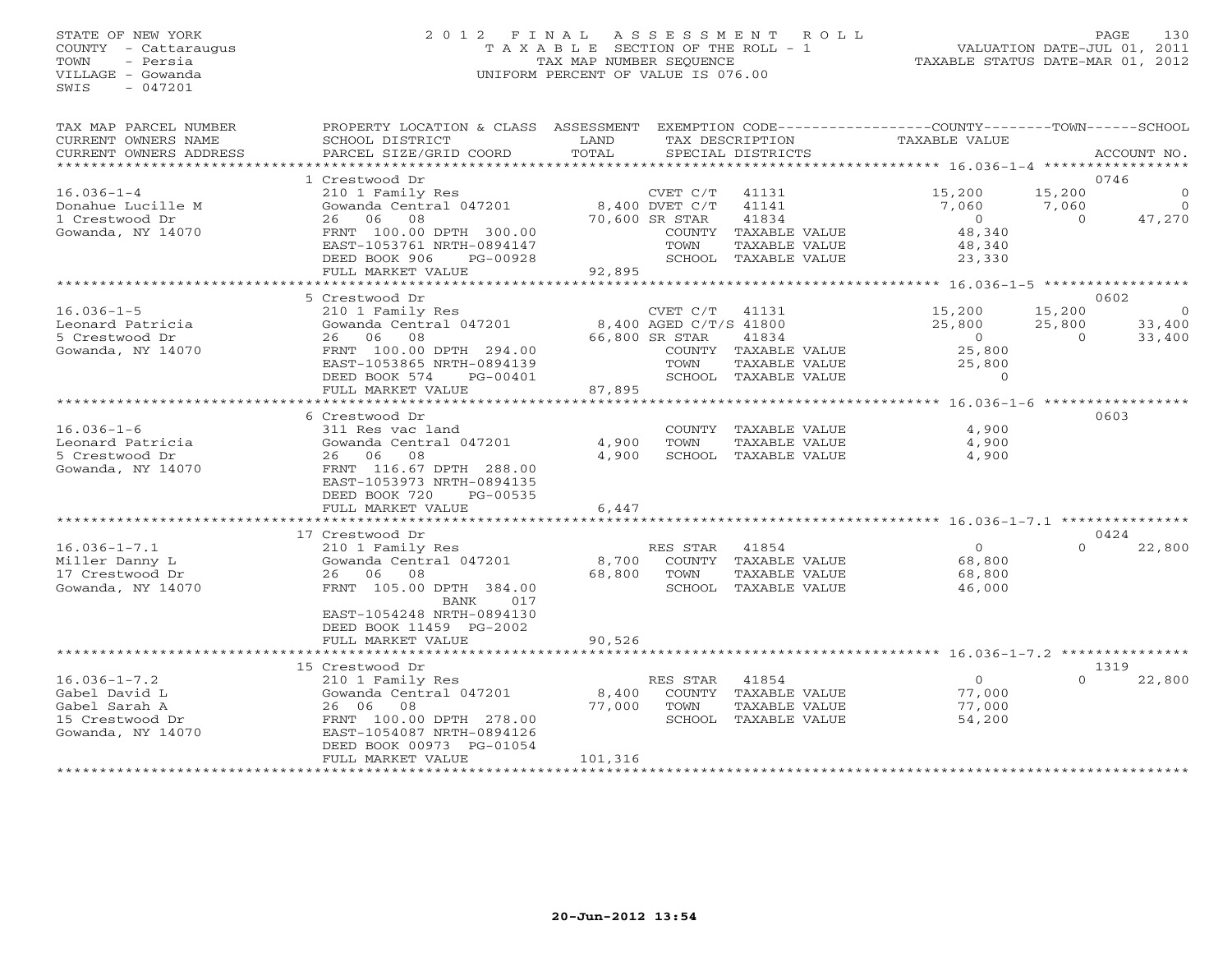## STATE OF NEW YORK 2 0 1 2 F I N A L A S S E S S M E N T R O L L PAGE 130 COUNTY - Cattaraugus T A X A B L E SECTION OF THE ROLL - 1 VALUATION DATE-JUL 01, 2011 TOWN - Persia TAX MAP NUMBER SEQUENCE TAXABLE STATUS DATE-MAR 01, 2012 VILLAGE - Gowanda UNIFORM PERCENT OF VALUE IS 076.00UNIFORM PERCENT OF VALUE IS 076.00

| TAX MAP PARCEL NUMBER<br>CURRENT OWNERS NAME                                                 | PROPERTY LOCATION & CLASS ASSESSMENT<br>SCHOOL DISTRICT                                                                                                                       | LAND            |                                                      | TAX DESCRIPTION                                                        | EXEMPTION CODE-----------------COUNTY-------TOWN------SCHOOL<br>TAXABLE VALUE |                              |                                                  |
|----------------------------------------------------------------------------------------------|-------------------------------------------------------------------------------------------------------------------------------------------------------------------------------|-----------------|------------------------------------------------------|------------------------------------------------------------------------|-------------------------------------------------------------------------------|------------------------------|--------------------------------------------------|
| CURRENT OWNERS ADDRESS                                                                       | PARCEL SIZE/GRID COORD                                                                                                                                                        | TOTAL           |                                                      | SPECIAL DISTRICTS                                                      |                                                                               |                              | ACCOUNT NO.                                      |
|                                                                                              |                                                                                                                                                                               |                 |                                                      |                                                                        |                                                                               |                              |                                                  |
| $16.036 - 1 - 4$<br>Donahue Lucille M<br>1 Crestwood Dr                                      | 1 Crestwood Dr<br>210 1 Family Res<br>Gowanda Central 047201<br>26 06 08                                                                                                      |                 | CVET C/T<br>8,400 DVET C/T<br>70,600 SR STAR         | 41131<br>41141<br>41834                                                | 15,200<br>7,060<br>$\overline{0}$                                             | 15,200<br>7,060<br>$\Omega$  | 0746<br>$\mathbf{0}$<br>$\overline{0}$<br>47,270 |
| Gowanda, NY 14070                                                                            | FRNT 100.00 DPTH 300.00<br>EAST-1053761 NRTH-0894147<br>DEED BOOK 906<br>PG-00928<br>FULL MARKET VALUE                                                                        | 92,895          | TOWN                                                 | COUNTY TAXABLE VALUE<br>TAXABLE VALUE<br>SCHOOL TAXABLE VALUE          | 48,340<br>48,340<br>23,330                                                    |                              |                                                  |
|                                                                                              | **************************                                                                                                                                                    |                 |                                                      |                                                                        |                                                                               |                              |                                                  |
|                                                                                              | 5 Crestwood Dr                                                                                                                                                                |                 |                                                      |                                                                        |                                                                               |                              | 0602                                             |
| $16.036 - 1 - 5$<br>Leonard Patricia<br>5 Crestwood Dr                                       | 210 1 Family Res<br>Gowanda Central 047201<br>26 06<br>08                                                                                                                     |                 | CVET C/T<br>8,400 AGED C/T/S 41800<br>66,800 SR STAR | 41131<br>41834                                                         | 15,200<br>25,800<br>$\bigcirc$                                                | 15,200<br>25,800<br>$\Omega$ | - 0<br>33,400<br>33,400                          |
| Gowanda, NY 14070                                                                            | FRNT 100.00 DPTH 294.00<br>EAST-1053865 NRTH-0894139<br>DEED BOOK 574<br>PG-00401<br>FULL MARKET VALUE                                                                        | 87,895          | TOWN                                                 | COUNTY TAXABLE VALUE<br>TAXABLE VALUE<br>SCHOOL TAXABLE VALUE          | 25,800<br>25,800<br>$\Omega$                                                  |                              |                                                  |
|                                                                                              | *********************                                                                                                                                                         | ************    |                                                      |                                                                        | ********* 16.036-1-6 ******************                                       |                              |                                                  |
|                                                                                              | 6 Crestwood Dr                                                                                                                                                                |                 |                                                      |                                                                        |                                                                               |                              | 0603                                             |
| $16.036 - 1 - 6$<br>Leonard Patricia<br>5 Crestwood Dr<br>Gowanda, NY 14070                  | 311 Res vac land<br>Gowanda Central 047201<br>26 06 08<br>FRNT 116.67 DPTH 288.00<br>EAST-1053973 NRTH-0894135<br>DEED BOOK 720<br>PG-00535                                   | 4,900<br>4,900  | TOWN                                                 | COUNTY TAXABLE VALUE<br>TAXABLE VALUE<br>SCHOOL TAXABLE VALUE          | 4,900<br>4,900<br>4,900                                                       |                              |                                                  |
|                                                                                              | FULL MARKET VALUE                                                                                                                                                             | 6,447           |                                                      |                                                                        |                                                                               |                              |                                                  |
|                                                                                              | ***************************                                                                                                                                                   |                 |                                                      |                                                                        | ************************************ 16.036-1-7.1 ****************            |                              |                                                  |
|                                                                                              | 17 Crestwood Dr                                                                                                                                                               |                 |                                                      |                                                                        |                                                                               | $\Omega$                     | 0424                                             |
| $16.036 - 1 - 7.1$<br>Miller Danny L<br>17 Crestwood Dr<br>Gowanda, NY 14070                 | 210 1 Family Res<br>Gowanda Central 047201<br>26 06 08<br>FRNT 105.00 DPTH 384.00<br>BANK<br>017<br>EAST-1054248 NRTH-0894130                                                 | 8,700<br>68,800 | RES STAR<br>TOWN                                     | 41854<br>COUNTY TAXABLE VALUE<br>TAXABLE VALUE<br>SCHOOL TAXABLE VALUE | $\circ$<br>68,800<br>68,800<br>46,000                                         |                              | 22,800                                           |
|                                                                                              | DEED BOOK 11459 PG-2002                                                                                                                                                       |                 |                                                      |                                                                        |                                                                               |                              |                                                  |
|                                                                                              | FULL MARKET VALUE<br>************************                                                                                                                                 | 90,526          |                                                      |                                                                        | ************************************ 16.036-1-7.2 ****************            |                              |                                                  |
|                                                                                              |                                                                                                                                                                               |                 |                                                      |                                                                        |                                                                               |                              | 1319                                             |
| $16.036 - 1 - 7.2$<br>Gabel David L<br>Gabel Sarah A<br>15 Crestwood Dr<br>Gowanda, NY 14070 | 15 Crestwood Dr<br>210 1 Family Res<br>Gowanda Central 047201<br>26 06<br>$\overline{08}$<br>FRNT 100.00 DPTH 278.00<br>EAST-1054087 NRTH-0894126<br>DEED BOOK 00973 PG-01054 | 8,400<br>77,000 | RES STAR<br>TOWN                                     | 41854<br>COUNTY TAXABLE VALUE<br>TAXABLE VALUE<br>SCHOOL TAXABLE VALUE | $\overline{0}$<br>77,000<br>77,000<br>54,200                                  | $\Omega$                     | 22,800                                           |
| *************************                                                                    | FULL MARKET VALUE                                                                                                                                                             | 101,316         |                                                      |                                                                        |                                                                               |                              |                                                  |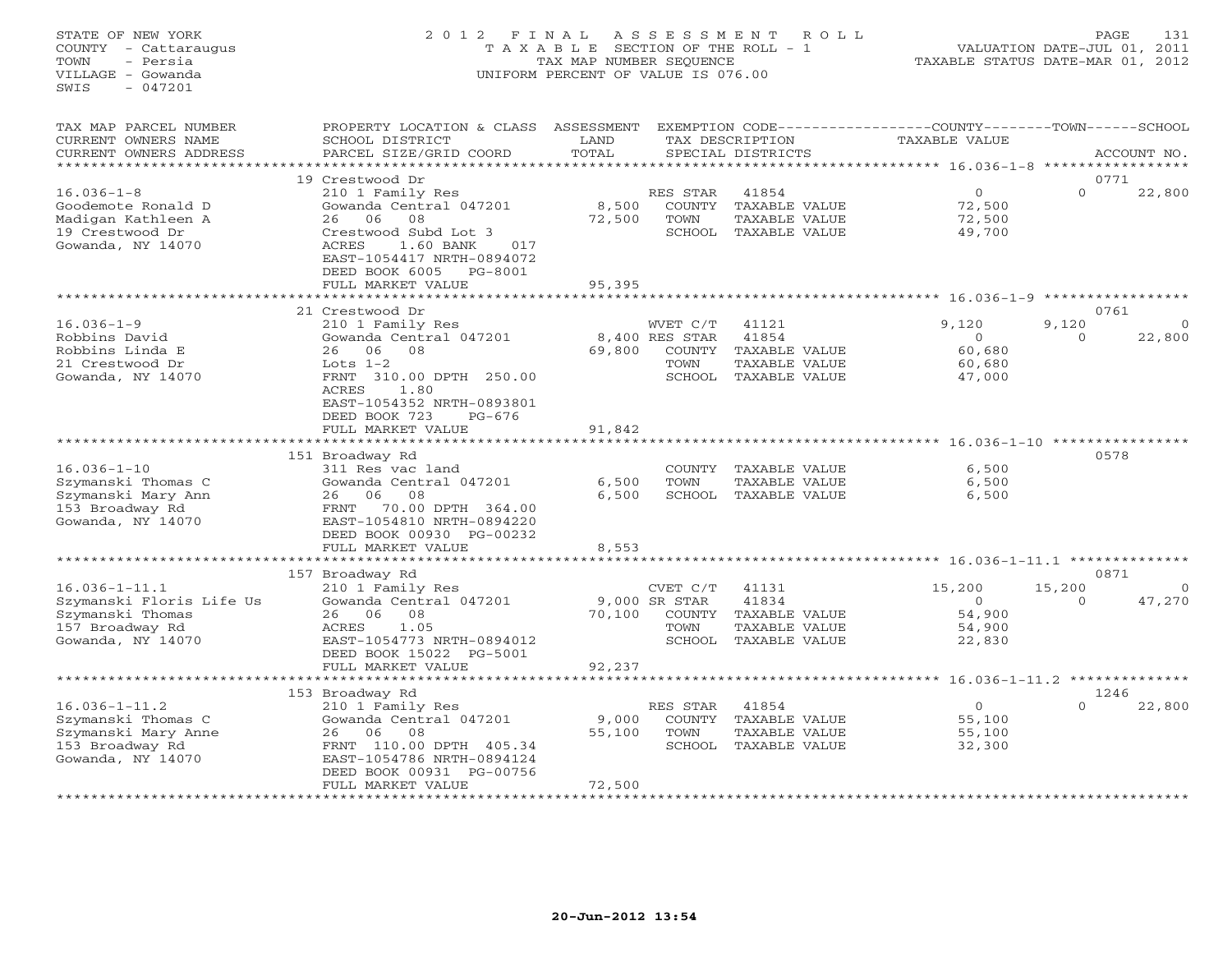## STATE OF NEW YORK 2 0 1 2 F I N A L A S S E S S M E N T R O L L PAGE 131 COUNTY - Cattaraugus T A X A B L E SECTION OF THE ROLL - 1 VALUATION DATE-JUL 01, 2011 TOWN - Persia TAX MAP NUMBER SEQUENCE TAXABLE STATUS DATE-MAR 01, 2012 VILLAGE - Gowanda UNIFORM PERCENT OF VALUE IS 076.00UNIFORM PERCENT OF VALUE IS 076.00

| TAX MAP PARCEL NUMBER<br>CURRENT OWNERS NAME<br>CURRENT OWNERS ADDRESS<br>*********************             | PROPERTY LOCATION & CLASS ASSESSMENT<br>SCHOOL DISTRICT<br>PARCEL SIZE/GRID COORD                                                                                                                   | LAND<br>TOTAL              |                                                        | TAX DESCRIPTION<br>SPECIAL DISTRICTS                              | EXEMPTION CODE----------------COUNTY-------TOWN-----SCHOOL<br>TAXABLE VALUE |                    | ACCOUNT NO.           |
|-------------------------------------------------------------------------------------------------------------|-----------------------------------------------------------------------------------------------------------------------------------------------------------------------------------------------------|----------------------------|--------------------------------------------------------|-------------------------------------------------------------------|-----------------------------------------------------------------------------|--------------------|-----------------------|
| $16.036 - 1 - 8$<br>Goodemote Ronald D<br>Madigan Kathleen A<br>19 Crestwood Dr<br>Gowanda, NY 14070        | 19 Crestwood Dr<br>210 1 Family Res<br>Gowanda Central 047201<br>08<br>26<br>06<br>Crestwood Subd Lot 3<br>ACRES<br>1.60 BANK<br>017<br>EAST-1054417 NRTH-0894072                                   | 8,500<br>72,500            | RES STAR<br>COUNTY<br>TOWN<br>SCHOOL                   | 41854<br>TAXABLE VALUE<br>TAXABLE VALUE<br>TAXABLE VALUE          | $\mathbf{0}$<br>72,500<br>72,500<br>49,700                                  | $\Omega$           | 0771<br>22,800        |
|                                                                                                             | DEED BOOK 6005<br>PG-8001<br>FULL MARKET VALUE                                                                                                                                                      | 95,395                     |                                                        |                                                                   | $16.036 - 1 - 9$                                                            |                    |                       |
| $16.036 - 1 - 9$<br>Robbins David<br>Robbins Linda E<br>21 Crestwood Dr<br>Gowanda, NY 14070                | 21 Crestwood Dr<br>210 1 Family Res<br>Gowanda Central 047201<br>06<br>08<br>26<br>Lots $1-2$<br>FRNT 310.00 DPTH 250.00<br>ACRES<br>1.80<br>EAST-1054352 NRTH-0893801<br>DEED BOOK 723<br>$PG-676$ | 69,800                     | WVET C/T<br>8,400 RES STAR<br>COUNTY<br>TOWN<br>SCHOOL | 41121<br>41854<br>TAXABLE VALUE<br>TAXABLE VALUE<br>TAXABLE VALUE | 9,120<br>$\circ$<br>60,680<br>60,680<br>47,000                              | 9,120<br>$\Omega$  | 0761<br>22,800        |
|                                                                                                             | FULL MARKET VALUE<br>*******************                                                                                                                                                            | 91,842                     |                                                        |                                                                   |                                                                             |                    |                       |
| $16.036 - 1 - 10$<br>Szymanski Thomas C<br>Szymanski Mary Ann<br>153 Broadway Rd<br>Gowanda, NY 14070       | 151 Broadway Rd<br>311 Res vac land<br>Gowanda Central 047201<br>26<br>06<br>08<br>FRNT<br>70.00 DPTH 364.00<br>EAST-1054810 NRTH-0894220<br>DEED BOOK 00930 PG-00232<br>FULL MARKET VALUE          | 6,500<br>6,500<br>8,553    | COUNTY<br>TOWN<br>SCHOOL                               | TAXABLE VALUE<br>TAXABLE VALUE<br>TAXABLE VALUE                   | 6,500<br>6,500<br>6,500                                                     |                    | 0578                  |
|                                                                                                             | ***********************                                                                                                                                                                             |                            |                                                        |                                                                   |                                                                             |                    | 0871                  |
| $16.036 - 1 - 11.1$<br>Szymanski Floris Life Us<br>Szymanski Thomas<br>157 Broadway Rd<br>Gowanda, NY 14070 | 157 Broadway Rd<br>210 1 Family Res<br>Gowanda Central 047201<br>06<br>08<br>26<br>1.05<br>ACRES<br>EAST-1054773 NRTH-0894012<br>DEED BOOK 15022 PG-5001                                            | 70,100                     | CVET C/T<br>9,000 SR STAR<br>COUNTY<br>TOWN<br>SCHOOL  | 41131<br>41834<br>TAXABLE VALUE<br>TAXABLE VALUE<br>TAXABLE VALUE | 15,200<br>$\Omega$<br>54,900<br>54,900<br>22,830                            | 15,200<br>$\Omega$ | $\mathbf 0$<br>47,270 |
|                                                                                                             | FULL MARKET VALUE<br>*************************                                                                                                                                                      | 92,237                     |                                                        |                                                                   |                                                                             |                    |                       |
|                                                                                                             | 153 Broadway Rd                                                                                                                                                                                     |                            |                                                        |                                                                   |                                                                             |                    | 1246                  |
| $16.036 - 1 - 11.2$<br>Szymanski Thomas C<br>Szymanski Mary Anne<br>153 Broadway Rd<br>Gowanda, NY 14070    | 210 1 Family Res<br>Gowanda Central 047201<br>06<br>08<br>26<br>FRNT 110.00 DPTH 405.34<br>EAST-1054786 NRTH-0894124<br>DEED BOOK 00931 PG-00756                                                    | 9,000<br>55,100            | RES STAR<br>COUNTY<br>TOWN                             | 41854<br>TAXABLE VALUE<br>TAXABLE VALUE<br>SCHOOL TAXABLE VALUE   | $\circ$<br>55,100<br>55,100<br>32,300                                       | $\Omega$           | 22,800                |
|                                                                                                             | FULL MARKET VALUE<br>***********************                                                                                                                                                        | 72,500<br>**************** |                                                        |                                                                   |                                                                             |                    |                       |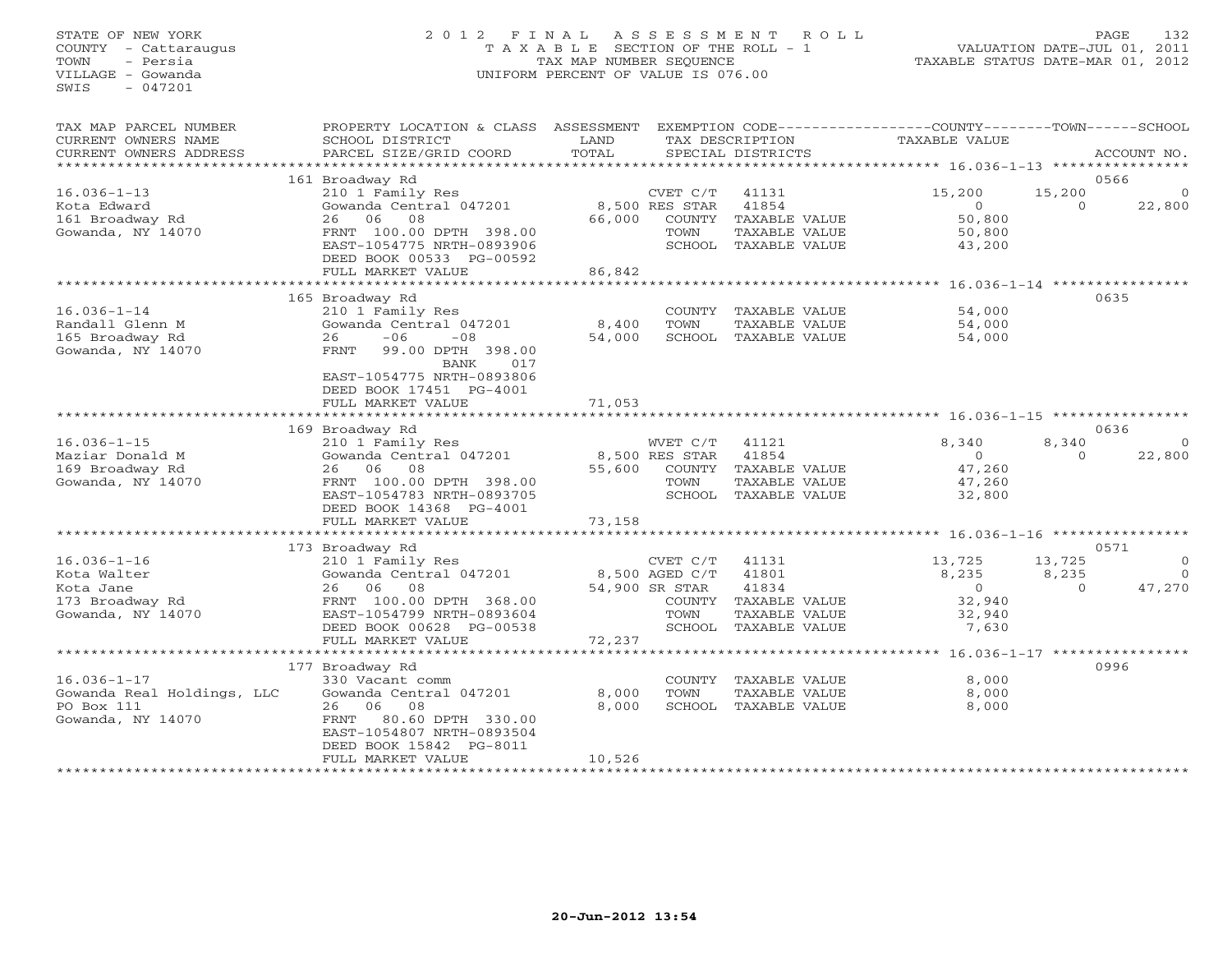### STATE OF NEW YORK 2 0 1 2 F I N A L A S S E S S M E N T R O L L PAGE 132 COUNTY - Cattaraugus T A X A B L E SECTION OF THE ROLL - 1 VALUATION DATE-JUL 01, 2011 TOWN - Persia TAX MAP NUMBER SEQUENCE TAXABLE STATUS DATE-MAR 01, 2012 VILLAGE - Gowanda UNIFORM PERCENT OF VALUE IS 076.00UNIFORM PERCENT OF VALUE IS 076.00

| TAX MAP PARCEL NUMBER<br>CURRENT OWNERS NAME<br>CURRENT OWNERS ADDRESS                | PROPERTY LOCATION & CLASS ASSESSMENT<br>SCHOOL DISTRICT<br>PARCEL SIZE/GRID COORD                                                                                                                              | LAND<br>TOTAL             |                                                                | TAX DESCRIPTION<br>SPECIAL DISTRICTS                                              | EXEMPTION CODE----------------COUNTY-------TOWN-----SCHOOL<br>TAXABLE VALUE |                             | ACCOUNT NO.                           |
|---------------------------------------------------------------------------------------|----------------------------------------------------------------------------------------------------------------------------------------------------------------------------------------------------------------|---------------------------|----------------------------------------------------------------|-----------------------------------------------------------------------------------|-----------------------------------------------------------------------------|-----------------------------|---------------------------------------|
|                                                                                       |                                                                                                                                                                                                                |                           |                                                                |                                                                                   |                                                                             |                             |                                       |
| $16.036 - 1 - 13$<br>Kota Edward<br>161 Broadway Rd<br>Gowanda, NY 14070              | 161 Broadway Rd<br>210 1 Family Res<br>Gowanda Central 047201<br>26<br>06<br>08<br>FRNT 100.00 DPTH 398.00<br>EAST-1054775 NRTH-0893906<br>DEED BOOK 00533 PG-00592<br>FULL MARKET VALUE                       | 66,000<br>86,842          | CVET C/T<br>8,500 RES STAR<br>COUNTY<br>TOWN                   | 41131<br>41854<br>TAXABLE VALUE<br>TAXABLE VALUE<br>SCHOOL TAXABLE VALUE          | 15,200<br>$\overline{0}$<br>50,800<br>50,800<br>43,200                      | 15,200<br>$\Omega$          | 0566<br>$\circ$<br>22,800             |
|                                                                                       |                                                                                                                                                                                                                |                           |                                                                |                                                                                   |                                                                             |                             |                                       |
| $16.036 - 1 - 14$<br>Randall Glenn M<br>165 Broadway Rd<br>Gowanda, NY 14070          | 165 Broadway Rd<br>210 1 Family Res<br>Gowanda Central 047201<br>$-06$<br>26<br>$-08$<br>FRNT<br>99.00 DPTH 398.00<br>BANK<br>017<br>EAST-1054775 NRTH-0893806<br>DEED BOOK 17451 PG-4001<br>FULL MARKET VALUE | 8,400<br>54,000<br>71,053 | TOWN                                                           | COUNTY TAXABLE VALUE<br>TAXABLE VALUE<br>SCHOOL TAXABLE VALUE                     | 54,000<br>54,000<br>54,000                                                  |                             | 0635                                  |
|                                                                                       |                                                                                                                                                                                                                |                           |                                                                |                                                                                   |                                                                             |                             |                                       |
| $16.036 - 1 - 15$<br>Maziar Donald M<br>169 Broadway Rd<br>Gowanda, NY 14070          | 169 Broadway Rd<br>210 1 Family Res<br>Gowanda Central 047201<br>26 06 08<br>FRNT 100.00 DPTH 398.00<br>EAST-1054783 NRTH-0893705<br>DEED BOOK 14368 PG-4001<br>FULL MARKET VALUE                              | 55,600<br>73,158          | WVET C/T<br>8,500 RES STAR<br>TOWN<br>SCHOOL                   | 41121<br>41854<br>COUNTY TAXABLE VALUE<br>TAXABLE VALUE<br>TAXABLE VALUE          | 8,340<br>$\overline{O}$<br>47,260<br>47,260<br>32,800                       | 8,340<br>$\cap$             | 0636<br>$\Omega$<br>22,800            |
|                                                                                       |                                                                                                                                                                                                                | *********************     |                                                                |                                                                                   | ********************** 16.036-1-16 *****************                        |                             |                                       |
| $16.036 - 1 - 16$<br>Kota Walter<br>Kota Jane<br>173 Broadway Rd<br>Gowanda, NY 14070 | 173 Broadway Rd<br>210 1 Family Res<br>Gowanda Central 047201<br>26 06<br>08<br>FRNT 100.00 DPTH 368.00<br>EAST-1054799 NRTH-0893604<br>DEED BOOK 00628 PG-00538                                               |                           | CVET C/T<br>8,500 AGED C/T<br>54,900 SR STAR<br>COUNTY<br>TOWN | 41131<br>41801<br>41834<br>TAXABLE VALUE<br>TAXABLE VALUE<br>SCHOOL TAXABLE VALUE | 13,725<br>8,235<br>$\overline{0}$<br>32,940<br>32,940<br>7,630              | 13,725<br>8,235<br>$\Omega$ | 0571<br>$\circ$<br>$\Omega$<br>47,270 |
|                                                                                       | FULL MARKET VALUE                                                                                                                                                                                              | 72,237                    |                                                                |                                                                                   |                                                                             |                             |                                       |
| $16.036 - 1 - 17$<br>Gowanda Real Holdings, LLC<br>PO Box 111<br>Gowanda, NY 14070    | 177 Broadway Rd<br>330 Vacant comm<br>Gowanda Central 047201<br>26<br>06<br>08<br>FRNT<br>80.60 DPTH 330.00<br>EAST-1054807 NRTH-0893504<br>DEED BOOK 15842 PG-8011<br>FULL MARKET VALUE                       | 8,000<br>8,000<br>10,526  | COUNTY<br>TOWN                                                 | TAXABLE VALUE<br>TAXABLE VALUE<br>SCHOOL TAXABLE VALUE                            | 8,000<br>8,000<br>8,000                                                     |                             | 0996                                  |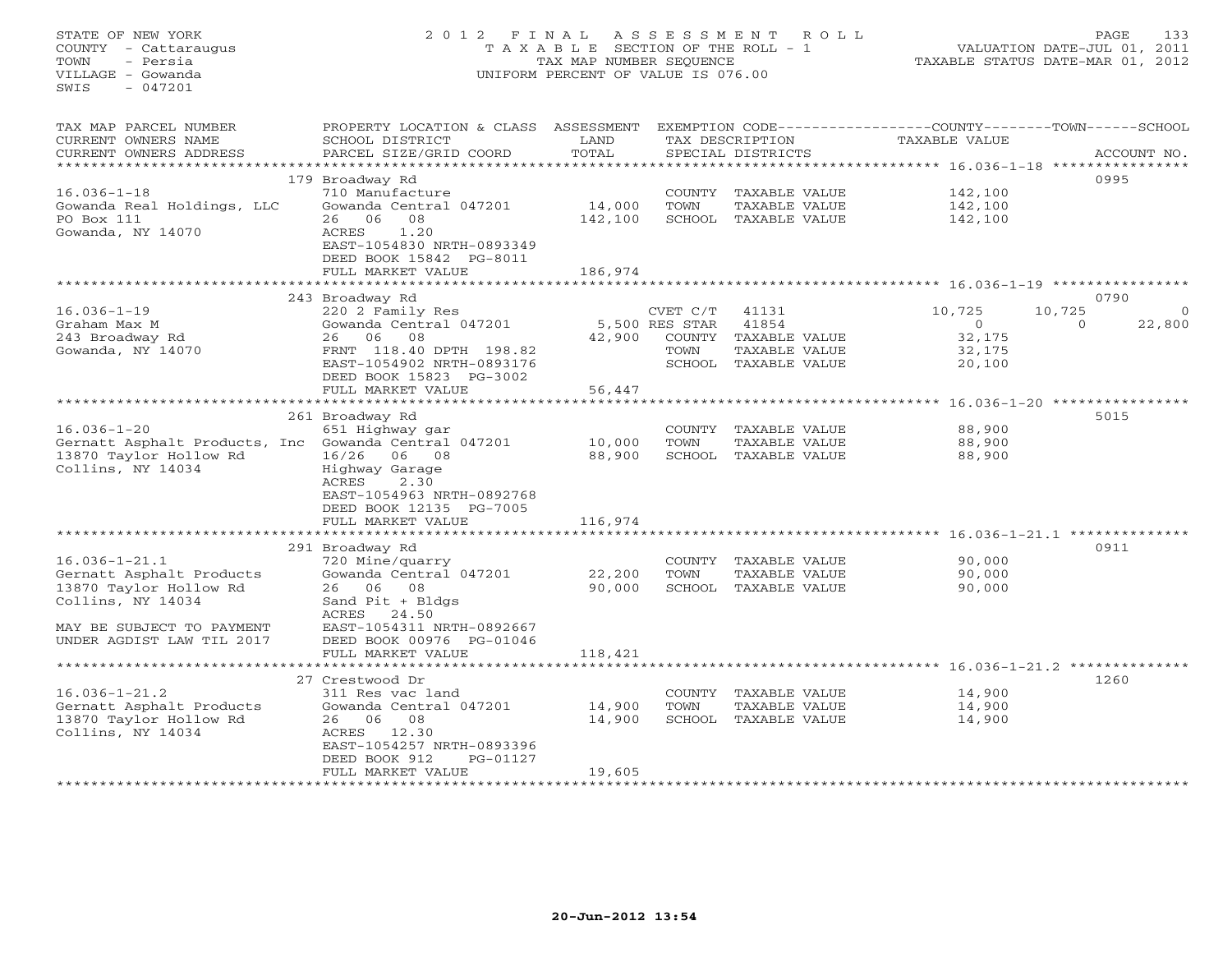STATE OF NEW YORK 2 0 1 2 F I N A L A S S E S S M E N T R O L L PAGE 133 COUNTY - Cattaraugus T A X A B L E SECTION OF THE ROLL - 1 VALUATION DATE-JUL 01, 2011 TOWN - Persia TAX MAP NUMBER SEQUENCE TAXABLE STATUS DATE-MAR 01, 2012 VILLAGE - Gowanda UNIFORM PERCENT OF VALUE IS 076.00  $SWTS = 047201$ TAX MAP PARCEL NUMBER PROPERTY LOCATION & CLASS ASSESSMENT EXEMPTION CODE------------------COUNTY--------TOWN------SCHOOL CURRENT OWNERS NAME SCHOOL DISTRICT LAND TAX DESCRIPTION TAXABLE VALUE CURRENT OWNERS ADDRESS PARCEL SIZE/GRID COORD TOTAL SPECIAL DISTRICTS ACCOUNT NO. \*\*\*\*\*\*\*\*\*\*\*\*\*\*\*\*\*\*\*\*\*\*\*\*\*\*\*\*\*\*\*\*\*\*\*\*\*\*\*\*\*\*\*\*\*\*\*\*\*\*\*\*\*\*\*\*\*\*\*\*\*\*\*\*\*\*\*\*\*\*\*\*\*\*\*\*\*\*\*\*\*\*\*\*\*\*\*\*\*\*\*\*\*\*\*\*\*\*\*\*\*\*\* 16.036-1-18 \*\*\*\*\*\*\*\*\*\*\*\*\*\*\*\* 179 Broadway Rd 0995 16.036-1-18 710 Manufacture COUNTY TAXABLE VALUE 142,100 Gowanda Real Holdings, LLC Gowanda Central 047201 14,000 TOWN TAXABLE VALUE 142,100 PO Box 111 26 06 08 142,100 SCHOOL TAXABLE VALUE 142,100 Gowanda, NY 14070 ACRES 1.20 EAST-1054830 NRTH-0893349 DEED BOOK 15842 PG-8011FULL MARKET VALUE 186,974 \*\*\*\*\*\*\*\*\*\*\*\*\*\*\*\*\*\*\*\*\*\*\*\*\*\*\*\*\*\*\*\*\*\*\*\*\*\*\*\*\*\*\*\*\*\*\*\*\*\*\*\*\*\*\*\*\*\*\*\*\*\*\*\*\*\*\*\*\*\*\*\*\*\*\*\*\*\*\*\*\*\*\*\*\*\*\*\*\*\*\*\*\*\*\*\*\*\*\*\*\*\*\* 16.036-1-19 \*\*\*\*\*\*\*\*\*\*\*\*\*\*\*\* 243 Broadway Rd 0790 16.036-1-19 220 2 Family Res CVET C/T 41131 10,725 10,725 0 Graham Max M Gowanda Central 047201 5,500 RES STAR 41854 0 0 22,800 243 Broadway Rd 26 06 08 42,900 COUNTY TAXABLE VALUE 32,175 Gowanda, NY 14070 FRNT 118.40 DPTH 198.82 TOWN TAXABLE VALUE 32,175 EAST-1054902 NRTH-0893176 SCHOOL TAXABLE VALUE 20,100 DEED BOOK 15823 PG-3002 FULL MARKET VALUE 56,447 \*\*\*\*\*\*\*\*\*\*\*\*\*\*\*\*\*\*\*\*\*\*\*\*\*\*\*\*\*\*\*\*\*\*\*\*\*\*\*\*\*\*\*\*\*\*\*\*\*\*\*\*\*\*\*\*\*\*\*\*\*\*\*\*\*\*\*\*\*\*\*\*\*\*\*\*\*\*\*\*\*\*\*\*\*\*\*\*\*\*\*\*\*\*\*\*\*\*\*\*\*\*\* 16.036-1-20 \*\*\*\*\*\*\*\*\*\*\*\*\*\*\*\* 261 Broadway Rd 5015 16.036-1-20 651 Highway gar COUNTY TAXABLE VALUE 88,900 Gernatt Asphalt Products, Inc Gowanda Central 047201 10,000 TOWN TAXABLE VALUE 88,900 13870 Taylor Hollow Rd 16/26 06 08 88,900 SCHOOL TAXABLE VALUE 88,900 Collins, NY 14034 Highway Garage ACRES 2.30 EAST-1054963 NRTH-0892768 DEED BOOK 12135 PG-7005 FULL MARKET VALUE 116,974 \*\*\*\*\*\*\*\*\*\*\*\*\*\*\*\*\*\*\*\*\*\*\*\*\*\*\*\*\*\*\*\*\*\*\*\*\*\*\*\*\*\*\*\*\*\*\*\*\*\*\*\*\*\*\*\*\*\*\*\*\*\*\*\*\*\*\*\*\*\*\*\*\*\*\*\*\*\*\*\*\*\*\*\*\*\*\*\*\*\*\*\*\*\*\*\*\*\*\*\*\*\*\* 16.036-1-21.1 \*\*\*\*\*\*\*\*\*\*\*\*\*\* 291 Broadway Rd 0911 16.036-1-21.1 720 Mine/quarry COUNTY TAXABLE VALUE 90,000 Gernatt Asphalt Products Gowanda Central 047201 22,200 TOWN TAXABLE VALUE 90,000 13870 Taylor Hollow Rd 26 06 08 90,000 SCHOOL TAXABLE VALUE 90,000 Collins, NY 14034 Sand Pit + Bldgs ACRES 24.50 MAY BE SUBJECT TO PAYMENT EAST-1054311 NRTH-0892667 UNDER AGDIST LAW TIL 2017 DEED BOOK 00976 PG-01046 FULL MARKET VALUE 118,421 \*\*\*\*\*\*\*\*\*\*\*\*\*\*\*\*\*\*\*\*\*\*\*\*\*\*\*\*\*\*\*\*\*\*\*\*\*\*\*\*\*\*\*\*\*\*\*\*\*\*\*\*\*\*\*\*\*\*\*\*\*\*\*\*\*\*\*\*\*\*\*\*\*\*\*\*\*\*\*\*\*\*\*\*\*\*\*\*\*\*\*\*\*\*\*\*\*\*\*\*\*\*\* 16.036-1-21.2 \*\*\*\*\*\*\*\*\*\*\*\*\*\* 27 Crestwood Dr 126016.036-1-21.2 311 Res vac land COUNTY TAXABLE VALUE 14,900 Gernatt Asphalt Products Gowanda Central 047201 14,900 TOWN TAXABLE VALUE 14,900 13870 Taylor Hollow Rd 26 06 08 14,900 SCHOOL TAXABLE VALUE 14,900 Collins, NY 14034 ACRES 12.30 EAST-1054257 NRTH-0893396 DEED BOOK 912 PG-01127DEED BOOK 912 PG-01127 FULL MARKET VALUE 19,605 \*\*\*\*\*\*\*\*\*\*\*\*\*\*\*\*\*\*\*\*\*\*\*\*\*\*\*\*\*\*\*\*\*\*\*\*\*\*\*\*\*\*\*\*\*\*\*\*\*\*\*\*\*\*\*\*\*\*\*\*\*\*\*\*\*\*\*\*\*\*\*\*\*\*\*\*\*\*\*\*\*\*\*\*\*\*\*\*\*\*\*\*\*\*\*\*\*\*\*\*\*\*\*\*\*\*\*\*\*\*\*\*\*\*\*\*\*\*\*\*\*\*\*\*\*\*\*\*\*\*\*\*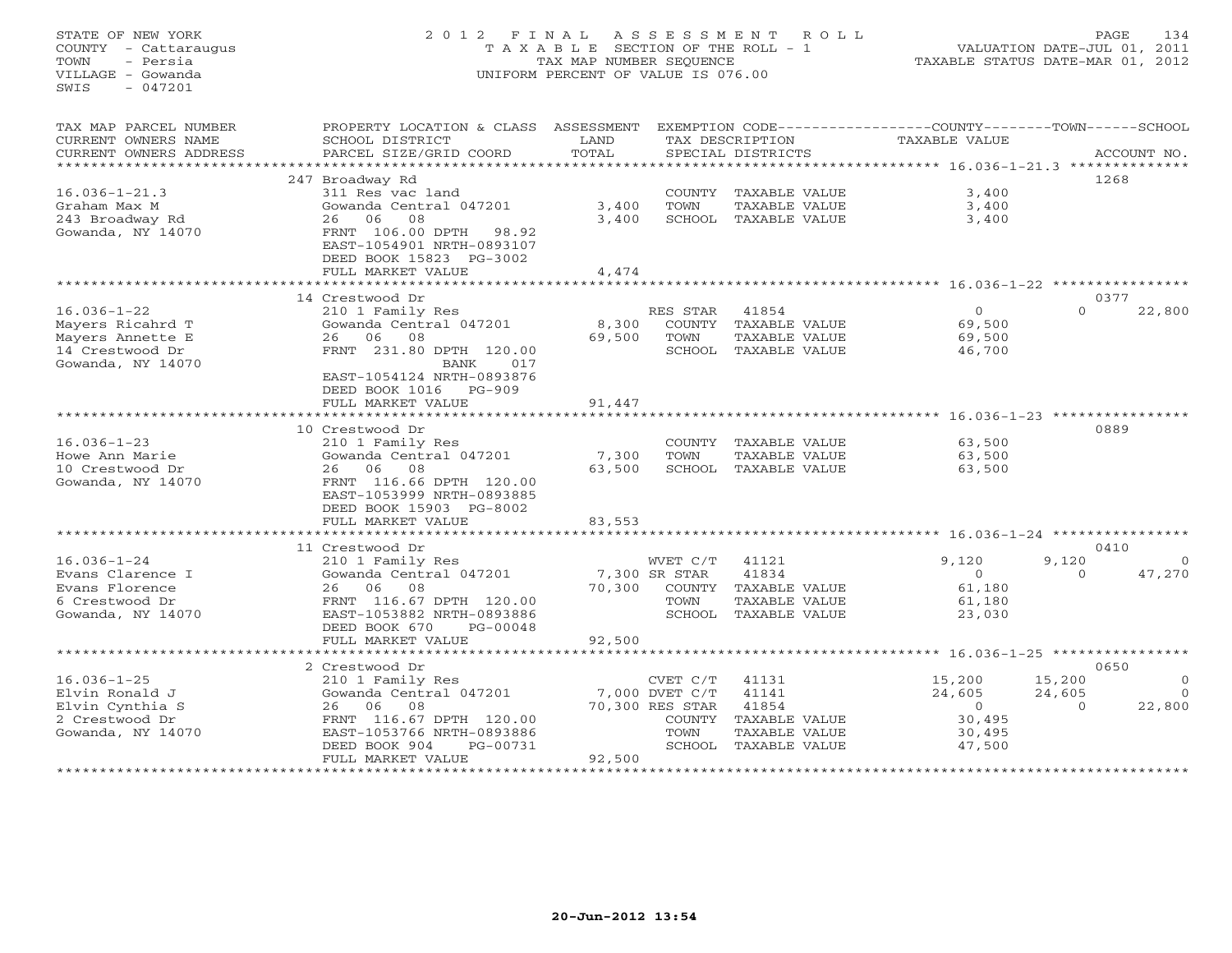## STATE OF NEW YORK 2 0 1 2 F I N A L A S S E S S M E N T R O L L PAGE 134 COUNTY - Cattaraugus T A X A B L E SECTION OF THE ROLL - 1 VALUATION DATE-JUL 01, 2011 TOWN - Persia TAX MAP NUMBER SEQUENCE TAXABLE STATUS DATE-MAR 01, 2012 VILLAGE - Gowanda UNIFORM PERCENT OF VALUE IS 076.00UNIFORM PERCENT OF VALUE IS 076.00

| TAX MAP PARCEL NUMBER<br>CURRENT OWNERS NAME<br>CURRENT OWNERS ADDRESS | PROPERTY LOCATION & CLASS ASSESSMENT<br>SCHOOL DISTRICT<br>PARCEL SIZE/GRID COORD | LAND<br>TOTAL |                                | TAX DESCRIPTION<br>SPECIAL DISTRICTS | EXEMPTION CODE-----------------COUNTY-------TOWN------SCHOOL<br><b>TAXABLE VALUE</b> |                    | ACCOUNT NO.          |
|------------------------------------------------------------------------|-----------------------------------------------------------------------------------|---------------|--------------------------------|--------------------------------------|--------------------------------------------------------------------------------------|--------------------|----------------------|
| ******************                                                     |                                                                                   |               |                                |                                      |                                                                                      |                    |                      |
|                                                                        | 247 Broadway Rd                                                                   |               |                                |                                      |                                                                                      | 1268               |                      |
| $16.036 - 1 - 21.3$                                                    | 311 Res vac land                                                                  |               |                                | COUNTY TAXABLE VALUE                 | 3,400                                                                                |                    |                      |
| Graham Max M                                                           | Gowanda Central 047201                                                            | 3,400         | <b>TOWN</b>                    | TAXABLE VALUE                        | 3,400                                                                                |                    |                      |
| 243 Broadway Rd                                                        | 26<br>06 —<br>08                                                                  | 3,400         |                                | SCHOOL TAXABLE VALUE                 | 3,400                                                                                |                    |                      |
| Gowanda, NY 14070                                                      | FRNT 106.00 DPTH<br>98.92<br>EAST-1054901 NRTH-0893107                            |               |                                |                                      |                                                                                      |                    |                      |
|                                                                        | DEED BOOK 15823 PG-3002                                                           |               |                                |                                      |                                                                                      |                    |                      |
|                                                                        | FULL MARKET VALUE                                                                 | 4,474         |                                |                                      |                                                                                      |                    |                      |
|                                                                        | *********************                                                             | ************* |                                |                                      |                                                                                      |                    |                      |
|                                                                        | 14 Crestwood Dr                                                                   |               |                                |                                      |                                                                                      | 0377               |                      |
| $16.036 - 1 - 22$                                                      | 210 1 Family Res                                                                  |               | RES STAR                       | 41854                                | $\mathbf{O}$                                                                         | $\Omega$           | 22,800               |
| Mayers Ricahrd T                                                       | Gowanda Central 047201                                                            | 8,300         | COUNTY                         | TAXABLE VALUE                        | 69,500                                                                               |                    |                      |
| Mayers Annette E                                                       | 06<br>08<br>26                                                                    | 69,500        | TOWN                           | TAXABLE VALUE                        | 69,500                                                                               |                    |                      |
| 14 Crestwood Dr                                                        | FRNT 231.80 DPTH 120.00                                                           |               | SCHOOL                         | TAXABLE VALUE                        | 46,700                                                                               |                    |                      |
| Gowanda, NY 14070                                                      | BANK<br>017                                                                       |               |                                |                                      |                                                                                      |                    |                      |
|                                                                        | EAST-1054124 NRTH-0893876                                                         |               |                                |                                      |                                                                                      |                    |                      |
|                                                                        | DEED BOOK 1016<br>$PG-909$                                                        | 91,447        |                                |                                      |                                                                                      |                    |                      |
|                                                                        | FULL MARKET VALUE                                                                 |               |                                |                                      |                                                                                      |                    |                      |
|                                                                        | 10 Crestwood Dr                                                                   |               |                                |                                      |                                                                                      | 0889               |                      |
| $16.036 - 1 - 23$                                                      | 210 1 Family Res                                                                  |               | COUNTY                         | TAXABLE VALUE                        | 63,500                                                                               |                    |                      |
| Howe Ann Marie                                                         | Gowanda Central 047201                                                            | 7,300         | TOWN                           | TAXABLE VALUE                        | 63,500                                                                               |                    |                      |
| 10 Crestwood Dr                                                        | 26 06<br>08                                                                       | 63,500        | SCHOOL                         | TAXABLE VALUE                        | 63,500                                                                               |                    |                      |
| Gowanda, NY 14070                                                      | FRNT 116.66 DPTH 120.00                                                           |               |                                |                                      |                                                                                      |                    |                      |
|                                                                        | EAST-1053999 NRTH-0893885                                                         |               |                                |                                      |                                                                                      |                    |                      |
|                                                                        | DEED BOOK 15903 PG-8002                                                           |               |                                |                                      |                                                                                      |                    |                      |
|                                                                        | FULL MARKET VALUE                                                                 | 83,553        |                                |                                      |                                                                                      |                    |                      |
|                                                                        |                                                                                   |               |                                |                                      |                                                                                      |                    |                      |
|                                                                        | 11 Crestwood Dr                                                                   |               |                                |                                      |                                                                                      | 0410               |                      |
| $16.036 - 1 - 24$                                                      | 210 1 Family Res                                                                  |               | WVET C/T                       | 41121                                | 9,120                                                                                | 9,120              | $\Omega$             |
| Evans Clarence I                                                       | Gowanda Central 047201                                                            |               | 7,300 SR STAR                  | 41834                                | $\Omega$                                                                             | $\Omega$           | 47,270               |
| Evans Florence                                                         | 08<br>26<br>06                                                                    | 70,300        | COUNTY                         | TAXABLE VALUE                        | 61,180                                                                               |                    |                      |
| 6 Crestwood Dr                                                         | FRNT 116.67 DPTH 120.00                                                           |               | TOWN                           | <b>TAXABLE VALUE</b>                 | 61,180                                                                               |                    |                      |
| Gowanda, NY 14070                                                      | EAST-1053882 NRTH-0893886                                                         |               | SCHOOL                         | TAXABLE VALUE                        | 23,030                                                                               |                    |                      |
|                                                                        | DEED BOOK 670<br>PG-00048                                                         |               |                                |                                      |                                                                                      |                    |                      |
|                                                                        | FULL MARKET VALUE<br>************************                                     | 92,500        |                                |                                      |                                                                                      |                    |                      |
|                                                                        |                                                                                   |               |                                |                                      |                                                                                      |                    |                      |
|                                                                        | 2 Crestwood Dr                                                                    |               |                                |                                      |                                                                                      | 0650               |                      |
| $16.036 - 1 - 25$<br>Elvin Ronald J                                    | 210 1 Family Res<br>Gowanda Central 047201                                        |               | CVET C/T<br>$7,000$ DVET $C/T$ | 41131<br>41141                       | 15,200                                                                               | 15,200             | $\Omega$<br>$\Omega$ |
| Elvin Cynthia S                                                        | 06<br>08<br>26                                                                    |               | 70,300 RES STAR                | 41854                                | 24,605<br>$\Omega$                                                                   | 24,605<br>$\Omega$ | 22,800               |
| 2 Crestwood Dr                                                         | FRNT 116.67 DPTH 120.00                                                           |               | COUNTY                         | TAXABLE VALUE                        | 30,495                                                                               |                    |                      |
| Gowanda, NY 14070                                                      | EAST-1053766 NRTH-0893886                                                         |               | TOWN                           | <b>TAXABLE VALUE</b>                 | 30,495                                                                               |                    |                      |
|                                                                        | DEED BOOK 904<br>PG-00731                                                         |               |                                | SCHOOL TAXABLE VALUE                 | 47,500                                                                               |                    |                      |
|                                                                        | FULL MARKET VALUE                                                                 | 92,500        |                                |                                      |                                                                                      |                    |                      |
|                                                                        |                                                                                   |               |                                |                                      |                                                                                      |                    |                      |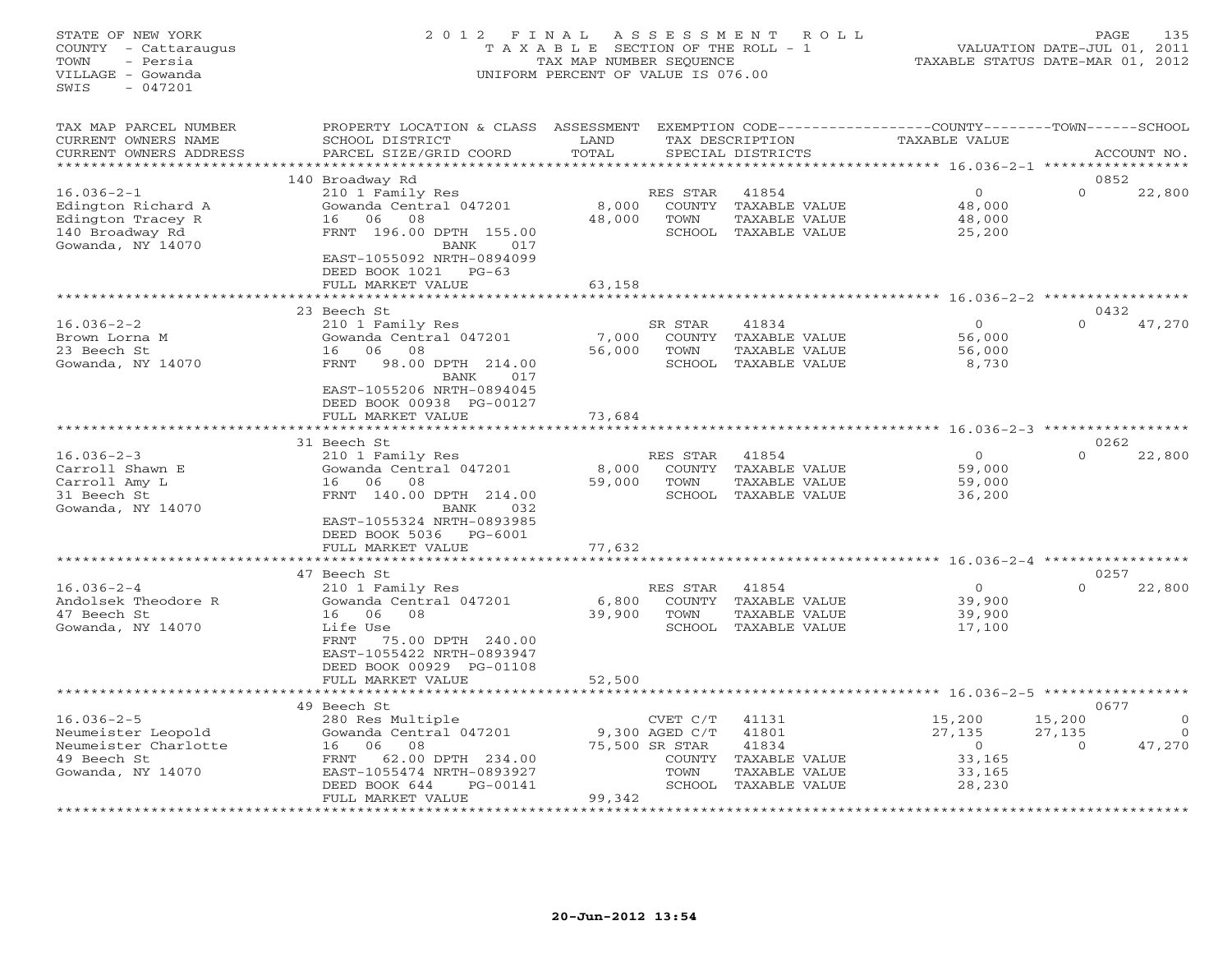## STATE OF NEW YORK 2 0 1 2 F I N A L A S S E S S M E N T R O L L PAGE 135 COUNTY - Cattaraugus T A X A B L E SECTION OF THE ROLL - 1 VALUATION DATE-JUL 01, 2011 TOWN - Persia TAX MAP NUMBER SEQUENCE TAXABLE STATUS DATE-MAR 01, 2012 VILLAGE - Gowanda UNIFORM PERCENT OF VALUE IS 076.00

| TAX MAP PARCEL NUMBER<br>CURRENT OWNERS NAME<br>CURRENT OWNERS ADDRESS                              | PROPERTY LOCATION & CLASS<br>SCHOOL DISTRICT<br>PARCEL SIZE/GRID COORD                                                                                                                                    | ASSESSMENT<br>LAND<br>TOTAL         |                                                      | TAX DESCRIPTION<br>SPECIAL DISTRICTS                                                     | EXEMPTION CODE-----------------COUNTY-------TOWN-----SCHOOL<br>TAXABLE VALUE |                                      | ACCOUNT NO.                    |
|-----------------------------------------------------------------------------------------------------|-----------------------------------------------------------------------------------------------------------------------------------------------------------------------------------------------------------|-------------------------------------|------------------------------------------------------|------------------------------------------------------------------------------------------|------------------------------------------------------------------------------|--------------------------------------|--------------------------------|
|                                                                                                     |                                                                                                                                                                                                           |                                     |                                                      |                                                                                          |                                                                              |                                      |                                |
| $16.036 - 2 - 1$<br>Edington Richard A<br>Edington Tracey R<br>140 Broadway Rd<br>Gowanda, NY 14070 | 140 Broadway Rd<br>210 1 Family Res<br>Gowanda Central 047201<br>16<br>06<br>08<br>FRNT 196.00 DPTH 155.00<br>BANK<br>017<br>EAST-1055092 NRTH-0894099<br>DEED BOOK 1021<br>$PG-63$<br>FULL MARKET VALUE  | 8,000<br>48,000<br>63,158           | RES STAR<br>TOWN<br>SCHOOL                           | 41854<br>COUNTY TAXABLE VALUE<br>TAXABLE VALUE<br>TAXABLE VALUE                          | $\overline{O}$<br>48,000<br>48,000<br>25,200                                 | 0852<br>$\circ$                      | 22,800                         |
|                                                                                                     |                                                                                                                                                                                                           |                                     |                                                      |                                                                                          |                                                                              |                                      |                                |
| $16.036 - 2 - 2$<br>Brown Lorna M<br>23 Beech St<br>Gowanda, NY 14070                               | 23 Beech St<br>210 1 Family Res<br>Gowanda Central 047201<br>08<br>16<br>06<br>98.00 DPTH 214.00<br>FRNT<br>017<br>BANK<br>EAST-1055206 NRTH-0894045<br>DEED BOOK 00938 PG-00127                          | 7,000<br>56,000                     | SR STAR<br>TOWN<br>SCHOOL                            | 41834<br>COUNTY TAXABLE VALUE<br>TAXABLE VALUE<br>TAXABLE VALUE                          | $\circ$<br>56,000<br>56,000<br>8,730                                         | 0432<br>$\Omega$                     | 47,270                         |
|                                                                                                     | FULL MARKET VALUE                                                                                                                                                                                         | 73,684                              |                                                      |                                                                                          |                                                                              |                                      |                                |
|                                                                                                     | 31 Beech St                                                                                                                                                                                               |                                     |                                                      |                                                                                          | $16.036 - 2 - 3$ *****                                                       | 0262                                 |                                |
| $16.036 - 2 - 3$<br>Carroll Shawn E<br>Carroll Amy L<br>31 Beech St<br>Gowanda, NY 14070            | 210 1 Family Res<br>Gowanda Central 047201<br>06<br>08<br>16<br>FRNT 140.00 DPTH 214.00<br>BANK<br>032<br>EAST-1055324 NRTH-0893985<br>DEED BOOK 5036<br>PG-6001<br>FULL MARKET VALUE                     | 8,000<br>59,000<br>77,632           | RES STAR<br>COUNTY<br>TOWN                           | 41854<br>TAXABLE VALUE<br>TAXABLE VALUE<br>SCHOOL TAXABLE VALUE                          | $\circ$<br>59,000<br>59,000<br>36,200                                        | $\Omega$                             | 22,800                         |
|                                                                                                     |                                                                                                                                                                                                           |                                     |                                                      |                                                                                          |                                                                              |                                      |                                |
| $16.036 - 2 - 4$<br>Andolsek Theodore R<br>47 Beech St<br>Gowanda, NY 14070                         | 47 Beech St<br>210 1 Family Res<br>Gowanda Central 047201<br>06<br>08<br>16<br>Life Use<br><b>FRNT</b><br>75.00 DPTH 240.00<br>EAST-1055422 NRTH-0893947<br>DEED BOOK 00929 PG-01108<br>FULL MARKET VALUE | 6,800<br>39,900<br>52,500           | RES STAR<br>COUNTY<br>TOWN                           | 41854<br>TAXABLE VALUE<br>TAXABLE VALUE<br>SCHOOL TAXABLE VALUE                          | $\circ$<br>39,900<br>39,900<br>17,100                                        | 0257<br>$\Omega$                     | 22,800                         |
|                                                                                                     | · * * * * * * * * * * * * * * * * *                                                                                                                                                                       |                                     |                                                      |                                                                                          | ******************************** 16.036-2-5                                  |                                      |                                |
| $16.036 - 2 - 5$<br>Neumeister Leopold<br>Neumeister Charlotte<br>49 Beech St<br>Gowanda, NY 14070  | 49 Beech St<br>280 Res Multiple<br>Gowanda Central 047201<br>06<br>08<br>16<br>62.00 DPTH 234.00<br>FRNT<br>EAST-1055474 NRTH-0893927<br>DEED BOOK 644<br>PG-00141                                        |                                     | CVET C/T<br>9,300 AGED C/T<br>75,500 SR STAR<br>TOWN | 41131<br>41801<br>41834<br>COUNTY TAXABLE VALUE<br>TAXABLE VALUE<br>SCHOOL TAXABLE VALUE | 15,200<br>27,135<br>$\circ$<br>33,165<br>33,165<br>28,230                    | 0677<br>15,200<br>27,135<br>$\Omega$ | $\Omega$<br>$\Omega$<br>47,270 |
|                                                                                                     | FULL MARKET VALUE<br>********************                                                                                                                                                                 | 99,342<br>* * * * * * * * * * * * * |                                                      |                                                                                          |                                                                              |                                      |                                |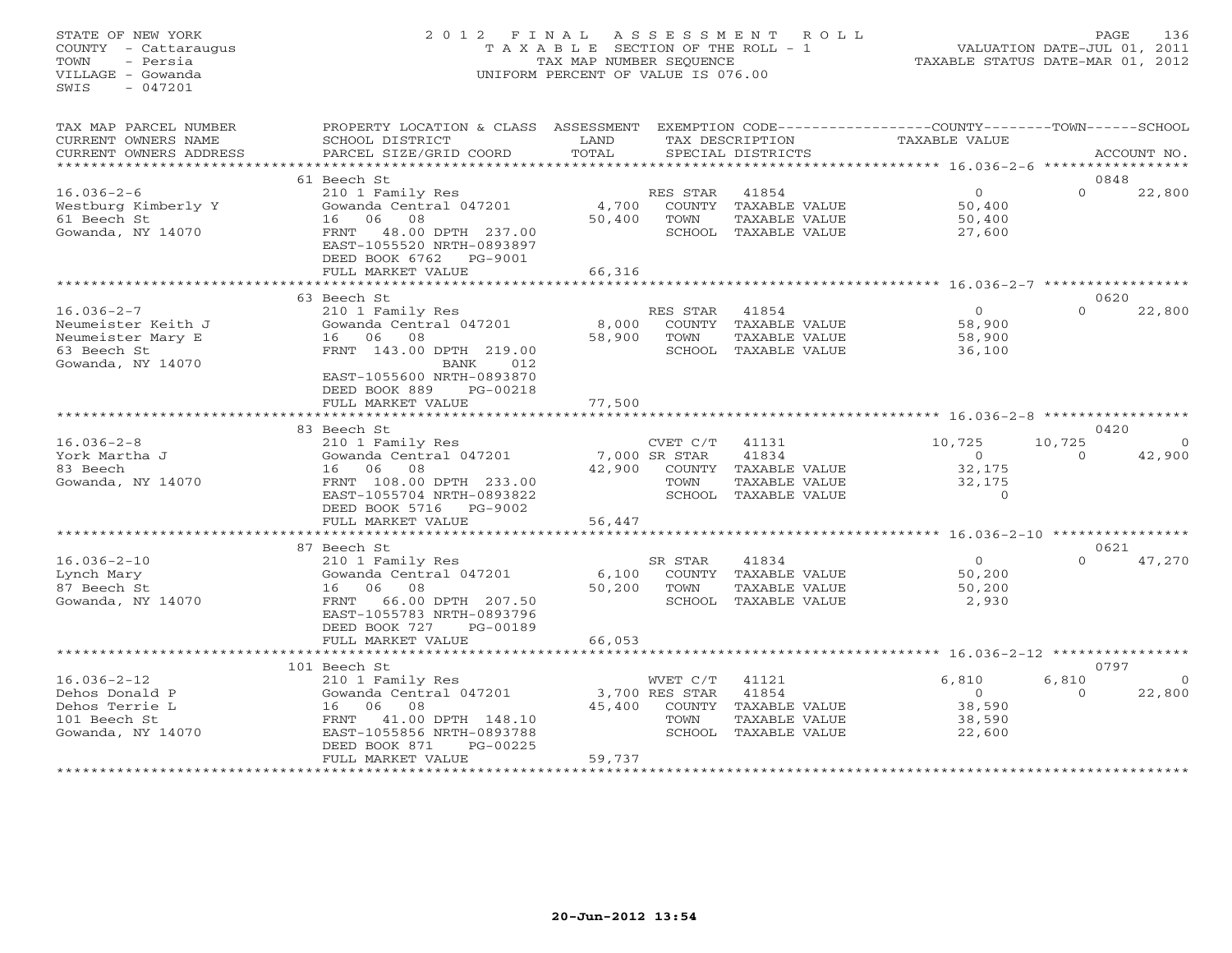#### STATE OF NEW YORK 2 0 1 2 F I N A L A S S E S S M E N T R O L L PAGE 136 COUNTY - Cattaraugus T A X A B L E SECTION OF THE ROLL - 1 VALUATION DATE-JUL 01, 2011 TOWN - Persia TAX MAP NUMBER SEQUENCE TAXABLE STATUS DATE-MAR 01, 2012 VILLAGE - Gowanda UNIFORM PERCENT OF VALUE IS 076.00UNIFORM PERCENT OF VALUE IS 076.00

| TAX MAP PARCEL NUMBER  | PROPERTY LOCATION & CLASS ASSESSMENT       |               |                            |                             | EXEMPTION CODE-----------------COUNTY-------TOWN------SCHOOL |                   |                          |
|------------------------|--------------------------------------------|---------------|----------------------------|-----------------------------|--------------------------------------------------------------|-------------------|--------------------------|
| CURRENT OWNERS NAME    | SCHOOL DISTRICT                            | LAND          |                            | TAX DESCRIPTION             | <b>TAXABLE VALUE</b>                                         |                   |                          |
| CURRENT OWNERS ADDRESS | PARCEL SIZE/GRID COORD                     | TOTAL         |                            | SPECIAL DISTRICTS           |                                                              |                   | ACCOUNT NO.              |
| ********************   |                                            |               |                            |                             |                                                              |                   |                          |
|                        | 61 Beech St                                |               |                            |                             |                                                              | 0848              |                          |
| $16.036 - 2 - 6$       | 210 1 Family Res                           |               | RES STAR                   | 41854                       | $\circ$                                                      | $\Omega$          | 22,800                   |
| Westburg Kimberly Y    | Gowanda Central 047201                     | 4,700         | COUNTY                     | TAXABLE VALUE               | 50,400                                                       |                   |                          |
| 61 Beech St            | 06<br>08<br>16                             | 50,400        | TOWN                       | TAXABLE VALUE               | 50,400                                                       |                   |                          |
| Gowanda, NY 14070      | 48.00 DPTH 237.00<br>FRNT                  |               |                            | SCHOOL TAXABLE VALUE        | 27,600                                                       |                   |                          |
|                        | EAST-1055520 NRTH-0893897                  |               |                            |                             |                                                              |                   |                          |
|                        | DEED BOOK 6762<br>PG-9001                  |               |                            |                             |                                                              |                   |                          |
|                        | FULL MARKET VALUE                          | 66,316        |                            |                             |                                                              |                   |                          |
|                        |                                            |               |                            |                             |                                                              |                   |                          |
|                        | 63 Beech St                                |               |                            |                             |                                                              | 0620              |                          |
| $16.036 - 2 - 7$       | 210 1 Family Res                           |               | RES STAR                   | 41854                       | $\Omega$                                                     | $\cap$            | 22,800                   |
| Neumeister Keith J     | Gowanda Central 047201                     | 8,000         | COUNTY                     | TAXABLE VALUE               | 58,900                                                       |                   |                          |
| Neumeister Mary E      | 16 06 08                                   | 58,900        | TOWN                       | TAXABLE VALUE               | 58,900                                                       |                   |                          |
| 63 Beech St            | FRNT 143.00 DPTH 219.00                    |               |                            | SCHOOL TAXABLE VALUE        | 36,100                                                       |                   |                          |
| Gowanda, NY 14070      | BANK<br>012                                |               |                            |                             |                                                              |                   |                          |
|                        | EAST-1055600 NRTH-0893870                  |               |                            |                             |                                                              |                   |                          |
|                        | DEED BOOK 889<br>PG-00218                  |               |                            |                             |                                                              |                   |                          |
|                        | FULL MARKET VALUE                          | 77,500        |                            |                             |                                                              |                   |                          |
|                        |                                            |               |                            |                             |                                                              |                   |                          |
|                        | 83 Beech St                                |               |                            |                             |                                                              | 0420              |                          |
| $16.036 - 2 - 8$       | 210 1 Family Res                           |               | CVET C/T                   | 41131                       | 10,725                                                       | 10,725            | $\Omega$                 |
| York Martha J          | Gowanda Central 047201                     | 7,000 SR STAR |                            | 41834                       | $\overline{0}$                                               | $\Omega$          | 42,900                   |
| 83 Beech               | 16 06<br>08                                |               |                            | 42,900 COUNTY TAXABLE VALUE | 32,175                                                       |                   |                          |
| Gowanda, NY 14070      | FRNT 108.00 DPTH 233.00                    |               | TOWN                       | TAXABLE VALUE               | 32,175                                                       |                   |                          |
|                        | EAST-1055704 NRTH-0893822                  |               |                            | SCHOOL TAXABLE VALUE        | $\Omega$                                                     |                   |                          |
|                        | DEED BOOK 5716<br>PG-9002                  |               |                            |                             |                                                              |                   |                          |
|                        | FULL MARKET VALUE                          | 56,447        |                            |                             |                                                              |                   |                          |
|                        |                                            |               |                            |                             |                                                              |                   |                          |
|                        | 87 Beech St                                |               |                            |                             |                                                              | 0621              |                          |
| $16.036 - 2 - 10$      | 210 1 Family Res                           |               | SR STAR                    | 41834                       | $\Omega$                                                     | $\cap$            | 47,270                   |
| Lynch Mary             | Gowanda Central 047201                     |               |                            | 6,100 COUNTY TAXABLE VALUE  | 50,200                                                       |                   |                          |
| 87 Beech St            | 16 06<br>08                                | 50,200        | TOWN                       | TAXABLE VALUE               | 50,200                                                       |                   |                          |
| Gowanda, NY 14070      | FRNT<br>66.00 DPTH 207.50                  |               |                            | SCHOOL TAXABLE VALUE        | 2,930                                                        |                   |                          |
|                        | EAST-1055783 NRTH-0893796                  |               |                            |                             |                                                              |                   |                          |
|                        | DEED BOOK 727<br>PG-00189                  |               |                            |                             |                                                              |                   |                          |
|                        | FULL MARKET VALUE                          | 66,053        |                            |                             |                                                              |                   |                          |
|                        |                                            |               |                            |                             |                                                              | 0797              |                          |
| $16.036 - 2 - 12$      | 101 Beech St                               |               |                            |                             |                                                              |                   |                          |
| Dehos Donald P         | 210 1 Family Res<br>Gowanda Central 047201 |               | WVET C/T<br>3,700 RES STAR | 41121<br>41854              | 6,810<br>$\overline{0}$                                      | 6,810<br>$\Omega$ | $\overline{0}$<br>22,800 |
| Dehos Terrie L         | 16 06 08                                   | 45,400        |                            | COUNTY TAXABLE VALUE        | 38,590                                                       |                   |                          |
| 101 Beech St           | 41.00 DPTH 148.10<br>FRNT                  |               | TOWN                       | TAXABLE VALUE               | 38,590                                                       |                   |                          |
| Gowanda, NY 14070      | EAST-1055856 NRTH-0893788                  |               |                            | SCHOOL TAXABLE VALUE        | 22,600                                                       |                   |                          |
|                        | PG-00225<br>DEED BOOK 871                  |               |                            |                             |                                                              |                   |                          |
|                        | FULL MARKET VALUE                          | 59,737        |                            |                             |                                                              |                   |                          |
|                        |                                            |               |                            |                             |                                                              |                   |                          |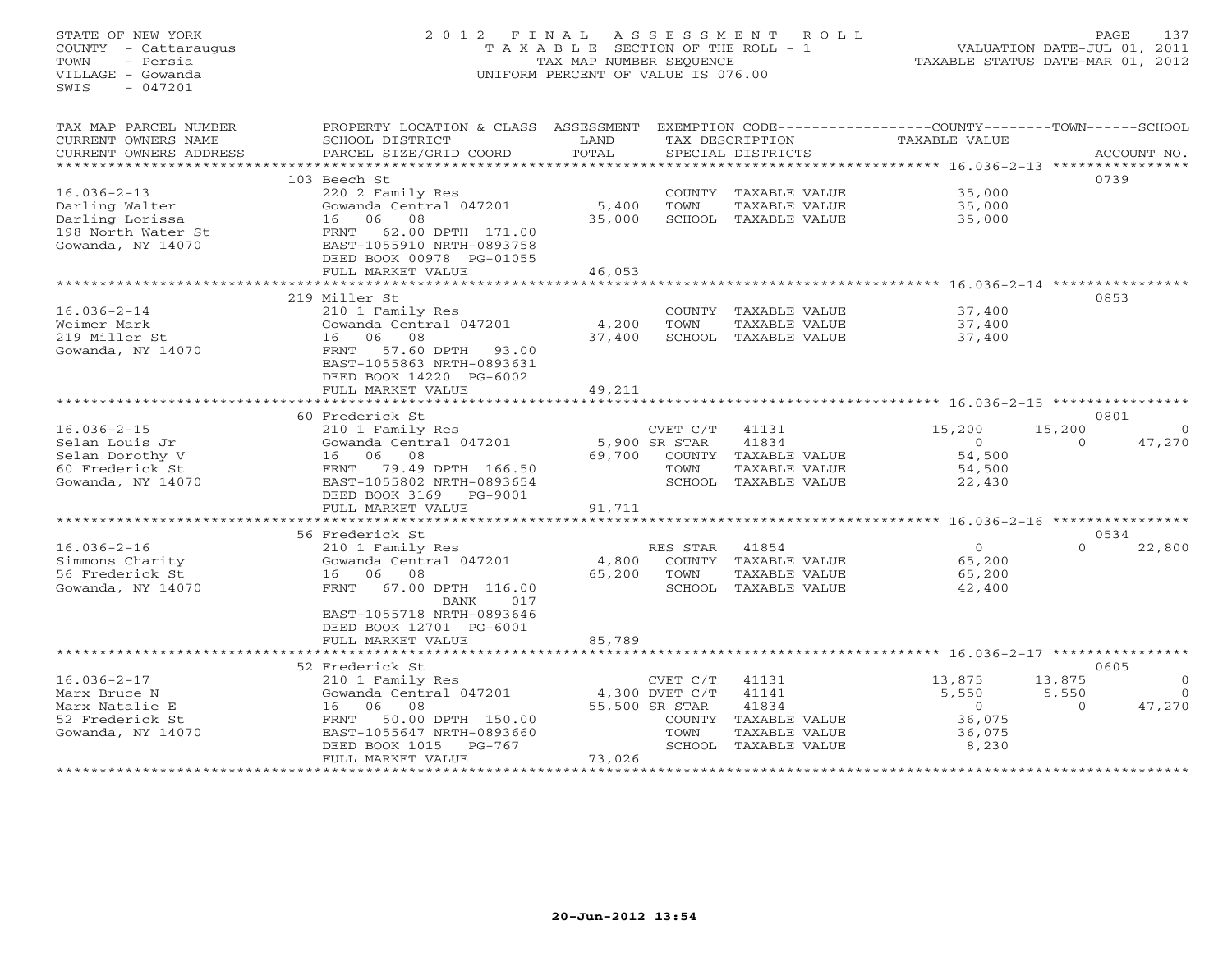## STATE OF NEW YORK 2 0 1 2 F I N A L A S S E S S M E N T R O L L PAGE 137 COUNTY - Cattaraugus T A X A B L E SECTION OF THE ROLL - 1 VALUATION DATE-JUL 01, 2011 TOWN - Persia TAX MAP NUMBER SEQUENCE TAXABLE STATUS DATE-MAR 01, 2012 VILLAGE - Gowanda UNIFORM PERCENT OF VALUE IS 076.00UNIFORM PERCENT OF VALUE IS 076.00

| TAX MAP PARCEL NUMBER<br>CURRENT OWNERS NAME | PROPERTY LOCATION & CLASS<br>SCHOOL DISTRICT | ASSESSMENT<br>LAND    |                            | TAX DESCRIPTION                       | EXEMPTION CODE-----------------COUNTY-------TOWN-----SCHOOL<br><b>TAXABLE VALUE</b> |                 |                       |
|----------------------------------------------|----------------------------------------------|-----------------------|----------------------------|---------------------------------------|-------------------------------------------------------------------------------------|-----------------|-----------------------|
| CURRENT OWNERS ADDRESS                       | PARCEL SIZE/GRID COORD                       | TOTAL                 |                            | SPECIAL DISTRICTS                     |                                                                                     |                 | ACCOUNT NO.           |
| *******************                          | ***********************************          |                       |                            |                                       | ********************************* 16.036-2-13 ****************                      |                 |                       |
|                                              | 103 Beech St                                 |                       |                            |                                       |                                                                                     | 0739            |                       |
| $16.036 - 2 - 13$                            | 220 2 Family Res<br>Gowanda Central 047201   | 5,400                 | TOWN                       | COUNTY TAXABLE VALUE                  | 35,000                                                                              |                 |                       |
| Darling Walter<br>Darling Lorissa            | 06<br>08<br>16                               | 35,000                |                            | TAXABLE VALUE<br>SCHOOL TAXABLE VALUE | 35,000<br>35,000                                                                    |                 |                       |
| 198 North Water St                           | 62.00 DPTH 171.00<br>FRNT                    |                       |                            |                                       |                                                                                     |                 |                       |
| Gowanda, NY 14070                            | EAST-1055910 NRTH-0893758                    |                       |                            |                                       |                                                                                     |                 |                       |
|                                              | DEED BOOK 00978 PG-01055                     |                       |                            |                                       |                                                                                     |                 |                       |
|                                              | FULL MARKET VALUE                            | 46,053                |                            |                                       |                                                                                     |                 |                       |
|                                              | ************************                     | * * * * * * * * * * * |                            |                                       |                                                                                     |                 |                       |
|                                              | 219 Miller St                                |                       |                            |                                       |                                                                                     | 0853            |                       |
| $16.036 - 2 - 14$                            | 210 1 Family Res                             |                       |                            | COUNTY TAXABLE VALUE                  | 37,400                                                                              |                 |                       |
| Weimer Mark                                  | Gowanda Central 047201                       | 4,200                 | TOWN                       | TAXABLE VALUE                         | 37,400                                                                              |                 |                       |
| 219 Miller St                                | 06<br>08<br>16                               | 37,400                |                            | SCHOOL TAXABLE VALUE                  | 37,400                                                                              |                 |                       |
| Gowanda, NY 14070                            | 57.60 DPTH<br>FRNT<br>93.00                  |                       |                            |                                       |                                                                                     |                 |                       |
|                                              | EAST-1055863 NRTH-0893631                    |                       |                            |                                       |                                                                                     |                 |                       |
|                                              | DEED BOOK 14220 PG-6002                      |                       |                            |                                       |                                                                                     |                 |                       |
|                                              | FULL MARKET VALUE                            | 49,211                |                            |                                       |                                                                                     |                 |                       |
|                                              |                                              |                       |                            |                                       |                                                                                     |                 |                       |
|                                              | 60 Frederick St                              |                       |                            |                                       |                                                                                     | 0801            |                       |
| $16.036 - 2 - 15$                            | 210 1 Family Res                             |                       | CVET C/T                   | 41131                                 | 15,200                                                                              | 15,200          | $\Omega$              |
| Selan Louis Jr<br>Selan Dorothy V            | Gowanda Central 047201<br>06<br>08<br>16     | 69,700                | 5,900 SR STAR              | 41834<br>COUNTY TAXABLE VALUE         | $\circ$<br>54,500                                                                   | $\Omega$        | 47,270                |
| 60 Frederick St                              | FRNT<br>79.49 DPTH 166.50                    |                       | TOWN                       | TAXABLE VALUE                         | 54,500                                                                              |                 |                       |
| Gowanda, NY 14070                            | EAST-1055802 NRTH-0893654                    |                       |                            | SCHOOL TAXABLE VALUE                  | 22,430                                                                              |                 |                       |
|                                              | DEED BOOK 3169<br>PG-9001                    |                       |                            |                                       |                                                                                     |                 |                       |
|                                              | FULL MARKET VALUE                            | 91,711                |                            |                                       |                                                                                     |                 |                       |
|                                              | *********************                        |                       |                            |                                       |                                                                                     |                 |                       |
|                                              | 56 Frederick St                              |                       |                            |                                       |                                                                                     | 0534            |                       |
| $16.036 - 2 - 16$                            | 210 1 Family Res                             |                       | RES STAR                   | 41854                                 | $\Omega$                                                                            | $\Omega$        | 22,800                |
| Simmons Charity                              | Gowanda Central 047201                       | 4,800                 |                            | COUNTY TAXABLE VALUE                  | 65,200                                                                              |                 |                       |
| 56 Frederick St                              | 16 06<br>08                                  | 65,200                | TOWN                       | TAXABLE VALUE                         | 65,200                                                                              |                 |                       |
| Gowanda, NY 14070                            | FRNT 67.00 DPTH 116.00                       |                       |                            | SCHOOL TAXABLE VALUE                  | 42,400                                                                              |                 |                       |
|                                              | BANK<br>017                                  |                       |                            |                                       |                                                                                     |                 |                       |
|                                              | EAST-1055718 NRTH-0893646                    |                       |                            |                                       |                                                                                     |                 |                       |
|                                              | DEED BOOK 12701 PG-6001                      |                       |                            |                                       |                                                                                     |                 |                       |
|                                              | FULL MARKET VALUE                            | 85,789                |                            |                                       |                                                                                     |                 |                       |
|                                              | ************************                     |                       |                            |                                       |                                                                                     |                 |                       |
|                                              | 52 Frederick St                              |                       |                            |                                       |                                                                                     | 0605            |                       |
| $16.036 - 2 - 17$<br>Marx Bruce N            | 210 1 Family Res<br>Gowanda Central 047201   |                       | CVET C/T<br>4,300 DVET C/T | 41131<br>41141                        | 13,875<br>5,550                                                                     | 13,875<br>5,550 | $\circ$<br>$\bigcirc$ |
| Marx Natalie E                               | 06<br>08<br>16                               |                       | 55,500 SR STAR             | 41834                                 | $\circ$                                                                             | $\Omega$        | 47,270                |
| 52 Frederick St                              | 50.00 DPTH 150.00<br>FRNT                    |                       |                            | COUNTY TAXABLE VALUE                  | 36,075                                                                              |                 |                       |
| Gowanda, NY 14070                            | EAST-1055647 NRTH-0893660                    |                       | TOWN                       | TAXABLE VALUE                         | 36,075                                                                              |                 |                       |
|                                              | DEED BOOK 1015<br>$PG-767$                   |                       |                            | SCHOOL TAXABLE VALUE                  | 8,230                                                                               |                 |                       |
|                                              | FULL MARKET VALUE                            | 73,026                |                            |                                       |                                                                                     |                 |                       |
|                                              | ************************                     |                       |                            |                                       |                                                                                     |                 |                       |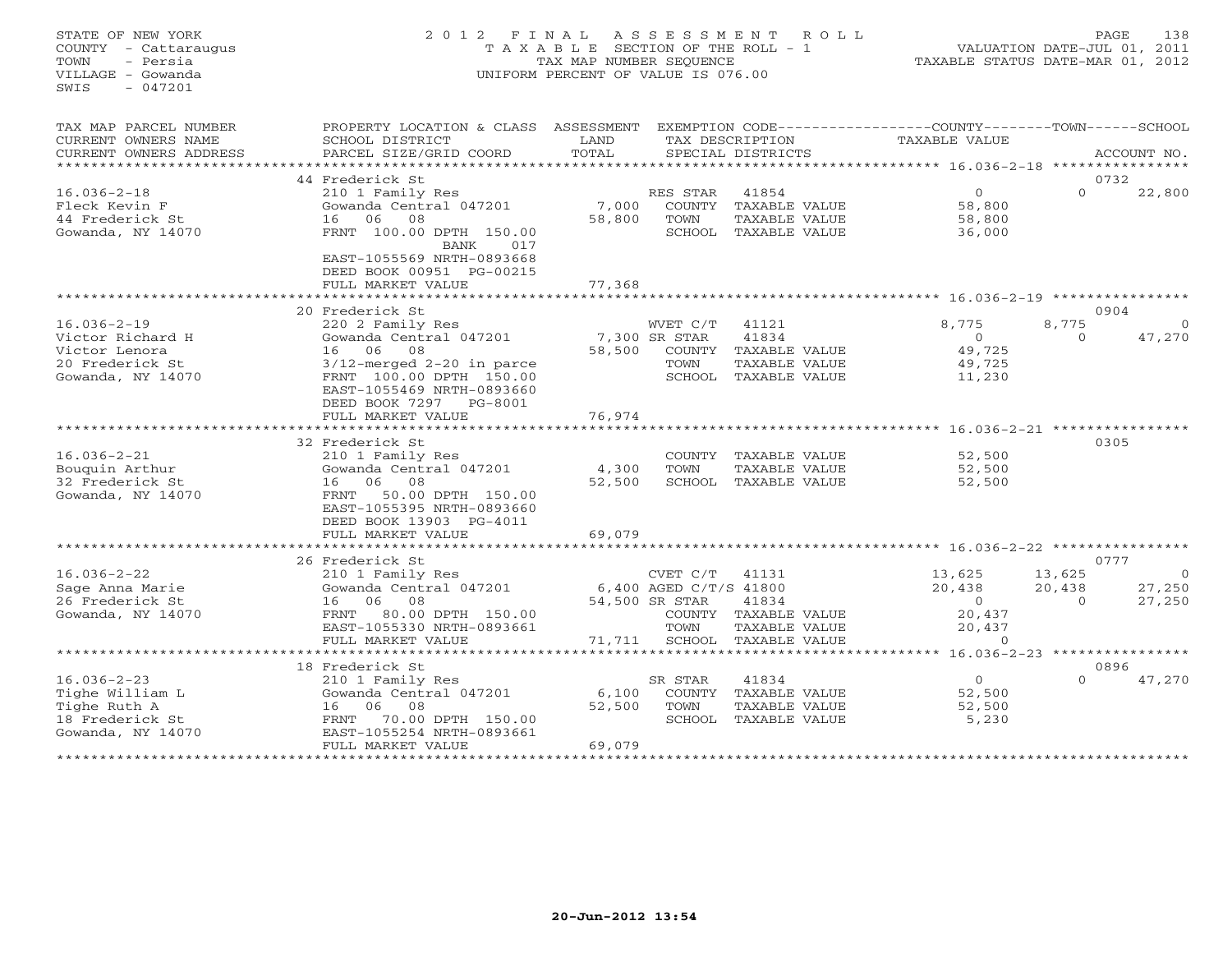## STATE OF NEW YORK 2 0 1 2 F I N A L A S S E S S M E N T R O L L PAGE 138 COUNTY - Cattaraugus T A X A B L E SECTION OF THE ROLL - 1 VALUATION DATE-JUL 01, 2011 TOWN - Persia TAX MAP NUMBER SEQUENCE TAXABLE STATUS DATE-MAR 01, 2012 VILLAGE - Gowanda UNIFORM PERCENT OF VALUE IS 076.00UNIFORM PERCENT OF VALUE IS 076.00

| TAX MAP PARCEL NUMBER<br>CURRENT OWNERS NAME<br>CURRENT OWNERS ADDRESS | PROPERTY LOCATION & CLASS<br>SCHOOL DISTRICT<br>PARCEL SIZE/GRID COORD | ASSESSMENT<br>LAND<br>TOTAL |                        | TAX DESCRIPTION<br>SPECIAL DISTRICTS | EXEMPTION CODE-----------------COUNTY-------TOWN------SCHOOL<br>TAXABLE VALUE |                                    | ACCOUNT NO.    |
|------------------------------------------------------------------------|------------------------------------------------------------------------|-----------------------------|------------------------|--------------------------------------|-------------------------------------------------------------------------------|------------------------------------|----------------|
|                                                                        |                                                                        |                             |                        |                                      |                                                                               |                                    |                |
| $16.036 - 2 - 18$                                                      | 44 Frederick St<br>210 1 Family Res                                    |                             | RES STAR               | 41854                                | $\overline{0}$                                                                | $\Omega$                           | 0732<br>22,800 |
| Fleck Kevin F<br>44 Frederick St                                       | Gowanda Central 047201<br>06<br>08<br>16                               | 7,000<br>58,800             | COUNTY<br>TOWN         | TAXABLE VALUE<br>TAXABLE VALUE       | 58,800<br>58,800                                                              |                                    |                |
| Gowanda, NY 14070                                                      | FRNT 100.00 DPTH 150.00<br><b>BANK</b><br>017                          |                             | SCHOOL                 | TAXABLE VALUE                        | 36,000                                                                        |                                    |                |
|                                                                        | EAST-1055569 NRTH-0893668<br>DEED BOOK 00951 PG-00215                  |                             |                        |                                      |                                                                               |                                    |                |
|                                                                        | FULL MARKET VALUE                                                      | 77,368                      |                        |                                      |                                                                               |                                    |                |
|                                                                        |                                                                        |                             |                        |                                      | ******** 16.036-2-19 *****************                                        |                                    |                |
|                                                                        | 20 Frederick St                                                        |                             |                        |                                      |                                                                               |                                    | 0904           |
| $16.036 - 2 - 19$                                                      | 220 2 Family Res                                                       |                             | WVET C/T               | 41121                                | 8,775                                                                         | 8,775                              |                |
| Victor Richard H                                                       | Gowanda Central 047201                                                 |                             | 7,300 SR STAR          | 41834                                | $\circ$                                                                       | $\Omega$                           | 47,270         |
| Victor Lenora                                                          | 06<br>08<br>16                                                         | 58,500                      | COUNTY                 | TAXABLE VALUE                        | 49,725                                                                        |                                    |                |
| 20 Frederick St                                                        | $3/12$ -merged $2-20$ in parce                                         |                             | TOWN                   | TAXABLE VALUE                        | 49,725                                                                        |                                    |                |
| Gowanda, NY 14070                                                      | FRNT 100.00 DPTH 150.00                                                |                             | SCHOOL                 | TAXABLE VALUE                        | 11,230                                                                        |                                    |                |
|                                                                        | EAST-1055469 NRTH-0893660                                              |                             |                        |                                      |                                                                               |                                    |                |
|                                                                        | DEED BOOK 7297<br>PG-8001                                              |                             |                        |                                      |                                                                               |                                    |                |
|                                                                        | FULL MARKET VALUE                                                      | 76,974                      |                        |                                      | *********************** 16.036-2-21 ***********                               |                                    |                |
|                                                                        | 32 Frederick St                                                        |                             |                        |                                      |                                                                               |                                    | 0305           |
| $16.036 - 2 - 21$                                                      | 210 1 Family Res                                                       |                             | COUNTY                 | TAXABLE VALUE                        | 52,500                                                                        |                                    |                |
| Bouquin Arthur                                                         | Gowanda Central 047201                                                 | 4,300                       | TOWN                   | TAXABLE VALUE                        | 52,500                                                                        |                                    |                |
| 32 Frederick St                                                        | 16<br>06<br>08                                                         | 52,500                      | SCHOOL                 | TAXABLE VALUE                        | 52,500                                                                        |                                    |                |
| Gowanda, NY 14070                                                      | FRNT<br>50.00 DPTH 150.00                                              |                             |                        |                                      |                                                                               |                                    |                |
|                                                                        | EAST-1055395 NRTH-0893660                                              |                             |                        |                                      |                                                                               |                                    |                |
|                                                                        | DEED BOOK 13903 PG-4011                                                |                             |                        |                                      |                                                                               |                                    |                |
|                                                                        | FULL MARKET VALUE                                                      | 69,079                      |                        |                                      |                                                                               |                                    |                |
|                                                                        |                                                                        |                             |                        |                                      | ************************************ 16.036-2-22 *****************            |                                    |                |
|                                                                        | 26 Frederick St                                                        |                             |                        |                                      |                                                                               |                                    | 0777           |
| $16.036 - 2 - 22$                                                      | 210 1 Family Res                                                       |                             | CVET C/T               | 41131                                | 13,625                                                                        | 13,625                             | - 0            |
| Sage Anna Marie                                                        | Gowanda Central 047201                                                 |                             | 6,400 AGED C/T/S 41800 |                                      | 20,438                                                                        | 20,438                             | 27,250         |
| 26 Frederick St                                                        | 06<br>08<br>16                                                         |                             | 54,500 SR STAR         | 41834                                | $\circ$                                                                       | $\Omega$                           | 27,250         |
| Gowanda, NY 14070                                                      | 80.00 DPTH 150.00<br>FRNT                                              |                             | COUNTY                 | TAXABLE VALUE                        | 20,437                                                                        |                                    |                |
|                                                                        | EAST-1055330 NRTH-0893661                                              |                             | TOWN                   | TAXABLE VALUE                        | 20,437                                                                        |                                    |                |
|                                                                        | FULL MARKET VALUE                                                      | 71,711                      | SCHOOL                 | TAXABLE VALUE                        | $\Omega$                                                                      |                                    |                |
|                                                                        | ************************                                               |                             |                        | *****************************        |                                                                               | $16.036 - 2 - 23$ **************** |                |
|                                                                        | 18 Frederick St                                                        |                             |                        |                                      |                                                                               |                                    | 0896           |
| $16.036 - 2 - 23$                                                      | 210 1 Family Res                                                       |                             | SR STAR                | 41834                                | $\overline{O}$                                                                | $\Omega$                           | 47,270         |
| Tighe William L                                                        | Gowanda Central 047201                                                 | 6,100                       | <b>COUNTY</b>          | TAXABLE VALUE                        | 52,500                                                                        |                                    |                |
| Tighe Ruth A                                                           | 06<br>16<br>08                                                         | 52,500                      | TOWN                   | TAXABLE VALUE                        | 52,500                                                                        |                                    |                |
| 18 Frederick St                                                        | 70.00 DPTH 150.00<br>FRNT                                              |                             | SCHOOL                 | TAXABLE VALUE                        | 5,230                                                                         |                                    |                |
| Gowanda, NY 14070                                                      | EAST-1055254 NRTH-0893661<br>FULL MARKET VALUE                         | 69,079                      |                        |                                      |                                                                               |                                    |                |
|                                                                        | ***********************                                                | *****************           |                        |                                      |                                                                               |                                    |                |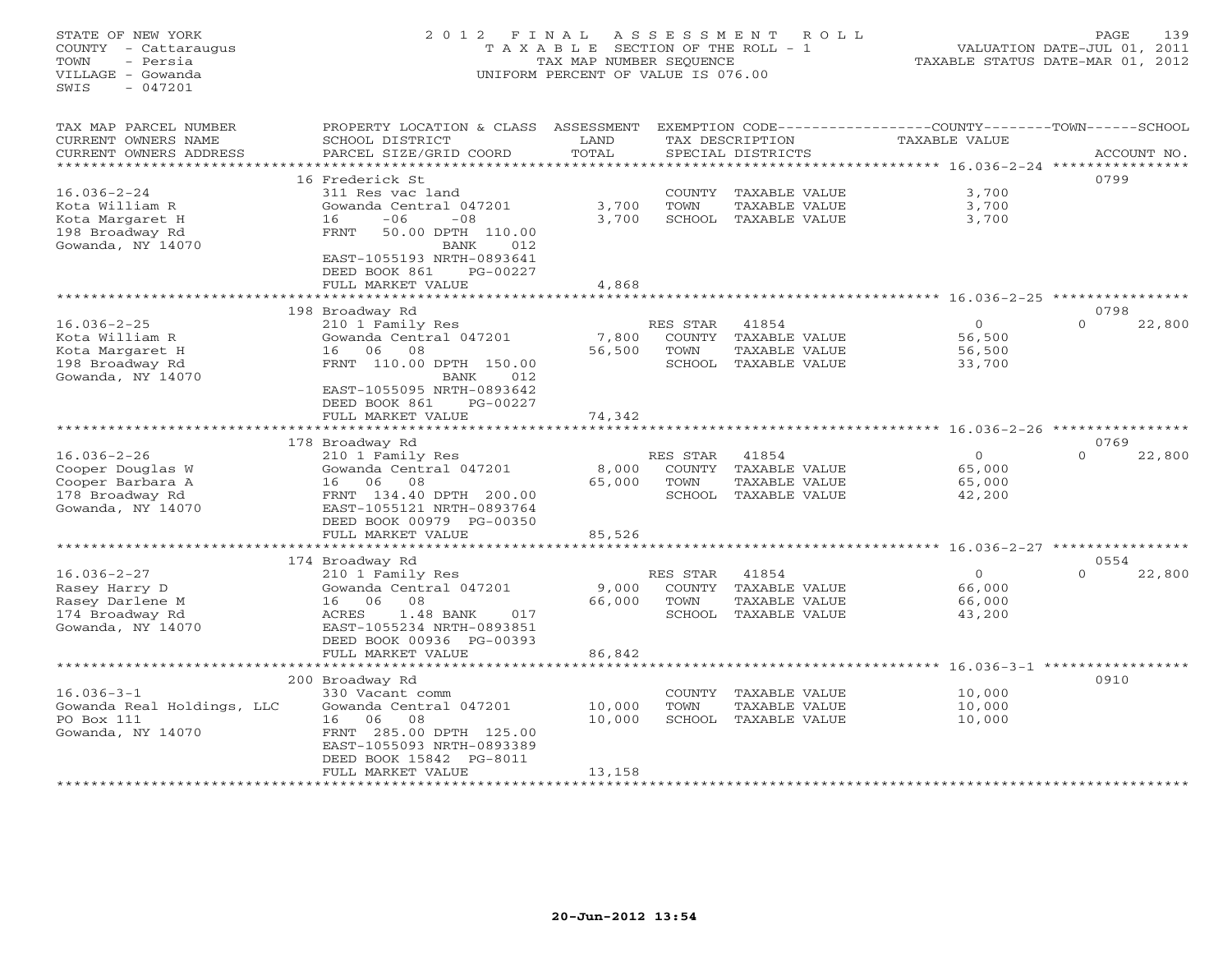STATE OF NEW YORK 2 0 1 2 F I N A L A S S E S S M E N T R O L L PAGE 139 COUNTY - Cattaraugus T A X A B L E SECTION OF THE ROLL - 1 VALUATION DATE-JUL 01, 2011 TOWN - Persia TAX MAP NUMBER SEQUENCE TAXABLE STATUS DATE-MAR 01, 2012 VILLAGE - Gowanda UNIFORM PERCENT OF VALUE IS 076.00 SWIS - 047201TAX MAP PARCEL NUMBER PROPERTY LOCATION & CLASS ASSESSMENT EXEMPTION CODE-----------------COUNTY-------TOWN------SCHOOL<br>CURRENT OWNERS NAME SCHOOL DISTRICT LAND TAX DESC \*\*\*\*\*\*\*\*\*\*\*\*\*\*\*\*\*\*\*\*\*\*\*\*\*\*\*\*\*\*\*\*\*\*\*\*\*\*\*\*\*\*\*\*\*\*\*\*\*\*\*\*\*\*\*\*\*\*\*\*\*\*\*\*\*\*\*\*\*\*\*\*\*\*\*\*\*\*\*\*\*\*\*\*\*\*\*\*\*\*\*\*\*\*\*\*\*\*\*\*\*\*\* 16.036-2-24 \*\*\*\*\*\*\*\*\*\*\*\*\*\*\*\* 16 Frederick St 079916.036-2-24 311 Res vac land COUNTY TAXABLE VALUE 3,700 Kota William R Gowanda Central 047201 3,700 TOWN TAXABLE VALUE 3,700 Kota Margaret H 16 -06 -08 3,700 SCHOOL TAXABLE VALUE 3,700 198 Broadway Rd FRNT 50.00 DPTH 110.00 Gowanda, NY 14070 BANK 012 EAST-1055193 NRTH-0893641 DEED BOOK 861 PG-00227 FULL MARKET VALUE 4,868 \*\*\*\*\*\*\*\*\*\*\*\*\*\*\*\*\*\*\*\*\*\*\*\*\*\*\*\*\*\*\*\*\*\*\*\*\*\*\*\*\*\*\*\*\*\*\*\*\*\*\*\*\*\*\*\*\*\*\*\*\*\*\*\*\*\*\*\*\*\*\*\*\*\*\*\*\*\*\*\*\*\*\*\*\*\*\*\*\*\*\*\*\*\*\*\*\*\*\*\*\*\*\* 16.036-2-25 \*\*\*\*\*\*\*\*\*\*\*\*\*\*\*\* 198 Broadway Rd 0798 16.036-2-25 210 1 Family Res RES STAR 41854 0 0 22,800 Kota William R Gowanda Central 047201 7,800 COUNTY TAXABLE VALUE 56,500 Kota Margaret H 16 06 08 56,500 TOWN TAXABLE VALUE 56,500 198 Broadway Rd FRNT 110.00 DPTH 150.00 SCHOOL TAXABLE VALUE 33,700 Gowanda, NY 14070 BANK 012 EAST-1055095 NRTH-0893642 DEED BOOK 861 PG-00227 FULL MARKET VALUE 74,342 \*\*\*\*\*\*\*\*\*\*\*\*\*\*\*\*\*\*\*\*\*\*\*\*\*\*\*\*\*\*\*\*\*\*\*\*\*\*\*\*\*\*\*\*\*\*\*\*\*\*\*\*\*\*\*\*\*\*\*\*\*\*\*\*\*\*\*\*\*\*\*\*\*\*\*\*\*\*\*\*\*\*\*\*\*\*\*\*\*\*\*\*\*\*\*\*\*\*\*\*\*\*\* 16.036-2-26 \*\*\*\*\*\*\*\*\*\*\*\*\*\*\*\* $54$  0769<br>0 0 22,800 178 Broadway Rd 0769 16.036-2-26 210 1 Family Res RES STAR 41854 0 0 22,800 Cooper Douglas W Gowanda Central 047201 8,000 COUNTY TAXABLE VALUE 65,000 Cooper Barbara A 16 06 08 65,000 TOWN TAXABLE VALUE 65,000 178 Broadway Rd FRNT 134.40 DPTH 200.00 SCHOOL TAXABLE VALUE 42,200 Gowanda, NY 14070 EAST-1055121 NRTH-0893764 DEED BOOK 00979 PG-00350 FULL MARKET VALUE 85,526 \*\*\*\*\*\*\*\*\*\*\*\*\*\*\*\*\*\*\*\*\*\*\*\*\*\*\*\*\*\*\*\*\*\*\*\*\*\*\*\*\*\*\*\*\*\*\*\*\*\*\*\*\*\*\*\*\*\*\*\*\*\*\*\*\*\*\*\*\*\*\*\*\*\*\*\*\*\*\*\*\*\*\*\*\*\*\*\*\*\*\*\*\*\*\*\*\*\*\*\*\*\*\* 16.036-2-27 \*\*\*\*\*\*\*\*\*\*\*\*\*\*\*\* 174 Broadway Rd 0554 16.036-2-27 210 1 Family Res RES STAR 41854 0 0 22,800 Rasey Harry D Gowanda Central 047201 9,000 COUNTY TAXABLE VALUE 66,000 Rasey Darlene M 16 06 08 66,000 TOWN TAXABLE VALUE 66,000 174 Broadway Rd ACRES 1.48 BANK 017 SCHOOL TAXABLE VALUE 43,200 Gowanda, NY 14070 EAST-1055234 NRTH-0893851 DEED BOOK 00936 PG-00393 FULL MARKET VALUE 86,842 \*\*\*\*\*\*\*\*\*\*\*\*\*\*\*\*\*\*\*\*\*\*\*\*\*\*\*\*\*\*\*\*\*\*\*\*\*\*\*\*\*\*\*\*\*\*\*\*\*\*\*\*\*\*\*\*\*\*\*\*\*\*\*\*\*\*\*\*\*\*\*\*\*\*\*\*\*\*\*\*\*\*\*\*\*\*\*\*\*\*\*\*\*\*\*\*\*\*\*\*\*\*\* 16.036-3-1 \*\*\*\*\*\*\*\*\*\*\*\*\*\*\*\*\* 200 Broadway Rd 0910 16.036-3-1 330 Vacant comm COUNTY TAXABLE VALUE 10,000 Gowanda Real Holdings, LLC Gowanda Central 047201 10,000 TOWN TAXABLE VALUE 10,000

PO Box 111 16 06 08 10,000 SCHOOL TAXABLE VALUE 10,000 Gowanda, NY 14070 FRNT 285.00 DPTH 125.00 EAST-1055093 NRTH-0893389 DEED BOOK 15842 PG-8011 FULL MARKET VALUE 13,158 \*\*\*\*\*\*\*\*\*\*\*\*\*\*\*\*\*\*\*\*\*\*\*\*\*\*\*\*\*\*\*\*\*\*\*\*\*\*\*\*\*\*\*\*\*\*\*\*\*\*\*\*\*\*\*\*\*\*\*\*\*\*\*\*\*\*\*\*\*\*\*\*\*\*\*\*\*\*\*\*\*\*\*\*\*\*\*\*\*\*\*\*\*\*\*\*\*\*\*\*\*\*\*\*\*\*\*\*\*\*\*\*\*\*\*\*\*\*\*\*\*\*\*\*\*\*\*\*\*\*\*\*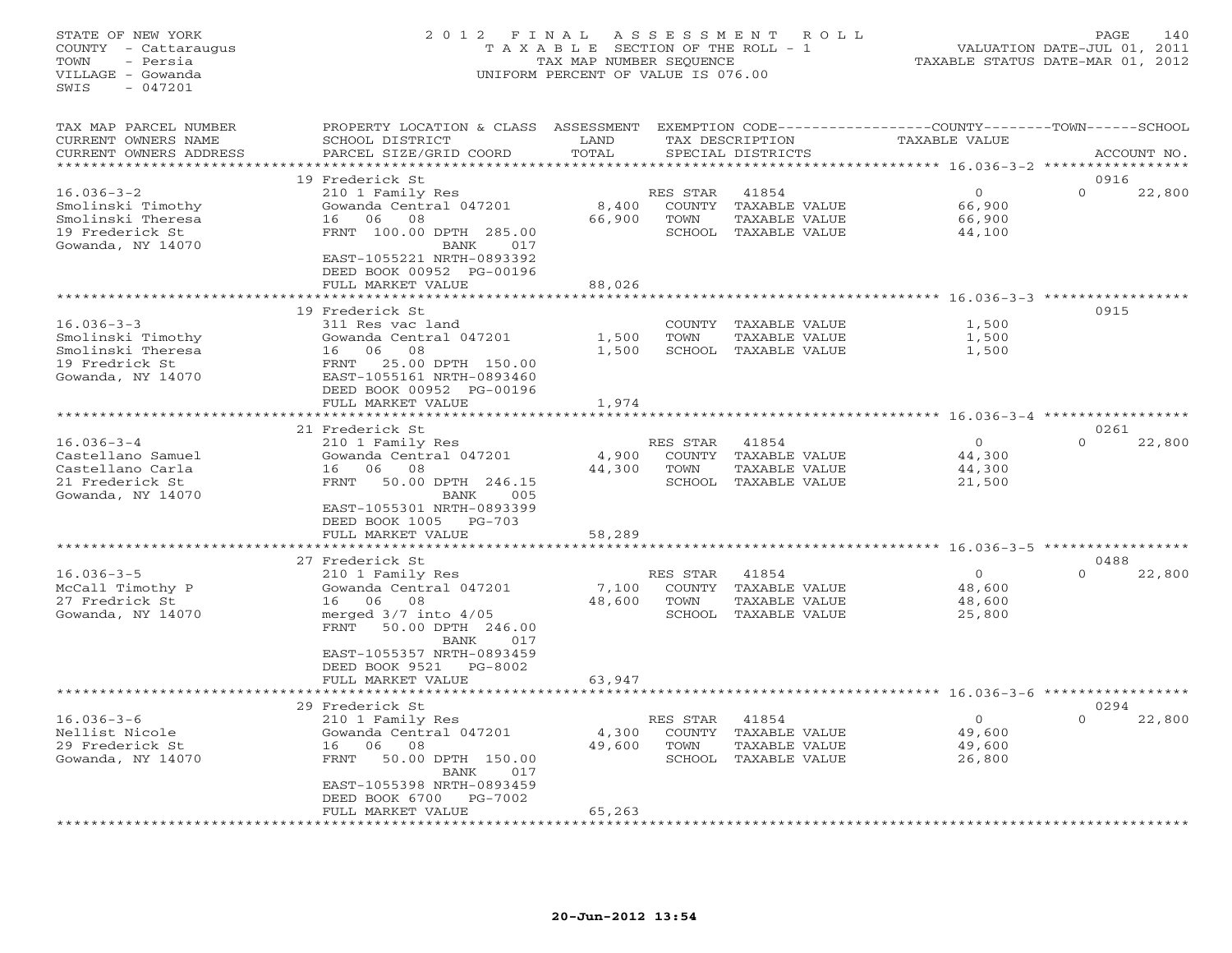## STATE OF NEW YORK 2 0 1 2 F I N A L A S S E S S M E N T R O L L PAGE 140 COUNTY - Cattaraugus T A X A B L E SECTION OF THE ROLL - 1 VALUATION DATE-JUL 01, 2011 TOWN - Persia TAX MAP NUMBER SEQUENCE TAXABLE STATUS DATE-MAR 01, 2012 VILLAGE - Gowanda UNIFORM PERCENT OF VALUE IS 076.00UNIFORM PERCENT OF VALUE IS 076.00

| TAX MAP PARCEL NUMBER<br>CURRENT OWNERS NAME<br>CURRENT OWNERS ADDRESS                                                                                                           | PROPERTY LOCATION & CLASS<br>SCHOOL DISTRICT<br>PARCEL SIZE/GRID COORD                                                                                                                                                                                                                                                                                                                                                                  | ASSESSMENT<br>LAND<br>TOTAL                  |                                                                           | TAX DESCRIPTION<br>SPECIAL DISTRICTS                                                                                        | EXEMPTION CODE-----------------COUNTY-------TOWN------SCHOOL<br>TAXABLE VALUE                                      |                                      | ACCOUNT NO.      |
|----------------------------------------------------------------------------------------------------------------------------------------------------------------------------------|-----------------------------------------------------------------------------------------------------------------------------------------------------------------------------------------------------------------------------------------------------------------------------------------------------------------------------------------------------------------------------------------------------------------------------------------|----------------------------------------------|---------------------------------------------------------------------------|-----------------------------------------------------------------------------------------------------------------------------|--------------------------------------------------------------------------------------------------------------------|--------------------------------------|------------------|
| *******************                                                                                                                                                              |                                                                                                                                                                                                                                                                                                                                                                                                                                         |                                              |                                                                           |                                                                                                                             |                                                                                                                    |                                      |                  |
| $16.036 - 3 - 2$<br>Smolinski Timothy<br>Smolinski Theresa<br>19 Frederick St<br>Gowanda, NY 14070                                                                               | 19 Frederick St<br>210 1 Family Res<br>Gowanda Central 047201<br>06<br>08<br>16<br>FRNT 100.00 DPTH 285.00<br>BANK<br>017<br>EAST-1055221 NRTH-0893392<br>DEED BOOK 00952 PG-00196                                                                                                                                                                                                                                                      | 8,400<br>66,900                              | RES STAR<br>COUNTY<br>TOWN<br>SCHOOL                                      | 41854<br>TAXABLE VALUE<br>TAXABLE VALUE<br>TAXABLE VALUE                                                                    | $\circ$<br>66,900<br>66,900<br>44,100                                                                              | 0916<br>$\Omega$                     | 22,800           |
|                                                                                                                                                                                  | FULL MARKET VALUE                                                                                                                                                                                                                                                                                                                                                                                                                       | 88,026                                       |                                                                           |                                                                                                                             | ****** 16.036-3-3 ******                                                                                           |                                      |                  |
| $16.036 - 3 - 3$<br>Smolinski Timothy<br>Smolinski Theresa<br>19 Fredrick St<br>Gowanda, NY 14070                                                                                | 19 Frederick St<br>311 Res vac land<br>Gowanda Central 047201<br>06<br>08<br>16<br>25.00 DPTH 150.00<br>FRNT<br>EAST-1055161 NRTH-0893460<br>DEED BOOK 00952 PG-00196<br>FULL MARKET VALUE                                                                                                                                                                                                                                              | 1,500<br>1,500<br>1,974                      | COUNTY<br>TOWN                                                            | TAXABLE VALUE<br>TAXABLE VALUE<br>SCHOOL TAXABLE VALUE                                                                      | 1,500<br>1,500<br>1,500                                                                                            | 0915                                 |                  |
|                                                                                                                                                                                  |                                                                                                                                                                                                                                                                                                                                                                                                                                         | ***********                                  |                                                                           |                                                                                                                             |                                                                                                                    |                                      |                  |
| $16.036 - 3 - 4$<br>Castellano Samuel<br>Castellano Carla<br>21 Frederick St<br>Gowanda, NY 14070<br>$16.036 - 3 - 5$<br>McCall Timothy P<br>27 Fredrick St<br>Gowanda, NY 14070 | 21 Frederick St<br>210 1 Family Res<br>Gowanda Central 047201<br>06<br>08<br>16<br><b>FRNT</b><br>50.00 DPTH 246.15<br>BANK<br>005<br>EAST-1055301 NRTH-0893399<br>DEED BOOK 1005<br>$PG-703$<br>FULL MARKET VALUE<br>27 Frederick St<br>210 1 Family Res<br>Gowanda Central 047201<br>06<br>08<br>16<br>merged $3/7$ into $4/05$<br>FRNT<br>50.00 DPTH 246.00<br>BANK<br>017<br>EAST-1055357 NRTH-0893459<br>DEED BOOK 9521<br>PG-8002 | 4,900<br>44,300<br>58,289<br>7,100<br>48,600 | RES STAR<br>COUNTY<br>TOWN<br>RES STAR<br><b>COUNTY</b><br>TOWN<br>SCHOOL | 41854<br>TAXABLE VALUE<br>TAXABLE VALUE<br>SCHOOL TAXABLE VALUE<br>41854<br>TAXABLE VALUE<br>TAXABLE VALUE<br>TAXABLE VALUE | $\circ$<br>44,300<br>44,300<br>21,500<br>********** 16.036-3-5 **********<br>$\circ$<br>48,600<br>48,600<br>25,800 | 0261<br>$\Omega$<br>0488<br>$\Omega$ | 22,800<br>22,800 |
|                                                                                                                                                                                  | FULL MARKET VALUE                                                                                                                                                                                                                                                                                                                                                                                                                       | 63,947                                       |                                                                           |                                                                                                                             | ************** 16.036-3-6 ******************                                                                       |                                      |                  |
| $16.036 - 3 - 6$<br>Nellist Nicole<br>29 Frederick St<br>Gowanda, NY 14070                                                                                                       | 29 Frederick St<br>210 1 Family Res<br>Gowanda Central 047201<br>06<br>08<br>16<br>FRNT<br>50.00 DPTH 150.00<br>BANK<br>017<br>EAST-1055398 NRTH-0893459<br>DEED BOOK 6700<br>PG-7002<br>FULL MARKET VALUE                                                                                                                                                                                                                              | 4,300<br>49,600<br>65,263                    | RES STAR<br>COUNTY<br>TOWN<br>SCHOOL                                      | 41854<br>TAXABLE VALUE<br>TAXABLE VALUE<br>TAXABLE VALUE                                                                    | $\Omega$<br>49,600<br>49,600<br>26,800                                                                             | $\Omega$                             | 0294<br>22,800   |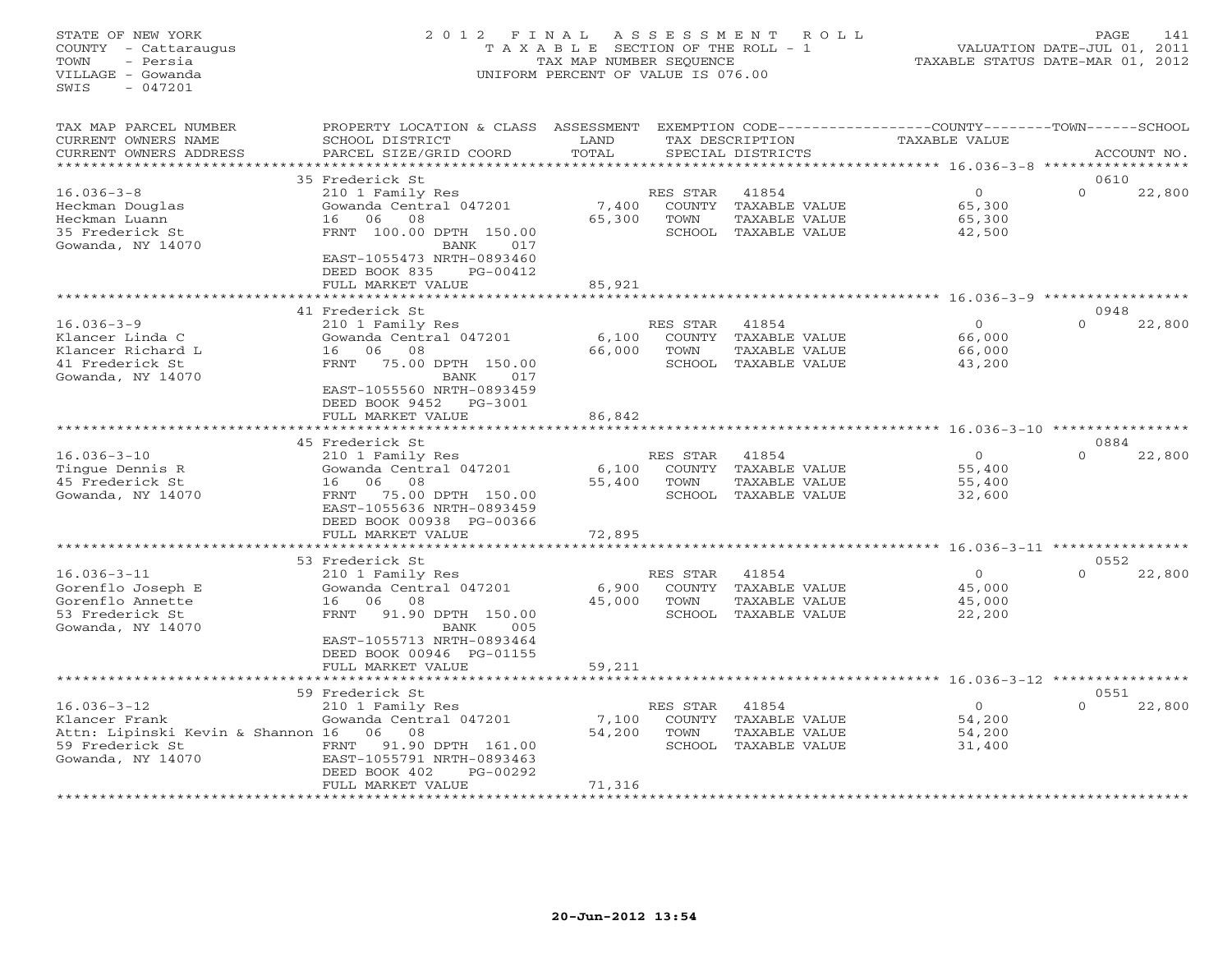## STATE OF NEW YORK 2 0 1 2 F I N A L A S S E S S M E N T R O L L PAGE 141 COUNTY - Cattaraugus T A X A B L E SECTION OF THE ROLL - 1 VALUATION DATE-JUL 01, 2011 TOWN - Persia TAX MAP NUMBER SEQUENCE TAXABLE STATUS DATE-MAR 01, 2012 VILLAGE - Gowanda UNIFORM PERCENT OF VALUE IS 076.00UNIFORM PERCENT OF VALUE IS 076.00

| TAX MAP PARCEL NUMBER<br>CURRENT OWNERS NAME<br>CURRENT OWNERS ADDRESS                                          | PROPERTY LOCATION & CLASS ASSESSMENT<br>SCHOOL DISTRICT<br>PARCEL SIZE/GRID COORD                                                                                                          | LAND<br>TOTAL             |                                             | TAX DESCRIPTION<br>SPECIAL DISTRICTS                            | EXEMPTION CODE-----------------COUNTY-------TOWN------SCHOOL<br><b>TAXABLE VALUE</b> | ACCOUNT NO.      |        |
|-----------------------------------------------------------------------------------------------------------------|--------------------------------------------------------------------------------------------------------------------------------------------------------------------------------------------|---------------------------|---------------------------------------------|-----------------------------------------------------------------|--------------------------------------------------------------------------------------|------------------|--------|
| * * * * * * * * * * * * * * * * * * *                                                                           |                                                                                                                                                                                            |                           |                                             |                                                                 |                                                                                      |                  |        |
| $16.036 - 3 - 8$<br>Heckman Douglas<br>Heckman Luann<br>35 Frederick St<br>Gowanda, NY 14070                    | 35 Frederick St<br>210 1 Family Res<br>Gowanda Central 047201<br>06<br>08<br>16<br>FRNT 100.00 DPTH 150.00<br><b>BANK</b><br>017<br>EAST-1055473 NRTH-0893460<br>DEED BOOK 835<br>PG-00412 | 7,400<br>65,300           | RES STAR<br><b>COUNTY</b><br>TOWN<br>SCHOOL | 41854<br>TAXABLE VALUE<br>TAXABLE VALUE<br>TAXABLE VALUE        | $\circ$<br>65,300<br>65,300<br>42,500                                                | 0610<br>$\Omega$ | 22,800 |
|                                                                                                                 | FULL MARKET VALUE                                                                                                                                                                          | 85,921                    |                                             |                                                                 |                                                                                      |                  |        |
|                                                                                                                 | * * * * * * * * * * * * * * * * * * *                                                                                                                                                      | ********                  |                                             |                                                                 | ******************************* 16.036-3-9 *****************                         |                  |        |
| $16.036 - 3 - 9$<br>Klancer Linda C<br>Klancer Richard L<br>41 Frederick St<br>Gowanda, NY 14070                | 41 Frederick St<br>210 1 Family Res<br>Gowanda Central 047201<br>06<br>08<br>16<br>75.00 DPTH 150.00<br>FRNT<br>BANK<br>017<br>EAST-1055560 NRTH-0893459                                   | 6,100<br>66,000           | RES STAR<br>COUNTY<br>TOWN<br>SCHOOL        | 41854<br>TAXABLE VALUE<br>TAXABLE VALUE<br>TAXABLE VALUE        | $\Omega$<br>66,000<br>66,000<br>43,200                                               | 0948<br>$\Omega$ | 22,800 |
|                                                                                                                 | DEED BOOK 9452<br>PG-3001<br>FULL MARKET VALUE                                                                                                                                             | 86,842                    |                                             |                                                                 |                                                                                      |                  |        |
|                                                                                                                 |                                                                                                                                                                                            |                           |                                             |                                                                 | ****************** 16.036-3-10 *****************                                     |                  |        |
|                                                                                                                 | 45 Frederick St                                                                                                                                                                            |                           |                                             |                                                                 |                                                                                      | 0884             |        |
| $16.036 - 3 - 10$<br>Tinque Dennis R<br>45 Frederick St<br>Gowanda, NY 14070                                    | 210 1 Family Res<br>Gowanda Central 047201<br>06<br>08<br>16<br>75.00 DPTH 150.00<br>FRNT<br>EAST-1055636 NRTH-0893459<br>DEED BOOK 00938 PG-00366                                         | 6,100<br>55,400           | RES STAR<br>COUNTY<br>TOWN                  | 41854<br>TAXABLE VALUE<br>TAXABLE VALUE<br>SCHOOL TAXABLE VALUE | $\Omega$<br>55,400<br>55,400<br>32,600                                               | $\Omega$         | 22,800 |
|                                                                                                                 | FULL MARKET VALUE                                                                                                                                                                          | 72,895                    |                                             |                                                                 | ******************** 16.036-3-11 *****************                                   |                  |        |
|                                                                                                                 | 53 Frederick St                                                                                                                                                                            |                           |                                             |                                                                 |                                                                                      | 0552             |        |
| $16.036 - 3 - 11$<br>Gorenflo Joseph E<br>Gorenflo Annette<br>53 Frederick St<br>Gowanda, NY 14070              | 210 1 Family Res<br>Gowanda Central 047201<br>06<br>08<br>16<br>91.90 DPTH 150.00<br>FRNT<br><b>BANK</b><br>005<br>EAST-1055713 NRTH-0893464                                               | 6,900<br>45,000           | RES STAR<br>COUNTY<br>TOWN<br>SCHOOL        | 41854<br>TAXABLE VALUE<br>TAXABLE VALUE<br>TAXABLE VALUE        | $\circ$<br>45,000<br>45,000<br>22,200                                                | $\Omega$         | 22,800 |
|                                                                                                                 | DEED BOOK 00946 PG-01155<br>FULL MARKET VALUE                                                                                                                                              | 59,211                    |                                             |                                                                 |                                                                                      |                  |        |
|                                                                                                                 |                                                                                                                                                                                            |                           |                                             |                                                                 |                                                                                      |                  |        |
|                                                                                                                 | 59 Frederick St                                                                                                                                                                            |                           |                                             |                                                                 |                                                                                      | 0551             |        |
| $16.036 - 3 - 12$<br>Klancer Frank<br>Attn: Lipinski Kevin & Shannon 16<br>59 Frederick St<br>Gowanda, NY 14070 | 210 1 Family Res<br>Gowanda Central 047201<br>06<br>08<br>91.90 DPTH 161.00<br>FRNT<br>EAST-1055791 NRTH-0893463<br>DEED BOOK 402<br>PG-00292<br>FULL MARKET VALUE                         | 7,100<br>54,200<br>71,316 | RES STAR<br>COUNTY<br>TOWN<br>SCHOOL        | 41854<br>TAXABLE VALUE<br>TAXABLE VALUE<br>TAXABLE VALUE        | $\circ$<br>54,200<br>54,200<br>31,400                                                | $\Omega$         | 22,800 |
|                                                                                                                 |                                                                                                                                                                                            | *********                 |                                             |                                                                 |                                                                                      |                  |        |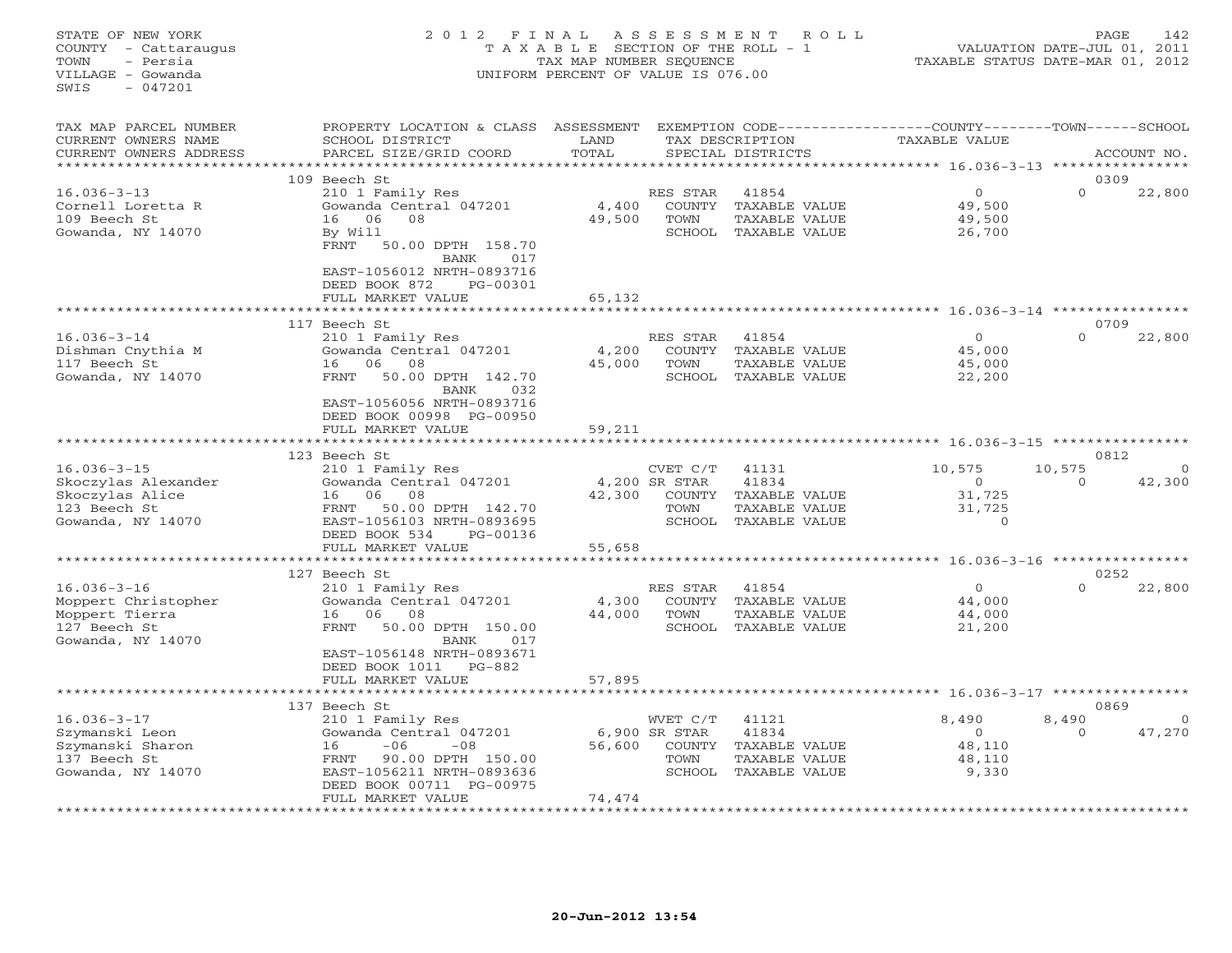## STATE OF NEW YORK 2 0 1 2 F I N A L A S S E S S M E N T R O L L PAGE 142 COUNTY - Cattaraugus T A X A B L E SECTION OF THE ROLL - 1 VALUATION DATE-JUL 01, 2011 TOWN - Persia TAX MAP NUMBER SEQUENCE TAXABLE STATUS DATE-MAR 01, 2012 VILLAGE - Gowanda UNIFORM PERCENT OF VALUE IS 076.00UNIFORM PERCENT OF VALUE IS 076.00

| TAX MAP PARCEL NUMBER<br>CURRENT OWNERS NAME<br>CURRENT OWNERS ADDRESS                           | PROPERTY LOCATION & CLASS<br>SCHOOL DISTRICT<br>PARCEL SIZE/GRID COORD                                                                                                                                   | ASSESSMENT<br>LAND<br>TOTAL |                                                              | TAX DESCRIPTION<br>SPECIAL DISTRICTS                                     | EXEMPTION CODE-----------------COUNTY-------TOWN------SCHOOL<br>TAXABLE VALUE |                    | ACCOUNT NO.        |
|--------------------------------------------------------------------------------------------------|----------------------------------------------------------------------------------------------------------------------------------------------------------------------------------------------------------|-----------------------------|--------------------------------------------------------------|--------------------------------------------------------------------------|-------------------------------------------------------------------------------|--------------------|--------------------|
|                                                                                                  | 109 Beech St                                                                                                                                                                                             |                             |                                                              |                                                                          |                                                                               | 0309               |                    |
| $16.036 - 3 - 13$<br>Cornell Loretta R<br>109 Beech St<br>Gowanda, NY 14070                      | 210 1 Family Res<br>Gowanda Central 047201<br>06<br>08<br>16<br>By Will<br>FRNT<br>50.00 DPTH 158.70<br>BANK<br>017<br>EAST-1056012 NRTH-0893716<br>DEED BOOK 872<br>PG-00301<br>FULL MARKET VALUE       | 4,400<br>49,500<br>65,132   | RES STAR<br>COUNTY<br>TOWN<br>SCHOOL                         | 41854<br>TAXABLE VALUE<br>TAXABLE VALUE<br>TAXABLE VALUE                 | $\circ$<br>49,500<br>49,500<br>26,700                                         | $\Omega$           | 22,800             |
|                                                                                                  |                                                                                                                                                                                                          | *******                     |                                                              |                                                                          | *********** 16.036-3-14 ************                                          |                    |                    |
|                                                                                                  | 117 Beech St                                                                                                                                                                                             |                             |                                                              |                                                                          |                                                                               | 0709               |                    |
| $16.036 - 3 - 14$<br>Dishman Cnythia M<br>117 Beech St<br>Gowanda, NY 14070                      | 210 1 Family Res<br>Gowanda Central 047201<br>06<br>08<br>16<br>50.00 DPTH 142.70<br>FRNT<br>BANK<br>032<br>EAST-1056056 NRTH-0893716<br>DEED BOOK 00998 PG-00950                                        | 4,200<br>45,000             | RES STAR<br>COUNTY<br>TOWN<br>SCHOOL                         | 41854<br>TAXABLE VALUE<br>TAXABLE VALUE<br>TAXABLE VALUE                 | $\mathbf{0}$<br>45,000<br>45,000<br>22,200                                    | $\Omega$           | 22,800             |
|                                                                                                  | FULL MARKET VALUE                                                                                                                                                                                        | 59,211                      |                                                              |                                                                          |                                                                               |                    |                    |
|                                                                                                  |                                                                                                                                                                                                          |                             |                                                              |                                                                          | *********** 16.036-3-15 ****************                                      |                    |                    |
|                                                                                                  | 123 Beech St                                                                                                                                                                                             |                             |                                                              |                                                                          |                                                                               | 0812               |                    |
| $16.036 - 3 - 15$<br>Skoczylas Alexander<br>Skoczylas Alice<br>123 Beech St<br>Gowanda, NY 14070 | 210 1 Family Res<br>Gowanda Central 047201<br>06<br>08<br>16<br>50.00 DPTH 142.70<br>FRNT<br>EAST-1056103 NRTH-0893695<br>DEED BOOK 534<br>PG-00136                                                      | 42,300                      | CVET C/T<br>4,200 SR STAR<br><b>COUNTY</b><br>TOWN<br>SCHOOL | 41131<br>41834<br>TAXABLE VALUE<br>TAXABLE VALUE<br>TAXABLE VALUE        | 10,575<br>$\circ$<br>31,725<br>31,725<br>$\circ$                              | 10,575<br>$\Omega$ | $\Omega$<br>42,300 |
|                                                                                                  | FULL MARKET VALUE                                                                                                                                                                                        | 55,658                      |                                                              |                                                                          | *** 16.036-3-16 ****************                                              |                    |                    |
|                                                                                                  | 127 Beech St                                                                                                                                                                                             |                             |                                                              |                                                                          |                                                                               | 0252               |                    |
| $16.036 - 3 - 16$<br>Moppert Christopher<br>Moppert Tierra<br>127 Beech St<br>Gowanda, NY 14070  | 210 1 Family Res<br>Gowanda Central 047201<br>16<br>06<br>08<br>FRNT<br>50.00 DPTH 150.00<br><b>BANK</b><br>017<br>EAST-1056148 NRTH-0893671<br>DEED BOOK 1011<br>PG-882                                 | 4,300<br>44,000             | RES STAR<br>COUNTY<br>TOWN<br>SCHOOL                         | 41854<br>TAXABLE VALUE<br>TAXABLE VALUE<br>TAXABLE VALUE                 | $\circ$<br>44,000<br>44,000<br>21,200                                         | $\Omega$           | 22,800             |
|                                                                                                  | FULL MARKET VALUE                                                                                                                                                                                        | 57,895                      |                                                              |                                                                          |                                                                               |                    |                    |
|                                                                                                  |                                                                                                                                                                                                          |                             |                                                              |                                                                          |                                                                               |                    |                    |
|                                                                                                  | 137 Beech St                                                                                                                                                                                             |                             |                                                              |                                                                          |                                                                               | 0869               |                    |
| $16.036 - 3 - 17$<br>Szymanski Leon<br>Szymanski Sharon<br>137 Beech St<br>Gowanda, NY 14070     | 210 1 Family Res<br>Gowanda Central 047201<br>$-06$<br>$-08$<br>16<br>FRNT<br>90.00 DPTH 150.00<br>EAST-1056211 NRTH-0893636<br>DEED BOOK 00711 PG-00975<br>FULL MARKET VALUE<br>*********************** | 56,600<br>74,474            | WVET C/T<br>6,900 SR STAR<br>COUNTY<br>TOWN                  | 41121<br>41834<br>TAXABLE VALUE<br>TAXABLE VALUE<br>SCHOOL TAXABLE VALUE | 8,490<br>$\circ$<br>48,110<br>48,110<br>9,330                                 | 8,490<br>$\Omega$  | 47,270             |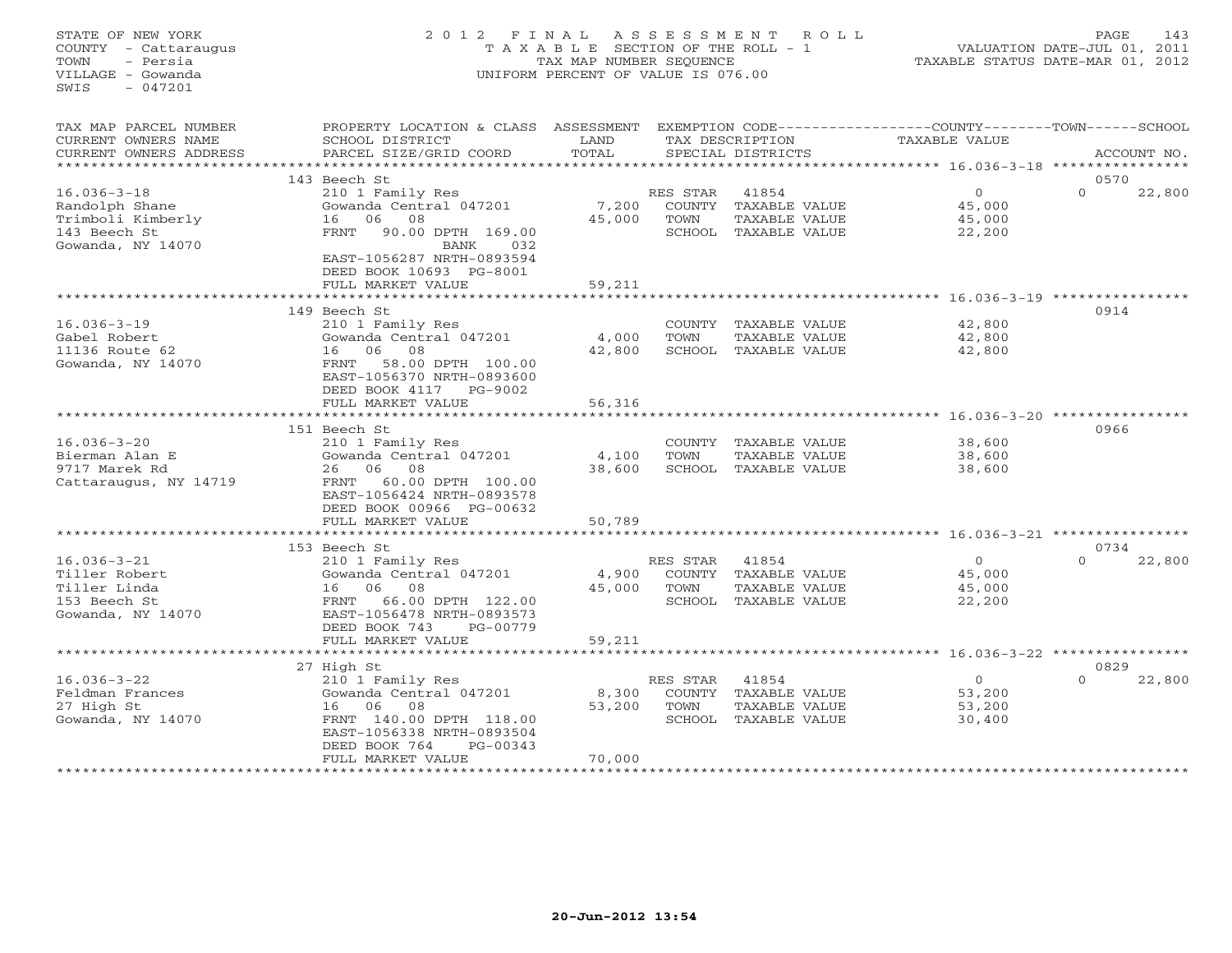## STATE OF NEW YORK 2 0 1 2 F I N A L A S S E S S M E N T R O L L PAGE 143 COUNTY - Cattaraugus T A X A B L E SECTION OF THE ROLL - 1 VALUATION DATE-JUL 01, 2011 TOWN - Persia TAX MAP NUMBER SEQUENCE TAXABLE STATUS DATE-MAR 01, 2012 VILLAGE - Gowanda UNIFORM PERCENT OF VALUE IS 076.00UNIFORM PERCENT OF VALUE IS 076.00

| TAX MAP PARCEL NUMBER<br>CURRENT OWNERS NAME<br>CURRENT OWNERS ADDRESS                        | PROPERTY LOCATION & CLASS ASSESSMENT<br>SCHOOL DISTRICT<br>PARCEL SIZE/GRID COORD                                                                                                       | LAND<br>TOTAL             |                                      | TAX DESCRIPTION<br>SPECIAL DISTRICTS                                   | EXEMPTION CODE-----------------COUNTY-------TOWN------SCHOOL<br>TAXABLE VALUE | ACCOUNT NO.                |
|-----------------------------------------------------------------------------------------------|-----------------------------------------------------------------------------------------------------------------------------------------------------------------------------------------|---------------------------|--------------------------------------|------------------------------------------------------------------------|-------------------------------------------------------------------------------|----------------------------|
| **********************                                                                        |                                                                                                                                                                                         |                           |                                      |                                                                        |                                                                               |                            |
| $16.036 - 3 - 18$<br>Randolph Shane<br>Trimboli Kimberly<br>143 Beech St<br>Gowanda, NY 14070 | 143 Beech St<br>210 1 Family Res<br>Gowanda Central 047201<br>06<br>08<br>16<br><b>FRNT</b><br>90.00 DPTH 169.00<br>032<br>BANK<br>EAST-1056287 NRTH-0893594<br>DEED BOOK 10693 PG-8001 | 7,200<br>45,000           | RES STAR<br>COUNTY<br>TOWN<br>SCHOOL | 41854<br>TAXABLE VALUE<br>TAXABLE VALUE<br>TAXABLE VALUE               | $\circ$<br>45,000<br>45,000<br>22,200                                         | 0570<br>$\Omega$<br>22,800 |
|                                                                                               | FULL MARKET VALUE                                                                                                                                                                       | 59,211                    |                                      |                                                                        |                                                                               |                            |
|                                                                                               |                                                                                                                                                                                         |                           |                                      |                                                                        |                                                                               |                            |
| $16.036 - 3 - 19$<br>Gabel Robert<br>11136 Route 62<br>Gowanda, NY 14070                      | 149 Beech St<br>210 1 Family Res<br>Gowanda Central 047201<br>06<br>08<br>16<br>FRNT<br>58.00 DPTH 100.00<br>EAST-1056370 NRTH-0893600<br>DEED BOOK 4117<br>PG-9002                     | 4,000<br>42,800           | COUNTY<br>TOWN<br>SCHOOL             | TAXABLE VALUE<br>TAXABLE VALUE<br>TAXABLE VALUE                        | 42,800<br>42,800<br>42,800                                                    | 0914                       |
|                                                                                               | FULL MARKET VALUE                                                                                                                                                                       | 56,316<br>************    |                                      |                                                                        |                                                                               |                            |
|                                                                                               |                                                                                                                                                                                         |                           |                                      |                                                                        | ******************** 16.036-3-20 *****                                        | 0966                       |
| $16.036 - 3 - 20$<br>Bierman Alan E<br>9717 Marek Rd<br>Cattaraugus, NY 14719                 | 151 Beech St<br>210 1 Family Res<br>Gowanda Central 047201<br>06<br>08<br>26<br>60.00 DPTH 100.00<br>FRNT<br>EAST-1056424 NRTH-0893578<br>DEED BOOK 00966 PG-00632                      | 4,100<br>38,600           | COUNTY<br>TOWN<br>SCHOOL             | TAXABLE VALUE<br>TAXABLE VALUE<br>TAXABLE VALUE                        | 38,600<br>38,600<br>38,600                                                    |                            |
|                                                                                               | FULL MARKET VALUE                                                                                                                                                                       | 50,789                    |                                      |                                                                        |                                                                               |                            |
|                                                                                               | 153 Beech St                                                                                                                                                                            | ********                  |                                      |                                                                        | ***************** 16.036-3-21 *****************                               | 0734                       |
| $16.036 - 3 - 21$<br>Tiller Robert<br>Tiller Linda<br>153 Beech St<br>Gowanda, NY 14070       | 210 1 Family Res<br>Gowanda Central 047201<br>06<br>08<br>16<br>66.00 DPTH 122.00<br>FRNT<br>EAST-1056478 NRTH-0893573<br>DEED BOOK 743<br>PG-00779<br>FULL MARKET VALUE                | 4,900<br>45,000<br>59,211 | RES STAR<br>COUNTY<br>TOWN<br>SCHOOL | 41854<br>TAXABLE VALUE<br>TAXABLE VALUE<br>TAXABLE VALUE               | $\overline{O}$<br>45,000<br>45,000<br>22,200                                  | $\Omega$<br>22,800         |
|                                                                                               |                                                                                                                                                                                         |                           |                                      |                                                                        |                                                                               |                            |
| $16.036 - 3 - 22$<br>Feldman Frances<br>27 High St<br>Gowanda, NY 14070                       | 27 High St<br>210 1 Family Res<br>Gowanda Central 047201<br>06<br>08<br>16<br>FRNT 140.00 DPTH 118.00<br>EAST-1056338 NRTH-0893504<br>DEED BOOK 764<br>PG-00343<br>FULL MARKET VALUE    | 8,300<br>53,200<br>70,000 | RES STAR<br><b>COUNTY</b><br>TOWN    | 41854<br>TAXABLE VALUE<br><b>TAXABLE VALUE</b><br>SCHOOL TAXABLE VALUE | $\circ$<br>53,200<br>53,200<br>30,400                                         | 0829<br>$\Omega$<br>22,800 |
|                                                                                               |                                                                                                                                                                                         |                           |                                      |                                                                        |                                                                               |                            |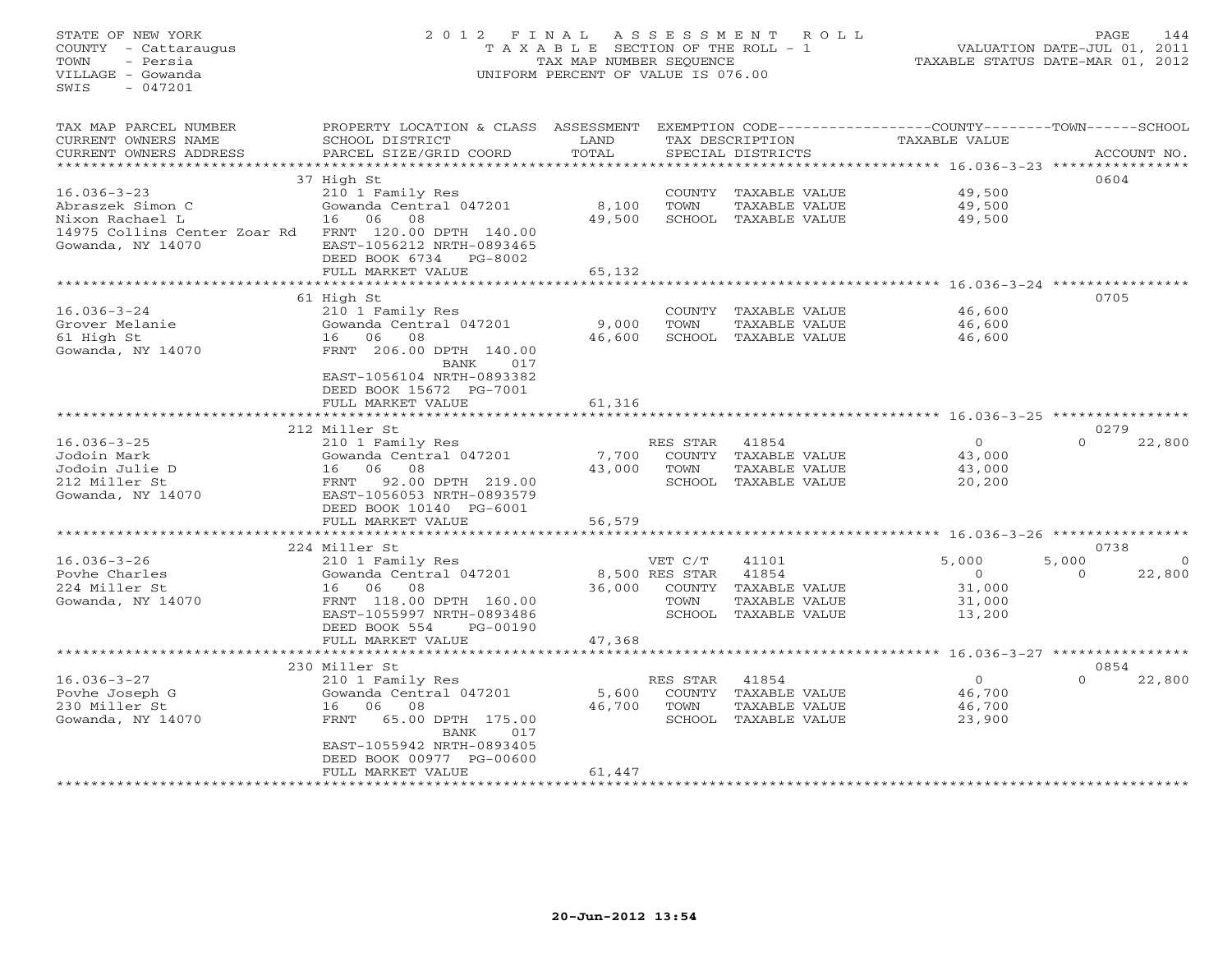## STATE OF NEW YORK 2 0 1 2 F I N A L A S S E S S M E N T R O L L PAGE 144 COUNTY - Cattaraugus T A X A B L E SECTION OF THE ROLL - 1 VALUATION DATE-JUL 01, 2011 TOWN - Persia TAX MAP NUMBER SEQUENCE TAXABLE STATUS DATE-MAR 01, 2012 VILLAGE - Gowanda UNIFORM PERCENT OF VALUE IS 076.00UNIFORM PERCENT OF VALUE IS 076.00

| TAX MAP PARCEL NUMBER<br>CURRENT OWNERS NAME<br>CURRENT OWNERS ADDRESS | PROPERTY LOCATION & CLASS ASSESSMENT<br>SCHOOL DISTRICT<br>PARCEL SIZE/GRID COORD | LAND<br>TOTAL |                | TAX DESCRIPTION<br>SPECIAL DISTRICTS | EXEMPTION CODE-----------------COUNTY-------TOWN------SCHOOL<br>TAXABLE VALUE | ACCOUNT NO.        |
|------------------------------------------------------------------------|-----------------------------------------------------------------------------------|---------------|----------------|--------------------------------------|-------------------------------------------------------------------------------|--------------------|
| *********************                                                  | ***************************                                                       |               |                |                                      |                                                                               |                    |
|                                                                        | 37 High St                                                                        |               |                |                                      |                                                                               | 0604               |
| $16.036 - 3 - 23$                                                      | 210 1 Family Res                                                                  |               |                | COUNTY TAXABLE VALUE                 | 49,500                                                                        |                    |
| Abraszek Simon C                                                       | Gowanda Central 047201                                                            | 8,100         | TOWN           | TAXABLE VALUE                        | 49,500                                                                        |                    |
| Nixon Rachael L<br>14975 Collins Center Zoar Rd<br>Gowanda, NY 14070   | 16 06<br>08<br>FRNT 120.00 DPTH 140.00<br>EAST-1056212 NRTH-0893465               | 49,500        |                | SCHOOL TAXABLE VALUE                 | 49,500                                                                        |                    |
|                                                                        | DEED BOOK 6734<br>PG-8002                                                         |               |                |                                      |                                                                               |                    |
|                                                                        | FULL MARKET VALUE                                                                 | 65,132        |                |                                      |                                                                               |                    |
|                                                                        | **********************                                                            |               |                |                                      |                                                                               |                    |
|                                                                        | 61 High St                                                                        |               |                |                                      |                                                                               | 0705               |
| $16.036 - 3 - 24$                                                      | 210 1 Family Res                                                                  |               |                | COUNTY TAXABLE VALUE                 | 46,600                                                                        |                    |
| Grover Melanie                                                         | Gowanda Central 047201                                                            | 9,000         | TOWN           | TAXABLE VALUE                        | 46,600                                                                        |                    |
| 61 High St                                                             | 16 06<br>08                                                                       | 46,600        |                | SCHOOL TAXABLE VALUE                 | 46,600                                                                        |                    |
| Gowanda, NY 14070                                                      | FRNT 206.00 DPTH 140.00<br>BANK<br>017                                            |               |                |                                      |                                                                               |                    |
|                                                                        | EAST-1056104 NRTH-0893382<br>DEED BOOK 15672 PG-7001                              |               |                |                                      |                                                                               |                    |
|                                                                        | FULL MARKET VALUE                                                                 | 61,316        |                |                                      |                                                                               |                    |
|                                                                        | ********************                                                              | *********     |                |                                      |                                                                               |                    |
|                                                                        | 212 Miller St                                                                     |               |                |                                      |                                                                               | 0279               |
| $16.036 - 3 - 25$                                                      | 210 1 Family Res                                                                  |               | RES STAR       | 41854                                | $\overline{0}$                                                                | $\Omega$<br>22,800 |
| Jodoin Mark                                                            | Gowanda Central 047201                                                            | 7,700         | COUNTY         | TAXABLE VALUE                        | 43,000                                                                        |                    |
| Jodoin Julie D                                                         | 16 06<br>08                                                                       | 43,000        | TOWN           | TAXABLE VALUE                        | 43,000                                                                        |                    |
| 212 Miller St                                                          | FRNT<br>92.00 DPTH 219.00                                                         |               | SCHOOL         | TAXABLE VALUE                        | 20,200                                                                        |                    |
| Gowanda, NY 14070                                                      | EAST-1056053 NRTH-0893579                                                         |               |                |                                      |                                                                               |                    |
|                                                                        | DEED BOOK 10140 PG-6001                                                           |               |                |                                      |                                                                               |                    |
|                                                                        | FULL MARKET VALUE                                                                 | 56,579        |                |                                      |                                                                               |                    |
|                                                                        | 224 Miller St                                                                     |               |                |                                      |                                                                               | 0738               |
| $16.036 - 3 - 26$                                                      | 210 1 Family Res                                                                  |               | VET C/T        | 41101                                | 5,000                                                                         | 5,000<br>$\circ$   |
| Poyhe Charles                                                          | Gowanda Central 047201                                                            |               | 8,500 RES STAR | 41854                                | $\circ$                                                                       | 22,800<br>$\Omega$ |
| 224 Miller St                                                          | 16 06<br>08                                                                       | 36,000        | COUNTY         | TAXABLE VALUE                        | 31,000                                                                        |                    |
| Gowanda, NY 14070                                                      | FRNT 118.00 DPTH 160.00                                                           |               | TOWN           | TAXABLE VALUE                        | 31,000                                                                        |                    |
|                                                                        | EAST-1055997 NRTH-0893486                                                         |               | SCHOOL         | TAXABLE VALUE                        | 13,200                                                                        |                    |
|                                                                        | DEED BOOK 554<br>PG-00190                                                         |               |                |                                      |                                                                               |                    |
|                                                                        | FULL MARKET VALUE                                                                 | 47,368        |                |                                      |                                                                               |                    |
|                                                                        |                                                                                   |               |                |                                      | **** 16.036-3-27 *********                                                    |                    |
|                                                                        | 230 Miller St                                                                     |               |                |                                      |                                                                               | 0854               |
| $16.036 - 3 - 27$                                                      | 210 1 Family Res                                                                  |               | RES STAR       | 41854                                | $\Omega$                                                                      | $\Omega$<br>22,800 |
| Povhe Joseph G                                                         | Gowanda Central 047201                                                            | 5,600         |                | COUNTY TAXABLE VALUE                 | 46,700                                                                        |                    |
| 230 Miller St                                                          | 16<br>06<br>08                                                                    | 46,700        | TOWN           | TAXABLE VALUE                        | 46,700                                                                        |                    |
| Gowanda, NY 14070                                                      | FRNT<br>65.00 DPTH 175.00                                                         |               |                | SCHOOL TAXABLE VALUE                 | 23,900                                                                        |                    |
|                                                                        | <b>BANK</b><br>017                                                                |               |                |                                      |                                                                               |                    |
|                                                                        | EAST-1055942 NRTH-0893405                                                         |               |                |                                      |                                                                               |                    |
|                                                                        | DEED BOOK 00977 PG-00600                                                          |               |                |                                      |                                                                               |                    |
|                                                                        | FULL MARKET VALUE                                                                 | 61,447        |                |                                      |                                                                               |                    |
|                                                                        |                                                                                   |               |                |                                      |                                                                               |                    |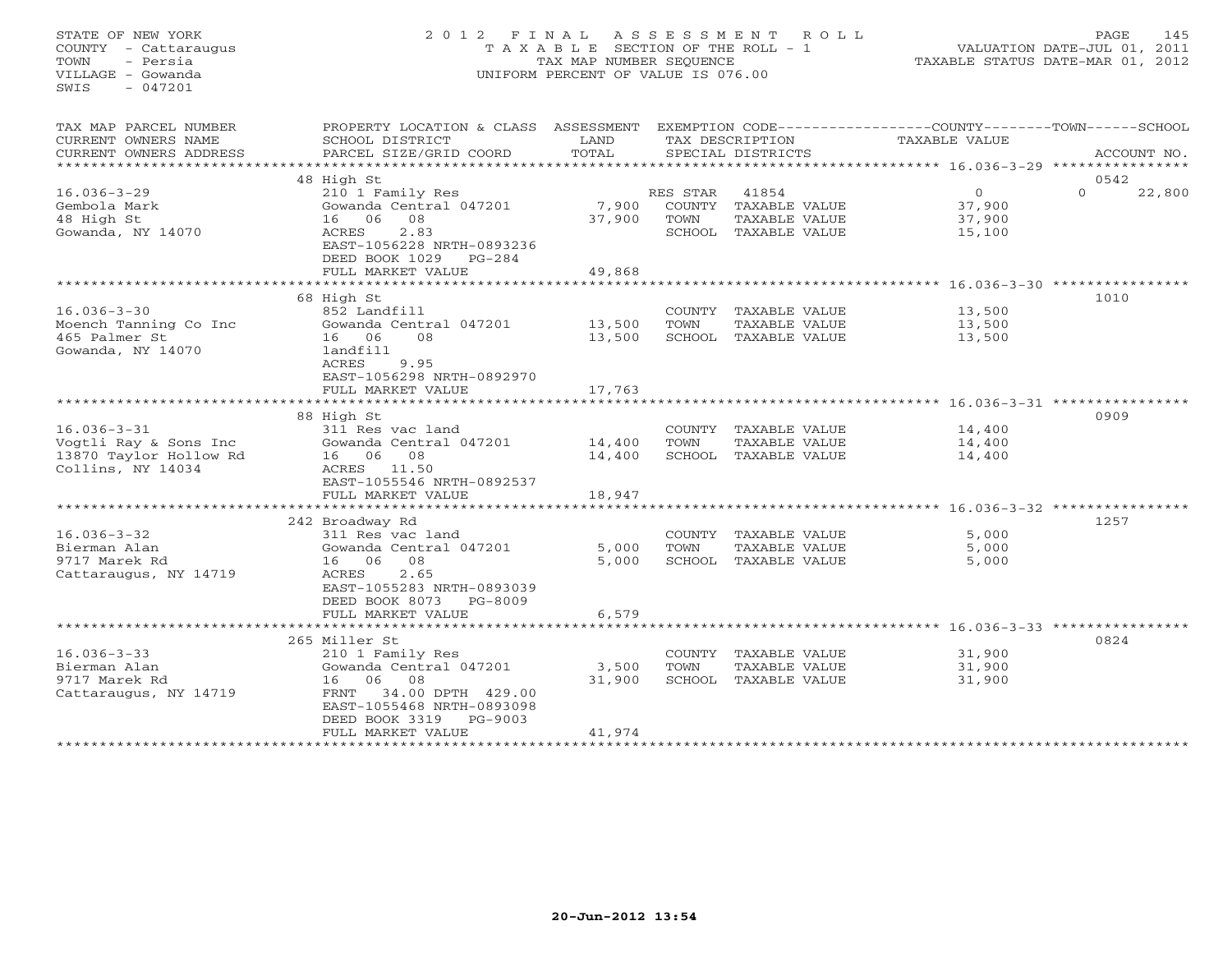## STATE OF NEW YORK 2 0 1 2 F I N A L A S S E S S M E N T R O L L PAGE 145 COUNTY - Cattaraugus T A X A B L E SECTION OF THE ROLL - 1 VALUATION DATE-JUL 01, 2011 TOWN - Persia TAX MAP NUMBER SEQUENCE TAXABLE STATUS DATE-MAR 01, 2012 VILLAGE - Gowanda UNIFORM PERCENT OF VALUE IS 076.00UNIFORM PERCENT OF VALUE IS 076.00

| TAX MAP PARCEL NUMBER<br>CURRENT OWNERS NAME<br>CURRENT OWNERS ADDRESS                    | PROPERTY LOCATION & CLASS ASSESSMENT<br>SCHOOL DISTRICT<br>PARCEL SIZE/GRID COORD                                                                                                                                | LAND<br>TOTAL              |                            | TAX DESCRIPTION<br>SPECIAL DISTRICTS                            | EXEMPTION CODE-----------------COUNTY-------TOWN------SCHOOL<br>TAXABLE VALUE      |                  | ACCOUNT NO. |
|-------------------------------------------------------------------------------------------|------------------------------------------------------------------------------------------------------------------------------------------------------------------------------------------------------------------|----------------------------|----------------------------|-----------------------------------------------------------------|------------------------------------------------------------------------------------|------------------|-------------|
|                                                                                           |                                                                                                                                                                                                                  |                            |                            |                                                                 |                                                                                    |                  |             |
| $16.036 - 3 - 29$<br>Gembola Mark<br>48 High St<br>Gowanda, NY 14070                      | 48 High St<br>210 1 Family Res<br>Gowanda Central 047201<br>16 06<br>08<br>2.83<br>ACRES<br>EAST-1056228 NRTH-0893236<br>DEED BOOK 1029<br>$PG-284$<br>FULL MARKET VALUE                                         | 7,900<br>37,900<br>49,868  | RES STAR<br>COUNTY<br>TOWN | 41854<br>TAXABLE VALUE<br>TAXABLE VALUE<br>SCHOOL TAXABLE VALUE | $\overline{0}$<br>37,900<br>37,900<br>15,100                                       | 0542<br>$\Omega$ | 22,800      |
| $16.036 - 3 - 30$<br>Moench Tanning Co Inc<br>465 Palmer St<br>Gowanda, NY 14070          | 68 High St<br>852 Landfill<br>Gowanda Central 047201<br>16 06<br>08<br>landfill<br>ACRES<br>9.95<br>EAST-1056298 NRTH-0892970<br>FULL MARKET VALUE<br>*****************                                          | 13,500<br>13,500<br>17,763 | TOWN                       | COUNTY TAXABLE VALUE<br>TAXABLE VALUE<br>SCHOOL TAXABLE VALUE   | 13,500<br>13,500<br>13,500                                                         | 1010             |             |
| $16.036 - 3 - 31$<br>Vogtli Ray & Sons Inc<br>13870 Taylor Hollow Rd<br>Collins, NY 14034 | 88 High St<br>311 Res vac land<br>Gowanda Central 047201<br>16 06 08<br>ACRES 11.50<br>EAST-1055546 NRTH-0892537<br>FULL MARKET VALUE<br>**********************                                                  | 14,400<br>14,400<br>18,947 | TOWN                       | COUNTY TAXABLE VALUE<br>TAXABLE VALUE<br>SCHOOL TAXABLE VALUE   | 14,400<br>14,400<br>14,400                                                         | 0909             |             |
| $16.036 - 3 - 32$<br>Bierman Alan<br>9717 Marek Rd<br>Cattaraugus, NY 14719               | 242 Broadway Rd<br>311 Res vac land<br>Gowanda Central 047201<br>16 06 08<br>2.65<br>ACRES<br>EAST-1055283 NRTH-0893039<br>DEED BOOK 8073<br>PG-8009<br>FULL MARKET VALUE<br>*********************               | 5,000<br>5,000<br>6,579    | COUNTY<br>TOWN             | TAXABLE VALUE<br>TAXABLE VALUE<br>SCHOOL TAXABLE VALUE          | ************************** 16.036-3-32 ****************<br>5,000<br>5,000<br>5,000 | 1257             |             |
| $16.036 - 3 - 33$<br>Bierman Alan<br>9717 Marek Rd<br>Cattaraugus, NY 14719               | 265 Miller St<br>210 1 Family Res<br>Gowanda Central 047201<br>16 06 08<br>34.00 DPTH 429.00<br>FRNT<br>EAST-1055468 NRTH-0893098<br>DEED BOOK 3319<br>$PG-9003$<br>FULL MARKET VALUE<br>*********************** | 3,500<br>31,900<br>41,974  | TOWN                       | COUNTY TAXABLE VALUE<br>TAXABLE VALUE<br>SCHOOL TAXABLE VALUE   | ********** 16.036-3-33 *******<br>31,900<br>31,900<br>31,900                       | 0824             |             |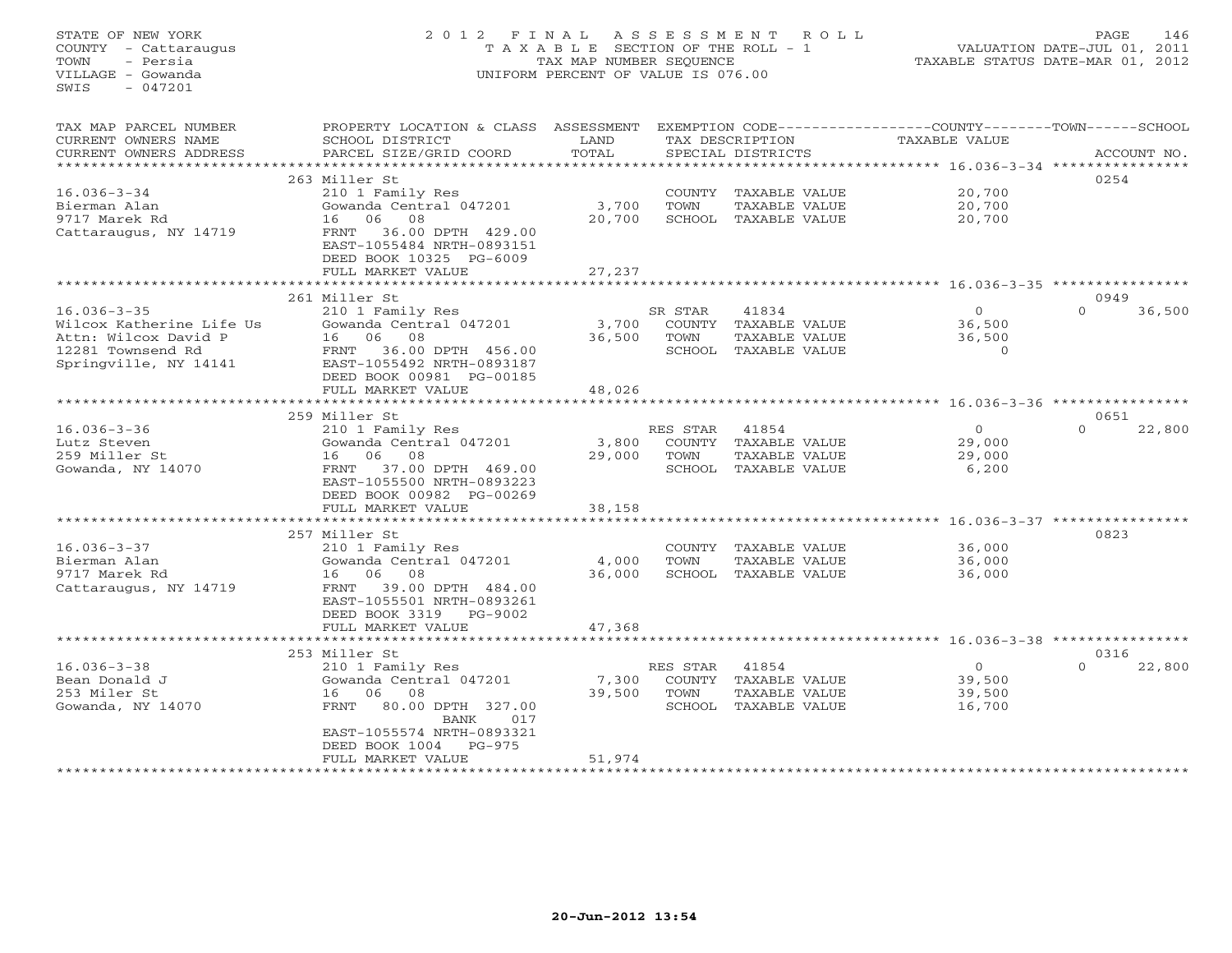## STATE OF NEW YORK 2 0 1 2 F I N A L A S S E S S M E N T R O L L PAGE 146 COUNTY - Cattaraugus T A X A B L E SECTION OF THE ROLL - 1 VALUATION DATE-JUL 01, 2011 TOWN - Persia TAX MAP NUMBER SEQUENCE TAXABLE STATUS DATE-MAR 01, 2012 VILLAGE - Gowanda UNIFORM PERCENT OF VALUE IS 076.00UNIFORM PERCENT OF VALUE IS 076.00

| *******************<br>263 Miller St<br>0254<br>$16.036 - 3 - 34$<br>20,700<br>210 1 Family Res<br>COUNTY<br>TAXABLE VALUE<br>3,700<br>20,700<br>Bierman Alan<br>Gowanda Central 047201<br>TOWN<br>TAXABLE VALUE<br>9717 Marek Rd<br>06<br>08<br>20,700<br>20,700<br>16<br>SCHOOL<br>TAXABLE VALUE<br>Cattaraugus, NY 14719<br>36.00 DPTH 429.00<br>FRNT<br>EAST-1055484 NRTH-0893151<br>DEED BOOK 10325 PG-6009<br>FULL MARKET VALUE<br>27,237<br>261 Miller St<br>0949<br>$16.036 - 3 - 35$<br>210 1 Family Res<br>41834<br>$\Omega$<br>$\Omega$<br>36,500<br>SR STAR<br>Wilcox Katherine Life Us<br>Gowanda Central 047201<br>3,700<br>COUNTY<br>TAXABLE VALUE<br>36,500<br>Attn: Wilcox David P<br>06<br>08<br>36,500<br>TOWN<br><b>TAXABLE VALUE</b><br>36,500<br>16<br>12281 Townsend Rd<br>36.00 DPTH 456.00<br>SCHOOL<br>TAXABLE VALUE<br>$\Omega$<br>FRNT<br>Springville, NY 14141<br>EAST-1055492 NRTH-0893187<br>DEED BOOK 00981 PG-00185<br>FULL MARKET VALUE<br>48,026<br>**********************<br>************************************ 16.036-3-36 *****************<br>************<br>259 Miller St<br>0651<br>$16.036 - 3 - 36$<br>210 1 Family Res<br>41854<br>$\overline{0}$<br>$\Omega$<br>22,800<br>RES STAR<br>Gowanda Central 047201<br>3,800<br>29,000<br>Lutz Steven<br>COUNTY TAXABLE VALUE<br>259 Miller St<br>06<br>08<br>29,000<br>TOWN<br>TAXABLE VALUE<br>29,000<br>16<br>Gowanda, NY 14070<br>37.00 DPTH 469.00<br>SCHOOL TAXABLE VALUE<br>6,200<br>FRNT<br>EAST-1055500 NRTH-0893223<br>DEED BOOK 00982 PG-00269<br>FULL MARKET VALUE<br>38,158<br>*******************<br>********************<br>************* 16.036-3-37 *****************<br>257 Miller St<br>0823<br>$16.036 - 3 - 37$<br>210 1 Family Res<br>COUNTY<br>TAXABLE VALUE<br>36,000<br>Gowanda Central 047201<br>36,000<br>Bierman Alan<br>4,000<br>TOWN<br>TAXABLE VALUE<br>9717 Marek Rd<br>16 06 08<br>36,000<br>SCHOOL TAXABLE VALUE<br>36,000<br>39.00 DPTH 484.00<br>Cattaraugus, NY 14719<br>FRNT<br>EAST-1055501 NRTH-0893261<br>DEED BOOK 3319<br>PG-9002<br>47,368<br>FULL MARKET VALUE<br>*****************************<br>253 Miller St<br>0316<br>$\circ$<br>$16.036 - 3 - 38$<br>41854<br>22,800<br>210 1 Family Res<br>RES STAR<br>$\Omega$<br>TAXABLE VALUE<br>Bean Donald J<br>Gowanda Central 047201<br>7,300<br>COUNTY<br>39,500<br>39,500<br>253 Miler St<br>06<br>08<br>TOWN<br>TAXABLE VALUE<br>39,500<br>16<br>Gowanda, NY 14070<br>SCHOOL<br>16,700<br>80.00 DPTH 327.00<br>TAXABLE VALUE<br>FRNT<br><b>BANK</b><br>017<br>EAST-1055574 NRTH-0893321<br>DEED BOOK 1004<br>$PG-975$<br>51,974<br>FULL MARKET VALUE | TAX MAP PARCEL NUMBER<br>CURRENT OWNERS NAME<br>CURRENT OWNERS ADDRESS | PROPERTY LOCATION & CLASS ASSESSMENT<br>SCHOOL DISTRICT<br>PARCEL SIZE/GRID COORD | LAND<br>TOTAL | TAX DESCRIPTION<br>SPECIAL DISTRICTS | EXEMPTION CODE-----------------COUNTY-------TOWN-----SCHOOL<br><b>TAXABLE VALUE</b> | ACCOUNT NO. |
|----------------------------------------------------------------------------------------------------------------------------------------------------------------------------------------------------------------------------------------------------------------------------------------------------------------------------------------------------------------------------------------------------------------------------------------------------------------------------------------------------------------------------------------------------------------------------------------------------------------------------------------------------------------------------------------------------------------------------------------------------------------------------------------------------------------------------------------------------------------------------------------------------------------------------------------------------------------------------------------------------------------------------------------------------------------------------------------------------------------------------------------------------------------------------------------------------------------------------------------------------------------------------------------------------------------------------------------------------------------------------------------------------------------------------------------------------------------------------------------------------------------------------------------------------------------------------------------------------------------------------------------------------------------------------------------------------------------------------------------------------------------------------------------------------------------------------------------------------------------------------------------------------------------------------------------------------------------------------------------------------------------------------------------------------------------------------------------------------------------------------------------------------------------------------------------------------------------------------------------------------------------------------------------------------------------------------------------------------------------------------------------------------------------------------------------------------------------------------------------------------------------------------------------------------------------------------------------------------------------------------------------------|------------------------------------------------------------------------|-----------------------------------------------------------------------------------|---------------|--------------------------------------|-------------------------------------------------------------------------------------|-------------|
|                                                                                                                                                                                                                                                                                                                                                                                                                                                                                                                                                                                                                                                                                                                                                                                                                                                                                                                                                                                                                                                                                                                                                                                                                                                                                                                                                                                                                                                                                                                                                                                                                                                                                                                                                                                                                                                                                                                                                                                                                                                                                                                                                                                                                                                                                                                                                                                                                                                                                                                                                                                                                                              |                                                                        |                                                                                   |               |                                      |                                                                                     |             |
|                                                                                                                                                                                                                                                                                                                                                                                                                                                                                                                                                                                                                                                                                                                                                                                                                                                                                                                                                                                                                                                                                                                                                                                                                                                                                                                                                                                                                                                                                                                                                                                                                                                                                                                                                                                                                                                                                                                                                                                                                                                                                                                                                                                                                                                                                                                                                                                                                                                                                                                                                                                                                                              |                                                                        |                                                                                   |               |                                      |                                                                                     |             |
|                                                                                                                                                                                                                                                                                                                                                                                                                                                                                                                                                                                                                                                                                                                                                                                                                                                                                                                                                                                                                                                                                                                                                                                                                                                                                                                                                                                                                                                                                                                                                                                                                                                                                                                                                                                                                                                                                                                                                                                                                                                                                                                                                                                                                                                                                                                                                                                                                                                                                                                                                                                                                                              |                                                                        |                                                                                   |               |                                      |                                                                                     |             |
|                                                                                                                                                                                                                                                                                                                                                                                                                                                                                                                                                                                                                                                                                                                                                                                                                                                                                                                                                                                                                                                                                                                                                                                                                                                                                                                                                                                                                                                                                                                                                                                                                                                                                                                                                                                                                                                                                                                                                                                                                                                                                                                                                                                                                                                                                                                                                                                                                                                                                                                                                                                                                                              |                                                                        |                                                                                   |               |                                      |                                                                                     |             |
|                                                                                                                                                                                                                                                                                                                                                                                                                                                                                                                                                                                                                                                                                                                                                                                                                                                                                                                                                                                                                                                                                                                                                                                                                                                                                                                                                                                                                                                                                                                                                                                                                                                                                                                                                                                                                                                                                                                                                                                                                                                                                                                                                                                                                                                                                                                                                                                                                                                                                                                                                                                                                                              |                                                                        |                                                                                   |               |                                      |                                                                                     |             |
|                                                                                                                                                                                                                                                                                                                                                                                                                                                                                                                                                                                                                                                                                                                                                                                                                                                                                                                                                                                                                                                                                                                                                                                                                                                                                                                                                                                                                                                                                                                                                                                                                                                                                                                                                                                                                                                                                                                                                                                                                                                                                                                                                                                                                                                                                                                                                                                                                                                                                                                                                                                                                                              |                                                                        |                                                                                   |               |                                      |                                                                                     |             |
|                                                                                                                                                                                                                                                                                                                                                                                                                                                                                                                                                                                                                                                                                                                                                                                                                                                                                                                                                                                                                                                                                                                                                                                                                                                                                                                                                                                                                                                                                                                                                                                                                                                                                                                                                                                                                                                                                                                                                                                                                                                                                                                                                                                                                                                                                                                                                                                                                                                                                                                                                                                                                                              |                                                                        |                                                                                   |               |                                      |                                                                                     |             |
|                                                                                                                                                                                                                                                                                                                                                                                                                                                                                                                                                                                                                                                                                                                                                                                                                                                                                                                                                                                                                                                                                                                                                                                                                                                                                                                                                                                                                                                                                                                                                                                                                                                                                                                                                                                                                                                                                                                                                                                                                                                                                                                                                                                                                                                                                                                                                                                                                                                                                                                                                                                                                                              |                                                                        |                                                                                   |               |                                      |                                                                                     |             |
|                                                                                                                                                                                                                                                                                                                                                                                                                                                                                                                                                                                                                                                                                                                                                                                                                                                                                                                                                                                                                                                                                                                                                                                                                                                                                                                                                                                                                                                                                                                                                                                                                                                                                                                                                                                                                                                                                                                                                                                                                                                                                                                                                                                                                                                                                                                                                                                                                                                                                                                                                                                                                                              |                                                                        |                                                                                   |               |                                      |                                                                                     |             |
|                                                                                                                                                                                                                                                                                                                                                                                                                                                                                                                                                                                                                                                                                                                                                                                                                                                                                                                                                                                                                                                                                                                                                                                                                                                                                                                                                                                                                                                                                                                                                                                                                                                                                                                                                                                                                                                                                                                                                                                                                                                                                                                                                                                                                                                                                                                                                                                                                                                                                                                                                                                                                                              |                                                                        |                                                                                   |               |                                      |                                                                                     |             |
|                                                                                                                                                                                                                                                                                                                                                                                                                                                                                                                                                                                                                                                                                                                                                                                                                                                                                                                                                                                                                                                                                                                                                                                                                                                                                                                                                                                                                                                                                                                                                                                                                                                                                                                                                                                                                                                                                                                                                                                                                                                                                                                                                                                                                                                                                                                                                                                                                                                                                                                                                                                                                                              |                                                                        |                                                                                   |               |                                      |                                                                                     |             |
|                                                                                                                                                                                                                                                                                                                                                                                                                                                                                                                                                                                                                                                                                                                                                                                                                                                                                                                                                                                                                                                                                                                                                                                                                                                                                                                                                                                                                                                                                                                                                                                                                                                                                                                                                                                                                                                                                                                                                                                                                                                                                                                                                                                                                                                                                                                                                                                                                                                                                                                                                                                                                                              |                                                                        |                                                                                   |               |                                      |                                                                                     |             |
|                                                                                                                                                                                                                                                                                                                                                                                                                                                                                                                                                                                                                                                                                                                                                                                                                                                                                                                                                                                                                                                                                                                                                                                                                                                                                                                                                                                                                                                                                                                                                                                                                                                                                                                                                                                                                                                                                                                                                                                                                                                                                                                                                                                                                                                                                                                                                                                                                                                                                                                                                                                                                                              |                                                                        |                                                                                   |               |                                      |                                                                                     |             |
|                                                                                                                                                                                                                                                                                                                                                                                                                                                                                                                                                                                                                                                                                                                                                                                                                                                                                                                                                                                                                                                                                                                                                                                                                                                                                                                                                                                                                                                                                                                                                                                                                                                                                                                                                                                                                                                                                                                                                                                                                                                                                                                                                                                                                                                                                                                                                                                                                                                                                                                                                                                                                                              |                                                                        |                                                                                   |               |                                      |                                                                                     |             |
|                                                                                                                                                                                                                                                                                                                                                                                                                                                                                                                                                                                                                                                                                                                                                                                                                                                                                                                                                                                                                                                                                                                                                                                                                                                                                                                                                                                                                                                                                                                                                                                                                                                                                                                                                                                                                                                                                                                                                                                                                                                                                                                                                                                                                                                                                                                                                                                                                                                                                                                                                                                                                                              |                                                                        |                                                                                   |               |                                      |                                                                                     |             |
|                                                                                                                                                                                                                                                                                                                                                                                                                                                                                                                                                                                                                                                                                                                                                                                                                                                                                                                                                                                                                                                                                                                                                                                                                                                                                                                                                                                                                                                                                                                                                                                                                                                                                                                                                                                                                                                                                                                                                                                                                                                                                                                                                                                                                                                                                                                                                                                                                                                                                                                                                                                                                                              |                                                                        |                                                                                   |               |                                      |                                                                                     |             |
|                                                                                                                                                                                                                                                                                                                                                                                                                                                                                                                                                                                                                                                                                                                                                                                                                                                                                                                                                                                                                                                                                                                                                                                                                                                                                                                                                                                                                                                                                                                                                                                                                                                                                                                                                                                                                                                                                                                                                                                                                                                                                                                                                                                                                                                                                                                                                                                                                                                                                                                                                                                                                                              |                                                                        |                                                                                   |               |                                      |                                                                                     |             |
|                                                                                                                                                                                                                                                                                                                                                                                                                                                                                                                                                                                                                                                                                                                                                                                                                                                                                                                                                                                                                                                                                                                                                                                                                                                                                                                                                                                                                                                                                                                                                                                                                                                                                                                                                                                                                                                                                                                                                                                                                                                                                                                                                                                                                                                                                                                                                                                                                                                                                                                                                                                                                                              |                                                                        |                                                                                   |               |                                      |                                                                                     |             |
|                                                                                                                                                                                                                                                                                                                                                                                                                                                                                                                                                                                                                                                                                                                                                                                                                                                                                                                                                                                                                                                                                                                                                                                                                                                                                                                                                                                                                                                                                                                                                                                                                                                                                                                                                                                                                                                                                                                                                                                                                                                                                                                                                                                                                                                                                                                                                                                                                                                                                                                                                                                                                                              |                                                                        |                                                                                   |               |                                      |                                                                                     |             |
|                                                                                                                                                                                                                                                                                                                                                                                                                                                                                                                                                                                                                                                                                                                                                                                                                                                                                                                                                                                                                                                                                                                                                                                                                                                                                                                                                                                                                                                                                                                                                                                                                                                                                                                                                                                                                                                                                                                                                                                                                                                                                                                                                                                                                                                                                                                                                                                                                                                                                                                                                                                                                                              |                                                                        |                                                                                   |               |                                      |                                                                                     |             |
|                                                                                                                                                                                                                                                                                                                                                                                                                                                                                                                                                                                                                                                                                                                                                                                                                                                                                                                                                                                                                                                                                                                                                                                                                                                                                                                                                                                                                                                                                                                                                                                                                                                                                                                                                                                                                                                                                                                                                                                                                                                                                                                                                                                                                                                                                                                                                                                                                                                                                                                                                                                                                                              |                                                                        |                                                                                   |               |                                      |                                                                                     |             |
|                                                                                                                                                                                                                                                                                                                                                                                                                                                                                                                                                                                                                                                                                                                                                                                                                                                                                                                                                                                                                                                                                                                                                                                                                                                                                                                                                                                                                                                                                                                                                                                                                                                                                                                                                                                                                                                                                                                                                                                                                                                                                                                                                                                                                                                                                                                                                                                                                                                                                                                                                                                                                                              |                                                                        |                                                                                   |               |                                      |                                                                                     |             |
|                                                                                                                                                                                                                                                                                                                                                                                                                                                                                                                                                                                                                                                                                                                                                                                                                                                                                                                                                                                                                                                                                                                                                                                                                                                                                                                                                                                                                                                                                                                                                                                                                                                                                                                                                                                                                                                                                                                                                                                                                                                                                                                                                                                                                                                                                                                                                                                                                                                                                                                                                                                                                                              |                                                                        |                                                                                   |               |                                      |                                                                                     |             |
|                                                                                                                                                                                                                                                                                                                                                                                                                                                                                                                                                                                                                                                                                                                                                                                                                                                                                                                                                                                                                                                                                                                                                                                                                                                                                                                                                                                                                                                                                                                                                                                                                                                                                                                                                                                                                                                                                                                                                                                                                                                                                                                                                                                                                                                                                                                                                                                                                                                                                                                                                                                                                                              |                                                                        |                                                                                   |               |                                      |                                                                                     |             |
|                                                                                                                                                                                                                                                                                                                                                                                                                                                                                                                                                                                                                                                                                                                                                                                                                                                                                                                                                                                                                                                                                                                                                                                                                                                                                                                                                                                                                                                                                                                                                                                                                                                                                                                                                                                                                                                                                                                                                                                                                                                                                                                                                                                                                                                                                                                                                                                                                                                                                                                                                                                                                                              |                                                                        |                                                                                   |               |                                      |                                                                                     |             |
|                                                                                                                                                                                                                                                                                                                                                                                                                                                                                                                                                                                                                                                                                                                                                                                                                                                                                                                                                                                                                                                                                                                                                                                                                                                                                                                                                                                                                                                                                                                                                                                                                                                                                                                                                                                                                                                                                                                                                                                                                                                                                                                                                                                                                                                                                                                                                                                                                                                                                                                                                                                                                                              |                                                                        |                                                                                   |               |                                      |                                                                                     |             |
|                                                                                                                                                                                                                                                                                                                                                                                                                                                                                                                                                                                                                                                                                                                                                                                                                                                                                                                                                                                                                                                                                                                                                                                                                                                                                                                                                                                                                                                                                                                                                                                                                                                                                                                                                                                                                                                                                                                                                                                                                                                                                                                                                                                                                                                                                                                                                                                                                                                                                                                                                                                                                                              |                                                                        |                                                                                   |               |                                      |                                                                                     |             |
|                                                                                                                                                                                                                                                                                                                                                                                                                                                                                                                                                                                                                                                                                                                                                                                                                                                                                                                                                                                                                                                                                                                                                                                                                                                                                                                                                                                                                                                                                                                                                                                                                                                                                                                                                                                                                                                                                                                                                                                                                                                                                                                                                                                                                                                                                                                                                                                                                                                                                                                                                                                                                                              |                                                                        |                                                                                   |               |                                      |                                                                                     |             |
|                                                                                                                                                                                                                                                                                                                                                                                                                                                                                                                                                                                                                                                                                                                                                                                                                                                                                                                                                                                                                                                                                                                                                                                                                                                                                                                                                                                                                                                                                                                                                                                                                                                                                                                                                                                                                                                                                                                                                                                                                                                                                                                                                                                                                                                                                                                                                                                                                                                                                                                                                                                                                                              |                                                                        |                                                                                   |               |                                      |                                                                                     |             |
|                                                                                                                                                                                                                                                                                                                                                                                                                                                                                                                                                                                                                                                                                                                                                                                                                                                                                                                                                                                                                                                                                                                                                                                                                                                                                                                                                                                                                                                                                                                                                                                                                                                                                                                                                                                                                                                                                                                                                                                                                                                                                                                                                                                                                                                                                                                                                                                                                                                                                                                                                                                                                                              |                                                                        |                                                                                   |               |                                      |                                                                                     |             |
|                                                                                                                                                                                                                                                                                                                                                                                                                                                                                                                                                                                                                                                                                                                                                                                                                                                                                                                                                                                                                                                                                                                                                                                                                                                                                                                                                                                                                                                                                                                                                                                                                                                                                                                                                                                                                                                                                                                                                                                                                                                                                                                                                                                                                                                                                                                                                                                                                                                                                                                                                                                                                                              |                                                                        |                                                                                   |               |                                      |                                                                                     |             |
|                                                                                                                                                                                                                                                                                                                                                                                                                                                                                                                                                                                                                                                                                                                                                                                                                                                                                                                                                                                                                                                                                                                                                                                                                                                                                                                                                                                                                                                                                                                                                                                                                                                                                                                                                                                                                                                                                                                                                                                                                                                                                                                                                                                                                                                                                                                                                                                                                                                                                                                                                                                                                                              |                                                                        |                                                                                   |               |                                      |                                                                                     |             |
|                                                                                                                                                                                                                                                                                                                                                                                                                                                                                                                                                                                                                                                                                                                                                                                                                                                                                                                                                                                                                                                                                                                                                                                                                                                                                                                                                                                                                                                                                                                                                                                                                                                                                                                                                                                                                                                                                                                                                                                                                                                                                                                                                                                                                                                                                                                                                                                                                                                                                                                                                                                                                                              |                                                                        |                                                                                   |               |                                      |                                                                                     |             |
|                                                                                                                                                                                                                                                                                                                                                                                                                                                                                                                                                                                                                                                                                                                                                                                                                                                                                                                                                                                                                                                                                                                                                                                                                                                                                                                                                                                                                                                                                                                                                                                                                                                                                                                                                                                                                                                                                                                                                                                                                                                                                                                                                                                                                                                                                                                                                                                                                                                                                                                                                                                                                                              |                                                                        |                                                                                   |               |                                      |                                                                                     |             |
|                                                                                                                                                                                                                                                                                                                                                                                                                                                                                                                                                                                                                                                                                                                                                                                                                                                                                                                                                                                                                                                                                                                                                                                                                                                                                                                                                                                                                                                                                                                                                                                                                                                                                                                                                                                                                                                                                                                                                                                                                                                                                                                                                                                                                                                                                                                                                                                                                                                                                                                                                                                                                                              |                                                                        |                                                                                   |               |                                      |                                                                                     |             |
|                                                                                                                                                                                                                                                                                                                                                                                                                                                                                                                                                                                                                                                                                                                                                                                                                                                                                                                                                                                                                                                                                                                                                                                                                                                                                                                                                                                                                                                                                                                                                                                                                                                                                                                                                                                                                                                                                                                                                                                                                                                                                                                                                                                                                                                                                                                                                                                                                                                                                                                                                                                                                                              |                                                                        |                                                                                   |               |                                      |                                                                                     |             |
|                                                                                                                                                                                                                                                                                                                                                                                                                                                                                                                                                                                                                                                                                                                                                                                                                                                                                                                                                                                                                                                                                                                                                                                                                                                                                                                                                                                                                                                                                                                                                                                                                                                                                                                                                                                                                                                                                                                                                                                                                                                                                                                                                                                                                                                                                                                                                                                                                                                                                                                                                                                                                                              |                                                                        |                                                                                   |               |                                      |                                                                                     |             |
|                                                                                                                                                                                                                                                                                                                                                                                                                                                                                                                                                                                                                                                                                                                                                                                                                                                                                                                                                                                                                                                                                                                                                                                                                                                                                                                                                                                                                                                                                                                                                                                                                                                                                                                                                                                                                                                                                                                                                                                                                                                                                                                                                                                                                                                                                                                                                                                                                                                                                                                                                                                                                                              |                                                                        |                                                                                   |               |                                      |                                                                                     |             |
|                                                                                                                                                                                                                                                                                                                                                                                                                                                                                                                                                                                                                                                                                                                                                                                                                                                                                                                                                                                                                                                                                                                                                                                                                                                                                                                                                                                                                                                                                                                                                                                                                                                                                                                                                                                                                                                                                                                                                                                                                                                                                                                                                                                                                                                                                                                                                                                                                                                                                                                                                                                                                                              |                                                                        |                                                                                   |               |                                      |                                                                                     |             |
|                                                                                                                                                                                                                                                                                                                                                                                                                                                                                                                                                                                                                                                                                                                                                                                                                                                                                                                                                                                                                                                                                                                                                                                                                                                                                                                                                                                                                                                                                                                                                                                                                                                                                                                                                                                                                                                                                                                                                                                                                                                                                                                                                                                                                                                                                                                                                                                                                                                                                                                                                                                                                                              |                                                                        |                                                                                   |               |                                      |                                                                                     |             |
|                                                                                                                                                                                                                                                                                                                                                                                                                                                                                                                                                                                                                                                                                                                                                                                                                                                                                                                                                                                                                                                                                                                                                                                                                                                                                                                                                                                                                                                                                                                                                                                                                                                                                                                                                                                                                                                                                                                                                                                                                                                                                                                                                                                                                                                                                                                                                                                                                                                                                                                                                                                                                                              |                                                                        |                                                                                   |               |                                      |                                                                                     |             |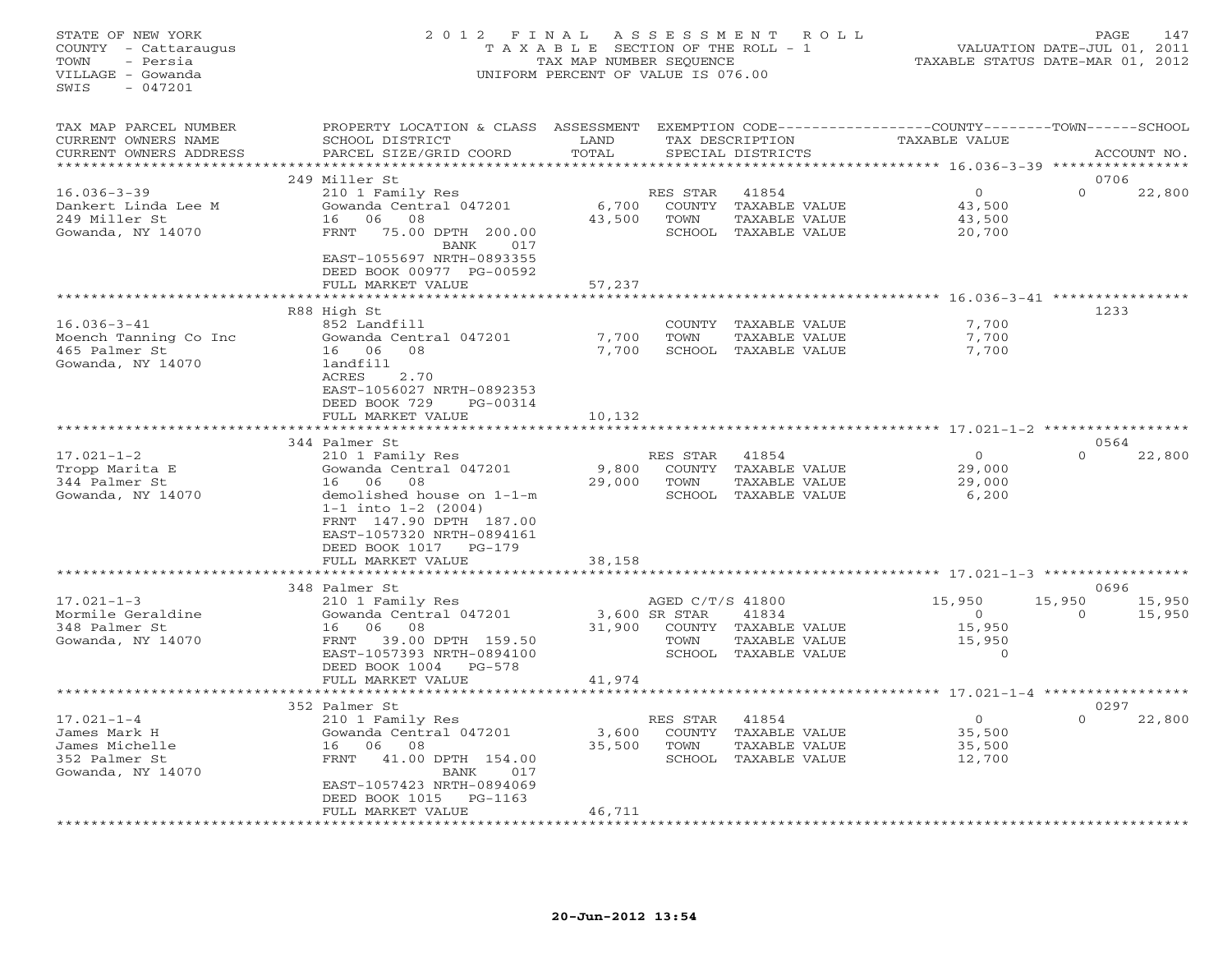## STATE OF NEW YORK 2 0 1 2 F I N A L A S S E S S M E N T R O L L PAGE 147 COUNTY - Cattaraugus T A X A B L E SECTION OF THE ROLL - 1 VALUATION DATE-JUL 01, 2011 TOWN - Persia TAX MAP NUMBER SEQUENCE TAXABLE STATUS DATE-MAR 01, 2012 VILLAGE - Gowanda UNIFORM PERCENT OF VALUE IS 076.00UNIFORM PERCENT OF VALUE IS 076.00

| TAX MAP PARCEL NUMBER<br>CURRENT OWNERS NAME<br>CURRENT OWNERS ADDRESS                   | PROPERTY LOCATION & CLASS<br>SCHOOL DISTRICT<br>PARCEL SIZE/GRID COORD                                                                                                                                     | ASSESSMENT<br>LAND<br>TOTAL |                                                                      | EXEMPTION CODE-----------------COUNTY-------TOWN------SCHOOL<br>TAX DESCRIPTION<br>SPECIAL DISTRICTS | TAXABLE VALUE                          |                                                                   | ACCOUNT NO.              |
|------------------------------------------------------------------------------------------|------------------------------------------------------------------------------------------------------------------------------------------------------------------------------------------------------------|-----------------------------|----------------------------------------------------------------------|------------------------------------------------------------------------------------------------------|----------------------------------------|-------------------------------------------------------------------|--------------------------|
|                                                                                          |                                                                                                                                                                                                            | * * * * * * * * *           |                                                                      |                                                                                                      | *********** 16.036-3-39                | * * * * * * * * * *                                               |                          |
| $16.036 - 3 - 39$<br>Dankert Linda Lee M<br>249 Miller St<br>Gowanda, NY 14070           | 249 Miller St<br>210 1 Family Res<br>Gowanda Central 047201<br>06<br>16<br>08<br>75.00 DPTH<br>FRNT<br>200.00<br>BANK<br>017<br>EAST-1055697 NRTH-0893355<br>DEED BOOK 00977 PG-00592<br>FULL MARKET VALUE | 6,700<br>43,500<br>57,237   | RES STAR<br><b>COUNTY</b><br>TOWN<br>SCHOOL                          | 41854<br>TAXABLE VALUE<br>TAXABLE VALUE<br>TAXABLE VALUE                                             | $\circ$                                | $\Omega$<br>43,500<br>43,500<br>20,700                            | 0706<br>22,800           |
|                                                                                          |                                                                                                                                                                                                            |                             |                                                                      |                                                                                                      | ************* 16.036-3-41 ***********  |                                                                   |                          |
| $16.036 - 3 - 41$<br>Moench Tanning Co Inc<br>465 Palmer St<br>Gowanda, NY 14070         | R88 High St<br>852 Landfill<br>Gowanda Central 047201<br>16 06<br>08<br>landfill<br>ACRES<br>2.70<br>EAST-1056027 NRTH-0892353<br>PG-00314                                                                 | 7,700<br>7,700              | COUNTY<br>TOWN<br><b>SCHOOL</b>                                      | TAXABLE VALUE<br>TAXABLE VALUE<br>TAXABLE VALUE                                                      |                                        | 7,700<br>7,700<br>7,700                                           | 1233                     |
|                                                                                          | DEED BOOK 729<br>FULL MARKET VALUE                                                                                                                                                                         | 10,132<br>* * * * * * * *   |                                                                      |                                                                                                      | ************** 17.021-1-2 ************ |                                                                   |                          |
|                                                                                          | 344 Palmer St                                                                                                                                                                                              |                             |                                                                      |                                                                                                      |                                        |                                                                   | 0564                     |
| $17.021 - 1 - 2$<br>Tropp Marita E<br>344 Palmer St<br>Gowanda, NY 14070                 | 210 1 Family Res<br>Gowanda Central 047201<br>16<br>06<br>08<br>demolished house on 1-1-m<br>$1-1$ into $1-2$ (2004)<br>FRNT 147.90 DPTH 187.00<br>EAST-1057320 NRTH-0894161<br>DEED BOOK 1017<br>$PG-179$ | 9,800<br>29,000             | RES STAR<br><b>COUNTY</b><br>TOWN<br>SCHOOL                          | 41854<br>TAXABLE VALUE<br>TAXABLE VALUE<br>TAXABLE VALUE                                             | $\circ$                                | $\Omega$<br>29,000<br>29,000<br>6,200                             | 22,800                   |
|                                                                                          | FULL MARKET VALUE                                                                                                                                                                                          | 38,158                      |                                                                      |                                                                                                      |                                        |                                                                   |                          |
|                                                                                          |                                                                                                                                                                                                            |                             |                                                                      |                                                                                                      | ************* 17.021-1-3 ********      |                                                                   |                          |
| $17.021 - 1 - 3$<br>Mormile Geraldine<br>348 Palmer St<br>Gowanda, NY 14070              | 348 Palmer St<br>210 1 Family Res<br>Gowanda Central 047201<br>06<br>08<br>16<br>39.00 DPTH 159.50<br>FRNT<br>EAST-1057393 NRTH-0894100<br>DEED BOOK 1004<br>$PG-578$<br>FULL MARKET VALUE                 | 31,900<br>41,974            | AGED C/T/S 41800<br>3,600 SR STAR<br><b>COUNTY</b><br>TOWN<br>SCHOOL | 41834<br>TAXABLE VALUE<br>TAXABLE VALUE<br>TAXABLE VALUE                                             | 15,950                                 | 15,950<br>$\circ$<br>$\Omega$<br>15,950<br>15,950<br>$\mathbf{0}$ | 0696<br>15,950<br>15,950 |
|                                                                                          |                                                                                                                                                                                                            |                             |                                                                      |                                                                                                      | ********* 17.021-1-4                   |                                                                   |                          |
| $17.021 - 1 - 4$<br>James Mark H<br>James Michelle<br>352 Palmer St<br>Gowanda, NY 14070 | 352 Palmer St<br>210 1 Family Res<br>Gowanda Central 047201<br>06<br>08<br>16<br>FRNT<br>41.00 DPTH 154.00<br>BANK<br>017<br>EAST-1057423 NRTH-0894069<br>DEED BOOK 1015<br>$PG-1163$<br>FULL MARKET VALUE | 3,600<br>35,500<br>46,711   | RES STAR<br><b>COUNTY</b><br>TOWN<br>SCHOOL                          | 41854<br>TAXABLE VALUE<br>TAXABLE VALUE<br>TAXABLE VALUE                                             | $\circ$                                | $\Omega$<br>35,500<br>35,500<br>12,700                            | 0297<br>22,800           |
|                                                                                          |                                                                                                                                                                                                            |                             |                                                                      |                                                                                                      |                                        |                                                                   |                          |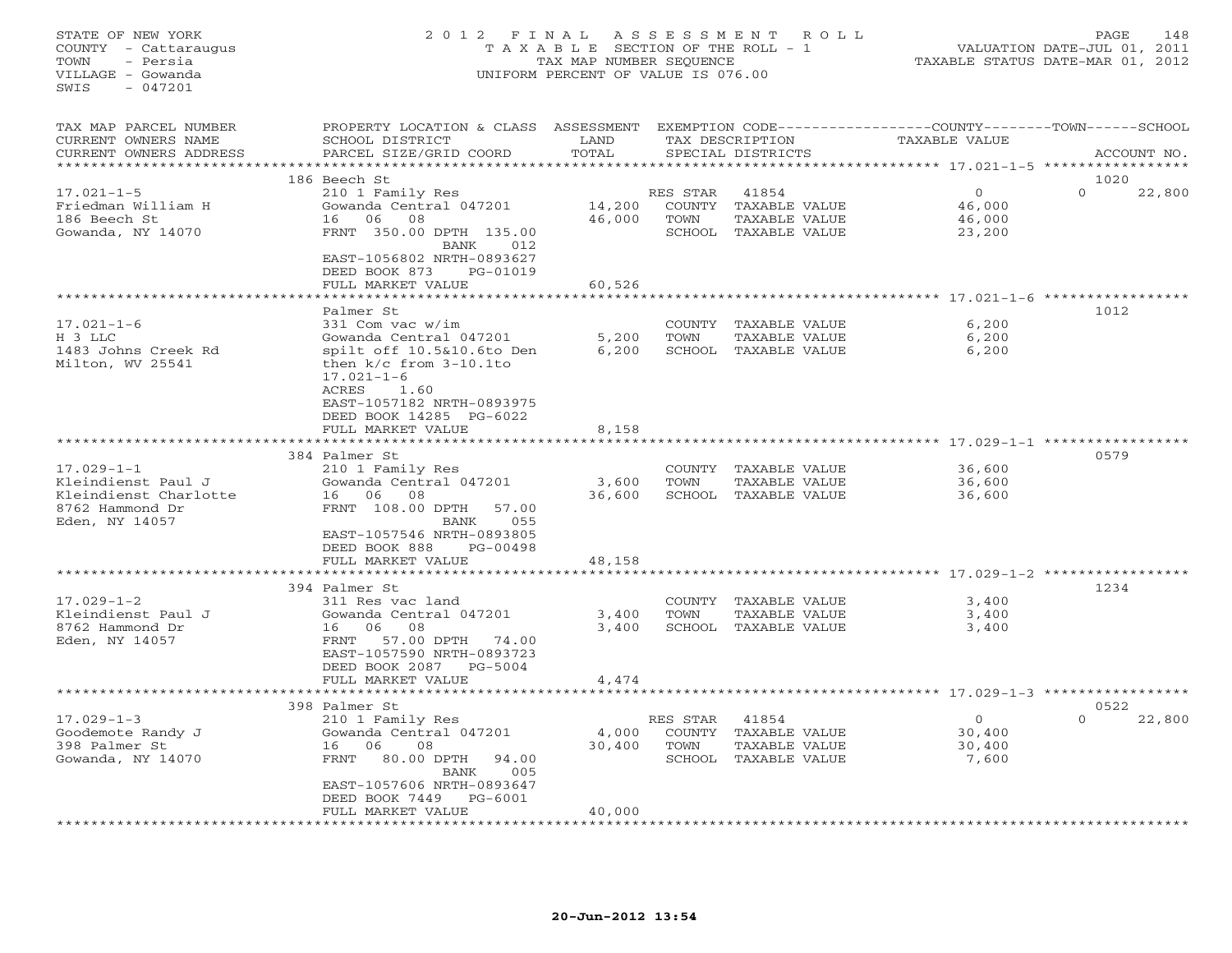## STATE OF NEW YORK 2 0 1 2 F I N A L A S S E S S M E N T R O L L PAGE 148 COUNTY - Cattaraugus T A X A B L E SECTION OF THE ROLL - 1 VALUATION DATE-JUL 01, 2011 TOWN - Persia TAX MAP NUMBER SEQUENCE TAXABLE STATUS DATE-MAR 01, 2012 VILLAGE - Gowanda UNIFORM PERCENT OF VALUE IS 076.00UNIFORM PERCENT OF VALUE IS 076.00

| TAX MAP PARCEL NUMBER<br>CURRENT OWNERS NAME<br>CURRENT OWNERS ADDRESS | PROPERTY LOCATION & CLASS<br>SCHOOL DISTRICT<br>PARCEL SIZE/GRID COORD                                                     | ASSESSMENT<br>LAND<br>TOTAL<br>*********** |                            | TAX DESCRIPTION<br>SPECIAL DISTRICTS    | EXEMPTION CODE----------------COUNTY-------TOWN-----SCHOOL<br>TAXABLE VALUE<br>****************** 17.021-1-5 ****************** | ACCOUNT NO.                |
|------------------------------------------------------------------------|----------------------------------------------------------------------------------------------------------------------------|--------------------------------------------|----------------------------|-----------------------------------------|---------------------------------------------------------------------------------------------------------------------------------|----------------------------|
| $17.021 - 1 - 5$<br>Friedman William H<br>186 Beech St                 | 186 Beech St<br>210 1 Family Res<br>Gowanda Central 047201<br>06<br>08<br>16                                               | 14,200<br>46,000                           | RES STAR<br>COUNTY<br>TOWN | 41854<br>TAXABLE VALUE<br>TAXABLE VALUE | $\circ$<br>46,000<br>46,000                                                                                                     | 1020<br>$\Omega$<br>22,800 |
| Gowanda, NY 14070                                                      | FRNT 350.00 DPTH 135.00<br>BANK<br>012<br>EAST-1056802 NRTH-0893627<br>DEED BOOK 873<br>PG-01019<br>FULL MARKET VALUE      | 60,526                                     | SCHOOL                     | TAXABLE VALUE                           | 23,200                                                                                                                          |                            |
|                                                                        | *******************                                                                                                        | *********                                  |                            |                                         |                                                                                                                                 |                            |
|                                                                        | Palmer St                                                                                                                  |                                            |                            |                                         |                                                                                                                                 | 1012                       |
| $17.021 - 1 - 6$                                                       | 331 Com vac w/im                                                                                                           |                                            | COUNTY                     | TAXABLE VALUE                           | 6,200                                                                                                                           |                            |
| H 3 LLC                                                                | Gowanda Central 047201                                                                                                     | 5,200                                      | <b>TOWN</b>                | TAXABLE VALUE                           | 6,200                                                                                                                           |                            |
| 1483 Johns Creek Rd<br>Milton, WV 25541                                | spilt off 10.5&10.6to Den<br>then $k/c$ from $3-10.1$ to<br>$17.021 - 1 - 6$<br>ACRES<br>1.60<br>EAST-1057182 NRTH-0893975 | 6,200                                      | SCHOOL                     | TAXABLE VALUE                           | 6,200                                                                                                                           |                            |
|                                                                        | DEED BOOK 14285 PG-6022<br>FULL MARKET VALUE                                                                               | 8,158                                      |                            |                                         |                                                                                                                                 |                            |
|                                                                        |                                                                                                                            |                                            |                            |                                         | ***************** 17.029-1-1 **********                                                                                         |                            |
|                                                                        | 384 Palmer St                                                                                                              |                                            |                            |                                         |                                                                                                                                 | 0579                       |
| $17.029 - 1 - 1$                                                       | 210 1 Family Res                                                                                                           |                                            | COUNTY                     | TAXABLE VALUE                           | 36,600                                                                                                                          |                            |
| Kleindienst Paul J                                                     | Gowanda Central 047201                                                                                                     | 3,600                                      | TOWN                       | TAXABLE VALUE                           | 36,600                                                                                                                          |                            |
| Kleindienst Charlotte                                                  | 06<br>08<br>16                                                                                                             | 36,600                                     |                            | SCHOOL TAXABLE VALUE                    | 36,600                                                                                                                          |                            |
| 8762 Hammond Dr                                                        | FRNT 108.00 DPTH<br>57.00                                                                                                  |                                            |                            |                                         |                                                                                                                                 |                            |
| Eden, NY 14057                                                         | 055<br>BANK                                                                                                                |                                            |                            |                                         |                                                                                                                                 |                            |
|                                                                        | EAST-1057546 NRTH-0893805                                                                                                  |                                            |                            |                                         |                                                                                                                                 |                            |
|                                                                        | DEED BOOK 888<br>$PG-00498$                                                                                                |                                            |                            |                                         |                                                                                                                                 |                            |
|                                                                        | FULL MARKET VALUE                                                                                                          | 48,158                                     |                            |                                         | **************** 17.029-1-2 *********                                                                                           |                            |
|                                                                        | 394 Palmer St                                                                                                              |                                            |                            |                                         |                                                                                                                                 | 1234                       |
| $17.029 - 1 - 2$                                                       | 311 Res vac land                                                                                                           |                                            | COUNTY                     | TAXABLE VALUE                           | 3,400                                                                                                                           |                            |
| Kleindienst Paul J                                                     | Gowanda Central 047201                                                                                                     | 3,400                                      | TOWN                       | TAXABLE VALUE                           | 3,400                                                                                                                           |                            |
| 8762 Hammond Dr                                                        | 06<br>16<br>08                                                                                                             | 3,400                                      | SCHOOL                     | TAXABLE VALUE                           | 3,400                                                                                                                           |                            |
| Eden, NY 14057                                                         | 57.00 DPTH<br>FRNT<br>74.00<br>EAST-1057590 NRTH-0893723<br>DEED BOOK 2087<br>$PG-5004$                                    |                                            |                            |                                         |                                                                                                                                 |                            |
|                                                                        | FULL MARKET VALUE                                                                                                          | 4,474                                      |                            |                                         |                                                                                                                                 |                            |
|                                                                        |                                                                                                                            |                                            |                            |                                         | **************** 17.029-1-3 ******************                                                                                  |                            |
|                                                                        | 398 Palmer St                                                                                                              |                                            |                            |                                         |                                                                                                                                 | 0522                       |
| $17.029 - 1 - 3$                                                       | 210 1 Family Res                                                                                                           |                                            | RES STAR                   | 41854                                   | $\circ$                                                                                                                         | $\Omega$<br>22,800         |
| Goodemote Randy J<br>398 Palmer St                                     | Gowanda Central 047201<br>06<br>08<br>16                                                                                   | 4,000<br>30,400                            | <b>COUNTY</b><br>TOWN      | TAXABLE VALUE<br>TAXABLE VALUE          | 30,400<br>30,400                                                                                                                |                            |
| Gowanda, NY 14070                                                      | FRNT<br>80.00 DPTH<br>94.00                                                                                                |                                            |                            | SCHOOL TAXABLE VALUE                    | 7,600                                                                                                                           |                            |
|                                                                        | <b>BANK</b><br>005<br>EAST-1057606 NRTH-0893647                                                                            |                                            |                            |                                         |                                                                                                                                 |                            |
|                                                                        | DEED BOOK 7449<br>$PG-6001$                                                                                                |                                            |                            |                                         |                                                                                                                                 |                            |
|                                                                        | FULL MARKET VALUE                                                                                                          | 40,000                                     |                            |                                         |                                                                                                                                 |                            |
|                                                                        |                                                                                                                            |                                            |                            |                                         |                                                                                                                                 |                            |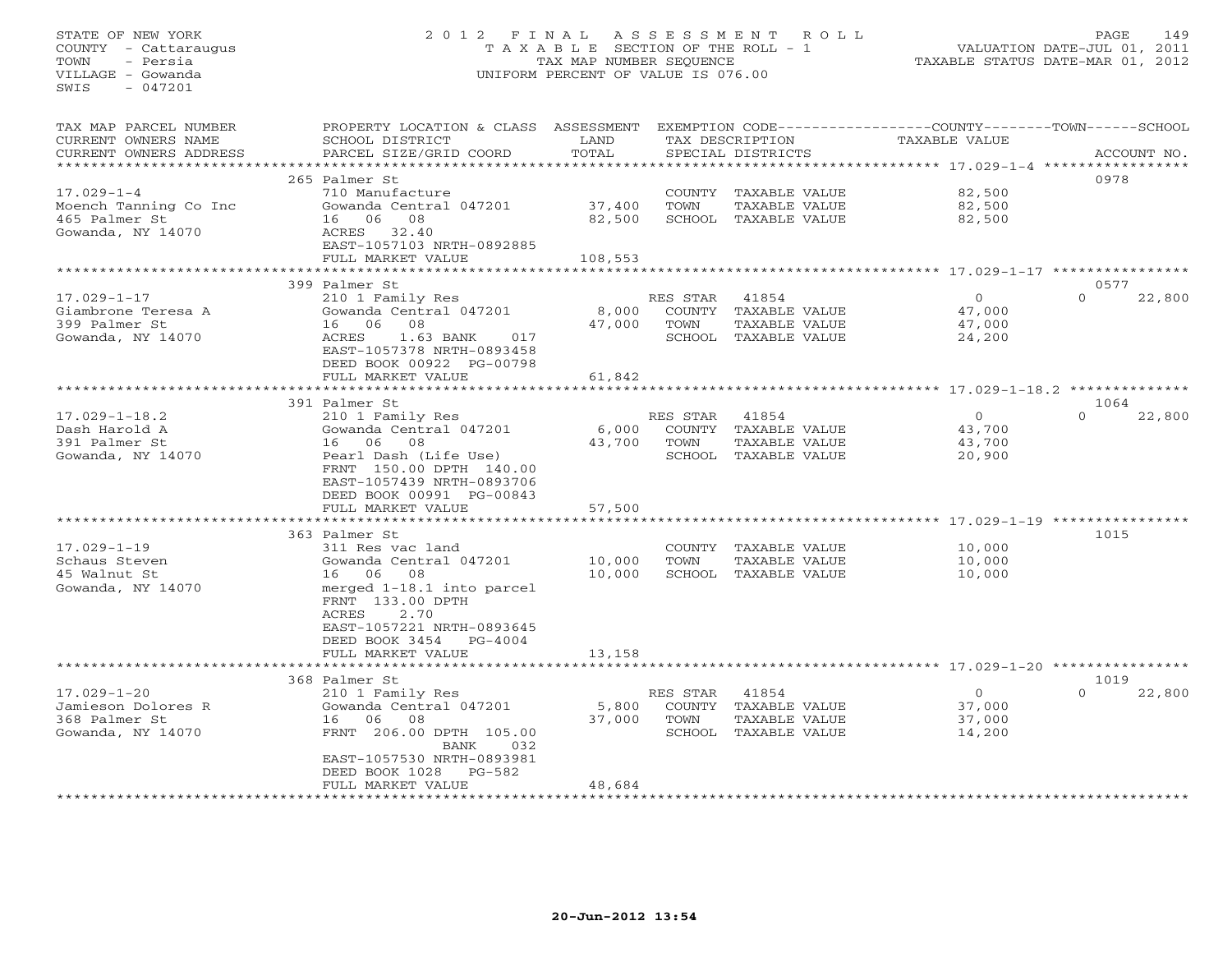## STATE OF NEW YORK 2 0 1 2 F I N A L A S S E S S M E N T R O L L PAGE 149 COUNTY - Cattaraugus T A X A B L E SECTION OF THE ROLL - 1 VALUATION DATE-JUL 01, 2011 TOWN - Persia TAX MAP NUMBER SEQUENCE TAXABLE STATUS DATE-MAR 01, 2012 VILLAGE - Gowanda UNIFORM PERCENT OF VALUE IS 076.00UNIFORM PERCENT OF VALUE IS 076.00

| TAX MAP PARCEL NUMBER<br>CURRENT OWNERS NAME | PROPERTY LOCATION & CLASS ASSESSMENT<br>SCHOOL DISTRICT | LAND    |                | TAX DESCRIPTION      | EXEMPTION CODE-----------------COUNTY-------TOWN-----SCHOOL<br><b>TAXABLE VALUE</b> |                    |
|----------------------------------------------|---------------------------------------------------------|---------|----------------|----------------------|-------------------------------------------------------------------------------------|--------------------|
| CURRENT OWNERS ADDRESS                       | PARCEL SIZE/GRID COORD                                  | TOTAL   |                | SPECIAL DISTRICTS    |                                                                                     | ACCOUNT NO.        |
| *********************                        |                                                         |         |                |                      |                                                                                     |                    |
|                                              | 265 Palmer St                                           |         |                |                      |                                                                                     | 0978               |
| $17.029 - 1 - 4$                             | 710 Manufacture                                         |         |                | COUNTY TAXABLE VALUE | 82,500                                                                              |                    |
| Moench Tanning Co Inc                        | Gowanda Central 047201                                  | 37,400  | TOWN           | TAXABLE VALUE        | 82,500                                                                              |                    |
| 465 Palmer St                                | - 06<br>08<br>16                                        | 82,500  |                | SCHOOL TAXABLE VALUE | 82,500                                                                              |                    |
| Gowanda, NY 14070                            | ACRES<br>32.40<br>EAST-1057103 NRTH-0892885             |         |                |                      |                                                                                     |                    |
|                                              | FULL MARKET VALUE                                       | 108,553 |                |                      |                                                                                     |                    |
|                                              |                                                         |         |                |                      | ********** 17.029-1-17 *********                                                    |                    |
|                                              | 399 Palmer St                                           |         |                |                      |                                                                                     | 0577               |
| $17.029 - 1 - 17$                            | 210 1 Family Res                                        |         | RES STAR       | 41854                | $\circ$                                                                             | $\Omega$<br>22,800 |
| Giambrone Teresa A                           | Gowanda Central 047201                                  | 8,000   | COUNTY         | TAXABLE VALUE        | 47,000                                                                              |                    |
| 399 Palmer St                                | 06<br>08<br>16                                          | 47,000  | TOWN           | TAXABLE VALUE        | 47,000                                                                              |                    |
| Gowanda, NY 14070                            | ACRES<br>1.63 BANK<br>017                               |         |                | SCHOOL TAXABLE VALUE | 24,200                                                                              |                    |
|                                              | EAST-1057378 NRTH-0893458                               |         |                |                      |                                                                                     |                    |
|                                              | DEED BOOK 00922 PG-00798                                |         |                |                      |                                                                                     |                    |
|                                              | FULL MARKET VALUE                                       | 61,842  |                |                      |                                                                                     |                    |
|                                              |                                                         |         |                |                      |                                                                                     | 1064               |
| $17.029 - 1 - 18.2$                          | 391 Palmer St                                           |         | RES STAR       |                      | $\circ$                                                                             | $\Omega$           |
| Dash Harold A                                | 210 1 Family Res<br>Gowanda Central 047201              |         | COUNTY         | 41854                |                                                                                     | 22,800             |
|                                              |                                                         | 6,000   |                | TAXABLE VALUE        | 43,700                                                                              |                    |
| 391 Palmer St                                | 16 06 08                                                | 43,700  | TOWN<br>SCHOOL | TAXABLE VALUE        | 43,700                                                                              |                    |
| Gowanda, NY 14070                            | Pearl Dash (Life Use)<br>FRNT 150.00 DPTH 140.00        |         |                | TAXABLE VALUE        | 20,900                                                                              |                    |
|                                              |                                                         |         |                |                      |                                                                                     |                    |
|                                              | EAST-1057439 NRTH-0893706                               |         |                |                      |                                                                                     |                    |
|                                              | DEED BOOK 00991 PG-00843                                |         |                |                      |                                                                                     |                    |
|                                              | FULL MARKET VALUE                                       | 57,500  |                |                      | ********************************** 17.029-1-19 *********                            |                    |
|                                              | 363 Palmer St                                           |         |                |                      |                                                                                     | 1015               |
| $17.029 - 1 - 19$                            | 311 Res vac land                                        |         | <b>COUNTY</b>  | TAXABLE VALUE        | 10,000                                                                              |                    |
| Schaus Steven                                | Gowanda Central 047201                                  | 10,000  | TOWN           | <b>TAXABLE VALUE</b> | 10,000                                                                              |                    |
| 45 Walnut St                                 | 08<br>16 06                                             | 10,000  |                | SCHOOL TAXABLE VALUE | 10,000                                                                              |                    |
| Gowanda, NY 14070                            | merged 1-18.1 into parcel                               |         |                |                      |                                                                                     |                    |
|                                              | FRNT 133.00 DPTH                                        |         |                |                      |                                                                                     |                    |
|                                              | <b>ACRES</b><br>2.70                                    |         |                |                      |                                                                                     |                    |
|                                              | EAST-1057221 NRTH-0893645                               |         |                |                      |                                                                                     |                    |
|                                              | DEED BOOK 3454<br>$PG-4004$                             |         |                |                      |                                                                                     |                    |
|                                              | FULL MARKET VALUE                                       | 13,158  |                |                      |                                                                                     |                    |
|                                              |                                                         |         |                |                      | ****************************** 17.029-1-20 *******                                  |                    |
|                                              | 368 Palmer St                                           |         |                |                      |                                                                                     | 1019               |
| $17.029 - 1 - 20$                            | 210 1 Family Res                                        |         | RES STAR       | 41854                | $\circ$                                                                             | $\Omega$<br>22,800 |
| Jamieson Dolores R                           | Gowanda Central 047201                                  | 5,800   |                | COUNTY TAXABLE VALUE | 37,000                                                                              |                    |
| 368 Palmer St                                | 16<br>06<br>08                                          | 37,000  | TOWN           | TAXABLE VALUE        | 37,000                                                                              |                    |
| Gowanda, NY 14070                            | FRNT 206.00 DPTH 105.00                                 |         |                | SCHOOL TAXABLE VALUE | 14,200                                                                              |                    |
|                                              | BANK<br>032                                             |         |                |                      |                                                                                     |                    |
|                                              | EAST-1057530 NRTH-0893981                               |         |                |                      |                                                                                     |                    |
|                                              | DEED BOOK 1028<br>$PG-582$                              |         |                |                      |                                                                                     |                    |
|                                              | FULL MARKET VALUE                                       | 48,684  |                |                      |                                                                                     |                    |
|                                              |                                                         |         |                |                      |                                                                                     |                    |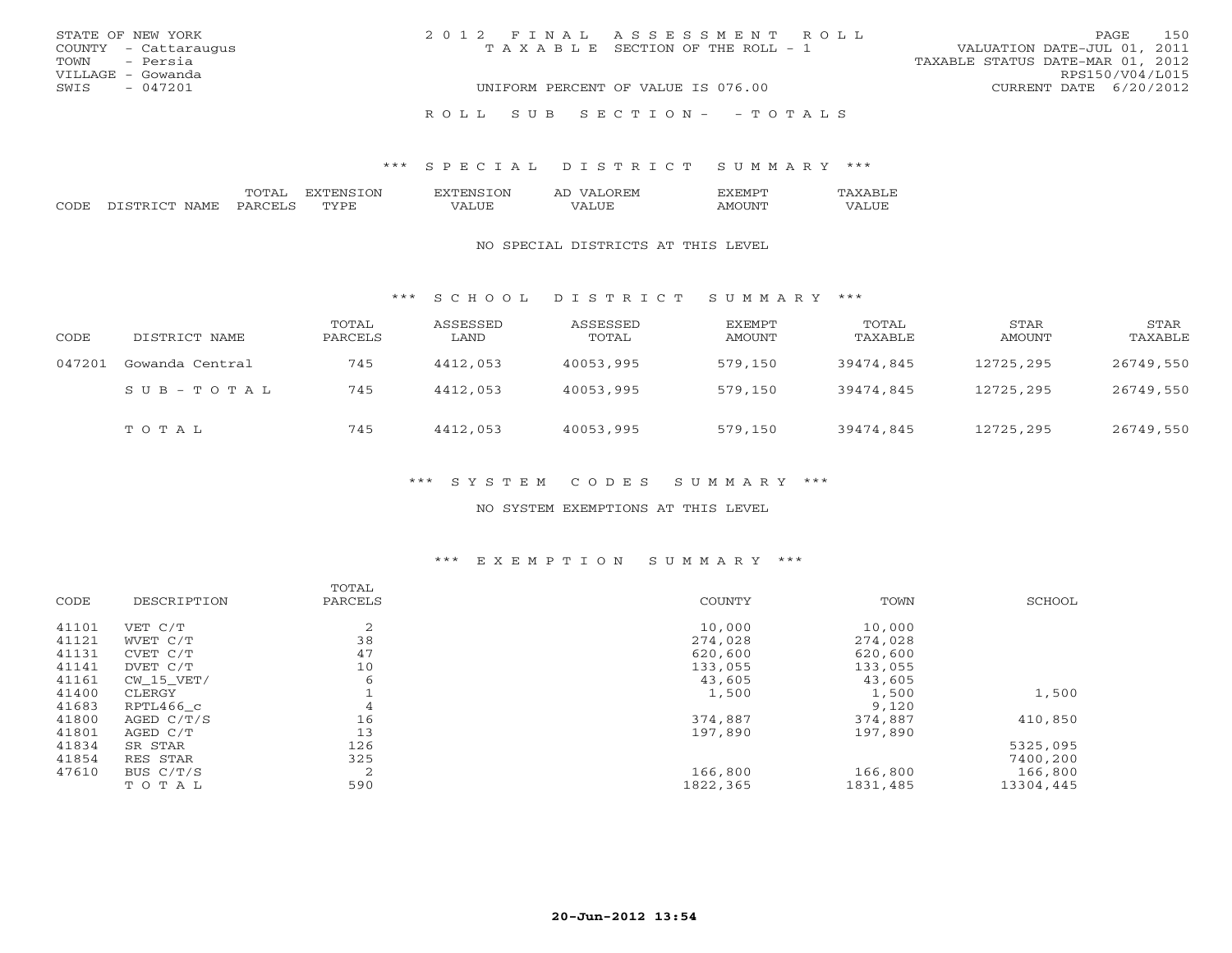| STATE OF NEW YORK    | 2012 FINAL ASSESSMENT ROLL         | 150<br>PAGE.                     |
|----------------------|------------------------------------|----------------------------------|
| COUNTY - Cattaraugus | TAXABLE SECTION OF THE ROLL - 1    | VALUATION DATE-JUL 01, 2011      |
| TOWN - Persia        |                                    | TAXABLE STATUS DATE-MAR 01, 2012 |
| VILLAGE - Gowanda    |                                    | RPS150/V04/L015                  |
| SWIS<br>- 047201     | UNIFORM PERCENT OF VALUE IS 076.00 | CURRENT DATE 6/20/2012           |
|                      | ROLL SUB SECTION- - TOTALS         |                                  |

|                      |  | ⊇N | - ) INI |  |  |
|----------------------|--|----|---------|--|--|
| $\sim$ $\sim$ $\sim$ |  |    |         |  |  |

#### NO SPECIAL DISTRICTS AT THIS LEVEL

#### \*\*\* S C H O O L D I S T R I C T S U M M A R Y \*\*\*

| CODE   | DISTRICT NAME   | TOTAL<br>PARCELS | ASSESSED<br>LAND | ASSESSED<br>TOTAL | EXEMPT<br>AMOUNT | TOTAL<br>TAXABLE | STAR<br>AMOUNT | STAR<br>TAXABLE |
|--------|-----------------|------------------|------------------|-------------------|------------------|------------------|----------------|-----------------|
| 047201 | Gowanda Central | 745              | 4412,053         | 40053,995         | 579,150          | 39474,845        | 12725,295      | 26749,550       |
|        | SUB-TOTAL       | 745              | 4412,053         | 40053,995         | 579,150          | 39474,845        | 12725,295      | 26749,550       |
|        | TOTAL           | 745              | 4412,053         | 40053,995         | 579,150          | 39474,845        | 12725,295      | 26749,550       |

### \*\*\* S Y S T E M C O D E S S U M M A R Y \*\*\*

## NO SYSTEM EXEMPTIONS AT THIS LEVEL

## \*\*\* E X E M P T I O N S U M M A R Y \*\*\*

|       |              | TOTAL   |          |          |           |
|-------|--------------|---------|----------|----------|-----------|
| CODE  | DESCRIPTION  | PARCELS | COUNTY   | TOWN     | SCHOOL    |
| 41101 | VET C/T      | 2       | 10,000   | 10,000   |           |
| 41121 | WVET C/T     | 38      | 274,028  | 274,028  |           |
| 41131 | CVET C/T     | 47      | 620,600  | 620,600  |           |
| 41141 | DVET C/T     | 10      | 133,055  | 133,055  |           |
| 41161 | CW 15 VET/   | 6       | 43,605   | 43,605   |           |
| 41400 | CLERGY       |         | 1,500    | 1,500    | 1,500     |
| 41683 | RPTL466 c    | 4       |          | 9,120    |           |
| 41800 | AGED $C/T/S$ | 16      | 374,887  | 374,887  | 410,850   |
| 41801 | AGED C/T     | 13      | 197,890  | 197,890  |           |
| 41834 | SR STAR      | 126     |          |          | 5325,095  |
| 41854 | RES STAR     | 325     |          |          | 7400,200  |
| 47610 | BUS C/T/S    | 2       | 166,800  | 166,800  | 166,800   |
|       | TOTAL        | 590     | 1822,365 | 1831,485 | 13304,445 |
|       |              |         |          |          |           |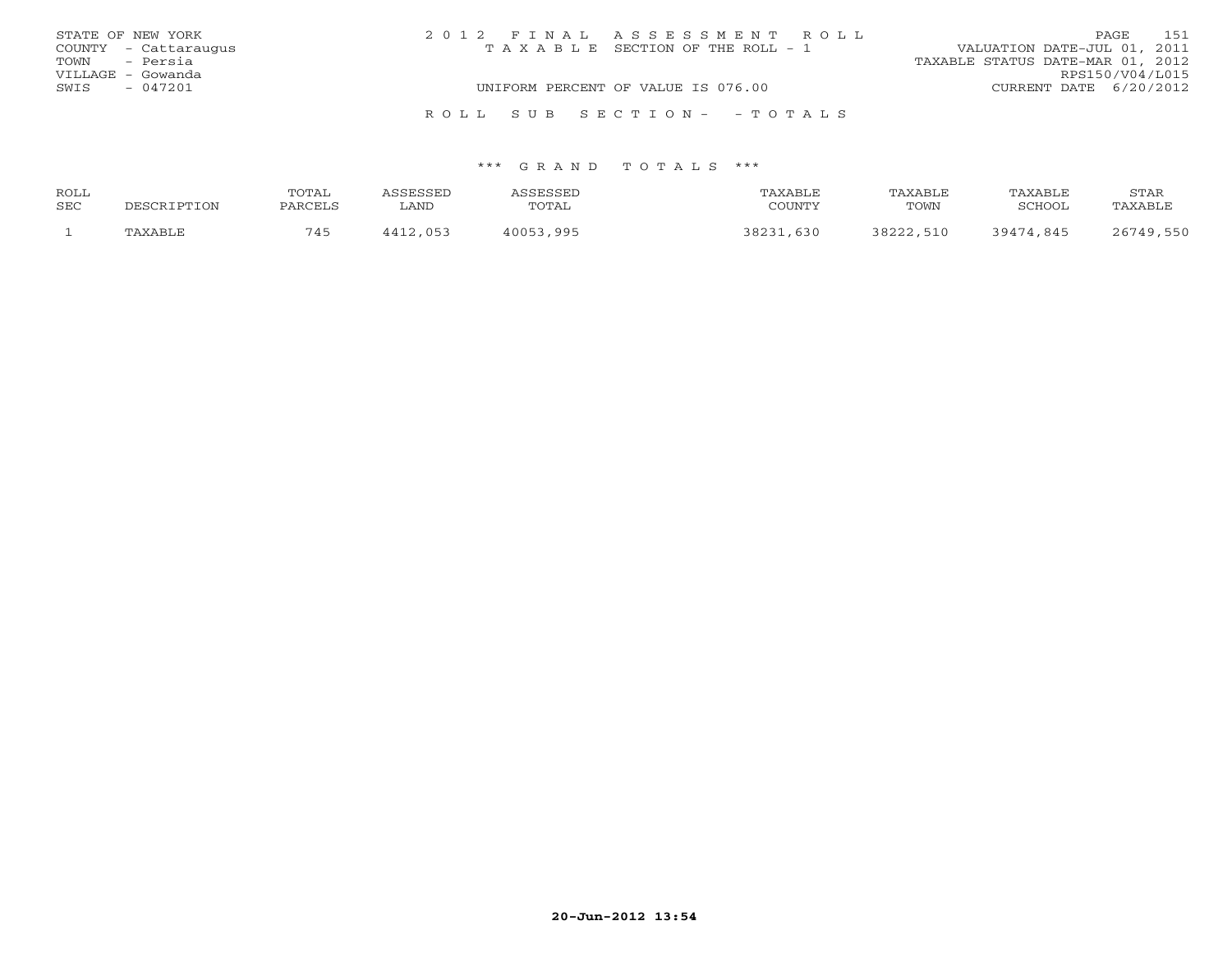|      | STATE OF NEW YORK    | 2012 FINAL ASSESSMENT ROLL            |  |                                  | PAGE            | 151 |
|------|----------------------|---------------------------------------|--|----------------------------------|-----------------|-----|
|      | COUNTY - Cattaraugus | T A X A B L E SECTION OF THE ROLL - 1 |  | VALUATION DATE-JUL 01, 2011      |                 |     |
|      | TOWN - Persia        |                                       |  | TAXABLE STATUS DATE-MAR 01, 2012 |                 |     |
|      | VILLAGE - Gowanda    |                                       |  |                                  | RPS150/V04/L015 |     |
| SWIS | - 047201             | UNIFORM PERCENT OF VALUE IS 076.00    |  | CURRENT DATE $6/20/2012$         |                 |     |
|      |                      |                                       |  |                                  |                 |     |
|      |                      | ROLL SUB SECTION- - TOTALS            |  |                                  |                 |     |

| ROLL |                         | TOTAL   |          | <b>SCRCCET</b> | TAXABLE | TAXABLE   | PAXABLE   | STAR           |
|------|-------------------------|---------|----------|----------------|---------|-----------|-----------|----------------|
| SEC  | <b>TPTTON</b><br>DECOD. | PARCELS | LAND     | TOTAL          | COUNTY  | TOWN      | SCHOOL    | <b>TAXABLE</b> |
|      | TAXABI F                | 745     | 1112 053 | 40053<br>995   | 630     | 38222,510 | 39474.845 | $26710$        |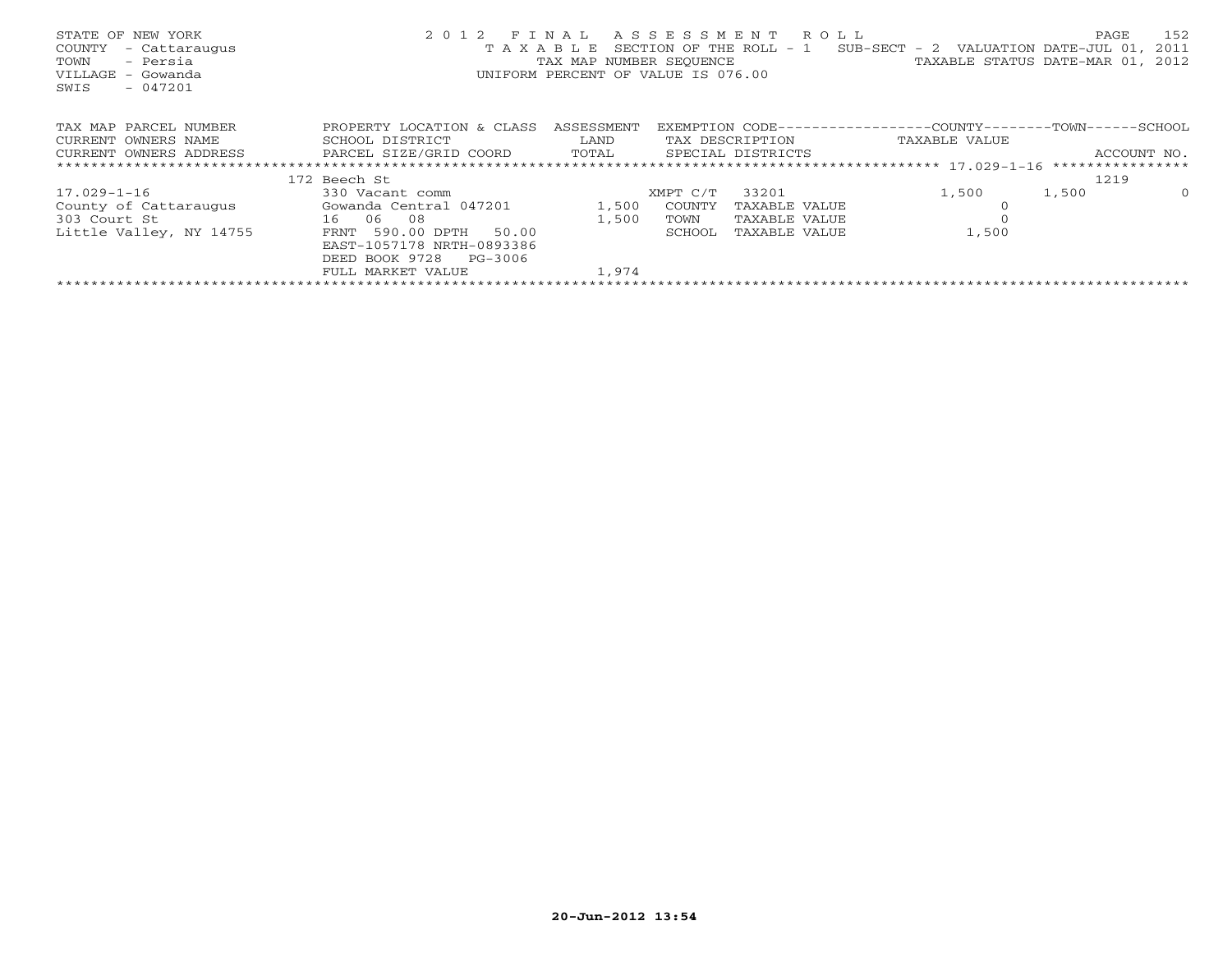| STATE OF NEW YORK<br>COUNTY<br>- Cattaraugus<br>- Persia<br>TOWN<br>VILLAGE - Gowanda<br>$-047201$<br>SWIS | 2 0 1 2<br>TAXABLE                         | F T N A T,<br>UNIFORM PERCENT OF VALUE IS 076.00 |          | A S S E S S M E N T R O L L | SECTION OF THE ROLL - $1$ SUB-SECT - 2 VALUATION DATE-JUL 01,<br>TAX MAP NUMBER SEQUENCE TAN TAXABLE STATUS DATE-MAR 01, 2012 | PAGE<br>2011     | 152      |
|------------------------------------------------------------------------------------------------------------|--------------------------------------------|--------------------------------------------------|----------|-----------------------------|-------------------------------------------------------------------------------------------------------------------------------|------------------|----------|
| TAX MAP PARCEL NUMBER                                                                                      | PROPERTY LOCATION & CLASS                  | ASSESSMENT                                       |          |                             | EXEMPTION CODE-----------------COUNTY-------TOWN------SCHOOL                                                                  |                  |          |
| CURRENT OWNERS NAME                                                                                        | LAND<br>SCHOOL DISTRICT<br>TAX DESCRIPTION |                                                  |          | TAXABLE VALUE               |                                                                                                                               |                  |          |
| CURRENT OWNERS ADDRESS                                                                                     | PARCEL SIZE/GRID COORD TOTAL               |                                                  |          | SPECIAL DISTRICTS           |                                                                                                                               | ACCOUNT NO.      |          |
|                                                                                                            |                                            |                                                  |          |                             |                                                                                                                               | **************** |          |
|                                                                                                            | 172 Beech St                               |                                                  |          |                             |                                                                                                                               | 1219             |          |
| 17.029-1-16                                                                                                | 330 Vacant comm                            |                                                  | XMPT C/T | 33201                       | 1,500                                                                                                                         | 1,500            | $\Omega$ |
| County of Cattaraugus                                                                                      | Gowanda Central 047201                     | 1,500                                            | COUNTY   | TAXABLE VALUE               |                                                                                                                               |                  |          |
| 303 Court St<br>16 06                                                                                      | 08                                         | 1,500                                            | TOWN     | TAXABLE VALUE               |                                                                                                                               |                  |          |
| Little Valley, NY 14755                                                                                    | FRNT 590.00 DPTH<br>50.00                  |                                                  | SCHOOL   | TAXABLE VALUE               | 1,500                                                                                                                         |                  |          |
|                                                                                                            | EAST-1057178 NRTH-0893386                  |                                                  |          |                             |                                                                                                                               |                  |          |
|                                                                                                            | DEED BOOK 9728<br>PG-3006                  |                                                  |          |                             |                                                                                                                               |                  |          |
|                                                                                                            | FULL MARKET VALUE                          | 1,974                                            |          |                             |                                                                                                                               |                  |          |
|                                                                                                            |                                            |                                                  |          |                             |                                                                                                                               |                  |          |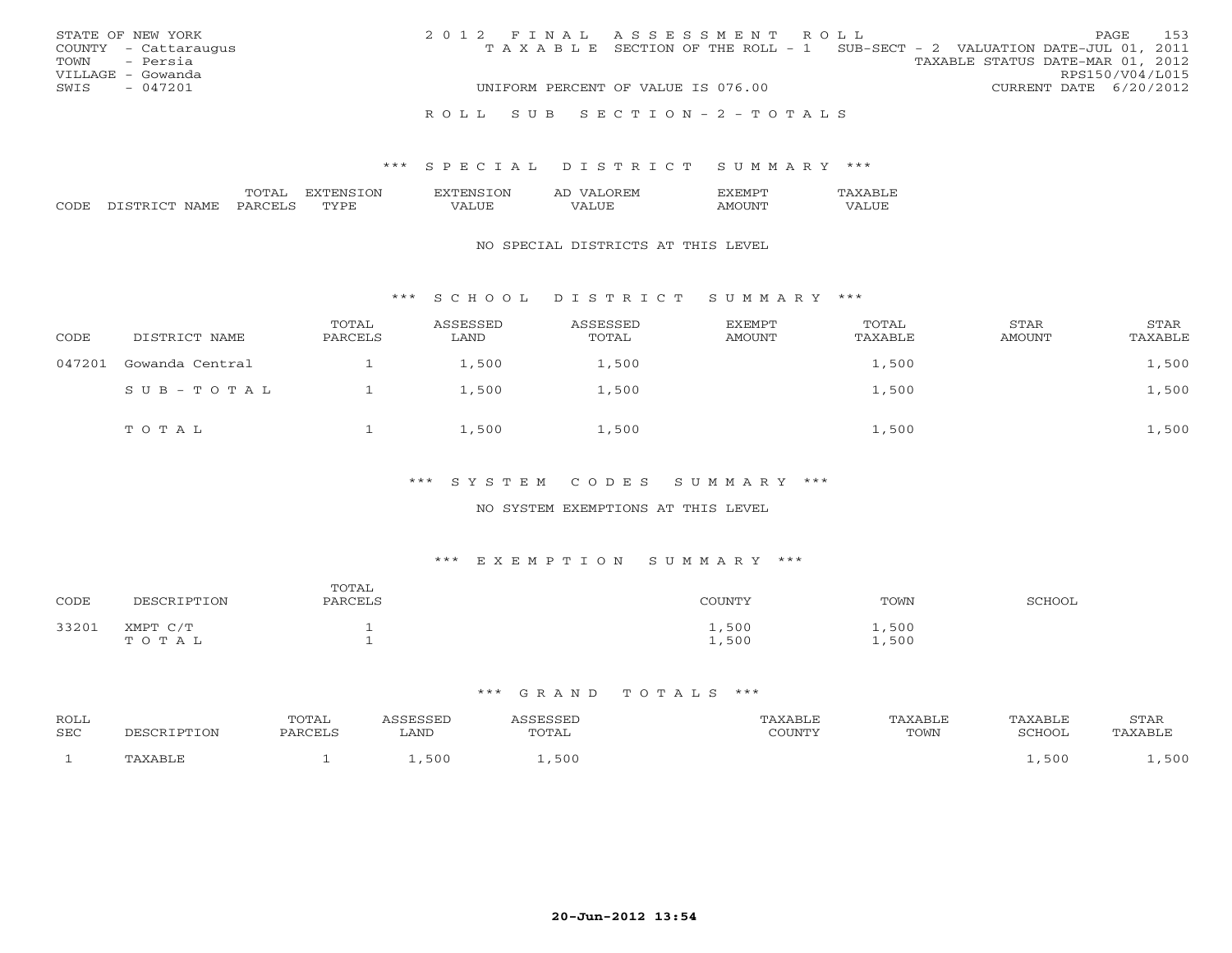| STATE OF NEW YORK    |           | 2012 FINAL ASSESSMENT ROLL                                                     |                                  |                        | PAGE | 153 |
|----------------------|-----------|--------------------------------------------------------------------------------|----------------------------------|------------------------|------|-----|
| COUNTY - Cattaraugus |           | T A X A B L E SECTION OF THE ROLL - 1 SUB-SECT - 2 VALUATION DATE-JUL 01, 2011 |                                  |                        |      |     |
| TOWN - Persia        |           |                                                                                | TAXABLE STATUS DATE-MAR 01, 2012 |                        |      |     |
| VILLAGE - Gowanda    |           |                                                                                |                                  | RPS150/V04/L015        |      |     |
| SWIS                 | $-047201$ | UNIFORM PERCENT OF VALUE IS 076.00                                             |                                  | CURRENT DATE 6/20/2012 |      |     |
|                      |           | ROLL SUB SECTION-2-TOTALS                                                      |                                  |                        |      |     |

|               |   | ∋N | ١N |  |  |
|---------------|---|----|----|--|--|
| $\sim$ $\sim$ | ᠁ |    |    |  |  |

#### NO SPECIAL DISTRICTS AT THIS LEVEL

### \*\*\* S C H O O L D I S T R I C T S U M M A R Y \*\*\*

| CODE   | DISTRICT NAME   | TOTAL<br>PARCELS | ASSESSED<br>LAND | ASSESSED<br>TOTAL | <b>EXEMPT</b><br>AMOUNT | TOTAL<br>TAXABLE | STAR<br>AMOUNT | STAR<br>TAXABLE |
|--------|-----------------|------------------|------------------|-------------------|-------------------------|------------------|----------------|-----------------|
| 047201 | Gowanda Central |                  | 1,500            | 1,500             |                         | 1,500            |                | 1,500           |
|        | SUB-TOTAL       |                  | 1,500            | 1,500             |                         | 1,500            |                | 1,500           |
|        | TOTAL           |                  | 1,500            | 1,500             |                         | 1,500            |                | 1,500           |

### \*\*\* S Y S T E M C O D E S S U M M A R Y \*\*\*

## NO SYSTEM EXEMPTIONS AT THIS LEVEL

## \*\*\* E X E M P T I O N S U M M A R Y \*\*\*

| CODE  | DESCRIPTION       | TOTAL<br>PARCELS | COUNTY         | TOWN           | SCHOOL |
|-------|-------------------|------------------|----------------|----------------|--------|
| 33201 | XMPT C/T<br>TOTAL |                  | 1,500<br>1,500 | 1,500<br>1,500 |        |

| <b>ROLL</b> | 'OTAL |      |             |          |      |        | STAR          |
|-------------|-------|------|-------------|----------|------|--------|---------------|
| <b>SEC</b>  |       | ∟AND | TOTAL       | COLINTIN | TOWN | SCHOOI |               |
|             |       | 500  | C C<br>$-1$ |          |      | 50 C   | $E \cap \cap$ |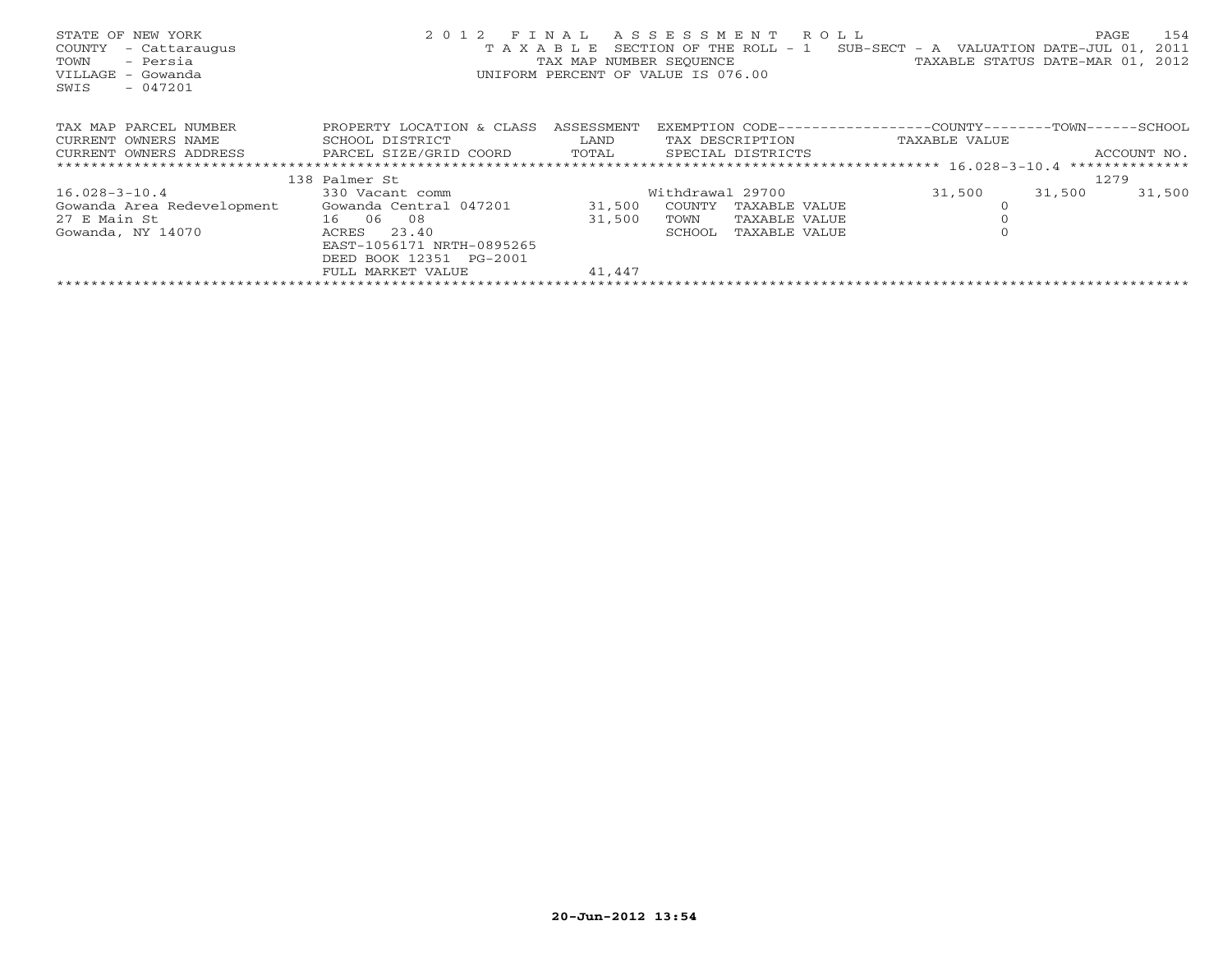| STATE OF NEW YORK<br>COUNTY<br>- Cattaraugus<br>- Persia<br>TOWN<br>VILLAGE - Gowanda<br>$-047201$<br>SWIS | 2 0 1 2<br>T A X A B I, E    | F T N A T, | A S S E S S M E N T R O L L<br>SECTION OF THE ROLL $-1$ SUB-SECT - A VALUATION DATE-JUL 01,<br>TAX MAP NUMBER SEQUENCE TAN TAXABLE STATUS DATE-MAR 01, 2012<br>UNIFORM PERCENT OF VALUE IS 076.00 |               | PAGE<br>154<br>2011 |
|------------------------------------------------------------------------------------------------------------|------------------------------|------------|---------------------------------------------------------------------------------------------------------------------------------------------------------------------------------------------------|---------------|---------------------|
| TAX MAP PARCEL NUMBER                                                                                      | PROPERTY LOCATION & CLASS    | ASSESSMENT | EXEMPTION CODE------------------COUNTY--------TOWN------SCHOOL                                                                                                                                    |               |                     |
| CURRENT OWNERS NAME                                                                                        | SCHOOL DISTRICT              | LAND       | TAX DESCRIPTION                                                                                                                                                                                   | TAXABLE VALUE |                     |
| CURRENT OWNERS ADDRESS                                                                                     | PARCEL SIZE/GRID COORD TOTAL |            | SPECIAL DISTRICTS                                                                                                                                                                                 |               | ACCOUNT NO.         |
|                                                                                                            |                              |            |                                                                                                                                                                                                   |               |                     |
|                                                                                                            | 138 Palmer St                |            |                                                                                                                                                                                                   |               | 1279                |
| 16.028-3-10.4                                                                                              | 330 Vacant comm              |            | Withdrawal 29700                                                                                                                                                                                  | 31,500        | 31,500<br>31,500    |
| Gowanda Area Redevelopment                                                                                 | Gowanda Central 047201       | 31,500     | COUNTY<br>TAXABLE VALUE                                                                                                                                                                           |               |                     |
| 27 E Main St<br>16 06 08                                                                                   |                              | 31,500     | TOWN<br>TAXABLE VALUE                                                                                                                                                                             |               |                     |
| Gowanda, NY 14070                                                                                          | ACRES<br>23.40               |            | SCHOOL<br>TAXABLE VALUE                                                                                                                                                                           |               |                     |
|                                                                                                            | EAST-1056171 NRTH-0895265    |            |                                                                                                                                                                                                   |               |                     |
|                                                                                                            | DEED BOOK 12351 PG-2001      |            |                                                                                                                                                                                                   |               |                     |
|                                                                                                            | FULL MARKET VALUE            | 41,447     |                                                                                                                                                                                                   |               |                     |
|                                                                                                            |                              |            |                                                                                                                                                                                                   |               |                     |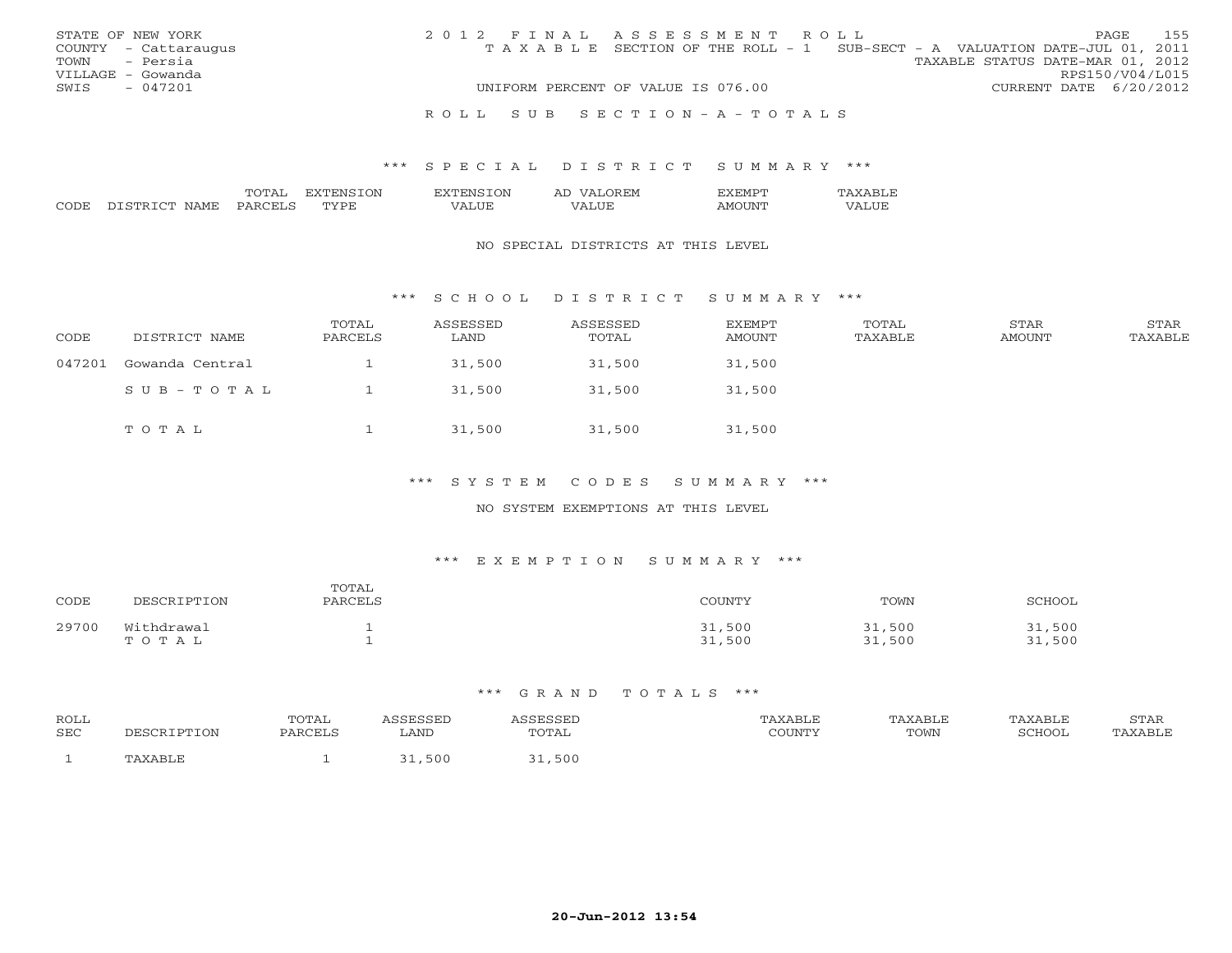|      | STATE OF NEW YORK    | 2012 FINAL ASSESSMENT ROLL                                                     |                                  | PAGE                   | 155 |
|------|----------------------|--------------------------------------------------------------------------------|----------------------------------|------------------------|-----|
|      | COUNTY - Cattaraugus | T A X A B L E SECTION OF THE ROLL - 1 SUB-SECT - A VALUATION DATE-JUL 01, 2011 |                                  |                        |     |
|      | TOWN - Persia        |                                                                                | TAXABLE STATUS DATE-MAR 01, 2012 |                        |     |
|      | VILLAGE - Gowanda    |                                                                                |                                  | RPS150/V04/L015        |     |
| SWIS | $-047201$            | UNIFORM PERCENT OF VALUE IS 076.00                                             |                                  | CURRENT DATE 6/20/2012 |     |
|      |                      |                                                                                |                                  |                        |     |
|      |                      | ROLL SUB SECTION-A-TOTALS                                                      |                                  |                        |     |

|                             | $T \cap T$<br>-- | ')NI<br>. | . . | .                           |  |
|-----------------------------|------------------|-----------|-----|-----------------------------|--|
| $\sim$ $\sim$<br>$\backsim$ |                  |           |     | $\sim$ $\sim$ $\sim$ $\sim$ |  |

#### NO SPECIAL DISTRICTS AT THIS LEVEL

### \*\*\* S C H O O L D I S T R I C T S U M M A R Y \*\*\*

| CODE   | DISTRICT NAME   | TOTAL<br>PARCELS | ASSESSED<br>LAND | ASSESSED<br>TOTAL | EXEMPT<br>AMOUNT | TOTAL<br>TAXABLE | STAR<br>AMOUNT | STAR<br>TAXABLE |
|--------|-----------------|------------------|------------------|-------------------|------------------|------------------|----------------|-----------------|
| 047201 | Gowanda Central |                  | 31,500           | 31,500            | 31,500           |                  |                |                 |
|        | SUB-TOTAL       |                  | 31,500           | 31,500            | 31,500           |                  |                |                 |
|        | TOTAL           |                  | 31,500           | 31,500            | 31,500           |                  |                |                 |

### \*\*\* S Y S T E M C O D E S S U M M A R Y \*\*\*

## NO SYSTEM EXEMPTIONS AT THIS LEVEL

## \*\*\* E X E M P T I O N S U M M A R Y \*\*\*

| CODE  | DESCRIPTION         | TOTAL<br>PARCELS | COUNTY           | TOWN             | SCHOOL           |
|-------|---------------------|------------------|------------------|------------------|------------------|
| 29700 | Withdrawal<br>TOTAL |                  | 31,500<br>31,500 | 31,500<br>31,500 | 31,500<br>31,500 |

| ROLL |             | TOTAL   | SSESSED | ASSESSED | TAXABLE | TAXABLE | TAXABLE | STAR<br><u>U 1711</u> |
|------|-------------|---------|---------|----------|---------|---------|---------|-----------------------|
| SEC  | DESCRIPTION | PARCELS | LAND    | TOTAL    | COUNTY  | TOWN    | SCHOOL  | 'AXABLE               |
|      | TAXABLE     |         | 500     | .,500    |         |         |         |                       |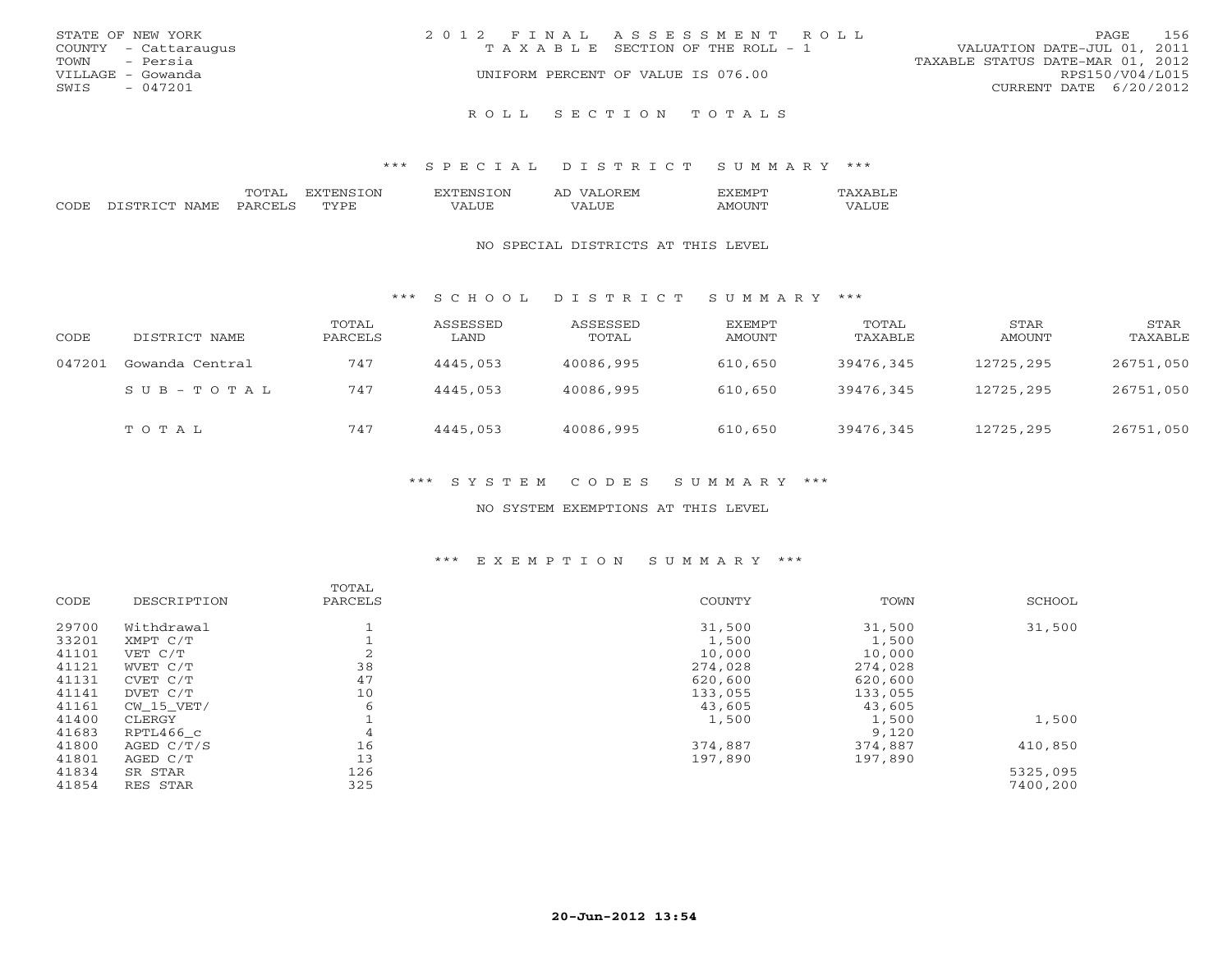| STATE OF NEW YORK    | 2012 FINAL ASSESSMENT ROLL         | 156<br><b>PAGE</b>               |
|----------------------|------------------------------------|----------------------------------|
| COUNTY - Cattaraugus | TAXABLE SECTION OF THE ROLL - 1    | VALUATION DATE-JUL 01, 2011      |
| - Persia<br>TOWN     |                                    | TAXABLE STATUS DATE-MAR 01, 2012 |
| VILLAGE - Gowanda    | UNIFORM PERCENT OF VALUE IS 076.00 | RPS150/V04/L015                  |
| $-047201$<br>SWIS    |                                    | CURRENT DATE 6/20/2012           |
|                      |                                    |                                  |

#### R O L L S E C T I O N T O T A L S

#### \*\*\* S P E C I A L D I S T R I C T S U M M A R Y \*\*\*

|               |                            | ---           | OΝ<br>÷РМ | ΟN<br>$\sim$           | $\overline{\phantom{a}}$<br>H.N<br>. . | C IVI |                      |
|---------------|----------------------------|---------------|-----------|------------------------|----------------------------------------|-------|----------------------|
| $\cap$ $\cap$ | `™<br>$\sim$ mn.<br>. M H' | .<br>$\cdots$ | Рн.       | $-$<br>$\cdots$<br>, , | .<br>JUL                               | I IXI | ---<br>- 23<br>,,,,, |

#### NO SPECIAL DISTRICTS AT THIS LEVEL

### \*\*\* S C H O O L D I S T R I C T S U M M A R Y \*\*\*

| CODE   | DISTRICT NAME   | TOTAL<br>PARCELS | ASSESSED<br>LAND | ASSESSED<br>TOTAL | EXEMPT<br>AMOUNT | TOTAL<br>TAXABLE | <b>STAR</b><br>AMOUNT | STAR<br>TAXABLE |
|--------|-----------------|------------------|------------------|-------------------|------------------|------------------|-----------------------|-----------------|
| 047201 | Gowanda Central | 747              | 4445,053         | 40086,995         | 610,650          | 39476,345        | 12725,295             | 26751,050       |
|        | SUB-TOTAL       | 747              | 4445,053         | 40086,995         | 610,650          | 39476,345        | 12725,295             | 26751,050       |
|        | TOTAL           | 747              | 4445,053         | 40086,995         | 610,650          | 39476,345        | 12725,295             | 26751,050       |

### \*\*\* S Y S T E M C O D E S S U M M A R Y \*\*\*

## NO SYSTEM EXEMPTIONS AT THIS LEVEL

## \*\*\* E X E M P T I O N S U M M A R Y \*\*\*

|       |             | TOTAL   |         |         |          |
|-------|-------------|---------|---------|---------|----------|
| CODE  | DESCRIPTION | PARCELS | COUNTY  | TOWN    | SCHOOL   |
| 29700 | Withdrawal  |         | 31,500  | 31,500  | 31,500   |
| 33201 | XMPT C/T    |         | 1,500   | 1,500   |          |
| 41101 | VET C/T     | 2       | 10,000  | 10,000  |          |
| 41121 | WVET C/T    | 38      | 274,028 | 274,028 |          |
| 41131 | CVET C/T    | 47      | 620,600 | 620,600 |          |
| 41141 | DVET C/T    | 10      | 133,055 | 133,055 |          |
| 41161 | CW 15 VET/  | 6       | 43,605  | 43,605  |          |
| 41400 | CLERGY      |         | 1,500   | 1,500   | 1,500    |
| 41683 | RPTL466 c   | 4       |         | 9,120   |          |
| 41800 | AGED C/T/S  | 16      | 374,887 | 374,887 | 410,850  |
| 41801 | AGED C/T    | 13      | 197,890 | 197,890 |          |
| 41834 | SR STAR     | 126     |         |         | 5325,095 |
| 41854 | RES STAR    | 325     |         |         | 7400,200 |
|       |             |         |         |         |          |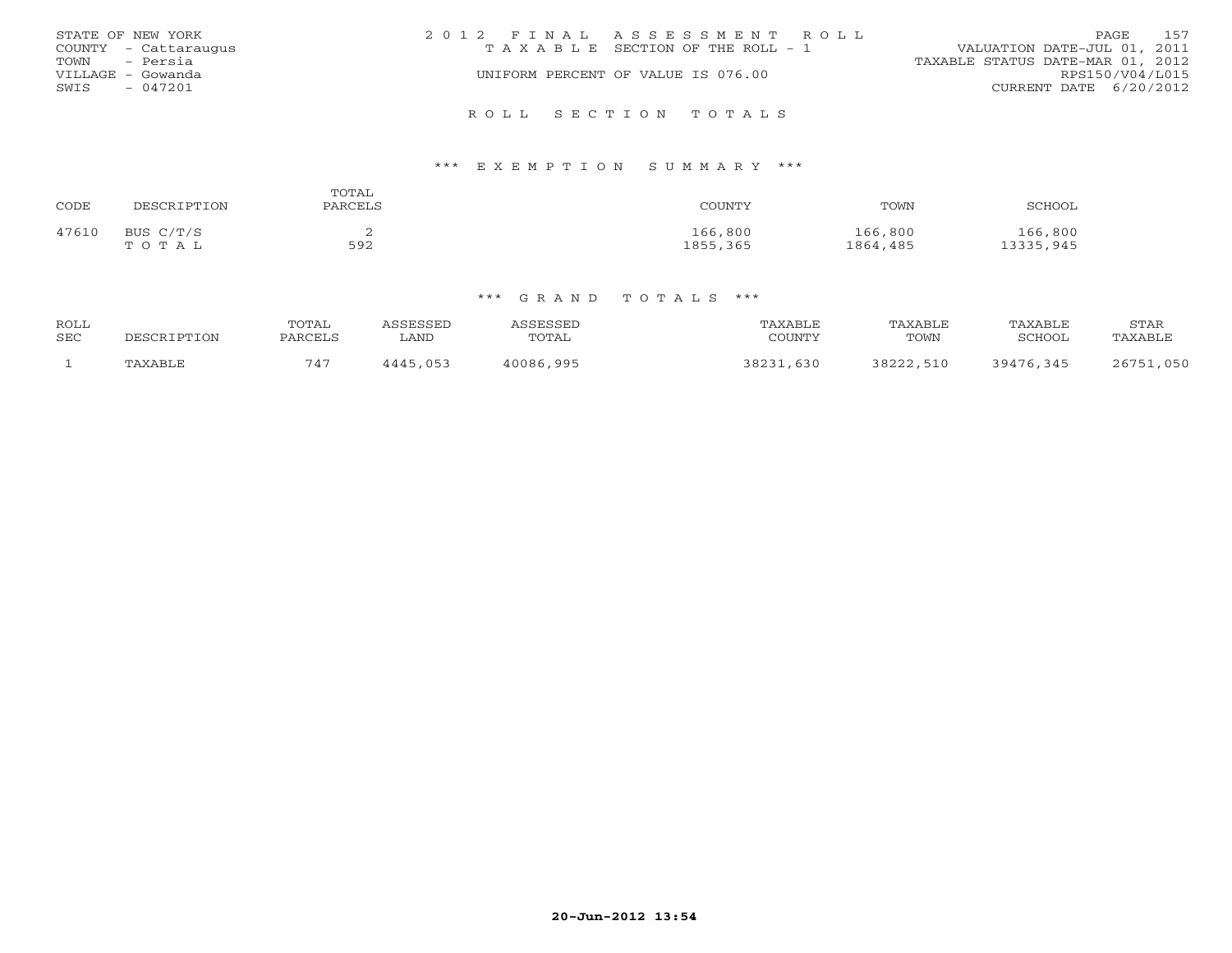|      | STATE OF NEW YORK    | 2012 FINAL ASSESSMENT ROLL            | PAGE                             | 157             |
|------|----------------------|---------------------------------------|----------------------------------|-----------------|
|      | COUNTY - Cattaraugus | T A X A B L E SECTION OF THE ROLL - 1 | VALUATION DATE-JUL 01, 2011      |                 |
|      | TOWN - Persia        |                                       | TAXABLE STATUS DATE-MAR 01, 2012 |                 |
|      | VILLAGE - Gowanda    | UNIFORM PERCENT OF VALUE IS 076.00    |                                  | RPS150/V04/L015 |
| SWIS | - 047201             |                                       | CURRENT DATE 6/20/2012           |                 |
|      |                      |                                       |                                  |                 |
|      |                      | ROLL SECTION TOTALS                   |                                  |                 |

### \*\*\* E X E M P T I O N S U M M A R Y \*\*\*

| CODE  | DESCRIPTION | TOTAL<br>PARCELS | COUNTY   | TOWN     | SCHOOL    |
|-------|-------------|------------------|----------|----------|-----------|
| 47610 | BUS C/T/S   | ∽                | 166,800  | 166,800  | 166,800   |
|       | TOTAL       | 592              | 1855,365 | 1864,485 | 13335,945 |

| <b>ROLL</b><br><b>SEC</b> | DESCRIPTION | TOTAL<br>PARCELS | <i><b>\SSESSED</b></i><br><b>LAND</b> | ASSESSED<br>TOTAL | TAXABLE<br>COUNTY | TAXABLE<br>TOWN | TAXABLE<br>SCHOOL | STAR<br>TAXABLE |
|---------------------------|-------------|------------------|---------------------------------------|-------------------|-------------------|-----------------|-------------------|-----------------|
|                           | TAXABLE     | 747              | 4445,053                              | 40086,995         | 38231,630         | 38222,510       | 39476.345         | 26751,050       |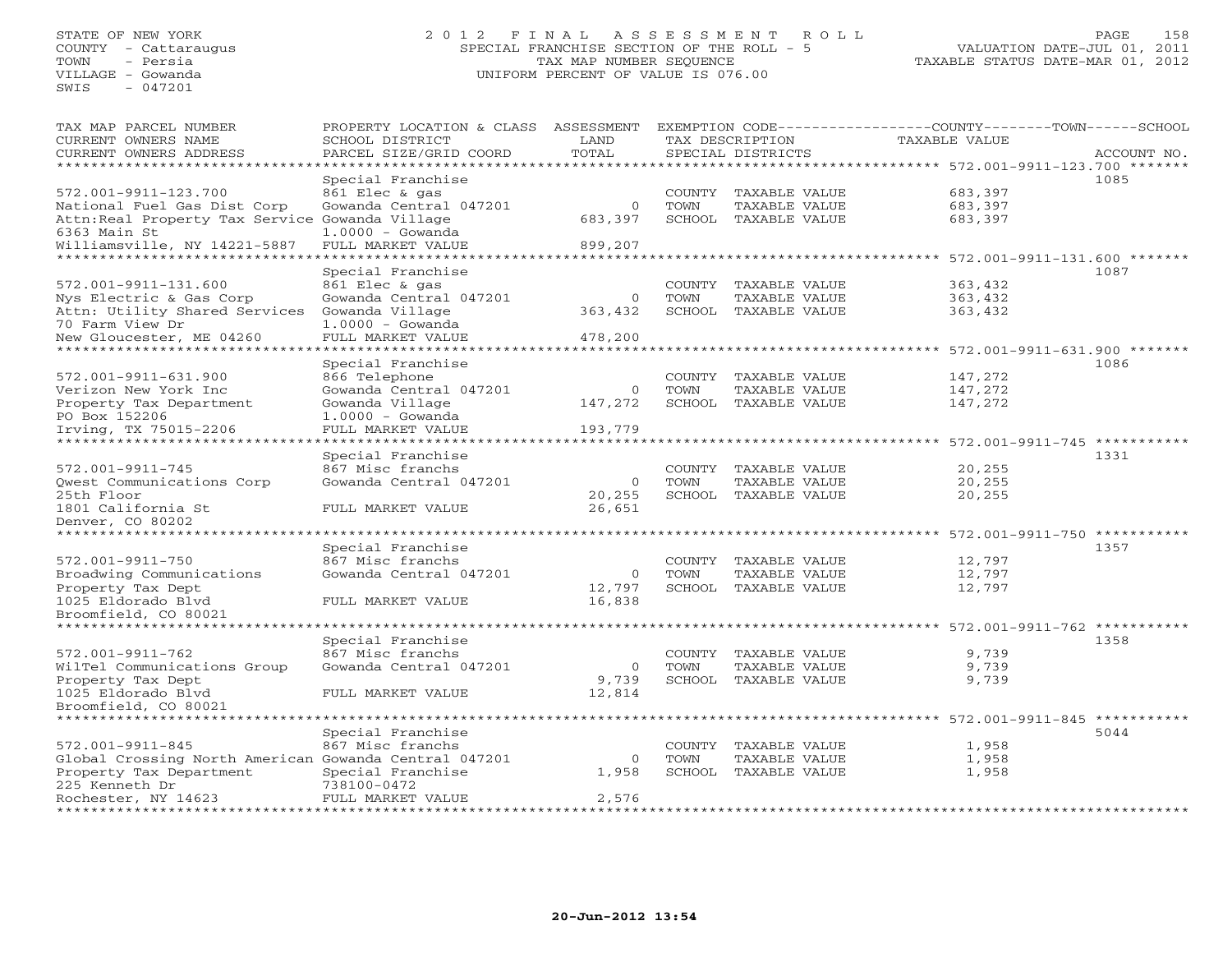## STATE OF NEW YORK 2 0 1 2 F I N A L A S S E S S M E N T R O L L PAGE 158COUNTY - Cattaraugus SPECIAL FRANCHISE SECTION OF THE ROLL - 5 VALUATION DATE-JUL 01, 2011 TOWN - Persia TAX MAP NUMBER SEQUENCE TAXABLE STATUS DATE-MAR 01, 2012 VILLAGE - Gowanda UNIFORM PERCENT OF VALUE IS 076.00

| TAX MAP PARCEL NUMBER<br>CURRENT OWNERS NAME              | PROPERTY LOCATION & CLASS ASSESSMENT<br>SCHOOL DISTRICT | LAND        |                | TAX DESCRIPTION                | EXEMPTION CODE----------------COUNTY-------TOWN-----SCHOOL<br>TAXABLE VALUE |             |
|-----------------------------------------------------------|---------------------------------------------------------|-------------|----------------|--------------------------------|-----------------------------------------------------------------------------|-------------|
| CURRENT OWNERS ADDRESS                                    | PARCEL SIZE/GRID COORD                                  | TOTAL       |                | SPECIAL DISTRICTS              |                                                                             | ACCOUNT NO. |
| ***************                                           | **********                                              | **********  |                |                                | ******************************** 572.001-9911-123.700 *******               |             |
|                                                           | Special Franchise                                       |             |                |                                |                                                                             | 1085        |
| 572.001-9911-123.700                                      | 861 Elec & gas                                          |             | COUNTY         | TAXABLE VALUE                  | 683,397                                                                     |             |
| National Fuel Gas Dist Corp                               | Gowanda Central 047201                                  | $\circ$     | TOWN           | TAXABLE VALUE                  | 683,397                                                                     |             |
| Attn: Real Property Tax Service Gowanda Village           |                                                         | 683,397     |                | SCHOOL TAXABLE VALUE           | 683,397                                                                     |             |
| 6363 Main St                                              | $1.0000 - Gowanda$                                      |             |                |                                |                                                                             |             |
| Williamsville, NY 14221-5887                              | FULL MARKET VALUE                                       | 899,207     |                |                                |                                                                             |             |
|                                                           |                                                         |             |                |                                | $572.001 - 9911 - 131.600$ *******                                          |             |
|                                                           | Special Franchise                                       |             |                |                                |                                                                             | 1087        |
| 572.001-9911-131.600                                      | 861 Elec & gas                                          |             | COUNTY         | TAXABLE VALUE                  | 363,432                                                                     |             |
| Nys Electric & Gas Corp                                   | Gowanda Central 047201                                  | $\mathbf 0$ | TOWN           | TAXABLE VALUE                  | 363,432                                                                     |             |
| Attn: Utility Shared Services                             | Gowanda Village                                         | 363,432     |                | SCHOOL TAXABLE VALUE           | 363,432                                                                     |             |
| 70 Farm View Dr                                           | $1.0000 - Gowanda$                                      |             |                |                                |                                                                             |             |
| New Gloucester, ME 04260                                  | FULL MARKET VALUE<br>* * * * * * * * * * * * * * * *    | 478,200     |                |                                |                                                                             |             |
|                                                           |                                                         |             |                |                                | 572.001-9911-631.900 *******                                                |             |
|                                                           | Special Franchise                                       |             |                |                                |                                                                             | 1086        |
| 572.001-9911-631.900                                      | 866 Telephone                                           | $\mathbf 0$ | COUNTY         | TAXABLE VALUE                  | 147,272                                                                     |             |
| Verizon New York Inc                                      | Gowanda Central 047201                                  |             | TOWN           | TAXABLE VALUE                  | 147,272                                                                     |             |
| Property Tax Department                                   | Gowanda Village                                         | 147,272     | SCHOOL         | TAXABLE VALUE                  | 147,272                                                                     |             |
| PO Box 152206<br>Irving, TX 75015-2206                    | $1.0000 - Gowanda$                                      |             |                |                                |                                                                             |             |
| *********************                                     | FULL MARKET VALUE<br>*****************                  | 193,779     |                |                                |                                                                             |             |
|                                                           | Special Franchise                                       |             |                |                                |                                                                             | 1331        |
| 572.001-9911-745                                          | 867 Misc franchs                                        |             | COUNTY         | TAXABLE VALUE                  | 20,255                                                                      |             |
| Qwest Communications Corp                                 | Gowanda Central 047201                                  | $\mathbf 0$ | TOWN           | TAXABLE VALUE                  | 20,255                                                                      |             |
| 25th Floor                                                |                                                         | 20,255      |                | SCHOOL TAXABLE VALUE           | 20,255                                                                      |             |
| 1801 California St                                        | FULL MARKET VALUE                                       | 26,651      |                |                                |                                                                             |             |
| Denver, CO 80202                                          |                                                         |             |                |                                |                                                                             |             |
| ****************                                          |                                                         |             |                |                                | 572.001-9911-750 **********                                                 |             |
|                                                           | Special Franchise                                       |             |                |                                |                                                                             | 1357        |
| 572.001-9911-750                                          | 867 Misc franchs                                        |             | COUNTY         | TAXABLE VALUE                  | 12,797                                                                      |             |
| Broadwing Communications                                  | Gowanda Central 047201                                  | $\mathbf 0$ | TOWN           | TAXABLE VALUE                  | 12,797                                                                      |             |
| Property Tax Dept                                         |                                                         | 12,797      |                | SCHOOL TAXABLE VALUE           | 12,797                                                                      |             |
| 1025 Eldorado Blvd                                        | FULL MARKET VALUE                                       | 16,838      |                |                                |                                                                             |             |
| Broomfield, CO 80021                                      |                                                         |             |                |                                |                                                                             |             |
|                                                           |                                                         |             |                |                                | **** 572.001-9911-762 *******                                               |             |
|                                                           | Special Franchise                                       |             |                |                                |                                                                             | 1358        |
| 572.001-9911-762                                          | 867 Misc franchs                                        |             | COUNTY         | TAXABLE VALUE                  | 9,739                                                                       |             |
| WilTel Communications Group                               | Gowanda Central 047201                                  | 0           | TOWN           | TAXABLE VALUE                  | 9,739                                                                       |             |
| Property Tax Dept                                         |                                                         | 9,739       | SCHOOL         | TAXABLE VALUE                  | 9,739                                                                       |             |
| 1025 Eldorado Blvd                                        | FULL MARKET VALUE                                       | 12,814      |                |                                |                                                                             |             |
| Broomfield, CO 80021<br>* * * * * * * * * * * * * * * * * |                                                         |             |                |                                |                                                                             |             |
|                                                           |                                                         |             |                |                                | ********** 572.001-9911-845                                                 | **********  |
| 572.001-9911-845                                          | Special Franchise<br>867 Misc franchs                   |             |                |                                |                                                                             | 5044        |
| Global Crossing North American Gowanda Central 047201     |                                                         | $\circ$     | COUNTY<br>TOWN | TAXABLE VALUE<br>TAXABLE VALUE | 1,958<br>1,958                                                              |             |
| Property Tax Department                                   | Special Franchise                                       | 1,958       |                | SCHOOL TAXABLE VALUE           | 1,958                                                                       |             |
| 225 Kenneth Dr                                            | 738100-0472                                             |             |                |                                |                                                                             |             |
| Rochester, NY 14623                                       | FULL MARKET VALUE                                       | 2,576       |                |                                |                                                                             |             |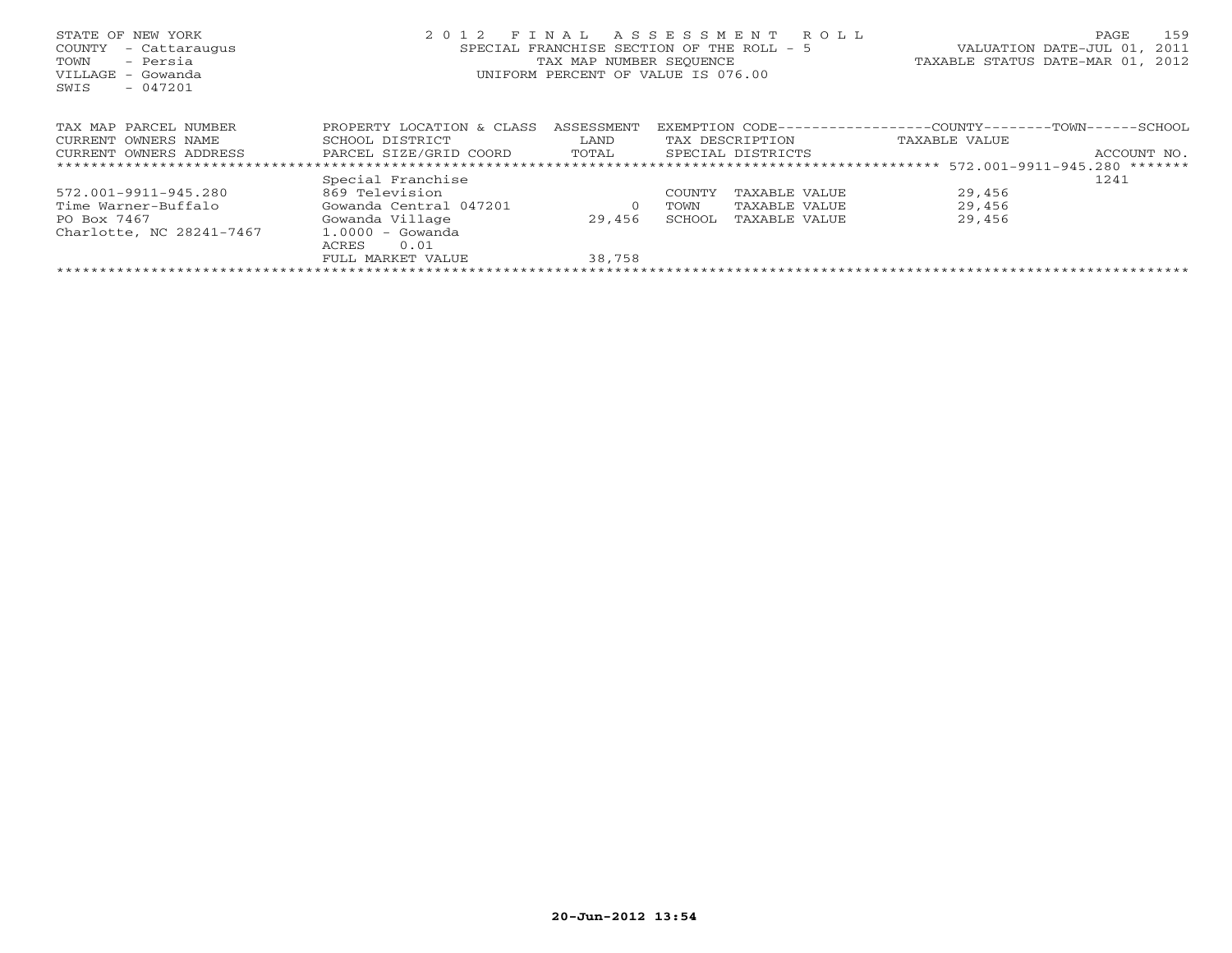| STATE OF NEW YORK<br>COUNTY<br>- Cattaraugus<br>- Persia<br>TOWN<br>VILLAGE<br>– Gowanda<br>$-047201$<br>SWIS | 2 0 1 2<br>FINAL<br>SPECIAL FRANCHISE SECTION OF THE ROLL - 5<br>TAX MAP NUMBER SEQUENCE<br>UNIFORM PERCENT OF VALUE IS 076.00 | R O L L<br>VALUATION DATE-JUL 01,<br>TAXABLE STATUS DATE-MAR 01, 2012 | 159<br>PAGE<br>2011 |                   |                                                 |             |
|---------------------------------------------------------------------------------------------------------------|--------------------------------------------------------------------------------------------------------------------------------|-----------------------------------------------------------------------|---------------------|-------------------|-------------------------------------------------|-------------|
| TAX MAP PARCEL NUMBER                                                                                         | PROPERTY LOCATION & CLASS                                                                                                      | ASSESSMENT                                                            | EXEMPTION CODE--    |                   | ----------------COUNTY--------TOWN-------SCHOOL |             |
| CURRENT OWNERS NAME                                                                                           | SCHOOL DISTRICT                                                                                                                | LAND                                                                  |                     | TAX DESCRIPTION   | TAXABLE VALUE                                   |             |
| CURRENT OWNERS ADDRESS                                                                                        | PARCEL SIZE/GRID COORD                                                                                                         | TOTAL                                                                 |                     | SPECIAL DISTRICTS |                                                 | ACCOUNT NO. |
|                                                                                                               |                                                                                                                                |                                                                       |                     |                   |                                                 |             |
|                                                                                                               | Special Franchise                                                                                                              |                                                                       |                     |                   |                                                 | 1241        |
| 572.001-9911-945.280                                                                                          | 869 Television                                                                                                                 |                                                                       | COUNTY              | TAXABLE VALUE     | 29,456                                          |             |
| Time Warner-Buffalo                                                                                           | Gowanda Central 047201                                                                                                         | $\circ$                                                               | TOWN                | TAXABLE VALUE     | 29,456                                          |             |
| PO Box 7467                                                                                                   | Gowanda Village                                                                                                                | 29,456                                                                | SCHOOL              | TAXABLE VALUE     | 29,456                                          |             |
| Charlotte, NC 28241-7467                                                                                      | $1.0000 - Gowanda$                                                                                                             |                                                                       |                     |                   |                                                 |             |
|                                                                                                               | 0.01<br>ACRES                                                                                                                  |                                                                       |                     |                   |                                                 |             |
|                                                                                                               | FULL MARKET VALUE                                                                                                              | 38,758                                                                |                     |                   |                                                 |             |
|                                                                                                               |                                                                                                                                |                                                                       |                     |                   |                                                 |             |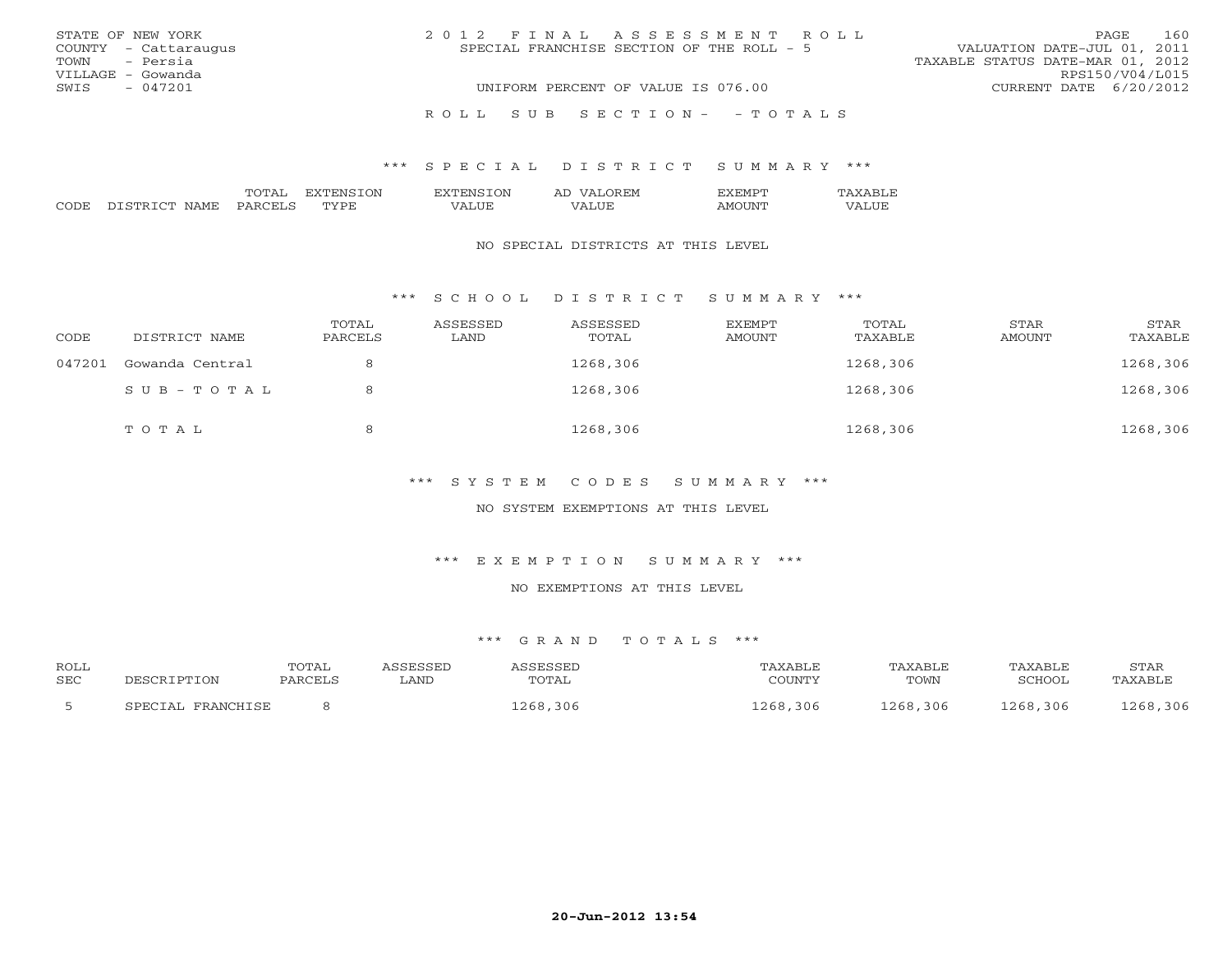| STATE OF NEW YORK    | 2012 FINAL ASSESSMENT ROLL                | 160<br>PAGE                      |
|----------------------|-------------------------------------------|----------------------------------|
| COUNTY - Cattaraugus | SPECIAL FRANCHISE SECTION OF THE ROLL - 5 | VALUATION DATE-JUL 01, 2011      |
| TOWN - Persia        |                                           | TAXABLE STATUS DATE-MAR 01, 2012 |
| VILLAGE - Gowanda    |                                           | RPS150/V04/L015                  |
| $-047201$<br>SWIS    | UNIFORM PERCENT OF VALUE IS 076.00        | CURRENT DATE 6/20/2012           |
|                      | ROLL SUB SECTION- - TOTALS                |                                  |

|               |  | $\overline{\phantom{a}}$ | . IVI |  |
|---------------|--|--------------------------|-------|--|
| $\sim$ $\sim$ |  |                          | ---   |  |

#### NO SPECIAL DISTRICTS AT THIS LEVEL

### \*\*\* S C H O O L D I S T R I C T S U M M A R Y \*\*\*

| CODE   | DISTRICT NAME   | TOTAL<br>PARCELS | ASSESSED<br>LAND | ASSESSED<br>TOTAL | EXEMPT<br>AMOUNT | TOTAL<br>TAXABLE | STAR<br>AMOUNT | STAR<br>TAXABLE |
|--------|-----------------|------------------|------------------|-------------------|------------------|------------------|----------------|-----------------|
| 047201 | Gowanda Central |                  |                  | 1268,306          |                  | 1268,306         |                | 1268,306        |
|        | SUB-TOTAL       |                  |                  | 1268,306          |                  | 1268,306         |                | 1268,306        |
|        | TOTAL           | 8                |                  | 1268,306          |                  | 1268,306         |                | 1268,306        |

### \*\*\* S Y S T E M C O D E S S U M M A R Y \*\*\*

## NO SYSTEM EXEMPTIONS AT THIS LEVEL

\*\*\* E X E M P T I O N S U M M A R Y \*\*\*

### NO EXEMPTIONS AT THIS LEVEL

| ROLL |                   | TOTAL   | ASSESSED | ASSESSED | TAXABLE  | TAXABLE  | TAXABLE  | STAR     |
|------|-------------------|---------|----------|----------|----------|----------|----------|----------|
| SEC  | DESCRIPTION       | PARCELS | LAND     | TOTAL    | COUNTY   | TOWN     | SCHOOL   | TAXABLE  |
|      | SPECIAL FRANCHISE |         |          | 1268,306 | 1268,306 | 1268,306 | 1268,306 | 1268,306 |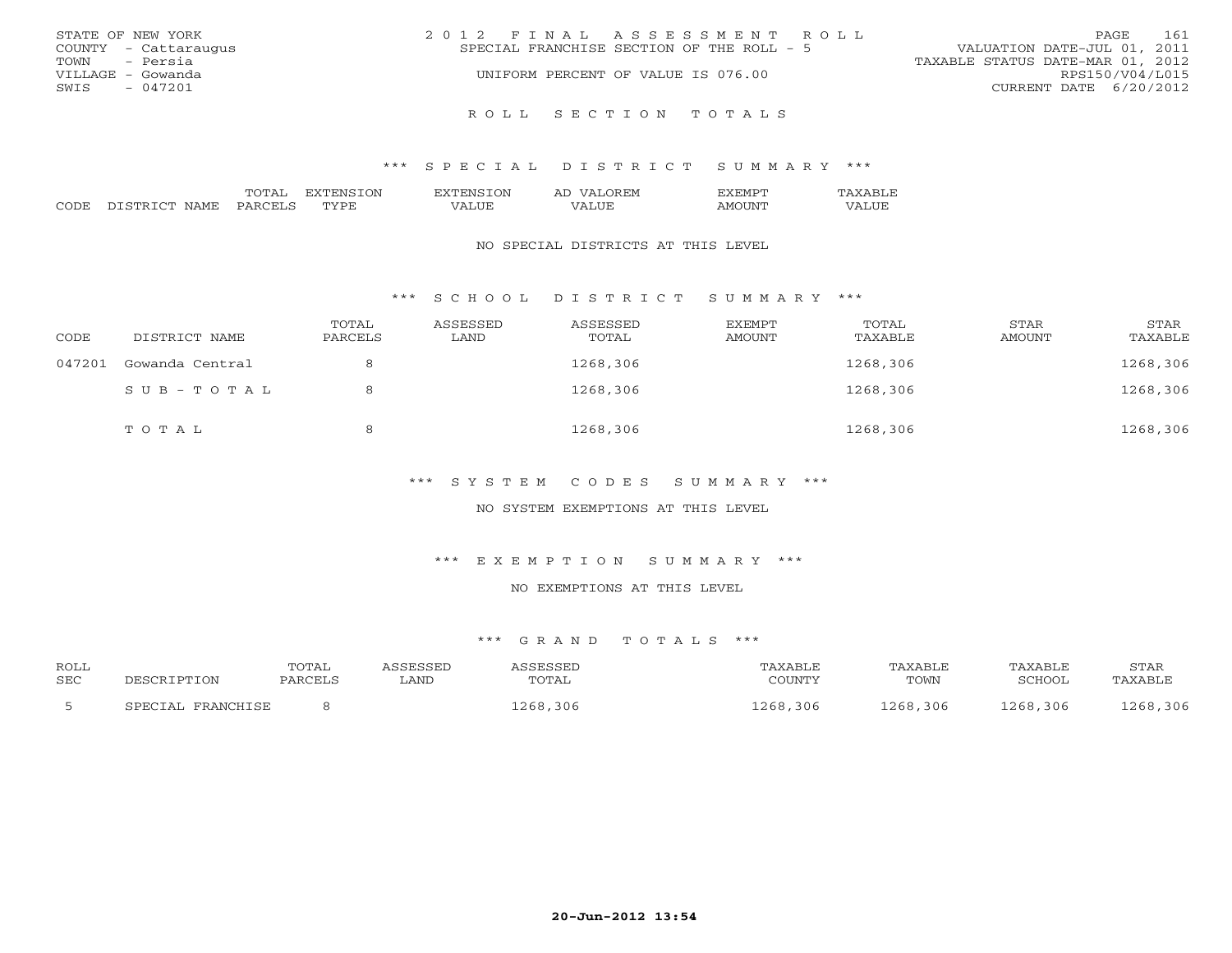|               | STATE OF NEW YORK    | 2012 FINAL ASSESSMENT ROLL                                               | PAGE                   | 161 |
|---------------|----------------------|--------------------------------------------------------------------------|------------------------|-----|
|               | COUNTY - Cattaraugus | VALUATION DATE-JUL 01, 2011<br>SPECIAL FRANCHISE SECTION OF THE ROLL - 5 |                        |     |
| TOWN - Persia |                      | TAXABLE STATUS DATE-MAR 01, 2012                                         |                        |     |
|               | VILLAGE - Gowanda    | UNIFORM PERCENT OF VALUE IS 076.00                                       | RPS150/V04/L015        |     |
| SWIS          | $-047201$            |                                                                          | CURRENT DATE 6/20/2012 |     |
|               |                      |                                                                          |                        |     |
|               |                      | ROLL SECTION TOTALS                                                      |                        |     |

|               |   | ')NI<br>. . | ገጒ. | . . |  |
|---------------|---|-------------|-----|-----|--|
| $\sim$ $\sim$ | ᠁ |             |     |     |  |

#### NO SPECIAL DISTRICTS AT THIS LEVEL

\*\*\* S C H O O L D I S T R I C T S U M M A R Y \*\*\*

| CODE   | DISTRICT NAME   | TOTAL<br>PARCELS | ASSESSED<br>LAND | ASSESSED<br>TOTAL | EXEMPT<br>AMOUNT | TOTAL<br>TAXABLE | STAR<br>AMOUNT | STAR<br>TAXABLE |
|--------|-----------------|------------------|------------------|-------------------|------------------|------------------|----------------|-----------------|
| 047201 | Gowanda Central |                  |                  | 1268,306          |                  | 1268,306         |                | 1268,306        |
|        | $SUB - TO T AL$ |                  |                  | 1268,306          |                  | 1268,306         |                | 1268,306        |
|        | TOTAL           |                  |                  | 1268,306          |                  | 1268,306         |                | 1268,306        |

\*\*\* S Y S T E M C O D E S S U M M A R Y \*\*\*

NO SYSTEM EXEMPTIONS AT THIS LEVEL

\*\*\* E X E M P T I O N S U M M A R Y \*\*\*

NO EXEMPTIONS AT THIS LEVEL

| ROLL       |                   | <b>TOTAL</b> | ASSESSED | ASSESSED     | TAXABLE  | TAXABLE  | TAXABLE  | STAR     |
|------------|-------------------|--------------|----------|--------------|----------|----------|----------|----------|
| <b>SEC</b> | DESCRIPTION       | PARCELS      | LAND     | <b>TOTAL</b> | COUNTY   | TOWN     | SCHOOL   | TAXABLE  |
|            | SPECIAL FRANCHISE |              |          | 1268,306     | 1268,306 | 1268,306 | 1268,306 | 1268,306 |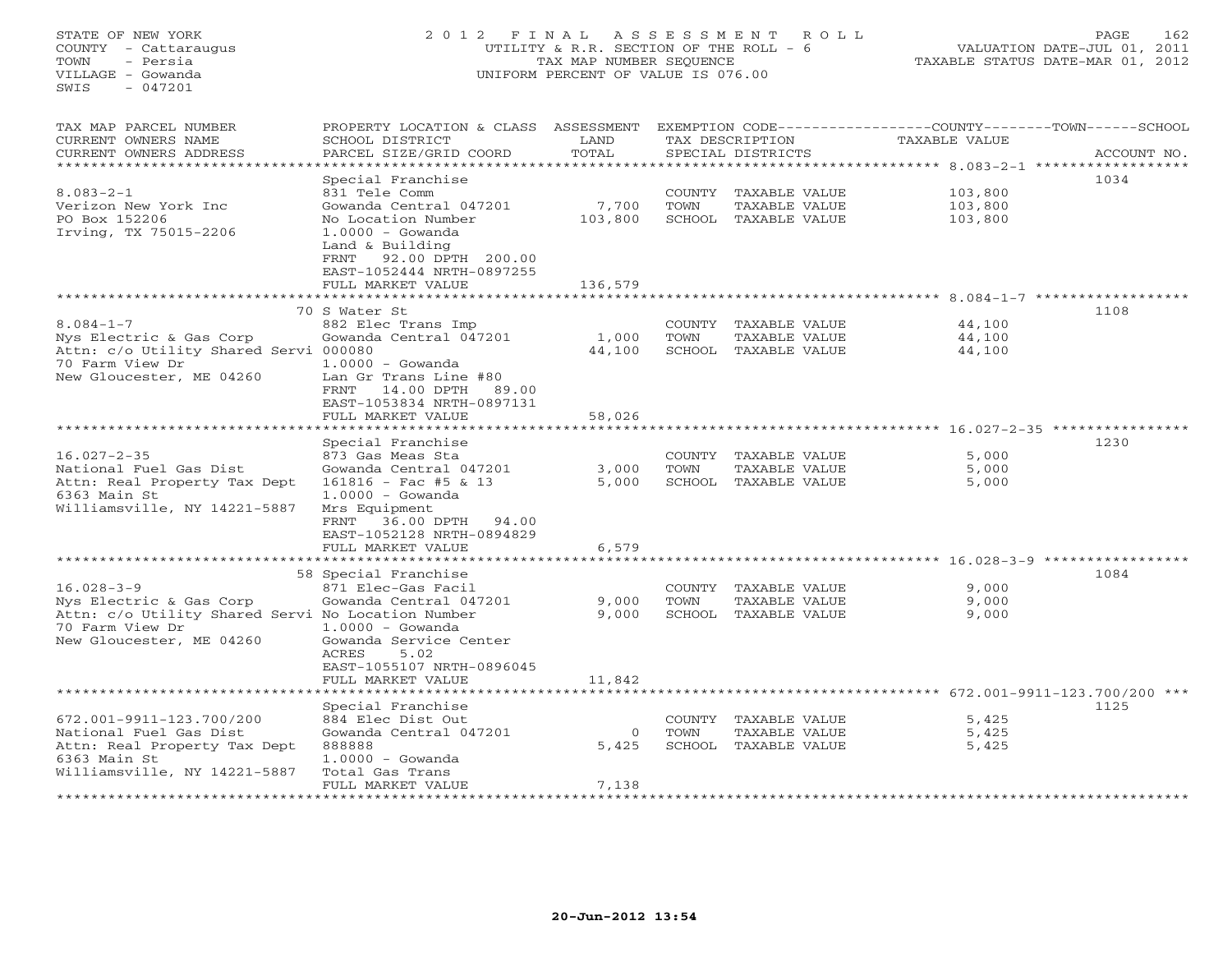# STATE OF NEW YORK 2 0 1 2 F I N A L A S S E S S M E N T R O L L PAGE 162 COUNTY - Cattaraugus UTILITY & R.R. SECTION OF THE ROLL - 6 VALUATION DATE-JUL 01, 2011 TOWN - Persia TAX MAP NUMBER SEQUENCE TAXABLE STATUS DATE-MAR 01, 2012 VILLAGE - Gowanda UNIFORM PERCENT OF VALUE IS 076.00

| TAX MAP PARCEL NUMBER<br>CURRENT OWNERS NAME<br>CURRENT OWNERS ADDRESS                                                                          | PROPERTY LOCATION & CLASS<br>SCHOOL DISTRICT<br>PARCEL SIZE/GRID COORD                                                                                                                    | ASSESSMENT<br>LAND<br>TOTAL |                          | TAX DESCRIPTION<br>SPECIAL DISTRICTS                   | <b>TAXABLE VALUE</b>               |                               | EXEMPTION CODE-----------------COUNTY-------TOWN------SCHOOL<br>ACCOUNT NO. |
|-------------------------------------------------------------------------------------------------------------------------------------------------|-------------------------------------------------------------------------------------------------------------------------------------------------------------------------------------------|-----------------------------|--------------------------|--------------------------------------------------------|------------------------------------|-------------------------------|-----------------------------------------------------------------------------|
|                                                                                                                                                 |                                                                                                                                                                                           |                             |                          |                                                        | ******* 8.083-2-1                  |                               | * * * * * * * * * * *                                                       |
| $8.083 - 2 - 1$<br>Verizon New York Inc<br>PO Box 152206<br>Irving, TX 75015-2206                                                               | Special Franchise<br>831 Tele Comm<br>Gowanda Central 047201<br>No Location Number<br>$1.0000 - Gowanda$<br>Land & Building                                                               | 7,700<br>103,800            | COUNTY<br>TOWN<br>SCHOOL | TAXABLE VALUE<br>TAXABLE VALUE<br>TAXABLE VALUE        |                                    | 103,800<br>103,800<br>103,800 | 1034                                                                        |
|                                                                                                                                                 | 92.00 DPTH 200.00<br>FRNT<br>EAST-1052444 NRTH-0897255<br>FULL MARKET VALUE                                                                                                               | 136,579                     |                          | ************************                               |                                    |                               |                                                                             |
|                                                                                                                                                 |                                                                                                                                                                                           |                             |                          |                                                        |                                    |                               | $8.084 - 1 - 7$ *******************<br>1108                                 |
| $8.084 - 1 - 7$<br>Nys Electric & Gas Corp<br>Attn: c/o Utility Shared Servi 000080<br>70 Farm View Dr<br>New Gloucester, ME 04260              | 70 S Water St<br>882 Elec Trans Imp<br>Gowanda Central 047201<br>$1.0000 - Gowanda$<br>Lan Gr Trans Line #80<br>14.00 DPTH<br>89.00<br>FRNT<br>EAST-1053834 NRTH-0897131                  | 1,000<br>44,100             | COUNTY<br>TOWN<br>SCHOOL | TAXABLE VALUE<br>TAXABLE VALUE<br>TAXABLE VALUE        |                                    | 44,100<br>44,100<br>44,100    |                                                                             |
|                                                                                                                                                 | FULL MARKET VALUE                                                                                                                                                                         | 58,026                      |                          |                                                        |                                    |                               |                                                                             |
| $16.027 - 2 - 35$<br>National Fuel Gas Dist<br>Attn: Real Property Tax Dept<br>6363 Main St<br>Williamsville, NY 14221-5887                     | Special Franchise<br>873 Gas Meas Sta<br>Gowanda Central 047201<br>$161816 - Fac$ #5 & 13<br>$1.0000 - Gowanda$<br>Mrs Equipment<br>FRNT 36.00 DPTH<br>94.00<br>EAST-1052128 NRTH-0894829 | 3,000<br>5,000              | COUNTY<br>TOWN           | TAXABLE VALUE<br>TAXABLE VALUE<br>SCHOOL TAXABLE VALUE |                                    | 5,000<br>5,000<br>5,000       | 1230                                                                        |
|                                                                                                                                                 | FULL MARKET VALUE<br>* * * * * * * * * * * * * * * * *                                                                                                                                    | 6,579                       |                          |                                                        | **************** 16.028-3-9 ****** |                               |                                                                             |
| $16.028 - 3 - 9$<br>Nys Electric & Gas Corp<br>Attn: c/o Utility Shared Servi No Location Number<br>70 Farm View Dr<br>New Gloucester, ME 04260 | 58 Special Franchise<br>871 Elec-Gas Facil<br>Gowanda Central 047201<br>$1.0000 - Gowanda$<br>Gowanda Service Center<br>ACRES<br>5.02<br>EAST-1055107 NRTH-0896045                        | 9,000<br>9,000              | COUNTY<br>TOWN           | TAXABLE VALUE<br>TAXABLE VALUE<br>SCHOOL TAXABLE VALUE |                                    | 9,000<br>9,000<br>9,000       | 1084                                                                        |
|                                                                                                                                                 | FULL MARKET VALUE                                                                                                                                                                         | 11,842                      |                          |                                                        |                                    |                               |                                                                             |
|                                                                                                                                                 | **************<br>Special Franchise                                                                                                                                                       |                             |                          |                                                        |                                    |                               | 1125                                                                        |
| 672.001-9911-123.700/200<br>National Fuel Gas Dist<br>Attn: Real Property Tax Dept<br>6363 Main St<br>Williamsville, NY 14221-5887              | 884 Elec Dist Out<br>Gowanda Central 047201<br>888888<br>$1.0000 - Gowanda$<br>Total Gas Trans                                                                                            | $\mathbf 0$<br>5,425        | COUNTY<br>TOWN           | TAXABLE VALUE<br>TAXABLE VALUE<br>SCHOOL TAXABLE VALUE |                                    | 5,425<br>5,425<br>5,425       |                                                                             |
|                                                                                                                                                 | FULL MARKET VALUE                                                                                                                                                                         | 7,138                       |                          |                                                        |                                    |                               |                                                                             |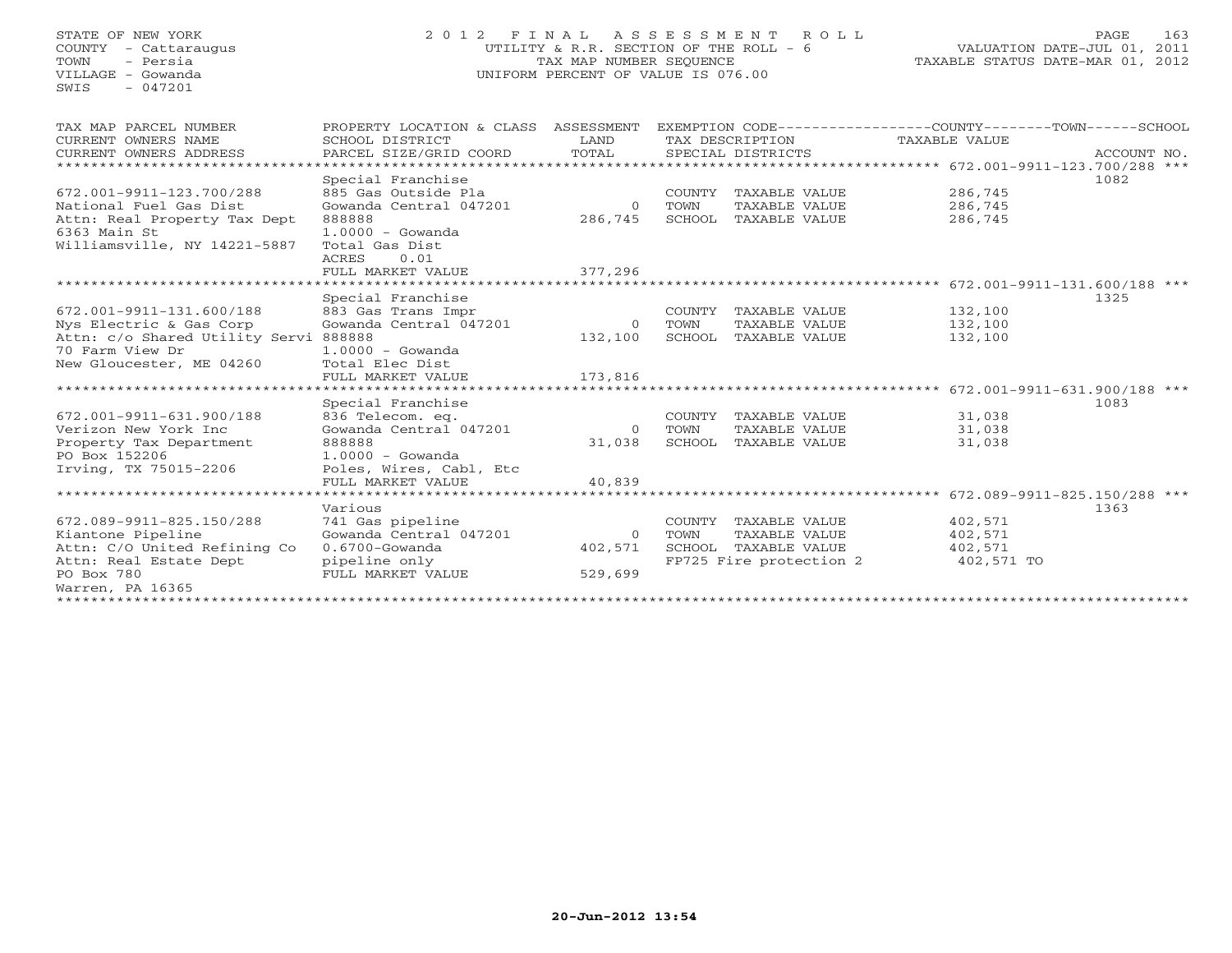## STATE OF NEW YORK 2 0 1 2 F I N A L A S S E S S M E N T R O L L PAGE 163 COUNTY - Cattaraugus UTILITY & R.R. SECTION OF THE ROLL - 6 VALUATION DATE-JUL 01, 2011 TOWN - Persia TAX MAP NUMBER SEQUENCE TAXABLE STATUS DATE-MAR 01, 2012 VILLAGE - Gowanda UNIFORM PERCENT OF VALUE IS 076.00

| TAX MAP PARCEL NUMBER<br>CURRENT OWNERS NAME | PROPERTY LOCATION & CLASS<br>SCHOOL DISTRICT | ASSESSMENT<br>LAND |        | EXEMPTION CODE-----------------COUNTY-------TOWN------SCHOOL<br>TAX DESCRIPTION | TAXABLE VALUE                         |             |  |
|----------------------------------------------|----------------------------------------------|--------------------|--------|---------------------------------------------------------------------------------|---------------------------------------|-------------|--|
| CURRENT OWNERS ADDRESS                       | PARCEL SIZE/GRID COORD                       | TOTAL              |        | SPECIAL DISTRICTS                                                               |                                       | ACCOUNT NO. |  |
| ************************                     |                                              |                    |        |                                                                                 |                                       |             |  |
|                                              | Special Franchise                            |                    |        |                                                                                 |                                       | 1082        |  |
| 672.001-9911-123.700/288                     | 885 Gas Outside Pla                          |                    | COUNTY | TAXABLE VALUE                                                                   | 286,745                               |             |  |
| National Fuel Gas Dist                       | Gowanda Central 047201                       | $\circ$            | TOWN   | TAXABLE VALUE                                                                   | 286,745                               |             |  |
| Attn: Real Property Tax Dept                 | 888888                                       | 286,745            | SCHOOL | TAXABLE VALUE                                                                   | 286,745                               |             |  |
| 6363 Main St                                 | $1.0000 - Gowanda$                           |                    |        |                                                                                 |                                       |             |  |
| Williamsville, NY 14221-5887                 | Total Gas Dist                               |                    |        |                                                                                 |                                       |             |  |
|                                              | 0.01<br>ACRES                                |                    |        |                                                                                 |                                       |             |  |
|                                              | FULL MARKET VALUE                            | 377,296            |        |                                                                                 |                                       |             |  |
| *************************                    |                                              |                    |        |                                                                                 |                                       |             |  |
|                                              | Special Franchise                            |                    |        |                                                                                 |                                       | 1325        |  |
| 672.001-9911-131.600/188                     | 883 Gas Trans Impr                           |                    |        | COUNTY TAXABLE VALUE                                                            | 132,100                               |             |  |
| Nys Electric & Gas Corp                      | Gowanda Central 047201                       | $\Omega$           | TOWN   | TAXABLE VALUE                                                                   | 132,100                               |             |  |
| Attn: c/o Shared Utility Servi 888888        |                                              | 132,100            | SCHOOL | TAXABLE VALUE                                                                   | 132,100                               |             |  |
| 70 Farm View Dr                              | $1.0000 - Gowanda$                           |                    |        |                                                                                 |                                       |             |  |
| New Gloucester, ME 04260                     | Total Elec Dist                              |                    |        |                                                                                 |                                       |             |  |
|                                              | FULL MARKET VALUE                            | 173,816            |        |                                                                                 |                                       |             |  |
|                                              |                                              |                    |        |                                                                                 | 672.001-9911-631.900/188 ***          |             |  |
|                                              | Special Franchise                            |                    |        |                                                                                 |                                       | 1083        |  |
| 672.001-9911-631.900/188                     | 836 Telecom. eq.                             |                    | COUNTY | TAXABLE VALUE                                                                   | 31,038                                |             |  |
| Verizon New York Inc                         | Gowanda Central 047201                       | $\Omega$           | TOWN   | TAXABLE VALUE                                                                   | 31,038                                |             |  |
| Property Tax Department                      | 888888                                       | 31,038             | SCHOOL | TAXABLE VALUE                                                                   | 31,038                                |             |  |
| PO Box 152206                                | $1.0000 - Gowanda$                           |                    |        |                                                                                 |                                       |             |  |
| Irving, TX 75015-2206                        | Poles, Wires, Cabl, Etc                      |                    |        |                                                                                 |                                       |             |  |
|                                              | FULL MARKET VALUE                            | 40,839             |        |                                                                                 |                                       |             |  |
|                                              |                                              |                    |        |                                                                                 | ******** 672.089-9911-825.150/288 *** |             |  |
|                                              | Various                                      |                    |        |                                                                                 |                                       | 1363        |  |
| 672.089-9911-825.150/288                     | 741 Gas pipeline                             |                    | COUNTY | TAXABLE VALUE                                                                   | 402,571                               |             |  |
| Kiantone Pipeline                            | Gowanda Central 047201                       | $\Omega$           | TOWN   | TAXABLE VALUE                                                                   | 402,571                               |             |  |
| Attn: C/O United Refining Co                 | $0.6700$ -Gowanda                            | 402,571            | SCHOOL | TAXABLE VALUE                                                                   | 402,571                               |             |  |
| Attn: Real Estate Dept<br>PO Box 780         | pipeline only<br>FULL MARKET VALUE           | 529,699            |        | FP725 Fire protection 2                                                         | 402,571 TO                            |             |  |
| Warren, PA 16365                             |                                              |                    |        |                                                                                 |                                       |             |  |
| ****************                             |                                              |                    |        |                                                                                 |                                       |             |  |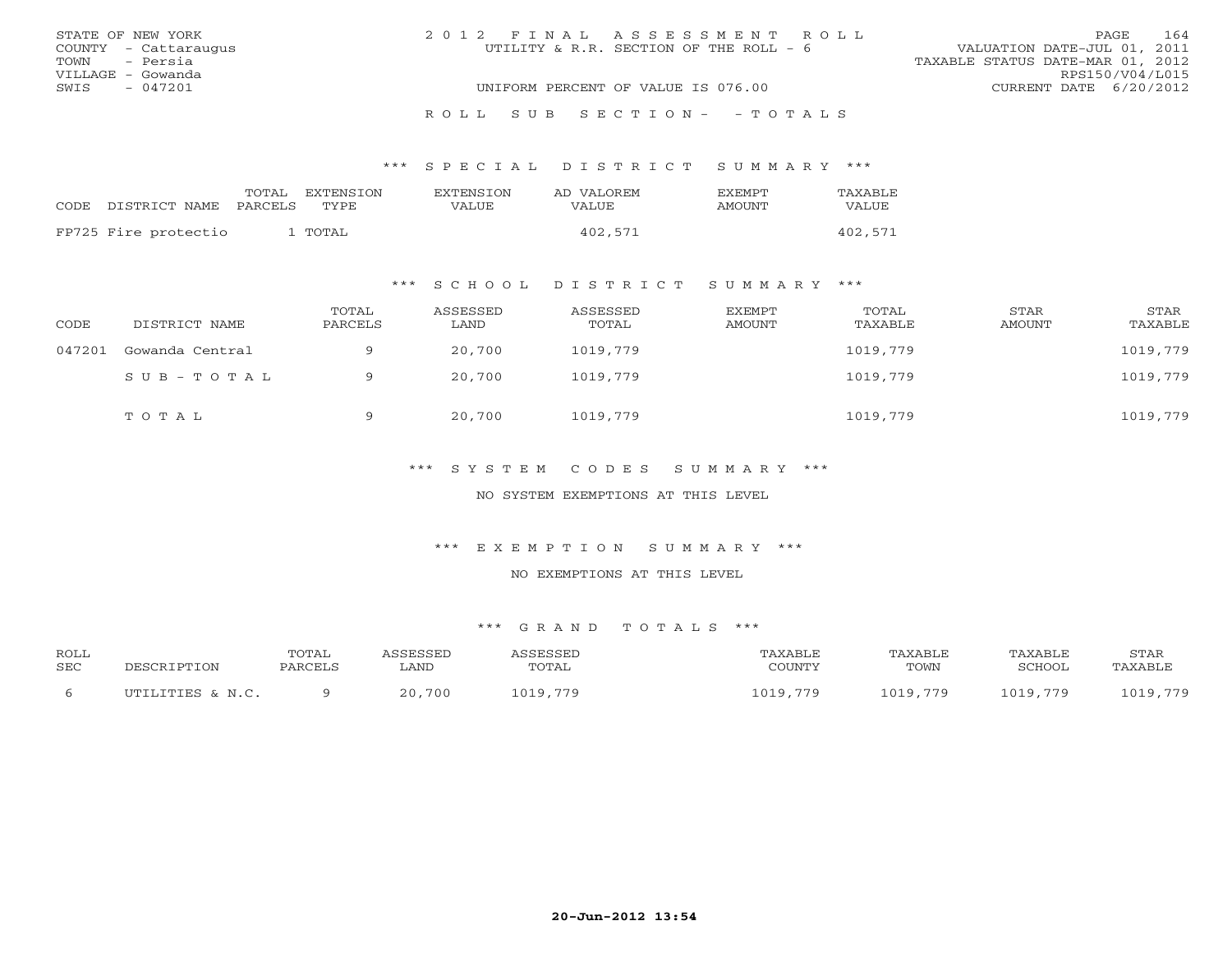| STATE OF NEW YORK    | 2012 FINAL ASSESSMENT ROLL             | 164<br><b>PAGE</b>               |
|----------------------|----------------------------------------|----------------------------------|
| COUNTY - Cattaraugus | UTILITY & R.R. SECTION OF THE ROLL - 6 | VALUATION DATE-JUL 01, 2011      |
| TOWN - Persia        |                                        | TAXABLE STATUS DATE-MAR 01, 2012 |
| VILLAGE - Gowanda    |                                        | RPS150/V04/L015                  |
| SWIS<br>- 047201     | UNIFORM PERCENT OF VALUE IS 076.00     | CURRENT DATE 6/20/2012           |
|                      |                                        |                                  |
|                      | ROLL SUB SECTION- - TOTALS             |                                  |

| CODE DISTRICT NAME   | TOTAL<br>PARCELS TYPE | <b>FXTENSTON</b> | <b>EXTENSION</b><br><b>VALUE</b> | AD VALOREM<br><b>VALUE</b> | <b>FXEMPT</b><br>AMOUNT | <b>TAXABLE</b><br>VALUE |
|----------------------|-----------------------|------------------|----------------------------------|----------------------------|-------------------------|-------------------------|
| FP725 Fire protectio |                       | 1 TOTAL          |                                  | 402,571                    |                         | 402,571                 |

## \*\*\* S C H O O L D I S T R I C T S U M M A R Y \*\*\*

| CODE   | DISTRICT NAME   | TOTAL<br>PARCELS | ASSESSED<br>LAND | ASSESSED<br>TOTAL | EXEMPT<br>AMOUNT | TOTAL<br>TAXABLE | STAR<br>AMOUNT | STAR<br>TAXABLE |
|--------|-----------------|------------------|------------------|-------------------|------------------|------------------|----------------|-----------------|
| 047201 | Gowanda Central | a                | 20,700           | 1019,779          |                  | 1019,779         |                | 1019,779        |
|        | SUB-TOTAL       | $\Omega$         | 20,700           | 1019,779          |                  | 1019,779         |                | 1019,779        |
|        | TOTAL           | a                | 20,700           | 1019,779          |                  | 1019,779         |                | 1019,779        |

## \*\*\* S Y S T E M C O D E S S U M M A R Y \*\*\*

### NO SYSTEM EXEMPTIONS AT THIS LEVEL

#### \*\*\* E X E M P T I O N S U M M A R Y \*\*\*

#### NO EXEMPTIONS AT THIS LEVEL

| <b>ROLL</b><br><b>SEC</b> | DESCRIPTION      | TOTAL<br>PARCELS | ASSESSED<br>∟AND | ASSESSED<br>TOTAL | TAXABLE<br>COUNTY | TAXABLE<br>TOWN | TAXABLE<br>SCHOOL | <b>STAR</b><br>TAXABLE |
|---------------------------|------------------|------------------|------------------|-------------------|-------------------|-----------------|-------------------|------------------------|
|                           | UTILITIES & N.C. |                  | 20,700           | 1019,779          | 1019,779          | 1019,779        | 1019,779          | 1019,779               |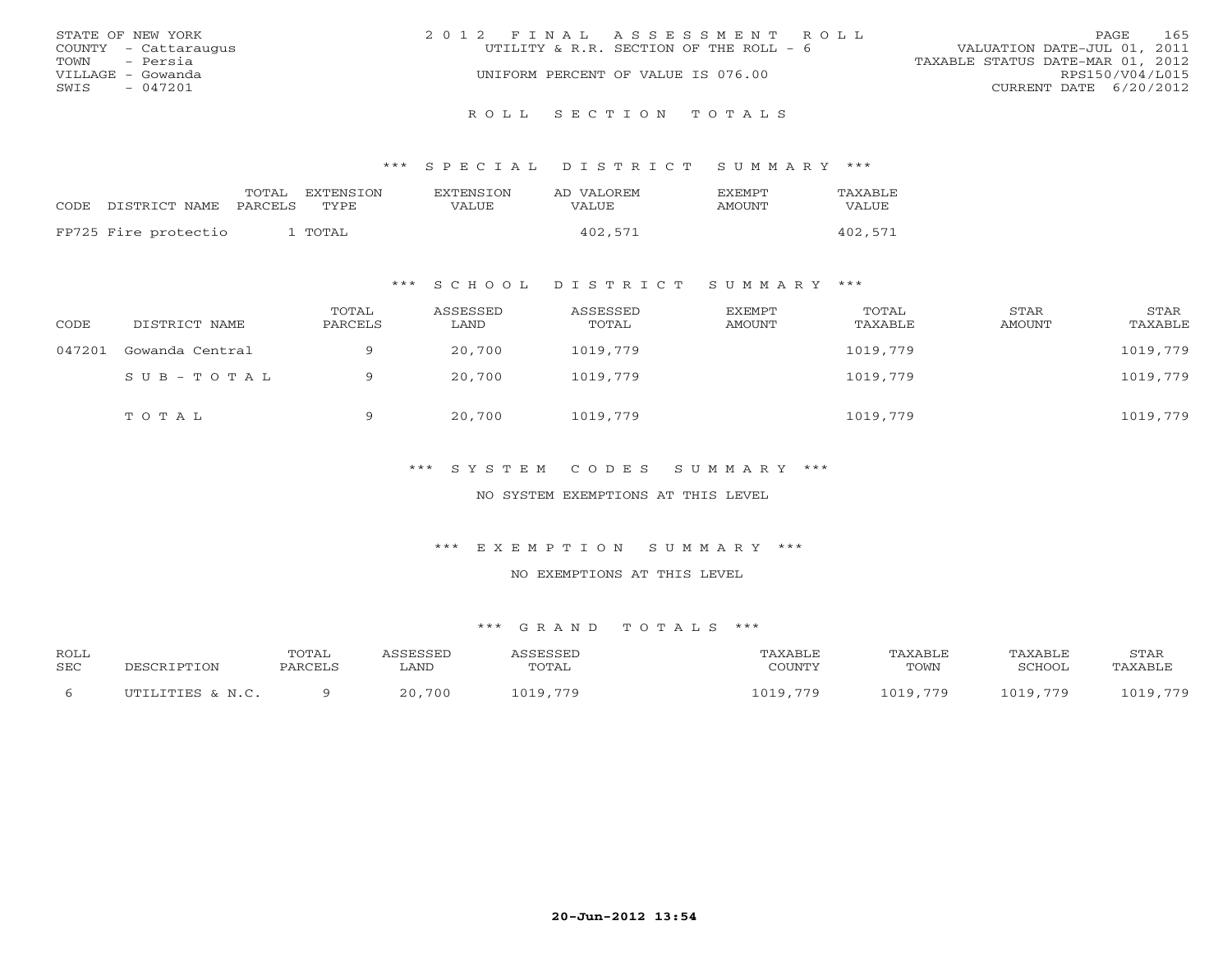| STATE OF NEW YORK    | 2012 FINAL ASSESSMENT ROLL             | 165<br>PAGE                      |
|----------------------|----------------------------------------|----------------------------------|
| COUNTY - Cattaraugus | UTILITY & R.R. SECTION OF THE ROLL - 6 | VALUATION DATE-JUL 01, 2011      |
| - Persia<br>TOWN     |                                        | TAXABLE STATUS DATE-MAR 01, 2012 |
| VILLAGE – Gowanda    | UNIFORM PERCENT OF VALUE IS 076.00     | RPS150/V04/L015                  |
| - 047201<br>SWIS     |                                        | CURRENT DATE 6/20/2012           |
|                      |                                        |                                  |

R O L L S E C T I O N T O T A L S

\*\*\* S P E C I A L D I S T R I C T S U M M A R Y \*\*\*

| CODE | DISTRICT NAME        | TOTAL<br><b>PARCELS</b> | EXTENSION<br>TYPE | <b>EXTENSION</b><br>VALUE | AD VALOREM<br>VALUE | <b>EXEMPT</b><br><b>AMOUNT</b> | TAXABLE<br>VALUE |
|------|----------------------|-------------------------|-------------------|---------------------------|---------------------|--------------------------------|------------------|
|      | FP725 Fire protectio |                         | TOTAL             |                           | 402,571             |                                | 402,571          |

\*\*\* S C H O O L D I S T R I C T S U M M A R Y \*\*\*

| CODE   | DISTRICT NAME   | TOTAL<br>PARCELS | ASSESSED<br>LAND | ASSESSED<br>TOTAL | EXEMPT<br>AMOUNT | TOTAL<br>TAXABLE | <b>STAR</b><br>AMOUNT | STAR<br>TAXABLE |
|--------|-----------------|------------------|------------------|-------------------|------------------|------------------|-----------------------|-----------------|
| 047201 | Gowanda Central |                  | 20,700           | 1019,779          |                  | 1019,779         |                       | 1019,779        |
|        | $SUB - TO T AL$ |                  | 20,700           | 1019,779          |                  | 1019,779         |                       | 1019,779        |
|        | TOTAL           | 9                | 20,700           | 1019,779          |                  | 1019,779         |                       | 1019,779        |

## \*\*\* S Y S T E M C O D E S S U M M A R Y \*\*\*

NO SYSTEM EXEMPTIONS AT THIS LEVEL

\*\*\* E X E M P T I O N S U M M A R Y \*\*\*

#### NO EXEMPTIONS AT THIS LEVEL

| <b>ROLL</b><br><b>SEC</b> | DESCRIPTION      | TOTAL<br>PARCELS | <i><b>\SSESSED</b></i><br>LAND | ASSESSED<br>TOTAL | TAXABLE<br>COUNTY | TAXABLE<br>TOWN | TAXABLE<br>SCHOOL | STAR<br>TAXABLE |
|---------------------------|------------------|------------------|--------------------------------|-------------------|-------------------|-----------------|-------------------|-----------------|
|                           | UTILITIES & N.C. |                  | 20,700                         | 1019,779          | 1019,779          | 1019,779        | 1019,779          | 1019,779        |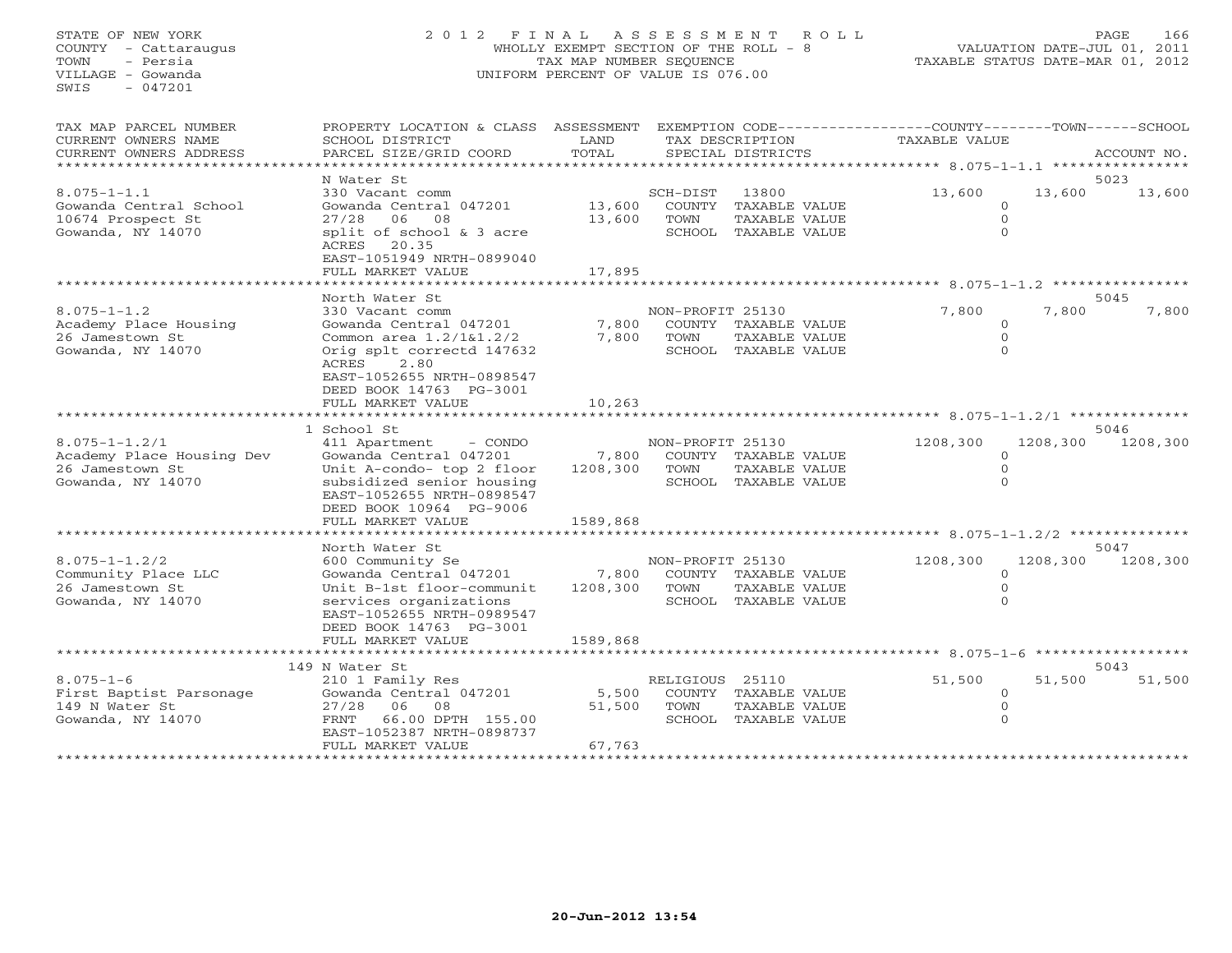STATE OF NEW YORK 2 0 1 2 F I N A L A S S E S S M E N T R O L L PAGE 166 COUNTY - Cattaraugus WHOLLY EXEMPT SECTION OF THE ROLL - 8 VALUATION DATE-JUL 01, 2011 TOWN - Persia TAX MAP NUMBER SEQUENCE TAXABLE STATUS DATE-MAR 01, 2012 VILLAGE - Gowanda UNIFORM PERCENT OF VALUE IS 076.00UNIFORM PERCENT OF VALUE IS 076.00

| TAX MAP PARCEL NUMBER<br>CURRENT OWNERS NAME<br>CURRENT OWNERS ADDRESS                   | PROPERTY LOCATION & CLASS ASSESSMENT EXEMPTION CODE----------------COUNTY-------TOWN------SCHOOL<br>SCHOOL DISTRICT<br>PARCEL SIZE/GRID COORD                                                                     | LAND<br>TOTAL                 |                          | TAX DESCRIPTION<br>SPECIAL DISTRICTS                                   | TAXABLE VALUE |                                                   | ACCOUNT NO.        |
|------------------------------------------------------------------------------------------|-------------------------------------------------------------------------------------------------------------------------------------------------------------------------------------------------------------------|-------------------------------|--------------------------|------------------------------------------------------------------------|---------------|---------------------------------------------------|--------------------|
| $8.075 - 1 - 1.1$<br>Gowanda Central School<br>10674 Prospect St<br>Gowanda, NY 14070    | N Water St<br>330 Vacant comm<br>Gowanda Central 047201<br>27/28<br>06 08<br>split of school & 3 acre<br>ACRES<br>20.35<br>EAST-1051949 NRTH-0899040<br>FULL MARKET VALUE                                         | 13,600<br>13,600<br>17,895    | SCH-DIST<br>TOWN         | 13800<br>COUNTY TAXABLE VALUE<br>TAXABLE VALUE<br>SCHOOL TAXABLE VALUE | 13,600        | 13,600<br>$\circ$<br>$\mathbf{0}$<br>$\Omega$     | 5023<br>13,600     |
|                                                                                          |                                                                                                                                                                                                                   |                               |                          |                                                                        |               |                                                   |                    |
| $8.075 - 1 - 1.2$<br>Academy Place Housing<br>26 Jamestown St<br>Gowanda, NY 14070       | North Water St<br>330 Vacant comm<br>Gowanda Central 047201<br>Common area 1.2/1&1.2/2<br>Orig splt correctd 147632<br>ACRES<br>2.80<br>EAST-1052655 NRTH-0898547<br>DEED BOOK 14763 PG-3001<br>FULL MARKET VALUE | 7,800<br>7,800<br>10,263      | NON-PROFIT 25130<br>TOWN | COUNTY TAXABLE VALUE<br>TAXABLE VALUE<br>SCHOOL TAXABLE VALUE          | 7,800         | 7,800<br>$\circ$<br>$\mathbf{0}$<br>$\Omega$      | 5045<br>7,800      |
|                                                                                          |                                                                                                                                                                                                                   |                               |                          |                                                                        |               |                                                   |                    |
| $8.075 - 1 - 1.2/1$<br>Academy Place Housing Dev<br>26 Jamestown St<br>Gowanda, NY 14070 | 1 School St<br>411 Apartment<br>- CONDO<br>Gowanda Central 047201<br>Unit A-condo- top 2 floor<br>subsidized senior housing<br>EAST-1052655 NRTH-0898547<br>DEED BOOK 10964 PG-9006<br>FULL MARKET VALUE          | 7,800<br>1208,300<br>1589,868 | NON-PROFIT 25130<br>TOWN | COUNTY TAXABLE VALUE<br>TAXABLE VALUE<br>SCHOOL TAXABLE VALUE          | 1208,300      | 1208,300<br>$\circ$<br>$\circ$<br>$\Omega$        | 5046<br>1208,300   |
|                                                                                          |                                                                                                                                                                                                                   |                               |                          |                                                                        |               |                                                   |                    |
| $8.075 - 1 - 1.2/2$<br>Community Place LLC<br>26 Jamestown St<br>Gowanda, NY 14070       | North Water St<br>600 Community Se<br>Gowanda Central 047201<br>Unit B-1st floor-communit<br>services organizations<br>EAST-1052655 NRTH-0989547<br>DEED BOOK 14763 PG-3001                                       | 7,800<br>1208,300             | NON-PROFIT 25130<br>TOWN | COUNTY TAXABLE VALUE<br>TAXABLE VALUE<br>SCHOOL TAXABLE VALUE          | 1208,300      | 1208,300<br>$\Omega$<br>$\mathbf{0}$<br>$\Omega$  | 5047<br>1208,300   |
|                                                                                          | FULL MARKET VALUE                                                                                                                                                                                                 | 1589,868                      |                          |                                                                        |               |                                                   |                    |
|                                                                                          |                                                                                                                                                                                                                   |                               |                          |                                                                        |               |                                                   | ****************** |
| $8.075 - 1 - 6$<br>First Baptist Parsonage<br>149 N Water St<br>Gowanda, NY 14070        | 149 N Water St<br>210 1 Family Res<br>Gowanda Central 047201<br>06<br>27/28<br>08<br>FRNT<br>66.00 DPTH 155.00<br>EAST-1052387 NRTH-0898737<br>FULL MARKET VALUE                                                  | 5,500<br>51,500<br>67,763     | RELIGIOUS 25110<br>TOWN  | COUNTY TAXABLE VALUE<br>TAXABLE VALUE<br>SCHOOL TAXABLE VALUE          | 51,500        | 51,500<br>$\circ$<br>$\mathbf{0}$<br>$\mathbf{0}$ | 5043<br>51,500     |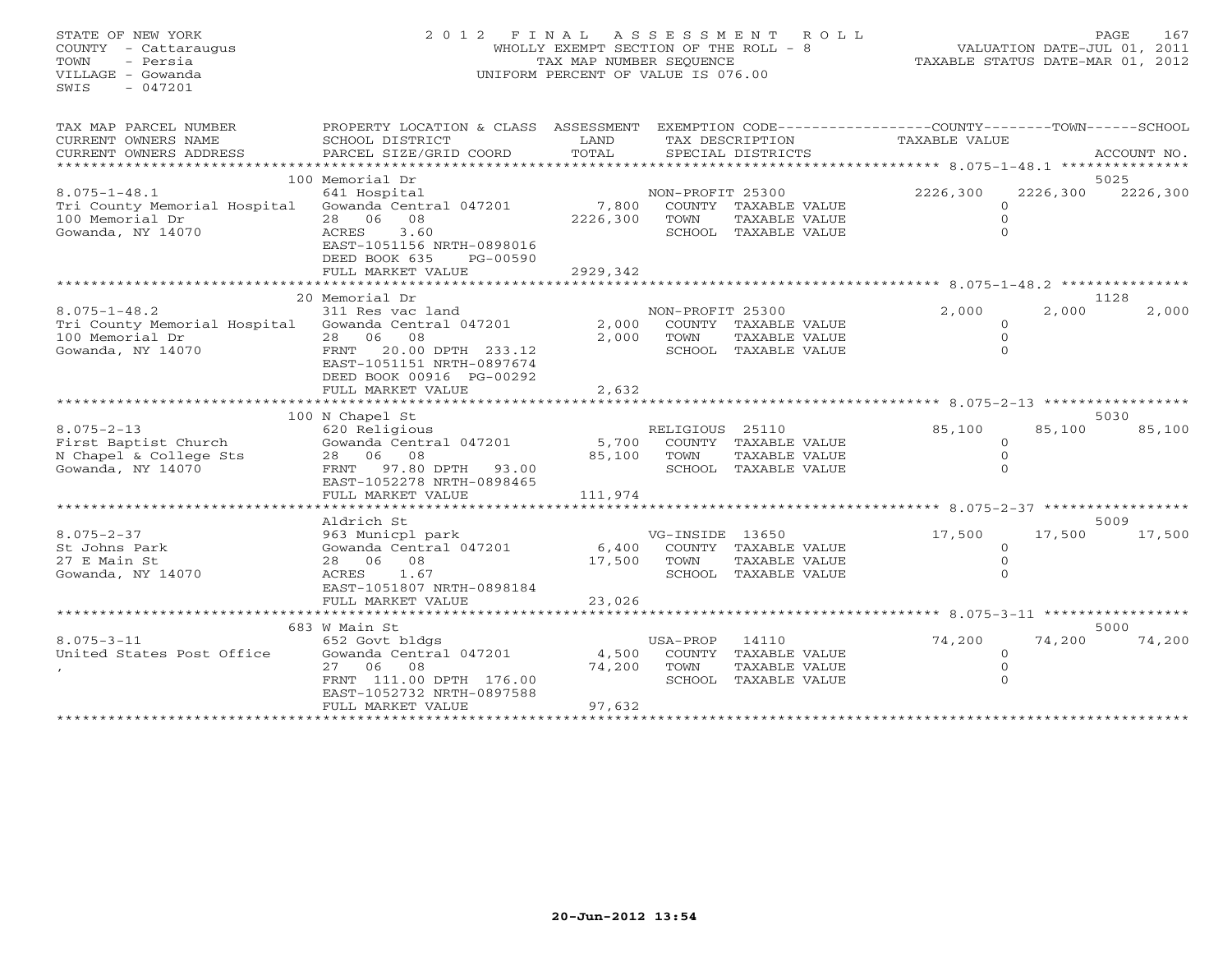## STATE OF NEW YORK 2 0 1 2 F I N A L A S S E S S M E N T R O L L PAGE 167 COUNTY - Cattaraugus WHOLLY EXEMPT SECTION OF THE ROLL - 8 VALUATION DATE-JUL 01, 2011 TOWN - Persia TAX MAP NUMBER SEQUENCE TAXABLE STATUS DATE-MAR 01, 2012 VILLAGE - Gowanda UNIFORM PERCENT OF VALUE IS 076.00UNIFORM PERCENT OF VALUE IS 076.00

| TAX MAP PARCEL NUMBER<br>CURRENT OWNERS NAME<br>CURRENT OWNERS ADDRESS | PROPERTY LOCATION & CLASS ASSESSMENT<br>SCHOOL DISTRICT<br>PARCEL SIZE/GRID COORD | LAND<br>TOTAL |                  | SPECIAL DISTRICTS    | EXEMPTION CODE-----------------COUNTY-------TOWN------SCHOOL<br>TAX DESCRIPTION TAXABLE VALUE |          | ACCOUNT NO. |
|------------------------------------------------------------------------|-----------------------------------------------------------------------------------|---------------|------------------|----------------------|-----------------------------------------------------------------------------------------------|----------|-------------|
|                                                                        | 100 Memorial Dr                                                                   |               |                  |                      |                                                                                               |          | 5025        |
| $8.075 - 1 - 48.1$                                                     | 641 Hospital                                                                      |               | NON-PROFIT 25300 |                      | 2226,300                                                                                      | 2226,300 | 2226,300    |
| Tri County Memorial Hospital Gowanda Central 047201                    |                                                                                   | 7,800         |                  | COUNTY TAXABLE VALUE | $\Omega$                                                                                      |          |             |
| 100 Memorial Dr                                                        | 28 06 08                                                                          | 2226,300      | TOWN             | TAXABLE VALUE        |                                                                                               |          |             |
| Gowanda, NY 14070                                                      | ACRES<br>3.60                                                                     |               |                  | SCHOOL TAXABLE VALUE | $\Omega$                                                                                      |          |             |
|                                                                        | EAST-1051156 NRTH-0898016<br>DEED BOOK 635<br>PG-00590<br>FULL MARKET VALUE       | 2929,342      |                  |                      |                                                                                               |          |             |
|                                                                        | **********************                                                            |               |                  |                      |                                                                                               |          |             |
|                                                                        | 20 Memorial Dr                                                                    |               |                  |                      |                                                                                               |          | 1128        |
| $8.075 - 1 - 48.2$                                                     | 311 Res vac land                                                                  |               | NON-PROFIT 25300 |                      | 2,000                                                                                         | 2,000    | 2,000       |
| Tri County Memorial Hospital Gowanda Central 047201                    |                                                                                   | 2,000         |                  | COUNTY TAXABLE VALUE | $\Omega$                                                                                      |          |             |
| 100 Memorial Dr                                                        | 28 06 08                                                                          | 2,000         | TOWN             | TAXABLE VALUE        | $\Omega$                                                                                      |          |             |
| Gowanda, NY 14070                                                      | FRNT 20.00 DPTH 233.12                                                            |               |                  | SCHOOL TAXABLE VALUE |                                                                                               |          |             |
|                                                                        | EAST-1051151 NRTH-0897674                                                         |               |                  |                      |                                                                                               |          |             |
|                                                                        | DEED BOOK 00916 PG-00292                                                          |               |                  |                      |                                                                                               |          |             |
|                                                                        | FULL MARKET VALUE                                                                 | 2,632         |                  |                      |                                                                                               |          |             |
|                                                                        |                                                                                   |               |                  |                      |                                                                                               |          |             |
|                                                                        | 100 N Chapel St                                                                   |               |                  |                      |                                                                                               |          | 5030        |
| $8.075 - 2 - 13$                                                       | 620 Religious                                                                     |               | RELIGIOUS 25110  |                      | 85,100                                                                                        | 85,100   | 85,100      |
| First Baptist Church                                                   | Gowanda Central 047201                                                            | 5,700         |                  | COUNTY TAXABLE VALUE | $\Omega$                                                                                      |          |             |
| N Chapel & College Sts                                                 | 28 06 08                                                                          | 85,100        | TOWN             | TAXABLE VALUE        |                                                                                               |          |             |
| Gowanda, NY 14070                                                      | FRNT 97.80 DPTH 93.00                                                             |               |                  | SCHOOL TAXABLE VALUE |                                                                                               |          |             |
|                                                                        | EAST-1052278 NRTH-0898465                                                         |               |                  |                      |                                                                                               |          |             |
|                                                                        | FULL MARKET VALUE                                                                 | 111,974       |                  |                      |                                                                                               |          |             |
|                                                                        |                                                                                   |               |                  |                      |                                                                                               |          |             |
|                                                                        | Aldrich St                                                                        |               |                  |                      |                                                                                               |          | 5009        |
| $8.075 - 2 - 37$                                                       | 963 Municpl park                                                                  |               | VG-INSIDE 13650  |                      | 17,500                                                                                        | 17,500   | 17,500      |
| St Johns Park                                                          | Gowanda Central 047201                                                            | 6,400         |                  | COUNTY TAXABLE VALUE | $\circ$                                                                                       |          |             |
| 27 E Main St                                                           | 28 06 08                                                                          | 17,500        | TOWN             | TAXABLE VALUE        | $\Omega$                                                                                      |          |             |
| Gowanda, NY 14070                                                      | 1.67<br>ACRES                                                                     |               |                  | SCHOOL TAXABLE VALUE |                                                                                               |          |             |
|                                                                        | EAST-1051807 NRTH-0898184                                                         |               |                  |                      |                                                                                               |          |             |
|                                                                        | FULL MARKET VALUE                                                                 | 23,026        |                  |                      |                                                                                               |          |             |
|                                                                        |                                                                                   |               |                  |                      |                                                                                               |          |             |
|                                                                        | 683 W Main St                                                                     |               |                  |                      |                                                                                               |          | 5000        |
| $8.075 - 3 - 11$                                                       | 652 Govt bldgs                                                                    |               | USA-PROP         | 14110                | 74,200                                                                                        | 74,200   | 74,200      |
| United States Post Office                                              | Gowanda Central 047201                                                            | 4,500         | COUNTY           | TAXABLE VALUE        | $\circ$                                                                                       |          |             |
|                                                                        | 27 06 08                                                                          | 74,200        | TOWN             | TAXABLE VALUE        |                                                                                               |          |             |
|                                                                        | FRNT 111.00 DPTH 176.00                                                           |               |                  | SCHOOL TAXABLE VALUE |                                                                                               |          |             |
|                                                                        | EAST-1052732 NRTH-0897588                                                         |               |                  |                      |                                                                                               |          |             |
|                                                                        | FULL MARKET VALUE                                                                 | 97,632        |                  |                      |                                                                                               |          |             |
|                                                                        |                                                                                   |               |                  |                      |                                                                                               |          |             |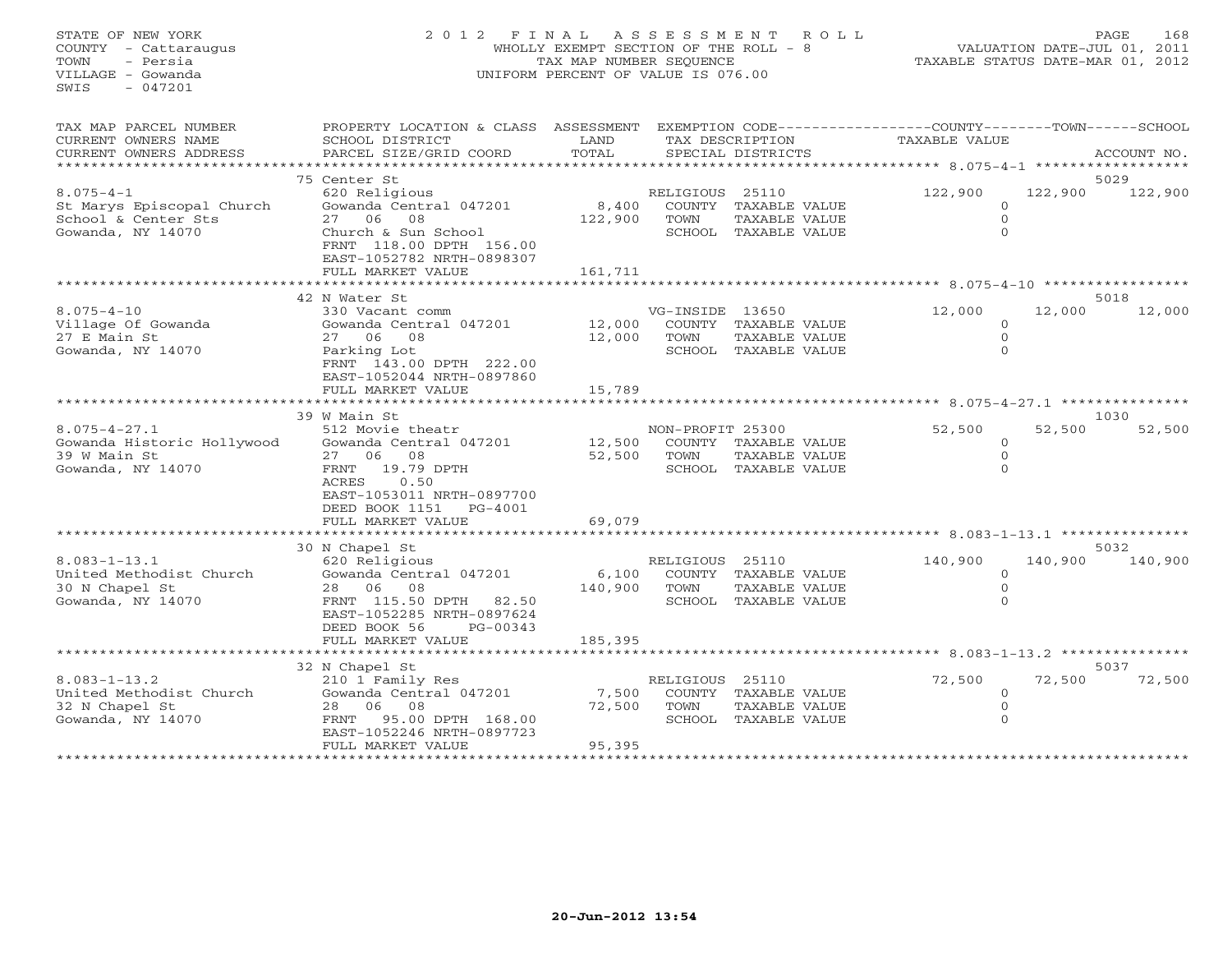## STATE OF NEW YORK 2 0 1 2 F I N A L A S S E S S M E N T R O L L PAGE 168 COUNTY - Cattaraugus WHOLLY EXEMPT SECTION OF THE ROLL - 8 VALUATION DATE-JUL 01, 2011 TOWN - Persia TAX MAP NUMBER SEQUENCE TAXABLE STATUS DATE-MAR 01, 2012 VILLAGE - Gowanda UNIFORM PERCENT OF VALUE IS 076.00

| TAX MAP PARCEL NUMBER<br>CURRENT OWNERS NAME<br>CURRENT OWNERS ADDRESS                   | PROPERTY LOCATION & CLASS ASSESSMENT<br>SCHOOL DISTRICT<br>PARCEL SIZE/GRID COORD                                                                                                                 | LAND<br>TOTAL               |                          | TAX DESCRIPTION<br>SPECIAL DISTRICTS                          | EXEMPTION CODE-----------------COUNTY-------TOWN------SCHOOL<br><b>TAXABLE VALUE</b> |         | ACCOUNT NO.     |
|------------------------------------------------------------------------------------------|---------------------------------------------------------------------------------------------------------------------------------------------------------------------------------------------------|-----------------------------|--------------------------|---------------------------------------------------------------|--------------------------------------------------------------------------------------|---------|-----------------|
| $8.075 - 4 - 1$<br>St Marys Episcopal Church<br>School & Center Sts<br>Gowanda, NY 14070 | 75 Center St<br>620 Religious<br>Gowanda Central 047201<br>27 06 08<br>Church & Sun School<br>FRNT 118.00 DPTH 156.00<br>EAST-1052782 NRTH-0898307<br>FULL MARKET VALUE<br>********************** | 8,400<br>122,900<br>161,711 | RELIGIOUS 25110<br>TOWN  | COUNTY TAXABLE VALUE<br>TAXABLE VALUE<br>SCHOOL TAXABLE VALUE | 122,900<br>$\circ$<br>$\mathbf 0$<br>$\Omega$                                        | 122,900 | 5029<br>122,900 |
| $8.075 - 4 - 10$<br>Village Of Gowanda<br>27 E Main St<br>Gowanda, NY 14070              | 42 N Water St<br>330 Vacant comm<br>Gowanda Central 047201<br>27 06 08<br>Parking Lot<br>FRNT 143.00 DPTH 222.00<br>EAST-1052044 NRTH-0897860<br>FULL MARKET VALUE                                | 12,000<br>12,000<br>15,789  | VG-INSIDE 13650<br>TOWN  | COUNTY TAXABLE VALUE<br>TAXABLE VALUE<br>SCHOOL TAXABLE VALUE | 12,000<br>$\circ$<br>$\mathbf 0$<br>$\Omega$                                         | 12,000  | 5018<br>12,000  |
|                                                                                          | ***********************<br>39 W Main St                                                                                                                                                           | ************                |                          |                                                               | *********************************** 8.075-4-27.1 ***************                     |         | 1030            |
| $8.075 - 4 - 27.1$<br>Gowanda Historic Hollywood<br>39 W Main St<br>Gowanda, NY 14070    | 512 Movie theatr<br>Gowanda Central 047201<br>27 06<br>08<br>19.79 DPTH<br>FRNT<br>0.50<br>ACRES<br>EAST-1053011 NRTH-0897700<br>DEED BOOK 1151<br>PG-4001                                        | 12,500<br>52,500            | NON-PROFIT 25300<br>TOWN | COUNTY TAXABLE VALUE<br>TAXABLE VALUE<br>SCHOOL TAXABLE VALUE | 52,500<br>$\mathbf 0$<br>$\mathbf 0$<br>$\Omega$                                     | 52,500  | 52,500          |
|                                                                                          | FULL MARKET VALUE                                                                                                                                                                                 | 69,079                      |                          |                                                               |                                                                                      |         |                 |
|                                                                                          | 30 N Chapel St                                                                                                                                                                                    |                             |                          |                                                               |                                                                                      |         | 5032            |
| $8.083 - 1 - 13.1$<br>United Methodist Church<br>30 N Chapel St<br>Gowanda, NY 14070     | 620 Religious<br>Gowanda Central 047201<br>28 06 08<br>FRNT 115.50 DPTH<br>82.50<br>EAST-1052285 NRTH-0897624<br>DEED BOOK 56<br>PG-00343<br>FULL MARKET VALUE                                    | 6,100<br>140,900<br>185,395 | RELIGIOUS 25110<br>TOWN  | COUNTY TAXABLE VALUE<br>TAXABLE VALUE<br>SCHOOL TAXABLE VALUE | 140,900<br>$\circ$<br>$\mathbf{0}$<br>$\Omega$                                       | 140,900 | 140,900         |
|                                                                                          |                                                                                                                                                                                                   |                             |                          |                                                               |                                                                                      |         |                 |
| $8.083 - 1 - 13.2$<br>United Methodist Church<br>32 N Chapel St<br>Gowanda, NY 14070     | 32 N Chapel St<br>210 1 Family Res<br>Gowanda Central 047201<br>28 06 08<br>FRNT 95.00 DPTH 168.00<br>EAST-1052246 NRTH-0897723<br>FULL MARKET VALUE                                              | 7,500<br>72,500<br>95,395   | RELIGIOUS 25110<br>TOWN  | COUNTY TAXABLE VALUE<br>TAXABLE VALUE<br>SCHOOL TAXABLE VALUE | 72,500<br>$\mathbf 0$<br>$\mathbf{0}$<br>$\mathbf{0}$                                | 72,500  | 5037<br>72,500  |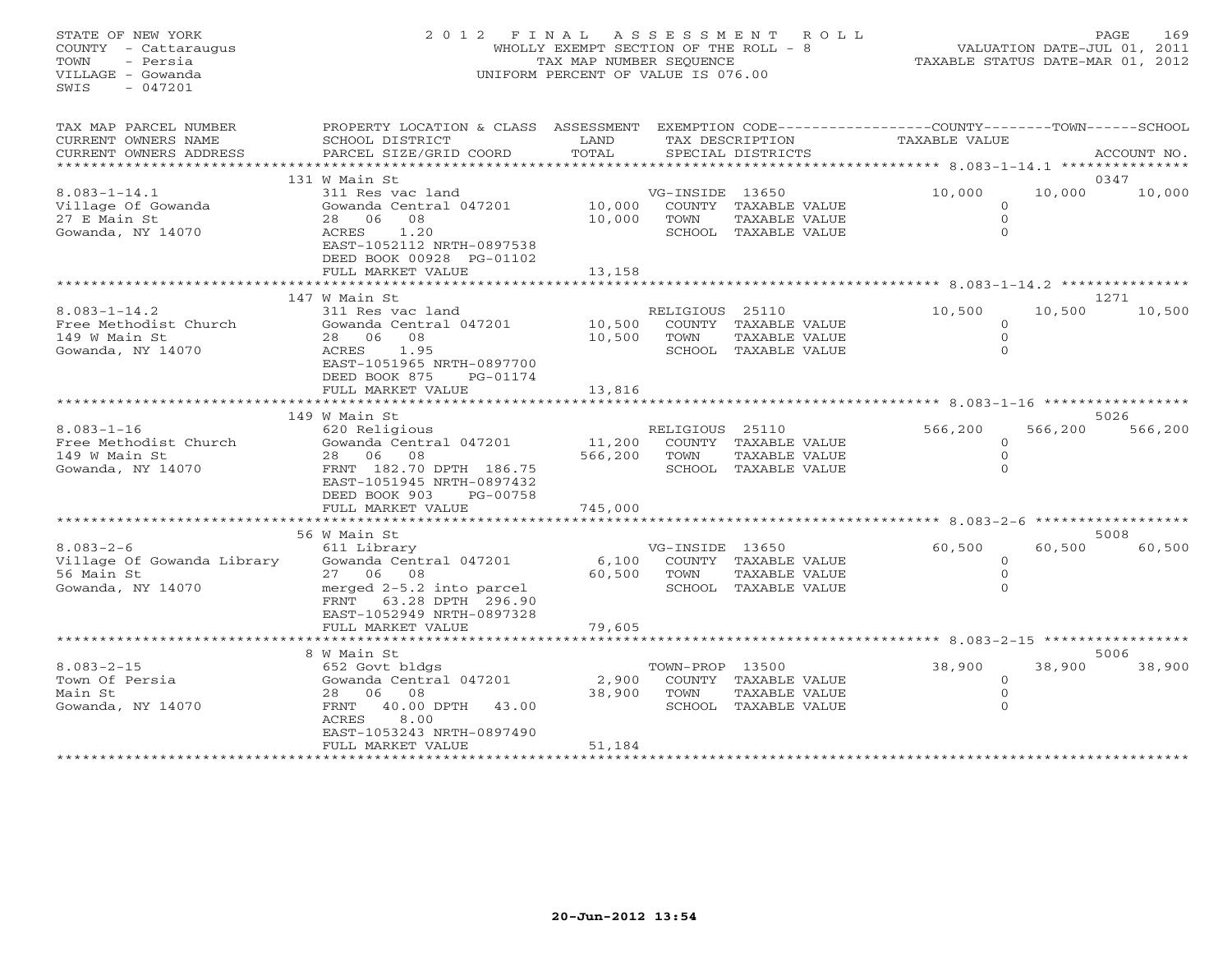## STATE OF NEW YORK 2 0 1 2 F I N A L A S S E S S M E N T R O L L PAGE 169 COUNTY - Cattaraugus WHOLLY EXEMPT SECTION OF THE ROLL - 8 VALUATION DATE-JUL 01, 2011 TOWN - Persia TAX MAP NUMBER SEQUENCE TAXABLE STATUS DATE-MAR 01, 2012 VILLAGE - Gowanda UNIFORM PERCENT OF VALUE IS 076.00UNIFORM PERCENT OF VALUE IS 076.00

| TAX MAP PARCEL NUMBER<br>CURRENT OWNERS NAME                                      | PROPERTY LOCATION & CLASS ASSESSMENT<br>SCHOOL DISTRICT                                                                                                                    | LAND                       |                         | TAX DESCRIPTION                                               | EXEMPTION CODE-----------------COUNTY-------TOWN-----SCHOOL<br>TAXABLE VALUE |         |                |
|-----------------------------------------------------------------------------------|----------------------------------------------------------------------------------------------------------------------------------------------------------------------------|----------------------------|-------------------------|---------------------------------------------------------------|------------------------------------------------------------------------------|---------|----------------|
| CURRENT OWNERS ADDRESS                                                            | PARCEL SIZE/GRID COORD                                                                                                                                                     | TOTAL                      |                         | SPECIAL DISTRICTS                                             |                                                                              |         | ACCOUNT NO.    |
|                                                                                   | 131 W Main St                                                                                                                                                              |                            |                         |                                                               |                                                                              |         | 0347           |
| $8.083 - 1 - 14.1$<br>Village Of Gowanda<br>27 E Main St<br>Gowanda, NY 14070     | 311 Res vac land<br>Gowanda Central 047201<br>08<br>28 06<br>1.20<br>ACRES<br>EAST-1052112 NRTH-0897538<br>DEED BOOK 00928 PG-01102<br>FULL MARKET VALUE                   | 10,000<br>10,000<br>13,158 | VG-INSIDE 13650<br>TOWN | COUNTY TAXABLE VALUE<br>TAXABLE VALUE<br>SCHOOL TAXABLE VALUE | 10,000<br>$\circ$<br>$\Omega$<br>$\Omega$                                    | 10,000  | 10,000         |
|                                                                                   |                                                                                                                                                                            |                            |                         |                                                               |                                                                              |         |                |
| $8.083 - 1 - 14.2$<br>Free Methodist Church<br>149 W Main St<br>Gowanda, NY 14070 | 147 W Main St<br>311 Res vac land<br>Gowanda Central 047201<br>08<br>28 06<br>1.95<br>ACRES<br>EAST-1051965 NRTH-0897700<br>DEED BOOK 875<br>PG-01174<br>FULL MARKET VALUE | 10,500<br>10,500<br>13,816 | RELIGIOUS 25110<br>TOWN | COUNTY TAXABLE VALUE<br>TAXABLE VALUE<br>SCHOOL TAXABLE VALUE | 10,500<br>0<br>$\mathbf{0}$<br>$\Omega$                                      | 10,500  | 1271<br>10,500 |
|                                                                                   | *****************************                                                                                                                                              |                            |                         |                                                               |                                                                              |         |                |
|                                                                                   | 149 W Main St                                                                                                                                                              |                            |                         |                                                               |                                                                              |         | 5026           |
| $8.083 - 1 - 16$<br>Free Methodist Church<br>149 W Main St<br>Gowanda, NY 14070   | 620 Religious<br>Gowanda Central 047201<br>28 06<br>08<br>FRNT 182.70 DPTH 186.75<br>EAST-1051945 NRTH-0897432<br>DEED BOOK 903<br>PG-00758                                | 11,200<br>566,200          | RELIGIOUS 25110<br>TOWN | COUNTY TAXABLE VALUE<br>TAXABLE VALUE<br>SCHOOL TAXABLE VALUE | 566,200<br>$\Omega$<br>$\mathbf 0$<br>$\Omega$                               | 566,200 | 566,200        |
|                                                                                   | FULL MARKET VALUE<br>*************************                                                                                                                             | 745,000                    |                         |                                                               |                                                                              |         |                |
|                                                                                   | 56 W Main St                                                                                                                                                               |                            |                         |                                                               |                                                                              |         | 5008           |
| $8.083 - 2 - 6$<br>Village Of Gowanda Library<br>56 Main St<br>Gowanda, NY 14070  | 611 Library<br>Gowanda Central 047201<br>27 06 08<br>merged 2-5.2 into parcel<br>FRNT 63.28 DPTH 296.90<br>EAST-1052949 NRTH-0897328                                       | 6,100<br>60,500            | VG-INSIDE 13650<br>TOWN | COUNTY TAXABLE VALUE<br>TAXABLE VALUE<br>SCHOOL TAXABLE VALUE | 60,500<br>$\circ$<br>$\circ$<br>$\Omega$                                     | 60,500  | 60,500         |
|                                                                                   | FULL MARKET VALUE                                                                                                                                                          | 79,605                     |                         |                                                               |                                                                              |         |                |
|                                                                                   | 8 W Main St                                                                                                                                                                |                            |                         |                                                               |                                                                              |         | 5006           |
| $8.083 - 2 - 15$<br>Town Of Persia<br>Main St<br>Gowanda, NY 14070                | 652 Govt bldgs<br>Gowanda Central 047201<br>28 06<br>08<br>FRNT<br>40.00 DPTH<br>43.00<br>ACRES<br>8.00<br>EAST-1053243 NRTH-0897490<br>FULL MARKET VALUE                  | 2,900<br>38,900<br>51,184  | TOWN-PROP 13500<br>TOWN | COUNTY TAXABLE VALUE<br>TAXABLE VALUE<br>SCHOOL TAXABLE VALUE | 38,900<br>$\circ$<br>$\mathbf{0}$<br>$\Omega$                                | 38,900  | 38,900         |
| *****************                                                                 | **********************                                                                                                                                                     |                            |                         |                                                               |                                                                              |         |                |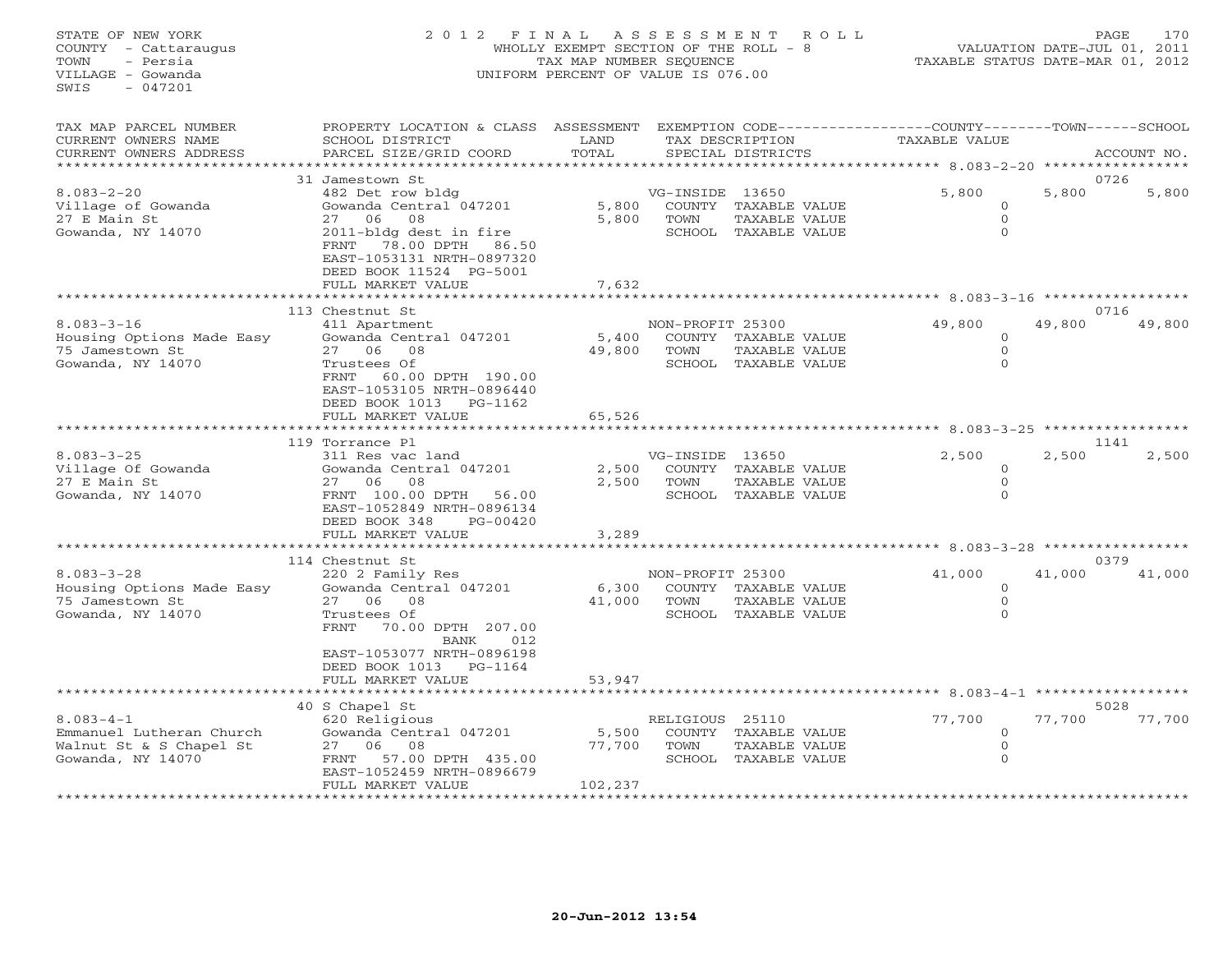## STATE OF NEW YORK 2 0 1 2 F I N A L A S S E S S M E N T R O L L PAGE 170 COUNTY - Cattaraugus WHOLLY EXEMPT SECTION OF THE ROLL - 8 VALUATION DATE-JUL 01, 2011 TOWN - Persia TAX MAP NUMBER SEQUENCE TAXABLE STATUS DATE-MAR 01, 2012 VILLAGE - Gowanda UNIFORM PERCENT OF VALUE IS 076.00UNIFORM PERCENT OF VALUE IS 076.00

| TAX MAP PARCEL NUMBER<br>CURRENT OWNERS NAME<br>CURRENT OWNERS ADDRESS                      | PROPERTY LOCATION & CLASS<br>SCHOOL DISTRICT<br>PARCEL SIZE/GRID COORD                                                                                                                                                | ASSESSMENT<br>LAND<br>TOTAL | EXEMPTION CODE----------------COUNTY-------TOWN------SCHOOL<br>TAX DESCRIPTION<br>SPECIAL DISTRICTS | <b>TAXABLE VALUE</b>                              | ACCOUNT NO.              |
|---------------------------------------------------------------------------------------------|-----------------------------------------------------------------------------------------------------------------------------------------------------------------------------------------------------------------------|-----------------------------|-----------------------------------------------------------------------------------------------------|---------------------------------------------------|--------------------------|
|                                                                                             |                                                                                                                                                                                                                       | *********                   |                                                                                                     | ************** 8.083-2-20                         |                          |
| $8.083 - 2 - 20$<br>Village of Gowanda<br>27 E Main St<br>Gowanda, NY 14070                 | 31 Jamestown St<br>482 Det row bldg<br>Gowanda Central 047201<br>27<br>06<br>08<br>2011-bldg dest in fire<br>78.00 DPTH<br>FRNT<br>86.50<br>EAST-1053131 NRTH-0897320<br>DEED BOOK 11524 PG-5001<br>FULL MARKET VALUE | 5,800<br>5,800<br>7,632     | VG-INSIDE 13650<br>COUNTY TAXABLE VALUE<br>TOWN<br>TAXABLE VALUE<br>SCHOOL TAXABLE VALUE            | 5,800<br>$\mathbf 0$<br>$\mathbf{O}$<br>$\Omega$  | 0726<br>5,800<br>5,800   |
|                                                                                             |                                                                                                                                                                                                                       |                             |                                                                                                     | ********* 8.083-3-16 **********                   |                          |
| $8.083 - 3 - 16$<br>Housing Options Made Easy<br>75 Jamestown St<br>Gowanda, NY 14070       | 113 Chestnut St<br>411 Apartment<br>Gowanda Central 047201<br>27 06<br>08<br>Trustees Of<br>60.00 DPTH 190.00<br>FRNT<br>EAST-1053105 NRTH-0896440<br>DEED BOOK 1013<br>PG-1162<br>FULL MARKET VALUE                  | 5,400<br>49,800<br>65,526   | NON-PROFIT 25300<br>COUNTY TAXABLE VALUE<br>TOWN<br>TAXABLE VALUE<br>SCHOOL TAXABLE VALUE           | 49,800<br>$\circ$<br>$\mathbf{0}$<br>$\Omega$     | 0716<br>49,800<br>49,800 |
|                                                                                             |                                                                                                                                                                                                                       |                             |                                                                                                     | ******* 8.083-3-25                                |                          |
| $8.083 - 3 - 25$<br>Village Of Gowanda<br>27 E Main St<br>Gowanda, NY 14070                 | 119 Torrance Pl<br>311 Res vac land<br>Gowanda Central 047201<br>27 06 08<br>FRNT 100.00 DPTH<br>56.00<br>EAST-1052849 NRTH-0896134<br>DEED BOOK 348<br>$PG-00420$<br>FULL MARKET VALUE                               | 2,500<br>2,500<br>3,289     | VG-INSIDE 13650<br>COUNTY TAXABLE VALUE<br>TOWN<br>TAXABLE VALUE<br>SCHOOL TAXABLE VALUE            | 2,500<br>$\Omega$<br>$\mathbf 0$<br>$\Omega$      | 1141<br>2,500<br>2,500   |
|                                                                                             |                                                                                                                                                                                                                       |                             |                                                                                                     | $8.083 - 3 - 28$                                  |                          |
| $8.083 - 3 - 28$<br>Housing Options Made Easy<br>75 Jamestown St<br>Gowanda, NY 14070       | 114 Chestnut St<br>220 2 Family Res<br>Gowanda Central 047201<br>27 06 08<br>Trustees Of<br>70.00 DPTH 207.00<br>FRNT<br><b>BANK</b><br>012<br>EAST-1053077 NRTH-0896198<br>DEED BOOK 1013<br>PG-1164                 | 6,300<br>41,000             | NON-PROFIT 25300<br>COUNTY TAXABLE VALUE<br>TOWN<br>TAXABLE VALUE<br>SCHOOL TAXABLE VALUE           | 41,000<br>$\mathbf{0}$<br>$\mathbf 0$<br>$\Omega$ | 0379<br>41,000<br>41,000 |
|                                                                                             | FULL MARKET VALUE                                                                                                                                                                                                     | 53,947                      |                                                                                                     |                                                   |                          |
|                                                                                             | * * * * * * * * * * * * * * * * * *<br>40 S Chapel St                                                                                                                                                                 |                             |                                                                                                     |                                                   | 5028                     |
| $8.083 - 4 - 1$<br>Emmanuel Lutheran Church<br>Walnut St & S Chapel St<br>Gowanda, NY 14070 | 620 Religious<br>Gowanda Central 047201<br>27 06 08<br>57.00 DPTH 435.00<br>FRNT<br>EAST-1052459 NRTH-0896679<br>FULL MARKET VALUE                                                                                    | 5,500<br>77,700<br>102,237  | RELIGIOUS 25110<br>COUNTY TAXABLE VALUE<br>TOWN<br>TAXABLE VALUE<br>SCHOOL TAXABLE VALUE            | 77,700<br>$\mathbf{0}$<br>$\mathbf 0$<br>$\Omega$ | 77,700<br>77,700         |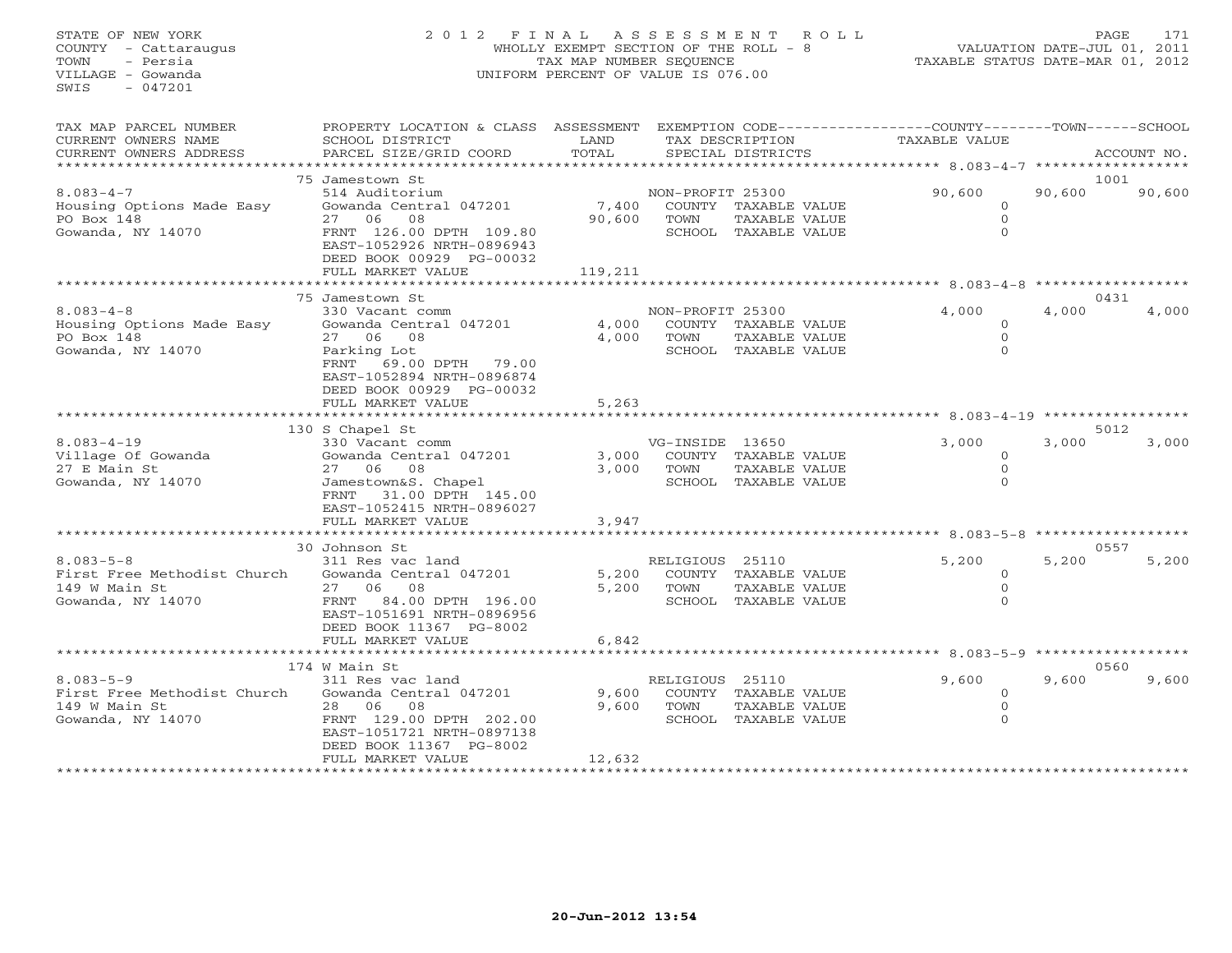## STATE OF NEW YORK 2 0 1 2 F I N A L A S S E S S M E N T R O L L PAGE 171 COUNTY - Cattaraugus WHOLLY EXEMPT SECTION OF THE ROLL - 8 VALUATION DATE-JUL 01, 2011 TOWN - Persia TAX MAP NUMBER SEQUENCE TAXABLE STATUS DATE-MAR 01, 2012 VILLAGE - Gowanda UNIFORM PERCENT OF VALUE IS 076.00UNIFORM PERCENT OF VALUE IS 076.00

| TAX MAP PARCEL NUMBER<br>CURRENT OWNERS NAME<br>CURRENT OWNERS ADDRESS               | PROPERTY LOCATION & CLASS ASSESSMENT<br>SCHOOL DISTRICT<br>PARCEL SIZE/GRID COORD                                                                                         | LAND<br>TOTAL            |                          | TAX DESCRIPTION<br>SPECIAL DISTRICTS                          | EXEMPTION CODE-----------------COUNTY-------TOWN-----SCHOOL<br>TAXABLE VALUE |        | ACCOUNT NO.        |
|--------------------------------------------------------------------------------------|---------------------------------------------------------------------------------------------------------------------------------------------------------------------------|--------------------------|--------------------------|---------------------------------------------------------------|------------------------------------------------------------------------------|--------|--------------------|
| *******************                                                                  |                                                                                                                                                                           | **********               |                          |                                                               |                                                                              |        | ****************** |
|                                                                                      | 75 Jamestown St                                                                                                                                                           |                          |                          |                                                               |                                                                              |        | 1001               |
| $8.083 - 4 - 7$<br>Housing Options Made Easy<br>PO Box 148<br>Gowanda, NY 14070      | 514 Auditorium<br>Gowanda Central 047201<br>27 06<br>08<br>FRNT 126.00 DPTH 109.80<br>EAST-1052926 NRTH-0896943<br>DEED BOOK 00929 PG-00032                               | 7,400<br>90,600          | NON-PROFIT 25300<br>TOWN | COUNTY TAXABLE VALUE<br>TAXABLE VALUE<br>SCHOOL TAXABLE VALUE | 90,600<br>$\Omega$<br>$\Omega$<br>$\Omega$                                   | 90,600 | 90,600             |
|                                                                                      | FULL MARKET VALUE<br>*********************                                                                                                                                | 119,211                  |                          |                                                               |                                                                              |        |                    |
|                                                                                      |                                                                                                                                                                           |                          |                          |                                                               |                                                                              |        |                    |
| $8.083 - 4 - 8$<br>Housing Options Made Easy<br>PO Box 148<br>Gowanda, NY 14070      | 75 Jamestown St<br>330 Vacant comm<br>Gowanda Central 047201<br>27 06 08<br>Parking Lot<br>FRNT 69.00 DPTH 79.00<br>EAST-1052894 NRTH-0896874<br>DEED BOOK 00929 PG-00032 | 4,000<br>4,000           | NON-PROFIT 25300<br>TOWN | COUNTY TAXABLE VALUE<br>TAXABLE VALUE<br>SCHOOL TAXABLE VALUE | 4,000<br>$\Omega$<br>$\Omega$                                                | 4,000  | 0431<br>4,000      |
|                                                                                      | FULL MARKET VALUE                                                                                                                                                         | 5,263                    |                          |                                                               |                                                                              |        |                    |
|                                                                                      | 130 S Chapel St                                                                                                                                                           |                          |                          |                                                               |                                                                              |        | 5012               |
| $8.083 - 4 - 19$<br>Village Of Gowanda<br>27 E Main St<br>Gowanda, NY 14070          | 330 Vacant comm<br>Gowanda Central 047201<br>27 06 08<br>Jamestown&S. Chapel<br>FRNT 31.00 DPTH 145.00<br>EAST-1052415 NRTH-0896027                                       | 3,000<br>3,000           | VG-INSIDE 13650<br>TOWN  | COUNTY TAXABLE VALUE<br>TAXABLE VALUE<br>SCHOOL TAXABLE VALUE | 3,000<br>$\Omega$<br>$\Omega$<br>$\Omega$                                    | 3,000  | 3,000              |
|                                                                                      | FULL MARKET VALUE                                                                                                                                                         | 3,947                    |                          |                                                               |                                                                              |        |                    |
|                                                                                      | ************************                                                                                                                                                  |                          |                          |                                                               |                                                                              |        |                    |
| $8.083 - 5 - 8$<br>First Free Methodist Church<br>149 W Main St<br>Gowanda, NY 14070 | 30 Johnson St<br>311 Res vac land<br>Gowanda Central 047201<br>27 06 08<br>84.00 DPTH 196.00<br>FRNT<br>EAST-1051691 NRTH-0896956<br>DEED BOOK 11367 PG-8002              | 5,200<br>5,200           | RELIGIOUS 25110<br>TOWN  | COUNTY TAXABLE VALUE<br>TAXABLE VALUE<br>SCHOOL TAXABLE VALUE | 5,200<br>$\Omega$<br>$\Omega$                                                | 5,200  | 0557<br>5,200      |
|                                                                                      | FULL MARKET VALUE                                                                                                                                                         | 6,842                    |                          |                                                               |                                                                              |        |                    |
|                                                                                      | 174 W Main St                                                                                                                                                             |                          |                          |                                                               | ******* 8.083-5-9 ************                                               |        | 0560               |
| $8.083 - 5 - 9$<br>First Free Methodist Church<br>149 W Main St<br>Gowanda, NY 14070 | 311 Res vac land<br>Gowanda Central 047201<br>28 06 08<br>FRNT 129.00 DPTH 202.00<br>EAST-1051721 NRTH-0897138<br>DEED BOOK 11367 PG-8002<br>FULL MARKET VALUE            | 9,600<br>9,600<br>12,632 | RELIGIOUS 25110<br>TOWN  | COUNTY TAXABLE VALUE<br>TAXABLE VALUE<br>SCHOOL TAXABLE VALUE | 9,600<br>$\circ$<br>$\Omega$<br>$\Omega$                                     | 9,600  | 9,600              |
|                                                                                      |                                                                                                                                                                           |                          |                          |                                                               |                                                                              |        |                    |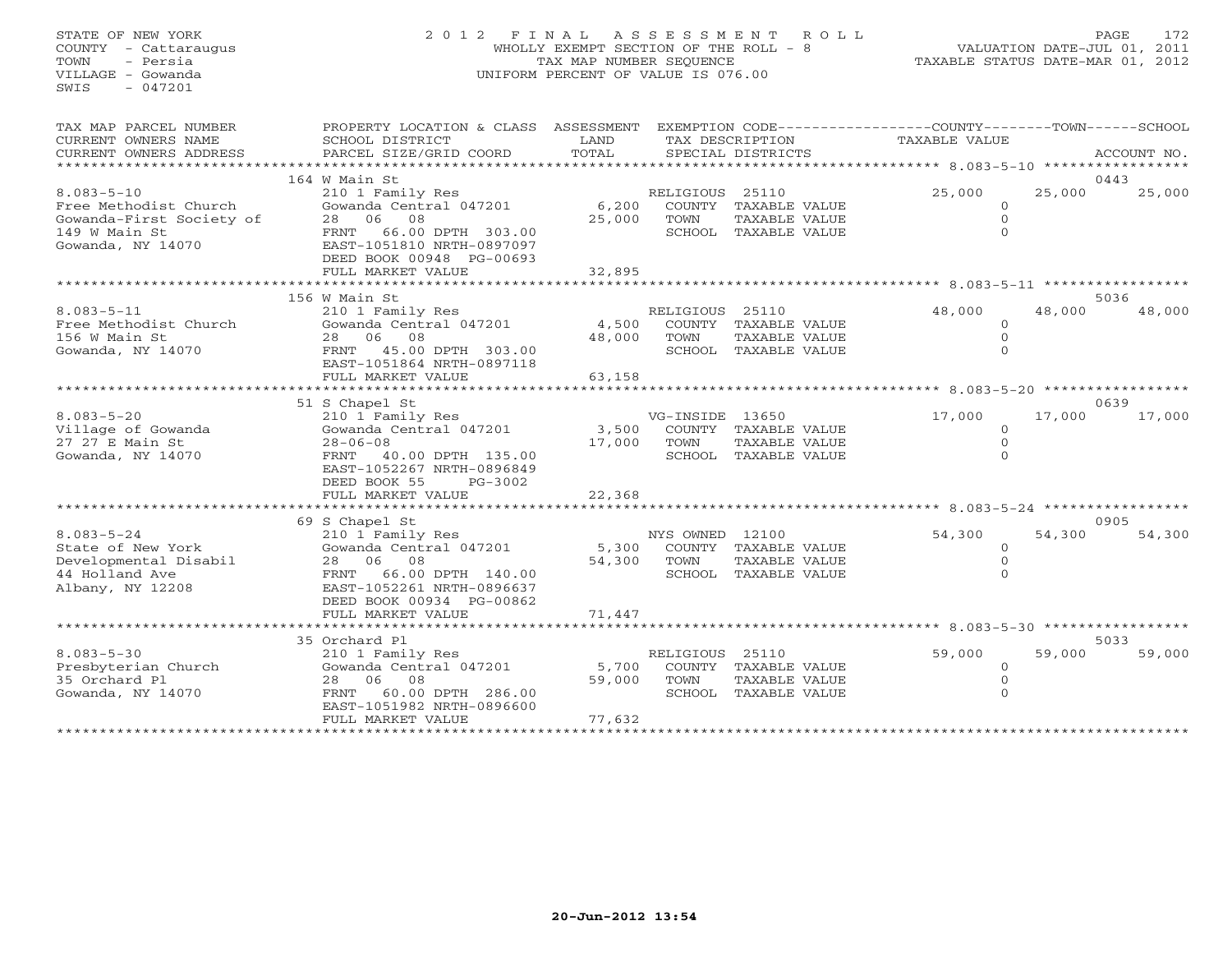## STATE OF NEW YORK 2 0 1 2 F I N A L A S S E S S M E N T R O L L PAGE 172 COUNTY - Cattaraugus WHOLLY EXEMPT SECTION OF THE ROLL - 8 VALUATION DATE-JUL 01, 2011 TOWN - Persia TAX MAP NUMBER SEQUENCE TAXABLE STATUS DATE-MAR 01, 2012 VILLAGE - Gowanda UNIFORM PERCENT OF VALUE IS 076.00

| TAX MAP PARCEL NUMBER<br>CURRENT OWNERS NAME                                                         | PROPERTY LOCATION & CLASS ASSESSMENT<br>SCHOOL DISTRICT                                                                                                        | LAND                      |                                   | EXEMPTION CODE-----------------COUNTY-------TOWN------SCHOOL<br>TAX DESCRIPTION | TAXABLE VALUE                                  |                                               |                |
|------------------------------------------------------------------------------------------------------|----------------------------------------------------------------------------------------------------------------------------------------------------------------|---------------------------|-----------------------------------|---------------------------------------------------------------------------------|------------------------------------------------|-----------------------------------------------|----------------|
| CURRENT OWNERS ADDRESS<br>***********************                                                    | PARCEL SIZE/GRID COORD                                                                                                                                         | TOTAL                     |                                   | SPECIAL DISTRICTS                                                               |                                                |                                               | ACCOUNT NO.    |
|                                                                                                      | 164 W Main St                                                                                                                                                  |                           |                                   |                                                                                 |                                                |                                               | 0443           |
| $8.083 - 5 - 10$<br>Free Methodist Church<br>Gowanda-First Society of                                | 210 1 Family Res<br>Gowanda Central 047201<br>28 06 08                                                                                                         | 6,200<br>25,000           | RELIGIOUS 25110<br>TOWN           | COUNTY TAXABLE VALUE<br>TAXABLE VALUE                                           | 25,000                                         | 25,000<br>$\Omega$<br>$\Omega$                | 25,000         |
| 149 W Main St<br>Gowanda, NY 14070                                                                   | 66.00 DPTH 303.00<br>FRNT<br>EAST-1051810 NRTH-0897097<br>DEED BOOK 00948 PG-00693                                                                             |                           |                                   | SCHOOL TAXABLE VALUE                                                            |                                                | $\Omega$                                      |                |
|                                                                                                      | FULL MARKET VALUE                                                                                                                                              | 32,895                    |                                   |                                                                                 |                                                |                                               |                |
|                                                                                                      | 156 W Main St                                                                                                                                                  |                           |                                   |                                                                                 |                                                |                                               | 5036           |
| $8.083 - 5 - 11$<br>Free Methodist Church<br>156 W Main St<br>Gowanda, NY 14070                      | 210 1 Family Res<br>Gowanda Central 047201<br>28 06 08<br>FRNT 45.00 DPTH 303.00<br>EAST-1051864 NRTH-0897118                                                  | 4,500<br>48,000           | RELIGIOUS 25110<br>TOWN           | COUNTY TAXABLE VALUE<br>TAXABLE VALUE<br>SCHOOL TAXABLE VALUE                   | 48,000                                         | 48,000<br>$\Omega$<br>$\Omega$<br>$\Omega$    | 48,000         |
|                                                                                                      | FULL MARKET VALUE                                                                                                                                              | 63,158                    |                                   |                                                                                 | **************** 8.083-5-20 ****************** |                                               |                |
|                                                                                                      | 51 S Chapel St                                                                                                                                                 |                           |                                   |                                                                                 |                                                |                                               | 0639           |
| $8.083 - 5 - 20$<br>Village of Gowanda<br>27 27 E Main St<br>Gowanda, NY 14070                       | 210 1 Family Res<br>Gowanda Central 047201<br>$28 - 06 - 08$<br>FRNT<br>40.00 DPTH 135.00<br>EAST-1052267 NRTH-0896849<br>DEED BOOK 55<br>PG-3002              | 3,500<br>17,000           | VG-INSIDE 13650<br>COUNTY<br>TOWN | TAXABLE VALUE<br>TAXABLE VALUE<br>SCHOOL TAXABLE VALUE                          | 17,000                                         | 17,000<br>$\Omega$<br>$\mathbf 0$<br>$\Omega$ | 17,000         |
|                                                                                                      | FULL MARKET VALUE                                                                                                                                              | 22,368                    |                                   |                                                                                 |                                                |                                               |                |
|                                                                                                      |                                                                                                                                                                |                           |                                   |                                                                                 |                                                |                                               |                |
| $8.083 - 5 - 24$<br>State of New York<br>Developmental Disabil<br>44 Holland Ave<br>Albany, NY 12208 | 69 S Chapel St<br>210 1 Family Res<br>Gowanda Central 047201<br>28 06 08<br>66.00 DPTH 140.00<br>FRNT<br>EAST-1052261 NRTH-0896637<br>DEED BOOK 00934 PG-00862 | 5,300<br>54,300           | NYS OWNED 12100<br>TOWN           | COUNTY TAXABLE VALUE<br>TAXABLE VALUE<br>SCHOOL TAXABLE VALUE                   | 54,300                                         | 54,300<br>$\circ$<br>0<br>$\Omega$            | 0905<br>54,300 |
|                                                                                                      | FULL MARKET VALUE                                                                                                                                              | 71,447                    |                                   |                                                                                 |                                                |                                               |                |
|                                                                                                      | 35 Orchard Pl                                                                                                                                                  |                           |                                   |                                                                                 |                                                |                                               | 5033           |
| $8.083 - 5 - 30$<br>Presbyterian Church<br>35 Orchard Pl<br>Gowanda, NY 14070                        | 210 1 Family Res<br>Gowanda Central 047201<br>06 08<br>28<br>60.00 DPTH 286.00<br>FRNT<br>EAST-1051982 NRTH-0896600<br>FULL MARKET VALUE                       | 5,700<br>59,000<br>77,632 | RELIGIOUS 25110<br>TOWN           | COUNTY TAXABLE VALUE<br>TAXABLE VALUE<br>SCHOOL TAXABLE VALUE                   | 59,000                                         | 59,000<br>$\Omega$<br>$\Omega$<br>$\Omega$    | 59,000         |
|                                                                                                      |                                                                                                                                                                |                           |                                   |                                                                                 |                                                |                                               |                |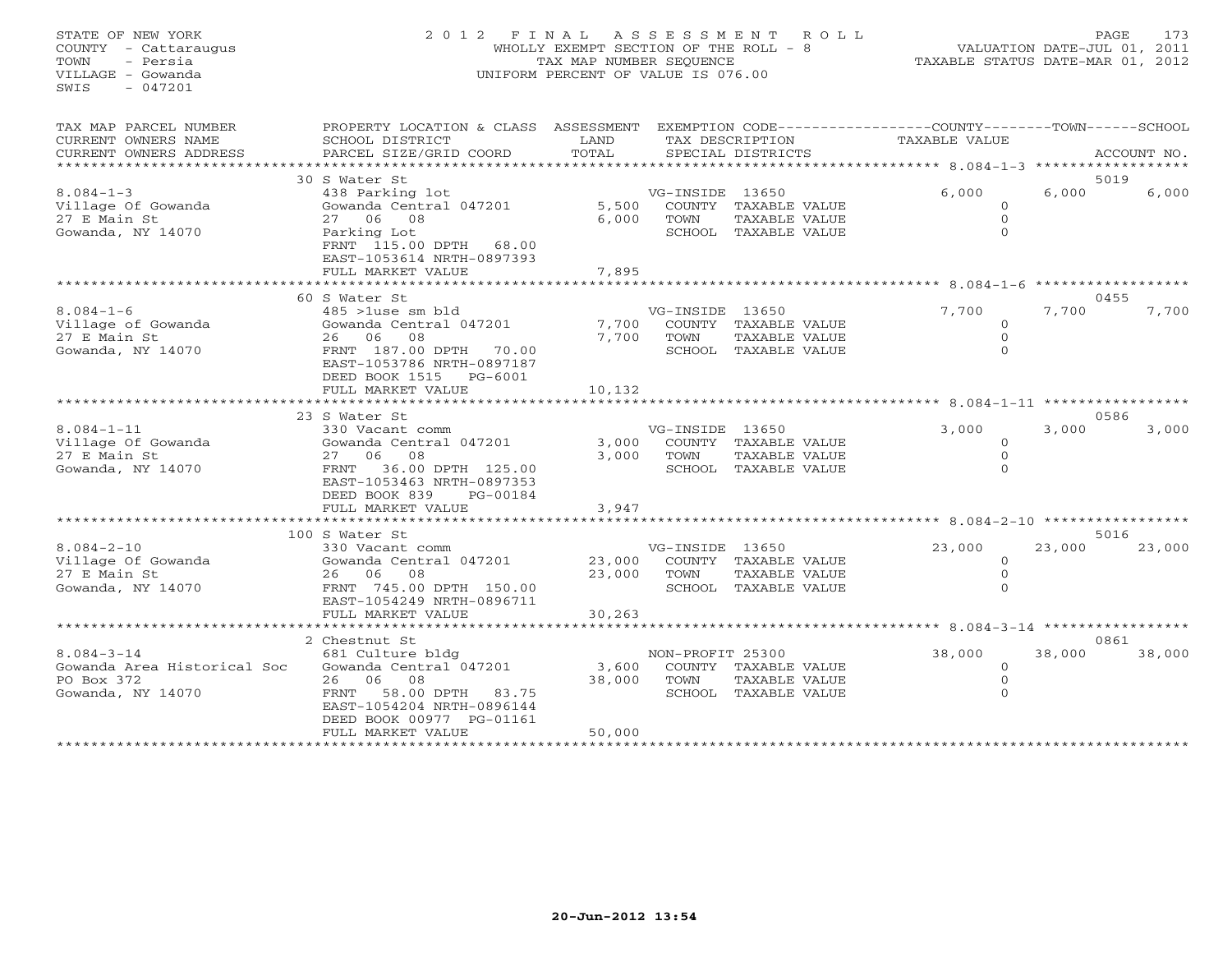## STATE OF NEW YORK 2 0 1 2 F I N A L A S S E S S M E N T R O L L PAGE 173 COUNTY - Cattaraugus WHOLLY EXEMPT SECTION OF THE ROLL - 8 VALUATION DATE-JUL 01, 2011 TOWN - Persia TAX MAP NUMBER SEQUENCE TAXABLE STATUS DATE-MAR 01, 2012 VILLAGE - Gowanda UNIFORM PERCENT OF VALUE IS 076.00UNIFORM PERCENT OF VALUE IS 076.00

| TAX MAP PARCEL NUMBER<br>CURRENT OWNERS NAME<br>CURRENT OWNERS ADDRESS | PROPERTY LOCATION & CLASS ASSESSMENT<br>SCHOOL DISTRICT<br>PARCEL SIZE/GRID COORD | LAND<br>TOTAL           |                  | TAX DESCRIPTION<br>SPECIAL DISTRICTS | EXEMPTION CODE----------------COUNTY-------TOWN-----SCHOOL<br><b>TAXABLE VALUE</b> |                            | ACCOUNT NO.       |
|------------------------------------------------------------------------|-----------------------------------------------------------------------------------|-------------------------|------------------|--------------------------------------|------------------------------------------------------------------------------------|----------------------------|-------------------|
|                                                                        |                                                                                   |                         |                  |                                      |                                                                                    |                            |                   |
|                                                                        | 30 S Water St                                                                     |                         |                  |                                      |                                                                                    |                            | 5019              |
| $8.084 - 1 - 3$                                                        | 438 Parking lot                                                                   |                         | VG-INSIDE 13650  |                                      | 6,000                                                                              | 6,000                      | 6,000             |
| Village Of Gowanda                                                     | Gowanda Central 047201                                                            | 5,500                   |                  | COUNTY TAXABLE VALUE                 | $\Omega$                                                                           |                            |                   |
| 27 E Main St                                                           | 27 06 08                                                                          | 6,000                   | TOWN             | TAXABLE VALUE                        | $\Omega$                                                                           |                            |                   |
| Gowanda, NY 14070                                                      | Parking Lot                                                                       |                         |                  | SCHOOL TAXABLE VALUE                 | $\Omega$                                                                           |                            |                   |
|                                                                        | FRNT 115.00 DPTH<br>68.00                                                         |                         |                  |                                      |                                                                                    |                            |                   |
|                                                                        | EAST-1053614 NRTH-0897393                                                         |                         |                  |                                      |                                                                                    |                            |                   |
|                                                                        | FULL MARKET VALUE                                                                 | 7,895                   |                  |                                      |                                                                                    |                            |                   |
|                                                                        |                                                                                   | *********************** |                  |                                      | ********* 8.084-1-6                                                                |                            |                   |
|                                                                        | 60 S Water St                                                                     |                         |                  |                                      |                                                                                    |                            | 0455              |
| $8.084 - 1 - 6$                                                        | $485$ >1use sm bld                                                                |                         | VG-INSIDE 13650  |                                      | 7,700                                                                              | 7,700                      | 7,700             |
| Village of Gowanda                                                     | Gowanda Central 047201                                                            | 7,700                   | COUNTY           | TAXABLE VALUE                        | $\Omega$                                                                           |                            |                   |
| 27 E Main St                                                           | 26 06 08                                                                          | 7,700                   | TOWN             | TAXABLE VALUE                        | $\Omega$                                                                           |                            |                   |
| Gowanda, NY 14070                                                      | FRNT 187.00 DPTH<br>70.00                                                         |                         |                  | SCHOOL TAXABLE VALUE                 | $\Omega$                                                                           |                            |                   |
|                                                                        | EAST-1053786 NRTH-0897187                                                         |                         |                  |                                      |                                                                                    |                            |                   |
|                                                                        | DEED BOOK 1515<br>$PG-6001$                                                       |                         |                  |                                      |                                                                                    |                            |                   |
|                                                                        | FULL MARKET VALUE                                                                 | 10,132                  |                  |                                      |                                                                                    |                            |                   |
|                                                                        |                                                                                   |                         |                  |                                      |                                                                                    | $8.084 - 1 - 11$ ********* |                   |
|                                                                        | 23 S Water St                                                                     |                         |                  |                                      |                                                                                    |                            | 0586              |
| $8.084 - 1 - 11$                                                       | 330 Vacant comm                                                                   |                         | VG-INSIDE 13650  |                                      | 3,000                                                                              | 3,000                      | 3,000             |
| Village Of Gowanda                                                     | Gowanda Central 047201                                                            | 3,000                   |                  | COUNTY TAXABLE VALUE                 | $\Omega$                                                                           |                            |                   |
| 27 E Main St                                                           | 27 06 08                                                                          | 3,000                   | TOWN             | TAXABLE VALUE                        | $\mathbf{0}$                                                                       |                            |                   |
| Gowanda, NY 14070                                                      | 36.00 DPTH 125.00<br>FRNT                                                         |                         |                  | SCHOOL TAXABLE VALUE                 | $\Omega$                                                                           |                            |                   |
|                                                                        | EAST-1053463 NRTH-0897353                                                         |                         |                  |                                      |                                                                                    |                            |                   |
|                                                                        | DEED BOOK 839<br>PG-00184                                                         |                         |                  |                                      |                                                                                    |                            |                   |
|                                                                        | FULL MARKET VALUE                                                                 | 3,947                   |                  |                                      |                                                                                    |                            |                   |
|                                                                        |                                                                                   |                         |                  |                                      | ****** 8.084-2-10 ********                                                         |                            |                   |
|                                                                        | 100 S Water St                                                                    |                         |                  |                                      |                                                                                    |                            | 5016              |
| $8.084 - 2 - 10$                                                       | 330 Vacant comm                                                                   |                         | VG-INSIDE 13650  |                                      | 23,000                                                                             | 23,000                     | 23,000            |
| Village Of Gowanda                                                     | Gowanda Central 047201                                                            | 23,000                  |                  | COUNTY TAXABLE VALUE                 | $\circ$                                                                            |                            |                   |
| 27 E Main St                                                           | 26 06 08                                                                          | 23,000                  | TOWN             | TAXABLE VALUE                        | $\mathbf{0}$                                                                       |                            |                   |
| Gowanda, NY 14070                                                      | FRNT 745.00 DPTH 150.00<br>EAST-1054249 NRTH-0896711                              |                         |                  | SCHOOL TAXABLE VALUE                 | $\Omega$                                                                           |                            |                   |
|                                                                        |                                                                                   |                         |                  |                                      |                                                                                    |                            |                   |
|                                                                        | FULL MARKET VALUE                                                                 | 30,263                  |                  |                                      | ****************** 8.084-3-14                                                      |                            | ***************** |
|                                                                        | 2 Chestnut St                                                                     |                         |                  |                                      |                                                                                    |                            | 0861              |
| $8.084 - 3 - 14$                                                       | 681 Culture bldg                                                                  |                         | NON-PROFIT 25300 |                                      | 38,000                                                                             | 38,000                     | 38,000            |
| Gowanda Area Historical Soc                                            | Gowanda Central 047201                                                            | 3,600                   |                  | COUNTY TAXABLE VALUE                 | $\circ$                                                                            |                            |                   |
| PO Box 372                                                             | 26 06 08                                                                          | 38,000                  | TOWN             | TAXABLE VALUE                        | $\mathbf{0}$                                                                       |                            |                   |
| Gowanda, NY 14070                                                      | 58.00 DPTH<br>FRNT<br>83.75                                                       |                         |                  | SCHOOL TAXABLE VALUE                 | $\Omega$                                                                           |                            |                   |
|                                                                        | EAST-1054204 NRTH-0896144                                                         |                         |                  |                                      |                                                                                    |                            |                   |
|                                                                        | DEED BOOK 00977 PG-01161                                                          |                         |                  |                                      |                                                                                    |                            |                   |
|                                                                        | FULL MARKET VALUE                                                                 | 50,000                  |                  |                                      |                                                                                    |                            |                   |
|                                                                        |                                                                                   |                         |                  |                                      |                                                                                    |                            |                   |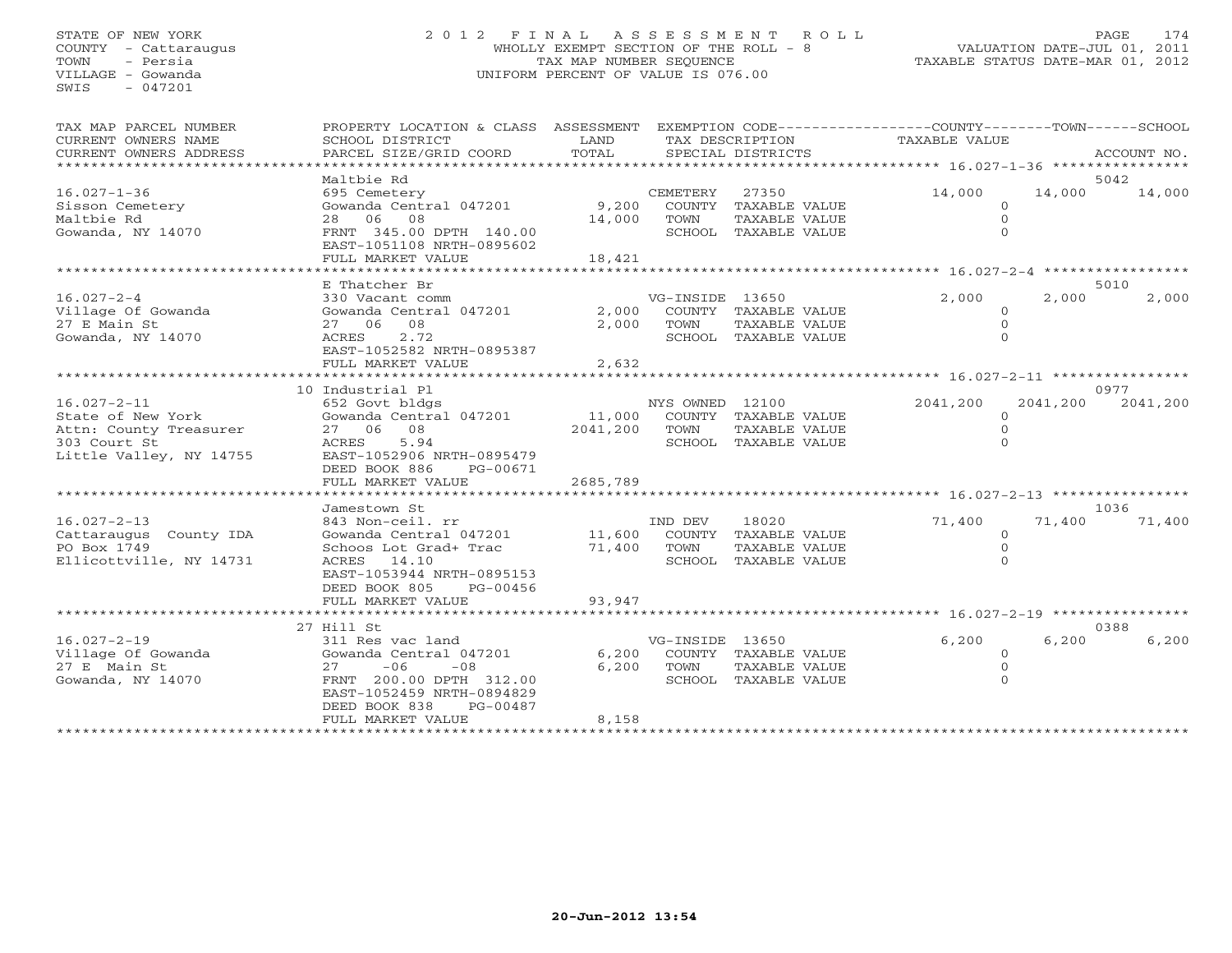## STATE OF NEW YORK 2 0 1 2 F I N A L A S S E S S M E N T R O L L PAGE 174 COUNTY - Cattaraugus WHOLLY EXEMPT SECTION OF THE ROLL - 8 VALUATION DATE-JUL 01, 2011 TOWN - Persia TAX MAP NUMBER SEQUENCE TAXABLE STATUS DATE-MAR 01, 2012 VILLAGE - Gowanda UNIFORM PERCENT OF VALUE IS 076.00UNIFORM PERCENT OF VALUE IS 076.00

| TAX MAP PARCEL NUMBER<br>CURRENT OWNERS NAME<br>CURRENT OWNERS ADDRESS                                      | PROPERTY LOCATION & CLASS ASSESSMENT<br>SCHOOL DISTRICT<br>PARCEL SIZE/GRID COORD                                                                                            | LAND<br>TOTAL                                    |                         | TAX DESCRIPTION<br>SPECIAL DISTRICTS                                   | EXEMPTION CODE-----------------COUNTY-------TOWN------SCHOOL<br>TAXABLE VALUE |          | ACCOUNT NO.    |
|-------------------------------------------------------------------------------------------------------------|------------------------------------------------------------------------------------------------------------------------------------------------------------------------------|--------------------------------------------------|-------------------------|------------------------------------------------------------------------|-------------------------------------------------------------------------------|----------|----------------|
|                                                                                                             |                                                                                                                                                                              |                                                  |                         |                                                                        |                                                                               |          |                |
| $16.027 - 1 - 36$<br>Sisson Cemetery                                                                        | Maltbie Rd<br>695 Cemetery<br>Gowanda Central 047201                                                                                                                         | 9,200                                            | CEMETERY                | 27350<br>COUNTY TAXABLE VALUE                                          | 14,000<br>$\mathbf 0$                                                         | 14,000   | 5042<br>14,000 |
| Maltbie Rd<br>Gowanda, NY 14070                                                                             | 28 06 08<br>FRNT 345.00 DPTH 140.00<br>EAST-1051108 NRTH-0895602                                                                                                             | 14,000                                           | TOWN                    | TAXABLE VALUE<br>SCHOOL TAXABLE VALUE                                  | $\Omega$<br>$\Omega$                                                          |          |                |
|                                                                                                             | FULL MARKET VALUE<br>* * * * * * * * * * * * * * * * *                                                                                                                       | 18,421<br>*********************                  |                         |                                                                        | *********************** 16.027-2-4 *****************                          |          |                |
|                                                                                                             | E Thatcher Br                                                                                                                                                                |                                                  |                         |                                                                        |                                                                               |          | 5010           |
| $16.027 - 2 - 4$<br>Village Of Gowanda<br>27 E Main St<br>Gowanda, NY 14070                                 | 330 Vacant comm<br>Gowanda Central 047201<br>27 06<br>08<br>ACRES<br>2.72                                                                                                    | 2,000<br>2,000                                   | VG-INSIDE 13650<br>TOWN | COUNTY TAXABLE VALUE<br>TAXABLE VALUE<br>SCHOOL TAXABLE VALUE          | 2,000<br>$\Omega$<br>$\Omega$                                                 | 2,000    | 2,000          |
|                                                                                                             | EAST-1052582 NRTH-0895387                                                                                                                                                    |                                                  |                         |                                                                        |                                                                               |          |                |
|                                                                                                             | FULL MARKET VALUE                                                                                                                                                            | 2,632<br>* * * * * * * * * * * * * * * * * * * * |                         |                                                                        | *********************** 16.027-2-11 *****************                         |          |                |
|                                                                                                             | 10 Industrial Pl                                                                                                                                                             |                                                  |                         |                                                                        |                                                                               |          | 0977           |
| $16.027 - 2 - 11$<br>State of New York<br>Attn: County Treasurer<br>303 Court St<br>Little Valley, NY 14755 | 652 Govt bldgs<br>Gowanda Central 047201<br>27 06 08<br>ACRES<br>5.94<br>EAST-1052906 NRTH-0895479                                                                           | 11,000<br>2041,200                               | NYS OWNED 12100<br>TOWN | COUNTY TAXABLE VALUE<br>TAXABLE VALUE<br>SCHOOL TAXABLE VALUE          | 2041,200<br>$\Omega$<br>$\cap$                                                | 2041,200 | 2041,200       |
|                                                                                                             | DEED BOOK 886<br>PG-00671<br>FULL MARKET VALUE                                                                                                                               | 2685,789                                         |                         |                                                                        |                                                                               |          |                |
|                                                                                                             | Jamestown St                                                                                                                                                                 |                                                  |                         |                                                                        |                                                                               |          | 1036           |
| $16.027 - 2 - 13$<br>Cattaraugus County IDA<br>PO Box 1749<br>Ellicottville, NY 14731                       | 843 Non-ceil. rr<br>Gowanda Central 047201<br>Schoos Lot Grad+ Trac<br>ACRES<br>14.10<br>EAST-1053944 NRTH-0895153                                                           | 11,600<br>71,400                                 | IND DEV<br>TOWN         | 18020<br>COUNTY TAXABLE VALUE<br>TAXABLE VALUE<br>SCHOOL TAXABLE VALUE | 71,400<br>$\Omega$<br>$\Omega$<br>$\Omega$                                    | 71,400   | 71,400         |
|                                                                                                             | DEED BOOK 805<br>PG-00456<br>FULL MARKET VALUE                                                                                                                               | 93,947                                           |                         |                                                                        |                                                                               |          |                |
|                                                                                                             |                                                                                                                                                                              |                                                  |                         |                                                                        |                                                                               |          |                |
|                                                                                                             | 27 Hill St                                                                                                                                                                   |                                                  |                         |                                                                        |                                                                               |          | 0388           |
| $16.027 - 2 - 19$<br>Village Of Gowanda<br>27 E Main St<br>Gowanda, NY 14070                                | 311 Res vac land<br>Gowanda Central 047201<br>$-06$<br>$-08$<br>27<br>FRNT 200.00 DPTH 312.00<br>EAST-1052459 NRTH-0894829<br>DEED BOOK 838<br>PG-00487<br>FULL MARKET VALUE | 6,200<br>6,200<br>8,158                          | VG-INSIDE 13650<br>TOWN | COUNTY TAXABLE VALUE<br>TAXABLE VALUE<br>SCHOOL TAXABLE VALUE          | 6,200<br>$\Omega$<br>$\Omega$<br>$\Omega$                                     | 6,200    | 6,200          |
|                                                                                                             | ***********************                                                                                                                                                      |                                                  |                         |                                                                        |                                                                               |          |                |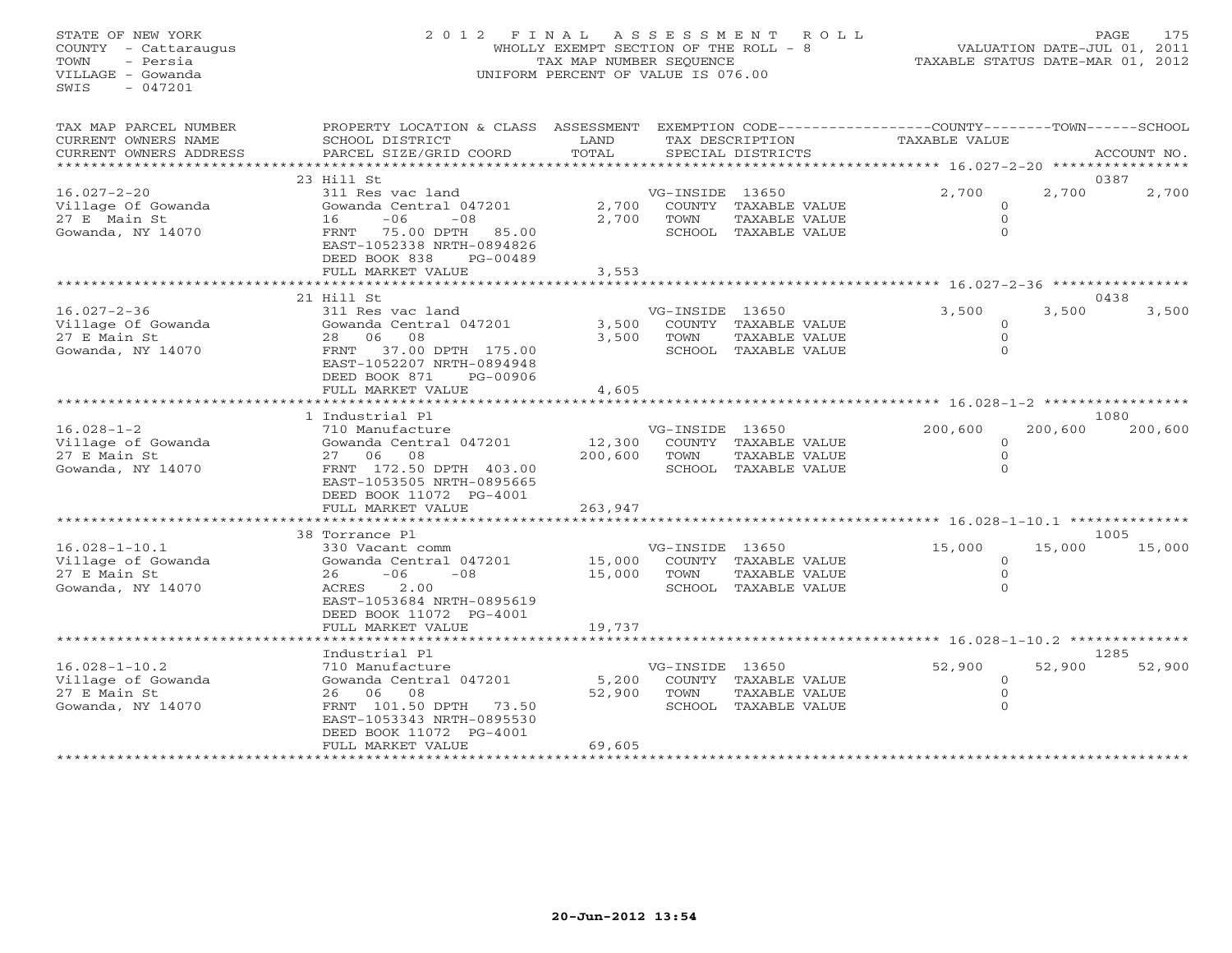## STATE OF NEW YORK 2 0 1 2 F I N A L A S S E S S M E N T R O L L PAGE 175 COUNTY - Cattaraugus WHOLLY EXEMPT SECTION OF THE ROLL - 8 VALUATION DATE-JUL 01, 2011 TOWN - Persia TAX MAP NUMBER SEQUENCE TAXABLE STATUS DATE-MAR 01, 2012 VILLAGE - Gowanda UNIFORM PERCENT OF VALUE IS 076.00UNIFORM PERCENT OF VALUE IS 076.00

| TAX MAP PARCEL NUMBER<br>CURRENT OWNERS NAME                                   | PROPERTY LOCATION & CLASS ASSESSMENT<br>SCHOOL DISTRICT                                                                                                                                              | LAND                       |                         | TAX DESCRIPTION                                               | EXEMPTION CODE-----------------COUNTY-------TOWN------SCHOOL<br>TAXABLE VALUE |         |                |
|--------------------------------------------------------------------------------|------------------------------------------------------------------------------------------------------------------------------------------------------------------------------------------------------|----------------------------|-------------------------|---------------------------------------------------------------|-------------------------------------------------------------------------------|---------|----------------|
| CURRENT OWNERS ADDRESS<br>*************************                            | PARCEL SIZE/GRID COORD                                                                                                                                                                               | TOTAL                      |                         | SPECIAL DISTRICTS                                             |                                                                               |         | ACCOUNT NO.    |
|                                                                                | 23 Hill St                                                                                                                                                                                           |                            |                         |                                                               |                                                                               |         | 0387           |
| $16.027 - 2 - 20$<br>Village Of Gowanda<br>27 E Main St<br>Gowanda, NY 14070   | 311 Res vac land<br>Gowanda Central 047201<br>$-06$<br>$-08$<br>16<br>75.00 DPTH 85.00<br>FRNT<br>EAST-1052338 NRTH-0894826<br>DEED BOOK 838<br>PG-00489<br>FULL MARKET VALUE                        | 2,700<br>2,700<br>3,553    | VG-INSIDE 13650<br>TOWN | COUNTY TAXABLE VALUE<br>TAXABLE VALUE<br>SCHOOL TAXABLE VALUE | 2,700<br>$\Omega$<br>$\Omega$<br>$\Omega$                                     | 2,700   | 2,700          |
|                                                                                | ********************************                                                                                                                                                                     |                            |                         |                                                               |                                                                               |         |                |
| $16.027 - 2 - 36$<br>Village Of Gowanda<br>27 E Main St<br>Gowanda, NY 14070   | 21 Hill St<br>311 Res vac land<br>Gowanda Central 047201<br>28 06<br>08<br>37.00 DPTH 175.00<br>FRNT<br>EAST-1052207 NRTH-0894948<br>DEED BOOK 871<br>PG-00906                                       | 3,500<br>3,500             | VG-INSIDE 13650<br>TOWN | COUNTY TAXABLE VALUE<br>TAXABLE VALUE<br>SCHOOL TAXABLE VALUE | 3,500<br>$\Omega$<br>$\Omega$<br>$\Omega$                                     | 3,500   | 0438<br>3,500  |
|                                                                                | FULL MARKET VALUE                                                                                                                                                                                    | 4,605                      |                         |                                                               |                                                                               |         |                |
|                                                                                |                                                                                                                                                                                                      |                            |                         |                                                               |                                                                               |         |                |
|                                                                                | 1 Industrial Pl                                                                                                                                                                                      |                            |                         |                                                               |                                                                               |         | 1080           |
| $16.028 - 1 - 2$<br>Village of Gowanda<br>27 E Main St<br>Gowanda, NY 14070    | 710 Manufacture<br>Gowanda Central 047201<br>27 06<br>08<br>FRNT 172.50 DPTH 403.00<br>EAST-1053505 NRTH-0895665<br>DEED BOOK 11072 PG-4001                                                          | 12,300<br>200,600          | VG-INSIDE 13650<br>TOWN | COUNTY TAXABLE VALUE<br>TAXABLE VALUE<br>SCHOOL TAXABLE VALUE | 200,600<br>$\Omega$<br>$\Omega$                                               | 200,600 | 200,600        |
|                                                                                | FULL MARKET VALUE                                                                                                                                                                                    | 263,947                    |                         |                                                               |                                                                               |         |                |
|                                                                                |                                                                                                                                                                                                      |                            |                         |                                                               |                                                                               |         |                |
| $16.028 - 1 - 10.1$<br>Village of Gowanda<br>27 E Main St<br>Gowanda, NY 14070 | 38 Torrance Pl<br>330 Vacant comm<br>Gowanda Central 047201<br>$-08$<br>$-06$<br>26<br>2.00<br>ACRES<br>EAST-1053684 NRTH-0895619<br>DEED BOOK 11072 PG-4001<br>FULL MARKET VALUE                    | 15,000<br>15,000<br>19,737 | VG-INSIDE 13650<br>TOWN | COUNTY TAXABLE VALUE<br>TAXABLE VALUE<br>SCHOOL TAXABLE VALUE | 15,000<br>$\Omega$<br>$\circ$<br>$\cap$                                       | 15,000  | 1005<br>15,000 |
|                                                                                |                                                                                                                                                                                                      |                            |                         |                                                               |                                                                               |         |                |
| $16.028 - 1 - 10.2$<br>Village of Gowanda<br>27 E Main St<br>Gowanda, NY 14070 | Industrial Pl<br>710 Manufacture<br>Gowanda Central 047201<br>26 06 08<br>FRNT 101.50 DPTH 73.50<br>EAST-1053343 NRTH-0895530<br>DEED BOOK 11072 PG-4001<br>FULL MARKET VALUE<br>******************* | 5,200<br>52,900<br>69,605  | VG-INSIDE 13650<br>TOWN | COUNTY TAXABLE VALUE<br>TAXABLE VALUE<br>SCHOOL TAXABLE VALUE | 52,900<br>$\circ$<br>$\Omega$<br>$\Omega$                                     | 52,900  | 1285<br>52,900 |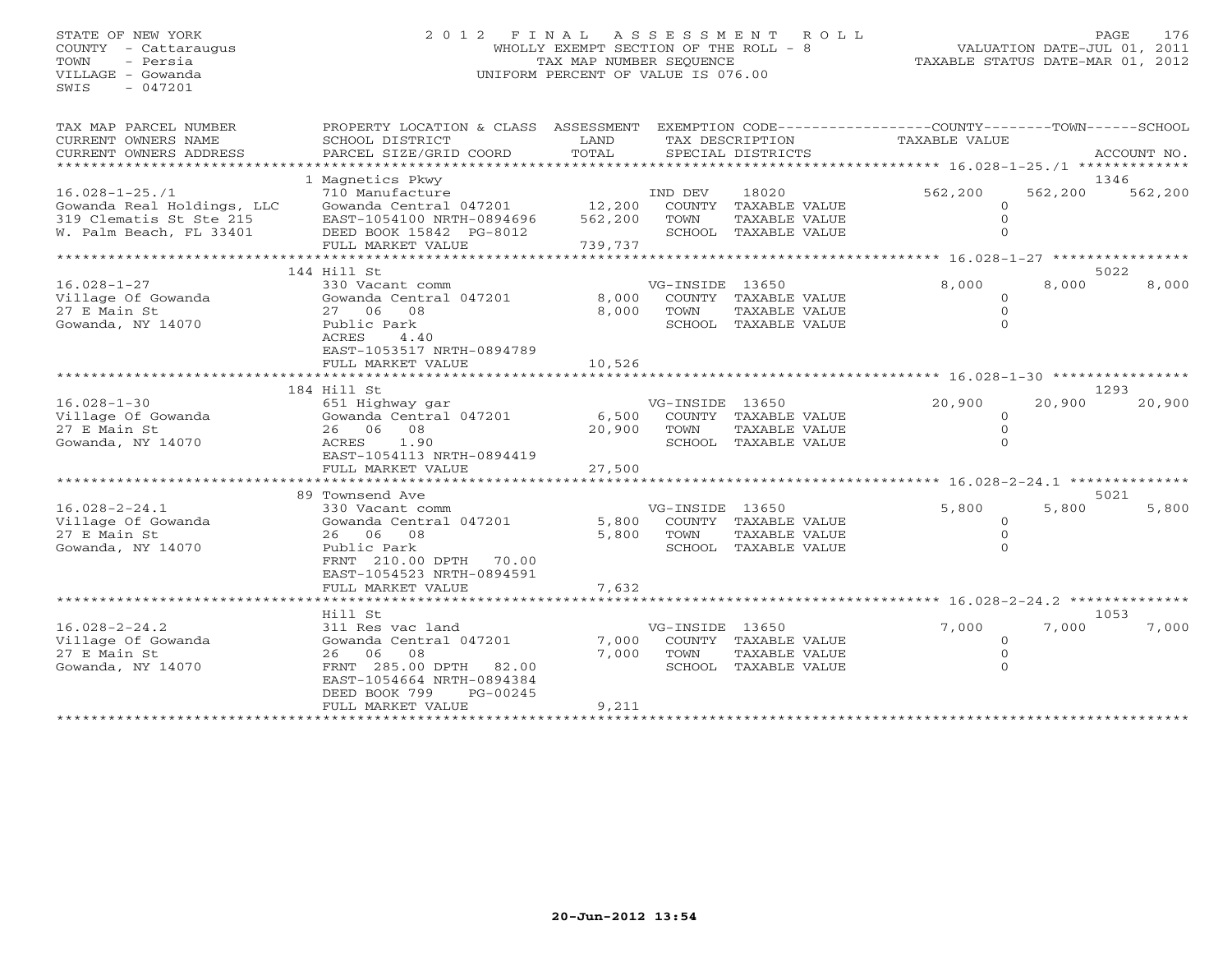## STATE OF NEW YORK 2 0 1 2 F I N A L A S S E S S M E N T R O L L PAGE 176 COUNTY - Cattaraugus WHOLLY EXEMPT SECTION OF THE ROLL - 8 VALUATION DATE-JUL 01, 2011 TOWN - Persia TAX MAP NUMBER SEQUENCE TAXABLE STATUS DATE-MAR 01, 2012 VILLAGE - Gowanda UNIFORM PERCENT OF VALUE IS 076.00UNIFORM PERCENT OF VALUE IS 076.00

| TAX MAP PARCEL NUMBER<br>CURRENT OWNERS NAME<br>CURRENT OWNERS ADDRESS                                   | PROPERTY LOCATION & CLASS ASSESSMENT EXEMPTION CODE---------------COUNTY-------TOWN------SCHOOL<br>SCHOOL DISTRICT<br>PARCEL SIZE/GRID COORD<br>********************* | LAND<br>TOTAL<br>******************     |                                   | TAX DESCRIPTION<br>SPECIAL DISTRICTS                            | TAXABLE VALUE<br>*********** 16.028-1-25./1 *************        |                                                | ACCOUNT NO.     |
|----------------------------------------------------------------------------------------------------------|-----------------------------------------------------------------------------------------------------------------------------------------------------------------------|-----------------------------------------|-----------------------------------|-----------------------------------------------------------------|------------------------------------------------------------------|------------------------------------------------|-----------------|
| $16.028 - 1 - 25.71$<br>Gowanda Real Holdings, LLC<br>319 Clematis St Ste 215<br>W. Palm Beach, FL 33401 | 1 Magnetics Pkwy<br>710 Manufacture<br>Gowanda Central 047201<br>EAST-1054100 NRTH-0894696<br>DEED BOOK 15842 PG-8012<br>FULL MARKET VALUE                            | 12,200<br>562,200<br>739,737            | IND DEV<br>COUNTY<br>TOWN         | 18020<br>TAXABLE VALUE<br>TAXABLE VALUE<br>SCHOOL TAXABLE VALUE | 562,200                                                          | 562,200<br>$\Omega$<br>$\Omega$                | 1346<br>562,200 |
|                                                                                                          | 144 Hill St                                                                                                                                                           | *****************                       |                                   |                                                                 | *********** 16.028-1-27 **************                           |                                                | 5022            |
| $16.028 - 1 - 27$<br>Village Of Gowanda<br>27 E Main St<br>Gowanda, NY 14070                             | 330 Vacant comm<br>Gowanda Central 047201<br>27 06 08<br>Public Park<br>ACRES<br>4.40<br>EAST-1053517 NRTH-0894789<br>FULL MARKET VALUE                               | 8,000<br>8,000<br>10,526                | VG-INSIDE 13650<br>TOWN           | COUNTY TAXABLE VALUE<br>TAXABLE VALUE<br>SCHOOL TAXABLE VALUE   | 8,000                                                            | 8,000<br>$\Omega$<br>$\Omega$<br>$\Omega$      | 8,000           |
|                                                                                                          |                                                                                                                                                                       |                                         |                                   |                                                                 | ********************************** 16.028-1-30 ***************** |                                                |                 |
| $16.028 - 1 - 30$<br>Village Of Gowanda<br>27 E Main St<br>Gowanda, NY 14070                             | 184 Hill St<br>651 Highway gar<br>Gowanda Central 047201<br>26 06 08<br>1.90<br>ACRES<br>EAST-1054113 NRTH-0894419<br>FULL MARKET VALUE<br>*******************        | 6,500<br>20,900<br>27,500<br>********** | VG-INSIDE 13650<br>COUNTY<br>TOWN | TAXABLE VALUE<br>TAXABLE VALUE<br>SCHOOL TAXABLE VALUE          | 20,900<br>********** 16.028-2-24.1 **************                | 20,900<br>$\Omega$<br>$\mathbf{0}$<br>$\Omega$ | 1293<br>20,900  |
|                                                                                                          | 89 Townsend Ave                                                                                                                                                       |                                         |                                   |                                                                 |                                                                  |                                                | 5021            |
| $16.028 - 2 - 24.1$<br>Village Of Gowanda<br>27 E Main St<br>Gowanda, NY 14070                           | 330 Vacant comm<br>Gowanda Central 047201<br>26 06 08<br>Public Park<br>FRNT 210.00 DPTH 70.00<br>EAST-1054523 NRTH-0894591                                           | 5,800<br>5,800                          | VG-INSIDE 13650<br>TOWN           | COUNTY TAXABLE VALUE<br>TAXABLE VALUE<br>SCHOOL TAXABLE VALUE   | 5,800                                                            | 5,800<br>$\circ$                               | 5,800           |
|                                                                                                          | FULL MARKET VALUE                                                                                                                                                     | 7,632                                   |                                   |                                                                 |                                                                  |                                                |                 |
| $16.028 - 2 - 24.2$<br>Village Of Gowanda<br>27 E Main St<br>Gowanda, NY 14070                           | Hill St<br>311 Res vac land<br>Gowanda Central 047201<br>26 06<br>08<br>FRNT 285.00 DPTH 82.00<br>EAST-1054664 NRTH-0894384<br>DEED BOOK 799<br>PG-00245              | 7,000<br>7,000                          | VG-INSIDE 13650<br>TOWN           | COUNTY TAXABLE VALUE<br>TAXABLE VALUE<br>SCHOOL TAXABLE VALUE   | 7,000                                                            | 7,000<br>$\Omega$<br>$\Omega$<br>$\Omega$      | 1053<br>7,000   |
|                                                                                                          | FULL MARKET VALUE                                                                                                                                                     | 9,211                                   |                                   |                                                                 |                                                                  |                                                |                 |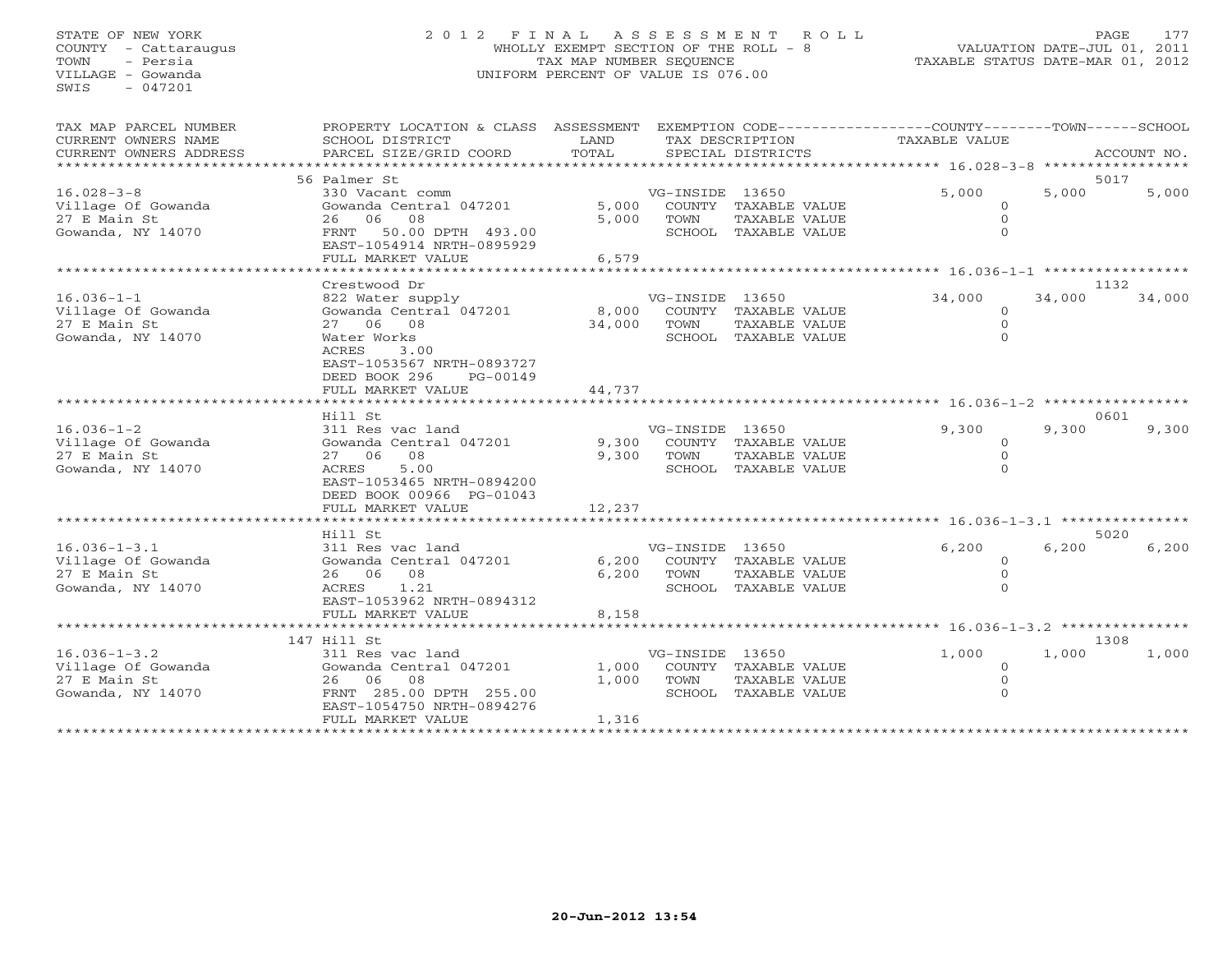## STATE OF NEW YORK 2 0 1 2 F I N A L A S S E S S M E N T R O L L PAGE 177 COUNTY - Cattaraugus WHOLLY EXEMPT SECTION OF THE ROLL - 8 VALUATION DATE-JUL 01, 2011 TOWN - Persia TAX MAP NUMBER SEQUENCE TAXABLE STATUS DATE-MAR 01, 2012 VILLAGE - Gowanda UNIFORM PERCENT OF VALUE IS 076.00UNIFORM PERCENT OF VALUE IS 076.00

| TAX MAP PARCEL NUMBER              | PROPERTY LOCATION & CLASS ASSESSMENT EXEMPTION CODE---------------COUNTY-------TOWN------SCHOOL |            |                 |                                       |                                                        |        |             |
|------------------------------------|-------------------------------------------------------------------------------------------------|------------|-----------------|---------------------------------------|--------------------------------------------------------|--------|-------------|
| CURRENT OWNERS NAME                | SCHOOL DISTRICT                                                                                 | LAND       |                 | TAX DESCRIPTION                       | TAXABLE VALUE                                          |        |             |
| CURRENT OWNERS ADDRESS             | PARCEL SIZE/GRID COORD                                                                          | TOTAL      |                 | SPECIAL DISTRICTS                     |                                                        |        | ACCOUNT NO. |
| **************************         |                                                                                                 |            |                 |                                       |                                                        |        |             |
|                                    | 56 Palmer St                                                                                    |            |                 |                                       |                                                        |        | 5017        |
| $16.028 - 3 - 8$                   | 330 Vacant comm                                                                                 |            | VG-INSIDE 13650 |                                       | 5,000                                                  | 5,000  | 5,000       |
| Village Of Gowanda                 | Gowanda Central 047201                                                                          | 5,000      |                 | COUNTY TAXABLE VALUE                  | $\Omega$                                               |        |             |
| 27 E Main St                       | 26 06 08                                                                                        | 5,000      | TOWN            | TAXABLE VALUE                         | $\circ$                                                |        |             |
| Gowanda, NY 14070                  | FRNT 50.00 DPTH 493.00                                                                          |            |                 | SCHOOL TAXABLE VALUE                  |                                                        |        |             |
|                                    | EAST-1054914 NRTH-0895929                                                                       |            |                 |                                       |                                                        |        |             |
|                                    | FULL MARKET VALUE                                                                               | 6,579      |                 |                                       |                                                        |        |             |
|                                    | Crestwood Dr                                                                                    |            |                 |                                       |                                                        |        | 1132        |
| $16.036 - 1 - 1$                   | 822 Water supply                                                                                |            | VG-INSIDE 13650 |                                       | 34,000                                                 | 34,000 | 34,000      |
| Village Of Gowanda                 | Gowanda Central 047201                                                                          | 8,000      |                 | COUNTY TAXABLE VALUE                  | $\circ$                                                |        |             |
| 27 E Main St                       | 2.7 0.6 0.8                                                                                     | 34,000     | TOWN            | TAXABLE VALUE                         | $\Omega$                                               |        |             |
| Gowanda, NY 14070                  | Water Works                                                                                     |            |                 | SCHOOL TAXABLE VALUE                  | $\Omega$                                               |        |             |
|                                    | ACRES<br>3.00                                                                                   |            |                 |                                       |                                                        |        |             |
|                                    | EAST-1053567 NRTH-0893727                                                                       |            |                 |                                       |                                                        |        |             |
|                                    | DEED BOOK 296<br>PG-00149                                                                       |            |                 |                                       |                                                        |        |             |
|                                    | FULL MARKET VALUE                                                                               | 44,737     |                 |                                       |                                                        |        |             |
|                                    | ***************************                                                                     |            |                 |                                       |                                                        |        |             |
|                                    | Hill St                                                                                         |            |                 |                                       |                                                        |        | 0601        |
| $16.036 - 1 - 2$                   | 311 Res vac land                                                                                |            | VG-INSIDE 13650 |                                       | 9,300                                                  | 9,300  | 9,300       |
| Village Of Gowanda                 | Gowanda Central 047201                                                                          |            |                 | 9,300 COUNTY TAXABLE VALUE            | $\circ$                                                |        |             |
| 27 E Main St                       | 27 06 08                                                                                        | 9,300      | TOWN            | TAXABLE VALUE                         | $\circ$                                                |        |             |
| Gowanda, NY 14070                  | ACRES<br>5.00                                                                                   |            |                 | SCHOOL TAXABLE VALUE                  | $\Omega$                                               |        |             |
|                                    | EAST-1053465 NRTH-0894200                                                                       |            |                 |                                       |                                                        |        |             |
|                                    | DEED BOOK 00966 PG-01043                                                                        |            |                 |                                       |                                                        |        |             |
|                                    | FULL MARKET VALUE                                                                               | 12,237     |                 |                                       |                                                        |        |             |
|                                    |                                                                                                 |            |                 |                                       |                                                        |        |             |
|                                    | Hill St                                                                                         |            |                 |                                       |                                                        |        | 5020        |
| $16.036 - 1 - 3.1$                 | 311 Res vac land                                                                                |            | VG-INSIDE 13650 | COUNTY TAXABLE VALUE                  | 6,200                                                  | 6,200  | 6,200       |
| Village Of Gowanda<br>27 E Main St | Gowanda Central 047201<br>26 06 08                                                              | 6,200      |                 |                                       | $\circ$<br>$\circ$                                     |        |             |
| Gowanda, NY 14070                  | ACRES 1.21                                                                                      | 6,200      | TOWN            | TAXABLE VALUE<br>SCHOOL TAXABLE VALUE |                                                        |        |             |
|                                    | EAST-1053962 NRTH-0894312                                                                       |            |                 |                                       |                                                        |        |             |
|                                    | FULL MARKET VALUE                                                                               | 8,158      |                 |                                       |                                                        |        |             |
|                                    | ***********************                                                                         | ********** |                 |                                       | ************************ 16.036-1-3.2 **************** |        |             |
|                                    | 147 Hill St                                                                                     |            |                 |                                       |                                                        |        | 1308        |
| $16.036 - 1 - 3.2$                 | 311 Res vac land                                                                                |            | VG-INSIDE 13650 |                                       | 1,000                                                  | 1,000  | 1,000       |
| Village Of Gowanda                 | Gowanda Central 047201                                                                          | 1,000      |                 | COUNTY TAXABLE VALUE                  | $\circ$                                                |        |             |
| 27 E Main St                       | 26 06 08                                                                                        | 1,000      | TOWN            | TAXABLE VALUE                         | $\mathbf{0}$                                           |        |             |
| Gowanda, NY 14070                  | FRNT 285.00 DPTH 255.00                                                                         |            |                 | SCHOOL TAXABLE VALUE                  | $\Omega$                                               |        |             |
|                                    | EAST-1054750 NRTH-0894276                                                                       |            |                 |                                       |                                                        |        |             |
|                                    | FULL MARKET VALUE                                                                               | 1,316      |                 |                                       |                                                        |        |             |
|                                    |                                                                                                 |            |                 |                                       |                                                        |        |             |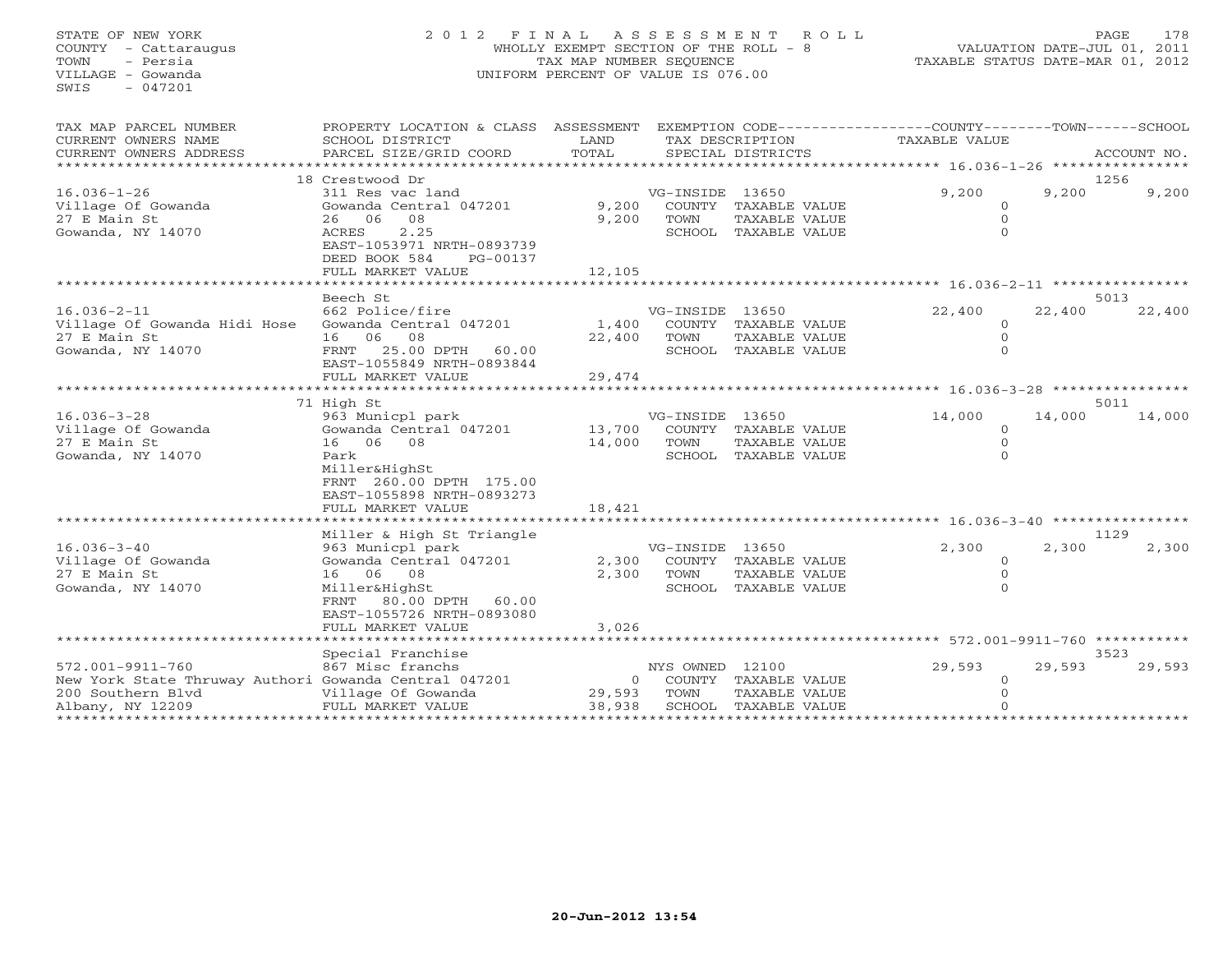STATE OF NEW YORK 2 0 1 2 F I N A L A S S E S S M E N T R O L L PAGE 178 COUNTY - Cattaraugus WHOLLY EXEMPT SECTION OF THE ROLL - 8 VALUATION DATE-JUL 01, 2011 TOWN - Persia TAX MAP NUMBER SEQUENCE TAXABLE STATUS DATE-MAR 01, 2012 VILLAGE - Gowanda UNIFORM PERCENT OF VALUE IS 076.00  $SWTS = 047201$ TAX MAP PARCEL NUMBER PROPERTY LOCATION & CLASS ASSESSMENT EXEMPTION CODE-----------------COUNTY-------TOWN------SCHOOL<br>CURRENT OWNERS NAME SCHOOL DISTRICT LAND TAX DESC \*\*\*\*\*\*\*\*\*\*\*\*\*\*\*\*\*\*\*\*\*\*\*\*\*\*\*\*\*\*\*\*\*\*\*\*\*\*\*\*\*\*\*\*\*\*\*\*\*\*\*\*\*\*\*\*\*\*\*\*\*\*\*\*\*\*\*\*\*\*\*\*\*\*\*\*\*\*\*\*\*\*\*\*\*\*\*\*\*\*\*\*\*\*\*\*\*\*\*\*\*\*\* 16.036-1-26 \*\*\*\*\*\*\*\*\*\*\*\*\*\*\*\* 18 Crestwood Dr 1256 $9,200$   $9,200$ 16.036-1-26 311 Res vac land VG-INSIDE 13650 9,200 9,200 9,200 Village Of Gowanda Gowanda Central 047201 9,200 COUNTY TAXABLE VALUE 0 27 E Main St 26 06 08 9,200 TOWN TAXABLE VALUE 0 Gowanda, NY 14070 ACRES 2.25 SCHOOL TAXABLE VALUE 0 EAST-1053971 NRTH-0893739EAST-1053971 NRTH-0893739 DEED BOOK 584 PG-00137FULL MARKET VALUE 12,105 \*\*\*\*\*\*\*\*\*\*\*\*\*\*\*\*\*\*\*\*\*\*\*\*\*\*\*\*\*\*\*\*\*\*\*\*\*\*\*\*\*\*\*\*\*\*\*\*\*\*\*\*\*\*\*\*\*\*\*\*\*\*\*\*\*\*\*\*\*\*\*\*\*\*\*\*\*\*\*\*\*\*\*\*\*\*\*\*\*\*\*\*\*\*\*\*\*\*\*\*\*\*\* 16.036-2-11 \*\*\*\*\*\*\*\*\*\*\*\*\*\*\*\*Beech St<br>Beech St (16.036-2-11 for Seech St of Seech St of State of Gowanda Hidi Hose Gowanda Central 047201 for Seech St of State of Gowanda Hidi Hose Gowanda Central 047201 for Seeding and State of Gowanda Hidi Hose Gowa 22,400 22,400 16.036-2-11 662 Police/fire VG-INSIDE 13650 22,400 22,400 22,400 Village Of Gowanda Hidi Hose Gowanda Central 047201 1,400 COUNTY TAXABLE VALUE 0 27 E Main St 16 06 08 22,400 TOWN TAXABLE VALUE 0 Gowanda, NY 14070 FRNT 25.00 DPTH 60.00 SCHOOL TAXABLE VALUE 0 EAST-1055849 NRTH-0893844 FULL MARKET VALUE 29,474 \*\*\*\*\*\*\*\*\*\*\*\*\*\*\*\*\*\*\*\*\*\*\*\*\*\*\*\*\*\*\*\*\*\*\*\*\*\*\*\*\*\*\*\*\*\*\*\*\*\*\*\*\*\*\*\*\*\*\*\*\*\*\*\*\*\*\*\*\*\*\*\*\*\*\*\*\*\*\*\*\*\*\*\*\*\*\*\*\*\*\*\*\*\*\*\*\*\*\*\*\*\*\* 16.036-3-28 \*\*\*\*\*\*\*\*\*\*\*\*\*\*\*\* $71$  High St  $5011$ 16.036-3-28 963 Municpl park VG-INSIDE 13650 14,000 14,000 14,000 Village Of Gowanda Gowanda Central 047201 13,700 COUNTY TAXABLE VALUE 0 27 E Main St 16 06 08 14,000 TOWN TAXABLE VALUE 0 Gowanda, NY 14070 Park SCHOOL TAXABLE VALUE 0 Miller&HighSt FRNT 260.00 DPTH 175.00 EAST-1055898 NRTH-0893273FULL MARKET VALUE FULL MARKET VALUE 18,421 \*\*\*\*\*\*\*\*\*\*\*\*\*\*\*\*\*\*\*\*\*\*\*\*\*\*\*\*\*\*\*\*\*\*\*\*\*\*\*\*\*\*\*\*\*\*\*\*\*\*\*\*\*\*\*\*\*\*\*\*\*\*\*\*\*\*\*\*\*\*\*\*\*\*\*\*\*\*\*\*\*\*\*\*\*\*\*\*\*\*\*\*\*\*\*\*\*\*\*\*\*\*\* 16.036-3-40 \*\*\*\*\*\*\*\*\*\*\*\*\*\*\*\* Miller & High St Triangle 1129 16.036-3-40 963 Municpl park VG-INSIDE 13650 2,300 2,300 2,300 Village Of Gowanda Gowanda Central 047201 2,300 COUNTY TAXABLE VALUE 0 27 E Main St 16 06 08 2,300 TOWN TAXABLE VALUE 0 Gowanda, NY 14070 Miller&HighSt SCHOOL TAXABLE VALUE 0 FRNT 80.00 DPTH 60.00 EAST-1055726 NRTH-0893080FULL MARKET VALUE 3,026 \*\*\*\*\*\*\*\*\*\*\*\*\*\*\*\*\*\*\*\*\*\*\*\*\*\*\*\*\*\*\*\*\*\*\*\*\*\*\*\*\*\*\*\*\*\*\*\*\*\*\*\*\*\*\*\*\*\*\*\*\*\*\*\*\*\*\*\*\*\*\*\*\*\*\*\*\*\*\*\*\*\*\*\*\*\*\*\*\*\*\*\*\*\*\*\*\*\*\*\*\*\*\* 572.001-9911-760 \*\*\*\*\*\*\*\*\*\*\* Special Franchise 3523 572.001-9911-760 867 Misc franchs NYS OWNED 12100 29,593 29,593 29,593 New York State Thruway Authori Gowanda Central 047201 0 COUNTY TAXABLE VALUE 0 200 Southern Blvd Village Of Gowanda 29,593 TOWN TAXABLE VALUE 0 Albany, NY 12209 FULL MARKET VALUE 38,938 SCHOOL TAXABLE VALUE 0

\*\*\*\*\*\*\*\*\*\*\*\*\*\*\*\*\*\*\*\*\*\*\*\*\*\*\*\*\*\*\*\*\*\*\*\*\*\*\*\*\*\*\*\*\*\*\*\*\*\*\*\*\*\*\*\*\*\*\*\*\*\*\*\*\*\*\*\*\*\*\*\*\*\*\*\*\*\*\*\*\*\*\*\*\*\*\*\*\*\*\*\*\*\*\*\*\*\*\*\*\*\*\*\*\*\*\*\*\*\*\*\*\*\*\*\*\*\*\*\*\*\*\*\*\*\*\*\*\*\*\*\*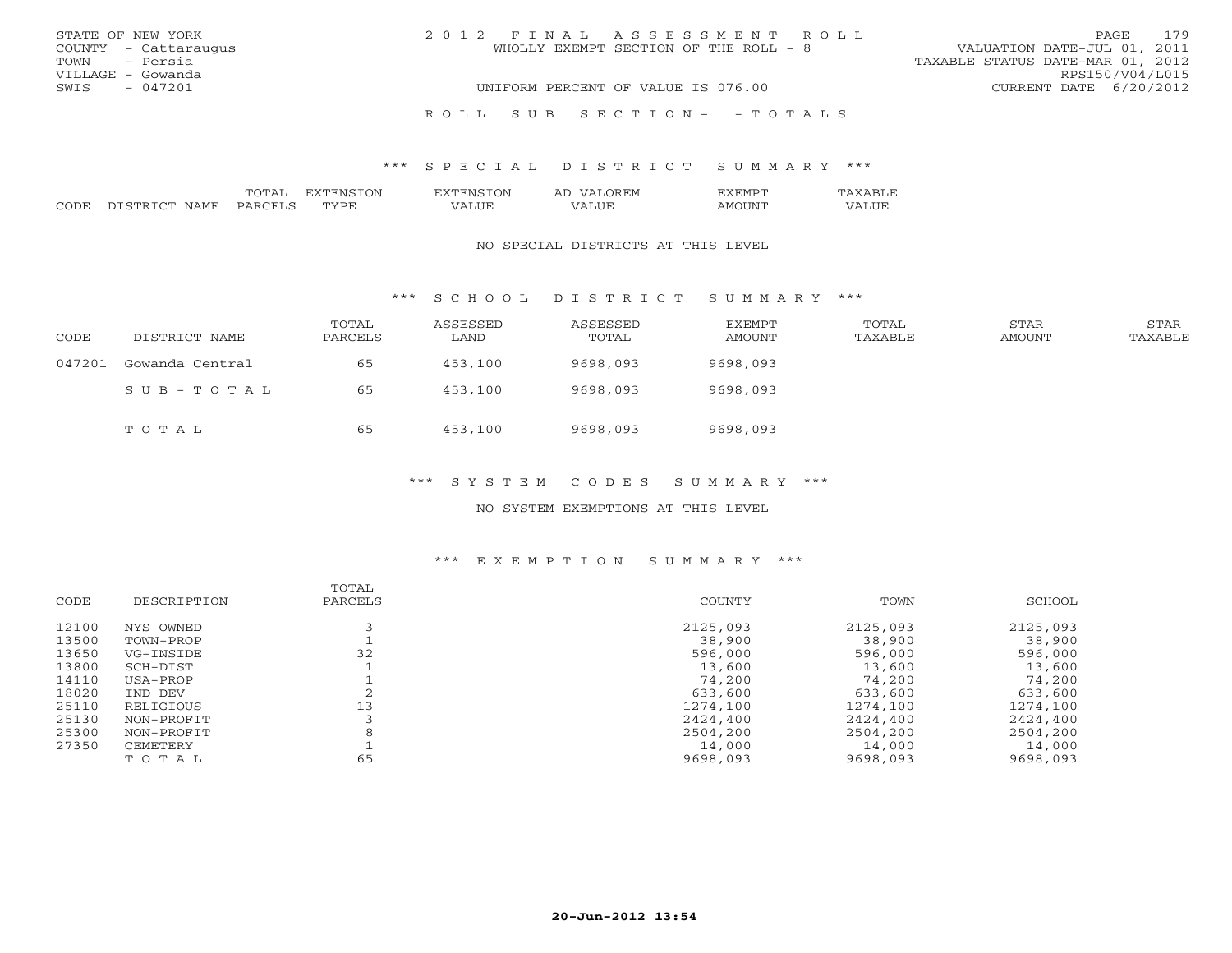| STATE OF NEW YORK    | 2012 FINAL ASSESSMENT ROLL            | PAGE 179                         |
|----------------------|---------------------------------------|----------------------------------|
| COUNTY - Cattaraugus | WHOLLY EXEMPT SECTION OF THE ROLL - 8 | VALUATION DATE-JUL 01, 2011      |
| TOWN - Persia        |                                       | TAXABLE STATUS DATE-MAR 01, 2012 |
| VILLAGE - Gowanda    |                                       | RPS150/V04/L015                  |
| SWIS<br>$-047201$    | UNIFORM PERCENT OF VALUE IS 076.00    | CURRENT DATE 6/20/2012           |
|                      | ROLL SUB SECTION- - TOTALS            |                                  |

|      |                             | ()N<br>N | VIV.                         | ، جرد<br>$\sqrt{ }$<br>: M<br>- 11 | .M    |                          |
|------|-----------------------------|----------|------------------------------|------------------------------------|-------|--------------------------|
| CODE | ᄭᅀᇄ<br><b>ALL</b><br>. וחדר | TVDF     | $- - -$<br>. . н<br>$\cdots$ | $- - -$                            | ואו ב | .<br>$- - -$<br>7 ∆<br>. |

#### NO SPECIAL DISTRICTS AT THIS LEVEL

\*\*\* S C H O O L D I S T R I C T S U M M A R Y \*\*\*

| CODE   | DISTRICT NAME   | TOTAL<br>PARCELS | ASSESSED<br>LAND | ASSESSED<br>TOTAL | <b>EXEMPT</b><br>AMOUNT | TOTAL<br>TAXABLE | STAR<br>AMOUNT | STAR<br>TAXABLE |
|--------|-----------------|------------------|------------------|-------------------|-------------------------|------------------|----------------|-----------------|
| 047201 | Gowanda Central | 65               | 453,100          | 9698,093          | 9698,093                |                  |                |                 |
|        | SUB-TOTAL       | 65               | 453,100          | 9698,093          | 9698,093                |                  |                |                 |
|        | TOTAL           | 65               | 453,100          | 9698,093          | 9698,093                |                  |                |                 |

### \*\*\* S Y S T E M C O D E S S U M M A R Y \*\*\*

NO SYSTEM EXEMPTIONS AT THIS LEVEL

## \*\*\* E X E M P T I O N S U M M A R Y \*\*\*

|       |             | TOTAL   |          |          |          |
|-------|-------------|---------|----------|----------|----------|
| CODE  | DESCRIPTION | PARCELS | COUNTY   | TOWN     | SCHOOL   |
|       |             |         |          |          |          |
| 12100 | NYS OWNED   |         | 2125,093 | 2125,093 | 2125,093 |
| 13500 | TOWN-PROP   |         | 38,900   | 38,900   | 38,900   |
| 13650 | VG-INSIDE   | 32      | 596,000  | 596,000  | 596,000  |
| 13800 | SCH-DIST    |         | 13,600   | 13,600   | 13,600   |
| 14110 | USA-PROP    |         | 74,200   | 74,200   | 74,200   |
| 18020 | IND DEV     |         | 633,600  | 633,600  | 633,600  |
| 25110 | RELIGIOUS   | 13      | 1274,100 | 1274,100 | 1274,100 |
| 25130 | NON-PROFIT  |         | 2424,400 | 2424,400 | 2424,400 |
| 25300 | NON-PROFIT  | 8       | 2504,200 | 2504,200 | 2504,200 |
| 27350 | CEMETERY    |         | 14,000   | 14,000   | 14,000   |
|       | TOTAL       | 65      | 9698,093 | 9698,093 | 9698,093 |
|       |             |         |          |          |          |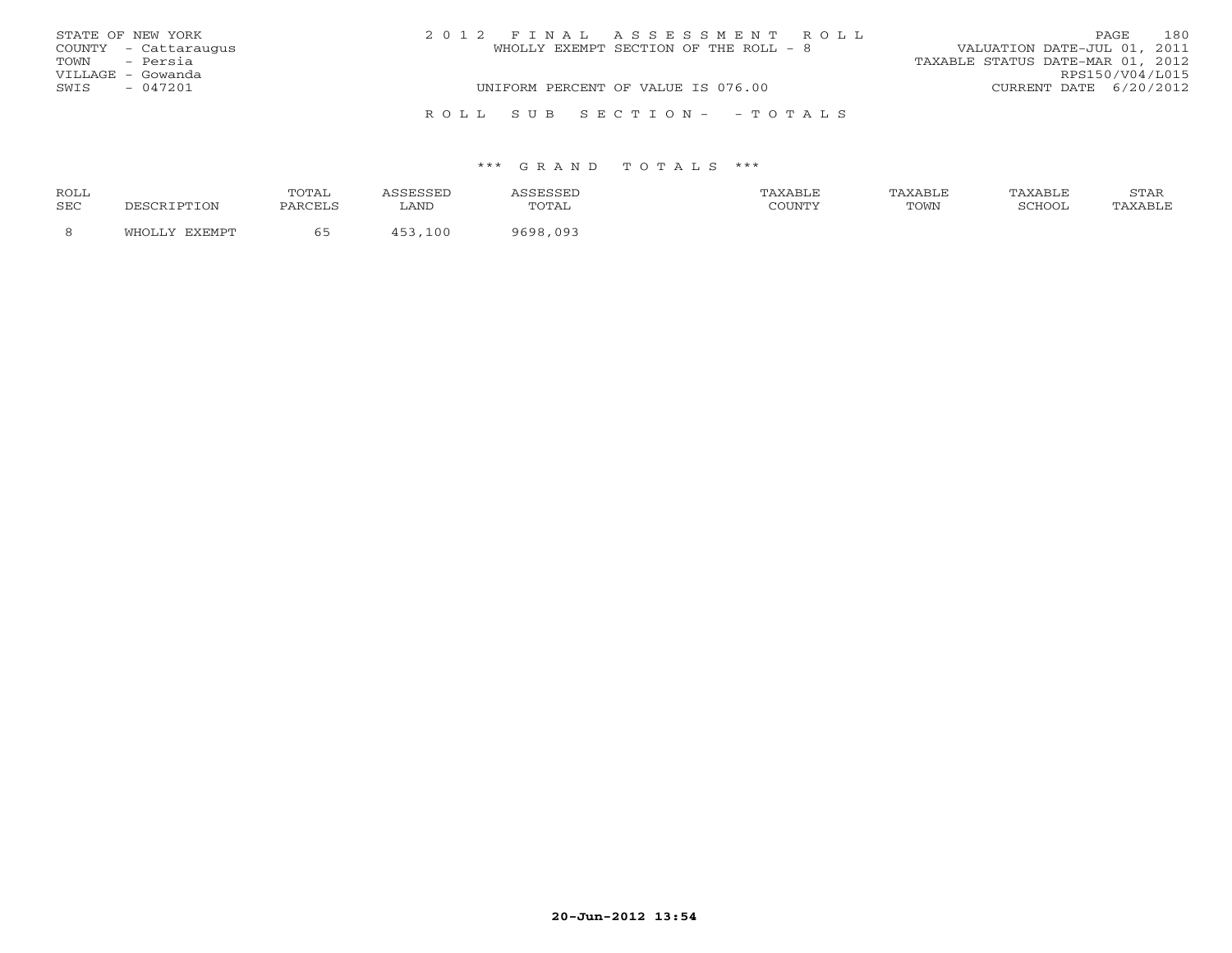|      | STATE OF NEW YORK    | 2012 FINAL ASSESSMENT ROLL            | 180<br>PAGE                      |
|------|----------------------|---------------------------------------|----------------------------------|
|      | COUNTY - Cattaraugus | WHOLLY EXEMPT SECTION OF THE ROLL - 8 | VALUATION DATE-JUL 01, 2011      |
|      | TOWN - Persia        |                                       | TAXABLE STATUS DATE-MAR 01, 2012 |
|      | VILLAGE - Gowanda    |                                       | RPS150/V04/L015                  |
| SWIS | - 047201             | UNIFORM PERCENT OF VALUE IS 076.00    | CURRENT DATE 6/20/2012           |
|      |                      |                                       |                                  |
|      |                      | ROLL SUB SECTION- - TOTALS            |                                  |

| <b>ROLL</b> |        | TOTAL     |      | ,,,,,,,,,,,,,            | TAXABLF |      | TAXABLE | $cm\pi$<br>بمدعدت |
|-------------|--------|-----------|------|--------------------------|---------|------|---------|-------------------|
| SEC         |        | DA DO FIC | LAND | $\Delta$<br><u> CIII</u> | COUNTY  | TOWN | SCHOOL  |                   |
|             | $\sim$ |           | . വ  |                          |         |      |         |                   |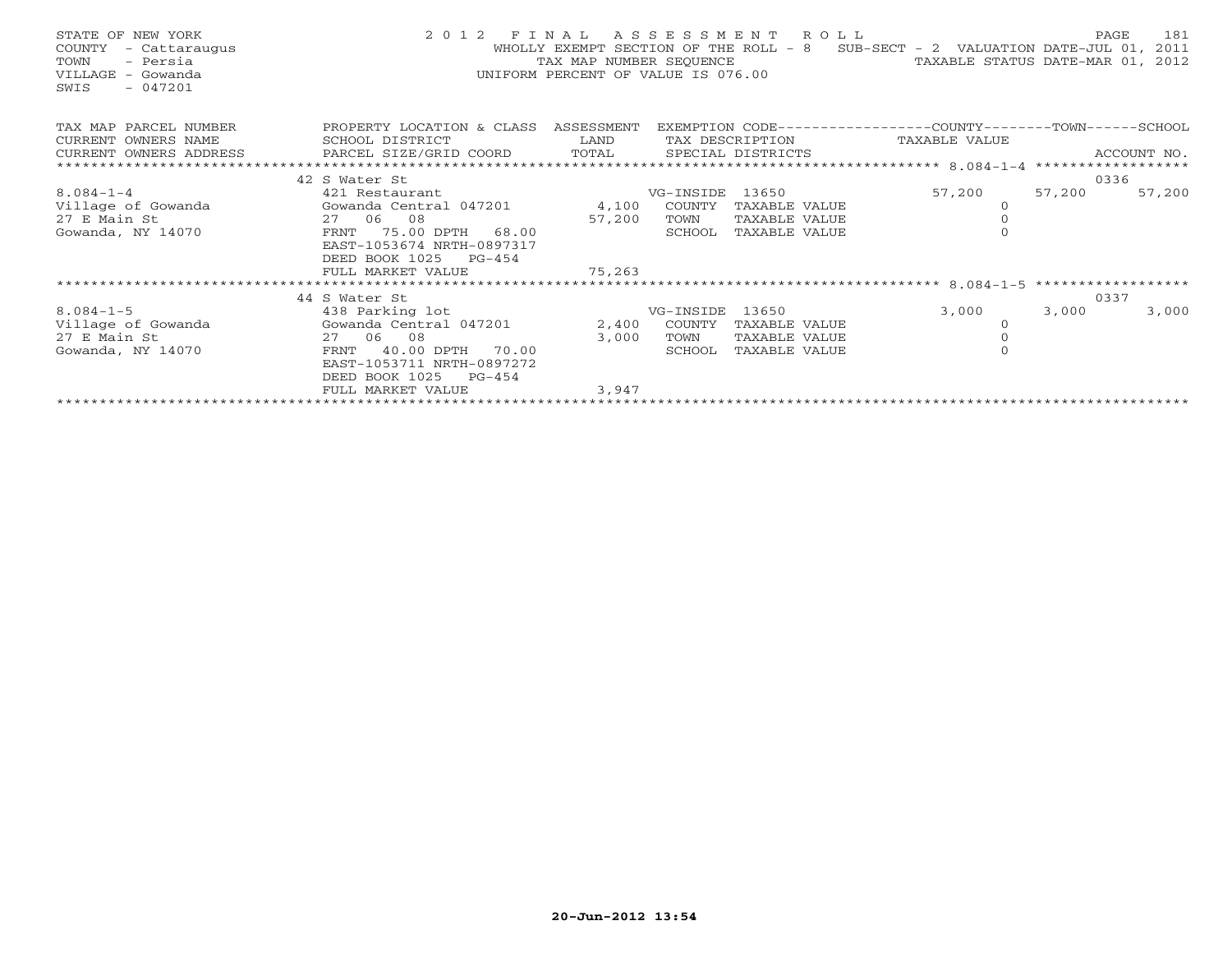| STATE OF NEW YORK<br>COUNTY - Cattaraugus<br>- Persia<br>TOWN<br>VILLAGE - Gowanda<br>$-047201$<br>SWIS | 2 0 1 2<br>F I N A L<br>ASSESSMENT ROLL<br>WHOLLY EXEMPT SECTION OF THE ROLL - 8 SUB-SECT - 2 VALUATION DATE-JUL 01, 2011<br>TAX MAP NUMBER SEQUENCE<br>TAXABLE STATUS DATE-MAR 01, 2012<br>UNIFORM PERCENT OF VALUE IS 076.00 |                        |                      |                                |                                                             |        |             |
|---------------------------------------------------------------------------------------------------------|--------------------------------------------------------------------------------------------------------------------------------------------------------------------------------------------------------------------------------|------------------------|----------------------|--------------------------------|-------------------------------------------------------------|--------|-------------|
| TAX MAP PARCEL NUMBER                                                                                   | PROPERTY LOCATION & CLASS ASSESSMENT                                                                                                                                                                                           |                        |                      |                                | EXEMPTION CODE-----------------COUNTY-------TOWN-----SCHOOL |        |             |
| CURRENT OWNERS NAME                                                                                     | SCHOOL DISTRICT                                                                                                                                                                                                                | <b>Example 12</b> LAND |                      |                                | TAX DESCRIPTION TAXABLE VALUE                               |        |             |
| CURRENT OWNERS ADDRESS                                                                                  | PARCEL SIZE/GRID COORD                                                                                                                                                                                                         | TOTAL                  |                      | SPECIAL DISTRICTS              |                                                             |        | ACCOUNT NO. |
|                                                                                                         |                                                                                                                                                                                                                                |                        |                      |                                |                                                             |        |             |
|                                                                                                         | 42 S Water St                                                                                                                                                                                                                  |                        |                      |                                |                                                             |        | 0336        |
| $8.084 - 1 - 4$                                                                                         | 421 Restaurant                                                                                                                                                                                                                 |                        | VG-INSIDE 13650      |                                | 57,200                                                      | 57,200 | 57,200      |
| Village of Gowanda                                                                                      | Gowanda Central 047201 4,100 COUNTY                                                                                                                                                                                            |                        |                      | TAXABLE VALUE                  | 0                                                           |        |             |
| 27 E Main St                                                                                            | 27 06 08                                                                                                                                                                                                                       | 57,200                 | TOWN                 | TAXABLE VALUE                  |                                                             |        |             |
| Gowanda, NY 14070                                                                                       | 75.00 DPTH 68.00<br>FRNT                                                                                                                                                                                                       |                        | SCHOOL               | TAXABLE VALUE                  | $\Omega$                                                    |        |             |
|                                                                                                         | EAST-1053674 NRTH-0897317                                                                                                                                                                                                      |                        |                      |                                |                                                             |        |             |
|                                                                                                         | DEED BOOK 1025 PG-454                                                                                                                                                                                                          |                        |                      |                                |                                                             |        |             |
|                                                                                                         | FULL MARKET VALUE                                                                                                                                                                                                              | 75,263                 |                      |                                |                                                             |        |             |
|                                                                                                         |                                                                                                                                                                                                                                |                        |                      |                                |                                                             |        |             |
|                                                                                                         | 44 S Water St                                                                                                                                                                                                                  |                        |                      |                                |                                                             |        | 0337        |
| $8.084 - 1 - 5$                                                                                         | 438 Parking lot                                                                                                                                                                                                                |                        | VG-INSIDE 13650      |                                | 3,000                                                       | 3,000  | 3,000       |
| Village of Gowanda<br>27 E Main St                                                                      | Gowanda Central 047201<br>27 06 08                                                                                                                                                                                             |                        | 2,400 COUNTY<br>TOWN | TAXABLE VALUE<br>TAXABLE VALUE | $\Omega$                                                    |        |             |
|                                                                                                         |                                                                                                                                                                                                                                | 3,000                  |                      |                                | $\Omega$                                                    |        |             |
| Gowanda, NY 14070                                                                                       | 40.00 DPTH 70.00<br>FRNT<br>EAST-1053711 NRTH-0897272                                                                                                                                                                          |                        | SCHOOL               | TAXABLE VALUE                  |                                                             |        |             |
|                                                                                                         | DEED BOOK 1025 PG-454                                                                                                                                                                                                          |                        |                      |                                |                                                             |        |             |
|                                                                                                         | FULL MARKET VALUE                                                                                                                                                                                                              | 3,947                  |                      |                                |                                                             |        |             |
|                                                                                                         |                                                                                                                                                                                                                                |                        |                      |                                |                                                             |        |             |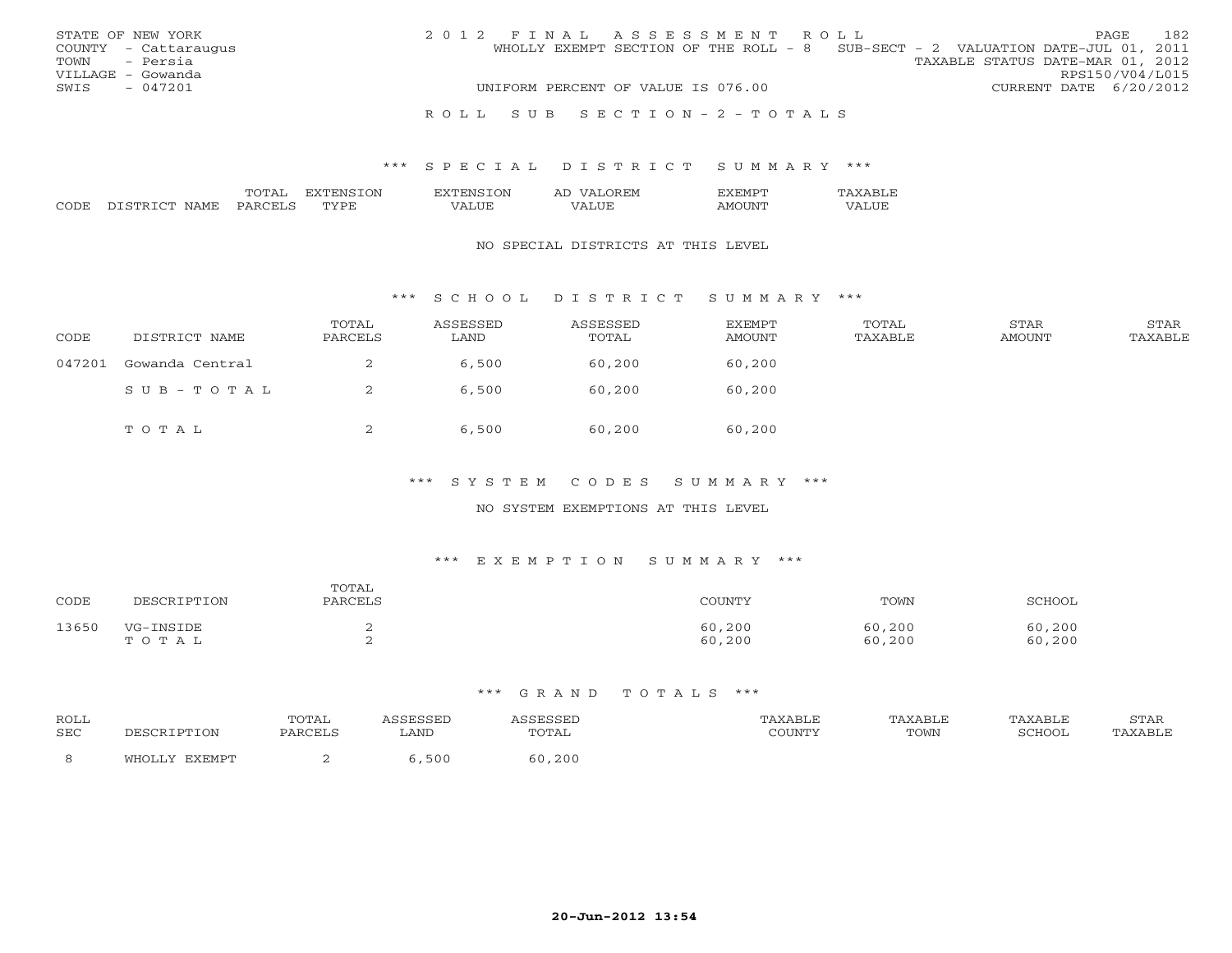|      | STATE OF NEW YORK    |  |  | 2012 FINAL ASSESSMENT ROLL         |  |                                                                                |                        | <b>PAGE</b>     | 182 |
|------|----------------------|--|--|------------------------------------|--|--------------------------------------------------------------------------------|------------------------|-----------------|-----|
|      | COUNTY - Cattaraugus |  |  |                                    |  | WHOLLY EXEMPT SECTION OF THE ROLL - 8 SUB-SECT - 2 VALUATION DATE-JUL 01, 2011 |                        |                 |     |
|      | TOWN - Persia        |  |  |                                    |  | TAXABLE STATUS DATE-MAR 01, 2012                                               |                        |                 |     |
|      | VILLAGE - Gowanda    |  |  |                                    |  |                                                                                |                        | RPS150/V04/L015 |     |
| SWIS | $-047201$            |  |  | UNIFORM PERCENT OF VALUE IS 076.00 |  |                                                                                | CURRENT DATE 6/20/2012 |                 |     |
|      |                      |  |  |                                    |  |                                                                                |                        |                 |     |
|      |                      |  |  | ROLL SUB SECTION-2-TOTALS          |  |                                                                                |                        |                 |     |

#### \*\*\* S P E C I A L D I S T R I C T S U M M A R Y \*\*\*

|  | -) N | : IVI<br>2 A. |  |
|--|------|---------------|--|
|  |      | ---           |  |

#### NO SPECIAL DISTRICTS AT THIS LEVEL

#### \*\*\* S C H O O L D I S T R I C T S U M M A R Y \*\*\*

| CODE   | DISTRICT NAME   | TOTAL<br>PARCELS | ASSESSED<br>LAND | ASSESSED<br>TOTAL | EXEMPT<br>AMOUNT | TOTAL<br>TAXABLE | STAR<br>AMOUNT | STAR<br>TAXABLE |
|--------|-----------------|------------------|------------------|-------------------|------------------|------------------|----------------|-----------------|
| 047201 | Gowanda Central | ▵                | 6,500            | 60,200            | 60,200           |                  |                |                 |
|        | SUB-TOTAL       |                  | 6,500            | 60,200            | 60,200           |                  |                |                 |
|        | TOTAL           |                  | 6,500            | 60,200            | 60,200           |                  |                |                 |

#### \*\*\* S Y S T E M C O D E S S U M M A R Y \*\*\*

#### NO SYSTEM EXEMPTIONS AT THIS LEVEL

#### \*\*\* E X E M P T I O N S U M M A R Y \*\*\*

| CODE  | DESCRIPTION        | TOTAL<br>PARCELS | <b>COUNTY</b>    | TOWN             | SCHOOL           |
|-------|--------------------|------------------|------------------|------------------|------------------|
| 13650 | VG-INSIDE<br>TOTAL |                  | 60,200<br>60,200 | 60,200<br>60,200 | 60,200<br>60,200 |

#### \*\*\* G R A N D T O T A L S \*\*\*

| ROLL       |            | <b>TOTA</b><br>. 9 1 1 1 1 1 1 |      |        | <b>TAXABLF</b> | TAXABLE | TAXABLF | ----- |
|------------|------------|--------------------------------|------|--------|----------------|---------|---------|-------|
| <b>SEC</b> | ESCRIPTION | PARCELS                        | LAND | TOTAL  | ∨ידיתדור∩      | TOWN    | SCHOOl  |       |
|            |            |                                | 500  | 60,200 |                |         |         |       |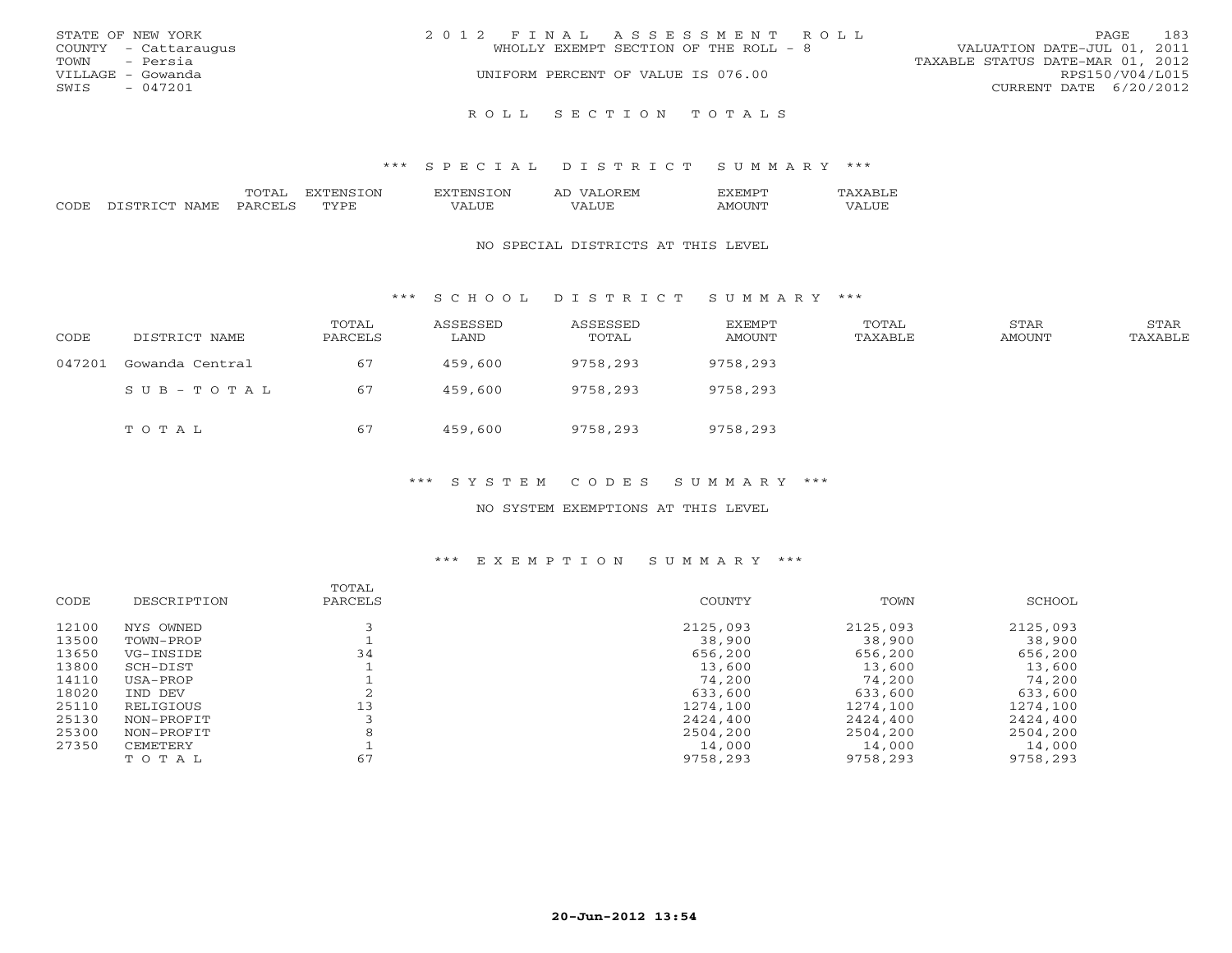|               | STATE OF NEW YORK    | 2012 FINAL ASSESSMENT ROLL            | <b>PAGE</b>                 | 183 |
|---------------|----------------------|---------------------------------------|-----------------------------|-----|
|               | COUNTY - Cattaraugus | WHOLLY EXEMPT SECTION OF THE ROLL - 8 | VALUATION DATE-JUL 01, 2011 |     |
| TOWN - Persia |                      | TAXABLE STATUS DATE-MAR 01, 2012      |                             |     |
|               | VILLAGE - Gowanda    | UNIFORM PERCENT OF VALUE IS 076.00    | RPS150/V04/L015             |     |
| SWIS          | $-047201$            |                                       | CURRENT DATE 6/20/2012      |     |
|               |                      |                                       |                             |     |
|               |                      | ROLL SECTION TOTALS                   |                             |     |

#### \*\*\* S P E C I A L D I S T R I C T S U M M A R Y \*\*\*

|                     |                        | $m \wedge m$ | ⊖N | ΟN<br>.                          | $\eta$<br>∵M<br>A. | $H.HV1$ . |            |
|---------------------|------------------------|--------------|----|----------------------------------|--------------------|-----------|------------|
| $\bigcap \bigcap T$ | $\alpha$ mn<br>N A M H | P ∆          | ◡  | $- - - -$<br>. I I H<br>$\cdots$ | $- - -$            |           | Ľ<br>,,,,, |

#### NO SPECIAL DISTRICTS AT THIS LEVEL

\*\*\* S C H O O L D I S T R I C T S U M M A R Y \*\*\*

| CODE   | DISTRICT NAME   | TOTAL<br>PARCELS | ASSESSED<br>LAND | ASSESSED<br>TOTAL | EXEMPT<br>AMOUNT | TOTAL<br>TAXABLE | STAR<br>AMOUNT | STAR<br>TAXABLE |
|--------|-----------------|------------------|------------------|-------------------|------------------|------------------|----------------|-----------------|
| 047201 | Gowanda Central | 67               | 459,600          | 9758,293          | 9758,293         |                  |                |                 |
|        | SUB-TOTAL       | 67               | 459,600          | 9758,293          | 9758,293         |                  |                |                 |
|        | тотаь           | 67               | 459,600          | 9758,293          | 9758,293         |                  |                |                 |

#### \*\*\* S Y S T E M C O D E S S U M M A R Y \*\*\*

#### NO SYSTEM EXEMPTIONS AT THIS LEVEL

#### \*\*\* E X E M P T I O N S U M M A R Y \*\*\*

|       |             | TOTAL   |          |          |          |
|-------|-------------|---------|----------|----------|----------|
| CODE  | DESCRIPTION | PARCELS | COUNTY   | TOWN     | SCHOOL   |
| 12100 | NYS OWNED   |         | 2125,093 | 2125,093 | 2125,093 |
| 13500 | TOWN-PROP   |         | 38,900   | 38,900   | 38,900   |
| 13650 | VG-INSIDE   | 34      | 656,200  | 656,200  | 656,200  |
| 13800 | SCH-DIST    |         | 13,600   | 13,600   | 13,600   |
| 14110 | USA-PROP    |         | 74,200   | 74,200   | 74,200   |
| 18020 | IND DEV     |         | 633,600  | 633,600  | 633,600  |
| 25110 | RELIGIOUS   | 13      | 1274,100 | 1274,100 | 1274,100 |
| 25130 | NON-PROFIT  |         | 2424,400 | 2424,400 | 2424,400 |
| 25300 | NON-PROFIT  | 8       | 2504,200 | 2504,200 | 2504,200 |
| 27350 | CEMETERY    |         | 14,000   | 14,000   | 14,000   |
|       | TOTAL       | 67      | 9758,293 | 9758,293 | 9758,293 |
|       |             |         |          |          |          |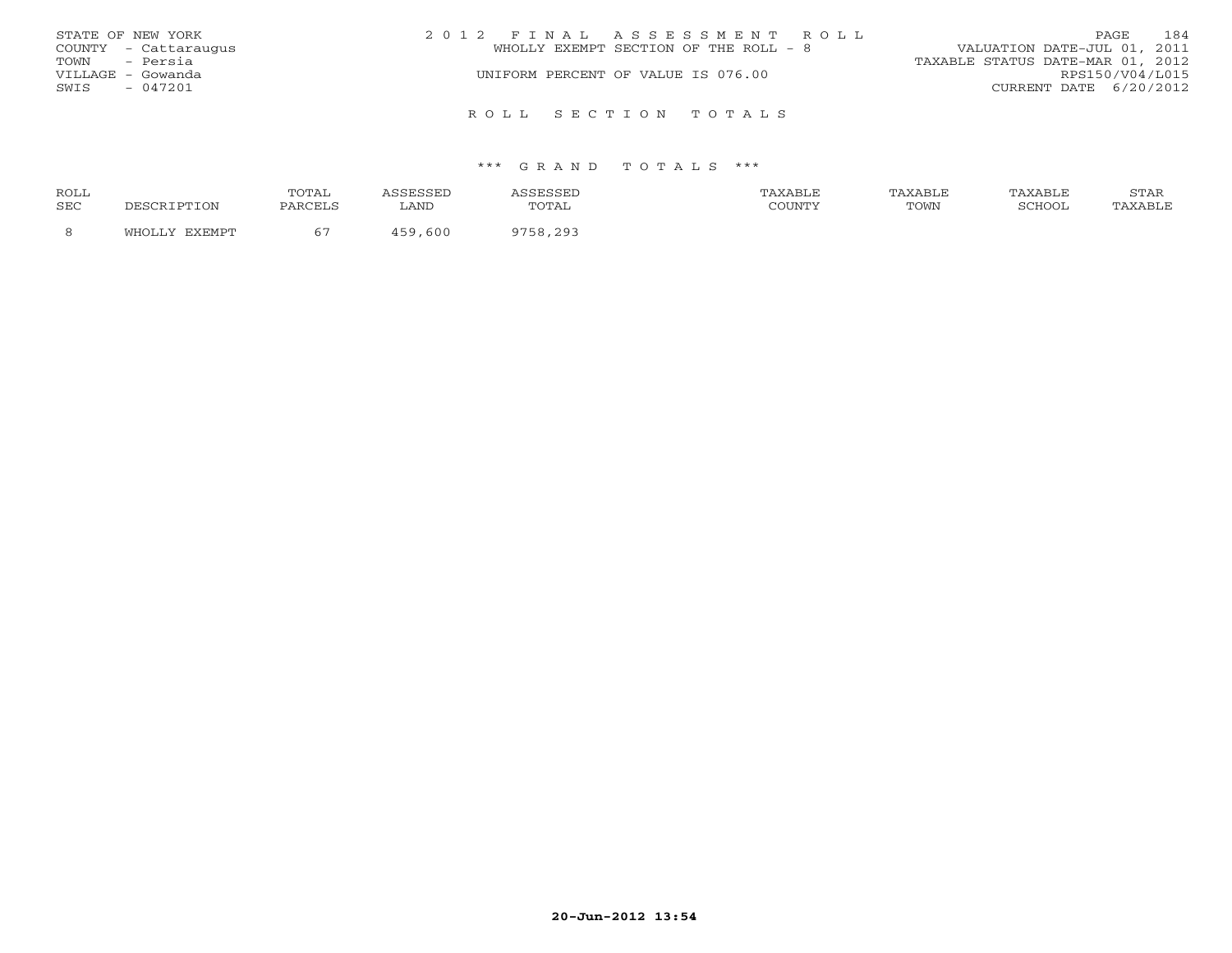|               | STATE OF NEW YORK    | 2012 FINAL ASSESSMENT ROLL                                           | PAGE                   | 184 |
|---------------|----------------------|----------------------------------------------------------------------|------------------------|-----|
|               | COUNTY - Cattaraugus | VALUATION DATE-JUL 01, 2011<br>WHOLLY EXEMPT SECTION OF THE ROLL - 8 |                        |     |
| TOWN - Persia |                      | TAXABLE STATUS DATE-MAR 01, 2012                                     |                        |     |
|               | VILLAGE - Gowanda    | UNIFORM PERCENT OF VALUE IS 076.00                                   | RPS150/V04/L015        |     |
| SWIS          | $-047201$            |                                                                      | CURRENT DATE 6/20/2012 |     |
|               |                      |                                                                      |                        |     |
|               |                      | ROLL SECTION TOTALS                                                  |                        |     |

#### \*\*\* G R A N D T O T A L S \*\*\*

| ROLL       |                        | <b>TOTAL</b><br>سدید ب | للساب | .             | XABLE  | AXABLF | AXABLF | $C$ m $\lambda$ T<br>STAR |
|------------|------------------------|------------------------|-------|---------------|--------|--------|--------|---------------------------|
| <b>SEC</b> | DESCRIPTION            | PARCELS                | LAND  | ጥ∩ጥ∆1<br>◡⊥◚ਜ | COUNTY | TOWN   | COHOOI | 'AXABLE                   |
|            | <b>DVDMDM</b><br>™ОТ., |                        | 600   | $200^{\circ}$ |        |        |        |                           |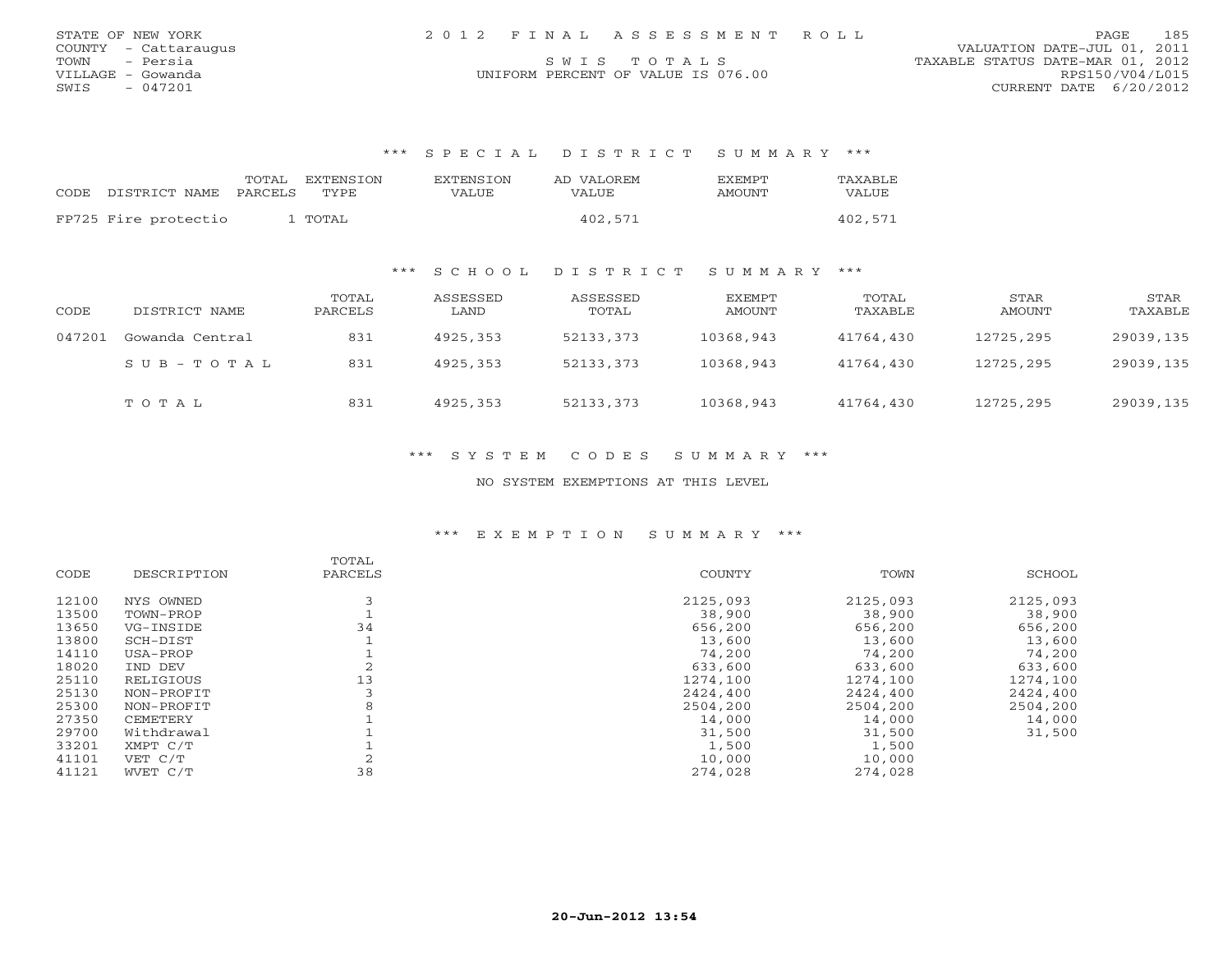| STATE OF NEW YORK    | 2012 FINAL ASSESSMENT ROLL         | 185<br>PAGE.                     |
|----------------------|------------------------------------|----------------------------------|
| COUNTY - Cattaraugus |                                    | VALUATION DATE-JUL 01, 2011      |
| - Persia<br>TOWN     | SWTS TOTALS                        | TAXABLE STATUS DATE-MAR 01, 2012 |
| VILLAGE – Gowanda    | UNIFORM PERCENT OF VALUE IS 076.00 | RPS150/V04/L015                  |
| - 047201<br>SWIS     |                                    | CURRENT DATE 6/20/2012           |

#### \*\*\* S P E C I A L D I S T R I C T S U M M A R Y \*\*\*

|       |                      | TOTAL   | EXTENSTON | EXTENSTON | AD VALOREM | <b>F.X F.M PT</b> | TAXABLE |
|-------|----------------------|---------|-----------|-----------|------------|-------------------|---------|
| CODE. | DISTRICT NAME        | PARCELS | TYPE.     | VALUE     | VALUE      | <b>AMOUNT</b>     | VALUE   |
|       | FP725 Fire protectio |         | L TOTAL   |           | 402,571    |                   | 402,571 |

#### \*\*\* S C H O O L D I S T R I C T S U M M A R Y \*\*\*

| CODE   | DISTRICT NAME   | TOTAL<br>PARCELS | ASSESSED<br>LAND | ASSESSED<br>TOTAL | EXEMPT<br>AMOUNT | TOTAL<br>TAXABLE | STAR<br>AMOUNT | STAR<br>TAXABLE |
|--------|-----------------|------------------|------------------|-------------------|------------------|------------------|----------------|-----------------|
| 047201 | Gowanda Central | 831              | 4925,353         | 52133,373         | 10368,943        | 41764,430        | 12725,295      | 29039,135       |
|        | SUB-TOTAL       | 831              | 4925,353         | 52133,373         | 10368,943        | 41764,430        | 12725,295      | 29039,135       |
|        | TOTAL           | 831              | 4925,353         | 52133,373         | 10368,943        | 41764,430        | 12725,295      | 29039,135       |

#### \*\*\* S Y S T E M C O D E S S U M M A R Y \*\*\*

#### NO SYSTEM EXEMPTIONS AT THIS LEVEL

#### \*\*\* E X E M P T I O N S U M M A R Y \*\*\*

|             | TOTAL   |          |          |          |
|-------------|---------|----------|----------|----------|
| DESCRIPTION | PARCELS | COUNTY   | TOWN     | SCHOOL   |
| NYS OWNED   |         | 2125,093 | 2125,093 | 2125,093 |
| TOWN-PROP   |         | 38,900   | 38,900   | 38,900   |
| VG-INSIDE   | 34      | 656,200  | 656,200  | 656,200  |
| SCH-DIST    |         | 13,600   | 13,600   | 13,600   |
| USA-PROP    |         | 74,200   | 74,200   | 74,200   |
| IND DEV     |         | 633,600  | 633,600  | 633,600  |
| RELIGIOUS   | 13      | 1274,100 | 1274,100 | 1274,100 |
| NON-PROFIT  |         | 2424,400 | 2424,400 | 2424,400 |
| NON-PROFIT  |         | 2504,200 | 2504,200 | 2504,200 |
| CEMETERY    |         | 14,000   | 14,000   | 14,000   |
| Withdrawal  |         | 31,500   | 31,500   | 31,500   |
| XMPT C/T    |         | 1,500    | 1,500    |          |
| VET C/T     |         | 10,000   | 10,000   |          |
| WVET C/T    | 38      | 274,028  | 274,028  |          |
|             |         |          |          |          |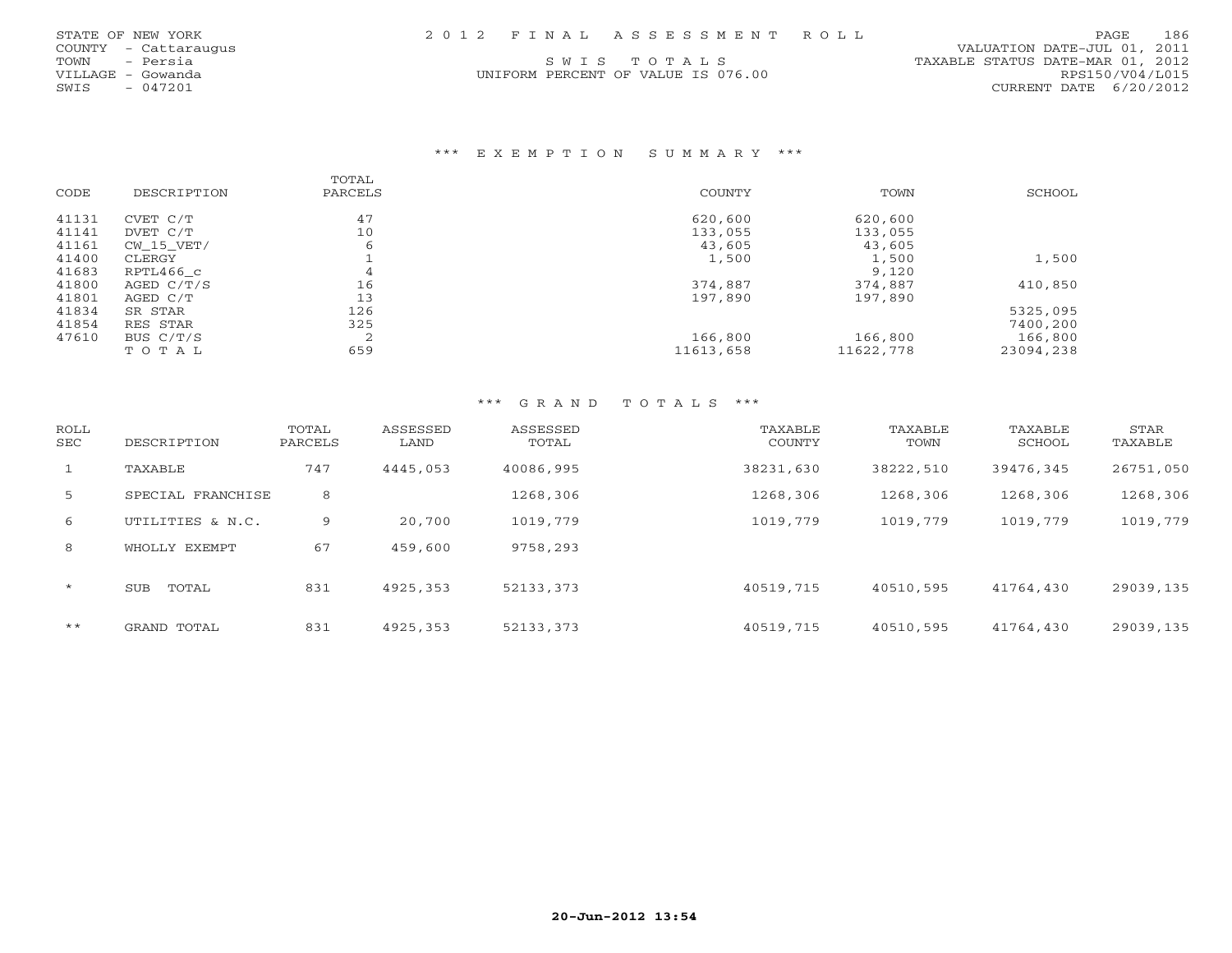UNIFORM PERCENT OF VALUE IS 076.00 RPS150/V04/L015

#### \*\*\* E X E M P T I O N S U M M A R Y \*\*\*

|       |             | TOTAL     |           |           |           |
|-------|-------------|-----------|-----------|-----------|-----------|
| CODE  | DESCRIPTION | PARCELS   | COUNTY    | TOWN      | SCHOOL    |
| 41131 | CVET C/T    | 47        | 620,600   | 620,600   |           |
| 41141 | DVET C/T    | 10        | 133,055   | 133,055   |           |
| 41161 | CW 15 VET/  | 6         | 43,605    | 43,605    |           |
| 41400 | CLERGY      |           | 1,500     | 1,500     | 1,500     |
| 41683 | RPTL466 c   | 4         |           | 9,120     |           |
| 41800 | AGED C/T/S  | 16        | 374,887   | 374,887   | 410,850   |
| 41801 | AGED C/T    | 13        | 197,890   | 197,890   |           |
| 41834 | SR STAR     | 126       |           |           | 5325,095  |
| 41854 | RES STAR    | 325       |           |           | 7400,200  |
| 47610 | BUS C/T/S   | $\bigcap$ | 166,800   | 166,800   | 166,800   |
|       | TOTAL       | 659       | 11613,658 | 11622,778 | 23094,238 |

#### \*\*\* G R A N D T O T A L S \*\*\*

| ROLL<br>SEC  | DESCRIPTION         | TOTAL<br>PARCELS | ASSESSED<br>LAND | ASSESSED<br>TOTAL | TAXABLE<br>COUNTY | TAXABLE<br>TOWN | TAXABLE<br>SCHOOL | STAR<br>TAXABLE |
|--------------|---------------------|------------------|------------------|-------------------|-------------------|-----------------|-------------------|-----------------|
| $\mathbf{1}$ | TAXABLE             | 747              | 4445,053         | 40086,995         | 38231,630         | 38222,510       | 39476,345         | 26751,050       |
| 5            | SPECIAL FRANCHISE   | 8                |                  | 1268,306          | 1268,306          | 1268,306        | 1268,306          | 1268,306        |
| 6            | UTILITIES & N.C.    | 9                | 20,700           | 1019,779          | 1019,779          | 1019,779        | 1019,779          | 1019,779        |
| 8            | WHOLLY EXEMPT       | 67               | 459,600          | 9758,293          |                   |                 |                   |                 |
| $\star$      | TOTAL<br><b>SUB</b> | 831              | 4925,353         | 52133,373         | 40519,715         | 40510,595       | 41764,430         | 29039,135       |
| $***$        | GRAND TOTAL         | 831              | 4925,353         | 52133,373         | 40519,715         | 40510,595       | 41764,430         | 29039,135       |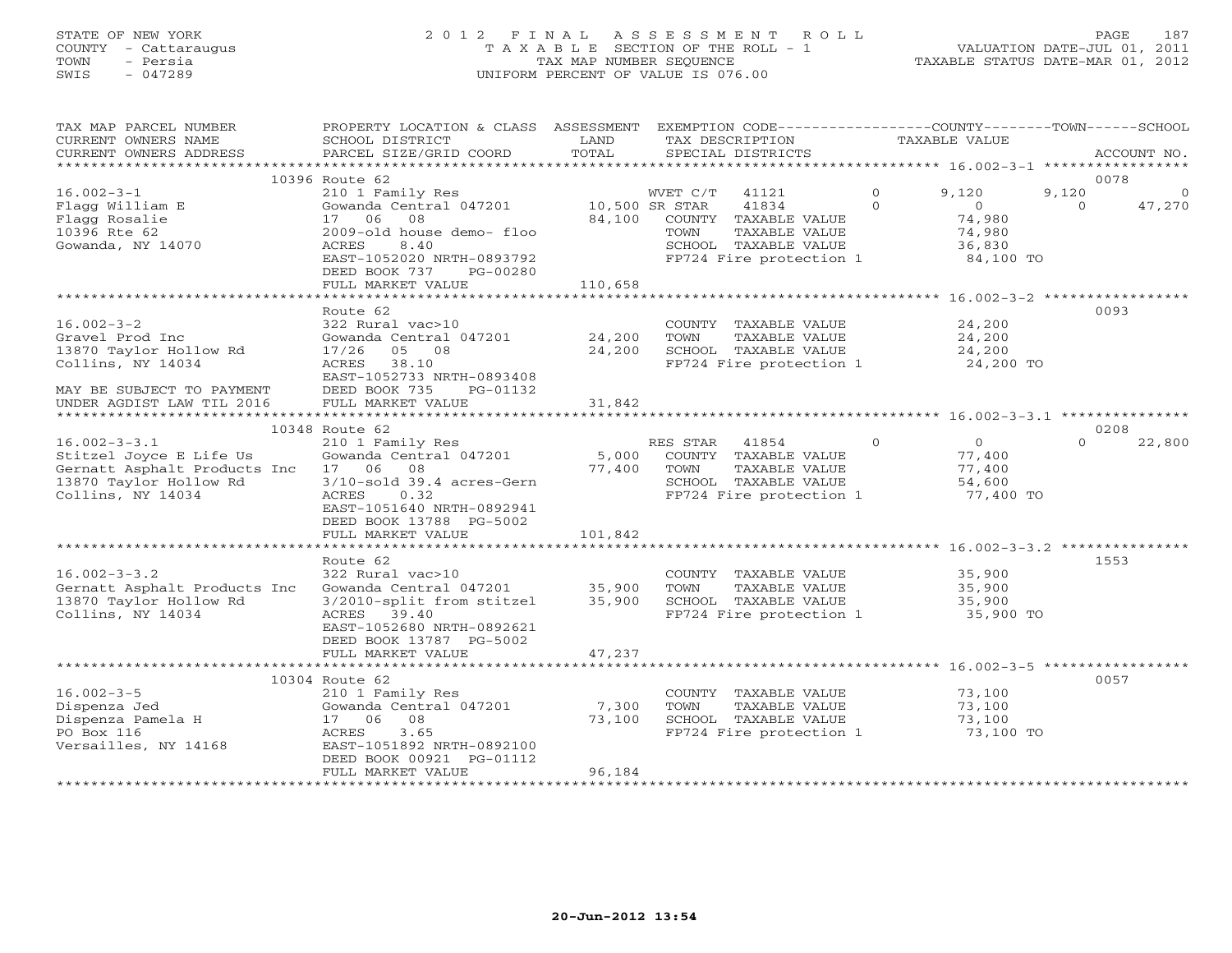## STATE OF NEW YORK 2 0 1 2 F I N A L A S S E S S M E N T R O L L PAGE 187 COUNTY - Cattaraugus T A X A B L E SECTION OF THE ROLL - 1 VALUATION DATE-JUL 01, 2011 TOWN - Persia TAX MAP NUMBER SEQUENCE TAXABLE STATUS DATE-MAR 01, 2012 SWIS - 047289 UNIFORM PERCENT OF VALUE IS 076.00UNIFORM PERCENT OF VALUE IS 076.00

| TAX MAP PARCEL NUMBER<br>CURRENT OWNERS NAME<br>CURRENT OWNERS ADDRESS<br>******************                                 | PROPERTY LOCATION & CLASS ASSESSMENT<br>SCHOOL DISTRICT<br>PARCEL SIZE/GRID COORD<br>********                                                                        | LAND<br>TOTAL            | EXEMPTION CODE-----------------COUNTY-------TOWN------SCHOOL<br>TAX DESCRIPTION<br>SPECIAL DISTRICTS                  |                      | <b>TAXABLE VALUE</b>                                      |                   | ACCOUNT NO.        |
|------------------------------------------------------------------------------------------------------------------------------|----------------------------------------------------------------------------------------------------------------------------------------------------------------------|--------------------------|-----------------------------------------------------------------------------------------------------------------------|----------------------|-----------------------------------------------------------|-------------------|--------------------|
|                                                                                                                              |                                                                                                                                                                      |                          |                                                                                                                       |                      |                                                           |                   |                    |
|                                                                                                                              | 10396 Route 62                                                                                                                                                       |                          |                                                                                                                       |                      |                                                           |                   | 0078               |
| $16.002 - 3 - 1$<br>Flagg William E<br>Flagg Rosalie<br>10396 Rte 62                                                         | 210 1 Family Res<br>Gowanda Central 047201<br>08<br>17<br>06<br>2009-old house demo- floo                                                                            | 10,500 SR STAR<br>84,100 | 41121<br>WVET C/T<br>41834<br>COUNTY TAXABLE VALUE<br>TOWN<br>TAXABLE VALUE                                           | $\Omega$<br>$\Omega$ | 9,120<br>$\Omega$<br>74,980<br>74,980                     | 9,120<br>$\Omega$ | $\Omega$<br>47,270 |
| Gowanda, NY 14070                                                                                                            | 8.40<br>ACRES<br>EAST-1052020 NRTH-0893792<br>DEED BOOK 737<br>PG-00280                                                                                              |                          | SCHOOL TAXABLE VALUE<br>FP724 Fire protection 1                                                                       |                      | 36,830<br>84,100 TO                                       |                   |                    |
|                                                                                                                              | FULL MARKET VALUE                                                                                                                                                    | 110,658                  |                                                                                                                       |                      |                                                           |                   |                    |
|                                                                                                                              |                                                                                                                                                                      |                          |                                                                                                                       |                      |                                                           |                   |                    |
| $16.002 - 3 - 2$<br>Gravel Prod Inc<br>13870 Taylor Hollow Rd<br>Collins, NY 14034<br>MAY BE SUBJECT TO PAYMENT              | Route 62<br>322 Rural vac>10<br>Gowanda Central 047201<br>17/26<br>05 08<br>38.10<br>ACRES<br>EAST-1052733 NRTH-0893408<br>DEED BOOK 735<br>PG-01132                 | 24,200<br>24,200         | COUNTY TAXABLE VALUE<br>TOWN<br>TAXABLE VALUE<br>SCHOOL TAXABLE VALUE<br>FP724 Fire protection 1                      |                      | 24,200<br>24,200<br>24,200<br>24,200 TO                   |                   | 0093               |
| UNDER AGDIST LAW TIL 2016                                                                                                    | FULL MARKET VALUE                                                                                                                                                    | 31,842                   |                                                                                                                       |                      |                                                           |                   |                    |
| ***********<br>******************                                                                                            |                                                                                                                                                                      |                          |                                                                                                                       |                      |                                                           |                   |                    |
|                                                                                                                              | 10348 Route 62                                                                                                                                                       |                          |                                                                                                                       |                      |                                                           |                   | 0208               |
| $16.002 - 3 - 3.1$<br>Stitzel Joyce E Life Us<br>Gernatt Asphalt Products Inc<br>13870 Taylor Hollow Rd<br>Collins, NY 14034 | 210 1 Family Res<br>Gowanda Central 047201<br>17 06<br>08<br>$3/10$ -sold $39.4$ acres-Gern<br>ACRES<br>0.32<br>EAST-1051640 NRTH-0892941<br>DEED BOOK 13788 PG-5002 | 5,000<br>77,400          | RES STAR<br>41854<br>COUNTY TAXABLE VALUE<br>TAXABLE VALUE<br>TOWN<br>SCHOOL TAXABLE VALUE<br>FP724 Fire protection 1 | $\Omega$             | $\overline{0}$<br>77,400<br>77,400<br>54,600<br>77,400 TO | $\Omega$          | 22,800             |
|                                                                                                                              | FULL MARKET VALUE                                                                                                                                                    | 101,842                  |                                                                                                                       |                      |                                                           |                   |                    |
|                                                                                                                              | Route 62                                                                                                                                                             |                          |                                                                                                                       |                      |                                                           |                   | 1553               |
| $16.002 - 3 - 3.2$<br>Gernatt Asphalt Products Inc<br>13870 Taylor Hollow Rd<br>Collins, NY 14034                            | 322 Rural vac>10<br>Gowanda Central 047201<br>3/2010-split from stitzel<br>39.40<br>ACRES<br>EAST-1052680 NRTH-0892621<br>DEED BOOK 13787 PG-5002                    | 35,900<br>35,900         | COUNTY TAXABLE VALUE<br>TAXABLE VALUE<br>TOWN<br>SCHOOL TAXABLE VALUE<br>FP724 Fire protection 1                      |                      | 35,900<br>35,900<br>35,900<br>35,900 TO                   |                   |                    |
|                                                                                                                              | FULL MARKET VALUE                                                                                                                                                    | 47,237                   |                                                                                                                       |                      |                                                           |                   |                    |
|                                                                                                                              | *************************                                                                                                                                            | **********               | ************************************56.002-3-5 ******************                                                     |                      |                                                           |                   |                    |
|                                                                                                                              | 10304 Route 62                                                                                                                                                       |                          |                                                                                                                       |                      |                                                           |                   | 0057               |
| $16.002 - 3 - 5$                                                                                                             | 210 1 Family Res                                                                                                                                                     |                          | COUNTY TAXABLE VALUE                                                                                                  |                      | 73,100                                                    |                   |                    |
| Dispenza Jed                                                                                                                 | Gowanda Central 047201                                                                                                                                               | 7,300                    | TOWN<br>TAXABLE VALUE                                                                                                 |                      | 73,100                                                    |                   |                    |
| Dispenza Pamela H<br>PO Box 116                                                                                              | 17 06<br>08<br>3.65<br>ACRES                                                                                                                                         | 73,100                   | SCHOOL TAXABLE VALUE<br>FP724 Fire protection 1                                                                       |                      | 73,100<br>73,100 TO                                       |                   |                    |
| Versailles, NY 14168                                                                                                         | EAST-1051892 NRTH-0892100<br>DEED BOOK 00921 PG-01112                                                                                                                |                          |                                                                                                                       |                      |                                                           |                   |                    |
|                                                                                                                              | FULL MARKET VALUE                                                                                                                                                    | 96,184                   |                                                                                                                       |                      |                                                           |                   |                    |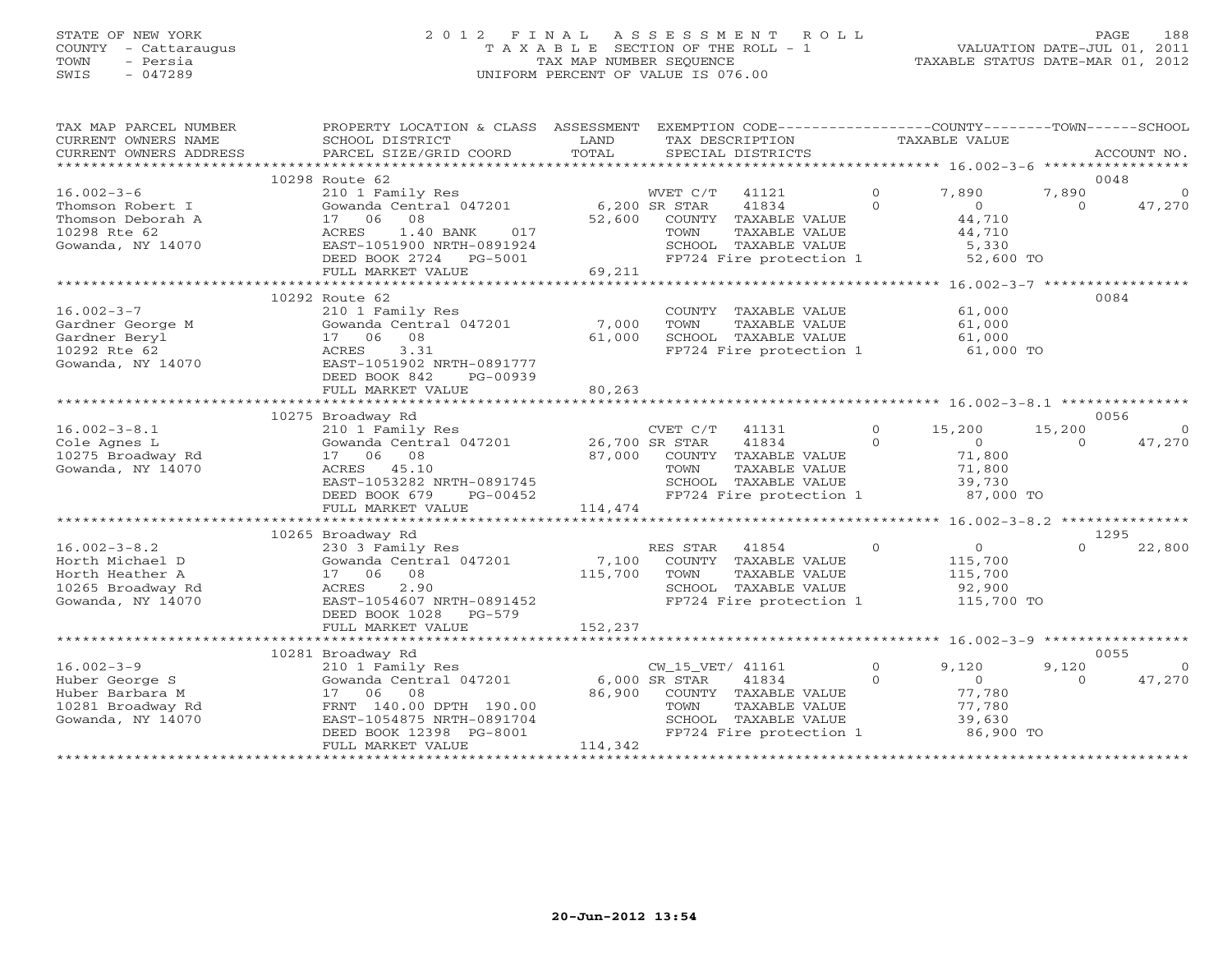# STATE OF NEW YORK 2 0 1 2 F I N A L A S S E S S M E N T R O L L PAGE 188COUNTY - Cattaraugus T A X A B L E SECTION OF THE ROLL - 1 VALUATION DATE-JUL 01, 2011 SWIS - 047289 UNIFORM PERCENT OF VALUE IS 076.00

| TAX MAP PARCEL NUMBER<br>CURRENT OWNERS NAME<br>CURRENT OWNERS ADDRESS | PROPERTY LOCATION & CLASS ASSESSMENT<br>SCHOOL DISTRICT<br>PARCEL SIZE/GRID COORD | LAND<br>TOTAL | TAX DESCRIPTION  | EXEMPTION CODE----------------COUNTY-------TOWN------SCHOOL<br>SPECIAL DISTRICTS |                            | TAXABLE VALUE              |                    | ACCOUNT NO.            |
|------------------------------------------------------------------------|-----------------------------------------------------------------------------------|---------------|------------------|----------------------------------------------------------------------------------|----------------------------|----------------------------|--------------------|------------------------|
|                                                                        |                                                                                   |               |                  |                                                                                  |                            |                            |                    |                        |
| $16.002 - 3 - 6$                                                       | 10298 Route 62<br>210 1 Family Res                                                |               | WVET C/T         | 41121                                                                            | $\overline{0}$             | 7,890                      | 7,890              | 0048<br>$\overline{0}$ |
| Thomson Robert I                                                       | Gowanda Central 047201 6,200 SR STAR                                              |               |                  | 41834                                                                            | $\Omega$                   | $\overline{O}$             | $\Omega$           | 47,270                 |
| Thomson Deborah A                                                      | 17 06 08                                                                          |               |                  | 52,600 COUNTY TAXABLE VALUE                                                      |                            | 44,710                     |                    |                        |
| 10298 Rte 62                                                           | ACRES<br>1.40 BANK<br>017                                                         |               | TOWN             | TAXABLE VALUE                                                                    |                            | 44,710                     |                    |                        |
| Gowanda, NY 14070                                                      | EAST-1051900 NRTH-0891924                                                         |               |                  | SCHOOL TAXABLE VALUE                                                             |                            | 5,330                      |                    |                        |
|                                                                        | DEED BOOK 2724    PG-5001                                                         |               |                  | FP724 Fire protection 1 52,600 TO                                                |                            |                            |                    |                        |
|                                                                        | FULL MARKET VALUE                                                                 | 69,211        |                  |                                                                                  |                            |                            |                    |                        |
|                                                                        |                                                                                   |               |                  |                                                                                  |                            |                            |                    |                        |
|                                                                        | 10292 Route 62                                                                    |               |                  |                                                                                  |                            |                            |                    | 0084                   |
| $16.002 - 3 - 7$                                                       | 210 1 Family Res                                                                  |               |                  | COUNTY TAXABLE VALUE 61,000                                                      |                            |                            |                    |                        |
| Gardner George M                                                       | Gowanda Central 047201                                                            | 7,000         |                  | TOWN      TAXABLE VALUE<br>SCHOOL   TAXABLE VALUE                                |                            | 61,000<br>61,000<br>61,000 |                    |                        |
| Gardner Beryl                                                          | 17 06<br>08                                                                       | 61,000        |                  |                                                                                  |                            |                            |                    |                        |
| 10292 Rte 62                                                           | ACRES<br>3.31                                                                     |               |                  | FP724 Fire protection 1 61,000 TO                                                |                            |                            |                    |                        |
| Gowanda, NY 14070                                                      | EAST-1051902 NRTH-0891777                                                         |               |                  |                                                                                  |                            |                            |                    |                        |
|                                                                        | DEED BOOK 842<br>PG-00939                                                         |               |                  |                                                                                  |                            |                            |                    |                        |
|                                                                        | FULL MARKET VALUE                                                                 | 80,263        |                  |                                                                                  |                            |                            |                    |                        |
|                                                                        | ********************************                                                  |               |                  |                                                                                  |                            |                            |                    |                        |
|                                                                        | 10275 Broadway Rd                                                                 |               |                  |                                                                                  |                            |                            |                    | 0056                   |
| $16.002 - 3 - 8.1$                                                     | 210 1 Family Res CVET C/T<br>Gowanda Central 047201 26,700 SR STAR                |               | CVET C/T         | 41131                                                                            | $\overline{0}$<br>$\Omega$ | 15,200<br>$\Omega$         | 15,200<br>$\Omega$ | $\Omega$               |
| Cole Agnes L<br>10275 Broadway Rd                                      | 17 06 08                                                                          |               |                  | 41834                                                                            |                            | 71,800                     |                    | 47,270                 |
| Gowanda, NY 14070                                                      | ACRES 45.10                                                                       |               | TOWN             | 87,000 COUNTY TAXABLE VALUE<br>TAXABLE VALUE                                     |                            | 71,800                     |                    |                        |
|                                                                        | EAST-1053282 NRTH-0891745                                                         |               |                  | SCHOOL TAXABLE VALUE                                                             |                            | 39,730                     |                    |                        |
|                                                                        | DEED BOOK 679<br>PG-00452                                                         |               |                  | FP724 Fire protection 1                                                          |                            | 87,000 TO                  |                    |                        |
|                                                                        | FULL MARKET VALUE                                                                 | 114,474       |                  |                                                                                  |                            |                            |                    |                        |
|                                                                        |                                                                                   |               |                  |                                                                                  |                            |                            |                    |                        |
|                                                                        | 10265 Broadway Rd                                                                 |               |                  |                                                                                  |                            |                            |                    | 1295                   |
| $16.002 - 3 - 8.2$                                                     | 230 3 Family Res                                                                  |               | RES STAR         | 41854                                                                            | $\overline{0}$             | $\overline{0}$             | $\Omega$           | 22,800                 |
| Horth Michael D                                                        | t 230 3 Family Res<br>Gowanda Central 047201 7,100                                |               |                  | COUNTY TAXABLE VALUE                                                             |                            | 115,700                    |                    |                        |
| Horth Heather A                                                        | 17 06 08                                                                          | 115,700       | TOWN             | TAXABLE VALUE                                                                    |                            |                            |                    |                        |
| 10265 Broadway Rd                                                      | 2.90<br>ACRES                                                                     |               |                  | SCHOOL TAXABLE VALUE                                                             |                            | 115,700<br>92,900          |                    |                        |
| Gowanda, NY 14070                                                      | EAST-1054607 NRTH-0891452                                                         |               |                  | FP724 Fire protection 1 115,700 TO                                               |                            |                            |                    |                        |
|                                                                        | DEED BOOK 1028 PG-579                                                             |               |                  |                                                                                  |                            |                            |                    |                        |
|                                                                        | FULL MARKET VALUE                                                                 | 152,237       |                  |                                                                                  |                            |                            |                    |                        |
|                                                                        |                                                                                   |               |                  |                                                                                  |                            |                            |                    |                        |
|                                                                        | 10281 Broadway Rd                                                                 |               |                  |                                                                                  |                            |                            |                    | 0055                   |
| $16.002 - 3 - 9$                                                       | 210 1 Family Res                                                                  |               | CW_15_VET/ 41161 |                                                                                  | $\circ$                    | 9,120                      | 9,120              | $\circ$                |
| Huber George S                                                         | Gowanda Central 047201 6,000 SR STAR                                              |               |                  | 41834                                                                            | $\Omega$                   | $\overline{0}$             | $\Omega$           | 47,270                 |
| Huber Barbara M                                                        | 08<br>17 06                                                                       | 86,900        |                  | COUNTY TAXABLE VALUE                                                             |                            | 77,780                     |                    |                        |
| 10281 Broadway Rd                                                      | FRNT 140.00 DPTH 190.00                                                           |               | TOWN             | TAXABLE VALUE                                                                    |                            | 77,780                     |                    |                        |
| Gowanda, NY 14070                                                      | EAST-1054875 NRTH-0891704                                                         |               |                  | SCHOOL TAXABLE VALUE<br>FP724 Fire protection 1                                  |                            | 39,630                     |                    |                        |
|                                                                        | DEED BOOK 12398 PG-8001                                                           |               |                  |                                                                                  |                            | 86,900 TO                  |                    |                        |
|                                                                        | FULL MARKET VALUE                                                                 | 114,342       |                  |                                                                                  |                            |                            |                    |                        |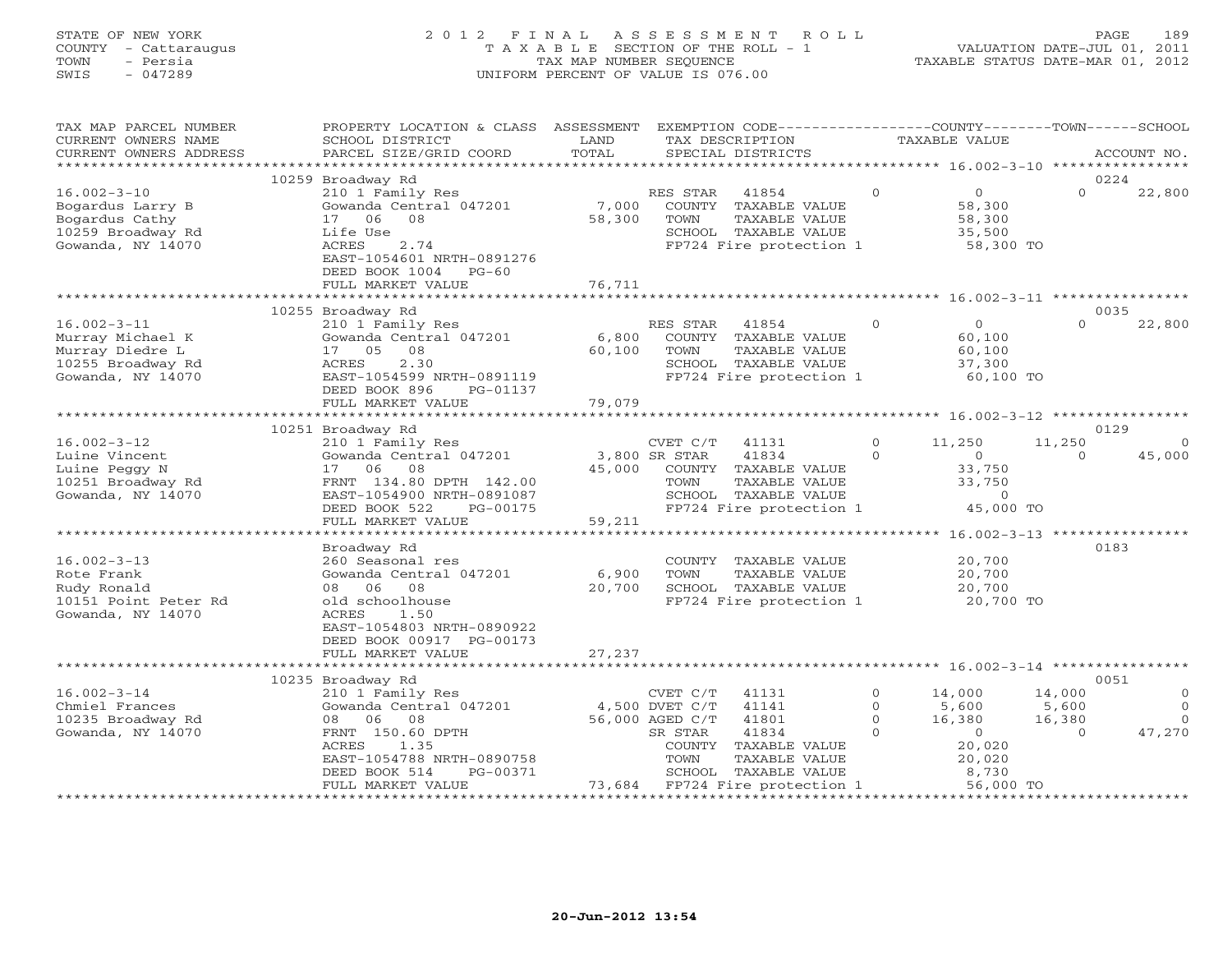## STATE OF NEW YORK 2 0 1 2 F I N A L A S S E S S M E N T R O L L PAGE 189 COUNTY - Cattaraugus T A X A B L E SECTION OF THE ROLL - 1 VALUATION DATE-JUL 01, 2011 TOWN - Persia TAX MAP NUMBER SEQUENCE TAXABLE STATUS DATE-MAR 01, 2012 SWIS - 047289 UNIFORM PERCENT OF VALUE IS 076.00

| TAX MAP PARCEL NUMBER<br>CURRENT OWNERS NAME<br>CURRENT OWNERS ADDRESS                             | PROPERTY LOCATION & CLASS ASSESSMENT<br>SCHOOL DISTRICT<br>PARCEL SIZE/GRID COORD                                                                                                          | LAND<br>TOTAL             |                                                                  | EXEMPTION CODE-----------------COUNTY-------TOWN------SCHOOL<br>TAX DESCRIPTION<br>SPECIAL DISTRICTS       |                                            | TAXABLE VALUE                                                  |                                       | ACCOUNT NO.                                    |
|----------------------------------------------------------------------------------------------------|--------------------------------------------------------------------------------------------------------------------------------------------------------------------------------------------|---------------------------|------------------------------------------------------------------|------------------------------------------------------------------------------------------------------------|--------------------------------------------|----------------------------------------------------------------|---------------------------------------|------------------------------------------------|
| ***********************                                                                            |                                                                                                                                                                                            |                           |                                                                  |                                                                                                            |                                            |                                                                |                                       |                                                |
| $16.002 - 3 - 10$<br>Bogardus Larry B<br>Bogardus Cathy<br>10259 Broadway Rd<br>Gowanda, NY 14070  | 10259 Broadway Rd<br>210 1 Family Res<br>Gowanda Central 047201<br>17 06<br>08<br>Life Use<br>ACRES<br>2.74<br>EAST-1054601 NRTH-0891276<br>DEED BOOK 1004<br>$PG-60$<br>FULL MARKET VALUE | 7,000<br>58,300<br>76,711 | RES STAR<br>TOWN                                                 | 41854<br>COUNTY TAXABLE VALUE<br>TAXABLE VALUE<br>SCHOOL TAXABLE VALUE<br>FP724 Fire protection 1          | $\Omega$                                   | $\overline{0}$<br>58,300<br>58,300<br>35,500<br>58,300 TO      | 0224<br>$\Omega$                      | 22,800                                         |
|                                                                                                    |                                                                                                                                                                                            |                           |                                                                  |                                                                                                            |                                            |                                                                |                                       |                                                |
| $16.002 - 3 - 11$<br>Murray Michael K<br>Murray Diedre L<br>10255 Broadway Rd<br>Gowanda, NY 14070 | 10255 Broadway Rd<br>210 1 Family Res<br>Gowanda Central 047201<br>17 05<br>08<br>2.30<br>ACRES<br>EAST-1054599 NRTH-0891119                                                               | 6,800<br>60,100           | RES STAR<br>TOWN                                                 | 41854<br>COUNTY TAXABLE VALUE<br>TAXABLE VALUE<br>SCHOOL TAXABLE VALUE<br>FP724 Fire protection 1          | $\Omega$                                   | $\Omega$<br>60,100<br>60,100<br>37,300<br>60,100 TO            | 0035<br>$\Omega$                      | 22,800                                         |
|                                                                                                    | DEED BOOK 896<br>PG-01137<br>FULL MARKET VALUE                                                                                                                                             | 79,079                    |                                                                  |                                                                                                            |                                            |                                                                |                                       |                                                |
|                                                                                                    | ***************************                                                                                                                                                                |                           |                                                                  |                                                                                                            |                                            |                                                                |                                       |                                                |
|                                                                                                    | 10251 Broadway Rd                                                                                                                                                                          |                           |                                                                  |                                                                                                            |                                            |                                                                | 0129                                  |                                                |
| $16.002 - 3 - 12$<br>Luine Vincent<br>Luine Peggy N<br>10251 Broadway Rd<br>Gowanda, NY 14070      | 210 1 Family Res<br>Gowanda Central 047201<br>17<br>06<br>08<br>FRNT 134.80 DPTH 142.00<br>EAST-1054900 NRTH-0891087<br>DEED BOOK 522<br>PG-00175<br>FULL MARKET VALUE                     | 45,000<br>59,211          | CVET C/T<br>3,800 SR STAR<br>TOWN                                | 41131<br>41834<br>COUNTY TAXABLE VALUE<br>TAXABLE VALUE<br>SCHOOL TAXABLE VALUE<br>FP724 Fire protection 1 | $\Omega$<br>$\Omega$                       | 11,250<br>$\circ$<br>33,750<br>33,750<br>$\Omega$<br>45,000 TO | 11,250<br>$\Omega$                    | $\Omega$<br>45,000                             |
|                                                                                                    |                                                                                                                                                                                            |                           |                                                                  |                                                                                                            |                                            |                                                                |                                       |                                                |
| $16.002 - 3 - 13$<br>Rote Frank<br>Rudy Ronald<br>10151 Point Peter Rd<br>Gowanda, NY 14070        | Broadway Rd<br>260 Seasonal res<br>Gowanda Central 047201<br>08<br>06 08<br>old schoolhouse<br>ACRES<br>1.50<br>EAST-1054803 NRTH-0890922<br>DEED BOOK 00917 PG-00173                      | 6,900<br>20,700           | TOWN                                                             | COUNTY TAXABLE VALUE<br>TAXABLE VALUE<br>SCHOOL TAXABLE VALUE<br>FP724 Fire protection 1                   |                                            | 20,700<br>20,700<br>20,700<br>20,700 TO                        | 0183                                  |                                                |
|                                                                                                    | FULL MARKET VALUE                                                                                                                                                                          | 27,237                    |                                                                  |                                                                                                            |                                            |                                                                |                                       |                                                |
|                                                                                                    | 10235 Broadway Rd                                                                                                                                                                          |                           |                                                                  |                                                                                                            |                                            |                                                                | 0051                                  |                                                |
| $16.002 - 3 - 14$<br>Chmiel Frances<br>10235 Broadway Rd<br>Gowanda, NY 14070                      | 210 1 Family Res<br>Gowanda Central 047201<br>06 08<br>08<br>FRNT 150.60 DPTH<br>ACRES<br>1.35<br>EAST-1054788 NRTH-0890758                                                                |                           | CVET C/T<br>4,500 DVET C/T<br>56,000 AGED C/T<br>SR STAR<br>TOWN | 41131<br>41141<br>41801<br>41834<br>COUNTY TAXABLE VALUE<br>TAXABLE VALUE                                  | $\circ$<br>$\Omega$<br>$\circ$<br>$\Omega$ | 14,000<br>5,600<br>16,380<br>$\circ$<br>20,020<br>20,020       | 14,000<br>5,600<br>16,380<br>$\Omega$ | $\mathbf{0}$<br>$\Omega$<br>$\Omega$<br>47,270 |
|                                                                                                    | DEED BOOK 514<br>PG-00371<br>FULL MARKET VALUE                                                                                                                                             |                           |                                                                  | SCHOOL TAXABLE VALUE<br>73,684 FP724 Fire protection 1                                                     |                                            | 8,730<br>56,000 TO                                             |                                       |                                                |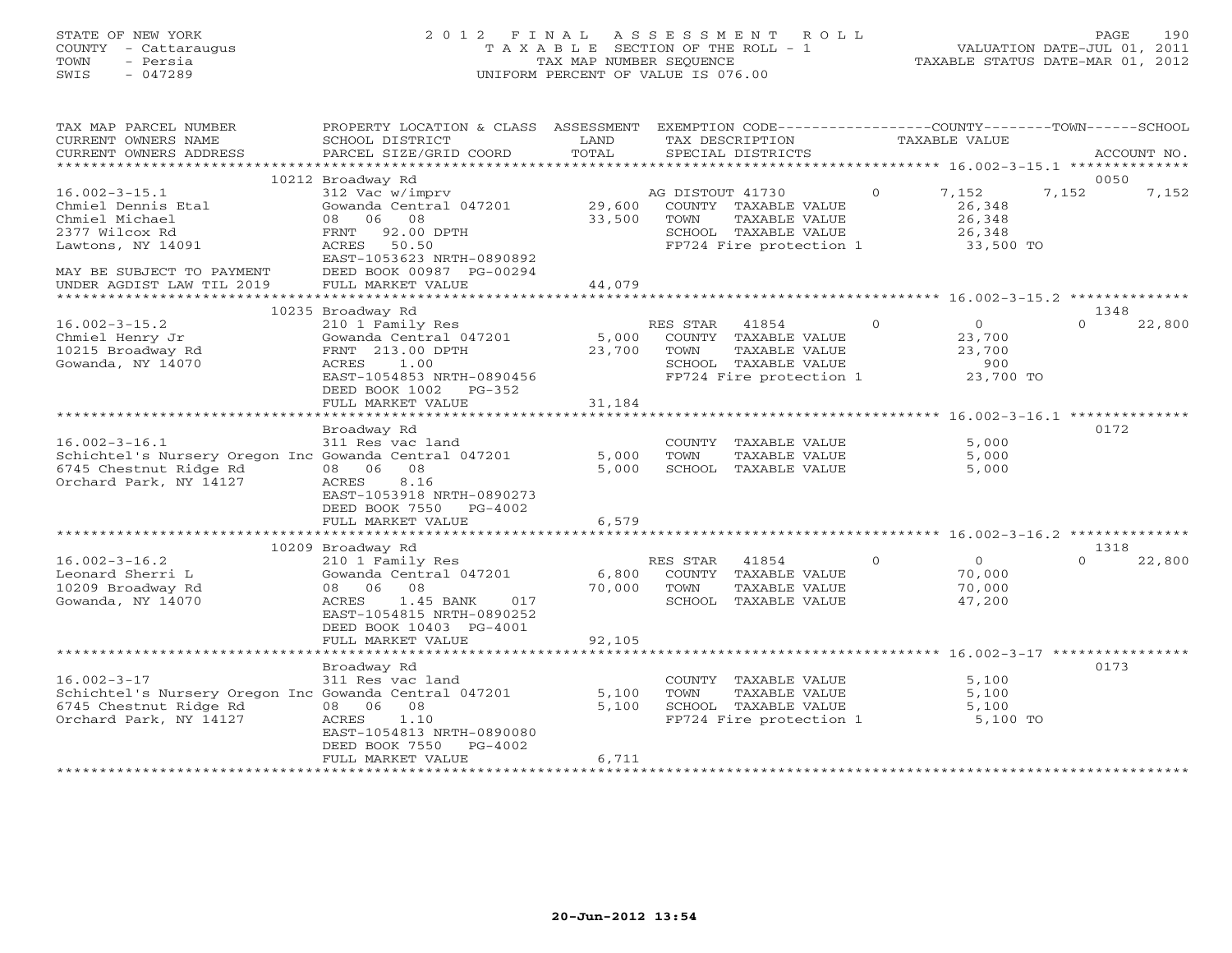## STATE OF NEW YORK 2 0 1 2 F I N A L A S S E S S M E N T R O L L PAGE 190 COUNTY - Cattaraugus T A X A B L E SECTION OF THE ROLL - 1 VALUATION DATE-JUL 01, 2011 TOWN - Persia TAX MAP NUMBER SEQUENCE TAXABLE STATUS DATE-MAR 01, 2012 SWIS - 047289 UNIFORM PERCENT OF VALUE IS 076.00UNIFORM PERCENT OF VALUE IS 076.00

| 10212 Broadway Rd<br>0050<br>$16.002 - 3 - 15.1$<br>312 Vac w/imprv<br>AG DISTOUT 41730<br>$\Omega$<br>7,152<br>7,152<br>7,152<br>Chmiel Dennis Etal<br>Gowanda Central 047201<br>29,600<br>COUNTY TAXABLE VALUE<br>26,348<br>08 06 08<br>Chmiel Michael<br>33,500<br>TOWN<br>TAXABLE VALUE<br>26,348<br>2377 Wilcox Rd<br>92.00 DPTH<br>SCHOOL TAXABLE VALUE<br>26,348<br>FRNT<br>ACRES 50.50<br>FP724 Fire protection 1<br>33,500 TO<br>Lawtons, NY 14091<br>EAST-1053623 NRTH-0890892<br>DEED BOOK 00987 PG-00294<br>MAY BE SUBJECT TO PAYMENT<br>UNDER AGDIST LAW TIL 2019<br>FULL MARKET VALUE<br>44,079<br>***************************<br>******************************** 16.002-3-15.2 *********<br>*************<br>10235 Broadway Rd<br>1348<br>$16.002 - 3 - 15.2$<br>210 1 Family Res<br>$\Omega$<br>$\Omega$<br>$\Omega$<br>22,800<br>RES STAR<br>41854<br>23,700<br>Chmiel Henry Jr<br>Gowanda Central 047201<br>5,000<br>COUNTY TAXABLE VALUE<br>10215 Broadway Rd<br>FRNT 213.00 DPTH<br>23,700<br>TOWN<br>TAXABLE VALUE<br>23,700<br>Gowanda, NY 14070<br>SCHOOL TAXABLE VALUE<br>ACRES<br>1.00<br>900<br>FP724 Fire protection 1<br>23,700 TO<br>EAST-1054853 NRTH-0890456<br>DEED BOOK 1002<br>PG-352<br>31,184<br>FULL MARKET VALUE<br>******************<br>*************<br>Broadway Rd<br>0172<br>$16.002 - 3 - 16.1$<br>311 Res vac land<br>5,000<br>COUNTY<br>TAXABLE VALUE<br>Schichtel's Nursery Oregon Inc Gowanda Central 047201<br>5,000<br>5,000<br>TAXABLE VALUE<br>TOWN<br>6745 Chestnut Ridge Rd<br>08 06 08<br>5,000<br>SCHOOL<br>TAXABLE VALUE<br>5,000<br>Orchard Park, NY 14127<br>ACRES<br>8.16<br>EAST-1053918 NRTH-0890273<br>DEED BOOK 7550<br>PG-4002<br>FULL MARKET VALUE<br>6,579<br>10209 Broadway Rd<br>1318<br>$16.002 - 3 - 16.2$<br>$\Omega$<br>$\Omega$<br>22,800<br>210 1 Family Res<br>RES STAR<br>41854<br>$\Omega$<br>Leonard Sherri L<br>Gowanda Central 047201<br>6,800<br>COUNTY TAXABLE VALUE<br>70,000<br>10209 Broadway Rd<br>08<br>70,000<br>70,000<br>08 06<br>TOWN<br>TAXABLE VALUE<br>Gowanda, NY 14070<br>$1.45$ BANK<br>017<br>SCHOOL TAXABLE VALUE<br>47,200<br>ACRES<br>EAST-1054815 NRTH-0890252<br>DEED BOOK 10403 PG-4001<br>FULL MARKET VALUE<br>92,105<br>0173<br>Broadway Rd<br>$16.002 - 3 - 17$<br>311 Res vac land<br>5,100<br>COUNTY TAXABLE VALUE<br>Schichtel's Nursery Oregon Inc Gowanda Central 047201<br>5,100<br>TOWN<br>TAXABLE VALUE<br>5,100<br>6745 Chestnut Ridge Rd<br>08 06 08<br>5,100<br>SCHOOL TAXABLE VALUE<br>5,100<br>Orchard Park, NY 14127<br>ACRES<br>1.10<br>FP724 Fire protection 1<br>5,100 TO<br>EAST-1054813 NRTH-0890080<br>DEED BOOK 7550<br>$PG-4002$<br>FULL MARKET VALUE<br>6,711 | TAX MAP PARCEL NUMBER<br>CURRENT OWNERS NAME<br>CURRENT OWNERS ADDRESS | PROPERTY LOCATION & CLASS ASSESSMENT<br>SCHOOL DISTRICT<br>PARCEL SIZE/GRID COORD | LAND<br>TOTAL | EXEMPTION CODE-----------------COUNTY-------TOWN------SCHOOL<br>TAX DESCRIPTION<br>SPECIAL DISTRICTS | TAXABLE VALUE | ACCOUNT NO. |
|---------------------------------------------------------------------------------------------------------------------------------------------------------------------------------------------------------------------------------------------------------------------------------------------------------------------------------------------------------------------------------------------------------------------------------------------------------------------------------------------------------------------------------------------------------------------------------------------------------------------------------------------------------------------------------------------------------------------------------------------------------------------------------------------------------------------------------------------------------------------------------------------------------------------------------------------------------------------------------------------------------------------------------------------------------------------------------------------------------------------------------------------------------------------------------------------------------------------------------------------------------------------------------------------------------------------------------------------------------------------------------------------------------------------------------------------------------------------------------------------------------------------------------------------------------------------------------------------------------------------------------------------------------------------------------------------------------------------------------------------------------------------------------------------------------------------------------------------------------------------------------------------------------------------------------------------------------------------------------------------------------------------------------------------------------------------------------------------------------------------------------------------------------------------------------------------------------------------------------------------------------------------------------------------------------------------------------------------------------------------------------------------------------------------------------------------------------------------------------------------------------------------------------------------------------------------------------------------------------------------------------------------------------------------------------------------------|------------------------------------------------------------------------|-----------------------------------------------------------------------------------|---------------|------------------------------------------------------------------------------------------------------|---------------|-------------|
|                                                                                                                                                                                                                                                                                                                                                                                                                                                                                                                                                                                                                                                                                                                                                                                                                                                                                                                                                                                                                                                                                                                                                                                                                                                                                                                                                                                                                                                                                                                                                                                                                                                                                                                                                                                                                                                                                                                                                                                                                                                                                                                                                                                                                                                                                                                                                                                                                                                                                                                                                                                                                                                                                                   | ************************                                               |                                                                                   |               |                                                                                                      |               |             |
|                                                                                                                                                                                                                                                                                                                                                                                                                                                                                                                                                                                                                                                                                                                                                                                                                                                                                                                                                                                                                                                                                                                                                                                                                                                                                                                                                                                                                                                                                                                                                                                                                                                                                                                                                                                                                                                                                                                                                                                                                                                                                                                                                                                                                                                                                                                                                                                                                                                                                                                                                                                                                                                                                                   |                                                                        |                                                                                   |               |                                                                                                      |               |             |
|                                                                                                                                                                                                                                                                                                                                                                                                                                                                                                                                                                                                                                                                                                                                                                                                                                                                                                                                                                                                                                                                                                                                                                                                                                                                                                                                                                                                                                                                                                                                                                                                                                                                                                                                                                                                                                                                                                                                                                                                                                                                                                                                                                                                                                                                                                                                                                                                                                                                                                                                                                                                                                                                                                   |                                                                        |                                                                                   |               |                                                                                                      |               |             |
|                                                                                                                                                                                                                                                                                                                                                                                                                                                                                                                                                                                                                                                                                                                                                                                                                                                                                                                                                                                                                                                                                                                                                                                                                                                                                                                                                                                                                                                                                                                                                                                                                                                                                                                                                                                                                                                                                                                                                                                                                                                                                                                                                                                                                                                                                                                                                                                                                                                                                                                                                                                                                                                                                                   |                                                                        |                                                                                   |               |                                                                                                      |               |             |
|                                                                                                                                                                                                                                                                                                                                                                                                                                                                                                                                                                                                                                                                                                                                                                                                                                                                                                                                                                                                                                                                                                                                                                                                                                                                                                                                                                                                                                                                                                                                                                                                                                                                                                                                                                                                                                                                                                                                                                                                                                                                                                                                                                                                                                                                                                                                                                                                                                                                                                                                                                                                                                                                                                   |                                                                        |                                                                                   |               |                                                                                                      |               |             |
|                                                                                                                                                                                                                                                                                                                                                                                                                                                                                                                                                                                                                                                                                                                                                                                                                                                                                                                                                                                                                                                                                                                                                                                                                                                                                                                                                                                                                                                                                                                                                                                                                                                                                                                                                                                                                                                                                                                                                                                                                                                                                                                                                                                                                                                                                                                                                                                                                                                                                                                                                                                                                                                                                                   |                                                                        |                                                                                   |               |                                                                                                      |               |             |
|                                                                                                                                                                                                                                                                                                                                                                                                                                                                                                                                                                                                                                                                                                                                                                                                                                                                                                                                                                                                                                                                                                                                                                                                                                                                                                                                                                                                                                                                                                                                                                                                                                                                                                                                                                                                                                                                                                                                                                                                                                                                                                                                                                                                                                                                                                                                                                                                                                                                                                                                                                                                                                                                                                   |                                                                        |                                                                                   |               |                                                                                                      |               |             |
|                                                                                                                                                                                                                                                                                                                                                                                                                                                                                                                                                                                                                                                                                                                                                                                                                                                                                                                                                                                                                                                                                                                                                                                                                                                                                                                                                                                                                                                                                                                                                                                                                                                                                                                                                                                                                                                                                                                                                                                                                                                                                                                                                                                                                                                                                                                                                                                                                                                                                                                                                                                                                                                                                                   |                                                                        |                                                                                   |               |                                                                                                      |               |             |
|                                                                                                                                                                                                                                                                                                                                                                                                                                                                                                                                                                                                                                                                                                                                                                                                                                                                                                                                                                                                                                                                                                                                                                                                                                                                                                                                                                                                                                                                                                                                                                                                                                                                                                                                                                                                                                                                                                                                                                                                                                                                                                                                                                                                                                                                                                                                                                                                                                                                                                                                                                                                                                                                                                   |                                                                        |                                                                                   |               |                                                                                                      |               |             |
|                                                                                                                                                                                                                                                                                                                                                                                                                                                                                                                                                                                                                                                                                                                                                                                                                                                                                                                                                                                                                                                                                                                                                                                                                                                                                                                                                                                                                                                                                                                                                                                                                                                                                                                                                                                                                                                                                                                                                                                                                                                                                                                                                                                                                                                                                                                                                                                                                                                                                                                                                                                                                                                                                                   |                                                                        |                                                                                   |               |                                                                                                      |               |             |
|                                                                                                                                                                                                                                                                                                                                                                                                                                                                                                                                                                                                                                                                                                                                                                                                                                                                                                                                                                                                                                                                                                                                                                                                                                                                                                                                                                                                                                                                                                                                                                                                                                                                                                                                                                                                                                                                                                                                                                                                                                                                                                                                                                                                                                                                                                                                                                                                                                                                                                                                                                                                                                                                                                   |                                                                        |                                                                                   |               |                                                                                                      |               |             |
|                                                                                                                                                                                                                                                                                                                                                                                                                                                                                                                                                                                                                                                                                                                                                                                                                                                                                                                                                                                                                                                                                                                                                                                                                                                                                                                                                                                                                                                                                                                                                                                                                                                                                                                                                                                                                                                                                                                                                                                                                                                                                                                                                                                                                                                                                                                                                                                                                                                                                                                                                                                                                                                                                                   |                                                                        |                                                                                   |               |                                                                                                      |               |             |
|                                                                                                                                                                                                                                                                                                                                                                                                                                                                                                                                                                                                                                                                                                                                                                                                                                                                                                                                                                                                                                                                                                                                                                                                                                                                                                                                                                                                                                                                                                                                                                                                                                                                                                                                                                                                                                                                                                                                                                                                                                                                                                                                                                                                                                                                                                                                                                                                                                                                                                                                                                                                                                                                                                   |                                                                        |                                                                                   |               |                                                                                                      |               |             |
|                                                                                                                                                                                                                                                                                                                                                                                                                                                                                                                                                                                                                                                                                                                                                                                                                                                                                                                                                                                                                                                                                                                                                                                                                                                                                                                                                                                                                                                                                                                                                                                                                                                                                                                                                                                                                                                                                                                                                                                                                                                                                                                                                                                                                                                                                                                                                                                                                                                                                                                                                                                                                                                                                                   |                                                                        |                                                                                   |               |                                                                                                      |               |             |
|                                                                                                                                                                                                                                                                                                                                                                                                                                                                                                                                                                                                                                                                                                                                                                                                                                                                                                                                                                                                                                                                                                                                                                                                                                                                                                                                                                                                                                                                                                                                                                                                                                                                                                                                                                                                                                                                                                                                                                                                                                                                                                                                                                                                                                                                                                                                                                                                                                                                                                                                                                                                                                                                                                   |                                                                        |                                                                                   |               |                                                                                                      |               |             |
|                                                                                                                                                                                                                                                                                                                                                                                                                                                                                                                                                                                                                                                                                                                                                                                                                                                                                                                                                                                                                                                                                                                                                                                                                                                                                                                                                                                                                                                                                                                                                                                                                                                                                                                                                                                                                                                                                                                                                                                                                                                                                                                                                                                                                                                                                                                                                                                                                                                                                                                                                                                                                                                                                                   |                                                                        |                                                                                   |               |                                                                                                      |               |             |
|                                                                                                                                                                                                                                                                                                                                                                                                                                                                                                                                                                                                                                                                                                                                                                                                                                                                                                                                                                                                                                                                                                                                                                                                                                                                                                                                                                                                                                                                                                                                                                                                                                                                                                                                                                                                                                                                                                                                                                                                                                                                                                                                                                                                                                                                                                                                                                                                                                                                                                                                                                                                                                                                                                   |                                                                        |                                                                                   |               |                                                                                                      |               |             |
|                                                                                                                                                                                                                                                                                                                                                                                                                                                                                                                                                                                                                                                                                                                                                                                                                                                                                                                                                                                                                                                                                                                                                                                                                                                                                                                                                                                                                                                                                                                                                                                                                                                                                                                                                                                                                                                                                                                                                                                                                                                                                                                                                                                                                                                                                                                                                                                                                                                                                                                                                                                                                                                                                                   |                                                                        |                                                                                   |               |                                                                                                      |               |             |
|                                                                                                                                                                                                                                                                                                                                                                                                                                                                                                                                                                                                                                                                                                                                                                                                                                                                                                                                                                                                                                                                                                                                                                                                                                                                                                                                                                                                                                                                                                                                                                                                                                                                                                                                                                                                                                                                                                                                                                                                                                                                                                                                                                                                                                                                                                                                                                                                                                                                                                                                                                                                                                                                                                   |                                                                        |                                                                                   |               |                                                                                                      |               |             |
|                                                                                                                                                                                                                                                                                                                                                                                                                                                                                                                                                                                                                                                                                                                                                                                                                                                                                                                                                                                                                                                                                                                                                                                                                                                                                                                                                                                                                                                                                                                                                                                                                                                                                                                                                                                                                                                                                                                                                                                                                                                                                                                                                                                                                                                                                                                                                                                                                                                                                                                                                                                                                                                                                                   |                                                                        |                                                                                   |               |                                                                                                      |               |             |
|                                                                                                                                                                                                                                                                                                                                                                                                                                                                                                                                                                                                                                                                                                                                                                                                                                                                                                                                                                                                                                                                                                                                                                                                                                                                                                                                                                                                                                                                                                                                                                                                                                                                                                                                                                                                                                                                                                                                                                                                                                                                                                                                                                                                                                                                                                                                                                                                                                                                                                                                                                                                                                                                                                   |                                                                        |                                                                                   |               |                                                                                                      |               |             |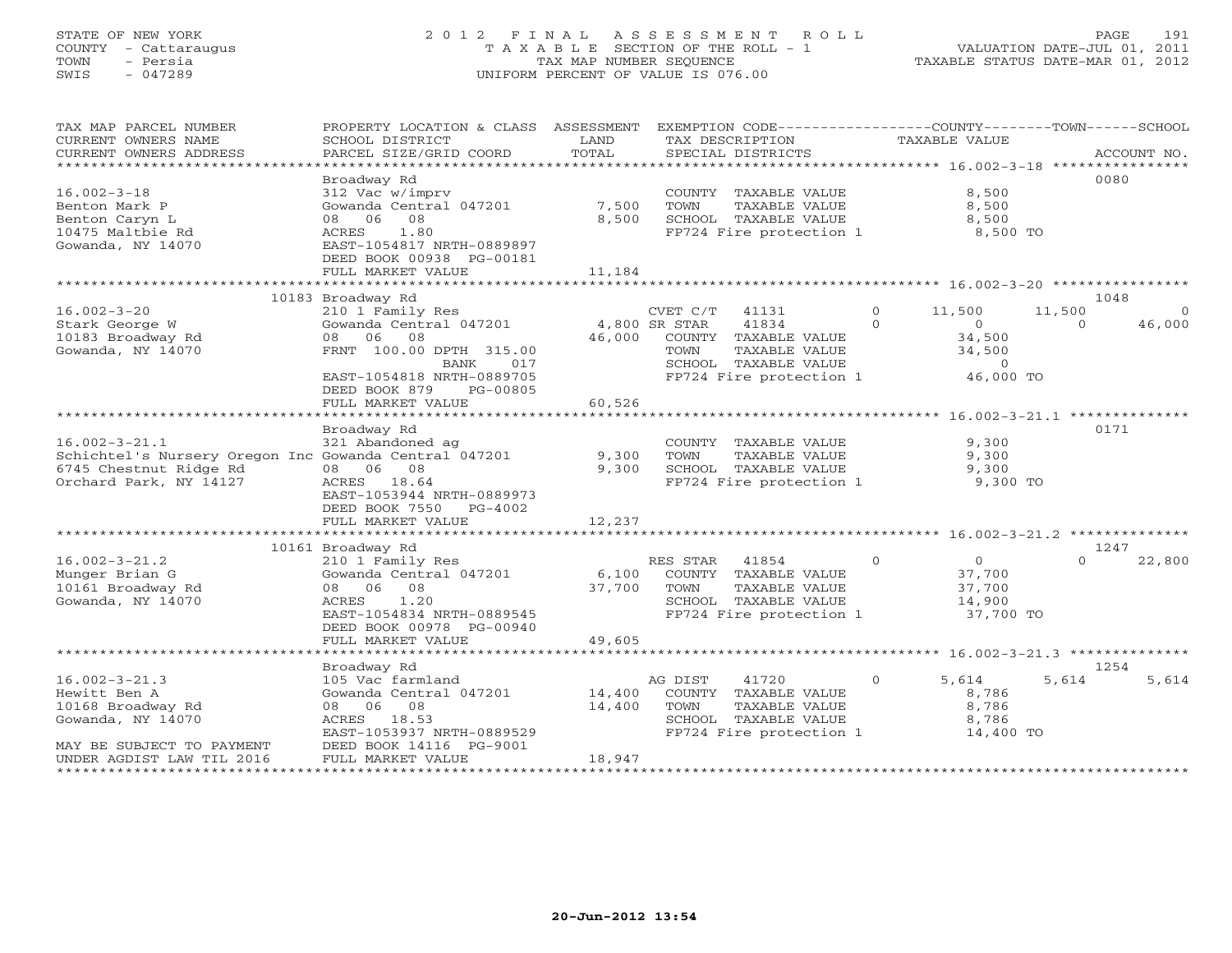## STATE OF NEW YORK 2 0 1 2 F I N A L A S S E S S M E N T R O L L PAGE 191 COUNTY - Cattaraugus T A X A B L E SECTION OF THE ROLL - 1 VALUATION DATE-JUL 01, 2011 TOWN - Persia TAX MAP NUMBER SEQUENCE TAXABLE STATUS DATE-MAR 01, 2012 SWIS - 047289 UNIFORM PERCENT OF VALUE IS 076.00UNIFORM PERCENT OF VALUE IS 076.00

| TAX MAP PARCEL NUMBER<br>CURRENT OWNERS NAME<br>CURRENT OWNERS ADDRESS | PROPERTY LOCATION & CLASS ASSESSMENT<br>SCHOOL DISTRICT<br>PARCEL SIZE/GRID COORD           | LAND<br>TOTAL  |                  | EXEMPTION CODE----------------COUNTY-------TOWN------SCHOOL<br>TAX DESCRIPTION<br>SPECIAL DISTRICTS |          | TAXABLE VALUE           |          | ACCOUNT NO. |
|------------------------------------------------------------------------|---------------------------------------------------------------------------------------------|----------------|------------------|-----------------------------------------------------------------------------------------------------|----------|-------------------------|----------|-------------|
|                                                                        |                                                                                             |                |                  |                                                                                                     |          |                         |          |             |
| $16.002 - 3 - 18$<br>Benton Mark P<br>Benton Caryn L                   | Broadway Rd<br>312 Vac w/imprv<br>Gowanda Central 047201<br>08 06<br>08                     | 7,500<br>8,500 | TOWN             | COUNTY TAXABLE VALUE<br>TAXABLE VALUE<br>SCHOOL TAXABLE VALUE                                       |          | 8,500<br>8,500<br>8,500 |          | 0080        |
| 10475 Maltbie Rd<br>Gowanda, NY 14070                                  | 1.80<br>ACRES<br>EAST-1054817 NRTH-0889897<br>DEED BOOK 00938 PG-00181<br>FULL MARKET VALUE | 11,184         |                  | FP724 Fire protection 1                                                                             |          | 8,500 TO                |          |             |
|                                                                        | *****************************                                                               |                |                  |                                                                                                     |          |                         |          |             |
|                                                                        | 10183 Broadway Rd                                                                           |                |                  |                                                                                                     |          |                         |          | 1048        |
| $16.002 - 3 - 20$                                                      | 210 1 Family Res                                                                            |                | $CVET C/T$ 41131 |                                                                                                     | $\Omega$ | 11,500                  | 11,500   | $\Omega$    |
| Stark George W                                                         | Gowanda Central 047201                                                                      |                | 4,800 SR STAR    | 41834                                                                                               | $\Omega$ | $\circ$                 | $\Omega$ | 46,000      |
| 10183 Broadway Rd                                                      | 08 06 08                                                                                    | 46,000         |                  | COUNTY TAXABLE VALUE                                                                                |          | 34,500                  |          |             |
| Gowanda, NY 14070                                                      | FRNT 100.00 DPTH 315.00                                                                     |                | TOWN             | TAXABLE VALUE                                                                                       |          | 34,500                  |          |             |
|                                                                        | BANK<br>017                                                                                 |                |                  | SCHOOL TAXABLE VALUE                                                                                |          | $\circ$                 |          |             |
|                                                                        | EAST-1054818 NRTH-0889705                                                                   |                |                  | FP724 Fire protection 1                                                                             |          | 46,000 TO               |          |             |
|                                                                        | DEED BOOK 879<br>PG-00805                                                                   |                |                  |                                                                                                     |          |                         |          |             |
|                                                                        | FULL MARKET VALUE                                                                           | 60,526         |                  |                                                                                                     |          |                         |          |             |
|                                                                        | Broadway Rd                                                                                 |                |                  |                                                                                                     |          |                         |          | 0171        |
| $16.002 - 3 - 21.1$                                                    | 321 Abandoned ag                                                                            |                |                  | COUNTY TAXABLE VALUE                                                                                |          | 9,300                   |          |             |
| Schichtel's Nursery Oregon Inc Gowanda Central 047201                  |                                                                                             | 9,300          | TOWN             | TAXABLE VALUE                                                                                       |          | 9,300                   |          |             |
| 6745 Chestnut Ridge Rd                                                 | 08 06 08                                                                                    | 9,300          |                  | SCHOOL TAXABLE VALUE                                                                                |          | 9,300                   |          |             |
| Orchard Park, NY 14127                                                 | ACRES 18.64                                                                                 |                |                  | FP724 Fire protection 1                                                                             |          | 9,300 TO                |          |             |
|                                                                        | EAST-1053944 NRTH-0889973<br>DEED BOOK 7550<br>PG-4002                                      |                |                  |                                                                                                     |          |                         |          |             |
|                                                                        | FULL MARKET VALUE                                                                           | 12,237         |                  |                                                                                                     |          |                         |          |             |
|                                                                        |                                                                                             |                |                  |                                                                                                     |          |                         |          |             |
|                                                                        | 10161 Broadway Rd                                                                           |                |                  |                                                                                                     |          |                         |          | 1247        |
| $16.002 - 3 - 21.2$                                                    | 210 1 Family Res                                                                            |                | RES STAR         | 41854                                                                                               | $\Omega$ | $\overline{O}$          | $\Omega$ | 22,800      |
| Munger Brian G                                                         | Gowanda Central 047201                                                                      | 6,100          |                  | COUNTY TAXABLE VALUE                                                                                |          | 37,700                  |          |             |
| 10161 Broadway Rd                                                      | 08 06 08                                                                                    | 37,700         | TOWN             | TAXABLE VALUE                                                                                       |          | 37,700                  |          |             |
| Gowanda, NY 14070                                                      | 1.20<br>ACRES                                                                               |                |                  | SCHOOL TAXABLE VALUE                                                                                |          | 14,900                  |          |             |
|                                                                        | EAST-1054834 NRTH-0889545                                                                   |                |                  | FP724 Fire protection 1                                                                             |          | 37,700 TO               |          |             |
|                                                                        | DEED BOOK 00978 PG-00940                                                                    |                |                  |                                                                                                     |          |                         |          |             |
|                                                                        | FULL MARKET VALUE                                                                           | 49,605         |                  |                                                                                                     |          |                         |          |             |
|                                                                        |                                                                                             |                |                  |                                                                                                     |          |                         |          |             |
|                                                                        | Broadway Rd                                                                                 |                |                  |                                                                                                     |          |                         |          | 1254        |
| $16.002 - 3 - 21.3$                                                    | 105 Vac farmland                                                                            |                | AG DIST          | 41720                                                                                               | $\Omega$ | 5,614                   | 5,614    | 5,614       |
| Hewitt Ben A                                                           | Gowanda Central 047201                                                                      | 14,400         |                  | COUNTY TAXABLE VALUE                                                                                |          | 8,786                   |          |             |
| 10168 Broadway Rd                                                      | 08 06 08                                                                                    | 14,400         | TOWN             | TAXABLE VALUE<br>SCHOOL TAXABLE VALUE                                                               |          | 8,786                   |          |             |
| Gowanda, NY 14070                                                      | ACRES 18.53<br>EAST-1053937 NRTH-0889529                                                    |                |                  | FP724 Fire protection 1                                                                             |          | 8,786<br>14,400 TO      |          |             |
| MAY BE SUBJECT TO PAYMENT                                              | DEED BOOK 14116 PG-9001                                                                     |                |                  |                                                                                                     |          |                         |          |             |
| UNDER AGDIST LAW TIL 2016                                              | FULL MARKET VALUE                                                                           | 18,947         |                  |                                                                                                     |          |                         |          |             |
| *************************                                              | ***********************                                                                     |                |                  |                                                                                                     |          |                         |          |             |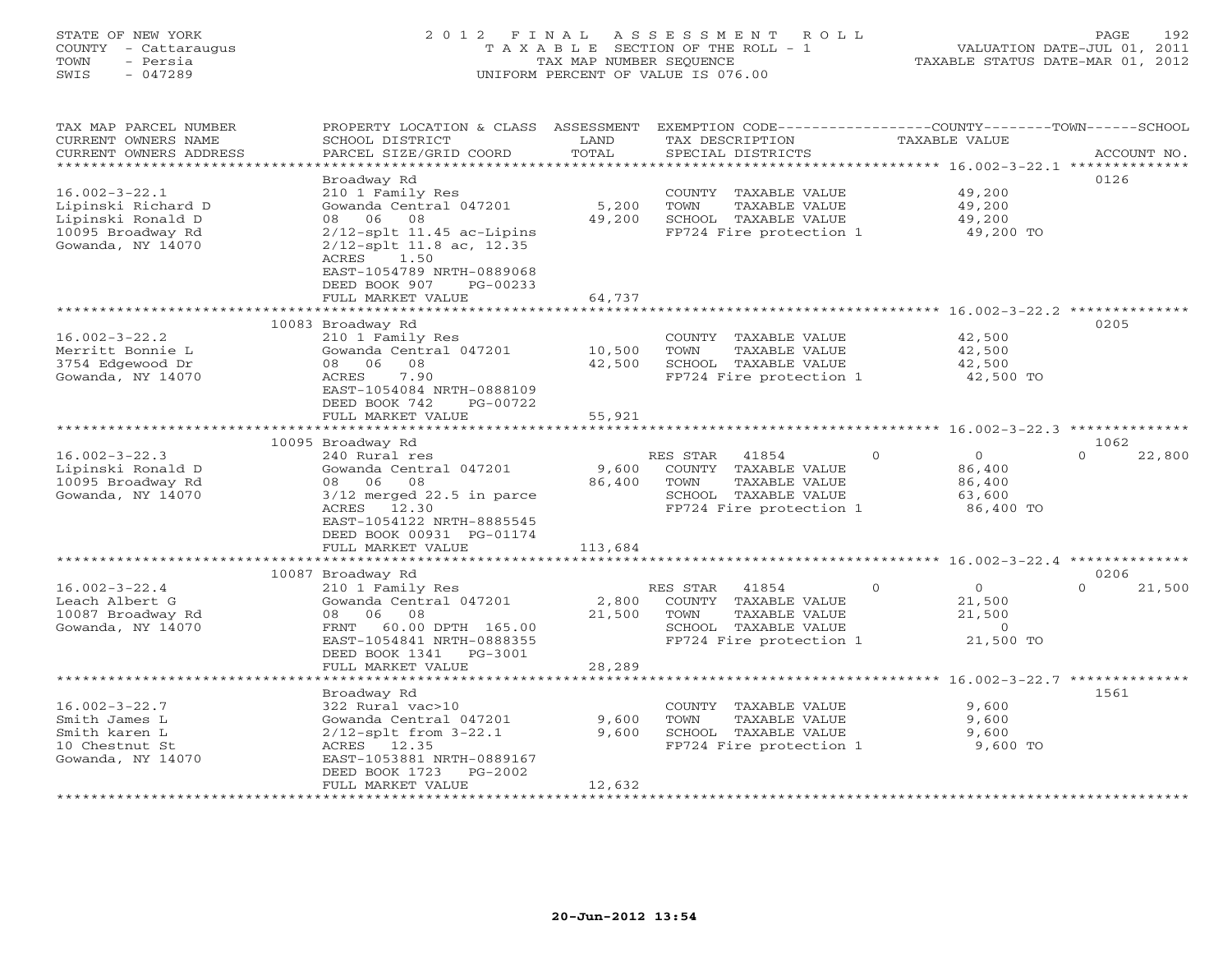## STATE OF NEW YORK 2 0 1 2 F I N A L A S S E S S M E N T R O L L PAGE 192 COUNTY - Cattaraugus T A X A B L E SECTION OF THE ROLL - 1 VALUATION DATE-JUL 01, 2011 TOWN - Persia TAX MAP NUMBER SEQUENCE TAXABLE STATUS DATE-MAR 01, 2012 SWIS - 047289 UNIFORM PERCENT OF VALUE IS 076.00UNIFORM PERCENT OF VALUE IS 076.00

| TAX MAP PARCEL NUMBER<br>CURRENT OWNERS NAME<br>CURRENT OWNERS ADDRESS<br>*******************            | PROPERTY LOCATION & CLASS ASSESSMENT<br>SCHOOL DISTRICT<br>PARCEL SIZE/GRID COORD                                                                                                 | LAND<br>TOTAL             | TAX DESCRIPTION<br>SPECIAL DISTRICTS                                                                                  | EXEMPTION CODE-----------------COUNTY-------TOWN-----SCHOOL<br><b>TAXABLE VALUE</b> | ACCOUNT NO.                |
|----------------------------------------------------------------------------------------------------------|-----------------------------------------------------------------------------------------------------------------------------------------------------------------------------------|---------------------------|-----------------------------------------------------------------------------------------------------------------------|-------------------------------------------------------------------------------------|----------------------------|
|                                                                                                          | Broadway Rd                                                                                                                                                                       |                           |                                                                                                                       |                                                                                     | 0126                       |
| $16.002 - 3 - 22.1$<br>Lipinski Richard D<br>Lipinski Ronald D<br>10095 Broadway Rd<br>Gowanda, NY 14070 | 210 1 Family Res<br>Gowanda Central 047201<br>06<br>08<br>08<br>$2/12$ -splt 11.45 ac-Lipins<br>$2/12$ -splt 11.8 ac, 12.35<br>ACRES<br>1.50<br>EAST-1054789 NRTH-0889068         | 5,200<br>49,200           | COUNTY TAXABLE VALUE<br>TOWN<br>TAXABLE VALUE<br>SCHOOL TAXABLE VALUE<br>FP724 Fire protection 1                      | 49,200<br>49,200<br>49,200<br>49,200 TO                                             |                            |
|                                                                                                          | DEED BOOK 907<br>PG-00233<br>FULL MARKET VALUE                                                                                                                                    | 64,737                    |                                                                                                                       |                                                                                     |                            |
|                                                                                                          | ********************************                                                                                                                                                  |                           |                                                                                                                       |                                                                                     |                            |
| $16.002 - 3 - 22.2$<br>Merritt Bonnie L<br>3754 Edgewood Dr<br>Gowanda, NY 14070                         | 10083 Broadway Rd<br>210 1 Family Res<br>Gowanda Central 047201<br>08 06<br>08<br>ACRES<br>7.90<br>EAST-1054084 NRTH-0888109<br>DEED BOOK 742<br>PG-00722                         | 10,500<br>42,500          | COUNTY TAXABLE VALUE<br>TOWN<br>TAXABLE VALUE<br>SCHOOL TAXABLE VALUE<br>FP724 Fire protection 1                      | 42,500<br>42,500<br>42,500<br>42,500 TO                                             | 0205                       |
|                                                                                                          | FULL MARKET VALUE                                                                                                                                                                 | 55,921                    |                                                                                                                       |                                                                                     |                            |
|                                                                                                          |                                                                                                                                                                                   |                           |                                                                                                                       |                                                                                     |                            |
| $16.002 - 3 - 22.3$<br>Lipinski Ronald D<br>10095 Broadway Rd<br>Gowanda, NY 14070                       | 10095 Broadway Rd<br>240 Rural res<br>Gowanda Central 047201<br>08 06 08<br>$3/12$ merged $22.5$ in parce<br>ACRES 12.30<br>EAST-1054122 NRTH-8885545<br>DEED BOOK 00931 PG-01174 | 9,600<br>86,400           | RES STAR<br>41854<br>COUNTY TAXABLE VALUE<br>TOWN<br>TAXABLE VALUE<br>SCHOOL TAXABLE VALUE<br>FP724 Fire protection 1 | $\Omega$<br>$\overline{0}$<br>86,400<br>86,400<br>63,600<br>86,400 TO               | 1062<br>22,800<br>$\Omega$ |
|                                                                                                          | FULL MARKET VALUE                                                                                                                                                                 | 113,684                   |                                                                                                                       |                                                                                     |                            |
|                                                                                                          | 10087 Broadway Rd                                                                                                                                                                 |                           |                                                                                                                       |                                                                                     | 0206                       |
| $16.002 - 3 - 22.4$<br>Leach Albert G<br>10087 Broadway Rd<br>Gowanda, NY 14070                          | 210 1 Family Res<br>Gowanda Central 047201<br>08<br>06<br>08<br>FRNT 60.00 DPTH 165.00<br>EAST-1054841 NRTH-0888355<br>DEED BOOK 1341 PG-3001<br>FULL MARKET VALUE                | 2,800<br>21,500<br>28,289 | RES STAR<br>41854<br>COUNTY TAXABLE VALUE<br>TOWN<br>TAXABLE VALUE<br>SCHOOL TAXABLE VALUE<br>FP724 Fire protection 1 | $\Omega$<br>$\overline{O}$<br>21,500<br>21,500<br>$\circ$<br>21,500 TO              | $\Omega$<br>21,500         |
|                                                                                                          |                                                                                                                                                                                   |                           |                                                                                                                       |                                                                                     |                            |
| $16.002 - 3 - 22.7$<br>Smith James L<br>Smith karen L<br>10 Chestnut St<br>Gowanda, NY 14070             | Broadway Rd<br>322 Rural vac>10<br>Gowanda Central 047201<br>$2/12$ -splt from $3-22.1$<br>ACRES 12.35<br>EAST-1053881 NRTH-0889167<br>DEED BOOK 1723<br>PG-2002                  | 9,600<br>9,600            | COUNTY TAXABLE VALUE<br>TOWN<br>TAXABLE VALUE<br>SCHOOL TAXABLE VALUE<br>FP724 Fire protection 1                      | 9,600<br>9,600<br>9,600<br>9,600 TO                                                 | 1561                       |
|                                                                                                          | FULL MARKET VALUE                                                                                                                                                                 | 12,632                    | ******************************                                                                                        |                                                                                     |                            |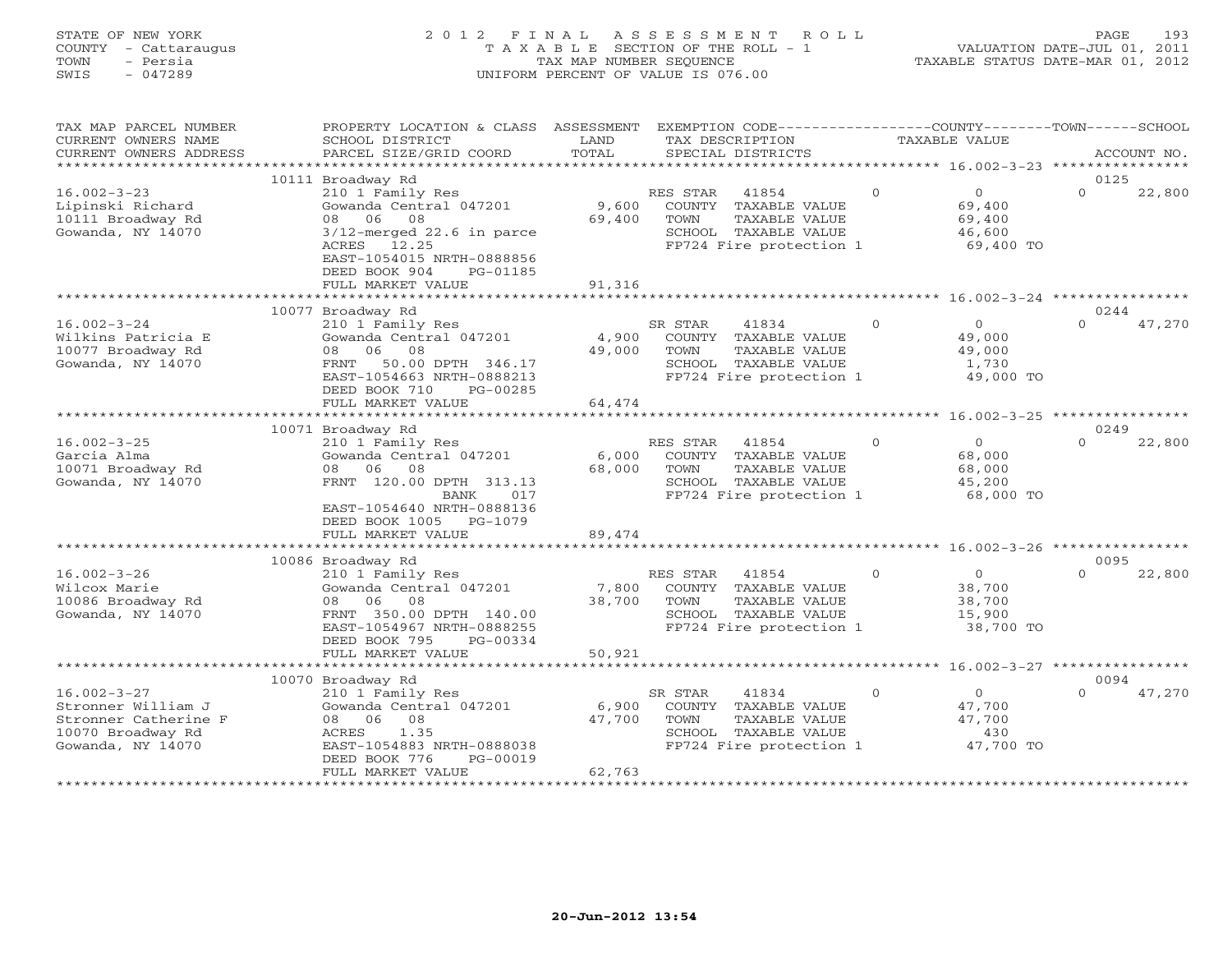## STATE OF NEW YORK 2 0 1 2 F I N A L A S S E S S M E N T R O L L PAGE 193 COUNTY - Cattaraugus T A X A B L E SECTION OF THE ROLL - 1 VALUATION DATE-JUL 01, 2011 TOWN - Persia TAX MAP NUMBER SEQUENCE TAXABLE STATUS DATE-MAR 01, 2012 SWIS - 047289 UNIFORM PERCENT OF VALUE IS 076.00UNIFORM PERCENT OF VALUE IS 076.00

| TAX MAP PARCEL NUMBER                     | PROPERTY LOCATION & CLASS                  | ASSESSMENT                 | EXEMPTION CODE-----------------COUNTY-------TOWN------SCHOOL |          |                                                   |          |             |
|-------------------------------------------|--------------------------------------------|----------------------------|--------------------------------------------------------------|----------|---------------------------------------------------|----------|-------------|
| CURRENT OWNERS NAME                       | SCHOOL DISTRICT                            | LAND                       | TAX DESCRIPTION                                              |          | TAXABLE VALUE                                     |          |             |
| CURRENT OWNERS ADDRESS                    | PARCEL SIZE/GRID COORD                     | TOTAL<br>* * * * * * * * * | SPECIAL DISTRICTS                                            |          | ******************** 16.002-3-23 **************** |          | ACCOUNT NO. |
|                                           | 10111 Broadway Rd                          |                            |                                                              |          |                                                   | 0125     |             |
| $16.002 - 3 - 23$                         | 210 1 Family Res                           |                            | 41854<br>RES STAR                                            | $\Omega$ | $\Omega$                                          | $\Omega$ | 22,800      |
| Lipinski Richard                          | Gowanda Central 047201                     | 9,600                      | COUNTY<br>TAXABLE VALUE                                      |          | 69,400                                            |          |             |
| 10111 Broadway Rd                         | 06 08<br>08                                | 69,400                     | TAXABLE VALUE<br>TOWN                                        |          | 69,400                                            |          |             |
| Gowanda, NY 14070                         | $3/12$ -merged 22.6 in parce               |                            | SCHOOL TAXABLE VALUE                                         |          | 46,600                                            |          |             |
|                                           | ACRES<br>12.25                             |                            | FP724 Fire protection 1                                      |          | 69,400 TO                                         |          |             |
|                                           | EAST-1054015 NRTH-0888856                  |                            |                                                              |          |                                                   |          |             |
|                                           | DEED BOOK 904<br>PG-01185                  |                            |                                                              |          |                                                   |          |             |
|                                           | FULL MARKET VALUE                          | 91,316                     |                                                              |          |                                                   |          |             |
|                                           |                                            |                            |                                                              |          | ******** 16.002-3-24 *****                        |          |             |
|                                           | 10077 Broadway Rd                          |                            |                                                              |          |                                                   | 0244     |             |
| $16.002 - 3 - 24$                         | 210 1 Family Res                           |                            | 41834<br>SR STAR                                             | $\Omega$ | $\overline{0}$                                    | $\Omega$ | 47,270      |
| Wilkins Patricia E<br>10077 Broadway Rd   | Gowanda Central 047201<br>08<br>06 08      | 4,900                      | COUNTY TAXABLE VALUE<br>TOWN                                 |          | 49,000                                            |          |             |
| Gowanda, NY 14070                         | 50.00 DPTH 346.17<br>FRNT                  | 49,000                     | TAXABLE VALUE<br>SCHOOL TAXABLE VALUE                        |          | 49,000<br>1,730                                   |          |             |
|                                           | EAST-1054663 NRTH-0888213                  |                            | FP724 Fire protection 1                                      |          | 49,000 TO                                         |          |             |
|                                           | DEED BOOK 710<br>PG-00285                  |                            |                                                              |          |                                                   |          |             |
|                                           | FULL MARKET VALUE                          | 64,474                     |                                                              |          |                                                   |          |             |
|                                           |                                            | * * * * * * * * * * * *    |                                                              |          | ******** 16.002-3-25 *****************            |          |             |
|                                           | 10071 Broadway Rd                          |                            |                                                              |          |                                                   | 0249     |             |
| $16.002 - 3 - 25$                         | 210 1 Family Res                           |                            | 41854<br>RES STAR                                            | $\Omega$ | $\circ$                                           | $\Omega$ | 22,800      |
| Garcia Alma                               | Gowanda Central 047201                     | 6,000                      | TAXABLE VALUE<br>COUNTY                                      |          | 68,000                                            |          |             |
| 10071 Broadway Rd                         | 06<br>08<br>08                             | 68,000                     | TOWN<br>TAXABLE VALUE                                        |          | 68,000                                            |          |             |
| Gowanda, NY 14070                         | FRNT 120.00 DPTH 313.13                    |                            | SCHOOL TAXABLE VALUE                                         |          | 45,200                                            |          |             |
|                                           | BANK<br>017                                |                            | FP724 Fire protection 1                                      |          | 68,000 TO                                         |          |             |
|                                           | EAST-1054640 NRTH-0888136                  |                            |                                                              |          |                                                   |          |             |
|                                           | DEED BOOK 1005<br>PG-1079                  |                            |                                                              |          |                                                   |          |             |
|                                           | FULL MARKET VALUE                          | 89,474                     |                                                              |          |                                                   |          |             |
|                                           | 10086 Broadway Rd                          |                            |                                                              |          |                                                   | 0095     |             |
| $16.002 - 3 - 26$                         | 210 1 Family Res                           |                            | 41854<br>RES STAR                                            | $\Omega$ | $\circ$                                           | $\Omega$ | 22,800      |
| Wilcox Marie                              | Gowanda Central 047201                     | 7,800                      | COUNTY TAXABLE VALUE                                         |          | 38,700                                            |          |             |
| 10086 Broadway Rd                         | 06 08<br>08                                | 38,700                     | TAXABLE VALUE<br>TOWN                                        |          | 38,700                                            |          |             |
| Gowanda, NY 14070                         | FRNT 350.00 DPTH 140.00                    |                            | SCHOOL TAXABLE VALUE                                         |          | 15,900                                            |          |             |
|                                           | EAST-1054967 NRTH-0888255                  |                            | FP724 Fire protection 1                                      |          | 38,700 TO                                         |          |             |
|                                           | DEED BOOK 795<br>PG-00334                  |                            |                                                              |          |                                                   |          |             |
|                                           | FULL MARKET VALUE                          | 50,921                     |                                                              |          |                                                   |          |             |
|                                           |                                            |                            |                                                              |          |                                                   |          |             |
|                                           | 10070 Broadway Rd                          |                            |                                                              |          |                                                   | 0094     |             |
| $16.002 - 3 - 27$                         | 210 1 Family Res                           |                            | SR STAR<br>41834                                             | $\Omega$ | $\circ$                                           | $\Omega$ | 47,270      |
| Stronner William J                        | Gowanda Central 047201                     | 6,900                      | TAXABLE VALUE<br>COUNTY                                      |          | 47,700                                            |          |             |
| Stronner Catherine F<br>10070 Broadway Rd | 06<br>08<br>08                             | 47,700                     | TOWN<br>TAXABLE VALUE                                        |          | 47,700<br>430                                     |          |             |
| Gowanda, NY 14070                         | ACRES<br>1.35<br>EAST-1054883 NRTH-0888038 |                            | SCHOOL TAXABLE VALUE<br>FP724 Fire protection 1              |          | 47,700 TO                                         |          |             |
|                                           | DEED BOOK 776<br>PG-00019                  |                            |                                                              |          |                                                   |          |             |
|                                           | FULL MARKET VALUE                          | 62,763                     |                                                              |          |                                                   |          |             |
|                                           | ************************                   |                            |                                                              |          |                                                   |          |             |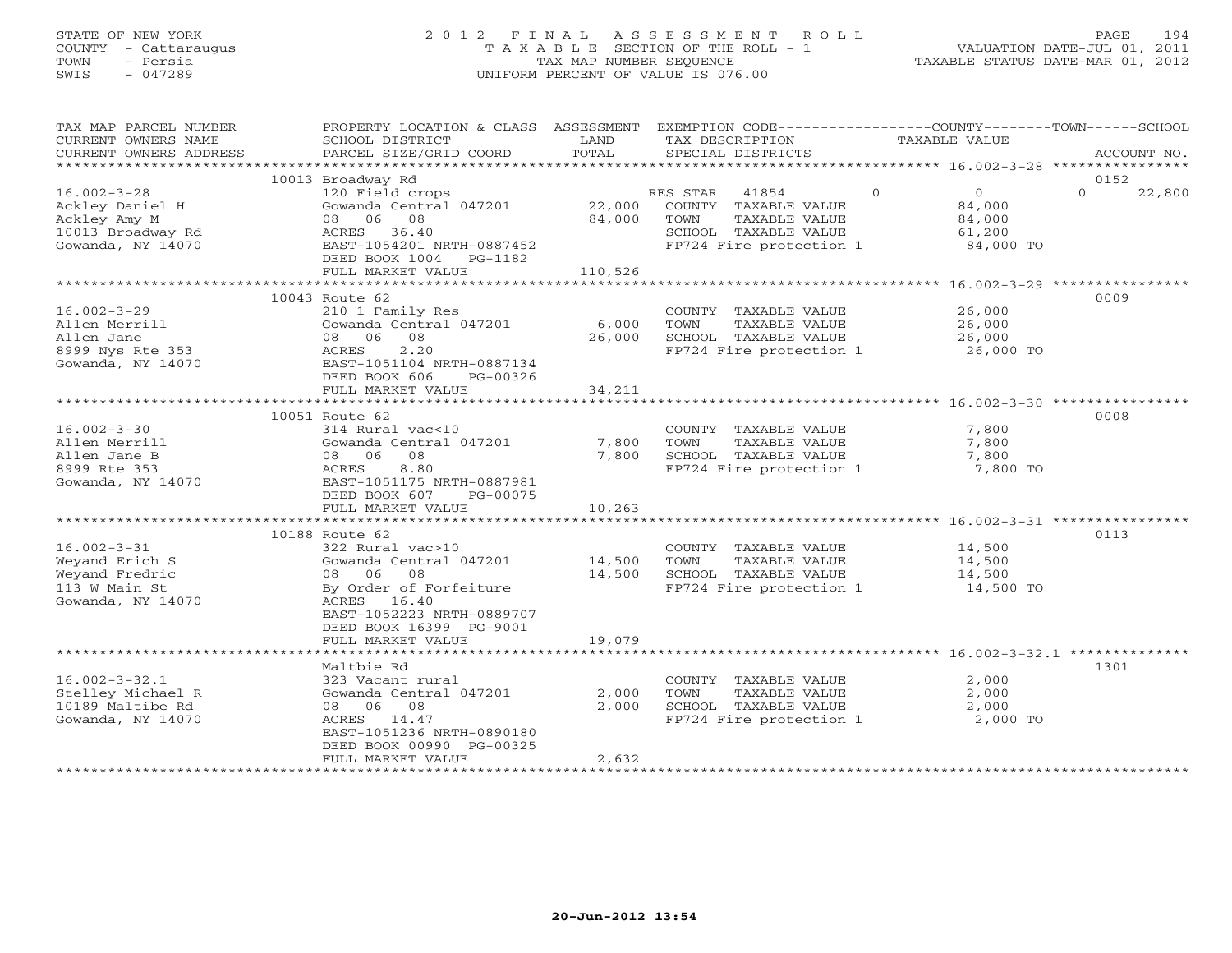## STATE OF NEW YORK 2 0 1 2 F I N A L A S S E S S M E N T R O L L PAGE 194 COUNTY - Cattaraugus T A X A B L E SECTION OF THE ROLL - 1 VALUATION DATE-JUL 01, 2011 TOWN - Persia TAX MAP NUMBER SEQUENCE TAXABLE STATUS DATE-MAR 01, 2012 SWIS - 047289 UNIFORM PERCENT OF VALUE IS 076.00UNIFORM PERCENT OF VALUE IS 076.00

| TAX MAP PARCEL NUMBER<br>CURRENT OWNERS NAME<br>CURRENT OWNERS ADDRESS                         | PROPERTY LOCATION & CLASS ASSESSMENT EXEMPTION CODE---------------COUNTY-------TOWN------SCHOOL<br>SCHOOL DISTRICT<br>PARCEL SIZE/GRID COORD                                | LAND<br>TOTAL            | TAX DESCRIPTION<br>SPECIAL DISTRICTS                                                                                  | TAXABLE VALUE |                                                           |          | ACCOUNT NO. |
|------------------------------------------------------------------------------------------------|-----------------------------------------------------------------------------------------------------------------------------------------------------------------------------|--------------------------|-----------------------------------------------------------------------------------------------------------------------|---------------|-----------------------------------------------------------|----------|-------------|
|                                                                                                |                                                                                                                                                                             |                          |                                                                                                                       |               |                                                           |          |             |
|                                                                                                | 10013 Broadway Rd                                                                                                                                                           |                          |                                                                                                                       |               |                                                           | 0152     |             |
| $16.002 - 3 - 28$<br>Ackley Daniel H<br>Ackley Amy M<br>10013 Broadway Rd<br>Gowanda, NY 14070 | 120 Field crops<br>Gowanda Central 047201<br>08 06 08<br>ACRES 36.40<br>EAST-1054201 NRTH-0887452<br>DEED BOOK 1004 PG-1182                                                 | 22,000<br>84,000         | RES STAR<br>41854<br>COUNTY TAXABLE VALUE<br>TOWN<br>TAXABLE VALUE<br>SCHOOL TAXABLE VALUE<br>FP724 Fire protection 1 | $\Omega$      | $\overline{0}$<br>84,000<br>84,000<br>61,200<br>84,000 TO | $\Omega$ | 22,800      |
|                                                                                                | FULL MARKET VALUE                                                                                                                                                           | 110,526                  |                                                                                                                       |               |                                                           |          |             |
| $16.002 - 3 - 29$<br>Allen Merrill<br>Allen Jane<br>8999 Nys Rte 353<br>Gowanda, NY 14070      | 10043 Route 62<br>210 1 Family Res<br>Gowanda Central 047201<br>08 06 08<br>2.20<br>ACRES<br>EAST-1051104 NRTH-0887134<br>DEED BOOK 606<br>PG-00326                         | 6,000<br>26,000          | COUNTY TAXABLE VALUE<br>TOWN<br>TAXABLE VALUE<br>SCHOOL TAXABLE VALUE<br>FP724 Fire protection 1                      |               | 26,000<br>26,000<br>26,000<br>26,000 TO                   | 0009     |             |
|                                                                                                | FULL MARKET VALUE                                                                                                                                                           | 34,211                   |                                                                                                                       |               |                                                           |          |             |
|                                                                                                |                                                                                                                                                                             |                          |                                                                                                                       |               |                                                           | 0008     |             |
| $16.002 - 3 - 30$<br>Allen Merrill<br>Allen Jane B<br>8999 Rte 353<br>Gowanda, NY 14070        | 10051 Route 62<br>314 Rural vac<10<br>Gowanda Central 047201<br>08<br>08 06<br>8.80<br>ACRES<br>EAST-1051175 NRTH-0887981<br>DEED BOOK 607<br>PG-00075<br>FULL MARKET VALUE | 7,800<br>7,800<br>10,263 | COUNTY TAXABLE VALUE<br>TOWN<br>TAXABLE VALUE<br>SCHOOL TAXABLE VALUE<br>FP724 Fire protection 1                      |               | 7,800<br>7,800<br>7,800<br>7,800 TO                       |          |             |
|                                                                                                |                                                                                                                                                                             |                          |                                                                                                                       |               |                                                           |          |             |
| $16.002 - 3 - 31$<br>Weyand Erich S<br>Weyand Fredric<br>113 W Main St<br>Gowanda, NY 14070    | 10188 Route 62<br>322 Rural vac>10<br>Gowanda Central 047201<br>08 06 08<br>By Order of Forfeiture<br>ACRES 16.40<br>EAST-1052223 NRTH-0889707<br>DEED BOOK 16399 PG-9001   | 14,500<br>14,500         | COUNTY TAXABLE VALUE<br>TOWN<br>TAXABLE VALUE<br>SCHOOL TAXABLE VALUE<br>FP724 Fire protection 1                      |               | 14,500<br>14,500<br>14,500<br>14,500 TO                   | 0113     |             |
|                                                                                                | FULL MARKET VALUE                                                                                                                                                           | 19,079                   |                                                                                                                       |               |                                                           |          |             |
|                                                                                                |                                                                                                                                                                             |                          |                                                                                                                       |               |                                                           |          |             |
| $16.002 - 3 - 32.1$<br>Stelley Michael R<br>10189 Maltibe Rd<br>Gowanda, NY 14070              | Maltbie Rd<br>323 Vacant rural<br>Gowanda Central 047201<br>08 06 08<br>ACRES 14.47<br>EAST-1051236 NRTH-0890180<br>DEED BOOK 00990 PG-00325<br>FULL MARKET VALUE           | 2,000<br>2,000<br>2,632  | COUNTY TAXABLE VALUE<br>TOWN<br>TAXABLE VALUE<br>SCHOOL TAXABLE VALUE<br>FP724 Fire protection 1                      |               | 2,000<br>2,000<br>2,000<br>2,000 TO                       | 1301     |             |
|                                                                                                |                                                                                                                                                                             |                          |                                                                                                                       |               |                                                           |          |             |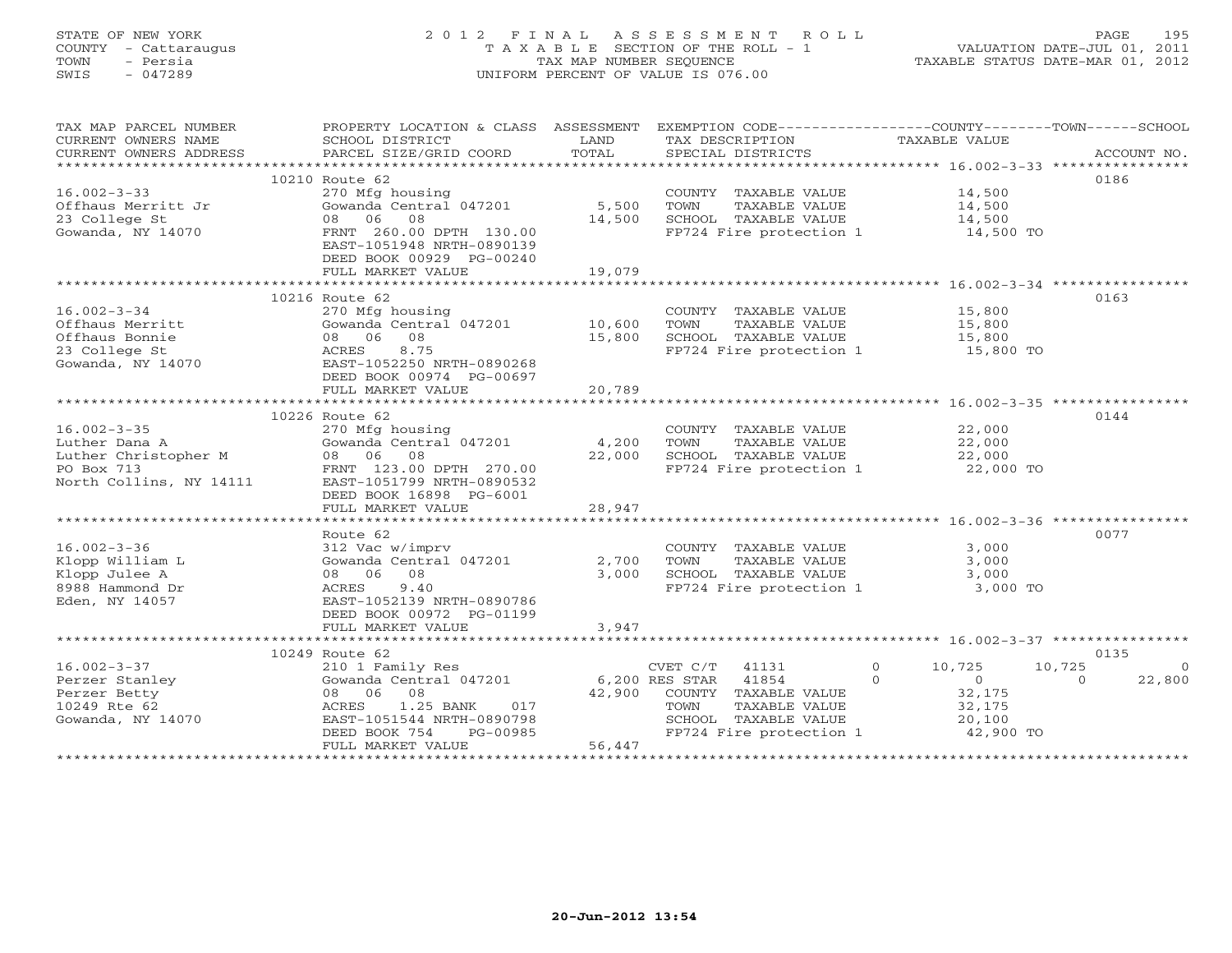## STATE OF NEW YORK 2 0 1 2 F I N A L A S S E S S M E N T R O L L PAGE 195 COUNTY - Cattaraugus T A X A B L E SECTION OF THE ROLL - 1 VALUATION DATE-JUL 01, 2011 TOWN - Persia TAX MAP NUMBER SEQUENCE TAXABLE STATUS DATE-MAR 01, 2012 SWIS - 047289 UNIFORM PERCENT OF VALUE IS 076.00UNIFORM PERCENT OF VALUE IS 076.00

| TAX MAP PARCEL NUMBER             | PROPERTY LOCATION & CLASS ASSESSMENT EXEMPTION CODE----------------COUNTY-------TOWN------SCHOOL                                                                                                                                                                                                                                                                                                                                                                                                        |        |                                               |                                                    |                          |
|-----------------------------------|---------------------------------------------------------------------------------------------------------------------------------------------------------------------------------------------------------------------------------------------------------------------------------------------------------------------------------------------------------------------------------------------------------------------------------------------------------------------------------------------------------|--------|-----------------------------------------------|----------------------------------------------------|--------------------------|
| CURRENT OWNERS NAME               | SCHOOL DISTRICT                                                                                                                                                                                                                                                                                                                                                                                                                                                                                         | LAND   | TAX DESCRIPTION                               | TAXABLE VALUE                                      |                          |
| CURRENT OWNERS ADDRESS            | PARCEL SIZE/GRID COORD<br>$\begin{minipage}{.5cm} \begin{minipage}{.4cm} \begin{minipage}{.4cm} \begin{minipage}{.4cm} \begin{minipage}{.4cm} \begin{minipage}{.4cm} \begin{minipage}{.4cm} \begin{minipage}{.4cm} \begin{minipage}{.4cm} \begin{minipage}{.4cm} \begin{minipage}{.4cm} \begin{minipage}{.4cm} \begin{minipage}{.4cm} \begin{minipage}{.4cm} \begin{minipage}{.4cm} \begin{minipage}{.4cm} \begin{minipage}{.4cm} \begin{minipage}{.4cm} \begin{minipage}{.4cm} \begin{minipage}{.4cm}$ | TOTAL  | SPECIAL DISTRICTS                             |                                                    |                          |
|                                   | 10210 Route 62                                                                                                                                                                                                                                                                                                                                                                                                                                                                                          |        |                                               |                                                    | 0186                     |
| $16.002 - 3 - 33$                 | 270 Mfg housing                                                                                                                                                                                                                                                                                                                                                                                                                                                                                         |        | COUNTY TAXABLE VALUE 14,500                   |                                                    |                          |
| Offhaus Merritt Jr                | Gowanda Central 047201                                                                                                                                                                                                                                                                                                                                                                                                                                                                                  | 5,500  | TOWN<br>TAXABLE VALUE                         |                                                    |                          |
| 23 College St                     | 08 06 08                                                                                                                                                                                                                                                                                                                                                                                                                                                                                                | 14,500 | SCHOOL TAXABLE VALUE                          | 14,500<br>14,500                                   |                          |
| Gowanda, NY 14070                 | FRNT 260.00 DPTH 130.00                                                                                                                                                                                                                                                                                                                                                                                                                                                                                 |        | FP724 Fire protection 1 14,500 TO             |                                                    |                          |
|                                   | EAST-1051948 NRTH-0890139                                                                                                                                                                                                                                                                                                                                                                                                                                                                               |        |                                               |                                                    |                          |
|                                   | DEED BOOK 00929 PG-00240                                                                                                                                                                                                                                                                                                                                                                                                                                                                                |        |                                               |                                                    |                          |
|                                   | FULL MARKET VALUE                                                                                                                                                                                                                                                                                                                                                                                                                                                                                       | 19,079 |                                               |                                                    |                          |
|                                   | 10216 Route 62                                                                                                                                                                                                                                                                                                                                                                                                                                                                                          |        |                                               |                                                    | 0163                     |
| $16.002 - 3 - 34$                 |                                                                                                                                                                                                                                                                                                                                                                                                                                                                                                         |        | COUNTY TAXABLE VALUE 15,800                   |                                                    |                          |
| Offhaus Merritt                   | 270 Mfg housing<br>Gowanda Central 047201                10,600                                                                                                                                                                                                                                                                                                                                                                                                                                         |        | TOWN<br>TAXABLE VALUE                         | 15,800                                             |                          |
| Offhaus Bonnie                    | 08 06 08                                                                                                                                                                                                                                                                                                                                                                                                                                                                                                | 15,800 | SCHOOL TAXABLE VALUE                          | 15,800                                             |                          |
| 23 College St                     | 8.75<br>ACRES                                                                                                                                                                                                                                                                                                                                                                                                                                                                                           |        | FP724 Fire protection 1 15,800 TO             |                                                    |                          |
| Gowanda, NY 14070                 | EAST-1052250 NRTH-0890268                                                                                                                                                                                                                                                                                                                                                                                                                                                                               |        |                                               |                                                    |                          |
|                                   | DEED BOOK 00974 PG-00697                                                                                                                                                                                                                                                                                                                                                                                                                                                                                |        |                                               |                                                    |                          |
|                                   | FULL MARKET VALUE                                                                                                                                                                                                                                                                                                                                                                                                                                                                                       | 20,789 |                                               |                                                    |                          |
|                                   |                                                                                                                                                                                                                                                                                                                                                                                                                                                                                                         |        |                                               |                                                    |                          |
|                                   | 10226 Route 62                                                                                                                                                                                                                                                                                                                                                                                                                                                                                          |        |                                               |                                                    | 0144                     |
|                                   | Gowanda Central 047201 4,200                                                                                                                                                                                                                                                                                                                                                                                                                                                                            |        | COUNTY TAXABLE VALUE                          | 22,000                                             |                          |
|                                   |                                                                                                                                                                                                                                                                                                                                                                                                                                                                                                         | 22,000 | TOWN<br>TAXABLE VALUE<br>SCHOOL TAXABLE VALUE | 22,000                                             |                          |
|                                   | 16.002-3-35 270 Mfg housing<br>Luther Dana A Gowanda Central 047201<br>Luther Christopher M 08 06 08<br>PO Box 713 FRNT 123.00 DPTH 270.00                                                                                                                                                                                                                                                                                                                                                              |        | FP724 Fire protection 1                       | 22,000<br>22,000 TO                                |                          |
|                                   | North Collins, NY 14111 EAST-1051799 NRTH-0890532                                                                                                                                                                                                                                                                                                                                                                                                                                                       |        |                                               |                                                    |                          |
|                                   | DEED BOOK 16898 PG-6001                                                                                                                                                                                                                                                                                                                                                                                                                                                                                 |        |                                               |                                                    |                          |
|                                   | FULL MARKET VALUE                                                                                                                                                                                                                                                                                                                                                                                                                                                                                       | 28,947 |                                               |                                                    |                          |
|                                   |                                                                                                                                                                                                                                                                                                                                                                                                                                                                                                         |        |                                               |                                                    |                          |
|                                   | Route 62                                                                                                                                                                                                                                                                                                                                                                                                                                                                                                |        |                                               |                                                    | 0077                     |
| $16.002 - 3 - 36$                 | 312 Vac w/imprv                                                                                                                                                                                                                                                                                                                                                                                                                                                                                         |        | COUNTY TAXABLE VALUE                          | 3,000                                              |                          |
| Klopp William L                   | Gowanda Central 047201                                                                                                                                                                                                                                                                                                                                                                                                                                                                                  | 2,700  | TAXABLE VALUE<br>TOWN                         | 3,000                                              |                          |
| Klopp Julee A                     | 08 06 08                                                                                                                                                                                                                                                                                                                                                                                                                                                                                                | 3,000  | SCHOOL TAXABLE VALUE                          | 3,000                                              |                          |
| 8988 Hammond Dr<br>Eden, NY 14057 | 9.40<br>ACRES<br>EAST-1052139 NRTH-0890786                                                                                                                                                                                                                                                                                                                                                                                                                                                              |        | FP724 Fire protection 1                       | 3,000 TO                                           |                          |
|                                   | DEED BOOK 00972 PG-01199                                                                                                                                                                                                                                                                                                                                                                                                                                                                                |        |                                               |                                                    |                          |
|                                   | FULL MARKET VALUE                                                                                                                                                                                                                                                                                                                                                                                                                                                                                       | 3,947  |                                               |                                                    |                          |
|                                   |                                                                                                                                                                                                                                                                                                                                                                                                                                                                                                         |        |                                               |                                                    |                          |
|                                   | 10249 Route 62                                                                                                                                                                                                                                                                                                                                                                                                                                                                                          |        |                                               |                                                    | 0135                     |
| $16.002 - 3 - 37$                 | 210 1 Family Res                                                                                                                                                                                                                                                                                                                                                                                                                                                                                        |        | CVET C/T 41131                                | $\Omega$<br>10,725                                 | 10,725<br>$\overline{0}$ |
| Perzer Stanley                    |                                                                                                                                                                                                                                                                                                                                                                                                                                                                                                         |        |                                               | $\Omega$<br>$\begin{array}{c}0\\32.175\end{array}$ | 22,800<br>$\overline{0}$ |
| Perzer Betty                      |                                                                                                                                                                                                                                                                                                                                                                                                                                                                                                         |        |                                               | 32,175                                             |                          |
| 10249 Rte 62                      |                                                                                                                                                                                                                                                                                                                                                                                                                                                                                                         |        |                                               | 32,175                                             |                          |
| Gowanda, NY 14070                 |                                                                                                                                                                                                                                                                                                                                                                                                                                                                                                         |        | SCHOOL TAXABLE VALUE                          | 20,100                                             |                          |
|                                   | FULL MARKET VALUE                                                                                                                                                                                                                                                                                                                                                                                                                                                                                       | 56,447 | $FP724$ Fire protection 1 $42,900$ TO         |                                                    |                          |
|                                   |                                                                                                                                                                                                                                                                                                                                                                                                                                                                                                         |        |                                               |                                                    |                          |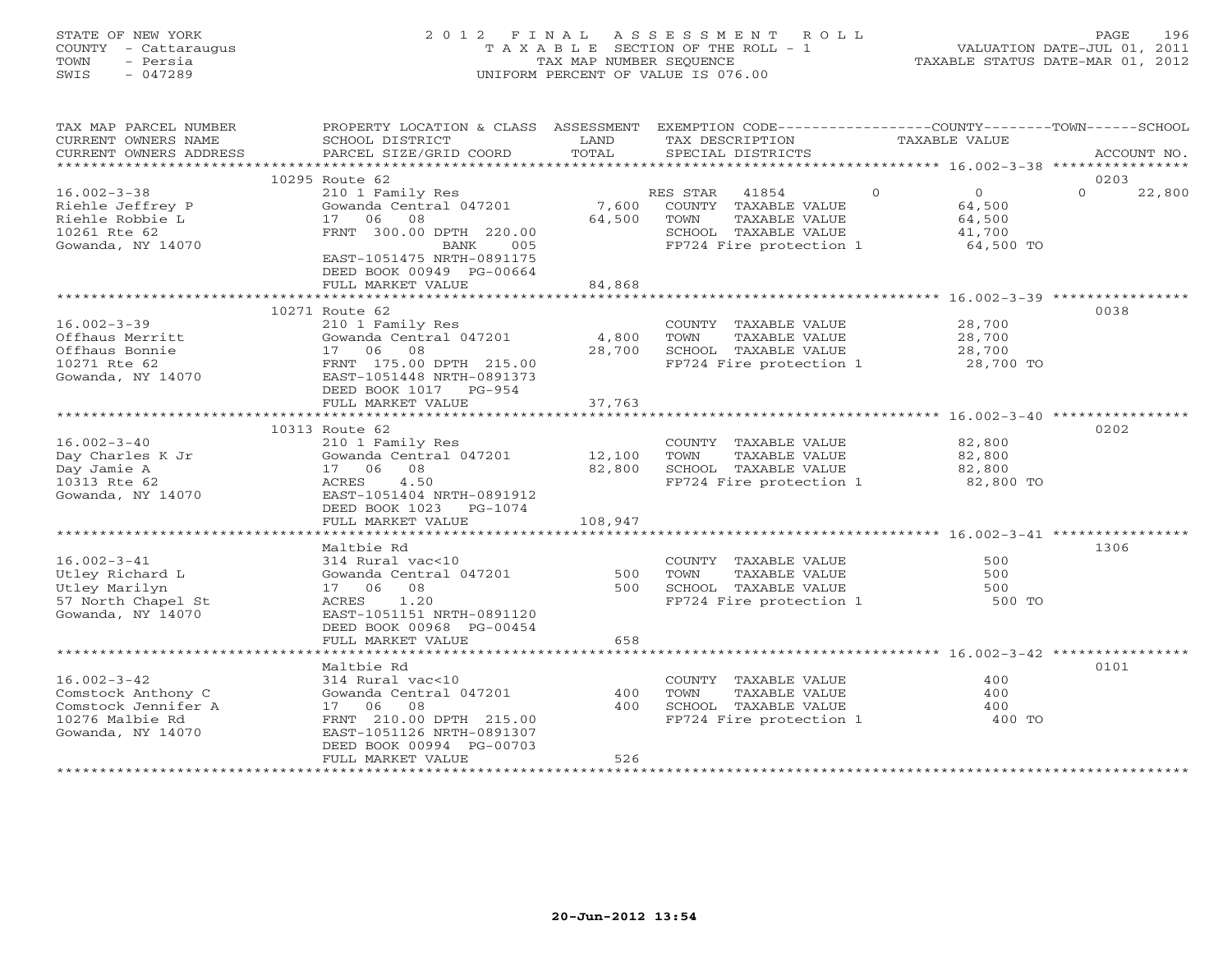## STATE OF NEW YORK 2 0 1 2 F I N A L A S S E S S M E N T R O L L PAGE 196 COUNTY - Cattaraugus T A X A B L E SECTION OF THE ROLL - 1 VALUATION DATE-JUL 01, 2011 TOWN - Persia TAX MAP NUMBER SEQUENCE TAXABLE STATUS DATE-MAR 01, 2012 SWIS - 047289 UNIFORM PERCENT OF VALUE IS 076.00UNIFORM PERCENT OF VALUE IS 076.00

| TAX MAP PARCEL NUMBER<br>CURRENT OWNERS NAME<br>CURRENT OWNERS ADDRESS   | PROPERTY LOCATION & CLASS ASSESSMENT<br>SCHOOL DISTRICT<br>PARCEL SIZE/GRID COORD                      | LAND<br>TOTAL   | EXEMPTION CODE-----------------COUNTY-------TOWN------SCHOOL<br>TAX DESCRIPTION<br>SPECIAL DISTRICTS |          | <b>TAXABLE VALUE</b>                         | ACCOUNT NO.                |
|--------------------------------------------------------------------------|--------------------------------------------------------------------------------------------------------|-----------------|------------------------------------------------------------------------------------------------------|----------|----------------------------------------------|----------------------------|
|                                                                          |                                                                                                        |                 |                                                                                                      |          |                                              |                            |
| $16.002 - 3 - 38$<br>Riehle Jeffrey P<br>Riehle Robbie L<br>10261 Rte 62 | 10295 Route 62<br>210 1 Family Res<br>Gowanda Central 047201<br>17 06<br>08<br>FRNT 300.00 DPTH 220.00 | 7,600<br>64,500 | RES STAR<br>41854<br>COUNTY TAXABLE VALUE<br>TOWN<br>TAXABLE VALUE<br>SCHOOL TAXABLE VALUE           | $\Omega$ | $\overline{0}$<br>64,500<br>64,500<br>41,700 | 0203<br>22,800<br>$\Omega$ |
| Gowanda, NY 14070                                                        | BANK<br>005<br>EAST-1051475 NRTH-0891175<br>DEED BOOK 00949 PG-00664<br>FULL MARKET VALUE              | 84,868          | FP724 Fire protection 1                                                                              |          | 64,500 TO                                    |                            |
|                                                                          |                                                                                                        |                 |                                                                                                      |          |                                              |                            |
| $16.002 - 3 - 39$                                                        | 10271 Route 62<br>210 1 Family Res                                                                     |                 | COUNTY TAXABLE VALUE                                                                                 |          | 28,700                                       | 0038                       |
| Offhaus Merritt                                                          | Gowanda Central 047201                                                                                 | 4,800           | TOWN<br>TAXABLE VALUE                                                                                |          | 28,700                                       |                            |
| Offhaus Bonnie                                                           | 17 06 08                                                                                               | 28,700          | SCHOOL TAXABLE VALUE                                                                                 |          | 28,700                                       |                            |
| 10271 Rte 62<br>Gowanda, NY 14070                                        | FRNT 175.00 DPTH 215.00<br>EAST-1051448 NRTH-0891373<br>DEED BOOK 1017 PG-954<br>FULL MARKET VALUE     | 37,763          | FP724 Fire protection 1                                                                              |          | 28,700 TO                                    |                            |
|                                                                          |                                                                                                        |                 |                                                                                                      |          |                                              |                            |
|                                                                          | 10313 Route 62                                                                                         |                 |                                                                                                      |          |                                              | 0202                       |
| $16.002 - 3 - 40$                                                        | 210 1 Family Res                                                                                       |                 | COUNTY TAXABLE VALUE                                                                                 |          | 82,800                                       |                            |
| Day Charles K Jr                                                         | Gowanda Central 047201                                                                                 | 12,100          | TAXABLE VALUE<br>TOWN                                                                                |          | 82,800                                       |                            |
| Day Jamie A                                                              | 17 06 08                                                                                               | 82,800          | SCHOOL TAXABLE VALUE                                                                                 |          | 82,800                                       |                            |
| 10313 Rte 62                                                             | 4.50<br>ACRES                                                                                          |                 | FP724 Fire protection 1                                                                              |          | 82,800 TO                                    |                            |
| Gowanda, NY 14070                                                        | EAST-1051404 NRTH-0891912<br>DEED BOOK 1023<br>PG-1074                                                 |                 |                                                                                                      |          |                                              |                            |
|                                                                          | FULL MARKET VALUE                                                                                      | 108,947         |                                                                                                      |          |                                              |                            |
|                                                                          |                                                                                                        |                 |                                                                                                      |          |                                              |                            |
|                                                                          | Maltbie Rd                                                                                             |                 |                                                                                                      |          |                                              | 1306                       |
| $16.002 - 3 - 41$                                                        | 314 Rural vac<10                                                                                       |                 | COUNTY TAXABLE VALUE                                                                                 |          | 500                                          |                            |
| Utley Richard L                                                          | Gowanda Central 047201                                                                                 | 500             | TAXABLE VALUE<br>TOWN                                                                                |          | 500                                          |                            |
| Utley Marilyn                                                            | 17 06<br>08                                                                                            | 500             | SCHOOL TAXABLE VALUE                                                                                 |          | 500                                          |                            |
| 57 North Chapel St<br>Gowanda, NY 14070                                  | 1.20<br>ACRES<br>EAST-1051151 NRTH-0891120                                                             |                 | FP724 Fire protection 1                                                                              |          | 500 TO                                       |                            |
|                                                                          | DEED BOOK 00968 PG-00454                                                                               |                 |                                                                                                      |          |                                              |                            |
|                                                                          | FULL MARKET VALUE                                                                                      | 658             |                                                                                                      |          |                                              |                            |
|                                                                          |                                                                                                        |                 |                                                                                                      |          |                                              |                            |
|                                                                          | Maltbie Rd                                                                                             |                 |                                                                                                      |          |                                              | 0101                       |
| $16.002 - 3 - 42$                                                        | 314 Rural vac<10                                                                                       |                 | COUNTY TAXABLE VALUE                                                                                 |          | 400                                          |                            |
| Comstock Anthony C                                                       | Gowanda Central 047201                                                                                 | 400             | TOWN<br>TAXABLE VALUE                                                                                |          | 400                                          |                            |
| Comstock Jennifer A                                                      | 17 06<br>08                                                                                            | 400             | SCHOOL TAXABLE VALUE                                                                                 |          | 400                                          |                            |
| 10276 Malbie Rd<br>Gowanda, NY 14070                                     | FRNT 210.00 DPTH 215.00<br>EAST-1051126 NRTH-0891307<br>DEED BOOK 00994 PG-00703                       |                 | FP724 Fire protection 1                                                                              |          | 400 TO                                       |                            |
|                                                                          | FULL MARKET VALUE                                                                                      | 526             |                                                                                                      |          |                                              |                            |
|                                                                          |                                                                                                        |                 |                                                                                                      |          |                                              |                            |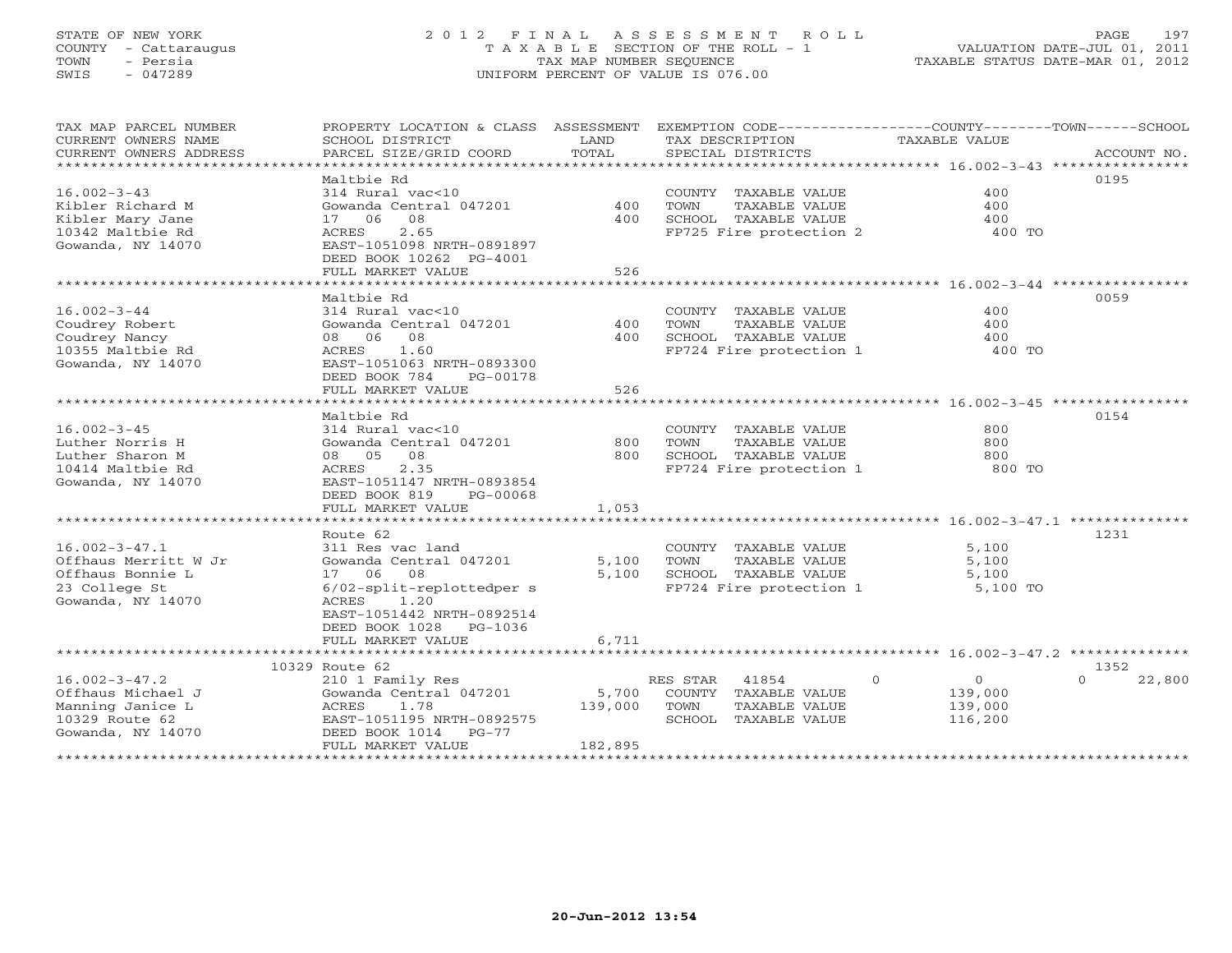## STATE OF NEW YORK 2 0 1 2 F I N A L A S S E S S M E N T R O L L PAGE 197 COUNTY - Cattaraugus T A X A B L E SECTION OF THE ROLL - 1 VALUATION DATE-JUL 01, 2011 TOWN - Persia TAX MAP NUMBER SEQUENCE TAXABLE STATUS DATE-MAR 01, 2012 SWIS - 047289 UNIFORM PERCENT OF VALUE IS 076.00

| TAX MAP PARCEL NUMBER<br>CURRENT OWNERS NAME<br>CURRENT OWNERS ADDRESS | PROPERTY LOCATION & CLASS ASSESSMENT EXEMPTION CODE----------------COUNTY-------TOWN------SCHOOL<br>SCHOOL DISTRICT<br>PARCEL SIZE/GRID COORD | LAND<br>TOTAL |          | TAX DESCRIPTION<br>SPECIAL DISTRICTS |          | <b>TAXABLE VALUE</b> | ACCOUNT NO.                                                        |
|------------------------------------------------------------------------|-----------------------------------------------------------------------------------------------------------------------------------------------|---------------|----------|--------------------------------------|----------|----------------------|--------------------------------------------------------------------|
|                                                                        |                                                                                                                                               |               |          |                                      |          |                      |                                                                    |
|                                                                        | Maltbie Rd                                                                                                                                    |               |          |                                      |          |                      | 0195                                                               |
| $16.002 - 3 - 43$                                                      | 314 Rural vac<10                                                                                                                              |               |          | COUNTY TAXABLE VALUE                 |          | 400                  |                                                                    |
| Kibler Richard M                                                       | Gowanda Central 047201                                                                                                                        | 400           | TOWN     | TAXABLE VALUE                        |          | 400                  |                                                                    |
| Kibler Mary Jane                                                       | 08<br>17 06                                                                                                                                   | 400           |          | SCHOOL TAXABLE VALUE                 |          | 400                  |                                                                    |
|                                                                        |                                                                                                                                               |               |          |                                      |          |                      |                                                                    |
| 10342 Maltbie Rd                                                       | 2.65<br>ACRES                                                                                                                                 |               |          | FP725 Fire protection 2              |          | 400 TO               |                                                                    |
| Gowanda, NY 14070                                                      | EAST-1051098 NRTH-0891897                                                                                                                     |               |          |                                      |          |                      |                                                                    |
|                                                                        | DEED BOOK 10262 PG-4001                                                                                                                       |               |          |                                      |          |                      |                                                                    |
|                                                                        | FULL MARKET VALUE                                                                                                                             | 526           |          |                                      |          |                      |                                                                    |
|                                                                        | ****************************                                                                                                                  |               |          |                                      |          |                      |                                                                    |
|                                                                        | Maltbie Rd                                                                                                                                    |               |          |                                      |          |                      | 0059                                                               |
| $16.002 - 3 - 44$                                                      | 314 Rural vac<10                                                                                                                              |               |          | COUNTY TAXABLE VALUE                 |          | 400                  |                                                                    |
| Coudrey Robert                                                         | Gowanda Central 047201                                                                                                                        | 400           | TOWN     | TAXABLE VALUE                        |          | 400                  |                                                                    |
|                                                                        |                                                                                                                                               |               |          |                                      |          |                      |                                                                    |
| Coudrey Nancy                                                          | 08 06 08                                                                                                                                      | 400           |          | SCHOOL TAXABLE VALUE                 |          | 400                  |                                                                    |
| 10355 Maltbie Rd                                                       | 1.60<br>ACRES                                                                                                                                 |               |          | FP724 Fire protection 1              |          | 400 TO               |                                                                    |
| Gowanda, NY 14070                                                      | EAST-1051063 NRTH-0893300                                                                                                                     |               |          |                                      |          |                      |                                                                    |
|                                                                        | DEED BOOK 784<br>PG-00178                                                                                                                     |               |          |                                      |          |                      |                                                                    |
|                                                                        | FULL MARKET VALUE                                                                                                                             | 526           |          |                                      |          |                      |                                                                    |
|                                                                        | *************************                                                                                                                     | *********     |          |                                      |          |                      | ************************************ 16.002-3-45 ***************** |
|                                                                        | Maltbie Rd                                                                                                                                    |               |          |                                      |          |                      | 0154                                                               |
| $16.002 - 3 - 45$                                                      | 314 Rural vac<10                                                                                                                              |               |          | COUNTY TAXABLE VALUE                 |          | 800                  |                                                                    |
|                                                                        |                                                                                                                                               |               |          |                                      |          |                      |                                                                    |
| Luther Norris H                                                        | Gowanda Central 047201                                                                                                                        | 800           | TOWN     | TAXABLE VALUE                        |          | 800                  |                                                                    |
| Luther Sharon M                                                        | 08<br>08 05                                                                                                                                   | 800           |          | SCHOOL TAXABLE VALUE                 |          | 800                  |                                                                    |
| 10414 Maltbie Rd                                                       | ACRES<br>2.35                                                                                                                                 |               |          | FP724 Fire protection 1              |          | 800 TO               |                                                                    |
| Gowanda, NY 14070                                                      | EAST-1051147 NRTH-0893854                                                                                                                     |               |          |                                      |          |                      |                                                                    |
|                                                                        | DEED BOOK 819<br>PG-00068                                                                                                                     |               |          |                                      |          |                      |                                                                    |
|                                                                        | FULL MARKET VALUE                                                                                                                             | 1,053         |          |                                      |          |                      |                                                                    |
|                                                                        | **************************                                                                                                                    |               |          |                                      |          |                      |                                                                    |
|                                                                        | Route 62                                                                                                                                      |               |          |                                      |          |                      | 1231                                                               |
|                                                                        |                                                                                                                                               |               |          |                                      |          |                      |                                                                    |
| $16.002 - 3 - 47.1$                                                    | 311 Res vac land                                                                                                                              |               |          | COUNTY TAXABLE VALUE                 |          | 5,100                |                                                                    |
| Offhaus Merritt W Jr                                                   | Gowanda Central 047201                                                                                                                        | 5,100         | TOWN     | TAXABLE VALUE                        |          | 5,100                |                                                                    |
| Offhaus Bonnie L                                                       | 17 06<br>08                                                                                                                                   | 5,100         |          | SCHOOL TAXABLE VALUE                 |          | 5,100                |                                                                    |
| 23 College St                                                          | 6/02-split-replottedper s                                                                                                                     |               |          | FP724 Fire protection 1              |          | 5,100 TO             |                                                                    |
| Gowanda, NY 14070                                                      | ACRES<br>1.20                                                                                                                                 |               |          |                                      |          |                      |                                                                    |
|                                                                        | EAST-1051442 NRTH-0892514                                                                                                                     |               |          |                                      |          |                      |                                                                    |
|                                                                        | DEED BOOK 1028<br>PG-1036                                                                                                                     |               |          |                                      |          |                      |                                                                    |
|                                                                        | FULL MARKET VALUE                                                                                                                             | 6,711         |          |                                      |          |                      |                                                                    |
|                                                                        |                                                                                                                                               |               |          |                                      |          |                      |                                                                    |
|                                                                        |                                                                                                                                               |               |          |                                      |          |                      |                                                                    |
|                                                                        | 10329 Route 62                                                                                                                                |               |          |                                      |          |                      | 1352                                                               |
| $16.002 - 3 - 47.2$                                                    | 210 1 Family Res                                                                                                                              |               | RES STAR | 41854                                | $\Omega$ | $\circ$              | $\Omega$<br>22,800                                                 |
| Offhaus Michael J                                                      | Gowanda Central 047201                                                                                                                        | 5,700         |          | COUNTY TAXABLE VALUE                 |          | 139,000              |                                                                    |
| Manning Janice L                                                       | 1.78<br>ACRES                                                                                                                                 | 139,000       | TOWN     | TAXABLE VALUE                        |          | 139,000              |                                                                    |
| 10329 Route 62                                                         | EAST-1051195 NRTH-0892575                                                                                                                     |               |          | SCHOOL TAXABLE VALUE                 |          | 116,200              |                                                                    |
| Gowanda, NY 14070                                                      | DEED BOOK 1014<br>$PG-77$                                                                                                                     |               |          |                                      |          |                      |                                                                    |
|                                                                        | FULL MARKET VALUE                                                                                                                             | 182,895       |          |                                      |          |                      |                                                                    |
|                                                                        |                                                                                                                                               |               |          |                                      |          |                      |                                                                    |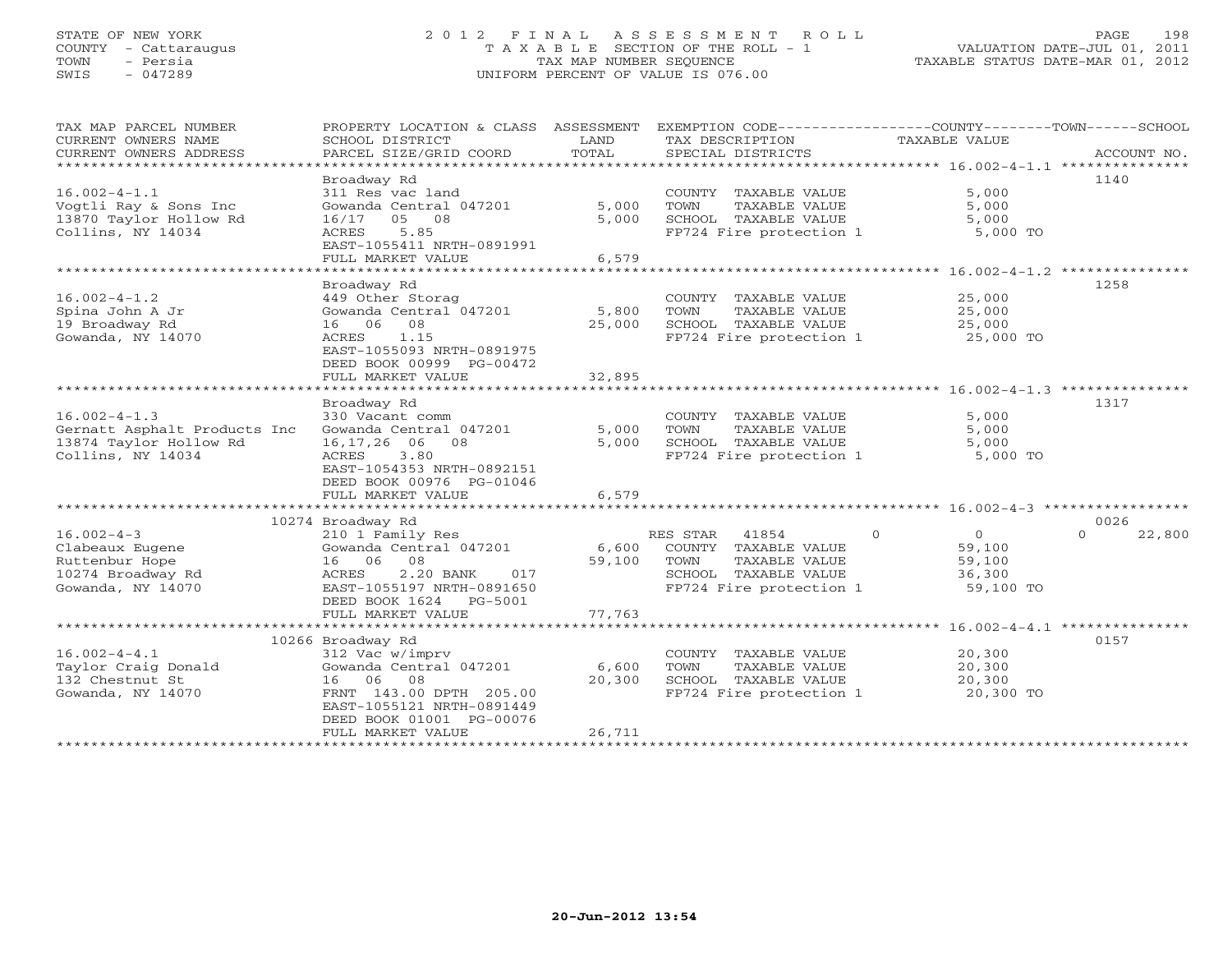## STATE OF NEW YORK 2 0 1 2 F I N A L A S S E S S M E N T R O L L PAGE 198 COUNTY - Cattaraugus T A X A B L E SECTION OF THE ROLL - 1 VALUATION DATE-JUL 01, 2011 TOWN - Persia TAX MAP NUMBER SEQUENCE TAXABLE STATUS DATE-MAR 01, 2012 SWIS - 047289 UNIFORM PERCENT OF VALUE IS 076.00UNIFORM PERCENT OF VALUE IS 076.00

| TAX MAP PARCEL NUMBER<br>CURRENT OWNERS NAME<br>CURRENT OWNERS ADDRESS                                                                                                          | PROPERTY LOCATION & CLASS<br>SCHOOL DISTRICT<br>PARCEL SIZE/GRID COORD                                                                                                                                                                                                                                                     | ASSESSMENT<br>LAND<br>TOTAL                | EXEMPTION CODE-----------------COUNTY-------TOWN------SCHOOL<br>TAX DESCRIPTION<br>SPECIAL DISTRICTS                                                                                                       | TAXABLE VALUE                                                                 | ACCOUNT NO.                        |
|---------------------------------------------------------------------------------------------------------------------------------------------------------------------------------|----------------------------------------------------------------------------------------------------------------------------------------------------------------------------------------------------------------------------------------------------------------------------------------------------------------------------|--------------------------------------------|------------------------------------------------------------------------------------------------------------------------------------------------------------------------------------------------------------|-------------------------------------------------------------------------------|------------------------------------|
| *********************                                                                                                                                                           |                                                                                                                                                                                                                                                                                                                            |                                            |                                                                                                                                                                                                            |                                                                               |                                    |
|                                                                                                                                                                                 | Broadway Rd                                                                                                                                                                                                                                                                                                                |                                            |                                                                                                                                                                                                            |                                                                               | 1140                               |
| $16.002 - 4 - 1.1$<br>Vogtli Ray & Sons Inc<br>13870 Taylor Hollow Rd<br>Collins, NY 14034                                                                                      | 311 Res vac land<br>Gowanda Central 047201<br>16/17<br>05<br>08<br>5.85<br>ACRES                                                                                                                                                                                                                                           | 5,000<br>5,000                             | COUNTY<br>TAXABLE VALUE<br>TAXABLE VALUE<br>TOWN<br>SCHOOL TAXABLE VALUE<br>FP724 Fire protection 1                                                                                                        | 5,000<br>5,000<br>5,000<br>5,000 TO                                           |                                    |
|                                                                                                                                                                                 | EAST-1055411 NRTH-0891991                                                                                                                                                                                                                                                                                                  |                                            |                                                                                                                                                                                                            |                                                                               |                                    |
|                                                                                                                                                                                 | FULL MARKET VALUE                                                                                                                                                                                                                                                                                                          | 6,579                                      |                                                                                                                                                                                                            |                                                                               |                                    |
|                                                                                                                                                                                 | *****************                                                                                                                                                                                                                                                                                                          |                                            |                                                                                                                                                                                                            | **************** 16.002-4-1.2 ***********                                     |                                    |
| $16.002 - 4 - 1.2$<br>Spina John A Jr<br>19 Broadway Rd<br>Gowanda, NY 14070                                                                                                    | Broadway Rd<br>449 Other Storag<br>Gowanda Central 047201<br>08<br>16<br>06<br>1.15<br>ACRES<br>EAST-1055093 NRTH-0891975<br>DEED BOOK 00999 PG-00472<br>FULL MARKET VALUE                                                                                                                                                 | 5,800<br>25,000<br>32,895                  | COUNTY TAXABLE VALUE<br>TOWN<br>TAXABLE VALUE<br>SCHOOL TAXABLE VALUE<br>FP724 Fire protection 1                                                                                                           | 25,000<br>25,000<br>25,000<br>25,000 TO                                       | 1258                               |
|                                                                                                                                                                                 |                                                                                                                                                                                                                                                                                                                            |                                            |                                                                                                                                                                                                            | ******************** 16.002-4-1.3 ***********                                 |                                    |
| $16.002 - 4 - 1.3$<br>Gernatt Asphalt Products Inc<br>13874 Taylor Hollow Rd<br>Collins, NY 14034<br>$16.002 - 4 - 3$<br>Clabeaux Eugene<br>Ruttenbur Hope<br>10274 Broadway Rd | Broadway Rd<br>330 Vacant comm<br>Gowanda Central 047201<br>16,17,26 06<br>08<br>ACRES<br>3.80<br>EAST-1054353 NRTH-0892151<br>DEED BOOK 00976 PG-01046<br>FULL MARKET VALUE<br>***************************<br>10274 Broadway Rd<br>210 1 Family Res<br>Gowanda Central 047201<br>16 06<br>08<br>ACRES<br>2.20 BANK<br>017 | 5,000<br>5,000<br>6,579<br>6,600<br>59,100 | COUNTY TAXABLE VALUE<br>TOWN<br>TAXABLE VALUE<br>SCHOOL TAXABLE VALUE<br>FP724 Fire protection 1<br>RES STAR<br>41854<br>$\Omega$<br>COUNTY TAXABLE VALUE<br>TAXABLE VALUE<br>TOWN<br>SCHOOL TAXABLE VALUE | 5,000<br>5,000<br>5,000<br>5,000 TO<br>$\Omega$<br>59,100<br>59,100<br>36,300 | 1317<br>0026<br>22,800<br>$\Omega$ |
| Gowanda, NY 14070                                                                                                                                                               | EAST-1055197 NRTH-0891650<br>DEED BOOK 1624<br>PG-5001<br>FULL MARKET VALUE                                                                                                                                                                                                                                                | 77,763                                     | FP724 Fire protection 1                                                                                                                                                                                    | 59,100 TO                                                                     |                                    |
|                                                                                                                                                                                 | 10266 Broadway Rd                                                                                                                                                                                                                                                                                                          |                                            |                                                                                                                                                                                                            |                                                                               | 0157                               |
| $16.002 - 4 - 4.1$<br>Taylor Craig Donald<br>132 Chestnut St<br>Gowanda, NY 14070                                                                                               | 312 Vac w/imprv<br>Gowanda Central 047201<br>16 06 08<br>FRNT 143.00 DPTH 205.00<br>EAST-1055121 NRTH-0891449<br>DEED BOOK 01001 PG-00076<br>FULL MARKET VALUE                                                                                                                                                             | 6,600<br>20,300<br>26,711                  | COUNTY TAXABLE VALUE<br>TOWN<br>TAXABLE VALUE<br>SCHOOL TAXABLE VALUE<br>FP724 Fire protection 1                                                                                                           | 20,300<br>20,300<br>20,300<br>20,300 TO                                       |                                    |
|                                                                                                                                                                                 |                                                                                                                                                                                                                                                                                                                            |                                            |                                                                                                                                                                                                            |                                                                               |                                    |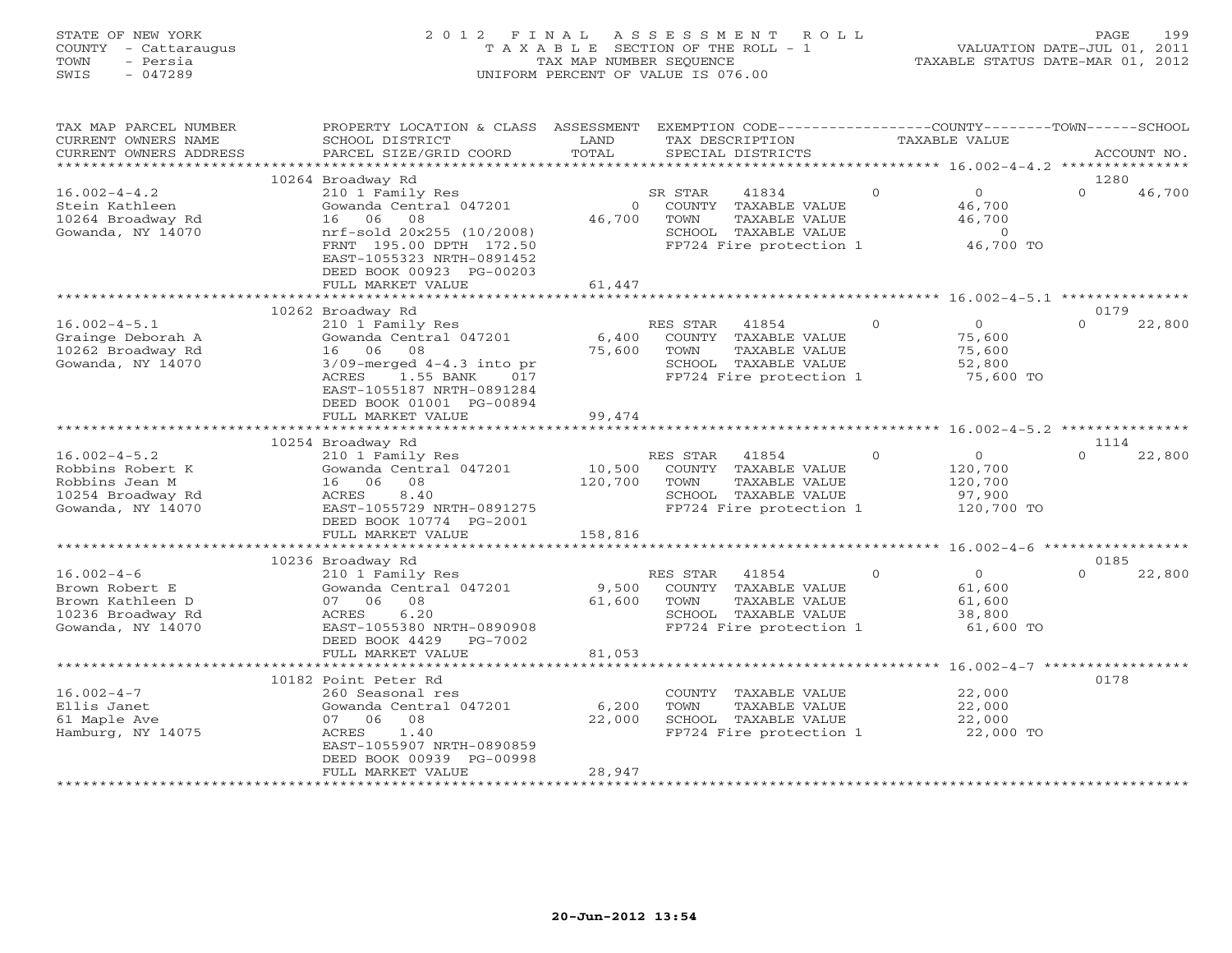## STATE OF NEW YORK 2 0 1 2 F I N A L A S S E S S M E N T R O L L PAGE 199 COUNTY - Cattaraugus T A X A B L E SECTION OF THE ROLL - 1 VALUATION DATE-JUL 01, 2011 TOWN - Persia TAX MAP NUMBER SEQUENCE TAXABLE STATUS DATE-MAR 01, 2012 SWIS - 047289 UNIFORM PERCENT OF VALUE IS 076.00UNIFORM PERCENT OF VALUE IS 076.00

| TAX MAP PARCEL NUMBER<br>CURRENT OWNERS NAME<br>CURRENT OWNERS ADDRESS                             | PROPERTY LOCATION & CLASS<br>SCHOOL DISTRICT<br>PARCEL SIZE/GRID COORD                                                                                                                                                  | ASSESSMENT<br>LAND<br>TOTAL  | EXEMPTION CODE-----------------COUNTY-------TOWN------SCHOOL<br>TAX DESCRIPTION<br>SPECIAL DISTRICTS                  |          | TAXABLE VALUE                                             | ACCOUNT NO.      |        |
|----------------------------------------------------------------------------------------------------|-------------------------------------------------------------------------------------------------------------------------------------------------------------------------------------------------------------------------|------------------------------|-----------------------------------------------------------------------------------------------------------------------|----------|-----------------------------------------------------------|------------------|--------|
|                                                                                                    |                                                                                                                                                                                                                         |                              |                                                                                                                       |          |                                                           |                  |        |
| $16.002 - 4 - 4.2$<br>Stein Kathleen<br>10264 Broadway Rd<br>Gowanda, NY 14070                     | 10264 Broadway Rd<br>210 1 Family Res<br>Gowanda Central 047201<br>06<br>08<br>16<br>nrf-sold 20x255 (10/2008)<br>FRNT 195.00 DPTH 172.50<br>EAST-1055323 NRTH-0891452<br>DEED BOOK 00923 PG-00203<br>FULL MARKET VALUE | $\Omega$<br>46,700<br>61,447 | 41834<br>SR STAR<br>COUNTY TAXABLE VALUE<br>TOWN<br>TAXABLE VALUE<br>SCHOOL TAXABLE VALUE<br>FP724 Fire protection 1  | $\Omega$ | $\circ$<br>46,700<br>46,700<br>$\circ$<br>46,700 TO       | 1280<br>$\Omega$ | 46,700 |
|                                                                                                    | 10262 Broadway Rd                                                                                                                                                                                                       |                              |                                                                                                                       |          |                                                           | 0179             |        |
| $16.002 - 4 - 5.1$<br>Grainge Deborah A<br>10262 Broadway Rd<br>Gowanda, NY 14070                  | 210 1 Family Res<br>Gowanda Central 047201<br>16 06 08<br>$3/09$ -merged $4-4.3$ into pr<br>1.55 BANK<br>ACRES<br>017<br>EAST-1055187 NRTH-0891284<br>DEED BOOK 01001 PG-00894                                          | 6,400<br>75,600              | RES STAR<br>41854<br>COUNTY TAXABLE VALUE<br>TOWN<br>TAXABLE VALUE<br>SCHOOL TAXABLE VALUE<br>FP724 Fire protection 1 | $\circ$  | $\overline{O}$<br>75,600<br>75,600<br>52,800<br>75,600 TO | $\Omega$         | 22,800 |
|                                                                                                    | FULL MARKET VALUE<br>***********************                                                                                                                                                                            | 99,474                       |                                                                                                                       |          |                                                           |                  |        |
|                                                                                                    | 10254 Broadway Rd                                                                                                                                                                                                       |                              |                                                                                                                       |          |                                                           | 1114             |        |
| $16.002 - 4 - 5.2$<br>Robbins Robert K<br>Robbins Jean M<br>10254 Broadway Rd<br>Gowanda, NY 14070 | 210 1 Family Res<br>Gowanda Central 047201<br>16 06<br>08<br>8.40<br>ACRES<br>EAST-1055729 NRTH-0891275<br>DEED BOOK 10774 PG-2001                                                                                      | 10,500<br>120,700            | RES STAR<br>41854<br>COUNTY TAXABLE VALUE<br>TOWN<br>TAXABLE VALUE<br>SCHOOL TAXABLE VALUE<br>FP724 Fire protection 1 | $\circ$  | $\circ$<br>120,700<br>120,700<br>97,900<br>120,700 TO     | $\cap$           | 22,800 |
|                                                                                                    | FULL MARKET VALUE                                                                                                                                                                                                       | 158,816                      |                                                                                                                       |          |                                                           |                  |        |
|                                                                                                    | 10236 Broadway Rd                                                                                                                                                                                                       |                              |                                                                                                                       |          |                                                           | 0185             |        |
| $16.002 - 4 - 6$<br>Brown Robert E<br>Brown Kathleen D<br>10236 Broadway Rd<br>Gowanda, NY 14070   | 210 1 Family Res<br>Gowanda Central 047201<br>08<br>07 06<br>6.20<br>ACRES<br>EAST-1055380 NRTH-0890908<br>DEED BOOK 4429<br>PG-7002<br>FULL MARKET VALUE                                                               | 9,500<br>61,600<br>81,053    | RES STAR<br>41854<br>COUNTY TAXABLE VALUE<br>TOWN<br>TAXABLE VALUE<br>SCHOOL TAXABLE VALUE<br>FP724 Fire protection 1 | $\Omega$ | $\Omega$<br>61,600<br>61,600<br>38,800<br>61,600 TO       | $\Omega$         | 22,800 |
|                                                                                                    | 10182 Point Peter Rd                                                                                                                                                                                                    |                              |                                                                                                                       |          |                                                           | 0178             |        |
| $16.002 - 4 - 7$<br>Ellis Janet<br>61 Maple Ave<br>Hamburg, NY 14075                               | 260 Seasonal res<br>Gowanda Central 047201<br>08<br>07 06<br>1.40<br>ACRES<br>EAST-1055907 NRTH-0890859<br>DEED BOOK 00939 PG-00998<br>FULL MARKET VALUE                                                                | 6,200<br>22,000<br>28,947    | COUNTY TAXABLE VALUE<br>TAXABLE VALUE<br>TOWN<br>SCHOOL TAXABLE VALUE<br>FP724 Fire protection 1                      |          | 22,000<br>22,000<br>22,000<br>22,000 TO                   |                  |        |
|                                                                                                    |                                                                                                                                                                                                                         |                              |                                                                                                                       |          |                                                           |                  |        |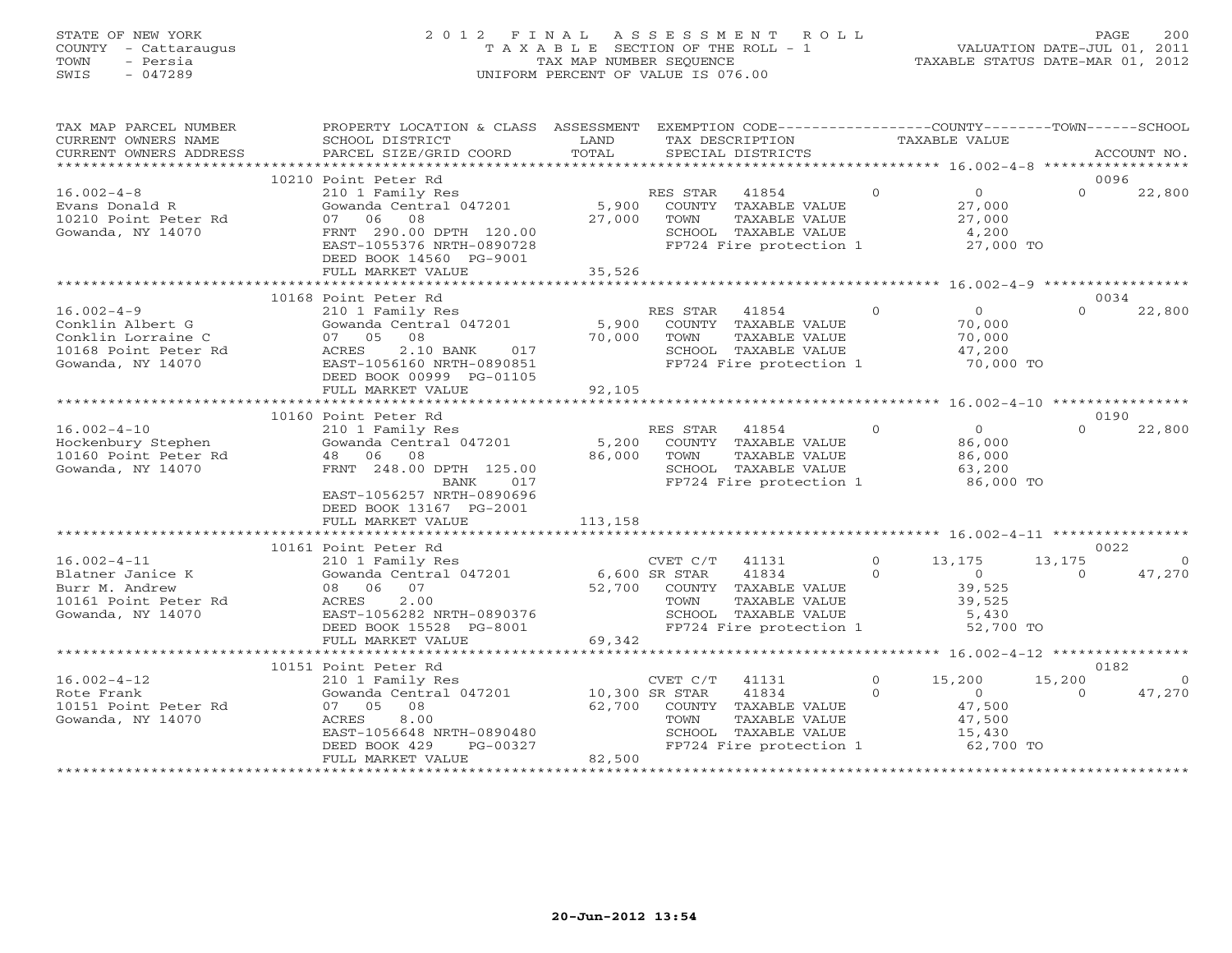## STATE OF NEW YORK 2 0 1 2 F I N A L A S S E S S M E N T R O L L PAGE 200 COUNTY - Cattaraugus T A X A B L E SECTION OF THE ROLL - 1 VALUATION DATE-JUL 01, 2011 TOWN - Persia TAX MAP NUMBER SEQUENCE TAXABLE STATUS DATE-MAR 01, 2012 SWIS - 047289 UNIFORM PERCENT OF VALUE IS 076.00UNIFORM PERCENT OF VALUE IS 076.00

| TAX MAP PARCEL NUMBER<br>CURRENT OWNERS NAME<br>CURRENT OWNERS ADDRESS                                  | PROPERTY LOCATION & CLASS ASSESSMENT<br>SCHOOL DISTRICT<br>PARCEL SIZE/GRID COORD                                                                                                                                                                                                                                     | LAND<br>TOTAL    | EXEMPTION CODE-----------------COUNTY-------TOWN------SCHOOL<br>TAX DESCRIPTION<br>SPECIAL DISTRICTS                                                 |                      | TAXABLE VALUE                                                      |                    | ACCOUNT NO.          |
|---------------------------------------------------------------------------------------------------------|-----------------------------------------------------------------------------------------------------------------------------------------------------------------------------------------------------------------------------------------------------------------------------------------------------------------------|------------------|------------------------------------------------------------------------------------------------------------------------------------------------------|----------------------|--------------------------------------------------------------------|--------------------|----------------------|
|                                                                                                         |                                                                                                                                                                                                                                                                                                                       |                  |                                                                                                                                                      |                      |                                                                    |                    |                      |
| $16.002 - 4 - 8$<br>Evans Donald R<br>10210 Point Peter Rd<br>Gowanda, NY 14070                         | 10210 Point Peter Rd<br>210 1 Family Res<br>Gowanda Central 047201<br>07 06 08<br>FRNT 290.00 DPTH 120.00<br>EAST-1055376 NRTH-0890728<br>DEED BOOK 14560 PG-9001                                                                                                                                                     | 5,900<br>27,000  | RES STAR<br>41854<br>COUNTY TAXABLE VALUE<br>TOWN<br>TAXABLE VALUE<br>SCHOOL TAXABLE VALUE<br>FP724 Fire protection 1                                | $\bigcirc$           | $\overline{0}$<br>27,000<br>27,000<br>4,200<br>27,000 TO           | 0096<br>$\Omega$   | 22,800               |
|                                                                                                         | FULL MARKET VALUE                                                                                                                                                                                                                                                                                                     | 35,526           |                                                                                                                                                      |                      |                                                                    |                    |                      |
|                                                                                                         | 10168 Point Peter Rd                                                                                                                                                                                                                                                                                                  |                  |                                                                                                                                                      |                      |                                                                    | 0034               |                      |
| $16.002 - 4 - 9$<br>Conklin Albert G<br>Conklin Lorraine C<br>10168 Point Peter Rd<br>Gowanda, NY 14070 | 210 1 Family Res<br>210 1 ramily Res<br>Gowanda Central 047201 5,900<br>07 05 08<br>2.10 BANK<br>ACRES<br>017<br>EAST-1056160 NRTH-0890851<br>DEED BOOK 00999 PG-01105                                                                                                                                                | 70,000           | RES STAR<br>41854<br>COUNTY TAXABLE VALUE<br>TOWN<br>TAXABLE VALUE<br>SCHOOL TAXABLE VALUE<br>FP724 Fire protection 1                                | $\Omega$             | $\overline{0}$<br>70,000<br>70,000<br>47,200<br>70,000 TO          | $\Omega$           | 22,800               |
|                                                                                                         | FULL MARKET VALUE                                                                                                                                                                                                                                                                                                     | 92,105           |                                                                                                                                                      |                      |                                                                    |                    |                      |
|                                                                                                         |                                                                                                                                                                                                                                                                                                                       |                  |                                                                                                                                                      |                      |                                                                    |                    |                      |
| $16.002 - 4 - 10$<br>Hockenbury Stephen<br>10160 Point Peter Rd<br>Gowanda, NY 14070                    | 10160 Point Peter Rd<br>210 1 Family Res<br>Gowanda Central 047201<br>48 06 08<br>FRNT 248.00 DPTH 125.00                                                                                                                                                                                                             | 5,200<br>86,000  | RES STAR<br>41854<br>COUNTY TAXABLE VALUE<br>TAXABLE VALUE<br>TOWN<br>SCHOOL TAXABLE VALUE<br>SCHOOL TAXABLE VALUE<br>FP724 Fire protection 1        | $\Omega$             | $\overline{0}$<br>86,000<br>86,000<br>63,200                       | 0190<br>$\cap$     | 22,800               |
|                                                                                                         | BANK<br>017<br>EAST-1056257 NRTH-0890696<br>DEED BOOK 13167 PG-2001<br>FULL MARKET VALUE                                                                                                                                                                                                                              | 113,158          |                                                                                                                                                      |                      | 86,000 TO                                                          |                    |                      |
|                                                                                                         | 10161 Point Peter Rd                                                                                                                                                                                                                                                                                                  |                  |                                                                                                                                                      |                      |                                                                    |                    | 0022                 |
| $16.002 - 4 - 11$<br>Blatner Janice K<br>Burr M. Andrew<br>10161 Point Peter Rd<br>Gowanda, NY 14070    | 210 1 Family Res<br>COUST COWARD COURT COWARD CONTRACT CONTRACT CONTRACT CONTRACT CONTRACT CONTRACT CONTRACT CONTRACT CONTRACT CONTRACT CONTRACT CONTRACT CONTRACT CONTRACT CONTRACT CONTRACT CONTRACT CONTRACT CONTRACT CONTRAC<br>08 06 07<br>ACRES<br>2.00<br>EAST-1056282 NRTH-0890376<br>DEED BOOK 15528 PG-8001 |                  | $\overline{0}$<br>CVET C/T 41131<br>41834<br>52,700 COUNTY TAXABLE VALUE<br>TAXABLE VALUE<br>TOWN<br>SCHOOL TAXABLE VALUE<br>FP724 Fire protection 1 | $\Omega$             | 13,175<br>$\overline{0}$<br>39,525<br>39,525<br>5,430<br>52,700 TO | 13,175<br>$\Omega$ | $\Omega$<br>47,270   |
|                                                                                                         | FULL MARKET VALUE                                                                                                                                                                                                                                                                                                     | 69,342           |                                                                                                                                                      |                      |                                                                    |                    |                      |
|                                                                                                         | 10151 Point Peter Rd                                                                                                                                                                                                                                                                                                  |                  |                                                                                                                                                      |                      |                                                                    | 0182               |                      |
| $16.002 - 4 - 12$<br>Rote Frank<br>10151 Point Peter Rd<br>Gowanda, NY 14070                            | 210 1 Family Res<br>Gowanda Central 047201 10,300 SR STAR<br>07 05 08<br>ACRES<br>8.00<br>EAST-1056648 NRTH-0890480<br>DEED BOOK 429<br>PG-00327<br>FULL MARKET VALUE                                                                                                                                                 | 62,700<br>82,500 | CVET C/T<br>41131<br>41834<br>COUNTY TAXABLE VALUE<br>TAXABLE VALUE<br>TOWN<br>SCHOOL TAXABLE VALUE<br>FP724 Fire protection 1                       | $\Omega$<br>$\Omega$ | 15,200<br>$\sim$ 0<br>47,500<br>47,500<br>1 $\frac{1}{62,700}$ TO  | 15,200<br>$\Omega$ | $\bigcirc$<br>47,270 |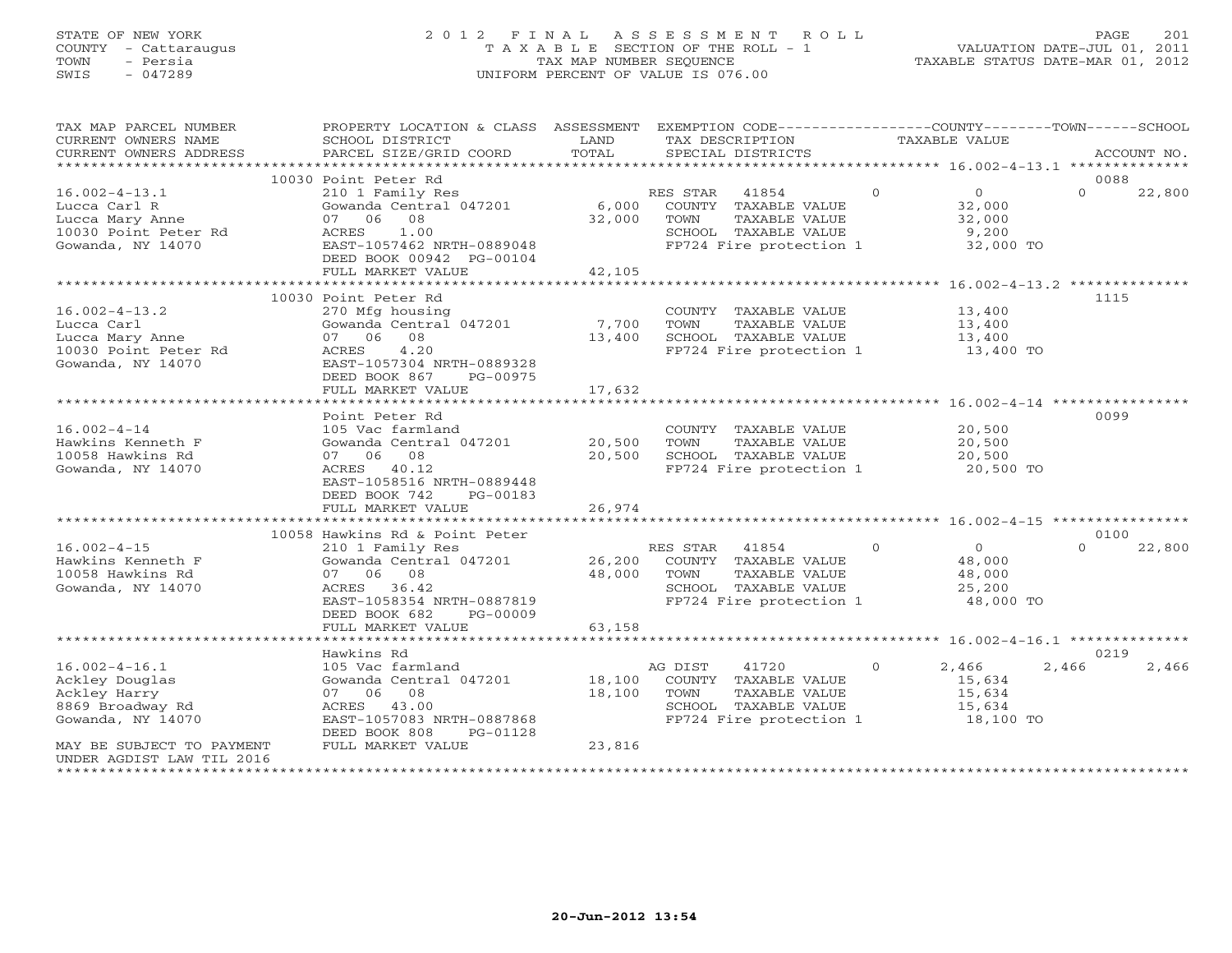## STATE OF NEW YORK 2 0 1 2 F I N A L A S S E S S M E N T R O L L PAGE 201 COUNTY - Cattaraugus T A X A B L E SECTION OF THE ROLL - 1 VALUATION DATE-JUL 01, 2011 TOWN - Persia TAX MAP NUMBER SEQUENCE TAXABLE STATUS DATE-MAR 01, 2012 SWIS - 047289 UNIFORM PERCENT OF VALUE IS 076.00UNIFORM PERCENT OF VALUE IS 076.00

| TAX MAP PARCEL NUMBER                            | PROPERTY LOCATION & CLASS ASSESSMENT                   |                       | EXEMPTION CODE----------------COUNTY-------TOWN------SCHOOL |                |                      |          |             |
|--------------------------------------------------|--------------------------------------------------------|-----------------------|-------------------------------------------------------------|----------------|----------------------|----------|-------------|
| CURRENT OWNERS NAME                              | SCHOOL DISTRICT                                        | LAND                  | TAX DESCRIPTION                                             | TAXABLE VALUE  |                      |          |             |
| CURRENT OWNERS ADDRESS<br>********************** | PARCEL SIZE/GRID COORD                                 | TOTAL                 | SPECIAL DISTRICTS                                           |                |                      |          | ACCOUNT NO. |
|                                                  | 10030 Point Peter Rd                                   |                       |                                                             |                |                      | 0088     |             |
| $16.002 - 4 - 13.1$                              | 210 1 Family Res                                       |                       | $\sim$ 0<br>RES STAR<br>41854                               |                | $\overline{0}$       | $\Omega$ | 22,800      |
| Lucca Carl R                                     | Gowanda Central 047201                                 | $6,000$ <sup>RE</sup> | COUNTY TAXABLE VALUE                                        |                | 32,000               |          |             |
| Lucca Mary Anne                                  | 08<br>07 06                                            | 32,000 TOWN           | TAXABLE VALUE                                               |                |                      |          |             |
| 10030 Point Peter Rd                             | 1.00<br>ACRES                                          |                       | SCHOOL TAXABLE VALUE                                        |                | $\frac{32}{9}$ , 000 |          |             |
| Gowanda, NY 14070                                | EAST-1057462 NRTH-0889048                              |                       | FP724 Fire protection 1 32,000 TO                           |                |                      |          |             |
|                                                  | DEED BOOK 00942 PG-00104                               |                       |                                                             |                |                      |          |             |
|                                                  | FULL MARKET VALUE                                      | 42,105                |                                                             |                |                      |          |             |
|                                                  |                                                        |                       |                                                             |                |                      |          |             |
|                                                  | 10030 Point Peter Rd                                   |                       |                                                             |                |                      | 1115     |             |
| $16.002 - 4 - 13.2$                              | 270 Mfg housing                                        |                       | COUNTY TAXABLE VALUE                                        |                | 13,400               |          |             |
| Lucca Carl                                       | Gowanda Central 047201 7,700                           |                       | TOWN<br>TAXABLE VALUE                                       |                | 13,400<br>13,400     |          |             |
| Lucca Mary Anne                                  | 07 06 08<br>4.20                                       | 13,400                | SCHOOL TAXABLE VALUE<br>FP724 Fire protection 1 13,400 TO   |                |                      |          |             |
| 10030 Point Peter Rd<br>Gowanda, NY 14070        | ACRES<br>EAST-1057304 NRTH-0889328                     |                       |                                                             |                |                      |          |             |
|                                                  | DEED BOOK 867<br>PG-00975                              |                       |                                                             |                |                      |          |             |
|                                                  | FULL MARKET VALUE                                      | 17,632                |                                                             |                |                      |          |             |
|                                                  |                                                        |                       |                                                             |                |                      |          |             |
|                                                  | Point Peter Rd                                         |                       |                                                             |                |                      | 0099     |             |
| $16.002 - 4 - 14$                                | 105 Vac farmland                                       |                       | COUNTY TAXABLE VALUE                                        |                | 20,500               |          |             |
| Hawkins Kenneth F                                | Gowanda Central 047201                                 | 20,500                | TOWN<br>TAXABLE VALUE                                       |                | 20,500               |          |             |
| 10058 Hawkins Rd                                 | 07 06 08                                               | 20,500                | SCHOOL TAXABLE VALUE                                        |                | 20,500               |          |             |
| Gowanda, NY 14070                                | ACRES 40.12                                            |                       | FP724 Fire protection 1                                     |                | 20,500 TO            |          |             |
|                                                  | EAST-1058516 NRTH-0889448                              |                       |                                                             |                |                      |          |             |
|                                                  | DEED BOOK 742<br>PG-00183                              |                       |                                                             |                |                      |          |             |
|                                                  | FULL MARKET VALUE                                      | 26,974                |                                                             |                |                      |          |             |
|                                                  |                                                        |                       |                                                             |                |                      | 0100     |             |
| $16.002 - 4 - 15$                                | 10058 Hawkins Rd & Point Peter<br>210 1 Family Res     |                       | RES STAR 41854                                              | $\overline{0}$ | $\overline{0}$       | $\Omega$ | 22,800      |
| Hawkins Kenneth F                                | Gowanda Central 047201 26,200 COUNTY TAXABLE VALUE     |                       |                                                             |                | 48,000               |          |             |
| 10058 Hawkins Rd                                 | 07 06 08                                               |                       | 48,000 TOWN<br>TAXABLE VALUE                                |                | 48,000               |          |             |
| Gowanda, NY 14070                                | ACRES 36.42                                            |                       | SCHOOL TAXABLE VALUE                                        |                | 25,200               |          |             |
|                                                  | EAST-1058354 NRTH-0887819                              |                       | FP724 Fire protection 1                                     |                | 48,000 TO            |          |             |
|                                                  | DEED BOOK 682<br>PG-00009                              |                       |                                                             |                |                      |          |             |
|                                                  | FULL MARKET VALUE                                      | 63,158                |                                                             |                |                      |          |             |
|                                                  |                                                        |                       |                                                             |                |                      |          |             |
|                                                  | Hawkins Rd                                             |                       |                                                             |                |                      | 0219     |             |
| $16.002 - 4 - 16.1$                              | 105 Vac farmland                                       |                       | AG DIST<br>41720                                            | $\Omega$       | 2,466                | 2,466    | 2,466       |
| Ackley Douglas                                   | Gowanda Central 047201                                 | 18,100                | COUNTY TAXABLE VALUE                                        |                | 15,634               |          |             |
| Ackley Harry                                     | 07 06 08                                               | 18,100                | TOWN<br>TAXABLE VALUE                                       |                | 15,634               |          |             |
| 8869 Broadway Rd<br>Gowanda, NY 14070            | ACRES 43.00                                            |                       | SCHOOL TAXABLE VALUE<br>FP724 Fire protection 1 18,100 TO   |                | 15,634               |          |             |
|                                                  | EAST-1057083 NRTH-0887868<br>DEED BOOK 808<br>PG-01128 |                       |                                                             |                |                      |          |             |
| MAY BE SUBJECT TO PAYMENT                        | FULL MARKET VALUE                                      | 23,816                |                                                             |                |                      |          |             |
| UNDER AGDIST LAW TIL 2016                        |                                                        |                       |                                                             |                |                      |          |             |
|                                                  |                                                        |                       |                                                             |                |                      |          |             |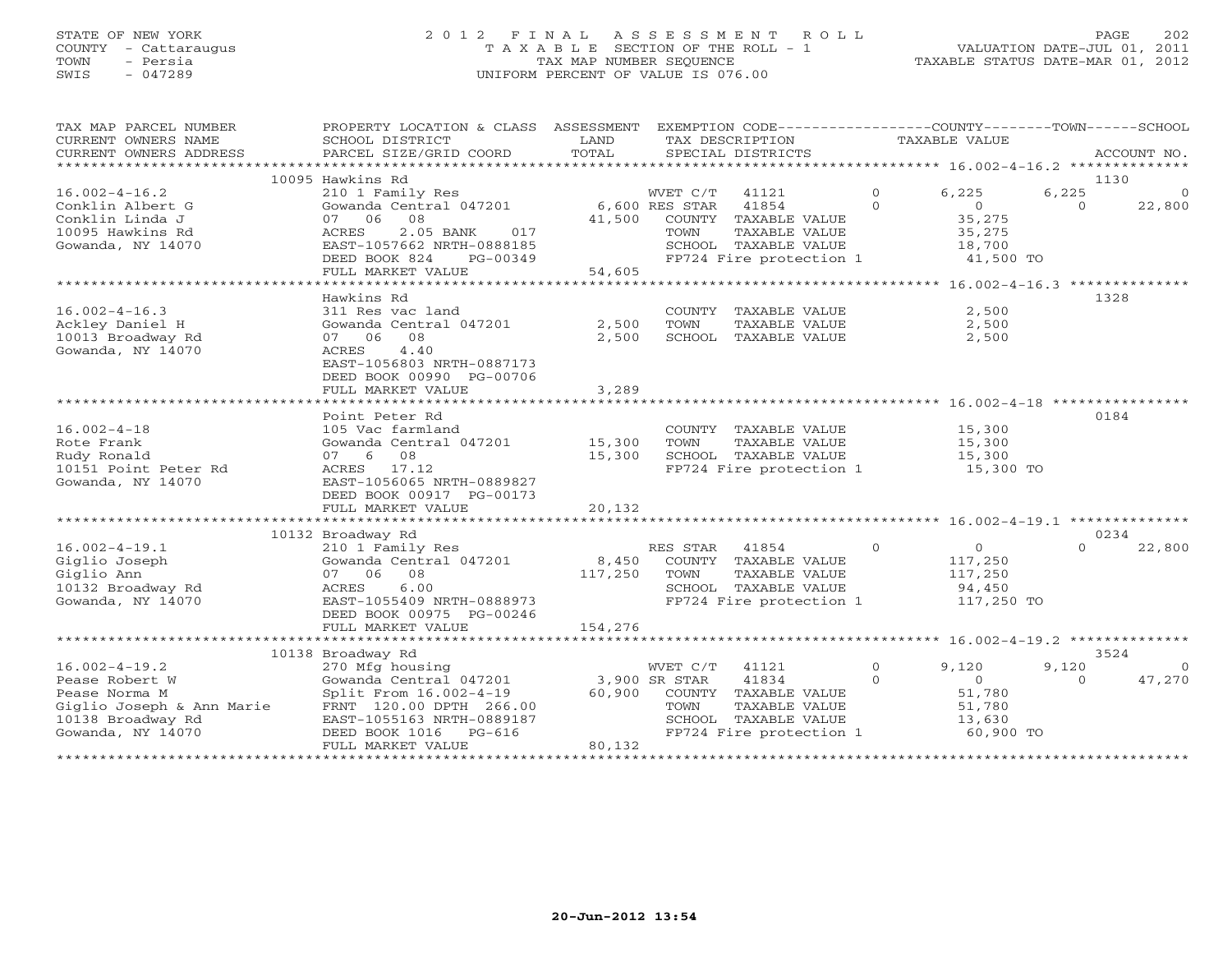# STATE OF NEW YORK 2022 EINAL ASSESSMENT ROLL PAGE 202 COUNTY - Cattaraugus T A X A B L E SECTION OF THE ROLL - 1 VALUATION DATE-JUL 01, 2011 SWIS - 047289 UNIFORM PERCENT OF VALUE IS 076.00

TAXABLE STATUS DATE-MAR 01, 2012

| TAX MAP PARCEL NUMBER<br>CURRENT OWNERS NAME      | PROPERTY LOCATION & CLASS<br>SCHOOL DISTRICT | LAND    |                | ASSESSMENT EXEMPTION CODE-----------------COUNTY-------TOWN------SCHOOL<br>TAX DESCRIPTION |          | TAXABLE VALUE  |          |             |
|---------------------------------------------------|----------------------------------------------|---------|----------------|--------------------------------------------------------------------------------------------|----------|----------------|----------|-------------|
| CURRENT OWNERS ADDRESS<br>*********************** | PARCEL SIZE/GRID COORD                       | TOTAL   |                | SPECIAL DISTRICTS                                                                          |          |                |          | ACCOUNT NO. |
|                                                   | 10095 Hawkins Rd                             |         |                |                                                                                            |          |                | 1130     |             |
| $16.002 - 4 - 16.2$                               | 210 1 Family Res                             |         | WVET C/T       | 41121                                                                                      | $\Omega$ | 6,225          | 6,225    | $\Omega$    |
| Conklin Albert G                                  | Gowanda Central 047201                       |         | 6,600 RES STAR | 41854                                                                                      | $\Omega$ | $\overline{0}$ | $\Omega$ | 22,800      |
| Conklin Linda J                                   | 08<br>07 06                                  | 41,500  |                | COUNTY TAXABLE VALUE                                                                       |          | 35,275         |          |             |
| 10095 Hawkins Rd                                  | ACRES<br>2.05 BANK<br>017                    |         | TOWN           | TAXABLE VALUE                                                                              |          | 35,275         |          |             |
| Gowanda, NY 14070                                 | EAST-1057662 NRTH-0888185                    |         |                | SCHOOL TAXABLE VALUE                                                                       |          | 18,700         |          |             |
|                                                   | DEED BOOK 824<br>PG-00349                    |         |                | FP724 Fire protection 1                                                                    |          | 41,500 TO      |          |             |
|                                                   | FULL MARKET VALUE                            | 54,605  |                |                                                                                            |          |                |          |             |
|                                                   | Hawkins Rd                                   |         |                |                                                                                            |          |                | 1328     |             |
| $16.002 - 4 - 16.3$                               | 311 Res vac land                             |         |                | COUNTY TAXABLE VALUE                                                                       |          | 2,500          |          |             |
| Ackley Daniel H                                   | Gowanda Central 047201                       | 2,500   | TOWN           | TAXABLE VALUE                                                                              |          | 2,500          |          |             |
| 10013 Broadway Rd                                 | 07 06<br>08                                  | 2,500   |                | SCHOOL TAXABLE VALUE                                                                       |          | 2,500          |          |             |
| Gowanda, NY 14070                                 | 4.40<br>ACRES                                |         |                |                                                                                            |          |                |          |             |
|                                                   | EAST-1056803 NRTH-0887173                    |         |                |                                                                                            |          |                |          |             |
|                                                   | DEED BOOK 00990 PG-00706                     |         |                |                                                                                            |          |                |          |             |
|                                                   | FULL MARKET VALUE                            | 3,289   |                |                                                                                            |          |                |          |             |
|                                                   | *******************************              |         |                |                                                                                            |          |                |          |             |
|                                                   | Point Peter Rd                               |         |                |                                                                                            |          |                | 0184     |             |
| $16.002 - 4 - 18$                                 | 105 Vac farmland                             |         |                | COUNTY TAXABLE VALUE                                                                       |          | 15,300         |          |             |
| Rote Frank                                        | Gowanda Central 047201                       | 15,300  | TOWN           | TAXABLE VALUE                                                                              |          | 15,300         |          |             |
| Rudy Ronald                                       | 08<br>07 6<br>17.12                          | 15,300  |                | SCHOOL TAXABLE VALUE<br>FP724 Fire protection 1                                            |          | 15,300         |          |             |
| 10151 Point Peter Rd<br>Gowanda, NY 14070         | ACRES<br>EAST-1056065 NRTH-0889827           |         |                |                                                                                            |          | 15,300 TO      |          |             |
|                                                   | DEED BOOK 00917 PG-00173                     |         |                |                                                                                            |          |                |          |             |
|                                                   | FULL MARKET VALUE                            | 20,132  |                |                                                                                            |          |                |          |             |
|                                                   |                                              |         |                |                                                                                            |          |                |          |             |
|                                                   | 10132 Broadway Rd                            |         |                |                                                                                            |          |                | 0234     |             |
| $16.002 - 4 - 19.1$                               | 210 1 Family Res                             |         | RES STAR       | 41854                                                                                      | $\Omega$ | $\Omega$       | $\Omega$ | 22,800      |
| Giglio Joseph                                     | Gowanda Central 047201                       | 8,450   |                | COUNTY TAXABLE VALUE                                                                       |          | 117,250        |          |             |
| Giglio Ann                                        | 07 06 08                                     | 117,250 | TOWN           | TAXABLE VALUE                                                                              |          | 117,250        |          |             |
| 10132 Broadway Rd                                 | 6.00<br>ACRES                                |         |                | SCHOOL TAXABLE VALUE                                                                       |          | 94,450         |          |             |
| Gowanda, NY 14070                                 | EAST-1055409 NRTH-0888973                    |         |                | FP724 Fire protection 1                                                                    |          | 117,250 TO     |          |             |
|                                                   | DEED BOOK 00975 PG-00246                     |         |                |                                                                                            |          |                |          |             |
|                                                   | FULL MARKET VALUE                            | 154,276 |                |                                                                                            |          |                |          |             |
|                                                   | 10138 Broadway Rd                            |         |                |                                                                                            |          |                | 3524     |             |
| $16.002 - 4 - 19.2$                               | 270 Mfg housing                              |         | WVET C/T       | 41121                                                                                      | $\Omega$ | 9,120          | 9,120    | $\Omega$    |
| Pease Robert W                                    | Gowanda Central 047201                       |         | 3,900 SR STAR  | 41834                                                                                      | $\Omega$ | $\overline{O}$ | $\Omega$ | 47,270      |
| Pease Norma M                                     | Split From 16.002-4-19                       | 60,900  |                | COUNTY TAXABLE VALUE                                                                       |          | 51,780         |          |             |
| Giglio Joseph & Ann Marie                         | FRNT 120.00 DPTH 266.00                      |         | TOWN           | TAXABLE VALUE                                                                              |          | 51,780         |          |             |
| 10138 Broadway Rd                                 | EAST-1055163 NRTH-0889187                    |         |                | SCHOOL TAXABLE VALUE                                                                       |          | 13,630         |          |             |
| Gowanda, NY 14070                                 | DEED BOOK 1016<br>$PG-616$                   |         |                | FP724 Fire protection 1                                                                    |          | 60,900 TO      |          |             |
|                                                   | FULL MARKET VALUE                            | 80,132  |                |                                                                                            |          |                |          |             |
|                                                   |                                              |         |                |                                                                                            |          |                |          |             |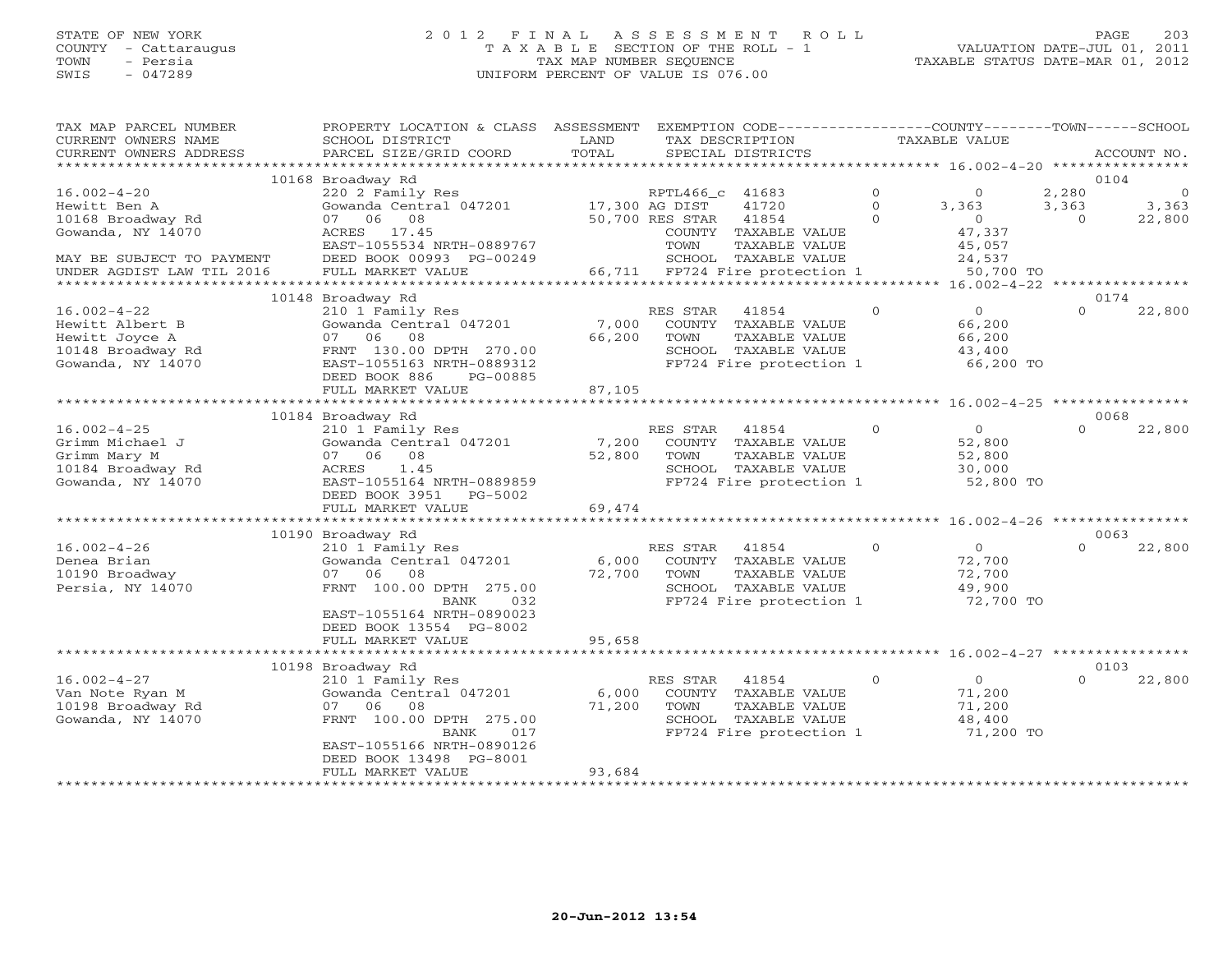## STATE OF NEW YORK 2 0 1 2 F I N A L A S S E S S M E N T R O L L PAGE 203 COUNTY - Cattaraugus T A X A B L E SECTION OF THE ROLL - 1 VALUATION DATE-JUL 01, 2011 TOWN - Persia TAX MAP NUMBER SEQUENCE TAXABLE STATUS DATE-MAR 01, 2012 SWIS - 047289 UNIFORM PERCENT OF VALUE IS 076.00UNIFORM PERCENT OF VALUE IS 076.00

| TAX MAP PARCEL NUMBER<br>CURRENT OWNERS NAME<br>CURRENT OWNERS ADDRESS                           | PROPERTY LOCATION & CLASS ASSESSMENT<br>SCHOOL DISTRICT<br>PARCEL SIZE/GRID COORD                                                                                                | LAND<br>TOTAL                  |                                              | EXEMPTION CODE-----------------COUNTY-------TOWN------SCHOOL<br>TAX DESCRIPTION<br>SPECIAL DISTRICTS |                                     | <b>TAXABLE VALUE</b>                                      |                                    | ACCOUNT NO.                       |
|--------------------------------------------------------------------------------------------------|----------------------------------------------------------------------------------------------------------------------------------------------------------------------------------|--------------------------------|----------------------------------------------|------------------------------------------------------------------------------------------------------|-------------------------------------|-----------------------------------------------------------|------------------------------------|-----------------------------------|
|                                                                                                  |                                                                                                                                                                                  |                                |                                              |                                                                                                      |                                     |                                                           |                                    |                                   |
| $16.002 - 4 - 20$<br>Hewitt Ben A<br>10168 Broadway Rd<br>Gowanda, NY 14070                      | 10168 Broadway Rd<br>220 2 Family Res<br>Gowanda Central 047201<br>08<br>07 06<br>ACRES 17.45                                                                                    | 17,300 AG DIST                 | RPTL466_c 41683<br>50,700 RES STAR<br>COUNTY | 41720<br>41854<br>TAXABLE VALUE                                                                      | $\circ$<br>$\mathbf{0}$<br>$\Omega$ | $\circ$<br>3,363<br>$\overline{0}$<br>47,337              | 0104<br>2,280<br>3,363<br>$\Omega$ | $\overline{0}$<br>3,363<br>22,800 |
| MAY BE SUBJECT TO PAYMENT<br>UNDER AGDIST LAW TIL 2016                                           | EAST-1055534 NRTH-0889767<br>DEED BOOK 00993 PG-00249<br>FULL MARKET VALUE                                                                                                       | ****************************** | TOWN                                         | TAXABLE VALUE<br>SCHOOL TAXABLE VALUE<br>66,711 FP724 Fire protection 1                              |                                     | 45,057<br>24,537<br>50,700 TO                             |                                    |                                   |
|                                                                                                  | 10148 Broadway Rd                                                                                                                                                                |                                |                                              |                                                                                                      |                                     | *********** 16.002-4-22 ***********                       | 0174                               |                                   |
| $16.002 - 4 - 22$<br>Hewitt Albert B<br>Hewitt Joyce A<br>10148 Broadway Rd<br>Gowanda, NY 14070 | 210 1 Family Res<br>Gowanda Central 047201<br>07 06<br>08<br>FRNT 130.00 DPTH 270.00<br>EAST-1055163 NRTH-0889312<br>DEED BOOK 886<br>PG-00885<br>FULL MARKET VALUE              | 7,000<br>66,200<br>87,105      | RES STAR<br>TOWN                             | 41854<br>COUNTY TAXABLE VALUE<br>TAXABLE VALUE<br>SCHOOL TAXABLE VALUE<br>FP724 Fire protection 1    | $\Omega$                            | $\Omega$<br>66,200<br>66,200<br>43,400<br>66,200 TO       | $\Omega$                           | 22,800                            |
|                                                                                                  | ***********************                                                                                                                                                          |                                |                                              | ******************************** 16.002-4-25 ************                                            |                                     |                                                           |                                    |                                   |
|                                                                                                  | 10184 Broadway Rd                                                                                                                                                                |                                |                                              |                                                                                                      |                                     |                                                           | 0068                               |                                   |
| $16.002 - 4 - 25$<br>Grimm Michael J<br>Grimm Mary M<br>10184 Broadway Rd<br>Gowanda, NY 14070   | 210 1 Family Res<br>Gowanda Central 047201<br>07 06<br>08<br>ACRES<br>1.45<br>EAST-1055164 NRTH-0889859<br>DEED BOOK 3951<br>PG-5002<br>FULL MARKET VALUE                        | 7,200<br>52,800<br>69,474      | RES STAR<br>TOWN                             | 41854<br>COUNTY TAXABLE VALUE<br>TAXABLE VALUE<br>SCHOOL TAXABLE VALUE<br>FP724 Fire protection 1    | $\mathbf{0}$                        | $\overline{O}$<br>52,800<br>52,800<br>30,000<br>52,800 TO | $\Omega$                           | 22,800                            |
|                                                                                                  | * * * * * * * * * * * * * * * * * *                                                                                                                                              | ************                   |                                              |                                                                                                      |                                     | ******** 16.002-4-26 ************                         |                                    |                                   |
| $16.002 - 4 - 26$<br>Denea Brian                                                                 | 10190 Broadway Rd<br>210 1 Family Res<br>Gowanda Central 047201                                                                                                                  | 6,000                          | RES STAR                                     | 41854<br>COUNTY TAXABLE VALUE                                                                        | $\circ$                             | $\overline{0}$<br>72,700                                  | 0063<br>$\Omega$                   | 22,800                            |
| 10190 Broadway<br>Persia, NY 14070                                                               | 07<br>06<br>08<br>FRNT 100.00 DPTH 275.00<br>BANK<br>032<br>EAST-1055164 NRTH-0890023<br>DEED BOOK 13554 PG-8002                                                                 | 72,700                         | TOWN                                         | TAXABLE VALUE<br>SCHOOL TAXABLE VALUE<br>FP724 Fire protection 1                                     |                                     | 72,700<br>49,900<br>72,700 TO                             |                                    |                                   |
|                                                                                                  | FULL MARKET VALUE                                                                                                                                                                | 95,658                         |                                              |                                                                                                      |                                     |                                                           |                                    |                                   |
|                                                                                                  |                                                                                                                                                                                  |                                |                                              |                                                                                                      |                                     |                                                           |                                    |                                   |
| $16.002 - 4 - 27$<br>Van Note Ryan M<br>10198 Broadway Rd<br>Gowanda, NY 14070                   | 10198 Broadway Rd<br>210 1 Family Res<br>Gowanda Central 047201<br>07 06<br>08<br>FRNT 100.00 DPTH 275.00<br>BANK<br>017<br>EAST-1055166 NRTH-0890126<br>DEED BOOK 13498 PG-8001 | 6,000<br>71,200                | RES STAR<br>TOWN                             | 41854<br>COUNTY TAXABLE VALUE<br>TAXABLE VALUE<br>SCHOOL TAXABLE VALUE<br>FP724 Fire protection 1    | $\Omega$                            | $\Omega$<br>71,200<br>71,200<br>48,400<br>71,200 TO       | 0103<br>$\Omega$                   | 22,800                            |
|                                                                                                  | FULL MARKET VALUE<br>************************************                                                                                                                        | 93,684                         |                                              |                                                                                                      |                                     |                                                           |                                    |                                   |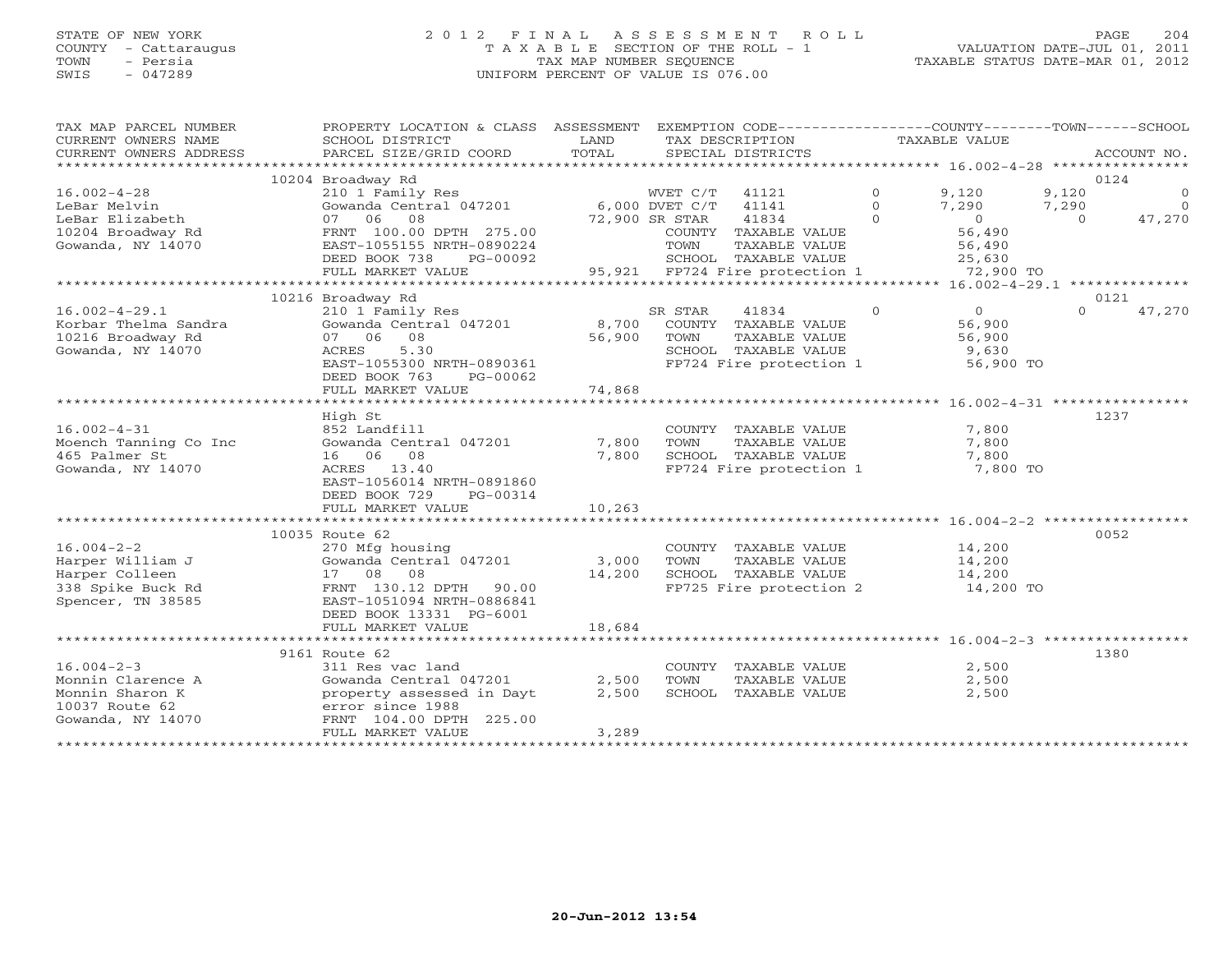## STATE OF NEW YORK 2 0 1 2 F I N A L A S S E S S M E N T R O L L PAGE 204 COUNTY - Cattaraugus T A X A B L E SECTION OF THE ROLL - 1 VALUATION DATE-JUL 01, 2011 TOWN - Persia TAX MAP NUMBER SEQUENCE TAXABLE STATUS DATE-MAR 01, 2012 SWIS - 047289 UNIFORM PERCENT OF VALUE IS 076.00UNIFORM PERCENT OF VALUE IS 076.00

| TAX MAP PARCEL NUMBER<br>CURRENT OWNERS NAME<br>CURRENT OWNERS ADDRESS | PROPERTY LOCATION & CLASS ASSESSMENT<br>SCHOOL DISTRICT<br>PARCEL SIZE/GRID COORD | LAND<br>TOTAL |                | EXEMPTION CODE-----------------COUNTY-------TOWN------SCHOOL<br>TAX DESCRIPTION<br>SPECIAL DISTRICTS |          | TAXABLE VALUE |          | ACCOUNT NO. |
|------------------------------------------------------------------------|-----------------------------------------------------------------------------------|---------------|----------------|------------------------------------------------------------------------------------------------------|----------|---------------|----------|-------------|
|                                                                        |                                                                                   |               |                |                                                                                                      |          |               |          |             |
|                                                                        | 10204 Broadway Rd                                                                 |               |                |                                                                                                      |          |               |          | 0124        |
| $16.002 - 4 - 28$                                                      | 210 1 Family Res                                                                  |               | WVET C/T       | 41121                                                                                                | $\Omega$ | 9,120         | 9,120    | $\Omega$    |
| LeBar Melvin                                                           | Gowanda Central 047201                                                            |               | 6,000 DVET C/T | 41141                                                                                                | $\circ$  | 7,290         | 7,290    | $\Omega$    |
| LeBar Elizabeth                                                        | 07 06<br>08                                                                       |               | 72,900 SR STAR | 41834                                                                                                | $\Omega$ | $\circ$       | $\Omega$ | 47,270      |
| 10204 Broadway Rd                                                      | FRNT 100.00 DPTH 275.00                                                           |               |                | COUNTY TAXABLE VALUE                                                                                 |          | 56,490        |          |             |
| Gowanda, NY 14070                                                      | EAST-1055155 NRTH-0890224                                                         |               | TOWN           | TAXABLE VALUE                                                                                        |          | 56,490        |          |             |
|                                                                        | DEED BOOK 738<br>PG-00092                                                         |               |                | SCHOOL TAXABLE VALUE                                                                                 |          | 25,630        |          |             |
|                                                                        | FULL MARKET VALUE                                                                 |               |                | 95,921 FP724 Fire protection 1                                                                       |          | 72,900 TO     |          |             |
|                                                                        |                                                                                   |               |                |                                                                                                      |          |               |          |             |
|                                                                        | 10216 Broadway Rd                                                                 |               |                |                                                                                                      |          |               |          | 0121        |
| $16.002 - 4 - 29.1$                                                    | 210 1 Family Res                                                                  |               | SR STAR        | 41834                                                                                                | $\Omega$ | $\Omega$      | $\Omega$ | 47,270      |
| Korbar Thelma Sandra                                                   | Gowanda Central 047201                                                            | 8,700         |                | COUNTY TAXABLE VALUE                                                                                 |          | 56,900        |          |             |
| 10216 Broadway Rd                                                      | 07 06 08                                                                          | 56,900        | TOWN           | TAXABLE VALUE                                                                                        |          | 56,900        |          |             |
| Gowanda, NY 14070                                                      | 5.30<br>ACRES                                                                     |               |                | SCHOOL TAXABLE VALUE                                                                                 |          | 9,630         |          |             |
|                                                                        | EAST-1055300 NRTH-0890361                                                         |               |                | FP724 Fire protection 1                                                                              |          | 56,900 TO     |          |             |
|                                                                        | DEED BOOK 763<br>PG-00062                                                         |               |                |                                                                                                      |          |               |          |             |
|                                                                        | FULL MARKET VALUE                                                                 | 74,868        |                |                                                                                                      |          |               |          |             |
|                                                                        |                                                                                   |               |                |                                                                                                      |          |               |          |             |
|                                                                        | High St                                                                           |               |                |                                                                                                      |          |               |          | 1237        |
| $16.002 - 4 - 31$                                                      | 852 Landfill                                                                      |               |                | COUNTY TAXABLE VALUE                                                                                 |          | 7,800         |          |             |
| Moench Tanning Co Inc                                                  | Gowanda Central 047201                                                            | 7,800         | TOWN           | TAXABLE VALUE                                                                                        |          | 7,800         |          |             |
| 465 Palmer St                                                          | 16 06 08                                                                          | 7,800         |                | SCHOOL TAXABLE VALUE                                                                                 |          | 7,800         |          |             |
| Gowanda, NY 14070                                                      | ACRES<br>13.40                                                                    |               |                | FP724 Fire protection 1                                                                              |          | 7,800 TO      |          |             |
|                                                                        | EAST-1056014 NRTH-0891860                                                         |               |                |                                                                                                      |          |               |          |             |
|                                                                        | DEED BOOK 729<br>PG-00314                                                         |               |                |                                                                                                      |          |               |          |             |
|                                                                        | FULL MARKET VALUE                                                                 | 10,263        |                |                                                                                                      |          |               |          |             |
|                                                                        |                                                                                   |               |                |                                                                                                      |          |               |          |             |
|                                                                        | 10035 Route 62                                                                    |               |                |                                                                                                      |          |               |          | 0052        |
| $16.004 - 2 - 2$                                                       | 270 Mfg housing                                                                   |               |                | COUNTY TAXABLE VALUE                                                                                 |          | 14,200        |          |             |
| Harper William J                                                       | Gowanda Central 047201                                                            | 3,000         | TOWN           | TAXABLE VALUE                                                                                        |          | 14,200        |          |             |
| Harper Colleen                                                         | 17 08<br>08                                                                       | 14,200        |                | SCHOOL TAXABLE VALUE                                                                                 |          | 14,200        |          |             |
| 338 Spike Buck Rd                                                      | FRNT 130.12 DPTH<br>90.00                                                         |               |                | FP725 Fire protection 2                                                                              |          | 14,200 TO     |          |             |
| Spencer, TN 38585                                                      | EAST-1051094 NRTH-0886841                                                         |               |                |                                                                                                      |          |               |          |             |
|                                                                        | DEED BOOK 13331 PG-6001                                                           | 18,684        |                |                                                                                                      |          |               |          |             |
|                                                                        | FULL MARKET VALUE                                                                 |               |                |                                                                                                      |          |               |          |             |
|                                                                        | 9161 Route 62                                                                     |               |                |                                                                                                      |          |               |          | 1380        |
| $16.004 - 2 - 3$                                                       | 311 Res vac land                                                                  |               |                | COUNTY TAXABLE VALUE                                                                                 |          | 2,500         |          |             |
| Monnin Clarence A                                                      | Gowanda Central 047201                                                            | 2,500         | TOWN           | TAXABLE VALUE                                                                                        |          | 2,500         |          |             |
| Monnin Sharon K                                                        | property assessed in Dayt                                                         | 2,500         |                | SCHOOL TAXABLE VALUE                                                                                 |          | 2,500         |          |             |
| 10037 Route 62                                                         | error since 1988                                                                  |               |                |                                                                                                      |          |               |          |             |
| Gowanda, NY 14070                                                      | FRNT 104.00 DPTH 225.00                                                           |               |                |                                                                                                      |          |               |          |             |
|                                                                        | FULL MARKET VALUE                                                                 | 3,289         |                |                                                                                                      |          |               |          |             |
|                                                                        |                                                                                   |               |                |                                                                                                      |          |               |          |             |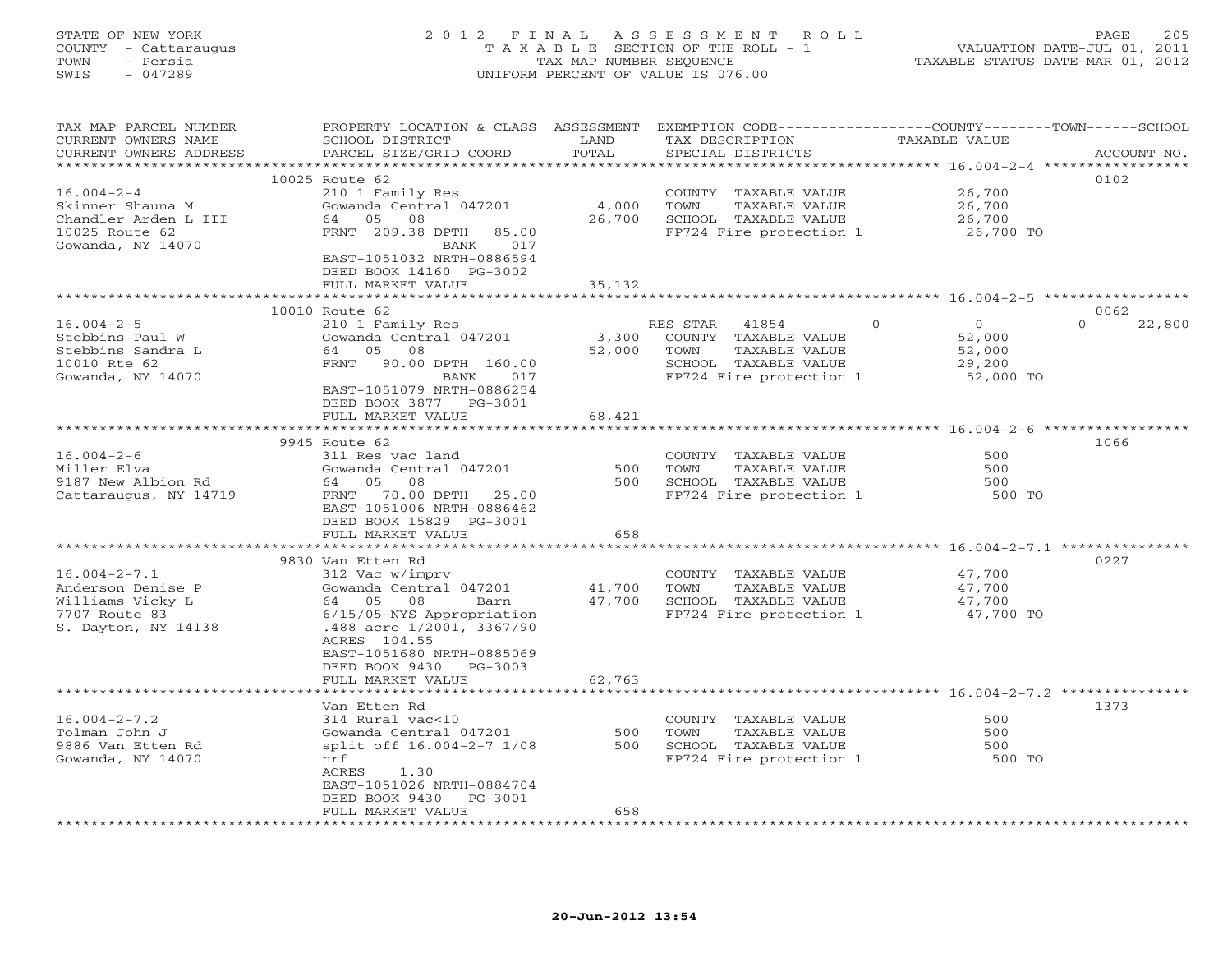## STATE OF NEW YORK 2 0 1 2 F I N A L A S S E S S M E N T R O L L PAGE 205 COUNTY - Cattaraugus T A X A B L E SECTION OF THE ROLL - 1 VALUATION DATE-JUL 01, 2011 TOWN - Persia TAX MAP NUMBER SEQUENCE TAXABLE STATUS DATE-MAR 01, 2012 SWIS - 047289 UNIFORM PERCENT OF VALUE IS 076.00UNIFORM PERCENT OF VALUE IS 076.00

| TAX MAP PARCEL NUMBER<br>CURRENT OWNERS NAME<br>CURRENT OWNERS ADDRESS | PROPERTY LOCATION & CLASS ASSESSMENT<br>SCHOOL DISTRICT<br>PARCEL SIZE/GRID COORD   | LAND<br>TOTAL     | TAX DESCRIPTION<br>SPECIAL DISTRICTS            | EXEMPTION CODE----------------COUNTY-------TOWN-----SCHOOL<br>TAXABLE VALUE<br>ACCOUNT NO. |
|------------------------------------------------------------------------|-------------------------------------------------------------------------------------|-------------------|-------------------------------------------------|--------------------------------------------------------------------------------------------|
| ******************                                                     |                                                                                     | **********        |                                                 | ************************************** 16.004-2-4 ******************                       |
| $16.004 - 2 - 4$<br>Skinner Shauna M                                   | 10025 Route 62<br>210 1 Family Res<br>Gowanda Central 047201<br>64 05               | 4,000             | COUNTY TAXABLE VALUE<br>TAXABLE VALUE<br>TOWN   | 0102<br>26,700<br>26,700                                                                   |
| Chandler Arden L III<br>10025 Route 62<br>Gowanda, NY 14070            | 08<br>FRNT 209.38 DPTH<br>85.00<br>017<br>BANK<br>EAST-1051032 NRTH-0886594         | 26,700            | SCHOOL TAXABLE VALUE<br>FP724 Fire protection 1 | 26,700<br>26,700 TO                                                                        |
|                                                                        | DEED BOOK 14160 PG-3002<br>FULL MARKET VALUE                                        | 35,132<br>******* |                                                 | ********************* 16.004-2-5 ******************                                        |
|                                                                        | 10010 Route 62                                                                      |                   |                                                 | 0062                                                                                       |
| $16.004 - 2 - 5$<br>Stebbins Paul W                                    | 210 1 Family Res<br>Gowanda Central 047201                                          | 3,300             | RES STAR<br>41854<br>COUNTY<br>TAXABLE VALUE    | $\circ$<br>$\Omega$<br>$\Omega$<br>22,800<br>52,000                                        |
| Stebbins Sandra L<br>10010 Rte 62                                      | 64<br>05<br>08<br>90.00 DPTH 160.00<br>FRNT                                         | 52,000            | TOWN<br>TAXABLE VALUE<br>SCHOOL TAXABLE VALUE   | 52,000<br>29,200                                                                           |
| Gowanda, NY 14070                                                      | BANK<br>017<br>EAST-1051079 NRTH-0886254<br>DEED BOOK 3877 PG-3001                  | 68,421            | FP724 Fire protection 1                         | 52,000 TO                                                                                  |
|                                                                        | FULL MARKET VALUE                                                                   |                   |                                                 |                                                                                            |
|                                                                        | 9945 Route 62                                                                       |                   |                                                 | 1066                                                                                       |
| $16.004 - 2 - 6$                                                       | 311 Res vac land                                                                    |                   | COUNTY TAXABLE VALUE                            | 500                                                                                        |
| Miller Elva                                                            | Gowanda Central 047201                                                              | 500               | TOWN<br>TAXABLE VALUE                           | 500                                                                                        |
| 9187 New Albion Rd                                                     | 08<br>64 05                                                                         | 500               | SCHOOL TAXABLE VALUE                            | 500                                                                                        |
| Cattaraugus, NY 14719                                                  | 70.00 DPTH<br>FRNT<br>25.00<br>EAST-1051006 NRTH-0886462<br>DEED BOOK 15829 PG-3001 |                   | FP724 Fire protection 1                         | 500 TO                                                                                     |
|                                                                        | FULL MARKET VALUE                                                                   | 658               |                                                 |                                                                                            |
|                                                                        |                                                                                     | **********        |                                                 | ********************************* 16.004-2-7.1 ***************                             |
|                                                                        | 9830 Van Etten Rd                                                                   |                   |                                                 | 0227                                                                                       |
| $16.004 - 2 - 7.1$<br>Anderson Denise P                                | 312 Vac w/imprv<br>Gowanda Central 047201                                           | 41,700            | COUNTY TAXABLE VALUE<br>TAXABLE VALUE<br>TOWN   | 47,700<br>47,700                                                                           |
| Williams Vicky L                                                       | 64 05 08<br>Barn                                                                    | 47,700            | SCHOOL TAXABLE VALUE                            | 47,700                                                                                     |
| 7707 Route 83                                                          | 6/15/05-NYS Appropriation                                                           |                   | FP724 Fire protection 1                         | 47,700 TO                                                                                  |
| S. Dayton, NY 14138                                                    | .488 acre 1/2001, 3367/90<br>ACRES 104.55<br>EAST-1051680 NRTH-0885069              |                   |                                                 |                                                                                            |
|                                                                        | DEED BOOK 9430<br>PG-3003                                                           |                   |                                                 |                                                                                            |
|                                                                        | FULL MARKET VALUE                                                                   | 62,763            |                                                 |                                                                                            |
|                                                                        |                                                                                     |                   |                                                 |                                                                                            |
| $16.004 - 2 - 7.2$                                                     | Van Etten Rd<br>314 Rural vac<10                                                    |                   |                                                 | 1373<br>500                                                                                |
| Tolman John J                                                          | Gowanda Central 047201                                                              | 500               | COUNTY TAXABLE VALUE<br>TOWN<br>TAXABLE VALUE   | 500                                                                                        |
| 9886 Van Etten Rd                                                      | split off 16.004-2-7 1/08                                                           | 500               | SCHOOL TAXABLE VALUE                            | 500                                                                                        |
| Gowanda, NY 14070                                                      | nrf                                                                                 |                   | FP724 Fire protection 1                         | 500 TO                                                                                     |
|                                                                        | ACRES<br>1.30                                                                       |                   |                                                 |                                                                                            |
|                                                                        | EAST-1051026 NRTH-0884704                                                           |                   |                                                 |                                                                                            |
|                                                                        | DEED BOOK 9430<br>$PG-3001$                                                         |                   |                                                 |                                                                                            |
|                                                                        | FULL MARKET VALUE                                                                   | 658               |                                                 |                                                                                            |
|                                                                        |                                                                                     |                   |                                                 |                                                                                            |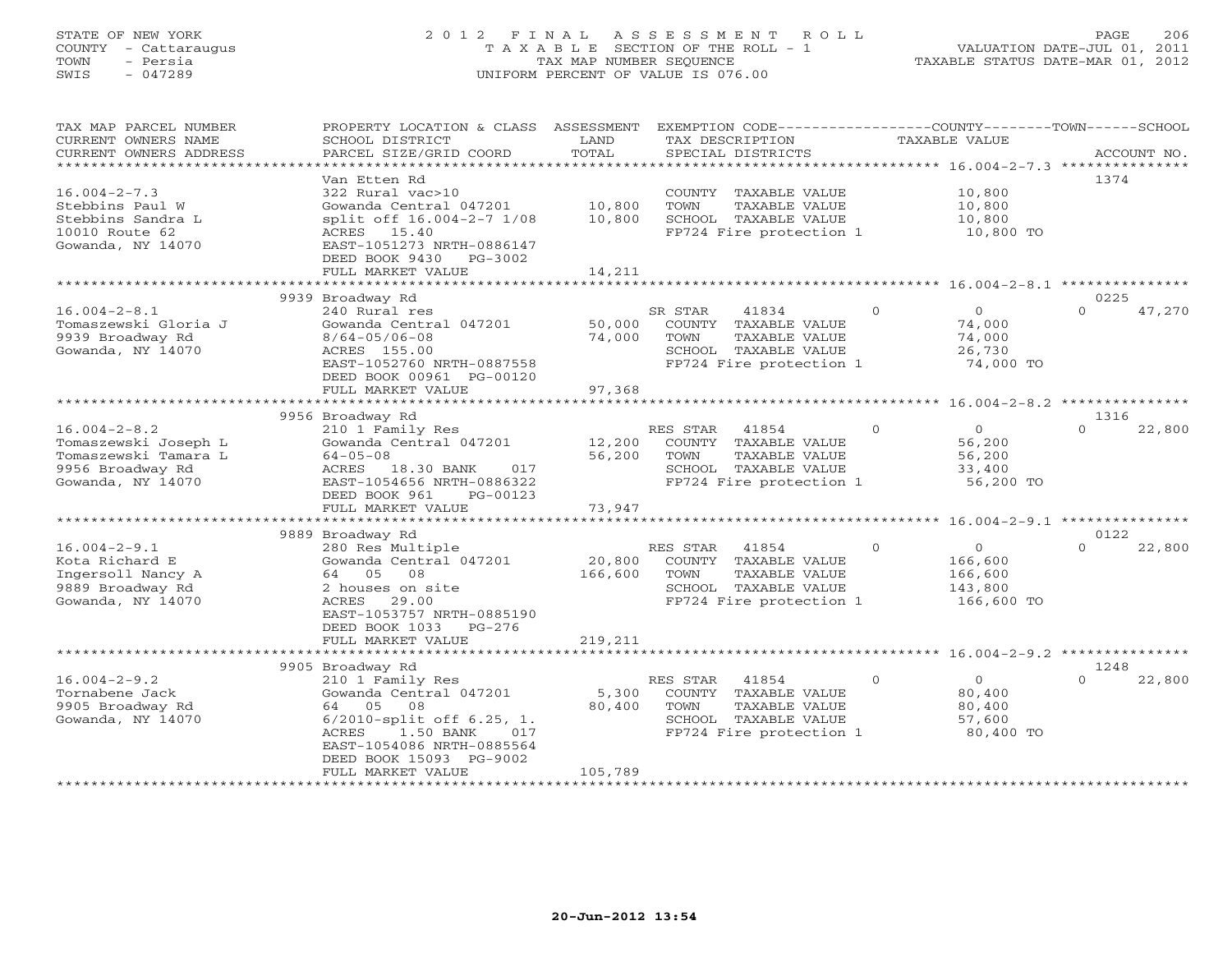## STATE OF NEW YORK 2 0 1 2 F I N A L A S S E S S M E N T R O L L PAGE 206 COUNTY - Cattaraugus T A X A B L E SECTION OF THE ROLL - 1 VALUATION DATE-JUL 01, 2011 TOWN - Persia TAX MAP NUMBER SEQUENCE TAXABLE STATUS DATE-MAR 01, 2012 SWIS - 047289 UNIFORM PERCENT OF VALUE IS 076.00UNIFORM PERCENT OF VALUE IS 076.00

| TAX MAP PARCEL NUMBER<br>CURRENT OWNERS NAME<br>CURRENT OWNERS ADDRESS                                      | PROPERTY LOCATION & CLASS ASSESSMENT<br>SCHOOL DISTRICT<br>PARCEL SIZE/GRID COORD                                                                                                                        | LAND<br>TOTAL                | EXEMPTION CODE-----------------COUNTY-------TOWN------SCHOOL<br>TAX DESCRIPTION<br>SPECIAL DISTRICTS                     | TAXABLE VALUE                                                        | ACCOUNT NO.                |
|-------------------------------------------------------------------------------------------------------------|----------------------------------------------------------------------------------------------------------------------------------------------------------------------------------------------------------|------------------------------|--------------------------------------------------------------------------------------------------------------------------|----------------------------------------------------------------------|----------------------------|
| *********************                                                                                       |                                                                                                                                                                                                          | ************                 |                                                                                                                          |                                                                      |                            |
| $16.004 - 2 - 7.3$<br>Stebbins Paul W<br>Stebbins Sandra L<br>10010 Route 62<br>Gowanda, NY 14070           | Van Etten Rd<br>322 Rural vac>10<br>Gowanda Central 047201<br>split off 16.004-2-7 1/08<br>ACRES 15.40<br>EAST-1051273 NRTH-0886147<br>DEED BOOK 9430<br>PG-3002                                         | 10,800<br>10,800             | COUNTY TAXABLE VALUE<br>TOWN<br>TAXABLE VALUE<br>SCHOOL TAXABLE VALUE<br>FP724 Fire protection 1                         | 10,800<br>10,800<br>10,800<br>10,800 TO                              | 1374                       |
|                                                                                                             | FULL MARKET VALUE                                                                                                                                                                                        | 14,211                       |                                                                                                                          | *********************** 16.004-2-8.1 ********                        |                            |
| $16.004 - 2 - 8.1$<br>Tomaszewski Gloria J<br>9939 Broadway Rd<br>Gowanda, NY 14070                         | 9939 Broadway Rd<br>240 Rural res<br>Gowanda Central 047201<br>$8/64 - 05/06 - 08$<br>ACRES 155.00<br>EAST-1052760 NRTH-0887558<br>DEED BOOK 00961 PG-00120                                              | 50,000<br>74,000             | SR STAR<br>41834<br>COUNTY<br>TAXABLE VALUE<br>TOWN<br>TAXABLE VALUE<br>SCHOOL TAXABLE VALUE<br>FP724 Fire protection 1  | $\circ$<br>$\Omega$<br>74,000<br>74,000<br>26,730<br>74,000 TO       | 0225<br>$\Omega$<br>47,270 |
|                                                                                                             | FULL MARKET VALUE                                                                                                                                                                                        | 97,368                       |                                                                                                                          |                                                                      |                            |
|                                                                                                             | 9956 Broadway Rd                                                                                                                                                                                         |                              |                                                                                                                          |                                                                      | 1316                       |
| $16.004 - 2 - 8.2$<br>Tomaszewski Joseph L<br>Tomaszewski Tamara L<br>9956 Broadway Rd<br>Gowanda, NY 14070 | 210 1 Family Res<br>Gowanda Central 047201<br>$64 - 05 - 08$<br>ACRES<br>18.30 BANK<br>017<br>EAST-1054656 NRTH-0886322<br>DEED BOOK 961<br>PG-00123<br>FULL MARKET VALUE                                | 12,200<br>56,200<br>73,947   | RES STAR<br>41854<br>COUNTY<br>TAXABLE VALUE<br>TOWN<br>TAXABLE VALUE<br>SCHOOL TAXABLE VALUE<br>FP724 Fire protection 1 | $\circ$<br>$\Omega$<br>56,200<br>56,200<br>33,400<br>56,200 TO       | $\Omega$<br>22,800         |
|                                                                                                             |                                                                                                                                                                                                          |                              |                                                                                                                          |                                                                      |                            |
| $16.004 - 2 - 9.1$<br>Kota Richard E<br>Ingersoll Nancy A<br>9889 Broadway Rd<br>Gowanda, NY 14070          | 9889 Broadway Rd<br>280 Res Multiple<br>Gowanda Central 047201<br>05<br>08<br>64<br>2 houses on site<br>ACRES<br>29.00<br>EAST-1053757 NRTH-0885190<br>DEED BOOK 1033<br>PG-276<br>FULL MARKET VALUE     | 20,800<br>166,600<br>219,211 | RES STAR<br>41854<br>COUNTY TAXABLE VALUE<br>TOWN<br>TAXABLE VALUE<br>SCHOOL TAXABLE VALUE<br>FP724 Fire protection 1    | $\circ$<br>$\circ$<br>166,600<br>166,600<br>143,800<br>166,600 TO    | 0122<br>$\Omega$<br>22,800 |
|                                                                                                             |                                                                                                                                                                                                          |                              |                                                                                                                          |                                                                      |                            |
| $16.004 - 2 - 9.2$<br>Tornabene Jack<br>9905 Broadway Rd<br>Gowanda, NY 14070                               | 9905 Broadway Rd<br>210 1 Family Res<br>Gowanda Central 047201<br>64<br>05<br>08<br>$6/2010$ -split off $6.25$ , 1.<br>ACRES<br>1.50 BANK<br>017<br>EAST-1054086 NRTH-0885564<br>DEED BOOK 15093 PG-9002 | 5,300<br>80,400              | RES STAR<br>41854<br>TAXABLE VALUE<br>COUNTY<br>TOWN<br>TAXABLE VALUE<br>SCHOOL TAXABLE VALUE<br>FP724 Fire protection 1 | $\overline{0}$<br>$\circ$<br>80,400<br>80,400<br>57,600<br>80,400 TO | 1248<br>$\Omega$<br>22,800 |
|                                                                                                             | FULL MARKET VALUE                                                                                                                                                                                        | 105,789                      |                                                                                                                          |                                                                      |                            |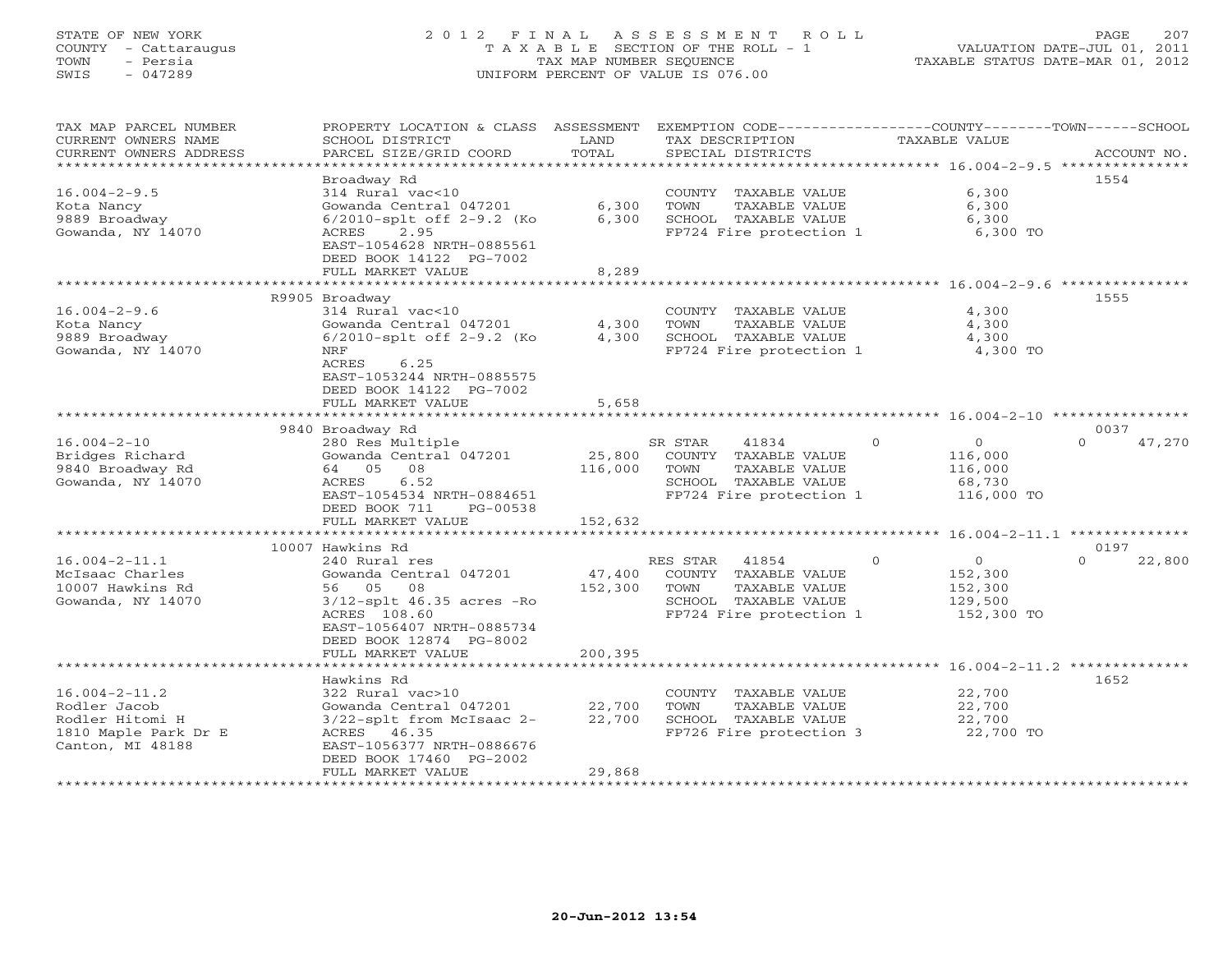## STATE OF NEW YORK 2 0 1 2 F I N A L A S S E S S M E N T R O L L PAGE 207 COUNTY - Cattaraugus T A X A B L E SECTION OF THE ROLL - 1 VALUATION DATE-JUL 01, 2011 TOWN - Persia TAX MAP NUMBER SEQUENCE TAXABLE STATUS DATE-MAR 01, 2012 SWIS - 047289 UNIFORM PERCENT OF VALUE IS 076.00UNIFORM PERCENT OF VALUE IS 076.00

| TAX MAP PARCEL NUMBER<br>CURRENT OWNERS NAME<br>CURRENT OWNERS ADDRESS<br>* * * * * * * * * * * * * * * * * * * | PROPERTY LOCATION & CLASS<br>SCHOOL DISTRICT<br>PARCEL SIZE/GRID COORD                                                                                           | ASSESSMENT<br>LAND<br>TOTAL<br>************* | EXEMPTION CODE-----------------COUNTY-------TOWN------SCHOOL<br>TAX DESCRIPTION<br>SPECIAL DISTRICTS                  | TAXABLE VALUE                                                             | ACCOUNT NO.                |
|-----------------------------------------------------------------------------------------------------------------|------------------------------------------------------------------------------------------------------------------------------------------------------------------|----------------------------------------------|-----------------------------------------------------------------------------------------------------------------------|---------------------------------------------------------------------------|----------------------------|
|                                                                                                                 |                                                                                                                                                                  |                                              |                                                                                                                       |                                                                           |                            |
| $16.004 - 2 - 9.5$<br>Kota Nancy<br>9889 Broadway                                                               | Broadway Rd<br>314 Rural vac<10<br>Gowanda Central 047201<br>$6/2010$ -splt off 2-9.2 (Ko                                                                        | 6,300<br>6,300                               | COUNTY TAXABLE VALUE<br>TOWN<br>TAXABLE VALUE<br>SCHOOL TAXABLE VALUE                                                 | 6,300<br>6,300<br>6,300                                                   | 1554                       |
| Gowanda, NY 14070                                                                                               | 2.95<br>ACRES<br>EAST-1054628 NRTH-0885561<br>DEED BOOK 14122 PG-7002<br>FULL MARKET VALUE                                                                       | 8,289                                        | FP724 Fire protection 1                                                                                               | 6,300 TO                                                                  |                            |
|                                                                                                                 | *******************                                                                                                                                              |                                              |                                                                                                                       | ************************ 16.004-2-9.6 **********                          |                            |
|                                                                                                                 | R9905 Broadway                                                                                                                                                   |                                              |                                                                                                                       |                                                                           | 1555                       |
| $16.004 - 2 - 9.6$<br>Kota Nancy<br>9889 Broadway<br>Gowanda, NY 14070                                          | 314 Rural vac<10<br>Gowanda Central 047201<br>$6/2010$ -splt off 2-9.2 (Ko<br>NRF<br>ACRES<br>6.25                                                               | 4,300<br>4,300                               | COUNTY TAXABLE VALUE<br>TOWN<br>TAXABLE VALUE<br>SCHOOL TAXABLE VALUE<br>FP724 Fire protection 1                      | 4,300<br>4,300<br>4,300<br>4,300 TO                                       |                            |
|                                                                                                                 | EAST-1053244 NRTH-0885575<br>DEED BOOK 14122 PG-7002<br>FULL MARKET VALUE                                                                                        | 5,658                                        |                                                                                                                       |                                                                           |                            |
|                                                                                                                 |                                                                                                                                                                  |                                              |                                                                                                                       | ****************************** 16.004-2-10 ****************               |                            |
|                                                                                                                 | 9840 Broadway Rd                                                                                                                                                 |                                              |                                                                                                                       | $\Omega$<br>$\circ$                                                       | 0037<br>47,270<br>$\Omega$ |
| $16.004 - 2 - 10$<br>Bridges Richard<br>9840 Broadway Rd<br>Gowanda, NY 14070                                   | 280 Res Multiple<br>Gowanda Central 047201<br>64 05<br>08<br>6.52<br>ACRES<br>EAST-1054534 NRTH-0884651                                                          | 25,800<br>116,000                            | SR STAR<br>41834<br>COUNTY TAXABLE VALUE<br>TOWN<br>TAXABLE VALUE<br>SCHOOL TAXABLE VALUE<br>FP724 Fire protection 1  | 116,000<br>116,000<br>68,730<br>116,000 TO                                |                            |
|                                                                                                                 | DEED BOOK 711<br>PG-00538<br>FULL MARKET VALUE                                                                                                                   | 152,632                                      |                                                                                                                       |                                                                           |                            |
|                                                                                                                 |                                                                                                                                                                  |                                              |                                                                                                                       |                                                                           |                            |
|                                                                                                                 | 10007 Hawkins Rd                                                                                                                                                 |                                              |                                                                                                                       |                                                                           | 0197                       |
| $16.004 - 2 - 11.1$<br>McIsaac Charles<br>10007 Hawkins Rd<br>Gowanda, NY 14070                                 | 240 Rural res<br>Gowanda Central 047201<br>56 05<br>08<br>$3/12$ -splt $46.35$ acres -Ro<br>ACRES 108.60<br>EAST-1056407 NRTH-0885734<br>DEED BOOK 12874 PG-8002 | 47,400<br>152,300                            | 41854<br>RES STAR<br>COUNTY TAXABLE VALUE<br>TOWN<br>TAXABLE VALUE<br>SCHOOL TAXABLE VALUE<br>FP724 Fire protection 1 | $\overline{O}$<br>$\Omega$<br>152,300<br>152,300<br>129,500<br>152,300 TO | $\Omega$<br>22,800         |
|                                                                                                                 | FULL MARKET VALUE                                                                                                                                                | 200,395                                      |                                                                                                                       |                                                                           |                            |
|                                                                                                                 | <b>+++++++++++++++++</b>                                                                                                                                         |                                              |                                                                                                                       | ********************** 16.004-2-11.2 ***************                      |                            |
|                                                                                                                 | Hawkins Rd                                                                                                                                                       |                                              |                                                                                                                       |                                                                           | 1652                       |
| $16.004 - 2 - 11.2$<br>Rodler Jacob<br>Rodler Hitomi H<br>1810 Maple Park Dr E<br>Canton, MI 48188              | 322 Rural vac>10<br>Gowanda Central 047201<br>3/22-splt from McIsaac 2-<br>46.35<br>ACRES<br>EAST-1056377 NRTH-0886676<br>DEED BOOK 17460 PG-2002                | 22,700<br>22,700                             | COUNTY TAXABLE VALUE<br>TOWN<br>TAXABLE VALUE<br>SCHOOL TAXABLE VALUE<br>FP726 Fire protection 3                      | 22,700<br>22,700<br>22,700<br>22,700 TO                                   |                            |
|                                                                                                                 | FULL MARKET VALUE<br>******************                                                                                                                          | 29,868                                       |                                                                                                                       |                                                                           |                            |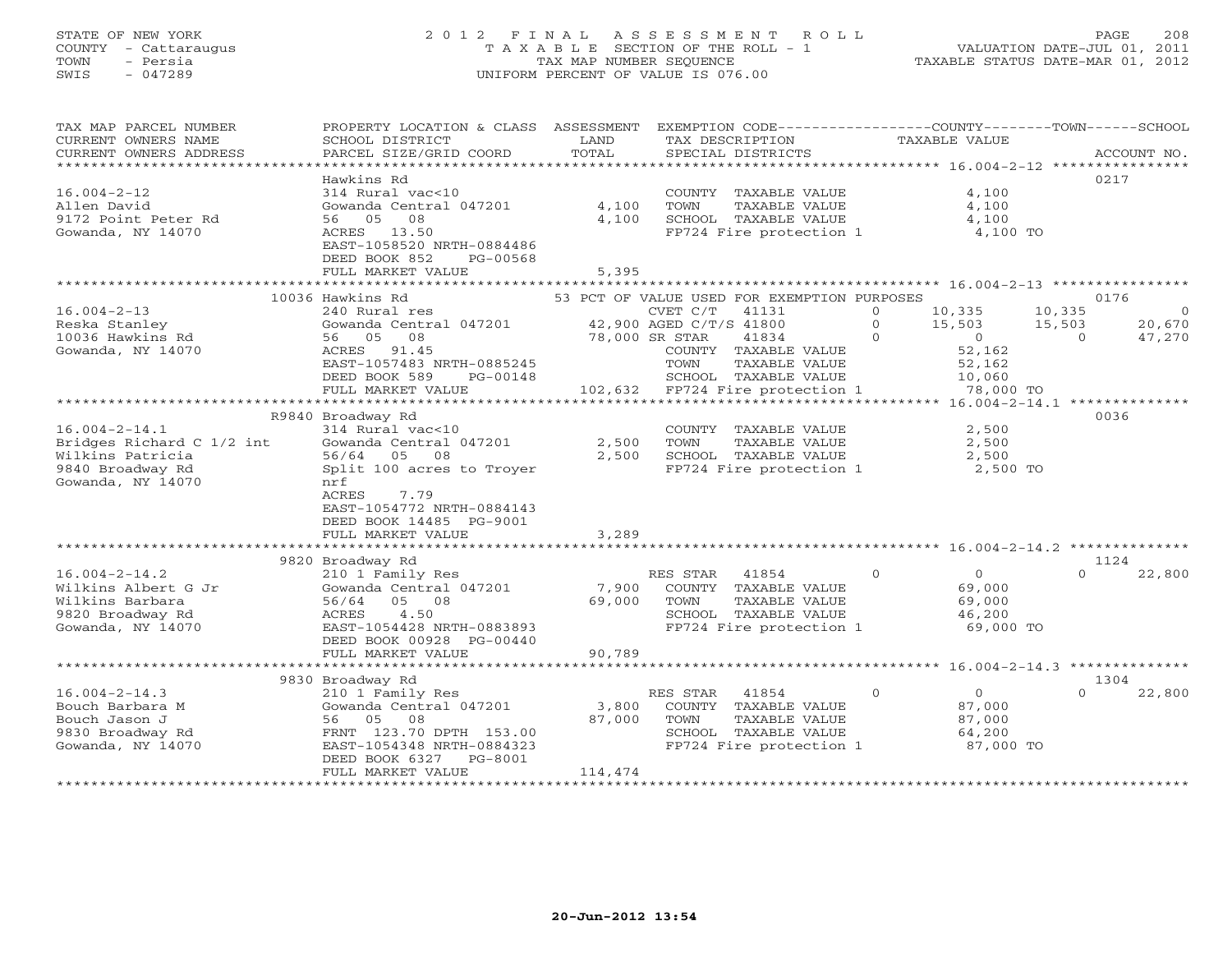## STATE OF NEW YORK 2 0 1 2 F I N A L A S S E S S M E N T R O L L PAGE 208 COUNTY - Cattaraugus T A X A B L E SECTION OF THE ROLL - 1 VALUATION DATE-JUL 01, 2011 TOWN - Persia TAX MAP NUMBER SEQUENCE TAXABLE STATUS DATE-MAR 01, 2012 SWIS - 047289 UNIFORM PERCENT OF VALUE IS 076.00UNIFORM PERCENT OF VALUE IS 076.00

| TAX MAP PARCEL NUMBER<br>CURRENT OWNERS NAME                                                                  | PROPERTY LOCATION & CLASS ASSESSMENT<br>SCHOOL DISTRICT                                                                                                                         | LAND                       | EXEMPTION CODE-----------------COUNTY-------TOWN------SCHOOL<br>TAX DESCRIPTION                                                                                                     | TAXABLE VALUE                                                                                                     |                                                              |
|---------------------------------------------------------------------------------------------------------------|---------------------------------------------------------------------------------------------------------------------------------------------------------------------------------|----------------------------|-------------------------------------------------------------------------------------------------------------------------------------------------------------------------------------|-------------------------------------------------------------------------------------------------------------------|--------------------------------------------------------------|
| CURRENT OWNERS ADDRESS                                                                                        | PARCEL SIZE/GRID COORD<br>Hawkins Rd                                                                                                                                            | TOTAL                      | SPECIAL DISTRICTS                                                                                                                                                                   |                                                                                                                   | ACCOUNT NO.<br>0217                                          |
| $16.004 - 2 - 12$<br>Allen David<br>9172 Point Peter Rd<br>Gowanda, NY 14070                                  | 314 Rural vac<10<br>Gowanda Central 047201<br>08<br>56 05<br>ACRES 13.50<br>EAST-1058520 NRTH-0884486<br>DEED BOOK 852<br>PG-00568                                              | 4,100<br>4,100             | COUNTY TAXABLE VALUE<br>TOWN<br>TAXABLE VALUE<br>SCHOOL TAXABLE VALUE<br>FP724 Fire protection 1                                                                                    | 4,100<br>4,100<br>4,100<br>4,100 TO                                                                               |                                                              |
|                                                                                                               | FULL MARKET VALUE                                                                                                                                                               | 5,395                      |                                                                                                                                                                                     |                                                                                                                   |                                                              |
|                                                                                                               | 10036 Hawkins Rd                                                                                                                                                                |                            | 53 PCT OF VALUE USED FOR EXEMPTION PURPOSES                                                                                                                                         |                                                                                                                   | 0176                                                         |
| $16.004 - 2 - 13$<br>Reska Stanley<br>10036 Hawkins Rd<br>Gowanda, NY 14070                                   | 240 Rural res<br>Gowanda Central 047201<br>08<br>56 05<br>91.45<br>ACRES<br>EAST-1057483 NRTH-0885245<br>DEED BOOK 589<br>PG-00148                                              |                            | CVET C/T<br>41131<br>42,900 AGED C/T/S 41800<br>78,000 SR STAR<br>41834<br>COUNTY TAXABLE VALUE<br>TOWN<br>TAXABLE VALUE<br>SCHOOL TAXABLE VALUE<br>102,632 FP724 Fire protection 1 | $\Omega$<br>10,335<br>$\Omega$<br>15,503<br>$\Omega$<br>$\overline{O}$<br>52,162<br>52,162<br>10,060<br>78,000 TO | 10,335<br>$\Omega$<br>15,503<br>20,670<br>$\Omega$<br>47,270 |
|                                                                                                               | FULL MARKET VALUE                                                                                                                                                               |                            |                                                                                                                                                                                     |                                                                                                                   |                                                              |
|                                                                                                               | R9840 Broadway Rd                                                                                                                                                               |                            |                                                                                                                                                                                     |                                                                                                                   | 0036                                                         |
| $16.004 - 2 - 14.1$<br>Bridges Richard C 1/2 int<br>Wilkins Patricia<br>9840 Broadway Rd<br>Gowanda, NY 14070 | 314 Rural vac<10<br>Gowanda Central 047201<br>56/64 05 08<br>Split 100 acres to Troyer<br>nrf<br>7.79<br>ACRES<br>EAST-1054772 NRTH-0884143<br>DEED BOOK 14485 PG-9001          | 2,500<br>2,500             | COUNTY TAXABLE VALUE<br>TOWN<br>TAXABLE VALUE<br>SCHOOL TAXABLE VALUE<br>FP724 Fire protection 1                                                                                    | 2,500<br>2,500<br>2,500<br>2,500 TO                                                                               |                                                              |
|                                                                                                               | FULL MARKET VALUE                                                                                                                                                               | 3,289                      |                                                                                                                                                                                     |                                                                                                                   |                                                              |
|                                                                                                               |                                                                                                                                                                                 |                            |                                                                                                                                                                                     |                                                                                                                   |                                                              |
| $16.004 - 2 - 14.2$<br>Wilkins Albert G Jr<br>Wilkins Barbara<br>9820 Broadway Rd<br>Gowanda, NY 14070        | 9820 Broadway Rd<br>210 1 Family Res<br>Gowanda Central 047201<br>56/64<br>05 08<br>4.50<br>ACRES<br>EAST-1054428 NRTH-0883893<br>DEED BOOK 00928 PG-00440<br>FULL MARKET VALUE | 7,900<br>69,000<br>90,789  | RES STAR<br>41854<br>COUNTY TAXABLE VALUE<br>TOWN<br>TAXABLE VALUE<br>SCHOOL TAXABLE VALUE<br>FP724 Fire protection 1                                                               | $\circ$<br>$\Omega$<br>69,000<br>69,000<br>46,200<br>69,000 TO                                                    | 1124<br>$\Omega$<br>22,800                                   |
|                                                                                                               | ************************                                                                                                                                                        |                            | **********************                                                                                                                                                              | ********************* 16.004-2-14.3 **************                                                                |                                                              |
|                                                                                                               | 9830 Broadway Rd                                                                                                                                                                |                            |                                                                                                                                                                                     |                                                                                                                   | 1304                                                         |
| $16.004 - 2 - 14.3$<br>Bouch Barbara M<br>Bouch Jason J<br>9830 Broadway Rd<br>Gowanda, NY 14070              | 210 1 Family Res<br>Gowanda Central 047201<br>56 05<br>08<br>FRNT 123.70 DPTH 153.00<br>EAST-1054348 NRTH-0884323<br>DEED BOOK 6327<br>PG-8001<br>FULL MARKET VALUE             | 3,800<br>87,000<br>114,474 | RES STAR<br>41854<br>COUNTY TAXABLE VALUE<br>TOWN<br>TAXABLE VALUE<br>SCHOOL TAXABLE VALUE<br>FP724 Fire protection 1                                                               | $\circ$<br>$\circ$<br>87,000<br>87,000<br>64,200<br>87,000 TO                                                     | $\Omega$<br>22,800                                           |
|                                                                                                               |                                                                                                                                                                                 |                            |                                                                                                                                                                                     |                                                                                                                   |                                                              |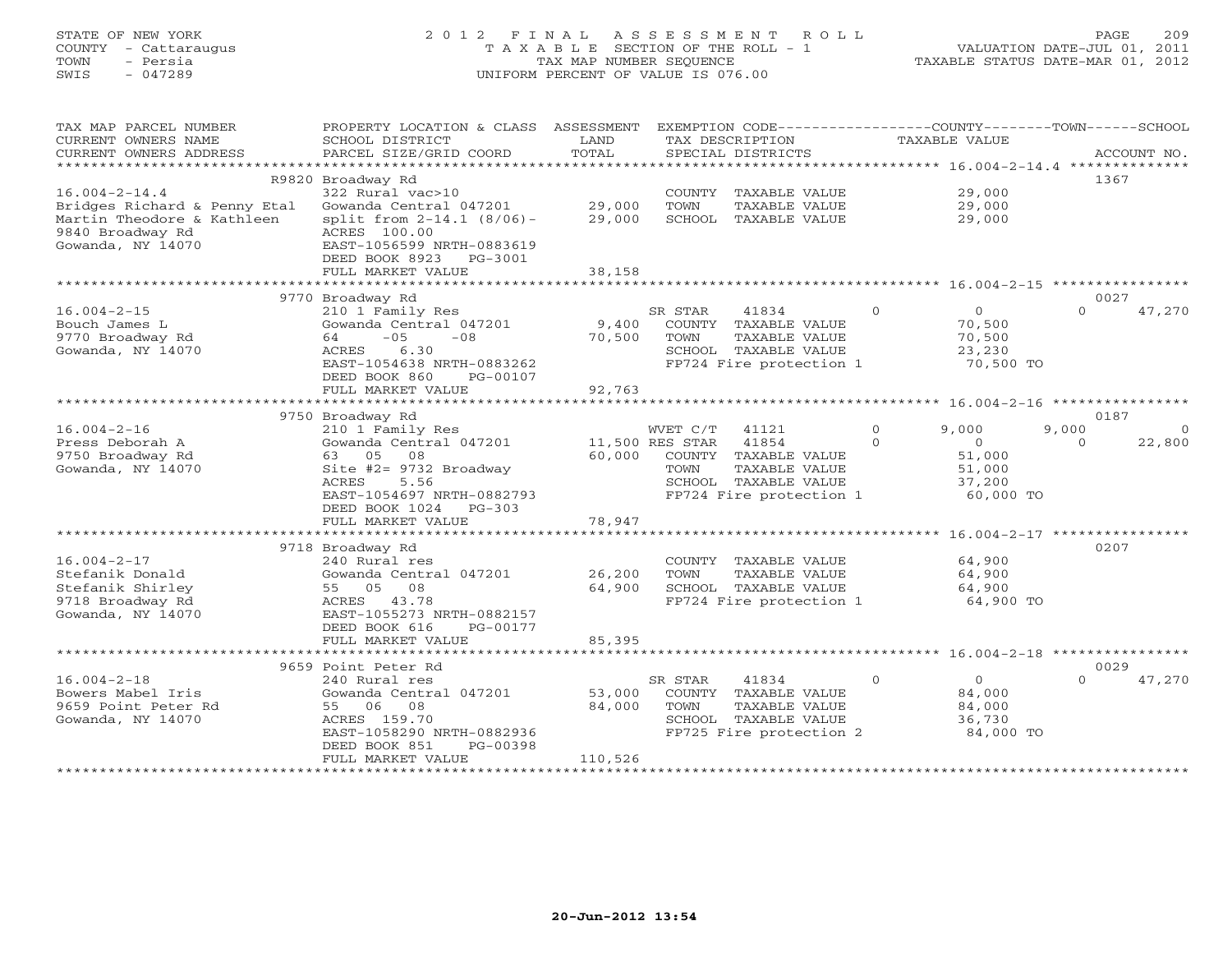## STATE OF NEW YORK 2 0 1 2 F I N A L A S S E S S M E N T R O L L PAGE 209 COUNTY - Cattaraugus T A X A B L E SECTION OF THE ROLL - 1 VALUATION DATE-JUL 01, 2011 TOWN - Persia TAX MAP NUMBER SEQUENCE TAXABLE STATUS DATE-MAR 01, 2012 SWIS - 047289 UNIFORM PERCENT OF VALUE IS 076.00UNIFORM PERCENT OF VALUE IS 076.00

| TAX MAP PARCEL NUMBER<br>CURRENT OWNERS NAME | PROPERTY LOCATION & CLASS<br>SCHOOL DISTRICT           | ASSESSMENT<br>LAND |                 | EXEMPTION CODE-----------------COUNTY-------TOWN------SCHOOL<br>TAX DESCRIPTION |                | <b>TAXABLE VALUE</b> |          |                  |
|----------------------------------------------|--------------------------------------------------------|--------------------|-----------------|---------------------------------------------------------------------------------|----------------|----------------------|----------|------------------|
| CURRENT OWNERS ADDRESS                       | PARCEL SIZE/GRID COORD                                 | TOTAL              |                 | SPECIAL DISTRICTS                                                               |                |                      |          | ACCOUNT NO.      |
| **********************                       |                                                        |                    |                 |                                                                                 |                |                      |          |                  |
|                                              | R9820 Broadway Rd                                      |                    |                 |                                                                                 |                |                      |          | 1367             |
| $16.004 - 2 - 14.4$                          | 322 Rural vac>10                                       |                    |                 | COUNTY TAXABLE VALUE                                                            |                | 29,000               |          |                  |
| Bridges Richard & Penny Etal                 | Gowanda Central 047201                                 | 29,000             | TOWN            | TAXABLE VALUE                                                                   |                | 29,000               |          |                  |
| Martin Theodore & Kathleen                   | split from $2-14.1$ (8/06)-                            | 29,000             |                 | SCHOOL TAXABLE VALUE                                                            |                | 29,000               |          |                  |
| 9840 Broadway Rd                             | ACRES 100.00                                           |                    |                 |                                                                                 |                |                      |          |                  |
| Gowanda, NY 14070                            | EAST-1056599 NRTH-0883619<br>DEED BOOK 8923<br>PG-3001 |                    |                 |                                                                                 |                |                      |          |                  |
|                                              | FULL MARKET VALUE                                      | 38,158             |                 |                                                                                 |                |                      |          |                  |
|                                              | ****************************                           |                    |                 |                                                                                 |                |                      |          |                  |
|                                              | 9770 Broadway Rd                                       |                    |                 |                                                                                 |                |                      |          | 0027             |
| $16.004 - 2 - 15$                            | 210 1 Family Res                                       |                    | SR STAR         | 41834                                                                           | $\mathbf{0}$   | $\mathbf{O}$         | $\Omega$ | 47,270           |
| Bouch James L                                | Gowanda Central 047201                                 | 9,400              |                 | COUNTY TAXABLE VALUE                                                            |                | 70,500               |          |                  |
| 9770 Broadway Rd                             | $-05$<br>$-08$<br>64                                   | 70,500             | TOWN            | TAXABLE VALUE                                                                   |                | 70,500               |          |                  |
| Gowanda, NY 14070                            | 6.30<br>ACRES                                          |                    |                 | SCHOOL TAXABLE VALUE                                                            |                | 23,230               |          |                  |
|                                              | EAST-1054638 NRTH-0883262                              |                    |                 | FP724 Fire protection 1                                                         |                | 70,500 TO            |          |                  |
|                                              | DEED BOOK 860<br>PG-00107                              |                    |                 |                                                                                 |                |                      |          |                  |
|                                              | FULL MARKET VALUE                                      | 92,763             |                 |                                                                                 |                |                      |          |                  |
|                                              |                                                        |                    |                 |                                                                                 |                |                      |          |                  |
| $16.004 - 2 - 16$                            | 9750 Broadway Rd<br>210 1 Family Res                   |                    | WVET C/T        | 41121                                                                           | $\Omega$       | 9,000                | 9,000    | 0187<br>$\Omega$ |
| Press Deborah A                              | Gowanda Central 047201                                 |                    | 11,500 RES STAR | 41854                                                                           | $\Omega$       | $\circ$              | $\Omega$ | 22,800           |
| 9750 Broadway Rd                             | 63 05<br>08                                            | 60,000             |                 | COUNTY TAXABLE VALUE                                                            |                | 51,000               |          |                  |
| Gowanda, NY 14070                            | Site #2= 9732 Broadway                                 |                    | TOWN            | TAXABLE VALUE                                                                   |                | 51,000               |          |                  |
|                                              | 5.56<br>ACRES                                          |                    |                 | SCHOOL TAXABLE VALUE                                                            |                | 37,200               |          |                  |
|                                              | EAST-1054697 NRTH-0882793                              |                    |                 | FP724 Fire protection 1                                                         |                | 60,000 TO            |          |                  |
|                                              | DEED BOOK 1024<br>$PG-303$                             |                    |                 |                                                                                 |                |                      |          |                  |
|                                              | FULL MARKET VALUE                                      | 78,947             |                 |                                                                                 |                |                      |          |                  |
|                                              | ******************************                         |                    |                 |                                                                                 |                |                      |          |                  |
|                                              | 9718 Broadway Rd                                       |                    |                 |                                                                                 |                |                      |          | 0207             |
| $16.004 - 2 - 17$                            | 240 Rural res                                          |                    |                 | COUNTY TAXABLE VALUE                                                            |                | 64,900               |          |                  |
| Stefanik Donald<br>Stefanik Shirley          | Gowanda Central 047201                                 | 26,200<br>64,900   | TOWN            | TAXABLE VALUE<br>SCHOOL TAXABLE VALUE                                           |                | 64,900               |          |                  |
| 9718 Broadway Rd                             | 55 05<br>08<br>ACRES 43.78                             |                    |                 | FP724 Fire protection 1                                                         |                | 64,900<br>64,900 TO  |          |                  |
| Gowanda, NY 14070                            | EAST-1055273 NRTH-0882157                              |                    |                 |                                                                                 |                |                      |          |                  |
|                                              | DEED BOOK 616<br>PG-00177                              |                    |                 |                                                                                 |                |                      |          |                  |
|                                              | FULL MARKET VALUE                                      | 85,395             |                 |                                                                                 |                |                      |          |                  |
|                                              |                                                        |                    |                 |                                                                                 |                |                      |          |                  |
|                                              | 9659 Point Peter Rd                                    |                    |                 |                                                                                 |                |                      |          | 0029             |
| $16.004 - 2 - 18$                            | 240 Rural res                                          |                    | SR STAR         | 41834                                                                           | $\overline{0}$ | $\circ$              | $\Omega$ | 47,270           |
| Bowers Mabel Iris                            | Gowanda Central 047201                                 | 53,000             |                 | COUNTY TAXABLE VALUE                                                            |                | 84,000               |          |                  |
| 9659 Point Peter Rd                          | 55 06 08                                               | 84,000             | TOWN            | TAXABLE VALUE                                                                   |                | 84,000               |          |                  |
| Gowanda, NY 14070                            | ACRES 159.70                                           |                    |                 | SCHOOL TAXABLE VALUE                                                            |                | 36,730               |          |                  |
|                                              | EAST-1058290 NRTH-0882936<br>DEED BOOK 851<br>PG-00398 |                    |                 | FP725 Fire protection 2                                                         |                | 84,000 TO            |          |                  |
|                                              | FULL MARKET VALUE                                      | 110,526            |                 |                                                                                 |                |                      |          |                  |
|                                              |                                                        |                    |                 |                                                                                 |                |                      |          |                  |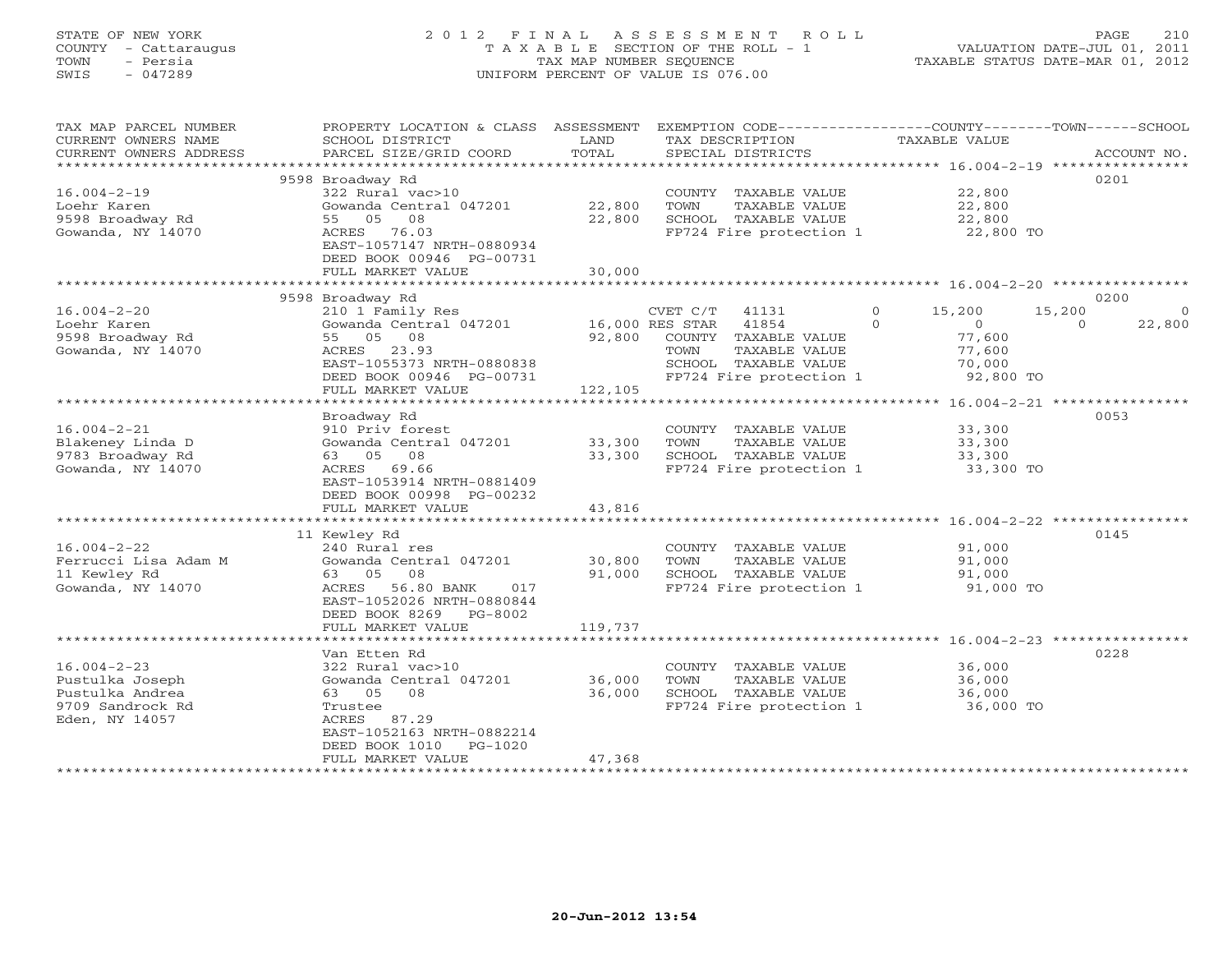## STATE OF NEW YORK 2 0 1 2 F I N A L A S S E S S M E N T R O L L PAGE 210 COUNTY - Cattaraugus T A X A B L E SECTION OF THE ROLL - 1 VALUATION DATE-JUL 01, 2011 TOWN - Persia TAX MAP NUMBER SEQUENCE TAXABLE STATUS DATE-MAR 01, 2012 SWIS - 047289 UNIFORM PERCENT OF VALUE IS 076.00UNIFORM PERCENT OF VALUE IS 076.00

| TAX MAP PARCEL NUMBER<br>CURRENT OWNERS NAME<br>CURRENT OWNERS ADDRESS<br>********************** | PROPERTY LOCATION & CLASS<br>SCHOOL DISTRICT<br>PARCEL SIZE/GRID COORD                                                                                                                  | ASSESSMENT<br>LAND<br>TOTAL       | EXEMPTION CODE----------------COUNTY-------TOWN-----SCHOOL<br>TAX DESCRIPTION<br>SPECIAL DISTRICTS                                                | TAXABLE VALUE                                                                       | ACCOUNT NO.                                      |
|--------------------------------------------------------------------------------------------------|-----------------------------------------------------------------------------------------------------------------------------------------------------------------------------------------|-----------------------------------|---------------------------------------------------------------------------------------------------------------------------------------------------|-------------------------------------------------------------------------------------|--------------------------------------------------|
| $16.004 - 2 - 19$<br>Loehr Karen<br>9598 Broadway Rd<br>Gowanda, NY 14070                        | 9598 Broadway Rd<br>322 Rural vac>10<br>Gowanda Central 047201<br>05 08<br>55<br>76.03<br>ACRES<br>EAST-1057147 NRTH-0880934<br>DEED BOOK 00946 PG-00731<br>FULL MARKET VALUE           | 22,800<br>22,800<br>30,000        | COUNTY TAXABLE VALUE<br>TOWN<br>TAXABLE VALUE<br>SCHOOL TAXABLE VALUE<br>FP724 Fire protection 1                                                  | 22,800<br>22,800<br>22,800<br>22,800 TO                                             | 0201                                             |
|                                                                                                  |                                                                                                                                                                                         | *********                         |                                                                                                                                                   |                                                                                     | ****************** 16.004-2-20 ***************** |
| $16.004 - 2 - 20$<br>Loehr Karen<br>9598 Broadway Rd<br>Gowanda, NY 14070                        | 9598 Broadway Rd<br>210 1 Family Res<br>Gowanda Central 047201<br>05 08<br>55<br>23.93<br>ACRES<br>EAST-1055373 NRTH-0880838<br>DEED BOOK 00946 PG-00731                                | 92,800                            | CVET C/T<br>41131<br>16,000 RES STAR<br>41854<br>COUNTY TAXABLE VALUE<br>TOWN<br>TAXABLE VALUE<br>SCHOOL TAXABLE VALUE<br>FP724 Fire protection 1 | 15,200<br>$\circ$<br>$\Omega$<br>$\circ$<br>77,600<br>77,600<br>70,000<br>92,800 TO | 0200<br>15,200<br>$\Omega$<br>$\Omega$<br>22,800 |
|                                                                                                  | FULL MARKET VALUE<br>*******************                                                                                                                                                | 122,105<br>********************** |                                                                                                                                                   |                                                                                     | ********** 16.004-2-21 ****************          |
| $16.004 - 2 - 21$<br>Blakeney Linda D<br>9783 Broadway Rd<br>Gowanda, NY 14070                   | Broadway Rd<br>910 Priv forest<br>Gowanda Central 047201<br>08<br>63<br>05<br>69.66<br>ACRES<br>EAST-1053914 NRTH-0881409<br>DEED BOOK 00998 PG-00232<br>FULL MARKET VALUE              | 33,300<br>33,300<br>43,816        | COUNTY TAXABLE VALUE<br>TOWN<br>TAXABLE VALUE<br>SCHOOL TAXABLE VALUE<br>FP724 Fire protection 1                                                  | 33,300<br>33,300<br>33,300<br>33,300 TO                                             | 0053                                             |
|                                                                                                  | 11 Kewley Rd                                                                                                                                                                            |                                   |                                                                                                                                                   |                                                                                     | 0145                                             |
| $16.004 - 2 - 22$<br>Ferrucci Lisa Adam M<br>11 Kewley Rd<br>Gowanda, NY 14070                   | 240 Rural res<br>Gowanda Central 047201<br>63 05<br>08<br>56.80 BANK<br>ACRES<br>017<br>EAST-1052026 NRTH-0880844<br>DEED BOOK 8269<br>PG-8002<br>FULL MARKET VALUE                     | 30,800<br>91,000<br>119,737       | COUNTY TAXABLE VALUE<br>TAXABLE VALUE<br>TOWN<br>SCHOOL TAXABLE VALUE<br>FP724 Fire protection 1                                                  | 91,000<br>91,000<br>91,000<br>91,000 TO                                             |                                                  |
|                                                                                                  |                                                                                                                                                                                         |                                   |                                                                                                                                                   |                                                                                     |                                                  |
| $16.004 - 2 - 23$<br>Pustulka Joseph<br>Pustulka Andrea<br>9709 Sandrock Rd<br>Eden, NY 14057    | Van Etten Rd<br>322 Rural vac>10<br>Gowanda Central 047201<br>63 05<br>08<br>Trustee<br>ACRES<br>87.29<br>EAST-1052163 NRTH-0882214<br>DEED BOOK 1010<br>$PG-1020$<br>FULL MARKET VALUE | 36,000<br>36,000<br>47,368        | COUNTY TAXABLE VALUE<br>TOWN<br>TAXABLE VALUE<br>SCHOOL TAXABLE VALUE<br>FP724 Fire protection 1                                                  | 36,000<br>36,000<br>36,000<br>36,000 TO                                             | 0228                                             |
|                                                                                                  |                                                                                                                                                                                         |                                   |                                                                                                                                                   |                                                                                     |                                                  |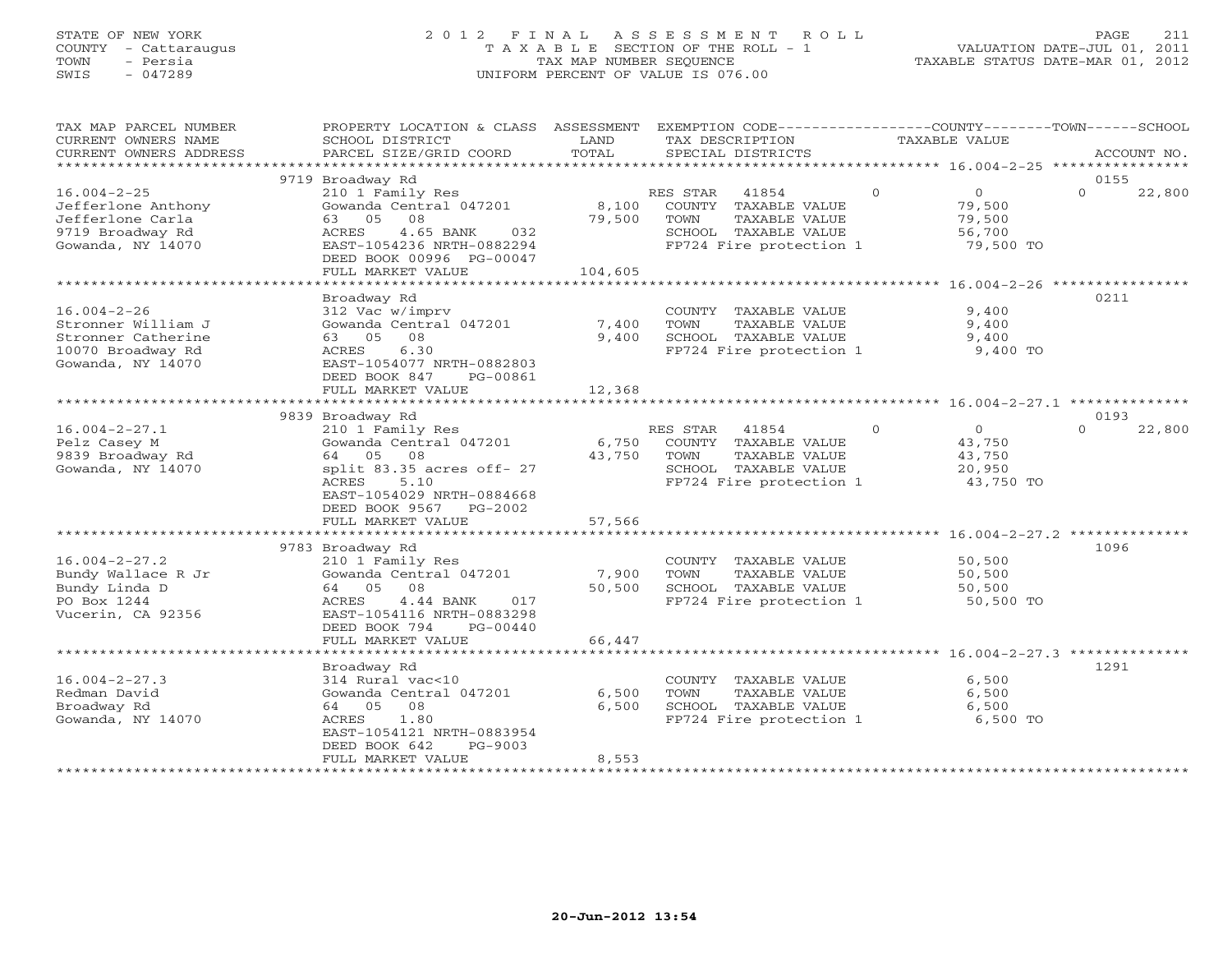## STATE OF NEW YORK 2 0 1 2 F I N A L A S S E S S M E N T R O L L PAGE 211 COUNTY - Cattaraugus T A X A B L E SECTION OF THE ROLL - 1 VALUATION DATE-JUL 01, 2011 TOWN - Persia TAX MAP NUMBER SEQUENCE TAXABLE STATUS DATE-MAR 01, 2012 SWIS - 047289 UNIFORM PERCENT OF VALUE IS 076.00UNIFORM PERCENT OF VALUE IS 076.00

| TAX MAP PARCEL NUMBER  | PROPERTY LOCATION & CLASS ASSESSMENT |               | EXEMPTION CODE----------------COUNTY-------TOWN------SCHOOL |              |                |          |             |
|------------------------|--------------------------------------|---------------|-------------------------------------------------------------|--------------|----------------|----------|-------------|
| CURRENT OWNERS NAME    | SCHOOL DISTRICT                      | LAND          | TAX DESCRIPTION                                             |              | TAXABLE VALUE  |          |             |
| CURRENT OWNERS ADDRESS | PARCEL SIZE/GRID COORD               | TOTAL         | SPECIAL DISTRICTS                                           |              |                |          | ACCOUNT NO. |
| *****************      |                                      |               |                                                             |              |                |          |             |
|                        | 9719 Broadway Rd                     |               |                                                             |              |                | 0155     |             |
| $16.004 - 2 - 25$      | 210 1 Family Res                     |               | RES STAR<br>41854                                           | $\mathbf{0}$ | $\overline{0}$ | $\Omega$ | 22,800      |
| Jefferlone Anthony     | Gowanda Central 047201               | 8,100         | COUNTY TAXABLE VALUE                                        |              | 79,500         |          |             |
| Jefferlone Carla       | 08<br>63 05                          | 79,500        | TAXABLE VALUE<br>TOWN                                       |              | 79,500         |          |             |
| 9719 Broadway Rd       | 4.65 BANK<br>ACRES<br>032            |               | SCHOOL TAXABLE VALUE                                        |              | 56,700         |          |             |
| Gowanda, NY 14070      | EAST-1054236 NRTH-0882294            |               | FP724 Fire protection 1                                     |              | 79,500 TO      |          |             |
|                        | DEED BOOK 00996 PG-00047             |               |                                                             |              |                |          |             |
|                        | FULL MARKET VALUE                    | 104,605       |                                                             |              |                |          |             |
|                        |                                      |               |                                                             |              |                |          |             |
|                        | Broadway Rd                          |               |                                                             |              |                | 0211     |             |
| $16.004 - 2 - 26$      | 312 Vac w/imprv                      |               | COUNTY TAXABLE VALUE                                        |              | 9,400          |          |             |
| Stronner William J     | Gowanda Central 047201               | 7,400         | TAXABLE VALUE<br>TOWN                                       |              | 9,400          |          |             |
| Stronner Catherine     | 63 05 08                             | 9,400         | SCHOOL TAXABLE VALUE                                        |              | 9,400          |          |             |
| 10070 Broadway Rd      | 6.30<br>ACRES                        |               | FP724 Fire protection 1                                     |              | 9,400 TO       |          |             |
| Gowanda, NY 14070      | EAST-1054077 NRTH-0882803            |               |                                                             |              |                |          |             |
|                        | DEED BOOK 847<br>PG-00861            |               |                                                             |              |                |          |             |
|                        | FULL MARKET VALUE                    | 12,368        |                                                             |              |                |          |             |
|                        | *******************************      | ************* |                                                             |              |                |          |             |
|                        | 9839 Broadway Rd                     |               |                                                             |              |                | 0193     |             |
| $16.004 - 2 - 27.1$    | 210 1 Family Res                     |               | RES STAR<br>41854                                           | $\Omega$     | $\overline{0}$ | $\Omega$ | 22,800      |
| Pelz Casey M           | Gowanda Central 047201               | 6,750         | COUNTY TAXABLE VALUE                                        |              | 43,750         |          |             |
| 9839 Broadway Rd       | 64 05 08                             | 43,750        | TOWN<br>TAXABLE VALUE                                       |              | 43,750         |          |             |
| Gowanda, NY 14070      | split 83.35 acres off- 27            |               | SCHOOL TAXABLE VALUE                                        |              | 20,950         |          |             |
|                        | ACRES<br>5.10                        |               | FP724 Fire protection 1                                     |              | 43,750 TO      |          |             |
|                        | EAST-1054029 NRTH-0884668            |               |                                                             |              |                |          |             |
|                        | DEED BOOK 9567<br>PG-2002            |               |                                                             |              |                |          |             |
|                        | FULL MARKET VALUE                    | 57,566        |                                                             |              |                |          |             |
|                        |                                      |               |                                                             |              |                |          |             |
|                        | 9783 Broadway Rd                     |               |                                                             |              |                | 1096     |             |
| $16.004 - 2 - 27.2$    | 210 1 Family Res                     |               | COUNTY TAXABLE VALUE                                        |              | 50,500         |          |             |
| Bundy Wallace R Jr     | Gowanda Central 047201               | 7,900         | TOWN<br>TAXABLE VALUE                                       |              | 50,500         |          |             |
| Bundy Linda D          | 64 05 08                             | 50,500        | SCHOOL TAXABLE VALUE                                        |              | 50,500         |          |             |
| PO Box 1244            | 4.44 BANK<br>017<br>ACRES            |               | FP724 Fire protection 1                                     |              | 50,500 TO      |          |             |
| Vucerin, CA 92356      | EAST-1054116 NRTH-0883298            |               |                                                             |              |                |          |             |
|                        | DEED BOOK 794<br>PG-00440            |               |                                                             |              |                |          |             |
|                        | FULL MARKET VALUE                    | 66,447        |                                                             |              |                |          |             |
|                        |                                      |               |                                                             |              |                |          |             |
|                        | Broadway Rd                          |               |                                                             |              |                | 1291     |             |
| $16.004 - 2 - 27.3$    | 314 Rural vac<10                     |               | COUNTY TAXABLE VALUE                                        |              | 6,500          |          |             |
| Redman David           | Gowanda Central 047201               | 6,500         | TOWN<br>TAXABLE VALUE                                       |              | 6,500          |          |             |
| Broadway Rd            | 08<br>64 05                          | 6,500         | SCHOOL TAXABLE VALUE                                        |              | 6,500          |          |             |
| Gowanda, NY 14070      | 1.80<br>ACRES                        |               | FP724 Fire protection 1                                     |              | 6,500 TO       |          |             |
|                        | EAST-1054121 NRTH-0883954            |               |                                                             |              |                |          |             |
|                        | DEED BOOK 642<br>PG-9003             |               |                                                             |              |                |          |             |
|                        | FULL MARKET VALUE                    | 8,553         |                                                             |              |                |          |             |
|                        |                                      |               |                                                             |              |                |          |             |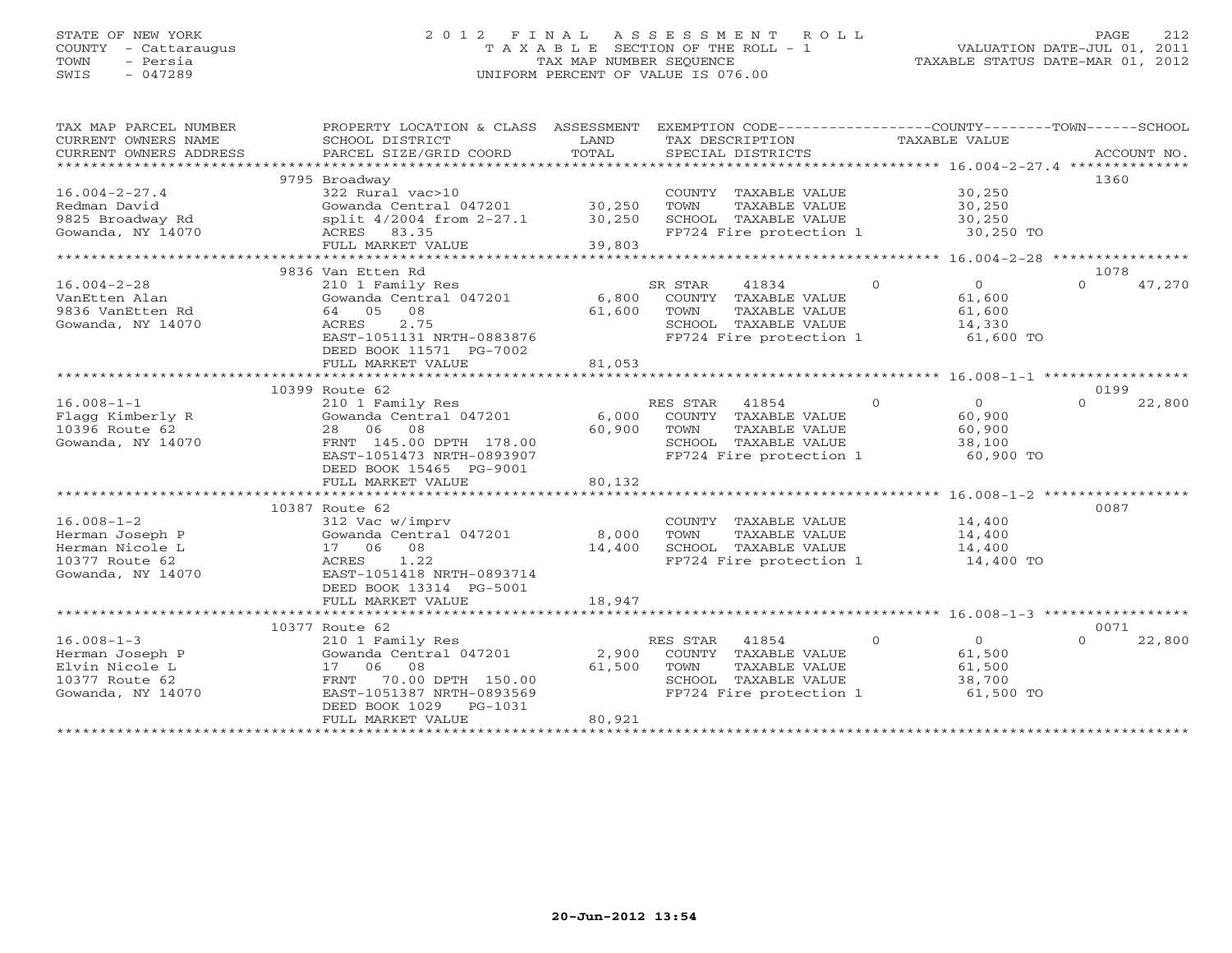## STATE OF NEW YORK 2 0 1 2 F I N A L A S S E S S M E N T R O L L PAGE 212 COUNTY - Cattaraugus T A X A B L E SECTION OF THE ROLL - 1 VALUATION DATE-JUL 01, 2011 TOWN - Persia TAX MAP NUMBER SEQUENCE TAXABLE STATUS DATE-MAR 01, 2012 SWIS - 047289 UNIFORM PERCENT OF VALUE IS 076.00UNIFORM PERCENT OF VALUE IS 076.00

| TAX MAP PARCEL NUMBER<br>CURRENT OWNERS NAME<br>CURRENT OWNERS ADDRESS<br>********************** | PROPERTY LOCATION & CLASS ASSESSMENT<br>SCHOOL DISTRICT<br>PARCEL SIZE/GRID COORD | LAND<br>TOTAL | EXEMPTION CODE----------------COUNTY-------TOWN------SCHOOL<br>TAX DESCRIPTION<br>SPECIAL DISTRICTS | TAXABLE VALUE                    | ACCOUNT NO.        |
|--------------------------------------------------------------------------------------------------|-----------------------------------------------------------------------------------|---------------|-----------------------------------------------------------------------------------------------------|----------------------------------|--------------------|
|                                                                                                  |                                                                                   |               |                                                                                                     |                                  |                    |
|                                                                                                  | 9795 Broadway                                                                     |               |                                                                                                     |                                  | 1360               |
| $16.004 - 2 - 27.4$                                                                              | 322 Rural vac>10                                                                  |               | COUNTY TAXABLE VALUE                                                                                | 30,250                           |                    |
| Redman David                                                                                     | Gowanda Central 047201                                                            | 30,250        | TOWN<br>TAXABLE VALUE                                                                               | 30,250                           |                    |
| 9825 Broadway Rd                                                                                 | split 4/2004 from 2-27.1                                                          | 30,250        | SCHOOL TAXABLE VALUE                                                                                | 30,250                           |                    |
| Gowanda, NY 14070                                                                                | ACRES 83.35                                                                       |               | FP724 Fire protection 1                                                                             | 30,250 TO                        |                    |
|                                                                                                  | FULL MARKET VALUE                                                                 | 39,803        |                                                                                                     |                                  |                    |
|                                                                                                  |                                                                                   | ********      |                                                                                                     | ******** 16.004-2-28 *********** |                    |
|                                                                                                  | 9836 Van Etten Rd                                                                 |               |                                                                                                     |                                  | 1078               |
| $16.004 - 2 - 28$                                                                                | 210 1 Family Res                                                                  |               | 41834<br>SR STAR                                                                                    | $\Omega$<br>$\circ$              | $\Omega$<br>47,270 |
| VanEtten Alan                                                                                    | Gowanda Central 047201                                                            | 6,800         | COUNTY TAXABLE VALUE                                                                                | 61,600                           |                    |
|                                                                                                  |                                                                                   |               |                                                                                                     |                                  |                    |
| 9836 VanEtten Rd                                                                                 | 64 05<br>08                                                                       | 61,600        | TAXABLE VALUE<br>TOWN                                                                               | 61,600                           |                    |
| Gowanda, NY 14070                                                                                | 2.75<br>ACRES                                                                     |               | SCHOOL TAXABLE VALUE                                                                                | 14,330                           |                    |
|                                                                                                  | EAST-1051131 NRTH-0883876                                                         |               | FP724 Fire protection 1                                                                             | 61,600 TO                        |                    |
|                                                                                                  | DEED BOOK 11571 PG-7002                                                           |               |                                                                                                     |                                  |                    |
|                                                                                                  | FULL MARKET VALUE                                                                 | 81,053        |                                                                                                     |                                  |                    |
|                                                                                                  |                                                                                   |               |                                                                                                     |                                  |                    |
|                                                                                                  | 10399 Route 62                                                                    |               |                                                                                                     |                                  | 0199               |
| $16.008 - 1 - 1$                                                                                 | 210 1 Family Res                                                                  |               | 41854<br>RES STAR                                                                                   | $\overline{0}$<br>$\overline{O}$ | $\Omega$<br>22,800 |
| Flagg Kimberly R                                                                                 | Gowanda Central 047201                                                            | 6,000         | COUNTY TAXABLE VALUE                                                                                | 60,900                           |                    |
| 10396 Route 62                                                                                   | 28 06<br>08                                                                       | 60,900        | TOWN<br>TAXABLE VALUE                                                                               | 60,900                           |                    |
| Gowanda, NY 14070                                                                                | FRNT 145.00 DPTH 178.00                                                           |               | SCHOOL TAXABLE VALUE                                                                                | 38,100                           |                    |
|                                                                                                  |                                                                                   |               |                                                                                                     |                                  |                    |
|                                                                                                  | EAST-1051473 NRTH-0893907                                                         |               | FP724 Fire protection 1                                                                             | 60,900 TO                        |                    |
|                                                                                                  | DEED BOOK 15465 PG-9001                                                           |               |                                                                                                     |                                  |                    |
|                                                                                                  | FULL MARKET VALUE                                                                 | 80,132        |                                                                                                     |                                  |                    |
|                                                                                                  |                                                                                   |               |                                                                                                     |                                  |                    |
|                                                                                                  | 10387 Route 62                                                                    |               |                                                                                                     |                                  | 0087               |
| $16.008 - 1 - 2$                                                                                 | 312 Vac w/imprv                                                                   |               | COUNTY TAXABLE VALUE                                                                                | 14,400                           |                    |
| Herman Joseph P                                                                                  | Gowanda Central 047201                                                            | 8,000         | TOWN<br>TAXABLE VALUE                                                                               | 14,400                           |                    |
| Herman Nicole L                                                                                  | 17 06<br>08                                                                       | 14,400        | SCHOOL TAXABLE VALUE                                                                                | 14,400                           |                    |
| 10377 Route 62                                                                                   | 1.22<br>ACRES                                                                     |               | FP724 Fire protection 1                                                                             | 14,400 TO                        |                    |
| Gowanda, NY 14070                                                                                | EAST-1051418 NRTH-0893714                                                         |               |                                                                                                     |                                  |                    |
|                                                                                                  | DEED BOOK 13314 PG-5001                                                           |               |                                                                                                     |                                  |                    |
|                                                                                                  |                                                                                   |               |                                                                                                     |                                  |                    |
|                                                                                                  | FULL MARKET VALUE                                                                 | 18,947        |                                                                                                     |                                  |                    |
|                                                                                                  |                                                                                   |               |                                                                                                     |                                  |                    |
|                                                                                                  | 10377 Route 62                                                                    |               |                                                                                                     |                                  | 0071               |
| $16.008 - 1 - 3$                                                                                 | 210 1 Family Res                                                                  |               | RES STAR<br>41854                                                                                   | $\Omega$<br>$\mathbf{O}$         | 22,800<br>$\Omega$ |
| Herman Joseph P                                                                                  | Gowanda Central 047201                                                            | 2,900         | COUNTY TAXABLE VALUE                                                                                | 61,500                           |                    |
| Elvin Nicole L                                                                                   | 17 06<br>08                                                                       | 61,500        | TOWN<br>TAXABLE VALUE                                                                               | 61,500                           |                    |
| 10377 Route 62                                                                                   | 70.00 DPTH 150.00<br>FRNT                                                         |               | SCHOOL TAXABLE VALUE                                                                                | 38,700                           |                    |
| Gowanda, NY 14070                                                                                | EAST-1051387 NRTH-0893569                                                         |               | FP724 Fire protection 1                                                                             | 61,500 TO                        |                    |
|                                                                                                  | DEED BOOK 1029<br>PG-1031                                                         |               |                                                                                                     |                                  |                    |
|                                                                                                  | FULL MARKET VALUE                                                                 | 80,921        |                                                                                                     |                                  |                    |
|                                                                                                  |                                                                                   |               |                                                                                                     |                                  |                    |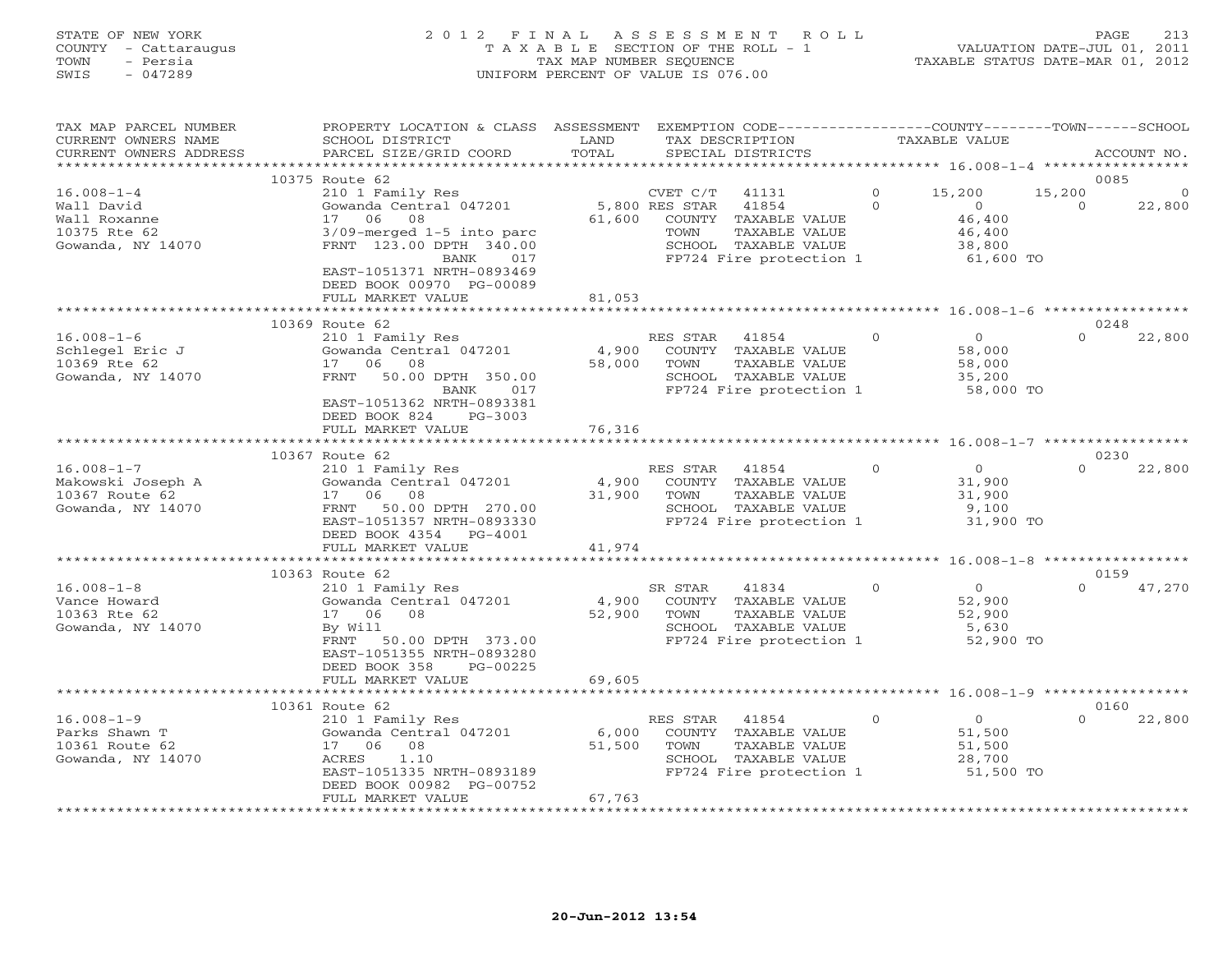## STATE OF NEW YORK 2 0 1 2 F I N A L A S S E S S M E N T R O L L PAGE 213 COUNTY - Cattaraugus T A X A B L E SECTION OF THE ROLL - 1 VALUATION DATE-JUL 01, 2011 TOWN - Persia TAX MAP NUMBER SEQUENCE TAXABLE STATUS DATE-MAR 01, 2012 SWIS - 047289 UNIFORM PERCENT OF VALUE IS 076.00UNIFORM PERCENT OF VALUE IS 076.00

| TAX MAP PARCEL NUMBER<br>CURRENT OWNERS NAME<br>CURRENT OWNERS ADDRESS              | PROPERTY LOCATION & CLASS ASSESSMENT EXEMPTION CODE---------------COUNTY-------TOWN------SCHOOL<br>SCHOOL DISTRICT<br>PARCEL SIZE/GRID COORD                                                                                       | LAND<br>TOTAL             | TAX DESCRIPTION<br>SPECIAL DISTRICTS                                                                                                             |                      | TAXABLE VALUE                                                       |                    | ACCOUNT NO.                |
|-------------------------------------------------------------------------------------|------------------------------------------------------------------------------------------------------------------------------------------------------------------------------------------------------------------------------------|---------------------------|--------------------------------------------------------------------------------------------------------------------------------------------------|----------------------|---------------------------------------------------------------------|--------------------|----------------------------|
|                                                                                     |                                                                                                                                                                                                                                    |                           |                                                                                                                                                  |                      |                                                                     |                    |                            |
| $16.008 - 1 - 4$<br>Wall David<br>Wall Roxanne<br>10375 Rte 62<br>Gowanda, NY 14070 | 10375 Route 62<br>210 1 Family Res<br>Gowanda Central 047201<br>17 06 08<br>$3/09$ -merged $1-5$ into parc<br>FRNT 123.00 DPTH 340.00<br>BANK<br>017<br>EAST-1051371 NRTH-0893469<br>DEED BOOK 00970 PG-00089<br>FULL MARKET VALUE | 61,600<br>81,053          | CVET C/T<br>41131<br>5,800 RES STAR<br>41854<br>COUNTY TAXABLE VALUE<br>TAXABLE VALUE<br>TOWN<br>SCHOOL TAXABLE VALUE<br>FP724 Fire protection 1 | $\Omega$<br>$\Omega$ | 15,200<br>$\overline{0}$<br>46,400<br>46,400<br>38,800<br>61,600 TO | 15,200<br>$\Omega$ | 0085<br>$\Omega$<br>22,800 |
|                                                                                     | 10369 Route 62                                                                                                                                                                                                                     |                           |                                                                                                                                                  |                      |                                                                     |                    | 0248                       |
| $16.008 - 1 - 6$<br>Schlegel Eric J<br>10369 Rte 62<br>Gowanda, NY 14070            | 210 1 Family Res<br>Gowanda Central 047201<br>17 06<br>08<br>FRNT<br>50.00 DPTH 350.00<br>BANK<br>017<br>EAST-1051362 NRTH-0893381                                                                                                 | 4,900<br>58,000           | RES STAR 41854<br>COUNTY TAXABLE VALUE<br>TOWN<br>TAXABLE VALUE<br>SCHOOL TAXABLE VALUE<br>FP724 Fire protection 1                               | $\circ$              | $\circ$<br>58,000<br>58,000<br>35,200<br>58,000 TO                  | $\Omega$           | 22,800                     |
|                                                                                     | DEED BOOK 824<br>PG-3003<br>FULL MARKET VALUE                                                                                                                                                                                      | 76,316                    |                                                                                                                                                  |                      |                                                                     |                    |                            |
|                                                                                     |                                                                                                                                                                                                                                    |                           |                                                                                                                                                  |                      |                                                                     |                    |                            |
|                                                                                     | 10367 Route 62                                                                                                                                                                                                                     |                           |                                                                                                                                                  |                      |                                                                     |                    | 0230                       |
| $16.008 - 1 - 7$<br>Makowski Joseph A<br>10367 Route 62<br>Gowanda, NY 14070        | 210 1 Family Res<br>Gowanda Central 047201<br>17 06 08<br>FRNT 50.00 DPTH 270.00<br>EAST-1051357 NRTH-0893330<br>DEED BOOK 4354 PG-4001                                                                                            | 4,900<br>31,900           | RES STAR<br>41854<br>COUNTY TAXABLE VALUE<br>TOWN<br>TAXABLE VALUE<br>SCHOOL TAXABLE VALUE<br>FP724 Fire protection 1                            | $\Omega$             | $\circ$<br>31,900<br>31,900<br>9,100<br>31,900 TO                   | $\Omega$           | 22,800                     |
|                                                                                     | FULL MARKET VALUE                                                                                                                                                                                                                  | 41,974                    |                                                                                                                                                  |                      |                                                                     |                    |                            |
|                                                                                     | 10363 Route 62                                                                                                                                                                                                                     |                           |                                                                                                                                                  |                      |                                                                     |                    | 0159                       |
| $16.008 - 1 - 8$<br>Vance Howard<br>10363 Rte 62<br>Gowanda, NY 14070               | 210 1 Family Res<br>Gowanda Central 047201<br>08<br>17 06<br>By Will<br>FRNT<br>50.00 DPTH 373.00<br>EAST-1051355 NRTH-0893280<br>DEED BOOK 358<br>PG-00225                                                                        | 4,900<br>52,900<br>69,605 | 41834<br>SR STAR<br>COUNTY TAXABLE VALUE<br>TOWN<br>TAXABLE VALUE<br>SCHOOL TAXABLE VALUE<br>FP724 Fire protection 1                             | $\Omega$             | $\Omega$<br>52,900<br>52,900<br>5,630<br>52,900 TO                  | $\Omega$           | 47,270                     |
|                                                                                     | FULL MARKET VALUE                                                                                                                                                                                                                  |                           |                                                                                                                                                  |                      |                                                                     |                    |                            |
|                                                                                     | 10361 Route 62                                                                                                                                                                                                                     |                           |                                                                                                                                                  |                      |                                                                     |                    | 0160                       |
| $16.008 - 1 - 9$<br>Parks Shawn T<br>10361 Route 62<br>Gowanda, NY 14070            | 210 1 Family Res<br>Gowanda Central 047201<br>17 06<br>08<br>ACRES<br>1.10<br>EAST-1051335 NRTH-0893189<br>DEED BOOK 00982 PG-00752<br>FULL MARKET VALUE                                                                           | 6,000<br>51,500<br>67,763 | RES STAR 41854<br>COUNTY TAXABLE VALUE<br>TOWN<br>TAXABLE VALUE<br>SCHOOL TAXABLE VALUE<br>FP724 Fire protection 1                               | $\circ$              | $\overline{O}$<br>51,500<br>51,500<br>28,700<br>51,500 TO           | $\Omega$           | 22,800                     |
|                                                                                     |                                                                                                                                                                                                                                    |                           |                                                                                                                                                  |                      |                                                                     |                    |                            |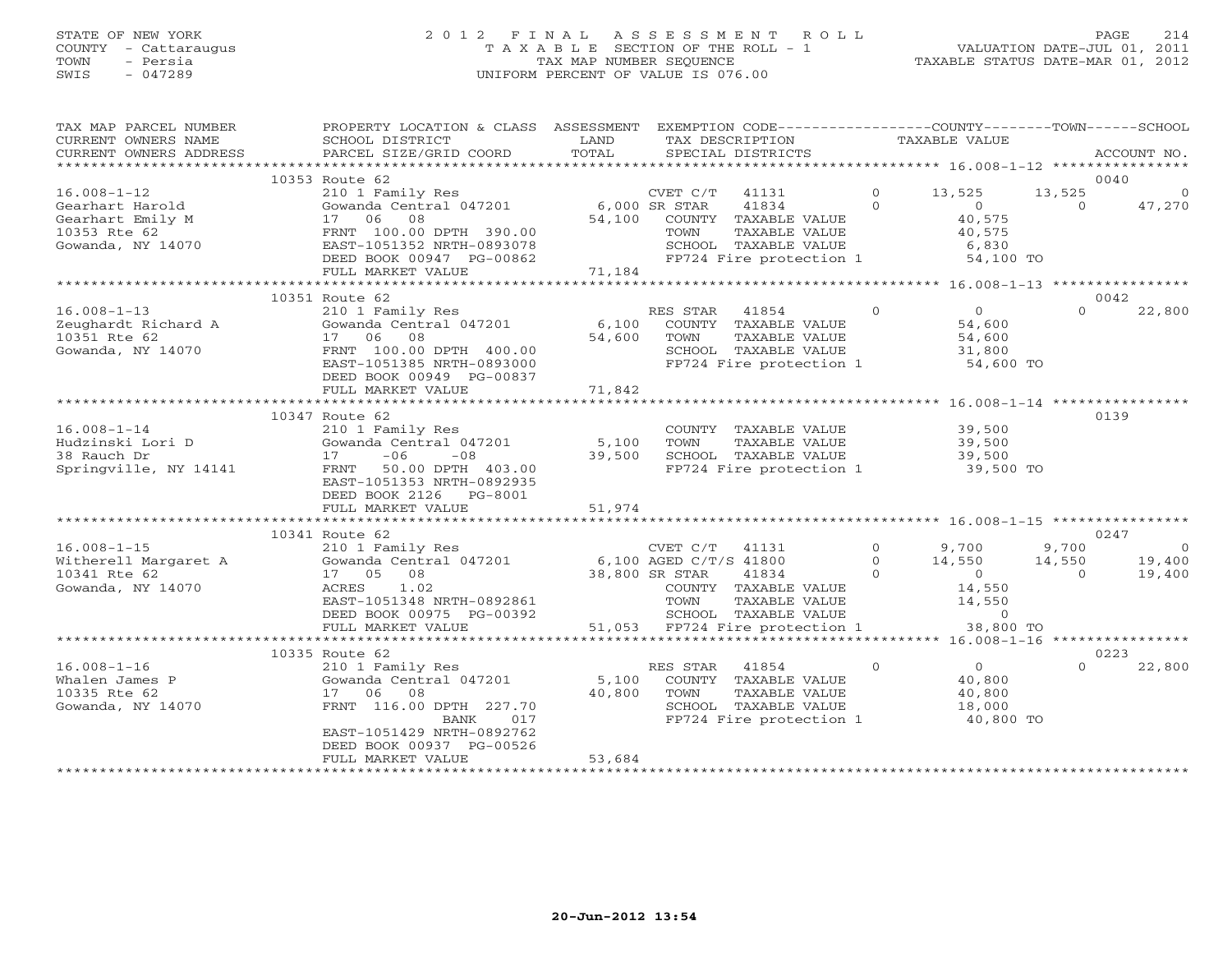## STATE OF NEW YORK 2 0 1 2 F I N A L A S S E S S M E N T R O L L PAGE 214 COUNTY - Cattaraugus T A X A B L E SECTION OF THE ROLL - 1 VALUATION DATE-JUL 01, 2011 TOWN - Persia TAX MAP NUMBER SEQUENCE TAXABLE STATUS DATE-MAR 01, 2012 SWIS - 047289 UNIFORM PERCENT OF VALUE IS 076.00UNIFORM PERCENT OF VALUE IS 076.00

| TAX MAP PARCEL NUMBER<br>CURRENT OWNERS NAME<br>CURRENT OWNERS ADDRESS                        | PROPERTY LOCATION & CLASS ASSESSMENT<br>SCHOOL DISTRICT<br>PARCEL SIZE/GRID COORD                                                     | LAND<br>TOTAL   |                                                  | EXEMPTION CODE----------------COUNTY-------TOWN------SCHOOL<br>TAX DESCRIPTION<br>SPECIAL DISTRICTS |                            | TAXABLE VALUE                                                  |                    | ACCOUNT NO.       |
|-----------------------------------------------------------------------------------------------|---------------------------------------------------------------------------------------------------------------------------------------|-----------------|--------------------------------------------------|-----------------------------------------------------------------------------------------------------|----------------------------|----------------------------------------------------------------|--------------------|-------------------|
|                                                                                               |                                                                                                                                       |                 |                                                  |                                                                                                     |                            |                                                                |                    |                   |
|                                                                                               | 10353 Route 62                                                                                                                        |                 |                                                  |                                                                                                     |                            |                                                                |                    | 0040              |
| $16.008 - 1 - 12$<br>Gearhart Harold<br>Gearhart Emily M<br>10353 Rte 62<br>Gowanda, NY 14070 | 210 1 Family Res<br>Gowanda Central 047201<br>08<br>17<br>06<br>FRNT 100.00 DPTH 390.00<br>EAST-1051352 NRTH-0893078                  | 54,100          | CVET C/T<br>6,000 SR STAR<br>TOWN                | 41131<br>41834<br>COUNTY TAXABLE VALUE<br>TAXABLE VALUE<br>SCHOOL TAXABLE VALUE                     | $\overline{0}$<br>$\Omega$ | 13,525<br>$\circ$<br>40,575<br>40,575<br>6,830                 | 13,525<br>$\Omega$ | $\circ$<br>47,270 |
|                                                                                               | DEED BOOK 00947 PG-00862<br>FULL MARKET VALUE                                                                                         | 71,184          |                                                  | FP724 Fire protection 1                                                                             |                            | 54,100 TO                                                      |                    |                   |
|                                                                                               | ***********************                                                                                                               | ************    |                                                  |                                                                                                     |                            | ********** 16.008-1-13 *****************                       |                    |                   |
| $16.008 - 1 - 13$<br>Zeughardt Richard A<br>10351 Rte 62<br>Gowanda, NY 14070                 | 10351 Route 62<br>210 1 Family Res<br>Gowanda Central 047201<br>17 06<br>08<br>FRNT 100.00 DPTH 400.00<br>EAST-1051385 NRTH-0893000   | 6,100<br>54,600 | RES STAR<br>TOWN                                 | 41854<br>COUNTY TAXABLE VALUE<br>TAXABLE VALUE<br>SCHOOL TAXABLE VALUE<br>FP724 Fire protection 1   | $\circ$                    | $\circ$<br>54,600<br>54,600<br>31,800<br>54,600 TO             | $\Omega$           | 0042<br>22,800    |
|                                                                                               | DEED BOOK 00949 PG-00837<br>FULL MARKET VALUE                                                                                         | 71,842          |                                                  |                                                                                                     |                            |                                                                |                    |                   |
|                                                                                               | * * * * * * * * * * * * * * * * * * * *                                                                                               |                 |                                                  |                                                                                                     |                            |                                                                |                    |                   |
| $16.008 - 1 - 14$                                                                             | 10347 Route 62<br>210 1 Family Res                                                                                                    |                 |                                                  | COUNTY TAXABLE VALUE                                                                                |                            | 39,500                                                         |                    | 0139              |
| Hudzinski Lori D<br>38 Rauch Dr<br>Springville, NY 14141                                      | Gowanda Central 047201<br>$-06$<br>17<br>$-08$<br>50.00 DPTH 403.00<br>FRNT<br>EAST-1051353 NRTH-0892935<br>DEED BOOK 2126<br>PG-8001 | 5,100<br>39,500 | TOWN                                             | TAXABLE VALUE<br>SCHOOL TAXABLE VALUE<br>FP724 Fire protection 1                                    |                            | 39,500<br>39,500<br>39,500 TO                                  |                    |                   |
|                                                                                               | FULL MARKET VALUE                                                                                                                     | 51,974          |                                                  |                                                                                                     |                            |                                                                |                    |                   |
|                                                                                               | 10341 Route 62                                                                                                                        |                 |                                                  |                                                                                                     |                            |                                                                |                    | 0247              |
| $16.008 - 1 - 15$                                                                             | 210 1 Family Res                                                                                                                      |                 | CVET C/T                                         | 41131                                                                                               | $\mathbf{O}$               | 9,700                                                          | 9,700              | $\circ$           |
| Witherell Margaret A<br>10341 Rte 62<br>Gowanda, NY 14070                                     | Gowanda Central 047201<br>08<br>17 05<br>ACRES<br>1.02<br>EAST-1051348 NRTH-0892861<br>DEED BOOK 00975 PG-00392                       |                 | 6,100 AGED C/T/S 41800<br>38,800 SR STAR<br>TOWN | 41834<br>COUNTY TAXABLE VALUE<br>TAXABLE VALUE<br>SCHOOL TAXABLE VALUE                              | $\Omega$<br>$\Omega$       | 14,550<br>$\overline{O}$<br>14,550<br>14,550<br>$\overline{0}$ | 14,550<br>$\Omega$ | 19,400<br>19,400  |
|                                                                                               | FULL MARKET VALUE                                                                                                                     |                 |                                                  | 51,053 FP724 Fire protection 1                                                                      |                            | 38,800 TO                                                      |                    |                   |
|                                                                                               | **************************                                                                                                            |                 |                                                  |                                                                                                     |                            |                                                                |                    |                   |
| $16.008 - 1 - 16$                                                                             | 10335 Route 62<br>210 1 Family Res                                                                                                    |                 | RES STAR                                         | 41854                                                                                               | $\Omega$                   | $\overline{0}$                                                 | $\Omega$           | 0223<br>22,800    |
| Whalen James P<br>10335 Rte 62<br>Gowanda, NY 14070                                           | Gowanda Central 047201<br>06<br>08<br>17<br>FRNT 116.00 DPTH 227.70<br>BANK<br>017<br>EAST-1051429 NRTH-0892762                       | 5,100<br>40,800 | TOWN                                             | COUNTY TAXABLE VALUE<br>TAXABLE VALUE<br>SCHOOL TAXABLE VALUE<br>FP724 Fire protection 1            |                            | 40,800<br>40,800<br>18,000<br>40,800 TO                        |                    |                   |
|                                                                                               | DEED BOOK 00937 PG-00526<br>FULL MARKET VALUE                                                                                         | 53,684          |                                                  |                                                                                                     |                            |                                                                |                    |                   |
|                                                                                               |                                                                                                                                       |                 |                                                  |                                                                                                     |                            |                                                                |                    |                   |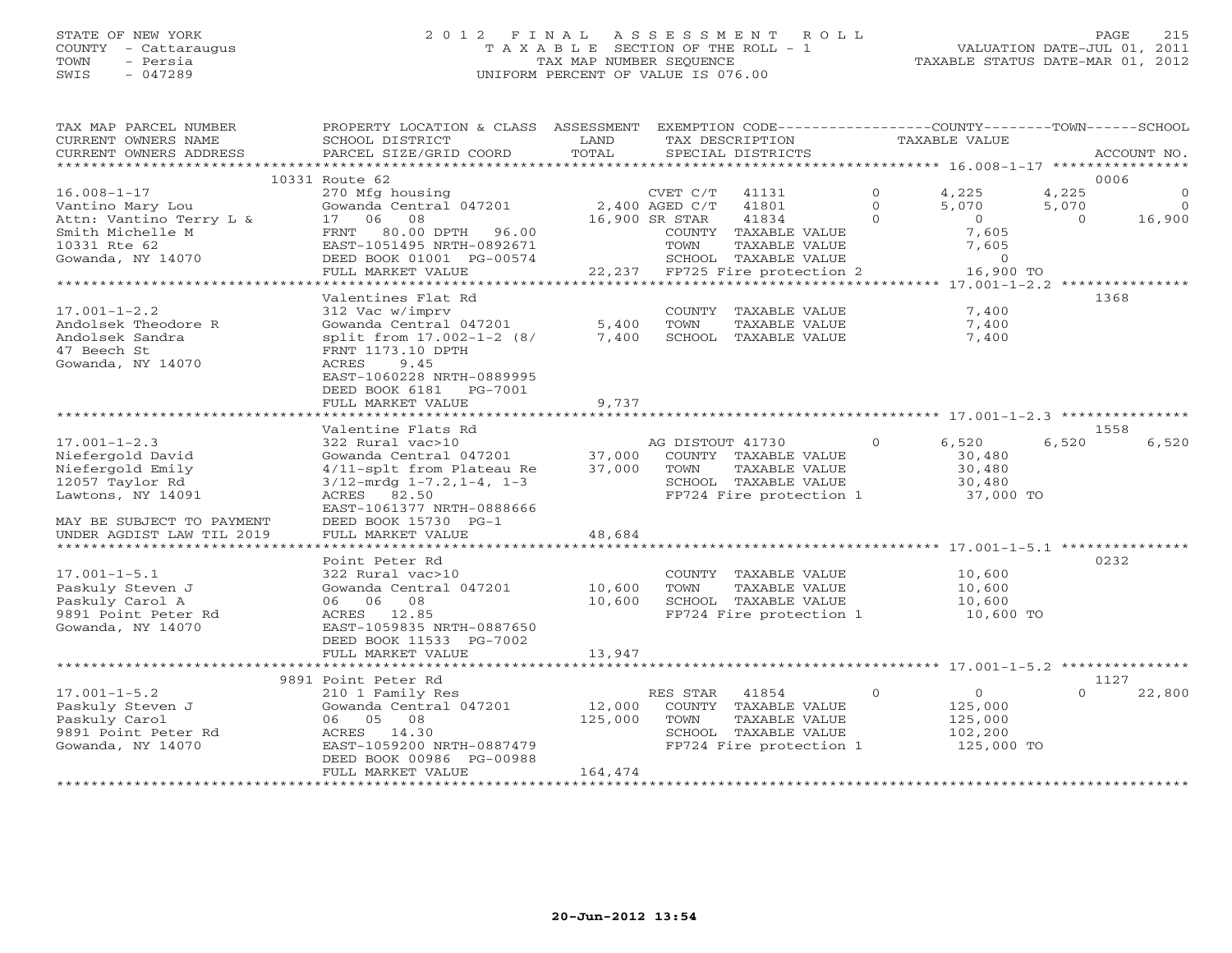## STATE OF NEW YORK 2 0 1 2 F I N A L A S S E S S M E N T R O L L PAGE 215 COUNTY - Cattaraugus T A X A B L E SECTION OF THE ROLL - 1 VALUATION DATE-JUL 01, 2011 TOWN - Persia TAX MAP NUMBER SEQUENCE TAXABLE STATUS DATE-MAR 01, 2012 SWIS - 047289 UNIFORM PERCENT OF VALUE IS 076.00UNIFORM PERCENT OF VALUE IS 076.00

| TAX MAP PARCEL NUMBER<br>CURRENT OWNERS NAME<br>CURRENT OWNERS ADDRESS                                                                                       | PROPERTY LOCATION & CLASS ASSESSMENT<br>SCHOOL DISTRICT<br>PARCEL SIZE/GRID COORD                                                                                                                                              | LAND<br>TOTAL                | EXEMPTION CODE-----------------COUNTY-------TOWN------SCHOOL<br>TAX DESCRIPTION<br>SPECIAL DISTRICTS                                             | TAXABLE VALUE                                                                          | ACCOUNT NO.                                                                         |
|--------------------------------------------------------------------------------------------------------------------------------------------------------------|--------------------------------------------------------------------------------------------------------------------------------------------------------------------------------------------------------------------------------|------------------------------|--------------------------------------------------------------------------------------------------------------------------------------------------|----------------------------------------------------------------------------------------|-------------------------------------------------------------------------------------|
|                                                                                                                                                              |                                                                                                                                                                                                                                |                              |                                                                                                                                                  |                                                                                        | ******                                                                              |
| $16.008 - 1 - 17$<br>Vantino Mary Lou<br>Attn: Vantino Terry L &<br>Smith Michelle M<br>10331 Rte 62<br>Gowanda, NY 14070                                    | 10331 Route 62<br>270 Mfg housing<br>Gowanda Central 047201<br>17 06<br>08<br>FRNT 80.00 DPTH 96.00<br>EAST-1051495 NRTH-0892671<br>DEED BOOK 01001 PG-00574                                                                   |                              | CVET C/T<br>41131<br>2,400 AGED C/T<br>41801<br>41834<br>16,900 SR STAR<br>COUNTY TAXABLE VALUE<br>TOWN<br>TAXABLE VALUE<br>SCHOOL TAXABLE VALUE | $\Omega$<br>4,225<br>$\Omega$<br>5,070<br>$\overline{O}$<br>$\Omega$<br>7,605<br>7,605 | 0006<br>4,225<br>$\mathbf 0$<br>$\Omega$<br>5,070<br>16,900<br>$\Omega$<br>$\Omega$ |
|                                                                                                                                                              | FULL MARKET VALUE                                                                                                                                                                                                              |                              | 22,237 FP725 Fire protection 2                                                                                                                   |                                                                                        | 16,900 TO                                                                           |
| $17.001 - 1 - 2.2$<br>Andolsek Theodore R<br>Andolsek Sandra<br>47 Beech St<br>Gowanda, NY 14070                                                             | Valentines Flat Rd<br>312 Vac w/imprv<br>Gowanda Central 047201<br>split from 17.002-1-2 (8/<br>FRNT 1173.10 DPTH<br>ACRES<br>9.45<br>EAST-1060228 NRTH-0889995<br>DEED BOOK 6181 PG-7001                                      | 5,400<br>7,400               | COUNTY TAXABLE VALUE<br>TOWN<br>TAXABLE VALUE<br>SCHOOL TAXABLE VALUE                                                                            | 7,400<br>7,400<br>7,400                                                                | 1368                                                                                |
|                                                                                                                                                              | FULL MARKET VALUE                                                                                                                                                                                                              | 9,737                        |                                                                                                                                                  |                                                                                        |                                                                                     |
| $17.001 - 1 - 2.3$<br>Niefergold David<br>Niefergold Emily<br>12057 Taylor Rd<br>Lawtons, NY 14091<br>MAY BE SUBJECT TO PAYMENT<br>UNDER AGDIST LAW TIL 2019 | Valentine Flats Rd<br>322 Rural vac>10<br>Gowanda Central 047201<br>4/11-splt from Plateau Re<br>$3/12$ -mrdg $1-7.2$ , $1-4$ , $1-3$<br>ACRES 82.50<br>EAST-1061377 NRTH-0888666<br>DEED BOOK 15730 PG-1<br>FULL MARKET VALUE | 37,000<br>37,000<br>48,684   | AG DISTOUT 41730<br>COUNTY TAXABLE VALUE<br>TOWN<br>TAXABLE VALUE<br>SCHOOL TAXABLE VALUE<br>FP724 Fire protection 1                             | $\Omega$<br>6,520<br>30,480<br>30,480<br>30,480<br>37,000 TO                           | 1558<br>6,520<br>6,520                                                              |
| *********************                                                                                                                                        |                                                                                                                                                                                                                                |                              |                                                                                                                                                  |                                                                                        |                                                                                     |
| $17.001 - 1 - 5.1$<br>Paskuly Steven J<br>Paskuly Carol A<br>9891 Point Peter Rd<br>Gowanda, NY 14070                                                        | Point Peter Rd<br>322 Rural vac>10<br>Gowanda Central 047201<br>06 06 08<br>ACRES 12.85<br>EAST-1059835 NRTH-0887650<br>DEED BOOK 11533 PG-7002                                                                                | 10,600<br>10,600             | COUNTY TAXABLE VALUE<br>TOWN<br>TAXABLE VALUE<br>SCHOOL TAXABLE VALUE<br>FP724 Fire protection 1                                                 | 10,600<br>10,600<br>10,600<br>10,600 TO                                                | 0232                                                                                |
|                                                                                                                                                              | FULL MARKET VALUE                                                                                                                                                                                                              | 13,947                       |                                                                                                                                                  |                                                                                        |                                                                                     |
|                                                                                                                                                              | 9891 Point Peter Rd                                                                                                                                                                                                            |                              |                                                                                                                                                  |                                                                                        | 1127                                                                                |
| $17.001 - 1 - 5.2$<br>Paskuly Steven J<br>Paskuly Carol<br>9891 Point Peter Rd<br>Gowanda, NY 14070                                                          | 210 1 Family Res<br>Gowanda Central 047201<br>06 05 08<br>ACRES 14.30<br>EAST-1059200 NRTH-0887479<br>DEED BOOK 00986 PG-00988<br>FULL MARKET VALUE                                                                            | 12,000<br>125,000<br>164,474 | RES STAR<br>41854<br>COUNTY TAXABLE VALUE<br>TOWN<br>TAXABLE VALUE<br>SCHOOL TAXABLE VALUE<br>FP724 Fire protection 1                            | $\overline{0}$<br>$\Omega$<br>125,000<br>125,000<br>102,200<br>125,000 TO              | $\cap$<br>22,800                                                                    |
|                                                                                                                                                              |                                                                                                                                                                                                                                |                              |                                                                                                                                                  |                                                                                        |                                                                                     |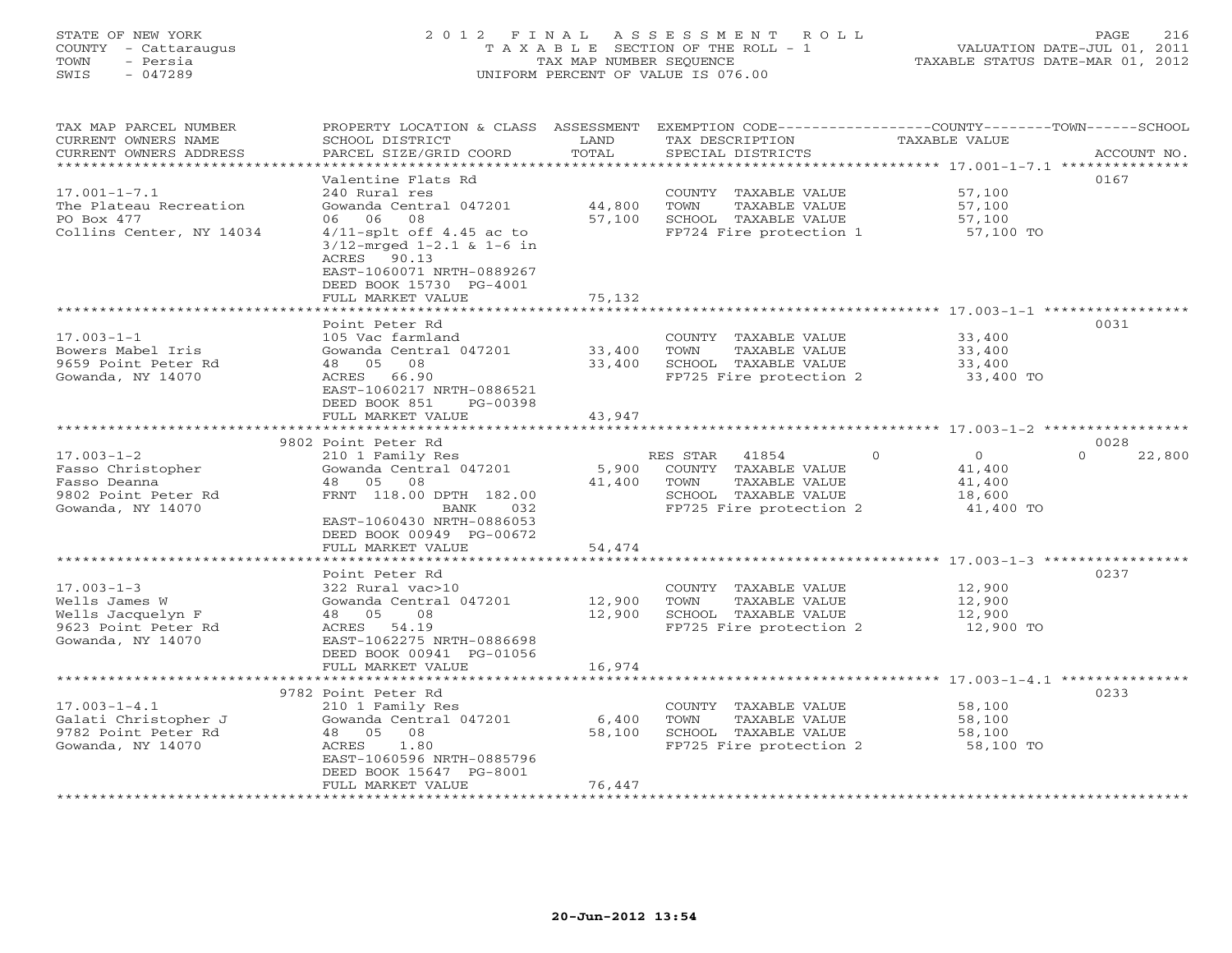## STATE OF NEW YORK 2 0 1 2 F I N A L A S S E S S M E N T R O L L PAGE 216 COUNTY - Cattaraugus T A X A B L E SECTION OF THE ROLL - 1 VALUATION DATE-JUL 01, 2011 TOWN - Persia TAX MAP NUMBER SEQUENCE TAXABLE STATUS DATE-MAR 01, 2012 SWIS - 047289 UNIFORM PERCENT OF VALUE IS 076.00UNIFORM PERCENT OF VALUE IS 076.00

| TAX MAP PARCEL NUMBER<br>CURRENT OWNERS NAME<br>CURRENT OWNERS ADDRESS<br>*******************      | PROPERTY LOCATION & CLASS<br>SCHOOL DISTRICT<br>PARCEL SIZE/GRID COORD                                                                                                                                                                           | ASSESSMENT<br>LAND<br>TOTAL    | EXEMPTION CODE-----------------COUNTY-------TOWN------SCHOOL<br>TAX DESCRIPTION<br>SPECIAL DISTRICTS                  | <b>TAXABLE VALUE</b>                                            | ACCOUNT NO.                |
|----------------------------------------------------------------------------------------------------|--------------------------------------------------------------------------------------------------------------------------------------------------------------------------------------------------------------------------------------------------|--------------------------------|-----------------------------------------------------------------------------------------------------------------------|-----------------------------------------------------------------|----------------------------|
| $17.001 - 1 - 7.1$<br>The Plateau Recreation<br>PO Box 477<br>Collins Center, NY 14034             | Valentine Flats Rd<br>240 Rural res<br>Gowanda Central 047201<br>08<br>06<br>06<br>$4/11$ -splt off $4.45$ ac to<br>$3/12$ -mrged $1-2.1$ & $1-6$ in<br>ACRES 90.13<br>EAST-1060071 NRTH-0889267<br>DEED BOOK 15730 PG-4001<br>FULL MARKET VALUE | 44,800<br>57,100<br>75,132     | COUNTY TAXABLE VALUE<br>TOWN<br>TAXABLE VALUE<br>SCHOOL TAXABLE VALUE<br>FP724 Fire protection 1                      | 57,100<br>57,100<br>57,100<br>57,100 TO                         | 0167                       |
| $17.003 - 1 - 1$<br>Bowers Mabel Iris<br>9659 Point Peter Rd<br>Gowanda, NY 14070                  | *********************<br>Point Peter Rd<br>105 Vac farmland<br>Gowanda Central 047201<br>48 05<br>08<br>ACRES 66.90<br>EAST-1060217 NRTH-0886521<br>DEED BOOK 851<br>PG-00398                                                                    | **********<br>33,400<br>33,400 | COUNTY TAXABLE VALUE<br>TOWN<br>TAXABLE VALUE<br>SCHOOL TAXABLE VALUE<br>FP725 Fire protection 2                      | 33,400<br>33,400<br>33,400<br>33,400 TO                         | 0031                       |
|                                                                                                    | FULL MARKET VALUE                                                                                                                                                                                                                                | 43,947                         |                                                                                                                       |                                                                 |                            |
| $17.003 - 1 - 2$<br>Fasso Christopher<br>Fasso Deanna<br>9802 Point Peter Rd<br>Gowanda, NY 14070  | 9802 Point Peter Rd<br>210 1 Family Res<br>Gowanda Central 047201<br>48 05<br>08<br>FRNT 118.00 DPTH 182.00<br>BANK<br>032<br>EAST-1060430 NRTH-0886053<br>DEED BOOK 00949 PG-00672<br>FULL MARKET VALUE<br>****************************         | 5,900<br>41,400<br>54,474      | RES STAR<br>41854<br>COUNTY TAXABLE VALUE<br>TOWN<br>TAXABLE VALUE<br>SCHOOL TAXABLE VALUE<br>FP725 Fire protection 2 | $\Omega$<br>$\Omega$<br>41,400<br>41,400<br>18,600<br>41,400 TO | 0028<br>22,800<br>$\Omega$ |
| $17.003 - 1 - 3$<br>Wells James W<br>Wells Jacquelyn F<br>9623 Point Peter Rd<br>Gowanda, NY 14070 | Point Peter Rd<br>322 Rural vac>10<br>Gowanda Central 047201<br>48 05<br>08<br>54.19<br>ACRES<br>EAST-1062275 NRTH-0886698<br>DEED BOOK 00941 PG-01056<br>FULL MARKET VALUE                                                                      | 12,900<br>12,900<br>16,974     | COUNTY TAXABLE VALUE<br>TOWN<br>TAXABLE VALUE<br>SCHOOL TAXABLE VALUE<br>FP725 Fire protection 2                      | 12,900<br>12,900<br>12,900<br>12,900 TO                         | 0237                       |
|                                                                                                    | 9782 Point Peter Rd                                                                                                                                                                                                                              |                                |                                                                                                                       | ******* 17.003-1-4.1 ****                                       | 0233                       |
| $17.003 - 1 - 4.1$<br>Galati Christopher J<br>9782 Point Peter Rd<br>Gowanda, NY 14070             | 210 1 Family Res<br>Gowanda Central 047201<br>08<br>48 05<br>1.80<br>ACRES<br>EAST-1060596 NRTH-0885796<br>DEED BOOK 15647 PG-8001<br>FULL MARKET VALUE                                                                                          | 6,400<br>58,100<br>76,447      | COUNTY TAXABLE VALUE<br>TOWN<br>TAXABLE VALUE<br>SCHOOL TAXABLE VALUE<br>FP725 Fire protection 2                      | 58,100<br>58,100<br>58,100<br>58,100 TO                         |                            |
| ***********************                                                                            |                                                                                                                                                                                                                                                  |                                |                                                                                                                       |                                                                 |                            |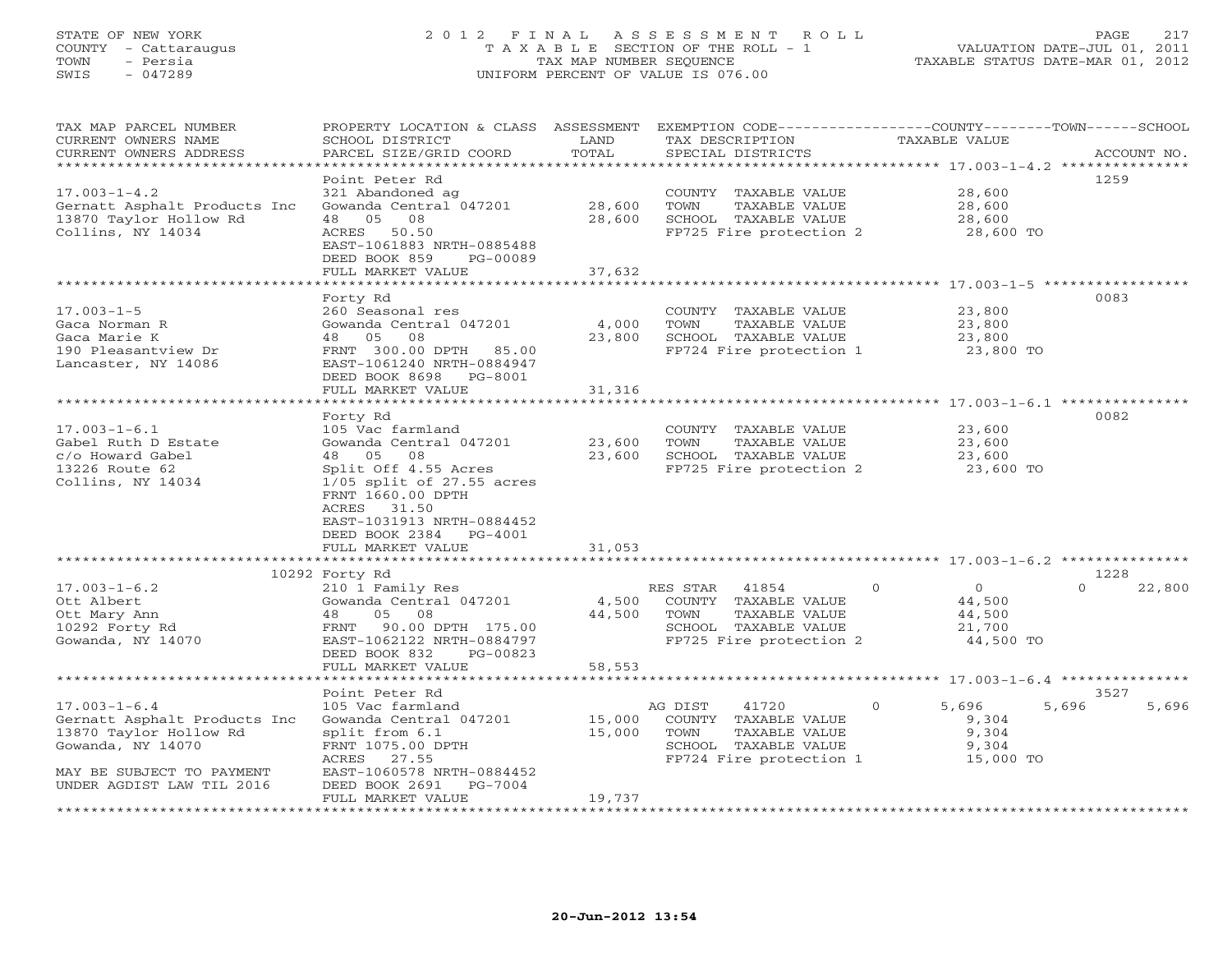# STATE OF NEW YORK 2 0 1 2 F I N A L A S S E S S M E N T R O L L PAGE 217 COUNTY - Cattaraugus T A X A B L E SECTION OF THE ROLL - 1 VALUATION DATE-JUL 01, 2011 TOWN - Persia TAX MAP NUMBER SEQUENCE TAXABLE STATUS DATE-MAR 01, 2012 SWIS - 047289 UNIFORM PERCENT OF VALUE IS 076.00UNIFORM PERCENT OF VALUE IS 076.00

| Point Peter Rd<br>1259<br>$17.003 - 1 - 4.2$<br>321 Abandoned ag<br>28,600<br>COUNTY TAXABLE VALUE<br>Gowanda Central 047201<br>28,600<br>28,600<br>Gernatt Asphalt Products Inc<br>TOWN<br>TAXABLE VALUE<br>13870 Taylor Hollow Rd<br>48 05<br>08<br>28,600<br>SCHOOL TAXABLE VALUE<br>28,600<br>Collins, NY 14034<br>ACRES 50.50<br>FP725 Fire protection 2<br>28,600 TO<br>EAST-1061883 NRTH-0885488<br>DEED BOOK 859<br>PG-00089<br>FULL MARKET VALUE<br>37,632<br>Forty Rd<br>0083<br>$17.003 - 1 - 5$<br>260 Seasonal res<br>COUNTY TAXABLE VALUE<br>23,800<br>Gowanda Central 047201<br>Gaca Norman R<br>4,000<br>23,800<br>TOWN<br>TAXABLE VALUE<br>Gaca Marie K<br>48 05<br>08<br>23,800<br>SCHOOL TAXABLE VALUE<br>23,800<br>FP724 Fire protection 1<br>190 Pleasantview Dr<br>FRNT 300.00 DPTH<br>23,800 TO<br>85.00<br>Lancaster, NY 14086<br>EAST-1061240 NRTH-0884947<br>DEED BOOK 8698 PG-8001<br>31,316<br>FULL MARKET VALUE<br>0082<br>Forty Rd<br>$17.003 - 1 - 6.1$<br>105 Vac farmland<br>COUNTY TAXABLE VALUE<br>23,600<br>23,600<br>TAXABLE VALUE<br>Gabel Ruth D Estate<br>Gowanda Central 047201<br>TOWN<br>23,600<br>c/o Howard Gabel<br>08<br>23,600<br>SCHOOL TAXABLE VALUE<br>48 05<br>23,600<br>13226 Route 62<br>Split Off 4.55 Acres<br>FP725 Fire protection 2<br>23,600 TO<br>Collins, NY 14034<br>$1/05$ split of $27.55$ acres<br>FRNT 1660.00 DPTH<br>ACRES 31.50<br>EAST-1031913 NRTH-0884452<br>DEED BOOK 2384 PG-4001<br>31,053<br>FULL MARKET VALUE<br>1228<br>10292 Forty Rd<br>$17.003 - 1 - 6.2$<br>$\circ$<br>$\overline{O}$<br>$\Omega$<br>22,800<br>210 1 Family Res<br>RES STAR 41854<br>Gowanda Central 047201<br>4,500<br>44,500<br>Ott Albert<br>COUNTY TAXABLE VALUE<br>44,500<br>Ott Mary Ann<br>48<br>05<br>08<br>TAXABLE VALUE<br>44,500<br>TOWN<br>10292 Forty Rd<br>FRNT 90.00 DPTH 175.00<br>SCHOOL TAXABLE VALUE<br>21,700<br>Gowanda, NY 14070<br>FP725 Fire protection 2<br>44,500 TO<br>EAST-1062122 NRTH-0884797<br>DEED BOOK 832<br>PG-00823<br>FULL MARKET VALUE<br>58,553<br>Point Peter Rd<br>3527<br>5,696<br>5,696<br>$17.003 - 1 - 6.4$<br>105 Vac farmland<br>AG DIST<br>41720<br>$\Omega$<br>5,696<br>15,000<br>Gernatt Asphalt Products Inc<br>Gowanda Central 047201<br>COUNTY TAXABLE VALUE<br>9,304<br>15,000<br>9,304<br>13870 Taylor Hollow Rd<br>split from 6.1<br>TOWN<br>TAXABLE VALUE<br>Gowanda, NY 14070<br>FRNT 1075.00 DPTH<br>SCHOOL TAXABLE VALUE<br>9,304<br>ACRES 27.55<br>FP724 Fire protection 1<br>15,000 TO<br>EAST-1060578 NRTH-0884452<br>MAY BE SUBJECT TO PAYMENT<br>UNDER AGDIST LAW TIL 2016<br>DEED BOOK 2691<br>PG-7004<br>FULL MARKET VALUE<br>19,737<br>************************ | TAX MAP PARCEL NUMBER<br>CURRENT OWNERS NAME<br>CURRENT OWNERS ADDRESS | PROPERTY LOCATION & CLASS ASSESSMENT<br>SCHOOL DISTRICT<br>PARCEL SIZE/GRID COORD | LAND<br>TOTAL | EXEMPTION CODE-----------------COUNTY-------TOWN------SCHOOL<br>TAX DESCRIPTION<br>SPECIAL DISTRICTS | TAXABLE VALUE | ACCOUNT NO. |
|-----------------------------------------------------------------------------------------------------------------------------------------------------------------------------------------------------------------------------------------------------------------------------------------------------------------------------------------------------------------------------------------------------------------------------------------------------------------------------------------------------------------------------------------------------------------------------------------------------------------------------------------------------------------------------------------------------------------------------------------------------------------------------------------------------------------------------------------------------------------------------------------------------------------------------------------------------------------------------------------------------------------------------------------------------------------------------------------------------------------------------------------------------------------------------------------------------------------------------------------------------------------------------------------------------------------------------------------------------------------------------------------------------------------------------------------------------------------------------------------------------------------------------------------------------------------------------------------------------------------------------------------------------------------------------------------------------------------------------------------------------------------------------------------------------------------------------------------------------------------------------------------------------------------------------------------------------------------------------------------------------------------------------------------------------------------------------------------------------------------------------------------------------------------------------------------------------------------------------------------------------------------------------------------------------------------------------------------------------------------------------------------------------------------------------------------------------------------------------------------------------------------------------------------------------------------------------------------------------------------------------------------------------------------------------------------|------------------------------------------------------------------------|-----------------------------------------------------------------------------------|---------------|------------------------------------------------------------------------------------------------------|---------------|-------------|
|                                                                                                                                                                                                                                                                                                                                                                                                                                                                                                                                                                                                                                                                                                                                                                                                                                                                                                                                                                                                                                                                                                                                                                                                                                                                                                                                                                                                                                                                                                                                                                                                                                                                                                                                                                                                                                                                                                                                                                                                                                                                                                                                                                                                                                                                                                                                                                                                                                                                                                                                                                                                                                                                                         |                                                                        |                                                                                   |               |                                                                                                      |               |             |
|                                                                                                                                                                                                                                                                                                                                                                                                                                                                                                                                                                                                                                                                                                                                                                                                                                                                                                                                                                                                                                                                                                                                                                                                                                                                                                                                                                                                                                                                                                                                                                                                                                                                                                                                                                                                                                                                                                                                                                                                                                                                                                                                                                                                                                                                                                                                                                                                                                                                                                                                                                                                                                                                                         |                                                                        |                                                                                   |               |                                                                                                      |               |             |
|                                                                                                                                                                                                                                                                                                                                                                                                                                                                                                                                                                                                                                                                                                                                                                                                                                                                                                                                                                                                                                                                                                                                                                                                                                                                                                                                                                                                                                                                                                                                                                                                                                                                                                                                                                                                                                                                                                                                                                                                                                                                                                                                                                                                                                                                                                                                                                                                                                                                                                                                                                                                                                                                                         |                                                                        |                                                                                   |               |                                                                                                      |               |             |
|                                                                                                                                                                                                                                                                                                                                                                                                                                                                                                                                                                                                                                                                                                                                                                                                                                                                                                                                                                                                                                                                                                                                                                                                                                                                                                                                                                                                                                                                                                                                                                                                                                                                                                                                                                                                                                                                                                                                                                                                                                                                                                                                                                                                                                                                                                                                                                                                                                                                                                                                                                                                                                                                                         |                                                                        |                                                                                   |               |                                                                                                      |               |             |
|                                                                                                                                                                                                                                                                                                                                                                                                                                                                                                                                                                                                                                                                                                                                                                                                                                                                                                                                                                                                                                                                                                                                                                                                                                                                                                                                                                                                                                                                                                                                                                                                                                                                                                                                                                                                                                                                                                                                                                                                                                                                                                                                                                                                                                                                                                                                                                                                                                                                                                                                                                                                                                                                                         |                                                                        |                                                                                   |               |                                                                                                      |               |             |
|                                                                                                                                                                                                                                                                                                                                                                                                                                                                                                                                                                                                                                                                                                                                                                                                                                                                                                                                                                                                                                                                                                                                                                                                                                                                                                                                                                                                                                                                                                                                                                                                                                                                                                                                                                                                                                                                                                                                                                                                                                                                                                                                                                                                                                                                                                                                                                                                                                                                                                                                                                                                                                                                                         |                                                                        |                                                                                   |               |                                                                                                      |               |             |
|                                                                                                                                                                                                                                                                                                                                                                                                                                                                                                                                                                                                                                                                                                                                                                                                                                                                                                                                                                                                                                                                                                                                                                                                                                                                                                                                                                                                                                                                                                                                                                                                                                                                                                                                                                                                                                                                                                                                                                                                                                                                                                                                                                                                                                                                                                                                                                                                                                                                                                                                                                                                                                                                                         |                                                                        |                                                                                   |               |                                                                                                      |               |             |
|                                                                                                                                                                                                                                                                                                                                                                                                                                                                                                                                                                                                                                                                                                                                                                                                                                                                                                                                                                                                                                                                                                                                                                                                                                                                                                                                                                                                                                                                                                                                                                                                                                                                                                                                                                                                                                                                                                                                                                                                                                                                                                                                                                                                                                                                                                                                                                                                                                                                                                                                                                                                                                                                                         |                                                                        |                                                                                   |               |                                                                                                      |               |             |
|                                                                                                                                                                                                                                                                                                                                                                                                                                                                                                                                                                                                                                                                                                                                                                                                                                                                                                                                                                                                                                                                                                                                                                                                                                                                                                                                                                                                                                                                                                                                                                                                                                                                                                                                                                                                                                                                                                                                                                                                                                                                                                                                                                                                                                                                                                                                                                                                                                                                                                                                                                                                                                                                                         |                                                                        |                                                                                   |               |                                                                                                      |               |             |
|                                                                                                                                                                                                                                                                                                                                                                                                                                                                                                                                                                                                                                                                                                                                                                                                                                                                                                                                                                                                                                                                                                                                                                                                                                                                                                                                                                                                                                                                                                                                                                                                                                                                                                                                                                                                                                                                                                                                                                                                                                                                                                                                                                                                                                                                                                                                                                                                                                                                                                                                                                                                                                                                                         |                                                                        |                                                                                   |               |                                                                                                      |               |             |
|                                                                                                                                                                                                                                                                                                                                                                                                                                                                                                                                                                                                                                                                                                                                                                                                                                                                                                                                                                                                                                                                                                                                                                                                                                                                                                                                                                                                                                                                                                                                                                                                                                                                                                                                                                                                                                                                                                                                                                                                                                                                                                                                                                                                                                                                                                                                                                                                                                                                                                                                                                                                                                                                                         |                                                                        |                                                                                   |               |                                                                                                      |               |             |
|                                                                                                                                                                                                                                                                                                                                                                                                                                                                                                                                                                                                                                                                                                                                                                                                                                                                                                                                                                                                                                                                                                                                                                                                                                                                                                                                                                                                                                                                                                                                                                                                                                                                                                                                                                                                                                                                                                                                                                                                                                                                                                                                                                                                                                                                                                                                                                                                                                                                                                                                                                                                                                                                                         |                                                                        |                                                                                   |               |                                                                                                      |               |             |
|                                                                                                                                                                                                                                                                                                                                                                                                                                                                                                                                                                                                                                                                                                                                                                                                                                                                                                                                                                                                                                                                                                                                                                                                                                                                                                                                                                                                                                                                                                                                                                                                                                                                                                                                                                                                                                                                                                                                                                                                                                                                                                                                                                                                                                                                                                                                                                                                                                                                                                                                                                                                                                                                                         |                                                                        |                                                                                   |               |                                                                                                      |               |             |
|                                                                                                                                                                                                                                                                                                                                                                                                                                                                                                                                                                                                                                                                                                                                                                                                                                                                                                                                                                                                                                                                                                                                                                                                                                                                                                                                                                                                                                                                                                                                                                                                                                                                                                                                                                                                                                                                                                                                                                                                                                                                                                                                                                                                                                                                                                                                                                                                                                                                                                                                                                                                                                                                                         |                                                                        |                                                                                   |               |                                                                                                      |               |             |
|                                                                                                                                                                                                                                                                                                                                                                                                                                                                                                                                                                                                                                                                                                                                                                                                                                                                                                                                                                                                                                                                                                                                                                                                                                                                                                                                                                                                                                                                                                                                                                                                                                                                                                                                                                                                                                                                                                                                                                                                                                                                                                                                                                                                                                                                                                                                                                                                                                                                                                                                                                                                                                                                                         |                                                                        |                                                                                   |               |                                                                                                      |               |             |
|                                                                                                                                                                                                                                                                                                                                                                                                                                                                                                                                                                                                                                                                                                                                                                                                                                                                                                                                                                                                                                                                                                                                                                                                                                                                                                                                                                                                                                                                                                                                                                                                                                                                                                                                                                                                                                                                                                                                                                                                                                                                                                                                                                                                                                                                                                                                                                                                                                                                                                                                                                                                                                                                                         |                                                                        |                                                                                   |               |                                                                                                      |               |             |
|                                                                                                                                                                                                                                                                                                                                                                                                                                                                                                                                                                                                                                                                                                                                                                                                                                                                                                                                                                                                                                                                                                                                                                                                                                                                                                                                                                                                                                                                                                                                                                                                                                                                                                                                                                                                                                                                                                                                                                                                                                                                                                                                                                                                                                                                                                                                                                                                                                                                                                                                                                                                                                                                                         |                                                                        |                                                                                   |               |                                                                                                      |               |             |
|                                                                                                                                                                                                                                                                                                                                                                                                                                                                                                                                                                                                                                                                                                                                                                                                                                                                                                                                                                                                                                                                                                                                                                                                                                                                                                                                                                                                                                                                                                                                                                                                                                                                                                                                                                                                                                                                                                                                                                                                                                                                                                                                                                                                                                                                                                                                                                                                                                                                                                                                                                                                                                                                                         |                                                                        |                                                                                   |               |                                                                                                      |               |             |
|                                                                                                                                                                                                                                                                                                                                                                                                                                                                                                                                                                                                                                                                                                                                                                                                                                                                                                                                                                                                                                                                                                                                                                                                                                                                                                                                                                                                                                                                                                                                                                                                                                                                                                                                                                                                                                                                                                                                                                                                                                                                                                                                                                                                                                                                                                                                                                                                                                                                                                                                                                                                                                                                                         |                                                                        |                                                                                   |               |                                                                                                      |               |             |
|                                                                                                                                                                                                                                                                                                                                                                                                                                                                                                                                                                                                                                                                                                                                                                                                                                                                                                                                                                                                                                                                                                                                                                                                                                                                                                                                                                                                                                                                                                                                                                                                                                                                                                                                                                                                                                                                                                                                                                                                                                                                                                                                                                                                                                                                                                                                                                                                                                                                                                                                                                                                                                                                                         |                                                                        |                                                                                   |               |                                                                                                      |               |             |
|                                                                                                                                                                                                                                                                                                                                                                                                                                                                                                                                                                                                                                                                                                                                                                                                                                                                                                                                                                                                                                                                                                                                                                                                                                                                                                                                                                                                                                                                                                                                                                                                                                                                                                                                                                                                                                                                                                                                                                                                                                                                                                                                                                                                                                                                                                                                                                                                                                                                                                                                                                                                                                                                                         |                                                                        |                                                                                   |               |                                                                                                      |               |             |
|                                                                                                                                                                                                                                                                                                                                                                                                                                                                                                                                                                                                                                                                                                                                                                                                                                                                                                                                                                                                                                                                                                                                                                                                                                                                                                                                                                                                                                                                                                                                                                                                                                                                                                                                                                                                                                                                                                                                                                                                                                                                                                                                                                                                                                                                                                                                                                                                                                                                                                                                                                                                                                                                                         |                                                                        |                                                                                   |               |                                                                                                      |               |             |
|                                                                                                                                                                                                                                                                                                                                                                                                                                                                                                                                                                                                                                                                                                                                                                                                                                                                                                                                                                                                                                                                                                                                                                                                                                                                                                                                                                                                                                                                                                                                                                                                                                                                                                                                                                                                                                                                                                                                                                                                                                                                                                                                                                                                                                                                                                                                                                                                                                                                                                                                                                                                                                                                                         |                                                                        |                                                                                   |               |                                                                                                      |               |             |
|                                                                                                                                                                                                                                                                                                                                                                                                                                                                                                                                                                                                                                                                                                                                                                                                                                                                                                                                                                                                                                                                                                                                                                                                                                                                                                                                                                                                                                                                                                                                                                                                                                                                                                                                                                                                                                                                                                                                                                                                                                                                                                                                                                                                                                                                                                                                                                                                                                                                                                                                                                                                                                                                                         |                                                                        |                                                                                   |               |                                                                                                      |               |             |
|                                                                                                                                                                                                                                                                                                                                                                                                                                                                                                                                                                                                                                                                                                                                                                                                                                                                                                                                                                                                                                                                                                                                                                                                                                                                                                                                                                                                                                                                                                                                                                                                                                                                                                                                                                                                                                                                                                                                                                                                                                                                                                                                                                                                                                                                                                                                                                                                                                                                                                                                                                                                                                                                                         |                                                                        |                                                                                   |               |                                                                                                      |               |             |
|                                                                                                                                                                                                                                                                                                                                                                                                                                                                                                                                                                                                                                                                                                                                                                                                                                                                                                                                                                                                                                                                                                                                                                                                                                                                                                                                                                                                                                                                                                                                                                                                                                                                                                                                                                                                                                                                                                                                                                                                                                                                                                                                                                                                                                                                                                                                                                                                                                                                                                                                                                                                                                                                                         |                                                                        |                                                                                   |               |                                                                                                      |               |             |
|                                                                                                                                                                                                                                                                                                                                                                                                                                                                                                                                                                                                                                                                                                                                                                                                                                                                                                                                                                                                                                                                                                                                                                                                                                                                                                                                                                                                                                                                                                                                                                                                                                                                                                                                                                                                                                                                                                                                                                                                                                                                                                                                                                                                                                                                                                                                                                                                                                                                                                                                                                                                                                                                                         |                                                                        |                                                                                   |               |                                                                                                      |               |             |
|                                                                                                                                                                                                                                                                                                                                                                                                                                                                                                                                                                                                                                                                                                                                                                                                                                                                                                                                                                                                                                                                                                                                                                                                                                                                                                                                                                                                                                                                                                                                                                                                                                                                                                                                                                                                                                                                                                                                                                                                                                                                                                                                                                                                                                                                                                                                                                                                                                                                                                                                                                                                                                                                                         |                                                                        |                                                                                   |               |                                                                                                      |               |             |
|                                                                                                                                                                                                                                                                                                                                                                                                                                                                                                                                                                                                                                                                                                                                                                                                                                                                                                                                                                                                                                                                                                                                                                                                                                                                                                                                                                                                                                                                                                                                                                                                                                                                                                                                                                                                                                                                                                                                                                                                                                                                                                                                                                                                                                                                                                                                                                                                                                                                                                                                                                                                                                                                                         |                                                                        |                                                                                   |               |                                                                                                      |               |             |
|                                                                                                                                                                                                                                                                                                                                                                                                                                                                                                                                                                                                                                                                                                                                                                                                                                                                                                                                                                                                                                                                                                                                                                                                                                                                                                                                                                                                                                                                                                                                                                                                                                                                                                                                                                                                                                                                                                                                                                                                                                                                                                                                                                                                                                                                                                                                                                                                                                                                                                                                                                                                                                                                                         |                                                                        |                                                                                   |               |                                                                                                      |               |             |
|                                                                                                                                                                                                                                                                                                                                                                                                                                                                                                                                                                                                                                                                                                                                                                                                                                                                                                                                                                                                                                                                                                                                                                                                                                                                                                                                                                                                                                                                                                                                                                                                                                                                                                                                                                                                                                                                                                                                                                                                                                                                                                                                                                                                                                                                                                                                                                                                                                                                                                                                                                                                                                                                                         |                                                                        |                                                                                   |               |                                                                                                      |               |             |
|                                                                                                                                                                                                                                                                                                                                                                                                                                                                                                                                                                                                                                                                                                                                                                                                                                                                                                                                                                                                                                                                                                                                                                                                                                                                                                                                                                                                                                                                                                                                                                                                                                                                                                                                                                                                                                                                                                                                                                                                                                                                                                                                                                                                                                                                                                                                                                                                                                                                                                                                                                                                                                                                                         |                                                                        |                                                                                   |               |                                                                                                      |               |             |
|                                                                                                                                                                                                                                                                                                                                                                                                                                                                                                                                                                                                                                                                                                                                                                                                                                                                                                                                                                                                                                                                                                                                                                                                                                                                                                                                                                                                                                                                                                                                                                                                                                                                                                                                                                                                                                                                                                                                                                                                                                                                                                                                                                                                                                                                                                                                                                                                                                                                                                                                                                                                                                                                                         |                                                                        |                                                                                   |               |                                                                                                      |               |             |
|                                                                                                                                                                                                                                                                                                                                                                                                                                                                                                                                                                                                                                                                                                                                                                                                                                                                                                                                                                                                                                                                                                                                                                                                                                                                                                                                                                                                                                                                                                                                                                                                                                                                                                                                                                                                                                                                                                                                                                                                                                                                                                                                                                                                                                                                                                                                                                                                                                                                                                                                                                                                                                                                                         |                                                                        |                                                                                   |               |                                                                                                      |               |             |
|                                                                                                                                                                                                                                                                                                                                                                                                                                                                                                                                                                                                                                                                                                                                                                                                                                                                                                                                                                                                                                                                                                                                                                                                                                                                                                                                                                                                                                                                                                                                                                                                                                                                                                                                                                                                                                                                                                                                                                                                                                                                                                                                                                                                                                                                                                                                                                                                                                                                                                                                                                                                                                                                                         |                                                                        |                                                                                   |               |                                                                                                      |               |             |
|                                                                                                                                                                                                                                                                                                                                                                                                                                                                                                                                                                                                                                                                                                                                                                                                                                                                                                                                                                                                                                                                                                                                                                                                                                                                                                                                                                                                                                                                                                                                                                                                                                                                                                                                                                                                                                                                                                                                                                                                                                                                                                                                                                                                                                                                                                                                                                                                                                                                                                                                                                                                                                                                                         |                                                                        |                                                                                   |               |                                                                                                      |               |             |
|                                                                                                                                                                                                                                                                                                                                                                                                                                                                                                                                                                                                                                                                                                                                                                                                                                                                                                                                                                                                                                                                                                                                                                                                                                                                                                                                                                                                                                                                                                                                                                                                                                                                                                                                                                                                                                                                                                                                                                                                                                                                                                                                                                                                                                                                                                                                                                                                                                                                                                                                                                                                                                                                                         |                                                                        |                                                                                   |               |                                                                                                      |               |             |
|                                                                                                                                                                                                                                                                                                                                                                                                                                                                                                                                                                                                                                                                                                                                                                                                                                                                                                                                                                                                                                                                                                                                                                                                                                                                                                                                                                                                                                                                                                                                                                                                                                                                                                                                                                                                                                                                                                                                                                                                                                                                                                                                                                                                                                                                                                                                                                                                                                                                                                                                                                                                                                                                                         |                                                                        |                                                                                   |               |                                                                                                      |               |             |
|                                                                                                                                                                                                                                                                                                                                                                                                                                                                                                                                                                                                                                                                                                                                                                                                                                                                                                                                                                                                                                                                                                                                                                                                                                                                                                                                                                                                                                                                                                                                                                                                                                                                                                                                                                                                                                                                                                                                                                                                                                                                                                                                                                                                                                                                                                                                                                                                                                                                                                                                                                                                                                                                                         |                                                                        |                                                                                   |               |                                                                                                      |               |             |
|                                                                                                                                                                                                                                                                                                                                                                                                                                                                                                                                                                                                                                                                                                                                                                                                                                                                                                                                                                                                                                                                                                                                                                                                                                                                                                                                                                                                                                                                                                                                                                                                                                                                                                                                                                                                                                                                                                                                                                                                                                                                                                                                                                                                                                                                                                                                                                                                                                                                                                                                                                                                                                                                                         |                                                                        |                                                                                   |               |                                                                                                      |               |             |
|                                                                                                                                                                                                                                                                                                                                                                                                                                                                                                                                                                                                                                                                                                                                                                                                                                                                                                                                                                                                                                                                                                                                                                                                                                                                                                                                                                                                                                                                                                                                                                                                                                                                                                                                                                                                                                                                                                                                                                                                                                                                                                                                                                                                                                                                                                                                                                                                                                                                                                                                                                                                                                                                                         |                                                                        |                                                                                   |               |                                                                                                      |               |             |
|                                                                                                                                                                                                                                                                                                                                                                                                                                                                                                                                                                                                                                                                                                                                                                                                                                                                                                                                                                                                                                                                                                                                                                                                                                                                                                                                                                                                                                                                                                                                                                                                                                                                                                                                                                                                                                                                                                                                                                                                                                                                                                                                                                                                                                                                                                                                                                                                                                                                                                                                                                                                                                                                                         |                                                                        |                                                                                   |               |                                                                                                      |               |             |
|                                                                                                                                                                                                                                                                                                                                                                                                                                                                                                                                                                                                                                                                                                                                                                                                                                                                                                                                                                                                                                                                                                                                                                                                                                                                                                                                                                                                                                                                                                                                                                                                                                                                                                                                                                                                                                                                                                                                                                                                                                                                                                                                                                                                                                                                                                                                                                                                                                                                                                                                                                                                                                                                                         |                                                                        |                                                                                   |               |                                                                                                      |               |             |
|                                                                                                                                                                                                                                                                                                                                                                                                                                                                                                                                                                                                                                                                                                                                                                                                                                                                                                                                                                                                                                                                                                                                                                                                                                                                                                                                                                                                                                                                                                                                                                                                                                                                                                                                                                                                                                                                                                                                                                                                                                                                                                                                                                                                                                                                                                                                                                                                                                                                                                                                                                                                                                                                                         |                                                                        |                                                                                   |               |                                                                                                      |               |             |
|                                                                                                                                                                                                                                                                                                                                                                                                                                                                                                                                                                                                                                                                                                                                                                                                                                                                                                                                                                                                                                                                                                                                                                                                                                                                                                                                                                                                                                                                                                                                                                                                                                                                                                                                                                                                                                                                                                                                                                                                                                                                                                                                                                                                                                                                                                                                                                                                                                                                                                                                                                                                                                                                                         |                                                                        |                                                                                   |               |                                                                                                      |               |             |
|                                                                                                                                                                                                                                                                                                                                                                                                                                                                                                                                                                                                                                                                                                                                                                                                                                                                                                                                                                                                                                                                                                                                                                                                                                                                                                                                                                                                                                                                                                                                                                                                                                                                                                                                                                                                                                                                                                                                                                                                                                                                                                                                                                                                                                                                                                                                                                                                                                                                                                                                                                                                                                                                                         |                                                                        |                                                                                   |               |                                                                                                      |               |             |
|                                                                                                                                                                                                                                                                                                                                                                                                                                                                                                                                                                                                                                                                                                                                                                                                                                                                                                                                                                                                                                                                                                                                                                                                                                                                                                                                                                                                                                                                                                                                                                                                                                                                                                                                                                                                                                                                                                                                                                                                                                                                                                                                                                                                                                                                                                                                                                                                                                                                                                                                                                                                                                                                                         |                                                                        |                                                                                   |               |                                                                                                      |               |             |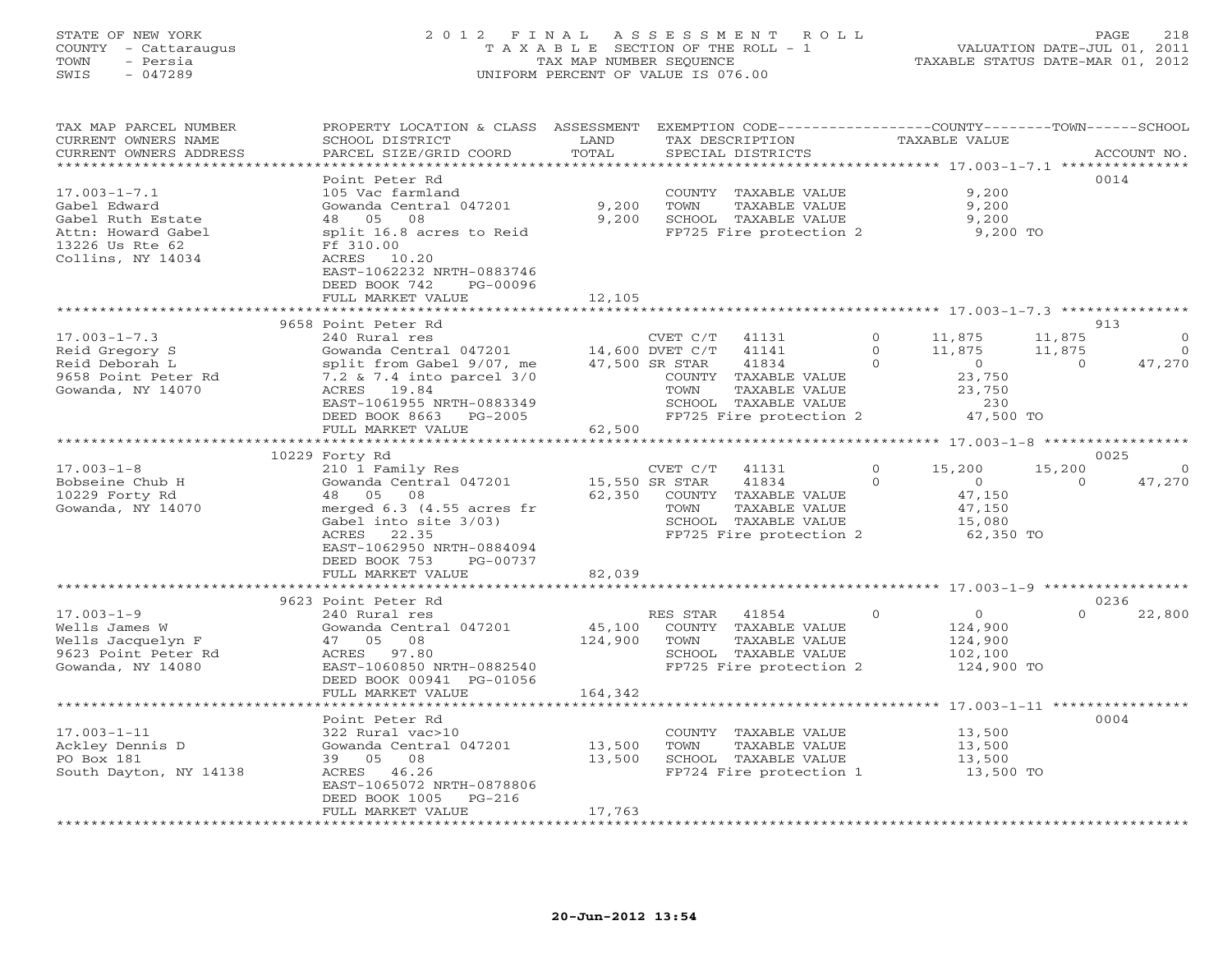# STATE OF NEW YORK 2 0 1 2 F I N A L A S S E S S M E N T R O L L PAGE 218 COUNTY - Cattaraugus T A X A B L E SECTION OF THE ROLL - 1 VALUATION DATE-JUL 01, 2011 TOWN - Persia TAX MAP NUMBER SEQUENCE TAXABLE STATUS DATE-MAR 01, 2012 SWIS - 047289 UNIFORM PERCENT OF VALUE IS 076.00

| TAX MAP PARCEL NUMBER<br>CURRENT OWNERS NAME | PROPERTY LOCATION & CLASS ASSESSMENT<br>SCHOOL DISTRICT | LAND                      |                 | EXEMPTION CODE-----------------COUNTY-------TOWN------SCHOOL<br>TAX DESCRIPTION |              | TAXABLE VALUE                |          |                         |
|----------------------------------------------|---------------------------------------------------------|---------------------------|-----------------|---------------------------------------------------------------------------------|--------------|------------------------------|----------|-------------------------|
| CURRENT OWNERS ADDRESS                       | PARCEL SIZE/GRID COORD                                  | TOTAL                     |                 | SPECIAL DISTRICTS                                                               |              |                              |          | ACCOUNT NO.             |
|                                              |                                                         | **************            |                 |                                                                                 |              | *********** 17.003-1-7.1 *** |          | * * * * * * * * * * * * |
|                                              | Point Peter Rd                                          |                           |                 |                                                                                 |              |                              |          | 0014                    |
| $17.003 - 1 - 7.1$                           | 105 Vac farmland                                        |                           |                 | COUNTY TAXABLE VALUE                                                            |              | 9,200                        |          |                         |
| Gabel Edward                                 | Gowanda Central 047201                                  | 9,200                     | TOWN            | TAXABLE VALUE                                                                   |              | 9,200                        |          |                         |
| Gabel Ruth Estate                            | 05<br>08<br>48                                          | 9,200                     |                 | SCHOOL TAXABLE VALUE                                                            |              | 9,200                        |          |                         |
| Attn: Howard Gabel                           | split 16.8 acres to Reid                                |                           |                 | FP725 Fire protection 2                                                         |              | 9,200 TO                     |          |                         |
| 13226 Us Rte 62                              | Ff 310.00                                               |                           |                 |                                                                                 |              |                              |          |                         |
| Collins, NY 14034                            | ACRES 10.20                                             |                           |                 |                                                                                 |              |                              |          |                         |
|                                              | EAST-1062232 NRTH-0883746<br>DEED BOOK 742              |                           |                 |                                                                                 |              |                              |          |                         |
|                                              | PG-00096<br>FULL MARKET VALUE                           | 12,105                    |                 |                                                                                 |              |                              |          |                         |
|                                              |                                                         |                           |                 |                                                                                 |              |                              |          |                         |
|                                              | 9658 Point Peter Rd                                     |                           |                 |                                                                                 |              |                              |          | 913                     |
| $17.003 - 1 - 7.3$                           | 240 Rural res                                           |                           | CVET C/T        | 41131                                                                           | $\Omega$     | 11,875                       | 11,875   | $\Omega$                |
| Reid Gregory S                               | Gowanda Central 047201                                  |                           | 14,600 DVET C/T | 41141                                                                           | $\mathbf{0}$ | 11,875                       | 11,875   | $\Omega$                |
| Reid Deborah L                               | split from Gabel 9/07, me                               |                           | 47,500 SR STAR  | 41834                                                                           | $\Omega$     | $\circ$                      | $\Omega$ | 47,270                  |
| 9658 Point Peter Rd                          | 7.2 & 7.4 into parcel 3/0                               |                           |                 | COUNTY TAXABLE VALUE                                                            |              | 23,750                       |          |                         |
| Gowanda, NY 14070                            | ACRES 19.84                                             |                           | TOWN            | TAXABLE VALUE                                                                   |              | 23,750                       |          |                         |
|                                              | EAST-1061955 NRTH-0883349                               |                           |                 | SCHOOL TAXABLE VALUE                                                            |              | 230                          |          |                         |
|                                              | DEED BOOK 8663<br>PG-2005                               |                           |                 | FP725 Fire protection 2                                                         |              | 47,500 TO                    |          |                         |
|                                              | FULL MARKET VALUE                                       | 62,500                    |                 |                                                                                 |              |                              |          |                         |
|                                              |                                                         |                           |                 |                                                                                 |              |                              |          |                         |
|                                              | 10229 Forty Rd                                          |                           |                 |                                                                                 |              |                              |          | 0025                    |
| $17.003 - 1 - 8$                             | 210 1 Family Res                                        |                           | CVET C/T        | 41131                                                                           | $\Omega$     | 15,200                       | 15,200   |                         |
| Bobseine Chub H                              | Gowanda Central 047201                                  |                           | 15,550 SR STAR  | 41834                                                                           | $\Omega$     | $\circ$                      | $\Omega$ | 47,270                  |
| 10229 Forty Rd                               | 48 05<br>08                                             | 62,350                    |                 | COUNTY TAXABLE VALUE                                                            |              | 47,150                       |          |                         |
| Gowanda, NY 14070                            | merged 6.3 (4.55 acres fr                               |                           | TOWN            | TAXABLE VALUE                                                                   |              | 47,150                       |          |                         |
|                                              | Gabel into site 3/03)                                   |                           |                 | SCHOOL TAXABLE VALUE                                                            |              | 15,080                       |          |                         |
|                                              | ACRES<br>22.35                                          |                           |                 | FP725 Fire protection 2                                                         |              | 62,350 TO                    |          |                         |
|                                              | EAST-1062950 NRTH-0884094                               |                           |                 |                                                                                 |              |                              |          |                         |
|                                              | DEED BOOK 753<br>PG-00737                               |                           |                 |                                                                                 |              |                              |          |                         |
|                                              | FULL MARKET VALUE                                       | 82,039                    |                 |                                                                                 |              |                              |          |                         |
|                                              | ************************                                | * * * * * * * * * * * * * |                 |                                                                                 |              |                              |          |                         |
|                                              | 9623 Point Peter Rd                                     |                           |                 |                                                                                 |              |                              | $\Omega$ | 0236                    |
| $17.003 - 1 - 9$                             | 240 Rural res                                           | 45,100                    | RES STAR        | 41854                                                                           | $\Omega$     | $\circ$<br>124,900           |          | 22,800                  |
| Wells James W<br>Wells Jacquelyn F           | Gowanda Central 047201<br>05<br>08<br>47                | 124,900                   | TOWN            | COUNTY TAXABLE VALUE<br>TAXABLE VALUE                                           |              | 124,900                      |          |                         |
| 9623 Point Peter Rd                          | ACRES<br>97.80                                          |                           |                 | SCHOOL TAXABLE VALUE                                                            |              | 102,100                      |          |                         |
| Gowanda, NY 14080                            | EAST-1060850 NRTH-0882540                               |                           |                 | FP725 Fire protection 2                                                         |              | 124,900 TO                   |          |                         |
|                                              | DEED BOOK 00941 PG-01056                                |                           |                 |                                                                                 |              |                              |          |                         |
|                                              | FULL MARKET VALUE                                       | 164,342                   |                 |                                                                                 |              |                              |          |                         |
|                                              | ******************                                      |                           |                 | ******************************* 17.003-1-11 ****************                    |              |                              |          |                         |
|                                              | Point Peter Rd                                          |                           |                 |                                                                                 |              |                              |          | 0004                    |
| $17.003 - 1 - 11$                            | 322 Rural vac>10                                        |                           |                 | COUNTY TAXABLE VALUE                                                            |              | 13,500                       |          |                         |
| Ackley Dennis D                              | Gowanda Central 047201                                  | 13,500                    | TOWN            | TAXABLE VALUE                                                                   |              | 13,500                       |          |                         |
| PO Box 181                                   | 39 05<br>08                                             | 13,500                    |                 | SCHOOL TAXABLE VALUE                                                            |              | 13,500                       |          |                         |
| South Dayton, NY 14138                       | ACRES 46.26                                             |                           |                 | FP724 Fire protection 1                                                         |              | 13,500 TO                    |          |                         |
|                                              | EAST-1065072 NRTH-0878806                               |                           |                 |                                                                                 |              |                              |          |                         |
|                                              | DEED BOOK 1005<br>$PG-216$                              |                           |                 |                                                                                 |              |                              |          |                         |
|                                              | FULL MARKET VALUE                                       | 17,763                    |                 |                                                                                 |              |                              |          |                         |
|                                              |                                                         |                           |                 |                                                                                 |              |                              |          |                         |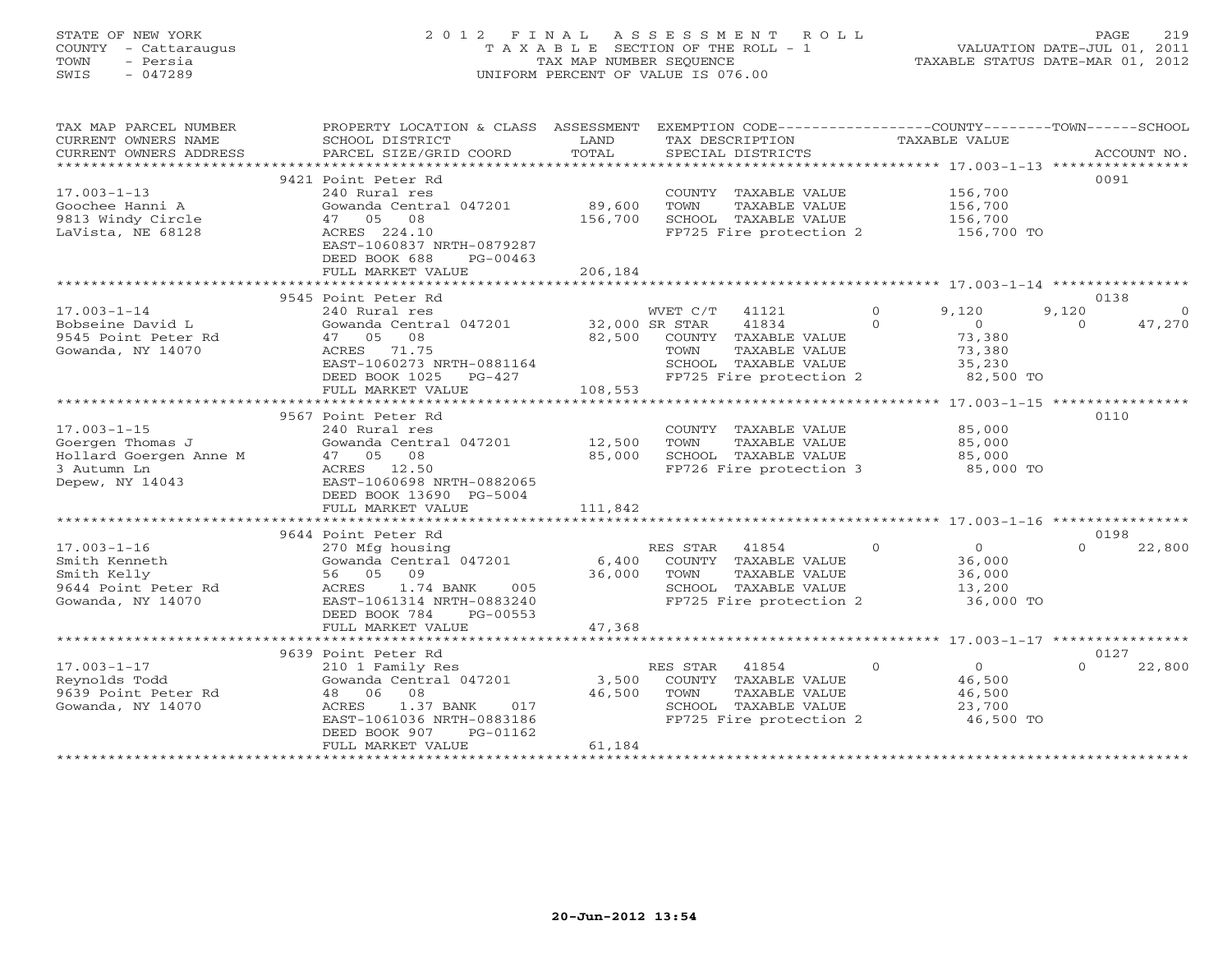# STATE OF NEW YORK 2 0 1 2 F I N A L A S S E S S M E N T R O L L PAGE 219 COUNTY - Cattaraugus T A X A B L E SECTION OF THE ROLL - 1 VALUATION DATE-JUL 01, 2011 TOWN - Persia TAX MAP NUMBER SEQUENCE TAXABLE STATUS DATE-MAR 01, 2012 SWIS - 047289 UNIFORM PERCENT OF VALUE IS 076.00UNIFORM PERCENT OF VALUE IS 076.00

| TAX MAP PARCEL NUMBER<br>CURRENT OWNERS NAME<br>CURRENT OWNERS ADDRESS<br>*********************** | PROPERTY LOCATION & CLASS ASSESSMENT<br>SCHOOL DISTRICT<br>PARCEL SIZE/GRID COORD                                                                                                                                        | LAND<br>TOTAL                | EXEMPTION CODE-----------------COUNTY-------TOWN------SCHOOL<br>TAX DESCRIPTION<br>SPECIAL DISTRICTS                           |                      | TAXABLE VALUE                                               |                   | ACCOUNT NO. |
|---------------------------------------------------------------------------------------------------|--------------------------------------------------------------------------------------------------------------------------------------------------------------------------------------------------------------------------|------------------------------|--------------------------------------------------------------------------------------------------------------------------------|----------------------|-------------------------------------------------------------|-------------------|-------------|
| $17.003 - 1 - 13$<br>Goochee Hanni A<br>9813 Windy Circle<br>LaVista, NE 68128                    | 9421 Point Peter Rd<br>240 Rural res<br>Gowanda Central 047201<br>47 05 08<br>ACRES 224.10<br>EAST-1060837 NRTH-0879287<br>DEED BOOK 688<br>$PG-00463$<br>FULL MARKET VALUE                                              | 89,600<br>156,700<br>206,184 | COUNTY TAXABLE VALUE<br>TOWN<br>TAXABLE VALUE<br>SCHOOL TAXABLE VALUE<br>FP725 Fire protection 2                               |                      | 156,700<br>156,700<br>156,700<br>156,700 TO                 | 0091              |             |
|                                                                                                   | 9545 Point Peter Rd                                                                                                                                                                                                      |                              |                                                                                                                                |                      |                                                             | 0138              |             |
| $17.003 - 1 - 14$<br>Bobseine David L<br>9545 Point Peter Rd<br>Gowanda, NY 14070                 | 240 Rural res<br>Gowanda Central 047201<br>08<br>47 05<br>ACRES 71.75<br>EAST-1060273 NRTH-0881164<br>DEED BOOK 1025<br>$PG-427$                                                                                         | 32,000 SR STAR<br>82,500     | WVET C/T<br>41121<br>41834<br>COUNTY TAXABLE VALUE<br>TOWN<br>TAXABLE VALUE<br>SCHOOL TAXABLE VALUE<br>FP725 Fire protection 2 | $\Omega$<br>$\Omega$ | 9,120<br>$\circ$<br>73,380<br>73,380<br>35,230<br>82,500 TO | 9,120<br>$\Omega$ | 47,270      |
|                                                                                                   | FULL MARKET VALUE<br>**************************                                                                                                                                                                          | 108,553                      | *************************                                                                                                      |                      |                                                             |                   |             |
|                                                                                                   | 9567 Point Peter Rd                                                                                                                                                                                                      |                              |                                                                                                                                |                      | ********************* 17.003-1-15 *****************         | 0110              |             |
| $17.003 - 1 - 15$<br>Goergen Thomas J<br>Hollard Goergen Anne M<br>3 Autumn Ln<br>Depew, NY 14043 | 240 Rural res<br>Gowanda Central 047201<br>47 05 08<br>ACRES 12.50<br>EAST-1060698 NRTH-0882065<br>DEED BOOK 13690 PG-5004                                                                                               | 12,500<br>85,000             | COUNTY TAXABLE VALUE<br>TOWN<br>TAXABLE VALUE<br>SCHOOL TAXABLE VALUE<br>FP726 Fire protection 3                               |                      | 85,000<br>85,000<br>85,000<br>85,000 TO                     |                   |             |
|                                                                                                   | FULL MARKET VALUE                                                                                                                                                                                                        | 111,842                      |                                                                                                                                |                      |                                                             |                   |             |
|                                                                                                   |                                                                                                                                                                                                                          |                              |                                                                                                                                |                      |                                                             |                   |             |
| $17.003 - 1 - 16$<br>Smith Kenneth<br>Smith Kelly<br>9644 Point Peter Rd<br>Gowanda, NY 14070     | 9644 Point Peter Rd<br>270 Mfg housing<br>Gowanda Central 047201<br>56 05 09<br>1.74 BANK<br>ACRES<br>005<br>EAST-1061314 NRTH-0883240<br>DEED BOOK 784<br>PG-00553                                                      | 6,400<br>36,000              | RES STAR 41854<br>COUNTY TAXABLE VALUE<br>TAXABLE VALUE<br>TOWN<br>SCHOOL TAXABLE VALUE<br>FP725 Fire protection 2             | $\Omega$             | $\circ$<br>36,000<br>36,000<br>13,200<br>36,000 TO          | 0198<br>$\cap$    | 22,800      |
|                                                                                                   | FULL MARKET VALUE                                                                                                                                                                                                        | 47,368                       |                                                                                                                                |                      |                                                             |                   |             |
|                                                                                                   |                                                                                                                                                                                                                          |                              |                                                                                                                                |                      |                                                             |                   |             |
| $17.003 - 1 - 17$<br>Reynolds Todd<br>9639 Point Peter Rd<br>Gowanda, NY 14070                    | 9639 Point Peter Rd<br>210 1 Family Res<br>Gowanda Central 047201<br>48 06<br>08<br>ACRES<br>1.37 BANK<br>017<br>EAST-1061036 NRTH-0883186<br>DEED BOOK 907<br>PG-01162<br>FULL MARKET VALUE<br>************************ | 3,500<br>46,500<br>61,184    | RES STAR 41854<br>COUNTY TAXABLE VALUE<br>TOWN<br>TAXABLE VALUE<br>SCHOOL TAXABLE VALUE<br>FP725 Fire protection 2             | $\Omega$             | $\overline{O}$<br>46,500<br>46,500<br>23,700<br>46,500 TO   | 0127<br>$\cap$    | 22,800      |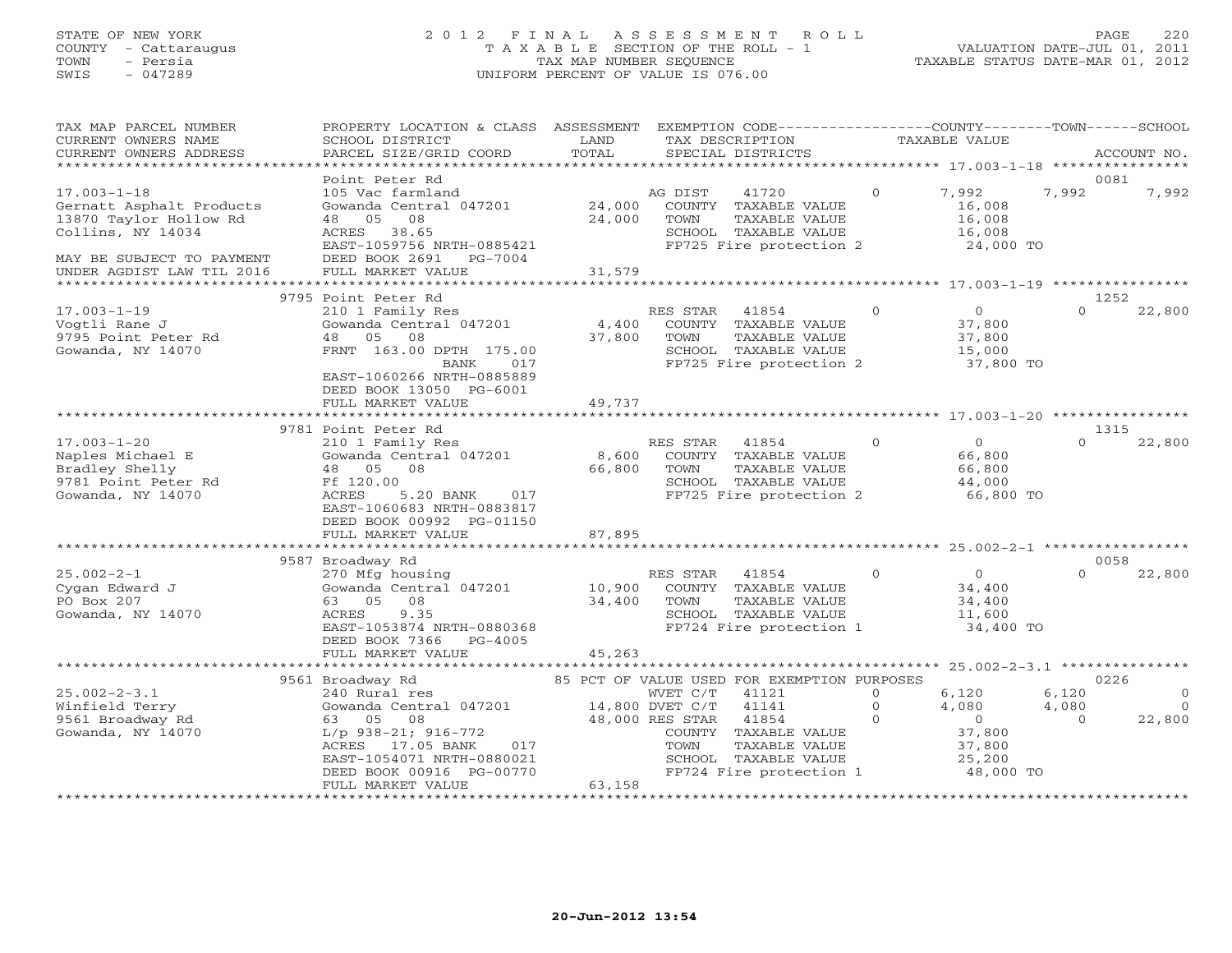# STATE OF NEW YORK 2 0 1 2 F I N A L A S S E S S M E N T R O L L PAGE 220 COUNTY - Cattaraugus T A X A B L E SECTION OF THE ROLL - 1 VALUATION DATE-JUL 01, 2011 TOWN - Persia TAX MAP NUMBER SEQUENCE TAXABLE STATUS DATE-MAR 01, 2012 SWIS - 047289 UNIFORM PERCENT OF VALUE IS 076.00UNIFORM PERCENT OF VALUE IS 076.00

| TAX MAP PARCEL NUMBER<br>CURRENT OWNERS NAME<br>CURRENT OWNERS ADDRESS                                                                                 | PROPERTY LOCATION & CLASS ASSESSMENT<br>SCHOOL DISTRICT<br>PARCEL SIZE/GRID COORD                                                                                                    | LAND<br>TOTAL                         | EXEMPTION CODE-----------------COUNTY-------TOWN------SCHOOL<br>TAX DESCRIPTION<br>SPECIAL DISTRICTS                                                                                                                            |                                 | TAXABLE VALUE                                                               |                                    | ACCOUNT NO.                    |
|--------------------------------------------------------------------------------------------------------------------------------------------------------|--------------------------------------------------------------------------------------------------------------------------------------------------------------------------------------|---------------------------------------|---------------------------------------------------------------------------------------------------------------------------------------------------------------------------------------------------------------------------------|---------------------------------|-----------------------------------------------------------------------------|------------------------------------|--------------------------------|
| *********************                                                                                                                                  |                                                                                                                                                                                      |                                       |                                                                                                                                                                                                                                 |                                 |                                                                             |                                    |                                |
| $17.003 - 1 - 18$<br>Gernatt Asphalt Products<br>13870 Taylor Hollow Rd<br>Collins, NY 14034<br>MAY BE SUBJECT TO PAYMENT<br>UNDER AGDIST LAW TIL 2016 | Point Peter Rd<br>105 Vac farmland<br>Gowanda Central 047201<br>05<br>08<br>48<br>38.65<br>ACRES<br>EAST-1059756 NRTH-0885421<br>DEED BOOK 2691<br>PG-7004<br>FULL MARKET VALUE      | 24,000<br>24,000<br>31,579            | 41720<br>AG DIST<br>COUNTY TAXABLE VALUE<br>TOWN<br>TAXABLE VALUE<br>SCHOOL TAXABLE VALUE<br>FP725 Fire protection 2                                                                                                            | $\Omega$                        | 7,992<br>16,008<br>16,008<br>16,008<br>24,000 TO                            | 0081<br>7,992                      | 7,992                          |
| *********************                                                                                                                                  |                                                                                                                                                                                      |                                       |                                                                                                                                                                                                                                 |                                 |                                                                             |                                    |                                |
|                                                                                                                                                        | 9795 Point Peter Rd                                                                                                                                                                  |                                       |                                                                                                                                                                                                                                 |                                 |                                                                             | 1252                               |                                |
| $17.003 - 1 - 19$<br>Vogtli Rane J<br>9795 Point Peter Rd<br>Gowanda, NY 14070                                                                         | 210 1 Family Res<br>Gowanda Central 047201<br>05<br>08<br>48<br>FRNT 163.00 DPTH 175.00<br>BANK<br>017<br>EAST-1060266 NRTH-0885889<br>DEED BOOK 13050 PG-6001                       | 4,400<br>37,800                       | RES STAR<br>41854<br>COUNTY TAXABLE VALUE<br>TOWN<br>TAXABLE VALUE<br>SCHOOL TAXABLE VALUE<br>FP725 Fire protection 2                                                                                                           | $\Omega$                        | $\Omega$<br>37,800<br>37,800<br>15,000<br>37,800 TO                         | $\Omega$                           | 22,800                         |
|                                                                                                                                                        | FULL MARKET VALUE                                                                                                                                                                    | 49,737<br>*************               |                                                                                                                                                                                                                                 |                                 |                                                                             |                                    |                                |
|                                                                                                                                                        | 9781 Point Peter Rd                                                                                                                                                                  |                                       | ******************************    17.003-1-20    ****************                                                                                                                                                               |                                 |                                                                             | 1315                               |                                |
| $17.003 - 1 - 20$<br>Naples Michael E<br>Bradley Shelly<br>9781 Point Peter Rd<br>Gowanda, NY 14070                                                    | 210 1 Family Res<br>Gowanda Central 047201<br>48 05<br>08<br>Ff 120.00<br>5.20 BANK<br>ACRES<br>017<br>EAST-1060683 NRTH-0883817<br>DEED BOOK 00992 PG-01150                         | 8,600<br>66,800                       | RES STAR<br>41854<br>COUNTY TAXABLE VALUE<br>TOWN<br>TAXABLE VALUE<br>SCHOOL TAXABLE VALUE<br>FP725 Fire protection 2                                                                                                           | $\Omega$                        | $\Omega$<br>66,800<br>66,800<br>44,000<br>66,800 TO                         | $\Omega$                           | 22,800                         |
|                                                                                                                                                        | FULL MARKET VALUE                                                                                                                                                                    | 87,895<br>* * * * * * * * * * * * * * |                                                                                                                                                                                                                                 |                                 |                                                                             |                                    |                                |
|                                                                                                                                                        |                                                                                                                                                                                      |                                       |                                                                                                                                                                                                                                 |                                 |                                                                             | 0058                               |                                |
| $25.002 - 2 - 1$<br>Cygan Edward J<br>PO Box 207<br>Gowanda, NY 14070                                                                                  | 9587 Broadway Rd<br>270 Mfg housing<br>Gowanda Central 047201<br>05<br>08<br>63<br>9.35<br>ACRES<br>EAST-1053874 NRTH-0880368<br>DEED BOOK 7366<br>PG-4005                           | 10,900<br>34,400                      | RES STAR<br>41854<br>COUNTY TAXABLE VALUE<br>TOWN<br>TAXABLE VALUE<br>SCHOOL TAXABLE VALUE<br>FP724 Fire protection 1                                                                                                           | $\circ$                         | $\overline{0}$<br>34,400<br>34,400<br>11,600<br>34,400 TO                   | $\Omega$                           | 22,800                         |
|                                                                                                                                                        | FULL MARKET VALUE                                                                                                                                                                    | 45,263                                |                                                                                                                                                                                                                                 |                                 |                                                                             |                                    |                                |
|                                                                                                                                                        | *******************                                                                                                                                                                  |                                       |                                                                                                                                                                                                                                 |                                 | ****************** 25.002-2-3.1 ********                                    |                                    |                                |
| $25.002 - 2 - 3.1$<br>Winfield Terry<br>9561 Broadway Rd<br>Gowanda, NY 14070                                                                          | 9561 Broadway Rd<br>240 Rural res<br>Gowanda Central 047201<br>63 05 08<br>$L/p$ 938-21; 916-772<br>ACRES 17.05 BANK<br>017<br>EAST-1054071 NRTH-0880021<br>DEED BOOK 00916 PG-00770 |                                       | 85 PCT OF VALUE USED FOR EXEMPTION PURPOSES<br>WVET C/T<br>41121<br>14,800 DVET C/T<br>41141<br>48,000 RES STAR<br>41854<br>COUNTY<br>TAXABLE VALUE<br>TOWN<br>TAXABLE VALUE<br>SCHOOL TAXABLE VALUE<br>FP724 Fire protection 1 | $\circ$<br>$\Omega$<br>$\Omega$ | 6,120<br>4,080<br>$\overline{0}$<br>37,800<br>37,800<br>25,200<br>48,000 TO | 0226<br>6,120<br>4,080<br>$\Omega$ | $\Omega$<br>$\Omega$<br>22,800 |
|                                                                                                                                                        | FULL MARKET VALUE<br>************************                                                                                                                                        | 63,158<br>*****************           |                                                                                                                                                                                                                                 |                                 |                                                                             |                                    |                                |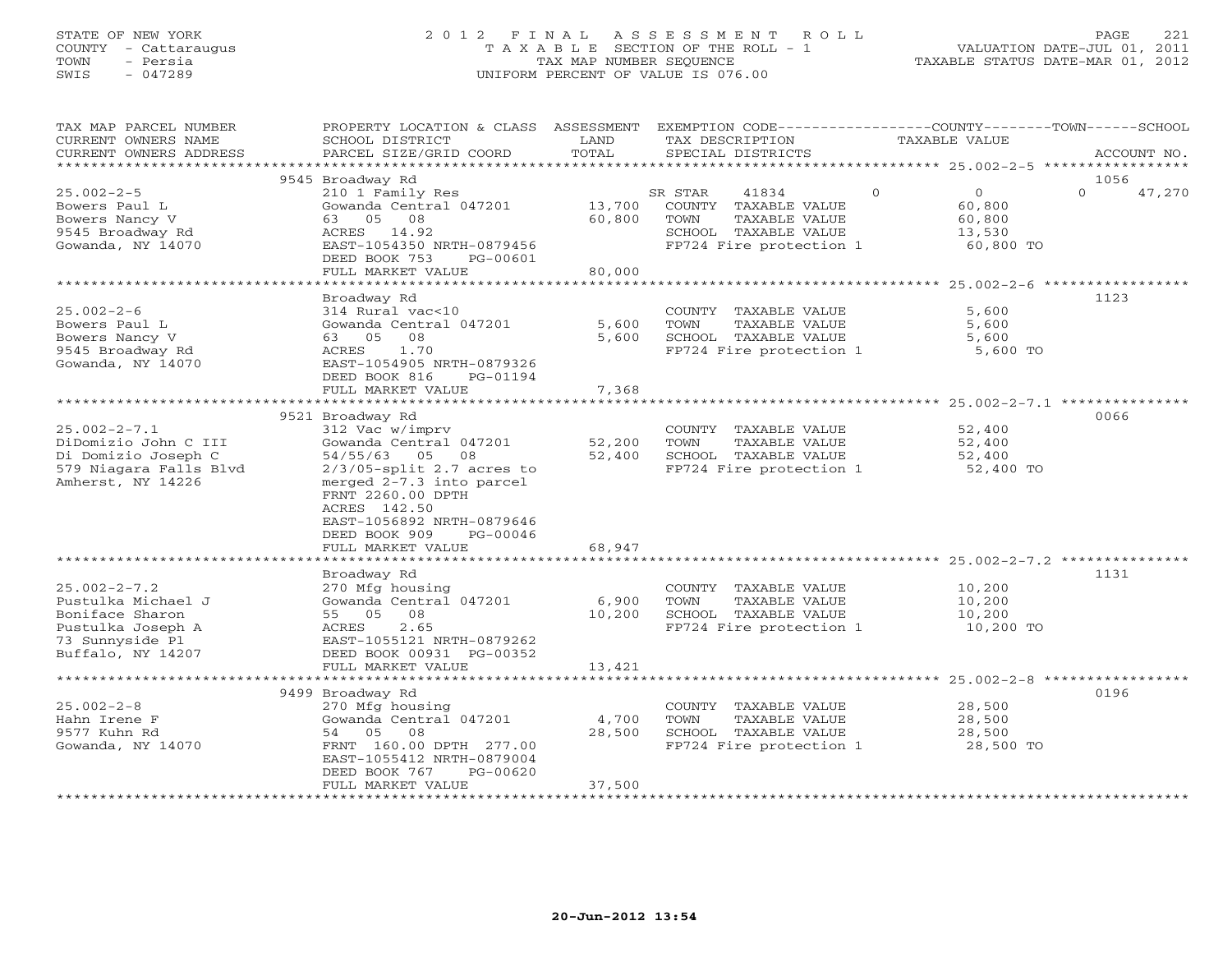# STATE OF NEW YORK 2 0 1 2 F I N A L A S S E S S M E N T R O L L PAGE 221 COUNTY - Cattaraugus T A X A B L E SECTION OF THE ROLL - 1 VALUATION DATE-JUL 01, 2011 TOWN - Persia TAX MAP NUMBER SEQUENCE TAXABLE STATUS DATE-MAR 01, 2012 SWIS - 047289 UNIFORM PERCENT OF VALUE IS 076.00UNIFORM PERCENT OF VALUE IS 076.00

| TAX MAP PARCEL NUMBER<br>CURRENT OWNERS NAME<br>CURRENT OWNERS ADDRESS<br>************************                       | PROPERTY LOCATION & CLASS ASSESSMENT<br>SCHOOL DISTRICT<br>PARCEL SIZE/GRID COORD                                                                                                                                                           | LAND<br>TOTAL              | EXEMPTION CODE-----------------COUNTY-------TOWN------SCHOOL<br>TAX DESCRIPTION<br>SPECIAL DISTRICTS                 | TAXABLE VALUE                                                         | ACCOUNT NO.        |
|--------------------------------------------------------------------------------------------------------------------------|---------------------------------------------------------------------------------------------------------------------------------------------------------------------------------------------------------------------------------------------|----------------------------|----------------------------------------------------------------------------------------------------------------------|-----------------------------------------------------------------------|--------------------|
|                                                                                                                          | 9545 Broadway Rd                                                                                                                                                                                                                            |                            |                                                                                                                      |                                                                       | 1056               |
| $25.002 - 2 - 5$<br>Bowers Paul L<br>Bowers Nancy V<br>9545 Broadway Rd<br>Gowanda, NY 14070                             | 210 1 Family Res<br>Gowanda Central 047201<br>63 05 08<br>ACRES 14.92<br>EAST-1054350 NRTH-0879456<br>DEED BOOK 753<br>PG-00601<br>FULL MARKET VALUE                                                                                        | 13,700<br>60,800<br>80,000 | SR STAR<br>41834<br>COUNTY TAXABLE VALUE<br>TOWN<br>TAXABLE VALUE<br>SCHOOL TAXABLE VALUE<br>FP724 Fire protection 1 | $\Omega$<br>$\overline{O}$<br>60,800<br>60,800<br>13,530<br>60,800 TO | $\Omega$<br>47,270 |
|                                                                                                                          |                                                                                                                                                                                                                                             |                            |                                                                                                                      |                                                                       |                    |
| $25.002 - 2 - 6$<br>Bowers Paul L<br>Bowers Nancy V<br>9545 Broadway Rd<br>Gowanda, NY 14070                             | Broadway Rd<br>314 Rural vac<10<br>Gowanda Central 047201<br>63 05 08<br>ACRES<br>1.70<br>EAST-1054905 NRTH-0879326<br>DEED BOOK 816<br>PG-01194<br>FULL MARKET VALUE                                                                       | 5,600<br>5,600<br>7,368    | COUNTY TAXABLE VALUE<br>TOWN<br>TAXABLE VALUE<br>SCHOOL TAXABLE VALUE<br>FP724 Fire protection 1                     | 5,600<br>5,600<br>5,600<br>5,600 TO                                   | 1123               |
|                                                                                                                          | *********************                                                                                                                                                                                                                       | ************               |                                                                                                                      | *********************** 25.002-2-7.1 ***************                  |                    |
|                                                                                                                          | 9521 Broadway Rd                                                                                                                                                                                                                            |                            |                                                                                                                      |                                                                       | 0066               |
| $25.002 - 2 - 7.1$<br>DiDomizio John C III<br>Di Domizio Joseph C<br>579 Niagara Falls Blvd<br>Amherst, NY 14226         | 312 Vac w/imprv<br>Gowanda Central 047201<br>54/55/63 05 08<br>$2/3/05$ -split 2.7 acres to<br>merged 2-7.3 into parcel<br>FRNT 2260.00 DPTH<br>ACRES 142.50<br>EAST-1056892 NRTH-0879646<br>DEED BOOK 909<br>PG-00046<br>FULL MARKET VALUE | 52,200<br>52,400<br>68,947 | COUNTY TAXABLE VALUE<br>TOWN<br>TAXABLE VALUE<br>SCHOOL TAXABLE VALUE<br>FP724 Fire protection 1                     | 52,400<br>52,400<br>52,400<br>52,400 TO                               |                    |
|                                                                                                                          |                                                                                                                                                                                                                                             |                            |                                                                                                                      |                                                                       |                    |
| $25.002 - 2 - 7.2$<br>Pustulka Michael J<br>Boniface Sharon<br>Pustulka Joseph A<br>73 Sunnyside Pl<br>Buffalo, NY 14207 | Broadway Rd<br>270 Mfg housing<br>Gowanda Central 047201<br>55 05 08<br>2.65<br>ACRES<br>EAST-1055121 NRTH-0879262<br>DEED BOOK 00931 PG-00352<br>FULL MARKET VALUE                                                                         | 6,900<br>10,200<br>13,421  | COUNTY TAXABLE VALUE<br>TOWN<br>TAXABLE VALUE<br>SCHOOL TAXABLE VALUE<br>FP724 Fire protection 1                     | 10,200<br>10,200<br>10,200<br>10,200 TO                               | 1131               |
|                                                                                                                          |                                                                                                                                                                                                                                             |                            |                                                                                                                      |                                                                       |                    |
| $25.002 - 2 - 8$<br>Hahn Irene F<br>9577 Kuhn Rd<br>Gowanda, NY 14070                                                    | 9499 Broadway Rd<br>270 Mfg housing<br>Gowanda Central 047201<br>54 05<br>08<br>FRNT 160.00 DPTH 277.00<br>EAST-1055412 NRTH-0879004<br>DEED BOOK 767<br>$PG-00620$<br>FULL MARKET VALUE                                                    | 4,700<br>28,500<br>37,500  | COUNTY TAXABLE VALUE<br>TOWN<br>TAXABLE VALUE<br>SCHOOL TAXABLE VALUE<br>FP724 Fire protection 1                     | 28,500<br>28,500<br>28,500<br>28,500 TO                               | 0196               |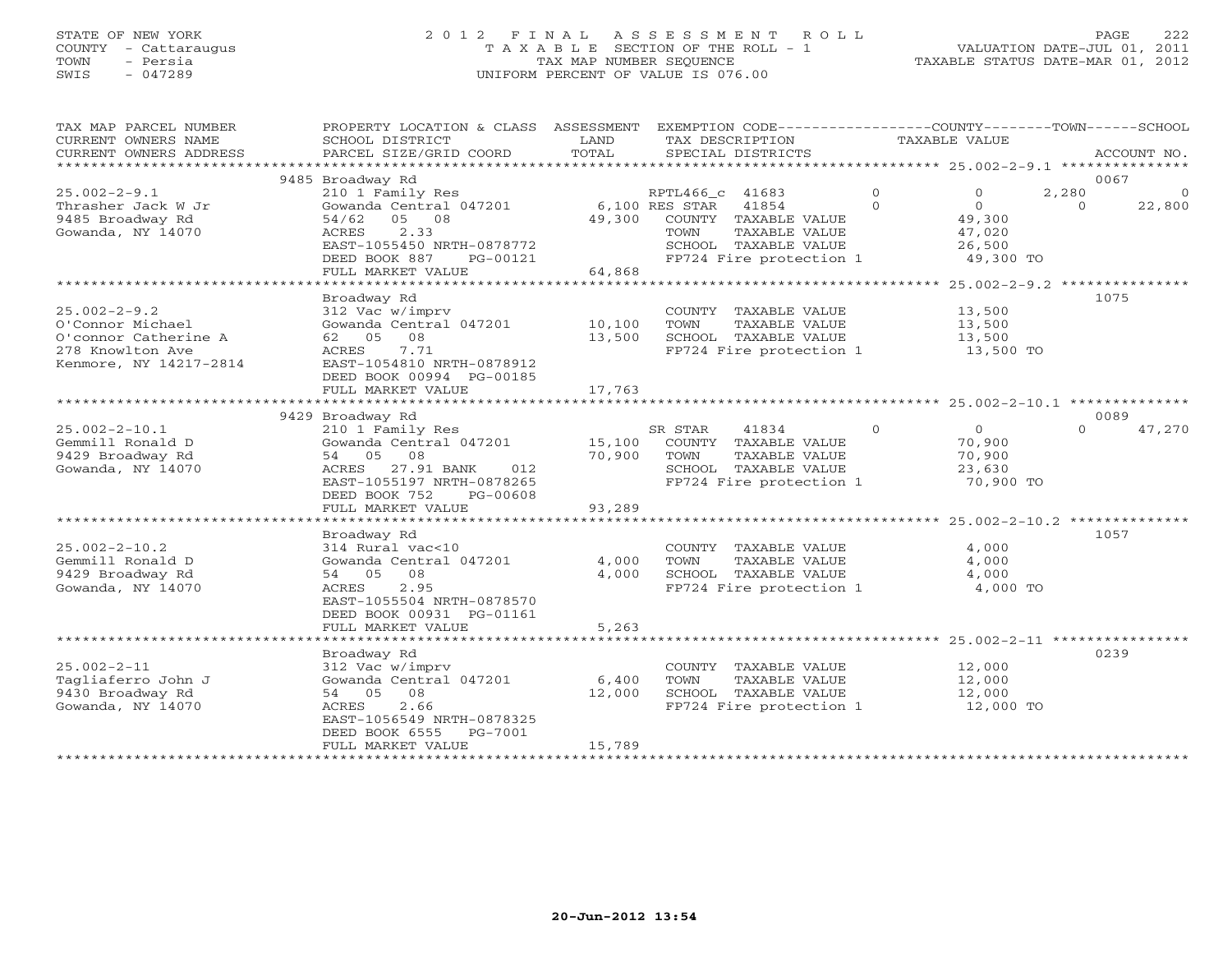# STATE OF NEW YORK 2 0 1 2 F I N A L A S S E S S M E N T R O L L PAGE 222 COUNTY - Cattaraugus T A X A B L E SECTION OF THE ROLL - 1 VALUATION DATE-JUL 01, 2011 TOWN - Persia TAX MAP NUMBER SEQUENCE TAXABLE STATUS DATE-MAR 01, 2012 SWIS - 047289 UNIFORM PERCENT OF VALUE IS 076.00UNIFORM PERCENT OF VALUE IS 076.00

| TAX MAP PARCEL NUMBER<br>CURRENT OWNERS NAME<br>CURRENT OWNERS ADDRESS<br>**********************             | PROPERTY LOCATION & CLASS ASSESSMENT<br>SCHOOL DISTRICT<br>PARCEL SIZE/GRID COORD                                                                                       | LAND<br>TOTAL             | EXEMPTION CODE-----------------COUNTY-------TOWN------SCHOOL<br>TAX DESCRIPTION<br>SPECIAL DISTRICTS                 |                      | TAXABLE VALUE                                             |                         | ACCOUNT NO.        |
|--------------------------------------------------------------------------------------------------------------|-------------------------------------------------------------------------------------------------------------------------------------------------------------------------|---------------------------|----------------------------------------------------------------------------------------------------------------------|----------------------|-----------------------------------------------------------|-------------------------|--------------------|
|                                                                                                              |                                                                                                                                                                         |                           |                                                                                                                      |                      |                                                           |                         |                    |
| $25.002 - 2 - 9.1$<br>Thrasher Jack W Jr<br>9485 Broadway Rd<br>Gowanda, NY 14070                            | 9485 Broadway Rd<br>210 1 Family Res<br>Gowanda Central 047201<br>05 08<br>54/62<br>2.33<br>ACRES<br>EAST-1055450 NRTH-0878772                                          | 49,300                    | RPTL466_c 41683<br>6,100 RES STAR<br>41854<br>COUNTY TAXABLE VALUE<br>TAXABLE VALUE<br>TOWN<br>SCHOOL TAXABLE VALUE  | $\Omega$<br>$\Omega$ | $\Omega$<br>$\Omega$<br>49,300<br>47,020<br>26,500        | 0067<br>2,280<br>$\cap$ | $\Omega$<br>22,800 |
|                                                                                                              | DEED BOOK 887<br>PG-00121                                                                                                                                               |                           | FP724 Fire protection 1                                                                                              |                      | 49,300 TO                                                 |                         |                    |
|                                                                                                              | FULL MARKET VALUE                                                                                                                                                       | 64,868                    |                                                                                                                      |                      |                                                           |                         |                    |
|                                                                                                              | ***************************                                                                                                                                             |                           |                                                                                                                      |                      |                                                           |                         |                    |
| $25.002 - 2 - 9.2$<br>O'Connor Michael<br>O'connor Catherine A<br>278 Knowlton Ave<br>Kenmore, NY 14217-2814 | Broadway Rd<br>312 Vac w/imprv<br>Gowanda Central 047201<br>62 05<br>08<br>ACRES<br>7.71<br>EAST-1054810 NRTH-0878912                                                   | 10,100<br>13,500          | COUNTY TAXABLE VALUE<br>TOWN<br>TAXABLE VALUE<br>SCHOOL TAXABLE VALUE<br>FP724 Fire protection 1                     |                      | 13,500<br>13,500<br>13,500<br>13,500 TO                   | 1075                    |                    |
|                                                                                                              | DEED BOOK 00994 PG-00185                                                                                                                                                |                           |                                                                                                                      |                      |                                                           |                         |                    |
|                                                                                                              | FULL MARKET VALUE                                                                                                                                                       | 17,763<br>***********     |                                                                                                                      |                      |                                                           |                         |                    |
|                                                                                                              |                                                                                                                                                                         |                           |                                                                                                                      |                      | ******************** 25.002-2-10.1 *********              |                         |                    |
|                                                                                                              | 9429 Broadway Rd                                                                                                                                                        |                           |                                                                                                                      |                      |                                                           | 0089                    |                    |
| $25.002 - 2 - 10.1$<br>Gemmill Ronald D<br>9429 Broadway Rd<br>Gowanda, NY 14070                             | 210 1 Family Res<br>Gowanda Central 047201<br>08<br>54 05<br>27.91 BANK<br>ACRES<br>012<br>EAST-1055197 NRTH-0878265<br>DEED BOOK 752<br>PG-00608                       | 15,100<br>70,900          | SR STAR<br>41834<br>COUNTY TAXABLE VALUE<br>TOWN<br>TAXABLE VALUE<br>SCHOOL TAXABLE VALUE<br>FP724 Fire protection 1 | $\circ$              | $\overline{0}$<br>70,900<br>70,900<br>23,630<br>70,900 TO | $\Omega$                | 47,270             |
|                                                                                                              | FULL MARKET VALUE                                                                                                                                                       | 93,289                    |                                                                                                                      |                      |                                                           |                         |                    |
|                                                                                                              |                                                                                                                                                                         |                           |                                                                                                                      |                      |                                                           |                         |                    |
|                                                                                                              | Broadway Rd                                                                                                                                                             |                           |                                                                                                                      |                      |                                                           | 1057                    |                    |
| $25.002 - 2 - 10.2$<br>Gemmill Ronald D<br>9429 Broadway Rd<br>Gowanda, NY 14070                             | 314 Rural vac<10<br>Gowanda Central 047201<br>08<br>54 05<br><b>ACRES</b><br>2.95<br>EAST-1055504 NRTH-0878570<br>DEED BOOK 00931 PG-01161                              | 4,000<br>4,000            | COUNTY TAXABLE VALUE<br>TAXABLE VALUE<br>TOWN<br>SCHOOL TAXABLE VALUE<br>FP724 Fire protection 1                     |                      | 4,000<br>4,000<br>4,000<br>4,000 TO                       |                         |                    |
|                                                                                                              | FULL MARKET VALUE                                                                                                                                                       | 5,263                     |                                                                                                                      |                      |                                                           |                         |                    |
|                                                                                                              |                                                                                                                                                                         |                           |                                                                                                                      |                      |                                                           |                         |                    |
| $25.002 - 2 - 11$<br>Tagliaferro John J<br>9430 Broadway Rd<br>Gowanda, NY 14070                             | Broadway Rd<br>312 Vac w/imprv<br>Gowanda Central 047201<br>54 05<br>08<br>2.66<br>ACRES<br>EAST-1056549 NRTH-0878325<br>DEED BOOK 6555<br>PG-7001<br>FULL MARKET VALUE | 6,400<br>12,000<br>15,789 | COUNTY TAXABLE VALUE<br>TOWN<br>TAXABLE VALUE<br>SCHOOL TAXABLE VALUE<br>FP724 Fire protection 1                     |                      | 12,000<br>12,000<br>12,000<br>12,000 TO                   | 0239                    |                    |
|                                                                                                              |                                                                                                                                                                         |                           |                                                                                                                      |                      |                                                           |                         |                    |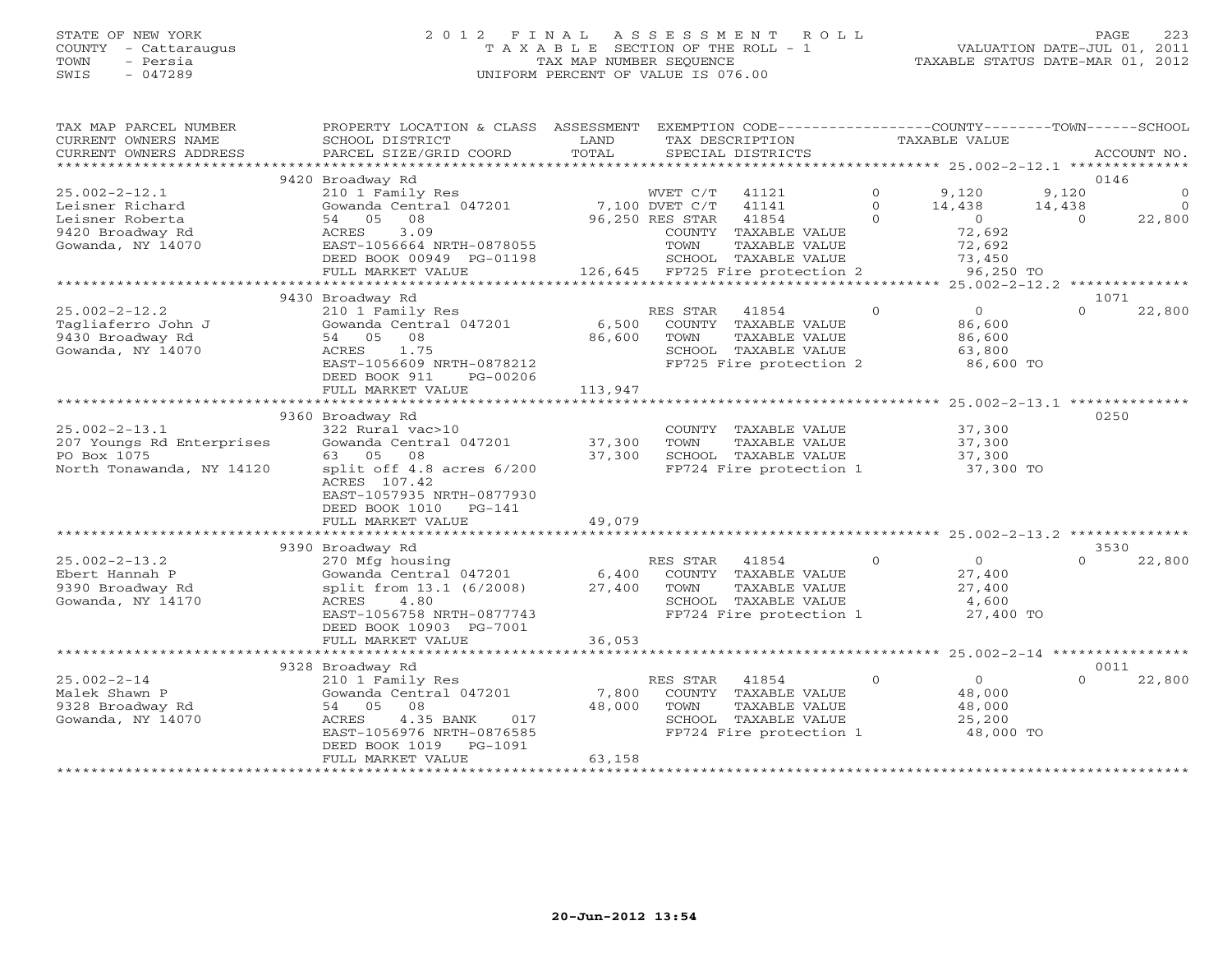# STATE OF NEW YORK 2 0 1 2 F I N A L A S S E S S M E N T R O L L PAGE 223 COUNTY - Cattaraugus T A X A B L E SECTION OF THE ROLL - 1 VALUATION DATE-JUL 01, 2011 TOWN - Persia TAX MAP NUMBER SEQUENCE TAXABLE STATUS DATE-MAR 01, 2012 SWIS - 047289 UNIFORM PERCENT OF VALUE IS 076.00UNIFORM PERCENT OF VALUE IS 076.00

| TAX MAP PARCEL NUMBER<br>CURRENT OWNERS NAME<br>CURRENT OWNERS ADDRESS | PROPERTY LOCATION & CLASS ASSESSMENT<br>SCHOOL DISTRICT<br>PARCEL SIZE/GRID COORD | LAND<br>TOTAL           | EXEMPTION CODE-----------------COUNTY-------TOWN------SCHOOL<br>TAX DESCRIPTION<br>SPECIAL DISTRICTS |              | <b>TAXABLE VALUE</b>                                 |           | ACCOUNT NO. |
|------------------------------------------------------------------------|-----------------------------------------------------------------------------------|-------------------------|------------------------------------------------------------------------------------------------------|--------------|------------------------------------------------------|-----------|-------------|
| *******************                                                    |                                                                                   |                         |                                                                                                      |              |                                                      |           |             |
|                                                                        | 9420 Broadway Rd                                                                  |                         |                                                                                                      |              |                                                      | 0146      |             |
| $25.002 - 2 - 12.1$                                                    | 210 1 Family Res                                                                  |                         | WVET C/T<br>41121                                                                                    | $\circ$      | 9,120                                                | 9,120     | $\circ$     |
| Leisner Richard                                                        | Gowanda Central 047201                                                            |                         | 7,100 DVET C/T<br>41141                                                                              | $\Omega$     | 14,438                                               | 14,438    | $\Omega$    |
| Leisner Roberta<br>9420 Broadway Rd                                    | 54 05<br>08                                                                       |                         | 41854<br>96,250 RES STAR                                                                             | $\Omega$     | $\circ$                                              | $\Omega$  | 22,800      |
| Gowanda, NY 14070                                                      | 3.09<br>ACRES<br>EAST-1056664 NRTH-0878055                                        |                         | COUNTY<br>TAXABLE VALUE<br>TOWN<br>TAXABLE VALUE                                                     |              | 72,692                                               |           |             |
|                                                                        | DEED BOOK 00949 PG-01198                                                          |                         | SCHOOL TAXABLE VALUE                                                                                 |              | 72,692<br>73,450                                     |           |             |
|                                                                        | FULL MARKET VALUE                                                                 |                         | 126,645 FP725 Fire protection 2                                                                      |              | 96,250 TO                                            |           |             |
|                                                                        | **************************                                                        |                         |                                                                                                      |              |                                                      |           |             |
|                                                                        | 9430 Broadway Rd                                                                  |                         |                                                                                                      |              |                                                      | 1071      |             |
| $25.002 - 2 - 12.2$                                                    | 210 1 Family Res                                                                  |                         | RES STAR<br>41854                                                                                    | $\circ$      | $\circ$                                              | $\Omega$  | 22,800      |
| Tagliaferro John J                                                     | Gowanda Central 047201                                                            | 6,500                   | COUNTY TAXABLE VALUE                                                                                 |              | 86,600                                               |           |             |
| 9430 Broadway Rd                                                       | 54 05 08                                                                          | 86,600                  | TOWN<br>TAXABLE VALUE                                                                                |              | 86,600                                               |           |             |
| Gowanda, NY 14070                                                      | 1.75<br>ACRES                                                                     |                         | SCHOOL TAXABLE VALUE                                                                                 |              | 63,800                                               |           |             |
|                                                                        | EAST-1056609 NRTH-0878212                                                         |                         | FP725 Fire protection 2                                                                              |              | 86,600 TO                                            |           |             |
|                                                                        | DEED BOOK 911<br>PG-00206                                                         |                         |                                                                                                      |              |                                                      |           |             |
|                                                                        | FULL MARKET VALUE                                                                 | 113,947                 |                                                                                                      |              |                                                      |           |             |
|                                                                        |                                                                                   |                         |                                                                                                      |              |                                                      | ********* |             |
|                                                                        | 9360 Broadway Rd                                                                  |                         |                                                                                                      |              |                                                      | 0250      |             |
| $25.002 - 2 - 13.1$                                                    | 322 Rural vac>10                                                                  |                         | COUNTY TAXABLE VALUE                                                                                 |              | 37,300                                               |           |             |
| 207 Youngs Rd Enterprises<br>PO Box 1075                               | Gowanda Central 047201<br>08<br>63 05                                             | 37,300<br>37,300        | TOWN<br>TAXABLE VALUE<br>SCHOOL TAXABLE VALUE                                                        |              | 37,300                                               |           |             |
| North Tonawanda, NY 14120                                              | split off 4.8 acres 6/200                                                         |                         | FP724 Fire protection 1                                                                              |              | 37,300<br>37,300 TO                                  |           |             |
|                                                                        | ACRES 107.42                                                                      |                         |                                                                                                      |              |                                                      |           |             |
|                                                                        | EAST-1057935 NRTH-0877930                                                         |                         |                                                                                                      |              |                                                      |           |             |
|                                                                        | DEED BOOK 1010<br>PG-141                                                          |                         |                                                                                                      |              |                                                      |           |             |
|                                                                        | FULL MARKET VALUE                                                                 | 49,079                  |                                                                                                      |              |                                                      |           |             |
|                                                                        |                                                                                   |                         |                                                                                                      |              |                                                      |           |             |
|                                                                        | 9390 Broadway Rd                                                                  |                         |                                                                                                      |              |                                                      | 3530      |             |
| $25.002 - 2 - 13.2$                                                    | 270 Mfg housing                                                                   |                         | 41854<br>RES STAR                                                                                    | $\Omega$     | $\overline{O}$                                       | $\Omega$  | 22,800      |
| Ebert Hannah P                                                         | Gowanda Central 047201                                                            | 6,400                   | COUNTY TAXABLE VALUE                                                                                 |              | 27,400                                               |           |             |
| 9390 Broadway Rd                                                       | split from 13.1 (6/2008)                                                          | 27,400                  | TOWN<br>TAXABLE VALUE                                                                                |              | 27,400                                               |           |             |
| Gowanda, NY 14170                                                      | ACRES<br>4.80                                                                     |                         | SCHOOL TAXABLE VALUE                                                                                 |              | 4,600                                                |           |             |
|                                                                        | EAST-1056758 NRTH-0877743                                                         |                         | FP724 Fire protection 1                                                                              |              | 27,400 TO                                            |           |             |
|                                                                        | DEED BOOK 10903 PG-7001                                                           |                         |                                                                                                      |              |                                                      |           |             |
|                                                                        | FULL MARKET VALUE<br>*************************                                    | 36,053<br>************* |                                                                                                      |              |                                                      |           |             |
|                                                                        |                                                                                   |                         |                                                                                                      |              | *********************** 25.002-2-14 **************** | 0011      |             |
| $25.002 - 2 - 14$                                                      | 9328 Broadway Rd<br>210 1 Family Res                                              |                         | RES STAR<br>41854                                                                                    | $\mathbf{0}$ | $\Omega$                                             | $\Omega$  | 22,800      |
| Malek Shawn P                                                          | Gowanda Central 047201                                                            | 7,800                   | COUNTY TAXABLE VALUE                                                                                 |              | 48,000                                               |           |             |
| 9328 Broadway Rd                                                       | 54 05 08                                                                          | 48,000                  | TOWN<br>TAXABLE VALUE                                                                                |              | 48,000                                               |           |             |
| Gowanda, NY 14070                                                      | 4.35 BANK<br>ACRES<br>017                                                         |                         | SCHOOL TAXABLE VALUE                                                                                 |              | 25,200                                               |           |             |
|                                                                        | EAST-1056976 NRTH-0876585                                                         |                         | FP724 Fire protection 1                                                                              |              | 48,000 TO                                            |           |             |
|                                                                        | $PG-1091$<br>DEED BOOK 1019                                                       |                         |                                                                                                      |              |                                                      |           |             |
|                                                                        | FULL MARKET VALUE                                                                 | 63,158                  |                                                                                                      |              |                                                      |           |             |
|                                                                        |                                                                                   |                         |                                                                                                      |              |                                                      |           |             |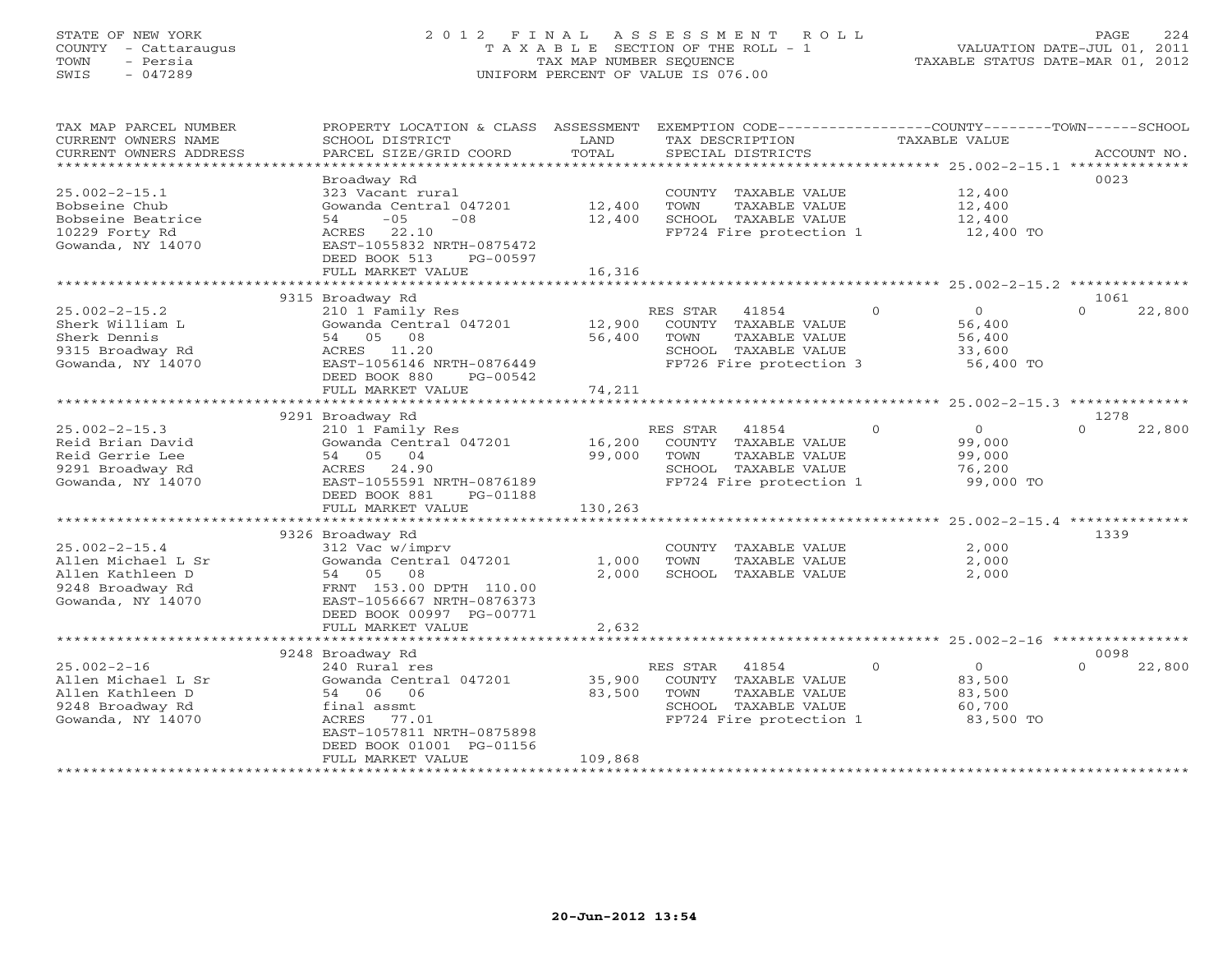# STATE OF NEW YORK 2 0 1 2 F I N A L A S S E S S M E N T R O L L PAGE 224 COUNTY - Cattaraugus T A X A B L E SECTION OF THE ROLL - 1 VALUATION DATE-JUL 01, 2011 TOWN - Persia TAX MAP NUMBER SEQUENCE TAXABLE STATUS DATE-MAR 01, 2012 SWIS - 047289 UNIFORM PERCENT OF VALUE IS 076.00UNIFORM PERCENT OF VALUE IS 076.00

| TAX MAP PARCEL NUMBER  | PROPERTY LOCATION & CLASS | ASSESSMENT   |                   |                         |              | EXEMPTION CODE-----------------COUNTY-------TOWN------SCHOOL |          |             |
|------------------------|---------------------------|--------------|-------------------|-------------------------|--------------|--------------------------------------------------------------|----------|-------------|
| CURRENT OWNERS NAME    | SCHOOL DISTRICT           | LAND         | TAX DESCRIPTION   |                         |              | <b>TAXABLE VALUE</b>                                         |          |             |
| CURRENT OWNERS ADDRESS | PARCEL SIZE/GRID COORD    | TOTAL        | SPECIAL DISTRICTS |                         |              |                                                              |          | ACCOUNT NO. |
| *********************  |                           |              |                   |                         |              |                                                              |          |             |
|                        | Broadway Rd               |              |                   |                         |              |                                                              | 0023     |             |
| $25.002 - 2 - 15.1$    | 323 Vacant rural          |              |                   | COUNTY TAXABLE VALUE    |              | 12,400                                                       |          |             |
| Bobseine Chub          | Gowanda Central 047201    | 12,400       | TOWN              | TAXABLE VALUE           |              | 12,400                                                       |          |             |
| Bobseine Beatrice      | $-05$<br>$-08$<br>54      | 12,400       |                   | SCHOOL TAXABLE VALUE    |              | 12,400                                                       |          |             |
| 10229 Forty Rd         | 22.10<br>ACRES            |              |                   | FP724 Fire protection 1 |              | 12,400 TO                                                    |          |             |
| Gowanda, NY 14070      | EAST-1055832 NRTH-0875472 |              |                   |                         |              |                                                              |          |             |
|                        | DEED BOOK 513<br>PG-00597 |              |                   |                         |              |                                                              |          |             |
|                        | FULL MARKET VALUE         | 16,316       |                   |                         |              |                                                              |          |             |
|                        |                           |              |                   |                         |              |                                                              |          |             |
|                        | 9315 Broadway Rd          |              |                   |                         |              |                                                              | 1061     |             |
| $25.002 - 2 - 15.2$    | 210 1 Family Res          |              | RES STAR          | 41854                   | $\Omega$     | $\circ$                                                      | $\Omega$ | 22,800      |
| Sherk William L        | Gowanda Central 047201    | 12,900       |                   | COUNTY TAXABLE VALUE    |              | 56,400                                                       |          |             |
| Sherk Dennis           | 05<br>08<br>54            | 56,400       | TOWN              | TAXABLE VALUE           |              | 56,400                                                       |          |             |
|                        |                           |              |                   | SCHOOL TAXABLE VALUE    |              |                                                              |          |             |
| 9315 Broadway Rd       | ACRES<br>11.20            |              |                   |                         |              | 33,600                                                       |          |             |
| Gowanda, NY 14070      | EAST-1056146 NRTH-0876449 |              |                   | FP726 Fire protection 3 |              | 56,400 TO                                                    |          |             |
|                        | DEED BOOK 880<br>PG-00542 |              |                   |                         |              |                                                              |          |             |
|                        | FULL MARKET VALUE         | 74,211       |                   |                         |              |                                                              |          |             |
|                        |                           |              |                   |                         |              |                                                              |          |             |
|                        | 9291 Broadway Rd          |              |                   |                         |              |                                                              | 1278     |             |
| $25.002 - 2 - 15.3$    | 210 1 Family Res          |              | RES STAR          | 41854                   | $\circ$      | $\overline{O}$                                               | $\Omega$ | 22,800      |
| Reid Brian David       | Gowanda Central 047201    | 16,200       |                   | COUNTY TAXABLE VALUE    |              | 99,000                                                       |          |             |
| Reid Gerrie Lee        | 54 05 04                  | 99,000       | TOWN              | TAXABLE VALUE           |              | 99,000                                                       |          |             |
| 9291 Broadway Rd       | 24.90<br>ACRES            |              |                   | SCHOOL TAXABLE VALUE    |              | 76,200                                                       |          |             |
| Gowanda, NY 14070      | EAST-1055591 NRTH-0876189 |              |                   | FP724 Fire protection 1 |              | 99,000 TO                                                    |          |             |
|                        | DEED BOOK 881<br>PG-01188 |              |                   |                         |              |                                                              |          |             |
|                        | FULL MARKET VALUE         | 130,263      |                   |                         |              |                                                              |          |             |
|                        | **************            |              |                   |                         |              |                                                              |          |             |
|                        | 9326 Broadway Rd          |              |                   |                         |              |                                                              | 1339     |             |
| $25.002 - 2 - 15.4$    | 312 Vac w/imprv           |              |                   | COUNTY TAXABLE VALUE    |              | 2,000                                                        |          |             |
| Allen Michael L Sr     | Gowanda Central 047201    | 1,000        | TOWN              | TAXABLE VALUE           |              | 2,000                                                        |          |             |
| Allen Kathleen D       | 08<br>54<br>05            | 2,000        |                   | SCHOOL TAXABLE VALUE    |              | 2,000                                                        |          |             |
| 9248 Broadway Rd       | FRNT 153.00 DPTH 110.00   |              |                   |                         |              |                                                              |          |             |
| Gowanda, NY 14070      | EAST-1056667 NRTH-0876373 |              |                   |                         |              |                                                              |          |             |
|                        | DEED BOOK 00997 PG-00771  |              |                   |                         |              |                                                              |          |             |
|                        | FULL MARKET VALUE         | 2,632        |                   |                         |              |                                                              |          |             |
|                        | *********************     | ************ |                   |                         |              | ***************************** 25.002-2-16 ****************   |          |             |
|                        | 9248 Broadway Rd          |              |                   |                         |              |                                                              | 0098     |             |
| $25.002 - 2 - 16$      | 240 Rural res             |              | RES STAR          | 41854                   | $\mathbf{0}$ | $\circ$                                                      | $\cap$   | 22,800      |
| Allen Michael L Sr     | Gowanda Central 047201    | 35,900       |                   | COUNTY TAXABLE VALUE    |              | 83,500                                                       |          |             |
| Allen Kathleen D       | 06<br>54<br>06            | 83,500       | TOWN              | TAXABLE VALUE           |              | 83,500                                                       |          |             |
| 9248 Broadway Rd       | final assmt               |              |                   | SCHOOL TAXABLE VALUE    |              | 60,700                                                       |          |             |
| Gowanda, NY 14070      | ACRES<br>77.01            |              |                   | FP724 Fire protection 1 |              | 83,500 TO                                                    |          |             |
|                        | EAST-1057811 NRTH-0875898 |              |                   |                         |              |                                                              |          |             |
|                        | DEED BOOK 01001 PG-01156  |              |                   |                         |              |                                                              |          |             |
|                        | FULL MARKET VALUE         | 109,868      |                   |                         |              |                                                              |          |             |
|                        |                           |              |                   |                         |              |                                                              |          |             |
|                        |                           |              |                   |                         |              |                                                              |          |             |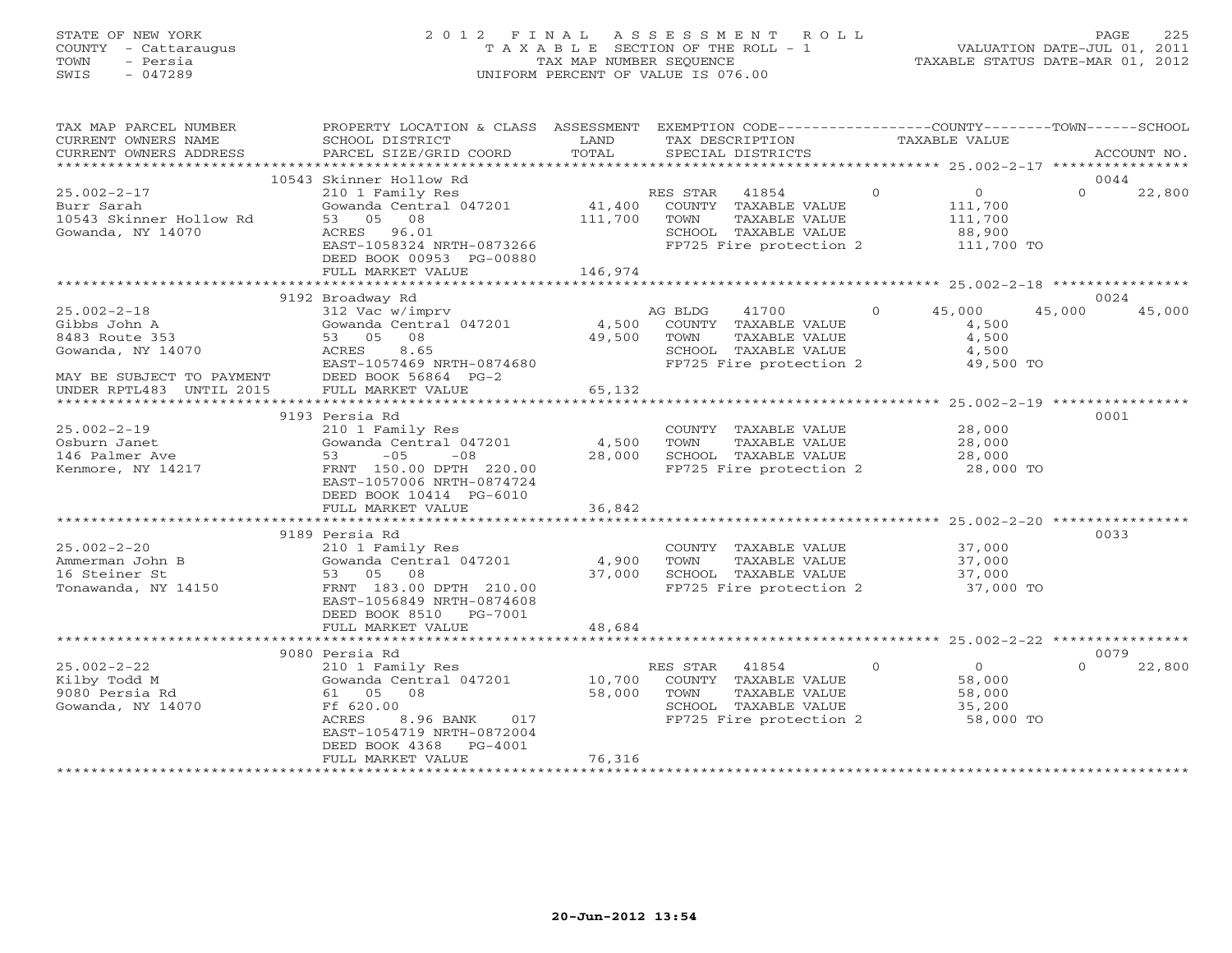# STATE OF NEW YORK 2 0 1 2 F I N A L A S S E S S M E N T R O L L PAGE 225 COUNTY - Cattaraugus T A X A B L E SECTION OF THE ROLL - 1 VALUATION DATE-JUL 01, 2011 TOWN - Persia TAX MAP NUMBER SEQUENCE TAXABLE STATUS DATE-MAR 01, 2012 SWIS - 047289 UNIFORM PERCENT OF VALUE IS 076.00UNIFORM PERCENT OF VALUE IS 076.00

| TAX MAP PARCEL NUMBER<br>CURRENT OWNERS NAME<br>CURRENT OWNERS ADDRESS                                | PROPERTY LOCATION & CLASS ASSESSMENT<br>SCHOOL DISTRICT<br>PARCEL SIZE/GRID COORD                                                                                                          | LAND<br>TOTAL     | EXEMPTION CODE-----------------COUNTY-------TOWN------SCHOOL<br>TAX DESCRIPTION TAXABLE VALUE SPECIAL DISTRICTS<br>SPECIAL DISTRICTS    |                |                                                              |          | ACCOUNT NO. |
|-------------------------------------------------------------------------------------------------------|--------------------------------------------------------------------------------------------------------------------------------------------------------------------------------------------|-------------------|-----------------------------------------------------------------------------------------------------------------------------------------|----------------|--------------------------------------------------------------|----------|-------------|
| *************************                                                                             | 10543 Skinner Hollow Rd                                                                                                                                                                    |                   |                                                                                                                                         |                |                                                              |          | 0044        |
| $25.002 - 2 - 17$<br>Burr Sarah<br>10543 Skinner Hollow Rd<br>Gowanda, NY 14070                       | 210 1 Family Res<br>Gowanda Central 047201<br>53 05 08<br>ACRES 96.01<br>EAST-1058324 NRTH-0873266<br>DEED BOOK 00953 PG-00880                                                             | 41,400<br>111,700 | $\sim$ 0<br>RES STAR 41854<br>COUNTY TAXABLE VALUE<br>TOWN<br>TAXABLE VALUE<br>SCHOOL TAXABLE VALUE<br>FP725 Fire protection 2          |                | $\overline{0}$<br>111,700<br>111,700<br>88,900<br>111,700 TO | $\Omega$ | 22,800      |
|                                                                                                       | FULL MARKET VALUE                                                                                                                                                                          | 146,974           |                                                                                                                                         |                |                                                              |          |             |
|                                                                                                       | 9192 Broadway Rd                                                                                                                                                                           |                   |                                                                                                                                         |                |                                                              |          | 0024        |
| $25.002 - 2 - 18$<br>Gibbs John A<br>8483 Route 353<br>Gowanda, NY 14070<br>MAY BE SUBJECT TO PAYMENT | 312 Vac w/imprv<br>Gowanda Central 047201<br>53 05 08<br>ACRES<br>8.65<br>EAST-1057469 NRTH-0874680<br>DEED BOOK 56864 PG-2                                                                | 4,500<br>49,500   | AG BLDG<br>41700 700<br>COUNTY TAXABLE VALUE<br>TAXABLE VALUE<br>TOWN<br>SCHOOL TAXABLE VALUE<br>FP725 Fire protection 2                | $\overline{0}$ | 45,000<br>4,500<br>4,500<br>4,500<br>49,500 TO               | 45,000   | 45,000      |
| UNDER RPTL483 UNTIL 2015                                                                              | FULL MARKET VALUE                                                                                                                                                                          | 65,132            |                                                                                                                                         |                |                                                              |          |             |
|                                                                                                       |                                                                                                                                                                                            |                   |                                                                                                                                         |                |                                                              |          |             |
| $25.002 - 2 - 19$<br>Osburn Janet<br>146 Palmer Ave<br>Kenmore, NY 14217                              | 9193 Persia Rd<br>210 1 Family Res<br>Gowanda Central 047201<br>$-05$<br>53<br>$-08$<br>FRNT 150.00 DPTH 220.00<br>EAST-1057006 NRTH-0874724<br>DEED BOOK 10414 PG-6010                    | 4,500<br>28,000   | COUNTY TAXABLE VALUE<br>TOWN<br>TAXABLE VALUE<br>SCHOOL TAXABLE VALUE<br>FP725 Fire protection 2 28,000 TO                              |                | 28,000<br>28,000<br>28,000                                   |          | 0001        |
|                                                                                                       | FULL MARKET VALUE                                                                                                                                                                          | 36,842            |                                                                                                                                         |                |                                                              |          |             |
|                                                                                                       | 9189 Persia Rd                                                                                                                                                                             |                   |                                                                                                                                         |                |                                                              |          | 0033        |
| $25.002 - 2 - 20$<br>Ammerman John B<br>16 Steiner St<br>Tonawanda, NY 14150                          | 210 1 Family Res<br>Gowanda Central 047201<br>53 05 08<br>FRNT 183.00 DPTH 210.00<br>EAST-1056849 NRTH-0874608<br>DEED BOOK 8510 PG-7001                                                   | 4,900<br>37,000   | COUNTY TAXABLE VALUE<br>TAXABLE VALUE<br>TOWN<br>SCHOOL TAXABLE VALUE<br>FP725 Fire protection 2                                        |                | 37,000<br>37,000<br>37,000<br>37,000 TO                      |          |             |
|                                                                                                       | FULL MARKET VALUE                                                                                                                                                                          | 48,684            |                                                                                                                                         |                |                                                              |          |             |
|                                                                                                       | 9080 Persia Rd                                                                                                                                                                             |                   |                                                                                                                                         |                |                                                              |          | 0079        |
| $25.002 - 2 - 22$<br>Kilby Todd M<br>9080 Persia Rd<br>Gowanda, NY 14070                              | 210 1 Family Res<br>Gowanda Central 047201 10,700<br>61 05 08<br>Ff 620.00<br><b>ACRES</b><br>8.96 BANK<br>017<br>EAST-1054719 NRTH-0872004<br>DEED BOOK 4368 PG-4001<br>FULL MARKET VALUE | 58,000<br>76,316  | $\overline{a}$<br>RES STAR<br>41854<br>COUNTY TAXABLE VALUE<br>TOWN<br>TAXABLE VALUE<br>SCHOOL TAXABLE VALUE<br>FP725 Fire protection 2 |                | $\overline{0}$<br>58,000<br>58,000<br>35,200<br>$53,000$ TO  | $\Omega$ | 22,800      |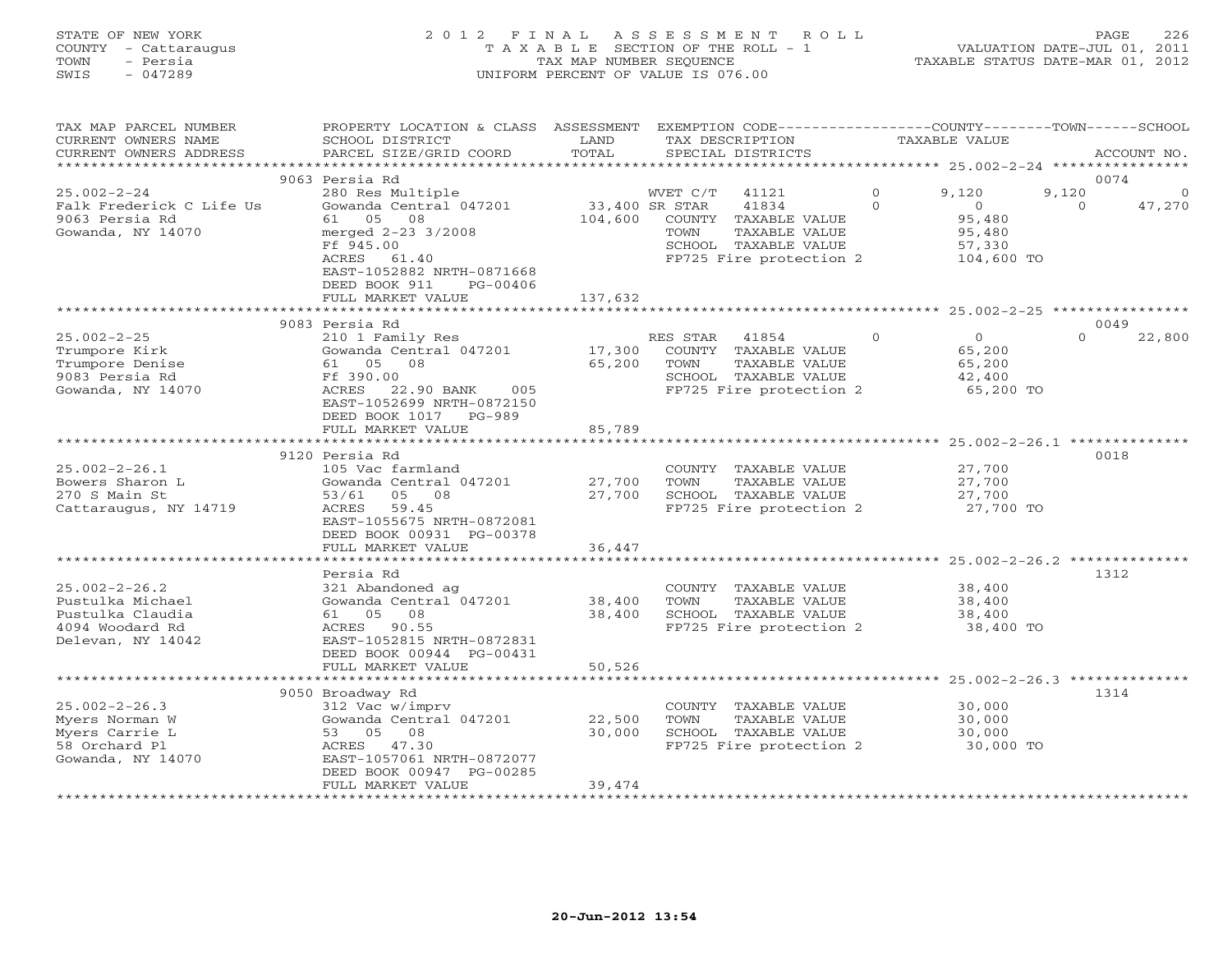# STATE OF NEW YORK 2 0 1 2 F I N A L A S S E S S M E N T R O L L PAGE 226 COUNTY - Cattaraugus T A X A B L E SECTION OF THE ROLL - 1 VALUATION DATE-JUL 01, 2011 TOWN - Persia TAX MAP NUMBER SEQUENCE TAXABLE STATUS DATE-MAR 01, 2012 SWIS - 047289 UNIFORM PERCENT OF VALUE IS 076.00UNIFORM PERCENT OF VALUE IS 076.00

| TAX MAP PARCEL NUMBER<br>CURRENT OWNERS NAME<br>CURRENT OWNERS ADDRESS<br>*****************         | PROPERTY LOCATION & CLASS ASSESSMENT<br>SCHOOL DISTRICT<br>PARCEL SIZE/GRID COORD                                                                                   | LAND<br>TOTAL              | EXEMPTION CODE-----------------COUNTY-------TOWN------SCHOOL<br>TAX DESCRIPTION<br>SPECIAL DISTRICTS                  |                      | TAXABLE VALUE                                             | ACCOUNT NO.       |                    |
|-----------------------------------------------------------------------------------------------------|---------------------------------------------------------------------------------------------------------------------------------------------------------------------|----------------------------|-----------------------------------------------------------------------------------------------------------------------|----------------------|-----------------------------------------------------------|-------------------|--------------------|
|                                                                                                     |                                                                                                                                                                     |                            |                                                                                                                       |                      |                                                           |                   |                    |
|                                                                                                     | 9063 Persia Rd                                                                                                                                                      |                            |                                                                                                                       |                      |                                                           | 0074              |                    |
| $25.002 - 2 - 24$<br>Falk Frederick C Life Us<br>9063 Persia Rd<br>Gowanda, NY 14070                | 280 Res Multiple<br>Gowanda Central 047201<br>61 05<br>08<br>merged 2-23 3/2008<br>Ff 945.00                                                                        | 33,400 SR STAR<br>104,600  | WVET C/T<br>41121<br>41834<br>COUNTY TAXABLE VALUE<br>TAXABLE VALUE<br>TOWN<br>SCHOOL TAXABLE VALUE                   | $\Omega$<br>$\Omega$ | 9,120<br>$\circ$<br>95,480<br>95,480<br>57,330            | 9,120<br>$\Omega$ | $\Omega$<br>47,270 |
|                                                                                                     | 61.40<br>ACRES<br>EAST-1052882 NRTH-0871668<br>DEED BOOK 911<br>PG-00406<br>FULL MARKET VALUE                                                                       | 137,632                    | FP725 Fire protection 2                                                                                               |                      | 104,600 TO                                                |                   |                    |
|                                                                                                     | ************************                                                                                                                                            |                            |                                                                                                                       |                      |                                                           |                   |                    |
|                                                                                                     | 9083 Persia Rd                                                                                                                                                      |                            |                                                                                                                       |                      |                                                           | 0049              |                    |
| $25.002 - 2 - 25$<br>Trumpore Kirk<br>Trumpore Denise<br>9083 Persia Rd<br>Gowanda, NY 14070        | 210 1 Family Res<br>Gowanda Central 047201<br>61 05 08<br>Ff 390.00<br>ACRES 22.90 BANK<br>005<br>EAST-1052699 NRTH-0872150<br>DEED BOOK 1017 PG-989                | 17,300<br>65,200           | RES STAR<br>41854<br>COUNTY TAXABLE VALUE<br>TOWN<br>TAXABLE VALUE<br>SCHOOL TAXABLE VALUE<br>FP725 Fire protection 2 | $\Omega$             | $\overline{0}$<br>65,200<br>65,200<br>42,400<br>65,200 TO | $\Omega$          | 22,800             |
|                                                                                                     | FULL MARKET VALUE                                                                                                                                                   | 85,789                     |                                                                                                                       |                      |                                                           |                   |                    |
|                                                                                                     |                                                                                                                                                                     |                            |                                                                                                                       |                      |                                                           |                   |                    |
|                                                                                                     | 9120 Persia Rd                                                                                                                                                      |                            |                                                                                                                       |                      |                                                           | 0018              |                    |
| $25.002 - 2 - 26.1$<br>Bowers Sharon L<br>270 S Main St<br>Cattaraugus, NY 14719                    | 105 Vac farmland<br>Gowanda Central 047201<br>53/61<br>05 08<br>ACRES<br>59.45<br>EAST-1055675 NRTH-0872081                                                         | 27,700<br>27,700           | COUNTY TAXABLE VALUE<br>TOWN<br>TAXABLE VALUE<br>SCHOOL TAXABLE VALUE<br>FP725 Fire protection 2                      |                      | 27,700<br>27,700<br>27,700<br>27,700 TO                   |                   |                    |
|                                                                                                     | DEED BOOK 00931 PG-00378                                                                                                                                            |                            |                                                                                                                       |                      |                                                           |                   |                    |
|                                                                                                     | FULL MARKET VALUE<br>*****************                                                                                                                              | 36,447                     |                                                                                                                       |                      |                                                           |                   |                    |
|                                                                                                     |                                                                                                                                                                     |                            |                                                                                                                       |                      | ************************ 25.002-2-26.2 ********           |                   |                    |
| $25.002 - 2 - 26.2$<br>Pustulka Michael<br>Pustulka Claudia<br>4094 Woodard Rd<br>Delevan, NY 14042 | Persia Rd<br>321 Abandoned ag<br>Gowanda Central 047201<br>61 05<br>08<br>ACRES 90.55<br>EAST-1052815 NRTH-0872831<br>DEED BOOK 00944 PG-00431<br>FULL MARKET VALUE | 38,400<br>38,400<br>50,526 | COUNTY TAXABLE VALUE<br>TOWN<br>TAXABLE VALUE<br>SCHOOL TAXABLE VALUE<br>FP725 Fire protection 2                      |                      | 38,400<br>38,400<br>38,400<br>38,400 TO                   | 1312              |                    |
|                                                                                                     | *************************                                                                                                                                           |                            |                                                                                                                       |                      |                                                           |                   |                    |
|                                                                                                     | 9050 Broadway Rd                                                                                                                                                    |                            |                                                                                                                       |                      |                                                           | 1314              |                    |
| $25.002 - 2 - 26.3$<br>Myers Norman W<br>Myers Carrie L<br>58 Orchard Pl<br>Gowanda, NY 14070       | 312 Vac w/imprv<br>Gowanda Central 047201<br>53 05 08<br>ACRES 47.30<br>EAST-1057061 NRTH-0872077<br>DEED BOOK 00947 PG-00285                                       | 22,500<br>30,000           | COUNTY TAXABLE VALUE<br>TOWN<br>TAXABLE VALUE<br>SCHOOL TAXABLE VALUE<br>FP725 Fire protection 2                      |                      | 30,000<br>30,000<br>30,000<br>30,000 TO                   |                   |                    |
|                                                                                                     | FULL MARKET VALUE                                                                                                                                                   | 39,474                     |                                                                                                                       |                      |                                                           |                   |                    |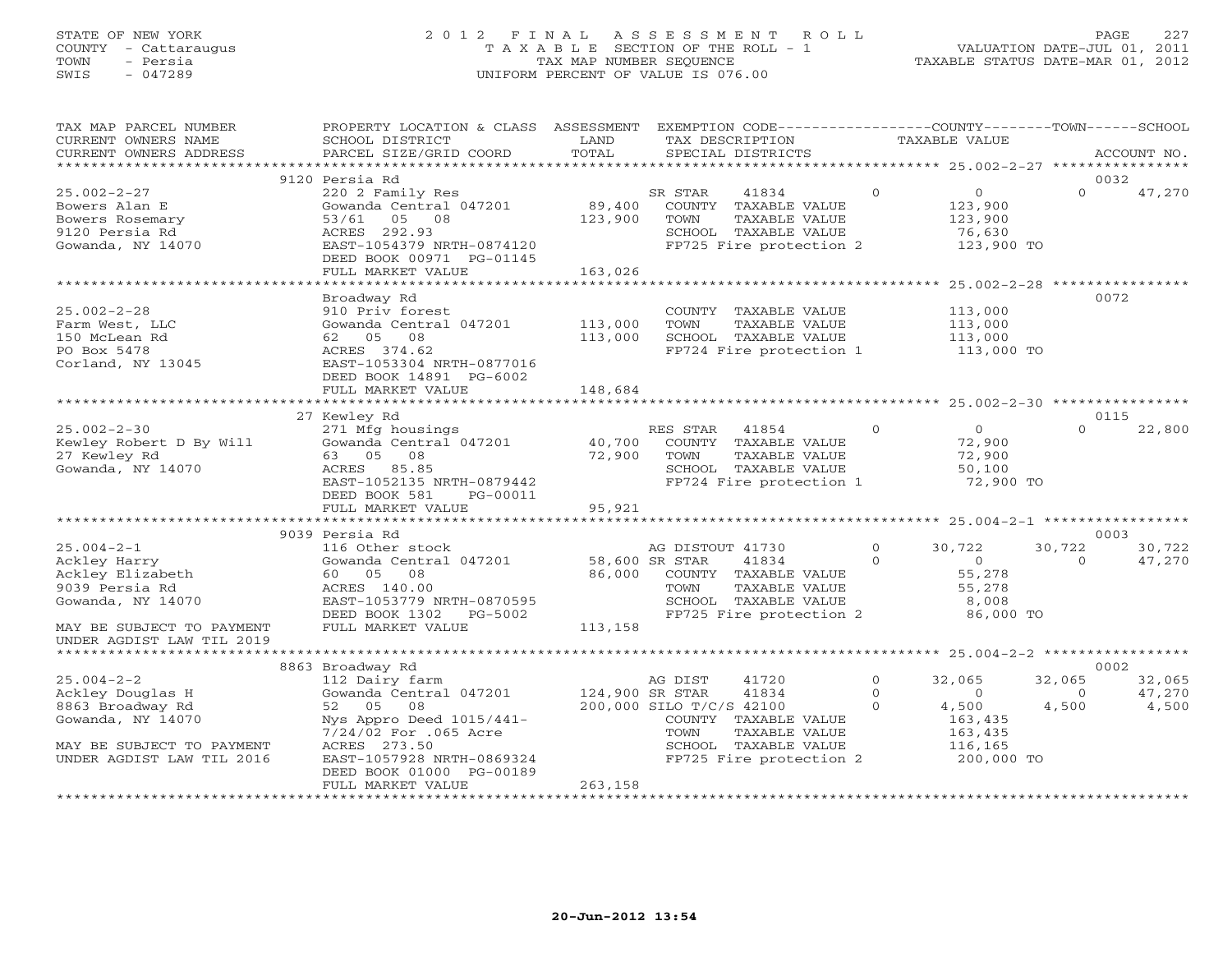# STATE OF NEW YORK 2 0 1 2 F I N A L A S S E S S M E N T R O L L PAGE 227 COUNTY - Cattaraugus T A X A B L E SECTION OF THE ROLL - 1 VALUATION DATE-JUL 01, 2011 TOWN - Persia TAX MAP NUMBER SEQUENCE TAXABLE STATUS DATE-MAR 01, 2012 SWIS - 047289 UNIFORM PERCENT OF VALUE IS 076.00UNIFORM PERCENT OF VALUE IS 076.00

| TAX MAP PARCEL NUMBER     | PROPERTY LOCATION & CLASS ASSESSMENT EXEMPTION CODE----------------COUNTY-------TOWN------SCHOOL |                  |                                               |          |                  |          |             |
|---------------------------|--------------------------------------------------------------------------------------------------|------------------|-----------------------------------------------|----------|------------------|----------|-------------|
| CURRENT OWNERS NAME       | SCHOOL DISTRICT                                                                                  | LAND             | TAX DESCRIPTION                               |          | TAXABLE VALUE    |          |             |
| CURRENT OWNERS ADDRESS    | PARCEL SIZE/GRID COORD                                                                           | TOTAL            | SPECIAL DISTRICTS                             |          |                  |          | ACCOUNT NO. |
|                           |                                                                                                  |                  |                                               |          |                  |          |             |
|                           | 9120 Persia Rd                                                                                   |                  |                                               |          |                  | 0032     |             |
| $25.002 - 2 - 27$         | 220 2 Family Res                                                                                 |                  | SR STAR<br>41834                              | $\Omega$ | $\overline{0}$   | $\Omega$ | 47,270      |
| Bowers Alan E             | Gowanda Central 047201                                                                           | 89,400           | COUNTY TAXABLE VALUE                          |          | 123,900          |          |             |
| Bowers Rosemary           | 53/61 05 08                                                                                      | 123,900          | TOWN<br>TAXABLE VALUE                         |          | 123,900          |          |             |
| 9120 Persia Rd            | ACRES 292.93                                                                                     |                  | SCHOOL TAXABLE VALUE                          |          | 76,630           |          |             |
| Gowanda, NY 14070         | EAST-1054379 NRTH-0874120                                                                        |                  | FP725 Fire protection 2                       |          | 123,900 TO       |          |             |
|                           | DEED BOOK 00971 PG-01145                                                                         |                  |                                               |          |                  |          |             |
|                           | FULL MARKET VALUE                                                                                | 163,026          |                                               |          |                  |          |             |
|                           |                                                                                                  |                  |                                               |          |                  |          |             |
|                           | Broadway Rd                                                                                      |                  |                                               |          |                  | 0072     |             |
| $25.002 - 2 - 28$         | 910 Priv forest                                                                                  |                  | COUNTY TAXABLE VALUE                          |          | 113,000          |          |             |
| Farm West, LLC            | Gowanda Central 047201 113,000                                                                   |                  | TAXABLE VALUE<br>TOWN                         |          | 113,000          |          |             |
| 150 McLean Rd             | 62 05 08                                                                                         | 113,000          | SCHOOL TAXABLE VALUE                          |          | 113,000          |          |             |
| PO Box 5478               | ACRES 374.62                                                                                     |                  | FP724 Fire protection 1                       |          | 113,000 TO       |          |             |
| Corland, NY 13045         | EAST-1053304 NRTH-0877016                                                                        |                  |                                               |          |                  |          |             |
|                           | DEED BOOK 14891 PG-6002                                                                          |                  |                                               |          |                  |          |             |
|                           | FULL MARKET VALUE                                                                                | 148,684          |                                               |          |                  |          |             |
|                           |                                                                                                  |                  |                                               |          |                  | 0115     |             |
|                           | 27 Kewley Rd                                                                                     |                  |                                               | $\Omega$ | $\overline{0}$   | $\Omega$ |             |
| $25.002 - 2 - 30$         | 271 Mfg housings                                                                                 |                  | RES STAR<br>41854                             |          |                  |          | 22,800      |
| Kewley Robert D By Will   | Gowanda Central 047201<br>63 05<br>08                                                            | 40,700<br>72,900 | COUNTY TAXABLE VALUE<br>TAXABLE VALUE<br>TOWN |          | 72,900<br>72,900 |          |             |
| 27 Kewley Rd              |                                                                                                  |                  |                                               |          |                  |          |             |
| Gowanda, NY 14070         | ACRES<br>85.85<br>EAST-1052135 NRTH-0879442                                                      |                  | SCHOOL TAXABLE VALUE                          |          | 50,100           |          |             |
|                           |                                                                                                  |                  | FP724 Fire protection 1                       |          | 72,900 TO        |          |             |
|                           | DEED BOOK 581<br>PG-00011                                                                        | 95,921           |                                               |          |                  |          |             |
|                           | FULL MARKET VALUE                                                                                |                  |                                               |          |                  |          |             |
|                           | 9039 Persia Rd                                                                                   |                  |                                               |          |                  | 0003     |             |
| $25.004 - 2 - 1$          | 116 Other stock                                                                                  |                  | AG DISTOUT 41730                              | $\circ$  | 30,722           | 30,722   | 30,722      |
| Ackley Harry              | Gowanda Central 047201                                                                           |                  | 58,600 SR STAR<br>41834                       | $\Omega$ | $\sim$ 0 $\sim$  | $\Omega$ | 47,270      |
| Ackley Elizabeth          | 60  05  08                                                                                       |                  | 86,000 COUNTY TAXABLE VALUE                   |          | 55,278           |          |             |
| 9039 Persia Rd            | ACRES 140.00                                                                                     |                  | <b>TOWN</b><br>TAXABLE VALUE                  |          | 55,278           |          |             |
| Gowanda, NY 14070         | EAST-1053779 NRTH-0870595                                                                        |                  | SCHOOL TAXABLE VALUE                          |          | 8,008            |          |             |
|                           | DEED BOOK 1302<br>PG-5002                                                                        |                  | FP725 Fire protection 2                       |          | 86,000 TO        |          |             |
| MAY BE SUBJECT TO PAYMENT | FULL MARKET VALUE                                                                                | 113,158          |                                               |          |                  |          |             |
| UNDER AGDIST LAW TIL 2019 |                                                                                                  |                  |                                               |          |                  |          |             |
|                           |                                                                                                  |                  |                                               |          |                  |          |             |
|                           | 8863 Broadway Rd                                                                                 |                  |                                               |          |                  | 0002     |             |
| $25.004 - 2 - 2$          | 112 Dairy farm                                                                                   |                  | 41720<br>AG DIST                              | $\circ$  | 32,065           | 32,065   | 32,065      |
| Ackley Douglas H          | Gowanda Central 047201                                                                           | 124,900 SR STAR  | 41834                                         | $\Omega$ | $\overline{0}$   | $\Omega$ | 47,270      |
| 8863 Broadway Rd          | 52 05<br>08                                                                                      |                  | 200,000 SILO T/C/S 42100                      | $\Omega$ | 4,500            | 4,500    | 4,500       |
| Gowanda, NY 14070         | Nys Appro Deed 1015/441-                                                                         |                  | COUNTY TAXABLE VALUE                          |          | 163,435          |          |             |
|                           | 7/24/02 For .065 Acre                                                                            |                  | TOWN<br>TAXABLE VALUE                         |          | 163,435          |          |             |
| MAY BE SUBJECT TO PAYMENT | ACRES 273.50                                                                                     |                  | SCHOOL TAXABLE VALUE                          |          | 116,165          |          |             |
| UNDER AGDIST LAW TIL 2016 | EAST-1057928 NRTH-0869324                                                                        |                  | FP725 Fire protection 2                       |          | 200,000 TO       |          |             |
|                           | DEED BOOK 01000 PG-00189                                                                         |                  |                                               |          |                  |          |             |
|                           | FULL MARKET VALUE                                                                                | 263,158          |                                               |          |                  |          |             |
|                           |                                                                                                  |                  |                                               |          |                  |          |             |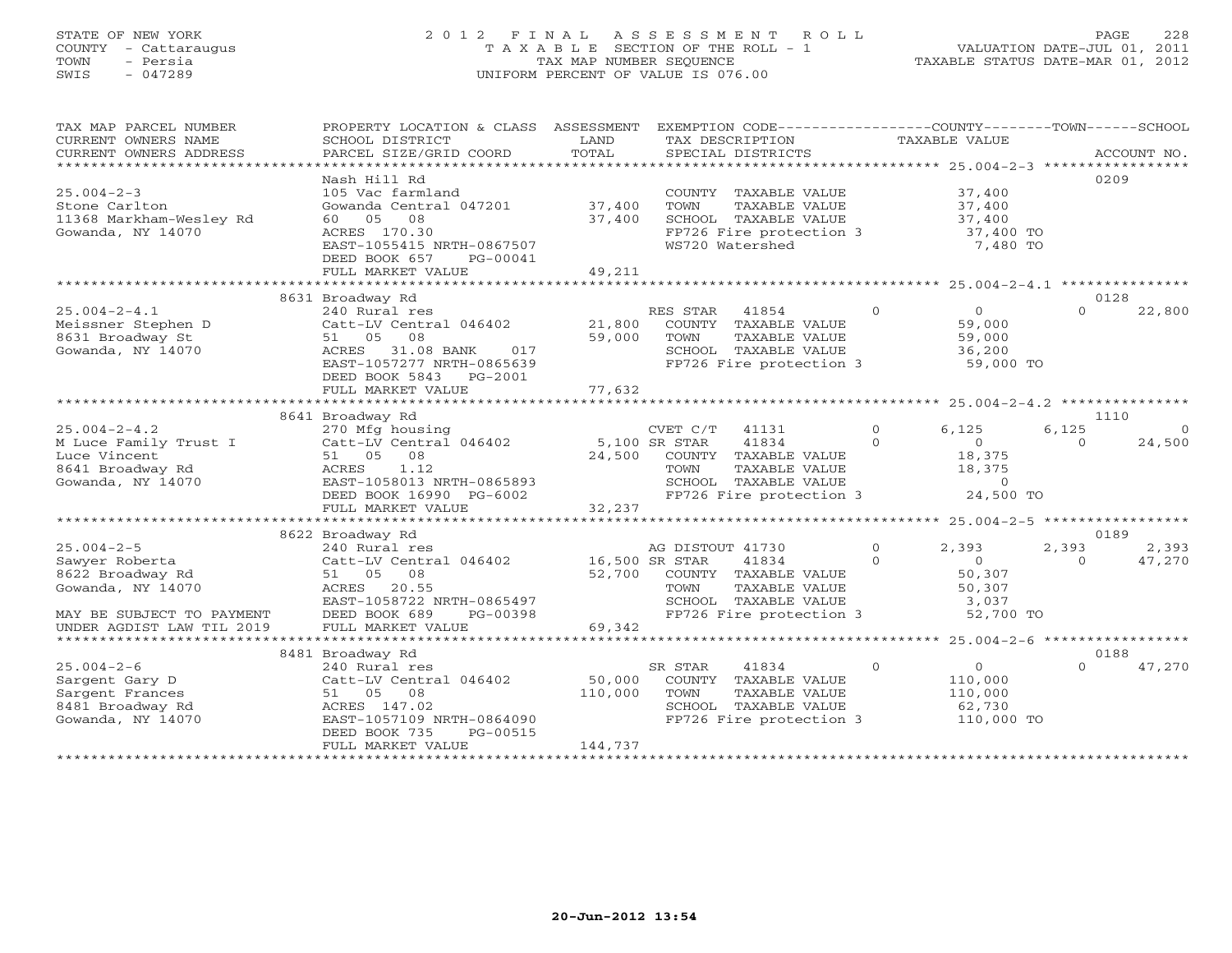# STATE OF NEW YORK 2 0 1 2 F I N A L A S S E S S M E N T R O L L PAGE 228 COUNTY - Cattaraugus T A X A B L E SECTION OF THE ROLL - 1 VALUATION DATE-JUL 01, 2011 TOWN - Persia TAX MAP NUMBER SEQUENCE TAXABLE STATUS DATE-MAR 01, 2012 SWIS - 047289 UNIFORM PERCENT OF VALUE IS 076.00UNIFORM PERCENT OF VALUE IS 076.00

| TAX MAP PARCEL NUMBER                                                                                                                                                                                            | PROPERTY LOCATION & CLASS ASSESSMENT                                                                                                                                                                                                                                              |         | EXEMPTION CODE-----------------COUNTY-------TOWN------SCHOOL                          |                        |                |                                  |                |
|------------------------------------------------------------------------------------------------------------------------------------------------------------------------------------------------------------------|-----------------------------------------------------------------------------------------------------------------------------------------------------------------------------------------------------------------------------------------------------------------------------------|---------|---------------------------------------------------------------------------------------|------------------------|----------------|----------------------------------|----------------|
| CURRENT OWNERS NAME                                                                                                                                                                                              | SCHOOL DISTRICT                                                                                                                                                                                                                                                                   | LAND    | TAX DESCRIPTION                                                                       | TAXABLE VALUE          |                |                                  |                |
| CURRENT OWNERS ADDRESS                                                                                                                                                                                           |                                                                                                                                                                                                                                                                                   |         |                                                                                       |                        |                |                                  |                |
| ******************************                                                                                                                                                                                   |                                                                                                                                                                                                                                                                                   |         |                                                                                       |                        |                |                                  |                |
|                                                                                                                                                                                                                  | Nash Hill Rd                                                                                                                                                                                                                                                                      |         |                                                                                       |                        |                | 0209                             |                |
| $25.004 - 2 - 3$                                                                                                                                                                                                 | 105 Vac farmland<br>Gowanda Central 047201 37,400                                                                                                                                                                                                                                 |         | COUNTY TAXABLE VALUE 37,400                                                           |                        |                |                                  |                |
| Stone Carlton                                                                                                                                                                                                    |                                                                                                                                                                                                                                                                                   |         |                                                                                       |                        |                |                                  |                |
| 11368 Markham-Wesley Rd                                                                                                                                                                                          |                                                                                                                                                                                                                                                                                   |         |                                                                                       |                        |                |                                  |                |
| Gowanda, NY 14070                                                                                                                                                                                                |                                                                                                                                                                                                                                                                                   |         |                                                                                       |                        |                |                                  |                |
|                                                                                                                                                                                                                  | Gowanda Central 047201 37,400 TOWN TAXABLE VALUE 37,400<br>60 05 08 37,400 SCHOOL TAXABLE VALUE 37,400<br>ACRES 170.30 FP726 Fire protection 3 37,400 TO<br>EAST-1055415 NRTH-0867507 WS720 Watershed 7,480 TO                                                                    |         |                                                                                       |                        |                |                                  |                |
|                                                                                                                                                                                                                  | DEED BOOK 657<br>PG-00041                                                                                                                                                                                                                                                         |         |                                                                                       |                        |                |                                  |                |
|                                                                                                                                                                                                                  | FULL MARKET VALUE                                                                                                                                                                                                                                                                 | 49,211  |                                                                                       |                        |                |                                  |                |
|                                                                                                                                                                                                                  |                                                                                                                                                                                                                                                                                   |         |                                                                                       |                        |                |                                  |                |
|                                                                                                                                                                                                                  | 8631 Broadway Rd                                                                                                                                                                                                                                                                  |         |                                                                                       |                        |                | 0128                             |                |
| $25.004 - 2 - 4.1$                                                                                                                                                                                               | 240 Rural res<br>Catt-LV Central 046402 21,800 COUNTY TAXABLE VALUE 59,000                                                                                                                                                                                                        |         |                                                                                       |                        |                | $\Omega$                         | 22,800         |
|                                                                                                                                                                                                                  |                                                                                                                                                                                                                                                                                   |         |                                                                                       |                        |                |                                  |                |
|                                                                                                                                                                                                                  |                                                                                                                                                                                                                                                                                   |         |                                                                                       |                        |                |                                  |                |
| Gowanda, NY 14070                                                                                                                                                                                                |                                                                                                                                                                                                                                                                                   |         | TAXABLE VALUE<br>TAXABLE VALUE 59,000<br>TAXABLE VALUE 36,200<br>SCHOOL TAXABLE VALUE |                        |                |                                  |                |
|                                                                                                                                                                                                                  | 59,000 TOWN<br>ACRES 31.08 BANK 017 59,000 TOWN<br>EAST-1057277 NRTH-0865639 FP726                                                                                                                                                                                                |         | FP726 Fire protection 3 59,000 TO                                                     |                        |                |                                  |                |
|                                                                                                                                                                                                                  | DEED BOOK 5843 PG-2001                                                                                                                                                                                                                                                            |         |                                                                                       |                        |                |                                  |                |
|                                                                                                                                                                                                                  |                                                                                                                                                                                                                                                                                   |         |                                                                                       |                        |                |                                  |                |
|                                                                                                                                                                                                                  |                                                                                                                                                                                                                                                                                   |         |                                                                                       |                        |                |                                  |                |
|                                                                                                                                                                                                                  | 8641 Broadway Rd                                                                                                                                                                                                                                                                  |         |                                                                                       |                        |                | 1110                             |                |
|                                                                                                                                                                                                                  |                                                                                                                                                                                                                                                                                   |         | CVET C/T 41131 0 6,125                                                                |                        |                | 6,125                            | $\overline{0}$ |
| 25.004-2-4.2<br>M Luce Family Trust I att-LV Central 046402 5,100 SR STAR<br>Luce Vincent 51 05 08 24,500 COUNTY T<br>8641 Broadway Rd ACRES 1.12 TOWN T<br>Gowanda, NY 14070 EAST-1058013 NRTH-0865893 SCHOOL T |                                                                                                                                                                                                                                                                                   |         |                                                                                       |                        |                | $\overline{0}$                   | 24,500         |
|                                                                                                                                                                                                                  |                                                                                                                                                                                                                                                                                   |         |                                                                                       |                        |                |                                  |                |
|                                                                                                                                                                                                                  |                                                                                                                                                                                                                                                                                   |         |                                                                                       |                        |                |                                  |                |
|                                                                                                                                                                                                                  |                                                                                                                                                                                                                                                                                   |         |                                                                                       |                        |                |                                  |                |
|                                                                                                                                                                                                                  |                                                                                                                                                                                                                                                                                   |         |                                                                                       |                        |                |                                  |                |
|                                                                                                                                                                                                                  |                                                                                                                                                                                                                                                                                   |         |                                                                                       |                        |                |                                  |                |
|                                                                                                                                                                                                                  | $\begin{tabular}{lllllllllllllllllllll} \hline 51 & 05 & 08 & 04.425 & 0 & 04.404 & 04.404 & 04.404 & 04.404 & 04.404 & 04.404 & 04.404 & 04.404 & 04.404 & 04.404 & 04.404 & 04.404 & 04.404 & 04.404 & 04.404 & 04.404 & 04.404 & 04.404 & 04.404 & 04.404 & 04.404 & 04.404 &$ |         |                                                                                       |                        |                |                                  |                |
|                                                                                                                                                                                                                  |                                                                                                                                                                                                                                                                                   |         |                                                                                       |                        |                |                                  |                |
|                                                                                                                                                                                                                  | 8622 Broadway Rd                                                                                                                                                                                                                                                                  |         |                                                                                       |                        |                | 0189                             |                |
| $25.004 - 2 - 5$                                                                                                                                                                                                 | 240 Rural res                                                                                                                                                                                                                                                                     |         | AG DISTOUT 41730                                                                      | $\Omega$               | 2,393          | 2,393 2,393                      |                |
|                                                                                                                                                                                                                  |                                                                                                                                                                                                                                                                                   |         |                                                                                       |                        |                | $\begin{array}{c} 0 \end{array}$ | 47,270         |
|                                                                                                                                                                                                                  |                                                                                                                                                                                                                                                                                   |         |                                                                                       |                        |                |                                  |                |
|                                                                                                                                                                                                                  |                                                                                                                                                                                                                                                                                   |         |                                                                                       |                        |                |                                  |                |
|                                                                                                                                                                                                                  |                                                                                                                                                                                                                                                                                   |         |                                                                                       |                        |                |                                  |                |
|                                                                                                                                                                                                                  |                                                                                                                                                                                                                                                                                   |         |                                                                                       |                        |                |                                  |                |
|                                                                                                                                                                                                                  |                                                                                                                                                                                                                                                                                   |         |                                                                                       |                        |                |                                  |                |
|                                                                                                                                                                                                                  |                                                                                                                                                                                                                                                                                   |         |                                                                                       |                        |                |                                  |                |
|                                                                                                                                                                                                                  | 8481 Broadway Rd                                                                                                                                                                                                                                                                  |         |                                                                                       |                        |                | 0188                             |                |
| $25.004 - 2 - 6$                                                                                                                                                                                                 | 240 Rural res                                                                                                                                                                                                                                                                     |         | $\overline{0}$<br>SR STAR<br>41834                                                    |                        | $\overline{0}$ | $\Omega$                         | 47,270         |
| Sargent Gary D                                                                                                                                                                                                   |                                                                                                                                                                                                                                                                                   |         |                                                                                       | $110,000$<br>$110,000$ |                |                                  |                |
| Sargent Frances                                                                                                                                                                                                  | Catt-LV Central 046402<br>50,000 COUNTY TAXABLE VALUE<br>51 05 08 110,000 TOWN TAXABLE VALUE<br>ACRES 147.02 SCHOOL TAXABLE VALUE<br>51 05 08                                                                                                                                     |         | TAXABLE VALUE                                                                         |                        |                |                                  |                |
| sargenc rrunces<br>8481 Broadway Rd<br>Gowanda, NY 14070                                                                                                                                                         | ACRES 147.02<br>EAST-1057109 NRTH-0864090                                                                                                                                                                                                                                         |         | SCHOOL TAXABLE VALUE                                                                  |                        | 62,730         |                                  |                |
|                                                                                                                                                                                                                  |                                                                                                                                                                                                                                                                                   |         | FP726 Fire protection 3                                                               |                        | 110,000 TO     |                                  |                |
|                                                                                                                                                                                                                  | DEED BOOK 735<br>PG-00515                                                                                                                                                                                                                                                         |         |                                                                                       |                        |                |                                  |                |
|                                                                                                                                                                                                                  | FULL MARKET VALUE                                                                                                                                                                                                                                                                 | 144,737 |                                                                                       |                        |                |                                  |                |
|                                                                                                                                                                                                                  |                                                                                                                                                                                                                                                                                   |         |                                                                                       |                        |                |                                  |                |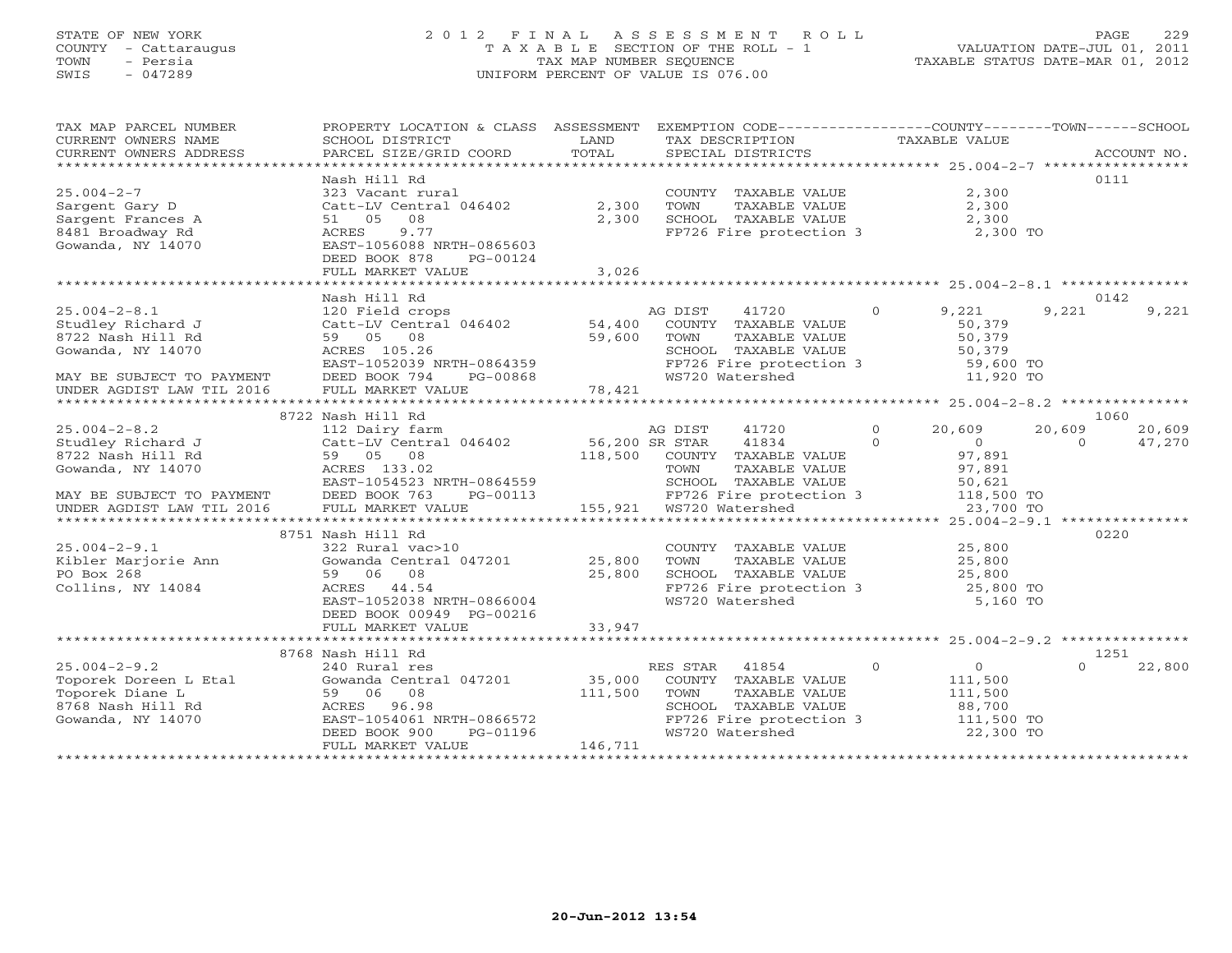# STATE OF NEW YORK 2 0 1 2 F I N A L A S S E S S M E N T R O L L PAGE 229 COUNTY - Cattaraugus T A X A B L E SECTION OF THE ROLL - 1 VALUATION DATE-JUL 01, 2011 TOWN - Persia TAX MAP NUMBER SEQUENCE TAXABLE STATUS DATE-MAR 01, 2012 SWIS - 047289 UNIFORM PERCENT OF VALUE IS 076.00UNIFORM PERCENT OF VALUE IS 076.00

| TAX MAP PARCEL NUMBER<br>CURRENT OWNERS NAME                                                                          | PROPERTY LOCATION & CLASS ASSESSMENT<br>SCHOOL DISTRICT                                                                                                                  | LAND                         | EXEMPTION CODE-----------------COUNTY-------TOWN------SCHOOL<br>TAX DESCRIPTION                                                          | TAXABLE VALUE                                                                         |                          |
|-----------------------------------------------------------------------------------------------------------------------|--------------------------------------------------------------------------------------------------------------------------------------------------------------------------|------------------------------|------------------------------------------------------------------------------------------------------------------------------------------|---------------------------------------------------------------------------------------|--------------------------|
| CURRENT OWNERS ADDRESS                                                                                                | PARCEL SIZE/GRID COORD                                                                                                                                                   | TOTAL                        | SPECIAL DISTRICTS                                                                                                                        |                                                                                       | ACCOUNT NO.              |
| ***********************                                                                                               |                                                                                                                                                                          |                              |                                                                                                                                          |                                                                                       |                          |
| $25.004 - 2 - 7$<br>Sargent Gary D<br>Sargent Frances A<br>8481 Broadway Rd<br>Gowanda, NY 14070                      | Nash Hill Rd<br>323 Vacant rural<br>Catt-LV Central 046402<br>08<br>51 05<br>9.77<br>ACRES<br>EAST-1056088 NRTH-0865603<br>DEED BOOK 878<br>PG-00124                     | 2,300<br>2,300               | COUNTY TAXABLE VALUE<br>TOWN<br>TAXABLE VALUE<br>SCHOOL TAXABLE VALUE<br>FP726 Fire protection 3 2,300 TO                                | 2,300<br>2,300<br>2,300                                                               | 0111                     |
|                                                                                                                       | FULL MARKET VALUE                                                                                                                                                        | 3,026                        |                                                                                                                                          |                                                                                       |                          |
|                                                                                                                       |                                                                                                                                                                          |                              |                                                                                                                                          |                                                                                       |                          |
| $25.004 - 2 - 8.1$<br>Studley Richard J<br>8722 Nash Hill Rd<br>Gowanda, NY 14070<br>MAY BE SUBJECT TO PAYMENT        | Nash Hill Rd<br>120 Field crops<br>Catt-LV Central 046402<br>59 05 08<br>ACRES 105.26<br>EAST-1052039 NRTH-0864359<br>DEED BOOK 794<br>PG-00868                          | 54,400<br>59,600             | AG DIST<br>41720<br>COUNTY TAXABLE VALUE<br>TAXABLE VALUE<br>TOWN<br>SCHOOL TAXABLE VALUE<br>FP726 Fire protection 3<br>WS720 Watershed  | 9,221<br>$\circ$<br>50,379<br>50,379<br>50,379<br>59,600 TO<br>11,920 TO              | 0142<br>9,221<br>9,221   |
| UNDER AGDIST LAW TIL 2016                                                                                             | FULL MARKET VALUE                                                                                                                                                        | 78,421                       |                                                                                                                                          |                                                                                       |                          |
|                                                                                                                       |                                                                                                                                                                          |                              |                                                                                                                                          |                                                                                       |                          |
| $25.004 - 2 - 8.2$                                                                                                    | 8722 Nash Hill Rd<br>112 Dairy farm                                                                                                                                      |                              | AG DIST<br>41720                                                                                                                         | $\Omega$<br>20,609                                                                    | 1060<br>20,609<br>20,609 |
| Studley Richard J<br>8722 Nash Hill Rd<br>Gowanda, NY 14070<br>MAY BE SUBJECT TO PAYMENT<br>UNDER AGDIST LAW TIL 2016 | Catt-LV Central 046402<br>59 05 08<br>ACRES 133.02<br>EAST-1054523 NRTH-0864559<br>DEED BOOK 763<br>PG-00113<br>FULL MARKET VALUE                                        | 56,200 SR STAR<br>118,500    | 41834<br>COUNTY TAXABLE VALUE<br>TAXABLE VALUE<br>TOWN<br>SCHOOL TAXABLE VALUE<br>FP726 Fire protection 3<br>155,921 WS720 Watershed     | $\Omega$<br>$\overline{0}$<br>97,891<br>97,891<br>50,621<br>118,500 TO<br>23,700 TO   | 47,270<br>$\Omega$       |
|                                                                                                                       |                                                                                                                                                                          |                              |                                                                                                                                          |                                                                                       |                          |
| $25.004 - 2 - 9.1$<br>Kibler Marjorie Ann<br>PO Box 268<br>Collins, NY 14084                                          | 8751 Nash Hill Rd<br>322 Rural vac>10<br>Gowanda Central 047201<br>59 06 08<br>ACRES 44.54<br>EAST-1052038 NRTH-0866004<br>DEED BOOK 00949 PG-00216<br>FULL MARKET VALUE | 25,800<br>25,800<br>33,947   | COUNTY TAXABLE VALUE<br>TOWN<br>TAXABLE VALUE<br>SCHOOL TAXABLE VALUE<br>FP726 Fire protection 3<br>WS720 Watershed                      | 25,800<br>25,800<br>25,800<br>25,800 TO<br>5,160 TO                                   | 0220                     |
|                                                                                                                       |                                                                                                                                                                          |                              |                                                                                                                                          |                                                                                       |                          |
| $25.004 - 2 - 9.2$<br>Toporek Doreen L Etal<br>Toporek Diane L<br>8768 Nash Hill Rd<br>Gowanda, NY 14070              | 8768 Nash Hill Rd<br>240 Rural res<br>Gowanda Central 047201<br>59 06 08<br>ACRES 96.98<br>EAST-1054061 NRTH-0866572<br>DEED BOOK 900<br>PG-01196<br>FULL MARKET VALUE   | 35,000<br>111,500<br>146,711 | RES STAR<br>41854<br>COUNTY TAXABLE VALUE<br>TOWN<br>TAXABLE VALUE<br>SCHOOL TAXABLE VALUE<br>FP726 Fire protection 3<br>WS720 Watershed | $\Omega$<br>$\overline{O}$<br>111,500<br>111,500<br>88,700<br>111,500 TO<br>22,300 TO | 1251<br>$\cap$<br>22,800 |
|                                                                                                                       |                                                                                                                                                                          |                              |                                                                                                                                          |                                                                                       |                          |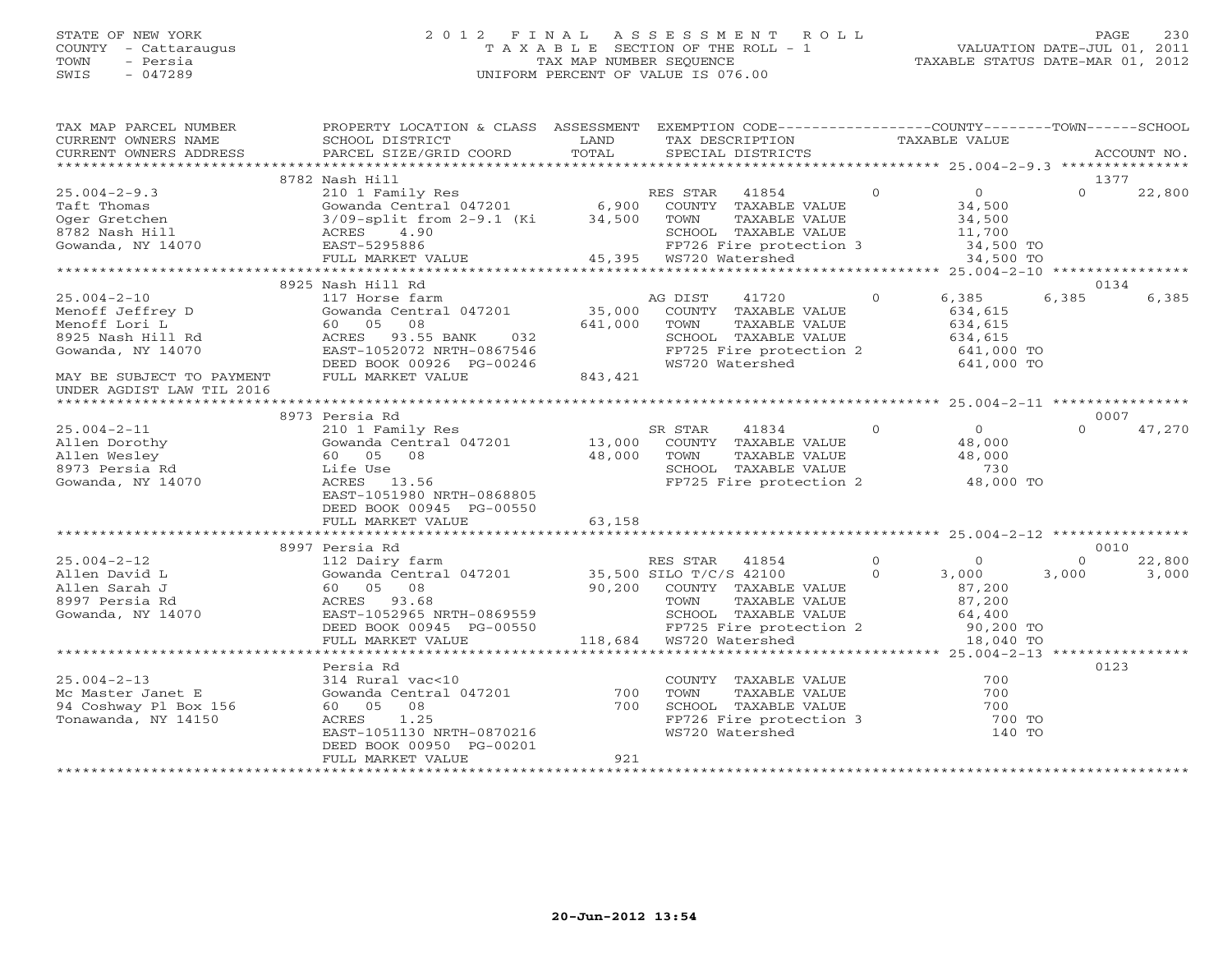# STATE OF NEW YORK 2 0 1 2 F I N A L A S S E S S M E N T R O L L PAGE 230 COUNTY - Cattaraugus T A X A B L E SECTION OF THE ROLL - 1 VALUATION DATE-JUL 01, 2011 TOWN - Persia TAX MAP NUMBER SEQUENCE TAXABLE STATUS DATE-MAR 01, 2012 SWIS - 047289 UNIFORM PERCENT OF VALUE IS 076.00UNIFORM PERCENT OF VALUE IS 076.00

| TAX MAP PARCEL NUMBER<br>CURRENT OWNERS NAME                        | PROPERTY LOCATION & CLASS ASSESSMENT<br>SCHOOL DISTRICT<br>PARCEL SIZE/GRID COORD                                                                                                                 | LAND<br>TOTAL                                                                                                                                                                                                                                                                                                                                                                                                                   | EXEMPTION CODE-----------------COUNTY-------TOWN------SCHOOL<br>TAX DESCRIPTION              |               | TAXABLE VALUE  |                          |          |             |
|---------------------------------------------------------------------|---------------------------------------------------------------------------------------------------------------------------------------------------------------------------------------------------|---------------------------------------------------------------------------------------------------------------------------------------------------------------------------------------------------------------------------------------------------------------------------------------------------------------------------------------------------------------------------------------------------------------------------------|----------------------------------------------------------------------------------------------|---------------|----------------|--------------------------|----------|-------------|
| CURRENT OWNERS ADDRESS                                              |                                                                                                                                                                                                   |                                                                                                                                                                                                                                                                                                                                                                                                                                 | SPECIAL DISTRICTS                                                                            |               |                |                          |          | ACCOUNT NO. |
|                                                                     | 8782 Nash Hill                                                                                                                                                                                    |                                                                                                                                                                                                                                                                                                                                                                                                                                 |                                                                                              |               |                |                          |          | 1377        |
| $25.004 - 2 - 9.3$                                                  | 210 1 Family Res                                                                                                                                                                                  |                                                                                                                                                                                                                                                                                                                                                                                                                                 | RES STAR 41854                                                                               |               | $\overline{0}$ | $\sim$ 0 $\sim$ 0 $\sim$ | $\Omega$ | 22,800      |
|                                                                     | Gowanda Central 047201 $\begin{array}{cccc} 6,900 & \text{COUNTY} & \text{TAXABLE VALUE} \\ 3/09-\text{split from } 2-9.1 & (\text{Ki} & 34,500 & \text{TOWN} & \text{TAXABLE VALUE} \end{array}$ |                                                                                                                                                                                                                                                                                                                                                                                                                                 |                                                                                              |               | 34,500         |                          |          |             |
| Taft Thomas<br>Oger Gretchen<br>8782 Nash Hill<br>Gowanda, NY 14070 |                                                                                                                                                                                                   |                                                                                                                                                                                                                                                                                                                                                                                                                                 |                                                                                              |               |                | 34,500                   |          |             |
|                                                                     | ACRES 4.90                                                                                                                                                                                        |                                                                                                                                                                                                                                                                                                                                                                                                                                 |                                                                                              |               |                |                          |          |             |
|                                                                     | EAST-5295886                                                                                                                                                                                      |                                                                                                                                                                                                                                                                                                                                                                                                                                 |                                                                                              |               |                | 11,700<br>34,500 TO      |          |             |
|                                                                     | FULL MARKET VALUE                                                                                                                                                                                 |                                                                                                                                                                                                                                                                                                                                                                                                                                 | SCHOOL TAXABLE VALUE<br>FP726 Fire protection 3<br>WS720 Watershed<br>45,395 WS720 Watershed |               |                | 34,500 TO                |          |             |
|                                                                     |                                                                                                                                                                                                   |                                                                                                                                                                                                                                                                                                                                                                                                                                 |                                                                                              |               |                |                          |          |             |
|                                                                     | 8925 Nash Hill Rd                                                                                                                                                                                 |                                                                                                                                                                                                                                                                                                                                                                                                                                 |                                                                                              |               |                |                          |          | 0134        |
| $25.004 - 2 - 10$                                                   | 117 Horse farm                                                                                                                                                                                    |                                                                                                                                                                                                                                                                                                                                                                                                                                 | AG DIST                                                                                      | 41720         | $\overline{0}$ | 6,385                    | 6,385    | 6,385       |
| Menoff Jeffrey D                                                    | Gowanda Central 047201                                                                                                                                                                            |                                                                                                                                                                                                                                                                                                                                                                                                                                 | 35,000 COUNTY TAXABLE VALUE                                                                  |               |                | 634,615                  |          |             |
| Menoff Lori L                                                       | 60 05<br>08                                                                                                                                                                                       | 641,000                                                                                                                                                                                                                                                                                                                                                                                                                         | TOWN                                                                                         | TAXABLE VALUE |                | 634,615                  |          |             |
| 8925 Nash Hill Rd                                                   | 032<br>ACRES 93.55 BANK                                                                                                                                                                           |                                                                                                                                                                                                                                                                                                                                                                                                                                 | SCHOOL TAXABLE VALUE                                                                         |               |                | 634,615                  |          |             |
| Gowanda, NY 14070                                                   | EAST-1052072 NRTH-0867546                                                                                                                                                                         |                                                                                                                                                                                                                                                                                                                                                                                                                                 | FP725 Fire protection 2                                                                      |               |                | 641,000 TO               |          |             |
|                                                                     | DEED BOOK 00926 PG-00246                                                                                                                                                                          |                                                                                                                                                                                                                                                                                                                                                                                                                                 | WS720 Watershed                                                                              |               |                | 641,000 TO               |          |             |
| MAY BE SUBJECT TO PAYMENT                                           | FULL MARKET VALUE                                                                                                                                                                                 | 843,421                                                                                                                                                                                                                                                                                                                                                                                                                         |                                                                                              |               |                |                          |          |             |
| UNDER AGDIST LAW TIL 2016                                           |                                                                                                                                                                                                   |                                                                                                                                                                                                                                                                                                                                                                                                                                 |                                                                                              |               |                |                          |          |             |
|                                                                     |                                                                                                                                                                                                   |                                                                                                                                                                                                                                                                                                                                                                                                                                 |                                                                                              |               |                |                          |          |             |
|                                                                     | 8973 Persia Rd                                                                                                                                                                                    |                                                                                                                                                                                                                                                                                                                                                                                                                                 |                                                                                              |               |                |                          |          | 0007        |
| $25.004 - 2 - 11$                                                   | 210 1 Family Res                                                                                                                                                                                  |                                                                                                                                                                                                                                                                                                                                                                                                                                 | SR STAR<br>41834                                                                             |               | $\Omega$       | $\Omega$                 | $\Omega$ | 47,270      |
| Allen Dorothy                                                       | Gowanda Central 047201 13,000 COUNTY TAXABLE VALUE                                                                                                                                                |                                                                                                                                                                                                                                                                                                                                                                                                                                 |                                                                                              |               |                | 48,000                   |          |             |
| Allen Wesley                                                        | 60 05 08                                                                                                                                                                                          | 48,000                                                                                                                                                                                                                                                                                                                                                                                                                          | TOWN                                                                                         | TAXABLE VALUE |                | 48,000                   |          |             |
| 8973 Persia Rd                                                      | Life Use                                                                                                                                                                                          |                                                                                                                                                                                                                                                                                                                                                                                                                                 | SCHOOL TAXABLE VALUE<br>FP725 Fire protection 2                                              |               |                | 730                      |          |             |
| Gowanda, NY 14070                                                   | ACRES 13.56                                                                                                                                                                                       |                                                                                                                                                                                                                                                                                                                                                                                                                                 |                                                                                              |               |                | 48,000 TO                |          |             |
|                                                                     | EAST-1051980 NRTH-0868805                                                                                                                                                                         |                                                                                                                                                                                                                                                                                                                                                                                                                                 |                                                                                              |               |                |                          |          |             |
|                                                                     | DEED BOOK 00945 PG-00550                                                                                                                                                                          | 63,158                                                                                                                                                                                                                                                                                                                                                                                                                          |                                                                                              |               |                |                          |          |             |
|                                                                     | FULL MARKET VALUE                                                                                                                                                                                 |                                                                                                                                                                                                                                                                                                                                                                                                                                 |                                                                                              |               |                |                          |          |             |
|                                                                     | 8997 Persia Rd                                                                                                                                                                                    |                                                                                                                                                                                                                                                                                                                                                                                                                                 |                                                                                              |               |                |                          |          | 0010        |
| $25.004 - 2 - 12$                                                   | 112 Dairy farm                                                                                                                                                                                    |                                                                                                                                                                                                                                                                                                                                                                                                                                 | RES STAR 41854                                                                               |               | $\overline{0}$ | $\Omega$                 | $\Omega$ | 22,800      |
| Allen David L                                                       |                                                                                                                                                                                                   |                                                                                                                                                                                                                                                                                                                                                                                                                                 |                                                                                              |               | $\circ$        | 3,000                    | 3,000    | 3,000       |
| Allen Sarah J                                                       | Gowanda Central 047201 $35,500$ SILO T/C/S 42100<br>60 05 08 90,200 COUNTY TAXABLE VALUE                                                                                                          |                                                                                                                                                                                                                                                                                                                                                                                                                                 |                                                                                              |               |                | 87,200                   |          |             |
| 8997 Persia Rd                                                      | ACRES 93.68                                                                                                                                                                                       |                                                                                                                                                                                                                                                                                                                                                                                                                                 |                                                                                              |               |                | 87,200                   |          |             |
| Gowanda, NY 14070                                                   | EAST-1052965 NRTH-0869559                                                                                                                                                                         |                                                                                                                                                                                                                                                                                                                                                                                                                                 | TOWN TAXABLE VALUE<br>SCHOOL TAXABLE VALUE                                                   |               |                | 64,400                   |          |             |
|                                                                     | DEED BOOK 00945 PG-00550                                                                                                                                                                          | $\begin{array}{c}\n\mathbf{1} & \mathbf{1} & \mathbf{1} & \mathbf{1} & \mathbf{1} & \mathbf{1} & \mathbf{1} & \mathbf{1} & \mathbf{1} & \mathbf{1} & \mathbf{1} & \mathbf{1} & \mathbf{1} & \mathbf{1} & \mathbf{1} & \mathbf{1} & \mathbf{1} & \mathbf{1} & \mathbf{1} & \mathbf{1} & \mathbf{1} & \mathbf{1} & \mathbf{1} & \mathbf{1} & \mathbf{1} & \mathbf{1} & \mathbf{1} & \mathbf{1} & \mathbf{1} & \mathbf{1} & \math$ |                                                                                              |               |                | 90,200 TO                |          |             |
|                                                                     | FULL MARKET VALUE                                                                                                                                                                                 |                                                                                                                                                                                                                                                                                                                                                                                                                                 | FP725 Fire protection 2<br>WS720 Watershed<br>118,684 WS720 Watershed                        |               |                | 18,040 TO                |          |             |
|                                                                     |                                                                                                                                                                                                   |                                                                                                                                                                                                                                                                                                                                                                                                                                 |                                                                                              |               |                |                          |          |             |
|                                                                     | Persia Rd                                                                                                                                                                                         |                                                                                                                                                                                                                                                                                                                                                                                                                                 |                                                                                              |               |                |                          |          | 0123        |
| $25.004 - 2 - 13$                                                   | 314 Rural vac<10                                                                                                                                                                                  |                                                                                                                                                                                                                                                                                                                                                                                                                                 | COUNTY TAXABLE VALUE                                                                         |               |                | 700                      |          |             |
| Mc Master Janet E                                                   | Gowanda Central 047201                                                                                                                                                                            | 700                                                                                                                                                                                                                                                                                                                                                                                                                             | TOWN                                                                                         | TAXABLE VALUE |                | 700                      |          |             |
| 94 Coshway Pl Box 156                                               | 60 05 08                                                                                                                                                                                          | 700                                                                                                                                                                                                                                                                                                                                                                                                                             |                                                                                              |               |                | 700                      |          |             |
| Tonawanda, NY 14150                                                 | ACRES<br>1.25                                                                                                                                                                                     |                                                                                                                                                                                                                                                                                                                                                                                                                                 | SCHOOL TAXABLE VALUE<br>FP726 Fire protection 3                                              |               |                | 700 TO                   |          |             |
|                                                                     | EAST-1051130 NRTH-0870216                                                                                                                                                                         |                                                                                                                                                                                                                                                                                                                                                                                                                                 | WS720 Watershed                                                                              |               |                | 140 TO                   |          |             |
|                                                                     | DEED BOOK 00950 PG-00201                                                                                                                                                                          |                                                                                                                                                                                                                                                                                                                                                                                                                                 |                                                                                              |               |                |                          |          |             |
|                                                                     | FULL MARKET VALUE                                                                                                                                                                                 | 921                                                                                                                                                                                                                                                                                                                                                                                                                             |                                                                                              |               |                |                          |          |             |
|                                                                     |                                                                                                                                                                                                   |                                                                                                                                                                                                                                                                                                                                                                                                                                 |                                                                                              |               |                |                          |          |             |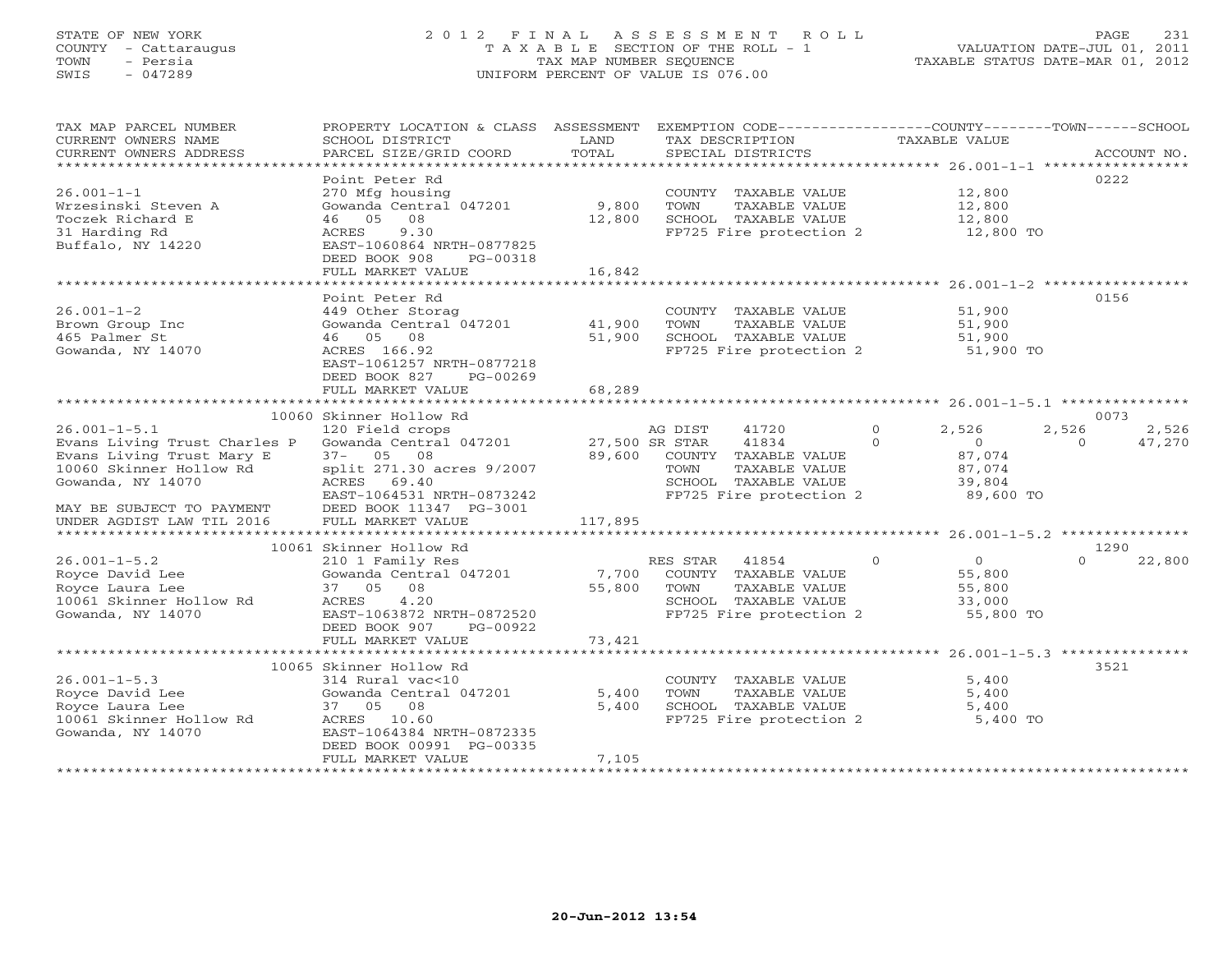# STATE OF NEW YORK 2 0 1 2 F I N A L A S S E S S M E N T R O L L PAGE 231 COUNTY - Cattaraugus T A X A B L E SECTION OF THE ROLL - 1 VALUATION DATE-JUL 01, 2011 TOWN - Persia TAX MAP NUMBER SEQUENCE TAXABLE STATUS DATE-MAR 01, 2012 SWIS - 047289 UNIFORM PERCENT OF VALUE IS 076.00UNIFORM PERCENT OF VALUE IS 076.00

| TAX MAP PARCEL NUMBER<br>CURRENT OWNERS NAME           | PROPERTY LOCATION & CLASS ASSESSMENT<br>SCHOOL DISTRICT                 | LAND    | EXEMPTION CODE-----------------COUNTY-------TOWN------SCHOOL<br>TAX DESCRIPTION |          | TAXABLE VALUE  |          |             |
|--------------------------------------------------------|-------------------------------------------------------------------------|---------|---------------------------------------------------------------------------------|----------|----------------|----------|-------------|
| CURRENT OWNERS ADDRESS<br>*******************          | PARCEL SIZE/GRID COORD                                                  | TOTAL   | SPECIAL DISTRICTS                                                               |          |                |          | ACCOUNT NO. |
| $26.001 - 1 - 1$                                       | Point Peter Rd<br>270 Mfg housing                                       |         | COUNTY TAXABLE VALUE                                                            |          | 12,800         | 0222     |             |
| Wrzesinski Steven A                                    | Gowanda Central 047201                                                  | 9,800   | TAXABLE VALUE<br>TOWN                                                           |          | 12,800         |          |             |
| Toczek Richard E                                       | 08<br>46 05                                                             | 12,800  | SCHOOL TAXABLE VALUE                                                            |          | 12,800         |          |             |
| 31 Harding Rd<br>Buffalo, NY 14220                     | 9.30<br>ACRES<br>EAST-1060864 NRTH-0877825<br>DEED BOOK 908<br>PG-00318 |         | FP725 Fire protection 2                                                         |          | 12,800 TO      |          |             |
|                                                        | FULL MARKET VALUE                                                       | 16,842  |                                                                                 |          |                |          |             |
|                                                        |                                                                         |         |                                                                                 |          |                |          |             |
|                                                        | Point Peter Rd                                                          |         |                                                                                 |          |                | 0156     |             |
| $26.001 - 1 - 2$                                       | 449 Other Storag                                                        |         | COUNTY TAXABLE VALUE                                                            |          | 51,900         |          |             |
| Brown Group Inc                                        | Gowanda Central 047201                                                  | 41,900  | TAXABLE VALUE<br>TOWN                                                           |          | 51,900         |          |             |
| 465 Palmer St                                          | 46 05 08                                                                | 51,900  | SCHOOL TAXABLE VALUE                                                            |          | 51,900         |          |             |
| Gowanda, NY 14070                                      | ACRES 166.92                                                            |         | FP725 Fire protection 2 51,900 TO                                               |          |                |          |             |
|                                                        | EAST-1061257 NRTH-0877218                                               |         |                                                                                 |          |                |          |             |
|                                                        | DEED BOOK 827<br>PG-00269                                               |         |                                                                                 |          |                |          |             |
|                                                        | FULL MARKET VALUE                                                       | 68,289  |                                                                                 |          |                |          |             |
|                                                        | 10060 Skinner Hollow Rd                                                 |         |                                                                                 |          |                | 0073     |             |
| $26.001 - 1 - 5.1$                                     | 120 Field crops                                                         |         | AG DIST<br>41720                                                                | $\Omega$ | 2,526          | 2,526    | 2,526       |
| Evans Living Trust Charles P                           | Gowanda Central 047201                                                  |         | 41834<br>27,500 SR STAR                                                         | $\Omega$ | $\Omega$       | $\Omega$ | 47,270      |
| Evans Living Trust Mary E                              | $37 - 05$ 08                                                            | 89,600  | COUNTY TAXABLE VALUE                                                            |          | 87,074         |          |             |
| 10060 Skinner Hollow Rd                                | split 271.30 acres 9/2007                                               |         | TOWN<br>TAXABLE VALUE                                                           |          | 87,074         |          |             |
| Gowanda, NY 14070                                      | ACRES 69.40                                                             |         | SCHOOL TAXABLE VALUE                                                            |          | 39,804         |          |             |
|                                                        | EAST-1064531 NRTH-0873242                                               |         | FP725 Fire protection 2                                                         |          | 89,600 TO      |          |             |
| MAY BE SUBJECT TO PAYMENT<br>UNDER AGDIST LAW TIL 2016 | DEED BOOK 11347 PG-3001<br>FULL MARKET VALUE                            |         |                                                                                 |          |                |          |             |
|                                                        |                                                                         | 117,895 |                                                                                 |          |                |          |             |
|                                                        | 10061 Skinner Hollow Rd                                                 |         |                                                                                 |          |                | 1290     |             |
| $26.001 - 1 - 5.2$                                     | 210 1 Family Res                                                        |         | RES STAR<br>41854                                                               | $\circ$  | $\overline{0}$ | $\Omega$ | 22,800      |
| Royce David Lee                                        | Gowanda Central 047201                                                  | 7,700   | COUNTY TAXABLE VALUE                                                            |          | 55,800         |          |             |
| Royce Laura Lee                                        | 37 05 08                                                                | 55,800  | TOWN<br>TAXABLE VALUE                                                           |          | 55,800         |          |             |
| 10061 Skinner Hollow Rd                                | 4.20<br>ACRES                                                           |         | SCHOOL TAXABLE VALUE                                                            |          | 33,000         |          |             |
| Gowanda, NY 14070                                      | EAST-1063872 NRTH-0872520                                               |         | FP725 Fire protection 2                                                         |          | 55,800 TO      |          |             |
|                                                        | DEED BOOK 907<br>PG-00922                                               |         |                                                                                 |          |                |          |             |
|                                                        | FULL MARKET VALUE                                                       | 73,421  |                                                                                 |          |                |          |             |
|                                                        | 10065 Skinner Hollow Rd                                                 |         |                                                                                 |          |                | 3521     |             |
| $26.001 - 1 - 5.3$                                     | 314 Rural vac<10                                                        |         | COUNTY TAXABLE VALUE                                                            |          | 5,400          |          |             |
| Royce David Lee                                        | Gowanda Central 047201                                                  | 5,400   | TAXABLE VALUE<br>TOWN                                                           |          | 5,400          |          |             |
| Royce Laura Lee                                        | 37 05 08                                                                | 5,400   | SCHOOL TAXABLE VALUE                                                            |          | 5,400          |          |             |
| 10061 Skinner Hollow Rd                                | ACRES 10.60                                                             |         | FP725 Fire protection 2                                                         |          | 5,400 TO       |          |             |
| Gowanda, NY 14070                                      | EAST-1064384 NRTH-0872335                                               |         |                                                                                 |          |                |          |             |
|                                                        | DEED BOOK 00991 PG-00335                                                |         |                                                                                 |          |                |          |             |
|                                                        | FULL MARKET VALUE                                                       | 7,105   |                                                                                 |          |                |          |             |
|                                                        |                                                                         |         |                                                                                 |          |                |          |             |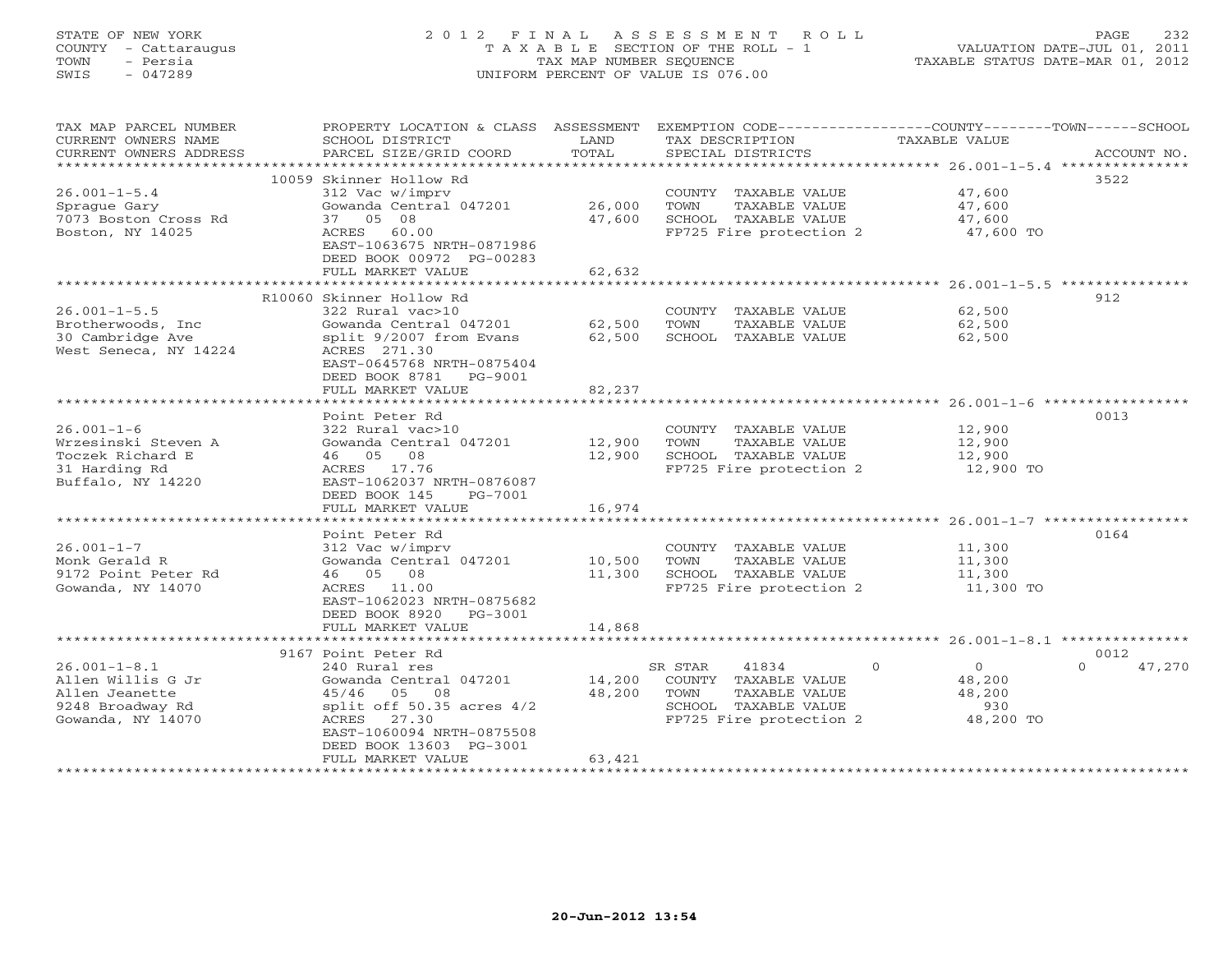# STATE OF NEW YORK 2 0 1 2 F I N A L A S S E S S M E N T R O L L PAGE 232 COUNTY - Cattaraugus T A X A B L E SECTION OF THE ROLL - 1 VALUATION DATE-JUL 01, 2011 TOWN - Persia TAX MAP NUMBER SEQUENCE TAXABLE STATUS DATE-MAR 01, 2012 SWIS - 047289 UNIFORM PERCENT OF VALUE IS 076.00UNIFORM PERCENT OF VALUE IS 076.00

| TAX MAP PARCEL NUMBER<br>CURRENT OWNERS NAME<br>CURRENT OWNERS ADDRESS | PROPERTY LOCATION & CLASS ASSESSMENT<br>SCHOOL DISTRICT<br>PARCEL SIZE/GRID COORD | LAND<br>TOTAL    | TAX DESCRIPTION<br>SPECIAL DISTRICTS          | EXEMPTION CODE-----------------COUNTY-------TOWN------SCHOOL<br><b>TAXABLE VALUE</b><br>ACCOUNT NO. |
|------------------------------------------------------------------------|-----------------------------------------------------------------------------------|------------------|-----------------------------------------------|-----------------------------------------------------------------------------------------------------|
| **********************                                                 |                                                                                   |                  |                                               |                                                                                                     |
| $26.001 - 1 - 5.4$                                                     | 10059 Skinner Hollow Rd<br>312 Vac w/imprv                                        |                  | COUNTY TAXABLE VALUE                          | 3522<br>47,600                                                                                      |
| Sprague Gary<br>7073 Boston Cross Rd                                   | Gowanda Central 047201<br>37 05 08                                                | 26,000<br>47,600 | TOWN<br>TAXABLE VALUE<br>SCHOOL TAXABLE VALUE | 47,600<br>47,600                                                                                    |
| Boston, NY 14025                                                       | ACRES<br>60.00<br>EAST-1063675 NRTH-0871986<br>DEED BOOK 00972 PG-00283           |                  | FP725 Fire protection 2                       | 47,600 TO                                                                                           |
|                                                                        | FULL MARKET VALUE<br><b>++++++++++++++++++</b>                                    | 62,632           |                                               |                                                                                                     |
|                                                                        |                                                                                   | ********         | **********************                        | $26.001 - 1 - 5.5$ **********                                                                       |
| $26.001 - 1 - 5.5$                                                     | R10060 Skinner Hollow Rd<br>322 Rural vac>10                                      |                  | COUNTY TAXABLE VALUE                          | 912<br>62,500                                                                                       |
| Brotherwoods, Inc.                                                     | Gowanda Central 047201                                                            | 62,500           | TOWN<br>TAXABLE VALUE                         | 62,500                                                                                              |
| 30 Cambridge Ave                                                       | split 9/2007 from Evans                                                           | 62,500           | SCHOOL TAXABLE VALUE                          | 62,500                                                                                              |
| West Seneca, NY 14224                                                  | ACRES 271.30<br>EAST-0645768 NRTH-0875404<br>DEED BOOK 8781<br>PG-9001            |                  |                                               |                                                                                                     |
|                                                                        | FULL MARKET VALUE                                                                 | 82,237           |                                               |                                                                                                     |
|                                                                        | *******************<br>Point Peter Rd                                             | **************   |                                               | 0013                                                                                                |
| $26.001 - 1 - 6$                                                       | 322 Rural vac>10                                                                  |                  | COUNTY TAXABLE VALUE                          | 12,900                                                                                              |
| Wrzesinski Steven A                                                    | Gowanda Central 047201                                                            | 12,900           | TAXABLE VALUE<br>TOWN                         | 12,900                                                                                              |
| Toczek Richard E                                                       | 46 05 08                                                                          | 12,900           | SCHOOL TAXABLE VALUE                          | 12,900                                                                                              |
| 31 Harding Rd<br>Buffalo, NY 14220                                     | ACRES 17.76<br>EAST-1062037 NRTH-0876087<br>DEED BOOK 145<br>PG-7001              |                  | FP725 Fire protection 2                       | 12,900 TO                                                                                           |
|                                                                        | FULL MARKET VALUE                                                                 | 16,974           |                                               |                                                                                                     |
|                                                                        |                                                                                   |                  |                                               |                                                                                                     |
|                                                                        | Point Peter Rd                                                                    |                  |                                               | 0164                                                                                                |
| $26.001 - 1 - 7$                                                       | 312 Vac w/imprv                                                                   |                  | COUNTY TAXABLE VALUE                          | 11,300                                                                                              |
| Monk Gerald R                                                          | Gowanda Central 047201                                                            | 10,500           | TOWN<br>TAXABLE VALUE                         | 11,300                                                                                              |
| 9172 Point Peter Rd                                                    | 46 05 08                                                                          | 11,300           | SCHOOL TAXABLE VALUE                          | 11,300                                                                                              |
| Gowanda, NY 14070                                                      | ACRES 11.00<br>EAST-1062023 NRTH-0875682                                          |                  | FP725 Fire protection 2                       | 11,300 TO                                                                                           |
|                                                                        | DEED BOOK 8920<br>PG-3001<br>FULL MARKET VALUE                                    | 14,868           |                                               |                                                                                                     |
|                                                                        |                                                                                   |                  |                                               |                                                                                                     |
|                                                                        | 9167 Point Peter Rd                                                               |                  |                                               | 0012                                                                                                |
| $26.001 - 1 - 8.1$                                                     | 240 Rural res                                                                     |                  | 41834<br>SR STAR                              | $\Omega$<br>$\overline{0}$<br>47,270<br>$\Omega$                                                    |
| Allen Willis G Jr                                                      | Gowanda Central 047201                                                            | 14,200           | COUNTY TAXABLE VALUE                          | 48,200                                                                                              |
| Allen Jeanette                                                         | 05 08<br>45/46                                                                    | 48,200           | TAXABLE VALUE<br>TOWN                         | 48,200                                                                                              |
| 9248 Broadway Rd                                                       | split off $50.35$ acres $4/2$                                                     |                  | SCHOOL TAXABLE VALUE                          | 930                                                                                                 |
| Gowanda, NY 14070                                                      | 27.30<br>ACRES                                                                    |                  | FP725 Fire protection 2                       | 48,200 TO                                                                                           |
|                                                                        | EAST-1060094 NRTH-0875508                                                         |                  |                                               |                                                                                                     |
|                                                                        | DEED BOOK 13603 PG-3001<br>FULL MARKET VALUE                                      | 63,421           |                                               |                                                                                                     |
|                                                                        |                                                                                   |                  |                                               |                                                                                                     |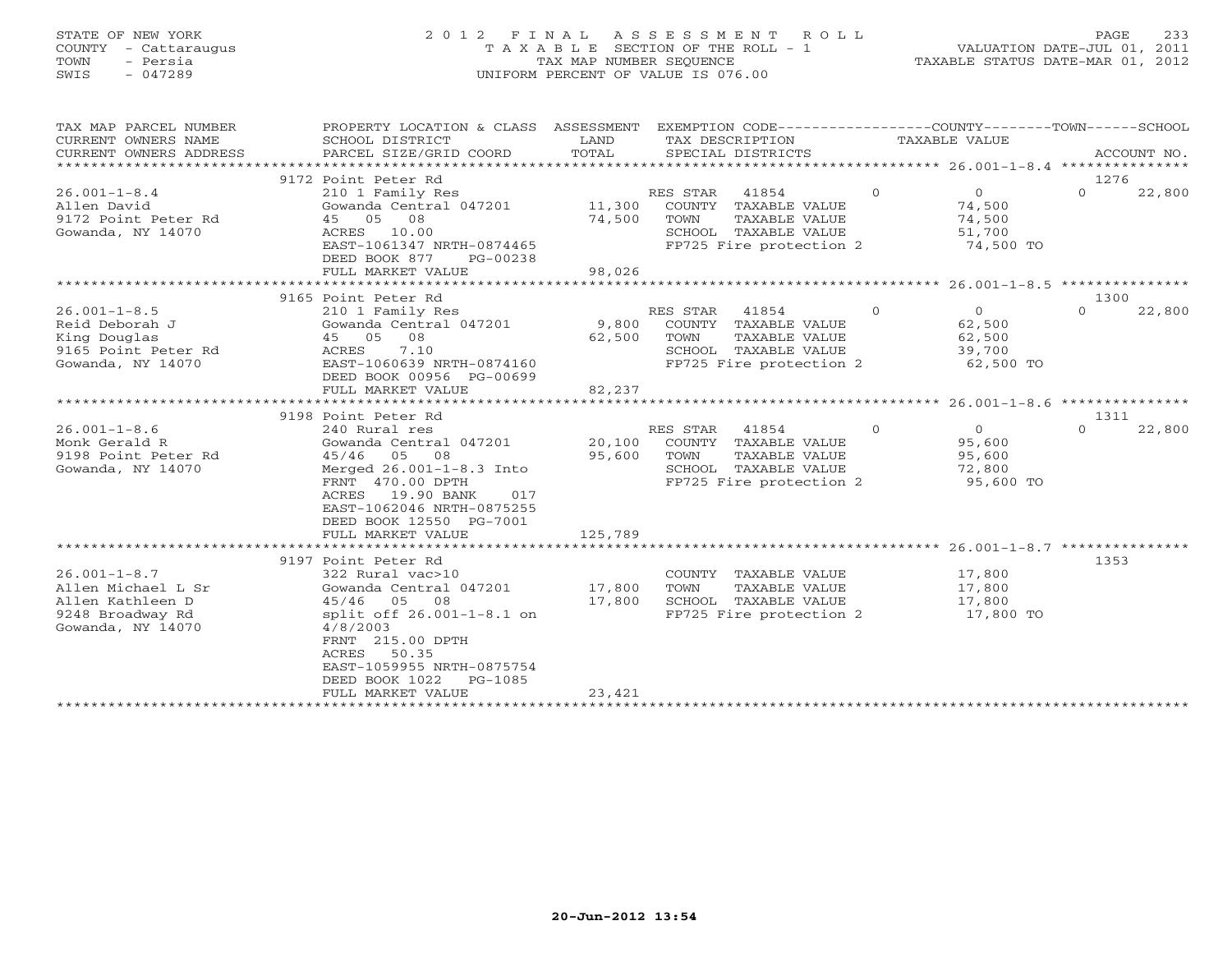# STATE OF NEW YORK 2 0 1 2 F I N A L A S S E S S M E N T R O L L PAGE 233 COUNTY - Cattaraugus T A X A B L E SECTION OF THE ROLL - 1 VALUATION DATE-JUL 01, 2011 TOWN - Persia TAX MAP NUMBER SEQUENCE TAXABLE STATUS DATE-MAR 01, 2012 SWIS - 047289 UNIFORM PERCENT OF VALUE IS 076.00UNIFORM PERCENT OF VALUE IS 076.00

| TAX MAP PARCEL NUMBER<br>CURRENT OWNERS NAME<br>CURRENT OWNERS ADDRESS<br>***********************     | PROPERTY LOCATION & CLASS ASSESSMENT<br>SCHOOL DISTRICT<br>PARCEL SIZE/GRID COORD                                                                                                                                                                 | LAND<br>TOTAL              | EXEMPTION CODE-----------------COUNTY-------TOWN-----SCHOOL<br>TAX DESCRIPTION<br>SPECIAL DISTRICTS                      | TAXABLE VALUE                                                               | ACCOUNT NO.        |
|-------------------------------------------------------------------------------------------------------|---------------------------------------------------------------------------------------------------------------------------------------------------------------------------------------------------------------------------------------------------|----------------------------|--------------------------------------------------------------------------------------------------------------------------|-----------------------------------------------------------------------------|--------------------|
|                                                                                                       | 9172 Point Peter Rd                                                                                                                                                                                                                               |                            |                                                                                                                          |                                                                             | 1276               |
| $26.001 - 1 - 8.4$<br>Allen David<br>9172 Point Peter Rd<br>Gowanda, NY 14070                         | 210 1 Family Res<br>Gowanda Central 047201 11,300<br>45 05 08<br>ACRES 10.00<br>EAST-1061347 NRTH-0874465                                                                                                                                         | 74,500                     | RES STAR<br>41854<br>COUNTY TAXABLE VALUE<br>TOWN<br>TAXABLE VALUE<br>SCHOOL TAXABLE VALUE<br>FP725 Fire protection 2    | $\Omega$<br>$\Omega$<br>74,500<br>74,500<br>51,700<br>74,500 TO             | $\Omega$<br>22,800 |
|                                                                                                       | DEED BOOK 877<br>PG-00238<br>FULL MARKET VALUE                                                                                                                                                                                                    | 98,026                     |                                                                                                                          |                                                                             |                    |
|                                                                                                       |                                                                                                                                                                                                                                                   |                            |                                                                                                                          |                                                                             |                    |
|                                                                                                       | 9165 Point Peter Rd                                                                                                                                                                                                                               |                            |                                                                                                                          |                                                                             | 1300               |
| $26.001 - 1 - 8.5$<br>Reid Deborah J<br>King Douglas<br>9165 Point Peter Rd<br>Gowanda, NY 14070      | 210 1 Family Res<br>Gowanda Central 047201<br>45 05 08<br>7.10<br>ACRES<br>EAST-1060639 NRTH-0874160<br>DEED BOOK 00956 PG-00699                                                                                                                  | 62,500                     | RES STAR 41854<br>9,800 COUNTY TAXABLE VALUE<br>TOWN<br>TAXABLE VALUE<br>SCHOOL TAXABLE VALUE<br>FP725 Fire protection 2 | $\overline{0}$<br>$\overline{0}$<br>62,500<br>62,500<br>39,700<br>62,500 TO | 22,800<br>$\Omega$ |
|                                                                                                       | FULL MARKET VALUE                                                                                                                                                                                                                                 | 82,237                     |                                                                                                                          |                                                                             |                    |
|                                                                                                       |                                                                                                                                                                                                                                                   |                            |                                                                                                                          |                                                                             |                    |
|                                                                                                       | 9198 Point Peter Rd                                                                                                                                                                                                                               |                            |                                                                                                                          |                                                                             | 1311               |
| $26.001 - 1 - 8.6$                                                                                    | 240 Rural res                                                                                                                                                                                                                                     |                            | RES STAR<br>41854                                                                                                        | $\Omega$<br>$\Omega$                                                        | $\Omega$<br>22,800 |
| Monk Gerald R                                                                                         | Gowanda Central 047201                                                                                                                                                                                                                            | 20,100                     | COUNTY TAXABLE VALUE                                                                                                     | 95,600                                                                      |                    |
| 9198 Point Peter Rd                                                                                   | 45/46<br>05 08                                                                                                                                                                                                                                    | 95,600                     | TOWN<br>TAXABLE VALUE                                                                                                    | 95,600                                                                      |                    |
| Gowanda, NY 14070                                                                                     | Merged 26.001-1-8.3 Into                                                                                                                                                                                                                          |                            | SCHOOL TAXABLE VALUE                                                                                                     | 72,800                                                                      |                    |
|                                                                                                       | FRNT 470.00 DPTH<br>ACRES 19.90 BANK<br>017<br>EAST-1062046 NRTH-0875255<br>DEED BOOK 12550 PG-7001                                                                                                                                               |                            | FP725 Fire protection 2                                                                                                  | 95,600 TO                                                                   |                    |
|                                                                                                       | FULL MARKET VALUE                                                                                                                                                                                                                                 | 125,789                    |                                                                                                                          |                                                                             |                    |
|                                                                                                       |                                                                                                                                                                                                                                                   |                            |                                                                                                                          |                                                                             |                    |
| $26.001 - 1 - 8.7$<br>Allen Michael L Sr<br>Allen Kathleen D<br>9248 Broadway Rd<br>Gowanda, NY 14070 | 9197 Point Peter Rd<br>322 Rural vac>10<br>Gowanda Central 047201<br>45/46 05<br>08<br>split off 26.001-1-8.1 on<br>4/8/2003<br>FRNT 215.00 DPTH<br>50.35<br>ACRES<br>EAST-1059955 NRTH-0875754<br>DEED BOOK 1022<br>PG-1085<br>FULL MARKET VALUE | 17,800<br>17,800<br>23,421 | COUNTY TAXABLE VALUE<br>TAXABLE VALUE<br>TOWN<br>SCHOOL TAXABLE VALUE<br>FP725 Fire protection 2                         | 17,800<br>17,800<br>17,800<br>17,800 TO                                     | 1353               |
|                                                                                                       | ********************************                                                                                                                                                                                                                  |                            |                                                                                                                          |                                                                             |                    |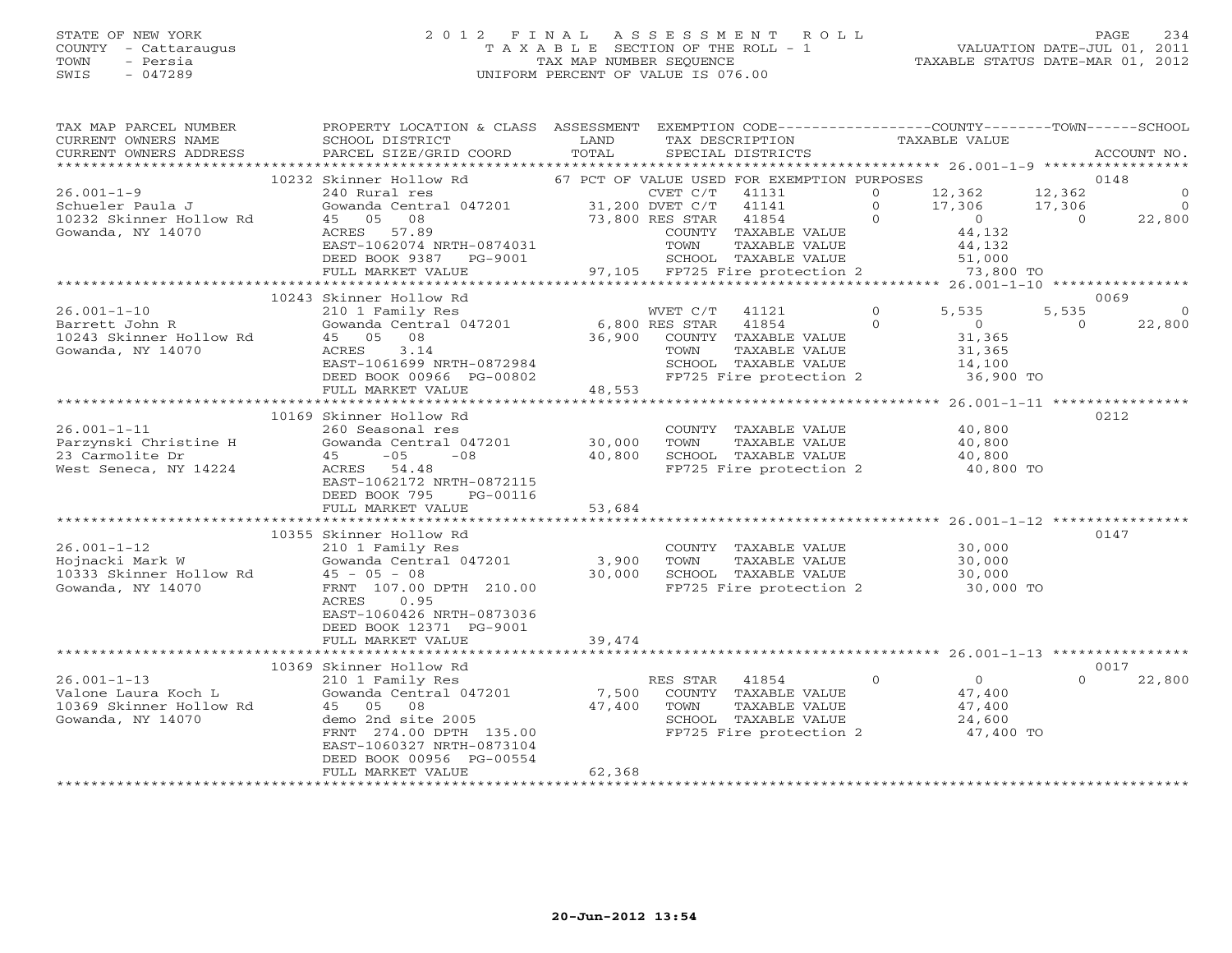# STATE OF NEW YORK 2 0 1 2 F I N A L A S S E S S M E N T R O L L PAGE 234 COUNTY - Cattaraugus T A X A B L E SECTION OF THE ROLL - 1 VALUATION DATE-JUL 01, 2011 TOWN - Persia TAX MAP NUMBER SEQUENCE TAXABLE STATUS DATE-MAR 01, 2012 SWIS - 047289 UNIFORM PERCENT OF VALUE IS 076.00UNIFORM PERCENT OF VALUE IS 076.00

| TAX MAP PARCEL NUMBER<br>CURRENT OWNERS NAME<br>CURRENT OWNERS ADDRESS                   | PROPERTY LOCATION & CLASS ASSESSMENT<br>SCHOOL DISTRICT<br>PARCEL SIZE/GRID COORD                                                    | LAND<br>TOTAL            | EXEMPTION CODE-----------------COUNTY-------TOWN------SCHOOL<br>TAX DESCRIPTION<br>SPECIAL DISTRICTS                                | TAXABLE VALUE                                                                    | ACCOUNT NO.                                                  |
|------------------------------------------------------------------------------------------|--------------------------------------------------------------------------------------------------------------------------------------|--------------------------|-------------------------------------------------------------------------------------------------------------------------------------|----------------------------------------------------------------------------------|--------------------------------------------------------------|
|                                                                                          |                                                                                                                                      |                          |                                                                                                                                     |                                                                                  |                                                              |
| $26.001 - 1 - 9$<br>Schueler Paula J                                                     | 10232 Skinner Hollow Rd<br>240 Rural res<br>Gowanda Central 047201 31,200 DVET C/T                                                   |                          | 67 PCT OF VALUE USED FOR EXEMPTION PURPOSES<br>CVET C/T<br>41131<br>41141                                                           | 12,362<br>$\circ$<br>$\circ$<br>17,306                                           | 0148<br>12,362<br>$\overline{0}$<br>17,306<br>$\overline{0}$ |
| 10232 Skinner Hollow Rd<br>Gowanda, NY 14070                                             | 45 05<br>08<br>ACRES<br>57.89<br>EAST-1062074 NRTH-0874031<br>DEED BOOK 9387 PG-9001<br>FULL MARKET VALUE                            |                          | 73,800 RES STAR<br>41854<br>COUNTY TAXABLE VALUE<br>TOWN<br>TAXABLE VALUE<br>SCHOOL TAXABLE VALUE<br>97,105 FP725 Fire protection 2 | $\Omega$<br>$\sim$ 0<br>44,132<br>44,132<br>51,000<br>73,800 TO                  | 22,800<br>$\Omega$                                           |
|                                                                                          |                                                                                                                                      |                          |                                                                                                                                     |                                                                                  |                                                              |
|                                                                                          | 10243 Skinner Hollow Rd                                                                                                              |                          |                                                                                                                                     |                                                                                  | 0069                                                         |
| $26.001 - 1 - 10$<br>Barrett John R<br>10243 Skinner Hollow Rd<br>Gowanda, NY 14070      | 210 1 Family Res<br>Gowanda Central 047201<br>45 05 08<br>3.14<br>ACRES<br>EAST-1061699 NRTH-0872984                                 | 6,800 RES STAR<br>36,900 | WVET C/T<br>41121<br>41854<br>COUNTY TAXABLE VALUE<br>TOWN<br>TAXABLE VALUE<br>SCHOOL TAXABLE VALUE                                 | $\circ$<br>5,535<br>$\mathbf{0}$<br>$\overline{0}$<br>31,365<br>31,365<br>14,100 | 5,535<br>$\circ$<br>22,800<br>$\circ$                        |
|                                                                                          | DEED BOOK 00966 PG-00802                                                                                                             |                          | FP725 Fire protection 2                                                                                                             | 36,900 TO                                                                        |                                                              |
|                                                                                          | FULL MARKET VALUE                                                                                                                    | 48,553                   |                                                                                                                                     |                                                                                  |                                                              |
|                                                                                          | ****************************<br>10169 Skinner Hollow Rd                                                                              |                          |                                                                                                                                     |                                                                                  | 0212                                                         |
| $26.001 - 1 - 11$                                                                        | 260 Seasonal res                                                                                                                     |                          | COUNTY TAXABLE VALUE                                                                                                                | 40,800                                                                           |                                                              |
| Parzynski Christine H                                                                    | Gowanda Central 047201                                                                                                               | 30,000                   | TOWN<br>TAXABLE VALUE                                                                                                               | 40,800                                                                           |                                                              |
| 23 Carmolite Dr                                                                          | 45<br>$-05$<br>$-08$                                                                                                                 | 40,800                   | SCHOOL TAXABLE VALUE                                                                                                                | 40,800                                                                           |                                                              |
| West Seneca, NY 14224                                                                    | ACRES 54.48<br>EAST-1062172 NRTH-0872115<br>DEED BOOK 795<br>PG-00116<br>FULL MARKET VALUE                                           | 53,684                   | FP725 Fire protection 2                                                                                                             | 40,800 TO                                                                        |                                                              |
|                                                                                          |                                                                                                                                      | * * * * * * * * * * *    |                                                                                                                                     | ********************** 26.001-1-12 ***********                                   |                                                              |
| $26.001 - 1 - 12$                                                                        | 10355 Skinner Hollow Rd<br>210 1 Family Res                                                                                          |                          | COUNTY TAXABLE VALUE                                                                                                                | 30,000                                                                           | 0147                                                         |
| Hojnacki Mark W                                                                          | Gowanda Central 047201                                                                                                               | 3,900                    | TAXABLE VALUE<br>TOWN                                                                                                               | 30,000                                                                           |                                                              |
| 10333 Skinner Hollow Rd<br>Gowanda, NY 14070                                             | $45 - 05 - 08$<br>FRNT 107.00 DPTH 210.00<br>ACRES<br>0.95<br>EAST-1060426 NRTH-0873036                                              | 30,000                   | SCHOOL TAXABLE VALUE<br>FP725 Fire protection 2                                                                                     | 30,000<br>30,000 TO                                                              |                                                              |
|                                                                                          | DEED BOOK 12371 PG-9001<br>FULL MARKET VALUE                                                                                         | 39,474                   |                                                                                                                                     |                                                                                  |                                                              |
|                                                                                          |                                                                                                                                      |                          |                                                                                                                                     |                                                                                  |                                                              |
|                                                                                          | 10369 Skinner Hollow Rd                                                                                                              |                          |                                                                                                                                     |                                                                                  | 0017                                                         |
| $26.001 - 1 - 13$<br>Valone Laura Koch L<br>10369 Skinner Hollow Rd<br>Gowanda, NY 14070 | 210 1 Family Res<br>Gowanda Central 047201<br>45 05 08<br>demo 2nd site 2005<br>FRNT 274.00 DPTH 135.00<br>EAST-1060327 NRTH-0873104 | 7,500<br>47,400          | RES STAR<br>41854<br>COUNTY<br>TAXABLE VALUE<br>TOWN<br>TAXABLE VALUE<br>SCHOOL TAXABLE VALUE<br>FP725 Fire protection 2            | $\Omega$<br>$\overline{0}$<br>47,400<br>47,400<br>24,600<br>47,400 TO            | $\Omega$<br>22,800                                           |
|                                                                                          | DEED BOOK 00956 PG-00554<br>FULL MARKET VALUE                                                                                        | 62,368                   |                                                                                                                                     |                                                                                  |                                                              |
|                                                                                          |                                                                                                                                      |                          |                                                                                                                                     |                                                                                  |                                                              |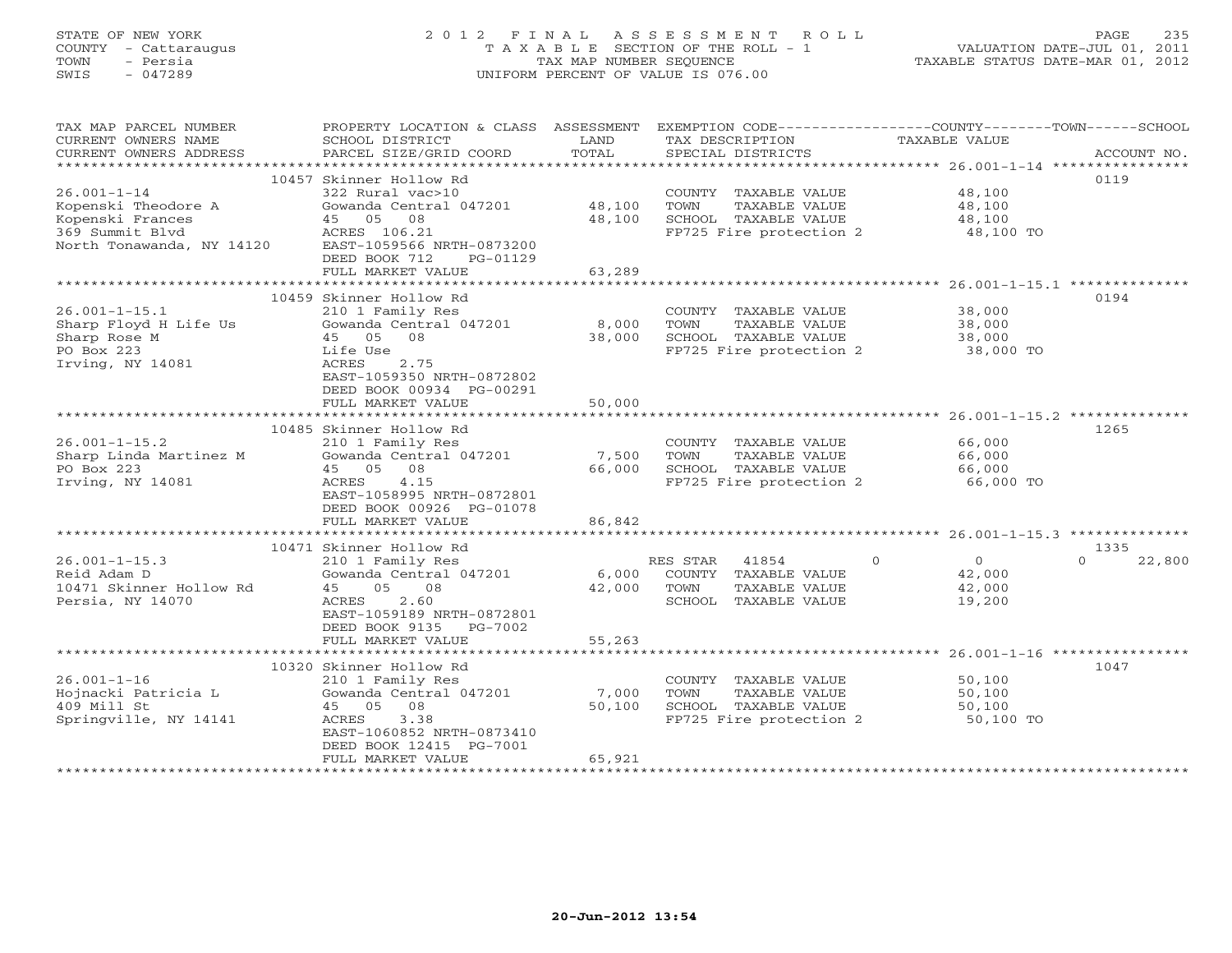# STATE OF NEW YORK 2 0 1 2 F I N A L A S S E S S M E N T R O L L PAGE 235 COUNTY - Cattaraugus T A X A B L E SECTION OF THE ROLL - 1 VALUATION DATE-JUL 01, 2011 TOWN - Persia TAX MAP NUMBER SEQUENCE TAXABLE STATUS DATE-MAR 01, 2012 SWIS - 047289 UNIFORM PERCENT OF VALUE IS 076.00UNIFORM PERCENT OF VALUE IS 076.00

| 10457 Skinner Hollow Rd<br>0119<br>$26.001 - 1 - 14$<br>322 Rural vac>10<br>COUNTY TAXABLE VALUE<br>48,100<br>Kopenski Theodore A<br>Gowanda Central 047201<br>48,100<br>TOWN<br>TAXABLE VALUE<br>48,100<br>45 05 08<br>48,100<br>Kopenski Frances<br>SCHOOL TAXABLE VALUE<br>48,100<br>369 Summit Blvd<br>ACRES 106.21<br>FP725 Fire protection 2<br>48,100 TO<br>EAST-1059566 NRTH-0873200<br>North Tonawanda, NY 14120<br>DEED BOOK 712<br>PG-01129<br>63,289<br>FULL MARKET VALUE<br>10459 Skinner Hollow Rd<br>0194<br>$26.001 - 1 - 15.1$<br>210 1 Family Res<br>38,000<br>COUNTY TAXABLE VALUE<br>8,000<br>Sharp Floyd H Life Us<br>Gowanda Central 047201<br>TOWN<br>TAXABLE VALUE<br>38,000<br>Sharp Rose M<br>45 05 08<br>38,000<br>SCHOOL TAXABLE VALUE<br>38,000<br>PO Box 223<br>Life Use<br>FP725 Fire protection 2<br>38,000 TO<br>Irving, NY 14081<br>ACRES<br>2.75<br>EAST-1059350 NRTH-0872802<br>DEED BOOK 00934 PG-00291<br>50,000<br>FULL MARKET VALUE<br>10485 Skinner Hollow Rd<br>1265<br>$26.001 - 1 - 15.2$<br>210 1 Family Res<br>COUNTY TAXABLE VALUE<br>66,000<br>Sharp Linda Martinez M<br>Gowanda Central 047201<br>7,500<br>TAXABLE VALUE<br>TOWN<br>66,000<br>PO Box 223<br>45 05 08<br>SCHOOL TAXABLE VALUE<br>66,000<br>66,000<br>4.15<br>Irving, NY 14081<br>ACRES<br>FP725 Fire protection 2<br>66,000 TO<br>EAST-1058995 NRTH-0872801<br>DEED BOOK 00926 PG-01078<br>FULL MARKET VALUE<br>86,842<br>10471 Skinner Hollow Rd<br>1335<br>$\Omega$<br>22,800<br>$26.001 - 1 - 15.3$<br>210 1 Family Res<br>RES STAR<br>41854<br>$\overline{0}$<br>$\Omega$<br>Reid Adam D<br>Gowanda Central 047201<br>6,000<br>42,000<br>COUNTY TAXABLE VALUE<br>10471 Skinner Hollow Rd<br>05<br>08<br>45<br>42,000<br>TOWN<br>TAXABLE VALUE<br>42,000<br>2.60<br>Persia, NY 14070<br>SCHOOL TAXABLE VALUE<br>ACRES<br>19,200<br>EAST-1059189 NRTH-0872801<br>DEED BOOK 9135 PG-7002<br>55,263<br>FULL MARKET VALUE<br>1047<br>10320 Skinner Hollow Rd<br>$26.001 - 1 - 16$<br>210 1 Family Res<br>COUNTY TAXABLE VALUE<br>50,100<br>Hojnacki Patricia L<br>Gowanda Central 047201<br>7,000<br>TAXABLE VALUE<br>TOWN<br>50,100<br>409 Mill St<br>45 05 08<br>50,100<br>SCHOOL TAXABLE VALUE<br>50,100<br>Springville, NY 14141<br>3.38<br>ACRES<br>FP725 Fire protection 2<br>50,100 TO<br>EAST-1060852 NRTH-0873410<br>DEED BOOK 12415 PG-7001<br>65,921<br>FULL MARKET VALUE | TAX MAP PARCEL NUMBER<br>CURRENT OWNERS NAME<br>CURRENT OWNERS ADDRESS | PROPERTY LOCATION & CLASS ASSESSMENT<br>SCHOOL DISTRICT<br>PARCEL SIZE/GRID COORD | LAND<br>TOTAL | EXEMPTION CODE-----------------COUNTY-------TOWN------SCHOOL<br>TAX DESCRIPTION<br>SPECIAL DISTRICTS | TAXABLE VALUE | ACCOUNT NO. |
|-----------------------------------------------------------------------------------------------------------------------------------------------------------------------------------------------------------------------------------------------------------------------------------------------------------------------------------------------------------------------------------------------------------------------------------------------------------------------------------------------------------------------------------------------------------------------------------------------------------------------------------------------------------------------------------------------------------------------------------------------------------------------------------------------------------------------------------------------------------------------------------------------------------------------------------------------------------------------------------------------------------------------------------------------------------------------------------------------------------------------------------------------------------------------------------------------------------------------------------------------------------------------------------------------------------------------------------------------------------------------------------------------------------------------------------------------------------------------------------------------------------------------------------------------------------------------------------------------------------------------------------------------------------------------------------------------------------------------------------------------------------------------------------------------------------------------------------------------------------------------------------------------------------------------------------------------------------------------------------------------------------------------------------------------------------------------------------------------------------------------------------------------------------------------------------------------------------------------------------------------------------------------------------------------------------------------------------------------------------------------------------------------------|------------------------------------------------------------------------|-----------------------------------------------------------------------------------|---------------|------------------------------------------------------------------------------------------------------|---------------|-------------|
|                                                                                                                                                                                                                                                                                                                                                                                                                                                                                                                                                                                                                                                                                                                                                                                                                                                                                                                                                                                                                                                                                                                                                                                                                                                                                                                                                                                                                                                                                                                                                                                                                                                                                                                                                                                                                                                                                                                                                                                                                                                                                                                                                                                                                                                                                                                                                                                                     |                                                                        |                                                                                   |               |                                                                                                      |               |             |
|                                                                                                                                                                                                                                                                                                                                                                                                                                                                                                                                                                                                                                                                                                                                                                                                                                                                                                                                                                                                                                                                                                                                                                                                                                                                                                                                                                                                                                                                                                                                                                                                                                                                                                                                                                                                                                                                                                                                                                                                                                                                                                                                                                                                                                                                                                                                                                                                     |                                                                        |                                                                                   |               |                                                                                                      |               |             |
|                                                                                                                                                                                                                                                                                                                                                                                                                                                                                                                                                                                                                                                                                                                                                                                                                                                                                                                                                                                                                                                                                                                                                                                                                                                                                                                                                                                                                                                                                                                                                                                                                                                                                                                                                                                                                                                                                                                                                                                                                                                                                                                                                                                                                                                                                                                                                                                                     |                                                                        |                                                                                   |               |                                                                                                      |               |             |
|                                                                                                                                                                                                                                                                                                                                                                                                                                                                                                                                                                                                                                                                                                                                                                                                                                                                                                                                                                                                                                                                                                                                                                                                                                                                                                                                                                                                                                                                                                                                                                                                                                                                                                                                                                                                                                                                                                                                                                                                                                                                                                                                                                                                                                                                                                                                                                                                     |                                                                        |                                                                                   |               |                                                                                                      |               |             |
|                                                                                                                                                                                                                                                                                                                                                                                                                                                                                                                                                                                                                                                                                                                                                                                                                                                                                                                                                                                                                                                                                                                                                                                                                                                                                                                                                                                                                                                                                                                                                                                                                                                                                                                                                                                                                                                                                                                                                                                                                                                                                                                                                                                                                                                                                                                                                                                                     |                                                                        |                                                                                   |               |                                                                                                      |               |             |
|                                                                                                                                                                                                                                                                                                                                                                                                                                                                                                                                                                                                                                                                                                                                                                                                                                                                                                                                                                                                                                                                                                                                                                                                                                                                                                                                                                                                                                                                                                                                                                                                                                                                                                                                                                                                                                                                                                                                                                                                                                                                                                                                                                                                                                                                                                                                                                                                     |                                                                        |                                                                                   |               |                                                                                                      |               |             |
|                                                                                                                                                                                                                                                                                                                                                                                                                                                                                                                                                                                                                                                                                                                                                                                                                                                                                                                                                                                                                                                                                                                                                                                                                                                                                                                                                                                                                                                                                                                                                                                                                                                                                                                                                                                                                                                                                                                                                                                                                                                                                                                                                                                                                                                                                                                                                                                                     |                                                                        |                                                                                   |               |                                                                                                      |               |             |
|                                                                                                                                                                                                                                                                                                                                                                                                                                                                                                                                                                                                                                                                                                                                                                                                                                                                                                                                                                                                                                                                                                                                                                                                                                                                                                                                                                                                                                                                                                                                                                                                                                                                                                                                                                                                                                                                                                                                                                                                                                                                                                                                                                                                                                                                                                                                                                                                     |                                                                        |                                                                                   |               |                                                                                                      |               |             |
|                                                                                                                                                                                                                                                                                                                                                                                                                                                                                                                                                                                                                                                                                                                                                                                                                                                                                                                                                                                                                                                                                                                                                                                                                                                                                                                                                                                                                                                                                                                                                                                                                                                                                                                                                                                                                                                                                                                                                                                                                                                                                                                                                                                                                                                                                                                                                                                                     |                                                                        |                                                                                   |               |                                                                                                      |               |             |
|                                                                                                                                                                                                                                                                                                                                                                                                                                                                                                                                                                                                                                                                                                                                                                                                                                                                                                                                                                                                                                                                                                                                                                                                                                                                                                                                                                                                                                                                                                                                                                                                                                                                                                                                                                                                                                                                                                                                                                                                                                                                                                                                                                                                                                                                                                                                                                                                     |                                                                        |                                                                                   |               |                                                                                                      |               |             |
|                                                                                                                                                                                                                                                                                                                                                                                                                                                                                                                                                                                                                                                                                                                                                                                                                                                                                                                                                                                                                                                                                                                                                                                                                                                                                                                                                                                                                                                                                                                                                                                                                                                                                                                                                                                                                                                                                                                                                                                                                                                                                                                                                                                                                                                                                                                                                                                                     |                                                                        |                                                                                   |               |                                                                                                      |               |             |
|                                                                                                                                                                                                                                                                                                                                                                                                                                                                                                                                                                                                                                                                                                                                                                                                                                                                                                                                                                                                                                                                                                                                                                                                                                                                                                                                                                                                                                                                                                                                                                                                                                                                                                                                                                                                                                                                                                                                                                                                                                                                                                                                                                                                                                                                                                                                                                                                     |                                                                        |                                                                                   |               |                                                                                                      |               |             |
|                                                                                                                                                                                                                                                                                                                                                                                                                                                                                                                                                                                                                                                                                                                                                                                                                                                                                                                                                                                                                                                                                                                                                                                                                                                                                                                                                                                                                                                                                                                                                                                                                                                                                                                                                                                                                                                                                                                                                                                                                                                                                                                                                                                                                                                                                                                                                                                                     |                                                                        |                                                                                   |               |                                                                                                      |               |             |
|                                                                                                                                                                                                                                                                                                                                                                                                                                                                                                                                                                                                                                                                                                                                                                                                                                                                                                                                                                                                                                                                                                                                                                                                                                                                                                                                                                                                                                                                                                                                                                                                                                                                                                                                                                                                                                                                                                                                                                                                                                                                                                                                                                                                                                                                                                                                                                                                     |                                                                        |                                                                                   |               |                                                                                                      |               |             |
|                                                                                                                                                                                                                                                                                                                                                                                                                                                                                                                                                                                                                                                                                                                                                                                                                                                                                                                                                                                                                                                                                                                                                                                                                                                                                                                                                                                                                                                                                                                                                                                                                                                                                                                                                                                                                                                                                                                                                                                                                                                                                                                                                                                                                                                                                                                                                                                                     |                                                                        |                                                                                   |               |                                                                                                      |               |             |
|                                                                                                                                                                                                                                                                                                                                                                                                                                                                                                                                                                                                                                                                                                                                                                                                                                                                                                                                                                                                                                                                                                                                                                                                                                                                                                                                                                                                                                                                                                                                                                                                                                                                                                                                                                                                                                                                                                                                                                                                                                                                                                                                                                                                                                                                                                                                                                                                     |                                                                        |                                                                                   |               |                                                                                                      |               |             |
|                                                                                                                                                                                                                                                                                                                                                                                                                                                                                                                                                                                                                                                                                                                                                                                                                                                                                                                                                                                                                                                                                                                                                                                                                                                                                                                                                                                                                                                                                                                                                                                                                                                                                                                                                                                                                                                                                                                                                                                                                                                                                                                                                                                                                                                                                                                                                                                                     |                                                                        |                                                                                   |               |                                                                                                      |               |             |
|                                                                                                                                                                                                                                                                                                                                                                                                                                                                                                                                                                                                                                                                                                                                                                                                                                                                                                                                                                                                                                                                                                                                                                                                                                                                                                                                                                                                                                                                                                                                                                                                                                                                                                                                                                                                                                                                                                                                                                                                                                                                                                                                                                                                                                                                                                                                                                                                     |                                                                        |                                                                                   |               |                                                                                                      |               |             |
|                                                                                                                                                                                                                                                                                                                                                                                                                                                                                                                                                                                                                                                                                                                                                                                                                                                                                                                                                                                                                                                                                                                                                                                                                                                                                                                                                                                                                                                                                                                                                                                                                                                                                                                                                                                                                                                                                                                                                                                                                                                                                                                                                                                                                                                                                                                                                                                                     |                                                                        |                                                                                   |               |                                                                                                      |               |             |
|                                                                                                                                                                                                                                                                                                                                                                                                                                                                                                                                                                                                                                                                                                                                                                                                                                                                                                                                                                                                                                                                                                                                                                                                                                                                                                                                                                                                                                                                                                                                                                                                                                                                                                                                                                                                                                                                                                                                                                                                                                                                                                                                                                                                                                                                                                                                                                                                     |                                                                        |                                                                                   |               |                                                                                                      |               |             |
|                                                                                                                                                                                                                                                                                                                                                                                                                                                                                                                                                                                                                                                                                                                                                                                                                                                                                                                                                                                                                                                                                                                                                                                                                                                                                                                                                                                                                                                                                                                                                                                                                                                                                                                                                                                                                                                                                                                                                                                                                                                                                                                                                                                                                                                                                                                                                                                                     |                                                                        |                                                                                   |               |                                                                                                      |               |             |
|                                                                                                                                                                                                                                                                                                                                                                                                                                                                                                                                                                                                                                                                                                                                                                                                                                                                                                                                                                                                                                                                                                                                                                                                                                                                                                                                                                                                                                                                                                                                                                                                                                                                                                                                                                                                                                                                                                                                                                                                                                                                                                                                                                                                                                                                                                                                                                                                     |                                                                        |                                                                                   |               |                                                                                                      |               |             |
|                                                                                                                                                                                                                                                                                                                                                                                                                                                                                                                                                                                                                                                                                                                                                                                                                                                                                                                                                                                                                                                                                                                                                                                                                                                                                                                                                                                                                                                                                                                                                                                                                                                                                                                                                                                                                                                                                                                                                                                                                                                                                                                                                                                                                                                                                                                                                                                                     |                                                                        |                                                                                   |               |                                                                                                      |               |             |
|                                                                                                                                                                                                                                                                                                                                                                                                                                                                                                                                                                                                                                                                                                                                                                                                                                                                                                                                                                                                                                                                                                                                                                                                                                                                                                                                                                                                                                                                                                                                                                                                                                                                                                                                                                                                                                                                                                                                                                                                                                                                                                                                                                                                                                                                                                                                                                                                     |                                                                        |                                                                                   |               |                                                                                                      |               |             |
|                                                                                                                                                                                                                                                                                                                                                                                                                                                                                                                                                                                                                                                                                                                                                                                                                                                                                                                                                                                                                                                                                                                                                                                                                                                                                                                                                                                                                                                                                                                                                                                                                                                                                                                                                                                                                                                                                                                                                                                                                                                                                                                                                                                                                                                                                                                                                                                                     |                                                                        |                                                                                   |               |                                                                                                      |               |             |
|                                                                                                                                                                                                                                                                                                                                                                                                                                                                                                                                                                                                                                                                                                                                                                                                                                                                                                                                                                                                                                                                                                                                                                                                                                                                                                                                                                                                                                                                                                                                                                                                                                                                                                                                                                                                                                                                                                                                                                                                                                                                                                                                                                                                                                                                                                                                                                                                     |                                                                        |                                                                                   |               |                                                                                                      |               |             |
|                                                                                                                                                                                                                                                                                                                                                                                                                                                                                                                                                                                                                                                                                                                                                                                                                                                                                                                                                                                                                                                                                                                                                                                                                                                                                                                                                                                                                                                                                                                                                                                                                                                                                                                                                                                                                                                                                                                                                                                                                                                                                                                                                                                                                                                                                                                                                                                                     |                                                                        |                                                                                   |               |                                                                                                      |               |             |
|                                                                                                                                                                                                                                                                                                                                                                                                                                                                                                                                                                                                                                                                                                                                                                                                                                                                                                                                                                                                                                                                                                                                                                                                                                                                                                                                                                                                                                                                                                                                                                                                                                                                                                                                                                                                                                                                                                                                                                                                                                                                                                                                                                                                                                                                                                                                                                                                     |                                                                        |                                                                                   |               |                                                                                                      |               |             |
|                                                                                                                                                                                                                                                                                                                                                                                                                                                                                                                                                                                                                                                                                                                                                                                                                                                                                                                                                                                                                                                                                                                                                                                                                                                                                                                                                                                                                                                                                                                                                                                                                                                                                                                                                                                                                                                                                                                                                                                                                                                                                                                                                                                                                                                                                                                                                                                                     |                                                                        |                                                                                   |               |                                                                                                      |               |             |
|                                                                                                                                                                                                                                                                                                                                                                                                                                                                                                                                                                                                                                                                                                                                                                                                                                                                                                                                                                                                                                                                                                                                                                                                                                                                                                                                                                                                                                                                                                                                                                                                                                                                                                                                                                                                                                                                                                                                                                                                                                                                                                                                                                                                                                                                                                                                                                                                     |                                                                        |                                                                                   |               |                                                                                                      |               |             |
|                                                                                                                                                                                                                                                                                                                                                                                                                                                                                                                                                                                                                                                                                                                                                                                                                                                                                                                                                                                                                                                                                                                                                                                                                                                                                                                                                                                                                                                                                                                                                                                                                                                                                                                                                                                                                                                                                                                                                                                                                                                                                                                                                                                                                                                                                                                                                                                                     |                                                                        |                                                                                   |               |                                                                                                      |               |             |
|                                                                                                                                                                                                                                                                                                                                                                                                                                                                                                                                                                                                                                                                                                                                                                                                                                                                                                                                                                                                                                                                                                                                                                                                                                                                                                                                                                                                                                                                                                                                                                                                                                                                                                                                                                                                                                                                                                                                                                                                                                                                                                                                                                                                                                                                                                                                                                                                     |                                                                        |                                                                                   |               |                                                                                                      |               |             |
|                                                                                                                                                                                                                                                                                                                                                                                                                                                                                                                                                                                                                                                                                                                                                                                                                                                                                                                                                                                                                                                                                                                                                                                                                                                                                                                                                                                                                                                                                                                                                                                                                                                                                                                                                                                                                                                                                                                                                                                                                                                                                                                                                                                                                                                                                                                                                                                                     |                                                                        |                                                                                   |               |                                                                                                      |               |             |
|                                                                                                                                                                                                                                                                                                                                                                                                                                                                                                                                                                                                                                                                                                                                                                                                                                                                                                                                                                                                                                                                                                                                                                                                                                                                                                                                                                                                                                                                                                                                                                                                                                                                                                                                                                                                                                                                                                                                                                                                                                                                                                                                                                                                                                                                                                                                                                                                     |                                                                        |                                                                                   |               |                                                                                                      |               |             |
|                                                                                                                                                                                                                                                                                                                                                                                                                                                                                                                                                                                                                                                                                                                                                                                                                                                                                                                                                                                                                                                                                                                                                                                                                                                                                                                                                                                                                                                                                                                                                                                                                                                                                                                                                                                                                                                                                                                                                                                                                                                                                                                                                                                                                                                                                                                                                                                                     |                                                                        |                                                                                   |               |                                                                                                      |               |             |
|                                                                                                                                                                                                                                                                                                                                                                                                                                                                                                                                                                                                                                                                                                                                                                                                                                                                                                                                                                                                                                                                                                                                                                                                                                                                                                                                                                                                                                                                                                                                                                                                                                                                                                                                                                                                                                                                                                                                                                                                                                                                                                                                                                                                                                                                                                                                                                                                     |                                                                        |                                                                                   |               |                                                                                                      |               |             |
|                                                                                                                                                                                                                                                                                                                                                                                                                                                                                                                                                                                                                                                                                                                                                                                                                                                                                                                                                                                                                                                                                                                                                                                                                                                                                                                                                                                                                                                                                                                                                                                                                                                                                                                                                                                                                                                                                                                                                                                                                                                                                                                                                                                                                                                                                                                                                                                                     |                                                                        |                                                                                   |               |                                                                                                      |               |             |
|                                                                                                                                                                                                                                                                                                                                                                                                                                                                                                                                                                                                                                                                                                                                                                                                                                                                                                                                                                                                                                                                                                                                                                                                                                                                                                                                                                                                                                                                                                                                                                                                                                                                                                                                                                                                                                                                                                                                                                                                                                                                                                                                                                                                                                                                                                                                                                                                     |                                                                        |                                                                                   |               |                                                                                                      |               |             |
|                                                                                                                                                                                                                                                                                                                                                                                                                                                                                                                                                                                                                                                                                                                                                                                                                                                                                                                                                                                                                                                                                                                                                                                                                                                                                                                                                                                                                                                                                                                                                                                                                                                                                                                                                                                                                                                                                                                                                                                                                                                                                                                                                                                                                                                                                                                                                                                                     |                                                                        |                                                                                   |               |                                                                                                      |               |             |
|                                                                                                                                                                                                                                                                                                                                                                                                                                                                                                                                                                                                                                                                                                                                                                                                                                                                                                                                                                                                                                                                                                                                                                                                                                                                                                                                                                                                                                                                                                                                                                                                                                                                                                                                                                                                                                                                                                                                                                                                                                                                                                                                                                                                                                                                                                                                                                                                     |                                                                        |                                                                                   |               |                                                                                                      |               |             |
|                                                                                                                                                                                                                                                                                                                                                                                                                                                                                                                                                                                                                                                                                                                                                                                                                                                                                                                                                                                                                                                                                                                                                                                                                                                                                                                                                                                                                                                                                                                                                                                                                                                                                                                                                                                                                                                                                                                                                                                                                                                                                                                                                                                                                                                                                                                                                                                                     |                                                                        |                                                                                   |               |                                                                                                      |               |             |
|                                                                                                                                                                                                                                                                                                                                                                                                                                                                                                                                                                                                                                                                                                                                                                                                                                                                                                                                                                                                                                                                                                                                                                                                                                                                                                                                                                                                                                                                                                                                                                                                                                                                                                                                                                                                                                                                                                                                                                                                                                                                                                                                                                                                                                                                                                                                                                                                     |                                                                        |                                                                                   |               |                                                                                                      |               |             |
|                                                                                                                                                                                                                                                                                                                                                                                                                                                                                                                                                                                                                                                                                                                                                                                                                                                                                                                                                                                                                                                                                                                                                                                                                                                                                                                                                                                                                                                                                                                                                                                                                                                                                                                                                                                                                                                                                                                                                                                                                                                                                                                                                                                                                                                                                                                                                                                                     |                                                                        |                                                                                   |               |                                                                                                      |               |             |
|                                                                                                                                                                                                                                                                                                                                                                                                                                                                                                                                                                                                                                                                                                                                                                                                                                                                                                                                                                                                                                                                                                                                                                                                                                                                                                                                                                                                                                                                                                                                                                                                                                                                                                                                                                                                                                                                                                                                                                                                                                                                                                                                                                                                                                                                                                                                                                                                     |                                                                        |                                                                                   |               |                                                                                                      |               |             |
|                                                                                                                                                                                                                                                                                                                                                                                                                                                                                                                                                                                                                                                                                                                                                                                                                                                                                                                                                                                                                                                                                                                                                                                                                                                                                                                                                                                                                                                                                                                                                                                                                                                                                                                                                                                                                                                                                                                                                                                                                                                                                                                                                                                                                                                                                                                                                                                                     |                                                                        |                                                                                   |               |                                                                                                      |               |             |
|                                                                                                                                                                                                                                                                                                                                                                                                                                                                                                                                                                                                                                                                                                                                                                                                                                                                                                                                                                                                                                                                                                                                                                                                                                                                                                                                                                                                                                                                                                                                                                                                                                                                                                                                                                                                                                                                                                                                                                                                                                                                                                                                                                                                                                                                                                                                                                                                     |                                                                        |                                                                                   |               |                                                                                                      |               |             |
|                                                                                                                                                                                                                                                                                                                                                                                                                                                                                                                                                                                                                                                                                                                                                                                                                                                                                                                                                                                                                                                                                                                                                                                                                                                                                                                                                                                                                                                                                                                                                                                                                                                                                                                                                                                                                                                                                                                                                                                                                                                                                                                                                                                                                                                                                                                                                                                                     |                                                                        |                                                                                   |               |                                                                                                      |               |             |
|                                                                                                                                                                                                                                                                                                                                                                                                                                                                                                                                                                                                                                                                                                                                                                                                                                                                                                                                                                                                                                                                                                                                                                                                                                                                                                                                                                                                                                                                                                                                                                                                                                                                                                                                                                                                                                                                                                                                                                                                                                                                                                                                                                                                                                                                                                                                                                                                     |                                                                        |                                                                                   |               |                                                                                                      |               |             |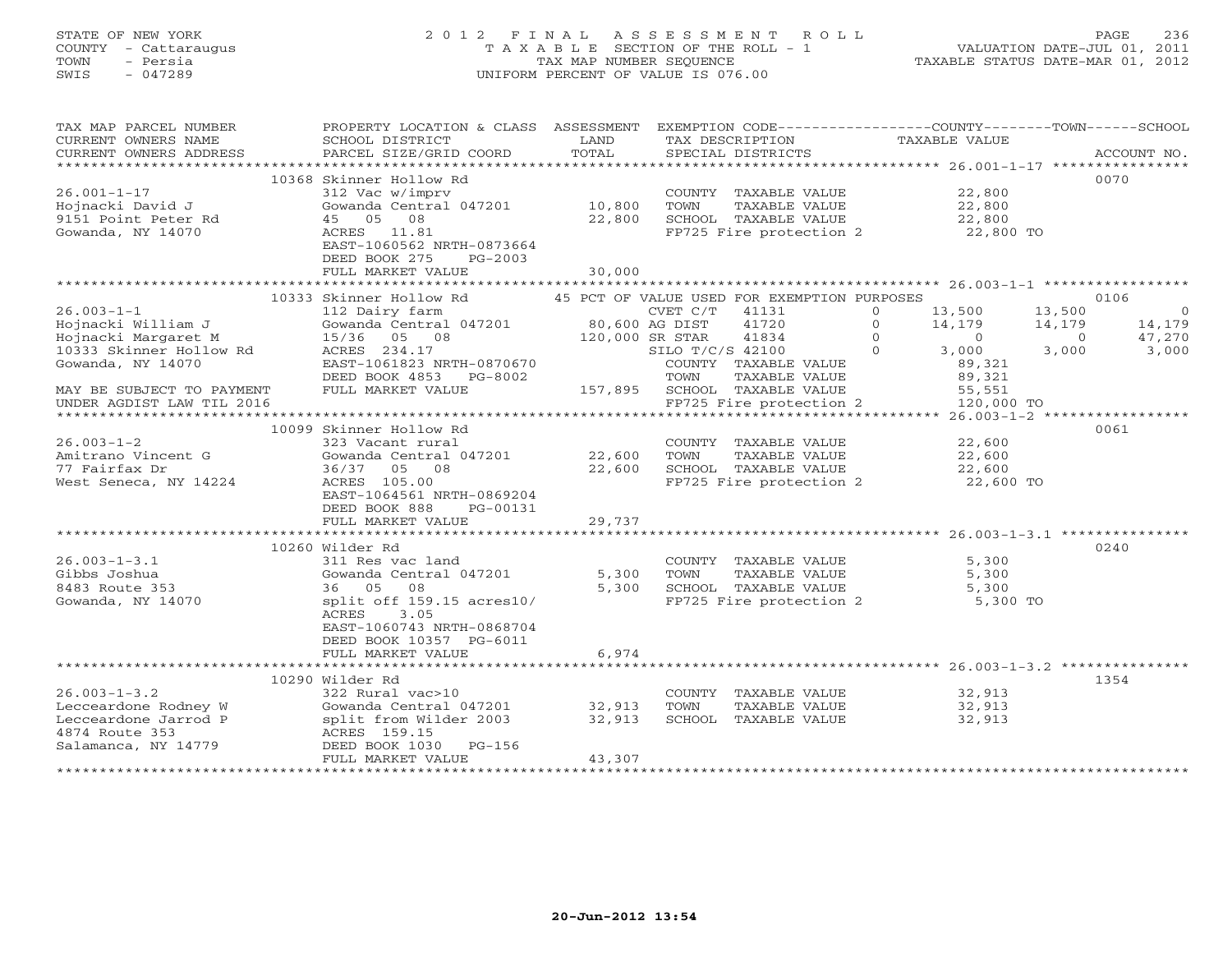# STATE OF NEW YORK 2 0 1 2 F I N A L A S S E S S M E N T R O L L PAGE 236 COUNTY - Cattaraugus T A X A B L E SECTION OF THE ROLL - 1 VALUATION DATE-JUL 01, 2011 TOWN - Persia TAX MAP NUMBER SEQUENCE TAXABLE STATUS DATE-MAR 01, 2012 SWIS - 047289 UNIFORM PERCENT OF VALUE IS 076.00UNIFORM PERCENT OF VALUE IS 076.00

| TAX MAP PARCEL NUMBER<br>CURRENT OWNERS NAME<br>CURRENT OWNERS ADDRESS | PROPERTY LOCATION & CLASS ASSESSMENT<br>SCHOOL DISTRICT<br>PARCEL SIZE/GRID COORD | LAND<br>TOTAL | EXEMPTION CODE-----------------COUNTY-------TOWN------SCHOOL<br>TAX DESCRIPTION<br>SPECIAL DISTRICTS | TAXABLE VALUE        |                | ACCOUNT NO.    |
|------------------------------------------------------------------------|-----------------------------------------------------------------------------------|---------------|------------------------------------------------------------------------------------------------------|----------------------|----------------|----------------|
| ***********************                                                |                                                                                   |               |                                                                                                      |                      |                |                |
|                                                                        | 10368 Skinner Hollow Rd                                                           |               |                                                                                                      |                      |                | 0070           |
| $26.001 - 1 - 17$                                                      | 312 Vac w/imprv                                                                   |               | COUNTY TAXABLE VALUE                                                                                 | 22,800               |                |                |
| Hojnacki David J                                                       | Gowanda Central 047201 10,800                                                     |               | TOWN<br>TAXABLE VALUE                                                                                | 22,800               |                |                |
| 9151 Point Peter Rd                                                    | 45 05 08                                                                          | 22,800        | SCHOOL TAXABLE VALUE                                                                                 | 22,800               |                |                |
| Gowanda, NY 14070                                                      | ACRES 11.81<br>EAST-1060562 NRTH-0873664                                          |               | FP725 Fire protection 2 22,800 TO                                                                    |                      |                |                |
|                                                                        | DEED BOOK 275<br>PG-2003                                                          |               |                                                                                                      |                      |                |                |
|                                                                        | FULL MARKET VALUE                                                                 | 30,000        |                                                                                                      |                      |                |                |
|                                                                        |                                                                                   |               |                                                                                                      |                      |                |                |
|                                                                        | 10333 Skinner Hollow Rd                                                           |               | 45 PCT OF VALUE USED FOR EXEMPTION PURPOSES                                                          |                      |                | 0106           |
| $26.003 - 1 - 1$                                                       |                                                                                   |               | CVET C/T 41131                                                                                       | 13,500<br>$\circ$    | 13,500         | $\overline{0}$ |
| Hojnacki William J                                                     |                                                                                   |               | 41720                                                                                                | $\Omega$<br>14,179   | 14,179         | 14,179         |
| Hojnacki Margaret M                                                    | 15/36 05 08                                                                       |               | $120,000$ SR STAR<br>STAR STAR<br>41834                                                              | $\Omega$<br>$\sim$ 0 | $\overline{0}$ | 47,270         |
| 10333 Skinner Hollow Rd                                                | ACRES 234.17                                                                      |               | SILO T/C/S 42100                                                                                     | 3,000<br>$\bigcap$   | 3,000          | 3,000          |
| Gowanda, NY 14070                                                      | EAST-1061823 NRTH-0870670<br>DEED BOOK 4853 PG-8002                               |               | COUNTY TAXABLE VALUE<br>TOWN                                                                         | 89,321               |                |                |
| MAY BE SUBJECT TO PAYMENT                                              | FULL MARKET VALUE                                                                 |               | TAXABLE VALUE<br>157,895 SCHOOL TAXABLE VALUE                                                        | 89,321               |                |                |
| UNDER AGDIST LAW TIL 2016                                              |                                                                                   |               | FP725 Fire protection 2                                                                              |                      |                |                |
|                                                                        |                                                                                   |               |                                                                                                      |                      |                |                |
|                                                                        | 10099 Skinner Hollow Rd                                                           |               |                                                                                                      |                      |                | 0061           |
| $26.003 - 1 - 2$                                                       | 323 Vacant rural                                                                  |               | COUNTY TAXABLE VALUE                                                                                 | 22,600               |                |                |
| Amitrano Vincent G                                                     | Gowanda Central 047201 22,600                                                     |               | TAXABLE VALUE<br>TOWN                                                                                | 22,600               |                |                |
| 77 Fairfax Dr                                                          | 36/37 05 08                                                                       | 22,600        | SCHOOL TAXABLE VALUE                                                                                 | 22,600               |                |                |
| West Seneca, NY 14224                                                  | ACRES 105.00                                                                      |               | FP725 Fire protection 2                                                                              | 22,600 TO            |                |                |
|                                                                        | EAST-1064561 NRTH-0869204                                                         |               |                                                                                                      |                      |                |                |
|                                                                        | DEED BOOK 888<br>PG-00131<br>FULL MARKET VALUE                                    | 29,737        |                                                                                                      |                      |                |                |
|                                                                        |                                                                                   |               |                                                                                                      |                      |                |                |
|                                                                        | 10260 Wilder Rd                                                                   |               |                                                                                                      |                      |                | 0240           |
| $26.003 - 1 - 3.1$                                                     | 311 Res vac land                                                                  |               | COUNTY TAXABLE VALUE                                                                                 | 5,300                |                |                |
| Gibbs Joshua                                                           | Gowanda Central 047201                                                            | 5,300         | TOWN<br>TAXABLE VALUE                                                                                | 5,300                |                |                |
| 8483 Route 353                                                         | 36 05 08                                                                          | 5,300         | SCHOOL TAXABLE VALUE                                                                                 | 5,300                |                |                |
| Gowanda, NY 14070                                                      | split off 159.15 acres10/                                                         |               | FP725 Fire protection 2 5,300 TO                                                                     |                      |                |                |
|                                                                        | ACRES<br>3.05                                                                     |               |                                                                                                      |                      |                |                |
|                                                                        | EAST-1060743 NRTH-0868704                                                         |               |                                                                                                      |                      |                |                |
|                                                                        | DEED BOOK 10357 PG-6011<br>FULL MARKET VALUE                                      | 6,974         |                                                                                                      |                      |                |                |
|                                                                        |                                                                                   |               |                                                                                                      |                      |                |                |
|                                                                        | 10290 Wilder Rd                                                                   |               |                                                                                                      |                      |                | 1354           |
| $26.003 - 1 - 3.2$                                                     | 322 Rural vac>10                                                                  |               | COUNTY TAXABLE VALUE                                                                                 | 32,913               |                |                |
| Lecceardone Rodney W                                                   | Gowanda Central 047201                                                            | 32,913        | TOWN<br>TAXABLE VALUE                                                                                | 32,913               |                |                |
| Lecceardone Jarrod P                                                   | split from Wilder 2003                                                            | 32,913        | SCHOOL TAXABLE VALUE                                                                                 | 32,913               |                |                |
| 4874 Route 353                                                         | ACRES 159.15                                                                      |               |                                                                                                      |                      |                |                |
| Salamanca, NY 14779                                                    | DEED BOOK 1030<br>PG-156                                                          |               |                                                                                                      |                      |                |                |
|                                                                        | FULL MARKET VALUE                                                                 | 43,307        |                                                                                                      |                      |                |                |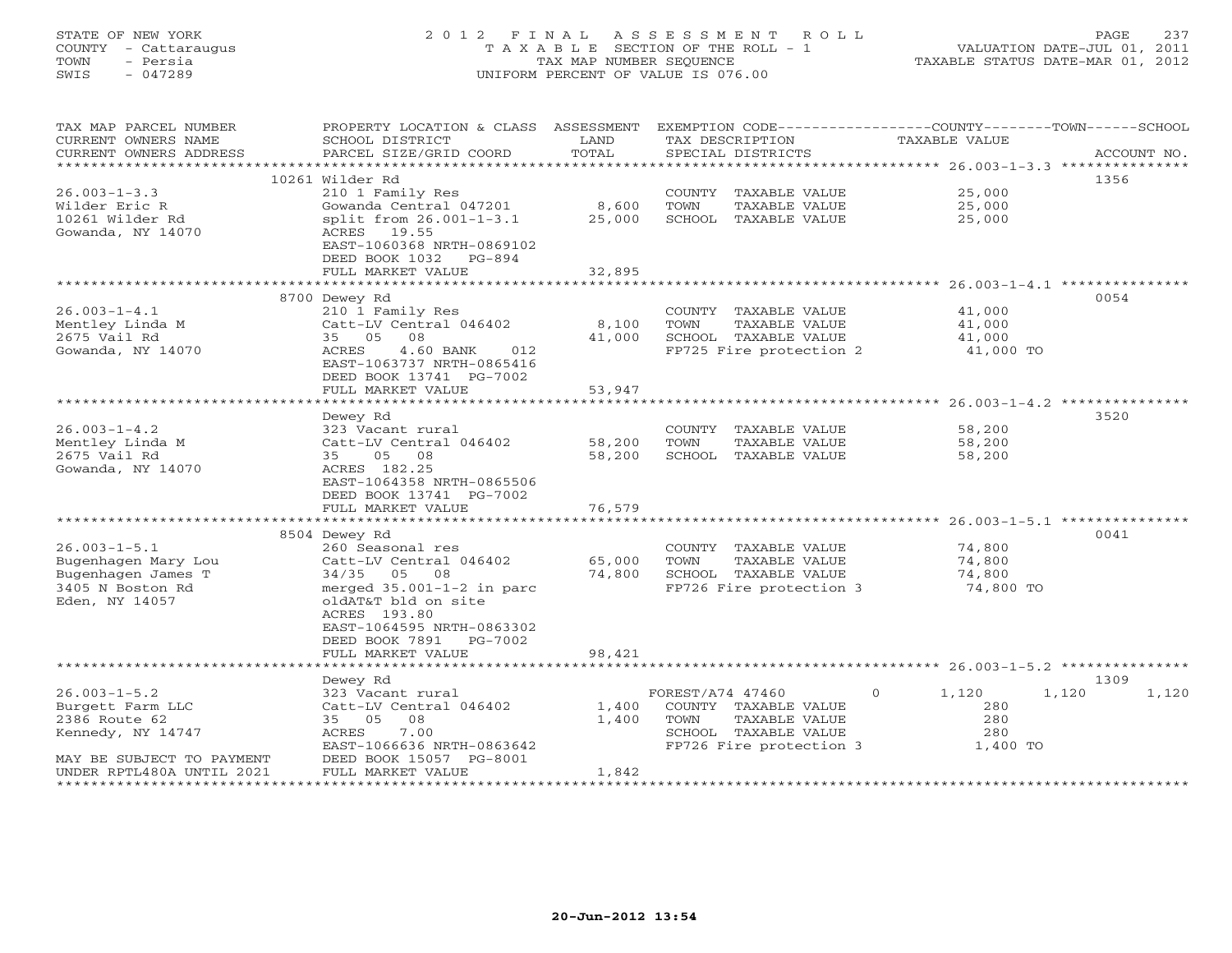# STATE OF NEW YORK 2 0 1 2 F I N A L A S S E S S M E N T R O L L PAGE 237 COUNTY - Cattaraugus T A X A B L E SECTION OF THE ROLL - 1 VALUATION DATE-JUL 01, 2011 TOWN - Persia TAX MAP NUMBER SEQUENCE TAXABLE STATUS DATE-MAR 01, 2012 SWIS - 047289 UNIFORM PERCENT OF VALUE IS 076.00UNIFORM PERCENT OF VALUE IS 076.00

| TAX MAP PARCEL NUMBER     | PROPERTY LOCATION & CLASS ASSESSMENT              |                          | EXEMPTION CODE-----------------COUNTY-------TOWN------SCHOOL |               |             |
|---------------------------|---------------------------------------------------|--------------------------|--------------------------------------------------------------|---------------|-------------|
| CURRENT OWNERS NAME       | SCHOOL DISTRICT                                   | LAND                     | TAX DESCRIPTION                                              | TAXABLE VALUE |             |
| CURRENT OWNERS ADDRESS    | PARCEL SIZE/GRID COORD                            | TOTAL                    | SPECIAL DISTRICTS                                            |               | ACCOUNT NO. |
| *********************     |                                                   |                          |                                                              |               |             |
|                           | 10261 Wilder Rd                                   |                          |                                                              |               | 1356        |
| $26.003 - 1 - 3.3$        | 210 1 Family Res                                  |                          | COUNTY TAXABLE VALUE                                         | 25,000        |             |
| Wilder Eric R             | Gowanda Central 047201                            | 8,600                    | TOWN<br>TAXABLE VALUE                                        | 25,000        |             |
| 10261 Wilder Rd           | split from 26.001-1-3.1                           | 25,000                   | SCHOOL TAXABLE VALUE                                         | 25,000        |             |
| Gowanda, NY 14070         | ACRES 19.55                                       |                          |                                                              |               |             |
|                           | EAST-1060368 NRTH-0869102                         |                          |                                                              |               |             |
|                           | DEED BOOK 1032 PG-894                             |                          |                                                              |               |             |
|                           | FULL MARKET VALUE                                 | 32,895                   |                                                              |               |             |
|                           |                                                   |                          |                                                              |               |             |
|                           | 8700 Dewey Rd                                     |                          |                                                              |               | 0054        |
| $26.003 - 1 - 4.1$        | 210 1 Family Res                                  |                          | COUNTY TAXABLE VALUE                                         | 41,000        |             |
| Mentley Linda M           | Catt-LV Central 046402                            | 8,100                    | TOWN<br>TAXABLE VALUE                                        | 41,000        |             |
| 2675 Vail Rd              | 35 05<br>08                                       | 41,000                   | SCHOOL TAXABLE VALUE                                         | 41,000        |             |
| Gowanda, NY 14070         | 4.60 BANK<br>ACRES<br>012                         |                          | FP725 Fire protection 2                                      | 41,000 TO     |             |
|                           | EAST-1063737 NRTH-0865416                         |                          |                                                              |               |             |
|                           | DEED BOOK 13741 PG-7002                           |                          |                                                              |               |             |
|                           | FULL MARKET VALUE                                 | 53,947                   |                                                              |               |             |
|                           |                                                   |                          |                                                              |               |             |
|                           | Dewey Rd                                          |                          |                                                              |               | 3520        |
| $26.003 - 1 - 4.2$        | 323 Vacant rural                                  |                          | COUNTY TAXABLE VALUE                                         | 58,200        |             |
| Mentley Linda M           | Catt-LV Central 046402                            | 58,200                   | TOWN<br>TAXABLE VALUE                                        | 58,200        |             |
| 2675 Vail Rd              | 35 05 08                                          | 58,200                   | SCHOOL TAXABLE VALUE                                         | 58,200        |             |
| Gowanda, NY 14070         | ACRES 182.25                                      |                          |                                                              |               |             |
|                           | EAST-1064358 NRTH-0865506                         |                          |                                                              |               |             |
|                           | DEED BOOK 13741 PG-7002                           |                          |                                                              |               |             |
|                           | FULL MARKET VALUE<br>**************************** | 76,579<br>************** |                                                              |               |             |
|                           |                                                   |                          |                                                              |               |             |
|                           | 8504 Dewey Rd                                     |                          |                                                              |               | 0041        |
| $26.003 - 1 - 5.1$        | 260 Seasonal res                                  |                          | COUNTY TAXABLE VALUE                                         | 74,800        |             |
| Bugenhagen Mary Lou       | Catt-LV Central 046402                            | 65,000                   | TOWN<br>TAXABLE VALUE                                        | 74,800        |             |
| Bugenhagen James T        | 34/35 05 08                                       | 74,800                   | SCHOOL TAXABLE VALUE                                         | 74,800        |             |
| 3405 N Boston Rd          | merged $35.001-1-2$ in parc                       |                          | FP726 Fire protection 3                                      | 74,800 TO     |             |
| Eden, NY 14057            | oldAT&T bld on site                               |                          |                                                              |               |             |
|                           | ACRES 193.80                                      |                          |                                                              |               |             |
|                           | EAST-1064595 NRTH-0863302                         |                          |                                                              |               |             |
|                           | DEED BOOK 7891 PG-7002                            |                          |                                                              |               |             |
|                           | FULL MARKET VALUE                                 | 98,421                   |                                                              |               |             |
|                           |                                                   |                          |                                                              |               | 1309        |
| $26.003 - 1 - 5.2$        | Dewey Rd                                          |                          |                                                              | $\Omega$      | 1,120       |
| Burgett Farm LLC          | 323 Vacant rural<br>Catt-LV Central 046402        | 1,400                    | FOREST/A74 47460<br>COUNTY TAXABLE VALUE                     | 1,120<br>280  | 1,120       |
| 2386 Route 62             | 08<br>35 05                                       | 1,400                    | TOWN<br>TAXABLE VALUE                                        | 280           |             |
| Kennedy, NY 14747         | ACRES<br>7.00                                     |                          | SCHOOL TAXABLE VALUE                                         | 280           |             |
|                           | EAST-1066636 NRTH-0863642                         |                          | FP726 Fire protection 3                                      | 1,400 TO      |             |
| MAY BE SUBJECT TO PAYMENT | DEED BOOK 15057 PG-8001                           |                          |                                                              |               |             |
| UNDER RPTL480A UNTIL 2021 | FULL MARKET VALUE                                 | 1,842                    |                                                              |               |             |
|                           |                                                   |                          |                                                              |               |             |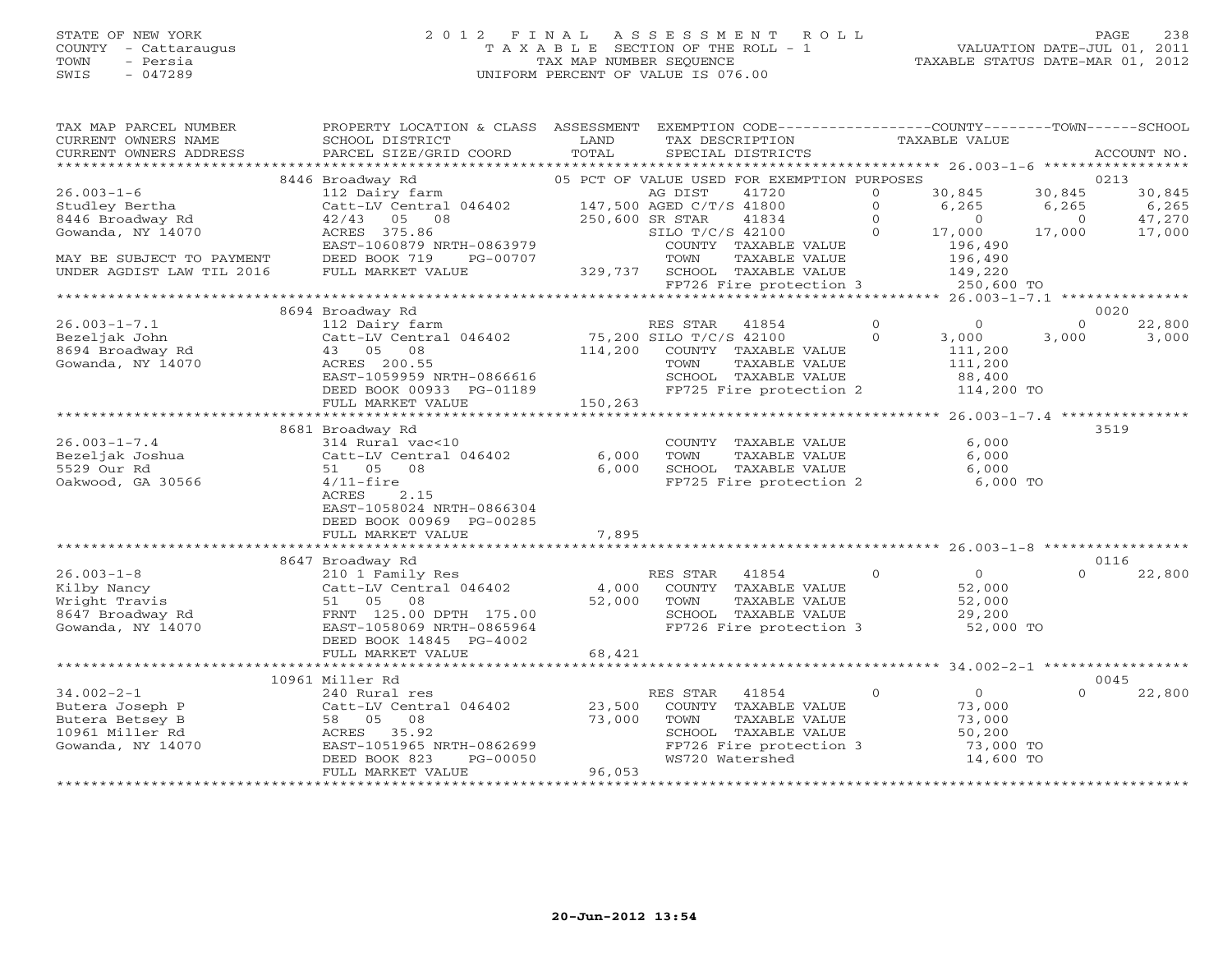# STATE OF NEW YORK 2 0 1 2 F I N A L A S S E S S M E N T R O L L PAGE 238 COUNTY - Cattaraugus T A X A B L E SECTION OF THE ROLL - 1 VALUATION DATE-JUL 01, 2011 TOWN - Persia TAX MAP NUMBER SEQUENCE TAXABLE STATUS DATE-MAR 01, 2012 SWIS - 047289 UNIFORM PERCENT OF VALUE IS 076.00UNIFORM PERCENT OF VALUE IS 076.00

| TAX MAP PARCEL NUMBER<br>CURRENT OWNERS NAME<br>CURRENT OWNERS ADDRESS | PROPERTY LOCATION & CLASS ASSESSMENT<br>SCHOOL DISTRICT<br>PARCEL SIZE/GRID COORD                                                                                | LAND<br>TOTAL       | EXEMPTION CODE-----------------COUNTY-------TOWN------SCHOOL<br>TAX DESCRIPTION<br>SPECIAL DISTRICTS |                | TAXABLE VALUE                                       |          | ACCOUNT NO. |
|------------------------------------------------------------------------|------------------------------------------------------------------------------------------------------------------------------------------------------------------|---------------------|------------------------------------------------------------------------------------------------------|----------------|-----------------------------------------------------|----------|-------------|
|                                                                        |                                                                                                                                                                  |                     |                                                                                                      |                |                                                     |          |             |
|                                                                        | 8446 Broadway Rd                                                                                                                                                 |                     | 05 PCT OF VALUE USED FOR EXEMPTION PURPOSES                                                          |                |                                                     |          | 0213        |
| $26.003 - 1 - 6$                                                       | 112 Dairy farm<br>112 Dairy farm $\begin{array}{cc}\n\text{AG DIST} & 41720 \\ \text{Cat-LV Central} & 046402 & 147,500 \text{ AGED C/T/S} & 41800\n\end{array}$ |                     |                                                                                                      | $\Omega$       | 30,845                                              | 30,845   | 30,845      |
| Studley Bertha                                                         |                                                                                                                                                                  |                     |                                                                                                      | $\Omega$       | 6,265                                               | 6,265    | 6,265       |
| 8446 Broadway Rd                                                       | $42/43$ 05 08                                                                                                                                                    | 250,600 SR STAR     | 41834                                                                                                | $\Omega$       | $\Omega$                                            | $\Omega$ | 47,270      |
| Gowanda, NY 14070                                                      | ACRES 375.86                                                                                                                                                     |                     | SILO T/C/S 42100                                                                                     | $\Omega$       | 17,000                                              | 17,000   | 17,000      |
|                                                                        | EAST-1060879 NRTH-0863979                                                                                                                                        |                     | COUNTY TAXABLE VALUE                                                                                 |                | 196,490                                             |          |             |
| MAY BE SUBJECT TO PAYMENT                                              | DEED BOOK 719<br>PG-00707                                                                                                                                        |                     | TOWN<br>TAXABLE VALUE                                                                                |                | 196,490                                             |          |             |
| UNDER AGDIST LAW TIL 2016                                              | FULL MARKET VALUE                                                                                                                                                | 329,737             | SCHOOL TAXABLE VALUE<br>FP726 Fire protection 3                                                      |                | 149,220<br>250,600 TO                               |          |             |
|                                                                        |                                                                                                                                                                  |                     |                                                                                                      |                |                                                     |          |             |
|                                                                        | 8694 Broadway Rd                                                                                                                                                 |                     |                                                                                                      |                |                                                     |          | 0020        |
| $26.003 - 1 - 7.1$                                                     | 112 Dairy farm                                                                                                                                                   |                     | RES STAR<br>41854                                                                                    | $\circ$        | $\circ$                                             | $\Omega$ | 22,800      |
| Bezeljak John                                                          | Catt-LV Central 046402                                                                                                                                           |                     | 75,200 SILO T/C/S 42100                                                                              | $\Omega$       | 3,000                                               | 3,000    | 3,000       |
| 8694 Broadway Rd                                                       | 43 05 08                                                                                                                                                         | 114,200             | COUNTY TAXABLE VALUE                                                                                 |                | 111,200                                             |          |             |
| Gowanda, NY 14070                                                      | ACRES 200.55                                                                                                                                                     |                     | TOWN<br>TAXABLE VALUE                                                                                |                | 111,200                                             |          |             |
|                                                                        | EAST-1059959 NRTH-0866616                                                                                                                                        |                     | SCHOOL TAXABLE VALUE                                                                                 |                | 88,400                                              |          |             |
|                                                                        | DEED BOOK 00933 PG-01189                                                                                                                                         |                     | FP725 Fire protection 2                                                                              |                | 114,200 TO                                          |          |             |
|                                                                        | FULL MARKET VALUE                                                                                                                                                | 150,263             |                                                                                                      |                |                                                     |          |             |
|                                                                        |                                                                                                                                                                  |                     |                                                                                                      |                |                                                     |          |             |
|                                                                        | 8681 Broadway Rd                                                                                                                                                 |                     |                                                                                                      |                |                                                     |          | 3519        |
| $26.003 - 1 - 7.4$                                                     | 314 Rural vac<10                                                                                                                                                 |                     | COUNTY TAXABLE VALUE                                                                                 |                | 6,000                                               |          |             |
| Bezeljak Joshua<br>5529 Our Rd                                         | Catt-LV Central 046402<br>51 05 08                                                                                                                               | 6,000<br>6,000      | TOWN<br>TAXABLE VALUE<br>SCHOOL TAXABLE VALUE                                                        |                | 6,000<br>6,000                                      |          |             |
| Oakwood, GA 30566                                                      | $4/11$ -fire                                                                                                                                                     |                     | FP725 Fire protection 2                                                                              |                | 6,000 TO                                            |          |             |
|                                                                        | ACRES<br>2.15                                                                                                                                                    |                     |                                                                                                      |                |                                                     |          |             |
|                                                                        | EAST-1058024 NRTH-0866304                                                                                                                                        |                     |                                                                                                      |                |                                                     |          |             |
|                                                                        | DEED BOOK 00969 PG-00285                                                                                                                                         |                     |                                                                                                      |                |                                                     |          |             |
|                                                                        | FULL MARKET VALUE                                                                                                                                                | 7,895               |                                                                                                      |                |                                                     |          |             |
|                                                                        |                                                                                                                                                                  |                     |                                                                                                      |                |                                                     |          |             |
|                                                                        | 8647 Broadway Rd                                                                                                                                                 |                     |                                                                                                      |                |                                                     |          | 0116        |
| $26.003 - 1 - 8$                                                       | 210 1 Family Res                                                                                                                                                 |                     | RES STAR 41854                                                                                       | $\Omega$       | $\overline{0}$                                      | $\Omega$ | 22,800      |
| Kilby Nancy                                                            | Catt-LV Central 046402                                                                                                                                           | 4,000               | COUNTY TAXABLE VALUE                                                                                 |                | 52,000                                              |          |             |
| Wright Travis                                                          | 51 05 08                                                                                                                                                         | 52,000              | TOWN<br>TAXABLE VALUE                                                                                |                | 52,000                                              |          |             |
| 8647 Broadway Rd                                                       | FRNT 125.00 DPTH 175.00                                                                                                                                          |                     | SCHOOL TAXABLE VALUE                                                                                 |                | 29,200                                              |          |             |
| Gowanda, NY 14070                                                      | EAST-1058069 NRTH-0865964                                                                                                                                        |                     | FP726 Fire protection 3                                                                              |                | 52,000 TO                                           |          |             |
|                                                                        | DEED BOOK 14845 PG-4002<br>FULL MARKET VALUE                                                                                                                     | 68,421              |                                                                                                      |                |                                                     |          |             |
|                                                                        |                                                                                                                                                                  | ******************* |                                                                                                      |                | ********************* 34.002-2-1 ****************** |          |             |
|                                                                        | 10961 Miller Rd                                                                                                                                                  |                     |                                                                                                      |                |                                                     |          | 0045        |
| $34.002 - 2 - 1$                                                       | 240 Rural res                                                                                                                                                    |                     | RES STAR<br>41854                                                                                    | $\overline{0}$ | $\overline{0}$                                      | $\Omega$ | 22,800      |
| Butera Joseph P                                                        | Catt-LV Central 046402                                                                                                                                           | 23,500              | COUNTY TAXABLE VALUE                                                                                 |                | 73,000                                              |          |             |
| Butera Betsey B                                                        | 58 05 08                                                                                                                                                         | 73,000              | TOWN<br>TAXABLE VALUE                                                                                |                | 73,000                                              |          |             |
| 10961 Miller Rd                                                        | ACRES 35.92                                                                                                                                                      |                     | SCHOOL TAXABLE VALUE                                                                                 |                | 50,200                                              |          |             |
| Gowanda, NY 14070                                                      | EAST-1051965 NRTH-0862699                                                                                                                                        |                     | FP726 Fire protection 3                                                                              |                | 73,000 TO                                           |          |             |
|                                                                        | DEED BOOK 823<br>PG-00050                                                                                                                                        |                     | WS720 Watershed                                                                                      |                | 14,600 TO                                           |          |             |
|                                                                        | FULL MARKET VALUE                                                                                                                                                | 96,053              |                                                                                                      |                |                                                     |          |             |
|                                                                        |                                                                                                                                                                  |                     |                                                                                                      |                |                                                     |          |             |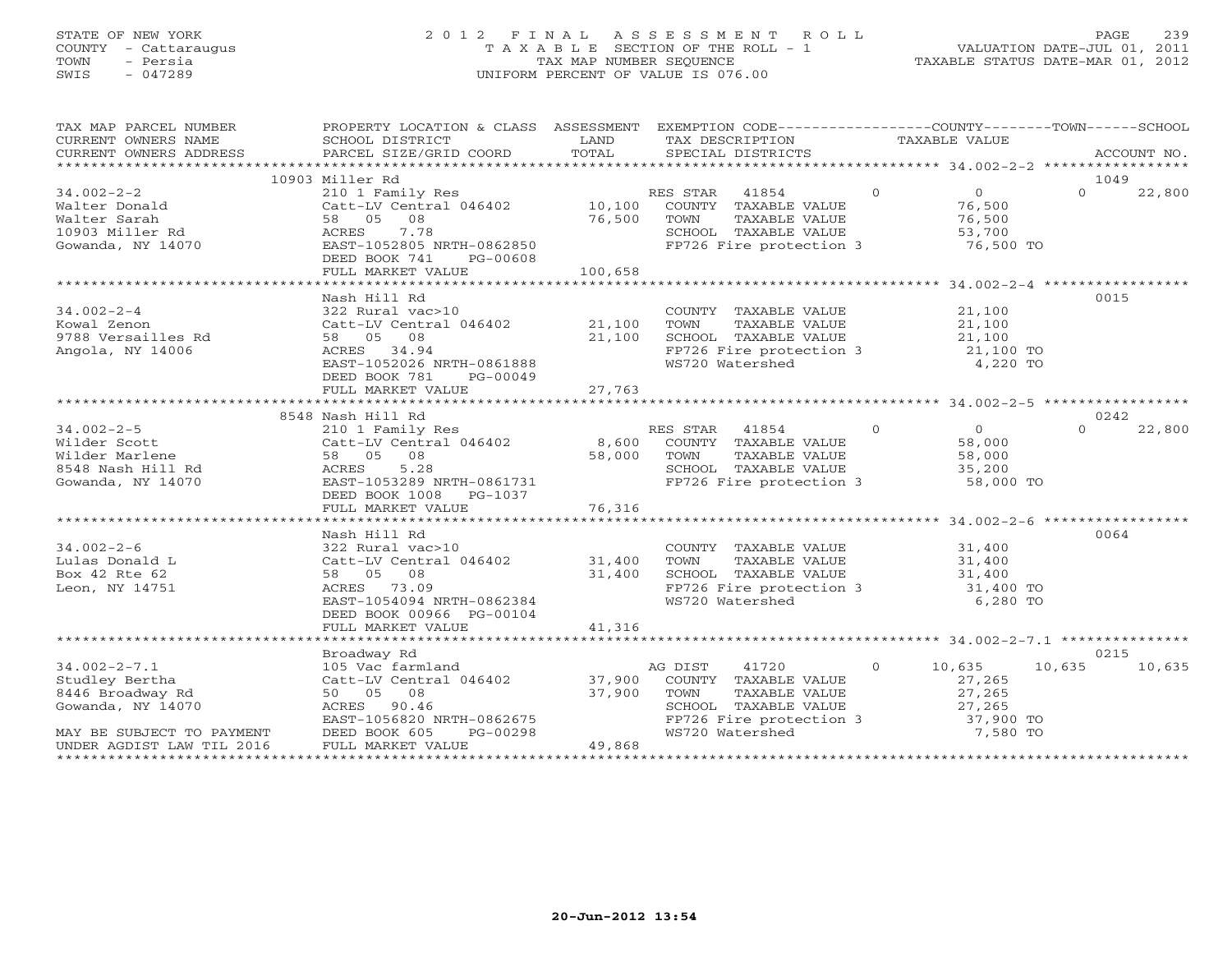# STATE OF NEW YORK 2 0 1 2 F I N A L A S S E S S M E N T R O L L PAGE 239 COUNTY - Cattaraugus T A X A B L E SECTION OF THE ROLL - 1 VALUATION DATE-JUL 01, 2011 TOWN - Persia TAX MAP NUMBER SEQUENCE TAXABLE STATUS DATE-MAR 01, 2012 SWIS - 047289 UNIFORM PERCENT OF VALUE IS 076.00UNIFORM PERCENT OF VALUE IS 076.00

| TAX MAP PARCEL NUMBER                                                                                                                                                                                                                      | PROPERTY LOCATION & CLASS ASSESSMENT EXEMPTION CODE---------------COUNTY-------TOWN------SCHOOL                                                                                                                                            |         |                                                                  |                 |          |        |
|--------------------------------------------------------------------------------------------------------------------------------------------------------------------------------------------------------------------------------------------|--------------------------------------------------------------------------------------------------------------------------------------------------------------------------------------------------------------------------------------------|---------|------------------------------------------------------------------|-----------------|----------|--------|
|                                                                                                                                                                                                                                            |                                                                                                                                                                                                                                            |         |                                                                  |                 |          |        |
|                                                                                                                                                                                                                                            |                                                                                                                                                                                                                                            |         |                                                                  |                 |          |        |
|                                                                                                                                                                                                                                            |                                                                                                                                                                                                                                            |         |                                                                  |                 |          |        |
|                                                                                                                                                                                                                                            | 10903 Miller Rd                                                                                                                                                                                                                            |         |                                                                  |                 | 1049     |        |
| $34.002 - 2 - 2$                                                                                                                                                                                                                           |                                                                                                                                                                                                                                            |         |                                                                  | $0$ 0<br>76,500 | $\Omega$ | 22,800 |
| 34.002-2-2<br>Walter Donald<br>Walter Sarah density Res (210 1 Family Res RES STA<br>Catt-LV Central 046402 10,100 COUNT<br>Malter Sarah 58 05 08 76,500 TOWN<br>10903 Miller Rd ACRES 7.78 SCHOO<br>Gowanda, NY 14070 EAST-1052805 NRTH-0 |                                                                                                                                                                                                                                            |         |                                                                  |                 |          |        |
|                                                                                                                                                                                                                                            |                                                                                                                                                                                                                                            |         |                                                                  |                 |          |        |
|                                                                                                                                                                                                                                            |                                                                                                                                                                                                                                            |         | TAXABLE VALUE<br>TAXABLE VALUE 76,500<br>TAXABLE VALUE 53,700    |                 |          |        |
|                                                                                                                                                                                                                                            |                                                                                                                                                                                                                                            |         | SCHOOL TAXABLE VALUE 53,700<br>FP726 Fire protection 3 76,500 TO |                 |          |        |
|                                                                                                                                                                                                                                            | DEED BOOK 741 PG-00608                                                                                                                                                                                                                     |         |                                                                  |                 |          |        |
|                                                                                                                                                                                                                                            | FULL MARKET VALUE                                                                                                                                                                                                                          | 100,658 |                                                                  |                 |          |        |
|                                                                                                                                                                                                                                            |                                                                                                                                                                                                                                            |         |                                                                  |                 |          |        |
|                                                                                                                                                                                                                                            |                                                                                                                                                                                                                                            |         |                                                                  |                 |          |        |
|                                                                                                                                                                                                                                            | Nash Hill Rd                                                                                                                                                                                                                               |         |                                                                  |                 | 0015     |        |
| $34.002 - 2 - 4$                                                                                                                                                                                                                           | 322 Rural vac>10<br>Catt-LV Central 046402<br>58 05 08<br>ACRES 34.94<br>ACRES 34.94<br>ACRES 34.94<br>ACRES 34.94<br>FEZ26 Fire protection 3<br>EXST-1052026 NRTH-0861888<br>DERD BOOK 781<br>PG-00049<br>ACRED BOOK 781<br>PG-00049      |         |                                                                  |                 |          |        |
| Kowal Zenon                                                                                                                                                                                                                                |                                                                                                                                                                                                                                            |         |                                                                  |                 |          |        |
| 9788 Versailles Rd                                                                                                                                                                                                                         |                                                                                                                                                                                                                                            |         |                                                                  |                 |          |        |
| Angola, NY 14006                                                                                                                                                                                                                           |                                                                                                                                                                                                                                            |         |                                                                  |                 |          |        |
|                                                                                                                                                                                                                                            |                                                                                                                                                                                                                                            |         |                                                                  |                 |          |        |
|                                                                                                                                                                                                                                            | DEED BOOK 781 PG-00049                                                                                                                                                                                                                     |         |                                                                  |                 |          |        |
|                                                                                                                                                                                                                                            | FULL MARKET VALUE 27,763                                                                                                                                                                                                                   |         |                                                                  |                 |          |        |
|                                                                                                                                                                                                                                            |                                                                                                                                                                                                                                            |         |                                                                  |                 |          |        |
|                                                                                                                                                                                                                                            | 8548 Nash Hill Rd                                                                                                                                                                                                                          |         |                                                                  |                 | 0242     |        |
| $34.002 - 2 - 5$                                                                                                                                                                                                                           | 210 1 Family Res<br>210 1 Family Res<br>Catt-LV Central 046402 8,600 COUNTY TAXABLE VALUE 58,000                                                                                                                                           |         | RES STAR 41854 0 0 0                                             |                 | $\Omega$ | 22,800 |
| $34.002-2-5$ 210 1 Fam<br>Wilder Scott<br>Wilder Marlene 58 05<br>8548 Nash Hill Rd<br>Gowanda, NY 14070 BAST-1053<br>PERD BOOK                                                                                                            |                                                                                                                                                                                                                                            |         |                                                                  |                 |          |        |
|                                                                                                                                                                                                                                            |                                                                                                                                                                                                                                            |         |                                                                  |                 |          |        |
|                                                                                                                                                                                                                                            |                                                                                                                                                                                                                                            |         |                                                                  |                 |          |        |
|                                                                                                                                                                                                                                            |                                                                                                                                                                                                                                            |         | FP726 Fire protection 3 58,000 TO                                |                 |          |        |
|                                                                                                                                                                                                                                            |                                                                                                                                                                                                                                            |         |                                                                  |                 |          |        |
|                                                                                                                                                                                                                                            | DEED BOOK 1008 PG-1037                                                                                                                                                                                                                     |         |                                                                  |                 |          |        |
|                                                                                                                                                                                                                                            | FULL MARKET VALUE                                                                                                                                                                                                                          | 76,316  |                                                                  |                 |          |        |
|                                                                                                                                                                                                                                            |                                                                                                                                                                                                                                            |         |                                                                  |                 |          |        |
|                                                                                                                                                                                                                                            | Nash Hill Rd                                                                                                                                                                                                                               |         |                                                                  |                 | 0064     |        |
| $34.002 - 2 - 6$                                                                                                                                                                                                                           |                                                                                                                                                                                                                                            |         | COUNTY TAXABLE VALUE 31,400                                      |                 |          |        |
| Lulas Donald L                                                                                                                                                                                                                             | 112 Nurai vac>10<br>Catt-LV Central 046402 31,400<br>58 05 08                                                                                                                                                                              |         |                                                                  |                 |          |        |
| Box 42 Rte 62                                                                                                                                                                                                                              |                                                                                                                                                                                                                                            |         |                                                                  |                 |          |        |
| Leon, NY 14751                                                                                                                                                                                                                             |                                                                                                                                                                                                                                            |         |                                                                  |                 |          |        |
|                                                                                                                                                                                                                                            |                                                                                                                                                                                                                                            |         |                                                                  |                 |          |        |
|                                                                                                                                                                                                                                            | DEED BOOK 00966 PG-00104                                                                                                                                                                                                                   |         |                                                                  |                 |          |        |
|                                                                                                                                                                                                                                            | FULL MARKET VALUE                                                                                                                                                                                                                          | 41,316  |                                                                  |                 |          |        |
|                                                                                                                                                                                                                                            |                                                                                                                                                                                                                                            |         |                                                                  |                 |          |        |
|                                                                                                                                                                                                                                            | Broadway Rd                                                                                                                                                                                                                                |         |                                                                  |                 | 0215     |        |
| $34.002 - 2 - 7.1$                                                                                                                                                                                                                         |                                                                                                                                                                                                                                            |         |                                                                  |                 | 10,635   | 10,635 |
| Studley Bertha                                                                                                                                                                                                                             |                                                                                                                                                                                                                                            |         |                                                                  |                 |          |        |
| 8446 Broadway Rd                                                                                                                                                                                                                           |                                                                                                                                                                                                                                            |         |                                                                  |                 |          |        |
| Gowanda, NY 14070                                                                                                                                                                                                                          |                                                                                                                                                                                                                                            |         |                                                                  |                 |          |        |
|                                                                                                                                                                                                                                            |                                                                                                                                                                                                                                            |         |                                                                  |                 |          |        |
|                                                                                                                                                                                                                                            |                                                                                                                                                                                                                                            |         |                                                                  |                 |          |        |
| MAY BE SUBJECT TO PAYMENT DEED BOOK 605 F<br>UNDER AGDIST LAW TIL 2016 FULL MARKET VALUE                                                                                                                                                   | Broadway Rd<br>105 Vac farmland<br>Catt-LV Central 046402<br>50 05 08 37,900 COUNTY TAXABLE VALUE<br>ACRES 90.46 50 05 08 37,900 TOWN TAXABLE VALUE<br>EAST-1056820 NRTH-0862675 FP726 Fire protection 3 37,900 TO<br>DEED BOOK 605 PG-002 |         |                                                                  |                 |          |        |
|                                                                                                                                                                                                                                            |                                                                                                                                                                                                                                            |         |                                                                  |                 |          |        |
|                                                                                                                                                                                                                                            |                                                                                                                                                                                                                                            |         |                                                                  |                 |          |        |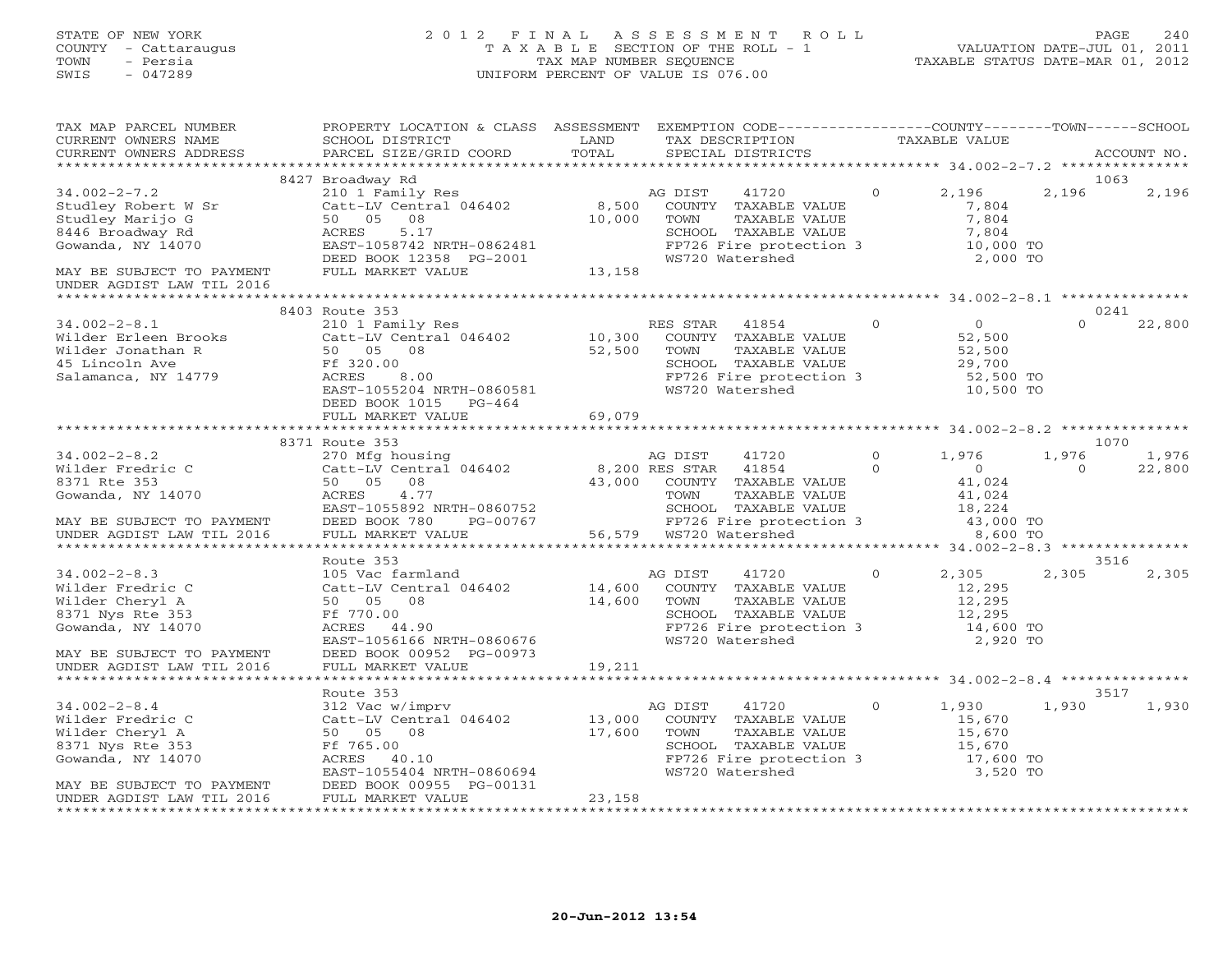# STATE OF NEW YORK 2 0 1 2 F I N A L A S S E S S M E N T R O L L PAGE 240 COUNTY - Cattaraugus T A X A B L E SECTION OF THE ROLL - 1 VALUATION DATE-JUL 01, 2011 TOWN - Persia TAX MAP NUMBER SEQUENCE TAXABLE STATUS DATE-MAR 01, 2012 SWIS - 047289 UNIFORM PERCENT OF VALUE IS 076.00UNIFORM PERCENT OF VALUE IS 076.00

| TAX MAP PARCEL NUMBER<br>CURRENT OWNERS NAME                                                                                                                 | PROPERTY LOCATION & CLASS ASSESSMENT EXEMPTION CODE----------------COUNTY-------TOWN------SCHOOL<br>SCHOOL DISTRICT                                                                                           | LAND                             | TAX DESCRIPTION TAXABLE VALUE<br>SPECIAL DISTRICTS                                                                                                                                       |                       |                                                                                |                         |                         |
|--------------------------------------------------------------------------------------------------------------------------------------------------------------|---------------------------------------------------------------------------------------------------------------------------------------------------------------------------------------------------------------|----------------------------------|------------------------------------------------------------------------------------------------------------------------------------------------------------------------------------------|-----------------------|--------------------------------------------------------------------------------|-------------------------|-------------------------|
| CURRENT OWNERS ADDRESS                                                                                                                                       | PARCEL SIZE/GRID COORD                                                                                                                                                                                        | TOTAL                            |                                                                                                                                                                                          |                       |                                                                                |                         | ACCOUNT NO.             |
| $34.002 - 2 - 7.2$<br>Studley Robert W Sr<br>Studley Marijo G<br>8446 Broadway Rd<br>Gowanda, NY 14070<br>MAY BE SUBJECT TO PAYMENT                          | 8427 Broadway Rd<br>210 1 Family Res<br>Catt-LV Central 046402<br>50 05<br>08<br>ACRES<br>5.17<br>EAST-1058742 NRTH-0862481<br>DEED BOOK 12358 PG-2001<br>FULL MARKET VALUE                                   | 8,500<br>10,000<br>13,158        | AG DIST<br>41720<br>COUNTY TAXABLE VALUE<br>TAXABLE VALUE<br>TOWN<br>SCHOOL TAXABLE VALUE<br>FP726 Fire protection 3<br>WS720 Watershed<br>WS720 Watershed                               | $\Omega$              | 2,196<br>7,804<br>7,804<br>7,804<br>10,000 TO<br>2,000 TO                      | 2,196                   | 1063<br>2,196           |
| UNDER AGDIST LAW TIL 2016                                                                                                                                    |                                                                                                                                                                                                               |                                  |                                                                                                                                                                                          |                       |                                                                                |                         |                         |
| $34.002 - 2 - 8.1$<br>Wilder Erleen Brooks<br>Wilder Jonathan R<br>45 Lincoln Ave<br>Salamanca, NY 14779                                                     | 8403 Route 353<br>210 1 Family Res<br>Catt-LV Central 046402 10,300 COUNTY TAXABLE VALUE<br>50 05 08<br>Ff 320.00<br>8.00<br>ACRES<br>EAST-1055204 NRTH-0860581<br>DEED BOOK 1015 PG-464<br>FULL MARKET VALUE | 52,500<br>69,079                 | RES STAR 41854<br>TOWN<br>TAXABLE VALUE<br>SCHOOL TAXABLE VALUE<br>FP726 Fire protection 3<br>WS720 Watershed                                                                            | $\overline{0}$        | $\overline{0}$<br>52,500<br>52,500<br>29,700<br>52,500 TO<br>10,500 TO         | $\Omega$                | 0241<br>22,800          |
|                                                                                                                                                              |                                                                                                                                                                                                               |                                  |                                                                                                                                                                                          |                       |                                                                                |                         |                         |
| $34.002 - 2 - 8.2$<br>Wilder Fredric C<br>8371 Rte 353<br>Gowanda, NY 14070<br>MAY BE SUBJECT TO PAYMENT<br>UNDER AGDIST LAW TIL 2016                        | 8371 Route 353<br>Route 333<br>270 Mfg housing<br>Catt-LV Central 046402<br>08<br>50 05<br>ACRES<br>4.77<br>EAST-1055892 NRTH-0860752<br>DEED BOOK 780<br>PG-00767<br>FULL MARKET VALUE                       | 8,200 RES STAR                   | 41720<br>AG DIST<br>41854<br>43,000 COUNTY TAXABLE VALUE<br>TAXABLE VALUE<br>TOWN<br>SCHOOL TAXABLE VALUE<br>FP726 Fire protection 3<br>56,579 WS720 Watershed<br>56,579 WS720 Watershed | $\bigcirc$<br>$\circ$ | 1,976<br>$\overline{0}$<br>41,024<br>41,024<br>18,224<br>43,000 TO<br>8,600 TO | 1,976<br>$\overline{0}$ | 1070<br>1,976<br>22,800 |
|                                                                                                                                                              | Route 353                                                                                                                                                                                                     |                                  |                                                                                                                                                                                          |                       |                                                                                |                         | 3516                    |
| $34.002 - 2 - 8.3$<br>Wilder Fredric C<br>Wilder Cheryl A<br>8371 Nys Rte 353<br>Gowanda, NY 14070<br>MAY BE SUBJECT TO PAYMENT                              | 105 Vac farmland<br>Catt-LV Central 046402<br>50 05 08<br>Ff 770.00<br>ACRES 44.90<br>EAST-1056166 NRTH-0860676<br>DEED BOOK 00952 PG-00973                                                                   | 14,600<br>14,600                 | AG DIST<br>41720<br>COUNTY TAXABLE VALUE<br>TOWN<br>TAXABLE VALUE<br>SCHOOL TAXABLE VALUE<br>FP726 Fire protection 3<br>WS720 Watershed                                                  | $\overline{O}$        | 2,305<br>12,295<br>12,295<br>12,295<br>14,600 TO<br>2,920 TO                   | 2,305                   | 2,305                   |
| UNDER AGDIST LAW TIL 2016                                                                                                                                    | FULL MARKET VALUE                                                                                                                                                                                             | 19,211                           |                                                                                                                                                                                          |                       |                                                                                |                         |                         |
| $34.002 - 2 - 8.4$<br>Wilder Fredric C<br>Wilder Cheryl A<br>8371 Nys Rte 353<br>Gowanda, NY 14070<br>MAY BE SUBJECT TO PAYMENT<br>UNDER AGDIST LAW TIL 2016 | Route 353<br>312 Vac w/imprv<br>Catt-LV Central 046402<br>50 05 08<br>Ff 765.00<br>ACRES 40.10<br>EAST-1055404 NRTH-0860694<br>DEED BOOK 00955 PG-00131<br>FULL MARKET VALUE                                  | $13,000^{P}$<br>17,600<br>23,158 | 41720<br>AG DIST<br>COUNTY TAXABLE VALUE<br>TOWN<br>TAXABLE VALUE<br>SCHOOL TAXABLE VALUE<br>FP726 Fire protection 3<br>WS720 Watershed                                                  | $\Omega$              | 1,930<br>15,670<br>15,670<br>15,670<br>17,600 TO<br>3,520 TO                   | 1,930                   | 3517<br>1,930           |
|                                                                                                                                                              |                                                                                                                                                                                                               |                                  |                                                                                                                                                                                          |                       |                                                                                |                         |                         |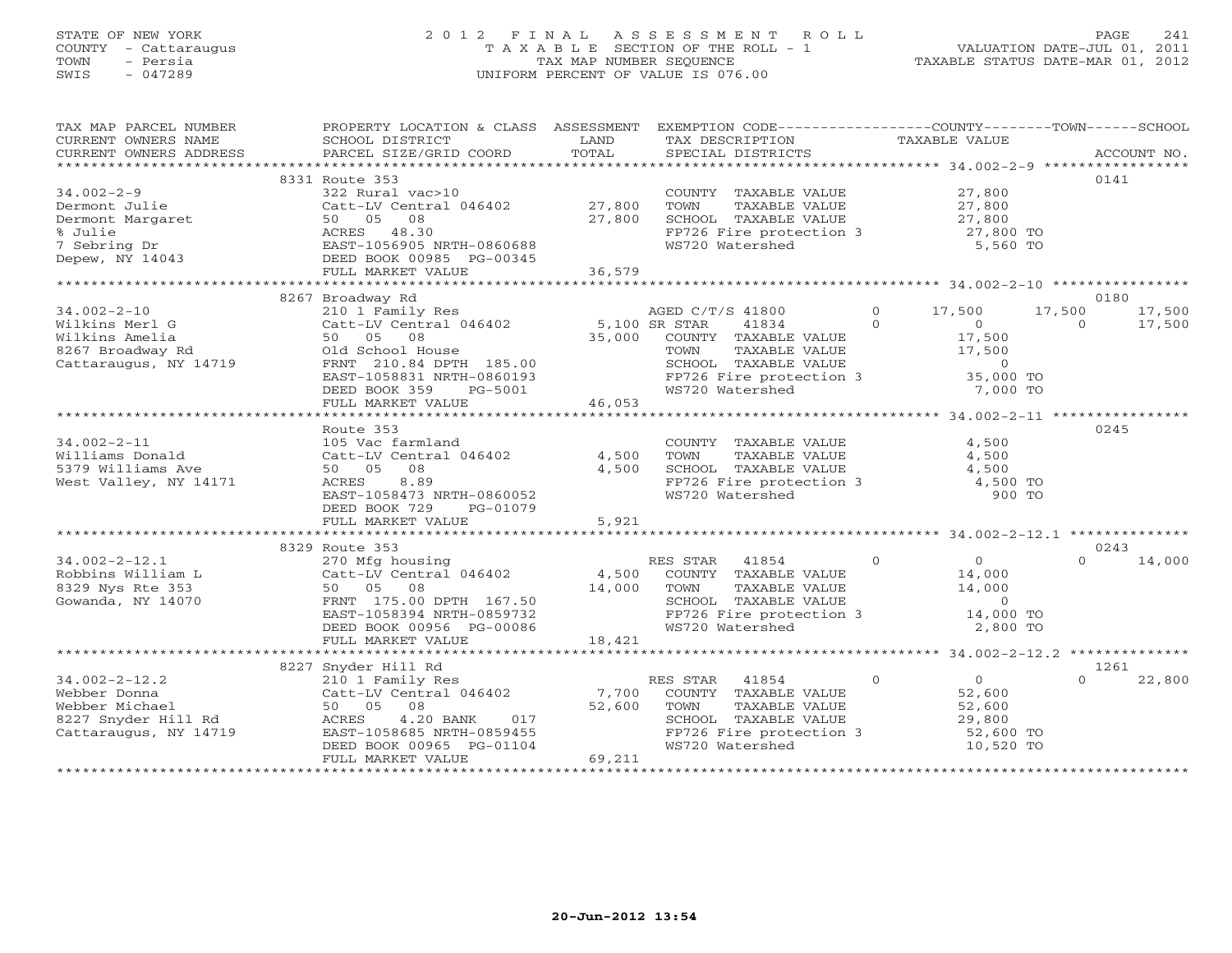# STATE OF NEW YORK 2 0 1 2 F I N A L A S S E S S M E N T R O L L PAGE 241 COUNTY - Cattaraugus T A X A B L E SECTION OF THE ROLL - 1 VALUATION DATE-JUL 01, 2011 TOWN - Persia TAX MAP NUMBER SEQUENCE TAXABLE STATUS DATE-MAR 01, 2012 SWIS - 047289 UNIFORM PERCENT OF VALUE IS 076.00UNIFORM PERCENT OF VALUE IS 076.00

| TAX MAP PARCEL NUMBER  | PROPERTY LOCATION & CLASS ASSESSMENT      |               | EXEMPTION CODE-----------------COUNTY-------TOWN------SCHOOL  |                                        |                    |
|------------------------|-------------------------------------------|---------------|---------------------------------------------------------------|----------------------------------------|--------------------|
| CURRENT OWNERS NAME    | SCHOOL DISTRICT                           | LAND          | TAX DESCRIPTION                                               | TAXABLE VALUE                          |                    |
| CURRENT OWNERS ADDRESS | PARCEL SIZE/GRID COORD                    | TOTAL         | SPECIAL DISTRICTS                                             |                                        | ACCOUNT NO.        |
|                        |                                           |               |                                                               |                                        |                    |
|                        | 8331 Route 353                            |               |                                                               |                                        | 0141               |
| $34.002 - 2 - 9$       | 322 Rural vac>10                          |               | COUNTY TAXABLE VALUE                                          | 27,800                                 |                    |
| Dermont Julie          | Catt-LV Central 046402                    | 27,800        | TOWN<br>TAXABLE VALUE                                         | 27,800                                 |                    |
| Dermont Margaret       | 50 05 08                                  | 27,800        | SCHOOL TAXABLE VALUE                                          |                                        |                    |
| % Julie                | ACRES 48.30                               |               | FP726 Fire protection 3                                       | 27,800<br>27,800 TO                    |                    |
| 7 Sebring Dr           | EAST-1056905 NRTH-0860688                 |               | WS720 Watershed                                               | 5,560 TO                               |                    |
| Depew, NY 14043        | DEED BOOK 00985 PG-00345                  |               |                                                               |                                        |                    |
|                        | FULL MARKET VALUE                         | 36,579        |                                                               |                                        |                    |
|                        |                                           |               |                                                               |                                        |                    |
|                        | 8267 Broadway Rd                          |               |                                                               |                                        | 0180               |
| $34.002 - 2 - 10$      | 210 1 Family Res                          |               | AGED C/T/S 41800                                              | $\Omega$<br>17,500                     | 17,500<br>17,500   |
| Wilkins Merl G         | Catt-LV Central 046402                    | 5,100 SR STAR | 41834                                                         | $\Omega$<br>$\overline{0}$             | 17,500<br>$\circ$  |
| Wilkins Amelia         | 50 05 08                                  | 35,000        | COUNTY TAXABLE VALUE                                          | 17,500                                 |                    |
| 8267 Broadway Rd       | Old School House                          |               |                                                               | 17,500                                 |                    |
| Cattaraugus, NY 14719  | FRNT 210.84 DPTH 185.00                   |               | TOWN      TAXABLE VALUE<br>SCHOOL   TAXABLE VALUE             | $\overline{0}$                         |                    |
|                        | EAST-1058831 NRTH-0860193                 |               | FP726 Fire protection 3                                       | 35,000 TO                              |                    |
|                        | DEED BOOK 359<br>PG-5001                  |               | WS720 Watershed                                               | 7,000 TO                               |                    |
|                        | FULL MARKET VALUE                         | 46,053        |                                                               |                                        |                    |
|                        |                                           |               |                                                               |                                        |                    |
|                        | Route 353                                 |               |                                                               |                                        | 0245               |
| $34.002 - 2 - 11$      | 105 Vac farmland                          |               | COUNTY TAXABLE VALUE                                          | 4,500                                  |                    |
| Williams Donald        | Catt-LV Central 046402                    | 4,500         | TOWN<br>TAXABLE VALUE                                         | 4,500                                  |                    |
| 5379 Williams Ave      | 50 05<br>08                               | 4,500         | SCHOOL TAXABLE VALUE                                          | 4,500                                  |                    |
| West Valley, NY 14171  | 8.89<br>ACRES                             |               |                                                               |                                        |                    |
|                        |                                           |               | FP726 Fire protection 3<br>WS720 Watershed<br>WS720 Watershed | 4,500 TO                               |                    |
|                        | EAST-1058473 NRTH-0860052                 |               |                                                               | 900 TO                                 |                    |
|                        | DEED BOOK 729<br>PG-01079                 |               |                                                               |                                        |                    |
|                        | FULL MARKET VALUE                         | 5,921         |                                                               |                                        |                    |
|                        |                                           |               |                                                               |                                        |                    |
|                        | 8329 Route 353                            |               |                                                               |                                        | 0243               |
| $34.002 - 2 - 12.1$    | 270 Mfg housing<br>Catt-LV Central 046402 |               | RES STAR 41854                                                | $\Omega$<br>$\Omega$                   | 14,000<br>$\Omega$ |
| Robbins William L      |                                           | 4,500         | COUNTY TAXABLE VALUE                                          | 14,000                                 |                    |
| 8329 Nys Rte 353       | 50 05 08                                  | 14,000        | TOWN<br>TAXABLE VALUE                                         | 14,000                                 |                    |
| Gowanda, NY 14070      | FRNT 175.00 DPTH 167.50                   |               | SCHOOL TAXABLE VALUE                                          | $\overline{0}$                         |                    |
|                        | EAST-1058394 NRTH-0859732                 |               | FP726 Fire protection 3                                       | 14,000 TO                              |                    |
|                        | DEED BOOK 00956 PG-00086                  |               | WS720 Watershed                                               | 2,800 TO                               |                    |
|                        | FULL MARKET VALUE                         | 18,421        |                                                               |                                        |                    |
|                        |                                           |               |                                                               |                                        |                    |
|                        | 8227 Snyder Hill Rd                       |               |                                                               |                                        | 1261               |
| $34.002 - 2 - 12.2$    | 210 1 Family Res                          |               | 41854<br>RES STAR                                             | $\Omega$<br>$\overline{0}$             | 22,800<br>$\Omega$ |
| Webber Donna           | Catt-LV Central 046402                    | 7,700         | COUNTY TAXABLE VALUE                                          | 52,600                                 |                    |
| Webber Michael         | 50 05 08                                  | 52,600        | TOWN<br>TAXABLE VALUE                                         | 52,600                                 |                    |
| 8227 Snyder Hill Rd    | ACRES<br>$4.20$ BANK<br>017               |               | SCHOOL TAXABLE VALUE                                          | 29,800                                 |                    |
| Cattaraugus, NY 14719  | EAST-1058685 NRTH-0859455                 |               | FP726 Fire protection 3                                       | 52,600 TO                              |                    |
|                        | DEED BOOK 00965 PG-01104                  |               | WS720 Watershed                                               | 10,520 TO                              |                    |
|                        | FULL MARKET VALUE                         | 69,211        |                                                               |                                        |                    |
|                        |                                           |               |                                                               | ************************************** |                    |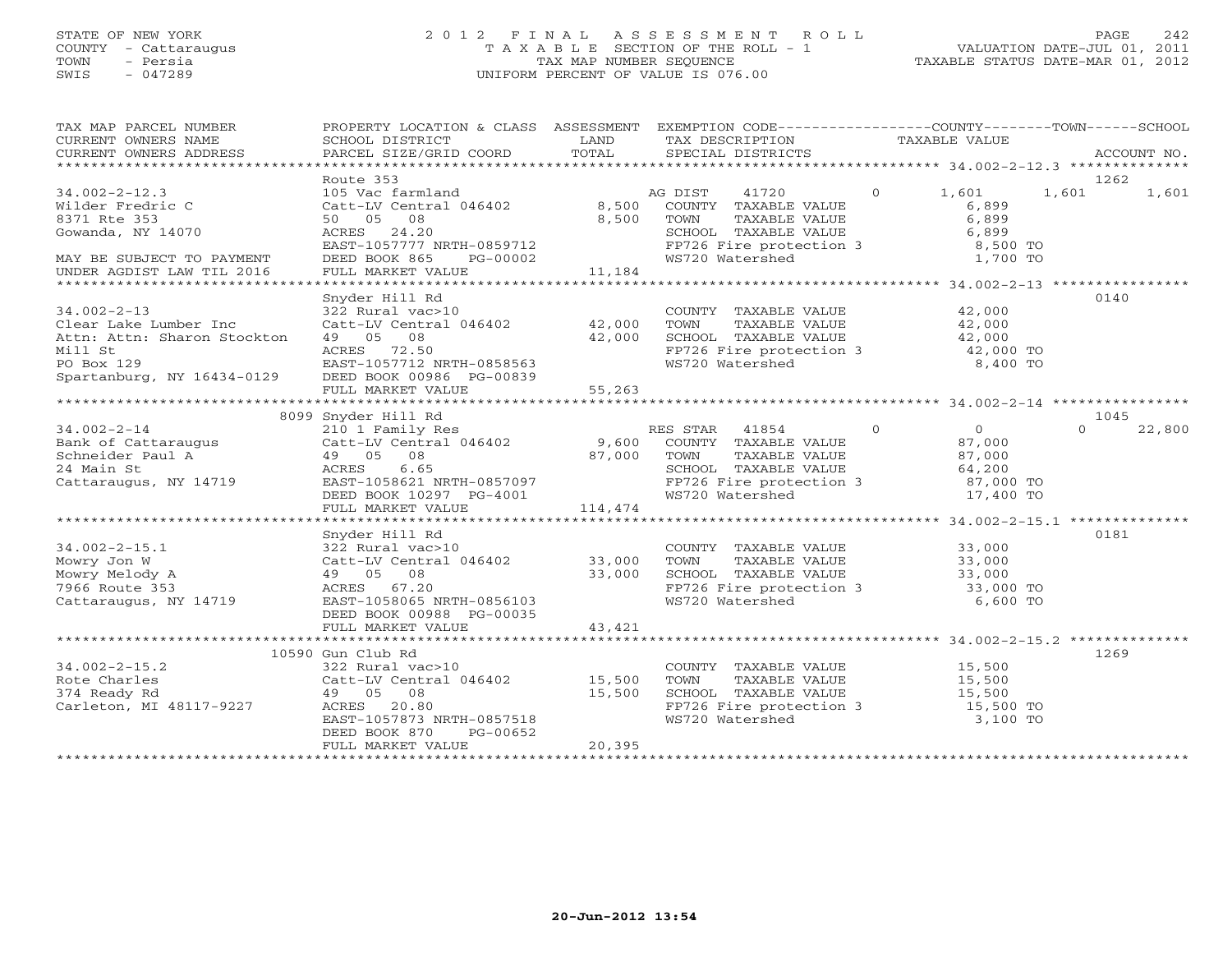# STATE OF NEW YORK 2 0 1 2 F I N A L A S S E S S M E N T R O L L PAGE 242 COUNTY - Cattaraugus T A X A B L E SECTION OF THE ROLL - 1 VALUATION DATE-JUL 01, 2011 TOWN - Persia TAX MAP NUMBER SEQUENCE TAXABLE STATUS DATE-MAR 01, 2012 SWIS - 047289 UNIFORM PERCENT OF VALUE IS 076.00UNIFORM PERCENT OF VALUE IS 076.00

| TAX MAP PARCEL NUMBER<br>TAXIN'S PARCEL SUPPORT TO A CONDUCT THE CONDUCT CONDUCT TRANSFERS TO THE CONDUCT TRANSFERS TO THE CONDUCT TRANSFERS TO THE CONDUCT TRANSFERS TO THE CONDUCT TRANSFERS PARCEL STREET TO THE SECTION TRANSFERS PARCEL STREET TO | PROPERTY LOCATION & CLASS ASSESSMENT EXEMPTION CODE---------------COUNTY-------TOWN-----SCHOOL                                                                                                                         |                  |                                                                                                                                                                |                                                                                                 |                    |
|--------------------------------------------------------------------------------------------------------------------------------------------------------------------------------------------------------------------------------------------------------|------------------------------------------------------------------------------------------------------------------------------------------------------------------------------------------------------------------------|------------------|----------------------------------------------------------------------------------------------------------------------------------------------------------------|-------------------------------------------------------------------------------------------------|--------------------|
|                                                                                                                                                                                                                                                        | Route 353                                                                                                                                                                                                              |                  |                                                                                                                                                                |                                                                                                 | 1262               |
| $34.002 - 2 - 12.3$<br>Wilder Fredric C<br>8371 Rte 353<br>Gowanda, NY 14070<br>MAY BE SUBJECT TO PAYMENT<br>UNDER AGDIST LAW TIL 2016                                                                                                                 | 105 Vac farmland and AG DIST<br>Catt-LV Central 046402 8,500 COUNTY<br>50 05 08<br>8,500 TOWN<br>SCHOC<br>ACRES 24.20<br>ACKES 24.20<br>EAST-1057777 NRTH-0859712<br>DEED BOOK 865 PG-00002<br>FULL MARKET VALUE       | 11,184           | 41720 0<br>COUNTY TAXABLE VALUE<br>TOWN TAXABLE VALUE<br>SCHOOL TAXABLE VALUE<br>FP726 Fire protection 3<br>WS720 Watershed<br>A 2009 1,700 TO                 | 1,601                                                                                           | 1,601<br>1,601     |
|                                                                                                                                                                                                                                                        |                                                                                                                                                                                                                        |                  |                                                                                                                                                                |                                                                                                 |                    |
| $34.002 - 2 - 13$<br>Clear Lake Lumber Inc<br>Attn: Attn: Sharon Stockton<br>Mill St<br>PO Box 129<br>Spartanburg, NY 16434-0129 DEED BOOK 00986 PG-00839                                                                                              | Snyder Hill Rd<br>322 Rural vac>10<br>Catt-LV Central 046402 42,000<br>$49$ 05 08 $42,000$<br>ACRES 72.50<br>EAST-1057712 NRTH-0858563<br>NY 16434-0129 DEED BOOK 00006 50.000<br>FULL MARKET VALUE                    | 55,263           | COUNTY TAXABLE VALUE 42,000<br>TOWN TAXABLE VALUE 42,000<br>SCHOOL TAXABLE VALUE 42,000<br>FP726 Fire protection 3 42,000 TO<br>WS720 Watershed 8,400 TO       |                                                                                                 | 0140               |
|                                                                                                                                                                                                                                                        |                                                                                                                                                                                                                        |                  |                                                                                                                                                                |                                                                                                 |                    |
|                                                                                                                                                                                                                                                        | 8099 Snyder Hill Rd                                                                                                                                                                                                    |                  |                                                                                                                                                                |                                                                                                 | 1045               |
| 8099 Snyder HIII Kd 210 1 Family Res 210 1 Family Res 210 1 Family Res 210 1 Family Res 210 1 Family Res 210 1 Family Res 210 1 Family Res 210 1 Family Res 210 1 Family Res 210 1 Family Res 210 1 Family Res 210 1 Family Re                         |                                                                                                                                                                                                                        |                  | SCHOOL TAXABLE VALUE 64,200<br>FP726 Fire protection 3 67,000 TO                                                                                               | $\begin{array}{c}\n0 \\ 87 \text{ } \text{cm} \end{array}$<br>TAXABLE VALUE 87,000<br>17,400 TO | $\Omega$<br>22,800 |
|                                                                                                                                                                                                                                                        | FULL MARKET VALUE                                                                                                                                                                                                      | 114,474          |                                                                                                                                                                |                                                                                                 |                    |
|                                                                                                                                                                                                                                                        |                                                                                                                                                                                                                        |                  |                                                                                                                                                                |                                                                                                 |                    |
| 34.002-2-15.1<br>Mowry Jon W<br>Mowry Melody A<br>7966 Route 353<br>Cattaraugus, NY 14719<br>Cattaraugus, NY 14719<br>Cattaraugus, NY 14719<br>Cattaraugus, NY 14719<br>Cattaraugus, NY 14719<br>Cattaraugus, NY 14719<br>Cattaraugus, NY 14719<br>C   | Snyder Hill Rd<br>DEED BOOK 00988 PG-00035                                                                                                                                                                             |                  | COUNTY TAXABLE VALUE $33,000$<br>TOWN TAXABLE VALUE $33,000$<br>SCHOOL TAXABLE VALUE $33,000$<br>FP726 Fire protection 3 33,000 TO<br>WS720 Watershed 6,600 TO |                                                                                                 | 0181               |
|                                                                                                                                                                                                                                                        | FULL MARKET VALUE                                                                                                                                                                                                      | 43,421           |                                                                                                                                                                |                                                                                                 |                    |
|                                                                                                                                                                                                                                                        |                                                                                                                                                                                                                        |                  |                                                                                                                                                                |                                                                                                 |                    |
| $34.002 - 2 - 15.2$<br>Rote Charles<br>374 Ready Rd<br>Carleton, MI 48117-9227 ACRES                                                                                                                                                                   | 10590 Gun Club Rd<br>322 Rural vac>10<br>Catt-LV Central 046402           15,500<br>49    05    08                      15,500<br>20.80<br>EAST-1057873 NRTH-0857518<br>DEED BOOK 870<br>PG-00652<br>FULL MARKET VALUE | 15,500<br>20,395 | COUNTY TAXABLE VALUE 15,500<br>TOWN<br>SCHOOL TAXABLE VALUE 15,500<br>FP726 Fire protection 3 15,500 TO<br>WS720 Watershed                                     | TAXABLE VALUE<br>TAXABLE VALUE 15,500<br>TAXABLE VALUE 15,500<br>3,100 TO                       | 1269               |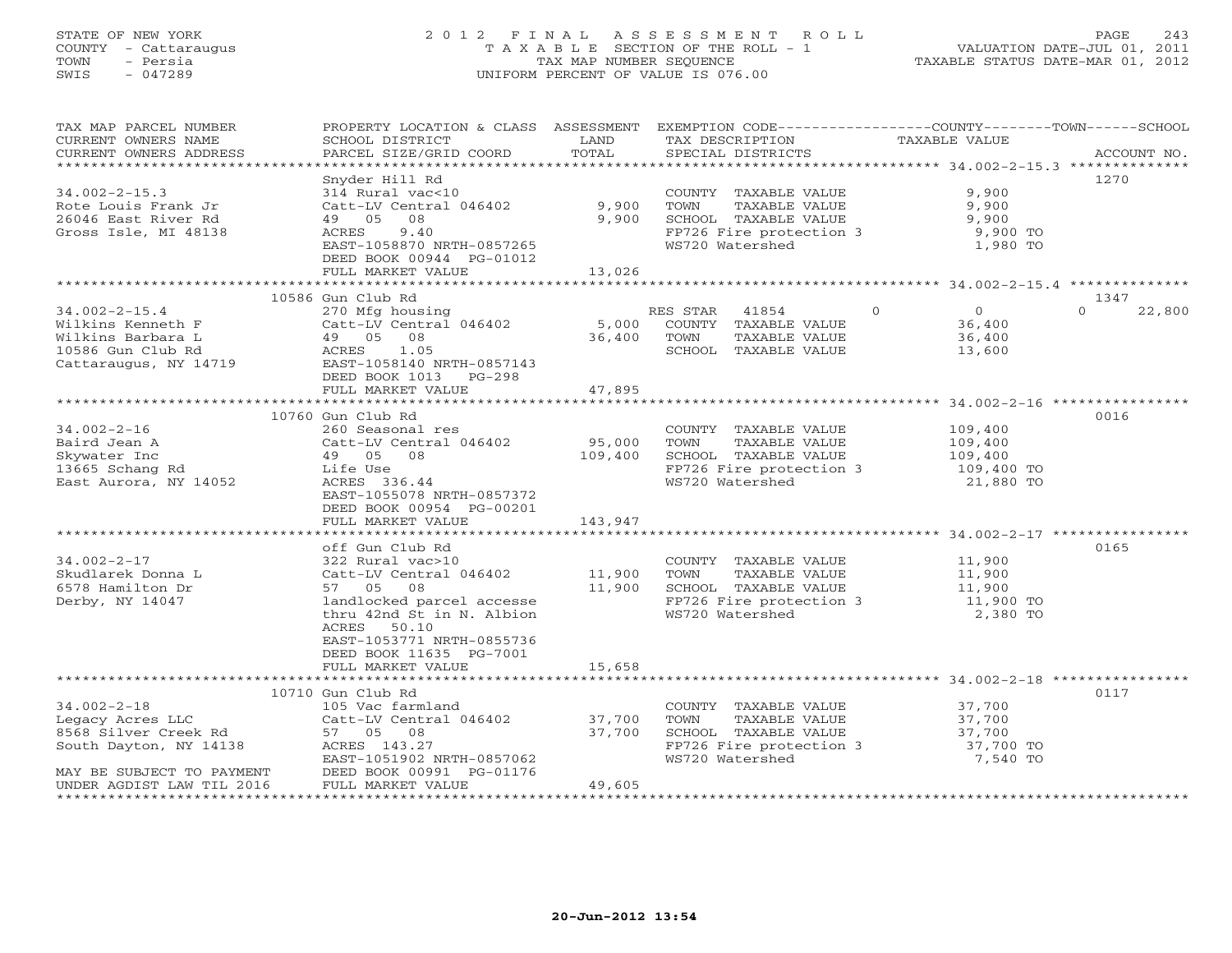# STATE OF NEW YORK 2 0 1 2 F I N A L A S S E S S M E N T R O L L PAGE 243 COUNTY - Cattaraugus T A X A B L E SECTION OF THE ROLL - 1 VALUATION DATE-JUL 01, 2011 TOWN - Persia TAX MAP NUMBER SEQUENCE TAXABLE STATUS DATE-MAR 01, 2012 SWIS - 047289 UNIFORM PERCENT OF VALUE IS 076.00UNIFORM PERCENT OF VALUE IS 076.00

| TAX MAP PARCEL NUMBER<br>CURRENT OWNERS NAME                                                                                                                                                                                 | PROPERTY LOCATION & CLASS ASSESSMENT EXEMPTION CODE----------------COUNTY-------TOWN------SCHOOL<br>SCHOOL DISTRICT | LAND                       | TAX DESCRIPTION<br>SPECIAL DISTRICTS                                                                        |                               |                    |
|------------------------------------------------------------------------------------------------------------------------------------------------------------------------------------------------------------------------------|---------------------------------------------------------------------------------------------------------------------|----------------------------|-------------------------------------------------------------------------------------------------------------|-------------------------------|--------------------|
| CURRENT OWNERS ADDRESS                                                                                                                                                                                                       | PARCEL SIZE/GRID COORD                                                                                              | TOTAL                      | SPECIAL DISTRICTS                                                                                           |                               | ACCOUNT NO.        |
|                                                                                                                                                                                                                              |                                                                                                                     |                            |                                                                                                             |                               |                    |
|                                                                                                                                                                                                                              | Snyder Hill Rd                                                                                                      |                            |                                                                                                             |                               | 1270               |
| $34.002 - 2 - 15.3$                                                                                                                                                                                                          | 314 Rural vac<10                                                                                                    |                            | COUNTY TAXABLE VALUE                                                                                        | 9,900                         |                    |
| Rote Louis Frank Jr                                                                                                                                                                                                          | Catt-LV Central 046402                                                                                              | 9,900                      |                                                                                                             | 9,900                         |                    |
| 26046 East River Rd                                                                                                                                                                                                          | 49 05<br>08                                                                                                         | 9,900                      |                                                                                                             | 9,900                         |                    |
| Gross Isle, MI 48138                                                                                                                                                                                                         | 9.40<br>ACRES<br>EAST-1058870 NRTH-0857265                                                                          |                            | FP726 Fire protection 3<br>WS720 Watershed 1,980 TO                                                         |                               |                    |
|                                                                                                                                                                                                                              | DEED BOOK 00944 PG-01012                                                                                            |                            |                                                                                                             |                               |                    |
|                                                                                                                                                                                                                              | FULL MARKET VALUE                                                                                                   | 13,026                     |                                                                                                             |                               |                    |
|                                                                                                                                                                                                                              |                                                                                                                     |                            |                                                                                                             |                               |                    |
|                                                                                                                                                                                                                              | 10586 Gun Club Rd                                                                                                   |                            |                                                                                                             |                               | 1347               |
| $34.002 - 2 - 15.4$                                                                                                                                                                                                          | 270 Mfg housing                                                                                                     |                            | RES STAR 41854                                                                                              | $\Omega$<br>$\overline{0}$    | $\Omega$<br>22,800 |
|                                                                                                                                                                                                                              |                                                                                                                     |                            | COUNTY TAXABLE VALUE                                                                                        |                               |                    |
|                                                                                                                                                                                                                              |                                                                                                                     | 5,000 COUNT<br>36,400 TOWN | TAXABLE VALUE                                                                                               | 36,400<br>36,400              |                    |
| Wilkins Kenneth F<br>Wilkins Barbara L<br>10586 Gun Club Rd<br>20586 Gun Club Rd<br>20586 Gun Club Rd<br>20586 Gun Club Rd<br>20586 Gun Club Rd<br>20586 Gun Club Rd<br>20586 Gun Club Rd<br>20586 10586 RD<br>20596 2059143 | Catt-LV Central 046402<br>49 05 08<br>ACRES 1.05                                                                    |                            | SCHOOL TAXABLE VALUE                                                                                        | 13,600                        |                    |
|                                                                                                                                                                                                                              |                                                                                                                     |                            |                                                                                                             |                               |                    |
|                                                                                                                                                                                                                              | DEED BOOK 1013 PG-298                                                                                               |                            |                                                                                                             |                               |                    |
|                                                                                                                                                                                                                              | FULL MARKET VALUE                                                                                                   | 47,895                     |                                                                                                             |                               |                    |
|                                                                                                                                                                                                                              |                                                                                                                     |                            |                                                                                                             |                               |                    |
|                                                                                                                                                                                                                              | 10760 Gun Club Rd                                                                                                   |                            |                                                                                                             |                               | 0016               |
| $34.002 - 2 - 16$                                                                                                                                                                                                            | 260 Seasonal res                                                                                                    |                            | COUNTY TAXABLE VALUE 109,400                                                                                |                               |                    |
| Baird Jean A                                                                                                                                                                                                                 | Catt-LV Central 046402                                                                                              | 95,000<br>109,400          | TOWN<br>TAXABLE VALUE                                                                                       | 109,400                       |                    |
| Baird Jean A<br>Skywater Inc<br>13665 Schang Rd                                                                                                                                                                              | 49 05 08                                                                                                            |                            | SCHOOL TAXABLE VALUE                                                                                        | $109,400$<br>$109,400$ TO     |                    |
|                                                                                                                                                                                                                              | Life Use                                                                                                            |                            | FP726 Fire protection 3<br>WS720 Watershed                                                                  |                               |                    |
| East Aurora, NY 14052                                                                                                                                                                                                        | ACRES 336.44<br>EAST-1055078 NRTH-0857372                                                                           |                            |                                                                                                             | 21,880 TO                     |                    |
|                                                                                                                                                                                                                              | DEED BOOK 00954 PG-00201                                                                                            |                            |                                                                                                             |                               |                    |
|                                                                                                                                                                                                                              | FULL MARKET VALUE                                                                                                   | 143,947                    |                                                                                                             |                               |                    |
|                                                                                                                                                                                                                              |                                                                                                                     |                            |                                                                                                             |                               |                    |
|                                                                                                                                                                                                                              | off Gun Club Rd                                                                                                     |                            |                                                                                                             |                               | 0165               |
| $34.002 - 2 - 17$                                                                                                                                                                                                            | 322 Rural vac>10                                                                                                    |                            | COUNTY TAXABLE VALUE 11,900                                                                                 |                               |                    |
| Skudlarek Donna L                                                                                                                                                                                                            |                                                                                                                     |                            |                                                                                                             |                               |                    |
| 6578 Hamilton Dr                                                                                                                                                                                                             | Catt-LV Central 046402 11,900<br>57 05 08 11,900                                                                    |                            | COUNTY TAXABLE VALUE $-$<br>TOWN TAXABLE VALUE 11,900<br>TIMOT TAXABLE VALUE 11,900<br>SCHOOL TAXABLE VALUE |                               |                    |
| Derby, NY 14047                                                                                                                                                                                                              | landlocked parcel accesse                                                                                           |                            | FP726 Fire protection 3 11,900 TO<br>WS720 Watershed 2,380 TO                                               |                               |                    |
|                                                                                                                                                                                                                              | thru 42nd St in N. Albion                                                                                           |                            |                                                                                                             |                               |                    |
|                                                                                                                                                                                                                              | ACRES 50.10                                                                                                         |                            |                                                                                                             |                               |                    |
|                                                                                                                                                                                                                              | EAST-1053771 NRTH-0855736                                                                                           |                            |                                                                                                             |                               |                    |
|                                                                                                                                                                                                                              | DEED BOOK 11635 PG-7001                                                                                             |                            |                                                                                                             |                               |                    |
|                                                                                                                                                                                                                              | FULL MARKET VALUE                                                                                                   | 15,658                     |                                                                                                             |                               |                    |
|                                                                                                                                                                                                                              |                                                                                                                     |                            |                                                                                                             |                               |                    |
|                                                                                                                                                                                                                              | 10710 Gun Club Rd<br>105 Vac farmland                                                                               |                            |                                                                                                             |                               | 0117               |
| $34.002 - 2 - 18$                                                                                                                                                                                                            |                                                                                                                     |                            | COUNTY TAXABLE VALUE 37,700                                                                                 |                               |                    |
|                                                                                                                                                                                                                              | 103 vac furnitum<br>Catt-LV Central 046402 37,700<br>F7 05 08 37,700                                                | 37,700                     | TOWN      TAXABLE VALUE<br>SCHOOL   TAXABLE VALUE                                                           |                               |                    |
| South Dayton, NY 14138                                                                                                                                                                                                       | ACRES 143.27                                                                                                        |                            |                                                                                                             | 37,700<br>37,700<br>37,700 TO |                    |
|                                                                                                                                                                                                                              | EAST-1051902 NRTH-0857062                                                                                           |                            | FP726 Fire protection 3<br>ws720 Watershed<br>WS720 Watershed                                               | 7,540 TO                      |                    |
| MAY BE SUBJECT TO PAYMENT                                                                                                                                                                                                    | DEED BOOK 00991 PG-01176                                                                                            |                            |                                                                                                             |                               |                    |
| UNDER AGDIST LAW TIL 2016                                                                                                                                                                                                    | FULL MARKET VALUE                                                                                                   | 49,605                     |                                                                                                             |                               |                    |
|                                                                                                                                                                                                                              |                                                                                                                     |                            |                                                                                                             |                               |                    |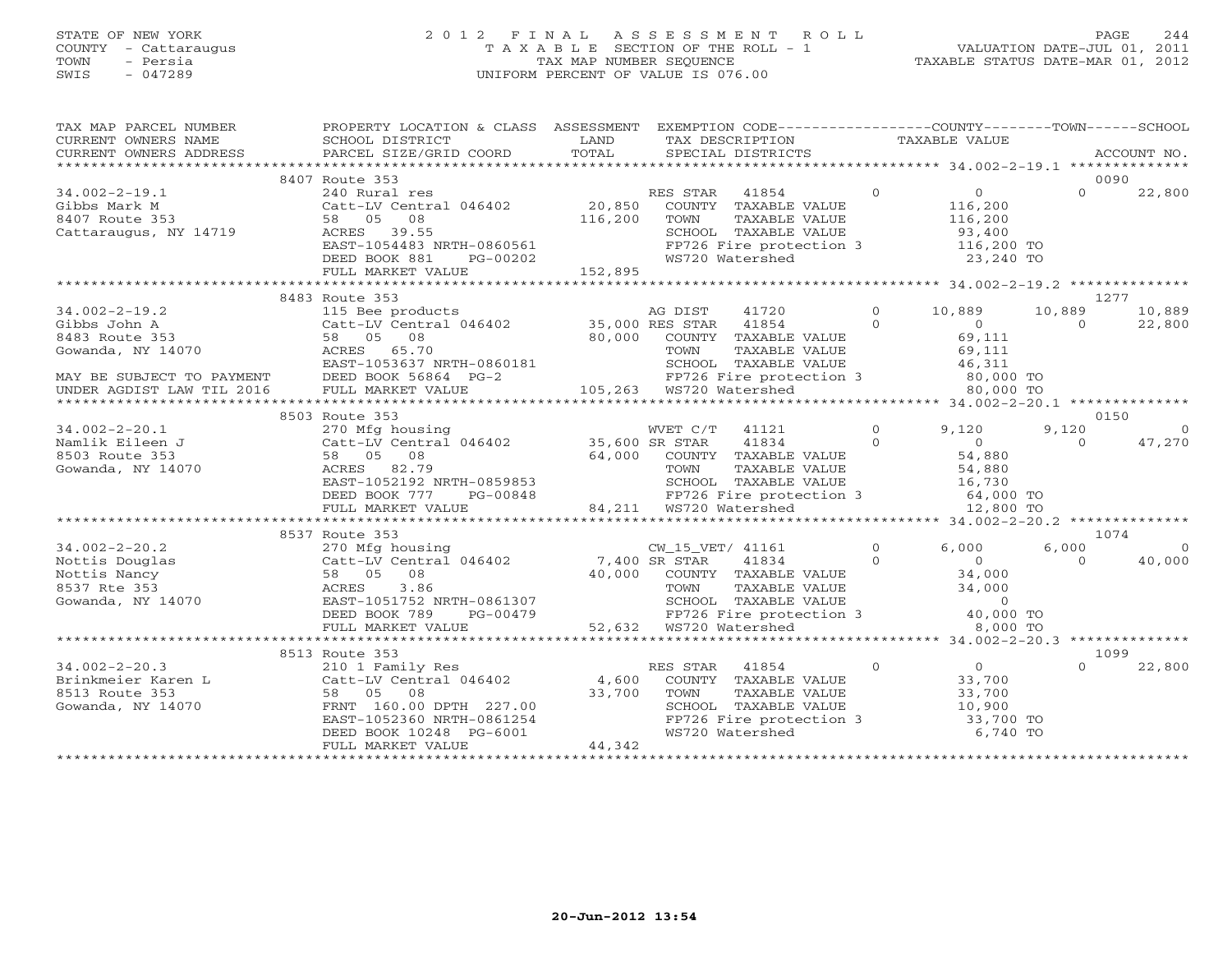# STATE OF NEW YORK 2 0 1 2 F I N A L A S S E S S M E N T R O L L PAGE 244 COUNTY - Cattaraugus T A X A B L E SECTION OF THE ROLL - 1 VALUATION DATE-JUL 01, 2011 TOWN - Persia TAX MAP NUMBER SEQUENCE TAXABLE STATUS DATE-MAR 01, 2012 SWIS - 047289 UNIFORM PERCENT OF VALUE IS 076.00UNIFORM PERCENT OF VALUE IS 076.00

| TAX MAP PARCEL NUMBER<br>CURRENT OWNERS NAME<br>CURRENT OWNERS ADDRESS                     | PROPERTY LOCATION & CLASS ASSESSMENT<br>SCHOOL DISTRICT<br>PARCEL SIZE/GRID COORD                                                                                      | LAND<br>TOTAL                | EXEMPTION CODE----------------COUNTY-------TOWN------SCHOOL<br>TAX DESCRIPTION<br>SPECIAL DISTRICTS                                                                              |                      | TAXABLE VALUE                                                              |                    | ACCOUNT NO.              |
|--------------------------------------------------------------------------------------------|------------------------------------------------------------------------------------------------------------------------------------------------------------------------|------------------------------|----------------------------------------------------------------------------------------------------------------------------------------------------------------------------------|----------------------|----------------------------------------------------------------------------|--------------------|--------------------------|
|                                                                                            |                                                                                                                                                                        |                              |                                                                                                                                                                                  |                      |                                                                            |                    |                          |
| $34.002 - 2 - 19.1$<br>Gibbs Mark M<br>8407 Route 353<br>Cattaraugus, NY 14719             | 8407 Route 353<br>240 Rural res<br>Catt-LV Central 046402<br>08<br>58 05<br>ACRES 39.55<br>EAST-1054483 NRTH-0860561<br>DEED BOOK 881<br>PG-00202<br>FULL MARKET VALUE | 20,850<br>116,200<br>152,895 | RES STAR<br>41854<br>COUNTY TAXABLE VALUE<br>TOWN<br>TAXABLE VALUE<br>SCHOOL TAXABLE VALUE<br>FP726 Fire protection 3<br>WS720 Watershed                                         | $\Omega$             | $\Omega$<br>116,200<br>116,200<br>93,400<br>116,200 TO<br>23,240 TO        | $\Omega$           | 0090<br>22,800           |
|                                                                                            |                                                                                                                                                                        |                              |                                                                                                                                                                                  |                      |                                                                            |                    |                          |
| $34.002 - 2 - 19.2$<br>Gibbs John A<br>8483 Route 353<br>Gowanda, NY 14070                 | 8483 Route 353<br>115 Bee products<br>Catt-LV Central 046402 35,000 RES STAR<br>58 05<br>08<br>65.70<br>ACRES<br>EAST-1053637 NRTH-0860181                             | 80,000                       | AG DIST<br>41720<br>41854<br>COUNTY TAXABLE VALUE<br>TOWN<br>TAXABLE VALUE<br>SCHOOL TAXABLE VALUE                                                                               | $\Omega$<br>$\Omega$ | 10,889<br>$\overline{0}$<br>69,111<br>69,111<br>46,311                     | 10,889<br>$\Omega$ | 1277<br>10,889<br>22,800 |
| MAY BE SUBJECT TO PAYMENT<br>UNDER AGDIST LAW TIL 2016                                     | DEED BOOK 56864 PG-2<br>FULL MARKET VALUE                                                                                                                              |                              | FP726 Fire protection 3<br>105,263 WS720 Watershed                                                                                                                               |                      | 80,000 TO<br>80,000 TO                                                     |                    |                          |
|                                                                                            |                                                                                                                                                                        |                              |                                                                                                                                                                                  |                      |                                                                            |                    |                          |
|                                                                                            | 8503 Route 353                                                                                                                                                         |                              |                                                                                                                                                                                  |                      |                                                                            |                    | 0150                     |
| $34.002 - 2 - 20.1$<br>Namlik Eileen J<br>8503 Route 353<br>Gowanda, NY 14070              | 270 Mfg housing<br>Catt-LV Central 046402<br>58 05<br>08<br>ACRES 82.79<br>EAST-1052192 NRTH-0859853<br>DEED BOOK 777<br>PG-00848                                      | 35,600 SR STAR<br>64,000     | WVET C/T<br>41121<br>41834<br>COUNTY TAXABLE VALUE<br>TAXABLE VALUE<br>TOWN<br>SCHOOL TAXABLE VALUE<br>FP726 Fire protection 3                                                   | $\Omega$<br>$\Omega$ | 9,120<br>$\circ$<br>54,880<br>54,880<br>16,730<br>64,000 TO                | 9,120<br>$\Omega$  | $\Omega$<br>47,270       |
|                                                                                            | FULL MARKET VALUE                                                                                                                                                      |                              | 84,211 WS720 Watershed                                                                                                                                                           |                      | 12,800 TO                                                                  |                    |                          |
|                                                                                            |                                                                                                                                                                        |                              |                                                                                                                                                                                  |                      |                                                                            |                    |                          |
|                                                                                            | 8537 Route 353                                                                                                                                                         |                              |                                                                                                                                                                                  |                      |                                                                            |                    | 1074                     |
| $34.002 - 2 - 20.2$<br>Nottis Douglas<br>Nottis Nancy<br>8537 Rte 353<br>Gowanda, NY 14070 | 270 Mfg housing<br>Catt-LV Central 046402<br>58 05<br>08<br>3.86<br>ACRES<br>EAST-1051752 NRTH-0861307<br>DEED BOOK 789<br>PG-00479<br>FULL MARKET VALUE               |                              | CW_15_VET/ 41161<br>7,400 SR STAR<br>41834<br>40,000 COUNTY TAXABLE VALUE<br>TAXABLE VALUE<br>TOWN<br>SCHOOL TAXABLE VALUE<br>FP726 Fire protection 3<br>52,632  WS720 Watershed | $\Omega$<br>$\Omega$ | 6,000<br>$\Omega$<br>34,000<br>34,000<br>$\Omega$<br>40,000 TO<br>8,000 TO | 6,000<br>$\Omega$  | $\Omega$<br>40,000       |
|                                                                                            |                                                                                                                                                                        |                              |                                                                                                                                                                                  |                      |                                                                            |                    |                          |
|                                                                                            | 8513 Route 353                                                                                                                                                         |                              |                                                                                                                                                                                  |                      |                                                                            |                    | 1099                     |
| $34.002 - 2 - 20.3$<br>Brinkmeier Karen L<br>8513 Route 353<br>Gowanda, NY 14070           | 210 1 Family Res<br>Catt-LV Central 046402<br>58 05<br>08<br>FRNT 160.00 DPTH 227.00<br>EAST-1052360 NRTH-0861254<br>DEED BOOK 10248 PG-6001<br>FULL MARKET VALUE      | 4,600<br>33,700<br>44,342    | RES STAR<br>41854<br>COUNTY TAXABLE VALUE<br>TAXABLE VALUE<br>TOWN<br>SCHOOL TAXABLE VALUE<br>FP726 Fire protection 3<br>WS720 Watershed                                         | $\circ$              | 0<br>33,700<br>33,700<br>10,900<br>33,700 TO<br>6,740 TO                   | $\Omega$           | 22,800                   |
|                                                                                            |                                                                                                                                                                        |                              |                                                                                                                                                                                  |                      |                                                                            |                    |                          |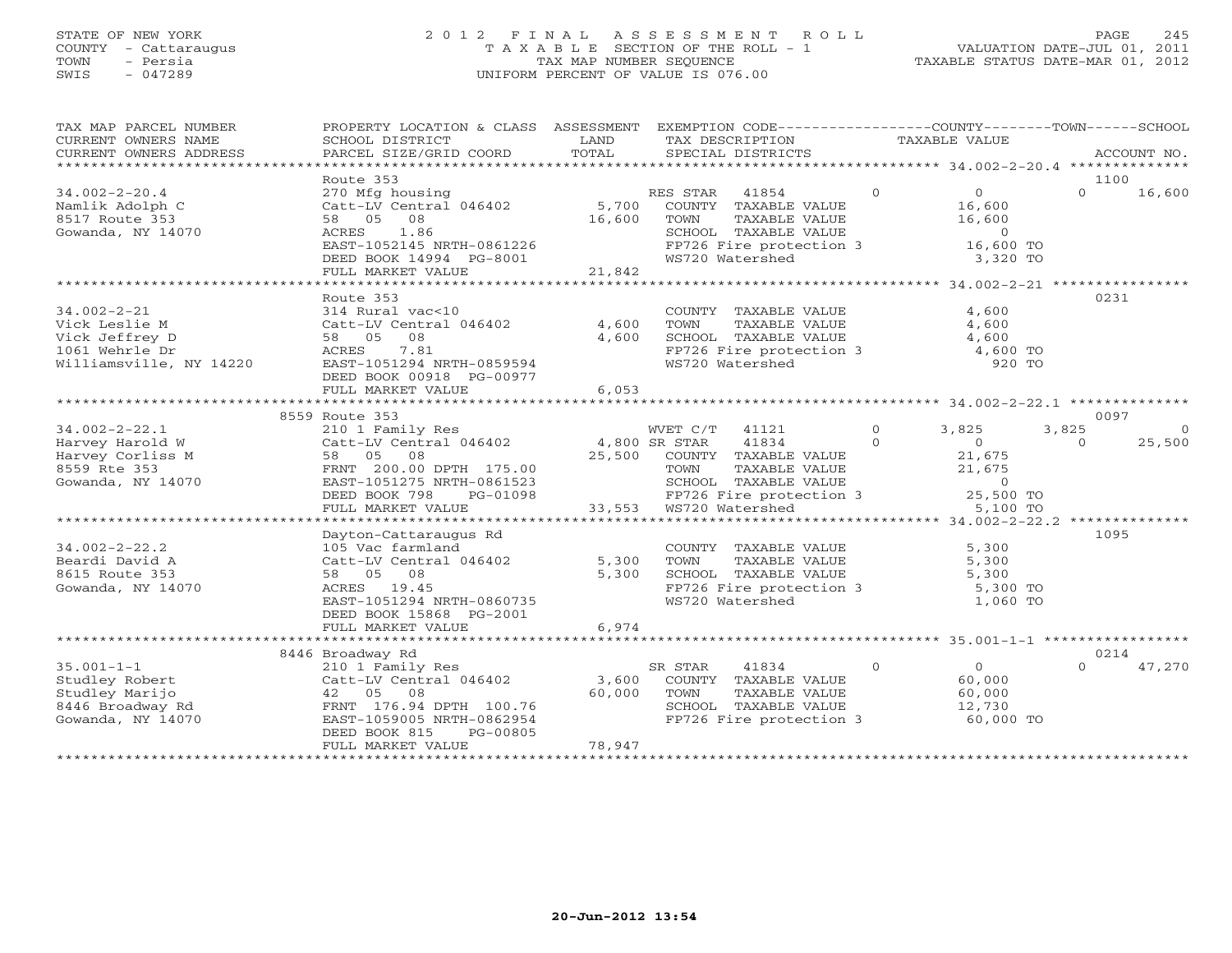# STATE OF NEW YORK 2 0 1 2 F I N A L A S S E S S M E N T R O L L PAGE 245 COUNTY - Cattaraugus T A X A B L E SECTION OF THE ROLL - 1 VALUATION DATE-JUL 01, 2011 TOWN - Persia TAX MAP NUMBER SEQUENCE TAXABLE STATUS DATE-MAR 01, 2012 SWIS - 047289 UNIFORM PERCENT OF VALUE IS 076.00UNIFORM PERCENT OF VALUE IS 076.00

| TAX MAP PARCEL NUMBER<br>CURRENT OWNERS NAME<br>CURRENT OWNERS ADDRESS                            | PROPERTY LOCATION & CLASS ASSESSMENT<br>SCHOOL DISTRICT<br>PARCEL SIZE/GRID COORD                                                                                                    | LAND<br>TOTAL             | EXEMPTION CODE-----------------COUNTY-------TOWN------SCHOOL<br>TAX DESCRIPTION<br>SPECIAL DISTRICTS                                     | TAXABLE VALUE        |                                                                         | ACCOUNT NO.       |                    |
|---------------------------------------------------------------------------------------------------|--------------------------------------------------------------------------------------------------------------------------------------------------------------------------------------|---------------------------|------------------------------------------------------------------------------------------------------------------------------------------|----------------------|-------------------------------------------------------------------------|-------------------|--------------------|
| $34.002 - 2 - 20.4$<br>Namlik Adolph C<br>8517 Route 353<br>Gowanda, NY 14070                     | Route 353<br>270 Mfg housing<br>$Cat-LV$ Central $046402$ 5,700<br>58 05 08<br>ACRES 1.86<br>EAST-1052145 NRTH-0861226<br>DEED BOOK 14994 PG-8001<br>FULL MARKET VALUE               | 16,600<br>21,842          | RES STAR<br>41854<br>COUNTY TAXABLE VALUE<br>TOWN<br>TAXABLE VALUE<br>SCHOOL TAXABLE VALUE<br>FP726 Fire protection 3<br>WS720 Watershed | $\overline{0}$       | $\overline{0}$<br>16,600<br>16,600<br>$\Omega$<br>16,600 TO<br>3,320 TO | 1100<br>$\Omega$  | 16,600             |
|                                                                                                   | Route 353                                                                                                                                                                            |                           |                                                                                                                                          |                      |                                                                         | 0231              |                    |
| $34.002 - 2 - 21$<br>Vick Leslie M<br>Vick Jeffrey D<br>1061 Wehrle Dr<br>Williamsville, NY 14220 | 314 Rural vac<10<br>Catt-LV Central 046402<br>58 05 08<br>7.81<br>ACRES<br>EAST-1051294 NRTH-0859594<br>DEED BOOK 00918 PG-00977<br>FULL MARKET VALUE                                | 4,600<br>4,600<br>6,053   | COUNTY TAXABLE VALUE<br>TOWN<br>TAXABLE VALUE<br>SCHOOL TAXABLE VALUE<br>FP726 Fire protection $3$ 4,600 TO<br>WS720 Watershed           |                      | 4,600<br>4,600<br>4,600<br>920 TO                                       |                   |                    |
|                                                                                                   | 8559 Route 353                                                                                                                                                                       |                           |                                                                                                                                          |                      |                                                                         | 0097              |                    |
| $34.002 - 2 - 22.1$<br>Harvey Harold W<br>Harvey Corliss M<br>8559 Rte 353<br>Gowanda, NY 14070   | 210 1 Family Res<br>Catt-LV Central 046402<br>58 05 08<br>FRNT 200.00 DPTH 175.00<br>EAST-1051275 NRTH-0861523                                                                       | 4,800 SR STAR             | WVET C/T 41121<br>41834<br>25,500 COUNTY TAXABLE VALUE<br>TAXABLE VALUE<br>TOWN<br>SCHOOL TAXABLE VALUE                                  | $\Omega$<br>$\Omega$ | 3,825<br>$\Omega$<br>21,675<br>21,675<br>$\overline{0}$                 | 3,825<br>$\Omega$ | $\Omega$<br>25,500 |
|                                                                                                   | DEED BOOK 798<br>PG-01098<br>FULL MARKET VALUE                                                                                                                                       |                           | FP726 Fire protection 3<br>33,553 WS720 Watershed                                                                                        |                      | 25,500 TO<br>5,100 TO                                                   |                   |                    |
| $34.002 - 2 - 22.2$<br>Beardi David A<br>8615 Route 353<br>Gowanda, NY 14070                      | Dayton-Cattaraugus Rd<br>105 Vac farmland<br>Catt-LV Central 046402<br>58 05 08<br>ACRES 19.45<br>EAST-1051294 NRTH-0860735<br>DEED BOOK 15868 PG-2001                               | 5,300<br>5,300            | COUNTY TAXABLE VALUE<br>TOWN<br>TAXABLE VALUE<br>SCHOOL TAXABLE VALUE<br>FP726 Fire protection 3<br>WS720 Watershed                      |                      | 5,300<br>5,300<br>5,300<br>5,300 TO<br>1,060 TO                         | 1095              |                    |
|                                                                                                   | FULL MARKET VALUE                                                                                                                                                                    | 6,974                     |                                                                                                                                          |                      |                                                                         |                   |                    |
| $35.001 - 1 - 1$<br>Studley Robert<br>Studley Marijo<br>8446 Broadway Rd<br>Gowanda, NY 14070     | 8446 Broadway Rd<br>210 1 Family Res<br>Catt-LV Central 046402<br>42 05 08<br>FRNT 176.94 DPTH 100.76<br>EAST-1059005 NRTH-0862954<br>DEED BOOK 815<br>PG-00805<br>FULL MARKET VALUE | 3,600<br>60,000<br>78,947 | SR STAR<br>41834<br>COUNTY TAXABLE VALUE<br>TAXABLE VALUE<br>TOWN<br>SCHOOL TAXABLE VALUE<br>FP726 Fire protection 3                     | $\Omega$             | $\overline{0}$<br>60,000<br>60,000<br>12,730<br>60,000 TO               | 0214<br>$\Omega$  | 47,270             |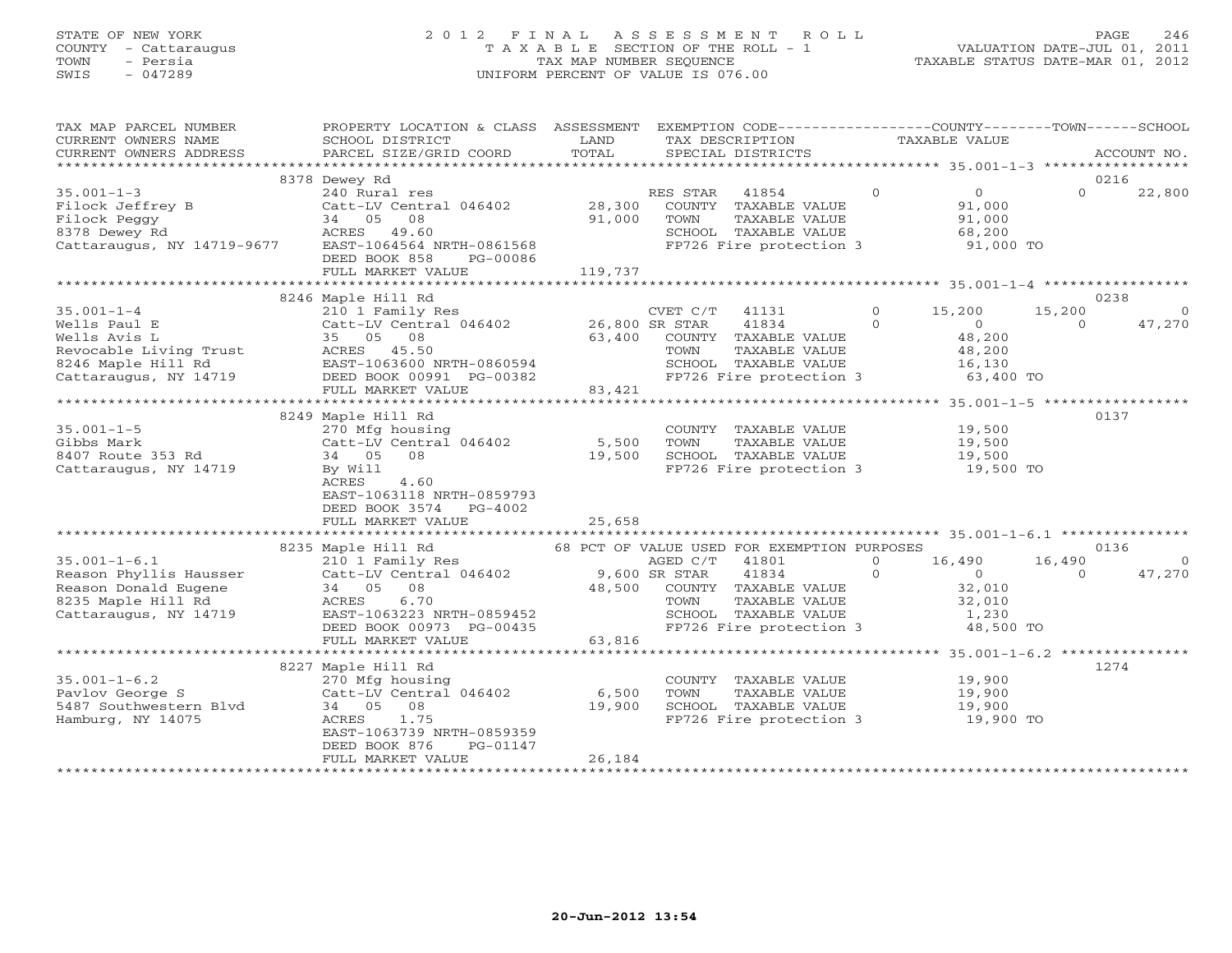# STATE OF NEW YORK 2 0 1 2 F I N A L A S S E S S M E N T R O L L PAGE 246 COUNTY - Cattaraugus T A X A B L E SECTION OF THE ROLL - 1 VALUATION DATE-JUL 01, 2011 TOWN - Persia TAX MAP NUMBER SEQUENCE TAXABLE STATUS DATE-MAR 01, 2012 SWIS - 047289 UNIFORM PERCENT OF VALUE IS 076.00UNIFORM PERCENT OF VALUE IS 076.00

| TAX MAP PARCEL NUMBER<br>CURRENT OWNERS NAME<br>CURRENT OWNERS ADDRESS                                                                                                                                                                                                           | PROPERTY LOCATION & CLASS ASSESSMENT EXEMPTION CODE---------------COUNTY-------TOWN------SCHOOL<br>SCHOOL DISTRICT<br>PARCEL SIZE/GRID COORD                                                                                             | <b>LAND</b><br>TOTAL | TAX DESCRIPTION<br>SPECIAL DISTRICTS                                                    | TAXABLE VALUE |          | ACCOUNT NO.                      |
|----------------------------------------------------------------------------------------------------------------------------------------------------------------------------------------------------------------------------------------------------------------------------------|------------------------------------------------------------------------------------------------------------------------------------------------------------------------------------------------------------------------------------------|----------------------|-----------------------------------------------------------------------------------------|---------------|----------|----------------------------------|
|                                                                                                                                                                                                                                                                                  |                                                                                                                                                                                                                                          |                      |                                                                                         |               |          |                                  |
|                                                                                                                                                                                                                                                                                  | 8378 Dewey Rd                                                                                                                                                                                                                            |                      |                                                                                         |               |          | 0216                             |
| $35.001 - 1 - 3$<br>Filock Jeffrey B Catt-LV Central 046402 28,300<br>Filock Peggy 34 05 08 91,000<br>8378 Dewey Rd ACRES 49.60<br>Cattaraugus, NY 14719-9677 EAST-1064564 NRTH-0861568                                                                                          | DEED BOOK 858 PG-00086                                                                                                                                                                                                                   |                      | SCHOOL TAXABLE VALUE 68,200<br>FP726 Fire protection 3 91,000 TO                        |               | $\Omega$ | 22,800                           |
|                                                                                                                                                                                                                                                                                  |                                                                                                                                                                                                                                          |                      |                                                                                         |               |          |                                  |
|                                                                                                                                                                                                                                                                                  | 8246 Maple Hill Rd                                                                                                                                                                                                                       |                      |                                                                                         |               |          | 0238                             |
|                                                                                                                                                                                                                                                                                  |                                                                                                                                                                                                                                          |                      |                                                                                         |               |          |                                  |
|                                                                                                                                                                                                                                                                                  |                                                                                                                                                                                                                                          |                      |                                                                                         |               |          |                                  |
|                                                                                                                                                                                                                                                                                  | 8249 Maple Hill Rd                                                                                                                                                                                                                       |                      |                                                                                         |               |          | 0137                             |
| $35.001 - 1 - 5$<br>35.001-1-5<br>35.001-1-5<br>370 Mfg housing<br>Catt-LV Central 046402<br>34 05 08<br>270 Mfg housing<br>270 Mfg housing<br>270 Mfg housing<br>35.500 TOWN TAXABLE VALUE<br>5,500 TOWN TAXABLE VALUE<br>39,500<br>39,500<br>39,500<br>29,500<br>39,500<br>29, | ACRES<br>4.60<br>EAST-1063118 NRTH-0859793<br>DEED BOOK 3574 PG-4002                                                                                                                                                                     |                      |                                                                                         |               |          |                                  |
|                                                                                                                                                                                                                                                                                  |                                                                                                                                                                                                                                          |                      |                                                                                         |               |          |                                  |
|                                                                                                                                                                                                                                                                                  |                                                                                                                                                                                                                                          |                      |                                                                                         |               |          |                                  |
|                                                                                                                                                                                                                                                                                  | 34 05 08 348,500 COUNTY TAXABLE VALUE 32,010<br>ACRES 6.70 2000 TOWN TAXABLE VALUE 32,010<br>EAST-1063223 NRTH-0859452 SCHOOL TAXABLE VALUE 32,010<br>DEED BOOK 00973 PG-00435 63,816<br>FULL MARKET VALUE 63,816<br>FULL MARKET VALUE 6 |                      | AGED C/T 41801 0 16,490 16,490<br>SR STAR 41834 0 0 0                                   |               |          | 0136<br>$\overline{0}$<br>47,270 |
|                                                                                                                                                                                                                                                                                  |                                                                                                                                                                                                                                          |                      |                                                                                         |               |          |                                  |
|                                                                                                                                                                                                                                                                                  | 8227 Maple Hill Rd                                                                                                                                                                                                                       |                      | COUNTY TAXABLE VALUE 19,900<br>TOWN TAXABLE VALUE 19,900<br>SCHOOL TAXABLE VALUE 19,900 |               |          | 1274                             |
|                                                                                                                                                                                                                                                                                  | EAST-1063739 NRTH-0859359<br>DEED BOOK 876<br>PG-01147<br>FULL MARKET VALUE                                                                                                                                                              | 26,184               | FP726 Fire protection 3 19,900 TO                                                       |               |          |                                  |
|                                                                                                                                                                                                                                                                                  |                                                                                                                                                                                                                                          |                      |                                                                                         |               |          |                                  |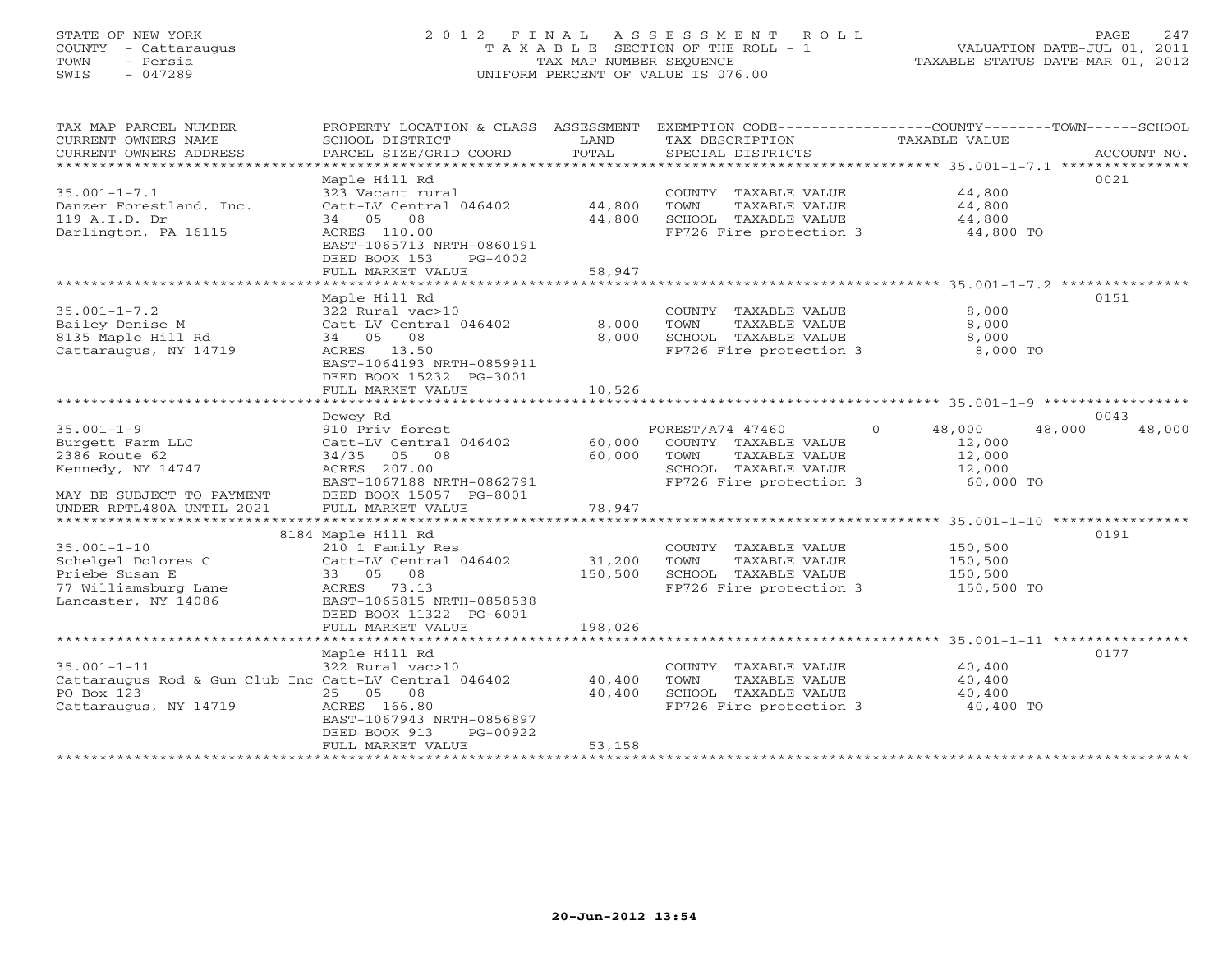# STATE OF NEW YORK 2 0 1 2 F I N A L A S S E S S M E N T R O L L PAGE 247 COUNTY - Cattaraugus T A X A B L E SECTION OF THE ROLL - 1 VALUATION DATE-JUL 01, 2011 TOWN - Persia TAX MAP NUMBER SEQUENCE TAXABLE STATUS DATE-MAR 01, 2012 SWIS - 047289 UNIFORM PERCENT OF VALUE IS 076.00UNIFORM PERCENT OF VALUE IS 076.00

| TAX MAP PARCEL NUMBER<br>CURRENT OWNERS NAME<br>CURRENT OWNERS ADDRESS                                            | PROPERTY LOCATION & CLASS ASSESSMENT<br>SCHOOL DISTRICT<br>PARCEL SIZE/GRID COORD                                                                                       | LAND<br>TOTAL              | TAX DESCRIPTION<br>SPECIAL DISTRICTS                                                                                 | EXEMPTION CODE-----------------COUNTY-------TOWN------SCHOOL<br>TAXABLE VALUE | ACCOUNT NO. |
|-------------------------------------------------------------------------------------------------------------------|-------------------------------------------------------------------------------------------------------------------------------------------------------------------------|----------------------------|----------------------------------------------------------------------------------------------------------------------|-------------------------------------------------------------------------------|-------------|
| $35.001 - 1 - 7.1$<br>Danzer Forestland, Inc.<br>119 A.I.D. Dr<br>Darlington, PA 16115                            | Maple Hill Rd<br>323 Vacant rural<br>Catt-LV Central 046402<br>34 05 08<br>ACRES 110.00<br>EAST-1065713 NRTH-0860191<br>DEED BOOK 153<br>$PG-4002$<br>FULL MARKET VALUE | 44,800<br>44,800<br>58,947 | COUNTY TAXABLE VALUE<br>TAXABLE VALUE<br>TOWN<br>SCHOOL TAXABLE VALUE<br>FP726 Fire protection 3                     | 44,800<br>44,800<br>44,800<br>44,800 TO                                       | 0021        |
| $35.001 - 1 - 7.2$<br>Bailey Denise M<br>8135 Maple Hill Rd<br>Cattaraugus, NY 14719                              | Maple Hill Rd<br>322 Rural vac>10<br>Catt-LV Central 046402<br>34 05 08<br>ACRES 13.50<br>EAST-1064193 NRTH-0859911<br>DEED BOOK 15232 PG-3001<br>FULL MARKET VALUE     | 8,000<br>8,000<br>10,526   | COUNTY TAXABLE VALUE<br>TOWN<br>TAXABLE VALUE<br>SCHOOL TAXABLE VALUE<br>FP726 Fire protection 3                     | 8,000<br>8,000<br>8,000<br>8,000 TO                                           | 0151        |
|                                                                                                                   | Dewey Rd                                                                                                                                                                |                            |                                                                                                                      |                                                                               | 0043        |
| $35.001 - 1 - 9$<br>Burgett Farm LLC<br>2386 Route 62<br>Kennedy, NY 14747<br>MAY BE SUBJECT TO PAYMENT           | 910 Priv forest<br>Catt-LV Central 046402<br>34/35 05 08<br>ACRES 207.00<br>EAST-1067188 NRTH-0862791<br>DEED BOOK 15057 PG-8001                                        | 60,000<br>60,000           | FOREST/A74 47460<br>COUNTY TAXABLE VALUE<br>TAXABLE VALUE<br>TOWN<br>SCHOOL TAXABLE VALUE<br>FP726 Fire protection 3 | $\Omega$<br>48,000<br>48,000<br>12,000<br>12,000<br>12,000<br>60,000 TO       | 48,000      |
| UNDER RPTL480A UNTIL 2021                                                                                         | FULL MARKET VALUE                                                                                                                                                       | 78,947                     |                                                                                                                      |                                                                               |             |
| $35.001 - 1 - 10$<br>Schelgel Dolores C<br>Priebe Susan E<br>77 Williamsburg Lane<br>Lancaster, NY 14086          | 8184 Maple Hill Rd<br>210 1 Family Res<br>Catt-LV Central 046402<br>33 05 08<br>ACRES 73.13<br>EAST-1065815 NRTH-0858538<br>DEED BOOK 11322 PG-6001                     | 31,200<br>150,500          | COUNTY TAXABLE VALUE<br>TOWN<br>TAXABLE VALUE<br>SCHOOL TAXABLE VALUE<br>FP726 Fire protection 3                     | 150,500<br>150,500<br>150,500<br>150,500 TO                                   | 0191        |
|                                                                                                                   | FULL MARKET VALUE                                                                                                                                                       | 198,026                    |                                                                                                                      |                                                                               |             |
| $35.001 - 1 - 11$<br>Cattaraugus Rod & Gun Club Inc Catt-LV Central 046402<br>PO Box 123<br>Cattaraugus, NY 14719 | Maple Hill Rd<br>322 Rural vac>10<br>25 05 08<br>ACRES 166.80<br>EAST-1067943 NRTH-0856897<br>DEED BOOK 913<br>PG-00922                                                 | 40,400<br>40,400           | COUNTY TAXABLE VALUE<br>TOWN<br>TAXABLE VALUE<br>SCHOOL TAXABLE VALUE<br>FP726 Fire protection 3                     | 40,400<br>40,400<br>40,400<br>40,400 TO                                       | 0177        |
| **********************                                                                                            | FULL MARKET VALUE                                                                                                                                                       | 53,158                     |                                                                                                                      |                                                                               |             |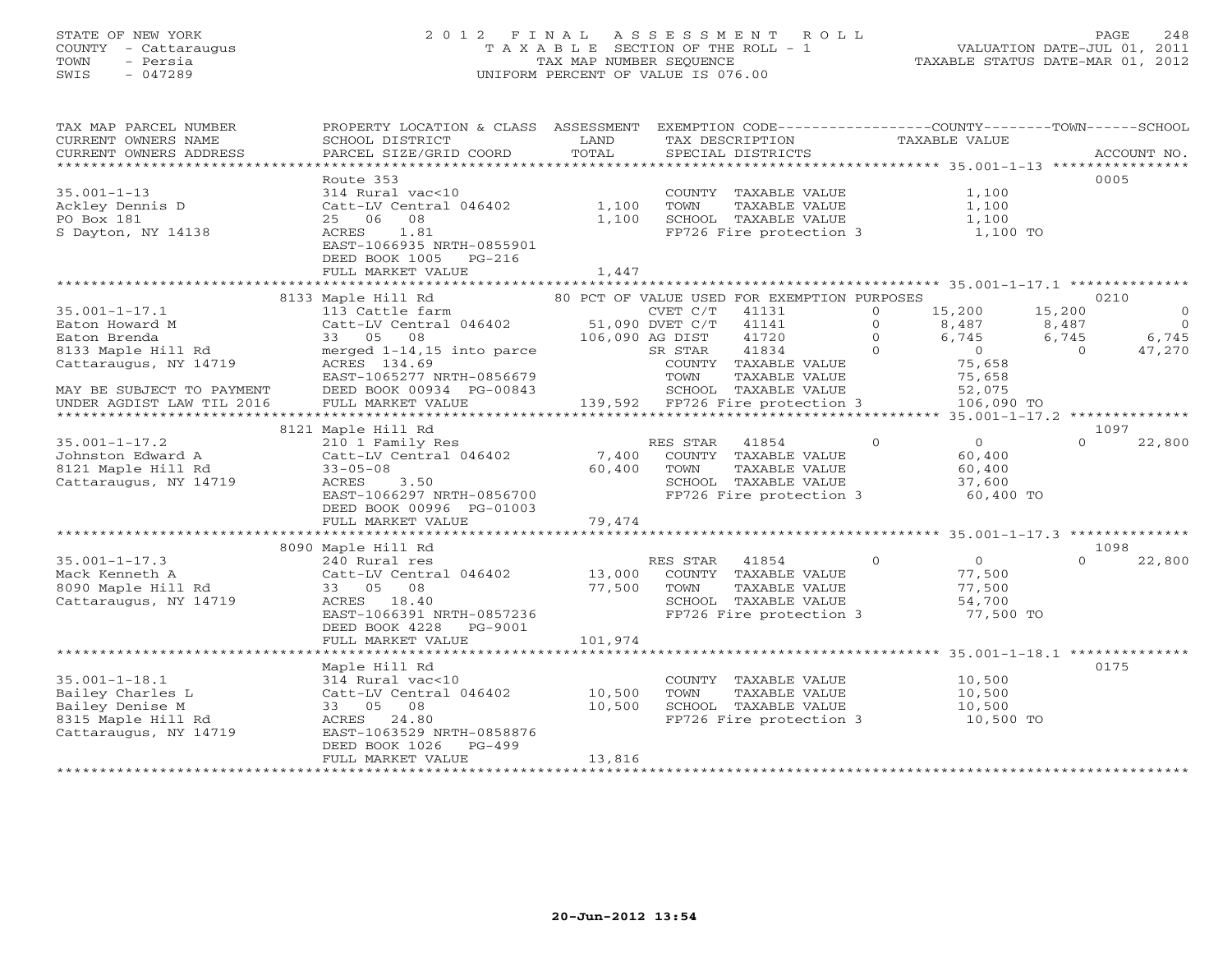# STATE OF NEW YORK 2 0 1 2 F I N A L A S S E S S M E N T R O L L PAGE 248 COUNTY - Cattaraugus T A X A B L E SECTION OF THE ROLL - 1 VALUATION DATE-JUL 01, 2011 TOWN - Persia TAX MAP NUMBER SEQUENCE TAXABLE STATUS DATE-MAR 01, 2012 SWIS - 047289 UNIFORM PERCENT OF VALUE IS 076.00UNIFORM PERCENT OF VALUE IS 076.00

| TAX MAP PARCEL NUMBER                            | PROPERTY LOCATION & CLASS ASSESSMENT EXEMPTION CODE----------------COUNTY-------TOWN------SCHOOL |         |                 |                                             |          |                |          |             |
|--------------------------------------------------|--------------------------------------------------------------------------------------------------|---------|-----------------|---------------------------------------------|----------|----------------|----------|-------------|
| CURRENT OWNERS NAME                              | SCHOOL DISTRICT                                                                                  | LAND    |                 | TAX DESCRIPTION                             |          | TAXABLE VALUE  |          |             |
| CURRENT OWNERS ADDRESS                           | PARCEL SIZE/GRID COORD                                                                           | TOTAL   |                 | SPECIAL DISTRICTS                           |          |                |          | ACCOUNT NO. |
|                                                  |                                                                                                  |         |                 |                                             |          |                |          |             |
|                                                  | Route 353                                                                                        |         |                 |                                             |          |                |          | 0005        |
| $35.001 - 1 - 13$                                | 314 Rural vac<10                                                                                 |         |                 | COUNTY TAXABLE VALUE                        |          | 1,100          |          |             |
|                                                  | Catt-LV Central 046402                                                                           | 1,100   | <b>TOWN</b>     | TAXABLE VALUE                               |          | 1,100          |          |             |
| Ackley Dennis D                                  |                                                                                                  |         |                 |                                             |          |                |          |             |
| PO Box 181                                       | 25 06<br>08                                                                                      | 1,100   |                 | SCHOOL TAXABLE VALUE                        |          | 1,100          |          |             |
| S Dayton, NY 14138                               | 1.81<br>ACRES                                                                                    |         |                 | FP726 Fire protection 3                     |          | 1,100 TO       |          |             |
|                                                  | EAST-1066935 NRTH-0855901                                                                        |         |                 |                                             |          |                |          |             |
|                                                  | DEED BOOK 1005<br>$PG-216$                                                                       |         |                 |                                             |          |                |          |             |
|                                                  | FULL MARKET VALUE                                                                                | 1,447   |                 |                                             |          |                |          |             |
|                                                  |                                                                                                  |         |                 |                                             |          |                |          |             |
|                                                  | 8133 Maple Hill Rd                                                                               |         |                 | 80 PCT OF VALUE USED FOR EXEMPTION PURPOSES |          |                |          | 0210        |
| $35.001 - 1 - 17.1$                              | 113 Cattle farm                                                                                  |         | CVET C/T        | 41131                                       | $\circ$  | 15,200         | 15,200   | $\circ$     |
| Eaton Howard M                                   | Catt-LV Central 046402                                                                           |         | 51,090 DVET C/T | 41141                                       | $\Omega$ | 8,487          | 8,487    | $\bigcirc$  |
| Eaton Brenda                                     | 33 05 08                                                                                         |         | 106,090 AG DIST | 41720                                       | $\Omega$ | 6,745          | 6,745    | 6,745       |
| 8133 Maple Hill Rd                               | merged 1-14,15 into parce                                                                        |         | SR STAR         | 41834                                       | $\Omega$ | $\overline{0}$ | $\Omega$ | 47,270      |
| Cattaraugus, NY 14719                            | ACRES 134.69                                                                                     |         |                 | COUNTY TAXABLE VALUE                        |          | 75,658         |          |             |
|                                                  | EAST-1065277 NRTH-0856679                                                                        |         | TOWN            | TAXABLE VALUE                               |          | 75,658         |          |             |
|                                                  |                                                                                                  |         |                 | SCHOOL TAXABLE VALUE                        |          |                |          |             |
| MAY BE SUBJECT TO PAYMENT                        | DEED BOOK 00934 PG-00843                                                                         |         |                 |                                             |          | 52,075         |          |             |
| UNDER AGDIST LAW TIL 2016<br>******************* | FULL MARKET VALUE<br>************************                                                    |         |                 | 139,592 FP726 Fire protection 3             |          | 106,090 TO     |          |             |
|                                                  |                                                                                                  |         |                 |                                             |          |                |          |             |
|                                                  | 8121 Maple Hill Rd                                                                               |         |                 |                                             |          |                |          | 1097        |
| $35.001 - 1 - 17.2$                              | 210 1 Family Res                                                                                 |         | RES STAR        | 41854                                       | $\Omega$ | $\Omega$       | $\Omega$ | 22,800      |
| Johnston Edward A                                | Catt-LV Central 046402                                                                           | 7,400   |                 | COUNTY TAXABLE VALUE                        |          | 60,400         |          |             |
| 8121 Maple Hill Rd                               | $33 - 05 - 08$                                                                                   | 60,400  | TOWN            | TAXABLE VALUE                               |          | 60,400         |          |             |
| Cattaraugus, NY 14719                            | 3.50<br>ACRES                                                                                    |         |                 | SCHOOL TAXABLE VALUE                        |          | 37,600         |          |             |
|                                                  | EAST-1066297 NRTH-0856700                                                                        |         |                 | FP726 Fire protection 3                     |          | 60,400 TO      |          |             |
|                                                  | DEED BOOK 00996 PG-01003                                                                         |         |                 |                                             |          |                |          |             |
|                                                  | FULL MARKET VALUE                                                                                | 79,474  |                 |                                             |          |                |          |             |
|                                                  |                                                                                                  |         |                 |                                             |          |                |          |             |
|                                                  | 8090 Maple Hill Rd                                                                               |         |                 |                                             |          |                |          | 1098        |
| $35.001 - 1 - 17.3$                              | 240 Rural res                                                                                    |         | RES STAR 41854  |                                             | $\Omega$ | $\overline{0}$ | $\Omega$ | 22,800      |
| Mack Kenneth A                                   | Catt-LV Central 046402                                                                           | 13,000  |                 | COUNTY TAXABLE VALUE                        |          | 77,500         |          |             |
| 8090 Maple Hill Rd                               | 33 05 08                                                                                         | 77,500  | TOWN            | TAXABLE VALUE                               |          | 77,500         |          |             |
| Cattaraugus, NY 14719                            | ACRES 18.40                                                                                      |         |                 | SCHOOL TAXABLE VALUE                        |          | 54,700         |          |             |
|                                                  |                                                                                                  |         |                 | FP726 Fire protection 3                     |          |                |          |             |
|                                                  | EAST-1066391 NRTH-0857236                                                                        |         |                 |                                             |          | 77,500 TO      |          |             |
|                                                  | DEED BOOK 4228<br>PG-9001                                                                        |         |                 |                                             |          |                |          |             |
|                                                  | FULL MARKET VALUE                                                                                | 101,974 |                 |                                             |          |                |          |             |
|                                                  |                                                                                                  |         |                 |                                             |          |                |          |             |
|                                                  | Maple Hill Rd                                                                                    |         |                 |                                             |          |                |          | 0175        |
| $35.001 - 1 - 18.1$                              | 314 Rural vac<10                                                                                 |         |                 | COUNTY TAXABLE VALUE                        |          | 10,500         |          |             |
| Bailey Charles L                                 | Catt-LV Central 046402                                                                           | 10,500  | TOWN            | TAXABLE VALUE                               |          | 10,500         |          |             |
| Bailey Denise M                                  | 33 05 08                                                                                         | 10,500  |                 | SCHOOL TAXABLE VALUE                        |          | 10,500         |          |             |
| 8315 Maple Hill Rd                               | ACRES 24.80                                                                                      |         |                 | FP726 Fire protection 3                     |          | 10,500 TO      |          |             |
| Cattaraugus, NY 14719                            | EAST-1063529 NRTH-0858876                                                                        |         |                 |                                             |          |                |          |             |
|                                                  | DEED BOOK 1026 PG-499                                                                            |         |                 |                                             |          |                |          |             |
|                                                  | FULL MARKET VALUE                                                                                | 13,816  |                 |                                             |          |                |          |             |
|                                                  |                                                                                                  |         |                 |                                             |          |                |          |             |
|                                                  |                                                                                                  |         |                 |                                             |          |                |          |             |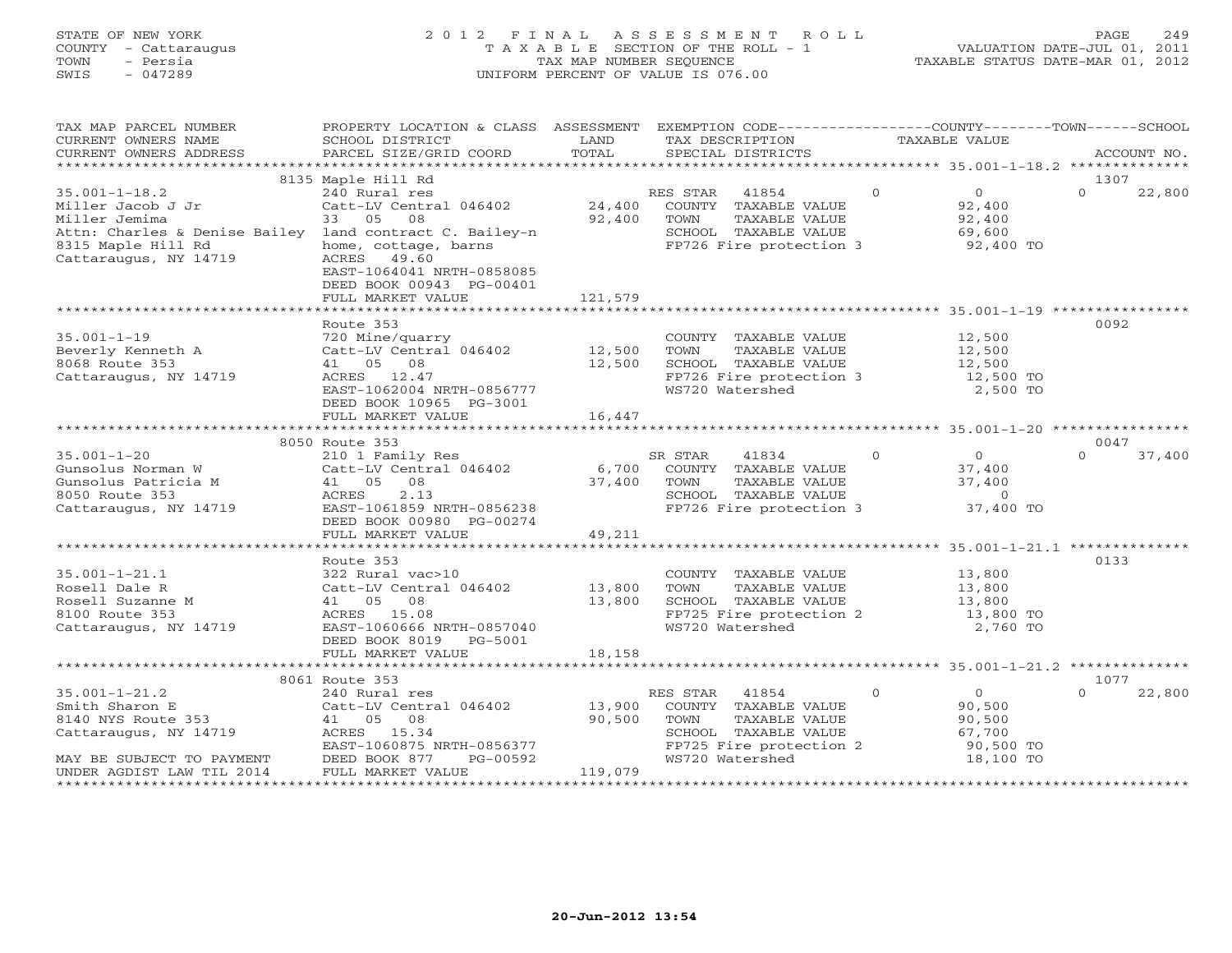# STATE OF NEW YORK 2 0 1 2 F I N A L A S S E S S M E N T R O L L PAGE 249 COUNTY - Cattaraugus T A X A B L E SECTION OF THE ROLL - 1 VALUATION DATE-JUL 01, 2011 TOWN - Persia TAX MAP NUMBER SEQUENCE TAXABLE STATUS DATE-MAR 01, 2012 SWIS - 047289 UNIFORM PERCENT OF VALUE IS 076.00UNIFORM PERCENT OF VALUE IS 076.00

| TAX MAP PARCEL NUMBER<br>CURRENT OWNERS NAME<br>CURRENT OWNERS ADDRESS                                                                                              | PROPERTY LOCATION & CLASS ASSESSMENT<br>SCHOOL DISTRICT<br>PARCEL SIZE/GRID COORD                                                                                                              | LAND<br>TOTAL               | EXEMPTION CODE-----------------COUNTY-------TOWN------SCHOOL<br>TAX DESCRIPTION<br>SPECIAL DISTRICTS                                     | TAXABLE VALUE                                                                      | ACCOUNT NO.                |
|---------------------------------------------------------------------------------------------------------------------------------------------------------------------|------------------------------------------------------------------------------------------------------------------------------------------------------------------------------------------------|-----------------------------|------------------------------------------------------------------------------------------------------------------------------------------|------------------------------------------------------------------------------------|----------------------------|
|                                                                                                                                                                     |                                                                                                                                                                                                |                             |                                                                                                                                          |                                                                                    |                            |
| $35.001 - 1 - 18.2$<br>Miller Jacob J Jr<br>Miller Jemima<br>Attn: Charles & Denise Bailey land contract C. Bailey-n<br>8315 Maple Hill Rd<br>Cattaraugus, NY 14719 | 8135 Maple Hill Rd<br>240 Rural res<br>Catt-LV Central 046402<br>33 05 08<br>home, cottage, barns<br>ACRES 49.60<br>EAST-1064041 NRTH-0858085<br>DEED BOOK 00943 PG-00401<br>FULL MARKET VALUE | 24,400<br>92,400<br>121,579 | RES STAR 41854<br>COUNTY TAXABLE VALUE<br>TOWN<br>TAXABLE VALUE<br>SCHOOL TAXABLE VALUE<br>FP726 Fire protection 3                       | $\Omega$<br>$\overline{0}$<br>92,400<br>92,400<br>69,600<br>92,400 TO              | 1307<br>$\Omega$<br>22,800 |
|                                                                                                                                                                     |                                                                                                                                                                                                |                             |                                                                                                                                          |                                                                                    |                            |
| $35.001 - 1 - 19$<br>Beverly Kenneth A<br>8068 Route 353<br>Cattaraugus, NY 14719                                                                                   | Route 353<br>720 Mine/quarry<br>Catt-LV Central 046402 12,500<br>41 05 08<br>ACRES 12.47<br>EAST-1062004 NRTH-0856777<br>DEED BOOK 10965 PG-3001                                               | 12,500                      | COUNTY TAXABLE VALUE<br>TOWN<br>TAXABLE VALUE<br>SCHOOL TAXABLE VALUE<br>FP726 Fire protection 3<br>WS720 Watershed                      | 12,500<br>12,500<br>12,500<br>12,500 TO<br>2,500 TO                                | 0092                       |
|                                                                                                                                                                     | FULL MARKET VALUE                                                                                                                                                                              | 16,447                      |                                                                                                                                          |                                                                                    |                            |
|                                                                                                                                                                     |                                                                                                                                                                                                |                             |                                                                                                                                          |                                                                                    |                            |
|                                                                                                                                                                     | 8050 Route 353                                                                                                                                                                                 |                             |                                                                                                                                          |                                                                                    | 0047                       |
| $35.001 - 1 - 20$<br>Gunsolus Norman W<br>Gunsolus Patricia M<br>8050 Route 353<br>Cattaraugus, NY 14719                                                            | 210 1 Family Res<br>Catt-LV Central 046402<br>41 05 08<br>2.13<br>ACRES<br>EAST-1061859 NRTH-0856238<br>DEED BOOK 00980 PG-00274                                                               | 6,700<br>37,400             | SR STAR<br>41834<br>COUNTY TAXABLE VALUE<br>TAXABLE VALUE<br>TOWN<br>SCHOOL TAXABLE VALUE<br>FP726 Fire protection 3                     | $\Omega$<br>$\overline{0}$<br>37,400<br>37,400<br>$\overline{0}$<br>37,400 TO      | $\Omega$<br>37,400         |
|                                                                                                                                                                     | FULL MARKET VALUE                                                                                                                                                                              | 49,211                      |                                                                                                                                          |                                                                                    |                            |
| $35.001 - 1 - 21.1$<br>Rosell Dale R<br>Rosell Suzanne M<br>8100 Route 353<br>Cattaraugus, NY 14719                                                                 | Route 353<br>322 Rural vac>10<br>Catt-LV Central 046402<br>41 05 08<br>ACRES 15.08<br>EAST-1060666 NRTH-0857040<br>DEED BOOK 8019 PG-5001<br>FULL MARKET VALUE                                 | 13,800<br>13,800<br>18,158  | COUNTY TAXABLE VALUE<br>TOWN<br>TAXABLE VALUE<br>SCHOOL TAXABLE VALUE<br>FP725 Fire protection 2<br>WS720 Watershed                      | 13,800<br>13,800<br>13,800<br>$13,800$ TO<br>2,760 TO                              | 0133                       |
|                                                                                                                                                                     |                                                                                                                                                                                                |                             |                                                                                                                                          |                                                                                    |                            |
|                                                                                                                                                                     | 8061 Route 353                                                                                                                                                                                 |                             |                                                                                                                                          |                                                                                    | 1077                       |
| $35.001 - 1 - 21.2$<br>Smith Sharon E<br>8140 NYS Route 353<br>Cattaraugus, NY 14719<br>MAY BE SUBJECT TO PAYMENT<br>UNDER AGDIST LAW TIL 2014                      | 240 Rural res<br>Catt-LV Central 046402<br>41 05 08<br>ACRES 15.34<br>EAST-1060875 NRTH-0856377<br>DEED BOOK 877<br>PG-00592<br>FULL MARKET VALUE                                              | 13,900<br>90,500<br>119,079 | 41854<br>RES STAR<br>COUNTY TAXABLE VALUE<br>TAXABLE VALUE<br>TOWN<br>SCHOOL TAXABLE VALUE<br>FP725 Fire protection 2<br>WS720 Watershed | $\Omega$<br>$\overline{0}$<br>90,500<br>90,500<br>67,700<br>90,500 TO<br>18,100 TO | $\Omega$<br>22,800         |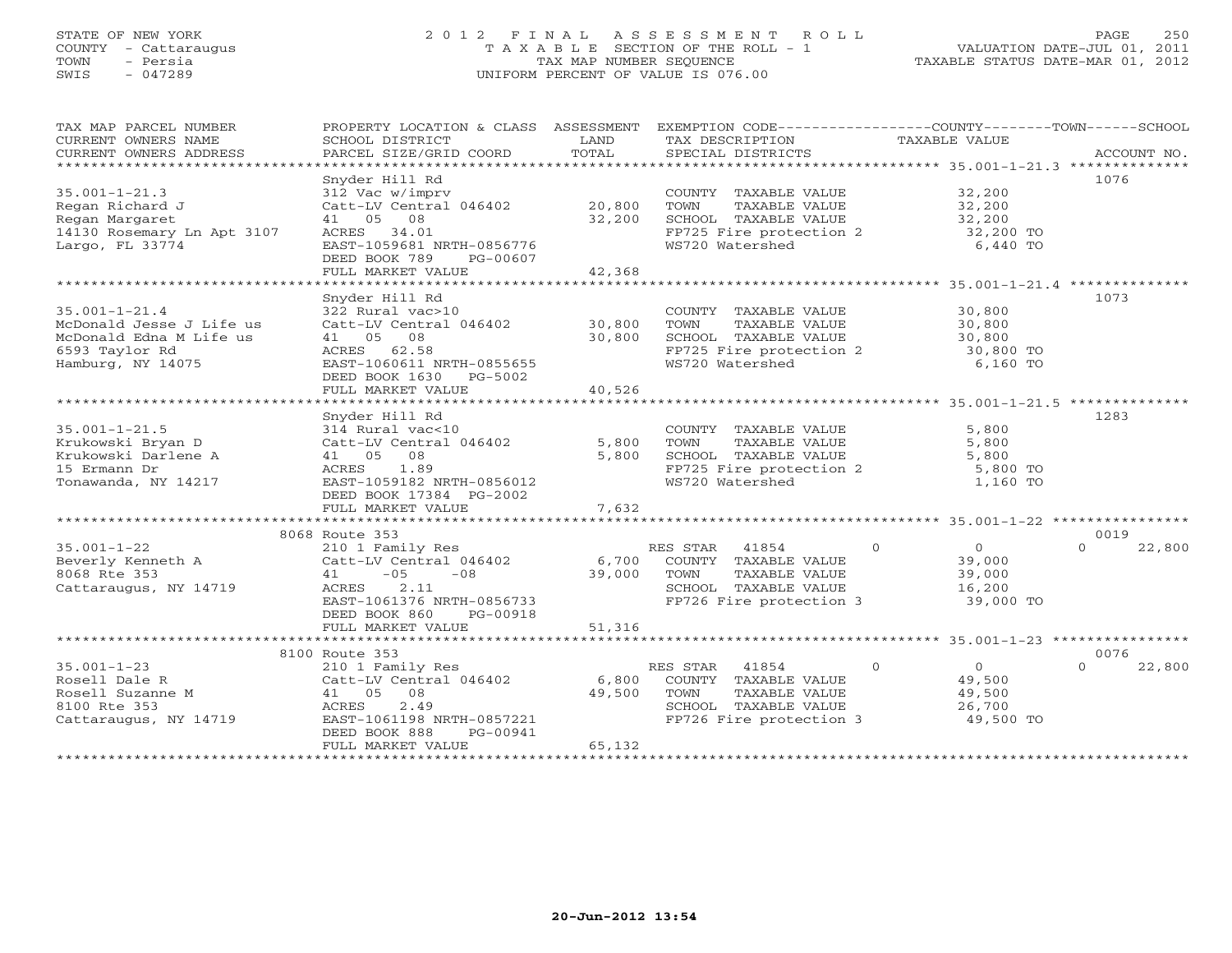# STATE OF NEW YORK 2 0 1 2 F I N A L A S S E S S M E N T R O L L PAGE 250 COUNTY - Cattaraugus T A X A B L E SECTION OF THE ROLL - 1 VALUATION DATE-JUL 01, 2011 TOWN - Persia TAX MAP NUMBER SEQUENCE TAXABLE STATUS DATE-MAR 01, 2012 SWIS - 047289 UNIFORM PERCENT OF VALUE IS 076.00UNIFORM PERCENT OF VALUE IS 076.00

| TAX MAP PARCEL NUMBER                                                                                                                                                                                                                                                                                                                                                                                                                                                   | PROPERTY LOCATION & CLASS ASSESSMENT                                                                                                                                                                                                     |        | EXEMPTION CODE----------------COUNTY-------TOWN------SCHOOL                                                                                          |           |                    |
|-------------------------------------------------------------------------------------------------------------------------------------------------------------------------------------------------------------------------------------------------------------------------------------------------------------------------------------------------------------------------------------------------------------------------------------------------------------------------|------------------------------------------------------------------------------------------------------------------------------------------------------------------------------------------------------------------------------------------|--------|------------------------------------------------------------------------------------------------------------------------------------------------------|-----------|--------------------|
| $\begin{tabular}{lllllll} \multicolumn{2}{c}{\textbf{CURRENT}} & \multicolumn{2}{c}{\textbf{WMERS}} & \multicolumn{2}{c}{\textbf{NAME}} & \multicolumn{2}{c}{\textbf{SCHOOL}} & \multicolumn{2}{c}{\textbf{ISTRICT}} & \multicolumn{2}{c}{\textbf{LAND}} & \multicolumn{2}{c}{\textbf{TAX} BESCRIPTION} & \multicolumn{2}{c}{\textbf{TAX} BLE} & \multicolumn{2}{c}{\textbf{VALUE}} & \multicolumn{2}{c}{\textbf{ACCOUNT NO.}} \\ & & & & & & & & \\ \multicolumn{2}{c$ |                                                                                                                                                                                                                                          |        |                                                                                                                                                      |           |                    |
|                                                                                                                                                                                                                                                                                                                                                                                                                                                                         |                                                                                                                                                                                                                                          |        |                                                                                                                                                      |           |                    |
|                                                                                                                                                                                                                                                                                                                                                                                                                                                                         |                                                                                                                                                                                                                                          |        |                                                                                                                                                      |           |                    |
|                                                                                                                                                                                                                                                                                                                                                                                                                                                                         | Snyder Hill Rd                                                                                                                                                                                                                           |        |                                                                                                                                                      |           | 1076               |
| $35.001 - 1 - 21.3$                                                                                                                                                                                                                                                                                                                                                                                                                                                     |                                                                                                                                                                                                                                          |        |                                                                                                                                                      |           |                    |
|                                                                                                                                                                                                                                                                                                                                                                                                                                                                         |                                                                                                                                                                                                                                          |        |                                                                                                                                                      |           |                    |
| 35.001-1-41.<br>Regan Richard J<br>Morgaret                                                                                                                                                                                                                                                                                                                                                                                                                             |                                                                                                                                                                                                                                          |        |                                                                                                                                                      |           |                    |
|                                                                                                                                                                                                                                                                                                                                                                                                                                                                         |                                                                                                                                                                                                                                          |        |                                                                                                                                                      |           |                    |
| 14130 Rosemary Ln Apt 3107<br>Largo, FL 33774                                                                                                                                                                                                                                                                                                                                                                                                                           | Singuer nii nu<br>312 Vac Wimpry<br>Catt-LV Central 046402 20,800 TOWN TAXABLE VALUE 32,200<br>41 05 08 32,200 SCHOOL TAXABLE VALUE 32,200<br>ACRES 34.01 FP725 Fire protection 2 32,200 TO<br>EAST-1059681 NRTH-0856776 WS720 Watershed |        |                                                                                                                                                      |           |                    |
|                                                                                                                                                                                                                                                                                                                                                                                                                                                                         | DEED BOOK 789 PG-00607                                                                                                                                                                                                                   |        |                                                                                                                                                      |           |                    |
|                                                                                                                                                                                                                                                                                                                                                                                                                                                                         | FULL MARKET VALUE                                                                                                                                                                                                                        | 42,368 |                                                                                                                                                      |           |                    |
|                                                                                                                                                                                                                                                                                                                                                                                                                                                                         |                                                                                                                                                                                                                                          |        |                                                                                                                                                      |           |                    |
|                                                                                                                                                                                                                                                                                                                                                                                                                                                                         | Snyder Hill Rd                                                                                                                                                                                                                           |        |                                                                                                                                                      |           | 1073               |
| $35.001 - 1 - 21.4$                                                                                                                                                                                                                                                                                                                                                                                                                                                     | $322$ Rural vac>10 $30,800$ COUNTY TAXABLE VALUE $30,800$ CALLE Catt-LV Central 046402 $30,800$ TOWN TAXABLE VALUE $30,800$                                                                                                              |        |                                                                                                                                                      |           |                    |
| McDonald Jesse J Life us                                                                                                                                                                                                                                                                                                                                                                                                                                                |                                                                                                                                                                                                                                          |        |                                                                                                                                                      |           |                    |
| McDonald Edna M Life us                                                                                                                                                                                                                                                                                                                                                                                                                                                 | 41 05 08                                                                                                                                                                                                                                 |        | 30,800 SCHOOL TAXABLE VALUE 30,800 TO<br>RTH-0855655 FP725 Fire protection 2 30,800 TO<br>RTH-0855655 WS720 Watershed 6,160 TO                       |           |                    |
| 6593 Taylor Rd                                                                                                                                                                                                                                                                                                                                                                                                                                                          | ACRES 62.58<br>EAST-1060611 NRTH-0855655                                                                                                                                                                                                 |        |                                                                                                                                                      |           |                    |
| Hamburg, NY 14075                                                                                                                                                                                                                                                                                                                                                                                                                                                       |                                                                                                                                                                                                                                          |        |                                                                                                                                                      |           |                    |
|                                                                                                                                                                                                                                                                                                                                                                                                                                                                         | DEED BOOK 1630    PG-5002                                                                                                                                                                                                                |        |                                                                                                                                                      |           |                    |
|                                                                                                                                                                                                                                                                                                                                                                                                                                                                         | FULL MARKET VALUE                                                                                                                                                                                                                        | 40,526 |                                                                                                                                                      |           |                    |
|                                                                                                                                                                                                                                                                                                                                                                                                                                                                         |                                                                                                                                                                                                                                          |        |                                                                                                                                                      |           |                    |
|                                                                                                                                                                                                                                                                                                                                                                                                                                                                         | Snyder Hill Rd                                                                                                                                                                                                                           |        |                                                                                                                                                      |           | 1283               |
| $35.001 - 1 - 21.5$<br>35.001-1-21.5<br>Krukowski Bryan D<br>Krukowski Darlene A<br>15 Ermann Dr                                                                                                                                                                                                                                                                                                                                                                        | 314 Rural vac<10<br>Catt-LV Central 046402 5,800                                                                                                                                                                                         |        |                                                                                                                                                      |           |                    |
|                                                                                                                                                                                                                                                                                                                                                                                                                                                                         |                                                                                                                                                                                                                                          |        |                                                                                                                                                      |           |                    |
|                                                                                                                                                                                                                                                                                                                                                                                                                                                                         | 41 05 08                                                                                                                                                                                                                                 | 5,800  |                                                                                                                                                      |           |                    |
| 15 Ermann Dr                                                                                                                                                                                                                                                                                                                                                                                                                                                            | ACRES 1.89                                                                                                                                                                                                                               |        | COUNTY TAXABLE VALUE 5,800<br>TOWN TAXABLE VALUE 5,800<br>SCHOOL TAXABLE VALUE 5,800<br>FP725 Fire protection 2 5,800 TO<br>WS720 Watershed 1,160 TO |           |                    |
| Tonawanda, NY 14217                                                                                                                                                                                                                                                                                                                                                                                                                                                     | EAST-1059182 NRTH-0856012                                                                                                                                                                                                                |        |                                                                                                                                                      |           |                    |
|                                                                                                                                                                                                                                                                                                                                                                                                                                                                         | DEED BOOK 17384 PG-2002                                                                                                                                                                                                                  |        |                                                                                                                                                      |           |                    |
|                                                                                                                                                                                                                                                                                                                                                                                                                                                                         |                                                                                                                                                                                                                                          |        |                                                                                                                                                      |           |                    |
|                                                                                                                                                                                                                                                                                                                                                                                                                                                                         |                                                                                                                                                                                                                                          |        |                                                                                                                                                      |           |                    |
|                                                                                                                                                                                                                                                                                                                                                                                                                                                                         | 8068 Route 353                                                                                                                                                                                                                           |        |                                                                                                                                                      |           | 0019               |
|                                                                                                                                                                                                                                                                                                                                                                                                                                                                         |                                                                                                                                                                                                                                          |        |                                                                                                                                                      |           |                    |
|                                                                                                                                                                                                                                                                                                                                                                                                                                                                         |                                                                                                                                                                                                                                          |        |                                                                                                                                                      |           |                    |
|                                                                                                                                                                                                                                                                                                                                                                                                                                                                         |                                                                                                                                                                                                                                          |        |                                                                                                                                                      |           |                    |
|                                                                                                                                                                                                                                                                                                                                                                                                                                                                         |                                                                                                                                                                                                                                          |        |                                                                                                                                                      |           |                    |
|                                                                                                                                                                                                                                                                                                                                                                                                                                                                         |                                                                                                                                                                                                                                          |        |                                                                                                                                                      |           |                    |
|                                                                                                                                                                                                                                                                                                                                                                                                                                                                         |                                                                                                                                                                                                                                          |        |                                                                                                                                                      |           |                    |
|                                                                                                                                                                                                                                                                                                                                                                                                                                                                         |                                                                                                                                                                                                                                          |        |                                                                                                                                                      |           |                    |
|                                                                                                                                                                                                                                                                                                                                                                                                                                                                         |                                                                                                                                                                                                                                          |        |                                                                                                                                                      |           |                    |
|                                                                                                                                                                                                                                                                                                                                                                                                                                                                         | 8100 Route 353                                                                                                                                                                                                                           |        |                                                                                                                                                      |           | 0076               |
|                                                                                                                                                                                                                                                                                                                                                                                                                                                                         |                                                                                                                                                                                                                                          |        |                                                                                                                                                      |           | $\Omega$<br>22,800 |
|                                                                                                                                                                                                                                                                                                                                                                                                                                                                         |                                                                                                                                                                                                                                          |        |                                                                                                                                                      |           |                    |
| 35.001-1-23<br>Rosell Dale R<br>Rosell Suzanne M<br>210 1 Family Res<br>Catt-LV Central 046402<br>249,500<br>249,500<br>26,700<br>26,700<br>26,700<br>26,700<br>26,700<br>26,700<br>26,700<br>26,700<br>26,700<br>26,700<br>26,700<br>26,700<br>26,700<br>26,700<br>26,7                                                                                                                                                                                                |                                                                                                                                                                                                                                          |        |                                                                                                                                                      |           |                    |
|                                                                                                                                                                                                                                                                                                                                                                                                                                                                         |                                                                                                                                                                                                                                          |        |                                                                                                                                                      |           |                    |
|                                                                                                                                                                                                                                                                                                                                                                                                                                                                         |                                                                                                                                                                                                                                          |        |                                                                                                                                                      | 49,500 TO |                    |
|                                                                                                                                                                                                                                                                                                                                                                                                                                                                         | DEED BOOK 888<br>PG-00941                                                                                                                                                                                                                |        |                                                                                                                                                      |           |                    |
|                                                                                                                                                                                                                                                                                                                                                                                                                                                                         | FULL MARKET VALUE                                                                                                                                                                                                                        | 65,132 |                                                                                                                                                      |           |                    |
|                                                                                                                                                                                                                                                                                                                                                                                                                                                                         |                                                                                                                                                                                                                                          |        |                                                                                                                                                      |           |                    |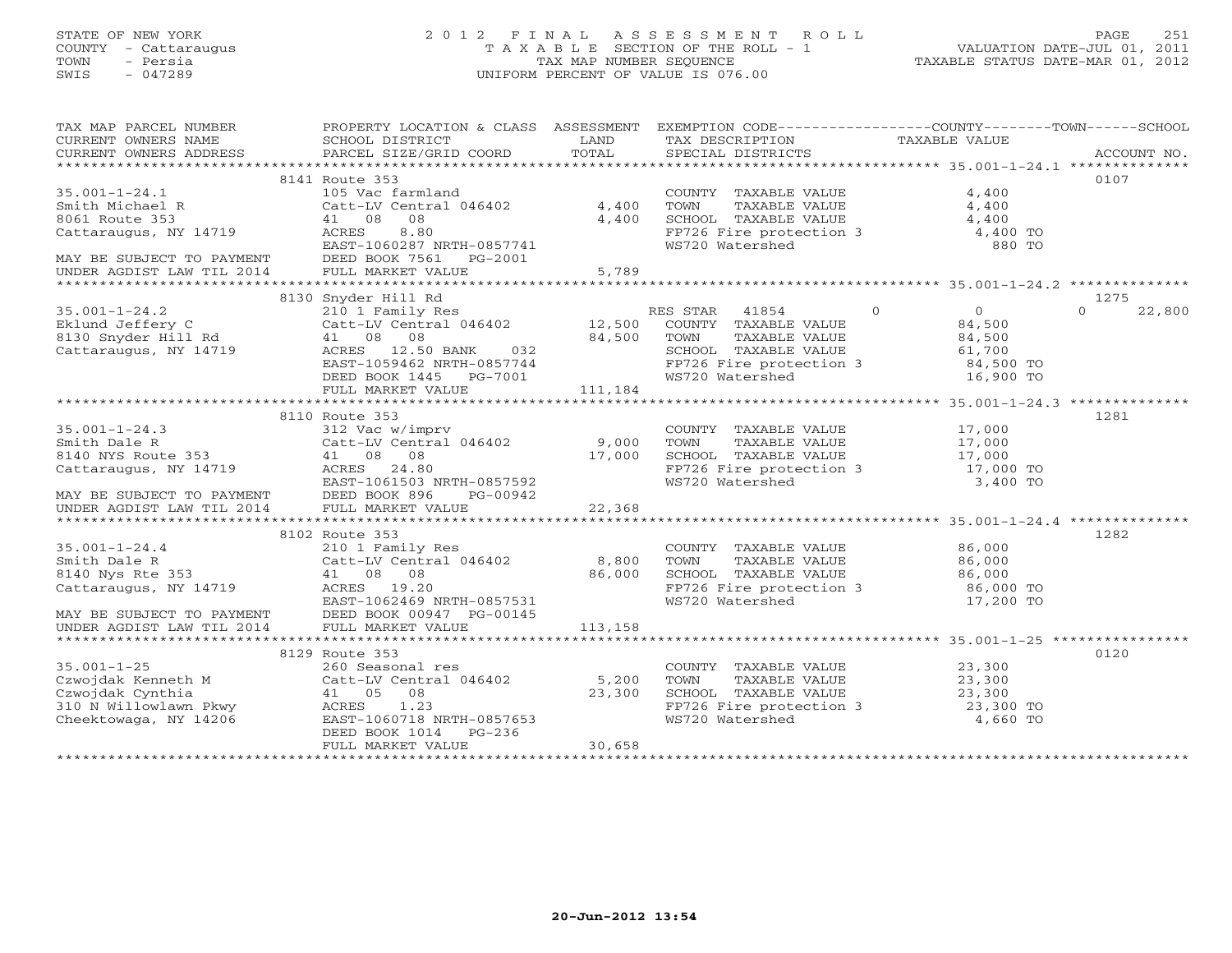# STATE OF NEW YORK 2 0 1 2 F I N A L A S S E S S M E N T R O L L PAGE 251 COUNTY - Cattaraugus T A X A B L E SECTION OF THE ROLL - 1 VALUATION DATE-JUL 01, 2011 TOWN - Persia TAX MAP NUMBER SEQUENCE TAXABLE STATUS DATE-MAR 01, 2012 SWIS - 047289 UNIFORM PERCENT OF VALUE IS 076.00UNIFORM PERCENT OF VALUE IS 076.00

| TAX MAP PARCEL NUMBER                                                                                                                                                                                                                                                                                                                                                                 | PROPERTY LOCATION & CLASS ASSESSMENT EXEMPTION CODE---------------COUNTY-------TOWN------SCHOOL |        |                                                                                                                                                                    |                    |
|---------------------------------------------------------------------------------------------------------------------------------------------------------------------------------------------------------------------------------------------------------------------------------------------------------------------------------------------------------------------------------------|-------------------------------------------------------------------------------------------------|--------|--------------------------------------------------------------------------------------------------------------------------------------------------------------------|--------------------|
|                                                                                                                                                                                                                                                                                                                                                                                       |                                                                                                 |        |                                                                                                                                                                    |                    |
|                                                                                                                                                                                                                                                                                                                                                                                       | 8141 Route 353                                                                                  |        |                                                                                                                                                                    | 0107               |
| $35.001 - 1 - 24.1$                                                                                                                                                                                                                                                                                                                                                                   | 105 Vac farmland                                                                                |        |                                                                                                                                                                    |                    |
|                                                                                                                                                                                                                                                                                                                                                                                       | Catt-LV Central 046402 4,400                                                                    |        |                                                                                                                                                                    |                    |
|                                                                                                                                                                                                                                                                                                                                                                                       | 41 08 08                                                                                        | 4,400  |                                                                                                                                                                    |                    |
| $35.001-1-24.1$<br>$5mith Michael R$<br>$6061 Route 353$<br>$6161 Catteraugus, NY 14719$<br>$7CRES$<br>$R2ST-1$                                                                                                                                                                                                                                                                       |                                                                                                 |        |                                                                                                                                                                    |                    |
|                                                                                                                                                                                                                                                                                                                                                                                       | 41 08 08<br>ACRES 8.80<br>EAST-1060287 NRTH-0857741                                             |        | COUNTY TAXABLE VALUE 4,400<br>TOWN TAXABLE VALUE 4,400<br>SCHOOL TAXABLE VALUE 4,400<br>FP726 Fire protection 3<br>WS720 Watershed 880 TO                          |                    |
| MAY BE SUBJECT TO PAYMENT DEED BOOK 7561 PG-2001                                                                                                                                                                                                                                                                                                                                      |                                                                                                 |        |                                                                                                                                                                    |                    |
|                                                                                                                                                                                                                                                                                                                                                                                       |                                                                                                 |        |                                                                                                                                                                    |                    |
| 35.001-1-24.2<br>35.001-1-24.2<br>35.001-1-24.2<br>2010 Snyder Hill Rd<br>2010 COLL Family Res<br>2010 COLL Family Res<br>2010 COLL Family Res<br>2010 COLL FAMBLE VALUE<br>21.500 COUNTY TAXABLE VALUE<br>24,500<br>3130 Snyder Hill Rd<br>41 08 08                                                                                                                                  |                                                                                                 |        |                                                                                                                                                                    |                    |
|                                                                                                                                                                                                                                                                                                                                                                                       |                                                                                                 |        |                                                                                                                                                                    | 1275               |
|                                                                                                                                                                                                                                                                                                                                                                                       |                                                                                                 |        |                                                                                                                                                                    | $\Omega$<br>22,800 |
|                                                                                                                                                                                                                                                                                                                                                                                       |                                                                                                 |        |                                                                                                                                                                    |                    |
|                                                                                                                                                                                                                                                                                                                                                                                       |                                                                                                 |        |                                                                                                                                                                    |                    |
|                                                                                                                                                                                                                                                                                                                                                                                       |                                                                                                 |        |                                                                                                                                                                    |                    |
|                                                                                                                                                                                                                                                                                                                                                                                       |                                                                                                 |        |                                                                                                                                                                    |                    |
|                                                                                                                                                                                                                                                                                                                                                                                       | DEED BOOK 1445 PG-7001<br>FULL MARKET VALUE 111,184                                             |        |                                                                                                                                                                    |                    |
|                                                                                                                                                                                                                                                                                                                                                                                       |                                                                                                 |        |                                                                                                                                                                    |                    |
|                                                                                                                                                                                                                                                                                                                                                                                       |                                                                                                 |        |                                                                                                                                                                    |                    |
|                                                                                                                                                                                                                                                                                                                                                                                       | 8110 Route 353                                                                                  |        |                                                                                                                                                                    | 1281               |
|                                                                                                                                                                                                                                                                                                                                                                                       |                                                                                                 |        |                                                                                                                                                                    |                    |
|                                                                                                                                                                                                                                                                                                                                                                                       |                                                                                                 |        |                                                                                                                                                                    |                    |
|                                                                                                                                                                                                                                                                                                                                                                                       |                                                                                                 |        |                                                                                                                                                                    |                    |
|                                                                                                                                                                                                                                                                                                                                                                                       |                                                                                                 |        |                                                                                                                                                                    |                    |
|                                                                                                                                                                                                                                                                                                                                                                                       |                                                                                                 |        |                                                                                                                                                                    |                    |
|                                                                                                                                                                                                                                                                                                                                                                                       |                                                                                                 |        |                                                                                                                                                                    |                    |
| $\begin{tabular}{lllllllllllll} 35.001-1-24.3 & 8110 \; \text{Ruler} & 17,000 & 1201 \; \text{Ruler} \\ \text{Smith Dale R} & 312 \; \text{Vac} \; \text{w/imprv} & 9,000 & \text{TOWN} & \text{TAXABLE VALUE} & 17,000 & 1201 \; \text{Gott-LU Central 046402} & 9,000 & \text{TOWN} & \text{TAXABLE VALUE} & 17,000 \; \text{Gott-LU Central 046402} & 9,000 & \text{TOWN} & \text$ |                                                                                                 |        |                                                                                                                                                                    |                    |
|                                                                                                                                                                                                                                                                                                                                                                                       | 8102 Route 353                                                                                  |        |                                                                                                                                                                    | 1282               |
|                                                                                                                                                                                                                                                                                                                                                                                       |                                                                                                 |        |                                                                                                                                                                    |                    |
|                                                                                                                                                                                                                                                                                                                                                                                       |                                                                                                 |        |                                                                                                                                                                    |                    |
|                                                                                                                                                                                                                                                                                                                                                                                       |                                                                                                 |        |                                                                                                                                                                    |                    |
|                                                                                                                                                                                                                                                                                                                                                                                       |                                                                                                 |        |                                                                                                                                                                    |                    |
|                                                                                                                                                                                                                                                                                                                                                                                       |                                                                                                 |        | COUNTY TAXABLE VALUE $86,000$<br>TOWN TAXABLE VALUE $86,000$<br>SCHOOL TAXABLE VALUE $86,000$<br>FP726 Fire protection 3 $86,000$ TO<br>WS720 Watershed 17,200 TO  |                    |
|                                                                                                                                                                                                                                                                                                                                                                                       |                                                                                                 |        |                                                                                                                                                                    |                    |
| 35.001-1-24.4<br>Smith Dale R<br>Smith Dale R<br>Smith Dale R<br>Smith Dale R<br>State 353<br>$41$ 08 08<br>Cattaraugus, NY 14719<br>MAY BE SUBJECT TO PAYMENT<br>MAY BE SUBJECT TO PAYMENT<br>MAY BE SUBJECT TO PAYMENT<br>MAY BE SUBJECT TO PAYME                                                                                                                                   |                                                                                                 |        |                                                                                                                                                                    |                    |
|                                                                                                                                                                                                                                                                                                                                                                                       |                                                                                                 |        |                                                                                                                                                                    |                    |
|                                                                                                                                                                                                                                                                                                                                                                                       | 8129 Route 353                                                                                  |        |                                                                                                                                                                    | 0120               |
|                                                                                                                                                                                                                                                                                                                                                                                       |                                                                                                 |        | COUNTY TAXABLE VALUE $23,300$<br>TOWN TAXABLE VALUE $23,300$<br>SCHOOL TAXABLE VALUE $23,300$<br>FP726 Fire protection 3 $23,300$ TO<br>WS720 Watershed $4,660$ TO |                    |
|                                                                                                                                                                                                                                                                                                                                                                                       |                                                                                                 |        |                                                                                                                                                                    |                    |
|                                                                                                                                                                                                                                                                                                                                                                                       |                                                                                                 |        |                                                                                                                                                                    |                    |
|                                                                                                                                                                                                                                                                                                                                                                                       |                                                                                                 |        |                                                                                                                                                                    |                    |
| 35.001-1-25<br>Czwojdak Kenneth M (200 Czwojdak Cynthia (200 Czwojdak Cynthia 41 05 08 23,300<br>310 N Willowlawn Pkwy ACRESS<br>Cheektowaga, NY 14206 EAST-1060718 NRTH-0857653                                                                                                                                                                                                      |                                                                                                 |        |                                                                                                                                                                    |                    |
|                                                                                                                                                                                                                                                                                                                                                                                       | DEED BOOK 1014 PG-236<br>FULL MARKET VALUE                                                      | 30,658 |                                                                                                                                                                    |                    |
|                                                                                                                                                                                                                                                                                                                                                                                       |                                                                                                 |        |                                                                                                                                                                    |                    |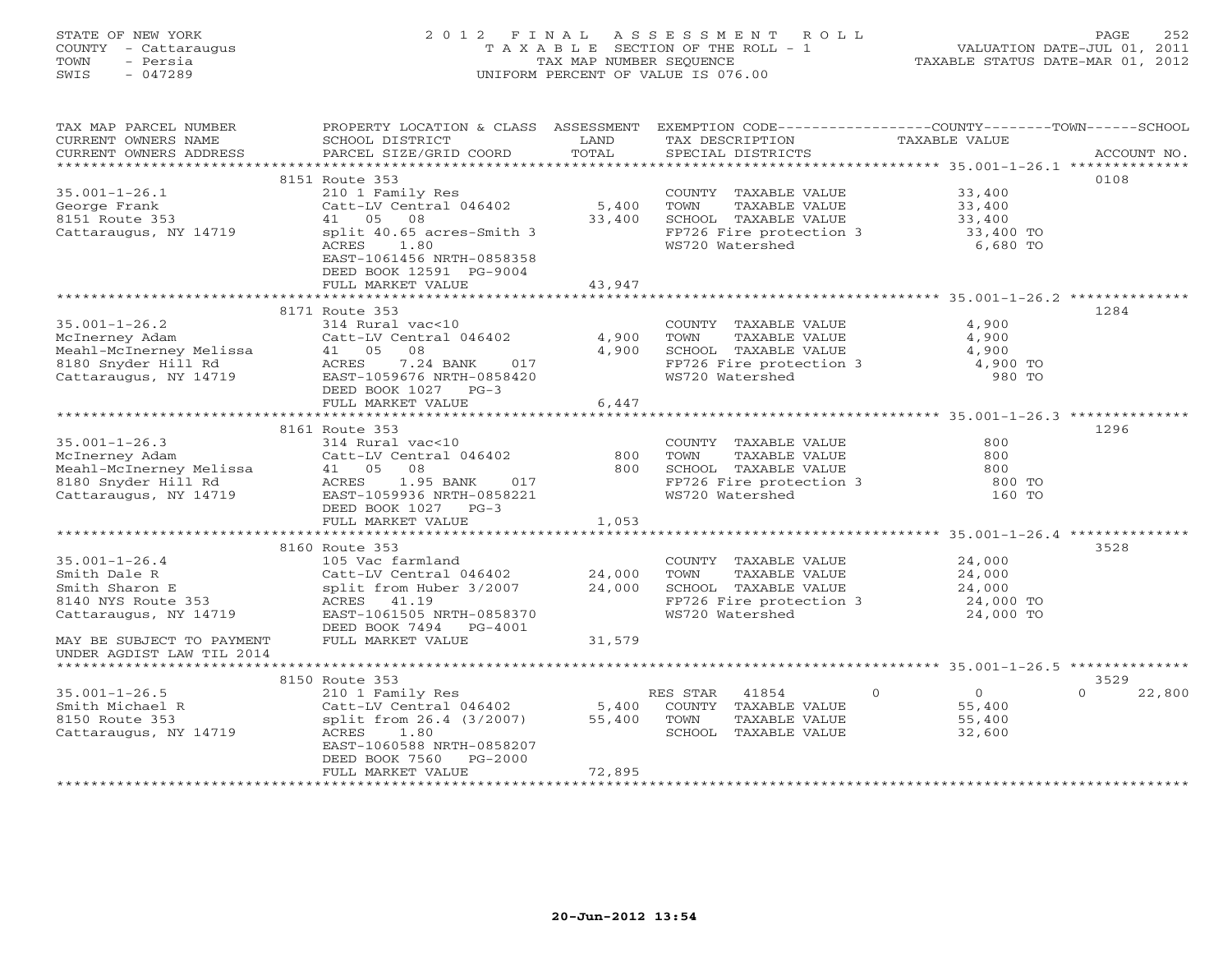# STATE OF NEW YORK 2 0 1 2 F I N A L A S S E S S M E N T R O L L PAGE 252 COUNTY - Cattaraugus T A X A B L E SECTION OF THE ROLL - 1 VALUATION DATE-JUL 01, 2011 TOWN - Persia TAX MAP NUMBER SEQUENCE TAXABLE STATUS DATE-MAR 01, 2012 SWIS - 047289 UNIFORM PERCENT OF VALUE IS 076.00UNIFORM PERCENT OF VALUE IS 076.00

| TAX MAP PARCEL NUMBER<br>CURRENT OWNERS NAME<br>CURRENT OWNERS ADDRESS | PROPERTY LOCATION & CLASS ASSESSMENT<br>SCHOOL DISTRICT<br>PARCEL SIZE/GRID COORD | LAND<br>TOTAL | EXEMPTION CODE----------------COUNTY-------TOWN-----SCHOOL<br>TAX DESCRIPTION<br>SPECIAL DISTRICTS | TAXABLE VALUE       | ACCOUNT NO.      |
|------------------------------------------------------------------------|-----------------------------------------------------------------------------------|---------------|----------------------------------------------------------------------------------------------------|---------------------|------------------|
| ***********************                                                |                                                                                   |               |                                                                                                    |                     |                  |
|                                                                        | 8151 Route 353                                                                    |               |                                                                                                    |                     | 0108             |
| $35.001 - 1 - 26.1$                                                    | 210 1 Family Res                                                                  |               | COUNTY TAXABLE VALUE                                                                               | 33,400              |                  |
| George Frank                                                           | Catt-LV Central 046402                                                            | 5,400         | TOWN<br>TAXABLE VALUE                                                                              | 33,400              |                  |
| 8151 Route 353                                                         | 41 05<br>08                                                                       | 33,400        | SCHOOL TAXABLE VALUE                                                                               | 33,400              |                  |
| Cattaraugus, NY 14719                                                  | split 40.65 acres-Smith 3                                                         |               | FP726 Fire protection 3                                                                            | 33,400 TO           |                  |
|                                                                        | 1.80<br>ACRES                                                                     |               | WS720 Watershed                                                                                    | 6,680 TO            |                  |
|                                                                        | EAST-1061456 NRTH-0858358<br>DEED BOOK 12591 PG-9004                              |               |                                                                                                    |                     |                  |
|                                                                        | FULL MARKET VALUE                                                                 | 43,947        |                                                                                                    |                     |                  |
|                                                                        | ******************************                                                    |               |                                                                                                    |                     |                  |
|                                                                        | 8171 Route 353                                                                    |               |                                                                                                    |                     | 1284             |
| $35.001 - 1 - 26.2$                                                    | 314 Rural vac<10                                                                  |               | COUNTY TAXABLE VALUE                                                                               | 4,900               |                  |
| McInerney Adam                                                         | Catt-LV Central 046402                                                            | 4,900         | TAXABLE VALUE<br>TOWN                                                                              | 4,900               |                  |
| Meahl-McInerney Melissa                                                | 41 05 08                                                                          | 4,900         | SCHOOL TAXABLE VALUE                                                                               | 4,900               |                  |
| 8180 Snyder Hill Rd                                                    | 7.24 BANK<br>ACRES<br>017                                                         |               | FP726 Fire protection 3                                                                            | 4,900 TO            |                  |
| Cattaraugus, NY 14719                                                  | EAST-1059676 NRTH-0858420                                                         |               | WS720 Watershed                                                                                    | 980 TO              |                  |
|                                                                        | DEED BOOK 1027<br>$PG-3$                                                          |               |                                                                                                    |                     |                  |
|                                                                        | FULL MARKET VALUE                                                                 | 6,447         |                                                                                                    |                     |                  |
|                                                                        |                                                                                   |               |                                                                                                    |                     |                  |
|                                                                        | 8161 Route 353                                                                    |               |                                                                                                    |                     | 1296             |
| $35.001 - 1 - 26.3$                                                    | 314 Rural vac<10                                                                  |               | COUNTY TAXABLE VALUE                                                                               | 800                 |                  |
| McInerney Adam                                                         | Catt-LV Central 046402                                                            | 800           | TOWN<br>TAXABLE VALUE                                                                              | 800                 |                  |
| Meahl-McInerney Melissa                                                | 41 05<br>08                                                                       | 800           | SCHOOL TAXABLE VALUE                                                                               | 800                 |                  |
| 8180 Snyder Hill Rd                                                    | ACRES<br>1.95 BANK<br>017                                                         |               | FP726 Fire protection 3                                                                            | 800 TO              |                  |
| Cattaraugus, NY 14719                                                  | EAST-1059936 NRTH-0858221                                                         |               | WS720 Watershed                                                                                    | 160 TO              |                  |
|                                                                        | DEED BOOK 1027 PG-3                                                               |               |                                                                                                    |                     |                  |
|                                                                        | FULL MARKET VALUE                                                                 | 1,053         |                                                                                                    |                     |                  |
|                                                                        |                                                                                   |               |                                                                                                    |                     |                  |
|                                                                        | 8160 Route 353                                                                    |               |                                                                                                    |                     | 3528             |
| $35.001 - 1 - 26.4$                                                    | 105 Vac farmland                                                                  |               | COUNTY TAXABLE VALUE                                                                               | 24,000              |                  |
| Smith Dale R                                                           | Catt-LV Central 046402                                                            | 24,000        | TOWN<br>TAXABLE VALUE                                                                              | 24,000              |                  |
| Smith Sharon E                                                         | split from Huber 3/2007                                                           | 24,000        | SCHOOL TAXABLE VALUE                                                                               | 24,000              |                  |
| 8140 NYS Route 353                                                     | ACRES 41.19                                                                       |               | FP726 Fire protection 3                                                                            | 24,000 TO           |                  |
| Cattaraugus, NY 14719                                                  | EAST-1061505 NRTH-0858370                                                         |               | WS720 Watershed                                                                                    | 24,000 TO           |                  |
|                                                                        | DEED BOOK 7494 PG-4001                                                            |               |                                                                                                    |                     |                  |
| MAY BE SUBJECT TO PAYMENT                                              | FULL MARKET VALUE                                                                 | 31,579        |                                                                                                    |                     |                  |
| UNDER AGDIST LAW TIL 2014                                              |                                                                                   |               |                                                                                                    |                     |                  |
|                                                                        |                                                                                   |               |                                                                                                    |                     |                  |
|                                                                        | 8150 Route 353                                                                    |               |                                                                                                    |                     | 3529             |
| $35.001 - 1 - 26.5$                                                    | 210 1 Family Res                                                                  |               | RES STAR<br>41854                                                                                  | $\Omega$<br>$\circ$ | 22,800<br>$\cap$ |
| Smith Michael R                                                        | Catt-LV Central 046402                                                            | 5,400         | COUNTY TAXABLE VALUE                                                                               | 55,400              |                  |
| 8150 Route 353                                                         | split from 26.4 (3/2007)                                                          | 55,400        | TOWN<br>TAXABLE VALUE                                                                              | 55,400              |                  |
| Cattaraugus, NY 14719                                                  | 1.80<br>ACRES<br>EAST-1060588 NRTH-0858207                                        |               | SCHOOL TAXABLE VALUE                                                                               | 32,600              |                  |
|                                                                        | DEED BOOK 7560<br>$PG-2000$                                                       |               |                                                                                                    |                     |                  |
|                                                                        | FULL MARKET VALUE                                                                 | 72,895        |                                                                                                    |                     |                  |
|                                                                        |                                                                                   |               |                                                                                                    |                     |                  |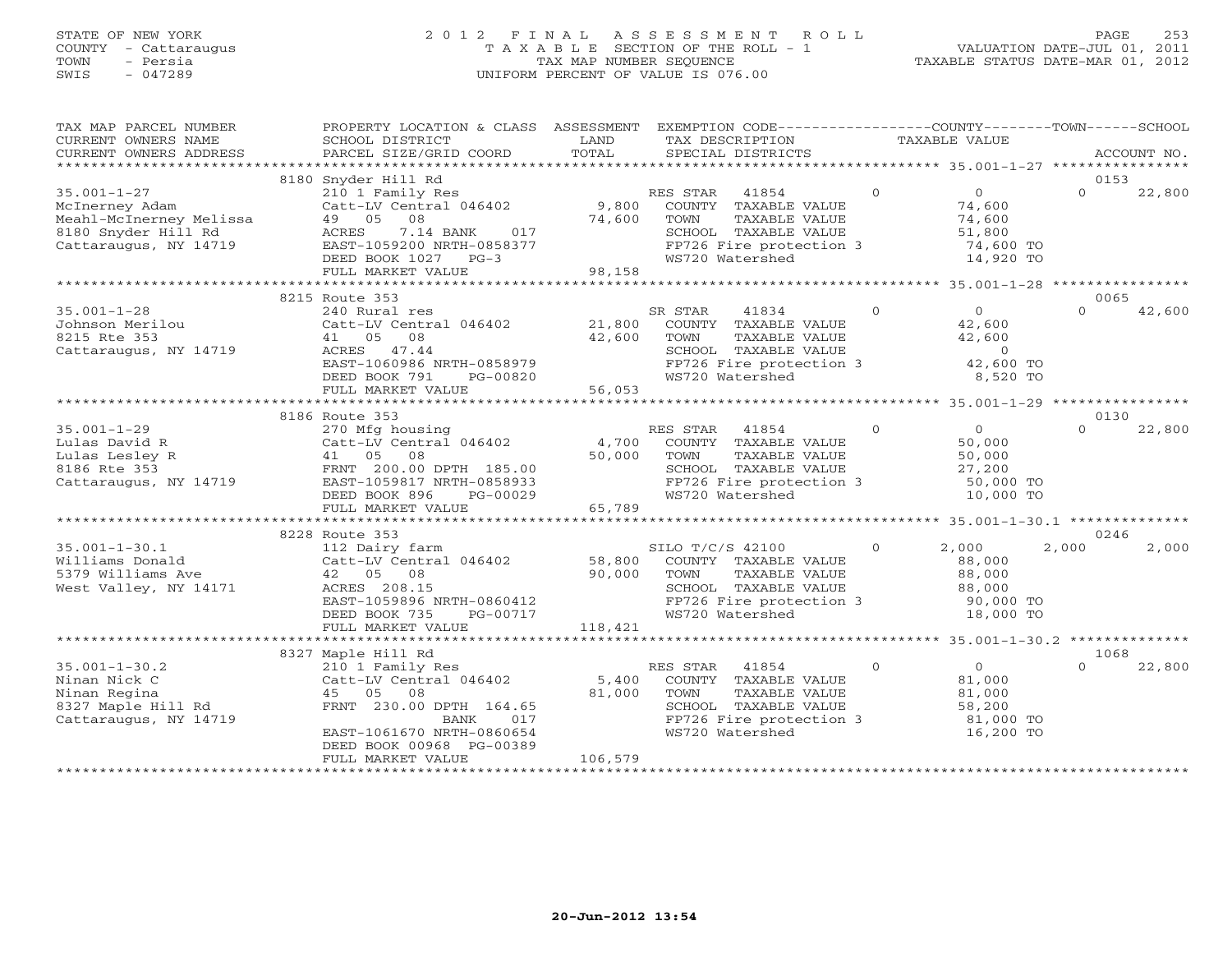## STATE OF NEW YORK 2 0 1 2 F I N A L A S S E S S M E N T R O L L PAGE 253 COUNTY - Cattaraugus T A X A B L E SECTION OF THE ROLL - 1 VALUATION DATE-JUL 01, 2011 TOWN - Persia TAX MAP NUMBER SEQUENCE TAXABLE STATUS DATE-MAR 01, 2012 SWIS - 047289 UNIFORM PERCENT OF VALUE IS 076.00UNIFORM PERCENT OF VALUE IS 076.00

| TAX MAP PARCEL NUMBER<br>CURRENT OWNERS NAME                                                                   | PROPERTY LOCATION & CLASS ASSESSMENT EXEMPTION CODE----------------COUNTY-------TOWN------SCHOOL<br>SCHOOL DISTRICT                                                               | LAND                       | TAX DESCRIPTION                                                                                                                                               |                | TAXABLE VALUE                                                          |          |             |
|----------------------------------------------------------------------------------------------------------------|-----------------------------------------------------------------------------------------------------------------------------------------------------------------------------------|----------------------------|---------------------------------------------------------------------------------------------------------------------------------------------------------------|----------------|------------------------------------------------------------------------|----------|-------------|
| CURRENT OWNERS ADDRESS                                                                                         | PARCEL SIZE/GRID COORD                                                                                                                                                            | TOTAL                      | SPECIAL DISTRICTS                                                                                                                                             |                |                                                                        |          | ACCOUNT NO. |
|                                                                                                                |                                                                                                                                                                                   |                            |                                                                                                                                                               |                |                                                                        |          |             |
|                                                                                                                | 8180 Snyder Hill Rd                                                                                                                                                               |                            |                                                                                                                                                               |                |                                                                        | 0153     |             |
| $35.001 - 1 - 27$<br>McInerney Adam<br>Meahl-McInerney Melissa<br>8180 Snyder Hill Rd<br>Cattaraugus, NY 14719 | 210 1 Family Res<br>Catt-LV Central 046402<br>49 05<br>08<br>ACRES<br>7.14 BANK<br>017<br>EAST-1059200 NRTH-0858377                                                               | 74,600                     | RES STAR<br>41854<br>9,800 COUNTY TAXABLE VALUE<br>TOWN<br>TAXABLE VALUE<br>SCHOOL TAXABLE VALUE<br>SCHOOL TAAABLE VALUE<br>FP726 Fire protection 3           | $\overline{0}$ | $\overline{0}$<br>74,600<br>74,600<br>51,800<br>74,600 TO              | $\Omega$ | 22,800      |
|                                                                                                                | DEED BOOK 1027 PG-3                                                                                                                                                               |                            | WS720 Watershed                                                                                                                                               |                | 14,920 TO                                                              |          |             |
|                                                                                                                | FULL MARKET VALUE                                                                                                                                                                 | 98,158                     |                                                                                                                                                               |                |                                                                        |          |             |
|                                                                                                                |                                                                                                                                                                                   |                            |                                                                                                                                                               |                |                                                                        |          |             |
|                                                                                                                | 8215 Route 353                                                                                                                                                                    |                            |                                                                                                                                                               |                |                                                                        | 0065     |             |
| $35.001 - 1 - 28$<br>Johnson Merilou<br>8215 Rte 353                                                           | 240 Rural res<br>Catt-LV Central 046402<br>41 05 08                                                                                                                               | 21,800<br>42,600           | SR STAR<br>41834<br>COUNTY TAXABLE VALUE<br>TOWN<br>TAXABLE VALUE                                                                                             | $\Omega$       | $\overline{0}$<br>42,600<br>42,600                                     | $\Omega$ | 42,600      |
| Cattaraugus, NY 14719                                                                                          | ACRES 47.44<br>EAST-1060986 NRTH-0858979<br>DEED BOOK 791<br>PG-00820<br>FULL MARKET VALUE                                                                                        | 56,053                     | SCHOOL TAXABLE VALUE<br>FP726 Fire protection 3<br>WS720 Watershed<br>WS720 Watershed                                                                         |                | $\sim$ 0<br>42,600 TO<br>8,520 TO                                      |          |             |
|                                                                                                                |                                                                                                                                                                                   |                            |                                                                                                                                                               |                |                                                                        |          |             |
|                                                                                                                | 8186 Route 353                                                                                                                                                                    |                            |                                                                                                                                                               |                |                                                                        | 0130     |             |
| $35.001 - 1 - 29$<br>Lulas David R<br>Lulas Lesley R<br>8186 Rte 353<br>Cattaraugus, NY 14719                  | 270 Mfg housing<br>Catt-LV Central 046402<br>08<br>41 05<br>FRNT 200.00 DPTH 185.00<br>EAST-1059817 NRTH-0858933<br>DEED BOOK 896<br>PG-00029<br>FULL MARKET VALUE                | 4,700<br>50,000<br>65,789  | RES STAR 41854<br>COUNTY TAXABLE VALUE<br>TOWN<br>TAXABLE VALUE<br>SCHOOL TAXABLE VALUE<br>SCHOOL TAXABLE VALUE<br>FP726 Fire protection 3<br>WS720 Watershed | $\Omega$       | $\overline{0}$<br>50,000<br>50,000<br>27,200<br>50,000 TO<br>10,000 TO | $\Omega$ | 22,800      |
|                                                                                                                |                                                                                                                                                                                   |                            |                                                                                                                                                               |                |                                                                        |          |             |
|                                                                                                                | 8228 Route 353                                                                                                                                                                    |                            |                                                                                                                                                               |                |                                                                        | 0246     |             |
| $35.001 - 1 - 30.1$<br>Williams Donald<br>5379 Williams Ave<br>West Valley, NY 14171                           | 112 Dairy farm<br>Catt-LV Central 046402 58,800 COUNTY TAXABLE VALUE<br>42 05 08<br>ACRES 208.15<br>EAST-1059896 NRTH-0860412<br>DEED BOOK 735<br>PG-00717<br>FULL MARKET VALUE   | 90,000<br>118,421          | SILO T/C/S 42100<br>TOWN<br>TAXABLE VALUE<br>SCHOOL TAXABLE VALUE<br>FP726 Fire protection 3<br>WS720 Watershed                                               | $\circ$        | 2,000<br>88,000<br>88,000<br>88,000<br>90,000 TO<br>18,000 TO          | 2,000    | 2,000       |
|                                                                                                                |                                                                                                                                                                                   |                            |                                                                                                                                                               |                |                                                                        |          |             |
|                                                                                                                | 8327 Maple Hill Rd                                                                                                                                                                |                            |                                                                                                                                                               |                |                                                                        | 1068     |             |
| $35.001 - 1 - 30.2$<br>Ninan Nick C<br>Ninan Regina<br>8327 Maple Hill Rd<br>Cattaraugus, NY 14719             | 210 1 Family Res<br>Catt-LV Central 046402<br>45 05<br>08<br>FRNT 230.00 DPTH 164.65<br>BANK<br>017<br>EAST-1061670 NRTH-0860654<br>DEED BOOK 00968 PG-00389<br>FULL MARKET VALUE | 5,400<br>81,000<br>106,579 | RES STAR<br>41854<br>COUNTY TAXABLE VALUE<br>TOWN<br>TAXABLE VALUE<br>SCHOOL TAXABLE VALUE<br>FP726 Fire protection 3<br>WS720 Watershed                      | $\Omega$       | $\overline{0}$<br>81,000<br>81,000<br>58,200<br>81,000 TO<br>16,200 TO | $\cap$   | 22,800      |
|                                                                                                                |                                                                                                                                                                                   |                            |                                                                                                                                                               |                |                                                                        |          |             |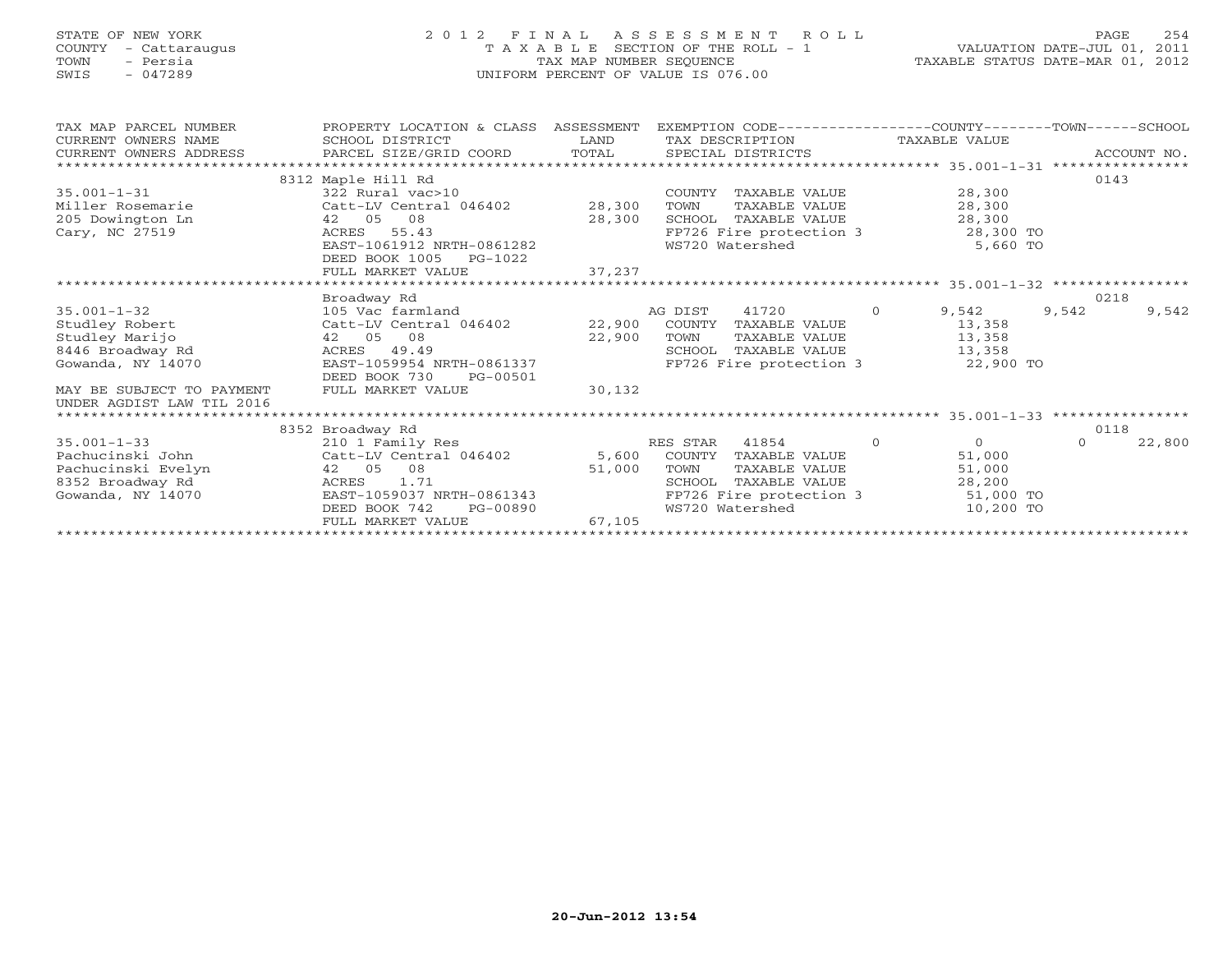## STATE OF NEW YORK 2 0 1 2 F I N A L A S S E S S M E N T R O L L PAGE 254 COUNTY - Cattaraugus T A X A B L E SECTION OF THE ROLL - 1 VALUATION DATE-JUL 01, 2011 TOWN - Persia TAX MAP NUMBER SEQUENCE TAXABLE STATUS DATE-MAR 01, 2012 SWIS - 047289 UNIFORM PERCENT OF VALUE IS 076.00UNIFORM PERCENT OF VALUE IS 076.00

| TAX MAP PARCEL NUMBER<br>CURRENT OWNERS NAME<br>CURRENT OWNERS ADDRESS | PROPERTY LOCATION & CLASS ASSESSMENT<br>SCHOOL DISTRICT<br>PARCEL SIZE/GRID COORD | LAND<br>TOTAL | EXEMPTION CODE-----------------COUNTY-------TOWN------SCHOOL<br>TAX DESCRIPTION TAXABLE VALUE<br>SPECIAL DISTRICTS |                      | ACCOUNT NO. |        |  |
|------------------------------------------------------------------------|-----------------------------------------------------------------------------------|---------------|--------------------------------------------------------------------------------------------------------------------|----------------------|-------------|--------|--|
|                                                                        |                                                                                   |               |                                                                                                                    |                      |             |        |  |
|                                                                        | 8312 Maple Hill Rd                                                                |               |                                                                                                                    |                      | 0143        |        |  |
| $35.001 - 1 - 31$                                                      | 322 Rural vac>10                                                                  |               | COUNTY TAXABLE VALUE                                                                                               | 28,300               |             |        |  |
| Miller Rosemarie                                                       | Catt-LV Central 046402                                                            | 28,300        | TAXABLE VALUE<br>TOWN                                                                                              | 28,300               |             |        |  |
| 205 Dowington Ln                                                       | 42 05 08                                                                          | 28,300        | SCHOOL TAXABLE VALUE                                                                                               | 28,300               |             |        |  |
| Cary, NC 27519                                                         | 55.43<br>ACRES                                                                    |               | FP726 Fire protection 3                                                                                            | 28,300 TO            |             |        |  |
|                                                                        | EAST-1061912 NRTH-0861282                                                         |               | WS720 Watershed                                                                                                    | 5,660 TO             |             |        |  |
|                                                                        | DEED BOOK 1005<br>PG-1022                                                         |               |                                                                                                                    |                      |             |        |  |
|                                                                        | FULL MARKET VALUE                                                                 | 37,237        |                                                                                                                    |                      |             |        |  |
|                                                                        |                                                                                   |               |                                                                                                                    |                      |             |        |  |
|                                                                        | Broadway Rd                                                                       |               |                                                                                                                    |                      | 0218        |        |  |
| $35.001 - 1 - 32$                                                      | 105 Vac farmland                                                                  |               | AG DIST<br>41720                                                                                                   | $\Omega$<br>9,542    | 9,542       | 9,542  |  |
| Studley Robert                                                         | Catt-LV Central 046402                                                            | 22,900        | COUNTY<br>TAXABLE VALUE                                                                                            | 13,358               |             |        |  |
| Studley Marijo                                                         | 42 05<br>08                                                                       | 22,900        | TAXABLE VALUE<br>TOWN                                                                                              | 13,358               |             |        |  |
| 8446 Broadway Rd                                                       | 49.49<br>ACRES                                                                    |               | SCHOOL TAXABLE VALUE                                                                                               | 13,358               |             |        |  |
| Gowanda, NY 14070                                                      | EAST-1059954 NRTH-0861337                                                         |               | FP726 Fire protection 3                                                                                            | 22,900 TO            |             |        |  |
|                                                                        | DEED BOOK 730<br>PG-00501                                                         |               |                                                                                                                    |                      |             |        |  |
| MAY BE SUBJECT TO PAYMENT                                              | FULL MARKET VALUE                                                                 | 30,132        |                                                                                                                    |                      |             |        |  |
| UNDER AGDIST LAW TIL 2016                                              |                                                                                   |               |                                                                                                                    |                      |             |        |  |
|                                                                        |                                                                                   |               |                                                                                                                    |                      |             |        |  |
|                                                                        | 8352 Broadway Rd                                                                  |               |                                                                                                                    |                      | 0118        |        |  |
| $35.001 - 1 - 33$                                                      | 210 1 Family Res                                                                  |               | RES STAR 41854                                                                                                     | $\Omega$<br>$\Omega$ | $\Omega$    | 22,800 |  |
| Pachucinski John                                                       | Catt-LV Central 046402                                                            |               | 5,600 COUNTY TAXABLE VALUE                                                                                         | 51,000               |             |        |  |
| Pachucinski Evelyn                                                     | 42 05<br>08                                                                       | 51,000        | TOWN<br>TAXABLE VALUE                                                                                              | 51,000               |             |        |  |
| 8352 Broadway Rd                                                       | 1.71<br>ACRES                                                                     |               | SCHOOL<br>TAXABLE VALUE                                                                                            | 28,200               |             |        |  |
| Gowanda, NY 14070                                                      | EAST-1059037 NRTH-0861343                                                         |               | FP726 Fire protection 3                                                                                            | 51,000 TO            |             |        |  |
|                                                                        | DEED BOOK 742<br>PG-00890<br>FULL MARKET VALUE                                    | 67,105        | WS720 Watershed                                                                                                    | 10,200 TO            |             |        |  |
|                                                                        |                                                                                   |               |                                                                                                                    |                      |             |        |  |
|                                                                        |                                                                                   |               |                                                                                                                    |                      |             |        |  |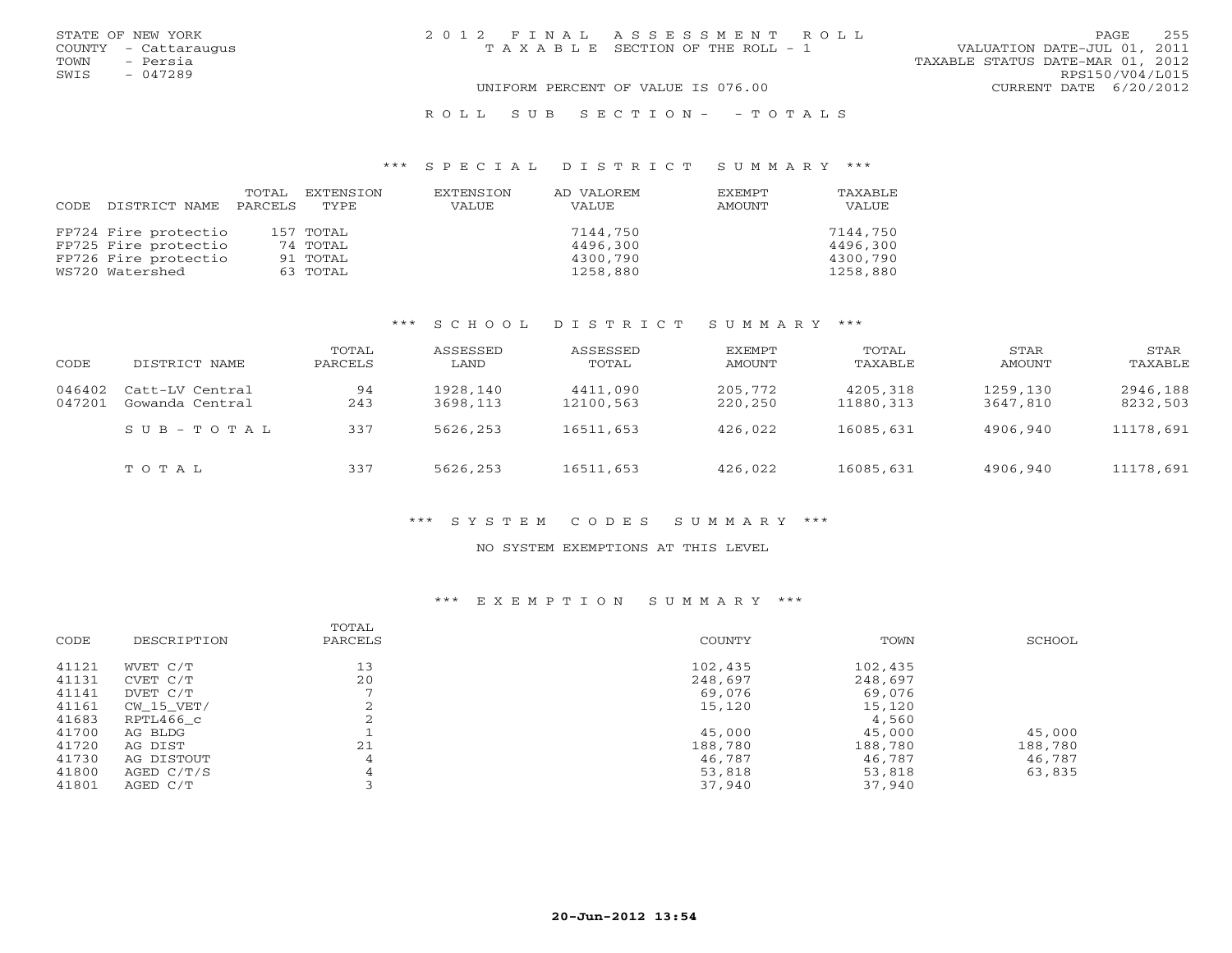|      | STATE OF NEW YORK    | 2012 FINAL ASSESSMENT ROLL            |                                  | PAGE.           | 255 |
|------|----------------------|---------------------------------------|----------------------------------|-----------------|-----|
|      | COUNTY - Cattaraugus | T A X A B L E SECTION OF THE ROLL - 1 | VALUATION DATE-JUL 01, 2011      |                 |     |
| TOWN | - Persia             |                                       | TAXABLE STATUS DATE-MAR 01, 2012 |                 |     |
| SWIS | $-047289$            |                                       |                                  | RPS150/V04/L015 |     |
|      |                      | UNIFORM PERCENT OF VALUE IS 076.00    | CURRENT DATE 6/20/2012           |                 |     |
|      |                      |                                       |                                  |                 |     |

### R O L L S U B S E C T I O N - - T O T A L S

#### \*\*\* S P E C I A L D I S T R I C T S U M M A R Y \*\*\*

|                            | TOTAL EXTENSION | EXTENSION | AD VALOREM | EXEMPT | TAXABLE  |
|----------------------------|-----------------|-----------|------------|--------|----------|
| CODE DISTRICT NAME PARCELS | TYPE            | VALUE     | VALUE      | AMOUNT | VALUE    |
|                            |                 |           |            |        |          |
| FP724 Fire protectio       | 157 TOTAL       |           | 7144,750   |        | 7144,750 |
| FP725 Fire protectio       | 74 TOTAL        |           | 4496,300   |        | 4496,300 |
| FP726 Fire protectio       | 91 TOTAL        |           | 4300,790   |        | 4300,790 |
| WS720 Watershed            | 63 TOTAL        |           | 1258,880   |        | 1258,880 |

## \*\*\* S C H O O L D I S T R I C T S U M M A R Y \*\*\*

| CODE             | DISTRICT NAME                      | TOTAL<br>PARCELS | ASSESSED<br>LAND     | ASSESSED<br>TOTAL     | EXEMPT<br>AMOUNT   | TOTAL<br>TAXABLE      | STAR<br>AMOUNT       | STAR<br>TAXABLE      |
|------------------|------------------------------------|------------------|----------------------|-----------------------|--------------------|-----------------------|----------------------|----------------------|
| 046402<br>047201 | Catt-LV Central<br>Gowanda Central | 94<br>243        | 1928,140<br>3698,113 | 4411,090<br>12100,563 | 205,772<br>220,250 | 4205,318<br>11880,313 | 1259,130<br>3647,810 | 2946,188<br>8232,503 |
|                  | $SUB - TO T AL$                    | 337              | 5626,253             | 16511,653             | 426,022            | 16085,631             | 4906,940             | 11178,691            |
|                  | TOTAL                              | 337              | 5626,253             | 16511,653             | 426,022            | 16085,631             | 4906,940             | 11178,691            |

## \*\*\* S Y S T E M C O D E S S U M M A R Y \*\*\*

#### NO SYSTEM EXEMPTIONS AT THIS LEVEL

## \*\*\* E X E M P T I O N S U M M A R Y \*\*\*

| CODE  | DESCRIPTION | TOTAL<br>PARCELS | <b>COUNTY</b> | TOWN    | SCHOOL  |
|-------|-------------|------------------|---------------|---------|---------|
| 41121 | WVET C/T    | 13               | 102,435       | 102,435 |         |
| 41131 | CVET C/T    | 20               | 248,697       | 248,697 |         |
| 41141 | DVET C/T    |                  | 69,076        | 69,076  |         |
| 41161 | CW 15 VET/  | ⌒                | 15,120        | 15,120  |         |
| 41683 | RPTL466 c   |                  |               | 4,560   |         |
| 41700 | AG BLDG     |                  | 45,000        | 45,000  | 45,000  |
| 41720 | AG DIST     | 21               | 188,780       | 188,780 | 188,780 |
| 41730 | AG DISTOUT  | 4                | 46,787        | 46,787  | 46,787  |
| 41800 | AGED C/T/S  | 4                | 53,818        | 53,818  | 63,835  |
| 41801 | AGED C/T    |                  | 37,940        | 37,940  |         |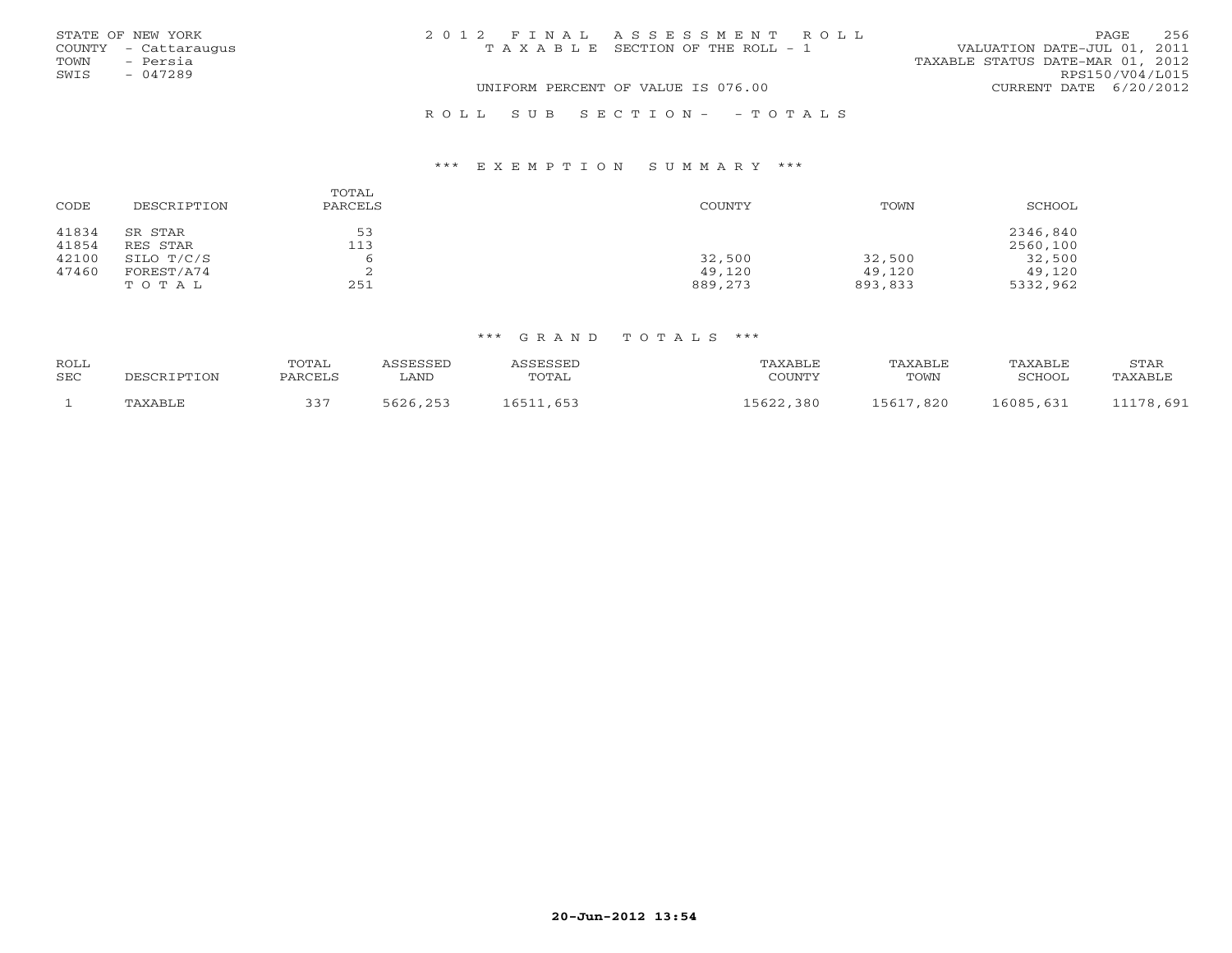|      | STATE OF NEW YORK    | 2012 FINAL ASSESSMENT ROLL            |                                  | PAGE            | 256 |
|------|----------------------|---------------------------------------|----------------------------------|-----------------|-----|
|      | COUNTY - Cattaraugus | T A X A B L E SECTION OF THE ROLL - 1 | VALUATION DATE-JUL 01, 2011      |                 |     |
| TOWN | - Persia             |                                       | TAXABLE STATUS DATE-MAR 01, 2012 |                 |     |
| SWIS | $-047289$            |                                       |                                  | RPS150/V04/L015 |     |
|      |                      | UNIFORM PERCENT OF VALUE IS 076.00    | CURRENT DATE 6/20/2012           |                 |     |
|      |                      | ROLL SUB SECTION- - TOTALS            |                                  |                 |     |

### \*\*\* E X E M P T I O N S U M M A R Y \*\*\*

| CODE           | DESCRIPTION         | TOTAL<br>PARCELS | <b>COUNTY</b> | TOWN    | SCHOOL               |
|----------------|---------------------|------------------|---------------|---------|----------------------|
| 41834<br>41854 | SR STAR<br>RES STAR | 53<br>113        |               |         | 2346,840<br>2560,100 |
| 42100          | SILO T/C/S          |                  | 32,500        | 32,500  | 32,500               |
| 47460          | FOREST/A74          | ▵                | 49,120        | 49,120  | 49,120               |
|                | TOTAL               | 251              | 889,273       | 893,833 | 5332,962             |

#### \*\*\* G R A N D T O T A L S \*\*\*

| ROLL |             | TOTAL   | ASSESSED | ASSESSED  | TAXABLE   | TAXABLE   | TAXABLE       | STAR      |
|------|-------------|---------|----------|-----------|-----------|-----------|---------------|-----------|
| SEC  | DESCRIPTION | PARCELS | LAND     | TOTAL     | COUNTY    | TOWN      | <b>SCHOOL</b> | TAXABLE   |
|      | TAXABLE     | 337     | 5626,253 | 16511,653 | 15622,380 | 15617,820 | 16085,631     | 11178,691 |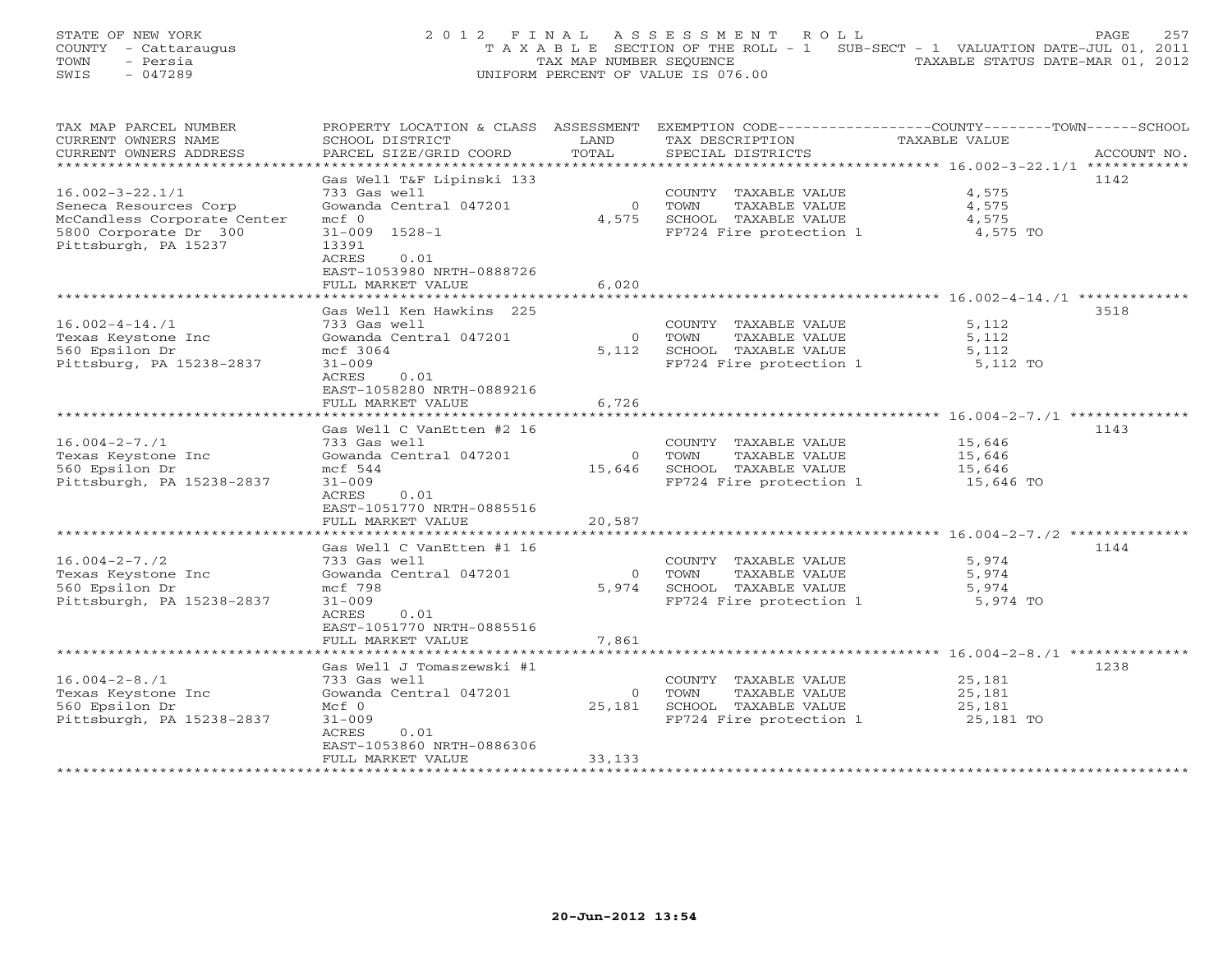## STATE OF NEW YORK 257 2012 FINAL ASSESSMENT ROLL PAGE 257 COUNTY - Cattaraugus T A X A B L E SECTION OF THE ROLL - 1 SUB-SECT - 1 VALUATION DATE-JUL 01, 2011 TOWN - Persia TAX MAP NUMBER SEQUENCE TAXABLE STATUS DATE-MAR 01, 2012 SWIS - 047289 UNIFORM PERCENT OF VALUE IS 076.00

| TAX MAP PARCEL NUMBER          | PROPERTY LOCATION & CLASS ASSESSMENT |                | EXEMPTION CODE-----------------COUNTY-------TOWN------SCHOOL |                      |             |
|--------------------------------|--------------------------------------|----------------|--------------------------------------------------------------|----------------------|-------------|
| CURRENT OWNERS NAME            | SCHOOL DISTRICT                      | LAND           | TAX DESCRIPTION                                              | <b>TAXABLE VALUE</b> |             |
| CURRENT OWNERS ADDRESS         | PARCEL SIZE/GRID COORD               | TOTAL          | SPECIAL DISTRICTS                                            |                      | ACCOUNT NO. |
| ********************           | ***********************              |                |                                                              |                      |             |
|                                | Gas Well T&F Lipinski 133            |                |                                                              |                      | 1142        |
| $16.002 - 3 - 22.1/1$          | 733 Gas well                         |                | COUNTY TAXABLE VALUE                                         | 4,575                |             |
| Seneca Resources Corp          | Gowanda Central 047201               | $\overline{0}$ | TOWN<br>TAXABLE VALUE                                        | 4,575                |             |
| McCandless Corporate Center    | $mcf$ 0                              | 4,575          | SCHOOL TAXABLE VALUE                                         | 4,575                |             |
| 5800 Corporate Dr 300          | $31 - 009$ $1528 - 1$                |                | FP724 Fire protection 1                                      | 4,575 TO             |             |
| Pittsburgh, PA 15237           | 13391                                |                |                                                              |                      |             |
|                                | ACRES<br>0.01                        |                |                                                              |                      |             |
|                                | EAST-1053980 NRTH-0888726            |                |                                                              |                      |             |
|                                | FULL MARKET VALUE                    | 6,020          |                                                              |                      |             |
|                                | ***************************          |                |                                                              |                      |             |
|                                | Gas Well Ken Hawkins 225             |                |                                                              |                      | 3518        |
| $16.002 - 4 - 14.71$           | 733 Gas well                         |                | COUNTY TAXABLE VALUE                                         | 5,112                |             |
| Texas Keystone Inc             | Gowanda Central 047201               | $\overline{0}$ | TAXABLE VALUE<br>TOWN                                        | 5,112                |             |
| 560 Epsilon Dr                 | mcf 3064                             | 5,112          | SCHOOL TAXABLE VALUE                                         | 5,112                |             |
| Pittsburg, PA 15238-2837       | $31 - 009$                           |                | FP724 Fire protection 1                                      | 5,112 TO             |             |
|                                | ACRES<br>0.01                        |                |                                                              |                      |             |
|                                | EAST-1058280 NRTH-0889216            |                |                                                              |                      |             |
|                                | FULL MARKET VALUE                    | 6,726          |                                                              |                      |             |
|                                | ***************************          |                |                                                              |                      |             |
|                                | Gas Well C VanEtten #2 16            |                |                                                              |                      | 1143        |
| $16.004 - 2 - 7.71$            | 733 Gas well                         |                | COUNTY TAXABLE VALUE                                         | 15,646               |             |
| Texas Keystone Inc             | Gowanda Central 047201               | $\Omega$       | TOWN<br>TAXABLE VALUE                                        | 15,646               |             |
| 560 Epsilon Dr                 | $mcf$ 544                            | 15,646         | SCHOOL TAXABLE VALUE                                         | 15,646               |             |
| Pittsburgh, PA 15238-2837      | $31 - 009$                           |                | FP724 Fire protection 1                                      | 15,646 TO            |             |
|                                | 0.01<br>ACRES                        |                |                                                              |                      |             |
|                                | EAST-1051770 NRTH-0885516            |                |                                                              |                      |             |
|                                | FULL MARKET VALUE                    | 20,587         |                                                              |                      |             |
| ****************************** | **************************           |                |                                                              |                      |             |
|                                | Gas Well C VanEtten #1 16            |                |                                                              |                      | 1144        |
| $16.004 - 2 - 7.72$            | 733 Gas well                         |                | COUNTY TAXABLE VALUE                                         | 5,974                |             |
| Texas Keystone Inc             | Gowanda Central 047201               | $\overline{0}$ | TOWN<br>TAXABLE VALUE                                        | 5,974                |             |
| 560 Epsilon Dr                 | mcf 798                              | 5,974          | SCHOOL TAXABLE VALUE                                         | 5,974                |             |
| Pittsburgh, PA 15238-2837      | $31 - 009$                           |                | FP724 Fire protection 1                                      | 5,974 TO             |             |
|                                | ACRES<br>0.01                        |                |                                                              |                      |             |
|                                | EAST-1051770 NRTH-0885516            |                |                                                              |                      |             |
|                                | FULL MARKET VALUE                    | 7,861          |                                                              |                      |             |
|                                |                                      |                |                                                              |                      |             |
|                                | Gas Well J Tomaszewski #1            |                |                                                              |                      | 1238        |
| $16.004 - 2 - 8.71$            | 733 Gas well                         |                | COUNTY TAXABLE VALUE                                         | 25,181               |             |
| Texas Keystone Inc             | Gowanda Central 047201               | $\circ$        | TOWN<br>TAXABLE VALUE                                        | 25,181               |             |
| 560 Epsilon Dr                 | $Mcf$ 0                              | 25,181         | SCHOOL TAXABLE VALUE                                         | 25,181               |             |
| Pittsburgh, PA 15238-2837      | $31 - 009$                           |                | FP724 Fire protection 1                                      | 25,181 TO            |             |
|                                | ACRES<br>0.01                        |                |                                                              |                      |             |
|                                | EAST-1053860 NRTH-0886306            |                |                                                              |                      |             |
|                                | FULL MARKET VALUE                    | 33,133         |                                                              |                      |             |
|                                |                                      |                |                                                              |                      |             |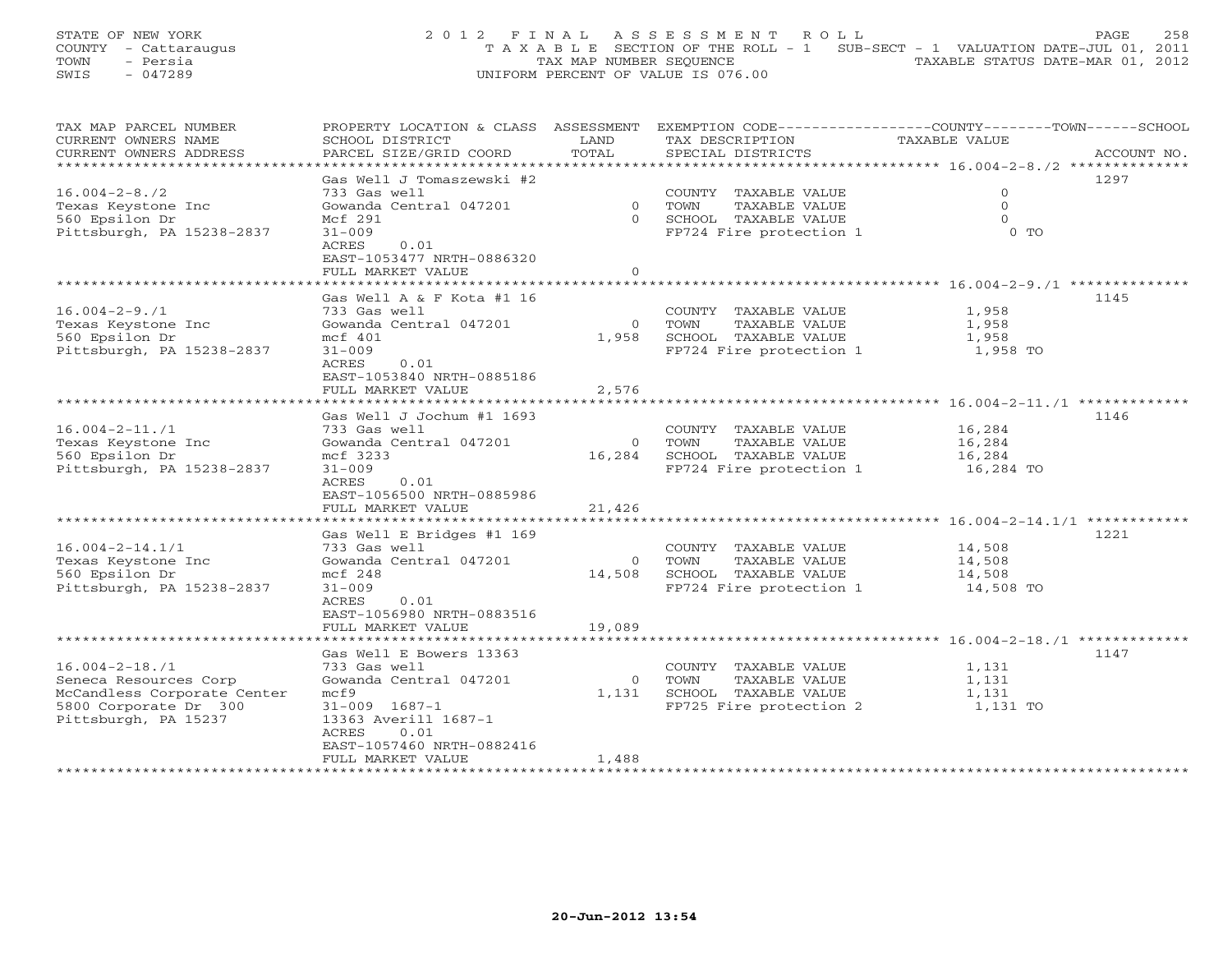STATE OF NEW YORK 258 2000 2001 2 PIN A L A S S E S S M E N T R O L L PAGE 258 COUNTY - Cattaraugus T A X A B L E SECTION OF THE ROLL - 1 SUB-SECT - 1 VALUATION DATE-JUL 01, 2011 TOWN - Persia TAX MAP NUMBER SEQUENCE TAXABLE STATUS DATE-MAR 01, 2012 SWIS - 047289 UNIFORM PERCENT OF VALUE IS 076.00

| TAX MAP PARCEL NUMBER                                | PROPERTY LOCATION & CLASS                         | ASSESSMENT        | EXEMPTION CODE-----------------COUNTY-------TOWN------SCHOOL |                                                |             |
|------------------------------------------------------|---------------------------------------------------|-------------------|--------------------------------------------------------------|------------------------------------------------|-------------|
| CURRENT OWNERS NAME                                  | SCHOOL DISTRICT                                   | LAND<br>TOTAL     | TAX DESCRIPTION                                              | TAXABLE VALUE                                  |             |
| CURRENT OWNERS ADDRESS<br>***********************    | PARCEL SIZE/GRID COORD<br>*********************** |                   | SPECIAL DISTRICTS                                            |                                                | ACCOUNT NO. |
|                                                      | Gas Well J Tomaszewski #2                         |                   |                                                              |                                                | 1297        |
|                                                      |                                                   |                   |                                                              | $\mathbf 0$                                    |             |
| $16.004 - 2 - 8.72$                                  | 733 Gas well                                      | $\Omega$          | COUNTY TAXABLE VALUE                                         | $\Omega$                                       |             |
| Texas Keystone Inc                                   | Gowanda Central 047201<br>Mcf 291                 | $\Omega$          | TOWN<br>TAXABLE VALUE                                        | $\Omega$                                       |             |
| 560 Epsilon Dr                                       |                                                   |                   | SCHOOL TAXABLE VALUE                                         |                                                |             |
| Pittsburgh, PA 15238-2837                            | $31 - 009$<br>ACRES<br>0.01                       |                   | FP724 Fire protection 1                                      | $0$ TO                                         |             |
|                                                      |                                                   |                   |                                                              |                                                |             |
|                                                      | EAST-1053477 NRTH-0886320                         | $\circ$           |                                                              |                                                |             |
|                                                      | FULL MARKET VALUE                                 |                   |                                                              |                                                |             |
|                                                      | Gas Well A & F Kota #1 16                         |                   |                                                              |                                                | 1145        |
| $16.004 - 2 - 9.71$                                  | 733 Gas well                                      |                   |                                                              | 1,958                                          |             |
|                                                      |                                                   |                   | COUNTY TAXABLE VALUE                                         |                                                |             |
| Texas Keystone Inc                                   | Gowanda Central 047201                            | $\Omega$<br>1,958 | TAXABLE VALUE<br>TOWN                                        | 1,958                                          |             |
| 560 Epsilon Dr                                       | mcf 401                                           |                   | SCHOOL TAXABLE VALUE                                         | 1,958                                          |             |
| Pittsburgh, PA 15238-2837                            | $31 - 009$                                        |                   | FP724 Fire protection 1                                      | 1,958 TO                                       |             |
|                                                      | ACRES<br>0.01                                     |                   |                                                              |                                                |             |
|                                                      | EAST-1053840 NRTH-0885186                         |                   |                                                              |                                                |             |
|                                                      | FULL MARKET VALUE                                 | 2,576             |                                                              |                                                |             |
|                                                      |                                                   |                   |                                                              |                                                |             |
|                                                      | Gas Well J Jochum #1 1693                         |                   |                                                              |                                                | 1146        |
| $16.004 - 2 - 11.71$                                 | 733 Gas well                                      |                   | COUNTY TAXABLE VALUE                                         | 16,284                                         |             |
| Texas Keystone Inc                                   | Gowanda Central 047201                            | $\overline{0}$    | TAXABLE VALUE<br>TOWN<br>16,284 SCHOOL TAXABLE VALUE         | 16,284                                         |             |
| 560 Epsilon Dr                                       | mcf 3233                                          |                   |                                                              | 16,284                                         |             |
| Pittsburgh, PA 15238-2837                            | $31 - 009$                                        |                   | FP724 Fire protection 1                                      | 16,284 TO                                      |             |
|                                                      | ACRES<br>0.01                                     |                   |                                                              |                                                |             |
|                                                      | EAST-1056500 NRTH-0885986                         |                   |                                                              |                                                |             |
|                                                      | FULL MARKET VALUE                                 | 21,426            |                                                              |                                                |             |
|                                                      |                                                   |                   |                                                              |                                                |             |
| $16.004 - 2 - 14.1/1$                                | Gas Well E Bridges #1 169                         |                   |                                                              |                                                | 1221        |
|                                                      | 733 Gas well                                      |                   | COUNTY TAXABLE VALUE                                         | 14,508                                         |             |
| Texas Keystone Inc                                   | Gowanda Central 047201<br>mcf 248                 | $\circ$           | TOWN<br>TAXABLE VALUE<br>14,508 SCHOOL TAXABLE VALUE         | 14,508                                         |             |
| 560 Epsilon Dr                                       | $31 - 009$                                        |                   |                                                              | 14,508                                         |             |
| Pittsburgh, PA 15238-2837                            | ACRES<br>0.01                                     |                   | FP724 Fire protection 1                                      | 14,508 TO                                      |             |
|                                                      | EAST-1056980 NRTH-0883516                         |                   |                                                              |                                                |             |
|                                                      | FULL MARKET VALUE                                 | 19,089            |                                                              |                                                |             |
|                                                      | *****************                                 |                   |                                                              | ********************** 16.004-2-18./1 ******** |             |
|                                                      |                                                   |                   |                                                              |                                                | 1147        |
| $16.004 - 2 - 18.71$                                 | Gas Well E Bowers 13363<br>733 Gas well           |                   |                                                              |                                                |             |
|                                                      | Gowanda Central 047201                            | $\overline{0}$    | COUNTY TAXABLE VALUE<br>TOWN<br>TAXABLE VALUE                | 1,131                                          |             |
| Seneca Resources Corp<br>McCandless Corporate Center | mcE9                                              | 1,131             | SCHOOL TAXABLE VALUE                                         | 1,131<br>1,131                                 |             |
| 5800 Corporate Dr 300                                | $31 - 009$ $1687 - 1$                             |                   | FP725 Fire protection 2                                      | 1,131 TO                                       |             |
| Pittsburgh, PA 15237                                 | 13363 Averill 1687-1                              |                   |                                                              |                                                |             |
|                                                      | ACRES<br>0.01                                     |                   |                                                              |                                                |             |
|                                                      | EAST-1057460 NRTH-0882416                         |                   |                                                              |                                                |             |
|                                                      | FULL MARKET VALUE                                 | 1,488             |                                                              |                                                |             |
|                                                      | ***********************                           |                   |                                                              |                                                |             |
|                                                      |                                                   |                   |                                                              |                                                |             |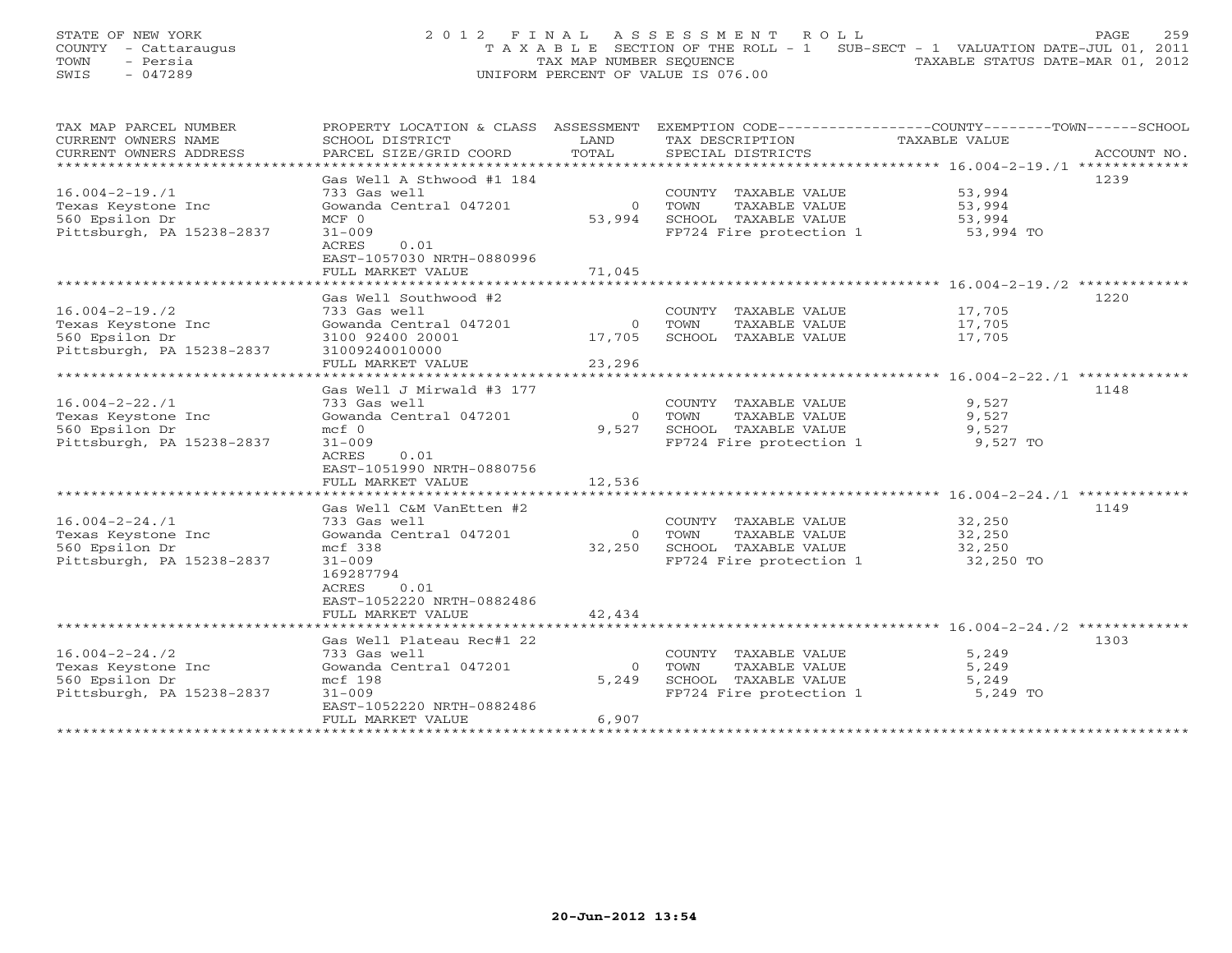STATE OF NEW YORK 259 2012 FINAL ASSESSMENT ROLL PAGE 259 COUNTY - Cattaraugus T A X A B L E SECTION OF THE ROLL - 1 SUB-SECT - 1 VALUATION DATE-JUL 01, 2011 TOWN - Persia TAX MAP NUMBER SEQUENCE TAXABLE STATUS DATE-MAR 01, 2012 SWIS - 047289 UNIFORM PERCENT OF VALUE IS 076.00

| CURRENT OWNERS NAME<br>SCHOOL DISTRICT<br>LAND<br>TAX DESCRIPTION<br>TAXABLE VALUE<br>TOTAL<br>CURRENT OWNERS ADDRESS<br>PARCEL SIZE/GRID COORD<br>SPECIAL DISTRICTS<br>ACCOUNT NO.<br>*****************************<br>Gas Well A Sthwood #1 184<br>1239<br>733 Gas well<br>COUNTY TAXABLE VALUE<br>53,994<br>Gowanda Central 047201<br>TAXABLE VALUE<br>53,994<br>Texas Keystone Inc<br>$\circ$<br>TOWN<br>560 Epsilon Dr<br>53,994<br>SCHOOL TAXABLE VALUE<br>53,994<br>$MCF$ 0<br>Pittsburgh, PA 15238-2837<br>$31 - 009$<br>FP724 Fire protection 1<br>53,994 TO<br>0.01<br>ACRES<br>EAST-1057030 NRTH-0880996<br>71,045<br>FULL MARKET VALUE<br>Gas Well Southwood #2<br>1220<br>17,705<br>$16.004 - 2 - 19.72$<br>733 Gas well<br>COUNTY TAXABLE VALUE<br>Gowanda Central 047201<br>$\overline{0}$<br>TOWN<br>TAXABLE VALUE<br>17,705<br>Texas Keystone Inc<br>560 Epsilon Dr<br>SCHOOL TAXABLE VALUE<br>17,705<br>3100 92400 20001<br>17,705<br>Pittsburgh, PA 15238-2837<br>31009240010000<br>23,296<br>FULL MARKET VALUE<br>************************************** 16.004-2-22./1 **************<br>Gas Well J Mirwald #3 177<br>1148<br>733 Gas well<br>$16.004 - 2 - 22.71$<br>COUNTY TAXABLE VALUE<br>9,527<br>Gowanda Central 047201<br>9,527<br>Texas Keystone Inc<br>$\Omega$<br>TOWN<br>TAXABLE VALUE<br>560 Epsilon Dr<br>9,527<br>9,527<br>$mcf$ 0<br>SCHOOL TAXABLE VALUE<br>Pittsburgh, PA 15238-2837<br>FP724 Fire protection 1<br>$31 - 009$<br>9,527 TO<br>0.01<br>ACRES<br>EAST-1051990 NRTH-0880756<br>12,536<br>FULL MARKET VALUE<br>Gas Well C&M VanEtten #2<br>1149<br>733 Gas well<br>COUNTY TAXABLE VALUE<br>32,250<br>Gowanda Central 047201<br>Texas Keystone Inc<br>TOWN<br>TAXABLE VALUE<br>32,250<br>$\Omega$<br>32,250<br>SCHOOL TAXABLE VALUE<br>560 Epsilon Dr<br>mcf 338<br>32,250<br>Pittsburgh, PA 15238-2837<br>$31 - 009$<br>FP724 Fire protection 1<br>32,250 TO<br>169287794<br>0.01<br>ACRES<br>EAST-1052220 NRTH-0882486<br>FULL MARKET VALUE<br>42,434<br>Gas Well Plateau Rec#1 22<br>1303<br>5,249<br>$16.004 - 2 - 24.72$<br>COUNTY TAXABLE VALUE<br>733 Gas well<br>Texas Keystone Inc<br>Gowanda Central 047201<br>TOWN<br>TAXABLE VALUE<br>5,249<br>$\Omega$<br>SCHOOL TAXABLE VALUE<br>560 Epsilon Dr<br>mcf 198<br>5,249<br>5,249<br>Pittsburgh, PA 15238-2837<br>$31 - 009$<br>FP724 Fire protection 1<br>5,249 TO<br>EAST-1052220 NRTH-0882486<br>FULL MARKET VALUE<br>6,907 | TAX MAP PARCEL NUMBER | PROPERTY LOCATION & CLASS ASSESSMENT | EXEMPTION CODE-----------------COUNTY-------TOWN------SCHOOL |  |
|-----------------------------------------------------------------------------------------------------------------------------------------------------------------------------------------------------------------------------------------------------------------------------------------------------------------------------------------------------------------------------------------------------------------------------------------------------------------------------------------------------------------------------------------------------------------------------------------------------------------------------------------------------------------------------------------------------------------------------------------------------------------------------------------------------------------------------------------------------------------------------------------------------------------------------------------------------------------------------------------------------------------------------------------------------------------------------------------------------------------------------------------------------------------------------------------------------------------------------------------------------------------------------------------------------------------------------------------------------------------------------------------------------------------------------------------------------------------------------------------------------------------------------------------------------------------------------------------------------------------------------------------------------------------------------------------------------------------------------------------------------------------------------------------------------------------------------------------------------------------------------------------------------------------------------------------------------------------------------------------------------------------------------------------------------------------------------------------------------------------------------------------------------------------------------------------------------------------------------------------------------------------------------------------------------------------------------------------------------------------------------------------------------------------------------------------|-----------------------|--------------------------------------|--------------------------------------------------------------|--|
|                                                                                                                                                                                                                                                                                                                                                                                                                                                                                                                                                                                                                                                                                                                                                                                                                                                                                                                                                                                                                                                                                                                                                                                                                                                                                                                                                                                                                                                                                                                                                                                                                                                                                                                                                                                                                                                                                                                                                                                                                                                                                                                                                                                                                                                                                                                                                                                                                                         |                       |                                      |                                                              |  |
|                                                                                                                                                                                                                                                                                                                                                                                                                                                                                                                                                                                                                                                                                                                                                                                                                                                                                                                                                                                                                                                                                                                                                                                                                                                                                                                                                                                                                                                                                                                                                                                                                                                                                                                                                                                                                                                                                                                                                                                                                                                                                                                                                                                                                                                                                                                                                                                                                                         |                       |                                      |                                                              |  |
|                                                                                                                                                                                                                                                                                                                                                                                                                                                                                                                                                                                                                                                                                                                                                                                                                                                                                                                                                                                                                                                                                                                                                                                                                                                                                                                                                                                                                                                                                                                                                                                                                                                                                                                                                                                                                                                                                                                                                                                                                                                                                                                                                                                                                                                                                                                                                                                                                                         |                       |                                      |                                                              |  |
|                                                                                                                                                                                                                                                                                                                                                                                                                                                                                                                                                                                                                                                                                                                                                                                                                                                                                                                                                                                                                                                                                                                                                                                                                                                                                                                                                                                                                                                                                                                                                                                                                                                                                                                                                                                                                                                                                                                                                                                                                                                                                                                                                                                                                                                                                                                                                                                                                                         |                       |                                      |                                                              |  |
|                                                                                                                                                                                                                                                                                                                                                                                                                                                                                                                                                                                                                                                                                                                                                                                                                                                                                                                                                                                                                                                                                                                                                                                                                                                                                                                                                                                                                                                                                                                                                                                                                                                                                                                                                                                                                                                                                                                                                                                                                                                                                                                                                                                                                                                                                                                                                                                                                                         | $16.004 - 2 - 19.71$  |                                      |                                                              |  |
|                                                                                                                                                                                                                                                                                                                                                                                                                                                                                                                                                                                                                                                                                                                                                                                                                                                                                                                                                                                                                                                                                                                                                                                                                                                                                                                                                                                                                                                                                                                                                                                                                                                                                                                                                                                                                                                                                                                                                                                                                                                                                                                                                                                                                                                                                                                                                                                                                                         |                       |                                      |                                                              |  |
|                                                                                                                                                                                                                                                                                                                                                                                                                                                                                                                                                                                                                                                                                                                                                                                                                                                                                                                                                                                                                                                                                                                                                                                                                                                                                                                                                                                                                                                                                                                                                                                                                                                                                                                                                                                                                                                                                                                                                                                                                                                                                                                                                                                                                                                                                                                                                                                                                                         |                       |                                      |                                                              |  |
|                                                                                                                                                                                                                                                                                                                                                                                                                                                                                                                                                                                                                                                                                                                                                                                                                                                                                                                                                                                                                                                                                                                                                                                                                                                                                                                                                                                                                                                                                                                                                                                                                                                                                                                                                                                                                                                                                                                                                                                                                                                                                                                                                                                                                                                                                                                                                                                                                                         |                       |                                      |                                                              |  |
|                                                                                                                                                                                                                                                                                                                                                                                                                                                                                                                                                                                                                                                                                                                                                                                                                                                                                                                                                                                                                                                                                                                                                                                                                                                                                                                                                                                                                                                                                                                                                                                                                                                                                                                                                                                                                                                                                                                                                                                                                                                                                                                                                                                                                                                                                                                                                                                                                                         |                       |                                      |                                                              |  |
|                                                                                                                                                                                                                                                                                                                                                                                                                                                                                                                                                                                                                                                                                                                                                                                                                                                                                                                                                                                                                                                                                                                                                                                                                                                                                                                                                                                                                                                                                                                                                                                                                                                                                                                                                                                                                                                                                                                                                                                                                                                                                                                                                                                                                                                                                                                                                                                                                                         |                       |                                      |                                                              |  |
|                                                                                                                                                                                                                                                                                                                                                                                                                                                                                                                                                                                                                                                                                                                                                                                                                                                                                                                                                                                                                                                                                                                                                                                                                                                                                                                                                                                                                                                                                                                                                                                                                                                                                                                                                                                                                                                                                                                                                                                                                                                                                                                                                                                                                                                                                                                                                                                                                                         |                       |                                      |                                                              |  |
|                                                                                                                                                                                                                                                                                                                                                                                                                                                                                                                                                                                                                                                                                                                                                                                                                                                                                                                                                                                                                                                                                                                                                                                                                                                                                                                                                                                                                                                                                                                                                                                                                                                                                                                                                                                                                                                                                                                                                                                                                                                                                                                                                                                                                                                                                                                                                                                                                                         |                       |                                      |                                                              |  |
|                                                                                                                                                                                                                                                                                                                                                                                                                                                                                                                                                                                                                                                                                                                                                                                                                                                                                                                                                                                                                                                                                                                                                                                                                                                                                                                                                                                                                                                                                                                                                                                                                                                                                                                                                                                                                                                                                                                                                                                                                                                                                                                                                                                                                                                                                                                                                                                                                                         |                       |                                      |                                                              |  |
|                                                                                                                                                                                                                                                                                                                                                                                                                                                                                                                                                                                                                                                                                                                                                                                                                                                                                                                                                                                                                                                                                                                                                                                                                                                                                                                                                                                                                                                                                                                                                                                                                                                                                                                                                                                                                                                                                                                                                                                                                                                                                                                                                                                                                                                                                                                                                                                                                                         |                       |                                      |                                                              |  |
|                                                                                                                                                                                                                                                                                                                                                                                                                                                                                                                                                                                                                                                                                                                                                                                                                                                                                                                                                                                                                                                                                                                                                                                                                                                                                                                                                                                                                                                                                                                                                                                                                                                                                                                                                                                                                                                                                                                                                                                                                                                                                                                                                                                                                                                                                                                                                                                                                                         |                       |                                      |                                                              |  |
|                                                                                                                                                                                                                                                                                                                                                                                                                                                                                                                                                                                                                                                                                                                                                                                                                                                                                                                                                                                                                                                                                                                                                                                                                                                                                                                                                                                                                                                                                                                                                                                                                                                                                                                                                                                                                                                                                                                                                                                                                                                                                                                                                                                                                                                                                                                                                                                                                                         |                       |                                      |                                                              |  |
|                                                                                                                                                                                                                                                                                                                                                                                                                                                                                                                                                                                                                                                                                                                                                                                                                                                                                                                                                                                                                                                                                                                                                                                                                                                                                                                                                                                                                                                                                                                                                                                                                                                                                                                                                                                                                                                                                                                                                                                                                                                                                                                                                                                                                                                                                                                                                                                                                                         |                       |                                      |                                                              |  |
|                                                                                                                                                                                                                                                                                                                                                                                                                                                                                                                                                                                                                                                                                                                                                                                                                                                                                                                                                                                                                                                                                                                                                                                                                                                                                                                                                                                                                                                                                                                                                                                                                                                                                                                                                                                                                                                                                                                                                                                                                                                                                                                                                                                                                                                                                                                                                                                                                                         |                       |                                      |                                                              |  |
|                                                                                                                                                                                                                                                                                                                                                                                                                                                                                                                                                                                                                                                                                                                                                                                                                                                                                                                                                                                                                                                                                                                                                                                                                                                                                                                                                                                                                                                                                                                                                                                                                                                                                                                                                                                                                                                                                                                                                                                                                                                                                                                                                                                                                                                                                                                                                                                                                                         |                       |                                      |                                                              |  |
|                                                                                                                                                                                                                                                                                                                                                                                                                                                                                                                                                                                                                                                                                                                                                                                                                                                                                                                                                                                                                                                                                                                                                                                                                                                                                                                                                                                                                                                                                                                                                                                                                                                                                                                                                                                                                                                                                                                                                                                                                                                                                                                                                                                                                                                                                                                                                                                                                                         |                       |                                      |                                                              |  |
|                                                                                                                                                                                                                                                                                                                                                                                                                                                                                                                                                                                                                                                                                                                                                                                                                                                                                                                                                                                                                                                                                                                                                                                                                                                                                                                                                                                                                                                                                                                                                                                                                                                                                                                                                                                                                                                                                                                                                                                                                                                                                                                                                                                                                                                                                                                                                                                                                                         |                       |                                      |                                                              |  |
|                                                                                                                                                                                                                                                                                                                                                                                                                                                                                                                                                                                                                                                                                                                                                                                                                                                                                                                                                                                                                                                                                                                                                                                                                                                                                                                                                                                                                                                                                                                                                                                                                                                                                                                                                                                                                                                                                                                                                                                                                                                                                                                                                                                                                                                                                                                                                                                                                                         |                       |                                      |                                                              |  |
|                                                                                                                                                                                                                                                                                                                                                                                                                                                                                                                                                                                                                                                                                                                                                                                                                                                                                                                                                                                                                                                                                                                                                                                                                                                                                                                                                                                                                                                                                                                                                                                                                                                                                                                                                                                                                                                                                                                                                                                                                                                                                                                                                                                                                                                                                                                                                                                                                                         |                       |                                      |                                                              |  |
|                                                                                                                                                                                                                                                                                                                                                                                                                                                                                                                                                                                                                                                                                                                                                                                                                                                                                                                                                                                                                                                                                                                                                                                                                                                                                                                                                                                                                                                                                                                                                                                                                                                                                                                                                                                                                                                                                                                                                                                                                                                                                                                                                                                                                                                                                                                                                                                                                                         |                       |                                      |                                                              |  |
|                                                                                                                                                                                                                                                                                                                                                                                                                                                                                                                                                                                                                                                                                                                                                                                                                                                                                                                                                                                                                                                                                                                                                                                                                                                                                                                                                                                                                                                                                                                                                                                                                                                                                                                                                                                                                                                                                                                                                                                                                                                                                                                                                                                                                                                                                                                                                                                                                                         |                       |                                      |                                                              |  |
|                                                                                                                                                                                                                                                                                                                                                                                                                                                                                                                                                                                                                                                                                                                                                                                                                                                                                                                                                                                                                                                                                                                                                                                                                                                                                                                                                                                                                                                                                                                                                                                                                                                                                                                                                                                                                                                                                                                                                                                                                                                                                                                                                                                                                                                                                                                                                                                                                                         |                       |                                      |                                                              |  |
|                                                                                                                                                                                                                                                                                                                                                                                                                                                                                                                                                                                                                                                                                                                                                                                                                                                                                                                                                                                                                                                                                                                                                                                                                                                                                                                                                                                                                                                                                                                                                                                                                                                                                                                                                                                                                                                                                                                                                                                                                                                                                                                                                                                                                                                                                                                                                                                                                                         |                       |                                      |                                                              |  |
|                                                                                                                                                                                                                                                                                                                                                                                                                                                                                                                                                                                                                                                                                                                                                                                                                                                                                                                                                                                                                                                                                                                                                                                                                                                                                                                                                                                                                                                                                                                                                                                                                                                                                                                                                                                                                                                                                                                                                                                                                                                                                                                                                                                                                                                                                                                                                                                                                                         |                       |                                      |                                                              |  |
|                                                                                                                                                                                                                                                                                                                                                                                                                                                                                                                                                                                                                                                                                                                                                                                                                                                                                                                                                                                                                                                                                                                                                                                                                                                                                                                                                                                                                                                                                                                                                                                                                                                                                                                                                                                                                                                                                                                                                                                                                                                                                                                                                                                                                                                                                                                                                                                                                                         |                       |                                      |                                                              |  |
|                                                                                                                                                                                                                                                                                                                                                                                                                                                                                                                                                                                                                                                                                                                                                                                                                                                                                                                                                                                                                                                                                                                                                                                                                                                                                                                                                                                                                                                                                                                                                                                                                                                                                                                                                                                                                                                                                                                                                                                                                                                                                                                                                                                                                                                                                                                                                                                                                                         |                       |                                      |                                                              |  |
|                                                                                                                                                                                                                                                                                                                                                                                                                                                                                                                                                                                                                                                                                                                                                                                                                                                                                                                                                                                                                                                                                                                                                                                                                                                                                                                                                                                                                                                                                                                                                                                                                                                                                                                                                                                                                                                                                                                                                                                                                                                                                                                                                                                                                                                                                                                                                                                                                                         | $16.004 - 2 - 24.71$  |                                      |                                                              |  |
|                                                                                                                                                                                                                                                                                                                                                                                                                                                                                                                                                                                                                                                                                                                                                                                                                                                                                                                                                                                                                                                                                                                                                                                                                                                                                                                                                                                                                                                                                                                                                                                                                                                                                                                                                                                                                                                                                                                                                                                                                                                                                                                                                                                                                                                                                                                                                                                                                                         |                       |                                      |                                                              |  |
|                                                                                                                                                                                                                                                                                                                                                                                                                                                                                                                                                                                                                                                                                                                                                                                                                                                                                                                                                                                                                                                                                                                                                                                                                                                                                                                                                                                                                                                                                                                                                                                                                                                                                                                                                                                                                                                                                                                                                                                                                                                                                                                                                                                                                                                                                                                                                                                                                                         |                       |                                      |                                                              |  |
|                                                                                                                                                                                                                                                                                                                                                                                                                                                                                                                                                                                                                                                                                                                                                                                                                                                                                                                                                                                                                                                                                                                                                                                                                                                                                                                                                                                                                                                                                                                                                                                                                                                                                                                                                                                                                                                                                                                                                                                                                                                                                                                                                                                                                                                                                                                                                                                                                                         |                       |                                      |                                                              |  |
|                                                                                                                                                                                                                                                                                                                                                                                                                                                                                                                                                                                                                                                                                                                                                                                                                                                                                                                                                                                                                                                                                                                                                                                                                                                                                                                                                                                                                                                                                                                                                                                                                                                                                                                                                                                                                                                                                                                                                                                                                                                                                                                                                                                                                                                                                                                                                                                                                                         |                       |                                      |                                                              |  |
|                                                                                                                                                                                                                                                                                                                                                                                                                                                                                                                                                                                                                                                                                                                                                                                                                                                                                                                                                                                                                                                                                                                                                                                                                                                                                                                                                                                                                                                                                                                                                                                                                                                                                                                                                                                                                                                                                                                                                                                                                                                                                                                                                                                                                                                                                                                                                                                                                                         |                       |                                      |                                                              |  |
|                                                                                                                                                                                                                                                                                                                                                                                                                                                                                                                                                                                                                                                                                                                                                                                                                                                                                                                                                                                                                                                                                                                                                                                                                                                                                                                                                                                                                                                                                                                                                                                                                                                                                                                                                                                                                                                                                                                                                                                                                                                                                                                                                                                                                                                                                                                                                                                                                                         |                       |                                      |                                                              |  |
|                                                                                                                                                                                                                                                                                                                                                                                                                                                                                                                                                                                                                                                                                                                                                                                                                                                                                                                                                                                                                                                                                                                                                                                                                                                                                                                                                                                                                                                                                                                                                                                                                                                                                                                                                                                                                                                                                                                                                                                                                                                                                                                                                                                                                                                                                                                                                                                                                                         |                       |                                      |                                                              |  |
|                                                                                                                                                                                                                                                                                                                                                                                                                                                                                                                                                                                                                                                                                                                                                                                                                                                                                                                                                                                                                                                                                                                                                                                                                                                                                                                                                                                                                                                                                                                                                                                                                                                                                                                                                                                                                                                                                                                                                                                                                                                                                                                                                                                                                                                                                                                                                                                                                                         |                       |                                      |                                                              |  |
|                                                                                                                                                                                                                                                                                                                                                                                                                                                                                                                                                                                                                                                                                                                                                                                                                                                                                                                                                                                                                                                                                                                                                                                                                                                                                                                                                                                                                                                                                                                                                                                                                                                                                                                                                                                                                                                                                                                                                                                                                                                                                                                                                                                                                                                                                                                                                                                                                                         |                       |                                      |                                                              |  |
|                                                                                                                                                                                                                                                                                                                                                                                                                                                                                                                                                                                                                                                                                                                                                                                                                                                                                                                                                                                                                                                                                                                                                                                                                                                                                                                                                                                                                                                                                                                                                                                                                                                                                                                                                                                                                                                                                                                                                                                                                                                                                                                                                                                                                                                                                                                                                                                                                                         |                       |                                      |                                                              |  |
|                                                                                                                                                                                                                                                                                                                                                                                                                                                                                                                                                                                                                                                                                                                                                                                                                                                                                                                                                                                                                                                                                                                                                                                                                                                                                                                                                                                                                                                                                                                                                                                                                                                                                                                                                                                                                                                                                                                                                                                                                                                                                                                                                                                                                                                                                                                                                                                                                                         |                       |                                      |                                                              |  |
|                                                                                                                                                                                                                                                                                                                                                                                                                                                                                                                                                                                                                                                                                                                                                                                                                                                                                                                                                                                                                                                                                                                                                                                                                                                                                                                                                                                                                                                                                                                                                                                                                                                                                                                                                                                                                                                                                                                                                                                                                                                                                                                                                                                                                                                                                                                                                                                                                                         |                       |                                      |                                                              |  |
|                                                                                                                                                                                                                                                                                                                                                                                                                                                                                                                                                                                                                                                                                                                                                                                                                                                                                                                                                                                                                                                                                                                                                                                                                                                                                                                                                                                                                                                                                                                                                                                                                                                                                                                                                                                                                                                                                                                                                                                                                                                                                                                                                                                                                                                                                                                                                                                                                                         |                       |                                      |                                                              |  |
|                                                                                                                                                                                                                                                                                                                                                                                                                                                                                                                                                                                                                                                                                                                                                                                                                                                                                                                                                                                                                                                                                                                                                                                                                                                                                                                                                                                                                                                                                                                                                                                                                                                                                                                                                                                                                                                                                                                                                                                                                                                                                                                                                                                                                                                                                                                                                                                                                                         |                       |                                      |                                                              |  |
|                                                                                                                                                                                                                                                                                                                                                                                                                                                                                                                                                                                                                                                                                                                                                                                                                                                                                                                                                                                                                                                                                                                                                                                                                                                                                                                                                                                                                                                                                                                                                                                                                                                                                                                                                                                                                                                                                                                                                                                                                                                                                                                                                                                                                                                                                                                                                                                                                                         |                       |                                      |                                                              |  |
| ******************************                                                                                                                                                                                                                                                                                                                                                                                                                                                                                                                                                                                                                                                                                                                                                                                                                                                                                                                                                                                                                                                                                                                                                                                                                                                                                                                                                                                                                                                                                                                                                                                                                                                                                                                                                                                                                                                                                                                                                                                                                                                                                                                                                                                                                                                                                                                                                                                                          |                       |                                      |                                                              |  |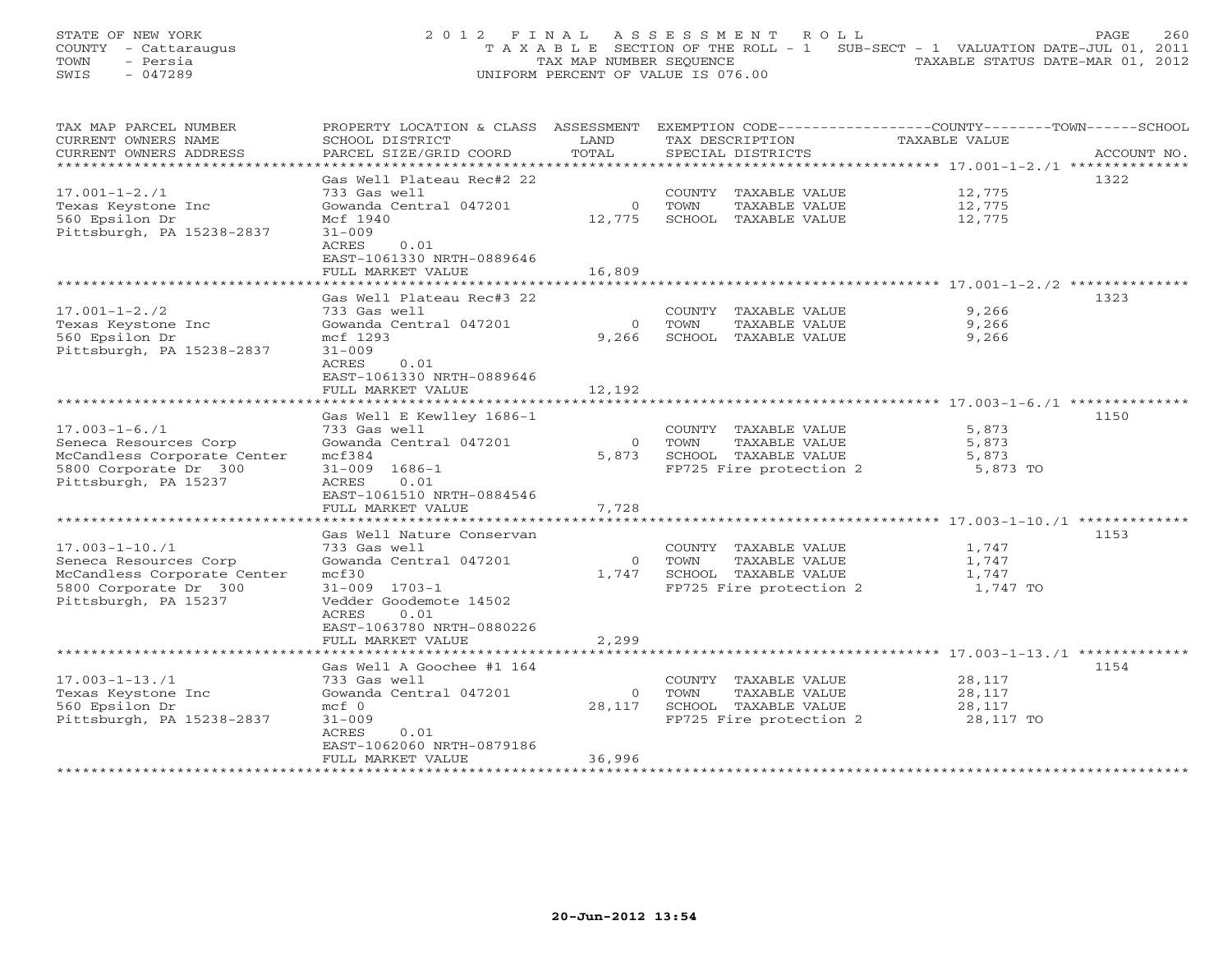STATE OF NEW YORK 260 2012 FINAL ASSESSMENT ROLL PAGE 260 COUNTY - Cattaraugus T A X A B L E SECTION OF THE ROLL - 1 SUB-SECT - 1 VALUATION DATE-JUL 01, 2011 TOWN - Persia TAX MAP NUMBER SEQUENCE TAXABLE STATUS DATE-MAR 01, 2012 SWIS - 047289 UNIFORM PERCENT OF VALUE IS 076.00

| TAX MAP PARCEL NUMBER       |                           |                | PROPERTY LOCATION & CLASS ASSESSMENT EXEMPTION CODE---------------COUNTY-------TOWN-----SCHOOL |               |             |
|-----------------------------|---------------------------|----------------|------------------------------------------------------------------------------------------------|---------------|-------------|
| CURRENT OWNERS NAME         | SCHOOL DISTRICT           | LAND           | TAX DESCRIPTION                                                                                | TAXABLE VALUE |             |
| CURRENT OWNERS ADDRESS      | PARCEL SIZE/GRID COORD    | TOTAL          | SPECIAL DISTRICTS                                                                              |               | ACCOUNT NO. |
| **************************  |                           |                |                                                                                                |               |             |
|                             | Gas Well Plateau Rec#2 22 |                |                                                                                                |               | 1322        |
| $17.001 - 1 - 2.71$         | 733 Gas well              |                | COUNTY TAXABLE VALUE                                                                           | 12,775        |             |
| Texas Keystone Inc          | Gowanda Central 047201    | $\Omega$       | TOWN<br>TAXABLE VALUE                                                                          | 12,775        |             |
| 560 Epsilon Dr              | Mcf 1940                  | 12,775         | SCHOOL TAXABLE VALUE                                                                           | 12,775        |             |
| Pittsburgh, PA 15238-2837   | $31 - 009$                |                |                                                                                                |               |             |
|                             | ACRES<br>0.01             |                |                                                                                                |               |             |
|                             |                           |                |                                                                                                |               |             |
|                             | EAST-1061330 NRTH-0889646 |                |                                                                                                |               |             |
|                             | FULL MARKET VALUE         | 16,809         |                                                                                                |               |             |
|                             |                           |                |                                                                                                |               |             |
|                             | Gas Well Plateau Rec#3 22 |                |                                                                                                |               | 1323        |
| $17.001 - 1 - 2.72$         | 733 Gas well              |                | COUNTY TAXABLE VALUE                                                                           | 9,266         |             |
| Texas Keystone Inc          | Gowanda Central 047201    | $\Omega$       | TOWN<br>TAXABLE VALUE                                                                          | 9,266         |             |
| 560 Epsilon Dr              | mcf 1293                  | 9,266          | SCHOOL TAXABLE VALUE                                                                           | 9,266         |             |
| Pittsburgh, PA 15238-2837   | $31 - 009$                |                |                                                                                                |               |             |
|                             | ACRES<br>0.01             |                |                                                                                                |               |             |
|                             | EAST-1061330 NRTH-0889646 |                |                                                                                                |               |             |
|                             | FULL MARKET VALUE         | 12,192         |                                                                                                |               |             |
|                             |                           |                |                                                                                                |               |             |
|                             | Gas Well E Kewlley 1686-1 |                |                                                                                                |               | 1150        |
| $17.003 - 1 - 6.71$         | 733 Gas well              |                | COUNTY TAXABLE VALUE                                                                           | 5,873         |             |
| Seneca Resources Corp       | Gowanda Central 047201    | $\overline{0}$ | TAXABLE VALUE<br>TOWN                                                                          | 5,873         |             |
| McCandless Corporate Center | mcf384                    | 5,873          | SCHOOL TAXABLE VALUE                                                                           | 5,873         |             |
| 5800 Corporate Dr 300       | $31 - 009$ $1686 - 1$     |                | FP725 Fire protection 2                                                                        | 5,873 TO      |             |
| Pittsburgh, PA 15237        | 0.01<br>ACRES             |                |                                                                                                |               |             |
|                             | EAST-1061510 NRTH-0884546 |                |                                                                                                |               |             |
|                             | FULL MARKET VALUE         | 7,728          |                                                                                                |               |             |
|                             |                           |                |                                                                                                |               |             |
|                             |                           |                |                                                                                                |               | 1153        |
|                             | Gas Well Nature Conservan |                |                                                                                                |               |             |
| $17.003 - 1 - 10.71$        | 733 Gas well              |                | COUNTY TAXABLE VALUE                                                                           | 1,747         |             |
| Seneca Resources Corp       | Gowanda Central 047201    | $\Omega$       | TOWN<br>TAXABLE VALUE                                                                          | 1,747         |             |
| McCandless Corporate Center | mcf30                     | 1,747          | SCHOOL TAXABLE VALUE                                                                           | 1,747         |             |
| 5800 Corporate Dr 300       | $31 - 009$ $1703 - 1$     |                | FP725 Fire protection 2                                                                        | 1,747 TO      |             |
| Pittsburgh, PA 15237        | Vedder Goodemote 14502    |                |                                                                                                |               |             |
|                             | 0.01<br>ACRES             |                |                                                                                                |               |             |
|                             | EAST-1063780 NRTH-0880226 |                |                                                                                                |               |             |
|                             | FULL MARKET VALUE         | 2,299          |                                                                                                |               |             |
|                             |                           |                |                                                                                                |               |             |
|                             | Gas Well A Goochee #1 164 |                |                                                                                                |               | 1154        |
| $17.003 - 1 - 13.71$        | 733 Gas well              |                | COUNTY TAXABLE VALUE                                                                           | 28,117        |             |
| Texas Keystone Inc          | Gowanda Central 047201    | $\circ$        | TAXABLE VALUE<br>TOWN                                                                          | 28,117        |             |
| 560 Epsilon Dr              | $mcf$ 0                   | 28,117         | SCHOOL TAXABLE VALUE                                                                           | 28,117        |             |
| Pittsburgh, PA 15238-2837   | $31 - 009$                |                | FP725 Fire protection 2                                                                        | 28,117 TO     |             |
|                             | ACRES<br>0.01             |                |                                                                                                |               |             |
|                             | EAST-1062060 NRTH-0879186 |                |                                                                                                |               |             |
|                             | FULL MARKET VALUE         | 36,996         |                                                                                                |               |             |
|                             |                           |                |                                                                                                |               |             |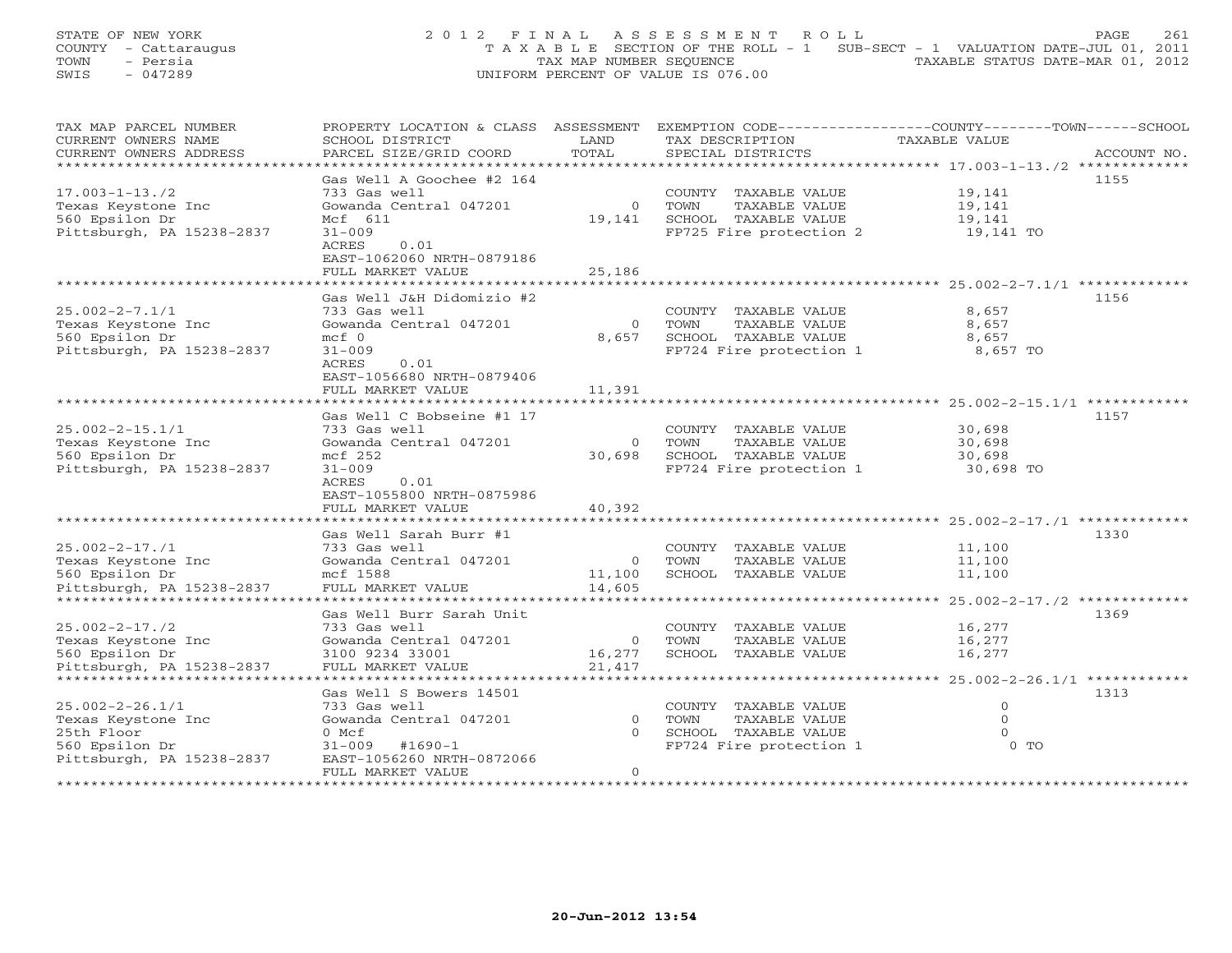STATE OF NEW YORK 261 2012 FINAL ASSESSMENT ROLL PAGE 261 COUNTY - Cattaraugus T A X A B L E SECTION OF THE ROLL - 1 SUB-SECT - 1 VALUATION DATE-JUL 01, 2011 TOWN - Persia TAX MAP NUMBER SEQUENCE TAXABLE STATUS DATE-MAR 01, 2012 SWIS - 047289 UNIFORM PERCENT OF VALUE IS 076.00

| TAX MAP PARCEL NUMBER     | PROPERTY LOCATION & CLASS ASSESSMENT |                        |                                   |               |  |
|---------------------------|--------------------------------------|------------------------|-----------------------------------|---------------|--|
| CURRENT OWNERS NAME       | SCHOOL DISTRICT                      | LAND                   | TAX DESCRIPTION                   | TAXABLE VALUE |  |
| CURRENT OWNERS ADDRESS    | PARCEL SIZE/GRID COORD               | TOTAL                  | SPECIAL DISTRICTS                 | ACCOUNT NO.   |  |
|                           |                                      |                        |                                   |               |  |
|                           | Gas Well A Goochee #2 164            |                        |                                   | 1155          |  |
| $17.003 - 1 - 13.72$      | 733 Gas well                         |                        | COUNTY TAXABLE VALUE              | 19,141        |  |
| Texas Keystone Inc        | Gowanda Central 047201               | $\circ$                | TOWN<br>TAXABLE VALUE             | 19,141        |  |
|                           |                                      |                        |                                   |               |  |
| 560 Epsilon Dr            | Mcf 611                              | 19,141                 | SCHOOL TAXABLE VALUE              | 19,141        |  |
| Pittsburgh, PA 15238-2837 | $31 - 009$                           |                        | FP725 Fire protection 2 19,141 TO |               |  |
|                           | ACRES<br>0.01                        |                        |                                   |               |  |
|                           | EAST-1062060 NRTH-0879186            |                        |                                   |               |  |
|                           | FULL MARKET VALUE                    | 25,186                 |                                   |               |  |
|                           |                                      |                        |                                   |               |  |
|                           | Gas Well J&H Didomizio #2            |                        |                                   | 1156          |  |
| $25.002 - 2 - 7.1/1$      | 733 Gas well                         |                        | COUNTY TAXABLE VALUE              | 8,657         |  |
| Texas Keystone Inc        | Gowanda Central 047201               | $\overline{0}$         | TAXABLE VALUE<br>TOWN             | 8,657         |  |
| 560 Epsilon Dr            | $mcf$ 0                              | 8,657                  | SCHOOL TAXABLE VALUE              | 8,657         |  |
|                           |                                      |                        |                                   |               |  |
| Pittsburgh, PA 15238-2837 | $31 - 009$                           |                        | FP724 Fire protection 1           | 8,657 TO      |  |
|                           | ACRES<br>0.01                        |                        |                                   |               |  |
|                           | EAST-1056680 NRTH-0879406            |                        |                                   |               |  |
|                           | FULL MARKET VALUE                    | 11,391                 |                                   |               |  |
|                           |                                      |                        |                                   |               |  |
|                           | Gas Well C Bobseine #1 17            |                        |                                   | 1157          |  |
| $25.002 - 2 - 15.1/1$     | 733 Gas well                         |                        | COUNTY TAXABLE VALUE              | 30,698        |  |
| Texas Keystone Inc        | Gowanda Central 047201               |                        | 0 TOWN<br>TAXABLE VALUE           | 30,698        |  |
| 560 Epsilon Dr            | mcf 252                              | 30,698                 | SCHOOL TAXABLE VALUE              | 30,698        |  |
| Pittsburgh, PA 15238-2837 | $31 - 009$                           |                        | FP724 Fire protection 1           | 30,698 TO     |  |
|                           | ACRES<br>0.01                        |                        |                                   |               |  |
|                           |                                      |                        |                                   |               |  |
|                           | EAST-1055800 NRTH-0875986            |                        |                                   |               |  |
|                           | FULL MARKET VALUE                    | 40,392                 |                                   |               |  |
|                           |                                      |                        |                                   |               |  |
|                           | Gas Well Sarah Burr #1               |                        |                                   | 1330          |  |
| $25.002 - 2 - 17.71$      | 733 Gas well                         |                        | COUNTY TAXABLE VALUE              | 11,100        |  |
| Texas Keystone Inc        | Gowanda Central 047201               | $\overline{0}$         | TOWN<br>TAXABLE VALUE             | 11,100        |  |
| 560 Epsilon Dr            | mcf 1588                             | 11,100                 | SCHOOL TAXABLE VALUE              | 11,100        |  |
| Pittsburgh, PA 15238-2837 | FULL MARKET VALUE                    | 14,605                 |                                   |               |  |
|                           |                                      |                        |                                   |               |  |
|                           | Gas Well Burr Sarah Unit             |                        |                                   | 1369          |  |
| $25.002 - 2 - 17.72$      | 733 Gas well                         |                        | COUNTY TAXABLE VALUE              | 16,277        |  |
|                           |                                      |                        |                                   |               |  |
| Texas Keystone Inc        | Gowanda Central 047201               | 0 TOWN<br>16,277 SCHOO | TAXABLE VALUE                     | 16,277        |  |
| 560 Epsilon Dr            | 3100 9234 33001                      |                        | SCHOOL TAXABLE VALUE              | 16,277        |  |
| Pittsburgh, PA 15238-2837 | FULL MARKET VALUE                    | 21,417                 |                                   |               |  |
|                           |                                      |                        |                                   |               |  |
|                           | Gas Well S Bowers 14501              |                        |                                   | 1313          |  |
| $25.002 - 2 - 26.1/1$     | 733 Gas well                         |                        | COUNTY TAXABLE VALUE              | $\Omega$      |  |
| Texas Keystone Inc        | Gowanda Central 047201               | $\circ$                | TAXABLE VALUE<br>TOWN             | $\circ$       |  |
| 25th Floor                | 0 Mcf                                | $\Omega$               | SCHOOL TAXABLE VALUE              | $\Omega$      |  |
| 560 Epsilon Dr            | $31 - 009$ #1690-1                   |                        | FP724 Fire protection 1           | $0$ TO        |  |
| Pittsburgh, PA 15238-2837 | EAST-1056260 NRTH-0872066            |                        |                                   |               |  |
|                           | FULL MARKET VALUE                    | $\circ$                |                                   |               |  |
|                           |                                      |                        |                                   |               |  |
|                           |                                      |                        |                                   |               |  |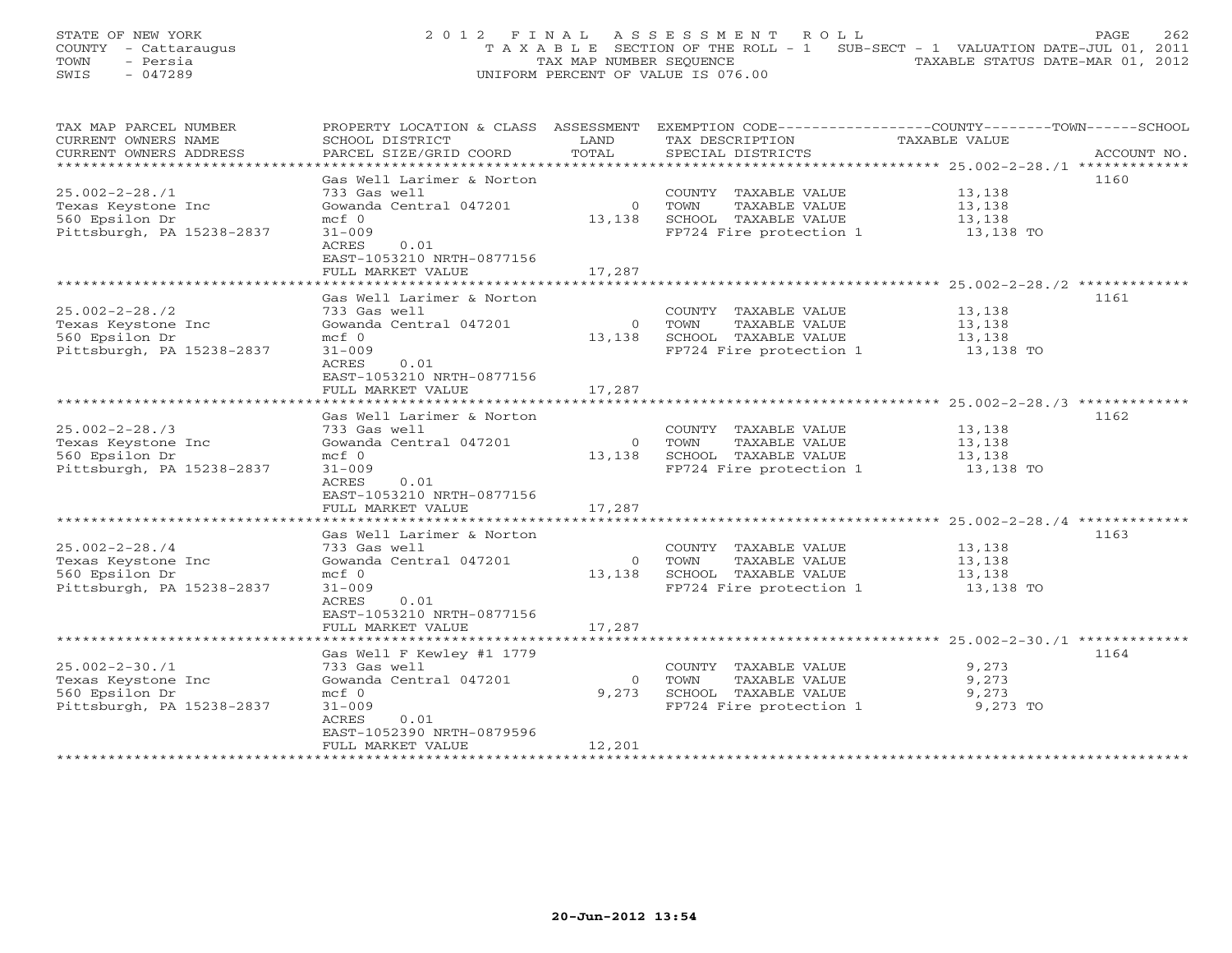STATE OF NEW YORK 262 2012 FINAL ASSESSMENT ROLL PAGE 262 COUNTY - Cattaraugus T A X A B L E SECTION OF THE ROLL - 1 SUB-SECT - 1 VALUATION DATE-JUL 01, 2011 TOWN - Persia TAX MAP NUMBER SEQUENCE TAXABLE STATUS DATE-MAR 01, 2012 SWIS - 047289 UNIFORM PERCENT OF VALUE IS 076.00

| TAX MAP PARCEL NUMBER     | PROPERTY LOCATION & CLASS ASSESSMENT EXEMPTION CODE----------------COUNTY-------TOWN------SCHOOL |          |                                                        |                     |             |
|---------------------------|--------------------------------------------------------------------------------------------------|----------|--------------------------------------------------------|---------------------|-------------|
| CURRENT OWNERS NAME       | SCHOOL DISTRICT                                                                                  | LAND     | TAX DESCRIPTION                                        | TAXABLE VALUE       |             |
| CURRENT OWNERS ADDRESS    | PARCEL SIZE/GRID COORD                                                                           | TOTAL    | SPECIAL DISTRICTS                                      |                     | ACCOUNT NO. |
|                           |                                                                                                  |          |                                                        |                     |             |
|                           | Gas Well Larimer & Norton                                                                        |          |                                                        |                     | 1160        |
| $25.002 - 2 - 28.71$      | 733 Gas well                                                                                     |          | COUNTY TAXABLE VALUE                                   | 13,138              |             |
| Texas Keystone Inc        | Gowanda Central 047201                                                                           |          | 0 TOWN<br>TAXABLE VALUE                                | 13,138              |             |
| 560 Epsilon Dr            | $mcf$ 0                                                                                          |          | 13,138 SCHOOL TAXABLE VALUE                            |                     |             |
|                           |                                                                                                  |          |                                                        | 13,138              |             |
| Pittsburgh, PA 15238-2837 | $31 - 009$                                                                                       |          | FP724 Fire protection 1                                | 13,138 TO           |             |
|                           | 0.01<br>ACRES                                                                                    |          |                                                        |                     |             |
|                           | EAST-1053210 NRTH-0877156                                                                        |          |                                                        |                     |             |
|                           | FULL MARKET VALUE                                                                                | 17,287   |                                                        |                     |             |
|                           |                                                                                                  |          |                                                        |                     |             |
|                           | Gas Well Larimer & Norton                                                                        |          |                                                        |                     | 1161        |
| $25.002 - 2 - 28.72$      | 733 Gas well                                                                                     |          | COUNTY TAXABLE VALUE                                   | 13,138              |             |
| Texas Keystone Inc        | Gowanda Central 047201                                                                           |          | 0 TOWN<br>TAXABLE VALUE                                | 13,138              |             |
| 560 Epsilon Dr            | $mcf$ 0                                                                                          |          | 13,138 SCHOOL TAXABLE VALUE                            |                     |             |
| Pittsburgh, PA 15238-2837 | $31 - 009$                                                                                       |          | FP724 Fire protection 1                                | 13,138<br>13,138 TO |             |
|                           | 0.01<br>ACRES                                                                                    |          |                                                        |                     |             |
|                           | EAST-1053210 NRTH-0877156                                                                        |          |                                                        |                     |             |
|                           | FULL MARKET VALUE                                                                                | 17,287   |                                                        |                     |             |
|                           |                                                                                                  |          |                                                        |                     |             |
|                           | Gas Well Larimer & Norton                                                                        |          |                                                        |                     | 1162        |
| $25.002 - 2 - 28.73$      | 733 Gas well                                                                                     |          | COUNTY TAXABLE VALUE                                   | 13,138              |             |
|                           |                                                                                                  |          |                                                        |                     |             |
| Texas Keystone Inc        | Gowanda Central 047201                                                                           |          | 0 TOWN<br>TAXABLE VALUE                                | 13,138              |             |
| 560 Epsilon Dr            | $mcf$ 0                                                                                          |          | 13,138 SCHOOL TAXABLE VALUE<br>FP724 Fire protection 1 | 13,138              |             |
| Pittsburgh, PA 15238-2837 | $31 - 009$                                                                                       |          |                                                        | $13,138$ TO         |             |
|                           | ACRES<br>0.01                                                                                    |          |                                                        |                     |             |
|                           | EAST-1053210 NRTH-0877156                                                                        |          |                                                        |                     |             |
|                           | FULL MARKET VALUE                                                                                | 17,287   |                                                        |                     |             |
|                           |                                                                                                  |          |                                                        |                     |             |
|                           | Gas Well Larimer & Norton                                                                        |          |                                                        |                     | 1163        |
| $25.002 - 2 - 28.74$      | 733 Gas well                                                                                     |          | COUNTY TAXABLE VALUE                                   | 13,138              |             |
| Texas Keystone Inc        | Gowanda Central 047201                                                                           |          | TAXABLE VALUE<br>0 TOWN                                | 13,138              |             |
| 560 Epsilon Dr            | $mcf$ 0                                                                                          |          | 13,138 SCHOOL TAXABLE VALUE                            | 13,138              |             |
| Pittsburgh, PA 15238-2837 | $31 - 009$                                                                                       |          | SCHOOL TAXABLE VALUE<br>FP724 Fire protection 1        | 13,138 TO           |             |
|                           | ACRES<br>0.01                                                                                    |          |                                                        |                     |             |
|                           | EAST-1053210 NRTH-0877156                                                                        |          |                                                        |                     |             |
|                           | FULL MARKET VALUE                                                                                | 17,287   |                                                        |                     |             |
|                           |                                                                                                  |          |                                                        |                     |             |
|                           | Gas Well F Kewley #1 1779                                                                        |          |                                                        |                     | 1164        |
| $25.002 - 2 - 30.71$      | 733 Gas well                                                                                     |          |                                                        | 9,273               |             |
|                           |                                                                                                  |          | COUNTY TAXABLE VALUE                                   |                     |             |
| Texas Keystone Inc        | Gowanda Central 047201                                                                           | $\Omega$ | TOWN<br>TAXABLE VALUE                                  | 9,273               |             |
| 560 Epsilon Dr            | $mcf$ 0                                                                                          | 9,273    | SCHOOL TAXABLE VALUE                                   | 9,273               |             |
| Pittsburgh, PA 15238-2837 | $31 - 009$                                                                                       |          | FP724 Fire protection 1 9,273 TO                       |                     |             |
|                           | ACRES<br>0.01                                                                                    |          |                                                        |                     |             |
|                           | EAST-1052390 NRTH-0879596                                                                        |          |                                                        |                     |             |
|                           | FULL MARKET VALUE                                                                                | 12,201   |                                                        |                     |             |
|                           |                                                                                                  |          |                                                        |                     |             |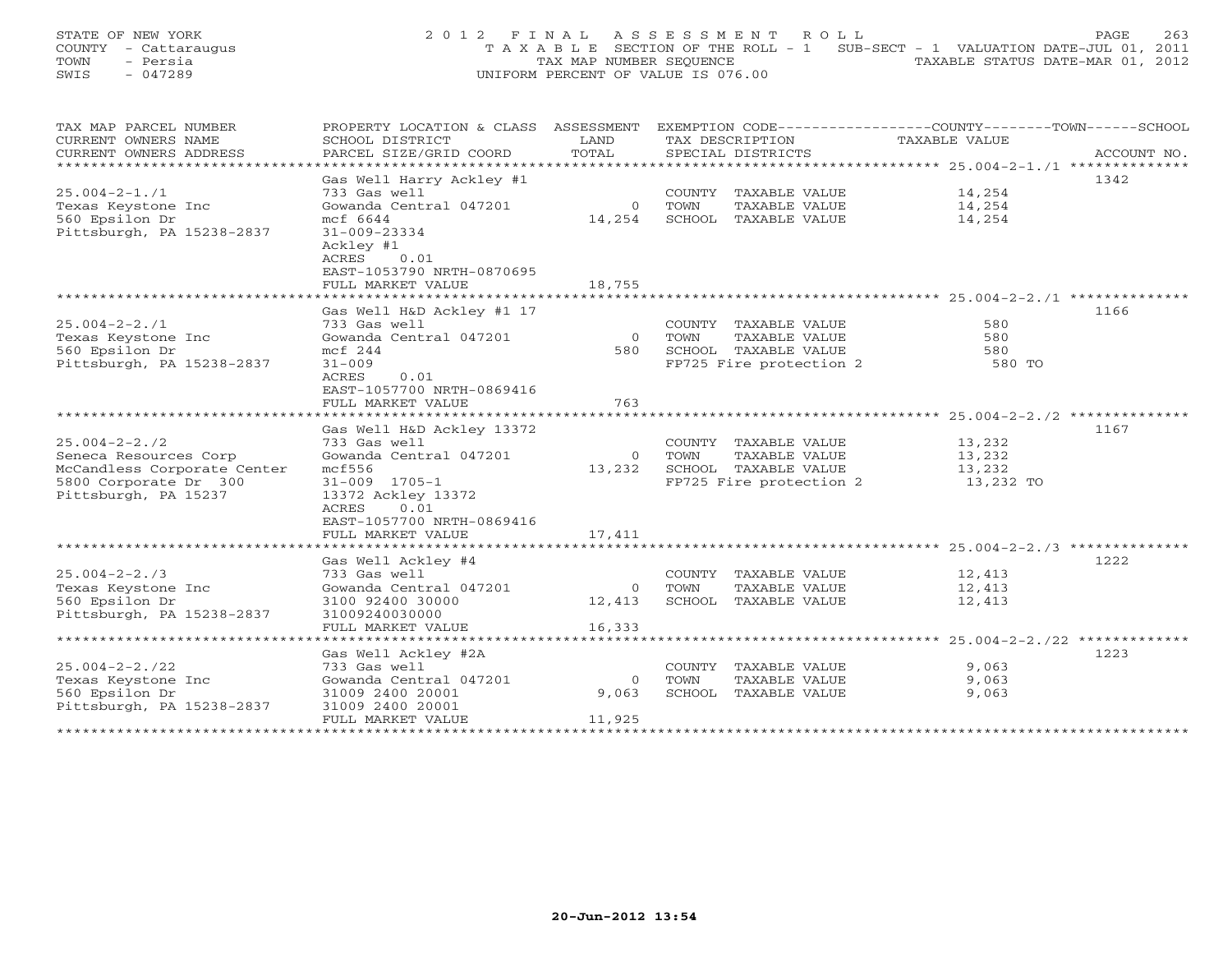STATE OF NEW YORK 263 2012 FINAL ASSESSMENT ROLL PAGE 263 COUNTY - Cattaraugus T A X A B L E SECTION OF THE ROLL - 1 SUB-SECT - 1 VALUATION DATE-JUL 01, 2011 TOWN - Persia TAX MAP NUMBER SEQUENCE TAXABLE STATUS DATE-MAR 01, 2012 SWIS - 047289 UNIFORM PERCENT OF VALUE IS 076.00

| TAX MAP PARCEL NUMBER       | PROPERTY LOCATION & CLASS ASSESSMENT EXEMPTION CODE---------------COUNTY-------TOWN-----SCHOOL |                |                                                 |               |             |
|-----------------------------|------------------------------------------------------------------------------------------------|----------------|-------------------------------------------------|---------------|-------------|
| CURRENT OWNERS NAME         | SCHOOL DISTRICT                                                                                | LAND           | TAX DESCRIPTION                                 | TAXABLE VALUE |             |
| CURRENT OWNERS ADDRESS      | PARCEL SIZE/GRID COORD                                                                         | TOTAL          | SPECIAL DISTRICTS                               |               | ACCOUNT NO. |
|                             |                                                                                                |                |                                                 |               |             |
|                             | Gas Well Harry Ackley #1                                                                       |                |                                                 |               | 1342        |
| $25.004 - 2 - 1.71$         | 733 Gas well                                                                                   |                | COUNTY TAXABLE VALUE                            | 14,254        |             |
| Texas Keystone Inc          | Gowanda Central 047201                                                                         | $\overline{0}$ | TOWN<br>TAXABLE VALUE                           | 14,254        |             |
| 560 Epsilon Dr              | mcf 6644                                                                                       | 14,254         | SCHOOL TAXABLE VALUE                            | 14,254        |             |
| Pittsburgh, PA 15238-2837   | $31 - 009 - 23334$                                                                             |                |                                                 |               |             |
|                             | Ackley #1                                                                                      |                |                                                 |               |             |
|                             | ACRES<br>0.01                                                                                  |                |                                                 |               |             |
|                             | EAST-1053790 NRTH-0870695                                                                      |                |                                                 |               |             |
|                             | FULL MARKET VALUE                                                                              | 18,755         |                                                 |               |             |
|                             |                                                                                                |                |                                                 |               |             |
|                             | Gas Well H&D Ackley #1 17                                                                      |                |                                                 |               | 1166        |
| $25.004 - 2 - 2.71$         | 733 Gas well                                                                                   |                | COUNTY TAXABLE VALUE                            | 580           |             |
| Texas Keystone Inc          | Gowanda Central 047201                                                                         | $\overline{0}$ | TOWN<br>TAXABLE VALUE                           | 580           |             |
| 560 Epsilon Dr              | mcf 244                                                                                        | 580            | SCHOOL TAXABLE VALUE                            | 580           |             |
| Pittsburgh, PA 15238-2837   | $31 - 009$                                                                                     |                | SCHOOL TAXABLE VALUE<br>FP725 Fire protection 2 | 580 TO        |             |
|                             | 0.01<br>ACRES                                                                                  |                |                                                 |               |             |
|                             | EAST-1057700 NRTH-0869416                                                                      |                |                                                 |               |             |
|                             | FULL MARKET VALUE                                                                              | 763            |                                                 |               |             |
|                             |                                                                                                |                |                                                 |               |             |
|                             | Gas Well H&D Ackley 13372                                                                      |                |                                                 |               | 1167        |
| $25.004 - 2 - 2.72$         | 733 Gas well                                                                                   |                | COUNTY TAXABLE VALUE                            | 13,232        |             |
| Seneca Resources Corp       | Gowanda Central 047201                                                                         |                | 0 TOWN<br>TAXABLE VALUE                         | 13,232        |             |
| McCandless Corporate Center | mcE556                                                                                         | 13,232         | SCHOOL TAXABLE VALUE                            | 13,232        |             |
| 5800 Corporate Dr 300       | $31 - 009$ $1705 - 1$                                                                          |                | FP725 Fire protection 2                         | 13,232 TO     |             |
| Pittsburgh, PA 15237        | 13372 Ackley 13372                                                                             |                |                                                 |               |             |
|                             | ACRES<br>0.01                                                                                  |                |                                                 |               |             |
|                             | EAST-1057700 NRTH-0869416                                                                      |                |                                                 |               |             |
|                             | FULL MARKET VALUE                                                                              | 17,411         |                                                 |               |             |
|                             |                                                                                                |                |                                                 |               |             |
|                             | Gas Well Ackley #4                                                                             |                |                                                 |               | 1222        |
| $25.004 - 2 - 2.73$         | 733 Gas well                                                                                   |                | COUNTY TAXABLE VALUE                            | 12,413        |             |
| Texas Keystone Inc          | Gowanda Central 047201                                                                         | $\overline{0}$ | TOWN<br>TAXABLE VALUE                           | 12,413        |             |
| 560 Epsilon Dr              | 3100 92400 30000                                                                               | 12,413         | SCHOOL TAXABLE VALUE                            | 12,413        |             |
| Pittsburgh, PA 15238-2837   | 31009240030000                                                                                 |                |                                                 |               |             |
|                             | FULL MARKET VALUE                                                                              | 16,333         |                                                 |               |             |
|                             |                                                                                                |                |                                                 |               |             |
|                             |                                                                                                |                |                                                 |               |             |
|                             | Gas Well Ackley #2A                                                                            |                |                                                 |               | 1223        |
| $25.004 - 2 - 2.722$        | 733 Gas well                                                                                   |                | COUNTY TAXABLE VALUE                            | 9,063         |             |
| Texas Keystone Inc          | Gowanda Central 047201                                                                         | $\overline{0}$ | TOWN<br>TAXABLE VALUE                           | 9,063         |             |
| 560 Epsilon Dr              | 31009 2400 20001                                                                               | 9,063          | SCHOOL TAXABLE VALUE                            | 9,063         |             |
| Pittsburgh, PA 15238-2837   | 31009 2400 20001                                                                               |                |                                                 |               |             |
|                             | FULL MARKET VALUE                                                                              | 11,925         |                                                 |               |             |
|                             |                                                                                                |                |                                                 |               |             |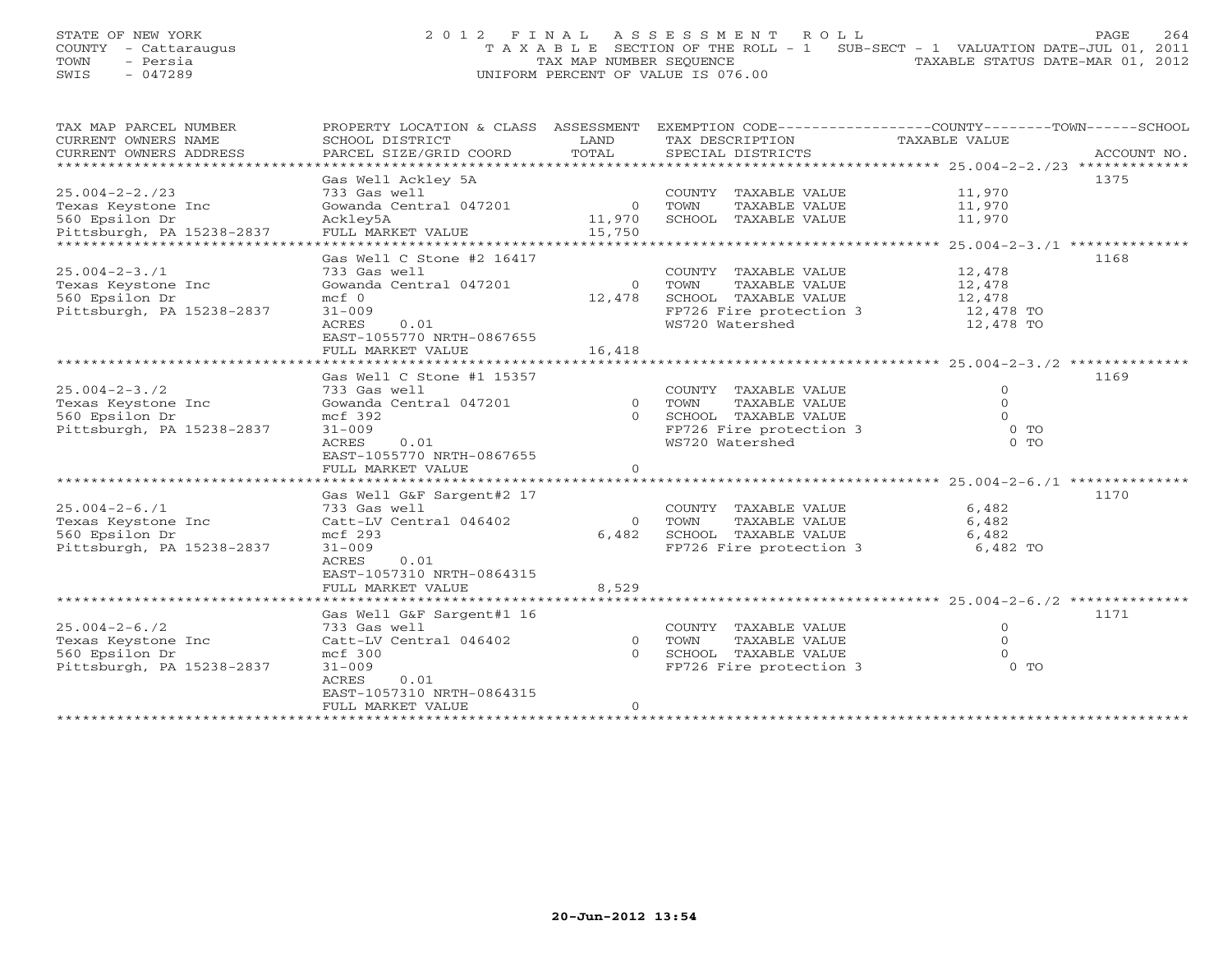## STATE OF NEW YORK 264 2012 FINAL ASSESSMENT ROLL PAGE 264 COUNTY - Cattaraugus T A X A B L E SECTION OF THE ROLL - 1 SUB-SECT - 1 VALUATION DATE-JUL 01, 2011 TOWN - Persia TAX MAP NUMBER SEQUENCE TAXABLE STATUS DATE-MAR 01, 2012 SWIS - 047289 UNIFORM PERCENT OF VALUE IS 076.00

| TAX MAP PARCEL NUMBER<br>CURRENT OWNERS NAME<br>CURRENT OWNERS ADDRESS | PROPERTY LOCATION & CLASS ASSESSMENT<br>SCHOOL DISTRICT<br>PARCEL SIZE/GRID COORD | LAND<br>TOTAL  | TAX DESCRIPTION<br>SPECIAL DISTRICTS        | EXEMPTION CODE-----------------COUNTY-------TOWN------SCHOOL<br>TAXABLE VALUE<br>ACCOUNT NO. |
|------------------------------------------------------------------------|-----------------------------------------------------------------------------------|----------------|---------------------------------------------|----------------------------------------------------------------------------------------------|
|                                                                        |                                                                                   |                |                                             |                                                                                              |
|                                                                        | Gas Well Ackley 5A                                                                |                |                                             | 1375                                                                                         |
| $25.004 - 2 - 2.723$                                                   | 733 Gas well                                                                      |                | COUNTY TAXABLE VALUE                        | 11,970                                                                                       |
| Texas Keystone Inc                                                     | Gowanda Central 047201                                                            | $\overline{O}$ | TOWN<br>TAXABLE VALUE                       | 11,970                                                                                       |
| 560 Epsilon Dr                                                         | Ackley5A                                                                          | 11,970         | SCHOOL TAXABLE VALUE                        | 11,970                                                                                       |
| Pittsburgh, PA 15238-2837                                              | FULL MARKET VALUE                                                                 | 15,750         |                                             |                                                                                              |
|                                                                        |                                                                                   |                |                                             |                                                                                              |
|                                                                        | Gas Well C Stone #2 16417                                                         |                |                                             | 1168                                                                                         |
| $25.004 - 2 - 3.71$                                                    | 733 Gas well                                                                      |                | COUNTY TAXABLE VALUE                        | 12,478<br>12,478                                                                             |
| Texas Keystone Inc                                                     | Gowanda Central 047201                                                            |                | 0 TOWN<br>TAXABLE VALUE                     |                                                                                              |
| 560 Epsilon Dr                                                         | $mcf$ 0                                                                           | 12,478         | SCHOOL TAXABLE VALUE                        | 12,478                                                                                       |
| Pittsburgh, PA 15238-2837                                              | $31 - 009$                                                                        |                | FP726 Fire protection 3<br>"19700 Watershed | 12,478 TO                                                                                    |
|                                                                        | ACRES<br>0.01                                                                     |                | WS720 Watershed                             | 12,478 TO                                                                                    |
|                                                                        | EAST-1055770 NRTH-0867655                                                         |                |                                             |                                                                                              |
|                                                                        | FULL MARKET VALUE                                                                 | 16,418         |                                             |                                                                                              |
|                                                                        |                                                                                   |                |                                             |                                                                                              |
|                                                                        | Gas Well C Stone #1 15357                                                         |                |                                             | 1169                                                                                         |
| $25.004 - 2 - 3.72$                                                    | 733 Gas well                                                                      |                | COUNTY TAXABLE VALUE                        | $\Omega$                                                                                     |
| Texas Keystone Inc                                                     | Gowanda Central 047201                                                            | $\overline{0}$ | TOWN<br>TAXABLE VALUE                       | $\Omega$                                                                                     |
| 560 Epsilon Dr                                                         | mcf 392                                                                           | $\Omega$       | SCHOOL TAXABLE VALUE                        | $\Omega$                                                                                     |
| Pittsburgh, PA 15238-2837                                              | $31 - 009$                                                                        |                | FP726 Fire protection 3                     | $0$ TO                                                                                       |
|                                                                        | 0.01<br>ACRES                                                                     |                | WS720 Watershed                             | $0$ TO                                                                                       |
|                                                                        | EAST-1055770 NRTH-0867655                                                         |                |                                             |                                                                                              |
|                                                                        | FULL MARKET VALUE                                                                 | $\Omega$       |                                             |                                                                                              |
|                                                                        |                                                                                   |                |                                             |                                                                                              |
|                                                                        | Gas Well G&F Sargent#2 17                                                         |                |                                             | 1170                                                                                         |
| $25.004 - 2 - 6.71$                                                    | 733 Gas well                                                                      |                | COUNTY TAXABLE VALUE                        | 6,482                                                                                        |
| Texas Keystone Inc                                                     | Catt-LV Central 046402                                                            |                | 0 TOWN<br>TAXABLE VALUE                     | 6,482                                                                                        |
| 560 Epsilon Dr                                                         | mcf 293                                                                           | 6,482          | SCHOOL TAXABLE VALUE                        | 6,482                                                                                        |
| Pittsburgh, PA 15238-2837                                              | $31 - 009$                                                                        |                | FP726 Fire protection 3 6,482 TO            |                                                                                              |
|                                                                        | ACRES<br>0.01                                                                     |                |                                             |                                                                                              |
|                                                                        | EAST-1057310 NRTH-0864315                                                         |                |                                             |                                                                                              |
|                                                                        | FULL MARKET VALUE                                                                 | 8,529          |                                             |                                                                                              |
|                                                                        |                                                                                   |                |                                             |                                                                                              |
| $25.004 - 2 - 6.72$                                                    | Gas Well G&F Sargent#1 16<br>733 Gas well                                         |                | COUNTY TAXABLE VALUE                        | 1171<br>$\mathbf{0}$                                                                         |
|                                                                        | Catt-LV Central 046402                                                            | $0$ TOWN       | TAXABLE VALUE                               | $\Omega$                                                                                     |
| Texas Keystone Inc<br>560 Epsilon Dr                                   |                                                                                   | $\Omega$       | SCHOOL TAXABLE VALUE                        | $\Omega$                                                                                     |
| Pittsburgh, PA 15238-2837                                              | $mcf$ 300<br>$31 - 009$                                                           |                | FP726 Fire protection 3                     | $0$ TO                                                                                       |
|                                                                        | ACRES<br>0.01                                                                     |                |                                             |                                                                                              |
|                                                                        | EAST-1057310 NRTH-0864315                                                         |                |                                             |                                                                                              |
|                                                                        | FULL MARKET VALUE                                                                 | $\Omega$       |                                             |                                                                                              |
|                                                                        |                                                                                   |                |                                             |                                                                                              |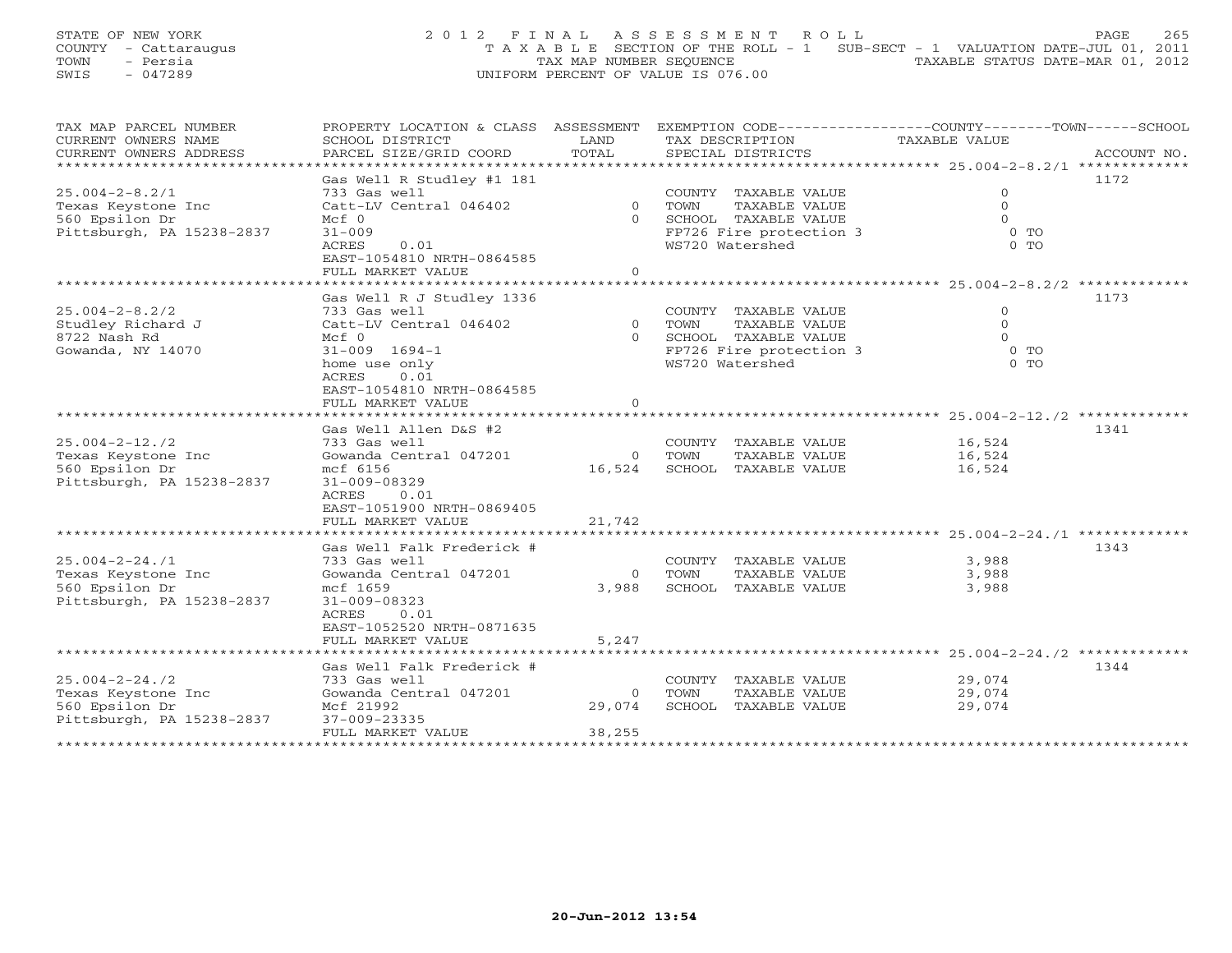STATE OF NEW YORK 2 0 1 2 F I N A L A S S E S S M E N T R O L L PAGE 265 COUNTY - Cattaraugus T A X A B L E SECTION OF THE ROLL - 1 SUB-SECT - 1 VALUATION DATE-JUL 01, 2011 TOWN - Persia TAX MAP NUMBER SEQUENCE TAXABLE STATUS DATE-MAR 01, 2012 SWIS - 047289 UNIFORM PERCENT OF VALUE IS 076.00

| TAX MAP PARCEL NUMBER          | PROPERTY LOCATION & CLASS ASSESSMENT |                | EXEMPTION CODE-----------------COUNTY-------TOWN------SCHOOL |                |             |
|--------------------------------|--------------------------------------|----------------|--------------------------------------------------------------|----------------|-------------|
| CURRENT OWNERS NAME            | SCHOOL DISTRICT                      | LAND           | TAX DESCRIPTION                                              | TAXABLE VALUE  |             |
| CURRENT OWNERS ADDRESS         | PARCEL SIZE/GRID COORD               | TOTAL          | SPECIAL DISTRICTS                                            |                | ACCOUNT NO. |
| ****************************** |                                      |                |                                                              |                |             |
|                                | Gas Well R Studley #1 181            |                |                                                              |                | 1172        |
| $25.004 - 2 - 8.2/1$           | 733 Gas well                         |                | COUNTY TAXABLE VALUE                                         | $\circ$        |             |
| Texas Keystone Inc             | Catt-LV Central 046402               | $\overline{0}$ | TOWN<br>TAXABLE VALUE                                        | $\Omega$       |             |
| 560 Epsilon Dr                 | Mcf 0                                | $\cap$         | SCHOOL TAXABLE VALUE                                         | $\Omega$       |             |
| Pittsburgh, PA 15238-2837      | $31 - 009$                           |                | FP726 Fire protection 3                                      | 0 <sub>0</sub> |             |
|                                | 0.01<br>ACRES                        |                | WS720 Watershed                                              | $0$ TO         |             |
|                                | EAST-1054810 NRTH-0864585            |                |                                                              |                |             |
|                                | FULL MARKET VALUE                    | $\Omega$       |                                                              |                |             |
|                                |                                      |                |                                                              |                |             |
|                                | Gas Well R J Studley 1336            |                |                                                              |                | 1173        |
| $25.004 - 2 - 8.2/2$           | 733 Gas well                         |                | COUNTY TAXABLE VALUE                                         | $\Omega$       |             |
| Studley Richard J              | Catt-LV Central 046402               | $\overline{0}$ | TOWN<br>TAXABLE VALUE                                        | $\Omega$       |             |
| 8722 Nash Rd                   | Mcf 0                                |                | 0 SCHOOL TAXABLE VALUE                                       | $\Omega$       |             |
| Gowanda, NY 14070              | $31 - 009$ $1694 - 1$                |                | FP726 Fire protection 3                                      | $0$ TO         |             |
|                                | home use only                        |                | WS720 Watershed                                              | 0 <sub>0</sub> |             |
|                                | 0.01<br>ACRES                        |                |                                                              |                |             |
|                                | EAST-1054810 NRTH-0864585            |                |                                                              |                |             |
|                                | FULL MARKET VALUE                    | $\Omega$       |                                                              |                |             |
|                                |                                      |                |                                                              |                |             |
|                                | Gas Well Allen D&S #2                |                |                                                              |                | 1341        |
| $25.004 - 2 - 12.72$           | 733 Gas well                         |                | COUNTY TAXABLE VALUE                                         | 16,524         |             |
| Texas Keystone Inc             | Gowanda Central 047201               | $\overline{0}$ | TOWN<br>TAXABLE VALUE                                        | 16,524         |             |
| 560 Epsilon Dr                 | mcf 6156                             | 16,524         | SCHOOL TAXABLE VALUE                                         | 16,524         |             |
| Pittsburgh, PA 15238-2837      | $31 - 009 - 08329$                   |                |                                                              |                |             |
|                                | 0.01<br>ACRES                        |                |                                                              |                |             |
|                                | EAST-1051900 NRTH-0869405            |                |                                                              |                |             |
|                                | FULL MARKET VALUE                    | 21,742         |                                                              |                |             |
|                                |                                      |                |                                                              |                |             |
|                                | Gas Well Falk Frederick #            |                |                                                              |                | 1343        |
| $25.004 - 2 - 24.71$           | 733 Gas well                         |                | COUNTY TAXABLE VALUE                                         | 3,988          |             |
| Texas Keystone Inc             | Gowanda Central 047201               | $\overline{0}$ | TOWN<br>TAXABLE VALUE                                        | 3,988          |             |
| 560 Epsilon Dr                 | mcf 1659                             | 3,988          | SCHOOL TAXABLE VALUE                                         | 3,988          |             |
| Pittsburgh, PA 15238-2837      | $31 - 009 - 08323$                   |                |                                                              |                |             |
|                                | ACRES<br>0.01                        |                |                                                              |                |             |
|                                | EAST-1052520 NRTH-0871635            |                |                                                              |                |             |
|                                | FULL MARKET VALUE                    | 5,247          |                                                              |                |             |
|                                |                                      |                |                                                              |                |             |
|                                | Gas Well Falk Frederick #            |                |                                                              |                | 1344        |
| $25.004 - 2 - 24.72$           | 733 Gas well                         |                | COUNTY TAXABLE VALUE                                         | 29,074         |             |
| Texas Keystone Inc             | Gowanda Central 047201               | $\circ$        | TOWN<br>TAXABLE VALUE                                        | 29,074         |             |
| 560 Epsilon Dr                 | Mcf 21992                            | 29,074         | SCHOOL TAXABLE VALUE                                         | 29,074         |             |
| Pittsburgh, PA 15238-2837      | 37-009-23335                         |                |                                                              |                |             |
|                                | FULL MARKET VALUE                    | 38,255         |                                                              |                |             |
| *******************            |                                      |                |                                                              |                |             |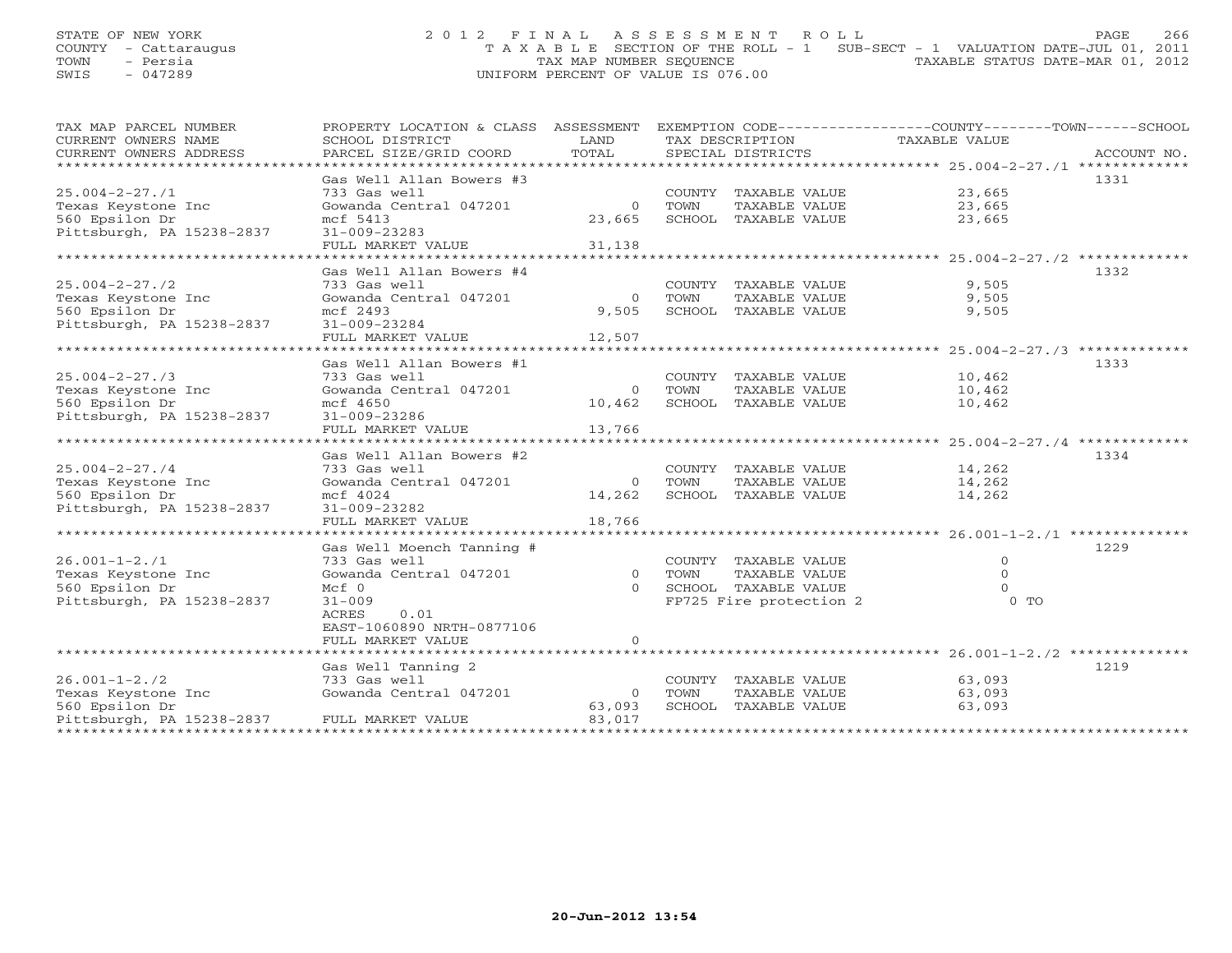## STATE OF NEW YORK 2 0 1 2 F I N A L A S S E S S M E N T R O L L PAGE 266 COUNTY - Cattaraugus T A X A B L E SECTION OF THE ROLL - 1 SUB-SECT - 1 VALUATION DATE-JUL 01, 2011 TOWN - Persia Persia Tax MAP NUMBER SEQUENCE TAXABLE STATUS DATE-MAR 01, 2012<br>
TAX MAP NUMBER SEQUENCE TAXABLE STATUS DATE-MAR 01, 2012<br>
TAXABLE STATUS DATE-MAR 01, 2012 SWIS - 047289 UNIFORM PERCENT OF VALUE IS 076.00

| TAX MAP PARCEL NUMBER                                  | PROPERTY LOCATION & CLASS ASSESSMENT |                |      |                             | EXEMPTION CODE-----------------COUNTY-------TOWN------SCHOOL |      |  |
|--------------------------------------------------------|--------------------------------------|----------------|------|-----------------------------|--------------------------------------------------------------|------|--|
| CURRENT OWNERS NAME                                    | SCHOOL DISTRICT                      | LAND           |      | TAX DESCRIPTION             | TAXABLE VALUE                                                |      |  |
|                                                        |                                      |                |      |                             |                                                              |      |  |
|                                                        |                                      |                |      |                             |                                                              |      |  |
|                                                        | Gas Well Allan Bowers #3             |                |      |                             |                                                              | 1331 |  |
| $25.004 - 2 - 27.71$                                   | 733 Gas well                         |                |      | COUNTY TAXABLE VALUE 23,665 |                                                              |      |  |
| Texas Keystone Inc                                     | Gowanda Central 047201               | $\Omega$       | TOWN | TAXABLE VALUE 23,665        |                                                              |      |  |
| 560 Epsilon Dr                                         | mcf 5413                             | 23,665         |      | SCHOOL TAXABLE VALUE        | 23,665                                                       |      |  |
| Pittsburgh, PA 15238-2837                              | 31-009-23283                         |                |      |                             |                                                              |      |  |
|                                                        | FULL MARKET VALUE 31,138             |                |      |                             |                                                              |      |  |
|                                                        |                                      |                |      |                             |                                                              |      |  |
|                                                        | Gas Well Allan Bowers #4             |                |      |                             |                                                              | 1332 |  |
| $25.004 - 2 - 27.72$                                   | 733 Gas well                         |                |      | COUNTY TAXABLE VALUE        | 9,505                                                        |      |  |
| Texas Keystone Inc                                     | Gowanda Central 047201               | $\overline{0}$ | TOWN | TAXABLE VALUE               | 9,505                                                        |      |  |
| 560 Epsilon Dr                                         | mcf 2493                             | 9,505          |      | SCHOOL TAXABLE VALUE        | 9,505                                                        |      |  |
| Pittsburgh, PA 15238-2837                              | 31-009-23284                         |                |      |                             |                                                              |      |  |
|                                                        | FULL MARKET VALUE 12,507             |                |      |                             |                                                              |      |  |
|                                                        |                                      |                |      |                             |                                                              |      |  |
|                                                        | Gas Well Allan Bowers #1             |                |      |                             |                                                              | 1333 |  |
| $25.004 - 2 - 27.73$                                   | 733 Gas well                         |                |      | COUNTY TAXABLE VALUE 10,462 |                                                              |      |  |
|                                                        | Gowanda Central 047201               | $\overline{0}$ | TOWN | TAXABLE VALUE               | 10,462                                                       |      |  |
| Texas Keystone Inc<br>560 Epsilon Dr<br>560 Epsilon Dr | mcf 4650                             | 10,462         |      | SCHOOL TAXABLE VALUE        | 10,462                                                       |      |  |
| Pittsburgh, PA 15238-2837                              | 31-009-23286                         |                |      |                             |                                                              |      |  |
|                                                        | FULL MARKET VALUE                    | 13,766         |      |                             |                                                              |      |  |
|                                                        |                                      |                |      |                             |                                                              |      |  |
|                                                        | Gas Well Allan Bowers #2             |                |      |                             |                                                              | 1334 |  |
| $25.004 - 2 - 27.74$                                   | 733 Gas well                         |                |      | COUNTY TAXABLE VALUE 14,262 |                                                              |      |  |
| Texas Keystone Inc                                     | Gowanda Central 047201               | 0 TOWN         |      | TAXABLE VALUE 14,262        |                                                              |      |  |
| 560 Epsilon Dr                                         | mcf 4024                             | 14,262         |      | SCHOOL TAXABLE VALUE        | 14,262                                                       |      |  |
| Pittsburgh, PA 15238-2837                              | 31-009-23282                         |                |      |                             |                                                              |      |  |
|                                                        | FULL MARKET VALUE 18,766             |                |      |                             |                                                              |      |  |
|                                                        |                                      |                |      |                             |                                                              |      |  |
|                                                        | Gas Well Moench Tanning #            |                |      |                             |                                                              | 1229 |  |
| $26.001 - 1 - 2.71$                                    | 733 Gas well                         |                |      | COUNTY TAXABLE VALUE        | $\mathbf{0}$                                                 |      |  |
| Texas Keystone Inc                                     | Gowanda Central 047201               | 0 TOWN         |      | TAXABLE VALUE               | $\Omega$                                                     |      |  |
| 560 Epsilon Dr                                         | $Mcf$ 0                              |                |      | 0 SCHOOL TAXABLE VALUE      | $\Omega$                                                     |      |  |
| Pittsburgh, PA 15238-2837                              | $31 - 009$                           |                |      | FP725 Fire protection 2     | $0$ TO                                                       |      |  |
|                                                        | 0.01<br>ACRES                        |                |      |                             |                                                              |      |  |
|                                                        | EAST-1060890 NRTH-0877106            |                |      |                             |                                                              |      |  |
|                                                        | FULL MARKET VALUE                    | $\Omega$       |      |                             |                                                              |      |  |
|                                                        |                                      |                |      |                             |                                                              |      |  |
|                                                        |                                      |                |      |                             |                                                              | 1219 |  |
|                                                        | Gas Well Tanning 2                   |                |      |                             |                                                              |      |  |
| $26.001 - 1 - 2.72$                                    | 733 Gas well                         |                |      | COUNTY TAXABLE VALUE        | 63,093                                                       |      |  |
| Texas Keystone Inc                                     | Gowanda Central 047201               | $\overline{0}$ | TOWN | TAXABLE VALUE               | 63,093                                                       |      |  |
| 560 Epsilon Dr                                         |                                      | 63,093         |      | SCHOOL TAXABLE VALUE        | 63,093                                                       |      |  |
| Pittsburgh, PA 15238-2837                              | FULL MARKET VALUE                    | 83,017         |      |                             |                                                              |      |  |
|                                                        |                                      |                |      |                             |                                                              |      |  |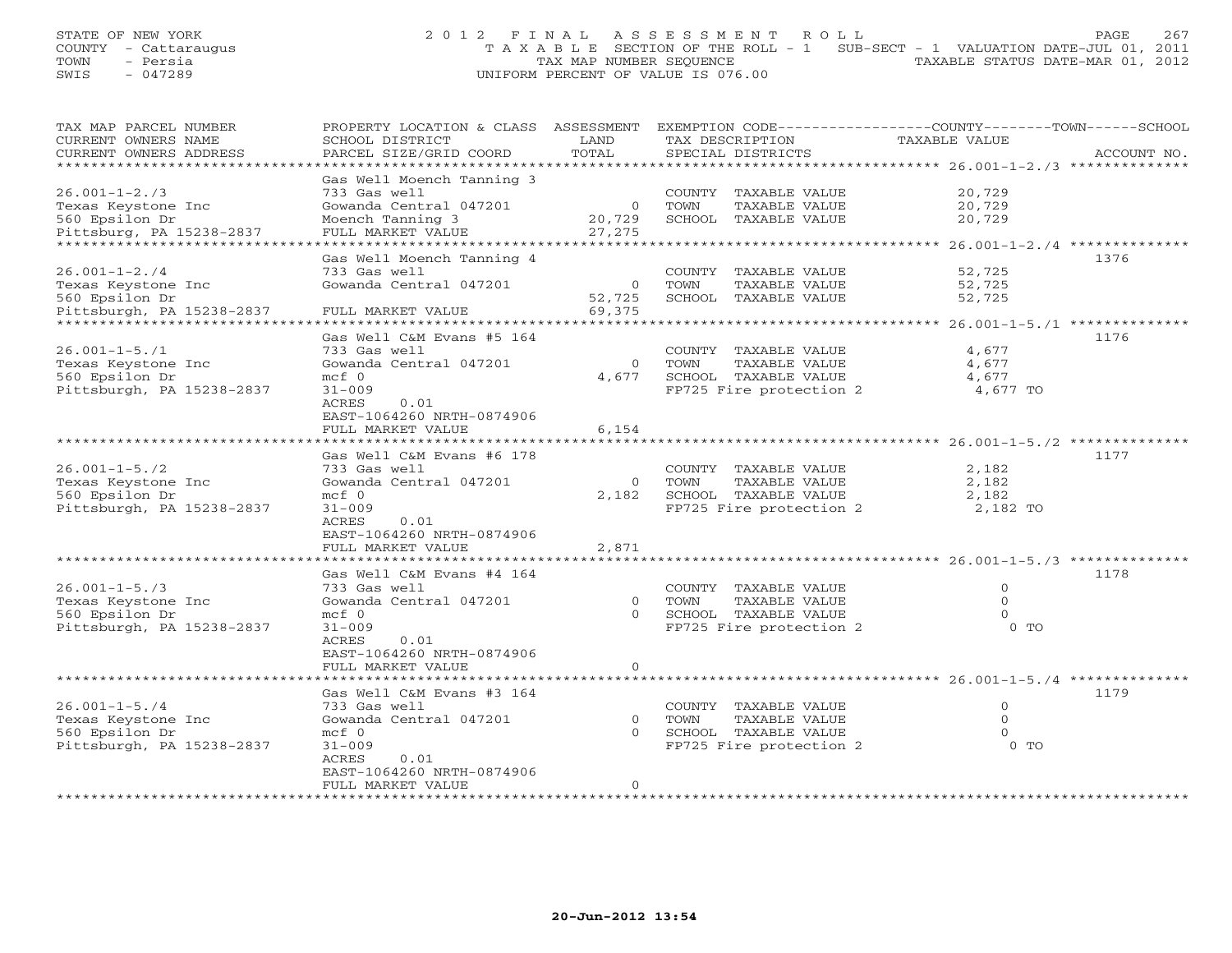| STATE OF NEW YORK    | 2012 FINAL ASSESSMENT ROLL                                                     | 267<br>PAGE                      |
|----------------------|--------------------------------------------------------------------------------|----------------------------------|
| COUNTY - Cattaraugus | T A X A B L E SECTION OF THE ROLL - 1 SUB-SECT - 1 VALUATION DATE-JUL 01, 2011 |                                  |
| TOWN<br>- Persia     | TAX MAP NUMBER SEOUENCE                                                        | TAXABLE STATUS DATE-MAR 01, 2012 |
| SWIS<br>- 047289     | UNIFORM PERCENT OF VALUE IS 076.00                                             |                                  |

| TAX MAP PARCEL NUMBER                | PROPERTY LOCATION & CLASS ASSESSMENT     |                | EXEMPTION CODE-----------------COUNTY-------TOWN-----SCHOOL |                                                |             |
|--------------------------------------|------------------------------------------|----------------|-------------------------------------------------------------|------------------------------------------------|-------------|
| CURRENT OWNERS NAME                  | SCHOOL DISTRICT                          | LAND           | TAX DESCRIPTION                                             | TAXABLE VALUE                                  |             |
| CURRENT OWNERS ADDRESS               | PARCEL SIZE/GRID COORD                   | TOTAL          | SPECIAL DISTRICTS                                           |                                                | ACCOUNT NO. |
|                                      |                                          | *********      |                                                             | ***************** 26.001-1-2./3 ************** |             |
|                                      | Gas Well Moench Tanning 3                |                |                                                             |                                                |             |
| $26.001 - 1 - 2.73$                  | 733 Gas well                             |                | COUNTY TAXABLE VALUE                                        | 20,729                                         |             |
|                                      | Gowanda Central 047201                   | $\overline{0}$ | TOWN<br>TAXABLE VALUE                                       | 20,729                                         |             |
| Texas Keystone Inc<br>560 Epsilon Dr | Moench Tanning 3                         | 20,729         | SCHOOL TAXABLE VALUE                                        | 20,729                                         |             |
|                                      |                                          |                |                                                             |                                                |             |
| Pittsburg, PA 15238-2837             | FULL MARKET VALUE<br>******************* | 27,275         |                                                             |                                                |             |
|                                      |                                          |                |                                                             | ******** 26.001-1-2./4 *********               |             |
|                                      | Gas Well Moench Tanning 4                |                |                                                             |                                                | 1376        |
| $26.001 - 1 - 2.74$                  | 733 Gas well                             |                | COUNTY TAXABLE VALUE                                        | 52,725                                         |             |
| Texas Keystone Inc                   | Gowanda Central 047201                   | $\overline{0}$ | TOWN<br>TAXABLE VALUE                                       | 52,725                                         |             |
| 560 Epsilon Dr                       |                                          | 52,725         | SCHOOL TAXABLE VALUE                                        | 52,725                                         |             |
| Pittsburgh, PA 15238-2837            | FULL MARKET VALUE                        | 69,375         |                                                             |                                                |             |
|                                      | *******************                      |                |                                                             | $26.001 - 1 - 5.71$ ************               |             |
|                                      | Gas Well C&M Evans #5 164                |                |                                                             |                                                | 1176        |
| $26.001 - 1 - 5.71$                  | 733 Gas well                             |                | COUNTY TAXABLE VALUE                                        | 4,677                                          |             |
| Texas Keystone Inc                   | Gowanda Central 047201                   | $\overline{0}$ | TOWN<br>TAXABLE VALUE                                       | 4,677                                          |             |
| 560 Epsilon Dr                       | $mcf$ 0                                  | 4,677          | SCHOOL TAXABLE VALUE                                        | 4,677                                          |             |
| Pittsburgh, PA 15238-2837            | $31 - 009$                               |                | FP725 Fire protection 2                                     | 4,677 TO                                       |             |
|                                      | ACRES<br>0.01                            |                |                                                             |                                                |             |
|                                      | EAST-1064260 NRTH-0874906                |                |                                                             |                                                |             |
|                                      | FULL MARKET VALUE                        | 6,154          |                                                             |                                                |             |
|                                      |                                          |                |                                                             | ***** 26.001-1-5./2 **                         |             |
|                                      | Gas Well C&M Evans #6 178                |                |                                                             |                                                | 1177        |
| $26.001 - 1 - 5.72$                  | 733 Gas well                             |                | COUNTY TAXABLE VALUE                                        | 2,182                                          |             |
| Texas Keystone Inc                   | Gowanda Central 047201                   | $\Omega$       | TAXABLE VALUE<br>TOWN                                       | 2,182                                          |             |
| 560 Epsilon Dr                       | $mcf$ 0                                  | 2,182          | SCHOOL TAXABLE VALUE                                        | 2,182                                          |             |
| Pittsburgh, PA 15238-2837            | $31 - 009$                               |                | FP725 Fire protection 2                                     | 2,182 TO                                       |             |
|                                      |                                          |                |                                                             |                                                |             |
|                                      | ACRES<br>0.01                            |                |                                                             |                                                |             |
|                                      | EAST-1064260 NRTH-0874906                |                |                                                             |                                                |             |
|                                      | FULL MARKET VALUE                        | 2,871          |                                                             |                                                |             |
| ******************************       |                                          |                |                                                             |                                                |             |
|                                      | Gas Well C&M Evans #4 164                |                |                                                             |                                                | 1178        |
| $26.001 - 1 - 5.73$                  | 733 Gas well                             |                | COUNTY TAXABLE VALUE                                        | $\Omega$                                       |             |
| Texas Keystone Inc                   | Gowanda Central 047201                   | $\overline{0}$ | <b>TAXABLE VALUE</b><br>TOWN                                | $\Omega$                                       |             |
| 560 Epsilon Dr                       | $mcf$ 0                                  | $\Omega$       | SCHOOL TAXABLE VALUE                                        | $\mathbf{O}$                                   |             |
| Pittsburgh, PA 15238-2837            | $31 - 009$                               |                | FP725 Fire protection 2                                     | $0$ TO                                         |             |
|                                      | ACRES<br>0.01                            |                |                                                             |                                                |             |
|                                      | EAST-1064260 NRTH-0874906                |                |                                                             |                                                |             |
|                                      | FULL MARKET VALUE                        | $\Omega$       |                                                             |                                                |             |
|                                      |                                          |                |                                                             |                                                |             |
|                                      | Gas Well C&M Evans #3 164                |                |                                                             |                                                | 1179        |
| $26.001 - 1 - 5.74$                  | 733 Gas well                             |                | COUNTY TAXABLE VALUE                                        | $\mathbf{0}$                                   |             |
| Texas Keystone Inc                   | Gowanda Central 047201                   | $\circ$        | TOWN<br>TAXABLE VALUE                                       | $\mathbf{0}$                                   |             |
| 560 Epsilon Dr                       | $mcf$ 0                                  | $\Omega$       | SCHOOL TAXABLE VALUE                                        | $\Omega$                                       |             |
| Pittsburgh, PA 15238-2837            | $31 - 009$                               |                | FP725 Fire protection 2                                     | $0$ TO                                         |             |
|                                      | ACRES<br>0.01                            |                |                                                             |                                                |             |
|                                      | EAST-1064260 NRTH-0874906                |                |                                                             |                                                |             |
|                                      | FULL MARKET VALUE                        | $\mathbf 0$    |                                                             |                                                |             |
|                                      | * * * * * * * * * * * * * * * * * * * *  |                |                                                             |                                                |             |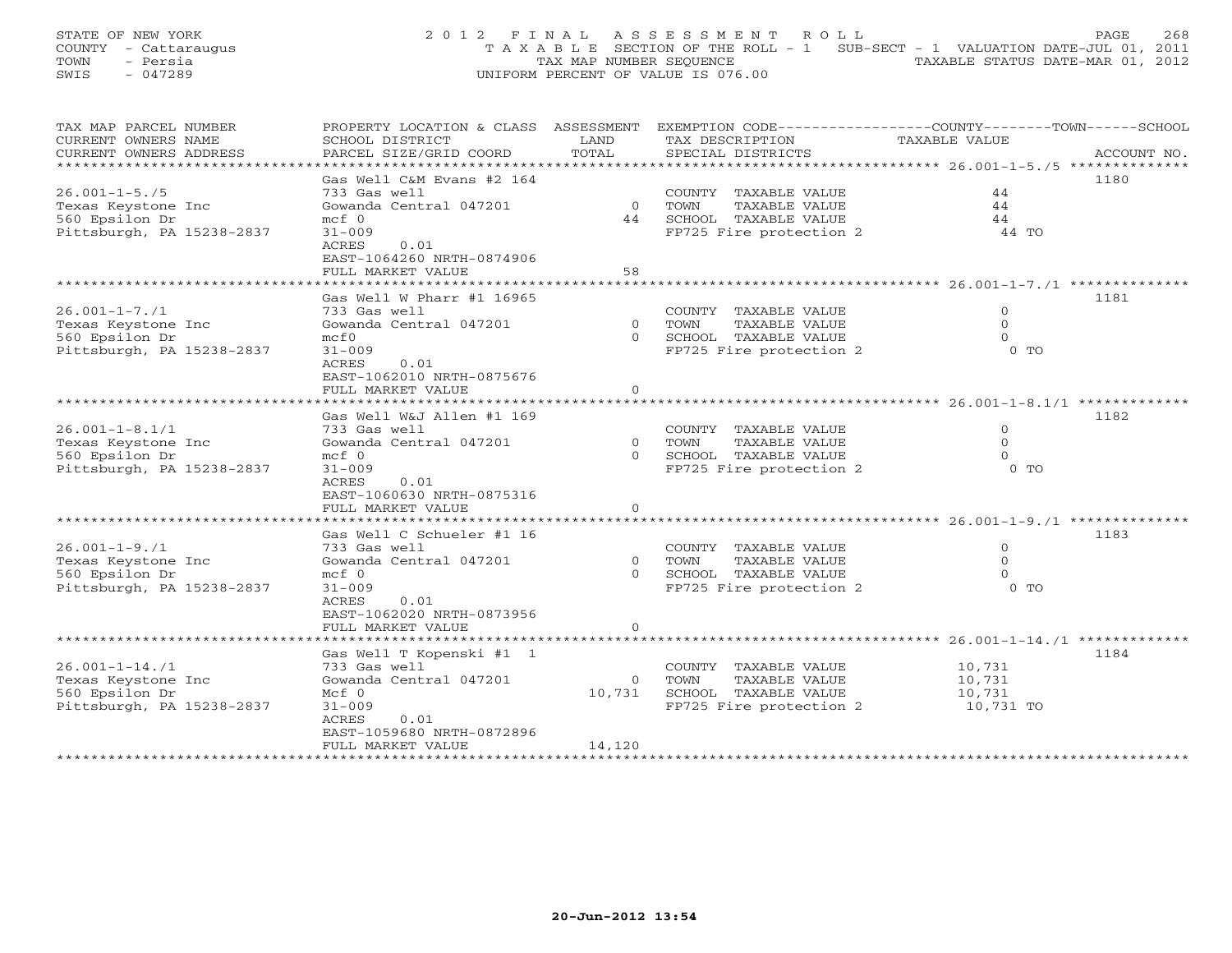STATE OF NEW YORK 2 0 1 2 F I N A L A S S E S S M E N T R O L L PAGE 268 COUNTY - Cattaraugus T A X A B L E SECTION OF THE ROLL - 1 SUB-SECT - 1 VALUATION DATE-JUL 01, 2011 TOWN - Persia TAX MAP NUMBER SEQUENCE TAXABLE STATUS DATE-MAR 01, 2012 SWIS - 047289 UNIFORM PERCENT OF VALUE IS 076.00

| TAX MAP PARCEL NUMBER     | PROPERTY LOCATION & CLASS ASSESSMENT |          | EXEMPTION CODE-----------------COUNTY-------TOWN------SCHOOL |                                            |             |
|---------------------------|--------------------------------------|----------|--------------------------------------------------------------|--------------------------------------------|-------------|
| CURRENT OWNERS NAME       | SCHOOL DISTRICT                      | LAND     | TAX DESCRIPTION                                              | TAXABLE VALUE                              |             |
| CURRENT OWNERS ADDRESS    | PARCEL SIZE/GRID COORD               | TOTAL    | SPECIAL DISTRICTS                                            |                                            | ACCOUNT NO. |
| ***********************   |                                      |          |                                                              |                                            |             |
|                           | Gas Well C&M Evans #2 164            |          |                                                              |                                            | 1180        |
| $26.001 - 1 - 5.75$       | 733 Gas well                         |          | COUNTY TAXABLE VALUE                                         | 44                                         |             |
| Texas Keystone Inc        | Gowanda Central 047201               | $\Omega$ | TOWN<br>TAXABLE VALUE                                        | 44                                         |             |
| 560 Epsilon Dr            | $mcf$ 0                              | 44       | SCHOOL TAXABLE VALUE                                         | 44                                         |             |
| Pittsburgh, PA 15238-2837 | $31 - 009$                           |          | FP725 Fire protection 2                                      | 44 TO                                      |             |
|                           | ACRES<br>0.01                        |          |                                                              |                                            |             |
|                           | EAST-1064260 NRTH-0874906            |          |                                                              |                                            |             |
|                           | FULL MARKET VALUE                    | 58       |                                                              |                                            |             |
|                           |                                      |          |                                                              |                                            |             |
|                           | Gas Well W Pharr #1 16965            |          |                                                              |                                            | 1181        |
| $26.001 - 1 - 7.71$       | 733 Gas well                         |          | COUNTY TAXABLE VALUE                                         | $\mathbf 0$                                |             |
| Texas Keystone Inc        | Gowanda Central 047201               | $\Omega$ | TOWN<br>TAXABLE VALUE                                        | $\Omega$                                   |             |
| 560 Epsilon Dr            | mcE0                                 | $\Omega$ | SCHOOL TAXABLE VALUE                                         | $\Omega$                                   |             |
| Pittsburgh, PA 15238-2837 | $31 - 009$                           |          | FP725 Fire protection 2                                      | $0$ TO                                     |             |
|                           | ACRES<br>0.01                        |          |                                                              |                                            |             |
|                           | EAST-1062010 NRTH-0875676            |          |                                                              |                                            |             |
|                           | FULL MARKET VALUE                    | $\circ$  |                                                              |                                            |             |
|                           |                                      |          |                                                              |                                            |             |
|                           | Gas Well W&J Allen #1 169            |          |                                                              |                                            | 1182        |
| $26.001 - 1 - 8.1/1$      | 733 Gas well                         |          | COUNTY TAXABLE VALUE                                         | $\Omega$                                   |             |
| Texas Keystone Inc        | Gowanda Central 047201               | $\Omega$ | TOWN<br>TAXABLE VALUE                                        | $\Omega$                                   |             |
| 560 Epsilon Dr            | $mcf$ 0                              | $\Omega$ | SCHOOL TAXABLE VALUE                                         | $\Omega$                                   |             |
| Pittsburgh, PA 15238-2837 | $31 - 009$                           |          | FP725 Fire protection 2                                      | $0$ TO                                     |             |
|                           | ACRES<br>0.01                        |          |                                                              |                                            |             |
|                           | EAST-1060630 NRTH-0875316            |          |                                                              |                                            |             |
|                           | FULL MARKET VALUE                    | $\circ$  |                                                              |                                            |             |
|                           |                                      |          |                                                              |                                            |             |
|                           | Gas Well C Schueler #1 16            |          |                                                              |                                            | 1183        |
| $26.001 - 1 - 9.71$       | 733 Gas well                         |          | COUNTY TAXABLE VALUE                                         | $\Omega$                                   |             |
| Texas Keystone Inc        | Gowanda Central 047201               | $\Omega$ | TOWN<br>TAXABLE VALUE                                        | $\Omega$                                   |             |
| 560 Epsilon Dr            | $mcf$ 0                              |          | SCHOOL TAXABLE VALUE                                         | $\Omega$                                   |             |
| Pittsburgh, PA 15238-2837 | $31 - 009$                           |          | FP725 Fire protection 2                                      | $0$ TO                                     |             |
|                           | ACRES<br>0.01                        |          |                                                              |                                            |             |
|                           | EAST-1062020 NRTH-0873956            |          |                                                              |                                            |             |
|                           | FULL MARKET VALUE                    | $\circ$  |                                                              |                                            |             |
|                           |                                      |          |                                                              | ************** 26.001-1-14./1 ************ |             |
|                           | Gas Well T Kopenski #1 1             |          |                                                              |                                            | 1184        |
| $26.001 - 1 - 14.71$      | 733 Gas well                         |          | COUNTY TAXABLE VALUE                                         | 10,731                                     |             |
| Texas Keystone Inc        | Gowanda Central 047201               | $\Omega$ | TAXABLE VALUE<br>TOWN                                        | 10,731                                     |             |
| 560 Epsilon Dr            | $Mcf$ 0                              | 10,731   | SCHOOL TAXABLE VALUE                                         | 10,731                                     |             |
| Pittsburgh, PA 15238-2837 | $31 - 009$                           |          | FP725 Fire protection 2                                      | 10,731 TO                                  |             |
|                           | ACRES<br>0.01                        |          |                                                              |                                            |             |
|                           | EAST-1059680 NRTH-0872896            |          |                                                              |                                            |             |
|                           | FULL MARKET VALUE                    | 14,120   |                                                              |                                            |             |
|                           |                                      |          |                                                              |                                            |             |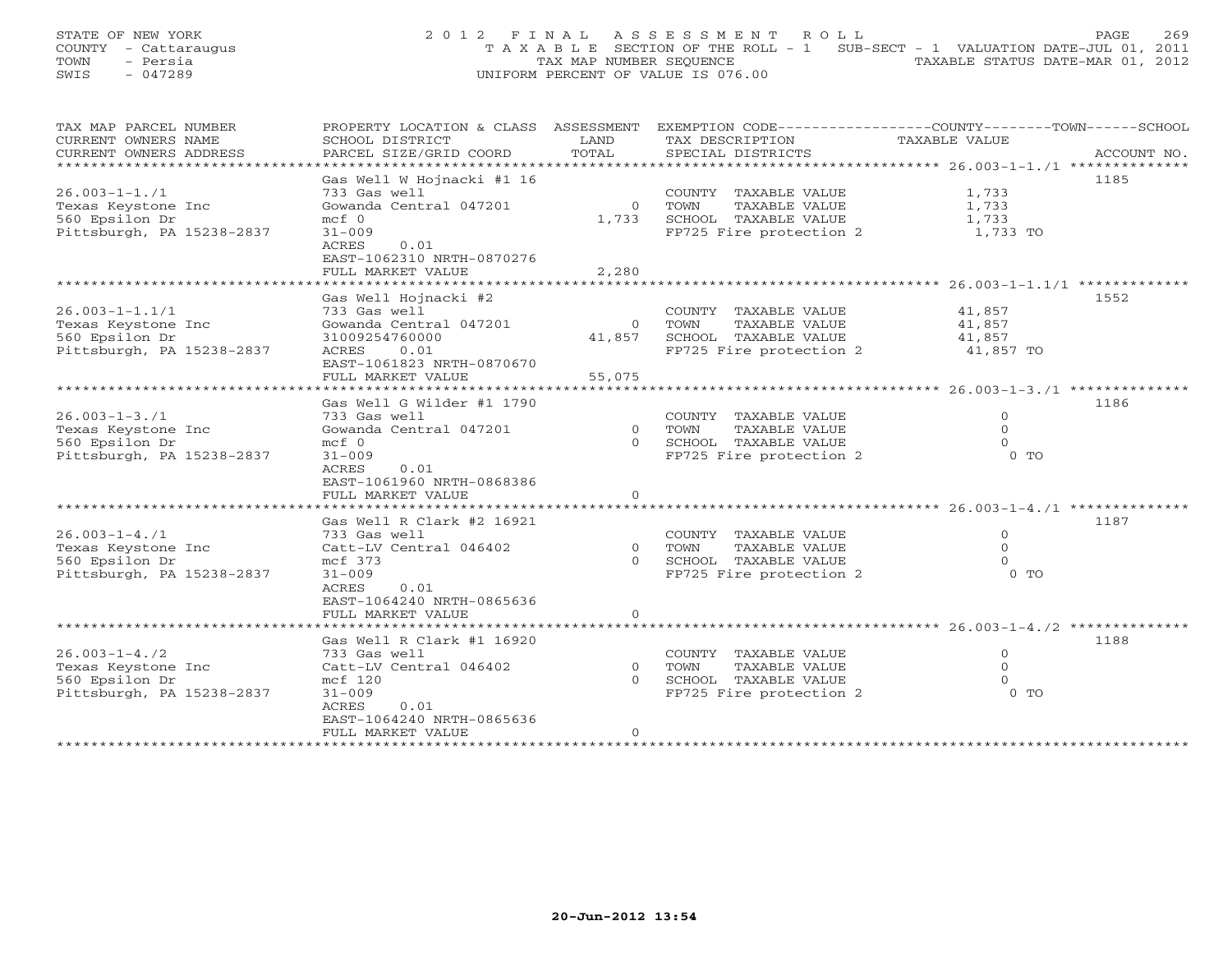|      | STATE OF NEW YORK    |  | 2012 FINAL ASSESSMENT ROLL                                                     |  |                                  | PAGE. | 269 |
|------|----------------------|--|--------------------------------------------------------------------------------|--|----------------------------------|-------|-----|
|      | COUNTY - Cattaraugus |  | T A X A B L E SECTION OF THE ROLL - 1 SUB-SECT - 1 VALUATION DATE-JUL 01, 2011 |  |                                  |       |     |
| TOWN | - Persia             |  | TAX MAP NUMBER SEOUENCE                                                        |  | TAXABLE STATUS DATE-MAR 01, 2012 |       |     |
| SWIS | - 047289             |  | UNIFORM PERCENT OF VALUE IS 076.00                                             |  |                                  |       |     |

| TAX MAP PARCEL NUMBER     | PROPERTY LOCATION & CLASS ASSESSMENT  |                      | EXEMPTION CODE-----------------COUNTY-------TOWN------SCHOOL |                                             |             |
|---------------------------|---------------------------------------|----------------------|--------------------------------------------------------------|---------------------------------------------|-------------|
| CURRENT OWNERS NAME       | SCHOOL DISTRICT                       | LAND                 | TAX DESCRIPTION                                              | TAXABLE VALUE                               |             |
| CURRENT OWNERS ADDRESS    | PARCEL SIZE/GRID COORD                | TOTAL                | SPECIAL DISTRICTS                                            |                                             | ACCOUNT NO. |
| * * * * * * * * * * * *   |                                       |                      |                                                              | ************ 26.003-1-1./1 *******          |             |
|                           | Gas Well W Hojnacki #1 16             |                      |                                                              |                                             | 1185        |
| $26.003 - 1 - 1.71$       | 733 Gas well                          |                      | COUNTY TAXABLE VALUE                                         | 1,733                                       |             |
| Texas Keystone Inc        | Gowanda Central 047201                | $\Omega$             | TOWN<br>TAXABLE VALUE                                        | 1,733                                       |             |
| 560 Epsilon Dr            | $mcf$ 0                               | 1,733                | SCHOOL TAXABLE VALUE                                         | 1,733                                       |             |
| Pittsburgh, PA 15238-2837 | $31 - 009$                            |                      | FP725 Fire protection 2                                      | 1,733 TO                                    |             |
|                           | ACRES<br>0.01                         |                      |                                                              |                                             |             |
|                           | EAST-1062310 NRTH-0870276             |                      |                                                              |                                             |             |
|                           | FULL MARKET VALUE                     | 2,280                |                                                              |                                             |             |
|                           |                                       |                      |                                                              | ************* 26.003-1-1.1/1 *************  |             |
|                           | Gas Well Hojnacki #2                  |                      |                                                              |                                             | 1552        |
| $26.003 - 1 - 1.1/1$      | 733 Gas well                          |                      | COUNTY TAXABLE VALUE                                         | 41,857                                      |             |
| Texas Keystone Inc        | Gowanda Central 047201                | $\circ$              | TOWN<br>TAXABLE VALUE                                        | 41,857                                      |             |
| 560 Epsilon Dr            | 31009254760000                        | 41,857               | SCHOOL TAXABLE VALUE                                         | 41,857                                      |             |
| Pittsburgh, PA 15238-2837 | ACRES<br>0.01                         |                      | FP725 Fire protection 2                                      | 41,857 TO                                   |             |
|                           | EAST-1061823 NRTH-0870670             |                      |                                                              |                                             |             |
|                           | FULL MARKET VALUE                     | 55,075               |                                                              |                                             |             |
|                           | * * * * * * * * * * * * * * * * * * * | ******************** |                                                              | ******************** 26.003-1-3./1 ******** |             |
|                           | Gas Well G Wilder #1 1790             |                      |                                                              |                                             | 1186        |
| $26.003 - 1 - 3.71$       | 733 Gas well                          |                      | COUNTY TAXABLE VALUE                                         | $\Omega$                                    |             |
| Texas Keystone Inc        | Gowanda Central 047201                | $\circ$              | TOWN<br>TAXABLE VALUE                                        | $\Omega$                                    |             |
| 560 Epsilon Dr            | $mcf$ 0                               | $\Omega$             | SCHOOL TAXABLE VALUE                                         | $\Omega$                                    |             |
| Pittsburgh, PA 15238-2837 | $31 - 009$                            |                      | FP725 Fire protection 2                                      | $0$ TO                                      |             |
|                           | ACRES<br>0.01                         |                      |                                                              |                                             |             |
|                           | EAST-1061960 NRTH-0868386             |                      |                                                              |                                             |             |
|                           | FULL MARKET VALUE                     | $\circ$              |                                                              |                                             |             |
|                           |                                       |                      |                                                              |                                             |             |
|                           | Gas Well R Clark #2 16921             |                      |                                                              |                                             | 1187        |
| $26.003 - 1 - 4.71$       | 733 Gas well                          |                      | COUNTY TAXABLE VALUE                                         | $\Omega$                                    |             |
| Texas Keystone Inc        | Catt-LV Central 046402                | $\Omega$             | TOWN<br>TAXABLE VALUE                                        | $\Omega$                                    |             |
| 560 Epsilon Dr            | mcf 373                               | $\Omega$             | SCHOOL TAXABLE VALUE                                         | $\Omega$                                    |             |
| Pittsburgh, PA 15238-2837 | $31 - 009$                            |                      | FP725 Fire protection 2                                      | 0 TO                                        |             |
|                           | ACRES<br>0.01                         |                      |                                                              |                                             |             |
|                           | EAST-1064240 NRTH-0865636             |                      |                                                              |                                             |             |
|                           | FULL MARKET VALUE                     | $\circ$              |                                                              |                                             |             |
|                           |                                       |                      |                                                              |                                             |             |
|                           | Gas Well R Clark #1 16920             |                      |                                                              |                                             | 1188        |
| $26.003 - 1 - 4.72$       | 733 Gas well                          |                      | COUNTY TAXABLE VALUE                                         | $\circ$                                     |             |
| Texas Keystone Inc        | Catt-LV Central 046402                | $\circ$              | TOWN<br>TAXABLE VALUE                                        | 0                                           |             |
| 560 Epsilon Dr            | mcf 120                               | $\Omega$             | SCHOOL TAXABLE VALUE                                         | $\Omega$                                    |             |
| Pittsburgh, PA 15238-2837 | $31 - 009$                            |                      | FP725 Fire protection 2                                      | $0$ TO                                      |             |
|                           | ACRES<br>0.01                         |                      |                                                              |                                             |             |
|                           | EAST-1064240 NRTH-0865636             |                      |                                                              |                                             |             |
|                           | FULL MARKET VALUE                     | $\circ$              |                                                              |                                             |             |
|                           |                                       |                      |                                                              |                                             |             |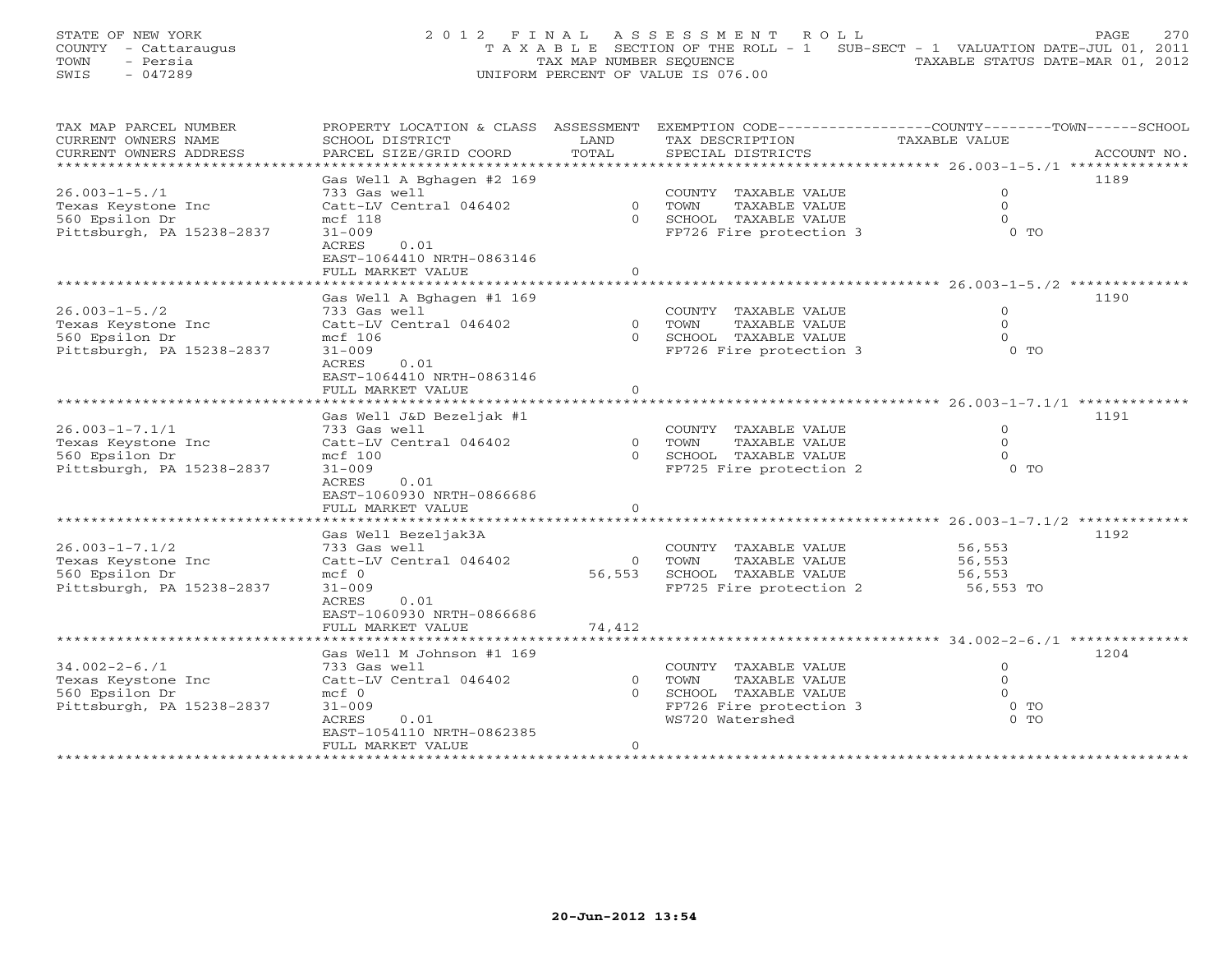STATE OF NEW YORK 200 2012 FINAL ASSESSMENT ROLL PAGE 270 COUNTY - Cattaraugus T A X A B L E SECTION OF THE ROLL - 1 SUB-SECT - 1 VALUATION DATE-JUL 01, 2011 TOWN - Persia TAX MAP NUMBER SEQUENCE TAXABLE STATUS DATE-MAR 01, 2012 SWIS - 047289 UNIFORM PERCENT OF VALUE IS 076.00

| TAX MAP PARCEL NUMBER     | PROPERTY LOCATION & CLASS ASSESSMENT |                | EXEMPTION CODE-----------------COUNTY-------TOWN------SCHOOL |                                           |             |
|---------------------------|--------------------------------------|----------------|--------------------------------------------------------------|-------------------------------------------|-------------|
| CURRENT OWNERS NAME       | SCHOOL DISTRICT                      | LAND           | TAX DESCRIPTION                                              | TAXABLE VALUE                             |             |
| CURRENT OWNERS ADDRESS    | PARCEL SIZE/GRID COORD               | TOTAL          | SPECIAL DISTRICTS                                            |                                           | ACCOUNT NO. |
| ********************      |                                      |                |                                                              |                                           |             |
|                           | Gas Well A Bghagen #2 169            |                |                                                              |                                           | 1189        |
| $26.003 - 1 - 5.71$       | 733 Gas well                         |                | COUNTY TAXABLE VALUE                                         | $\mathbf{0}$                              |             |
| Texas Keystone Inc        | Catt-LV Central 046402               | $\overline{0}$ | TOWN<br>TAXABLE VALUE                                        | $\circ$                                   |             |
| 560 Epsilon Dr            | mcf 118                              |                | 0 SCHOOL TAXABLE VALUE                                       | $\Omega$                                  |             |
| Pittsburgh, PA 15238-2837 | $31 - 009$                           |                | FP726 Fire protection 3                                      | $0$ TO                                    |             |
|                           | ACRES<br>0.01                        |                |                                                              |                                           |             |
|                           | EAST-1064410 NRTH-0863146            |                |                                                              |                                           |             |
|                           | FULL MARKET VALUE                    | $\Omega$       |                                                              |                                           |             |
|                           |                                      |                |                                                              |                                           |             |
|                           | Gas Well A Bghagen #1 169            |                |                                                              |                                           | 1190        |
| $26.003 - 1 - 5.72$       | 733 Gas well                         |                |                                                              | $\circ$                                   |             |
|                           |                                      |                | COUNTY TAXABLE VALUE                                         |                                           |             |
| Texas Keystone Inc        | Catt-LV Central 046402               | $\overline{0}$ | TOWN<br>TAXABLE VALUE                                        | $\circ$<br>$\Omega$                       |             |
| 560 Epsilon Dr            | mcf 106                              |                | 0 SCHOOL TAXABLE VALUE                                       |                                           |             |
| Pittsburgh, PA 15238-2837 | $31 - 009$                           |                | FP726 Fire protection 3                                      | $0$ TO                                    |             |
|                           | 0.01<br>ACRES                        |                |                                                              |                                           |             |
|                           | EAST-1064410 NRTH-0863146            |                |                                                              |                                           |             |
|                           | FULL MARKET VALUE                    | $\circ$        |                                                              |                                           |             |
|                           |                                      |                |                                                              |                                           |             |
|                           | Gas Well J&D Bezeljak #1             |                |                                                              |                                           | 1191        |
| $26.003 - 1 - 7.1/1$      | 733 Gas well                         |                | COUNTY TAXABLE VALUE                                         | $\circ$                                   |             |
| Texas Keystone Inc        | Catt-LV Central 046402               | $\Omega$       | TAXABLE VALUE<br>TOWN                                        | $\Omega$                                  |             |
| 560 Epsilon Dr            | mcf 100                              | $\Omega$       | SCHOOL TAXABLE VALUE                                         | $\Omega$                                  |             |
| Pittsburgh, PA 15238-2837 | $31 - 009$                           |                | FP725 Fire protection 2                                      | $0$ TO                                    |             |
|                           | ACRES<br>0.01                        |                |                                                              |                                           |             |
|                           | EAST-1060930 NRTH-0866686            |                |                                                              |                                           |             |
|                           | FULL MARKET VALUE                    | $\circ$        |                                                              |                                           |             |
|                           |                                      |                |                                                              | **************** 26.003-1-7.1/2 ********* |             |
|                           | Gas Well Bezeljak3A                  |                |                                                              |                                           | 1192        |
| $26.003 - 1 - 7.1/2$      | 733 Gas well                         |                | COUNTY TAXABLE VALUE                                         | 56,553                                    |             |
| Texas Keystone Inc        | Catt-LV Central 046402               | $\Omega$       | TOWN<br>TAXABLE VALUE                                        | 56,553                                    |             |
| 560 Epsilon Dr            | $mcf$ 0                              | 56,553         | SCHOOL TAXABLE VALUE                                         | 56,553                                    |             |
| Pittsburgh, PA 15238-2837 | $31 - 009$                           |                | FP725 Fire protection 2                                      | 56,553 TO                                 |             |
|                           | 0.01<br>ACRES                        |                |                                                              |                                           |             |
|                           | EAST-1060930 NRTH-0866686            |                |                                                              |                                           |             |
|                           |                                      |                |                                                              |                                           |             |
|                           | FULL MARKET VALUE                    | 74,412         |                                                              |                                           |             |
|                           |                                      |                |                                                              |                                           |             |
|                           | Gas Well M Johnson #1 169            |                |                                                              |                                           | 1204        |
| $34.002 - 2 - 6.71$       | 733 Gas well                         |                | COUNTY TAXABLE VALUE                                         | $\mathbf{0}$                              |             |
| Texas Keystone Inc        | Catt-LV Central 046402               | $\circ$        | TOWN<br>TAXABLE VALUE                                        | $\circ$                                   |             |
| 560 Epsilon Dr            | $mcf$ 0                              | $\Omega$       | SCHOOL TAXABLE VALUE                                         | $\Omega$                                  |             |
| Pittsburgh, PA 15238-2837 | $31 - 009$                           |                | FP726 Fire protection 3                                      | $0$ TO                                    |             |
|                           | ACRES<br>0.01                        |                | WS720 Watershed                                              | $0$ TO                                    |             |
|                           | EAST-1054110 NRTH-0862385            |                |                                                              |                                           |             |
|                           | FULL MARKET VALUE                    | $\overline{O}$ |                                                              |                                           |             |
|                           |                                      |                |                                                              |                                           |             |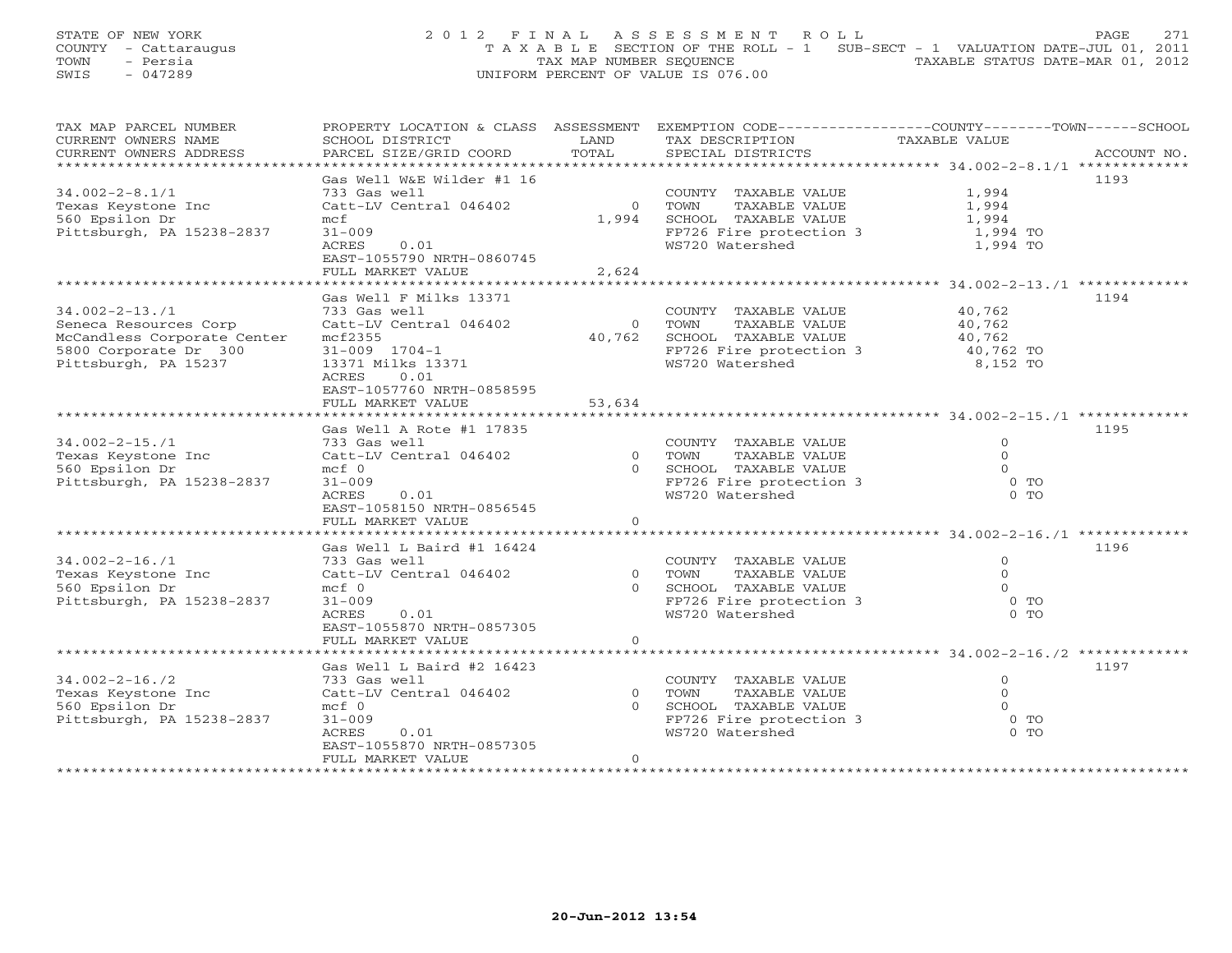STATE OF NEW YORK 2 0 1 2 F I N A L A S S E S S M E N T R O L L PAGE 271 COUNTY - Cattaraugus T A X A B L E SECTION OF THE ROLL - 1 SUB-SECT - 1 VALUATION DATE-JUL 01, 2011 TOWN - Persia TAX MAP NUMBER SEQUENCE TAXABLE STATUS DATE-MAR 01, 2012 SWIS - 047289 UNIFORM PERCENT OF VALUE IS 076.00

| TAX MAP PARCEL NUMBER       |                           |                | PROPERTY LOCATION & CLASS ASSESSMENT EXEMPTION CODE----------------COUNTY-------TOWN------SCHOOL |                |             |
|-----------------------------|---------------------------|----------------|--------------------------------------------------------------------------------------------------|----------------|-------------|
| CURRENT OWNERS NAME         | SCHOOL DISTRICT           | LAND           | TAX DESCRIPTION                                                                                  | TAXABLE VALUE  |             |
| CURRENT OWNERS ADDRESS      | PARCEL SIZE/GRID COORD    | TOTAL          | SPECIAL DISTRICTS                                                                                |                | ACCOUNT NO. |
| *************************   |                           |                |                                                                                                  |                |             |
|                             | Gas Well W&E Wilder #1 16 |                |                                                                                                  |                | 1193        |
| $34.002 - 2 - 8.1/1$        | 733 Gas well              |                | COUNTY TAXABLE VALUE                                                                             | 1,994          |             |
| Texas Keystone Inc          | Catt-LV Central 046402    | $\overline{0}$ | TOWN<br>TAXABLE VALUE                                                                            | 1,994          |             |
| 560 Epsilon Dr              | mcf                       | 1,994          | SCHOOL TAXABLE VALUE                                                                             | 1,994          |             |
| Pittsburgh, PA 15238-2837   | $31 - 009$                |                | FP726 Fire protection 3                                                                          | 1,994 TO       |             |
|                             | 0.01<br>ACRES             |                | WS720 Watershed                                                                                  | 1,994 TO       |             |
|                             | EAST-1055790 NRTH-0860745 |                |                                                                                                  |                |             |
|                             | FULL MARKET VALUE         | 2,624          |                                                                                                  |                |             |
|                             |                           |                |                                                                                                  |                |             |
|                             |                           |                |                                                                                                  |                |             |
|                             | Gas Well F Milks 13371    |                |                                                                                                  |                | 1194        |
| $34.002 - 2 - 13.71$        | 733 Gas well              |                | COUNTY TAXABLE VALUE                                                                             | 40,762         |             |
| Seneca Resources Corp       | Catt-LV Central 046402    | $\overline{0}$ | TOWN<br>TAXABLE VALUE                                                                            | 40,762         |             |
| McCandless Corporate Center | mcf2355                   | 40,762         | SCHOOL TAXABLE VALUE                                                                             | 40,762         |             |
| 5800 Corporate Dr 300       | $31 - 009$ $1704 - 1$     |                | FP726 Fire protection 3 40,762 TO                                                                |                |             |
| Pittsburgh, PA 15237        | 13371 Milks 13371         |                | WS720 Watershed                                                                                  | 8,152 TO       |             |
|                             | 0.01<br>ACRES             |                |                                                                                                  |                |             |
|                             | EAST-1057760 NRTH-0858595 |                |                                                                                                  |                |             |
|                             | FULL MARKET VALUE         | 53,634         |                                                                                                  |                |             |
|                             |                           |                |                                                                                                  |                |             |
|                             | Gas Well A Rote #1 17835  |                |                                                                                                  |                | 1195        |
| $34.002 - 2 - 15.71$        | 733 Gas well              |                | COUNTY TAXABLE VALUE                                                                             | $\Omega$       |             |
| Texas Keystone Inc          | Catt-LV Central 046402    |                | 0 TOWN<br>TAXABLE VALUE                                                                          | $\Omega$       |             |
| 560 Epsilon Dr              | mcf 0                     |                | 0 SCHOOL TAXABLE VALUE                                                                           | $\Omega$       |             |
| Pittsburgh, PA 15238-2837   | $31 - 009$                |                | FP726 Fire protection 3                                                                          | $0$ TO         |             |
|                             | 0.01<br>ACRES             |                | WS720 Watershed                                                                                  | $0$ TO         |             |
|                             | EAST-1058150 NRTH-0856545 |                |                                                                                                  |                |             |
|                             | FULL MARKET VALUE         | $\Omega$       |                                                                                                  |                |             |
|                             |                           |                |                                                                                                  |                |             |
|                             | Gas Well L Baird #1 16424 |                |                                                                                                  |                | 1196        |
| $34.002 - 2 - 16.71$        | 733 Gas well              |                | COUNTY TAXABLE VALUE                                                                             | $\overline{0}$ |             |
| Texas Keystone Inc          | Catt-LV Central 046402    |                | 0 TOWN<br>TAXABLE VALUE                                                                          | $\Omega$       |             |
| 560 Epsilon Dr              |                           |                | 0 SCHOOL TAXABLE VALUE                                                                           | $\Omega$       |             |
| Pittsburgh, PA 15238-2837   | $mcf$ 0<br>$31 - 009$     |                | FP726 Fire protection 3                                                                          | 0 <sub>T</sub> |             |
|                             |                           |                |                                                                                                  |                |             |
|                             | ACRES<br>0.01             |                | WS720 Watershed                                                                                  | $0$ TO         |             |
|                             | EAST-1055870 NRTH-0857305 |                |                                                                                                  |                |             |
|                             | FULL MARKET VALUE         | $\circ$        |                                                                                                  |                |             |
|                             |                           |                |                                                                                                  |                |             |
|                             | Gas Well L Baird #2 16423 |                |                                                                                                  |                | 1197        |
| $34.002 - 2 - 16.72$        | 733 Gas well              |                | COUNTY TAXABLE VALUE                                                                             | $\circ$        |             |
| Texas Keystone Inc          | Catt-LV Central 046402    | $\Omega$       | TAXABLE VALUE<br>TOWN                                                                            | $\Omega$       |             |
| 560 Epsilon Dr              | mcf 0                     |                | SCHOOL TAXABLE VALUE                                                                             | $\Omega$       |             |
| Pittsburgh, PA 15238-2837   | $31 - 009$                |                | FP726 Fire protection 3                                                                          | $0$ TO         |             |
|                             | 0.01<br>ACRES             |                | WS720 Watershed                                                                                  | $0$ TO         |             |
|                             | EAST-1055870 NRTH-0857305 |                |                                                                                                  |                |             |
|                             | FULL MARKET VALUE         | $\Omega$       |                                                                                                  |                |             |
|                             |                           |                |                                                                                                  |                |             |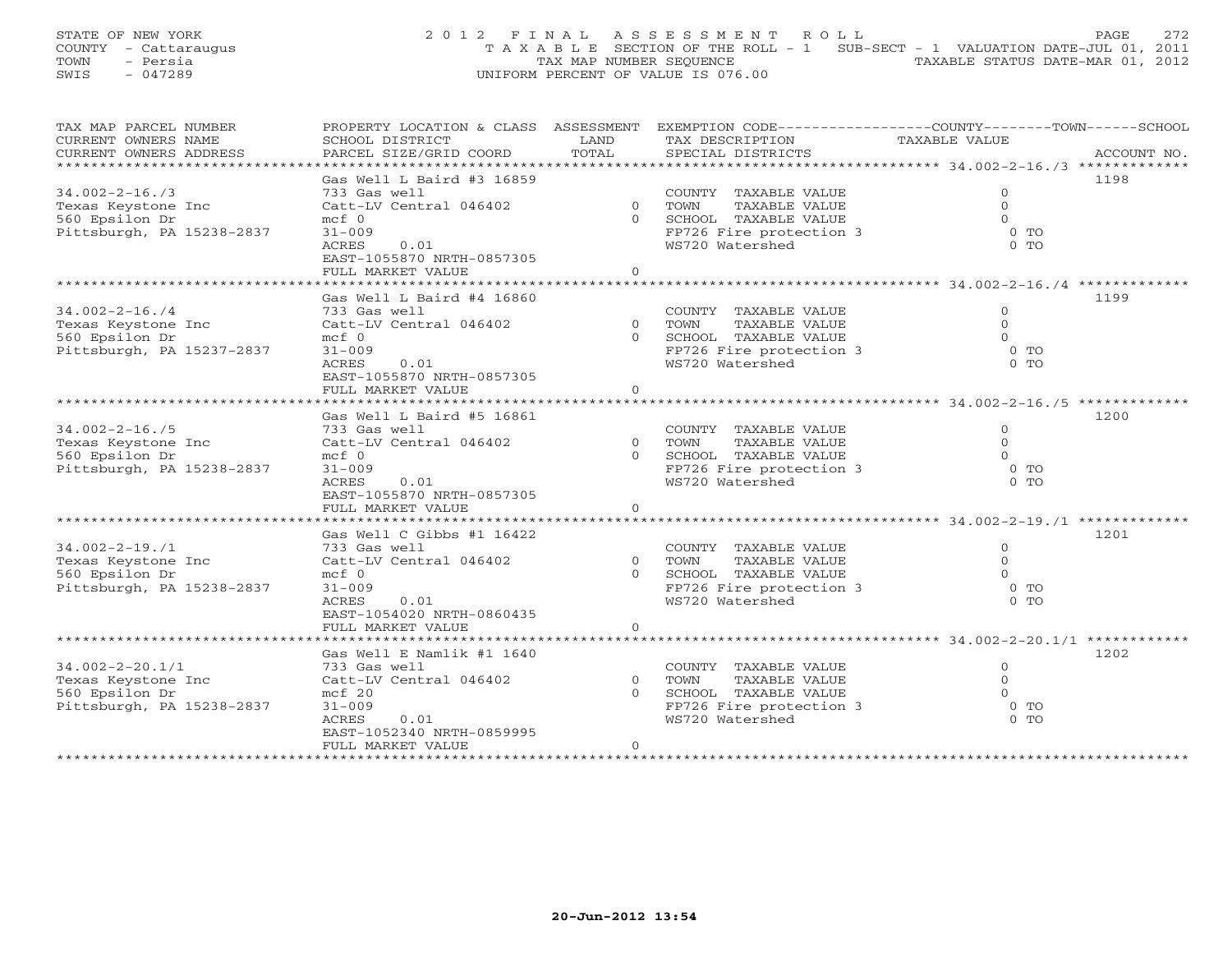STATE OF NEW YORK 22 0 1 2 F I N A L A S S E S S M E N T R O L L PAGE 272 COUNTY - Cattaraugus T A X A B L E SECTION OF THE ROLL - 1 SUB-SECT - 1 VALUATION DATE-JUL 01, 2011 TOWN - Persia TAX MAP NUMBER SEQUENCE TAXABLE STATUS DATE-MAR 01, 2012 SWIS - 047289 UNIFORM PERCENT OF VALUE IS 076.00

| TAX MAP PARCEL NUMBER                | PROPERTY LOCATION & CLASS ASSESSMENT |                | EXEMPTION CODE-----------------COUNTY-------TOWN------SCHOOL |                |             |
|--------------------------------------|--------------------------------------|----------------|--------------------------------------------------------------|----------------|-------------|
| CURRENT OWNERS NAME                  | SCHOOL DISTRICT                      | LAND           | TAX DESCRIPTION                                              | TAXABLE VALUE  |             |
| CURRENT OWNERS ADDRESS               | PARCEL SIZE/GRID COORD               | TOTAL          | SPECIAL DISTRICTS                                            |                | ACCOUNT NO. |
| ******************************       |                                      |                |                                                              |                |             |
|                                      | Gas Well L Baird #3 16859            |                |                                                              |                | 1198        |
| $34.002 - 2 - 16.73$                 | 733 Gas well                         |                | COUNTY TAXABLE VALUE                                         | $\mathbf{0}$   |             |
| Texas Keystone Inc                   | Catt-LV Central 046402               |                | 0 TOWN<br>TAXABLE VALUE                                      | $\mathbf{0}$   |             |
| 560 Epsilon Dr                       | $mcf$ 0                              |                | 0 SCHOOL TAXABLE VALUE                                       | $\Omega$       |             |
| Pittsburgh, PA 15238-2837            | $31 - 009$                           |                | FP726 Fire protection 3                                      | $0$ TO         |             |
|                                      | <b>ACRES</b><br>0.01                 |                | WS720 Watershed                                              | $0$ TO         |             |
|                                      | EAST-1055870 NRTH-0857305            |                |                                                              |                |             |
|                                      | FULL MARKET VALUE                    | $\Omega$       |                                                              |                |             |
|                                      |                                      |                |                                                              |                |             |
|                                      | Gas Well L Baird #4 16860            |                |                                                              |                | 1199        |
| $34.002 - 2 - 16.74$                 | 733 Gas well                         |                | COUNTY TAXABLE VALUE                                         | $\mathbf{0}$   |             |
| Texas Keystone Inc                   | Catt-LV Central 046402               |                | 0 TOWN<br>TAXABLE VALUE                                      | $\Omega$       |             |
| 560 Epsilon Dr                       | $mcf$ 0                              |                | 0 SCHOOL TAXABLE VALUE                                       | $\Omega$       |             |
| Pittsburgh, PA 15237-2837            | $31 - 009$                           |                | FP726 Fire protection 3                                      | $0$ TO         |             |
|                                      | ACRES<br>0.01                        |                | WS720 Watershed                                              | $0$ TO         |             |
|                                      | EAST-1055870 NRTH-0857305            |                |                                                              |                |             |
|                                      | FULL MARKET VALUE                    | $\circ$        |                                                              |                |             |
|                                      |                                      |                |                                                              |                |             |
|                                      | Gas Well L Baird #5 16861            |                |                                                              |                | 1200        |
| $34.002 - 2 - 16.75$                 | 733 Gas well                         |                | COUNTY TAXABLE VALUE                                         | $\mathbf{0}$   |             |
| Texas Keystone Inc                   | Catt-LV Central 046402               | $\Omega$       | TOWN<br>TAXABLE VALUE                                        | $\Omega$       |             |
| 560 Epsilon Dr                       | $mcf$ 0                              | $\cap$         | SCHOOL TAXABLE VALUE                                         | $\Omega$       |             |
| Pittsburgh, PA 15238-2837            | $31 - 009$                           |                | FP726 Fire protection 3                                      | $0$ TO         |             |
|                                      | 0.01<br>ACRES                        |                | WS720 Watershed                                              | 0 <sub>0</sub> |             |
|                                      | EAST-1055870 NRTH-0857305            |                |                                                              |                |             |
|                                      | FULL MARKET VALUE                    | $\overline{0}$ |                                                              |                |             |
|                                      |                                      |                |                                                              |                |             |
|                                      | Gas Well C Gibbs #1 16422            |                |                                                              |                | 1201        |
| $34.002 - 2 - 19.71$                 | 733 Gas well                         |                | COUNTY TAXABLE VALUE                                         | $\Omega$       |             |
|                                      |                                      | $\Omega$       | TOWN                                                         | $\Omega$       |             |
| Texas Keystone Inc<br>560 Epsilon Dr | Catt-LV Central 046402<br>$mcf$ 0    | $\Omega$       | TAXABLE VALUE<br>SCHOOL TAXABLE VALUE                        | $\Omega$       |             |
|                                      | $31 - 009$                           |                | FP726 Fire protection 3                                      | 0 <sub>T</sub> |             |
| Pittsburgh, PA 15238-2837            | ACRES<br>0.01                        |                | WS720 Watershed                                              | $0$ TO         |             |
|                                      |                                      |                |                                                              |                |             |
|                                      | EAST-1054020 NRTH-0860435            |                |                                                              |                |             |
|                                      | FULL MARKET VALUE                    | $\overline{0}$ |                                                              |                |             |
|                                      |                                      |                |                                                              |                |             |
|                                      | Gas Well E Namlik #1 1640            |                |                                                              |                | 1202        |
| $34.002 - 2 - 20.1/1$                | 733 Gas well                         |                | COUNTY TAXABLE VALUE                                         | $\Omega$       |             |
| Texas Keystone Inc                   | Catt-LV Central 046402               | $\Omega$       | TOWN<br>TAXABLE VALUE                                        | $\Omega$       |             |
| 560 Epsilon Dr                       | $mcf$ 20                             | $\Omega$       | SCHOOL TAXABLE VALUE                                         | $\Omega$       |             |
| Pittsburgh, PA 15238-2837            | $31 - 009$                           |                | FP726 Fire protection 3                                      | $0$ TO         |             |
|                                      | ACRES<br>0.01                        |                | WS720 Watershed                                              | $0$ TO         |             |
|                                      | EAST-1052340 NRTH-0859995            |                |                                                              |                |             |
|                                      | FULL MARKET VALUE                    | $\circ$        |                                                              |                |             |
|                                      |                                      |                |                                                              |                |             |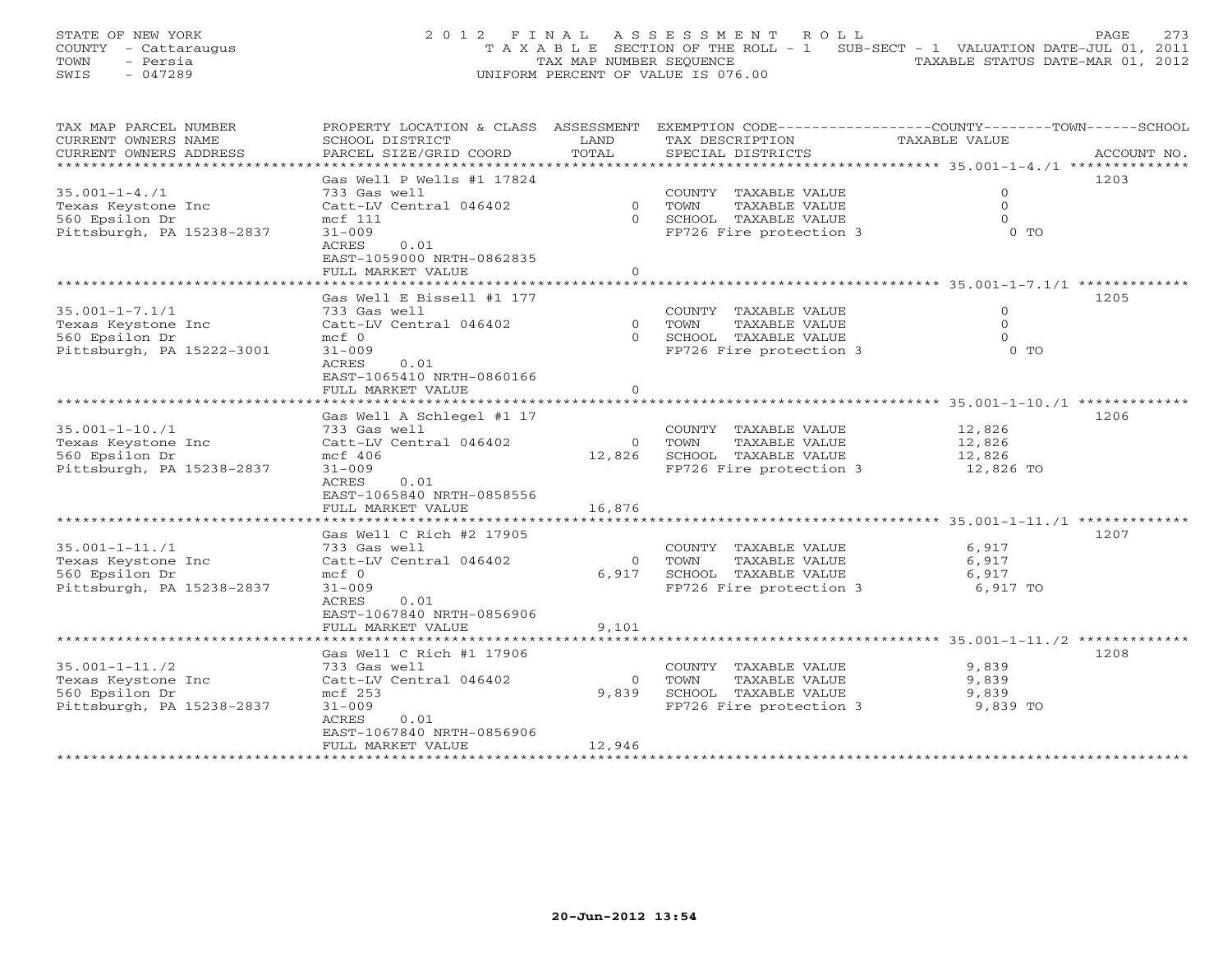STATE OF NEW YORK 273 2012 FINAL ASSESSMENT ROLL PAGE 273 COUNTY - Cattaraugus T A X A B L E SECTION OF THE ROLL - 1 SUB-SECT - 1 VALUATION DATE-JUL 01, 2011 TOWN - Persia TAX MAP NUMBER SEQUENCE TAXABLE STATUS DATE-MAR 01, 2012 SWIS - 047289 UNIFORM PERCENT OF VALUE IS 076.00

| TAX MAP PARCEL NUMBER     | PROPERTY LOCATION & CLASS ASSESSMENT |          | EXEMPTION CODE-----------------COUNTY-------TOWN------SCHOOL |               |             |
|---------------------------|--------------------------------------|----------|--------------------------------------------------------------|---------------|-------------|
| CURRENT OWNERS NAME       | SCHOOL DISTRICT                      | LAND     | TAX DESCRIPTION                                              | TAXABLE VALUE |             |
| CURRENT OWNERS ADDRESS    | PARCEL SIZE/GRID COORD               | TOTAL    | SPECIAL DISTRICTS                                            |               | ACCOUNT NO. |
| *********************     |                                      |          |                                                              |               |             |
|                           | Gas Well P Wells #1 17824            |          |                                                              |               | 1203        |
| $35.001 - 1 - 4.71$       | 733 Gas well                         |          | COUNTY TAXABLE VALUE                                         | $\mathbf{0}$  |             |
| Texas Keystone Inc        | Catt-LV Central 046402               |          | 0 TOWN<br>TAXABLE VALUE                                      | $\Omega$      |             |
| 560 Epsilon Dr            | mcf 111                              |          | 0 SCHOOL TAXABLE VALUE                                       | $\Omega$      |             |
| Pittsburgh, PA 15238-2837 | $31 - 009$                           |          | FP726 Fire protection 3                                      | $0$ TO        |             |
|                           | ACRES<br>0.01                        |          |                                                              |               |             |
|                           | EAST-1059000 NRTH-0862835            |          |                                                              |               |             |
|                           | FULL MARKET VALUE                    | $\circ$  |                                                              |               |             |
|                           |                                      |          |                                                              |               |             |
|                           | Gas Well E Bissell #1 177            |          |                                                              |               | 1205        |
| $35.001 - 1 - 7.1/1$      | 733 Gas well                         |          | COUNTY TAXABLE VALUE                                         | $\mathbf{0}$  |             |
|                           |                                      |          |                                                              | $\Omega$      |             |
| Texas Keystone Inc        | Catt-LV Central 046402               |          | 0 TOWN<br>TAXABLE VALUE                                      |               |             |
| 560 Epsilon Dr            | $mcf$ 0                              |          | 0 SCHOOL TAXABLE VALUE                                       | $\Omega$      |             |
| Pittsburgh, PA 15222-3001 | $31 - 009$                           |          | FP726 Fire protection 3                                      | $0$ TO        |             |
|                           | ACRES<br>0.01                        |          |                                                              |               |             |
|                           | EAST-1065410 NRTH-0860166            |          |                                                              |               |             |
|                           | FULL MARKET VALUE                    | $\Omega$ |                                                              |               |             |
|                           |                                      |          |                                                              |               |             |
|                           | Gas Well A Schlegel #1 17            |          |                                                              |               | 1206        |
| $35.001 - 1 - 10.71$      | 733 Gas well                         |          | COUNTY TAXABLE VALUE                                         | 12,826        |             |
| Texas Keystone Inc        | Catt-LV Central 046402               |          | 0 TOWN<br>TAXABLE VALUE                                      | 12,826        |             |
| 560 Epsilon Dr            | $mcf$ 406                            |          | 12,826 SCHOOL TAXABLE VALUE                                  | 12,826        |             |
| Pittsburgh, PA 15238-2837 | $31 - 009$                           |          | FP726 Fire protection 3                                      | 12,826 TO     |             |
|                           | ACRES<br>0.01                        |          |                                                              |               |             |
|                           | EAST-1065840 NRTH-0858556            |          |                                                              |               |             |
|                           | FULL MARKET VALUE                    | 16,876   |                                                              |               |             |
|                           |                                      |          |                                                              |               |             |
|                           | Gas Well C Rich #2 17905             |          |                                                              |               | 1207        |
| $35.001 - 1 - 11.71$      | 733 Gas well                         |          | COUNTY TAXABLE VALUE                                         | 6,917         |             |
| Texas Keystone Inc        | Catt-LV Central 046402               | $\Omega$ | TOWN<br>TAXABLE VALUE                                        | 6,917         |             |
| 560 Epsilon Dr            | $mcf$ 0                              | 6,917    | SCHOOL TAXABLE VALUE                                         | 6,917         |             |
| Pittsburgh, PA 15238-2837 | $31 - 009$                           |          | FP726 Fire protection 3                                      | 6,917 TO      |             |
|                           | 0.01<br>ACRES                        |          |                                                              |               |             |
|                           | EAST-1067840 NRTH-0856906            |          |                                                              |               |             |
|                           | FULL MARKET VALUE                    | 9,101    |                                                              |               |             |
|                           |                                      |          |                                                              |               |             |
|                           | Gas Well C Rich #1 17906             |          |                                                              |               | 1208        |
| $35.001 - 1 - 11.72$      |                                      |          |                                                              | 9,839         |             |
|                           | 733 Gas well                         |          | COUNTY TAXABLE VALUE                                         |               |             |
| Texas Keystone Inc        | Catt-LV Central 046402               | $\circ$  | TOWN<br>TAXABLE VALUE                                        | 9,839         |             |
| 560 Epsilon Dr            | mcf 253                              | 9,839    | SCHOOL TAXABLE VALUE                                         | 9,839         |             |
| Pittsburgh, PA 15238-2837 | $31 - 009$                           |          | FP726 Fire protection 3 9,839 TO                             |               |             |
|                           | ACRES<br>0.01                        |          |                                                              |               |             |
|                           | EAST-1067840 NRTH-0856906            |          |                                                              |               |             |
|                           | FULL MARKET VALUE                    | 12,946   |                                                              |               |             |
|                           |                                      |          |                                                              |               |             |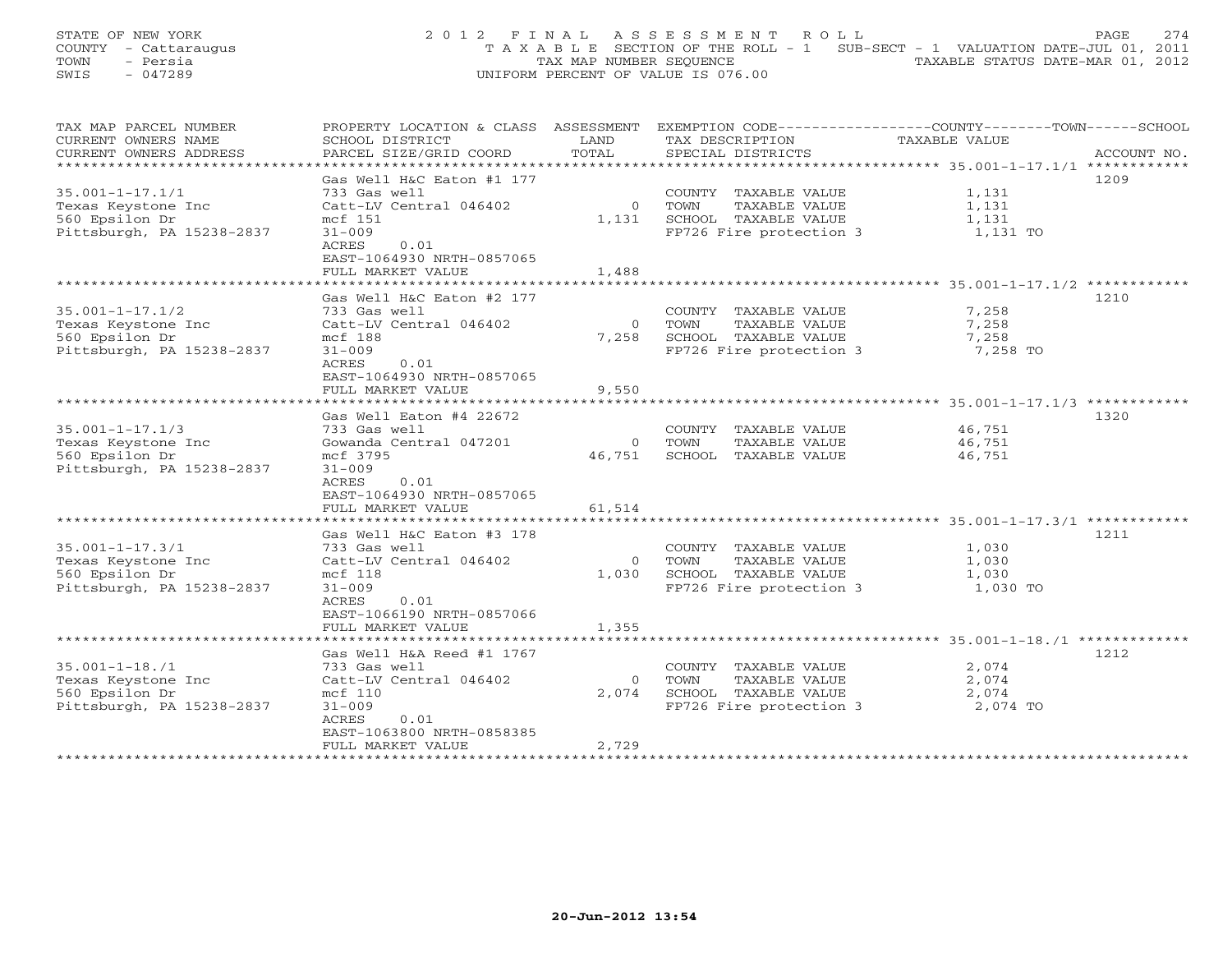STATE OF NEW YORK 2 0 1 2 F I N A L A S S E S S M E N T R O L L PAGE 274 COUNTY - Cattaraugus T A X A B L E SECTION OF THE ROLL - 1 SUB-SECT - 1 VALUATION DATE-JUL 01, 2011 TOWN - Persia TAX MAP NUMBER SEQUENCE TAXABLE STATUS DATE-MAR 01, 2012 SWIS - 047289 UNIFORM PERCENT OF VALUE IS 076.00

| TAX MAP PARCEL NUMBER<br>PROPERTY LOCATION & CLASS ASSESSMENT<br>CURRENT OWNERS NAME<br>SCHOOL DISTRICT |                                           | LAND     | EXEMPTION CODE-----------------COUNTY-------TOWN------SCHOOL<br>TAX DESCRIPTION | TAXABLE VALUE |             |
|---------------------------------------------------------------------------------------------------------|-------------------------------------------|----------|---------------------------------------------------------------------------------|---------------|-------------|
| CURRENT OWNERS ADDRESS                                                                                  | PARCEL SIZE/GRID COORD                    | TOTAL    | SPECIAL DISTRICTS                                                               |               | ACCOUNT NO. |
|                                                                                                         |                                           |          |                                                                                 |               |             |
|                                                                                                         | Gas Well H&C Eaton #1 177                 |          |                                                                                 |               | 1209        |
| $35.001 - 1 - 17.1/1$                                                                                   | 733 Gas well                              |          | COUNTY TAXABLE VALUE                                                            | 1,131         |             |
| Texas Keystone Inc                                                                                      | Catt-LV Central 046402                    | $\circ$  | TOWN<br>TAXABLE VALUE                                                           | 1,131         |             |
| 560 Epsilon Dr                                                                                          | mcf 151                                   | 1,131    | SCHOOL TAXABLE VALUE                                                            | 1,131         |             |
| Pittsburgh, PA 15238-2837                                                                               | $31 - 009$                                |          | FP726 Fire protection 3                                                         | 1,131 TO      |             |
|                                                                                                         | ACRES<br>0.01                             |          |                                                                                 |               |             |
|                                                                                                         | EAST-1064930 NRTH-0857065                 |          |                                                                                 |               |             |
|                                                                                                         | FULL MARKET VALUE                         | 1,488    |                                                                                 |               |             |
|                                                                                                         |                                           |          |                                                                                 |               |             |
|                                                                                                         | Gas Well H&C Eaton #2 177                 |          |                                                                                 |               | 1210        |
| $35.001 - 1 - 17.1/2$                                                                                   | 733 Gas well                              |          | COUNTY TAXABLE VALUE                                                            | 7,258         |             |
| Texas Keystone Inc                                                                                      | Catt-LV Central 046402                    | $\circ$  | TOWN<br>TAXABLE VALUE                                                           | 7,258         |             |
| 560 Epsilon Dr                                                                                          | mcf 188                                   | 7,258    | SCHOOL TAXABLE VALUE                                                            | 7,258         |             |
| Pittsburgh, PA 15238-2837                                                                               | $31 - 009$                                |          | FP726 Fire protection 3                                                         | 7,258 TO      |             |
|                                                                                                         | ACRES<br>0.01                             |          |                                                                                 |               |             |
|                                                                                                         | EAST-1064930 NRTH-0857065                 |          |                                                                                 |               |             |
|                                                                                                         | FULL MARKET VALUE                         | 9,550    |                                                                                 |               |             |
|                                                                                                         |                                           |          |                                                                                 |               |             |
|                                                                                                         | Gas Well Eaton #4 22672                   |          |                                                                                 |               | 1320        |
| $35.001 - 1 - 17.1/3$                                                                                   | 733 Gas well                              |          | COUNTY TAXABLE VALUE                                                            | 46,751        |             |
| Texas Keystone Inc                                                                                      | Gowanda Central 047201                    | $\circ$  | TOWN<br>TAXABLE VALUE                                                           | 46,751        |             |
| 560 Epsilon Dr                                                                                          | mcf 3795                                  | 46,751   | SCHOOL TAXABLE VALUE                                                            | 46,751        |             |
| Pittsburgh, PA 15238-2837                                                                               | $31 - 009$                                |          |                                                                                 |               |             |
|                                                                                                         | ACRES<br>0.01                             |          |                                                                                 |               |             |
|                                                                                                         | EAST-1064930 NRTH-0857065                 |          |                                                                                 |               |             |
|                                                                                                         | FULL MARKET VALUE                         | 61,514   |                                                                                 |               |             |
|                                                                                                         |                                           |          |                                                                                 |               | 1211        |
| $35.001 - 1 - 17.3/1$                                                                                   | Gas Well H&C Eaton #3 178<br>733 Gas well |          | COUNTY TAXABLE VALUE                                                            | 1,030         |             |
| Texas Keystone Inc                                                                                      | Catt-LV Central 046402                    | $\Omega$ | TAXABLE VALUE<br>TOWN                                                           | 1,030         |             |
| 560 Epsilon Dr                                                                                          | mcf 118                                   | 1,030    | SCHOOL TAXABLE VALUE                                                            | 1,030         |             |
| Pittsburgh, PA 15238-2837                                                                               | $31 - 009$                                |          | FP726 Fire protection 3                                                         | 1,030 TO      |             |
|                                                                                                         | ACRES<br>0.01                             |          |                                                                                 |               |             |
|                                                                                                         | EAST-1066190 NRTH-0857066                 |          |                                                                                 |               |             |
|                                                                                                         | FULL MARKET VALUE                         | 1,355    |                                                                                 |               |             |
|                                                                                                         |                                           |          |                                                                                 |               |             |
|                                                                                                         | Gas Well H&A Reed #1 1767                 |          |                                                                                 |               | 1212        |
| $35.001 - 1 - 18.71$                                                                                    | 733 Gas well                              |          | COUNTY TAXABLE VALUE                                                            | 2,074         |             |
| Texas Keystone Inc                                                                                      | Catt-LV Central 046402                    | $\Omega$ | TOWN<br>TAXABLE VALUE                                                           | 2,074         |             |
| 560 Epsilon Dr                                                                                          | mcf 110                                   | 2,074    | SCHOOL TAXABLE VALUE                                                            | 2,074         |             |
| Pittsburgh, PA 15238-2837                                                                               | $31 - 009$                                |          | FP726 Fire protection 3                                                         | 2,074 TO      |             |
|                                                                                                         | ACRES<br>0.01                             |          |                                                                                 |               |             |
|                                                                                                         | EAST-1063800 NRTH-0858385                 |          |                                                                                 |               |             |
|                                                                                                         | FULL MARKET VALUE                         | 2,729    |                                                                                 |               |             |
|                                                                                                         |                                           |          |                                                                                 |               |             |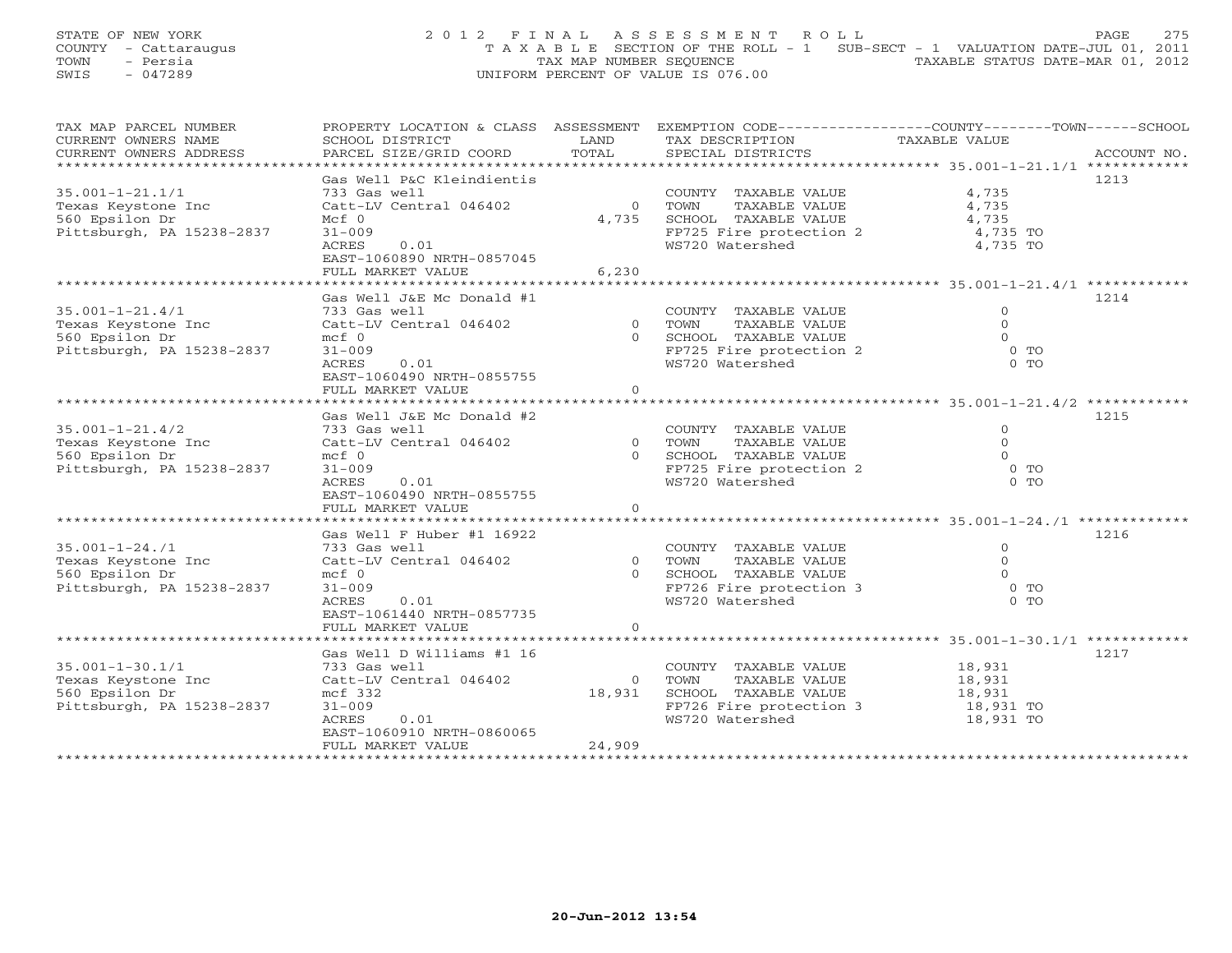STATE OF NEW YORK 2 0 1 2 F I N A L A S S E S S M E N T R O L L PAGE 275 COUNTY - Cattaraugus T A X A B L E SECTION OF THE ROLL - 1 SUB-SECT - 1 VALUATION DATE-JUL 01, 2011 TOWN - Persia TAX MAP NUMBER SEQUENCE TAXABLE STATUS DATE-MAR 01, 2012 SWIS - 047289 UNIFORM PERCENT OF VALUE IS 076.00

| CURRENT OWNERS NAME<br>SCHOOL DISTRICT<br>LAND<br>TAXABLE VALUE<br>TOTAL<br>PARCEL SIZE/GRID COORD<br>CURRENT OWNERS ADDRESS<br>SPECIAL DISTRICTS<br>ACCOUNT NO.<br>******************************<br>Gas Well P&C Kleindientis<br>1213<br>$35.001 - 1 - 21.1/1$<br>733 Gas well<br>COUNTY TAXABLE VALUE<br>4,735<br>TOWN<br>4,735<br>Texas Keystone Inc<br>Catt-LV Central 046402<br>$\Omega$<br>TAXABLE VALUE<br>560 Epsilon Dr<br>4,735<br>SCHOOL TAXABLE VALUE<br>4,735<br>$Mcf$ 0<br>Pittsburgh, PA 15238-2837<br>FP725 Fire protection 2<br>4,735 TO<br>$31 - 009$<br>WS720 Watershed<br>0.01<br>4,735 TO<br>ACRES<br>EAST-1060890 NRTH-0857045<br>6,230<br>FULL MARKET VALUE<br>Gas Well J&E Mc Donald #1<br>1214<br>$35.001 - 1 - 21.4/1$<br>733 Gas well<br>COUNTY TAXABLE VALUE<br>$\circ$<br>$\overline{0}$<br>TAXABLE VALUE<br>$\circ$<br>Texas Keystone Inc<br>Catt-LV Central 046402<br>TOWN<br>560 Epsilon Dr<br>$mcf$ 0<br>0 SCHOOL TAXABLE VALUE<br>$\Omega$<br>$0$ TO<br>Pittsburgh, PA 15238-2837<br>FP725 Fire protection 2<br>$31 - 009$<br>$0$ TO<br>ACRES<br>0.01<br>WS720 Watershed<br>EAST-1060490 NRTH-0855755<br>FULL MARKET VALUE<br>$\circ$<br>1215<br>Gas Well J&E Mc Donald #2<br>$35.001 - 1 - 21.4/2$<br>733 Gas well<br>COUNTY TAXABLE VALUE<br>$\circ$<br>Catt-LV Central 046402<br>$\overline{0}$<br>TAXABLE VALUE<br>$\Omega$<br>Texas Keystone Inc<br>TOWN<br>560 Epsilon Dr<br>$mcf$ 0<br>SCHOOL TAXABLE VALUE<br>$\Omega$<br>$\Omega$<br>$0$ TO<br>Pittsburgh, PA 15238-2837<br>FP725 Fire protection 2<br>$31 - 009$<br>WS720 Watershed<br>$0$ TO<br>ACRES<br>0.01<br>EAST-1060490 NRTH-0855755<br>FULL MARKET VALUE<br>$\circ$<br>Gas Well F Huber #1 16922<br>1216<br>$35.001 - 1 - 24.71$<br>$\circ$<br>733 Gas well<br>COUNTY TAXABLE VALUE<br>$\Omega$<br>Texas Keystone Inc<br>Catt-LV Central 046402<br>$\Omega$<br>TOWN<br>TAXABLE VALUE<br>560 Epsilon Dr<br>$mcf$ 0<br>SCHOOL TAXABLE VALUE<br>$\Omega$<br>$\cap$<br>$0$ TO<br>Pittsburgh, PA 15238-2837<br>FP726 Fire protection 3<br>$31 - 009$<br>WS720 Watershed<br>0 <sub>0</sub><br>ACRES<br>0.01<br>EAST-1061440 NRTH-0857735<br>$\overline{O}$<br>FULL MARKET VALUE<br>Gas Well D Williams #1 16<br>1217<br>$35.001 - 1 - 30.1/1$<br>733 Gas well<br>COUNTY TAXABLE VALUE<br>18,931<br>Texas Keystone Inc<br>Catt-LV Central 046402<br>$\Omega$<br>TOWN<br>TAXABLE VALUE<br>18,931<br>560 Epsilon Dr<br>18,931<br>SCHOOL TAXABLE VALUE<br>mcf 332<br>18,931<br>FP726 Fire protection 3<br>Pittsburgh, PA 15238-2837<br>$31 - 009$<br>18,931 TO<br>WS720 Watershed<br>18,931 TO<br>ACRES<br>0.01<br>EAST-1060910 NRTH-0860065<br>24,909<br>FULL MARKET VALUE | TAX MAP PARCEL NUMBER | PROPERTY LOCATION & CLASS ASSESSMENT EXEMPTION CODE----------------COUNTY-------TOWN------SCHOOL |                 |  |
|------------------------------------------------------------------------------------------------------------------------------------------------------------------------------------------------------------------------------------------------------------------------------------------------------------------------------------------------------------------------------------------------------------------------------------------------------------------------------------------------------------------------------------------------------------------------------------------------------------------------------------------------------------------------------------------------------------------------------------------------------------------------------------------------------------------------------------------------------------------------------------------------------------------------------------------------------------------------------------------------------------------------------------------------------------------------------------------------------------------------------------------------------------------------------------------------------------------------------------------------------------------------------------------------------------------------------------------------------------------------------------------------------------------------------------------------------------------------------------------------------------------------------------------------------------------------------------------------------------------------------------------------------------------------------------------------------------------------------------------------------------------------------------------------------------------------------------------------------------------------------------------------------------------------------------------------------------------------------------------------------------------------------------------------------------------------------------------------------------------------------------------------------------------------------------------------------------------------------------------------------------------------------------------------------------------------------------------------------------------------------------------------------------------------------------------------------------------------------------------------------------------------------------------------------------------------------------------------------------------------------------------------------------------------|-----------------------|--------------------------------------------------------------------------------------------------|-----------------|--|
|                                                                                                                                                                                                                                                                                                                                                                                                                                                                                                                                                                                                                                                                                                                                                                                                                                                                                                                                                                                                                                                                                                                                                                                                                                                                                                                                                                                                                                                                                                                                                                                                                                                                                                                                                                                                                                                                                                                                                                                                                                                                                                                                                                                                                                                                                                                                                                                                                                                                                                                                                                                                                                                                        |                       |                                                                                                  | TAX DESCRIPTION |  |
|                                                                                                                                                                                                                                                                                                                                                                                                                                                                                                                                                                                                                                                                                                                                                                                                                                                                                                                                                                                                                                                                                                                                                                                                                                                                                                                                                                                                                                                                                                                                                                                                                                                                                                                                                                                                                                                                                                                                                                                                                                                                                                                                                                                                                                                                                                                                                                                                                                                                                                                                                                                                                                                                        |                       |                                                                                                  |                 |  |
|                                                                                                                                                                                                                                                                                                                                                                                                                                                                                                                                                                                                                                                                                                                                                                                                                                                                                                                                                                                                                                                                                                                                                                                                                                                                                                                                                                                                                                                                                                                                                                                                                                                                                                                                                                                                                                                                                                                                                                                                                                                                                                                                                                                                                                                                                                                                                                                                                                                                                                                                                                                                                                                                        |                       |                                                                                                  |                 |  |
|                                                                                                                                                                                                                                                                                                                                                                                                                                                                                                                                                                                                                                                                                                                                                                                                                                                                                                                                                                                                                                                                                                                                                                                                                                                                                                                                                                                                                                                                                                                                                                                                                                                                                                                                                                                                                                                                                                                                                                                                                                                                                                                                                                                                                                                                                                                                                                                                                                                                                                                                                                                                                                                                        |                       |                                                                                                  |                 |  |
|                                                                                                                                                                                                                                                                                                                                                                                                                                                                                                                                                                                                                                                                                                                                                                                                                                                                                                                                                                                                                                                                                                                                                                                                                                                                                                                                                                                                                                                                                                                                                                                                                                                                                                                                                                                                                                                                                                                                                                                                                                                                                                                                                                                                                                                                                                                                                                                                                                                                                                                                                                                                                                                                        |                       |                                                                                                  |                 |  |
|                                                                                                                                                                                                                                                                                                                                                                                                                                                                                                                                                                                                                                                                                                                                                                                                                                                                                                                                                                                                                                                                                                                                                                                                                                                                                                                                                                                                                                                                                                                                                                                                                                                                                                                                                                                                                                                                                                                                                                                                                                                                                                                                                                                                                                                                                                                                                                                                                                                                                                                                                                                                                                                                        |                       |                                                                                                  |                 |  |
|                                                                                                                                                                                                                                                                                                                                                                                                                                                                                                                                                                                                                                                                                                                                                                                                                                                                                                                                                                                                                                                                                                                                                                                                                                                                                                                                                                                                                                                                                                                                                                                                                                                                                                                                                                                                                                                                                                                                                                                                                                                                                                                                                                                                                                                                                                                                                                                                                                                                                                                                                                                                                                                                        |                       |                                                                                                  |                 |  |
|                                                                                                                                                                                                                                                                                                                                                                                                                                                                                                                                                                                                                                                                                                                                                                                                                                                                                                                                                                                                                                                                                                                                                                                                                                                                                                                                                                                                                                                                                                                                                                                                                                                                                                                                                                                                                                                                                                                                                                                                                                                                                                                                                                                                                                                                                                                                                                                                                                                                                                                                                                                                                                                                        |                       |                                                                                                  |                 |  |
|                                                                                                                                                                                                                                                                                                                                                                                                                                                                                                                                                                                                                                                                                                                                                                                                                                                                                                                                                                                                                                                                                                                                                                                                                                                                                                                                                                                                                                                                                                                                                                                                                                                                                                                                                                                                                                                                                                                                                                                                                                                                                                                                                                                                                                                                                                                                                                                                                                                                                                                                                                                                                                                                        |                       |                                                                                                  |                 |  |
|                                                                                                                                                                                                                                                                                                                                                                                                                                                                                                                                                                                                                                                                                                                                                                                                                                                                                                                                                                                                                                                                                                                                                                                                                                                                                                                                                                                                                                                                                                                                                                                                                                                                                                                                                                                                                                                                                                                                                                                                                                                                                                                                                                                                                                                                                                                                                                                                                                                                                                                                                                                                                                                                        |                       |                                                                                                  |                 |  |
|                                                                                                                                                                                                                                                                                                                                                                                                                                                                                                                                                                                                                                                                                                                                                                                                                                                                                                                                                                                                                                                                                                                                                                                                                                                                                                                                                                                                                                                                                                                                                                                                                                                                                                                                                                                                                                                                                                                                                                                                                                                                                                                                                                                                                                                                                                                                                                                                                                                                                                                                                                                                                                                                        |                       |                                                                                                  |                 |  |
|                                                                                                                                                                                                                                                                                                                                                                                                                                                                                                                                                                                                                                                                                                                                                                                                                                                                                                                                                                                                                                                                                                                                                                                                                                                                                                                                                                                                                                                                                                                                                                                                                                                                                                                                                                                                                                                                                                                                                                                                                                                                                                                                                                                                                                                                                                                                                                                                                                                                                                                                                                                                                                                                        |                       |                                                                                                  |                 |  |
|                                                                                                                                                                                                                                                                                                                                                                                                                                                                                                                                                                                                                                                                                                                                                                                                                                                                                                                                                                                                                                                                                                                                                                                                                                                                                                                                                                                                                                                                                                                                                                                                                                                                                                                                                                                                                                                                                                                                                                                                                                                                                                                                                                                                                                                                                                                                                                                                                                                                                                                                                                                                                                                                        |                       |                                                                                                  |                 |  |
|                                                                                                                                                                                                                                                                                                                                                                                                                                                                                                                                                                                                                                                                                                                                                                                                                                                                                                                                                                                                                                                                                                                                                                                                                                                                                                                                                                                                                                                                                                                                                                                                                                                                                                                                                                                                                                                                                                                                                                                                                                                                                                                                                                                                                                                                                                                                                                                                                                                                                                                                                                                                                                                                        |                       |                                                                                                  |                 |  |
|                                                                                                                                                                                                                                                                                                                                                                                                                                                                                                                                                                                                                                                                                                                                                                                                                                                                                                                                                                                                                                                                                                                                                                                                                                                                                                                                                                                                                                                                                                                                                                                                                                                                                                                                                                                                                                                                                                                                                                                                                                                                                                                                                                                                                                                                                                                                                                                                                                                                                                                                                                                                                                                                        |                       |                                                                                                  |                 |  |
|                                                                                                                                                                                                                                                                                                                                                                                                                                                                                                                                                                                                                                                                                                                                                                                                                                                                                                                                                                                                                                                                                                                                                                                                                                                                                                                                                                                                                                                                                                                                                                                                                                                                                                                                                                                                                                                                                                                                                                                                                                                                                                                                                                                                                                                                                                                                                                                                                                                                                                                                                                                                                                                                        |                       |                                                                                                  |                 |  |
|                                                                                                                                                                                                                                                                                                                                                                                                                                                                                                                                                                                                                                                                                                                                                                                                                                                                                                                                                                                                                                                                                                                                                                                                                                                                                                                                                                                                                                                                                                                                                                                                                                                                                                                                                                                                                                                                                                                                                                                                                                                                                                                                                                                                                                                                                                                                                                                                                                                                                                                                                                                                                                                                        |                       |                                                                                                  |                 |  |
|                                                                                                                                                                                                                                                                                                                                                                                                                                                                                                                                                                                                                                                                                                                                                                                                                                                                                                                                                                                                                                                                                                                                                                                                                                                                                                                                                                                                                                                                                                                                                                                                                                                                                                                                                                                                                                                                                                                                                                                                                                                                                                                                                                                                                                                                                                                                                                                                                                                                                                                                                                                                                                                                        |                       |                                                                                                  |                 |  |
|                                                                                                                                                                                                                                                                                                                                                                                                                                                                                                                                                                                                                                                                                                                                                                                                                                                                                                                                                                                                                                                                                                                                                                                                                                                                                                                                                                                                                                                                                                                                                                                                                                                                                                                                                                                                                                                                                                                                                                                                                                                                                                                                                                                                                                                                                                                                                                                                                                                                                                                                                                                                                                                                        |                       |                                                                                                  |                 |  |
|                                                                                                                                                                                                                                                                                                                                                                                                                                                                                                                                                                                                                                                                                                                                                                                                                                                                                                                                                                                                                                                                                                                                                                                                                                                                                                                                                                                                                                                                                                                                                                                                                                                                                                                                                                                                                                                                                                                                                                                                                                                                                                                                                                                                                                                                                                                                                                                                                                                                                                                                                                                                                                                                        |                       |                                                                                                  |                 |  |
|                                                                                                                                                                                                                                                                                                                                                                                                                                                                                                                                                                                                                                                                                                                                                                                                                                                                                                                                                                                                                                                                                                                                                                                                                                                                                                                                                                                                                                                                                                                                                                                                                                                                                                                                                                                                                                                                                                                                                                                                                                                                                                                                                                                                                                                                                                                                                                                                                                                                                                                                                                                                                                                                        |                       |                                                                                                  |                 |  |
|                                                                                                                                                                                                                                                                                                                                                                                                                                                                                                                                                                                                                                                                                                                                                                                                                                                                                                                                                                                                                                                                                                                                                                                                                                                                                                                                                                                                                                                                                                                                                                                                                                                                                                                                                                                                                                                                                                                                                                                                                                                                                                                                                                                                                                                                                                                                                                                                                                                                                                                                                                                                                                                                        |                       |                                                                                                  |                 |  |
|                                                                                                                                                                                                                                                                                                                                                                                                                                                                                                                                                                                                                                                                                                                                                                                                                                                                                                                                                                                                                                                                                                                                                                                                                                                                                                                                                                                                                                                                                                                                                                                                                                                                                                                                                                                                                                                                                                                                                                                                                                                                                                                                                                                                                                                                                                                                                                                                                                                                                                                                                                                                                                                                        |                       |                                                                                                  |                 |  |
|                                                                                                                                                                                                                                                                                                                                                                                                                                                                                                                                                                                                                                                                                                                                                                                                                                                                                                                                                                                                                                                                                                                                                                                                                                                                                                                                                                                                                                                                                                                                                                                                                                                                                                                                                                                                                                                                                                                                                                                                                                                                                                                                                                                                                                                                                                                                                                                                                                                                                                                                                                                                                                                                        |                       |                                                                                                  |                 |  |
|                                                                                                                                                                                                                                                                                                                                                                                                                                                                                                                                                                                                                                                                                                                                                                                                                                                                                                                                                                                                                                                                                                                                                                                                                                                                                                                                                                                                                                                                                                                                                                                                                                                                                                                                                                                                                                                                                                                                                                                                                                                                                                                                                                                                                                                                                                                                                                                                                                                                                                                                                                                                                                                                        |                       |                                                                                                  |                 |  |
|                                                                                                                                                                                                                                                                                                                                                                                                                                                                                                                                                                                                                                                                                                                                                                                                                                                                                                                                                                                                                                                                                                                                                                                                                                                                                                                                                                                                                                                                                                                                                                                                                                                                                                                                                                                                                                                                                                                                                                                                                                                                                                                                                                                                                                                                                                                                                                                                                                                                                                                                                                                                                                                                        |                       |                                                                                                  |                 |  |
|                                                                                                                                                                                                                                                                                                                                                                                                                                                                                                                                                                                                                                                                                                                                                                                                                                                                                                                                                                                                                                                                                                                                                                                                                                                                                                                                                                                                                                                                                                                                                                                                                                                                                                                                                                                                                                                                                                                                                                                                                                                                                                                                                                                                                                                                                                                                                                                                                                                                                                                                                                                                                                                                        |                       |                                                                                                  |                 |  |
|                                                                                                                                                                                                                                                                                                                                                                                                                                                                                                                                                                                                                                                                                                                                                                                                                                                                                                                                                                                                                                                                                                                                                                                                                                                                                                                                                                                                                                                                                                                                                                                                                                                                                                                                                                                                                                                                                                                                                                                                                                                                                                                                                                                                                                                                                                                                                                                                                                                                                                                                                                                                                                                                        |                       |                                                                                                  |                 |  |
|                                                                                                                                                                                                                                                                                                                                                                                                                                                                                                                                                                                                                                                                                                                                                                                                                                                                                                                                                                                                                                                                                                                                                                                                                                                                                                                                                                                                                                                                                                                                                                                                                                                                                                                                                                                                                                                                                                                                                                                                                                                                                                                                                                                                                                                                                                                                                                                                                                                                                                                                                                                                                                                                        |                       |                                                                                                  |                 |  |
|                                                                                                                                                                                                                                                                                                                                                                                                                                                                                                                                                                                                                                                                                                                                                                                                                                                                                                                                                                                                                                                                                                                                                                                                                                                                                                                                                                                                                                                                                                                                                                                                                                                                                                                                                                                                                                                                                                                                                                                                                                                                                                                                                                                                                                                                                                                                                                                                                                                                                                                                                                                                                                                                        |                       |                                                                                                  |                 |  |
|                                                                                                                                                                                                                                                                                                                                                                                                                                                                                                                                                                                                                                                                                                                                                                                                                                                                                                                                                                                                                                                                                                                                                                                                                                                                                                                                                                                                                                                                                                                                                                                                                                                                                                                                                                                                                                                                                                                                                                                                                                                                                                                                                                                                                                                                                                                                                                                                                                                                                                                                                                                                                                                                        |                       |                                                                                                  |                 |  |
|                                                                                                                                                                                                                                                                                                                                                                                                                                                                                                                                                                                                                                                                                                                                                                                                                                                                                                                                                                                                                                                                                                                                                                                                                                                                                                                                                                                                                                                                                                                                                                                                                                                                                                                                                                                                                                                                                                                                                                                                                                                                                                                                                                                                                                                                                                                                                                                                                                                                                                                                                                                                                                                                        |                       |                                                                                                  |                 |  |
|                                                                                                                                                                                                                                                                                                                                                                                                                                                                                                                                                                                                                                                                                                                                                                                                                                                                                                                                                                                                                                                                                                                                                                                                                                                                                                                                                                                                                                                                                                                                                                                                                                                                                                                                                                                                                                                                                                                                                                                                                                                                                                                                                                                                                                                                                                                                                                                                                                                                                                                                                                                                                                                                        |                       |                                                                                                  |                 |  |
|                                                                                                                                                                                                                                                                                                                                                                                                                                                                                                                                                                                                                                                                                                                                                                                                                                                                                                                                                                                                                                                                                                                                                                                                                                                                                                                                                                                                                                                                                                                                                                                                                                                                                                                                                                                                                                                                                                                                                                                                                                                                                                                                                                                                                                                                                                                                                                                                                                                                                                                                                                                                                                                                        |                       |                                                                                                  |                 |  |
|                                                                                                                                                                                                                                                                                                                                                                                                                                                                                                                                                                                                                                                                                                                                                                                                                                                                                                                                                                                                                                                                                                                                                                                                                                                                                                                                                                                                                                                                                                                                                                                                                                                                                                                                                                                                                                                                                                                                                                                                                                                                                                                                                                                                                                                                                                                                                                                                                                                                                                                                                                                                                                                                        |                       |                                                                                                  |                 |  |
|                                                                                                                                                                                                                                                                                                                                                                                                                                                                                                                                                                                                                                                                                                                                                                                                                                                                                                                                                                                                                                                                                                                                                                                                                                                                                                                                                                                                                                                                                                                                                                                                                                                                                                                                                                                                                                                                                                                                                                                                                                                                                                                                                                                                                                                                                                                                                                                                                                                                                                                                                                                                                                                                        |                       |                                                                                                  |                 |  |
|                                                                                                                                                                                                                                                                                                                                                                                                                                                                                                                                                                                                                                                                                                                                                                                                                                                                                                                                                                                                                                                                                                                                                                                                                                                                                                                                                                                                                                                                                                                                                                                                                                                                                                                                                                                                                                                                                                                                                                                                                                                                                                                                                                                                                                                                                                                                                                                                                                                                                                                                                                                                                                                                        |                       |                                                                                                  |                 |  |
|                                                                                                                                                                                                                                                                                                                                                                                                                                                                                                                                                                                                                                                                                                                                                                                                                                                                                                                                                                                                                                                                                                                                                                                                                                                                                                                                                                                                                                                                                                                                                                                                                                                                                                                                                                                                                                                                                                                                                                                                                                                                                                                                                                                                                                                                                                                                                                                                                                                                                                                                                                                                                                                                        |                       |                                                                                                  |                 |  |
|                                                                                                                                                                                                                                                                                                                                                                                                                                                                                                                                                                                                                                                                                                                                                                                                                                                                                                                                                                                                                                                                                                                                                                                                                                                                                                                                                                                                                                                                                                                                                                                                                                                                                                                                                                                                                                                                                                                                                                                                                                                                                                                                                                                                                                                                                                                                                                                                                                                                                                                                                                                                                                                                        |                       |                                                                                                  |                 |  |
|                                                                                                                                                                                                                                                                                                                                                                                                                                                                                                                                                                                                                                                                                                                                                                                                                                                                                                                                                                                                                                                                                                                                                                                                                                                                                                                                                                                                                                                                                                                                                                                                                                                                                                                                                                                                                                                                                                                                                                                                                                                                                                                                                                                                                                                                                                                                                                                                                                                                                                                                                                                                                                                                        |                       |                                                                                                  |                 |  |
|                                                                                                                                                                                                                                                                                                                                                                                                                                                                                                                                                                                                                                                                                                                                                                                                                                                                                                                                                                                                                                                                                                                                                                                                                                                                                                                                                                                                                                                                                                                                                                                                                                                                                                                                                                                                                                                                                                                                                                                                                                                                                                                                                                                                                                                                                                                                                                                                                                                                                                                                                                                                                                                                        |                       |                                                                                                  |                 |  |
|                                                                                                                                                                                                                                                                                                                                                                                                                                                                                                                                                                                                                                                                                                                                                                                                                                                                                                                                                                                                                                                                                                                                                                                                                                                                                                                                                                                                                                                                                                                                                                                                                                                                                                                                                                                                                                                                                                                                                                                                                                                                                                                                                                                                                                                                                                                                                                                                                                                                                                                                                                                                                                                                        |                       |                                                                                                  |                 |  |
|                                                                                                                                                                                                                                                                                                                                                                                                                                                                                                                                                                                                                                                                                                                                                                                                                                                                                                                                                                                                                                                                                                                                                                                                                                                                                                                                                                                                                                                                                                                                                                                                                                                                                                                                                                                                                                                                                                                                                                                                                                                                                                                                                                                                                                                                                                                                                                                                                                                                                                                                                                                                                                                                        |                       |                                                                                                  |                 |  |
|                                                                                                                                                                                                                                                                                                                                                                                                                                                                                                                                                                                                                                                                                                                                                                                                                                                                                                                                                                                                                                                                                                                                                                                                                                                                                                                                                                                                                                                                                                                                                                                                                                                                                                                                                                                                                                                                                                                                                                                                                                                                                                                                                                                                                                                                                                                                                                                                                                                                                                                                                                                                                                                                        |                       |                                                                                                  |                 |  |
|                                                                                                                                                                                                                                                                                                                                                                                                                                                                                                                                                                                                                                                                                                                                                                                                                                                                                                                                                                                                                                                                                                                                                                                                                                                                                                                                                                                                                                                                                                                                                                                                                                                                                                                                                                                                                                                                                                                                                                                                                                                                                                                                                                                                                                                                                                                                                                                                                                                                                                                                                                                                                                                                        |                       |                                                                                                  |                 |  |
|                                                                                                                                                                                                                                                                                                                                                                                                                                                                                                                                                                                                                                                                                                                                                                                                                                                                                                                                                                                                                                                                                                                                                                                                                                                                                                                                                                                                                                                                                                                                                                                                                                                                                                                                                                                                                                                                                                                                                                                                                                                                                                                                                                                                                                                                                                                                                                                                                                                                                                                                                                                                                                                                        |                       |                                                                                                  |                 |  |
|                                                                                                                                                                                                                                                                                                                                                                                                                                                                                                                                                                                                                                                                                                                                                                                                                                                                                                                                                                                                                                                                                                                                                                                                                                                                                                                                                                                                                                                                                                                                                                                                                                                                                                                                                                                                                                                                                                                                                                                                                                                                                                                                                                                                                                                                                                                                                                                                                                                                                                                                                                                                                                                                        |                       |                                                                                                  |                 |  |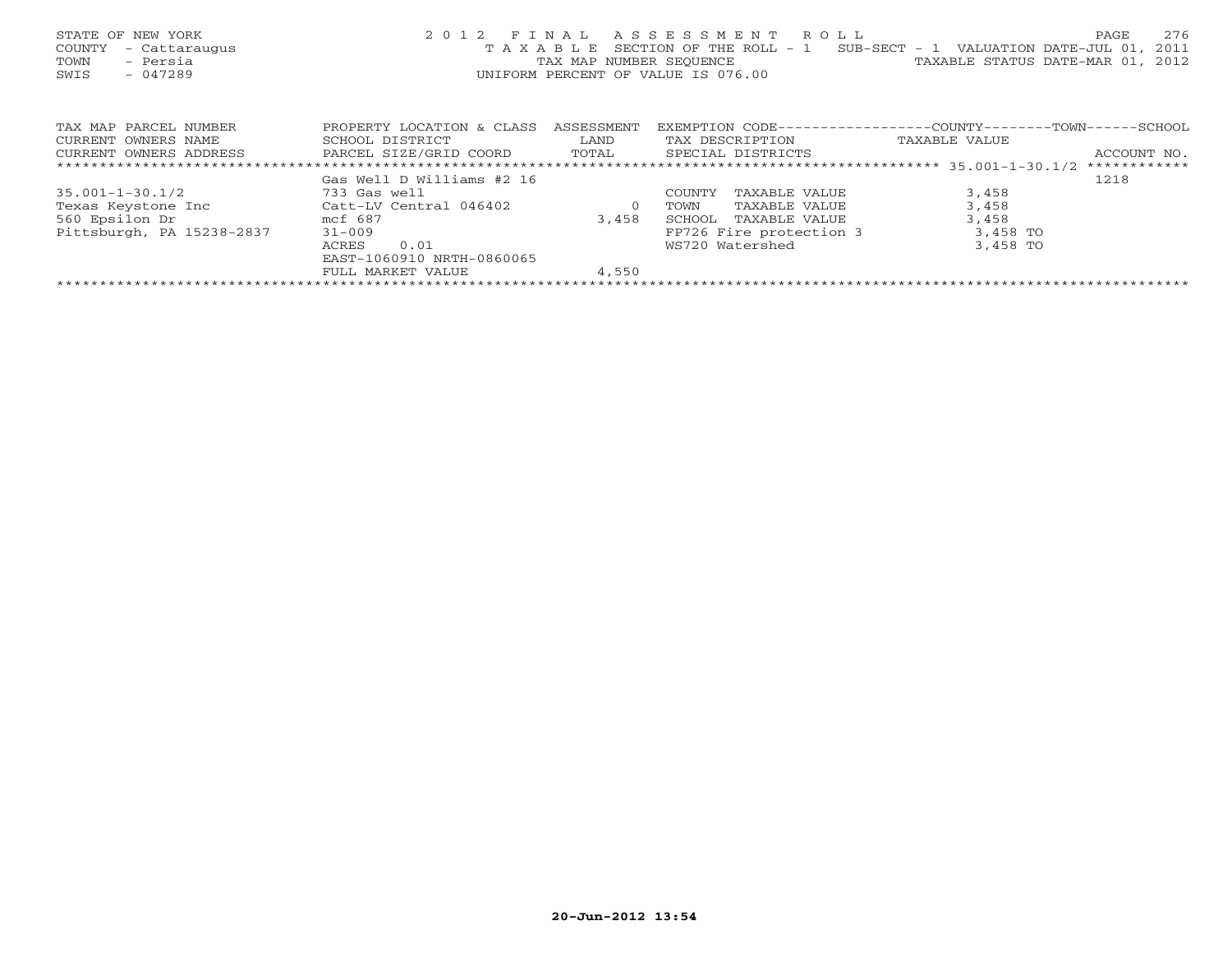| STATE OF NEW YORK<br>COUNTY<br>- Cattaraugus<br>- Persia<br>TOWN<br>$-047289$<br>SWIS       |                           |                | 2012 FINAL ASSESSMENT ROLL<br>T A X A B L E SECTION OF THE ROLL - 1 SUB-SECT - 1 VALUATION DATE-JUL 01,<br>TAX MAP NUMBER SEQUENCE TAN TAXABLE STATUS DATE-MAR 01, 2012<br>UNIFORM PERCENT OF VALUE IS 076.00 |               | 276<br>PAGE<br>2011 |
|---------------------------------------------------------------------------------------------|---------------------------|----------------|---------------------------------------------------------------------------------------------------------------------------------------------------------------------------------------------------------------|---------------|---------------------|
| TAX MAP PARCEL NUMBER                                                                       | PROPERTY LOCATION & CLASS | ASSESSMENT     | EXEMPTION CODE-----------------COUNTY-------TOWN------SCHOOL                                                                                                                                                  |               |                     |
| CURRENT OWNERS NAME                                                                         | SCHOOL DISTRICT           | LAND           | TAX DESCRIPTION                                                                                                                                                                                               | TAXABLE VALUE |                     |
| CURRENT OWNERS ADDRESS           PARCEL SIZE/GRID COORD       TOTAL       SPECIAL DISTRICTS |                           |                |                                                                                                                                                                                                               |               | ACCOUNT NO.         |
|                                                                                             |                           |                |                                                                                                                                                                                                               |               |                     |
|                                                                                             | Gas Well D Williams #2 16 |                |                                                                                                                                                                                                               |               | 1218                |
| $35.001 - 1 - 30.1/2$                                                                       | 733 Gas well              |                | TAXABLE VALUE<br>COUNTY                                                                                                                                                                                       | 3,458         |                     |
| Texas Keystone Inc Catt-LV Central 046402                                                   |                           | $\overline{0}$ | TAXABLE VALUE<br>TOWN                                                                                                                                                                                         | 3,458         |                     |
| 560 Epsilon Dr<br>mcf 687                                                                   |                           | 3,458          | TAXABLE VALUE<br>SCHOOL                                                                                                                                                                                       | 3,458         |                     |
| Pittsburgh, PA 15238-2837                                                                   | $31 - 009$                |                | FP726 Fire protection 3                                                                                                                                                                                       | 3,458 TO      |                     |
|                                                                                             | 0.01<br>ACRES             |                | WS720 Watershed                                                                                                                                                                                               | 3,458 TO      |                     |
|                                                                                             | EAST-1060910 NRTH-0860065 |                |                                                                                                                                                                                                               |               |                     |
|                                                                                             | FULL MARKET VALUE         | 4,550          |                                                                                                                                                                                                               |               |                     |
|                                                                                             |                           |                |                                                                                                                                                                                                               |               |                     |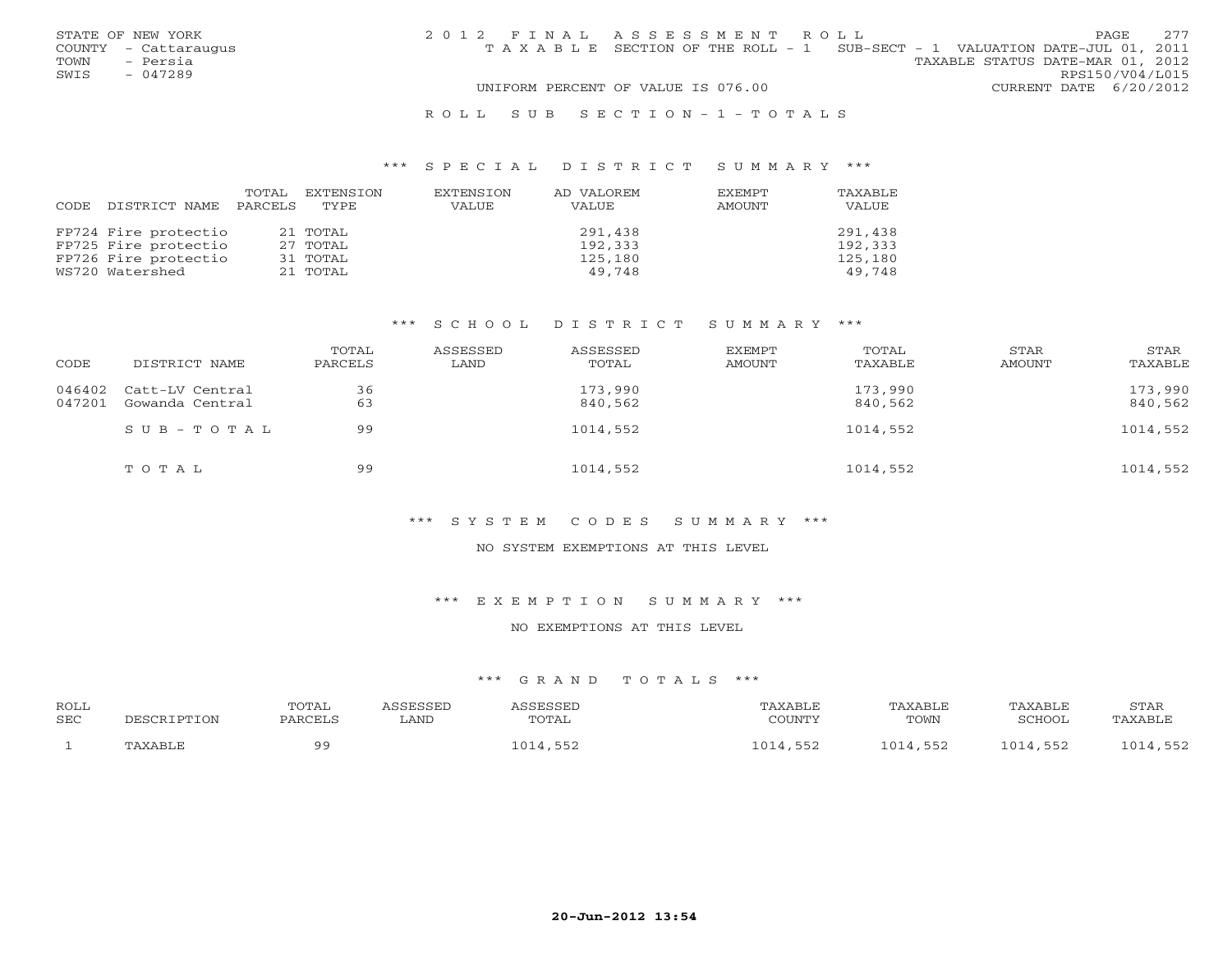|      | STATE OF NEW YORK    | 2012 FINAL ASSESSMENT ROLL |                                                                                |                                  |                        | <b>PAGE</b> | 2.77 |
|------|----------------------|----------------------------|--------------------------------------------------------------------------------|----------------------------------|------------------------|-------------|------|
|      | COUNTY - Cattaraugus |                            | T A X A B L E SECTION OF THE ROLL - 1 SUB-SECT - 1 VALUATION DATE-JUL 01, 2011 |                                  |                        |             |      |
| TOWN | - Persia             |                            |                                                                                | TAXABLE STATUS DATE-MAR 01, 2012 |                        |             |      |
| SWIS | $-047289$            |                            |                                                                                |                                  | RPS150/V04/L015        |             |      |
|      |                      |                            | UNIFORM PERCENT OF VALUE IS 076.00                                             |                                  | CURRENT DATE 6/20/2012 |             |      |
|      |                      |                            |                                                                                |                                  |                        |             |      |

#### R O L L S U B S E C T I O N - 1 - T O T A L S

#### \*\*\* S P E C I A L D I S T R I C T S U M M A R Y \*\*\*

| CODE | DISTRICT NAME        | TOTAL<br>PARCELS | EXTENSION<br>TYPE. | EXTENSION<br>VALUE | AD VALOREM<br>VALUE | <b>EXEMPT</b><br>AMOUNT | TAXABLE<br>VALUE |
|------|----------------------|------------------|--------------------|--------------------|---------------------|-------------------------|------------------|
|      | FP724 Fire protectio |                  | 21 TOTAL           |                    | 291,438             |                         | 291,438          |
|      | FP725 Fire protectio |                  | 27 TOTAL           |                    | 192,333             |                         | 192,333          |
|      | FP726 Fire protectio |                  | 31 TOTAL           |                    | 125,180             |                         | 125,180          |
|      | WS720 Watershed      |                  | 21 TOTAL           |                    | 49,748              |                         | 49,748           |

## \*\*\* S C H O O L D I S T R I C T S U M M A R Y \*\*\*

| CODE   | DISTRICT NAME                             | TOTAL<br>PARCELS | ASSESSED<br>LAND | ASSESSED<br>TOTAL  | EXEMPT<br>AMOUNT | TOTAL<br>TAXABLE   | STAR<br>AMOUNT | STAR<br>TAXABLE    |
|--------|-------------------------------------------|------------------|------------------|--------------------|------------------|--------------------|----------------|--------------------|
| 047201 | 046402 Catt-LV Central<br>Gowanda Central | 36<br>63         |                  | 173,990<br>840,562 |                  | 173,990<br>840,562 |                | 173,990<br>840,562 |
|        | $SUB - TO T AL$                           | 99               |                  | 1014,552           |                  | 1014,552           |                | 1014,552           |
|        | TOTAL                                     | 99               |                  | 1014,552           |                  | 1014,552           |                | 1014,552           |

## \*\*\* S Y S T E M C O D E S S U M M A R Y \*\*\*

#### NO SYSTEM EXEMPTIONS AT THIS LEVEL

\*\*\* E X E M P T I O N S U M M A R Y \*\*\*

#### NO EXEMPTIONS AT THIS LEVEL

## \*\*\* G R A N D T O T A L S \*\*\*

| <b>ROLL</b><br>SEC | SCRIPTION  | <b>OTAL</b><br>PARCEL | . AND | <b>CCFCCFL</b><br><b>TOTAL</b> | AXABLF<br><b>COLIMITY</b> | TAXABLF<br>TOWN | TAXABLE<br>SCHOOL | <b>STAR</b><br>'AXABLE |
|--------------------|------------|-----------------------|-------|--------------------------------|---------------------------|-----------------|-------------------|------------------------|
|                    | √ V 7∖ D T | ΩQ                    |       |                                | $\bigcap$ 1<br>-550       | ∩ 1<br>ニロー      | トロロ               | ے ب                    |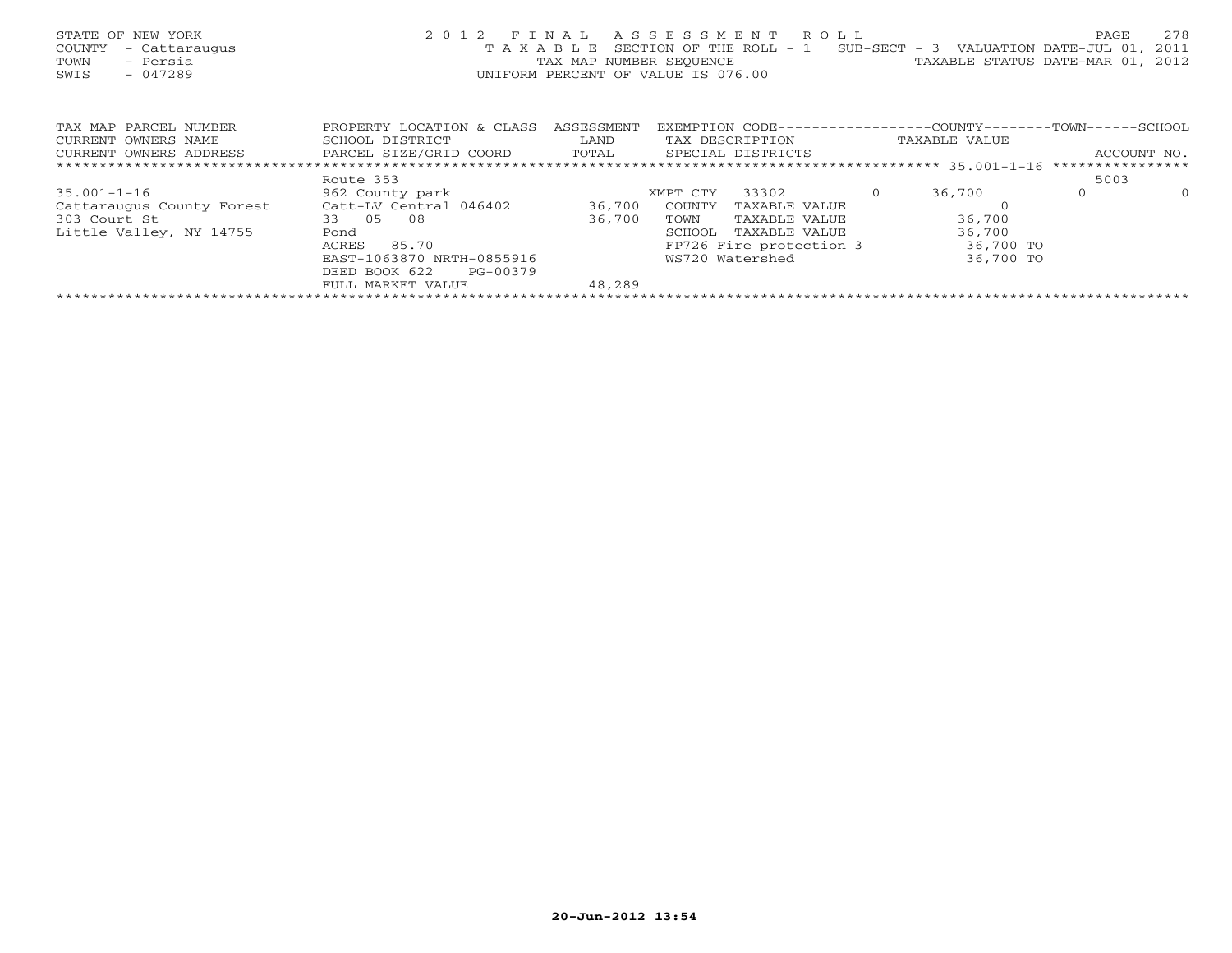| STATE OF NEW YORK<br>COUNTY<br>- Cattaraugus<br>- Persia<br>TOWN<br>$-047289$<br>SWIS | 2 0 1 2<br>TAXABLE                                   | FINAL<br>TAX MAP NUMBER SEQUENCE | A S S E S S M E N T R O L L<br>SECTION OF THE ROLL - 1<br>UNIFORM PERCENT OF VALUE IS 076.00 |                         |           | SUB-SECT - 3 VALUATION DATE-JUL 01,<br>TAXABLE STATUS DATE-MAR 01, | PAGE             | 278<br>2011<br>2012 |
|---------------------------------------------------------------------------------------|------------------------------------------------------|----------------------------------|----------------------------------------------------------------------------------------------|-------------------------|-----------|--------------------------------------------------------------------|------------------|---------------------|
| TAX MAP PARCEL NUMBER                                                                 | PROPERTY LOCATION & CLASS                            | ASSESSMENT                       |                                                                                              |                         |           | EXEMPTION CODE-----------------COUNTY-------TOWN------SCHOOL       |                  |                     |
| CURRENT OWNERS NAME                                                                   | SCHOOL DISTRICT                                      | LAND                             | TAX DESCRIPTION                                                                              |                         |           | TAXABLE VALUE                                                      |                  |                     |
| CURRENT OWNERS ADDRESS                                                                | PARCEL SIZE/GRID COORD<br>TOTAL<br>SPECIAL DISTRICTS |                                  |                                                                                              |                         |           |                                                                    | ACCOUNT NO.      |                     |
|                                                                                       |                                                      |                                  |                                                                                              |                         |           |                                                                    | **************** |                     |
|                                                                                       | Route 353                                            |                                  |                                                                                              |                         |           |                                                                    | 5003             |                     |
| $35.001 - 1 - 16$                                                                     | 962 County park                                      |                                  | XMPT CTY                                                                                     | 33302                   | $\Omega$  | 36,700                                                             | $\Omega$         | $\Omega$            |
| Cattaraugus County Forest                                                             | Catt-LV Central 046402                               | 36,700                           | COUNTY                                                                                       | TAXABLE VALUE           |           |                                                                    |                  |                     |
| 303 Court St                                                                          | 33 05<br>08                                          | 36,700                           | TOWN                                                                                         | TAXABLE VALUE           |           | 36,700                                                             |                  |                     |
| Little Valley, NY 14755                                                               | Pond                                                 |                                  | SCHOOL                                                                                       | TAXABLE VALUE           |           | 36,700                                                             |                  |                     |
|                                                                                       | 85.70<br>ACRES                                       |                                  |                                                                                              | FP726 Fire protection 3 |           | 36,700 TO                                                          |                  |                     |
|                                                                                       | EAST-1063870 NRTH-0855916                            | WS720 Watershed                  |                                                                                              |                         | 36,700 TO |                                                                    |                  |                     |
|                                                                                       | DEED BOOK 622<br>PG-00379                            |                                  |                                                                                              |                         |           |                                                                    |                  |                     |
|                                                                                       | FULL MARKET VALUE                                    | 48,289                           |                                                                                              |                         |           |                                                                    |                  |                     |
|                                                                                       |                                                      |                                  |                                                                                              |                         |           |                                                                    |                  |                     |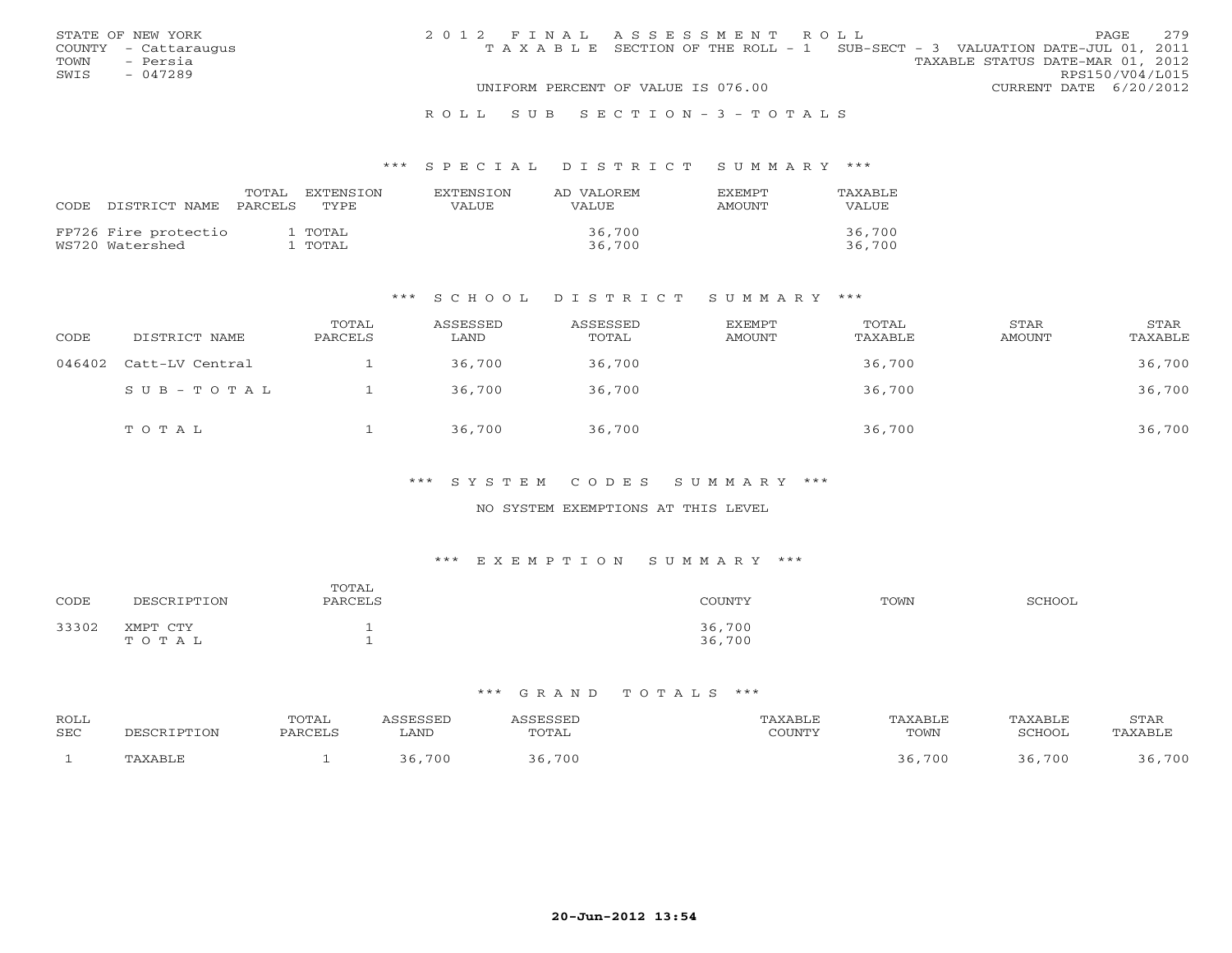|      | STATE OF NEW YORK    | 2012 FINAL ASSESSMENT ROLL |                                                                                |                                  |                        | <b>PAGE</b> | 2.79 |
|------|----------------------|----------------------------|--------------------------------------------------------------------------------|----------------------------------|------------------------|-------------|------|
|      | COUNTY - Cattaraugus |                            | T A X A B L E SECTION OF THE ROLL - 1 SUB-SECT - 3 VALUATION DATE-JUL 01, 2011 |                                  |                        |             |      |
| TOWN | - Persia             |                            |                                                                                | TAXABLE STATUS DATE-MAR 01, 2012 |                        |             |      |
| SWIS | $-047289$            |                            |                                                                                |                                  | RPS150/V04/L015        |             |      |
|      |                      |                            | UNIFORM PERCENT OF VALUE IS 076.00                                             |                                  | CURRENT DATE 6/20/2012 |             |      |
|      |                      |                            |                                                                                |                                  |                        |             |      |

#### R O L L S U B S E C T I O N - 3 - T O T A L S

#### \*\*\* S P E C I A L D I S T R I C T S U M M A R Y \*\*\*

| CODE DISTRICT NAME                      | TOTAL<br>PARCELS | EXTENSTON<br>TYPE. | <b>EXTENSION</b><br>VALUE | AD VALOREM<br>VALUE | <b>FXFMPT</b><br>AMOUNT | TAXABLE<br><b>VALUE</b> |
|-----------------------------------------|------------------|--------------------|---------------------------|---------------------|-------------------------|-------------------------|
| FP726 Fire protectio<br>WS720 Watershed |                  | 1 TOTAL<br>1 TOTAL |                           | 36,700<br>36,700    |                         | 36,700<br>36,700        |

#### \*\*\* S C H O O L D I S T R I C T S U M M A R Y \*\*\*

| CODE   | DISTRICT NAME   | TOTAL<br>PARCELS | ASSESSED<br>LAND | ASSESSED<br>TOTAL | EXEMPT<br>AMOUNT | TOTAL<br>TAXABLE | STAR<br><b>AMOUNT</b> | STAR<br>TAXABLE |
|--------|-----------------|------------------|------------------|-------------------|------------------|------------------|-----------------------|-----------------|
| 046402 | Catt-LV Central |                  | 36,700           | 36,700            |                  | 36,700           |                       | 36,700          |
|        | SUB-TOTAL       |                  | 36,700           | 36,700            |                  | 36,700           |                       | 36,700          |
|        | TOTAL           |                  | 36,700           | 36,700            |                  | 36,700           |                       | 36,700          |

### \*\*\* S Y S T E M C O D E S S U M M A R Y \*\*\*

## NO SYSTEM EXEMPTIONS AT THIS LEVEL

## \*\*\* E X E M P T I O N S U M M A R Y \*\*\*

| CODE  | <b>ION</b><br>'nг                       | TOTAL<br>PARCELS | COUNTY!          | TOWN | SCHOOL |
|-------|-----------------------------------------|------------------|------------------|------|--------|
| 33302 | XMPT<br><b>CTTV</b><br>0 T A<br>--<br>. | <b>.</b>         | 36,700<br>36,700 |      |        |

#### \*\*\* G R A N D T O T A L S \*\*\*

| ROLL       |             | TOTAL   | \SSESSED    | ASSESSED | PAXABLE | TAXABLE | TAXABLE | STAR    |
|------------|-------------|---------|-------------|----------|---------|---------|---------|---------|
| <b>SEC</b> | DESCRIPTION | PARCELS | <b>LAND</b> | TOTAL    | COUNTY  | TOWN    | SCHOOL  | TAXABLE |
|            | TAXABLE     |         | 36,700      | ,700     |         | 36,700  | 36,700  | 700     |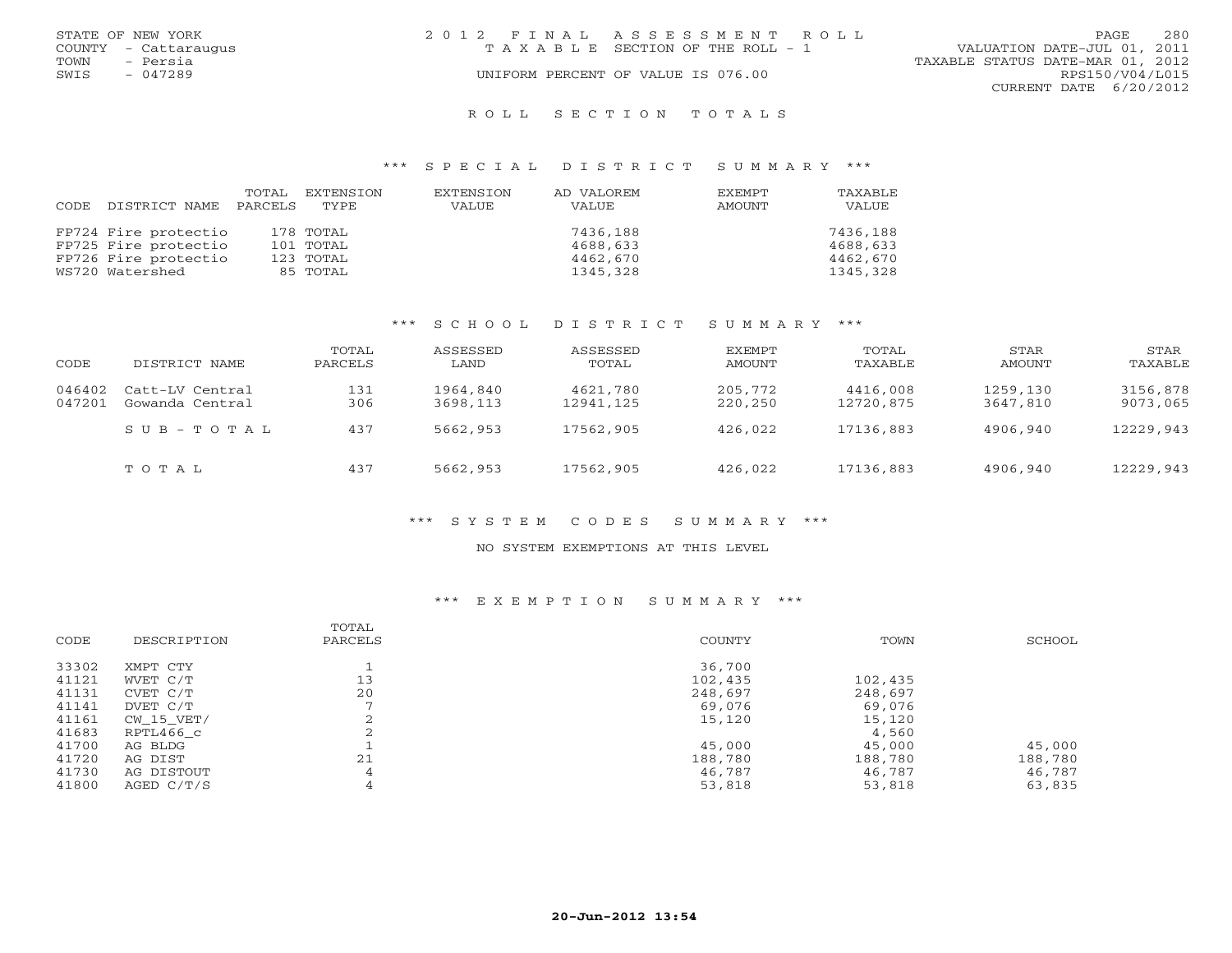|      | STATE OF NEW YORK    | 2012 FINAL ASSESSMENT ROLL            |                                  | PAGE.           | 2.80 |
|------|----------------------|---------------------------------------|----------------------------------|-----------------|------|
|      | COUNTY - Cattaraugus | T A X A B L E SECTION OF THE ROLL - 1 | VALUATION DATE-JUL 01, 2011      |                 |      |
| TOWN | - Persia             |                                       | TAXABLE STATUS DATE-MAR 01, 2012 |                 |      |
| SWIS | $-047289$            | UNIFORM PERCENT OF VALUE IS 076.00    |                                  | RPS150/V04/L015 |      |
|      |                      |                                       | CURRENT DATE 6/20/2012           |                 |      |
|      |                      |                                       |                                  |                 |      |

#### R O L L S E C T I O N T O T A L S

#### \*\*\* S P E C I A L D I S T R I C T S U M M A R Y \*\*\*

|      |                      | TOTAL   | EXTENSION | EXTENSION | AD VALOREM | EXEMPT | TAXABLE  |
|------|----------------------|---------|-----------|-----------|------------|--------|----------|
| CODE | DISTRICT NAME        | PARCELS | TYPE.     | VALUE     | VALUE      | AMOUNT | VALUE    |
|      | FP724 Fire protectio |         | 178 TOTAL |           | 7436,188   |        | 7436,188 |
|      | FP725 Fire protectio |         | 101 TOTAL |           | 4688,633   |        | 4688,633 |
|      | FP726 Fire protectio |         | 123 TOTAL |           | 4462,670   |        | 4462,670 |
|      | WS720 Watershed      |         | 85 TOTAL  |           | 1345,328   |        | 1345,328 |

## \*\*\* S C H O O L D I S T R I C T S U M M A R Y \*\*\*

| CODE             | DISTRICT NAME                      | TOTAL<br>PARCELS | ASSESSED<br>LAND     | ASSESSED<br>TOTAL     | EXEMPT<br>AMOUNT   | TOTAL<br>TAXABLE      | STAR<br>AMOUNT       | STAR<br>TAXABLE      |
|------------------|------------------------------------|------------------|----------------------|-----------------------|--------------------|-----------------------|----------------------|----------------------|
| 046402<br>047201 | Catt-LV Central<br>Gowanda Central | 131<br>306       | 1964,840<br>3698,113 | 4621,780<br>12941,125 | 205,772<br>220,250 | 4416,008<br>12720,875 | 1259,130<br>3647,810 | 3156,878<br>9073,065 |
|                  | $SUB - TO T AL$                    | 437              | 5662,953             | 17562,905             | 426,022            | 17136,883             | 4906,940             | 12229,943            |
|                  | TOTAL                              | 437              | 5662,953             | 17562,905             | 426,022            | 17136,883             | 4906,940             | 12229,943            |

## \*\*\* S Y S T E M C O D E S S U M M A R Y \*\*\*

#### NO SYSTEM EXEMPTIONS AT THIS LEVEL

## \*\*\* E X E M P T I O N S U M M A R Y \*\*\*

| CODE  | DESCRIPTION  | TOTAL<br>PARCELS | <b>COUNTY</b> | TOWN    | SCHOOL  |
|-------|--------------|------------------|---------------|---------|---------|
| 33302 | XMPT CTY     |                  | 36,700        |         |         |
| 41121 | WVET C/T     | 13               | 102,435       | 102,435 |         |
| 41131 | CVET C/T     | 20               | 248,697       | 248,697 |         |
| 41141 | DVET C/T     |                  | 69,076        | 69,076  |         |
| 41161 | CW 15 VET/   | ∠                | 15,120        | 15,120  |         |
| 41683 | RPTL466 c    |                  |               | 4,560   |         |
| 41700 | AG BLDG      |                  | 45,000        | 45,000  | 45,000  |
| 41720 | AG DIST      | 21               | 188,780       | 188,780 | 188,780 |
| 41730 | AG DISTOUT   | 4                | 46,787        | 46,787  | 46,787  |
| 41800 | AGED $C/T/S$ | 4                | 53,818        | 53,818  | 63,835  |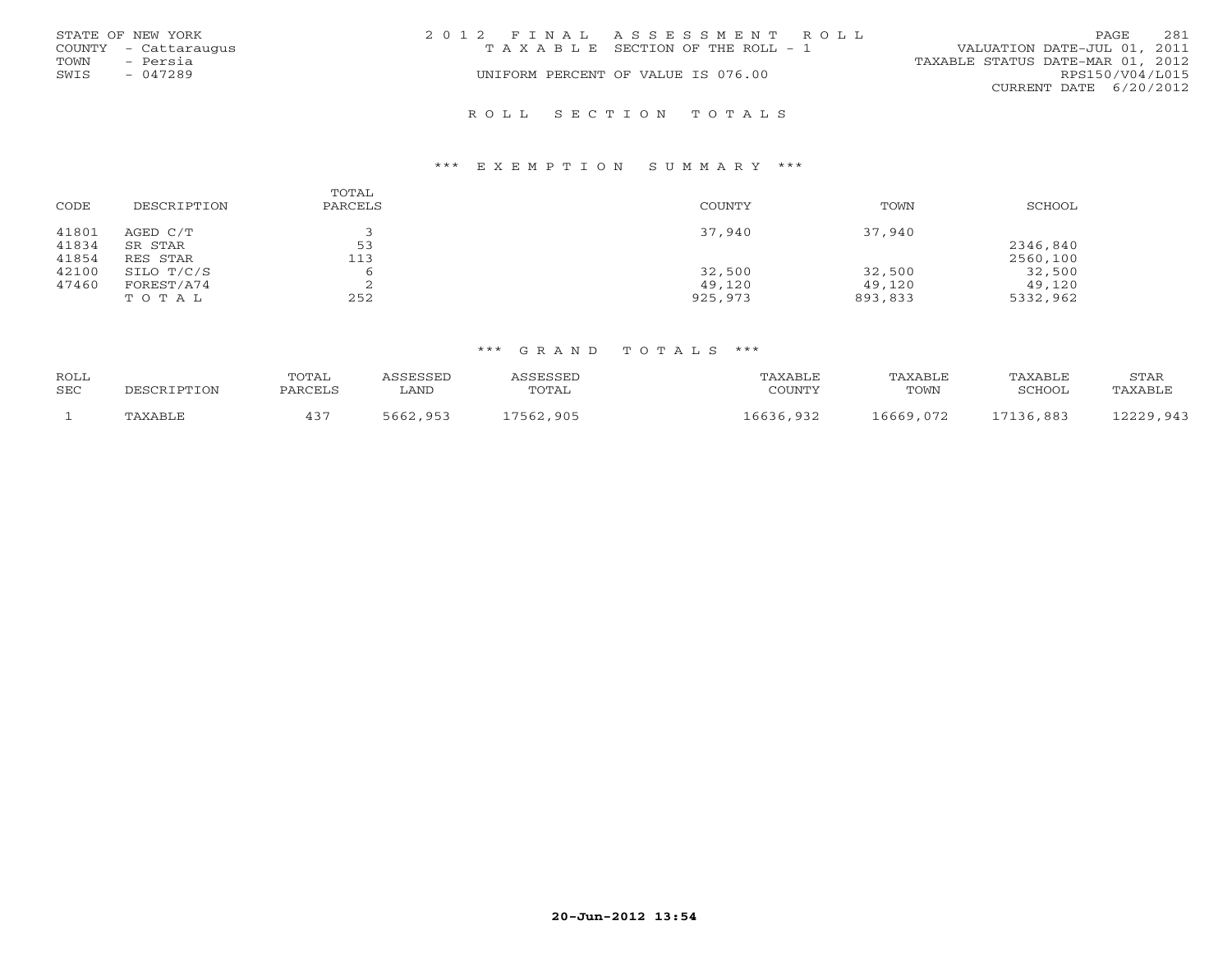|      | STATE OF NEW YORK    | 2012 FINAL ASSESSMENT ROLL |                                       |                                  | <b>PAGE</b>     | 281 |
|------|----------------------|----------------------------|---------------------------------------|----------------------------------|-----------------|-----|
|      | COUNTY - Cattaraugus |                            | T A X A B L E SECTION OF THE ROLL - 1 | VALUATION DATE-JUL 01, 2011      |                 |     |
| TOWN | - Persia             |                            |                                       | TAXABLE STATUS DATE-MAR 01, 2012 |                 |     |
| SWIS | $-047289$            |                            | UNIFORM PERCENT OF VALUE IS 076.00    |                                  | RPS150/V04/L015 |     |
|      |                      |                            |                                       | CURRENT DATE 6/20/2012           |                 |     |
|      |                      |                            |                                       |                                  |                 |     |

R O L L S E C T I O N T O T A L S

#### \*\*\* E X E M P T I O N S U M M A R Y \*\*\*

| CODE           | DESCRIPTION         | TOTAL<br>PARCELS | <b>COUNTY</b> | TOWN    | <b>SCHOOL</b> |
|----------------|---------------------|------------------|---------------|---------|---------------|
| 41801<br>41834 | AGED C/T<br>SR STAR | 53               | 37,940        | 37,940  | 2346,840      |
| 41854          | RES STAR            | 113              |               |         | 2560,100      |
| 42100          | SILO T/C/S          | 6                | 32,500        | 32,500  | 32,500        |
| 47460          | FOREST/A74          |                  | 49,120        | 49,120  | 49,120        |
|                | TOTAL               | 252              | 925,973       | 893,833 | 5332,962      |

#### \*\*\* G R A N D T O T A L S \*\*\*

| ROLL<br>SEC | DESCRIPTION | TOTAL<br>PARCELS | ASSESSED<br>∟AND | ASSESSED<br>TOTAL | TAXABLE<br>COUNTY | TAXABLE<br>TOWN | TAXABLE<br>SCHOOL | STAR<br>TAXABLE |
|-------------|-------------|------------------|------------------|-------------------|-------------------|-----------------|-------------------|-----------------|
|             | TAXABLE     |                  | 5662,953         | 17562,905         | 16636,932         | 16669,072       | 17136,883         | 12229.943       |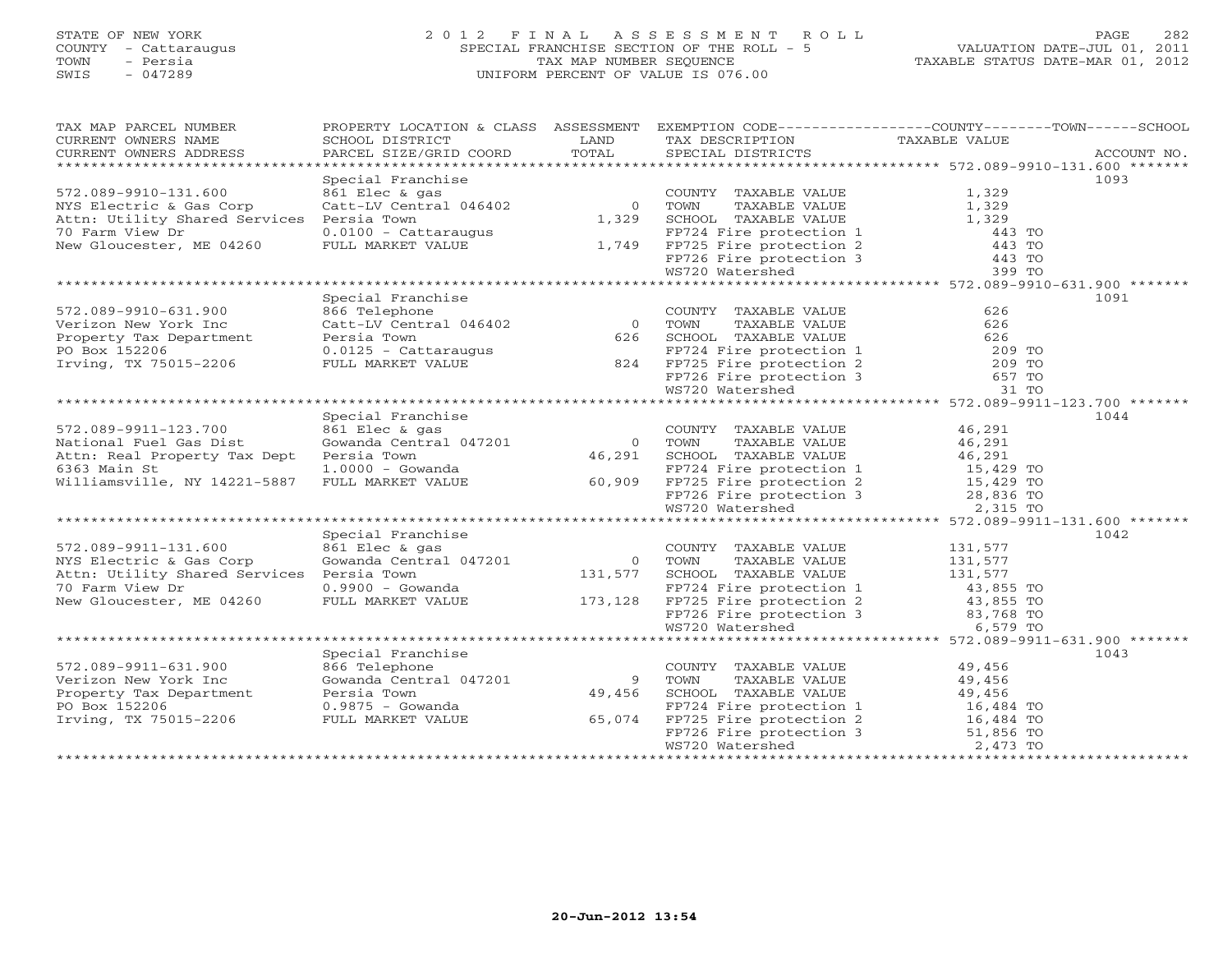## STATE OF NEW YORK 2 0 1 2 F I N A L A S S E S S M E N T R O L L PAGE 282 COUNTY - Cattaraugus SPECIAL FRANCHISE SECTION OF THE ROLL - 5 VALUATION DATE-JUL 01, 2011 TOWN - Persia TAX MAP NUMBER SEQUENCE TAXABLE STATUS DATE-MAR 01, 2012 SWIS - 047289 UNIFORM PERCENT OF VALUE IS 076.00

| TAX MAP PARCEL NUMBER                                                                                                                                                                                                                                                                                                                                                                                                                                                                                                  | PROPERTY LOCATION & CLASS ASSESSMENT EXEMPTION CODE----------------COUNTY-------TOWN------SCHOOL |                |                                                                                                                                                                                                                                                                                                                                                                                                                                                                        |                |      |
|------------------------------------------------------------------------------------------------------------------------------------------------------------------------------------------------------------------------------------------------------------------------------------------------------------------------------------------------------------------------------------------------------------------------------------------------------------------------------------------------------------------------|--------------------------------------------------------------------------------------------------|----------------|------------------------------------------------------------------------------------------------------------------------------------------------------------------------------------------------------------------------------------------------------------------------------------------------------------------------------------------------------------------------------------------------------------------------------------------------------------------------|----------------|------|
| CURRENT OWNERS NAME                                                                                                                                                                                                                                                                                                                                                                                                                                                                                                    | SCHOOL DISTRICT                                                                                  | LAND           | TAX DESCRIPTION                                                                                                                                                                                                                                                                                                                                                                                                                                                        | TAXABLE VALUE  |      |
| $\begin{minipage}{.45\textwidth} \begin{minipage}{.45\textwidth} \begin{minipage}{.45\textwidth} \begin{minipage}{.45\textwidth} \begin{minipage}{.45\textwidth} \begin{minipage}{.45\textwidth} \begin{minipage}{.45\textwidth} \begin{minipage}{.45\textwidth} \begin{minipage}{.45\textwidth} \begin{minipage}{.45\textwidth} \begin{minipage}{.45\textwidth} \begin{minipage}{.45\textwidth} \begin{minipage}{.45\textwidth} \begin{minipage}{.45\textwidth} \begin{minipage}{.45\textwidth} \begin{minipage}{.45$ |                                                                                                  | TOTAL          |                                                                                                                                                                                                                                                                                                                                                                                                                                                                        |                |      |
|                                                                                                                                                                                                                                                                                                                                                                                                                                                                                                                        |                                                                                                  |                |                                                                                                                                                                                                                                                                                                                                                                                                                                                                        |                |      |
|                                                                                                                                                                                                                                                                                                                                                                                                                                                                                                                        | Special Franchise                                                                                |                |                                                                                                                                                                                                                                                                                                                                                                                                                                                                        |                | 1093 |
| 572.089-9910-131.600                                                                                                                                                                                                                                                                                                                                                                                                                                                                                                   | 861 Elec & gas                                                                                   |                | COUNTY TAXABLE VALUE 1,329                                                                                                                                                                                                                                                                                                                                                                                                                                             |                |      |
| NYS Electric & Gas Corp                                                                                                                                                                                                                                                                                                                                                                                                                                                                                                | Catt-LV Central 046402                                                                           |                | 0 TOWN<br>TAXABLE VALUE                                                                                                                                                                                                                                                                                                                                                                                                                                                | 1,329<br>1,329 |      |
| Attn: Utility Shared Services Persia Town                                                                                                                                                                                                                                                                                                                                                                                                                                                                              |                                                                                                  | 1,329          | SCHOOL TAXABLE VALUE                                                                                                                                                                                                                                                                                                                                                                                                                                                   |                |      |
| 70 Farm View Dr                                                                                                                                                                                                                                                                                                                                                                                                                                                                                                        | $0.0100 -$ Cattaraugus                                                                           |                |                                                                                                                                                                                                                                                                                                                                                                                                                                                                        | 443 TO         |      |
| New Gloucester, ME 04260                                                                                                                                                                                                                                                                                                                                                                                                                                                                                               | FULL MARKET VALUE                                                                                |                |                                                                                                                                                                                                                                                                                                                                                                                                                                                                        | 443 TO         |      |
|                                                                                                                                                                                                                                                                                                                                                                                                                                                                                                                        |                                                                                                  |                |                                                                                                                                                                                                                                                                                                                                                                                                                                                                        | 443 TO         |      |
|                                                                                                                                                                                                                                                                                                                                                                                                                                                                                                                        |                                                                                                  |                | FP724 Fire protection 1<br>1,749 FP725 Fire protection 2<br>FP726 Fire protection 3<br>WS720 Watershed                                                                                                                                                                                                                                                                                                                                                                 | 399 TO         |      |
|                                                                                                                                                                                                                                                                                                                                                                                                                                                                                                                        |                                                                                                  |                |                                                                                                                                                                                                                                                                                                                                                                                                                                                                        |                |      |
|                                                                                                                                                                                                                                                                                                                                                                                                                                                                                                                        | Special Franchise                                                                                |                | $\begin{tabular}{lllllllll} \multicolumn{2}{l}{{\small \texttt{COUNTY}}}\quad\texttt{TAXABLE} & \texttt{v.m.} \\ \multicolumn{2}{l}{{\small \texttt{102}}}&0&{\small \texttt{TOWN}}&{\small \texttt{TAXABLE}~\texttt{VALUE}}&\texttt{0.} \\ \multicolumn{2}{l}{626}&{\small \texttt{SCHOOL}}&{\small \texttt{TAXABLE}~\texttt{VALUE}}&626\\ \multicolumn{2}{l}{626}&{\small \texttt{SCHOOL}}&{\small \texttt{TAXABLE}~\texttt{VALUE}}&626\\ \multicolumn{2}{l}{\small$ |                | 1091 |
| 572.089-9910-631.900                                                                                                                                                                                                                                                                                                                                                                                                                                                                                                   | 866 Telephone                                                                                    |                |                                                                                                                                                                                                                                                                                                                                                                                                                                                                        |                |      |
| Verizon New York Inc                                                                                                                                                                                                                                                                                                                                                                                                                                                                                                   | Catt-LV Central 046402                                                                           |                |                                                                                                                                                                                                                                                                                                                                                                                                                                                                        |                |      |
| Version New York The Catt-LV Central 04640<br>Property Tax Department<br>PO Box 152206 0.0125 - Cattaraugus<br>Irving, TX 75015-2206 FULL MARKET VALUE                                                                                                                                                                                                                                                                                                                                                                 |                                                                                                  |                |                                                                                                                                                                                                                                                                                                                                                                                                                                                                        |                |      |
|                                                                                                                                                                                                                                                                                                                                                                                                                                                                                                                        |                                                                                                  |                |                                                                                                                                                                                                                                                                                                                                                                                                                                                                        |                |      |
|                                                                                                                                                                                                                                                                                                                                                                                                                                                                                                                        |                                                                                                  |                |                                                                                                                                                                                                                                                                                                                                                                                                                                                                        |                |      |
|                                                                                                                                                                                                                                                                                                                                                                                                                                                                                                                        |                                                                                                  |                |                                                                                                                                                                                                                                                                                                                                                                                                                                                                        |                |      |
|                                                                                                                                                                                                                                                                                                                                                                                                                                                                                                                        |                                                                                                  |                |                                                                                                                                                                                                                                                                                                                                                                                                                                                                        |                |      |
|                                                                                                                                                                                                                                                                                                                                                                                                                                                                                                                        |                                                                                                  |                |                                                                                                                                                                                                                                                                                                                                                                                                                                                                        |                |      |
|                                                                                                                                                                                                                                                                                                                                                                                                                                                                                                                        | Special Franchise                                                                                |                |                                                                                                                                                                                                                                                                                                                                                                                                                                                                        |                | 1044 |
| 572.089-9911-123.700                                                                                                                                                                                                                                                                                                                                                                                                                                                                                                   | 861 Elec & gas                                                                                   |                | COUNTY TAXABLE VALUE                                                                                                                                                                                                                                                                                                                                                                                                                                                   | 46,291         |      |
| National Fuel Gas Dist                                                                                                                                                                                                                                                                                                                                                                                                                                                                                                 | Gowanda Central 047201                                                                           |                | 0 TOWN<br>TAXABLE VALUE                                                                                                                                                                                                                                                                                                                                                                                                                                                | 46,291         |      |
| Attn: Real Property Tax Dept                                                                                                                                                                                                                                                                                                                                                                                                                                                                                           | Persia Town                                                                                      | 46,291         | SCHOOL TAXABLE VALUE                                                                                                                                                                                                                                                                                                                                                                                                                                                   | 46,291         |      |
| 6363 Main St                                                                                                                                                                                                                                                                                                                                                                                                                                                                                                           | 1.0000 - Gowanda                                                                                 |                |                                                                                                                                                                                                                                                                                                                                                                                                                                                                        |                |      |
| Williamsville, NY 14221-5887 FULL MARKET VALUE 60,909                                                                                                                                                                                                                                                                                                                                                                                                                                                                  |                                                                                                  |                |                                                                                                                                                                                                                                                                                                                                                                                                                                                                        |                |      |
|                                                                                                                                                                                                                                                                                                                                                                                                                                                                                                                        |                                                                                                  |                |                                                                                                                                                                                                                                                                                                                                                                                                                                                                        |                |      |
|                                                                                                                                                                                                                                                                                                                                                                                                                                                                                                                        |                                                                                                  |                | FP724 Fire protection 1 15,429 TO<br>FP725 Fire protection 2 15,429 TO<br>FP726 Fire protection 3 28,836 TO<br>WS720 Watershed 2,315 TO                                                                                                                                                                                                                                                                                                                                |                |      |
|                                                                                                                                                                                                                                                                                                                                                                                                                                                                                                                        |                                                                                                  |                |                                                                                                                                                                                                                                                                                                                                                                                                                                                                        |                |      |
|                                                                                                                                                                                                                                                                                                                                                                                                                                                                                                                        | Special Franchise                                                                                |                |                                                                                                                                                                                                                                                                                                                                                                                                                                                                        |                | 1042 |
| 572.089-9911-131.600                                                                                                                                                                                                                                                                                                                                                                                                                                                                                                   | 861 Elec & gas                                                                                   |                | COUNTY TAXABLE VALUE                                                                                                                                                                                                                                                                                                                                                                                                                                                   | 131,577        |      |
| NYS Electric & Gas Corp                                                                                                                                                                                                                                                                                                                                                                                                                                                                                                | 861 Elec & gas<br>Gowanda Central 047201                                                         | COON           | TAXABLE VALUE                                                                                                                                                                                                                                                                                                                                                                                                                                                          | 131,577        |      |
|                                                                                                                                                                                                                                                                                                                                                                                                                                                                                                                        |                                                                                                  |                |                                                                                                                                                                                                                                                                                                                                                                                                                                                                        |                |      |
|                                                                                                                                                                                                                                                                                                                                                                                                                                                                                                                        |                                                                                                  |                |                                                                                                                                                                                                                                                                                                                                                                                                                                                                        |                |      |
|                                                                                                                                                                                                                                                                                                                                                                                                                                                                                                                        |                                                                                                  |                |                                                                                                                                                                                                                                                                                                                                                                                                                                                                        |                |      |
|                                                                                                                                                                                                                                                                                                                                                                                                                                                                                                                        |                                                                                                  |                |                                                                                                                                                                                                                                                                                                                                                                                                                                                                        |                |      |
| Attn: Utility Shared Services Persia Town<br>70 Farm View Dr. MARKET VALUE 173,128 FP724 Fire protection 1<br>New Gloucester, ME 04260 FULL MARKET VALUE 173,128 FP725 Fire protection 2 43,855 TO<br>New Gloucester, ME 04260 FULL                                                                                                                                                                                                                                                                                    |                                                                                                  |                |                                                                                                                                                                                                                                                                                                                                                                                                                                                                        |                |      |
|                                                                                                                                                                                                                                                                                                                                                                                                                                                                                                                        |                                                                                                  |                |                                                                                                                                                                                                                                                                                                                                                                                                                                                                        |                |      |
|                                                                                                                                                                                                                                                                                                                                                                                                                                                                                                                        | Special Franchise                                                                                |                |                                                                                                                                                                                                                                                                                                                                                                                                                                                                        |                | 1043 |
| 572.089-9911-631.900                                                                                                                                                                                                                                                                                                                                                                                                                                                                                                   | 866 Telephone                                                                                    |                | COUNTY TAXABLE VALUE                                                                                                                                                                                                                                                                                                                                                                                                                                                   | 49,456         |      |
| Verizon New York Inc                                                                                                                                                                                                                                                                                                                                                                                                                                                                                                   | Gowanda Central 047201                                                                           | $\overline{9}$ | TOWN<br>TAXABLE VALUE                                                                                                                                                                                                                                                                                                                                                                                                                                                  | 49,456         |      |
| Property Tax Department                                                                                                                                                                                                                                                                                                                                                                                                                                                                                                | Persia Town                                                                                      | 49,456         |                                                                                                                                                                                                                                                                                                                                                                                                                                                                        |                |      |
| PO Box 152206                                                                                                                                                                                                                                                                                                                                                                                                                                                                                                          | 0.9875 - Gowanda                                                                                 |                |                                                                                                                                                                                                                                                                                                                                                                                                                                                                        |                |      |
| Irving, TX 75015-2206                                                                                                                                                                                                                                                                                                                                                                                                                                                                                                  | FULL MARKET VALUE                                                                                | 65,074         |                                                                                                                                                                                                                                                                                                                                                                                                                                                                        |                |      |
|                                                                                                                                                                                                                                                                                                                                                                                                                                                                                                                        |                                                                                                  |                | FORM THE VALUE<br>SCHOOL TAXABLE VALUE<br>FP724 Fire protection 1 16,484 TO<br>FP725 Fire protection 2 16,484 TO<br>FP726 Fire protection 3 51,856 TO<br>WS720 Watershed 2.473 TO                                                                                                                                                                                                                                                                                      |                |      |
|                                                                                                                                                                                                                                                                                                                                                                                                                                                                                                                        |                                                                                                  |                |                                                                                                                                                                                                                                                                                                                                                                                                                                                                        |                |      |
|                                                                                                                                                                                                                                                                                                                                                                                                                                                                                                                        |                                                                                                  |                |                                                                                                                                                                                                                                                                                                                                                                                                                                                                        |                |      |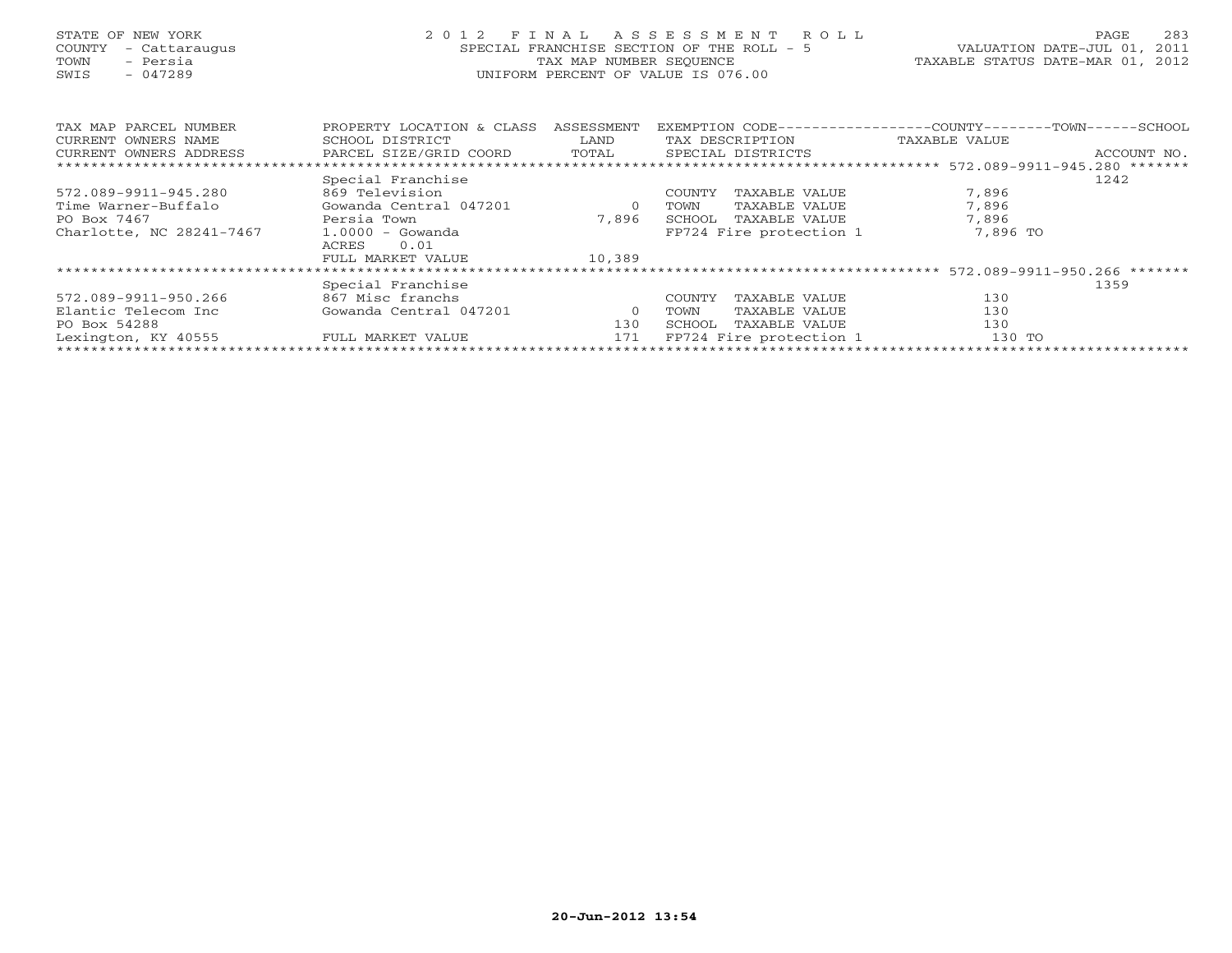| STATE OF NEW YORK |                          |                      |  |
|-------------------|--------------------------|----------------------|--|
|                   |                          | COUNTY - Cattaraugus |  |
| TOWN              |                          | - Persia             |  |
| SWIS              | $\overline{\phantom{0}}$ | 047289               |  |

## STATE OF NEW YORK 2 0 1 2 F I N A L A S S E S S M E N T R O L L PAGE 283 COUNTY - Cattaraugus SPECIAL FRANCHISE SECTION OF THE ROLL - 5 VALUATION DATE-JUL 01, 2011 TOWN - Persia TAX MAP NUMBER SEQUENCE TAXABLE STATUS DATE-MAR 01, 2012 SWIS - 047289 UNIFORM PERCENT OF VALUE IS 076.00UNIFORM PERCENT OF VALUE IS 076.00

| TAX MAP PARCEL NUMBER    | PROPERTY LOCATION & CLASS | ASSESSMENT |                         | EXEMPTION CODE-----------------COUNTY-------TOWN------SCHOOL |
|--------------------------|---------------------------|------------|-------------------------|--------------------------------------------------------------|
| CURRENT OWNERS NAME      | SCHOOL DISTRICT           | LAND       | TAX DESCRIPTION         | TAXABLE VALUE                                                |
| CURRENT OWNERS ADDRESS   | PARCEL SIZE/GRID COORD    | TOTAL      | SPECIAL DISTRICTS       | ACCOUNT NO.                                                  |
|                          |                           |            |                         |                                                              |
|                          | Special Franchise         |            |                         | 1242                                                         |
| 572.089-9911-945.280     | 869 Television            |            | TAXABLE VALUE<br>COUNTY | 7,896                                                        |
| Time Warner-Buffalo      | Gowanda Central 047201    |            | TAXABLE VALUE<br>TOWN   | 7,896                                                        |
| PO Box 7467              | Persia Town               | 7,896      | SCHOOL<br>TAXABLE VALUE | 7,896                                                        |
| Charlotte, NC 28241-7467 | $1.0000 - Gowanda$        |            | FP724 Fire protection 1 | 7,896 TO                                                     |
|                          | 0.01<br>ACRES             |            |                         |                                                              |
|                          | FULL MARKET VALUE         | 10,389     |                         |                                                              |
|                          |                           |            |                         |                                                              |
|                          | Special Franchise         |            |                         | 1359                                                         |
| 572.089-9911-950.266     | 867 Misc franchs          |            | COUNTY<br>TAXABLE VALUE | 130                                                          |
| Elantic Telecom Inc      | Gowanda Central 047201    |            | TAXABLE VALUE<br>TOWN   | 130                                                          |
| PO Box 54288             |                           | 130        | TAXABLE VALUE<br>SCHOOL | 130                                                          |
| Lexington, KY 40555      | FULL MARKET VALUE         | 171        | FP724 Fire protection 1 | 130 TO                                                       |
|                          |                           |            |                         |                                                              |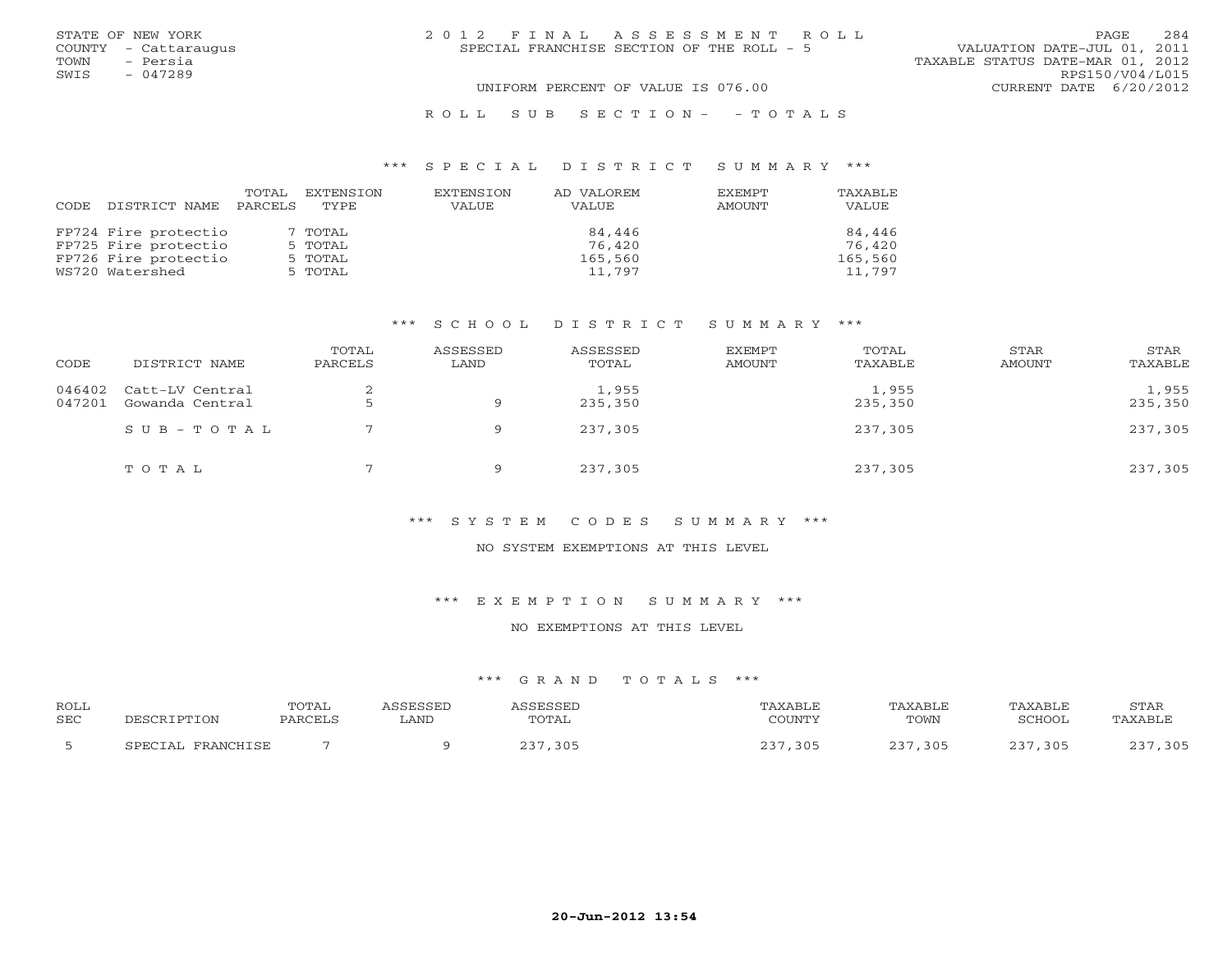| STATE OF NEW YORK    | 2012 FINAL ASSESSMENT ROLL                | 2.84<br>PAGE.                    |
|----------------------|-------------------------------------------|----------------------------------|
| COUNTY - Cattaraugus | SPECIAL FRANCHISE SECTION OF THE ROLL - 5 | VALUATION DATE-JUL 01, 2011      |
| - Persia<br>TOWN     |                                           | TAXABLE STATUS DATE-MAR 01, 2012 |
| SWIS<br>$-047289$    |                                           | RPS150/V04/L015                  |
|                      | UNIFORM PERCENT OF VALUE IS 076.00        | CURRENT DATE 6/20/2012           |
|                      | ROLL SUB SECTION- - TOTALS                |                                  |

#### \*\*\* S P E C I A L D I S T R I C T S U M M A R Y \*\*\*

|      |                      | TOTAL   | EXTENSION | EXTENSION | AD VALOREM | EXEMPT | TAXABLE |
|------|----------------------|---------|-----------|-----------|------------|--------|---------|
| CODE | DISTRICT NAME        | PARCELS | TYPE.     | VALUE     | VALUE      | AMOUNT | VALUE   |
|      |                      |         |           |           |            |        |         |
|      | FP724 Fire protectio |         | 7 TOTAL   |           | 84,446     |        | 84,446  |
|      | FP725 Fire protectio |         | 5 TOTAL   |           | 76,420     |        | 76,420  |
|      | FP726 Fire protectio |         | 5 TOTAL   |           | 165,560    |        | 165,560 |
|      | WS720 Watershed      |         | 5 TOTAL   |           | 11,797     |        | 11,797  |

## \*\*\* S C H O O L D I S T R I C T S U M M A R Y \*\*\*

| CODE             | DISTRICT NAME                      | TOTAL<br>PARCELS | ASSESSED<br>LAND | ASSESSED<br>TOTAL | <b>EXEMPT</b><br>AMOUNT | TOTAL<br>TAXABLE | STAR<br>AMOUNT | STAR<br>TAXABLE  |
|------------------|------------------------------------|------------------|------------------|-------------------|-------------------------|------------------|----------------|------------------|
| 046402<br>047201 | Catt-LV Central<br>Gowanda Central |                  | Q                | 1,955<br>235,350  |                         | 1,955<br>235,350 |                | 1,955<br>235,350 |
|                  | SUB-TOTAL                          |                  | Q                | 237,305           |                         | 237,305          |                | 237,305          |
|                  | TOTAL                              |                  | Q                | 237,305           |                         | 237,305          |                | 237,305          |

## \*\*\* S Y S T E M C O D E S S U M M A R Y \*\*\*

#### NO SYSTEM EXEMPTIONS AT THIS LEVEL

\*\*\* E X E M P T I O N S U M M A R Y \*\*\*

#### NO EXEMPTIONS AT THIS LEVEL

## \*\*\* G R A N D T O T A L S \*\*\*

| <b>ROLL</b><br><b>SEC</b> | PESCRIPTION       | TOTAL<br>PARCELS | SSESSED<br>∟AND | ASSESSEI<br>TOTAL | TAXABLE<br>COUNTY | TAXABLE<br>TOWN       | TAXABLE<br>SCHOOL | STAR<br>TAXABLE |
|---------------------------|-------------------|------------------|-----------------|-------------------|-------------------|-----------------------|-------------------|-----------------|
|                           | SPECIAL FRANCHISE |                  |                 | ,305              | 237,305           | $\cap$ $\cap$<br>,305 | 237,305           | ,305<br>つつワ     |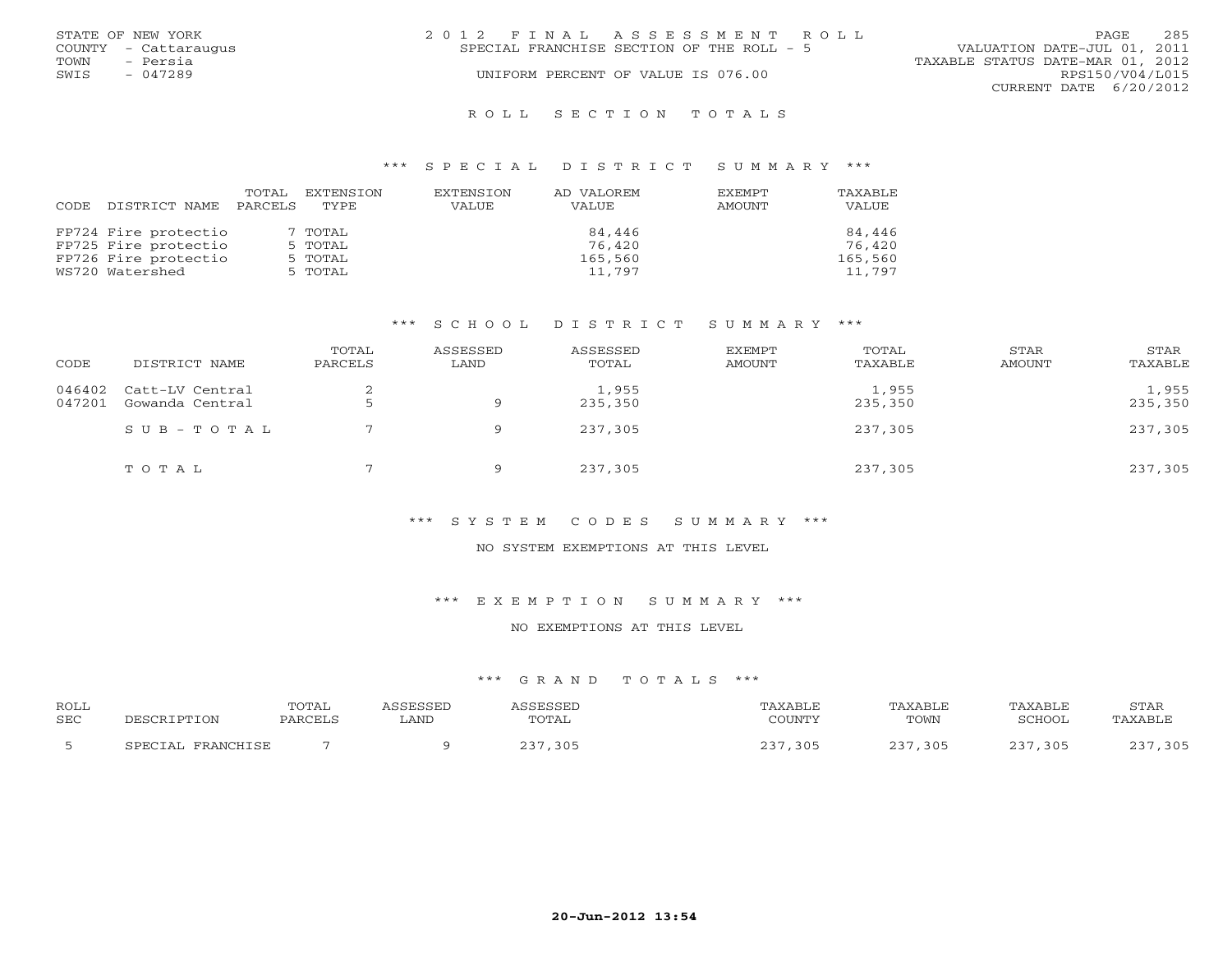|      | STATE OF NEW YORK    | 2012 FINAL ASSESSMENT ROLL                | PAGE.                       | 285 |
|------|----------------------|-------------------------------------------|-----------------------------|-----|
|      | COUNTY - Cattaraugus | SPECIAL FRANCHISE SECTION OF THE ROLL - 5 | VALUATION DATE-JUL 01, 2011 |     |
| TOWN | - Persia             | TAXABLE STATUS DATE-MAR 01, 2012          |                             |     |
| SWIS | $-047289$            | UNIFORM PERCENT OF VALUE IS 076.00        | RPS150/V04/L015             |     |
|      |                      |                                           | CURRENT DATE 6/20/2012      |     |
|      |                      |                                           |                             |     |

#### R O L L S E C T I O N T O T A L S

#### \*\*\* S P E C I A L D I S T R I C T S U M M A R Y \*\*\*

| CODE. | DISTRICT NAME        | TOTAL<br>PARCELS | EXTENSION<br>TYPE | EXTENSION<br>VALUE | AD VALOREM<br>VALUE | <b>EXEMPT</b><br>AMOUNT | TAXABLE<br>VALUE |
|-------|----------------------|------------------|-------------------|--------------------|---------------------|-------------------------|------------------|
|       | FP724 Fire protectio |                  | 7 TOTAL           |                    | 84,446              |                         | 84,446           |
|       | FP725 Fire protectio |                  | 5 TOTAL           |                    | 76,420              |                         | 76,420           |
|       | FP726 Fire protectio |                  | 5 TOTAL           |                    | 165,560             |                         | 165,560          |
|       | WS720 Watershed      |                  | 5 TOTAL           |                    | 11,797              |                         | 11,797           |

## \*\*\* S C H O O L D I S T R I C T S U M M A R Y \*\*\*

| CODE             | DISTRICT NAME                      | TOTAL<br>PARCELS | ASSESSED<br>LAND | ASSESSED<br>TOTAL | <b>EXEMPT</b><br>AMOUNT | TOTAL<br>TAXABLE | STAR<br>AMOUNT | STAR<br>TAXABLE  |
|------------------|------------------------------------|------------------|------------------|-------------------|-------------------------|------------------|----------------|------------------|
| 046402<br>047201 | Catt-LV Central<br>Gowanda Central |                  | Q                | 1,955<br>235,350  |                         | 1,955<br>235,350 |                | 1,955<br>235,350 |
|                  | $SUB - TO T AL$                    |                  | 9                | 237,305           |                         | 237,305          |                | 237,305          |
|                  | TOTAL                              |                  | Q                | 237,305           |                         | 237,305          |                | 237,305          |

## \*\*\* S Y S T E M C O D E S S U M M A R Y \*\*\*

#### NO SYSTEM EXEMPTIONS AT THIS LEVEL

\*\*\* E X E M P T I O N S U M M A R Y \*\*\*

#### NO EXEMPTIONS AT THIS LEVEL

## \*\*\* G R A N D T O T A L S \*\*\*

| <b>ROLL</b><br><b>SEC</b> | TPTION                      | TOTAL<br>PARCELS | CCFCCFT<br>∟AND | TOTAL                       | <i><b>\XABLF</b></i><br>COUNTY | AXABLF<br>TOWN | <b>TAXABLF</b><br>SCHOOL | <b>STAR</b><br>PAXABI F |
|---------------------------|-----------------------------|------------------|-----------------|-----------------------------|--------------------------------|----------------|--------------------------|-------------------------|
|                           | <b>FDANCHTCF</b><br>CDFCTAL |                  |                 | 305<br>$\sim$ $\sim$ $\sim$ | 305                            | 305            | , 305                    | ,305                    |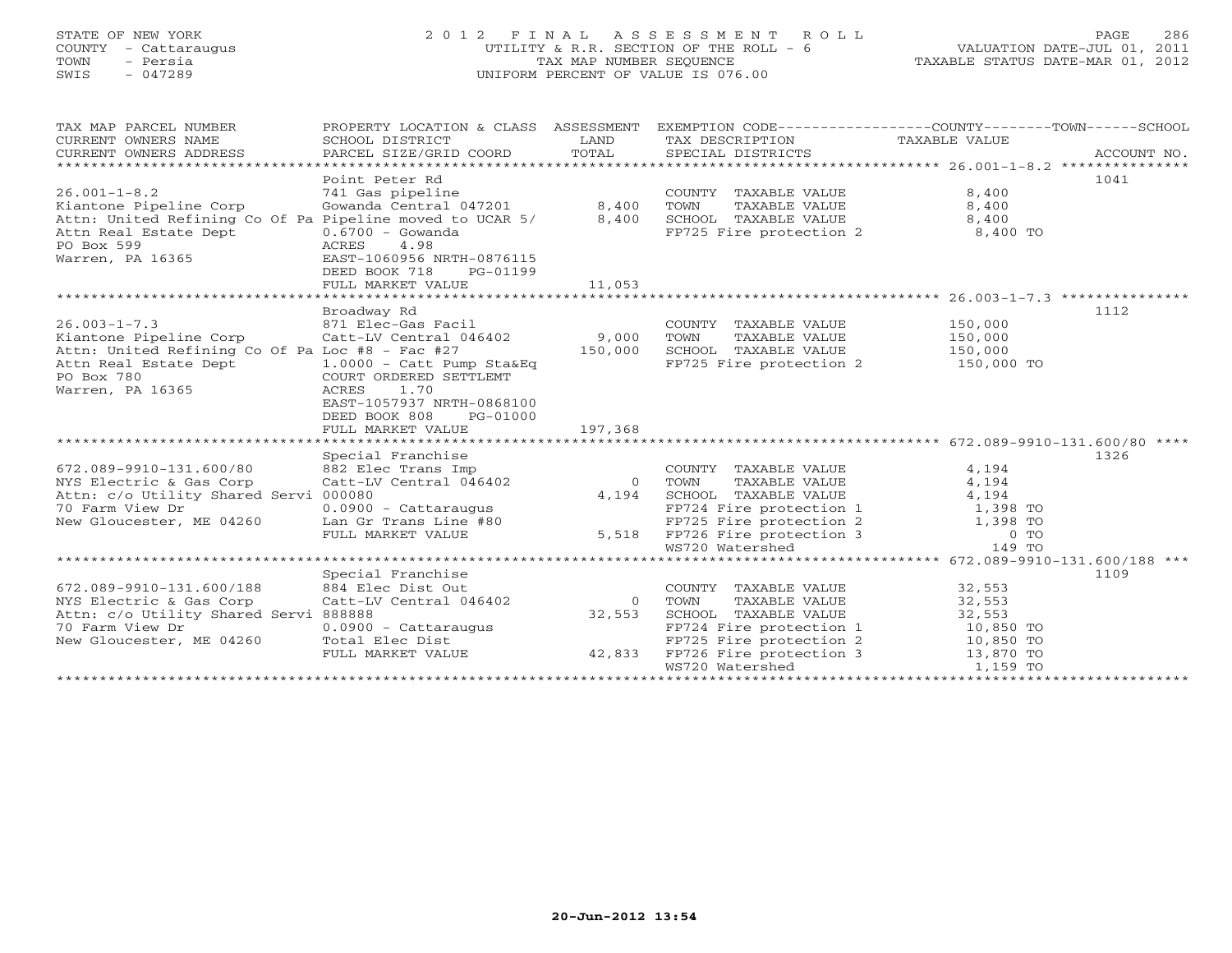# STATE OF NEW YORK 2 0 1 2 F I N A L A S S E S S M E N T R O L L PAGE 286 COUNTY - Cattaraugus UTILITY & R.R. SECTION OF THE ROLL - 6 VALUATION DATE-JUL 01, 2011 TOWN - Persia TAX MAP NUMBER SEQUENCE TAXABLE STATUS DATE-MAR 01, 2012 SWIS - 047289 UNIFORM PERCENT OF VALUE IS 076.00

| TAX MAP PARCEL NUMBER<br>CURRENT OWNERS NAME<br>CURRENT OWNERS ADDRESS<br>****************************** | PROPERTY LOCATION & CLASS ASSESSMENT<br>SCHOOL DISTRICT<br>PARCEL SIZE/GRID COORD | LAND<br>TOTAL  | TAX DESCRIPTION<br>SPECIAL DISTRICTS                     | EXEMPTION CODE-----------------COUNTY-------TOWN------SCHOOL<br>TAXABLE VALUE<br>ACCOUNT NO. |  |
|----------------------------------------------------------------------------------------------------------|-----------------------------------------------------------------------------------|----------------|----------------------------------------------------------|----------------------------------------------------------------------------------------------|--|
|                                                                                                          | Point Peter Rd                                                                    |                |                                                          | 1041                                                                                         |  |
| $26.001 - 1 - 8.2$                                                                                       | 741 Gas pipeline                                                                  |                | COUNTY TAXABLE VALUE                                     | 8,400                                                                                        |  |
| Kiantone Pipeline Corp                                                                                   | Gowanda Central 047201                                                            | 8,400          | TOWN<br>TAXABLE VALUE                                    | 8,400                                                                                        |  |
| Attn: United Refining Co Of Pa Pipeline moved to UCAR 5/                                                 |                                                                                   | 8,400          | SCHOOL TAXABLE VALUE                                     | 8,400                                                                                        |  |
| Attn Real Estate Dept                                                                                    | $0.6700 - Gowanda$                                                                |                | FP725 Fire protection 2                                  | 8,400 TO                                                                                     |  |
| PO Box 599                                                                                               | ACRES<br>4.98                                                                     |                |                                                          |                                                                                              |  |
| Warren, PA 16365                                                                                         | EAST-1060956 NRTH-0876115                                                         |                |                                                          |                                                                                              |  |
|                                                                                                          | DEED BOOK 718<br>PG-01199                                                         |                |                                                          |                                                                                              |  |
|                                                                                                          | FULL MARKET VALUE                                                                 | 11,053         |                                                          |                                                                                              |  |
|                                                                                                          |                                                                                   |                |                                                          |                                                                                              |  |
|                                                                                                          | Broadway Rd                                                                       |                |                                                          | 1112                                                                                         |  |
| $26.003 - 1 - 7.3$                                                                                       | 871 Elec-Gas Facil                                                                |                |                                                          | 150,000                                                                                      |  |
| Kiantone Pipeline Corp                                                                                   | Catt-LV Central 046402                                                            | 9,000          | COUNTY TAXABLE VALUE<br>TOWN<br>TAXABLE VALUE            | 150,000                                                                                      |  |
| Attn: United Refining Co Of Pa Loc #8 - Fac #27                                                          |                                                                                   | 150,000        | SCHOOL TAXABLE VALUE                                     | 150,000                                                                                      |  |
|                                                                                                          |                                                                                   |                |                                                          | 150,000 TO                                                                                   |  |
| Attn Real Estate Dept<br>PO Box 780                                                                      | $1.0000 - \text{Cat}$ Pump Sta&Eq<br>COURT ORDERED SETTLEMT                       |                | FP725 Fire protection 2                                  |                                                                                              |  |
| Warren, PA 16365                                                                                         | 1.70<br>ACRES                                                                     |                |                                                          |                                                                                              |  |
|                                                                                                          | EAST-1057937 NRTH-0868100                                                         |                |                                                          |                                                                                              |  |
|                                                                                                          | DEED BOOK 808                                                                     |                |                                                          |                                                                                              |  |
|                                                                                                          | PG-01000                                                                          |                |                                                          |                                                                                              |  |
|                                                                                                          | FULL MARKET VALUE                                                                 | 197,368        |                                                          |                                                                                              |  |
|                                                                                                          | Special Franchise                                                                 |                |                                                          | 1326                                                                                         |  |
| 672.089-9910-131.600/80                                                                                  | 882 Elec Trans Imp                                                                |                | COUNTY TAXABLE VALUE                                     | 4,194                                                                                        |  |
| NYS Electric & Gas Corp                                                                                  | Catt-LV Central 046402                                                            | $\overline{0}$ | TOWN<br>TAXABLE VALUE                                    | 4,194                                                                                        |  |
| Attn: c/o Utility Shared Servi 000080                                                                    |                                                                                   | 4,194          | SCHOOL TAXABLE VALUE                                     | 4,194                                                                                        |  |
| 70 Farm View Dr                                                                                          | 0.0900 - Cattaraugus                                                              |                | FP724 Fire protection 1                                  | 1,398 TO                                                                                     |  |
|                                                                                                          | Lan Gr Trans Line #80                                                             |                |                                                          | 1,398 TO                                                                                     |  |
| New Gloucester, ME 04260                                                                                 | FULL MARKET VALUE                                                                 |                | FP725 Fire protection 2<br>5,518 FP726 Fire protection 3 | $0$ TO                                                                                       |  |
|                                                                                                          |                                                                                   |                | WS720 Watershed                                          | 149 TO                                                                                       |  |
|                                                                                                          |                                                                                   |                |                                                          | ********************************* 672.089-9910-131.600/188 ***                               |  |
|                                                                                                          |                                                                                   |                |                                                          | 1109                                                                                         |  |
|                                                                                                          | Special Franchise                                                                 |                |                                                          |                                                                                              |  |
| 672.089-9910-131.600/188                                                                                 | 884 Elec Dist Out                                                                 | $\Omega$       | COUNTY TAXABLE VALUE                                     | 32,553                                                                                       |  |
| NYS Electric & Gas Corp                                                                                  | Catt-LV Central 046402                                                            |                | TOWN<br>TAXABLE VALUE                                    | 32,553                                                                                       |  |
| Attn: c/o Utility Shared Servi 888888                                                                    |                                                                                   | 32,553         | SCHOOL TAXABLE VALUE                                     | 32,553                                                                                       |  |
| 70 Farm View Dr                                                                                          | $0.0900 - \text{Cattaraugus}$                                                     |                | FP724 Fire protection 1                                  | 10,850 TO                                                                                    |  |
| New Gloucester, ME 04260                                                                                 | Total Elec Dist                                                                   |                | FP725 Fire protection 2                                  | 10,850 TO                                                                                    |  |
|                                                                                                          | FULL MARKET VALUE                                                                 | 42,833         | FP726 Fire protection 3                                  | 13,870 TO                                                                                    |  |
|                                                                                                          |                                                                                   |                | WS720 Watershed                                          | 1,159 TO                                                                                     |  |
|                                                                                                          |                                                                                   |                |                                                          |                                                                                              |  |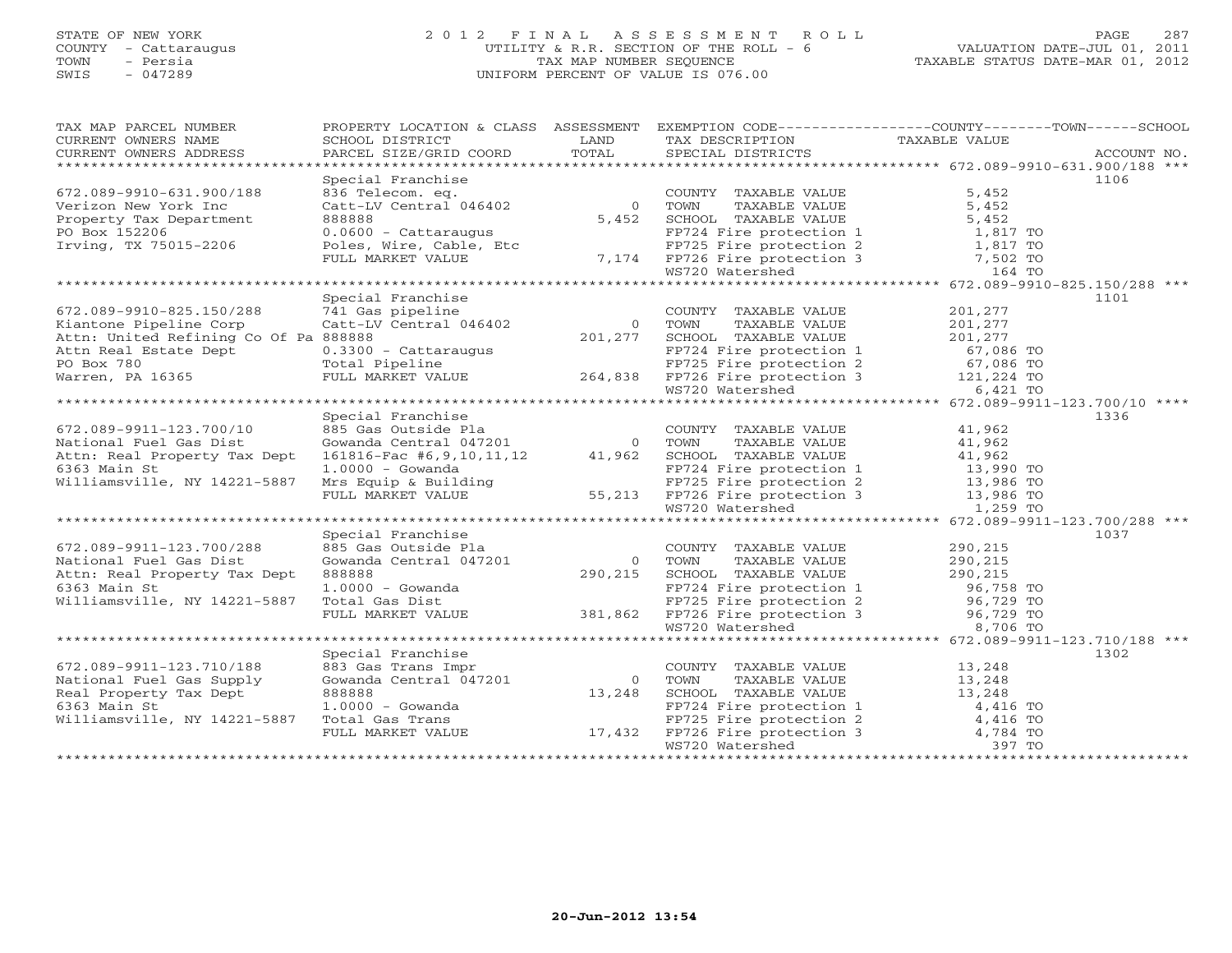## STATE OF NEW YORK 2 0 1 2 F I N A L A S S E S S M E N T R O L L PAGE 287 COUNTY - Cattaraugus UTILITY & R.R. SECTION OF THE ROLL - 6 VALUATION DATE-JUL 01, 2011 TOWN - Persia TAX MAP NUMBER SEQUENCE TAXABLE STATUS DATE-MAR 01, 2012 SWIS - 047289 UNIFORM PERCENT OF VALUE IS 076.00UNIFORM PERCENT OF VALUE IS 076.00

| 1AA MAP PARCES NOWERS ADDRESS<br>CURRENT OWNERS ADDRESS BORD BISTRICT COORD LAND TAXABLE TRIME TAXING TAXABLE VALUE<br>CURRENT OWNERS ADDRESS PARCEL SIZE/GRID COORD TOTAL SPECIAL DISTRICTS ACCOUNT NO.<br>***************************<br>Special Franchise<br>1106<br>COUNTY TAXABLE VALUE<br>5,452<br>672.089-9910-631.900/188<br>TAXABLE VALUE<br>5,452<br>Verizon New York Inc<br>Verizon New York Inc. The Catter of Catter of the MARIE VALUE<br>Property Tax Department 8888888<br>PO Box 152206 0.0600 - Cattaraugus<br>FP724 Fire protection 1 1,817 TO<br>FULL MARKET VALUE 7,174 FP726 Fire protection 3 7,502 TO |  |  |  |  |  |  |  |
|-------------------------------------------------------------------------------------------------------------------------------------------------------------------------------------------------------------------------------------------------------------------------------------------------------------------------------------------------------------------------------------------------------------------------------------------------------------------------------------------------------------------------------------------------------------------------------------------------------------------------------|--|--|--|--|--|--|--|
|                                                                                                                                                                                                                                                                                                                                                                                                                                                                                                                                                                                                                               |  |  |  |  |  |  |  |
|                                                                                                                                                                                                                                                                                                                                                                                                                                                                                                                                                                                                                               |  |  |  |  |  |  |  |
|                                                                                                                                                                                                                                                                                                                                                                                                                                                                                                                                                                                                                               |  |  |  |  |  |  |  |
|                                                                                                                                                                                                                                                                                                                                                                                                                                                                                                                                                                                                                               |  |  |  |  |  |  |  |
|                                                                                                                                                                                                                                                                                                                                                                                                                                                                                                                                                                                                                               |  |  |  |  |  |  |  |
|                                                                                                                                                                                                                                                                                                                                                                                                                                                                                                                                                                                                                               |  |  |  |  |  |  |  |
|                                                                                                                                                                                                                                                                                                                                                                                                                                                                                                                                                                                                                               |  |  |  |  |  |  |  |
|                                                                                                                                                                                                                                                                                                                                                                                                                                                                                                                                                                                                                               |  |  |  |  |  |  |  |
|                                                                                                                                                                                                                                                                                                                                                                                                                                                                                                                                                                                                                               |  |  |  |  |  |  |  |
| Special Franchise<br>1101                                                                                                                                                                                                                                                                                                                                                                                                                                                                                                                                                                                                     |  |  |  |  |  |  |  |
| COUNTY TAXABLE VALUE<br>672.089-9910-825.150/288<br>201,277                                                                                                                                                                                                                                                                                                                                                                                                                                                                                                                                                                   |  |  |  |  |  |  |  |
| Kiantone Pipeline Corp<br>TAXABLE VALUE                                                                                                                                                                                                                                                                                                                                                                                                                                                                                                                                                                                       |  |  |  |  |  |  |  |
| $201, 277$<br>201 277<br>Attn: United Refining Co Of Pa 888888<br>SCHOOL TAXABLE VALUE                                                                                                                                                                                                                                                                                                                                                                                                                                                                                                                                        |  |  |  |  |  |  |  |
|                                                                                                                                                                                                                                                                                                                                                                                                                                                                                                                                                                                                                               |  |  |  |  |  |  |  |
|                                                                                                                                                                                                                                                                                                                                                                                                                                                                                                                                                                                                                               |  |  |  |  |  |  |  |
|                                                                                                                                                                                                                                                                                                                                                                                                                                                                                                                                                                                                                               |  |  |  |  |  |  |  |
| Attn Real Estate Dept<br>Price in the protection 1<br>Warren, PA 16365 FULL MARKET VALUE<br>THE PRICE IS FORE TO EXAMPLE 264,838 FP726 Fire protection 3 121,224 TO<br>TO BOX 780 FULL MARKET VALUE 264,838 FP726 Fire protection 3 12                                                                                                                                                                                                                                                                                                                                                                                        |  |  |  |  |  |  |  |
|                                                                                                                                                                                                                                                                                                                                                                                                                                                                                                                                                                                                                               |  |  |  |  |  |  |  |
| Special Franchise<br>1336                                                                                                                                                                                                                                                                                                                                                                                                                                                                                                                                                                                                     |  |  |  |  |  |  |  |
| %85 Gas Outside Pla<br>Gowanda Central 047201 0 TOWN TAXABLE VALUE<br>161816-Fac #6,9,10,11,12 41,962 SCHOOL TAXABLE VALUE<br>COUNTY TAXABLE VALUE 41,962<br>672.089-9911-123.700/10                                                                                                                                                                                                                                                                                                                                                                                                                                          |  |  |  |  |  |  |  |
| 41,962<br>National Fuel Gas Dist                                                                                                                                                                                                                                                                                                                                                                                                                                                                                                                                                                                              |  |  |  |  |  |  |  |
| 41,962<br>41,962<br>Attn: Real Property Tax Dept                                                                                                                                                                                                                                                                                                                                                                                                                                                                                                                                                                              |  |  |  |  |  |  |  |
| 6363 Main St                                                                                                                                                                                                                                                                                                                                                                                                                                                                                                                                                                                                                  |  |  |  |  |  |  |  |
| 1.0000 - Gowanda<br>Mrs Equip & Building<br>Williamsville, NY 14221-5887                                                                                                                                                                                                                                                                                                                                                                                                                                                                                                                                                      |  |  |  |  |  |  |  |
|                                                                                                                                                                                                                                                                                                                                                                                                                                                                                                                                                                                                                               |  |  |  |  |  |  |  |
| 1.0000 - Gowanda<br>Mrs Equip & Building<br>FP724 Fire protection 1 13,990 TO<br>FP725 Fire protection 2 13,986 TO<br>FP726 Fire protection 3 13,986 TO<br>MS720 Watershed 1,259 TO<br>MS720 Watershed 1,259 TO                                                                                                                                                                                                                                                                                                                                                                                                               |  |  |  |  |  |  |  |
|                                                                                                                                                                                                                                                                                                                                                                                                                                                                                                                                                                                                                               |  |  |  |  |  |  |  |
| Special Franchise<br>1037                                                                                                                                                                                                                                                                                                                                                                                                                                                                                                                                                                                                     |  |  |  |  |  |  |  |
| 885 Gas Outside Pla<br>290,215<br>672.089-9911-123.700/288<br>$01$ $0$<br>$290,215$<br>COUNTY TAXABLE VALUE                                                                                                                                                                                                                                                                                                                                                                                                                                                                                                                   |  |  |  |  |  |  |  |
| National Fuel Gas Dist<br>Gowanda Central 047201<br>0 TOWN<br>TAXABLE VALUE<br>290,215                                                                                                                                                                                                                                                                                                                                                                                                                                                                                                                                        |  |  |  |  |  |  |  |
| Attn: Real Property Tax Dept<br>888888                                                                                                                                                                                                                                                                                                                                                                                                                                                                                                                                                                                        |  |  |  |  |  |  |  |
| TOWN TAXABLE VALUE<br>SCHOOL TAXABLE VALUE 290,215<br>PP724 Fire protection 1 96,758 TO<br>6363 Main St                                                                                                                                                                                                                                                                                                                                                                                                                                                                                                                       |  |  |  |  |  |  |  |
| Williamsville, NY 14221-5887                                                                                                                                                                                                                                                                                                                                                                                                                                                                                                                                                                                                  |  |  |  |  |  |  |  |
|                                                                                                                                                                                                                                                                                                                                                                                                                                                                                                                                                                                                                               |  |  |  |  |  |  |  |
| 1.0000 - Gowanda<br>Total Gas Dist<br>FP724 Fire protection 1<br>FP725 Fire protection 2<br>FP725 Fire protection 2<br>96,729 TO<br>96,729 TO<br>96,729 TO<br>96,729 TO<br>96,729 TO<br>96,729 TO<br>96,729 TO<br>96,729 TO<br>96,729 TO                                                                                                                                                                                                                                                                                                                                                                                      |  |  |  |  |  |  |  |
|                                                                                                                                                                                                                                                                                                                                                                                                                                                                                                                                                                                                                               |  |  |  |  |  |  |  |
| Special Franchise<br>1302                                                                                                                                                                                                                                                                                                                                                                                                                                                                                                                                                                                                     |  |  |  |  |  |  |  |
| COUNTY TAXABLE VALUE 13,248<br>TOWN TAXABLE VALUE 13,248<br>672.089-9911-123.710/188<br>883 Gas Trans Impr<br>Gowanda Central 047201                                                                                                                                                                                                                                                                                                                                                                                                                                                                                          |  |  |  |  |  |  |  |
| National Fuel Gas Supply<br>0 TOWN                                                                                                                                                                                                                                                                                                                                                                                                                                                                                                                                                                                            |  |  |  |  |  |  |  |
| 13,248<br>Real Property Tax Dept<br>888888                                                                                                                                                                                                                                                                                                                                                                                                                                                                                                                                                                                    |  |  |  |  |  |  |  |
| TOWN TAXABLE VALUE<br>SCHOOL TAXABLE VALUE<br>FP724 Fire protection 1 4,416 TO<br>FP725 Fire protection 2 4,416 TO<br>FP726 Fire protection 3 4,784 TO<br>WS720 Watershed 397 TO<br>6363 Main St                                                                                                                                                                                                                                                                                                                                                                                                                              |  |  |  |  |  |  |  |
| Williamsville, NY 14221-5887                                                                                                                                                                                                                                                                                                                                                                                                                                                                                                                                                                                                  |  |  |  |  |  |  |  |
|                                                                                                                                                                                                                                                                                                                                                                                                                                                                                                                                                                                                                               |  |  |  |  |  |  |  |
|                                                                                                                                                                                                                                                                                                                                                                                                                                                                                                                                                                                                                               |  |  |  |  |  |  |  |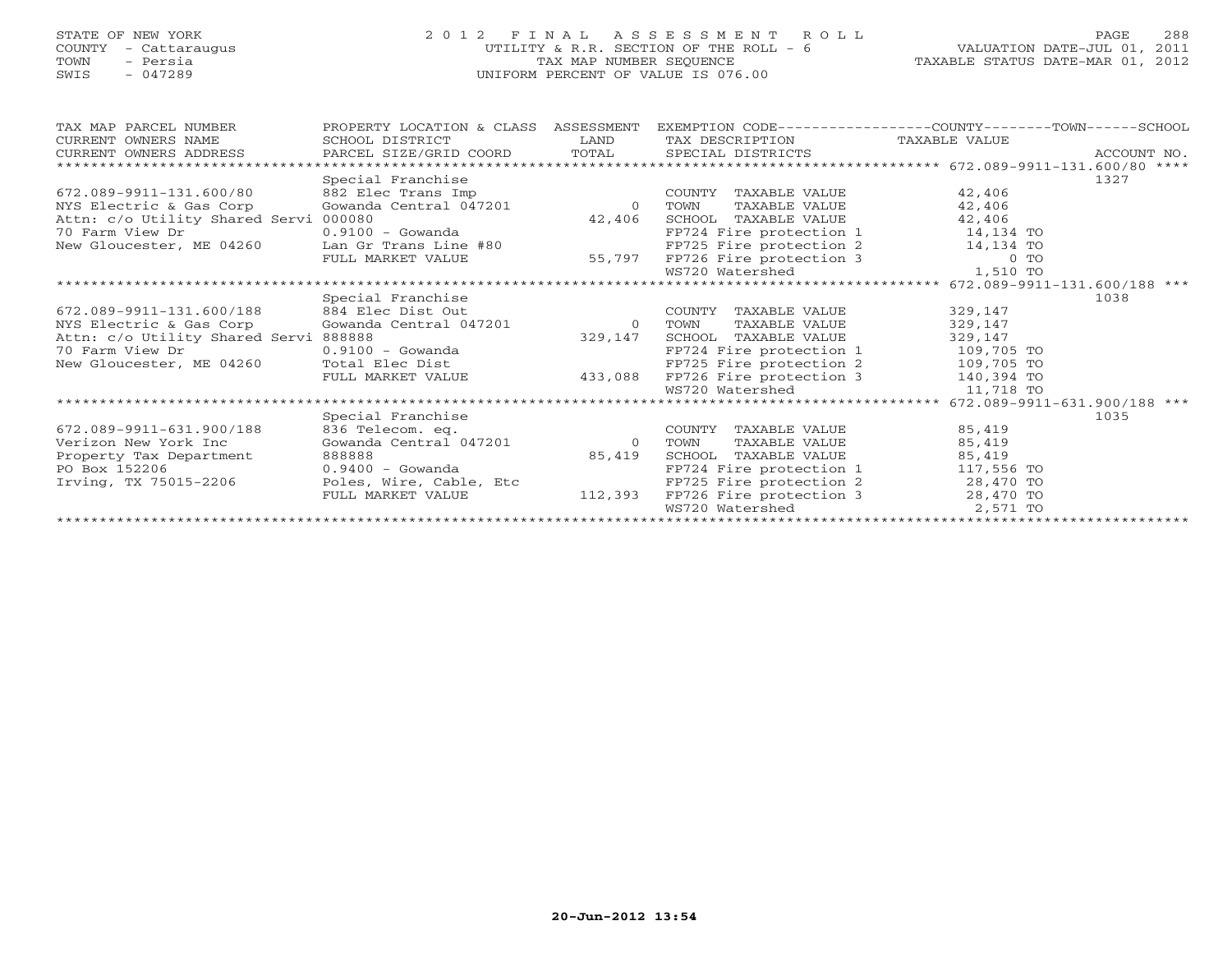## STATE OF NEW YORK 2 0 1 2 F I N A L A S S E S S M E N T R O L L PAGE 288 COUNTY - Cattaraugus UTILITY & R.R. SECTION OF THE ROLL - 6 VALUATION DATE-JUL 01, 2011 TOWN - Persia Champion of the TAX MAP NUMBER SEQUENCE TAXABLE STATUS DATE-MAR 01, 2012<br>TAXABLE STATUS DATE-MAR 01, 2012 SWIS - 047289 UNIFORM PERCENT OF VALUE IS 076.00

|                             |  | ---- |
|-----------------------------|--|------|
| ות ממש–המת המיצחי ה.yart. מ |  | 2012 |

| TAX MAP PARCEL NUMBER                          | PROPERTY LOCATION & CLASS ASSESSMENT EXEMPTION CODE---------------COUNTY-------TOWN------SCHOOL |          |                                                                                               |            |      |  |  |
|------------------------------------------------|-------------------------------------------------------------------------------------------------|----------|-----------------------------------------------------------------------------------------------|------------|------|--|--|
| CURRENT OWNERS NAME                            | SCHOOL DISTRICT                                                                                 | LAND     | TAX DESCRIPTION TAXABLE VALUE                                                                 |            |      |  |  |
| CURRENT OWNERS ADDRESS                         |                                                                                                 |          |                                                                                               |            |      |  |  |
| ******************************                 |                                                                                                 |          |                                                                                               |            |      |  |  |
|                                                | Special Franchise                                                                               |          |                                                                                               |            | 1327 |  |  |
| 672.089-9911-131.600/80                        | 882 Elec Trans Imp                                                                              |          | COUNTY TAXABLE VALUE                                                                          | 42,406     |      |  |  |
| NYS Electric & Gas Corp                        | Gowanda Central 047201                                                                          | $\Omega$ | TAXABLE VALUE<br>TOWN                                                                         | 42,406     |      |  |  |
| Attn: c/o Utility Shared Servi 000080          |                                                                                                 | 42,406   | SCHOOL TAXABLE VALUE                                                                          | 42,406     |      |  |  |
| 70 Farm View Dr                                | $0.9100 - Gowanda$                                                                              |          | FP724 Fire protection 1 14,134 TO                                                             |            |      |  |  |
| New Gloucester, ME 04260 Lan Gr Trans Line #80 |                                                                                                 |          | FP725 Fire protection 2 14,134 TO<br>FP726 Fire protection 3 0 TO<br>WS720 Watershed 1,510 TO |            |      |  |  |
|                                                | FULL MARKET VALUE                                                                               | 55,797   |                                                                                               |            |      |  |  |
|                                                |                                                                                                 |          |                                                                                               |            |      |  |  |
|                                                |                                                                                                 |          |                                                                                               |            |      |  |  |
|                                                | Special Franchise                                                                               |          |                                                                                               |            | 1038 |  |  |
| 672.089-9911-131.600/188                       | 884 Elec Dist Out                                                                               |          | COUNTY TAXABLE VALUE                                                                          | 329,147    |      |  |  |
| NYS Electric & Gas Corp                        | Gowanda Central 047201                                                                          | $\Omega$ | TOWN<br>TAXABLE VALUE                                                                         | 329,147    |      |  |  |
| Attn: c/o Utility Shared Servi 888888          |                                                                                                 | 329,147  | SCHOOL TAXABLE VALUE                                                                          | 329,147    |      |  |  |
| 70 Farm View Dr                                | 0.9100 - Gowanda                                                                                |          | FP724 Fire protection 1 109,705 TO                                                            |            |      |  |  |
| New Gloucester, ME 04260                       | Total Elec Dist                                                                                 |          | FP725 Fire protection 2 109,705 TO                                                            |            |      |  |  |
|                                                | FULL MARKET VALUE                                                                               | 433,088  | FP726 Fire protection 3 140,394 TO                                                            |            |      |  |  |
|                                                |                                                                                                 |          | WS720 Watershed 11,718 TO                                                                     |            |      |  |  |
|                                                |                                                                                                 |          |                                                                                               |            |      |  |  |
|                                                | Special Franchise                                                                               |          |                                                                                               |            | 1035 |  |  |
| 672.089-9911-631.900/188                       | 836 Telecom. eq.                                                                                |          | COUNTY TAXABLE VALUE                                                                          | 85,419     |      |  |  |
| Verizon New York Inc                           | Gowanda Central 047201                                                                          | $\circ$  | TAXABLE VALUE<br>TOWN                                                                         | 85,419     |      |  |  |
| Property Tax Department                        | 888888                                                                                          | 85,419   | SCHOOL TAXABLE VALUE                                                                          | 85,419     |      |  |  |
| PO Box 152206                                  | 0.9400 - Gowanda                                                                                |          | FP724 Fire protection 1                                                                       | 117,556 TO |      |  |  |
| Irving, TX 75015-2206                          | Poles, Wire, Cable, Etc                                                                         |          | FP725 Fire protection 2 28,470 TO                                                             |            |      |  |  |
|                                                | FULL MARKET VALUE                                                                               | 112,393  | FP726 Fire protection $3$ 28,470 TO                                                           |            |      |  |  |
|                                                |                                                                                                 |          | WS720 Watershed 2,571 TO                                                                      |            |      |  |  |
|                                                |                                                                                                 |          |                                                                                               |            |      |  |  |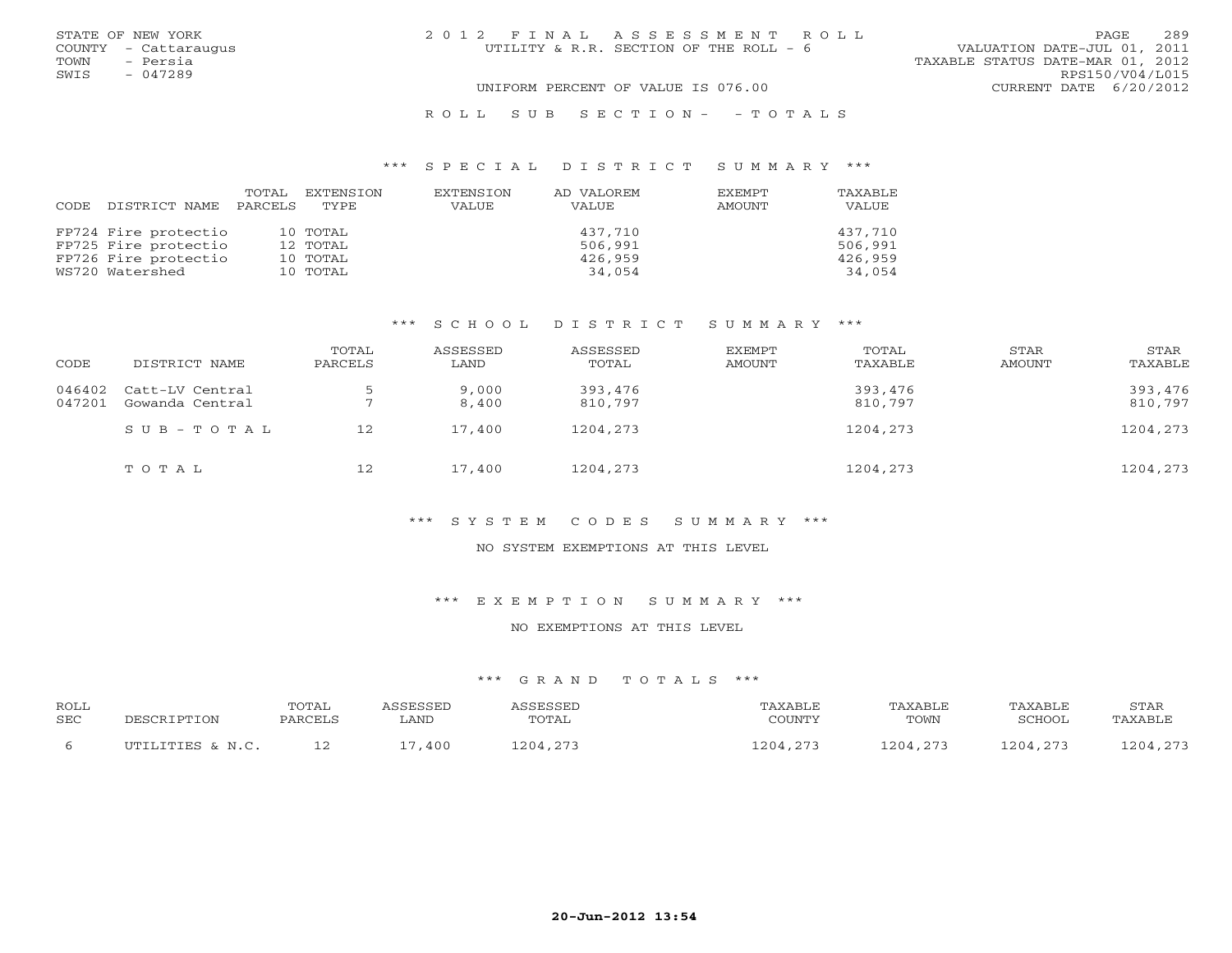| STATE OF NEW YORK    | 2012 FINAL ASSESSMENT ROLL             | PAGE                             | 289 |
|----------------------|----------------------------------------|----------------------------------|-----|
| COUNTY - Cattaraugus | UTILITY & R.R. SECTION OF THE ROLL - 6 | VALUATION DATE-JUL 01, 2011      |     |
| - Persia<br>TOWN     |                                        | TAXABLE STATUS DATE-MAR 01, 2012 |     |
| SWIS<br>$-047289$    |                                        | RPS150/V04/L015                  |     |
|                      | UNIFORM PERCENT OF VALUE IS 076.00     | CURRENT DATE $6/20/2012$         |     |
|                      | ROLL SUB SECTION- - TOTALS             |                                  |     |

# \*\*\* S P E C I A L D I S T R I C T S U M M A R Y \*\*\*

| CODE | DISTRICT NAME        | TOTAL<br>PARCELS | EXTENSION<br>TYPE | EXTENSION<br>VALUE | AD VALOREM<br>VALUE | <b>EXEMPT</b><br>AMOUNT | TAXABLE<br>VALUE |
|------|----------------------|------------------|-------------------|--------------------|---------------------|-------------------------|------------------|
|      | FP724 Fire protectio |                  | 10 TOTAL          |                    | 437,710             |                         | 437,710          |
|      | FP725 Fire protectio |                  | 12 TOTAL          |                    | 506,991             |                         | 506,991          |
|      | FP726 Fire protectio |                  | 10 TOTAL          |                    | 426,959             |                         | 426,959          |
|      | WS720 Watershed      |                  | 10 TOTAL          |                    | 34,054              |                         | 34,054           |

# \*\*\* S C H O O L D I S T R I C T S U M M A R Y \*\*\*

| CODE             | DISTRICT NAME                      | TOTAL<br>PARCELS | ASSESSED<br>LAND | ASSESSED<br>TOTAL  | <b>EXEMPT</b><br>AMOUNT | TOTAL<br>TAXABLE   | STAR<br><b>AMOUNT</b> | STAR<br>TAXABLE    |
|------------------|------------------------------------|------------------|------------------|--------------------|-------------------------|--------------------|-----------------------|--------------------|
| 046402<br>047201 | Catt-LV Central<br>Gowanda Central |                  | 9,000<br>8,400   | 393,476<br>810,797 |                         | 393,476<br>810,797 |                       | 393,476<br>810,797 |
|                  | $S \cup B - T \cup T A$            | 12               | 17,400           | 1204,273           |                         | 1204,273           |                       | 1204,273           |
|                  | TOTAL                              | 12               | 17,400           | 1204,273           |                         | 1204,273           |                       | 1204,273           |

# \*\*\* S Y S T E M C O D E S S U M M A R Y \*\*\*

#### NO SYSTEM EXEMPTIONS AT THIS LEVEL

\*\*\* E X E M P T I O N S U M M A R Y \*\*\*

## NO EXEMPTIONS AT THIS LEVEL

| <b>ROLL</b><br>SEC | DESCRIPTION      | TOTAL<br>PARCELS | <i><b>SSESSED</b></i><br>LAND | <b>ASSESSET</b><br>TOTAL | TAXABLE<br>COUNTY | TAXABLE<br>TOWN | TAXABLE<br>SCHOOL | <b>STAR</b><br>TAXABLE |
|--------------------|------------------|------------------|-------------------------------|--------------------------|-------------------|-----------------|-------------------|------------------------|
|                    | UTILITIES & N.C. |                  | .400<br>$\sim$                | 1204.273                 | 1204.273          | 1204 273        | 204,273           | 1204 273               |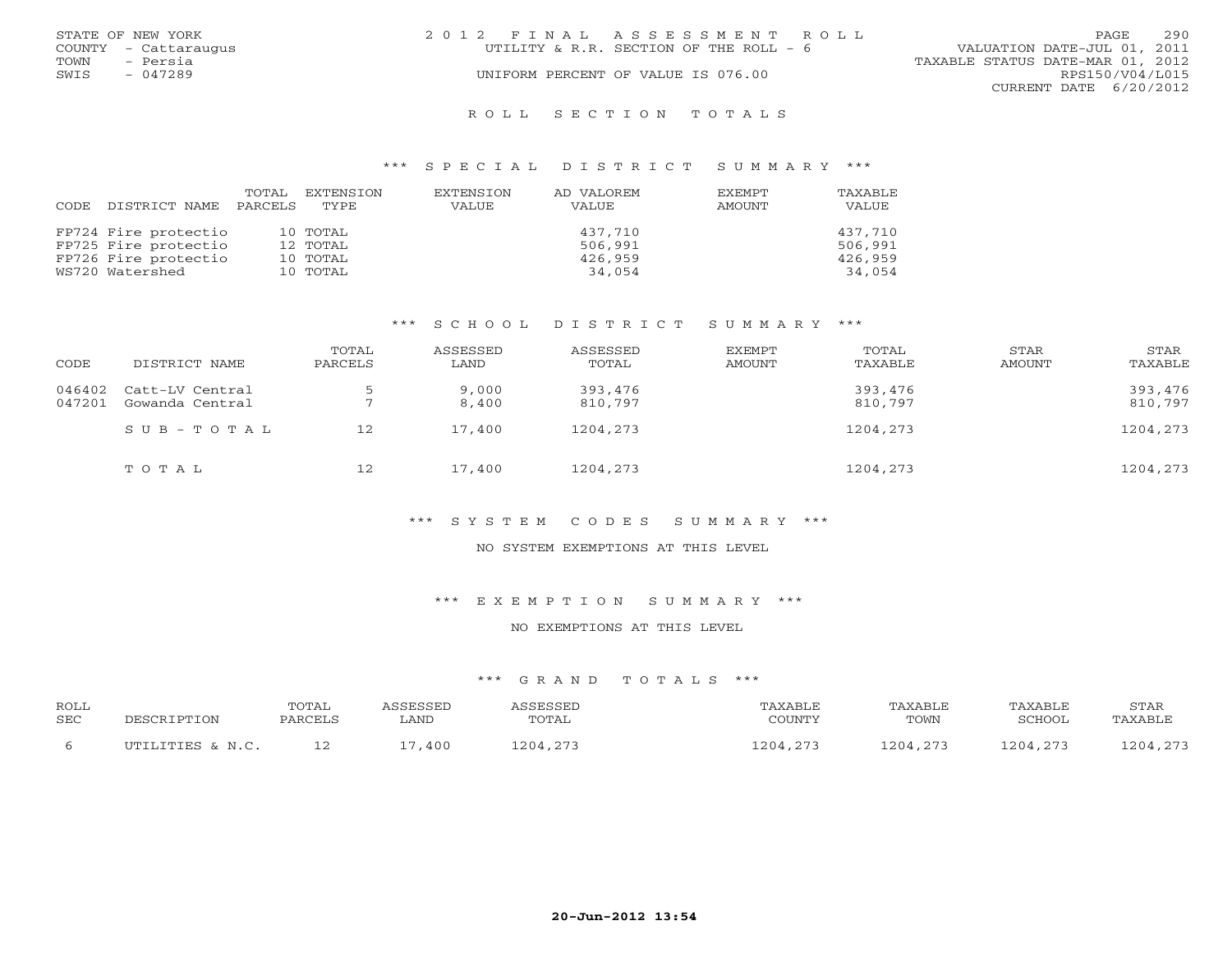|      | STATE OF NEW YORK    | 2012 FINAL ASSESSMENT ROLL             |                                  | PAGE            | 2.90 |
|------|----------------------|----------------------------------------|----------------------------------|-----------------|------|
|      | COUNTY - Cattaraugus | UTILITY & R.R. SECTION OF THE ROLL - 6 | VALUATION DATE-JUL 01, 2011      |                 |      |
| TOWN | - Persia             |                                        | TAXABLE STATUS DATE-MAR 01, 2012 |                 |      |
| SWIS | $-047289$            | UNIFORM PERCENT OF VALUE IS 076.00     |                                  | RPS150/V04/L015 |      |
|      |                      |                                        | CURRENT DATE 6/20/2012           |                 |      |
|      |                      |                                        |                                  |                 |      |

#### R O L L S E C T I O N T O T A L S

### \*\*\* S P E C I A L D I S T R I C T S U M M A R Y \*\*\*

| CODE | DISTRICT NAME        | TOTAL<br>PARCELS | EXTENSION<br>TYPE. | EXTENSION<br>VALUE | AD VALOREM<br><b>VALUE</b> | <b>EXEMPT</b><br>AMOUNT | TAXABLE<br>VALUE |
|------|----------------------|------------------|--------------------|--------------------|----------------------------|-------------------------|------------------|
|      | FP724 Fire protectio |                  | 10 TOTAL           |                    | 437,710                    |                         | 437,710          |
|      | FP725 Fire protectio |                  | 12 TOTAL           |                    | 506,991                    |                         | 506,991          |
|      | FP726 Fire protectio |                  | 10 TOTAL           |                    | 426,959                    |                         | 426,959          |
|      | WS720 Watershed      |                  | 10 TOTAL           |                    | 34,054                     |                         | 34,054           |

# \*\*\* S C H O O L D I S T R I C T S U M M A R Y \*\*\*

| CODE             | DISTRICT NAME                      | TOTAL<br>PARCELS | ASSESSED<br>LAND | ASSESSED<br>TOTAL  | EXEMPT<br>AMOUNT | TOTAL<br>TAXABLE   | STAR<br>AMOUNT | STAR<br>TAXABLE    |
|------------------|------------------------------------|------------------|------------------|--------------------|------------------|--------------------|----------------|--------------------|
| 046402<br>047201 | Catt-LV Central<br>Gowanda Central |                  | 9,000<br>8,400   | 393,476<br>810,797 |                  | 393,476<br>810,797 |                | 393,476<br>810,797 |
|                  | $SUB - TO T AL$                    | 12               | 17,400           | 1204,273           |                  | 1204,273           |                | 1204,273           |
|                  | TOTAL                              | 12               | 17,400           | 1204,273           |                  | 1204,273           |                | 1204,273           |

# \*\*\* S Y S T E M C O D E S S U M M A R Y \*\*\*

#### NO SYSTEM EXEMPTIONS AT THIS LEVEL

\*\*\* E X E M P T I O N S U M M A R Y \*\*\*

#### NO EXEMPTIONS AT THIS LEVEL

| ROLL<br><b>SEC</b> | PESCRIPTION      | TOTAL<br>PARCELS | <i><b>\SSESSED</b></i><br>LAND | <b><i>ASSESSED</i></b><br>TOTAL | PAXABLE<br>COUNTY | TAXABLE<br>TOWN | TAXABLE<br>SCHOOL | STAR<br>TAXABLE |
|--------------------|------------------|------------------|--------------------------------|---------------------------------|-------------------|-----------------|-------------------|-----------------|
|                    | UTILITIES & N.C. |                  | ,400                           | 1204,273                        | 1204.273          | 1204.273        | 1204,273          | 1204,273        |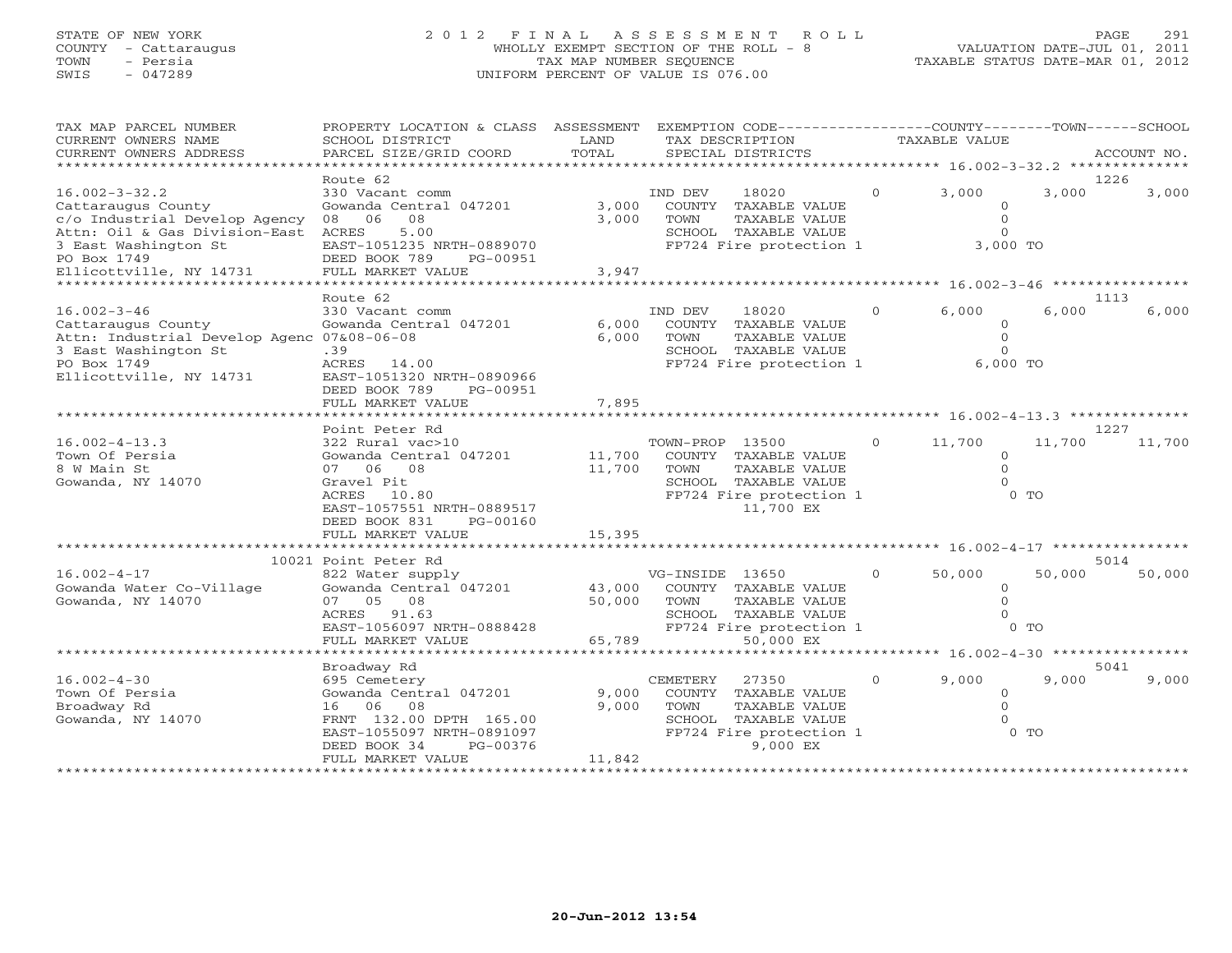# STATE OF NEW YORK 2 0 1 2 F I N A L A S S E S S M E N T R O L L PAGE 291 COUNTY - Cattaraugus WHOLLY EXEMPT SECTION OF THE ROLL - 8 VALUATION DATE-JUL 01, 2011 TOWN - Persia TAX MAP NUMBER SEQUENCE TAXABLE STATUS DATE-MAR 01, 2012 SWIS - 047289 UNIFORM PERCENT OF VALUE IS 076.00

| TAX MAP PARCEL NUMBER<br>CURRENT OWNERS NAME<br>CURRENT OWNERS ADDRESS                                                                                  | PROPERTY LOCATION & CLASS ASSESSMENT<br>SCHOOL DISTRICT<br>PARCEL SIZE/GRID COORD                                                                                                    | LAND<br>TOTAL              | EXEMPTION CODE-----------------COUNTY-------TOWN------SCHOOL<br>TAX DESCRIPTION<br>SPECIAL DISTRICTS                                     |          | <b>TAXABLE VALUE</b>                                      |                          | ACCOUNT NO. |
|---------------------------------------------------------------------------------------------------------------------------------------------------------|--------------------------------------------------------------------------------------------------------------------------------------------------------------------------------------|----------------------------|------------------------------------------------------------------------------------------------------------------------------------------|----------|-----------------------------------------------------------|--------------------------|-------------|
| ***********************                                                                                                                                 |                                                                                                                                                                                      |                            |                                                                                                                                          |          |                                                           |                          |             |
| $16.002 - 3 - 32.2$<br>Cattaraugus County<br>c/o Industrial Develop Agency<br>Attn: Oil & Gas Division-East<br>3 East Washington St<br>PO Box 1749      | Route 62<br>330 Vacant comm<br>Gowanda Central 047201<br>06<br>08<br>08<br>ACRES<br>5.00<br>EAST-1051235 NRTH-0889070<br>DEED BOOK 789<br>PG-00951                                   | 3,000<br>3,000             | 18020<br>IND DEV<br>COUNTY TAXABLE VALUE<br>TOWN<br>TAXABLE VALUE<br>SCHOOL TAXABLE VALUE<br>FP724 Fire protection 1                     | $\Omega$ | 3,000<br>$\circ$<br>$\Omega$<br>$\Omega$<br>3,000 TO      | 1226<br>3,000            | 3,000       |
| Ellicottville, NY 14731<br>**********************                                                                                                       | FULL MARKET VALUE<br>**************************                                                                                                                                      | 3,947                      |                                                                                                                                          |          |                                                           |                          |             |
|                                                                                                                                                         | Route 62                                                                                                                                                                             |                            |                                                                                                                                          |          |                                                           | 1113                     |             |
| $16.002 - 3 - 46$<br>Cattaraugus County<br>Attn: Industrial Develop Agenc 07&08-06-08<br>3 East Washington St<br>PO Box 1749<br>Ellicottville, NY 14731 | 330 Vacant comm<br>Gowanda Central 047201<br>.39<br>ACRES 14.00<br>EAST-1051320 NRTH-0890966<br>DEED BOOK 789<br>PG-00951<br>FULL MARKET VALUE                                       | 6,000<br>6,000<br>7,895    | IND DEV<br>18020<br>COUNTY TAXABLE VALUE<br>TAXABLE VALUE<br>TOWN<br>SCHOOL TAXABLE VALUE<br>FP724 Fire protection 1                     | $\circ$  | 6,000<br>$\Omega$<br>$\mathbf{0}$<br>$\Omega$<br>6,000 TO | 6,000                    | 6,000       |
|                                                                                                                                                         |                                                                                                                                                                                      |                            |                                                                                                                                          |          |                                                           |                          |             |
| $16.002 - 4 - 13.3$<br>Town Of Persia<br>8 W Main St<br>Gowanda, NY 14070                                                                               | Point Peter Rd<br>322 Rural vac>10<br>Gowanda Central 047201<br>07 06 08<br>Gravel Pit<br>ACRES 10.80<br>EAST-1057551 NRTH-0889517<br>DEED BOOK 831<br>PG-00160<br>FULL MARKET VALUE | 11,700<br>11,700<br>15,395 | TOWN-PROP 13500<br>COUNTY TAXABLE VALUE<br>TOWN<br>TAXABLE VALUE<br>SCHOOL TAXABLE VALUE<br>FP724 Fire protection 1<br>11,700 EX         | $\Omega$ | 11,700<br>$\Omega$<br>$\Omega$<br>$\cap$                  | 1227<br>11,700<br>$0$ TO | 11,700      |
|                                                                                                                                                         | **********************                                                                                                                                                               |                            |                                                                                                                                          |          |                                                           |                          |             |
|                                                                                                                                                         | 10021 Point Peter Rd                                                                                                                                                                 |                            |                                                                                                                                          |          |                                                           |                          | 5014        |
| $16.002 - 4 - 17$<br>Gowanda Water Co-Village<br>Gowanda, NY 14070                                                                                      | 822 Water supply<br>Gowanda Central 047201<br>07 05<br>08<br>ACRES 91.63<br>EAST-1056097 NRTH-0888428<br>FULL MARKET VALUE                                                           | 43,000<br>50,000<br>65,789 | VG-INSIDE 13650<br>COUNTY TAXABLE VALUE<br>TAXABLE VALUE<br>TOWN<br>SCHOOL TAXABLE VALUE<br>FP724 Fire protection 1<br>50,000 EX         | $\circ$  | 50,000<br>$\mathbf{O}$<br>$\Omega$<br>$\Omega$            | 50,000<br>$0$ TO         | 50,000      |
|                                                                                                                                                         |                                                                                                                                                                                      |                            |                                                                                                                                          |          |                                                           |                          |             |
|                                                                                                                                                         | Broadway Rd                                                                                                                                                                          |                            |                                                                                                                                          |          |                                                           | 5041                     |             |
| $16.002 - 4 - 30$<br>Town Of Persia<br>Broadway Rd<br>Gowanda, NY 14070                                                                                 | 695 Cemetery<br>Gowanda Central 047201<br>16 06<br>08<br>FRNT 132.00 DPTH 165.00<br>EAST-1055097 NRTH-0891097<br>DEED BOOK 34<br>PG-00376<br>FULL MARKET VALUE                       | 9,000<br>9,000<br>11,842   | <b>CEMETERY</b><br>27350<br>COUNTY TAXABLE VALUE<br>TOWN<br>TAXABLE VALUE<br>SCHOOL TAXABLE VALUE<br>FP724 Fire protection 1<br>9,000 EX | $\Omega$ | 9,000<br>$\circ$<br>$\Omega$                              | 9.000<br>$0$ TO          | 9,000       |
|                                                                                                                                                         | ********************                                                                                                                                                                 |                            |                                                                                                                                          |          |                                                           |                          |             |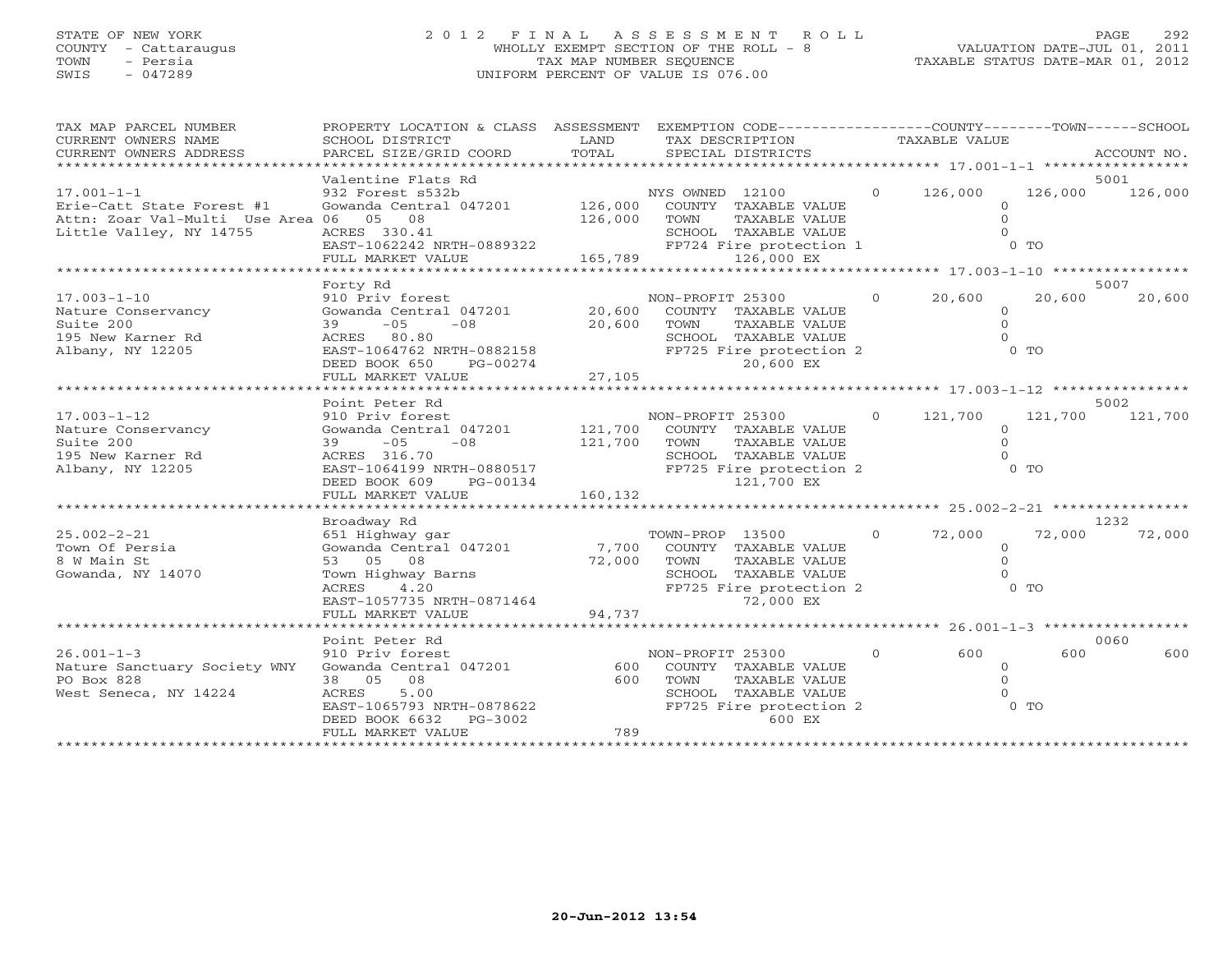# STATE OF NEW YORK 2 0 1 2 F I N A L A S S E S S M E N T R O L L PAGE 292 COUNTY - Cattaraugus WHOLLY EXEMPT SECTION OF THE ROLL - 8 VALUATION DATE-JUL 01, 2011 TOWN - Persia TAX MAP NUMBER SEQUENCE TAXABLE STATUS DATE-MAR 01, 2012 SWIS - 047289 UNIFORM PERCENT OF VALUE IS 076.00

| TAX MAP PARCEL NUMBER<br>CURRENT OWNERS NAME<br>CURRENT OWNERS ADDRESS | PROPERTY LOCATION & CLASS ASSESSMENT<br>SCHOOL DISTRICT<br>PARCEL SIZE/GRID COORD<br>**************** | LAND<br>TOTAL | EXEMPTION CODE-----------------COUNTY-------TOWN------SCHOOL<br>TAX DESCRIPTION TAXABLE VALUE<br>SPECIAL DISTRICTS |                |                                                    |         | ACCOUNT NO.     |
|------------------------------------------------------------------------|-------------------------------------------------------------------------------------------------------|---------------|--------------------------------------------------------------------------------------------------------------------|----------------|----------------------------------------------------|---------|-----------------|
|                                                                        |                                                                                                       |               |                                                                                                                    |                |                                                    |         |                 |
| $17.001 - 1 - 1$<br>Erie-Catt State Forest #1                          | Valentine Flats Rd<br>932 Forest s532b<br>Gowanda Central 047201                                      | 126,000       | NYS OWNED 12100<br>COUNTY TAXABLE VALUE                                                                            | $\Omega$       | 126,000<br>$\Omega$                                | 126,000 | 5001<br>126,000 |
| Attn: Zoar Val-Multi Use Area 06 05 08<br>Little Valley, NY 14755      | ACRES 330.41<br>EAST-1062242 NRTH-0889322                                                             | 126,000       | TOWN<br>TAXABLE VALUE<br>SCHOOL TAXABLE VALUE<br>FP724 Fire protection 1                                           |                | $\Omega$                                           | $0$ TO  |                 |
|                                                                        | FULL MARKET VALUE                                                                                     | 165,789       | 126,000 EX                                                                                                         |                |                                                    |         |                 |
|                                                                        |                                                                                                       |               |                                                                                                                    |                | ******************** 17.003-1-10 ***************** |         |                 |
|                                                                        | Forty Rd                                                                                              |               |                                                                                                                    |                |                                                    |         | 5007            |
| $17.003 - 1 - 10$                                                      | 910 Priv forest                                                                                       |               | NON-PROFIT 25300                                                                                                   | $\circ$        | 20,600                                             | 20,600  | 20,600          |
| Nature Conservancy                                                     | Gowanda Central 047201                                                                                | 20,600        | COUNTY TAXABLE VALUE                                                                                               |                | $\Omega$                                           |         |                 |
| Suite 200                                                              | $39 - 05$<br>$-08$                                                                                    | 20,600        | TOWN<br>TAXABLE VALUE                                                                                              |                | $\Omega$                                           |         |                 |
| 195 New Karner Rd                                                      | ACRES 80.80                                                                                           |               | SCHOOL TAXABLE VALUE                                                                                               |                |                                                    |         |                 |
| Albany, NY 12205                                                       | EAST-1064762 NRTH-0882158<br>DEED BOOK 650<br>PG-00274                                                |               | FP725 Fire protection 2<br>20,600 EX                                                                               |                |                                                    | $0$ TO  |                 |
|                                                                        | FULL MARKET VALUE                                                                                     | 27,105        |                                                                                                                    |                |                                                    |         |                 |
|                                                                        |                                                                                                       |               |                                                                                                                    |                |                                                    |         |                 |
|                                                                        | Point Peter Rd                                                                                        |               |                                                                                                                    |                |                                                    |         | 5002            |
| $17.003 - 1 - 12$                                                      | 910 Priv forest                                                                                       |               | NON-PROFIT 25300                                                                                                   | $\overline{0}$ | 121,700                                            | 121,700 | 121,700         |
| Nature Conservancy                                                     | Gowanda Central 047201                                                                                | 121,700       | COUNTY TAXABLE VALUE                                                                                               |                | $\circ$                                            |         |                 |
| Suite 200                                                              | $-05$<br>$-08$<br>39                                                                                  | 121,700       | TAXABLE VALUE<br>TOWN                                                                                              |                |                                                    |         |                 |
| 195 New Karner Rd                                                      | ACRES 316.70                                                                                          |               | SCHOOL TAXABLE VALUE                                                                                               |                |                                                    |         |                 |
| Albany, NY 12205                                                       | EAST-1064199 NRTH-0880517<br>DEED BOOK 609<br>PG-00134                                                |               | FP725 Fire protection 2<br>121,700 EX                                                                              |                |                                                    | $0$ TO  |                 |
|                                                                        | FULL MARKET VALUE                                                                                     | 160,132       |                                                                                                                    |                |                                                    |         |                 |
|                                                                        |                                                                                                       |               |                                                                                                                    |                |                                                    |         |                 |
|                                                                        | Broadway Rd                                                                                           |               |                                                                                                                    |                |                                                    |         | 1232            |
| $25.002 - 2 - 21$                                                      | 651 Highway gar                                                                                       |               | TOWN-PROP 13500                                                                                                    | $\circ$        | 72,000                                             | 72,000  | 72,000          |
| Town Of Persia                                                         | Gowanda Central 047201                                                                                | 7,700         | COUNTY TAXABLE VALUE                                                                                               |                | $\circ$                                            |         |                 |
|                                                                        | 53 05 08                                                                                              |               |                                                                                                                    |                | $\Omega$                                           |         |                 |
| 8 W Main St                                                            |                                                                                                       | 72,000        | TOWN<br>TAXABLE VALUE                                                                                              |                |                                                    |         |                 |
| Gowanda, NY 14070                                                      | Town Highway Barns                                                                                    |               | SCHOOL TAXABLE VALUE                                                                                               |                |                                                    |         |                 |
|                                                                        | 4.20<br>ACRES                                                                                         |               | FP725 Fire protection 2                                                                                            |                |                                                    | $0$ TO  |                 |
|                                                                        | EAST-1057735 NRTH-0871464                                                                             |               | 72,000 EX                                                                                                          |                |                                                    |         |                 |
|                                                                        | FULL MARKET VALUE                                                                                     | 94,737        |                                                                                                                    |                |                                                    |         |                 |
|                                                                        |                                                                                                       |               |                                                                                                                    |                |                                                    |         |                 |
|                                                                        | Point Peter Rd                                                                                        |               |                                                                                                                    |                |                                                    |         | 0060            |
| $26.001 - 1 - 3$                                                       | 910 Priv forest                                                                                       |               | NON-PROFIT 25300                                                                                                   | $\circ$        | 600                                                | 600     | 600             |
| Nature Sanctuary Society WNY                                           | Gowanda Central 047201                                                                                | 600           | COUNTY TAXABLE VALUE                                                                                               |                | $\Omega$                                           |         |                 |
| PO Box 828                                                             | 38 05 08                                                                                              | 600           | TOWN<br>TAXABLE VALUE                                                                                              |                |                                                    |         |                 |
| West Seneca, NY 14224                                                  | 5.00<br>ACRES                                                                                         |               | SCHOOL TAXABLE VALUE                                                                                               |                |                                                    |         |                 |
|                                                                        | EAST-1065793 NRTH-0878622                                                                             |               | FP725 Fire protection 2                                                                                            |                |                                                    | $0$ TO  |                 |
|                                                                        | PG-3002<br>DEED BOOK 6632                                                                             |               | 600 EX                                                                                                             |                |                                                    |         |                 |
|                                                                        | FULL MARKET VALUE                                                                                     | 789           |                                                                                                                    |                |                                                    |         |                 |
|                                                                        |                                                                                                       |               |                                                                                                                    |                |                                                    |         |                 |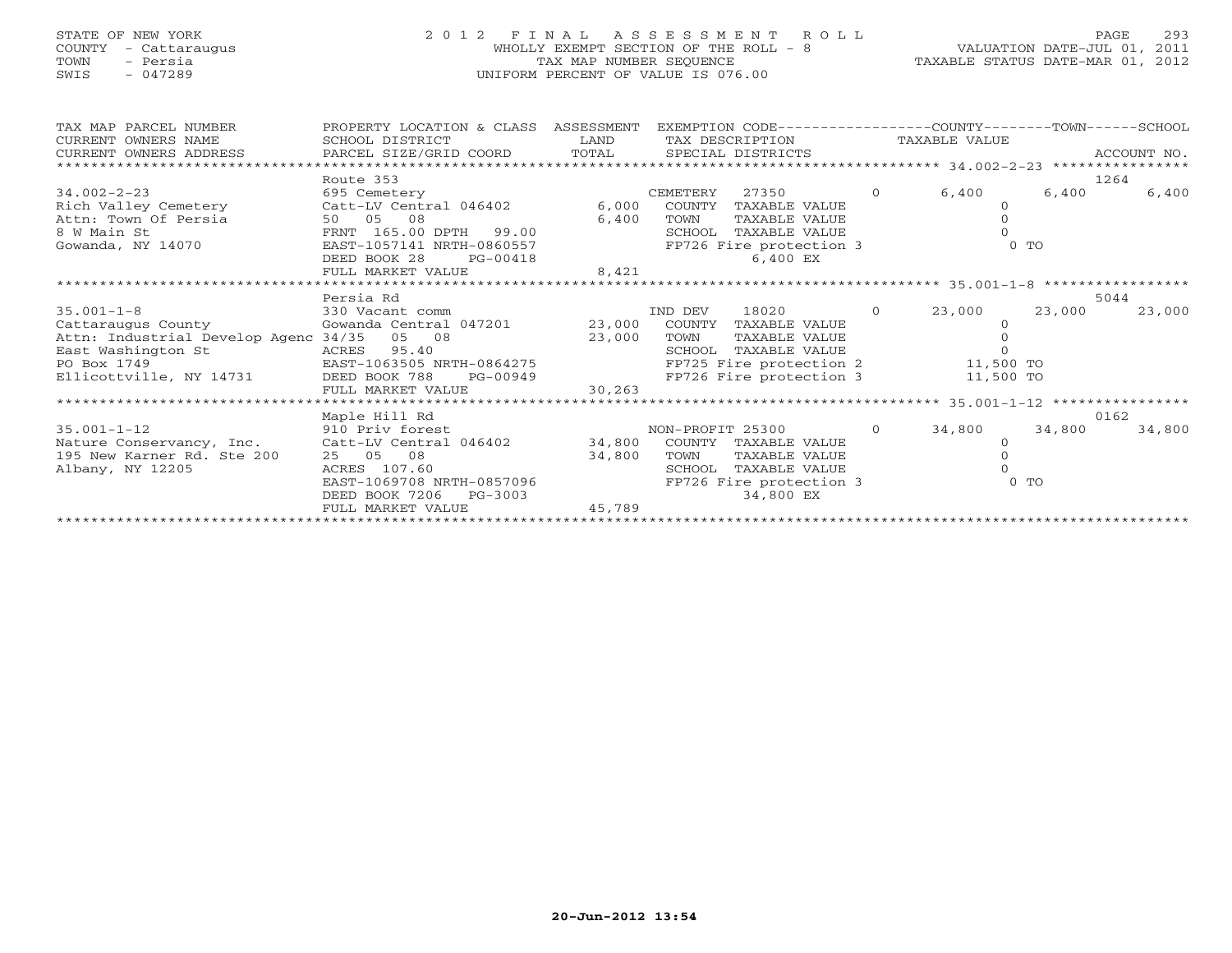# STATE OF NEW YORK 2 0 1 2 F I N A L A S S E S S M E N T R O L L PAGE 293 COUNTY - Cattaraugus WHOLLY EXEMPT SECTION OF THE ROLL - 8 VALUATION DATE-JUL 01, 2011 TOWN - Persia TAX MAP NUMBER SEQUENCE TAXABLE STATUS DATE-MAR 01, 2012 SWIS - 047289 UNIFORM PERCENT OF VALUE IS 076.00

| TAX MAP PARCEL NUMBER                                                                    | PROPERTY LOCATION & CLASS ASSESSMENT |        | EXEMPTION CODE-----------------COUNTY-------TOWN-----SCHOOL |                   |           |        |             |
|------------------------------------------------------------------------------------------|--------------------------------------|--------|-------------------------------------------------------------|-------------------|-----------|--------|-------------|
| CURRENT OWNERS NAME                                                                      | SCHOOL DISTRICT                      | LAND   | TAX DESCRIPTION TAXABLE VALUE                               |                   |           |        |             |
| CURRENT OWNERS ADDRESS         PARCEL SIZE/GRID COORD       TOTAL      SPECIAL DISTRICTS |                                      |        |                                                             |                   |           |        | ACCOUNT NO. |
|                                                                                          |                                      |        |                                                             |                   |           |        |             |
|                                                                                          | Route 353                            |        |                                                             |                   |           | 1264   |             |
| $34.002 - 2 - 23$                                                                        | 695 Cemetery                         |        | 27350<br>CEMETERY                                           | $\overline{0}$    | 6,400     | 6,400  | 6,400       |
| Rich Valley Cemetery                                                                     | Catt-LV Central 046402               | 6,000  | COUNTY<br>TAXABLE VALUE                                     |                   | $\Omega$  |        |             |
| Attn: Town Of Persia                                                                     | 08<br>50 05                          | 6,400  | TAXABLE VALUE<br>TOWN                                       |                   |           |        |             |
| 8 W Main St                                                                              | FRNT 165.00 DPTH 99.00               |        | TAXABLE VALUE<br>SCHOOL                                     |                   |           |        |             |
| Gowanda, NY 14070                                                                        | EAST-1057141 NRTH-0860557            |        | FP726 Fire protection 3                                     |                   |           | $0$ To |             |
|                                                                                          | DEED BOOK 28<br>PG-00418             |        | 6,400 EX                                                    |                   |           |        |             |
|                                                                                          | FULL MARKET VALUE                    | 8,421  |                                                             |                   |           |        |             |
|                                                                                          |                                      |        |                                                             |                   |           |        |             |
|                                                                                          | Persia Rd                            |        |                                                             |                   |           |        | 5044        |
| $35.001 - 1 - 8$                                                                         | 330 Vacant comm                      |        | 18020 000<br>IND DEV                                        | $0 \qquad \qquad$ | 23,000    | 23,000 | 23,000      |
| Cattaraugus County                                                                       | Gowanda Central 047201 23,000        |        | COUNTY<br>TAXABLE VALUE                                     |                   |           |        |             |
| Attn: Industrial Develop Agenc 34/35 05 08                                               |                                      |        | TOWN<br>TAXABLE VALUE                                       |                   |           |        |             |
|                                                                                          |                                      | 23,000 | SCHOOL<br>TAXABLE VALUE                                     |                   |           |        |             |
| PO Box 1749                                                                              |                                      |        | FP725 Fire protection 2 11,500 TO                           |                   |           |        |             |
|                                                                                          |                                      |        | FP726 Fire protection 3                                     |                   | 11,500 TO |        |             |
|                                                                                          | FULL MARKET VALUE                    | 30,263 |                                                             |                   |           |        |             |
|                                                                                          |                                      |        |                                                             |                   |           |        |             |
|                                                                                          | Maple Hill Rd                        |        |                                                             |                   |           |        | 0162        |
|                                                                                          |                                      |        |                                                             | $\overline{0}$    |           |        |             |
| $35.001 - 1 - 12$                                                                        | 910 Priv forest                      |        | NON-PROFIT 25300                                            |                   | 34,800    | 34,800 | 34,800      |
| Nature Conservancy, Inc. Catt-LV Central 046402                                          |                                      | 34,800 | COUNTY<br>TAXABLE VALUE                                     |                   | $\Omega$  |        |             |
| 195 New Karner Rd. Ste 200                                                               | 25 05 08                             | 34,800 | TAXABLE VALUE<br>TOWN                                       |                   |           |        |             |
| Albany, NY 12205                                                                         | ACRES 107.60                         |        | TAXABLE VALUE<br>SCHOOL                                     |                   |           |        |             |
|                                                                                          | EAST-1069708 NRTH-0857096            |        | FP726 Fire protection 3                                     |                   |           | $0$ TO |             |
|                                                                                          | DEED BOOK 7206<br>PG-3003            |        | 34,800 EX                                                   |                   |           |        |             |
|                                                                                          | FULL MARKET VALUE                    | 45,789 |                                                             |                   |           |        |             |
|                                                                                          |                                      |        |                                                             |                   |           |        |             |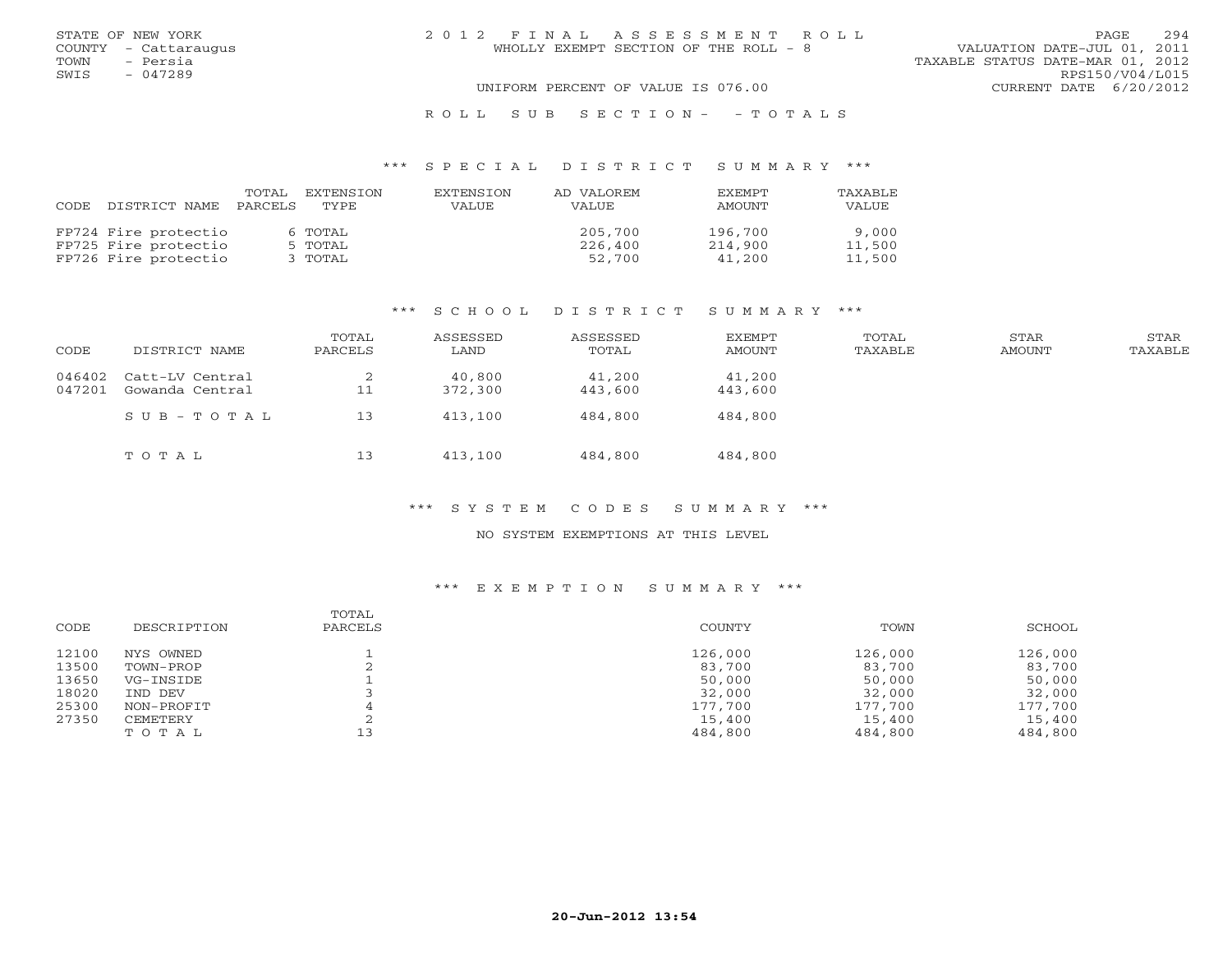| STATE OF NEW YORK    | 2012 FINAL ASSESSMENT ROLL            | 294<br><b>PAGE</b>               |
|----------------------|---------------------------------------|----------------------------------|
| COUNTY - Cattaraugus | WHOLLY EXEMPT SECTION OF THE ROLL - 8 | VALUATION DATE-JUL 01, 2011      |
| TOWN - Persia        |                                       | TAXABLE STATUS DATE-MAR 01, 2012 |
| SWIS<br>- 047289     |                                       | RPS150/V04/L015                  |
|                      | UNIFORM PERCENT OF VALUE IS 076.00    | CURRENT DATE 6/20/2012           |
|                      | ROLL SUB SECTION- - TOTALS            |                                  |

# \*\*\* S P E C I A L D I S T R I C T S U M M A R Y \*\*\*

| CODE. | DISTRICT NAME        | TOTAL<br>PARCELS | EXTENSTON<br>TYPE | EXTENSTON<br>VALUE. | AD VALOREM<br>VALUE. | <b>FXFMPT</b><br>AMOUNT | TAXABLE<br>VALUE |
|-------|----------------------|------------------|-------------------|---------------------|----------------------|-------------------------|------------------|
|       | FP724 Fire protectio |                  | 6 TOTAL           |                     | 205,700              | 196,700                 | 9,000            |
|       | FP725 Fire protectio |                  | 5 TOTAL           |                     | 226,400              | 214,900                 | 11,500           |
|       | FP726 Fire protectio |                  | 3 TOTAL           |                     | 52,700               | 41,200                  | 11,500           |

# \*\*\* S C H O O L D I S T R I C T S U M M A R Y \*\*\*

| CODE             | DISTRICT NAME                      | TOTAL<br>PARCELS | ASSESSED<br>LAND  | ASSESSED<br>TOTAL | EXEMPT<br>AMOUNT  | TOTAL<br>TAXABLE | STAR<br>AMOUNT | STAR<br>TAXABLE |
|------------------|------------------------------------|------------------|-------------------|-------------------|-------------------|------------------|----------------|-----------------|
| 046402<br>047201 | Catt-LV Central<br>Gowanda Central | ∠<br>11          | 40,800<br>372,300 | 41,200<br>443,600 | 41,200<br>443,600 |                  |                |                 |
|                  | $SUB - TO T AL$                    | 13               | 413,100           | 484,800           | 484,800           |                  |                |                 |
|                  | TOTAL                              | 13               | 413,100           | 484,800           | 484,800           |                  |                |                 |

# \*\*\* S Y S T E M C O D E S S U M M A R Y \*\*\*

#### NO SYSTEM EXEMPTIONS AT THIS LEVEL

| CODE  | DESCRIPTION | TOTAL<br>PARCELS | COUNTY  | TOWN    | SCHOOL  |
|-------|-------------|------------------|---------|---------|---------|
| 12100 | NYS OWNED   |                  | 126,000 | 126,000 | 126,000 |
| 13500 | TOWN-PROP   |                  | 83,700  | 83,700  | 83,700  |
| 13650 | VG-INSIDE   |                  | 50,000  | 50,000  | 50,000  |
| 18020 | IND DEV     |                  | 32,000  | 32,000  | 32,000  |
| 25300 | NON-PROFIT  |                  | 177,700 | 177,700 | 177,700 |
| 27350 | CEMETERY    |                  | 15,400  | 15,400  | 15,400  |
|       | TOTAL       |                  | 484,800 | 484,800 | 484,800 |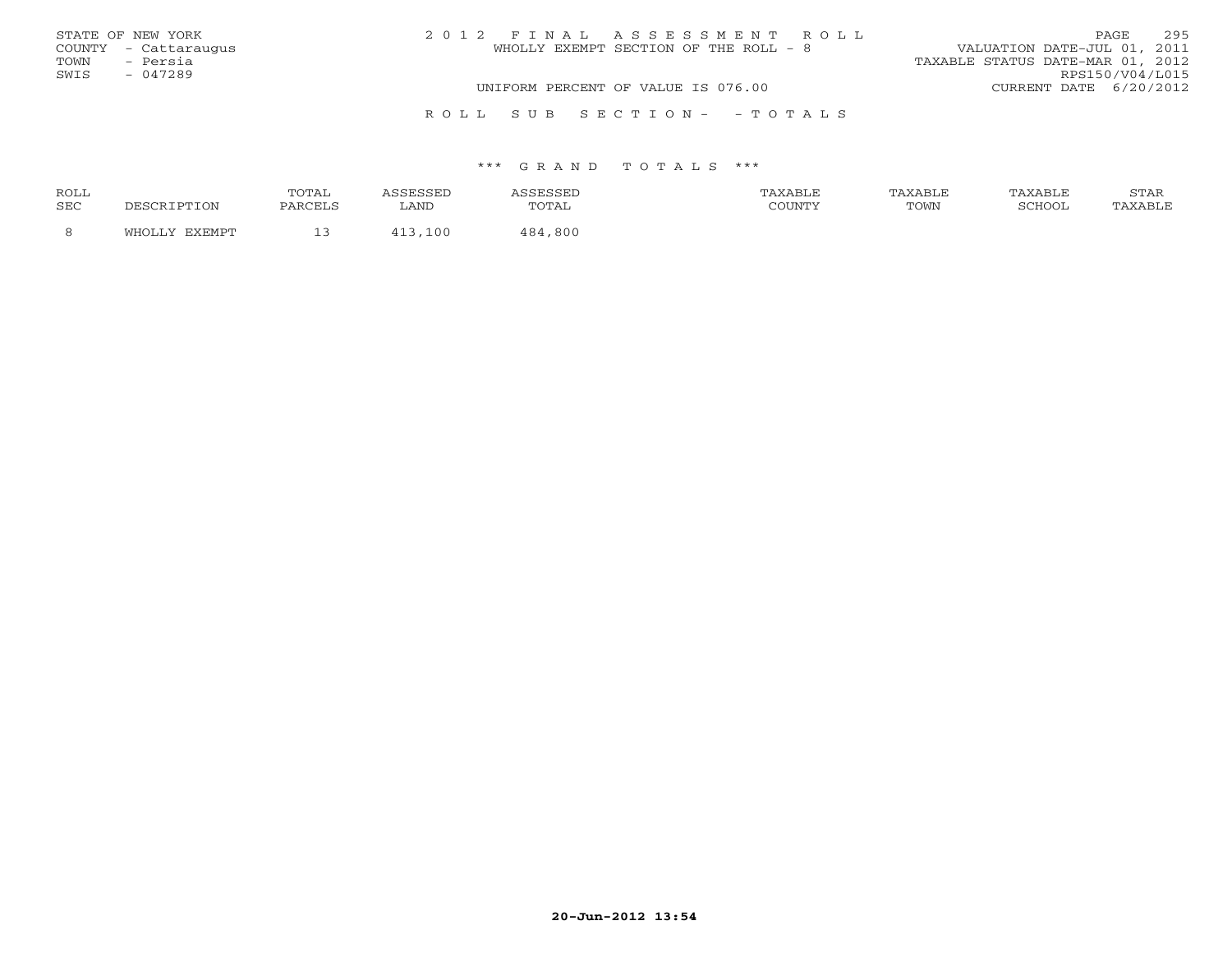|      | STATE OF NEW YORK    | 2012 FINAL ASSESSMENT ROLL            | <b>PAGE</b>                      | 295 |
|------|----------------------|---------------------------------------|----------------------------------|-----|
|      | COUNTY - Cattaraugus | WHOLLY EXEMPT SECTION OF THE ROLL - 8 | VALUATION DATE-JUL 01, 2011      |     |
| TOWN | - Persia             |                                       | TAXABLE STATUS DATE-MAR 01, 2012 |     |
| SWIS | $-047289$            |                                       | RPS150/V04/L015                  |     |
|      |                      | UNIFORM PERCENT OF VALUE IS 076.00    | CURRENT DATE 6/20/2012           |     |
|      |                      | ROLL SUB SECTION- - TOTALS            |                                  |     |

| ROLL       |          | <b>TOTA1</b> |      |            | <b>XABLF</b> | AXABLE | TAXABLE | <b>CERT</b><br>י בתיכו |
|------------|----------|--------------|------|------------|--------------|--------|---------|------------------------|
| <b>SEC</b> | TION T   | PARCELS      | LAND | utal       | COUNTY       | TOWN   | COHOOT  |                        |
|            | . דרו די | --           | 100  | 800<br>181 |              |        |         |                        |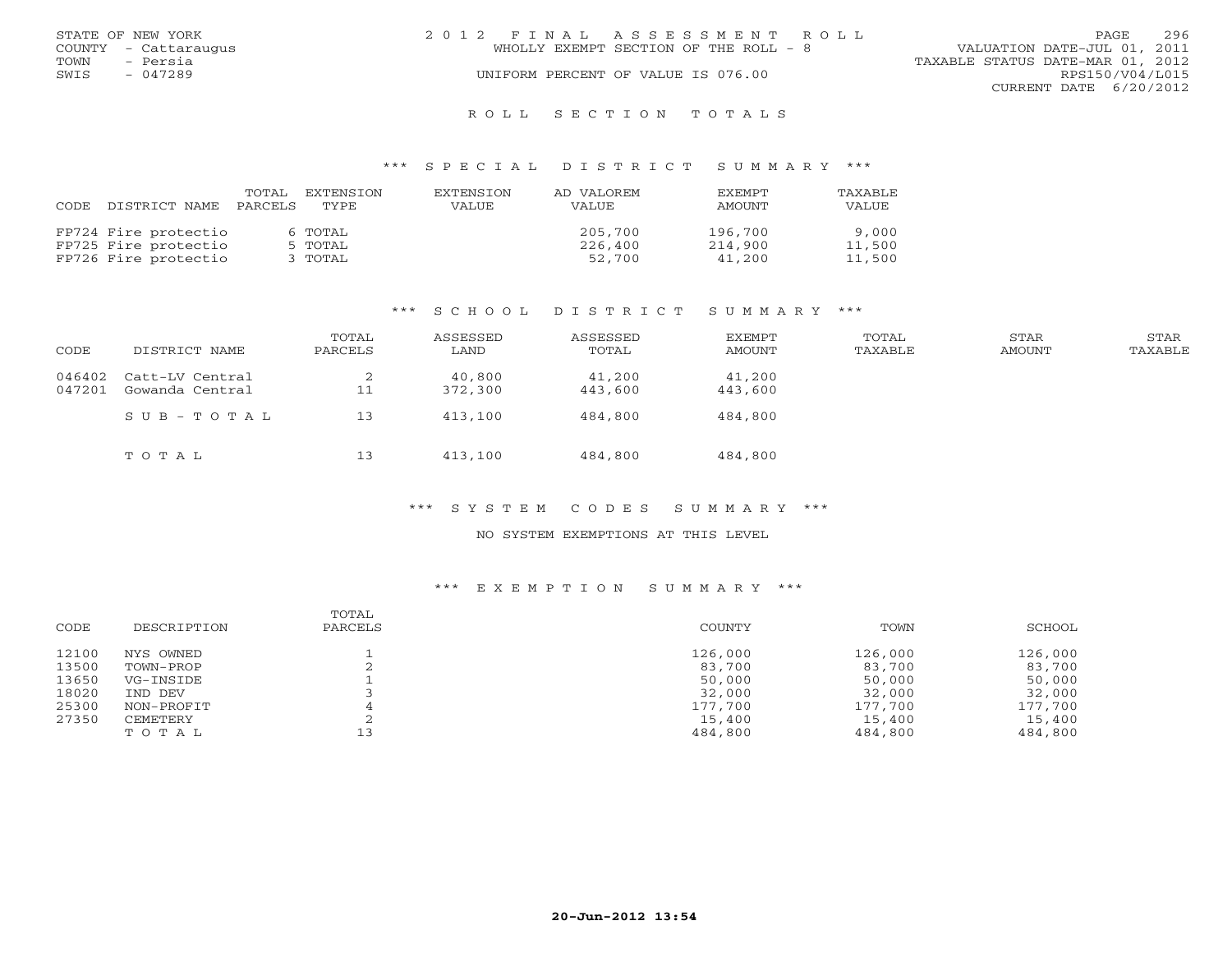|      | STATE OF NEW YORK    | 2012 FINAL ASSESSMENT ROLL |                                       |                                  | <b>PAGE</b>            | 296 |
|------|----------------------|----------------------------|---------------------------------------|----------------------------------|------------------------|-----|
|      | COUNTY - Cattaraugus |                            | WHOLLY EXEMPT SECTION OF THE ROLL - 8 | VALUATION DATE-JUL 01, 2011      |                        |     |
| TOWN | - Persia             |                            |                                       | TAXABLE STATUS DATE-MAR 01, 2012 |                        |     |
| SWIS | $-047289$            |                            | UNIFORM PERCENT OF VALUE IS 076.00    |                                  | RPS150/V04/L015        |     |
|      |                      |                            |                                       |                                  | CURRENT DATE 6/20/2012 |     |
|      |                      |                            |                                       |                                  |                        |     |

#### R O L L S E C T I O N T O T A L S

#### \*\*\* S P E C I A L D I S T R I C T S U M M A R Y \*\*\*

| CODE | DISTRICT NAME        | TOTAL<br>PARCELS | EXTENSTON<br>TYPE. | EXTENSION<br><b>VALUE</b> | AD VALOREM<br><b>VALUE</b> | <b>EXEMPT</b><br>AMOUNT | TAXABLE<br>VALUE |
|------|----------------------|------------------|--------------------|---------------------------|----------------------------|-------------------------|------------------|
|      | FP724 Fire protectio |                  | 6 TOTAL            |                           | 205,700                    | 196,700                 | 9,000            |
|      | FP725 Fire protectio |                  | 5 TOTAL            |                           | 226,400                    | 214,900                 | 11,500           |
|      | FP726 Fire protectio |                  | 3 TOTAL            |                           | 52,700                     | 41,200                  | 11,500           |

#### \*\*\* S C H O O L D I S T R I C T S U M M A R Y \*\*\*

| CODE             | DISTRICT NAME                      | TOTAL<br>PARCELS | ASSESSED<br>LAND  | ASSESSED<br>TOTAL | <b>EXEMPT</b><br>AMOUNT | TOTAL<br>TAXABLE | STAR<br>AMOUNT | STAR<br>TAXABLE |
|------------------|------------------------------------|------------------|-------------------|-------------------|-------------------------|------------------|----------------|-----------------|
| 046402<br>047201 | Catt-LV Central<br>Gowanda Central | ∠<br>11          | 40,800<br>372,300 | 41,200<br>443,600 | 41,200<br>443,600       |                  |                |                 |
|                  | $SUB - TO T AL$                    | 13               | 413,100           | 484,800           | 484,800                 |                  |                |                 |
|                  | TOTAL                              | 13               | 413,100           | 484,800           | 484,800                 |                  |                |                 |

# \*\*\* S Y S T E M C O D E S S U M M A R Y \*\*\*

#### NO SYSTEM EXEMPTIONS AT THIS LEVEL

| CODE  | DESCRIPTION | TOTAL<br>PARCELS | COUNTY  | TOWN    | SCHOOL  |
|-------|-------------|------------------|---------|---------|---------|
| 12100 | NYS OWNED   |                  | 126,000 | 126,000 | 126,000 |
| 13500 | TOWN-PROP   |                  | 83,700  | 83,700  | 83,700  |
| 13650 | VG-INSIDE   |                  | 50,000  | 50,000  | 50,000  |
| 18020 | IND DEV     |                  | 32,000  | 32,000  | 32,000  |
| 25300 | NON-PROFIT  |                  | 177,700 | 177,700 | 177,700 |
| 27350 | CEMETERY    |                  | 15,400  | 15,400  | 15,400  |
|       | TOTAL       |                  | 484,800 | 484,800 | 484,800 |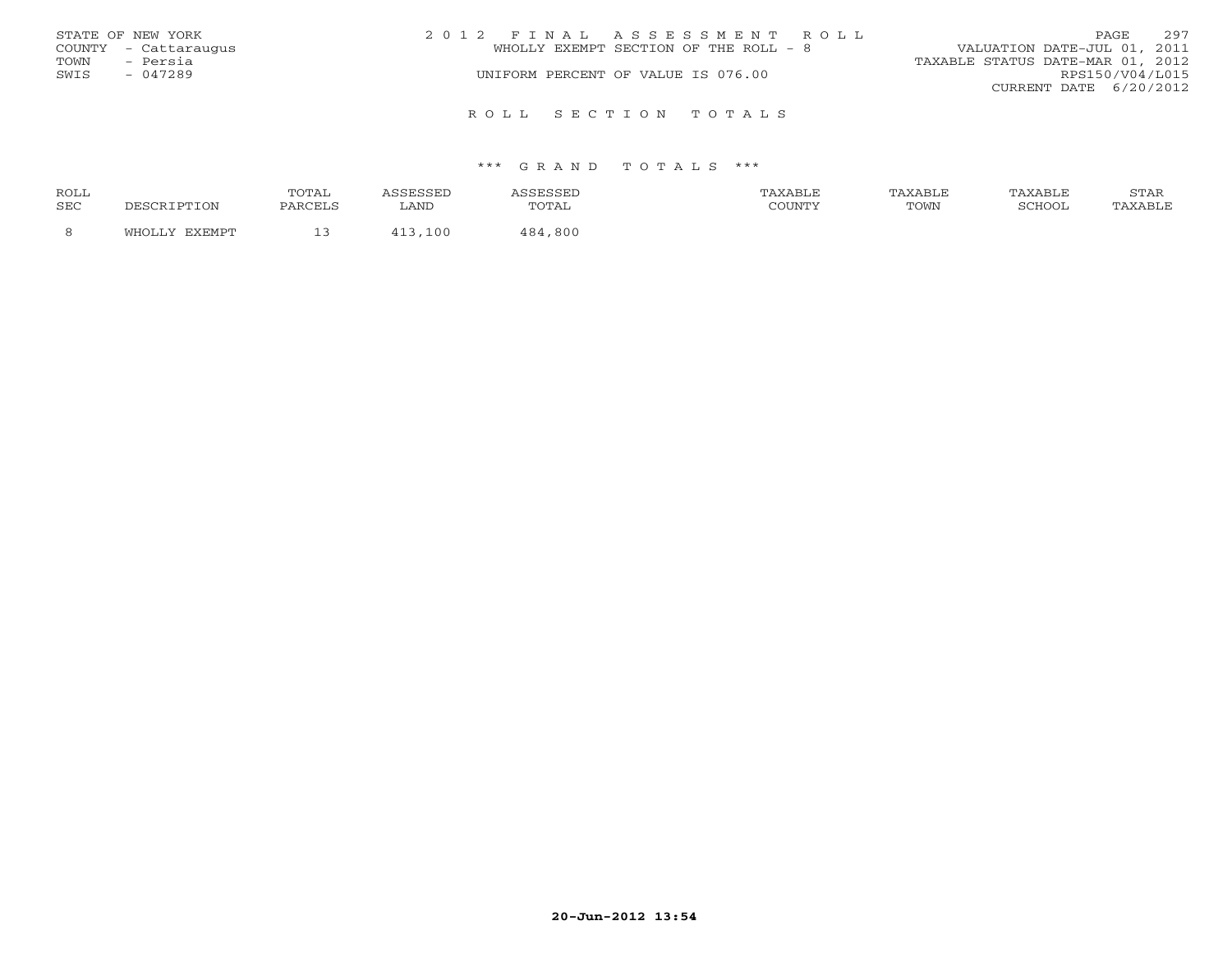|                   | STATE OF NEW YORK    | 2012 FINAL ASSESSMENT ROLL            | 297<br>PAGE                      |  |  |
|-------------------|----------------------|---------------------------------------|----------------------------------|--|--|
|                   | COUNTY - Cattaraugus | WHOLLY EXEMPT SECTION OF THE ROLL - 8 | VALUATION DATE-JUL 01, 2011      |  |  |
| TOWN              | - Persia             |                                       | TAXABLE STATUS DATE-MAR 01, 2012 |  |  |
| SWIS<br>$-047289$ |                      | UNIFORM PERCENT OF VALUE IS 076.00    | RPS150/V04/L015                  |  |  |
|                   |                      |                                       | CURRENT DATE $6/20/2012$         |  |  |
|                   |                      | ROLL SECTION TOTALS                   |                                  |  |  |

| ROLL       |        | <b>OTAL</b> |       |                                | TAXABLF |      | TAXABLE | $cm\pi$<br>י בתיכו |
|------------|--------|-------------|-------|--------------------------------|---------|------|---------|--------------------|
| <b>SEC</b> |        | PARCELS     | LAND  | $\cdot$ $\cdot$<br><u>UIII</u> | CCTINTM | TOWN | COHOOT  |                    |
|            | $\sim$ | -- -        | 1 N C | ,800<br>1 O 1                  |         |      |         |                    |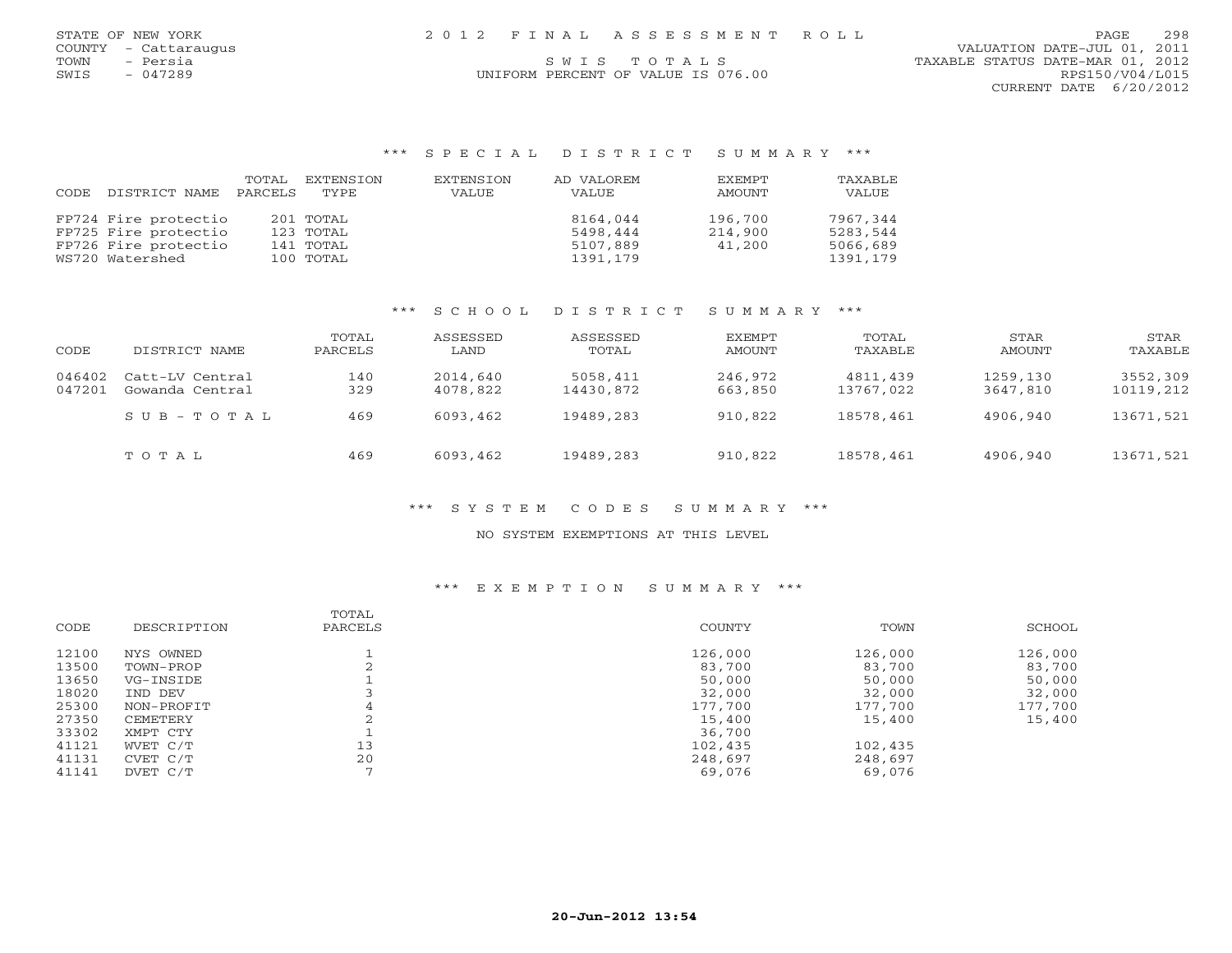| STATE OF NEW YORK    | 2012 FINAL ASSESSMENT ROLL         | 298<br>PAGE                      |
|----------------------|------------------------------------|----------------------------------|
| COUNTY - Cattaraugus |                                    | VALUATION DATE-JUL 01, 2011      |
| TOWN<br>- Persia     | SWIS TOTALS                        | TAXABLE STATUS DATE-MAR 01, 2012 |
| SWIS<br>$-047289$    | UNIFORM PERCENT OF VALUE IS 076.00 | RPS150/V04/L015                  |

CURRENT DATE 6/20/2012

## \*\*\* S P E C I A L D I S T R I C T S U M M A R Y \*\*\*

|      |                      | TOTAL   | EXTENSION | EXTENSION | AD VALOREM   | <b>FXEMPT</b> | <b>TAXABLE</b> |
|------|----------------------|---------|-----------|-----------|--------------|---------------|----------------|
| CODE | DISTRICT NAME        | PARCELS | TYPE      | VALUE     | <b>VALUE</b> | AMOUNT        | VALUE          |
|      |                      |         |           |           |              |               |                |
|      | FP724 Fire protectio |         | 201 TOTAL |           | 8164,044     | 196,700       | 7967,344       |
|      | FP725 Fire protectio |         | 123 TOTAL |           | 5498,444     | 214,900       | 5283,544       |
|      | FP726 Fire protectio |         | 141 TOTAL |           | 5107,889     | 41,200        | 5066,689       |
|      | WS720 Watershed      |         | 100 TOTAL |           | 1391,179     |               | 1391,179       |

# \*\*\* S C H O O L D I S T R I C T S U M M A R Y \*\*\*

| CODE             | DISTRICT NAME                      | TOTAL<br>PARCELS | ASSESSED<br>LAND     | ASSESSED<br>TOTAL     | EXEMPT<br>AMOUNT   | TOTAL<br>TAXABLE      | STAR<br>AMOUNT       | STAR<br>TAXABLE       |
|------------------|------------------------------------|------------------|----------------------|-----------------------|--------------------|-----------------------|----------------------|-----------------------|
| 046402<br>047201 | Catt-LV Central<br>Gowanda Central | 140<br>329       | 2014,640<br>4078,822 | 5058,411<br>14430,872 | 246,972<br>663,850 | 4811,439<br>13767,022 | 1259,130<br>3647,810 | 3552,309<br>10119,212 |
|                  | SUB-TOTAL                          | 469              | 6093,462             | 19489,283             | 910,822            | 18578,461             | 4906,940             | 13671,521             |
|                  | TOTAL                              | 469              | 6093,462             | 19489,283             | 910,822            | 18578,461             | 4906,940             | 13671,521             |

## \*\*\* S Y S T E M C O D E S S U M M A R Y \*\*\*

## NO SYSTEM EXEMPTIONS AT THIS LEVEL

|       |             | TOTAL   |         |         |         |
|-------|-------------|---------|---------|---------|---------|
| CODE  | DESCRIPTION | PARCELS | COUNTY  | TOWN    | SCHOOL  |
| 12100 | NYS OWNED   |         | 126,000 | 126,000 | 126,000 |
| 13500 | TOWN-PROP   |         | 83,700  | 83,700  | 83,700  |
| 13650 | VG-INSIDE   |         | 50,000  | 50,000  | 50,000  |
| 18020 | IND DEV     |         | 32,000  | 32,000  | 32,000  |
| 25300 | NON-PROFIT  | 4       | 177,700 | 177,700 | 177,700 |
| 27350 | CEMETERY    |         | 15,400  | 15,400  | 15,400  |
| 33302 | XMPT CTY    |         | 36,700  |         |         |
| 41121 | WVET C/T    | 13      | 102,435 | 102,435 |         |
| 41131 | CVET C/T    | 20      | 248,697 | 248,697 |         |
| 41141 | DVET C/T    |         | 69,076  | 69,076  |         |
|       |             |         |         |         |         |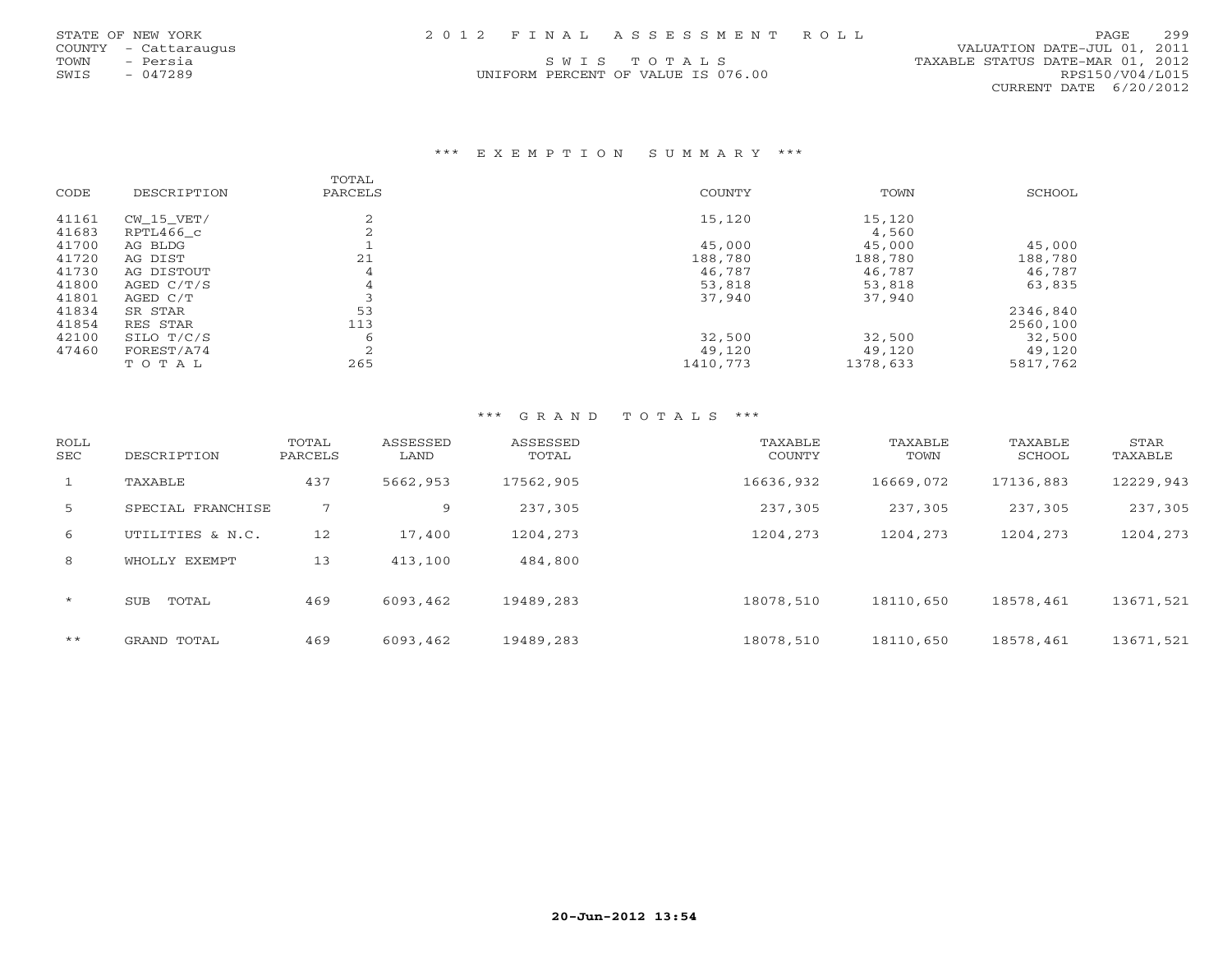|      | STATE OF NEW YORK    |  | 2012 FINAL ASSESSMENT ROLL         |                                  | PAGE            | 299 |
|------|----------------------|--|------------------------------------|----------------------------------|-----------------|-----|
|      | COUNTY - Cattaraugus |  |                                    | VALUATION DATE-JUL 01, 2011      |                 |     |
| TOWN | - Persia             |  | SWIS TOTALS                        | TAXABLE STATUS DATE-MAR 01, 2012 |                 |     |
| SWIS | - 047289             |  | UNIFORM PERCENT OF VALUE IS 076.00 |                                  | RPS150/V04/L015 |     |
|      |                      |  |                                    | CURRENT DATE 6/20/2012           |                 |     |

\*\*\* E X E M P T I O N S U M M A R Y \*\*\*

| CODE  | DESCRIPTION  | TOTAL<br>PARCELS | COUNTY   | TOWN     | SCHOOL   |
|-------|--------------|------------------|----------|----------|----------|
| 41161 | $CW_15_VET/$ |                  | 15,120   | 15,120   |          |
| 41683 | RPTL466 c    |                  |          | 4,560    |          |
| 41700 | AG BLDG      |                  | 45,000   | 45,000   | 45,000   |
| 41720 | AG DIST      | 21               | 188,780  | 188,780  | 188,780  |
| 41730 | AG DISTOUT   | 4                | 46,787   | 46,787   | 46,787   |
| 41800 | AGED C/T/S   | 4                | 53,818   | 53,818   | 63,835   |
| 41801 | AGED C/T     |                  | 37,940   | 37,940   |          |
| 41834 | SR STAR      | 53               |          |          | 2346,840 |
| 41854 | RES STAR     | 113              |          |          | 2560,100 |
| 42100 | SILO T/C/S   | 6                | 32,500   | 32,500   | 32,500   |
| 47460 | FOREST/A74   | $\bigcap$        | 49,120   | 49,120   | 49,120   |
|       | TOTAL        | 265              | 1410,773 | 1378,633 | 5817,762 |
|       |              |                  |          |          |          |

| ROLL<br>SEC  | DESCRIPTION         | TOTAL<br>PARCELS | ASSESSED<br>LAND | ASSESSED<br>TOTAL | TAXABLE<br>COUNTY | TAXABLE<br>TOWN | TAXABLE<br>SCHOOL | STAR<br>TAXABLE |
|--------------|---------------------|------------------|------------------|-------------------|-------------------|-----------------|-------------------|-----------------|
| $\mathbf{1}$ | TAXABLE             | 437              | 5662,953         | 17562,905         | 16636,932         | 16669,072       | 17136,883         | 12229,943       |
| 5            | SPECIAL FRANCHISE   | 7                | 9                | 237,305           | 237,305           | 237,305         | 237,305           | 237,305         |
| 6            | UTILITIES & N.C.    | 12               | 17,400           | 1204,273          | 1204,273          | 1204,273        | 1204,273          | 1204,273        |
| 8            | WHOLLY EXEMPT       | 13               | 413,100          | 484,800           |                   |                 |                   |                 |
| $\star$      | TOTAL<br><b>SUB</b> | 469              | 6093,462         | 19489,283         | 18078,510         | 18110,650       | 18578,461         | 13671,521       |
| $***$        | GRAND TOTAL         | 469              | 6093,462         | 19489,283         | 18078,510         | 18110,650       | 18578,461         | 13671,521       |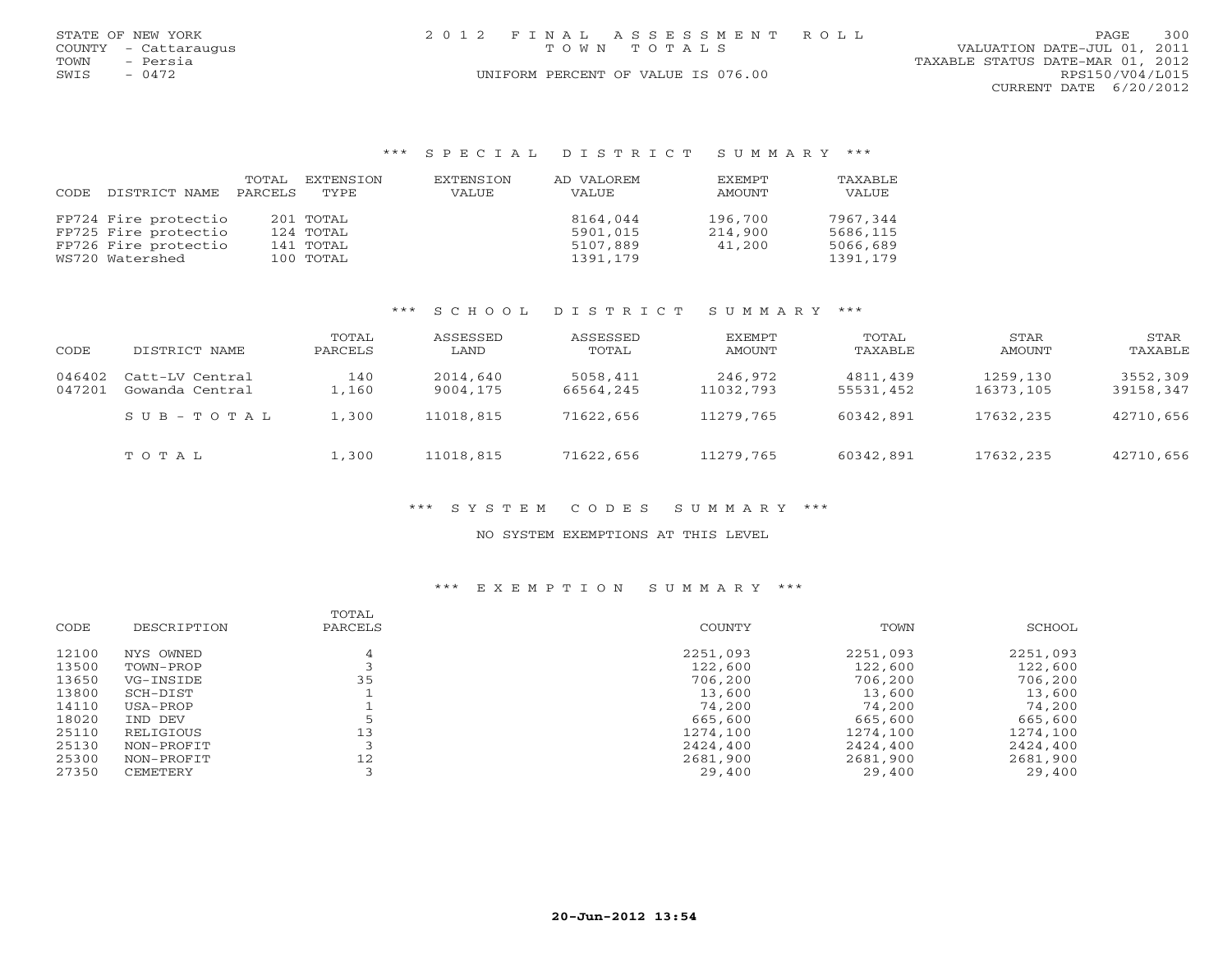|      | STATE OF NEW YORK    | 2012 FINAL ASSESSMENT ROLL         | 300<br>PAGE.                     |
|------|----------------------|------------------------------------|----------------------------------|
|      | COUNTY - Cattaraugus | TOWN TOTALS                        | VALUATION DATE-JUL 01, 2011      |
| TOWN | - Persia             |                                    | TAXABLE STATUS DATE-MAR 01, 2012 |
| SWIS | $-0472$              | UNIFORM PERCENT OF VALUE IS 076.00 | RPS150/V04/L015                  |
|      |                      |                                    | CURRENT DATE 6/20/2012           |

## \*\*\* S P E C I A L D I S T R I C T S U M M A R Y \*\*\*

|       |                       | TOTAL | EXTENSION | EXTENSION | AD VALOREM | <b>FXFMPT</b> | TAXABLE  |
|-------|-----------------------|-------|-----------|-----------|------------|---------------|----------|
| CODE. | DISTRICT NAME PARCELS |       | TYPE      | VALUE     | VALUE      | AMOUNT        | VALUE    |
|       | FP724 Fire protectio  |       | 201 TOTAL |           | 8164,044   | 196,700       | 7967,344 |
|       |                       |       |           |           |            |               |          |
|       | FP725 Fire protectio  |       | 124 TOTAL |           | 5901,015   | 214,900       | 5686,115 |
|       | FP726 Fire protectio  |       | 141 TOTAL |           | 5107,889   | 41,200        | 5066,689 |
|       | WS720 Watershed       |       | 100 TOTAL |           | 1391,179   |               | 1391,179 |

# \*\*\* S C H O O L D I S T R I C T S U M M A R Y \*\*\*

| CODE             | DISTRICT NAME                      | TOTAL<br>PARCELS | ASSESSED<br>LAND     | ASSESSED<br>TOTAL     | EXEMPT<br>AMOUNT     | TOTAL<br>TAXABLE      | STAR<br>AMOUNT        | STAR<br>TAXABLE       |
|------------------|------------------------------------|------------------|----------------------|-----------------------|----------------------|-----------------------|-----------------------|-----------------------|
| 046402<br>047201 | Catt-LV Central<br>Gowanda Central | 140<br>L,160     | 2014,640<br>9004,175 | 5058,411<br>66564,245 | 246,972<br>11032,793 | 4811,439<br>55531,452 | 1259,130<br>16373,105 | 3552,309<br>39158,347 |
|                  | SUB-TOTAL                          | 1,300            | 11018,815            | 71622,656             | 11279,765            | 60342,891             | 17632,235             | 42710,656             |
|                  | TOTAL                              | 1,300            | 11018,815            | 71622,656             | 11279,765            | 60342,891             | 17632,235             | 42710,656             |

## \*\*\* S Y S T E M C O D E S S U M M A R Y \*\*\*

## NO SYSTEM EXEMPTIONS AT THIS LEVEL

| CODE  | DESCRIPTION | TOTAL<br>PARCELS | COUNTY   | TOWN     | SCHOOL   |
|-------|-------------|------------------|----------|----------|----------|
| 12100 | NYS OWNED   |                  | 2251,093 | 2251,093 | 2251,093 |
| 13500 | TOWN-PROP   |                  | 122,600  | 122,600  | 122,600  |
| 13650 | VG-INSIDE   | 35               | 706,200  | 706,200  | 706,200  |
| 13800 | SCH-DIST    |                  | 13,600   | 13,600   | 13,600   |
| 14110 | USA-PROP    |                  | 74,200   | 74,200   | 74,200   |
| 18020 | IND DEV     |                  | 665,600  | 665,600  | 665,600  |
| 25110 | RELIGIOUS   | 13               | 1274,100 | 1274,100 | 1274,100 |
| 25130 | NON-PROFIT  |                  | 2424,400 | 2424,400 | 2424,400 |
| 25300 | NON-PROFIT  | 12               | 2681,900 | 2681,900 | 2681,900 |
| 27350 | CEMETERY    |                  | 29,400   | 29,400   | 29,400   |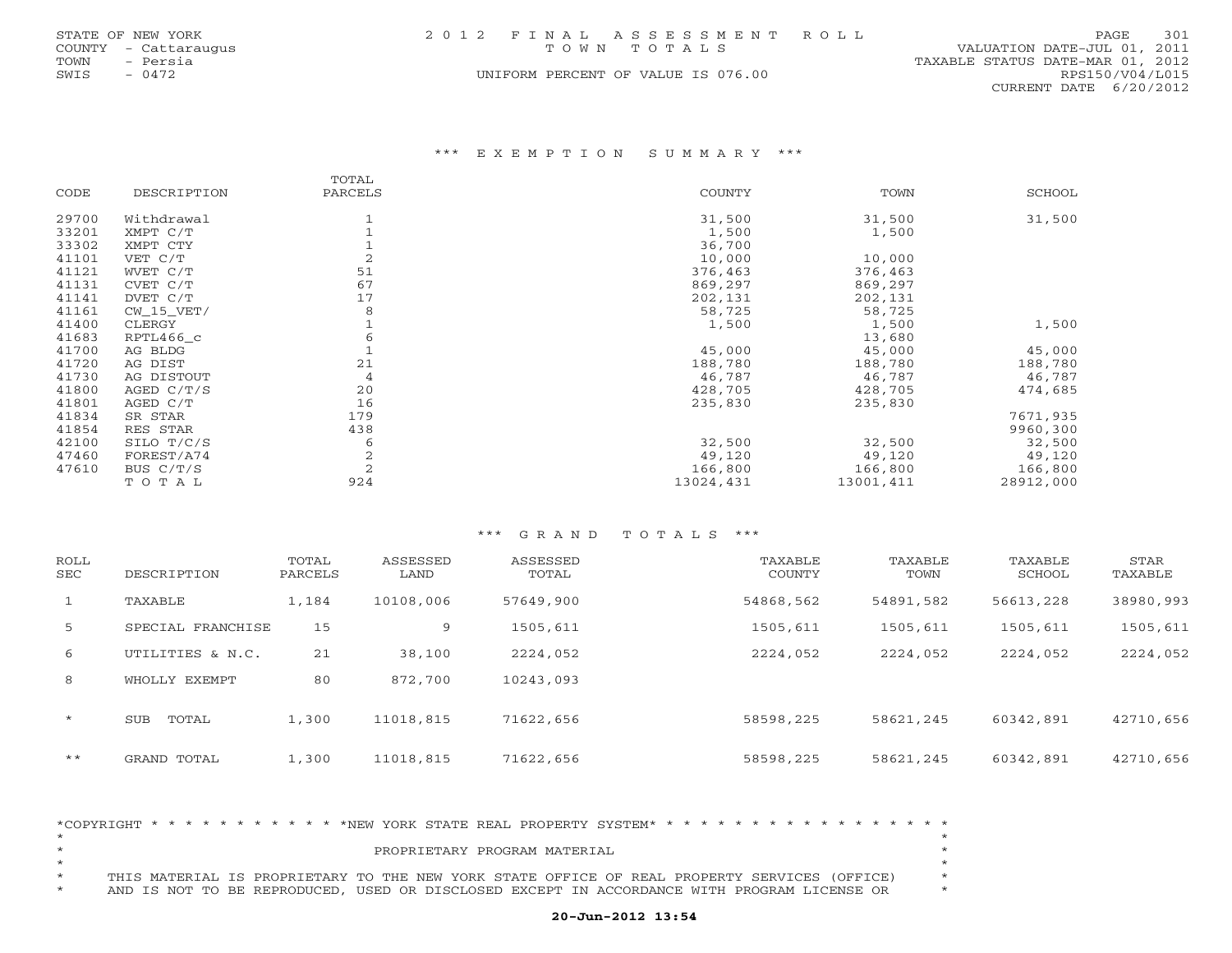|      | STATE OF NEW YORK    | 2012 FINAL ASSESSMENT ROLL         | PAGE                             | 301 |
|------|----------------------|------------------------------------|----------------------------------|-----|
|      | COUNTY - Cattaraugus | TOWN TOTALS                        | VALUATION DATE-JUL 01, 2011      |     |
| TOWN | - Persia             |                                    | TAXABLE STATUS DATE-MAR 01, 2012 |     |
| SWIS | - 0472               | UNIFORM PERCENT OF VALUE IS 076.00 | RPS150/V04/L015                  |     |
|      |                      |                                    | CURRENT DATE $6/20/2012$         |     |

### \*\*\* E X E M P T I O N S U M M A R Y \*\*\*

| CODE  | DESCRIPTION  | TOTAL<br>PARCELS | COUNTY    | TOWN      | SCHOOL    |
|-------|--------------|------------------|-----------|-----------|-----------|
| 29700 | Withdrawal   |                  | 31,500    | 31,500    | 31,500    |
| 33201 | XMPT C/T     |                  | 1,500     | 1,500     |           |
| 33302 | XMPT CTY     |                  | 36,700    |           |           |
| 41101 | VET C/T      | $\overline{2}$   | 10,000    | 10,000    |           |
| 41121 | WVET C/T     | 51               | 376,463   | 376,463   |           |
| 41131 | CVET C/T     | 67               | 869,297   | 869,297   |           |
| 41141 | DVET C/T     | 17               | 202,131   | 202,131   |           |
| 41161 | $CW_15_VET/$ | 8                | 58,725    | 58,725    |           |
| 41400 | CLERGY       |                  | 1,500     | 1,500     | 1,500     |
| 41683 | RPTL466_c    | 6                |           | 13,680    |           |
| 41700 | AG BLDG      |                  | 45,000    | 45,000    | 45,000    |
| 41720 | AG DIST      | 21               | 188,780   | 188,780   | 188,780   |
| 41730 | AG DISTOUT   | 4                | 46,787    | 46,787    | 46,787    |
| 41800 | AGED C/T/S   | 20               | 428,705   | 428,705   | 474,685   |
| 41801 | AGED C/T     | 16               | 235,830   | 235,830   |           |
| 41834 | SR STAR      | 179              |           |           | 7671,935  |
| 41854 | RES STAR     | 438              |           |           | 9960,300  |
| 42100 | SILO T/C/S   | 6                | 32,500    | 32,500    | 32,500    |
| 47460 | FOREST/A74   | 2                | 49,120    | 49,120    | 49,120    |
| 47610 | BUS C/T/S    | $\overline{c}$   | 166,800   | 166,800   | 166,800   |
|       | TOTAL        | 924              | 13024,431 | 13001,411 | 28912,000 |

#### \*\*\* G R A N D T O T A L S \*\*\*

| ROLL<br><b>SEC</b> | DESCRIPTION         | TOTAL<br>PARCELS | ASSESSED<br>LAND | ASSESSED<br>TOTAL | TAXABLE<br>COUNTY | TAXABLE<br>TOWN | TAXABLE<br>SCHOOL | STAR<br>TAXABLE |
|--------------------|---------------------|------------------|------------------|-------------------|-------------------|-----------------|-------------------|-----------------|
| $\mathbf{1}$       | TAXABLE             | 1,184            | 10108,006        | 57649,900         | 54868,562         | 54891,582       | 56613,228         | 38980,993       |
| 5                  | SPECIAL FRANCHISE   | 15               | 9                | 1505,611          | 1505,611          | 1505,611        | 1505,611          | 1505,611        |
| 6                  | UTILITIES & N.C.    | 21               | 38,100           | 2224,052          | 2224,052          | 2224,052        | 2224,052          | 2224,052        |
| 8                  | WHOLLY EXEMPT       | 80               | 872,700          | 10243,093         |                   |                 |                   |                 |
| $\star$            | <b>SUB</b><br>TOTAL | 1,300            | 11018,815        | 71622,656         | 58598,225         | 58621,245       | 60342,891         | 42710,656       |
| $***$              | GRAND TOTAL         | 1,300            | 11018,815        | 71622,656         | 58598,225         | 58621,245       | 60342,891         | 42710,656       |

|         |  |  |  |  |  |  |  |                              | *COPYRIGHT * * * * * * * * * * * * * NEW YORK STATE REAL PROPERTY SYSTEM* * * * * * * * * * * * * * * * * * * |  |  |  |  |  |  |  |
|---------|--|--|--|--|--|--|--|------------------------------|---------------------------------------------------------------------------------------------------------------|--|--|--|--|--|--|--|
|         |  |  |  |  |  |  |  |                              |                                                                                                               |  |  |  |  |  |  |  |
| $\star$ |  |  |  |  |  |  |  | PROPRIETARY PROGRAM MATERIAL |                                                                                                               |  |  |  |  |  |  |  |
|         |  |  |  |  |  |  |  |                              |                                                                                                               |  |  |  |  |  |  |  |
| $\star$ |  |  |  |  |  |  |  |                              | THIS MATERIAL IS PROPRIETARY TO THE NEW YORK STATE OFFICE OF REAL PROPERTY SERVICES (OFFICE)                  |  |  |  |  |  |  |  |
| $\star$ |  |  |  |  |  |  |  |                              | AND IS NOT TO BE REPRODUCED, USED OR DISCLOSED EXCEPT IN ACCORDANCE WITH PROGRAM LICENSE OR                   |  |  |  |  |  |  |  |

# **20-Jun-2012 13:54**